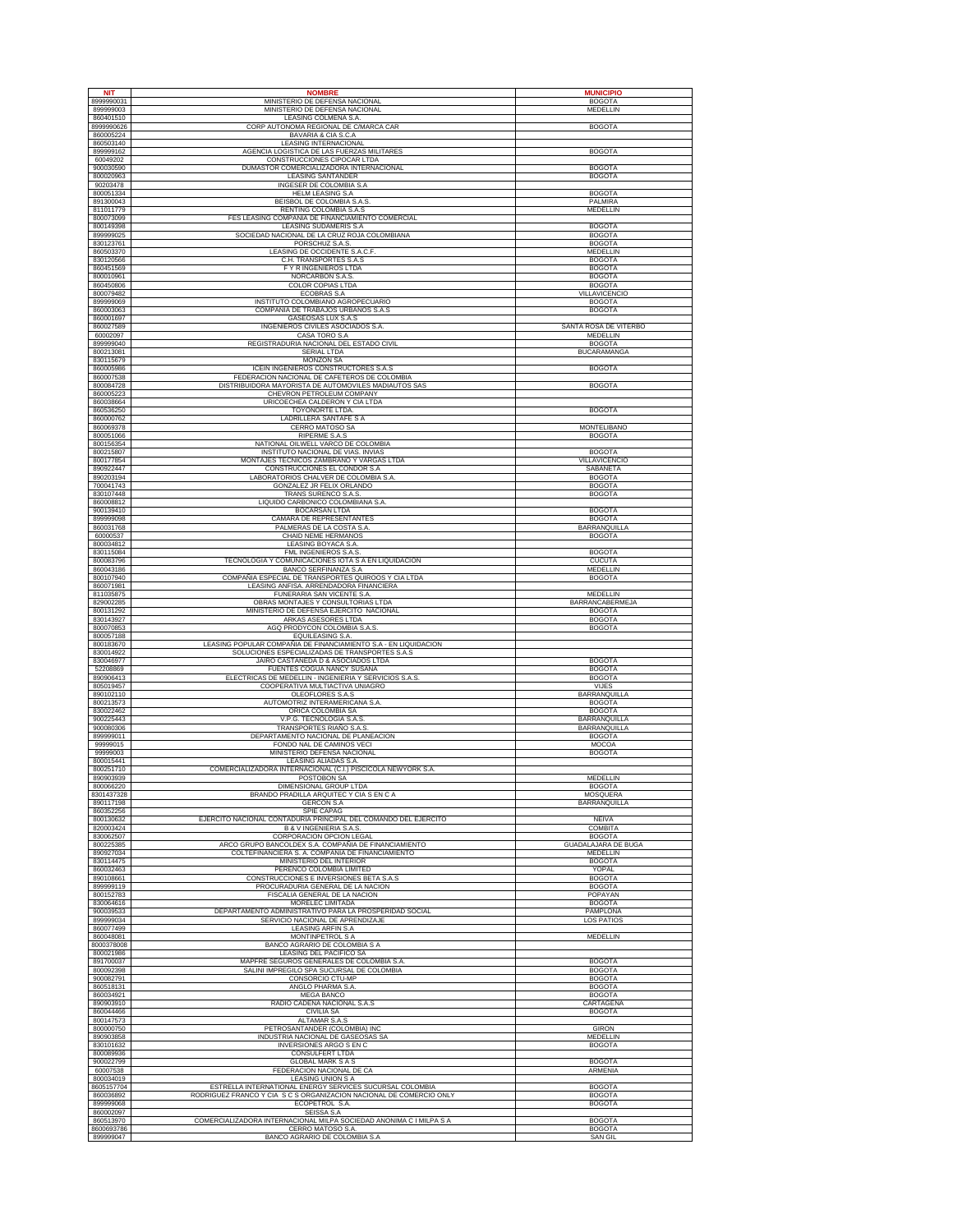| <b>NIT</b>              | <b>NOMBRE</b>                                                                              | <b>MUNICIPIO</b>                            |
|-------------------------|--------------------------------------------------------------------------------------------|---------------------------------------------|
| 8999990031              | MINISTERIO DE DEFENSA NACIONAL                                                             | <b>BOGOTA</b>                               |
| 899999003<br>860401510  | MINISTERIO DE DEFENSA NACIONAL<br>LEASING COLMENA S.A.                                     | MEDELLIN                                    |
| 8999990626              | CORP AUTONOMA REGIONAL DE C/MARCA CAR                                                      | <b>BOGOTA</b>                               |
| 860005224               | BAVARIA & CIA S.C.A                                                                        |                                             |
| 860503140<br>899999162  | <b>LEASING INTERNACIONAL</b><br>AGENCIA LOGISTICA DE LAS FUERZAS MILITARES                 | <b>BOGOTA</b>                               |
| 60049202                | CONSTRUCCIONES CIPOCAR LTDA                                                                |                                             |
| 900030590<br>800020963  | DUMASTOR COMERCIALIZADORA INTERNACIONAL<br><b>LEASING SANTANDER</b>                        | <b>BOGOTA</b><br><b>BOGOTA</b>              |
| 90203478                | INGESER DE COLOMBIA S.A                                                                    |                                             |
| 800051334<br>891300043  | <b>HELM LEASING S.A</b><br>BEISBOL DE COLOMBIA S.A.S                                       | <b>BOGOTA</b><br>PALMIRA                    |
| 811011779               | RENTING COLOMBIA S.A.S                                                                     | MEDELLIN                                    |
| 800073099<br>800149398  | FES LEASING COMPAÑÍA DE FINANCIAMIENTO COMERCIAL                                           | <b>BOGOTA</b>                               |
| 899999025               | LEASING SUDAMERIS S.A<br>SOCIEDAD NACIONAL DE LA CRUZ ROJA COLOMBIANA                      | <b>BOGOTA</b>                               |
| 830123761               | PORSCHUZ S.A.S.                                                                            | <b>BOGOTA</b>                               |
| 860503370<br>830120566  | LEASING DE OCCIDENTE S.A.C.F.<br>C.H. TRANSPORTES S.A.S                                    | MEDELLIN<br><b>BOGOTA</b>                   |
| 860451569               | F Y R INGENIEROS LTDA                                                                      | <b>BOGOTA</b>                               |
| 800010961<br>860450806  | NORCARBON S.A.S.<br>COLOR COPIAS LTDA                                                      | <b>BOGOTA</b><br><b>BOGOTA</b>              |
| 800079482               | <b>ECOBRAS S.A</b>                                                                         | <b>VILLAVICENCIO</b>                        |
| 899999069<br>860003063  | INSTITUTO COLOMBIANO AGROPECUARIO<br>COMPAÑIA DE TRABAJOS URBANOS S.A.S                    | <b>BOGOTA</b><br><b>BOGOTA</b>              |
| 860001697               | GASEOSAS LUX S.A.S                                                                         |                                             |
| 860027589<br>60002097   | INGENIEROS CIVILES ASOCIADOS S.A.<br>CASA TORO S.A                                         | SANTA ROSA DE VITERBO<br><b>MEDELLIN</b>    |
| 899999040               | REGISTRADURIA NACIONAL DEL ESTADO CIVIL                                                    | <b>BOGOTA</b>                               |
| 800213081               | <b>SERIAL LTDA</b>                                                                         | <b>BUCARAMANGA</b>                          |
| 830115679<br>860005986  | <b>MONZON SA</b><br>ICEIN INGENIEROS CONSTRUCTORES S.A.S                                   | <b>BOGOTA</b>                               |
| 860007538               | FEDERACION NACIONAL DE CAFETEROS DE COLOMBIA                                               |                                             |
| 800084728<br>860005223  | DISTRIBUIDORA MAYORISTA DE AUTOMOVILES MADIAUTOS SAS<br>CHEVRON PETROLEUM COMPANY          | <b>BOGOTA</b>                               |
| 860038664               | URICOECHEA CALDERON Y CIA LTDA                                                             |                                             |
| 860536250<br>860000762  | <b>TOYONORTE LTDA.</b><br>LADRILLERA SANTAFE S A                                           | <b>BOGOTA</b>                               |
| 860069378               | CERRO MATOSO SA                                                                            | MONTELIBANO                                 |
| 800051066<br>800156354  | RIPERME S.A.S<br>NATIONAL OILWELL VARCO DE COLOMBIA                                        | <b>BOGOTA</b>                               |
| 800215807               | INSTITUTO NACIONAL DE VIAS. INVIAS                                                         | <b>BOGOTA</b>                               |
| 800177854               | MONTAJES TECNICOS ZAMBRANO Y VARGAS LTDA                                                   | VILLAVICENCIO                               |
| 890922447<br>890203194  | CONSTRUCCIONES EL CONDOR S.A<br>LABORATORIOS CHALVER DE COLOMBIA S.A.                      | SABANETA<br><b>BOGOTA</b>                   |
| 700041743               | GONZALEZ JR FELIX ORLANDO                                                                  | <b>BOGOTA</b>                               |
| 830107448<br>860008812  | TRANS SURENCO S.A.S.<br>LIQUIDO CARBONICO COLOMBIANA S.A                                   | <b>BOGOTA</b>                               |
| 900139410               | <b>BOCARSAN LTDA</b>                                                                       | <b>BOGOTA</b>                               |
| 899999098<br>860031768  | <b>CAMARA DE REPRESENTANTES</b><br>PALMERAS DE LA COSTA S.A.                               | <b>BOGOTA</b><br><b>BARRANQUILLA</b>        |
| 60000537                | CHAID NEME HERMANOS                                                                        | <b>BOGOTA</b>                               |
| 800034812<br>830115084  | LEASING BOYACA S.A.<br>FML INGENIEROS S.A.S.                                               | <b>BOGOTA</b>                               |
| 800083796               | TECNOLOGIA Y COMUNICACIONES IOTA S A EN LIQUIDACION                                        | <b>CUCUTA</b>                               |
| 860043186<br>800107940  | BANCO SERFINANZA S.A<br>COMPAÑIA ESPECIAL DE TRANSPORTES QUIROOS Y CIA LTDA                | <b>MEDELLIN</b><br><b>BOGOTA</b>            |
| 860071981               | LEASING ANFISA. ARRENDADORA FINANCIERA                                                     |                                             |
| 811035875               | FUNERARIA SAN VICENTE S.A.                                                                 | MEDELLIN                                    |
| 829002285<br>800131292  | OBRAS MONTAJES Y CONSULTORIAS LTDA<br>MINISTERIO DE DEFENSA EJERCITO NACIONAL              | BARRANCABERMEJA<br><b>BOGOTA</b>            |
| 830143927               | ARKAS ASESORES LTDA                                                                        | <b>BOGOTA</b>                               |
| 800070853<br>800057188  | AGQ PRODYCON COLOMBIA S.A.S.<br>EQUILEASING S.A.                                           | <b>BOGOTA</b>                               |
| 800183670               | LEASING POPULAR COMPAÑIA DE FINANCIAMIENTO S.A - EN LIQUIDACION                            |                                             |
| 830014922<br>830046977  | SOLUCIONES ESPECIALIZADAS DE TRANSPORTES S.A.S<br>JAIRO CASTAÑEDA D & ASOCIADOS LTDA       | <b>BOGOTA</b>                               |
| 52208869                | FUENTES COGUA NANCY SUSANA                                                                 | <b>BOGOTA</b>                               |
| 890906413<br>805019457  | ELECTRICAS DE MEDELLIN - INGENIERIA Y SERVICIOS S.A.S.<br>COOPERATIVA MULTIACTIVA UNIAGRO  | <b>BOGOTA</b><br>VIJES                      |
| 890102110               | OLEOFLORES S.A.S                                                                           | <b>BARRANQUILLA</b>                         |
| 800213573<br>830022462  | AUTOMOTRIZ INTERAMERICANA S.A.<br>ORICA COLOMBIA SA                                        | <b>BOGOTA</b><br><b>BOGOTA</b>              |
| 900225443               | V.P.G. TECNOLOGIA S.A.S                                                                    | BARRANQUILLA                                |
| 900080306<br>899999011  | TRANSPORTES RIAÑO S.A.S<br>DEPARTAMENTO NACIONAL DE PLANEACION                             | BARRANQUILLA<br><b>BOGOTA</b>               |
| 99999015                | FONDO NAL DE CAMINOS VECI                                                                  | MOCOA                                       |
| 99999003                | MINISTERIO DEFENSA NACIONAL                                                                | <b>BOGOTA</b>                               |
| 800015441<br>800251710  | LEASING ALIADAS S.A.<br>COMERCIALIZADORA INTERNACIONAL (C.I.) PISCICOLA NEWYORK S.A.       |                                             |
| 890903939               | POSTOBON SA<br><b>DIMENSIONAL GROUP LTDA</b>                                               | MEDELLIN                                    |
| 800066220<br>8301437328 | BRANDO PRADILLA ARQUITEC Y CIA S EN C A                                                    | <b>BOGOTA</b><br>MOSQUERA                   |
| 890117198               | <b>GERCON S.A</b><br><b>SPIE CAPAG</b>                                                     | <b>BARRANQUILLA</b>                         |
| 860352256<br>800130632  | EJERCITO NACIONAL CONTADURIA PRINCIPAL DEL COMANDO DEL EJERCITO                            | NEIVA                                       |
| 820003424               | <b>B &amp; V INGENIERIA S.A.S.</b>                                                         | <b>COMBITA</b>                              |
| 830062507<br>800225385  | CORPORACION OPCION LEGAL<br>ARCO GRUPO BANCOLDEX S.A. COMPAÑIA DE FINANCIAMIENTO           | <b>BOGOTA</b><br><b>GUADALAJARA DE BUGA</b> |
| 890927034               | COLTEFINANCIERA S. A. COMPAÑIA DE FINANCIAMIENTO                                           | MEDELLIN                                    |
| 830114475<br>860032463  | MINISTERIO DEL INTERIOR<br>PERENCO COLOMBIA LIMITED                                        | <b>BOGOTA</b><br>YOPAL                      |
| 890108661               | CONSTRUCCIONES E INVERSIONES BETA S.A.S                                                    | <b>BOGOTA</b>                               |
| 899999119<br>800152783  | PROCURADURIA GENERAL DE LA NACION<br>FISCALIA GENERAL DE LA NACION                         | <b>BOGOTA</b><br>POPAYAN                    |
| 830064616               | MORELEC LIMITADA                                                                           | <b>BOGOTA</b>                               |
| 900039533<br>899999034  | DEPARTAMENTO ADMINISTRATIVO PARA LA PROSPERIDAD SOCIAL<br>SERVICIO NACIONAL DE APRENDIZAJE | PAMPLONA<br><b>LOS PATIOS</b>               |
| 860077499               | <b>LEASING ARFIN S.A.</b>                                                                  |                                             |
| 860048081<br>8000378008 | <b>MONTINPETROL S A</b><br>BANCO AGRARIO DE COLOMBIA S A                                   | MEDELLIN                                    |
| 800021986               | LEASING DEL PACIFICO SA                                                                    |                                             |
| 891700037<br>800092398  | MAPFRE SEGUROS GENERALES DE COLOMBIA S.A<br>SALINI IMPREGILO SPA SUCURSAL DE COLOMBIA      | <b>BOGOTA</b><br><b>BOGOTA</b>              |
| 900082791               | CONSORCIO CTU-MP                                                                           | <b>BOGOTA</b>                               |
| 860518131               | ANGLO PHARMA S.A.                                                                          | <b>BOGOTA</b>                               |
| 860034921<br>890903910  | <b>MEGA BANCO</b><br>RADIO CADENA NACIONAL S.A.S                                           | <b>BOGOTA</b><br>CARTAGENA                  |
| 860044466               | <b>CIVILIA SA</b>                                                                          | <b>BOGOTA</b>                               |
| 800147573<br>800000750  | ALTAMAR S.A.S<br>PETROSANTANDER (COLOMBIA) INC                                             | <b>GIRON</b>                                |
| 890903858               | INDUSTRIA NACIONAL DE GASEOSAS SA                                                          | MEDELLIN                                    |
| 830101632<br>800089936  | INVERSIONES ARGO S EN C<br><b>CONSULFERT LTDA</b>                                          | <b>BOGOTA</b>                               |
| 900022799               | <b>GLOBAL MARK S A S</b>                                                                   | <b>BOGOTA</b>                               |
| 60007538<br>800034019   | FEDERACION NACIONAL DE CA<br><b>LEASING UNION S A</b>                                      | <b>ARMENIA</b>                              |
| 8605157704              | ESTRELLA INTERNATIONAL ENERGY SERVICES SUCURSAL COLOMBIA                                   | <b>BOGOTA</b>                               |
| 860036892               | RODRIGUEZ FRANCO Y CIA S C S ORGANIZACION NACIONAL DE COMERCIO ONLY                        | <b>BOGOTA</b><br><b>BOGOTA</b>              |
| 899999068<br>860002097  | ECOPETROL S.A<br>SEISSA S.A                                                                |                                             |
| 860513970               | COMERCIALIZADORA INTERNACIONAL MILPA SOCIEDAD ANONIMA C I MILPA S A                        | <b>BOGOTA</b>                               |
| 8600693786<br>899999047 | CERRO MATOSO S.A.<br>BANCO AGRARIO DE COLOMBIA S.A.                                        | <b>BOGOTA</b><br>SAN GIL                    |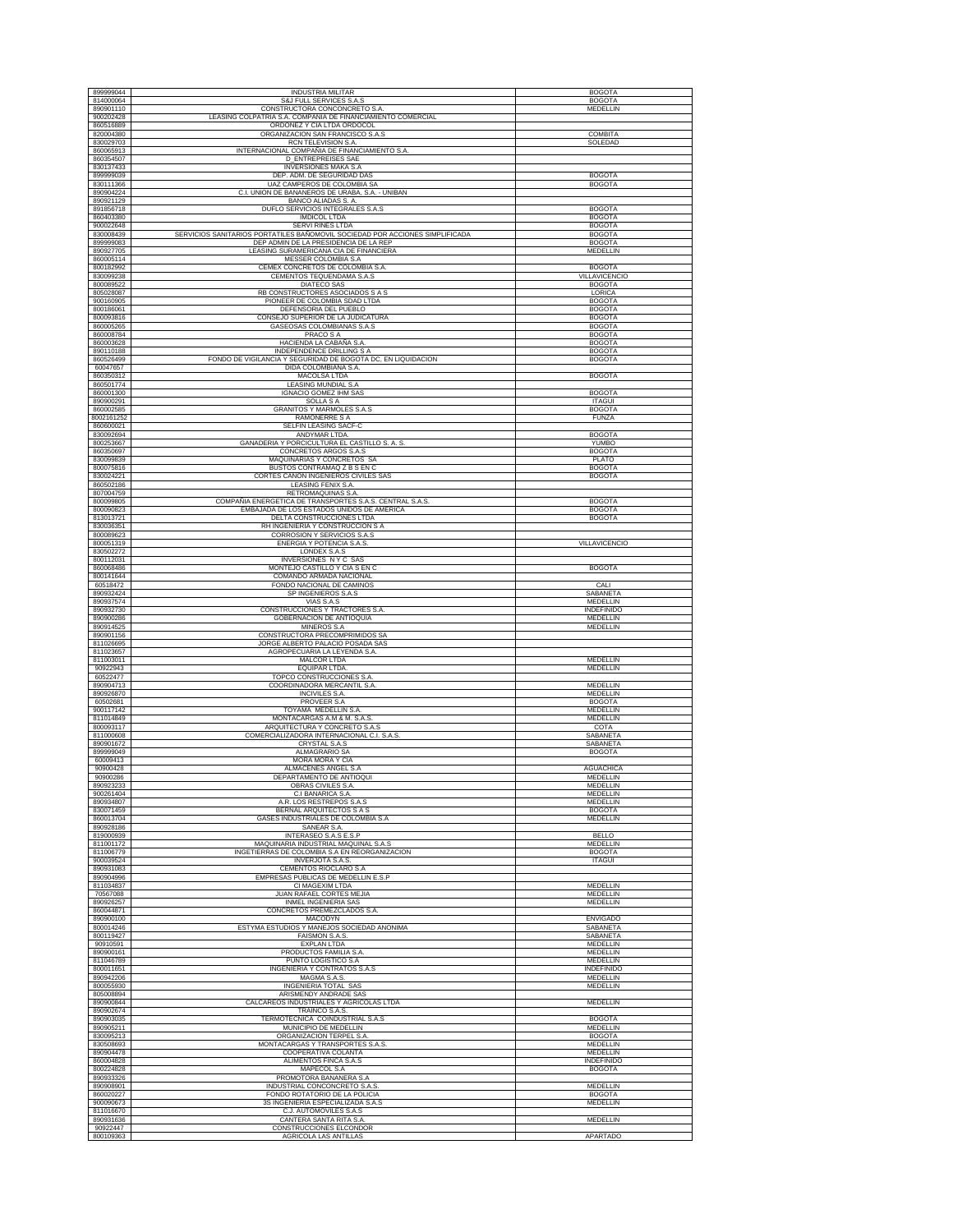| 899999044               | <b>INDUSTRIA MILITAR</b>                                                                                              | <b>BOGOTA</b>                      |
|-------------------------|-----------------------------------------------------------------------------------------------------------------------|------------------------------------|
| 814000064<br>890901110  | S&J FULL SERVICES S.A.S<br>CONSTRUCTORA CONCONCRETO S.A                                                               | <b>BOGOTA</b><br>MEDELLIN          |
| 900202428               | LEASING COLPATRIA S.A. COMPAÑIA DE FINANCIAMIENTO COMERCIAL                                                           |                                    |
| 860516889<br>820004380  | ORDOÑEZ Y CIA LTDA ORDOCOL<br>ORGANIZACION SAN FRANCISCO S.A.S                                                        | <b>COMBITA</b>                     |
| 830029703               | RCN TELEVISION S.A.                                                                                                   | SOLEDAD                            |
| 860065913<br>860354507  | INTERNACIONAL COMPAÑIA DE FINANCIAMIENTO S.A.<br><b>D ENTREPREISES SAE</b>                                            |                                    |
| 830137433               | <b>INVERSIONES MAKA S.A</b>                                                                                           |                                    |
| 899999039<br>830111366  | DEP. ADM. DE SEGURIDAD DAS<br>UAZ CAMPEROS DE COLOMBIA SA                                                             | <b>BOGOTA</b><br><b>BOGOTA</b>     |
| 890904224               | C.I. UNION DE BANANEROS DE URABA, S.A. - UNIBAN                                                                       |                                    |
| 890921129<br>891856718  | BANCO ALIADAS S. A.<br>DUFLO SERVICIOS INTEGRALES S.A.S                                                               | <b>BOGOTA</b>                      |
| 860403380               | <b>IMDICOL LTDA</b>                                                                                                   | <b>BOGOTA</b>                      |
| 900022648               | SERVI RINES LTDA                                                                                                      | <b>BOGOTA</b>                      |
| 830008439<br>899999083  | SERVICIOS SANITARIOS PORTATILES BAÑOMOVIL SOCIEDAD POR ACCIONES SIMPLIFICADA<br>DEP ADMIN DE LA PRESIDENCIA DE LA REP | <b>BOGOTA</b><br><b>BOGOTA</b>     |
| 890927705               | LEASING SURAMERICANA CIA DE FINANCIERA                                                                                | MEDELLIN                           |
| 860005114<br>800182992  | MESSER COLOMBIA S.A<br>CEMEX CONCRETOS DE COLOMBIA S.A.                                                               | <b>BOGOTA</b>                      |
| 830099238               | CEMENTOS TEQUENDAMA S.A.S                                                                                             | <b>VILLAVICENCIO</b>               |
| 800089522<br>805028087  | DIATECO SAS<br>RB CONSTRUCTORES ASOCIADOS S A S                                                                       | <b>BOGOTA</b><br>LORICA            |
| 900160905               | PIONEER DE COLOMBIA SDAD LTDA                                                                                         | <b>BOGOTA</b>                      |
| 800186061<br>800093816  | DEFENSORIA DEL PUEBLO<br>CONSEJO SUPERIOR DE LA JUDICATURA                                                            | <b>BOGOTA</b><br><b>BOGOTA</b>     |
| 860005265               | GASEOSAS COLOMBIANAS S.A.S                                                                                            | <b>BOGOTA</b>                      |
| 860008784<br>860003628  | <b>PRACO S A</b><br>HACIENDA LA CABAÑA S.A.                                                                           | <b>BOGOTA</b><br><b>BOGOTA</b>     |
| 890110188               | INDEPENDENCE DRILLING S A                                                                                             | <b>BOGOTA</b>                      |
| 860526499<br>60047657   | FONDO DE VIGILANCIA Y SEGURIDAD DE BOGOTA DC, EN LIQUIDACION<br>DIDA COLOMBIANA S.A.                                  | <b>BOGOTA</b>                      |
| 860350312               | <b>MACOLSA LTDA</b>                                                                                                   | <b>BOGOTA</b>                      |
| 860501774<br>860001300  | LEASING MUNDIAL S.A<br><b>IGNACIO GOMEZ IHM SAS</b>                                                                   | <b>BOGOTA</b>                      |
| 890900291               | <b>SOLLA SA</b>                                                                                                       | <b>ITAGUI</b>                      |
| 860002585<br>8002161252 | <b>GRANITOS Y MARMOLES S.A.S</b><br><b>RAMONERRE S A</b>                                                              | <b>BOGOTA</b><br><b>FUNZA</b>      |
| 860600021               | SELFIN LEASING SACF-C                                                                                                 |                                    |
| 830092694<br>800253667  | ANDYMAR LTDA.<br>GANADERIA Y PORCICULTURA EL CASTILLO S. A. S.                                                        | <b>BOGOTA</b><br>YUMBO             |
| 860350697               | CONCRETOS ARGOS S.A.S                                                                                                 | <b>BOGOTA</b>                      |
| 830099839<br>800075816  | MAQUINARIAS Y CONCRETOS SA<br>BUSTOS CONTRAMAQ Z B S EN C                                                             | PLATO<br><b>BOGOTA</b>             |
| 830024221               | CORTES CAÑON INGENIEROS CIVILES SAS                                                                                   | <b>BOGOTA</b>                      |
| 860502186<br>807004759  | LEASING FENIX S.A.<br>RETROMAQUINAS S.A.                                                                              |                                    |
| 800099805               | COMPAÑIA ENERGETICA DE TRANSPORTES S.A.S. CENTRAL S.A.S.                                                              | <b>BOGOTA</b>                      |
| 800090823<br>813013721  | EMBAJADA DE LOS ESTADOS UNIDOS DE AMERICA<br>DELTA CONSTRUCCIONES LTDA                                                | <b>BOGOTA</b><br><b>BOGOTA</b>     |
| 830036351               | RH INGENIERIA Y CONSTRUCCIÓN S A                                                                                      |                                    |
| 800089623<br>800051319  | CORROSION Y SERVICIOS S.A.S<br>ENERGIA Y POTENCIA S.A.S.                                                              | VILLAVICENCIO                      |
| 830502272               | LONDEX S.A.S                                                                                                          |                                    |
| 800112031<br>860068486  | INVERSIONES NYC SAS<br>MONTEJO CASTILLO Y CIA S EN C                                                                  | <b>BOGOTA</b>                      |
| 800141644               | COMANDO ARMADA NACIONAL                                                                                               |                                    |
| 60518472<br>890932424   | FONDO NACIONAL DE CAMINOS<br>SP INGENIEROS S.A.S                                                                      | CALI<br>SABANETA                   |
| 890937574               | VIAS S.A.S                                                                                                            | MEDELLIN                           |
| 890932730<br>890900286  | CONSTRUCCIONES Y TRACTORES S.A.<br>GOBERNACION DE ANTIOQUIA                                                           | <b>INDEFINIDO</b><br>MEDELLIN      |
| 890914525               | MINEROS S.A                                                                                                           | MEDELLIN                           |
| 890901156<br>811026695  | CONSTRUCTORA PRECOMPRIMIDOS SA<br>JORGE ALBERTO PALACIO POSADA SAS                                                    |                                    |
| 811023657               | AGROPECUARIA LA LEYENDA S.A                                                                                           |                                    |
| 811003011<br>90922943   | MALCOR LTDA<br><b>EQUIPAR LTDA</b>                                                                                    | MEDELLIN<br>MEDELLIN               |
| 60522477                | TOPCO CONSTRUCCIONES S.A                                                                                              |                                    |
| 890904713<br>890926870  | COORDINADORA MERCANTIL S.A.<br><b>INCIVILES S.A.</b>                                                                  | MEDELLIN<br><b>MEDELLIN</b>        |
| 60502681                | PROVEER S.A                                                                                                           | <b>BOGOTA</b>                      |
| 900117142<br>811014849  | TOYAMA MEDELLIN S.A<br>MONTACARGAS A.M & M. S.A.S                                                                     | MEDELLIN<br><b>MEDELLIN</b>        |
| 800093117               | ARQUITECTURA Y CONCRETO S.A.S                                                                                         | COTA                               |
| 811000608<br>890901672  | COMERCIALIZADORA INTERNACIONAL C.I. S.A.S.<br>CRYSTAL S.A.S                                                           | SABANETA<br>SABANETA               |
| 899999049               | <b>ALMAGRARIO SA</b>                                                                                                  | <b>BOGOTA</b>                      |
| 60009413<br>90900428    | MORA MORA Y CIA<br>ALMACENES ANGEL S.A                                                                                | <b>AGUACHICA</b>                   |
| 90900286                | DEPARTAMENTO DE ANTIOQUI                                                                                              | MEDELLIN                           |
| 890923233<br>900261404  | OBRAS CIVILES S.A<br>C.I BANARICA S.A.                                                                                | MEDELLIN<br><b>MEDELLIN</b>        |
| 890934807               | A.R. LOS RESTREPOS S.A.S                                                                                              | MEDELLIN                           |
| 830071459<br>860013704  | BERNAL ARQUITECTOS S A S<br>GASES INDUSTRIALES DE COLOMBIA S.A                                                        | <b>BOGOTA</b><br>MEDELLIN          |
| 890928186               | SANEAR S.A.                                                                                                           |                                    |
| 819000939<br>811001172  | INTERASEO S.A.S E.S.P<br>MAQUINARIA INDUSTRIAL MAQUINAL S.A.S                                                         | <b>BELLO</b><br>MEDELLIN           |
| 811006779               | INGETIERRAS DE COLOMBIA S.A EN REORGANIZACION                                                                         | <b>BOGOTA</b>                      |
| 900039524<br>890931083  | INVERJOTA S.A.S.<br>CEMENTOS RIOCLARO S.A.                                                                            | <b>ITAGUI</b>                      |
| 890904996               | EMPRESAS PUBLICAS DE MEDELLIN E.S.P                                                                                   |                                    |
| 811034837<br>70567088   | CI MAGEXIM LTDA<br>JUAN RAFAEL CORTES MEJIA                                                                           | MEDELLIN<br>MEDELLIN               |
| 890926257               | INMEL INGENIERIA SAS                                                                                                  | <b>MEDELLIN</b>                    |
| 860044871<br>890900100  | CONCRETOS PREMEZCLADOS S.A.<br>MACODYN                                                                                | <b>ENVIGADO</b>                    |
| 800014246               | ESTYMA ESTUDIOS Y MANEJOS SOCIEDAD ANONIMA                                                                            | SABANETA                           |
| 800119427<br>90910591   | <b>FAISMON S.A.S</b><br><b>EXPLAN LTDA</b>                                                                            | SABANETA<br>MEDELLIN               |
| 890900161               | PRODUCTOS FAMILIA S.A.                                                                                                | <b>MEDELLIN</b>                    |
| 811046789<br>800011651  | PUNTO LOGISTICO S.A<br>INGENIERIA Y CONTRATOS S.A.S                                                                   | MEDELLIN<br><b>INDEFINIDO</b>      |
| 890942206               | MAGMA S.A.S.                                                                                                          | MEDELLIN                           |
| 800055930<br>805008894  | INGENIERIA TOTAL SAS<br>ARISMENDY ANDRADE SAS                                                                         | MEDELLIN                           |
| 890900844               | CALCAREOS INDUSTRIALES Y AGRICOLAS LTDA                                                                               | MEDELLIN                           |
| 890902674<br>890903035  | TRAINCO S.A.S.<br>TERMOTECNICA COINDUSTRIAL S.A.S                                                                     | <b>BOGOTA</b>                      |
| 890905211               | MUNICIPIO DE MEDELLIN                                                                                                 | MEDELLIN                           |
| 830095213<br>830508693  | ORGANIZACION TERPEL S.A<br>MONTACARGAS Y TRANSPORTES S.A.S                                                            | <b>BOGOTA</b><br>MEDELLIN          |
| 890904478               | COOPERATIVA COLANTA                                                                                                   | MEDELLIN                           |
| 860004828<br>800224828  | ALIMENTOS FINCA S.A.S<br>MAPECOL S.A                                                                                  | <b>INDEFINIDO</b><br><b>BOGOTA</b> |
| 890933326               | PROMOTORA BANANERA S.A                                                                                                |                                    |
| 890908901<br>860020227  | INDUSTRIAL CONCONCRETO S.A.S<br>FONDO ROTATORIO DE LA POLICIA                                                         | MEDELLIN<br><b>BOGOTA</b>          |
| 900090673               | 3S INGENIERIA ESPECIALIZADA S.A.S                                                                                     | MEDELLIN                           |
| 811016670<br>890931636  | C.J. AUTOMOVILES S.A.S<br>CANTERA SANTA RITA S.A.                                                                     | MEDELLIN                           |
| 90922447                | CONSTRUCCIONES ELCONDOR                                                                                               |                                    |
| 800109363               | AGRICOLA LAS ANTILLAS                                                                                                 | APARTADO                           |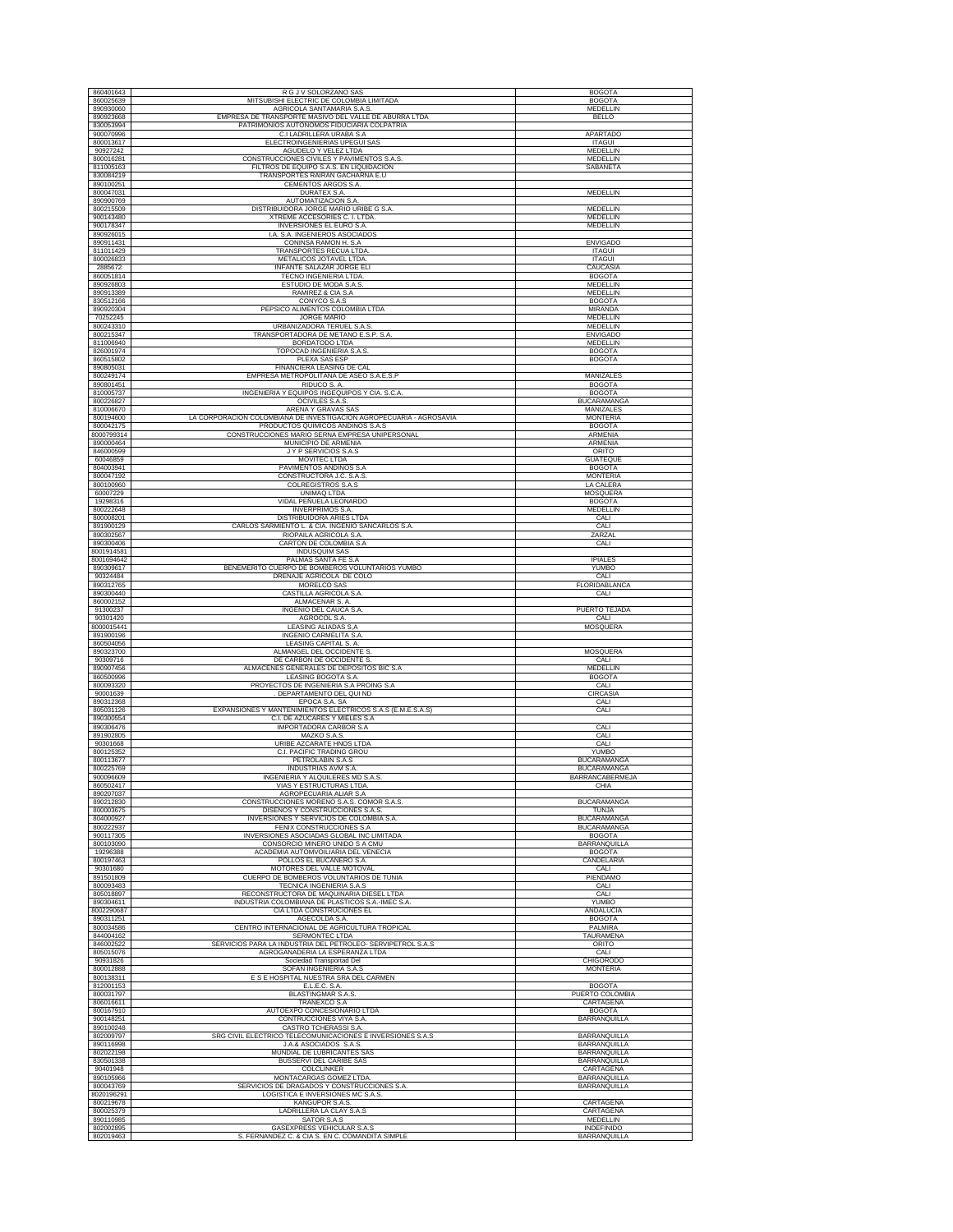| 860401643                | R G J V SOLORZANO SAS                                                                        | <b>BOGOTA</b>                       |
|--------------------------|----------------------------------------------------------------------------------------------|-------------------------------------|
| 860025639                | MITSUBISHI ELECTRIC DE COLOMBIA LIMITADA                                                     | <b>BOGOTA</b>                       |
| 890930060<br>890923668   | AGRICOLA SANTAMARIA S.A.S<br>EMPRESA DE TRANSPORTE MASIVO DEL VALLE DE ABURRA LTDA           | MEDELLIN<br><b>BELLO</b>            |
| 830053994                | PATRIMONIOS AUTONOMOS FIDUCIARIA COLPATRIA                                                   |                                     |
| 900070996                | C.I LADRILLERA URABA S.A.                                                                    | APARTADO                            |
| 800013617                | ELECTROINGENIERIAS UPEGUI SAS                                                                | <b>ITAGUI</b>                       |
| 90927242<br>800016281    | AGUDELO Y VELEZ LTDA<br>CONSTRUCCIONES CIVILES Y PAVIMENTOS S.A.S                            | MEDELLIN<br>MEDELLIN                |
| 811005163                | FILTROS DE EQUIPO S.A.S. EN LIQUIDACION                                                      | SABANETA                            |
| 830084219                | TRANSPORTES RAIRAN GACHARNA E.U                                                              |                                     |
| 890100251<br>800047031   | CEMENTOS ARGOS S.A.<br>DURATEX S.A.                                                          | MEDELLIN                            |
| 890900769                | AUTOMATIZACION S.A.                                                                          |                                     |
| 800215509                | DISTRIBUIDORA JORGE MARIO URIBE G S.A.                                                       | MEDELLIN                            |
| 900143480<br>900178347   | XTREME ACCESORIES C. I. LTDA.<br><b>INVERSIONES EL EURO S.A</b>                              | MEDELLIN<br>MEDELLIN                |
| 890926015                | I.A. S.A. INGENIEROS ASOCIADOS                                                               |                                     |
| 890911431                | CONINSA RAMON H. S.A.                                                                        | <b>ENVIGADO</b>                     |
| 811011429                | TRANSPORTES RECUA LTDA                                                                       | <b>ITAGUI</b>                       |
| 800026833<br>2885672     | METALICOS JOTAVEL LTDA<br>INFANTE SALAZAR JORGE ELI                                          | <b>ITAGUI</b><br>CAUCASIA           |
| 860051814                | TECNO INGENIERIA LTDA                                                                        | <b>BOGOTA</b>                       |
| 890926803                | ESTUDIO DE MODA S.A.S.                                                                       | MEDELLIN                            |
| 890913389<br>830512166   | RAMIREZ & CIA S.A<br>CONYCO S.A.S                                                            | MEDELLIN<br><b>BOGOTA</b>           |
| 890920304                | PEPSICO ALIMENTOS COLOMBIA LTDA                                                              | <b>MIRANDA</b>                      |
| 70252245                 | JORGE MARIO                                                                                  | MEDELLIN                            |
| 800243310<br>800215347   | URBANIZADORA TERUEL S.A.S<br>TRANSPORTADORA DE METANO E.S.P. S.A                             | MEDELLIN<br><b>ENVIGADO</b>         |
| 811006940                | <b>BORDATODO LTDA</b>                                                                        | MEDELLIN                            |
| 826001974                | TOPOCAD INGENIERIA S.A.S.                                                                    | <b>BOGOTA</b>                       |
| 860515802                | PLEXA SAS ESP                                                                                | <b>BOGOTA</b>                       |
| 890805031<br>800249174   | FINANCIERA LEASING DE CAL<br>EMPRESA METROPOLITANA DE ASEO S.A.E.S.P                         | MANIZALES                           |
| 890801451                | RIDUCO S. A.                                                                                 | <b>BOGOTA</b>                       |
| 810005737                | INGENIERIA Y EQUIPOS INGEQUIPOS Y CIA. S.C.A.                                                | <b>BOGOTA</b>                       |
| 800226827<br>810006670   | OCIVILES S.A.S.<br>ARENA Y GRAVAS SAS                                                        | <b>BUCARAMANGA</b><br>MANIZALES     |
| 800194600                | LA CORPORACION COLOMBIANA DE INVESTIGACION AGROPECUARIA - AGROSAVIA                          | <b>MONTERIA</b>                     |
| 800042175                | PRODUCTOS QUIMICOS ANDINOS S.A.S                                                             | <b>BOGOTA</b>                       |
| 8000799314<br>890000464  | CONSTRUCCIONES MARIO SERNA EMPRESA UNIPERSONAL<br>MUNICIPIO DE ARMENIA                       | ARMENIA<br><b>ARMENIA</b>           |
| 846000599                | JYP SERVICIOS S.A.S                                                                          | ORITO                               |
| 60046859                 | <b>MOVITEC LTDA</b>                                                                          | <b>GUATEOUE</b>                     |
| 804003941                | PAVIMENTOS ANDINOS S.A                                                                       | <b>BOGOTA</b>                       |
| 800047192<br>800100960   | CONSTRUCTORA J.C. S.A.S.<br>COLREGISTROS S.A.S                                               | <b>MONTERIA</b><br>LA CALERA        |
| 60007229                 | UNIMAQ LTDA                                                                                  | MOSQUERA                            |
| 19298316                 | VIDAL PEÑUELA LEONARDO                                                                       | <b>BOGOTA</b>                       |
| 800222648<br>800008201   | <b>INVERPRIMOS S.A.</b><br>DISTRIBUIDORA ARIES LTDA                                          | <b>MEDELLIN</b><br>CALI             |
| 891900129                | CARLOS SARMIENTO L. & CIA. INGENIO SANCARLOS S.A.                                            | CALI                                |
| 890302567                | RIOPAILA AGRICOLA S.A.                                                                       | ZARZAL                              |
| 890300406                | CARTON DE COLOMBIA S.A                                                                       | CALI                                |
| 8001914581<br>8001694642 | INDUSQUIM SAS<br>PALMAS SANTA FE S.A.                                                        | <b>IPIALES</b>                      |
| 890309617                | BENEMERITO CUERPO DE BOMBEROS VOLUNTARIOS YUMBO                                              | YUMBO                               |
| 90324484                 | DRENAJE AGRICOLA DE COLO                                                                     | CALI                                |
| 890312765<br>890300440   | MORELCO SAS<br>CASTILLA AGRICOLA S.A.                                                        | FLORIDABLANCA<br>CALI               |
| 860002152                | ALMACENAR S. A.                                                                              |                                     |
| 91300237                 | INGENIO DEL CAUCA S.A.                                                                       | PUERTO TEJADA                       |
| 90301420<br>8000015441   | AGROCOL S.A.<br>LEASING ALIADAS S, A                                                         | CALI<br>MOSQUERA                    |
| 891900196                | INGENIO CARMELITA S.A.                                                                       |                                     |
| 860504056                | LEASING CAPITAL S. A.                                                                        |                                     |
| 890323700                | ALMANGEL DEL OCCIDENTE S                                                                     | MOSQUERA                            |
| 90309716<br>890907456    | DE CARBON DE OCCIDENTE S<br>ALMACENES GENERALES DE DEPOSITOS BIC S.A                         | CALI<br>MEDELLIN                    |
| 860500996                | LEASING BOGOTA S.A.                                                                          | <b>BOGOTA</b>                       |
| 800093320                | PROYECTOS DE INGENIERIA S.A PROING S.A                                                       | CALI                                |
| 90001639<br>890312368    | DEPARTAMENTO DEL QUI ND<br>EPOCA S.A. SA                                                     | CIRCASIA<br>CALI                    |
| 805031126                | EXPANSIONES Y MANTENIMIENTOS ELECTRICOS S.A.S (E.M.E.S.A.S)                                  | CALI                                |
| 890300554                | C.I. DE AZUCARES Y MIELES S.A                                                                |                                     |
| 890306476<br>891902805   | IMPORTADORA CARBOR S.A<br>MAZKO S.A.S                                                        | CALI<br>CALI                        |
| 90301668                 | URIBE AZCARATE HNOS LTDA                                                                     | CALI                                |
| 800125352                | C.I. PACIFIC TRADING GROU                                                                    | YUMBO                               |
| 800113677<br>800225769   | PETROLABIN S.A.S<br>INDUSTRIAS AVM S.A.                                                      | <b>BUCARAMANGA</b><br>BUCARAMANGA   |
| 900096609                | INGENIERIA Y ALQUILERES MD S.A.S.                                                            | BARRANCABERMEJA                     |
| 860502417                | VIAS Y ESTRUCTURAS LTDA                                                                      | CHIA                                |
| 890207037<br>890212830   | AGROPECUARIA ALIAR S.A<br>CONSTRUCCIONES MORENO S.A.S. COMOR S.A.S.                          | <b>BUCARAMANGA</b>                  |
| 800003675                | DISEÑOS Y CONSTRUCCIONES S.A.S                                                               | TUNJA                               |
| 804000927                | INVERSIONES Y SERVICIOS DE COLOMBIA S.A.                                                     | <b>BUCARAMANGA</b>                  |
| 800222937<br>900117305   | FENIX CONSTRUCCIONES S.A.<br>INVERSIONES ASOCIADAS GLOBAL INC LIMITADA                       | <b>BUCARAMANGA</b><br><b>BOGOTA</b> |
| 800103090                | CONSORCIO MINERO UNIDO S A CMU                                                               | <b>BARRANQUILLA</b>                 |
| 19296388                 | ACADEMIA AUTOMVOILIARIA DEL VENECIA                                                          | <b>BOGOTA</b>                       |
| 800197463<br>90301680    | POLLOS EL BUCANERO S.A.<br>MOTORES DEL VALLE MOTOVAL                                         | CANDELARIA<br>CALI                  |
| 891501809                | CUERPO DE BOMBEROS VOLUNTARIOS DE TUNIA                                                      | PIENDAMO                            |
| 800093483                | TECNICA INGENIERIA S.A.S                                                                     | CALI                                |
| 805018897                | RECONSTRUCTORA DE MAQUINARIA DIESEL LTDA<br>INDUSTRIA COLOMBIANA DE PLASTICOS S.A.-IMEC S.A. | CALI<br><b>YUMBO</b>                |
| 890304611<br>8002290687  | CIA LTDA CONSTRUCIONES EL                                                                    | ANDALUCIA                           |
| 890311251                | AGECOLDA S.A.                                                                                | <b>BOGOTA</b>                       |
| 800034586<br>844004162   | CENTRO INTERNACIONAL DE AGRICULTURA TROPICAL<br><b>SERMONTEC LTDA</b>                        | PALMIRA<br><b>TAURAMENA</b>         |
| 846002522                | SERVICIOS PARA LA INDUSTRIA DEL PETROLEO- SERVIPETROL S.A.S                                  | ORITO                               |
| 805015076                | AGROGANADERIA LA ESPERANZA LTDA                                                              | CALI                                |
| 90931826                 | Sociedad Transportad Del                                                                     | <b>CHIGORODO</b>                    |
| 800012888<br>800138311   | SOFAN INGENIERIA S.A.S<br>E S E HOSPITAL NUESTRA SRA DEL CARMEN                              | <b>MONTERIA</b>                     |
| 812001153                | E.L.E.C. S.A.                                                                                | <b>BOGOTA</b>                       |
| 800031797                | <b>BLASTINGMAR S.A.S</b>                                                                     | PUERTO COLOMBIA                     |
| 806016611<br>800167910   | TRANEXCO S.A<br>AUTOEXPO CONCESIONARIO LTDA                                                  | CARTAGENA<br><b>BOGOTA</b>          |
| 900148251                | CONTRUCCIONES VIYA S.A                                                                       | BARRANQUILLA                        |
| 890100248                | CASTRO TCHERASSI S.A.                                                                        |                                     |
| 802009797                | SRG CIVIL ELECTRICO TELECOMUNICACIONES E INVERSIONES S.A.S                                   | <b>BARRANQUILLA</b>                 |
| 890116998<br>802022198   | J.A.& ASOCIADOS S.A.S.<br>MUNDIAL DE LUBRICANTES SAS                                         | BARRANQUILLA<br>BARRANQUILLA        |
| 830501338                | BUSSERVI DEL CARIBE SAS                                                                      | BARRANQUILLA                        |
| 90401948                 | COLCLINKER                                                                                   | CARTAGENA                           |
| 890105966<br>800043769   | MONTACARGAS GOMEZ LTDA.<br>SERVICIOS DE DRAGADOS Y CONSTRUCCIONES S.A.                       | BARRANQUILLA<br>BARRANQUILLA        |
| 8020196291               | LOGISTICA E INVERSIONES MC S.A.S                                                             |                                     |
| 800219678                | KANGUPOR S.A.S.                                                                              | CARTAGENA                           |
| 800025379<br>890110985   | LADRILLERA LA CLAY S.A.S<br>SATOR S.A.S                                                      | CARTAGENA<br>MEDELLIN               |
| 802002895                | GASEXPRESS VEHICULAR S.A.S                                                                   | INDEFINIDO                          |
| 802019463                | S. FERNANDEZ C. & CIA S. EN C. COMANDITA SIMPLE                                              | <b>BARRANQUILLA</b>                 |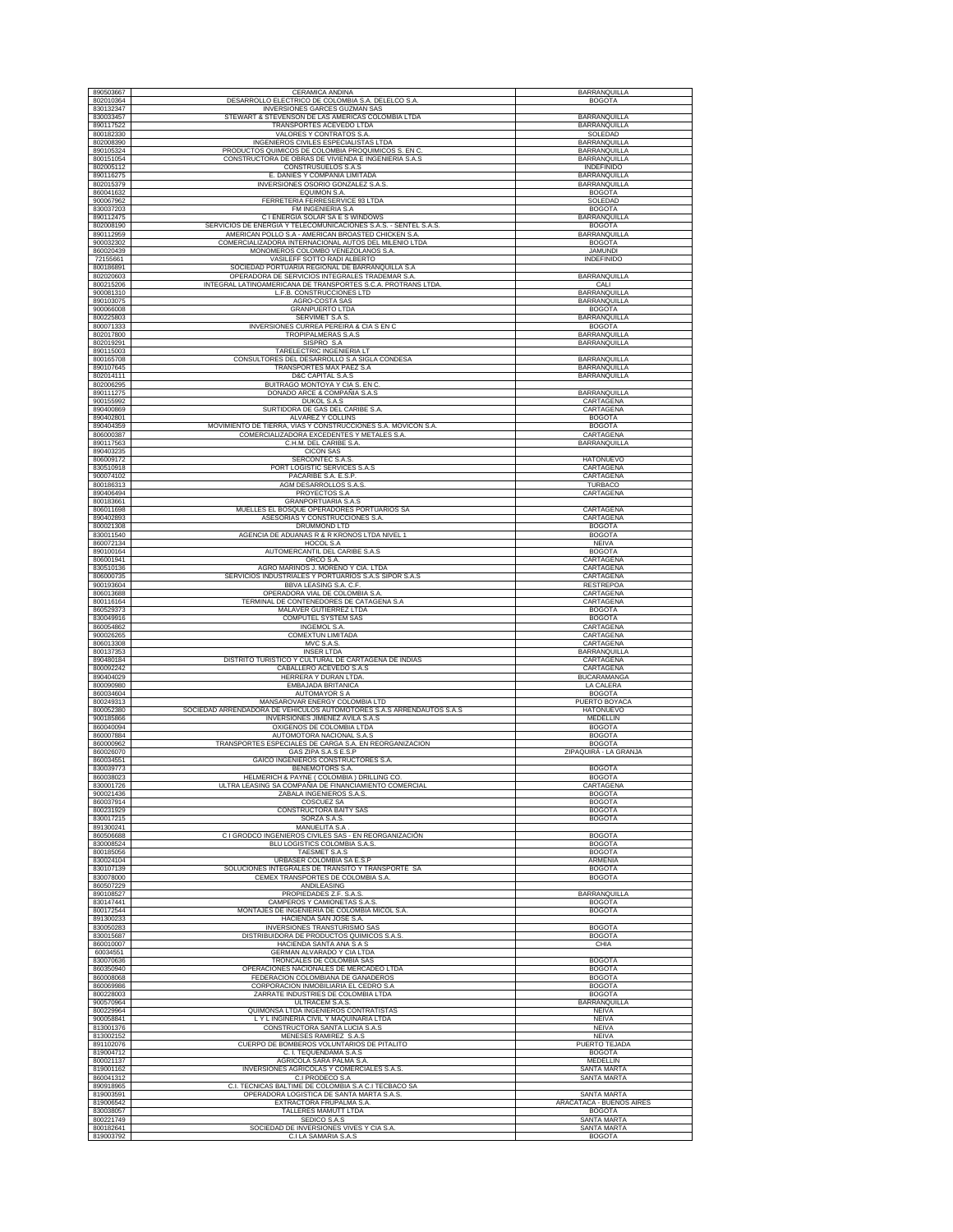| 890503667                           | CERAMICA ANDINA                                                                                          | BARRANQUILLA                                       |
|-------------------------------------|----------------------------------------------------------------------------------------------------------|----------------------------------------------------|
| 802010364<br>830132347              | DESARROLLO ELECTRICO DE COLOMBIA S.A. DELELCO S.A<br>INVERSIONES GARCES GUZMAN SAS                       | <b>BOGOTA</b>                                      |
| 830033457                           | STEWART & STEVENSON DE LAS AMERICAS COLOMBIA LTDA                                                        | <b>BARRANQUILLA</b>                                |
| 890117522                           | TRANSPORTES ACEVEDO LTDA                                                                                 | BARRANQUILLA                                       |
| 800182330<br>802008390              | VALORES Y CONTRATOS S.A.<br>INGENIEROS CIVILES ESPECIALISTAS LTDA                                        | SOLEDAD<br><b>BARRANQUILLA</b>                     |
| 890105324                           | PRODUCTOS QUIMICOS DE COLOMBIA PROQUIMICOS S. EN C.                                                      | BARRANQUILLA                                       |
| 800151054<br>802005112              | CONSTRUCTORA DE OBRAS DE VIVIENDA E INGENIERIA S.A.S<br>CONSTRUSUELOS S.A.S                              | BARRANQUILLA<br>INDEFINIDO                         |
| 890116275                           | E. DANIES Y COMPAÑIA LIMITADA                                                                            | BARRANQUILLA                                       |
| 802015379<br>860041632              | INVERSIONES OSORIO GONZALEZ S.A.S.<br>EQUIMON S.A.                                                       | BARRANQUILLA<br><b>BOGOTA</b>                      |
| 900067962                           | FERRETERIA FERRESERVICE 93 LTDA                                                                          | SOLEDAD                                            |
| 830037203                           | FM INGENIERIA S.A.                                                                                       | <b>BOGOTA</b>                                      |
| 890112475<br>802008190              | C I ENERGIA SOLAR SA E S WINDOWS<br>SERVICIOS DE ENERGIA Y TELECOMUNICACIONES S.A.S. - SENTEL S.A.S.     | BARRANQUILLA<br><b>BOGOTA</b>                      |
| 890112959                           | AMERICAN POLLO S.A - AMERICAN BROASTED CHICKEN S.A                                                       | BARRANQUILLA                                       |
| 900032302<br>860020439              | COMERCIALIZADORA INTERNACIONAL AUTOS DEL MILENIO LTDA<br>MONOMEROS COLOMBO VENEZOLANOS S.A               | <b>BOGOTA</b><br><b>JAMUNDI</b>                    |
| 72155661                            | VASILEFF SOTTO RADI ALBERTO                                                                              | <b>INDEFINIDO</b>                                  |
| 800186891<br>802020603              | SOCIEDAD PORTUARIA REGIONAL DE BARRANQUILLA S.A<br>OPERADORA DE SERVICIOS INTEGRALES TRADEMAR S.A.       | <b>BARRANOUILLA</b>                                |
| 800215206                           | INTEGRAL LATINOAMERICANA DE TRANSPORTES S.C.A. PROTRANS LTDA.                                            | CALI                                               |
| 900081310                           | L.F.B. CONSTRUCCIONES LTD                                                                                | <b>BARRANQUILLA</b>                                |
| 890103075<br>900066008              | <b>AGRO-COSTA SAS</b><br><b>GRANPUERTO LTDA</b>                                                          | <b>BARRANQUILLA</b><br><b>BOGOTA</b>               |
| 800225803                           | SERVIMET S.A S.                                                                                          | BARRANQUILLA                                       |
| 800071333<br>802017800              | INVERSIONES CURREA PEREIRA & CIA S EN C<br><b>TROPIPALMERAS S.A.S</b>                                    | <b>BOGOTA</b><br><b>BARRANQUILLA</b>               |
| 802019291                           | SISPRO S.A                                                                                               | BARRANQUILLA                                       |
| 890115003                           | TARELECTRIC INGENIERIA LT                                                                                |                                                    |
| 800165708<br>890107645              | CONSULTORES DEL DESARROLLO S.A SIGLA CONDESA<br>TRANSPORTES MAX PAEZ S.A                                 | <b>BARRANQUILLA</b><br>BARRANQUILLA                |
| 802014111                           | D&C CAPITAL S.A.S                                                                                        | BARRANQUILLA                                       |
| 802006295<br>890111275              | BUITRAGO MONTOYA Y CIA S. EN C.<br>DONADO ARCE & COMPAÑIA S.A.S                                          | <b>BARRANQUILLA</b>                                |
| 900155992                           | <b>DUKOL S.A.S</b>                                                                                       | CARTAGENA                                          |
| 890400869                           | SURTIDORA DE GAS DEL CÁRIBE S.A.                                                                         | CARTAGENA                                          |
| 890402801<br>890404359              | ALVAREZ Y COLLINS<br>MOVIMIENTO DE TIERRA, VIAS Y CONSTRUCCIONES S.A. MOVICON S.A.                       | <b>BOGOTA</b><br><b>BOGOTA</b>                     |
| 806000387                           | COMERCIALIZADORA EXCEDENTES Y METALES S.A.                                                               | CARTAGENA                                          |
| 890117563<br>890403235              | C.H.M. DEL CARIBE S.A.<br><b>CICON SAS</b>                                                               | BARRANQUILLA                                       |
| 806009172                           | <b>SERCONTEC S.A.S</b>                                                                                   | <b>HATONUEVO</b>                                   |
| 830510918                           | PORT LOGISTIC SERVICES S.A.S                                                                             | CARTAGENA                                          |
| 900074102<br>800186313              | PACARIBE S.A. E.S.P.<br>AGM DESARROLLOS S.A.S.                                                           | CARTAGENA<br>TURBACO                               |
| 890406494                           | PROYECTOS S.A.                                                                                           | CARTAGENA                                          |
| 800183661<br>806011698              | GRANPORTUARIA S.A.S<br>MUELLES EL BOSQUE OPERADORES PORTUARIOS SA                                        | CARTAGENA                                          |
| 890402893                           | ASESORIAS Y CONSTRUCCIONES S.A.                                                                          | CARTAGENA                                          |
| 800021308<br>830011540              | DRUMMOND LTD<br>AGENCIA DE ADUANAS R & R KRONOS LTDA NIVEL 1                                             | <b>BOGOTA</b><br><b>BOGOTA</b>                     |
| 860072134                           | HOCOL S.A                                                                                                | <b>NEIVA</b>                                       |
| 890100164                           | AUTOMERCANTIL DEL CARIBE S.A.S                                                                           | <b>BOGOTA</b>                                      |
| 806001941<br>830510136              | ORCO S.A.<br>AGRO MARINOS J. MORENO Y CIA. LTDA                                                          | CARTAGENA<br>CARTAGENA                             |
| 806000735                           | SERVICIOS INDUSTRIALES Y PORTUARIOS S.A.S SIPOR S.A.S                                                    | CARTAGENA                                          |
| 900193604<br>806013688              | BBVA LEASING S.A. C.F.<br>OPERADORA VIAL DE COLOMBIA S.A.                                                | <b>RESTREPOA</b><br>CARTAGENA                      |
| 800116164                           | TERMINAL DE CONTENEDORES DE CATAGENA S.A                                                                 | CARTAGENA                                          |
|                                     |                                                                                                          |                                                    |
| 860529373                           | MALAVER GUTIERREZ LTDA                                                                                   | <b>BOGOTA</b>                                      |
| 830049916<br>860054862              | <b>COMPUTEL SYSTEM SAS</b><br>INGEMOL S.A.                                                               | <b>BOGOTA</b><br>CARTAGENA                         |
| 900026265                           | COMEXTUN LIMITADA                                                                                        | CARTAGENA                                          |
| 806013308                           | MVC S.A.S.                                                                                               | CARTAGENA                                          |
| 800137353<br>890480184              | <b>INSER LTDA</b><br>DISTRITO TURISTICO Y CULTURAL DE CARTAGENA DE INDIAS                                | <b>BARRANQUILLA</b><br>CARTAGENA                   |
| 800092242                           | CABALLERO ACEVEDO S.A.S                                                                                  | CARTAGENA                                          |
| 890404029<br>800090980              | HERRERA Y DURAN LTDA<br>EMBAJADA BRITANICA                                                               | <b>BUCARAMANGA</b><br>LA CALERA                    |
| 860034604                           | <b>AUTOMAYOR S A</b>                                                                                     | <b>BOGOTA</b>                                      |
| 800249313<br>800052380              | MANSAROVAR ENERGY COLOMBIA LTD                                                                           | PUERTO BOYACA<br><b>HATONUEVO</b>                  |
| 900185866                           | SOCIEDAD ARRENDADORA DE VEHICULOS AUTOMOTORES S.A.S ARRENDAUTOS S.A.S<br>INVERSIONES JIMENEZ AVILA S.A.S | <b>MEDELLIN</b>                                    |
| 860040094<br>860007884              | OXIGENOS DE COLOMBIA LTDA<br>AUTOMOTORA NACIONAL S.A.S                                                   | <b>BOGOTA</b><br><b>BOGOTA</b>                     |
| 860000962                           | TRANSPORTES ESPECIALES DE CARGA S.A. EN REORGANIZACION                                                   | <b>BOGOTA</b>                                      |
| 860026070                           | GAS ZIPA S.A.S E.S.P                                                                                     | ZIPAQUIRÁ - LA GRANJA                              |
| 860034551<br>830039773              | GAICO INGENIEROS CONSTRUCTORES S.A.<br><b>BENEMOTORS S.A.</b>                                            | <b>BOGOTA</b>                                      |
| 860038023                           | HELMERICH & PAYNE ( COLOMBIA ) DRILLING CO.                                                              | <b>BOGOTA</b>                                      |
| 830001726<br>900021436              | ULTRA LEASING SA COMPAÑIA DE FINANCIAMIENTO COMERCIAL<br>ZABALA INGENIEROS S.A.S.                        | CARTAGENA<br><b>BOGOTA</b>                         |
| 860037914                           | <b>COSCUEZ SA</b>                                                                                        | <b>BOGOTA</b>                                      |
| 800231929<br>830017215              | CONSTRUCTORA BAITY SAS<br>SORZA S.A.S.                                                                   | <b>BOGOTA</b><br><b>BOGOTA</b>                     |
| 891300241                           | MANUELITA S.A                                                                                            |                                                    |
| 860506688<br>830008524              | C I GRODCO INGENIEROS CIVILES SAS - EN REORGANIZACIÓN<br>BLU LOGISTICS COLOMBIA S.A.S.                   | <b>BOGOTA</b><br><b>BOGOTA</b>                     |
| 800185056                           | TAESMET S.A.S                                                                                            | <b>BOGOTA</b>                                      |
| 830024104                           | URBASER COLOMBIA SA E.S.P                                                                                | ARMENIA                                            |
| 830107139<br>830078000              | SOLUCIONES INTEGRALES DE TRANSITO Y TRANSPORTE SA<br>CEMEX TRANSPORTES DE COLOMBIA S.A.                  | <b>BOGOTA</b><br><b>BOGOTA</b>                     |
| 860507229                           | ANDILEASING                                                                                              |                                                    |
| 890108527<br>830147441              | PROPIEDADES Z.F. S.A.S.<br>CAMPEROS Y CAMIONETAS S.A.S.                                                  | BARRANQUILLA<br><b>BOGOTA</b>                      |
| 800172544                           | MONTAJES DE INGENIERIA DE COLOMBIA MICOL S.A.                                                            | <b>BOGOTA</b>                                      |
| 891300233<br>830050283              | HACIENDA SAN JOSE S.A.<br>INVERSIONES TRANSTURISMO SAS                                                   | <b>BOGOTA</b>                                      |
| 830015687                           | DISTRIBUIDORA DE PRODUCTOS QUIMICOS S.A.S.                                                               | <b>BOGOTA</b>                                      |
| 860010007<br>60034551               | HACIENDA SANTA ANA S A S<br><b>GERMAN ALVARADO Y CIA LTDA</b>                                            | CHIA                                               |
| 830070636                           | TRONCALES DE COLOMBIA SAS                                                                                | <b>BOGOTA</b>                                      |
| 860350940                           | OPERACIONES NACIONALES DE MERCADEO LTDA                                                                  | <b>BOGOTA</b>                                      |
| 860008068<br>860069986              | FEDERACION COLOMBIANA DE GANADEROS<br>CORPORACION INMOBILIARIA EL CEDRO S.A                              | <b>BOGOTA</b><br><b>BOGOTA</b>                     |
| 800228003                           | ZARRATE INDUSTRIES DE COLOMBIA LTDA                                                                      | <b>BOGOTA</b>                                      |
| 900570964<br>800229964              | ULTRACEM S.A.S.<br>QUIMONSA LTDA INGENIEROS CONTRATISTAS                                                 | BARRANQUILLA<br><b>NEIVA</b>                       |
| 900058841                           | L Y L INGINERIA CIVIL Y MAQUINARIA LTDA                                                                  | <b>NEIVA</b>                                       |
| 813001376<br>813002152              | CONSTRUCTORA SANTA LUCIA S.A.S<br>MENESES RAMIREZ S.A.S                                                  | <b>NEIVA</b><br><b>NEIVA</b>                       |
| 891102076                           | CUERPO DE BOMBEROS VOLUNTARIOS DE PITALITO                                                               | PUERTO TEJADA                                      |
| 819004712<br>800021137              | C. I. TEQUENDAMA S.A.S                                                                                   | <b>BOGOTA</b>                                      |
| 819001162                           | AGRICOLA SARA PALMA S.A.<br>INVERSIONES AGRICOLAS Y COMERCIALES S.A.S.                                   | MEDELLIN<br><b>SANTA MARTA</b>                     |
| 860041312                           | C.I PRODECO S.A                                                                                          | <b>SANTA MARTA</b>                                 |
| 890918965<br>819003591              | C.I. TECNICAS BALTIME DE COLOMBIA S.A C.I TECBACO SA<br>OPERADORA LOGISTICA DE SANTA MARTA S.A.S.        | <b>SANTA MARTA</b>                                 |
| 819006542                           | EXTRACTORA FRUPALMA S.A.                                                                                 | ARACATACA - BUENOS AIRES                           |
| 830038057                           | TALLERES MAMUTT LTDA                                                                                     | <b>BOGOTA</b>                                      |
| 800221749<br>800182641<br>819003792 | SEDICO S.A.S<br>SOCIEDAD DE INVERSIONES VIVES Y CIA S.A<br>C.I LA SAMARIA S.A.S                          | SANTA MARTA<br><b>SANTA MARTA</b><br><b>BOGOTA</b> |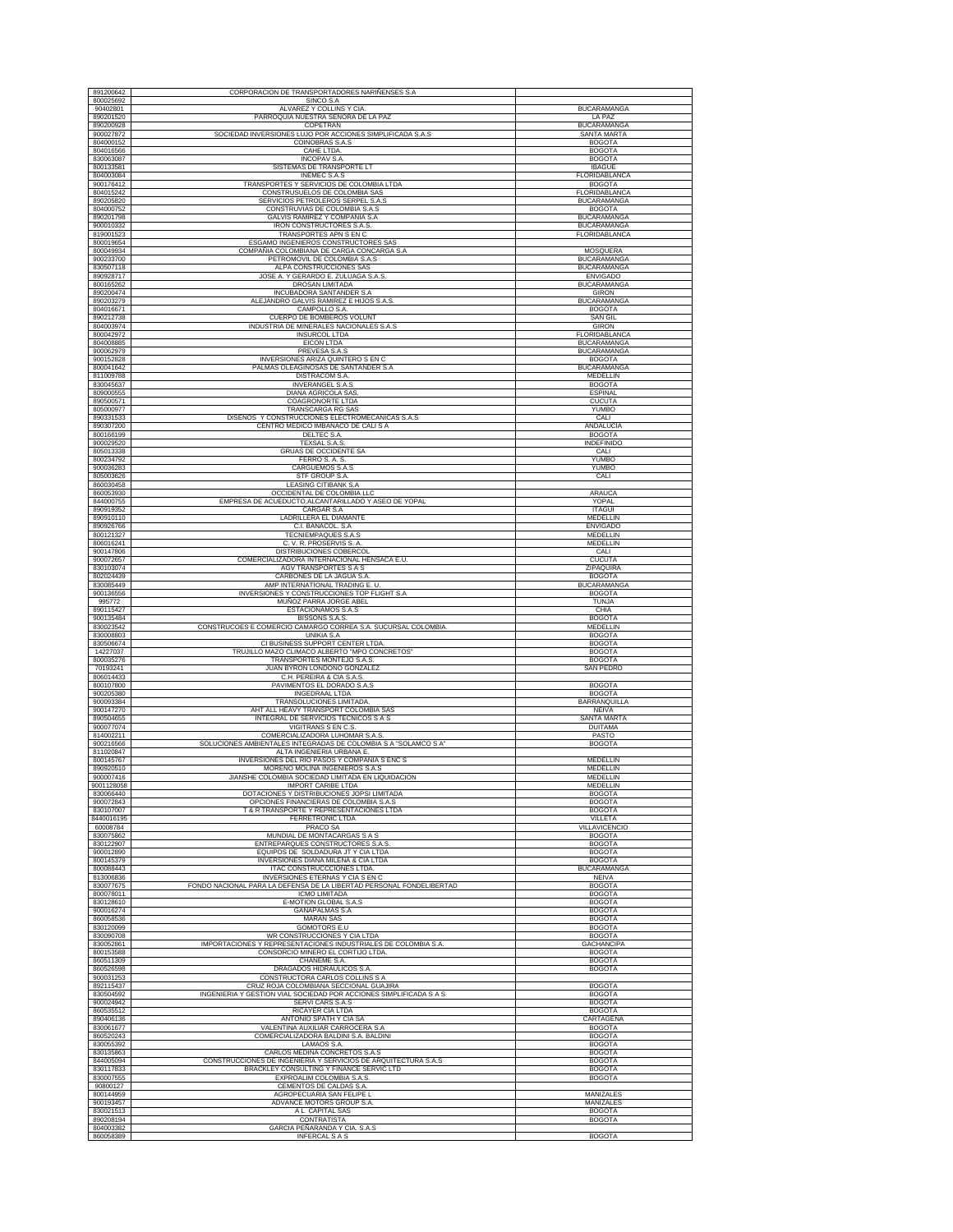| 891200642               | CORPORACION DE TRANSPORTADORES NARIÑENSES S.A                                                       |                                          |
|-------------------------|-----------------------------------------------------------------------------------------------------|------------------------------------------|
| 800025692               | SINCO S.A                                                                                           | <b>BUCARAMANGA</b>                       |
| 90402801<br>890201520   | ALVAREZ Y COLLINS Y CIA<br>PARROQUIA NUESTRA SEÑORA DE LA PAZ                                       | LA PAZ                                   |
| 890200928               | COPETRAN                                                                                            | BUCARAMANGA                              |
| 900027872<br>804000152  | SOCIEDAD INVERSIONES LUJO POR ACCIONES SIMPLIFICADA S.A.S<br><b>COINOBRAS S.A.S</b>                 | <b>SANTA MARTA</b><br><b>BOGOTA</b>      |
| 804016566               | CAHE LTDA.                                                                                          | <b>BOGOTA</b>                            |
| 830063087<br>800133581  | <b>INCOPAV S.A</b><br>SISTEMAS DE TRANSPORTE LT                                                     | <b>BOGOTA</b><br><b>IBAGUE</b>           |
| 804003084               | <b>INEMEC S.A.S</b>                                                                                 | FLORIDABLANCA                            |
| 900176412<br>804015242  | TRANSPORTES Y SERVICIOS DE COLOMBIA LTDA<br>CONSTRUSUELOS DE COLOMBIA SAS                           | <b>BOGOTA</b><br>FLORIDABLANCA           |
| 890205820               | SERVICIOS PETROLEROS SERPEL S.A.S                                                                   | BUCARAMANGA                              |
| 804000752               | CONSTRUVIAS DE COLOMBIA S.A.S<br>GALVIS RAMIREZ Y COMPAÑIA S.A                                      | <b>BOGOTA</b>                            |
| 890201798<br>900010332  | <b>IRON CONSTRUCTORES S.A.S.</b>                                                                    | <b>BUCARAMANGA</b><br>BUCARAMANGA        |
| 819001523               | TRANSPORTES APN S EN C                                                                              | FLORIDABLANCA                            |
| 800019654<br>800049934  | ESGAMO INGENIEROS CONSTRUCTORES SAS<br>COMPAÑIA COLOMBIANA DE CARGA CONCARGA S.A                    | MOSQUERA                                 |
| 900233700               | PETROMOVIL DE COLOMBIA S.A.S                                                                        | <b>BUCARAMANGA</b>                       |
| 830507118<br>890928717  | ALPA CONSTRUCCIONES SAS<br>JOSE A. Y GERARDO E. ZULUAGA S.A.S.                                      | <b>BUCARAMANGA</b><br><b>ENVIGADO</b>    |
| 800165262               | DROSAN LIMITADA                                                                                     | <b>BUCARAMANGA</b>                       |
| 890200474<br>890203279  | INCUBADORA SANTANDER S.A<br>ALEJANDRO GALVIS RAMIREZ E HIJOS S.A.S.                                 | <b>GIRON</b><br><b>BUCARAMANGA</b>       |
| 804016671               | CAMPOLLO S.A.                                                                                       | <b>BOGOTA</b>                            |
| 890212738<br>804003974  | CUERPO DE BOMBEROS VOLUNT<br>INDUSTRIA DE MINERALES NACIONALES S.A.S                                | <b>SAN GIL</b><br><b>GIRON</b>           |
| 800042972               | <b>INSURCOL LTDA</b>                                                                                | FLORIDABLANCA                            |
| 804008885<br>900062979  | <b>EICON LTDA</b><br>PREVESA S.A.S                                                                  | <b>BUCARAMANGA</b><br><b>BUCARAMANGA</b> |
| 900152828               | INVERSIONES ARIZA QUINTERO S EN C                                                                   | <b>BOGOTA</b>                            |
| 800041642<br>811009788  | PALMAS OLEAGINOSAS DE SANTANDER S.A<br>DISTRACOM S.A.                                               | <b>BUCARAMANGA</b><br>MEDELLIN           |
| 830045637               | <b>INVERANGEL S.A.S</b>                                                                             | <b>BOGOTA</b>                            |
| 809000555<br>890500571  | DIANA AGRICOLA SAS<br>COAGRONORTE LTDA                                                              | <b>ESPINAL</b><br><b>CUCUTA</b>          |
| 805000977               | TRANSCARGA RG SAS                                                                                   | YUMBO                                    |
| 890331533<br>890307200  | DISEÑOS Y CONSTRUCCIONES ELECTROMECANICAS S.A.S<br>CENTRO MÉDICO IMBANACO DE CALI S A               | CALI                                     |
| 800166199               | DELTEC S.A.                                                                                         | ANDALUCIA<br><b>BOGOTA</b>               |
| 900029520<br>805013338  | <b>TEXSAL S.A.S</b><br>GRUAS DE OCCIDENTE SA                                                        | INDEFINIDO<br>CALI                       |
| 800234792               | FERRO S. A. S.                                                                                      | YUMBO                                    |
| 900036283<br>805003626  | CARGUEMOS S.A.S<br>STF GROUP S.A.                                                                   | YUMBO<br>CALI                            |
| 860030458               | LEASING CITIBANK S.A                                                                                |                                          |
| 860053930<br>844000755  | OCCIDENTAL DE COLOMBIA LLC<br>EMPRESA DE ACUEDUCTO, ALCANTARILLADO Y ASEO DE YOPAL                  | ARAUCA<br>YOPAL                          |
| 890919352               | CARGAR S.A                                                                                          | <b>ITAGUI</b>                            |
| 890910110               | LADRILLERA EL DIAMANTE                                                                              | MEDELLIN                                 |
| 890926766<br>800121327  | C.I. BANACOL. S.A.<br>TECNIEMPAQUES S.A.S                                                           | <b>ENVIGADO</b><br>MEDELLIN              |
| 806016241               | C.V.R. PROSERVIS S.A.                                                                               | MEDELLIN                                 |
| 900147806<br>900072657  | DISTRIBUCIONES COBERCOL<br>COMERCIALIZADORA INTERNACIONAL HENSACA E.U.                              | CALI<br><b>CUCUTA</b>                    |
| 830103074               | AGV TRANSPORTES S A S                                                                               | ZIPAQUIRA                                |
| 802024439<br>830085449  | CARBONES DE LA JAGUA S.A<br>AMP INTERNATIONAL TRADING E. U                                          | <b>BOGOTA</b><br><b>BUCARAMANGA</b>      |
| 900136556               | INVERSIONES Y CONSTRUCCIONES TOP FLIGHT S.A                                                         | <b>BOGOTA</b>                            |
| 995772<br>890115427     | MUÑOZ PARRA JORGE ABEL<br>ESTACIONAMOS S.A.S                                                        | TUNJA<br>CHIA                            |
| 900135484               | BISSONS S.A.S.                                                                                      | <b>BOGOTA</b>                            |
| 830023542<br>830008803  | CONSTRUCOES E COMERCIO CAMARGO CORREA S.A. SUCURSAL COLOMBIA<br>UNIKIA S.A                          | MEDELLIN<br><b>BOGOTA</b>                |
| 830506674<br>14227037   | CI BUSINESS SUPPORT CENTER LTDA<br>TRUJILLO MAZO CLIMACO ALBERTO "MPO CONCRETOS"                    | <b>BOGOTA</b><br><b>BOGOTA</b>           |
| 800035276               | TRANSPORTES MONTEJO S.A.S.                                                                          | <b>BOGOTA</b>                            |
| 70193241<br>806014433   | JUAN BYRON LONDOÑO GONZALEZ<br>C.H. PEREIRA & CIA S.A.S.                                            | <b>SAN PEDRO</b>                         |
| 800107800               | PAVIMENTOS EL DORADO S.A.S                                                                          | <b>BOGOTA</b>                            |
| 900205380<br>900093384  | <b>INGEDRAAL LTDA</b><br>TRANSOLUCIONES LIMITADA                                                    | <b>BOGOTA</b><br><b>BARRANQUILLA</b>     |
| 900147270               | AHT ALL HEAVY TRANSPORT COLOMBIA SAS                                                                | <b>NEIVA</b>                             |
| 890504655<br>900077074  | INTEGRAL DE SERVICIOS TECNICOS S A S<br>VIGITRANS S EN C.S.                                         | SANTA MARTA<br><b>DUITAMA</b>            |
| 814002211               | COMERCIALIZADORA LUHOMAR S.A.S.                                                                     | PASTO                                    |
| 900216566<br>811020847  | SOLUCIONES AMBIENTALES INTEGRADAS DE COLOMBIA S A "SOLAMCO S A"<br>ALTA INGENIERIA URBANA E         | <b>BOGOTA</b>                            |
| 800145767               | INVERSIONES DEL RIÓ PASOS Y COMPAÑÍA S ENC S                                                        | MEDELLIN                                 |
| 890920510               | MORENO MOLINA INGENIEROS S.A.S                                                                      | <b>MEDELLIN</b><br>MEDELLIN              |
| 900007416<br>9001128058 | JIANSHE COLOMBIA SOCIEDAD LIMITADA EN LIQUIDACION<br><b>IMPORT CARIBE LTDA</b>                      | MEDELLIN                                 |
| 830066440               | DOTACIONES Y DISTRIBUCIONES JOPSI LIMITADA                                                          | <b>BOGOTA</b>                            |
| 900072843<br>830107007  | OPCIONES FINANCIERAS DE COLOMBIA S.A.S<br>T & R TRANSPORTE Y REPRESENTACIONES LTDA                  | <b>BOGOTA</b><br><b>BOGOTA</b>           |
| 8440016195<br>60008784  | FERRETRONIC LTDA<br><b>PRACO SA</b>                                                                 | VILLETA<br><b>VILLAVICENCIO</b>          |
| 830075862               | MUNDIAL DE MONTACARGAS S A S                                                                        | <b>BOGOTA</b>                            |
| 830122907<br>900012890  | ENTREPARQUES CONSTRUCTORES S.A.S<br>EQUIPOS DE SOLDADURA JT Y CIA LTDA                              | <b>BOGOTA</b><br><b>BOGOTA</b>           |
| 800145379               | INVERSIONES DIANA MILENA & CIA LTDA                                                                 | <b>BOGOTA</b>                            |
| 800088443<br>813006836  | <b>ITAC CONSTRUCCCIONES LTDA.</b><br>INVERSIONES ETERNAS Y CIA S EN C                               | <b>BUCARAMANGA</b><br><b>NEIVA</b>       |
| 830077675               | FONDO NACIONAL PARA LA DEFENSA DE LA LIBERTAD PERSONAL FONDELIBERTAD                                | <b>BOGOTA</b>                            |
| 800078011<br>830128610  | <b>ICMO LIMITADA</b>                                                                                | <b>BOGOTA</b>                            |
| 900016274               | E-MOTION GLOBAL S.A.S<br><b>GANAPALMAS S.A</b>                                                      | <b>BOGOTA</b><br><b>BOGOTA</b>           |
| 860058536<br>830120099  | <b>MARAN SAS</b><br><b>GOMOTORS E.U</b>                                                             | <b>BOGOTA</b><br><b>BOGOTA</b>           |
| 830090708               | WR CONSTRUCCIONES Y CIA LTDA                                                                        | <b>BOGOTA</b>                            |
| 830052861<br>800153588  | IMPORTACIONES Y REPRESENTACIONES INDUSTRIALES DE COLOMBIA S.A.<br>CONSORCIO MINERO EL CORTIJO LTDA. | <b>GACHANCIPA</b><br><b>BOGOTA</b>       |
| 860511309               | CHANEME S.A.                                                                                        | <b>BOGOTA</b>                            |
| 860526598<br>900031253  | DRAGADOS HIDRAULICOS S.A.<br>CONSTRUCTORA CARLOS COLLINS S A                                        | <b>BOGOTA</b>                            |
| 892115437               | CRUZ ROJA COLOMBIANA SECCIONAL GUAJIRA                                                              | <b>BOGOTA</b>                            |
| 830504592<br>900024942  | INGENIERIA Y GESTION VIAL SOCIEDAD POR ACCIONES SIMPLIFICADA S A S<br>SERVI CARS S.A.S              | <b>BOGOTA</b><br><b>BOGOTA</b>           |
| 860535512               | RICAYER CIA LTDA                                                                                    | <b>BOGOTA</b>                            |
| 890406136<br>830061677  | ANTONIO SPATH Y CIA SA<br>VALENTINA AUXILIAR CARROCERA S.A                                          | CARTAGENA<br><b>BOGOTA</b>               |
| 860520243               | COMERCIALIZADORA BALDINI S.A. BALDINI                                                               | <b>BOGOTA</b>                            |
| 830055392<br>830135863  | LAMAOS S.A.<br>CARLOS MEDINA CONCRETOS S.A.S                                                        | <b>BOGOTA</b><br><b>BOGOTA</b>           |
| 844005094               | CONSTRUCCIONES DE INGENIERIA Y SERVICIOS DE ARQUITECTURA S.A.S                                      | <b>BOGOTA</b>                            |
| 830117833<br>830007555  | BRACKLEY CONSULTING Y FINANCE SERVIC LTD<br>EXPROALIM COLOMBIA S.A.S.                               | <b>BOGOTA</b><br><b>BOGOTA</b>           |
| 90800127                | CEMENTOS DE CALDAS S.A.                                                                             |                                          |
| 800144959<br>900193457  | AGROPECUARIA SAN FELIPE L<br>ADVANCE MOTORS GROUP S.A                                               | MANIZALES<br>MANIZALES                   |
| 830021513               | A L CAPITAL SAS                                                                                     | <b>BOGOTA</b>                            |
| 890208194<br>804003382  | CONTRATISTA<br>GARCIA PEÑARANDA Y CIA. S.A.S                                                        | <b>BOGOTA</b>                            |
|                         | <b>INFERCAL S A S</b>                                                                               | <b>BOGOTA</b>                            |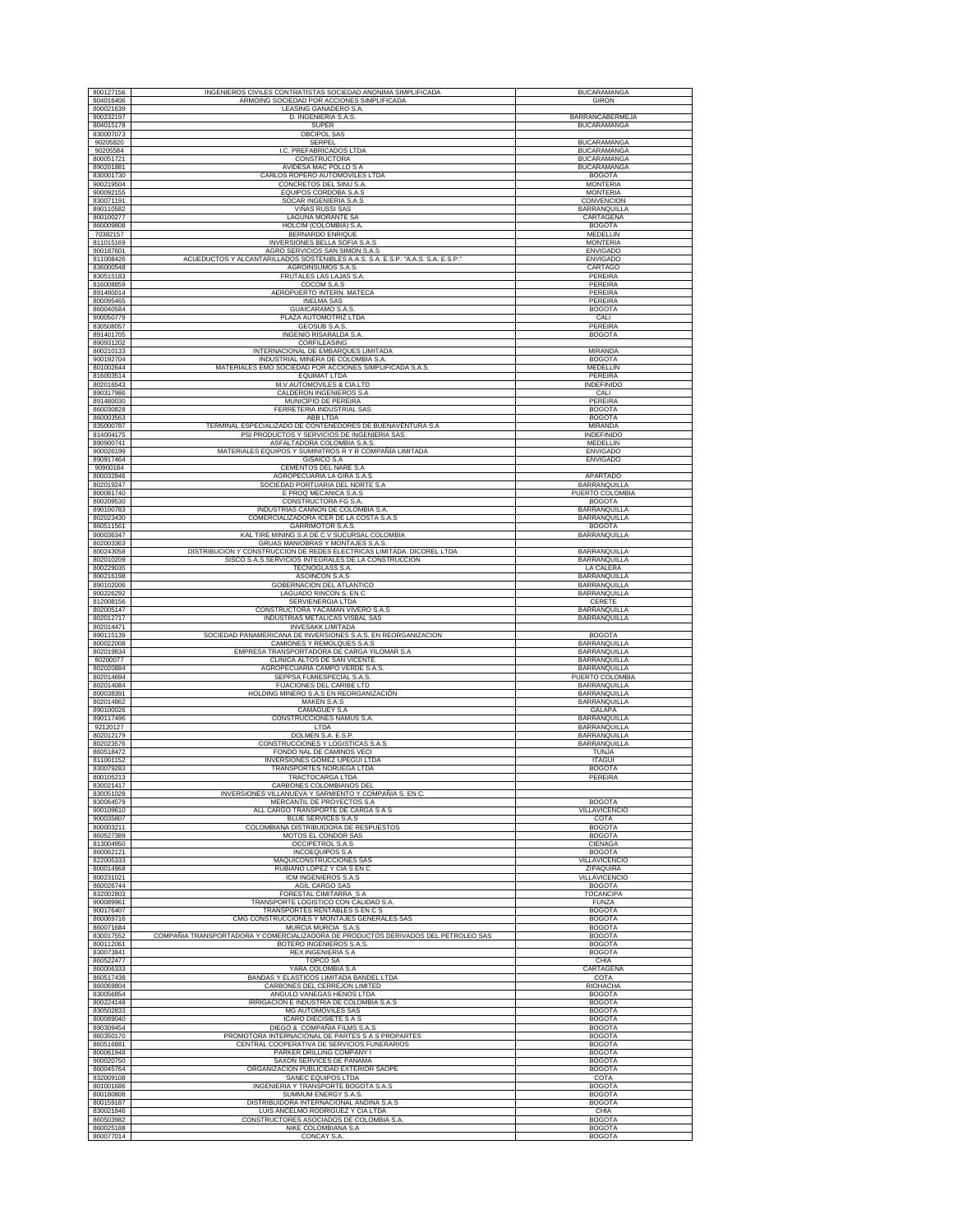| 800127156              | INGENIEROS CIVILES CONTRATISTAS SOCIEDAD ANONIMA SIMPLIFICADA                      | <b>BUCARAMANGA</b>                       |
|------------------------|------------------------------------------------------------------------------------|------------------------------------------|
| 804016406              | ARMOING SOCIEDAD POR ACCIONES SIMPLIFICADA                                         | <b>GIRON</b>                             |
| 800021639              | LEASING GANADERO S.A.                                                              |                                          |
| 800232197              | D. INGENIERIA S.A.S                                                                | BARRANCABERMEJA                          |
| 804015178<br>830007073 | <b>SUPER</b><br><b>OBCIPOL SAS</b>                                                 | <b>BUCARAMANGA</b>                       |
|                        |                                                                                    |                                          |
| 90205820<br>90205584   | SERPEL<br>I.C. PREFABRICADOS LTDA                                                  | <b>BUCARAMANGA</b><br><b>BUCARAMANGA</b> |
| 800051721              | CONSTRUCTORA                                                                       | <b>BUCARAMANGA</b>                       |
| 890201881              |                                                                                    | <b>BUCARAMANGA</b>                       |
| 830001730              | AVIDESA MAC POLLO S A<br>CARLOS ROPERO AUTOMOVILES LTDA                            | <b>BOGOTA</b>                            |
| 900219504              | CONCRETOS DEL SINU S.A                                                             | <b>MONTERIA</b>                          |
| 900092155              | EQUIPOS CORDOBA S.A.S                                                              | <b>MONTERIA</b>                          |
|                        | SOCAR INGENIERIA S.A.S                                                             |                                          |
| 830071191<br>890110582 |                                                                                    | CONVENCION                               |
|                        | VIÑAS RUSSI SAS                                                                    | BARRANQUILLA                             |
| 800100277              | LAGUNA MORANTE SA                                                                  | CARTAGENA                                |
| 860009808              | HOLCIM (COLOMBIA) S.A                                                              | <b>BOGOTA</b>                            |
| 70382157<br>811015169  | BERNARDO ENRIQUE                                                                   | MEDELLIN<br><b>MONTERIA</b>              |
| 900187601              | INVERSIONES BELLA SOFIA S.A.S<br>AGRO SERVICIOS SAN SIMON S.A.S                    | <b>ENVIGADO</b>                          |
| 811008426              | ACUEDUCTOS Y ALCANTARILLADOS SOSTENIBLES A.A.S. S.A. E.S.P. "A.A.S. S.A. E.S.P.    | <b>ENVIGADO</b>                          |
| 836000548              | AGROINSUMOS S.A.S.                                                                 | CARTAGO                                  |
| 830515183              | FRUTALES LAS LAJAS S.A                                                             | PEREIRA                                  |
| 816008859              | COCOM S.A.S                                                                        | PEREIRA                                  |
| 891480014              | AEROPUERTO INTERN. MATECA                                                          | PEREIRA                                  |
| 800095465              | <b>INELMA SAS</b>                                                                  | PEREIRA                                  |
| 860040584              | <b>GUAICARAMO S.A.S</b>                                                            | <b>BOGOTA</b>                            |
| 900050779              | PLAZA AUTOMOTRIZ LTDA                                                              | CALI                                     |
| 830508057              | <b>GEOSUB S.A.S.</b>                                                               | PEREIRA                                  |
| 891401705              | <b>INGENIO RISARALDA S.A</b>                                                       | <b>BOGOTA</b>                            |
| 890931202              | CORFILEASING                                                                       |                                          |
| 800210133              | INTERNACIONAL DE EMBARQUES LIMITADA                                                | <b>MIRANDA</b>                           |
| 900192704              | INDUSTRIAL MINERA DE COLOMBIA S.A.                                                 | <b>BOGOTA</b>                            |
| 801002644              | MATERIALES EMO SOCIEDAD POR ACCIONES SIMPLIFICADA S.A.S                            | MEDELLIN                                 |
| 816003514              | <b>EQUIMAT LTDA</b>                                                                | PEREIRA                                  |
| 802016543              | M.V.AUTOMOVILES & CIA.LTD                                                          | <b>INDEFINIDO</b>                        |
| 890317986              | CALDERON INGENIEROS S.A                                                            | CALI                                     |
| 891480030              | MUNICIPIO DE PEREIRA                                                               | PEREIRA                                  |
| 860030828              | FERRETERIA INDUSTRIAL SAS                                                          | <b>BOGOTA</b>                            |
| 860003563              | ABB LTDA                                                                           | <b>BOGOTA</b>                            |
| 835000787              | TERMINAL ESPECIALIZADO DE CONTENEDORES DE BUENAVENTURA S.A                         | <b>MIRANDA</b>                           |
| 814004175              | PSI PRODUCTOS Y SERVICIOS DE INGENIERIA SAS                                        | <b>INDEFINIDO</b>                        |
| 890900741              | ASFALTADORA COLOMBIA S.A.S.                                                        | MEDELLIN                                 |
| 900026199              | MATERIALES EQUIPOS Y SUMINITROS R Y R COMPAÑÍA LIMITADA                            | <b>ENVIGADO</b>                          |
| 890917464              | GISAICO S.A                                                                        | <b>ENVIGADO</b>                          |
| 90900184               | CEMENTOS DEL NARE S.A                                                              |                                          |
| 800032846              | AGROPECUARIA LA GIRA S.A.S                                                         | <b>APARTADO</b>                          |
| 802019247              | SOCIEDAD PORTUARIA DEL NORTE S.A.                                                  | BARRANQUILLA                             |
| 800081740              | E PROQ MECANICA S.A.S                                                              | PUERTO COLOMBIA                          |
| 800209530              | CONSTRUCTORA FG S.A.                                                               | <b>BOGOTA</b>                            |
| 890100783              | INDUSTRIAS CANNON DE COLOMBIA S.A                                                  | BARRANQUILLA                             |
| 802023430              | COMERCIALIZADORA ICER DE LA COSTA S.A.S                                            | BARRANQUILLA                             |
| 860511561              | GARRIMOTOR S.A.S.                                                                  | <b>BOGOTA</b>                            |
| 900036347              | KAL TIRE MINING S.A DE C.V SUCURSAL COLOMBIA                                       | <b>BARRANQUILLA</b>                      |
| 802003363              | GRUAS MANIOBRAS Y MONTAJES S.A.S.                                                  |                                          |
| 800243058              | DISTRIBUCION Y CONSTRUCCION DE REDES ELECTRICAS LIMITADA. DICOREL LTDA             | <b>BARRANQUILLA</b>                      |
| 802010209              | SISCO S.A.S SERVICIOS INTEGRALES DE LA CONSTRUCCION                                | BARRANQUILLA                             |
| 800229035              | <b>TECNOGLASS S.A.</b>                                                             | LA CALERA                                |
| 800216198              | ASOINCON S.A.S                                                                     | BARRANQUILLA                             |
| 890102006              | <b>GOBERNACION DEL ATLANTICO</b>                                                   | BARRANQUILLA                             |
| 900226292              | LAGUADO RINCON S. EN C                                                             | <b>BARRANQUILLA</b>                      |
|                        |                                                                                    |                                          |
| 812008156              | SERVIENERGIA LTDA                                                                  | CERETE                                   |
| 802005147              | CONSTRUCTORA YACAMAN VIVERO S.A.S                                                  | <b>BARRANQUILLA</b>                      |
| 802012717              | INDUSTRIAS METALICAS VISBAL SAS                                                    | BARRANQUILLA                             |
| 802014471              | <b>INVESAKK LIMITADA</b>                                                           |                                          |
| 890115139              | SOCIEDAD PANAMERICANA DE INVERSIONES S.A.S. EN REORGANIZACION                      | <b>BOGOTA</b>                            |
| 800022008              | CAMIONES Y REMOLQUES S.A.S                                                         | BARRANQUILLA                             |
| 802019834              | EMPRESA TRANSPORTADORA DE CARGA YILOMAR S.A                                        | BARRANQUILLA                             |
| 80200077               | CLINICA ALTOS DE SAN VICENTE                                                       | BARRANQUILLA                             |
| 802020884              | AGROPECUARIA CAMPO VERDE S.A.S                                                     | <b>BARRANQUILLA</b>                      |
| 802014694              | SEPPSA FUMIESPECIAL S.A.S                                                          | PUERTO COLOMBIA                          |
| 802014084              | FIJACIONES DEL CARIBE LTD                                                          | BARRANQUILLA                             |
| 800038391              | HOLDING MINERO S.A.S EN REORGANIZACIÓN                                             | <b>BARRANQUILLA</b>                      |
| 802014862<br>890100026 | MAKEN S.A.S<br>CAMAGUEY S.A                                                        | BARRANQUILLA<br><b>GALAPA</b>            |
| 890117496              | CONSTRUCCIONES NAMUS S.A.                                                          |                                          |
| 92120127               | LTDA                                                                               | BARRANQUILLA<br><b>BARRANQUILLA</b>      |
| 802012179              | DOLMEN S.A. E.S.P                                                                  | BARRANQUILLA                             |
| 802023576              | CONSTRUCCIONES Y LOGISTICAS S.A.S                                                  | <b>BARRANQUILLA</b>                      |
| 860518472              | FONDO NAL DE CAMINOS VECI                                                          | TUNJA                                    |
| 811001152              | INVERSIONES GOMEZ UPEGUI LTDA                                                      | <b>ITAGUI</b>                            |
| 830079283              | TRANSPORTES NORUEGA LTDA                                                           | <b>BOGOTA</b>                            |
| 800105213              | TRACTOCARGA LTDA                                                                   | PEREIRA                                  |
| 830021417              | CARBONES COLOMBIANOS DEL                                                           |                                          |
| 830051028              | INVERSIONES VILLANUEVA Y SARMIENTO Y COMPAÑIA S. EN C                              |                                          |
| 830064579              | MERCANTIL DE PROYECTOS S.A.                                                        | <b>BOGOTA</b>                            |
| 900109610              | ALL CARGO TRANSPORTE DE CARGA S A S                                                | VILLAVICENCIO                            |
| 900035807              | <b>BLUE SERVICES S.A.S</b>                                                         | COTA                                     |
| 800003211              | COLOMBIANA DISTRIBUIDORA DE RESPUESTOS                                             | <b>BOGOTA</b>                            |
| 860527389              | MOTOS EL CONDOR SAS                                                                | <b>BOGOTA</b>                            |
| 813004950              | OCCIPETROL S.A.S                                                                   | CIENAGA                                  |
| 860062121              | <b>INCOEQUIPOS S.A</b>                                                             | <b>BOGOTA</b>                            |
| 822005333<br>800014968 | MAQUICONSTRUCCIONES SAS<br>RUBIANO LOPEZ Y CIA S EN C                              | <b>VILLAVICENCIO</b><br>ZIPAQUIRA        |
| 800231021              | ICM INGENIEROS S.A.S                                                               | <b>VILLAVICENCIO</b>                     |
| 860026744              | <b>AGIL CARGO SAS</b>                                                              | <b>BOGOTA</b>                            |
| 832002803              | FORESTAL CIMITARRA_S A                                                             | TOCANCIPA                                |
| 900089961              | TRANSPORTE LOGISTICO CON CALIDAD S.A                                               | <b>FUNZA</b>                             |
| 900176407              | TRANSPORTES RENTABLES S EN C S                                                     | <b>BOGOTA</b>                            |
| 860069716              | CMG CONSTRUCCIONES Y MONTAJES GENERALES SAS                                        | <b>BOGOTA</b>                            |
| 860071684              | <b>MURCIA MURCIA S.A.S</b>                                                         | <b>BOGOTA</b>                            |
| 830017552              | COMPAÑIA TRANSPORTADORA Y COMERCIALIZADORA DE PRODUCTOS DERIVADOS DEL PETROLEO SAS | <b>BOGOTA</b>                            |
| 800112061              | BOTERO INGENIEROS S.A.S                                                            | <b>BOGOTA</b>                            |
| 830073841              | REX INGENIERIA S A                                                                 | <b>BOGOTA</b>                            |
| 860522477              | <b>TOPCO SA</b>                                                                    | CHIA                                     |
| 860006333              | YARA COLOMBIA S.A                                                                  | CARTAGENA                                |
| 860517438              | BANDAS Y ELASTICOS LIMITADA BANDEL LTDA                                            | COTA                                     |
| 860069804              | CARBONES DEL CERREJON LIMITED                                                      | RIOHACHA                                 |
| 830056854              | ANGULO VANEGAS HENOS LTDA                                                          | <b>BOGOTA</b>                            |
| 800224148              | IRRIGACION E INDUSTRIA DE COLOMBIA S.A.S                                           | <b>BOGOTA</b>                            |
| 830502833              | <b>MG AUTOMOVILES SAS</b>                                                          | <b>BOGOTA</b>                            |
| 800089040              | <b>ICARO DIECISIETE S A S</b>                                                      | <b>BOGOTA</b>                            |
| 890309454              | DIEGO & COMPAÑIA FILMS S.A.S                                                       | <b>BOGOTA</b>                            |
| 860350170              | PROMOTORA INTERNACIONAL DE PARTES S A S PROPARTES                                  | <b>BOGOTA</b>                            |
| 860516881              | CENTRAL COOPERATIVA DE SERVICIOS FUNERARIOS                                        | <b>BOGOTA</b>                            |
| 800061948              | PARKER DRILLING COMPANY I                                                          | <b>BOGOTA</b>                            |
| 900020750              | SAXON SERVICES DE PANAMA                                                           | <b>BOGOTA</b>                            |
| 860045764              | ORGANIZACION PUBLICIDAD EXTERIOR SAOPE                                             | <b>BOGOTA</b>                            |
| 832009108              | SANEC EQUIPOS LTDA                                                                 | COTA                                     |
| 801001686              | INGENIERIA Y TRANSPORTE BOGOTA S.A.S                                               | <b>BOGOTA</b>                            |
| 800180808              | SUMMUM ENERGY S.A.S                                                                | <b>BOGOTA</b>                            |
| 800159187              | DISTRIBUIDORA INTERNACIONAL ANDINA S.A.S                                           | <b>BOGOTA</b>                            |
| 830021846              | LUIS ANCELMO RODRIGUEZ Y CIA LTDA                                                  | CHIA                                     |
| 860503982<br>860025188 | CONSTRUCTORES ASOCIADOS DE COLOMBIA S.A.<br>NIKE COLOMBIANA S.A                    | <b>BOGOTA</b><br><b>BOGOTA</b>           |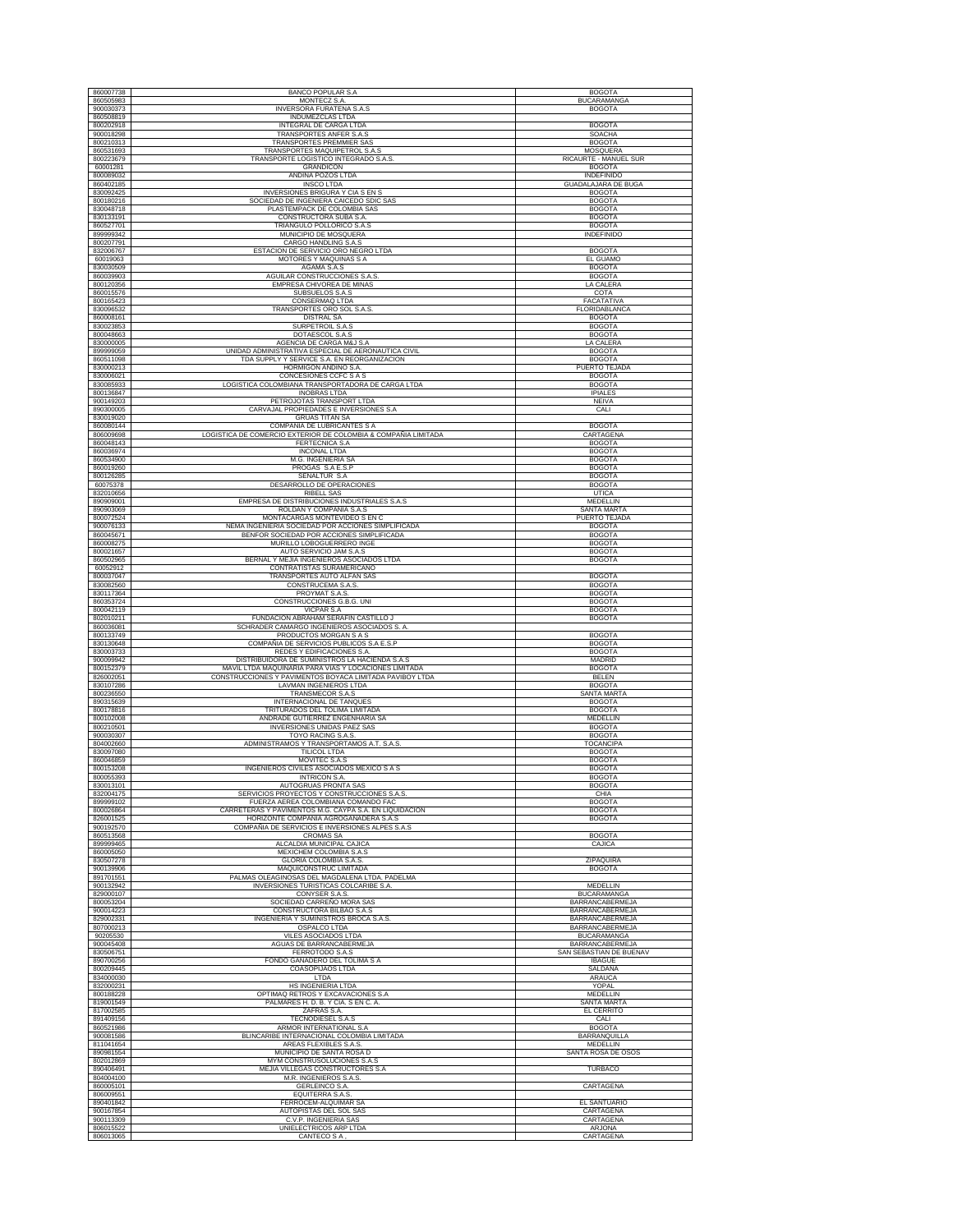| 860007738              | <b>BANCO POPULAR S.A</b>                                                           | <b>BOGOTA</b>                    |
|------------------------|------------------------------------------------------------------------------------|----------------------------------|
| 860505983              | MONTECZ S.A                                                                        | <b>BUCARAMANGA</b>               |
| 900030373              | <b>INVERSORA FURATENA S.A.S</b>                                                    | <b>BOGOTA</b>                    |
| 860508819              | <b>INDUMEZCLAS LTDA</b>                                                            |                                  |
| 800202918              | INTEGRAL DE CARGA LTDA                                                             | <b>BOGOTA</b>                    |
| 900018298              | TRANSPORTES ANFER S.A.S                                                            | SOACHA                           |
| 800210313<br>860531693 | TRANSPORTES PREMMIER SAS<br>TRANSPORTES MAQUIPETROL S.A.S                          | <b>BOGOTA</b><br><b>MOSQUERA</b> |
| 800223679              | TRANSPORTE LOGISTICO INTEGRADO S.A.S.                                              | RICAURTE - MANUEL SUR            |
| 60001281               | <b>GRANDICON</b>                                                                   | <b>BOGOTA</b>                    |
| 800089032              | ANDINA POZOS LTDA                                                                  | INDEFINIDO                       |
| 860402185              | <b>INSCO LTDA</b>                                                                  | GUADALAJARA DE BUGA              |
| 830092425              | <b>INVERSIONES BRIGURA Y CIA S EN S</b>                                            | <b>BOGOTA</b>                    |
| 800180216              | SOCIEDAD DE INGENIERA CAICEDO SDIC SAS                                             | <b>BOGOTA</b>                    |
| 830048718              | PLASTEMPACK DE COLOMBIA SAS                                                        | <b>BOGOTA</b>                    |
| 830133191              | CONSTRUCTORA SUBA S.A.                                                             | <b>BOGOTA</b>                    |
| 860527701              | TRIANGULO POLLORICO S.A.S                                                          | <b>BOGOTA</b>                    |
| 899999342              | MUNICIPIO DE MOSQUERA                                                              | <b>INDEFINIDO</b>                |
| 800207791              | CARGO HANDLING S.A.S                                                               |                                  |
| 832006767              | ESTACION DE SERVICIO ORO NEGRO LTDA                                                | <b>BOGOTA</b>                    |
| 60019063               | MOTORES Y MAQUINAS S A                                                             | EL GUAMO                         |
| 830030509              | AGAMA S.A.S                                                                        | <b>BOGOTA</b>                    |
| 860039903              | AGUILAR CONSTRUCCIONES S.A.S                                                       | <b>BOGOTA</b>                    |
| 800120356              | EMPRESA CHIVOREA DE MINAS                                                          | LA CALERA                        |
| 860015576              | SUBSUELOS S.A.S                                                                    | COTA                             |
| 800165423              | CONSERMAQ LTDA                                                                     | FACATATIVA                       |
| 830096532              | TRANSPORTES ORO SOL S.A.S                                                          | FLORIDABLANCA                    |
| 860008161<br>830023853 | <b>DISTRAL SA</b><br><b>SURPETROIL S.A.S</b>                                       | <b>BOGOTA</b><br><b>BOGOTA</b>   |
| 800048663              | DOTAESCOL S.A.S                                                                    | <b>BOGOTA</b>                    |
| 830000005              | AGENCIA DE CARGA M&J S.A                                                           | LA CALERA                        |
| 899999059              | UNIDAD ADMINISTRATIVA ESPECIAL DE AERONAUTICA CIVIL                                | <b>BOGOTA</b>                    |
| 860511098              | TDA SUPPLY Y SERVICE S.A. EN REORGANIZACION                                        | <b>BOGOTA</b>                    |
| 830000213              | HORMIGON ANDINO S.A.                                                               | PUERTO TEJADA                    |
| 830006021              | CONCESIONES CCFC S A S                                                             | <b>BOGOTA</b>                    |
| 830085933              | LOGISTICA COLOMBIANA TRANSPORTADORA DE CARGA LTDA                                  | <b>BOGOTA</b>                    |
| 800136847              | <b>INOBRAS LTDA</b>                                                                | <b>IPIALES</b>                   |
| 900149203              | PETROJOTAS TRANSPORT LTDA                                                          | <b>NEIVA</b>                     |
| 890300005              | CARVAJAL PROPIEDADES E INVERSIONES S.A                                             | CALI                             |
| 830019020              | <b>GRUAS TITAN SA</b>                                                              |                                  |
| 860080144              | COMPAÑIA DE LUBRICANTES S A                                                        | <b>BOGOTA</b>                    |
| 806009698              | LOGISTICA DE COMERCIO EXTERIOR DE COLOMBIA & COMPAÑIA LIMITADA                     | CARTAGENA                        |
| 860048143              | <b>FERTECNICA S.A</b>                                                              | <b>BOGOTA</b>                    |
| 860036974              | <b>INCONAL LTDA</b>                                                                | <b>BOGOTA</b>                    |
| 860534900              | M.G. INGENIERIA SA                                                                 | <b>BOGOTA</b>                    |
| 860019260              | PROGAS S.A E.S.P                                                                   | <b>BOGOTA</b>                    |
| 800126285              | SENALTUR S.A                                                                       | <b>BOGOTA</b>                    |
| 60075378<br>832010656  | DESARROLLO DE OPERACIONES<br><b>RIBELL SAS</b>                                     | <b>BOGOTA</b>                    |
|                        | EMPRESA DE DISTRIBUCIONES INDUSTRIALES S.A.S.                                      | <b>UTICA</b><br>MEDELLIN         |
| 890909001<br>890903069 | ROLDAN Y COMPAÑIA S.A.S                                                            | <b>SANTA MARTA</b>               |
| 800072524              | MONTACARGAS MONTEVIDEO S EN C                                                      | PUERTO TEJADA                    |
| 900076133              | NEMA INGENIERIA SOCIEDAD POR ACCIONES SIMPLIFICADA                                 | <b>BOGOTA</b>                    |
| 860045671              | BENFOR SOCIEDAD POR ACCIONES SIMPLIFICADA                                          | <b>BOGOTA</b>                    |
| 860008275              | MURILLO LOBOGUERRERO INGE                                                          | <b>BOGOTA</b>                    |
| 800021657              | AUTO SERVICIO JAM S.A.S                                                            | <b>BOGOTA</b>                    |
| 860502965              | BERNAL Y MEJIA INGENIEROS ASOCIADOS LTDA                                           | <b>BOGOTA</b>                    |
| 60052912               | CONTRATISTAS SURAMERICANO                                                          |                                  |
| 800037047              | TRANSPORTES AUTO ALFAN SAS                                                         | <b>BOGOTA</b>                    |
| 830082560              | CONSTRUCEMA S.A.S.                                                                 | <b>BOGOTA</b>                    |
| 830117364              | PROYMAT S.A.S.                                                                     | <b>BOGOTA</b>                    |
| 860353724              | CONSTRUCCIONES G.B.G. UNI                                                          | <b>BOGOTA</b>                    |
|                        |                                                                                    |                                  |
| 800042119              | VICPAR S.A                                                                         | <b>BOGOTA</b>                    |
| 802010211              | FUNDACION ABRAHAM SERAFIN CASTILLO J                                               | <b>BOGOTA</b>                    |
| 860036081              | SCHRADER CAMARGO INGENIEROS ASOCIADOS S. A                                         |                                  |
| 800133749              | PRODUCTOS MORGAN S A S                                                             | <b>BOGOTA</b>                    |
| 830130648              | COMPAÑIA DE SERVICIOS PUBLICOS S.A E.S.P                                           | <b>BOGOTA</b>                    |
| 830003733              | REDES Y EDIFICACIONES S.A.                                                         | <b>BOGOTA</b>                    |
| 900099942<br>800152379 | DISTRIBUIDORA DE SUMINISTROS LA HACIENDA S.A.S                                     | MADRID                           |
|                        | MAVIL LTDA MAQUINARIA PARA VIAS Y LOCACIONES LIMITADA                              | <b>BOGOTA</b>                    |
| 826002051<br>830107286 | CONSTRUCCIONES Y PAVIMENTOS BOYACA LIMITADA PAVIBOY LTDA<br>LAVMAN INGENIEROS LTDA | BELEN<br><b>BOGOTA</b>           |
| 800236550              | TRANSMECOR S.A.S                                                                   | SANTA MARTA                      |
| 890315639              | INTERNACIONAL DE TANQUES                                                           | <b>BOGOTA</b>                    |
| 800178816              | TRITURADOS DEL TOLIMA LIMITADA                                                     | <b>BOGOTA</b>                    |
| 800102008              | ANDRADE GUTIERREZ ENGENHARIA SA                                                    | MEDELLIN                         |
| 800210501              | INVERSIONES UNIDAS PAEZ SAS                                                        | <b>BOGOTA</b>                    |
| 900030307              | TOYO RACING S.A.S                                                                  | <b>BOGOTA</b>                    |
| 804002660              | ADMINISTRAMOS Y TRANSPORTAMOS A.T. S.A.S.                                          | <b>TOCANCIPA</b>                 |
| 830097080              | <b>TILICOL LTDA</b>                                                                | <b>BOGOTA</b>                    |
| 860046859              | MOVITEC S.A.S                                                                      | <b>BOGOTA</b>                    |
| 800153208              | INGENIEROS CIVILES ASOCIADOS MEXICO S A S                                          | <b>BOGOTA</b>                    |
| 800055393<br>830013101 | <b>INTRICON S.A.</b><br>AUTOGRUAS PRONTA SAS                                       | <b>BOGOTA</b><br><b>BOGOTA</b>   |
| 832004175              | SERVICIOS PROYECTOS Y CONSTRUCCIONES S.A.S.                                        | CHIA                             |
| 899999102              | FUERZA AEREA COLOMBIANA COMANDO FAC                                                | <b>BOGOTA</b>                    |
| 800026864              | CARRETERAS Y PAVIMENTOS M.G. CAYPA S.A. EN LIQUIDACION                             | <b>BOGOTA</b>                    |
| 826001525              | HORIZONTE COMPAÑIA AGROGANADERA S.A.S                                              | <b>BOGOTA</b>                    |
| 900192570              | COMPAÑIA DE SERVICIOS E INVERSIONES ALPES S.A.S                                    |                                  |
| 860513568              | <b>CROMAS SA</b>                                                                   | <b>BOGOTA</b>                    |
| 899999465              | ALCALDIA MUNICIPAL CAJICA                                                          | CAJICA                           |
| 860005050<br>830507278 | MEXICHEM COLOMBIA S.A.S<br>GLORIA COLOMBIA S.A.S.                                  | ZIPAQUIRA                        |
| 900139906              | MAQUICONSTRUC LIMITADA                                                             | <b>BOGOTA</b>                    |
| 891701551              | PALMAS OLEAGINOSAS DEL MAGDALENA LTDA. PADELMA                                     |                                  |
| 900132942              | INVERSIONES TURISTICAS COLCARIBE S.A.                                              | MEDELLIN                         |
| 829000107              | CONYSER S.A.S.                                                                     | <b>BUCARAMANGA</b>               |
| 800053204              | SOCIEDAD CARREÑO MORA SAS                                                          | <b>BARRANCABERMEJA</b>           |
| 900014223              | CONSTRUCTORA BILBAO S.A.S                                                          | <b>BARRANCABERMEJA</b>           |
| 829002331              | INGENIERIA Y SUMINISTROS BROCA S.A.S.                                              | <b>BARRANCABERMEJA</b>           |
| 807000213              | OSPALCO LTDA                                                                       | BARRANCABERMEJA                  |
| 90205530               | VILES ASOCIADOS LTDA                                                               | BUCARAMANGA                      |
| 900045408              | AGUAS DE BARRANCABERMEJA                                                           | <b>BARRANCABERMEJA</b>           |
| 830506751              | FERROTODO S.A.S                                                                    | SAN SEBASTIAN DE BUENAV          |
| 890700256              | FONDO GANADERO DEL TOLIMA S A                                                      | <b>IBAGUE</b>                    |
| 800209445              | COASOPIJAOS LTDA                                                                   | SALDAÑA                          |
| 834000030              | LTDA                                                                               | ARAUCA                           |
| 832000231              | HS INGENIERIA LTDA                                                                 | YOPAL<br>MEDELLIN                |
| 800188228<br>819001549 | OPTIMAQ RETROS Y EXCAVACIONES S.A<br>PALMARES H. D. B. Y CIA. S EN C. A.           | <b>SANTA MARTA</b>               |
| 817002585              | ZAFRAS S.A.                                                                        | EL CERRITO                       |
| 891409156              | <b>TECNODIESEL S.A.S</b>                                                           | CALI                             |
| 860521986              | ARMOR INTERNATIONAL S.A                                                            | <b>BOGOTA</b>                    |
| 900081586              | BLINCARIBE INTERNACIONAL COLOMBIA LIMITADA                                         | BARRANQUILLA                     |
| 811041654              | AREAS FLEXIBLES S.A.S                                                              | MEDELLIN                         |
| 890981554              | MUNICIPIO DE SANTA ROSA D                                                          | SANTA ROSA DE OSOS               |
| 802012869              | MYM CONSTRUSOLUCIONES S.A.S                                                        |                                  |
| 890406491              | MEJIA VILLEGAS CONSTRUCTORES S.A                                                   | TURBACO                          |
| 804004100              | M.R. INGENIEROS S.A.S.                                                             |                                  |
| 860005101              | <b>GERLEINCO S.A.</b>                                                              | CARTAGENA                        |
| 806009551              | EQUITERRA S.A.S                                                                    |                                  |
| 890401842              | FERROCEM-ALQUIMAR SA                                                               | EL SANTUARIO                     |
| 900167854              | AUTOPISTAS DEL SOL SAS                                                             | CARTAGENA                        |
| 900113309<br>806015522 | C.V.P. INGENIERIA SAS<br>UNIELECTRICOS ARP LTDA                                    | CARTAGENA<br>ARJONA              |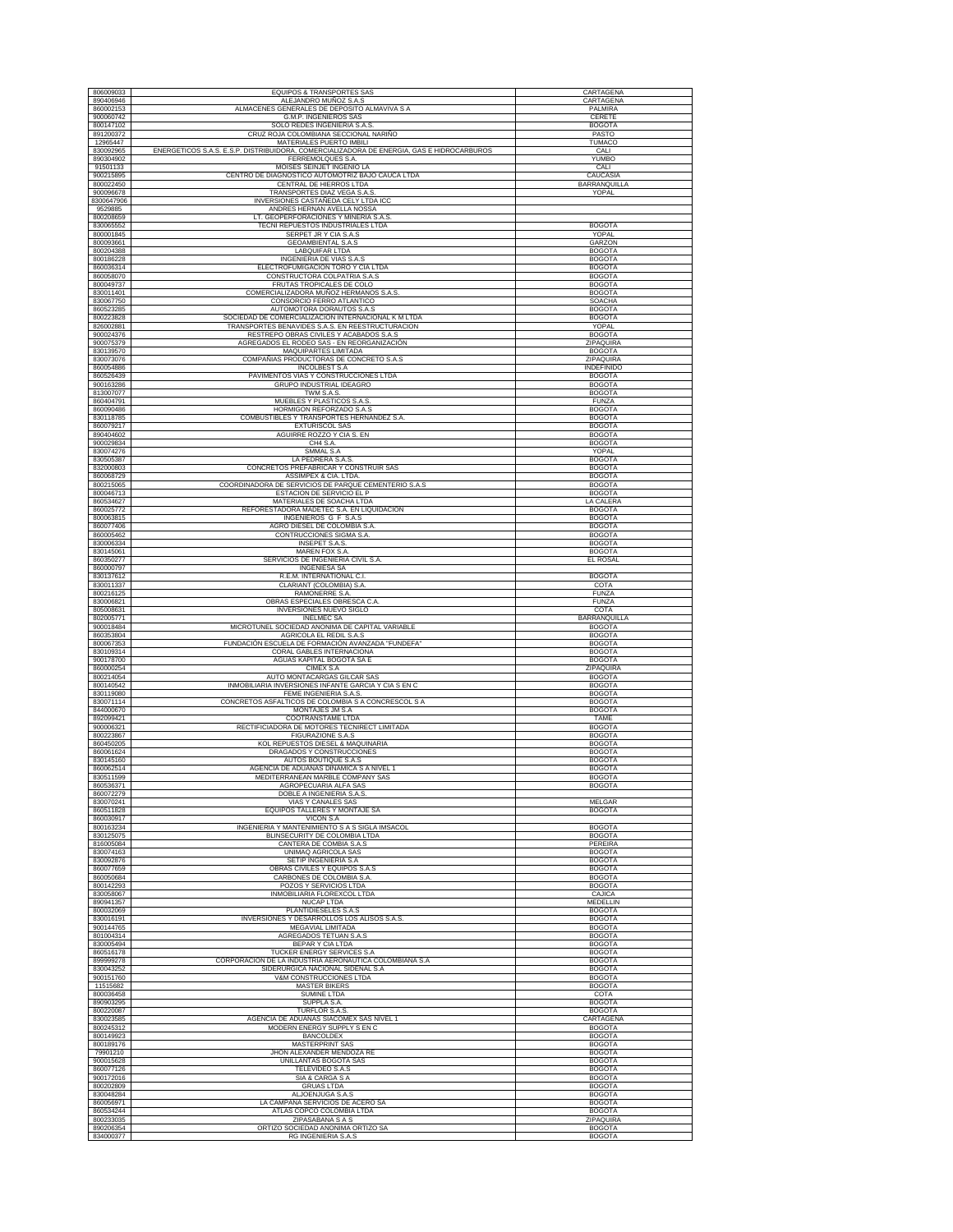| 890406946              | EQUIPOS & TRANSPORTES SAS                                                                               | CARTAGENA                         |
|------------------------|---------------------------------------------------------------------------------------------------------|-----------------------------------|
| 860002153              | ALEJANDRO MUÑOZ S.A.S<br>ALMACENES GENERALES DE DEPOSITO ALMAVIVA S A                                   | CARTAGENA<br>PALMIRA              |
| 900060742              | G.M.P. INGENIEROS SAS                                                                                   | CERETE                            |
| 800147102              | SOLO REDES INGENIERIA S.A.S                                                                             | <b>BOGOTA</b>                     |
| 891200372<br>12965447  | CRUZ ROJA COLOMBIANA SECCIONAL NARIÑO<br>MATERIALES PUERTO IMBILI                                       | PASTO<br><b>TUMACO</b>            |
| 830092965              | ENERGETICOS S.A.S. E.S.P. DISTRIBUIDORA, COMERCIALIZADORA DE ENERGIA, GAS E HIDROCARBUROS               | CALI                              |
| 890304902<br>91501133  | FERREMOLQUES S.A.<br>MOISES SEINJET INGENIO LA                                                          | YUMBO<br>CALI                     |
| 900215895              | CENTRO DE DIAGNOSTICO AUTOMOTRIZ BAJO CAUCA LTDA                                                        | CAUCASIA                          |
| 800022450<br>900096678 | CENTRAL DE HIERROS LTDA<br>TRANSPORTES DIAZ VEGA S.A.S.                                                 | BARRANQUILLA<br>YOPAL             |
| 8300647906             | INVERSIONES CASTAÑEDA CELY LTDA ICC                                                                     |                                   |
| 9529885                | ANDRES HERNAN AVELLA NOSSA                                                                              |                                   |
| 800208659<br>830065552 | LT. GEOPERFORACIONES Y MINERIA S.A.S.<br>TECNI REPUESTOS INDUSTRIALES LTDA                              | <b>BOGOTA</b>                     |
| 800001845              | SERPET JR Y CIA S.A.S                                                                                   | YOPAL                             |
| 800093661<br>800204388 | GEOAMBIENTAL S.A.S<br>LABQUIFAR LTDA                                                                    | GARZON<br><b>BOGOTA</b>           |
| 800186228              | INGENIERIA DE VIAS S.A.S                                                                                | <b>BOGOTA</b>                     |
| 860036314<br>860058070 | ELECTROFUMIGACION TORO Y CIA LTDA<br>CONSTRUCTORA COLPATRIA S.A.S                                       | <b>BOGOTA</b><br><b>BOGOTA</b>    |
| 800049737              | FRUTAS TROPICALES DE COLO                                                                               | <b>BOGOTA</b>                     |
| 830011401<br>830067750 | COMERCIALIZADORA MUÑOZ HERMANOS S.A.S.<br>CONSORCIO FERRO ATLANTICO                                     | <b>BOGOTA</b><br><b>SOACHA</b>    |
| 860523285              | AUTOMOTORA DORAUTOS S.A.S                                                                               | <b>BOGOTA</b>                     |
| 800223828<br>826002881 | SOCIEDAD DE COMERCIALIZACION INTERNACIONAL K M LTDA<br>TRANSPORTES BENAVIDES S.A.S. EN REESTRUCTURACION | <b>BOGOTA</b><br>YOPAL            |
| 900024376              | RESTREPO OBRAS CIVILES Y ACABADOS S.A.S                                                                 | <b>BOGOTA</b>                     |
| 900075379<br>830139570 | AGREGADOS EL RODEO SAS - EN REORGANIZACIÓN<br>MAQUIPARTES LIMITADA                                      | ZIPAQUIRA<br><b>BOGOTA</b>        |
| 830073076              | COMPAÑIAS PRODUCTORAS DE CONCRETO S.A.S                                                                 | ZIPAQUIRA                         |
| 860054886              | <b>INCOLBEST S.A</b><br>PAVIMENTOS VIAS Y CONSTRUCCIONES LTDA                                           | INDEFINIDO                        |
| 860526439<br>900163286 | GRUPO INDUSTRIAL IDEAGRO                                                                                | <b>BOGOTA</b><br><b>BOGOTA</b>    |
| 813007077<br>860404791 | TWM S.A.S.                                                                                              | <b>BOGOTA</b>                     |
| 860090486              | MUEBLES Y PLASTICOS S.A.S.<br>HORMIGON REFORZADO S.A.S                                                  | <b>FUNZA</b><br><b>BOGOTA</b>     |
| 830118785              | COMBUSTIBLES Y TRANSPORTES HERNANDEZ S.A                                                                | <b>BOGOTA</b>                     |
| 860079217<br>890404602 | <b>EXTURISCOL SAS</b><br>AGUIRRE ROZZO Y CIA S. EN                                                      | <b>BOGOTA</b><br><b>BOGOTA</b>    |
| 900029834              | CH4 S.A.                                                                                                | <b>BOGOTA</b>                     |
| 830074276<br>830505387 | SMMAL S.A<br>LA PEDRERA S.A.S                                                                           | YOPAL<br><b>BOGOTA</b>            |
| 832000803              | CONCRETOS PREFABRICAR Y CONSTRUIR SAS                                                                   | <b>BOGOTA</b>                     |
| 860068729<br>800215065 | ASSIMPEX & CIA. LTDA.<br>COORDINADORA DE SERVICIOS DE PARQUE CEMENTERIO S.A.S                           | <b>BOGOTA</b><br><b>BOGOTA</b>    |
| 800046713              | ESTACION DE SERVICIO EL P                                                                               | <b>BOGOTA</b>                     |
| 860534627<br>860025772 | MATERIALES DE SOACHA LTDA<br>REFORESTADORA MADETEC S.A. EN LIQUIDACION                                  | <b>LA CALERA</b><br><b>BOGOTA</b> |
| 800063815              | INGENIEROS G F S.A.S                                                                                    | <b>BOGOTA</b>                     |
| 860077406<br>860005462 | AGRO DIESEL DE COLOMBIA S.A<br>CONTRUCCIONES SIGMA S.A.                                                 | <b>BOGOTA</b><br><b>BOGOTA</b>    |
| 830006334              | <b>INSEPET S.A.S.</b>                                                                                   | <b>BOGOTA</b>                     |
| 830145061              | MAREN FOX S.A.<br>SERVICIOS DE INGENIERIA CIVIL S.A.                                                    | <b>BOGOTA</b><br>EL ROSAL         |
| 860350277              |                                                                                                         |                                   |
| 860000797              | <b>INGENIESA SA</b>                                                                                     |                                   |
| 830137612<br>830011337 | R.E.M. INTERNATIONAL C.I.<br>CLARIANT (COLOMBIA) S.A.                                                   | <b>BOGOTA</b><br>COTA             |
| 800216125              | RAMONERRE S.A.                                                                                          | <b>FUNZA</b>                      |
| 830006821<br>805008631 | OBRAS ESPECIALES OBRESCA C.A.<br>INVERSIONES NUEVO SIGLO                                                | <b>FUNZA</b><br>COTA              |
| 802005771              | <b>INELMEC SA</b>                                                                                       | <b>BARRANQUILLA</b>               |
| 900018484<br>860353804 | MICROTUNEL SOCIEDAD ANONIMA DE CAPITAL VARIABLE<br>AGRICOLA EL REDIL S.A.S                              | <b>BOGOTA</b><br><b>BOGOTA</b>    |
| 800067353              | FUNDACIÓN ESCUELA DE FORMACIÓN AVANZADA "FUNDEFA"                                                       | <b>BOGOTA</b>                     |
| 830109314<br>900178700 | CORAL GABLES INTERNACIONA<br>AGUAS KAPITAL BOGOTA SA E                                                  | <b>BOGOTA</b><br><b>BOGOTA</b>    |
| 860000254              | CIMEX S.A                                                                                               | ZIPAQUIRA                         |
| 800214054<br>800140542 | AUTO MONTACARGAS GILCAR SAS<br>INMOBILIARIA INVERSIONES INFANTE GARCIA Y CIA S EN C                     | <b>BOGOTA</b><br><b>BOGOTA</b>    |
| 830119080<br>830071114 | FEME INGENIERIA S.A.S<br>CONCRETOS ASFALTICOS DE COLOMBIA S A CONCRESCOL S A                            | <b>BOGOTA</b><br><b>BOGOTA</b>    |
| 844000670              | MONTAJES JM S.A                                                                                         | <b>BOGOTA</b>                     |
| 892099421<br>900006321 | COOTRANSTAME LTDA<br>RECTIFICIADORA DE MOTORES TECNIRECT LIMITADA                                       | <b>TAME</b><br><b>BOGOTA</b>      |
| 800223867              | FIGURAZIONE S.A.S                                                                                       | <b>BOGOTA</b>                     |
| 860450205              | KOL REPUESTOS DIESEL & MAQUINARIA                                                                       | <b>BOGOTA</b>                     |
| 860061624<br>830145160 | DRAGADOS Y CONSTRUCCIONES<br>AUTOS BOUTIQUE S.A.S                                                       | <b>BOGOTA</b><br><b>BOGOTA</b>    |
| 860062514              | AGENCIA DE ADUANAS DINAMICA S A NIVEL 1<br>MEDITERRANEAN MARBLE COMPANY SAS                             | <b>BOGOTA</b><br><b>BOGOTA</b>    |
| 830511599<br>860536371 | AGROPECUARIA ALFA SAS                                                                                   | <b>BOGOTA</b>                     |
| 860072279<br>830070241 | DOBLE A INGENIERIA S.A.S<br><b>VIAS Y CANALES SAS</b>                                                   | <b>MELGAR</b>                     |
| 860511828              | EQUIPOS TALLERES Y MONTAJE SA                                                                           | <b>BOGOTA</b>                     |
| 860030917<br>800163234 | VICON S.A<br>INGENIERIA Y MANTENIMIENTO S A S SIGLA IMSACOL                                             | <b>BOGOTA</b>                     |
| 830125075              | BLINSECURITY DE COLOMBIA LTDA                                                                           | <b>BOGOTA</b>                     |
| 816005084<br>830074163 | CANTERA DE COMBIA S.A.S<br>UNIMAQ AGRICOLA SAS                                                          | PEREIRA<br><b>BOGOTA</b>          |
| 830092876              | SETIP INGENIERIA S.A                                                                                    | <b>BOGOTA</b>                     |
| 860077659<br>860050684 | OBRAS CIVILES Y EQUIPOS S.A.S<br>CARBONES DE COLOMBIA S.A.                                              | <b>BOGOTA</b><br><b>BOGOTA</b>    |
| 800142293              | POZOS Y SERVICIOS LTDA                                                                                  | <b>BOGOTA</b>                     |
| 830058067<br>890941357 | INMOBILIARIA FLOREXCOL LTDA<br><b>NUCAP LTDA</b>                                                        | CAJICA<br>MEDELLIN                |
| 800032069              | PLANTIDIESELES S.A.S                                                                                    | <b>BOGOTA</b>                     |
| 830016191<br>900144765 | INVERSIONES Y DESARROLLOS LOS ALISOS S.A.S.<br>MEGAVIAL LIMITADA                                        | <b>BOGOTA</b><br><b>BOGOTA</b>    |
| 801004314              | AGREGADOS TETUAN S.A.S                                                                                  | <b>BOGOTA</b>                     |
| 830005494<br>860516178 | BEPAR Y CIA LTDA<br>TUCKER ENERGY SERVICES S.A                                                          | <b>BOGOTA</b><br><b>BOGOTA</b>    |
| 899999278              | CORPORACION DE LA INDUSTRIA AERONAUTICA COLOMBIANA S.A                                                  | <b>BOGOTA</b>                     |
| 830043252<br>900151760 | SIDERURGICA NACIONAL SIDENAL S.A<br>V&M CONSTRUCCIONES LTDA                                             | <b>BOGOTA</b><br><b>BOGOTA</b>    |
| 11515682               | <b>MASTER BIKERS</b>                                                                                    | <b>BOGOTA</b>                     |
| 800036458<br>890903295 | SUMINE LTDA<br>SUPPLA S.A.                                                                              | COTA<br><b>BOGOTA</b>             |
| 800220087              | TURFLOR S.A.S                                                                                           | <b>BOGOTA</b>                     |
| 830023585<br>800245312 | AGENCIA DE ADUANAS SIACOMEX SAS NIVEL 1<br>MODERN ENERGY SUPPLY S EN C                                  | <b>CARTAGENA</b><br><b>BOGOTA</b> |
| 800149923              | <b>BANCOLDEX</b>                                                                                        | <b>BOGOTA</b>                     |
| 800189176<br>79901210  | MASTERPRINT SAS<br>JHON ALEXANDER MENDOZA RE                                                            | <b>BOGOTA</b><br><b>BOGOTA</b>    |
| 900015628<br>860077126 | UNILLANTAS BOGOTA SAS                                                                                   | <b>BOGOTA</b>                     |
| 900172016              | <b>TELEVIDEO S.A.S</b><br>SIA & CARGA S A                                                               | <b>BOGOTA</b><br><b>BOGOTA</b>    |
| 800202809              | <b>GRUAS LTDA</b>                                                                                       | <b>BOGOTA</b>                     |
| 830048284<br>860056971 | ALJOENJUGA S.A.S<br>LA CAMPANA SERVICIOS DE ACERO SA                                                    | <b>BOGOTA</b><br><b>BOGOTA</b>    |
| 860534244<br>800233035 | ATLAS COPCO COLOMBIA LTDA<br>ZIPASABANA S A S                                                           | <b>BOGOTA</b><br>ZIPAQUIRA        |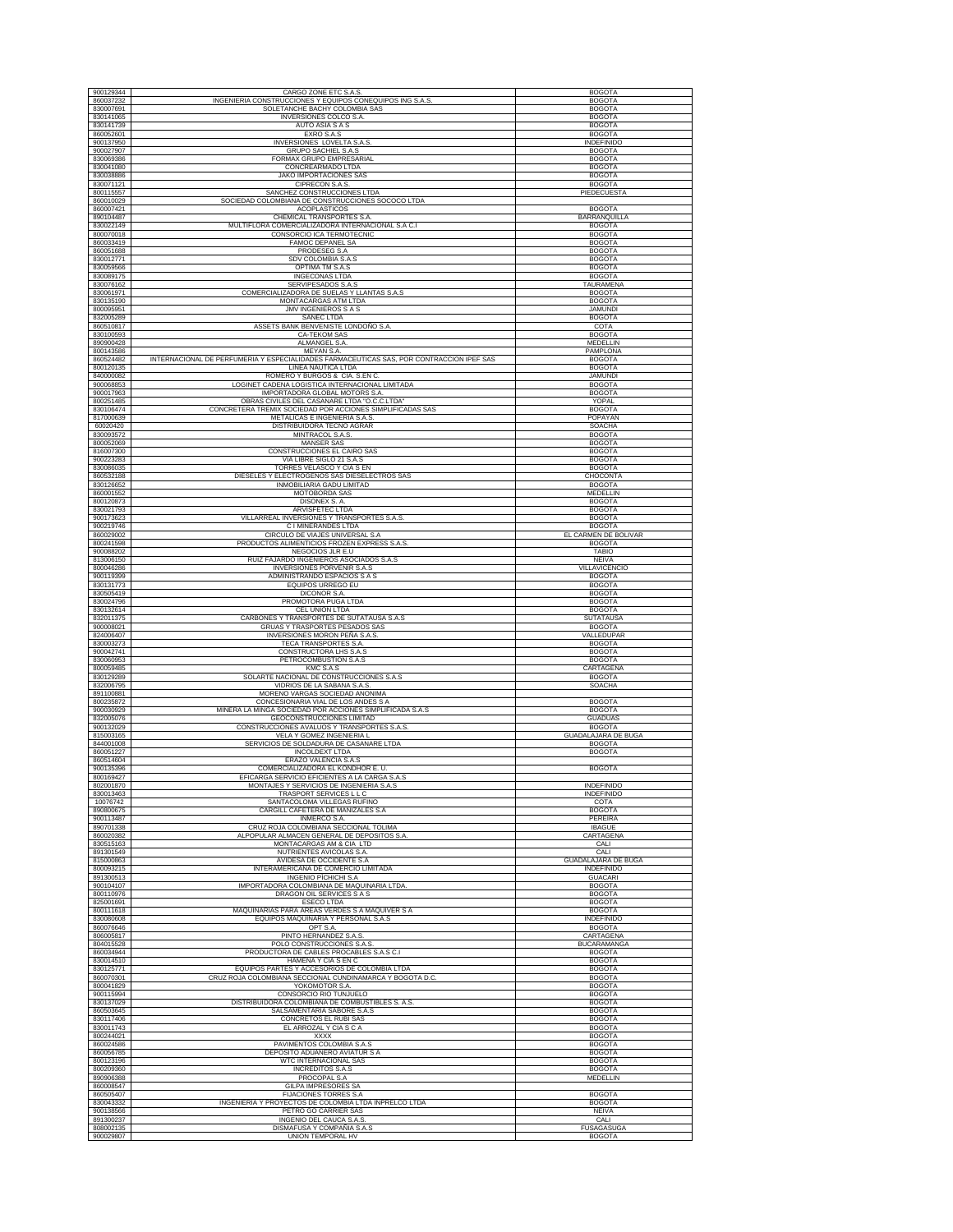| 900129344              |                                                                                          | <b>BOGOTA</b>                            |
|------------------------|------------------------------------------------------------------------------------------|------------------------------------------|
|                        | CARGO ZONE ETC S.A.S.                                                                    |                                          |
| 860037232              | INGENIERIA CONSTRUCCIONES Y EQUIPOS CONEQUIPOS ING S.A.S                                 | <b>BOGOTA</b>                            |
| 830007691              | SOLETANCHE BACHY COLOMBIA SAS                                                            | <b>BOGOTA</b>                            |
| 830141065              | INVERSIONES COLCO S.A                                                                    | <b>BOGOTA</b>                            |
| 830141739              | AUTO ASIA S A S                                                                          | <b>BOGOTA</b>                            |
| 860052601              | EXRO S.A.S                                                                               | <b>BOGOTA</b>                            |
| 900137950              | INVERSIONES LOVELTA S.A.S                                                                | <b>INDEFINIDO</b>                        |
| 900027907              | GRUPO SACHIEL S.A.S                                                                      | <b>BOGOTA</b>                            |
| 830069386              | FORMAX GRUPO EMPRESARIAL                                                                 | <b>BOGOTA</b>                            |
| 830041080              | CONCREARMADO LTDA                                                                        | <b>BOGOTA</b>                            |
| 830038886              | <b>JAKO IMPORTACIONES SAS</b>                                                            | <b>BOGOTA</b>                            |
| 830071121              | CIPRECON S.A.S.                                                                          | <b>BOGOTA</b>                            |
| 800115557              | SANCHEZ CONSTRUCCIONES LTDA                                                              | PIEDECUESTA                              |
| 860010029              | SOCIEDAD COLOMBIANA DE CONSTRUCCIONES SOCOCO LTDA                                        |                                          |
| 860007421              | ACOPLASTICOS                                                                             | <b>BOGOTA</b>                            |
| 890104487              | CHEMICAL TRANSPORTES S.A                                                                 | BARRANQUILLA                             |
| 830022149              | MULTIFLORA COMERCIALIZADORA INTERNACIONAL S.A C.I                                        | <b>BOGOTA</b>                            |
| 800070018              | CONSORCIO ICA TERMOTECNIC                                                                | <b>BOGOTA</b>                            |
|                        |                                                                                          |                                          |
| 860033419<br>860051688 | FAMOC DEPANEL SA<br>PRODESEG S.A                                                         | <b>BOGOTA</b><br><b>BOGOTA</b>           |
|                        |                                                                                          |                                          |
| 830012771              | SDV COLOMBIA S.A.S                                                                       | <b>BOGOTA</b>                            |
| 830059566              | OPTIMA TM S.A.S                                                                          | <b>BOGOTA</b>                            |
| 830089175              | INGECONAS LTDA                                                                           | <b>BOGOTA</b>                            |
| 830076162              | SERVIPESADOS S.A.S                                                                       | TAURAMENA                                |
| 830061971              | COMERCIALIZADORA DE SUELAS Y LLANTAS S.A.S                                               | <b>BOGOTA</b>                            |
| 830135190              | MONTACARGAS ATM LTDA                                                                     | <b>BOGOTA</b>                            |
| 800095951              | <b>JMV INGENIEROS S A S</b>                                                              | <b>JAMUNDI</b>                           |
| 832005289              | SANEC LTDA                                                                               | <b>BOGOTA</b>                            |
| 860510817              | ASSETS BANK BENVENISTE LONDOÑO S.A.                                                      | COTA                                     |
| 830100593              | CA-TEKOM SAS                                                                             | <b>BOGOTA</b>                            |
| 890900428              | ALMANGEL S.A.                                                                            | MEDELLIN                                 |
| 800143586              | MEYAN S.A.                                                                               | PAMPLONA                                 |
| 860524482              | INTERNACIONAL DE PERFUMERIA Y ESPECIALIDADES FARMACEUTICAS SAS, POR CONTRACCION IPEF SAS | <b>BOGOTA</b>                            |
| 800120135              | LINEA NAUTICA LTDA                                                                       | <b>BOGOTA</b>                            |
| 840000082              | ROMERO Y BURGOS & CIA. S.EN C.                                                           | <b>JAMUNDI</b>                           |
| 900068853              | LOGINET CADENA LOGISTICA INTERNACIONAL LIMITADA                                          | <b>BOGOTA</b>                            |
| 900017963              | IMPORTADORA GLOBAL MOTORS S.A.                                                           | <b>BOGOTA</b>                            |
| 800251485              | OBRAS CIVILES DEL CASANARE LTDA "O.C.C.LTDA"                                             | YOPAL                                    |
| 830106474              | CONCRETERA TREMIX SOCIEDAD POR ACCIONES SIMPLIFICADAS SAS                                | <b>BOGOTA</b>                            |
| 817000639              | METALICAS E INGENIERIA S.A.S                                                             | POPAYAN                                  |
| 60020420               | DISTRIBUIDORA TECNO AGRAR                                                                | SOACHA                                   |
| 830093572              | MINTRACOL S.A.S                                                                          | <b>BOGOTA</b>                            |
| 800052069              | MANSER SAS                                                                               | <b>BOGOTA</b>                            |
| 816007300              | CONSTRUCCIONES EL CAIRO SAS                                                              | <b>BOGOTA</b>                            |
| 900223283              | VIA LIBRE SIGLO 21 S.A.S                                                                 | <b>BOGOTA</b>                            |
| 830086035              | TORRES VELASCO Y CIA S EN                                                                | <b>BOGOTA</b>                            |
| 860532188              | DIESELES Y ELECTROGENOS SAS DIESELECTROS SAS                                             | CHOCONTA                                 |
| 830126652              | INMOBILIARIA GADU LIMITAD                                                                | <b>BOGOTA</b>                            |
| 860001552              | MOTOBORDA SAS                                                                            | MEDELLIN                                 |
| 800120873              | DISONEX S. A.                                                                            | <b>BOGOTA</b>                            |
| 830021793              | ARVISFETEC LTDA                                                                          | <b>BOGOTA</b>                            |
| 900173623              | VILLARREAL INVERSIONES Y TRANSPORTES S.A.S.                                              | <b>BOGOTA</b>                            |
| 900219746              |                                                                                          |                                          |
| 860029002              | C I MINERANDES LTDA<br>CIRCULO DE VIAJES UNIVERSAL S.A                                   | <b>BOGOTA</b><br>EL CARMEN DE BOLIVAR    |
| 800241598              | PRODUCTOS ALIMENTICIOS FROZEN EXPRESS S.A.S.                                             | <b>BOGOTA</b>                            |
| 900088202              | NEGOCIOS JLR E.U                                                                         | TABIO                                    |
|                        |                                                                                          |                                          |
| 813006150<br>800046286 | RUIZ FAJARDO INGENIEROS ASOCIADOS S.A.S<br><b>INVERSIONES PORVENIR S.A.S</b>             | <b>NEIVA</b><br><b>VILLAVICENCIO</b>     |
| 900119399              | ADMINISTRANDO ESPACIOS S A S                                                             |                                          |
| 830131773              | EQUIPOS URREGO EU                                                                        | <b>BOGOTA</b><br><b>BOGOTA</b>           |
| 830505419              | DICONOR S.A                                                                              | <b>BOGOTA</b>                            |
| 830024796              | PROMOTORA PUGA LTDA                                                                      | <b>BOGOTA</b>                            |
| 830132614              | CEL UNION LTDA                                                                           | <b>BOGOTA</b>                            |
| 832011375              | CARBONES Y TRANSPORTES DE SUTATAUSA S.A.S                                                | SUTATAUSA                                |
| 900008021              | GRUAS Y TRASPORTES PESADOS SAS                                                           | <b>BOGOTA</b>                            |
| 824006407              | INVERSIONES MORON PEÑA S.A.S.                                                            | VALLEDUPAR                               |
| 830003273              | TECA TRANSPORTES S.A.                                                                    | <b>BOGOTA</b>                            |
| 900042741              | CONSTRUCTORA LHS S.A.S                                                                   | <b>BOGOTA</b>                            |
| 830060953              | PETROCOMBUSTION S.A.S                                                                    | <b>BOGOTA</b>                            |
| 800059485              | KMC S.A.S                                                                                | CARTAGENA                                |
| 830129289              | SOLARTE NACIONAL DE CONSTRUCCIONES S.A.S.                                                | <b>BOGOTA</b>                            |
| 832006795              | VIDRIOS DE LA SABANA S.A.S                                                               | <b>SOACHA</b>                            |
| 891100881              | MORENO VARGAS SOCIEDAD ANONIMA                                                           |                                          |
| 800235872              | CONCESIONARIA VIAL DE LOS ANDES S A                                                      | <b>BOGOTA</b>                            |
| 900030929              | MINERA LA MINGA SOCIEDAD POR ACCIONES SIMPLIFICADA S.A.S                                 | <b>BOGOTA</b>                            |
| 832005076              | GEOCONSTRUCCIONES LIMITAD                                                                | <b>GUADUAS</b>                           |
| 900132029              | CONSTRUCCIONES AVALUOS Y TRANSPORTES S.A.S                                               | <b>BOGOTA</b>                            |
| 815003165              | VELA Y GOMEZ INGENIERIA L                                                                | GUADALAJARA DE BUGA                      |
| 844001008              | SERVICIOS DE SOLDADURA DE CASANARE LTDA                                                  | <b>BOGOTA</b>                            |
| 860051227              | <b>INCOLDEXT LTDA</b>                                                                    | <b>BOGOTA</b>                            |
| 860514604              | ERAZO VALENCIA S.A.S                                                                     |                                          |
| 900135396              | COMERCIALIZADORA EL KONDHOR E.U.                                                         | <b>BOGOTA</b>                            |
| 800169427              | EFICARGA SERVICIO EFICIENTES A LA CARGA S.A.S                                            |                                          |
| 802001870              | MONTAJES Y SERVICIOS DE INGENIERIA S.A.S                                                 | INDEFINIDO                               |
| 830013463              | TRASPORT SERVICES L L C                                                                  | <b>INDEFINIDO</b>                        |
| 10076742               | SANTACOLOMA VILLEGAS RUFINO                                                              | COTA                                     |
| 890800675              | CARGILL CAFETERA DE MANIZALES S.A.                                                       |                                          |
| 900113487              |                                                                                          | <b>BOGOTA</b>                            |
|                        | INMERCO S.A.                                                                             | PEREIRA                                  |
| 890701338              | CRUZ ROJA COLOMBIANA SECCIONAL TOLIMA                                                    | <b>IBAGUE</b>                            |
| 860020382              | ALPOPULAR ALMACEN GENERAL DE DEPOSITOS S.A                                               | CARTAGENA                                |
|                        |                                                                                          | CALI                                     |
| 830515163<br>891301549 | MONTACARGAS AM & CIA LTD<br>NUTRIENTES AVICOLAS S.A.                                     | CALI                                     |
| 815000863              |                                                                                          |                                          |
| 800093215              | AVIDESA DE OCCIDENTE S.A<br>INTERAMERICANA DE COMERCIO LIMITADA                          | GUADALAJARA DE BUGA<br><b>INDEFINIDO</b> |
| 891300513              | INGENIO PICHICHI S.A                                                                     | <b>GUACARI</b>                           |
| 900104107              | IMPORTADORA COLOMBIANA DE MAQUINARIA LTDA                                                | <b>BOGOTA</b>                            |
| 800110976              | DRAGON OIL SERVICES S A S                                                                | <b>BOGOTA</b>                            |
| 825001691              | <b>ESECO LTDA</b>                                                                        | <b>BOGOTA</b>                            |
| 800111618              | MAQUINARIAS PARA AREAS VERDES S A MAQUIVER S A                                           | <b>BOGOTA</b>                            |
| 830080608              | EQUIPOS MAQUINARIA Y PERSONAL S.A.S                                                      | <b>INDEFINIDO</b>                        |
| 860076646              | OPT S.A.                                                                                 | <b>BOGOTA</b>                            |
| 806005817              | PINTO HERNANDEZ S.A.S.                                                                   | CARTAGENA                                |
| 804015528              | POLO CONSTRUCCIONES S.A.S.                                                               | <b>BUCARAMANGA</b>                       |
| 860034944              | PRODUCTORA DE CABLES PROCABLES S.A.S C.I                                                 | <b>BOGOTA</b>                            |
| 830014510              | HAMENA Y CIA S EN C                                                                      | <b>BOGOTA</b>                            |
| 830125771              | EQUIPOS PARTES Y ACCESORIOS DE COLOMBIA LTDA                                             | <b>BOGOTA</b>                            |
| 860070301              | CRUZ ROJA COLOMBIANA SECCIONAL CUNDINAMARCA Y BOGOTA D.C.                                | <b>BOGOTA</b>                            |
| 800041829              | YOKOMOTOR S.A.                                                                           | <b>BOGOTA</b>                            |
| 900115994              | CONSORCIO RIO TUNJUELO                                                                   | <b>BOGOTA</b>                            |
| 830137029              | DISTRIBUIDORA COLOMBIANA DE COMBUSTIBLES S. A.S.                                         | <b>BOGOTA</b>                            |
| 860503645              | SALSAMENTARIA SABORE S.A.S                                                               | <b>BOGOTA</b>                            |
| 830117406              | CONCRETOS EL RUBI SAS                                                                    | <b>BOGOTA</b>                            |
| 830011743              | EL ARROZAL Y CIA S C A                                                                   | <b>BOGOTA</b>                            |
| 800244021              | XXXX                                                                                     | <b>BOGOTA</b>                            |
| 860024586              | PAVIMENTOS COLOMBIA S.A.S                                                                | <b>BOGOTA</b>                            |
| 860056785              | DEPOSITO ADUANERO AVIATUR S A                                                            | <b>BOGOTA</b>                            |
| 800123196              | WTC INTERNACIONAL SAS                                                                    | <b>BOGOTA</b>                            |
| 800209360              | <b>INCREDITOS S.A.S</b>                                                                  | <b>BOGOTA</b>                            |
| 890906388              | PROCOPAL S.A                                                                             | MEDELLIN                                 |
| 860008547              | <b>GILPA IMPRESORES SA</b>                                                               |                                          |
| 860505407              | <b>FIJACIONES TORRES S.A</b>                                                             | <b>BOGOTA</b>                            |
| 830043332              | INGENIERIA Y PROYECTOS DE COLOMBIA LTDA INPRELCO LTDA                                    | <b>BOGOTA</b>                            |
| 900138566              | PETRO GO CARRIER SAS                                                                     | <b>NEIVA</b>                             |
| 891300237<br>808002135 | INGENIO DEL CAUCA S.A.S<br>DISMAFUSA Y COMPAÑIA S.A.S                                    | CALI<br><b>FUSAGASUGA</b>                |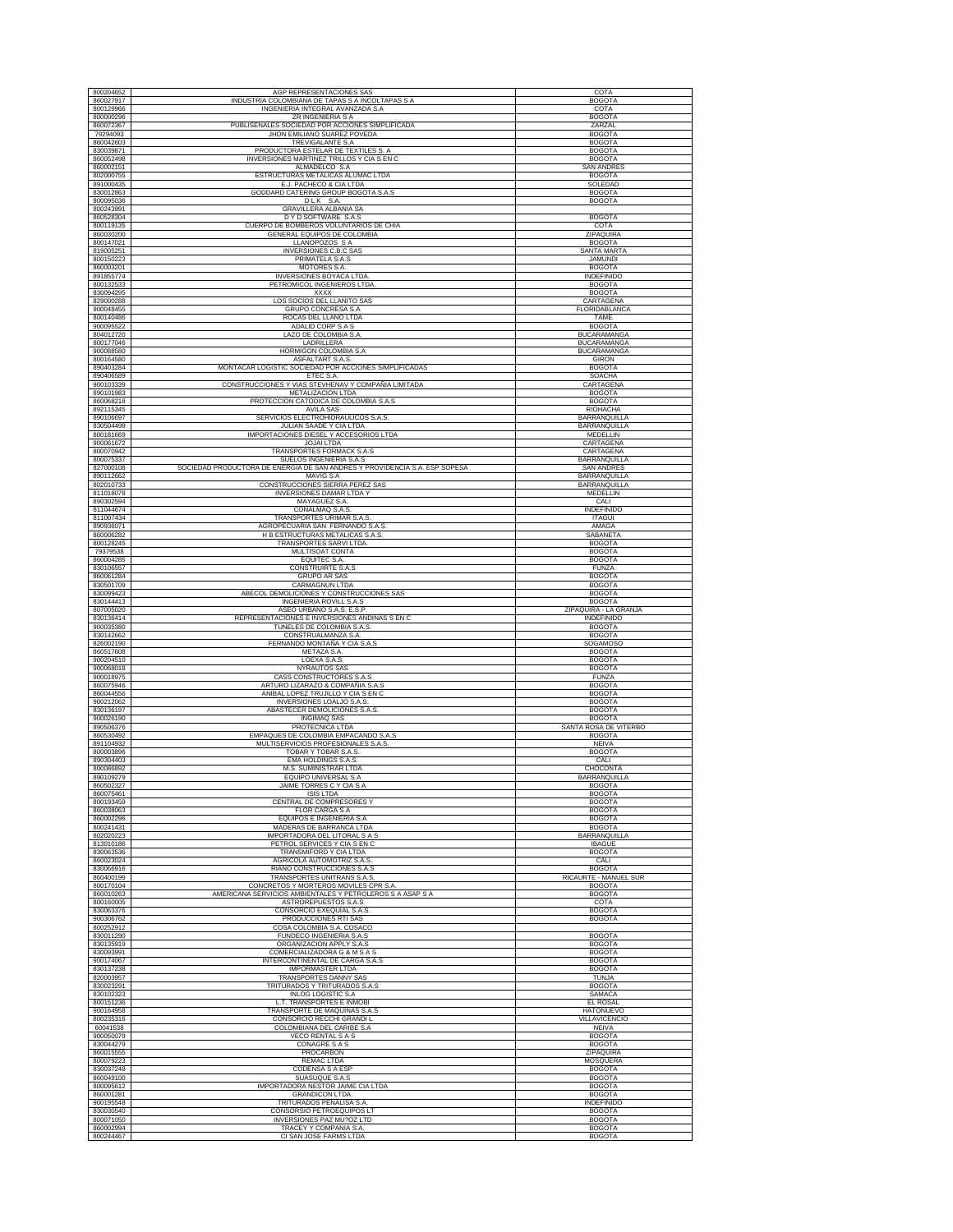| 800204652                           | AGP REPRESENTACIONES SAS                                                                              | COTA                                            |
|-------------------------------------|-------------------------------------------------------------------------------------------------------|-------------------------------------------------|
| 860027917                           | INDUSTRIA COLOMBIANA DE TAPAS S A INCOLTAPAS S A                                                      | <b>BOGOTA</b>                                   |
| 800129966                           | INGENIERIA INTEGRAL AVANZADA S.A                                                                      | COTA                                            |
| 800000296                           | ZR INGENIERIA S A                                                                                     | <b>BOGOTA</b>                                   |
| 860072367                           | PUBLISEÑALES SOCIEDAD POR ACCIONES SIMPLIFICADA                                                       | ZARZAL                                          |
| 79294093                            | JHON EMILIANO SUAREZ POVEDA                                                                           | <b>BOGOTA</b>                                   |
| 860042603                           | TREVIGALANTE S.A                                                                                      | <b>BOGOTA</b>                                   |
| 830039871<br>860052498              | PRODUCTORA ESTELAR DE TEXTILES S. A                                                                   | <b>BOGOTA</b><br><b>BOGOTA</b>                  |
| 860002151                           | INVERSIONES MARTINEZ TRILLOS Y CIA S EN C<br>ALMADELCO S.A                                            | <b>SAN ANDRE</b>                                |
| 802000755                           | ESTRUCTURAS METALICAS ALUMAC LTDA                                                                     | <b>BOGOTA</b>                                   |
| 891000435                           | E.J. PACHECO & CIA LTDA                                                                               | SOLEDAD                                         |
| 830012863                           | GODDARD CATERING GROUP BOGOTA S.A.S                                                                   | <b>BOGOTA</b>                                   |
| 800095036                           | DLK S.A.                                                                                              | <b>BOGOTA</b>                                   |
| 800243991                           | GRAVILLERA ALBANIA SA                                                                                 |                                                 |
| 860528304                           | D Y D SOFTWARE S.A.S                                                                                  | <b>BOGOTA</b>                                   |
| 800119135                           | CUERPO DE BOMBEROS VOLUNTARIOS DE CHIA                                                                | COTA                                            |
| 860030200<br>800147021              | GENERAL EQUIPOS DE COLOMBIA<br>LLANOPOZOS S A                                                         | ZIPAQUIRA<br><b>BOGOTA</b>                      |
| 819005251                           | INVERSIONES C.B.C SAS                                                                                 | SANTA MARTA                                     |
| 800150223                           | PRIMATELA S.A.S                                                                                       | <b>JAMUNDI</b>                                  |
| 860003201                           | MOTORES S.A.                                                                                          | <b>BOGOTA</b>                                   |
| 891855774                           | INVERSIONES BOYACA LTDA                                                                               | <b>INDEFINIDO</b>                               |
| 800132533                           | PETROMICOL INGENIEROS LTDA                                                                            | <b>BOGOTA</b>                                   |
| 830094295<br>829000288              | XXXX<br><b>LOS SOCIOS DEL LLANITO SAS</b>                                                             | <b>BOGOTA</b>                                   |
| 900048455                           | GRUPO CONCRESA S.A                                                                                    | CARTAGENA<br>FLORIDABLANCA                      |
| 800140486                           | ROCAS DEL LLANO LTDA                                                                                  | TAME                                            |
| 900095522                           | <b>ADALID CORP S A S</b>                                                                              | <b>BOGOTA</b>                                   |
| 804012720                           | LAZO DE COLOMBIA S.A                                                                                  | BUCARAMANGA                                     |
| 800177046                           | LADRILLERA                                                                                            | <b>BUCARAMANGA</b>                              |
| 900088580                           | HORMIGON COLOMBIA S.A                                                                                 | <b>BUCARAMANGA</b>                              |
| 800164580                           | ASFALTART S.A.S.                                                                                      | <b>GIRON</b>                                    |
| 890403284                           | MONTACAR LOGISTIC SOCIEDAD POR ACCIONES SIMPLIFICADAS                                                 | <b>BOGOTA</b>                                   |
| 890406589<br>900103339              | ETEC S.A.<br>CONSTRUCCIONES Y VIAS STEVHENAV Y COMPAÑIA LIMITADA                                      | SOACHA<br>CARTAGENA                             |
| 890101983                           | METALIZACION LTDA                                                                                     | <b>BOGOTA</b>                                   |
| 860068218                           | PROTECCION CATODICA DE COLOMBIA S.A.S                                                                 | <b>BOGOTA</b>                                   |
| 892115345                           | <b>AVILA SAS</b>                                                                                      | RIOHACHA                                        |
| 890106697                           | SERVICIOS ELECTROHIDRAULICOS S.A.S                                                                    | <b>BARRANQUILLA</b>                             |
| 830504499                           | JULIAN SAADE Y CIA LTDA                                                                               | BARRANQUILLA                                    |
| 800181669                           | <b>IMPORTACIONES DIESEL Y ACCESORIOS LTDA</b>                                                         | <b>MEDELLIN</b>                                 |
| 900061672                           | <b>JOJAI LTDA</b>                                                                                     | CARTAGENA                                       |
| 800070942                           | TRANSPORTES FORMACK S.A.S                                                                             | CARTAGENA                                       |
| 800075337<br>827000108              | SUELOS INGENIERIA S.A.S<br>SOCIEDAD PRODUCTORA DE ENERGIA DE SAN ANDRES Y PROVIDENCIA S.A. ESP SOPESA | <b>BARRANQUILLA</b><br>SAN ANDRES               |
| 890112662                           | MAVIG S.A                                                                                             | <b>BARRANQUILLA</b>                             |
| 802010733                           | CONSTRUCCIONES SIERRA PEREZ SAS                                                                       | <b>BARRANQUILLA</b>                             |
| 811018078                           | INVERSIONES DAMAR LTDA Y                                                                              | MEDELLIN                                        |
| 890302594                           | MAYAGUEZ S.A.                                                                                         | CALI                                            |
| 811044674                           | CONALMAQ S.A.S.                                                                                       | <b>INDEFINIDO</b>                               |
| 811007434                           | TRANSPORTES URIMAR S.A.S                                                                              | <b>ITAGUI</b>                                   |
| 890936071                           | AGROPECUARIA SAN FERNANDO S.A.S                                                                       | AMAGA                                           |
| 860006282<br>800128245              | H B ESTRUCTURAS METALICAS S.A.S.<br>TRANSPORTES SARVI LTDA                                            | SABANETA<br><b>BOGOTA</b>                       |
| 79379538                            | MULTISOAT CONTA                                                                                       | <b>BOGOTA</b>                                   |
| 860004285                           | EQUITEC S.A.                                                                                          | <b>BOGOTA</b>                                   |
| 830106557                           | CONSTRUIRTE S.A.S                                                                                     | <b>FUNZA</b>                                    |
| 860061284                           | <b>GRUPO AR SAS</b>                                                                                   | <b>BOGOTA</b>                                   |
| 830501709                           | <b>CARMAGNUN LTDA</b>                                                                                 | <b>BOGOTA</b>                                   |
| 830099423                           | ABECOL DEMOLICIONES Y CONSTRUCCIONES SAS                                                              | <b>BOGOTA</b>                                   |
| 830144413                           | <b>INGENIERIA ROVILL S.A.S</b>                                                                        | <b>BOGOTA</b><br>ZIPAQUIRÁ - LA GRANJA          |
| 807005020                           | ASEO URBANO S.A.S. E.S.P.                                                                             |                                                 |
|                                     |                                                                                                       |                                                 |
| 830136414                           | REPRESENTACIONES E INVERSIONES ANDINAS S EN C                                                         | <b>INDEFINIDO</b>                               |
| 900035380<br>830142662              | TUNELES DE COLOMBIA S.A.S                                                                             | <b>BOGOTA</b>                                   |
| 826002190                           | CONSTRUALMANZA S.A<br>FERNANDO MONTAÑA Y CIA S.A.S                                                    | <b>BOGOTA</b><br>SOGAMOSO                       |
| 860517608                           | METAZA S.A.                                                                                           | <b>BOGOTA</b>                                   |
| 900204510                           | LOEXA S.A.S.                                                                                          | <b>BOGOTA</b>                                   |
| 900068018                           | NYRAUTOS SAS                                                                                          | <b>BOGOTA</b>                                   |
| 900018975                           | CASS CONSTRUCTORES S.A.S                                                                              | <b>FUNZA</b>                                    |
| 860075946                           | ARTURO LIZARAZO & COMPAÑIA S.A.S                                                                      | <b>BOGOTA</b><br><b>BOGOTA</b>                  |
| 860044556<br>900212062              | ANIBAL LOPEZ TRUJILLO Y CIA S EN C<br>INVERSIONES LOALJO S.A.S.                                       | <b>BOGOTA</b>                                   |
| 830136197                           | ABASTECER DEMOLICIONES S.A.S.                                                                         | <b>BOGOTA</b>                                   |
| 900026190                           | <b>INGIMAQ SAS</b>                                                                                    | <b>BOGOTA</b>                                   |
| 890506376                           | PROTECNICA LTDA                                                                                       | SANTA ROSA DE VITERBO                           |
| 860530492                           | EMPAQUES DE COLOMBIA EMPACANDO S.A.S                                                                  | <b>BOGOTA</b>                                   |
| 891104932                           | MULTISERVICIOS PROFESIONALES S.A.S.                                                                   | NEIVA                                           |
| 800003896<br>890304403              | <b>TOBAR Y TOBAR S.A.S</b><br><b>EMA HOLDINGS S.A.S</b>                                               | <b>BOGOTA</b><br>CALI                           |
| 800086892                           | M.S. SUMINISTRAR LTDA                                                                                 | CHOCONTA                                        |
| 890109279                           | EQUIPO UNIVERSAL S.A                                                                                  | BARRANQUILLA                                    |
| 860502327                           | JAIME TORRES C Y CIA S A                                                                              | <b>BOGOTA</b>                                   |
| 860075461                           | <b>ISIS LTDA</b>                                                                                      | <b>BOGOTA</b>                                   |
| 800193459                           | CENTRAL DE COMPRESORES Y                                                                              | <b>BOGOTA</b>                                   |
| 860038063<br>860002296              | <b>FLOR CARGA S A</b><br><b>EQUIPOS E INGENIERIA S.A</b>                                              | <b>BOGOTA</b><br><b>BOGOTA</b>                  |
| 800241431                           | MADERAS DE BARRANCA LTDA                                                                              | <b>BOGOTA</b>                                   |
| 802020223                           | IMPORTADORA DEL LITORAL S A S                                                                         | BARRANQUILLA                                    |
| 813010186                           | PETROL SERVICES Y CIA S EN C                                                                          | <b>IBAGUE</b>                                   |
| 830063536                           | TRANSMIFORD Y CIA LTDA                                                                                | <b>BOGOTA</b>                                   |
| 860023024                           | AGRICOLA AUTOMOTRIZ S.A.S                                                                             | CALI                                            |
| 830066916                           | RIAÑO CONSTRUCCIONES S.A.S                                                                            | <b>BOGOTA</b><br>RICAURTE - MANUEL SUR          |
| 860400199<br>800170104              | TRANSPORTES UNITRANS S.A.S.<br>CONCRETOS Y MORTEROS MOVILES CPR S.A.                                  | <b>BOGOTA</b>                                   |
| 860010263                           | AMERICANA SERVICIOS AMBIENTALES Y PETROLEROS S A ASAP S A                                             | <b>BOGOTA</b>                                   |
| 800160005                           | ASTROREPUESTOS S.A.S                                                                                  | COTA                                            |
| 830063376                           | CONSORCIO EXEQUIAL S.A.S                                                                              | <b>BOGOTA</b>                                   |
| 900306762                           | PRODUCCIONES RTI SAS                                                                                  | <b>BOGOTA</b>                                   |
| 800252912                           | COSA COLOMBIA S.A. COSACO                                                                             |                                                 |
| 830011290                           | FUNDECO INGENIERIA S.A.S                                                                              | <b>BOGOTA</b>                                   |
| 830135919<br>830093991              | ORGANIZACION APPLY S.A.S                                                                              | <b>BOGOTA</b><br><b>BOGOTA</b>                  |
| 900174067                           | COMERCIALIZADORA G & M S A S<br><b>INTERCONTINENTAL DE CARGA S.A.S</b>                                | <b>BOGOTA</b>                                   |
| 830137238                           | <b>IMPORMASTER LTDA</b>                                                                               | <b>BOGOTA</b>                                   |
| 820003957                           | TRANSPORTES DANNY SAS                                                                                 | <b>TUNJA</b>                                    |
| 830023291                           | TRITURADOS Y TRITURADOS S.A.S                                                                         | <b>BOGOTA</b>                                   |
| 830102323                           | <b>INLOG LOGISTIC S.A</b>                                                                             | SAMACA                                          |
| 800151236                           | L.T. TRANSPORTES E INMOBI                                                                             | EL ROSAL                                        |
| 900164958                           | TRANSPORTE DE MAQUINAS S.A.S                                                                          | <b>HATONUEVO</b>                                |
| 800235316                           | CONSORCIO RECCHI GRANDI L                                                                             | VILLAVICENCIO                                   |
| 60041538<br>900050079               | COLOMBIANA DEL CARIBE S.A<br><b>VECO RENTAL S A S</b>                                                 | NEIVA<br><b>BOGOTA</b>                          |
| 830044279                           | CONAGRE S A S                                                                                         | <b>BOGOTA</b>                                   |
| 860015555                           | PROCARBON                                                                                             | ZIPAQUIRA                                       |
| 800079223                           | REMAC LTDA                                                                                            | MOSQUERA                                        |
| 830037248                           | <b>CODENSA S A ESP</b>                                                                                | <b>BOGOTA</b>                                   |
| 860049100                           | SUASUQUE S.A.S                                                                                        | <b>BOGOTA</b>                                   |
| 800095612                           | IMPORTADORA NESTOR JAIME CIA LTDA                                                                     | <b>BOGOTA</b>                                   |
| 860001281                           | GRANDICON LTDA.                                                                                       | <b>BOGOTA</b>                                   |
| 900195548<br>830030540              | TRITURADOS PENALISA S.A                                                                               | <b>INDEFINIDO</b><br><b>BOGOTA</b>              |
|                                     | CONSORSIO PETROEQUIPOS LT                                                                             |                                                 |
| 800071050<br>860002994<br>800244467 | INVERSIONES PAZ MU?OZ LTD<br>TRACEY Y COMPANIA S.A.<br>CLSAN JOSE FARMS LTDA                          | <b>BOGOTA</b><br><b>BOGOTA</b><br><b>BOGOTA</b> |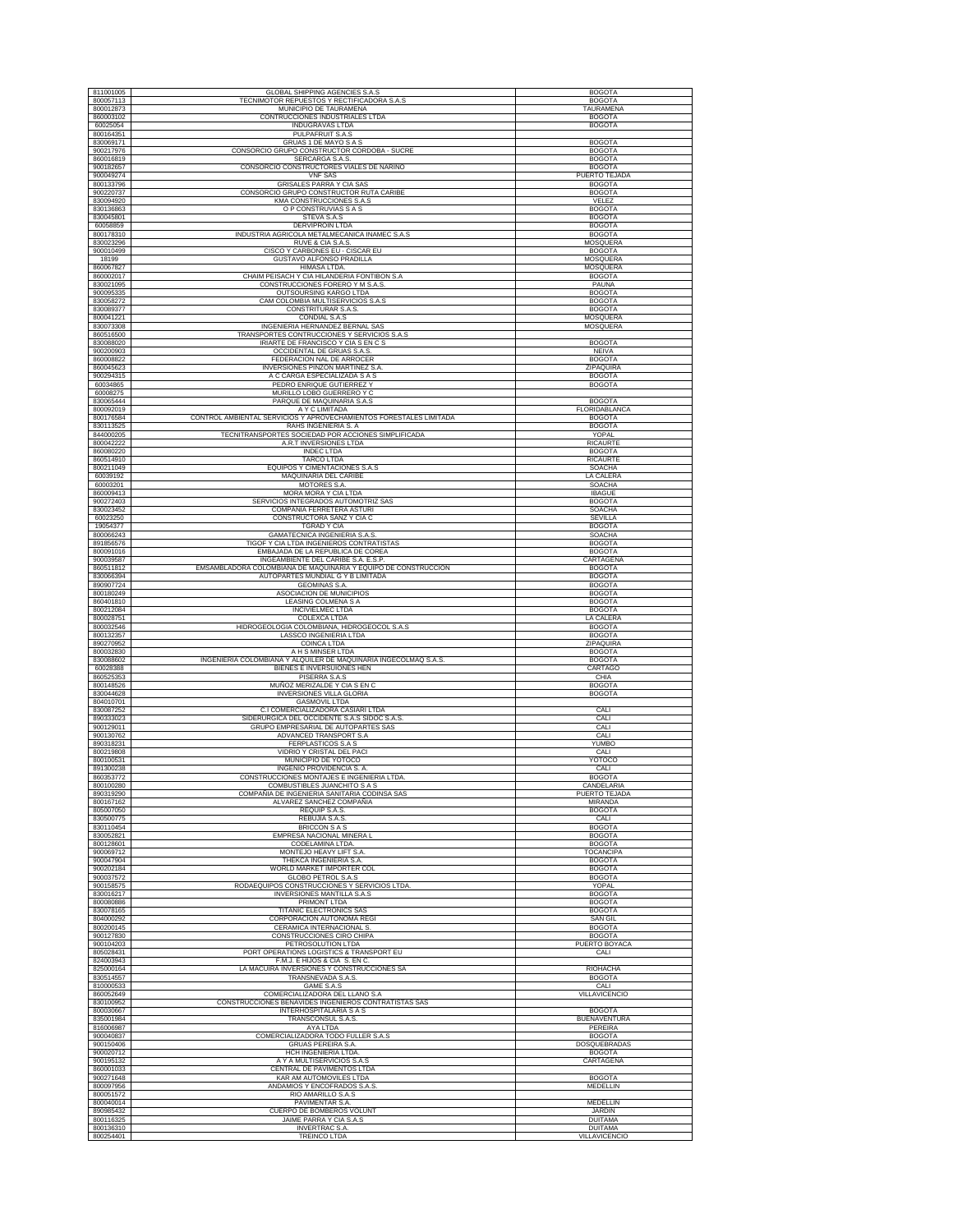| 811001005              | <b>GLOBAL SHIPPING AGENCIES S.A.S</b>                              | <b>BOGOTA</b>             |
|------------------------|--------------------------------------------------------------------|---------------------------|
|                        | TECNIMOTOR REPUESTOS Y RECTIFICADORA S.A.S                         |                           |
| 800057113              |                                                                    | <b>BOGOTA</b>             |
| 800012873              | MUNICIPIO DE TAURAMENA                                             | TAURAMENA                 |
| 860003102              | CONTRUCCIONES INDUSTRIALES LTDA                                    | <b>BOGOTA</b>             |
| 60025054               | INDUGRAVAS LTDA                                                    | <b>BOGOTA</b>             |
| 800164351              | PULPAFRUIT S.A.S                                                   |                           |
| 830069171              | GRUAS 1 DE MAYO S A S                                              | <b>BOGOTA</b>             |
| 900217976              | CONSORCIO GRUPO CONSTRUCTOR CORDOBA - SUCRE                        | <b>BOGOTA</b>             |
| 860016819              | SERCARGA S.A.S.                                                    | <b>BOGOTA</b>             |
| 900182657              | CONSORCIO CONSTRUCTORES VIALES DE NARIÑO                           | <b>BOGOTA</b>             |
| 900049274              | <b>VNF SAS</b>                                                     | <b>PUERTO TEJADA</b>      |
| 800133796              | GRISALES PARRA Y CIA SAS                                           | <b>BOGOTA</b>             |
| 900220737              | CONSORCIO GRUPO CONSTRUCTOR RUTA CARIBE                            | <b>BOGOTA</b>             |
|                        |                                                                    |                           |
| 830094920              | KMA CONSTRUCCIONES S.A.S                                           | VELEZ                     |
| 830136863              | O P CONSTRUVIAS S A S                                              | <b>BOGOTA</b>             |
| 830045801              | STEVA S.A.S                                                        | <b>BOGOTA</b>             |
| 60058859               | <b>DERVIPROIN LTDA</b>                                             | <b>BOGOTA</b>             |
| 800178310              | INDUSTRIA AGRICOLA METALMECANICA INAMEC S.A.S                      | <b>BOGOTA</b>             |
| 830023296              | RUVE & CIA S.A.S.                                                  | MOSQUERA                  |
| 900010499              | CISCO Y CARBONES EU - CISCAR EU                                    | <b>BOGOTA</b>             |
| 18199                  | GUSTAVO ALFONSO PRADILLA                                           | <b>MOSQUERA</b>           |
| 860067827              | <b>HIMASA LTDA</b>                                                 | MOSQUERA                  |
| 860002017              | CHAIM PEISACH Y CIA HILANDERIA FONTIBON S.A                        | <b>BOGOTA</b>             |
|                        |                                                                    |                           |
| 830021095              | CONSTRUCCIONES FORERO Y M S.A.S.                                   | PAUNA                     |
| 900095335              | OUTSOURSING KARGO LTDA                                             | <b>BOGOTA</b>             |
| 830058272              | CAM COLOMBIA MULTISERVICIOS S.A.S                                  | <b>BOGOTA</b>             |
| 830089377              | CONSTRITURAR S.A.S.                                                | <b>BOGOTA</b>             |
| 800041221              | CONDIAL S.A.S                                                      | <b>MOSQUERA</b>           |
| 830073308              | INGENIERIA HERNANDEZ BERNAL SAS                                    | MOSQUERA                  |
| 860516500              | TRANSPORTES CONTRUCCIONES Y SERVICIOS S.A.S                        |                           |
| 830088020              | IRIARTE DE FRANCISCO Y CIA S EN C S                                | <b>BOGOTA</b>             |
| 900200903              | OCCIDENTAL DE GRUAS S.A.S.                                         | <b>NEIVA</b>              |
| 860008822              | FEDERACION NAL DE ARROCER                                          | <b>BOGOTA</b>             |
| 860045623              | INVERSIONES PINZON MARTINEZ S.A.                                   | ZIPAQUIRA                 |
| 900294315              | A C CARGA ESPECIALIZADA S A S                                      | <b>BOGOTA</b>             |
|                        |                                                                    |                           |
| 60034865               | PEDRO ENRIQUE GUTIERREZ Y                                          | <b>BOGOTA</b>             |
| 60008275               | MURILLO LOBO GUERRERO Y C                                          |                           |
| 830065444              | PARQUE DE MAQUINARIA S.A.S                                         | <b>BOGOTA</b>             |
| 800092019              | A Y C LIMITADA                                                     | FLORIDABLANCA             |
| 800176584              | CONTROL AMBIENTAL SERVICIOS Y APROVECHAMIENTOS FORESTALES LIMITADA | <b>BOGOTA</b>             |
| 830113525              | RAHS INGENIERIA S. A                                               | <b>BOGOTA</b>             |
| 844000205              | TECNITRANSPORTES SOCIEDAD POR ACCIONES SIMPLIFICADA                | YOPAL                     |
| 800042222              | A.R.T INVERSIONES LTDA                                             | <b>RICAURTE</b>           |
| 860080220              | <b>INDEC LTDA</b>                                                  | <b>BOGOTA</b>             |
|                        |                                                                    |                           |
| 860514910<br>800211049 | <b>TARCO LTDA</b><br>EQUIPOS Y CIMENTACIONES S.A.S                 | RICAURTE<br><b>SOACHA</b> |
|                        |                                                                    |                           |
| 60039192               | MAQUINARIA DEL CARIBE                                              | <b>LA CALERA</b>          |
| 60003201               | MOTORES S.A.                                                       | SOACHA                    |
| 860009413              | MORA MORA Y CIA LTDA                                               | <b>IBAGUE</b>             |
| 900272403              | SERVICIOS INTEGRADOS AUTOMOTRIZ SAS                                | <b>BOGOTA</b>             |
| 830023452              | <b>COMPANIA FERRETERA ASTURI</b>                                   | <b>SOACHA</b>             |
| 60023250               | CONSTRUCTORA SANZ Y CIA C                                          | SEVILLA                   |
| 19054377               | TGRAD Y CIA                                                        | <b>BOGOTA</b>             |
| 800066243              | <b>GAMATECNICA INGENIERIA S.A.S</b>                                | <b>SOACHA</b>             |
| 891856576              | TIGOF Y CIA LTDA INGENIEROS CONTRATISTAS                           | <b>BOGOTA</b>             |
|                        |                                                                    |                           |
| 800091016              | EMBAJADA DE LA REPUBLICA DE COREA                                  | <b>BOGOTA</b>             |
| 900039587              | INGEAMBIENTE DEL CARIBE S.A. E.S.P.                                | CARTAGENA                 |
| 860511812              | EMSAMBLADORA COLOMBIANA DE MAQUINARIA Y EQUIPO DE CONSTRUCCIÓN     | <b>BOGOTA</b>             |
| 830066394              | AUTOPARTES MUNDIAL G Y B LIMITADA                                  | <b>BOGOTA</b>             |
| 890907724              | <b>GEOMINAS S.A.</b>                                               | <b>BOGOTA</b>             |
| 800180249              | ASOCIACION DE MUNICIPIOS                                           | <b>BOGOTA</b>             |
|                        |                                                                    |                           |
|                        |                                                                    |                           |
| 860401810              | LEASING COLMENA S A                                                | <b>BOGOTA</b>             |
| 800212084              | <b>INCIVIELMEC LTDA</b>                                            | <b>BOGOTA</b>             |
| 800028751              | COLEXCA LTDA                                                       | LA CALERA                 |
| 800032546              | HIDROGEOLOGIA COLOMBIANA, HIDROGEOCOL S.A.S                        | <b>BOGOTA</b>             |
| 800132357              | LASSCO INGENIERIA LTDA                                             | <b>BOGOTA</b>             |
| 890270952              | COINCA LTDA                                                        | ZIPAQUIRA                 |
| 800032830              | A H S MINSER LTDA                                                  | <b>BOGOTA</b>             |
| 830088602              | INGENIERIA COLOMBIANA Y ALQUILER DE MAQUINARIA INGECOLMAQ S.A.S.   | <b>BOGOTA</b>             |
| 60028388               | BIENES E INVERSUIONES HEN                                          | CARTAGO                   |
| 860525353              | PISERRA S.A.S                                                      | CHIA                      |
| 800148526              | MUÑOZ MERIZALDE Y CIA S EN C                                       | <b>BOGOTA</b>             |
| 830044628              | <b>INVERSIONES VILLA GLORIA</b>                                    | <b>BOGOTA</b>             |
| 804010701              | <b>GASMOVIL LTDA</b>                                               |                           |
|                        | C.I COMERCIALIZADORA CASIARI LTDA                                  |                           |
| 830087252              |                                                                    | CALI                      |
| 890333023              | SIDERURGICA DEL OCCIDENTE S.A.S SIDOC S.A.S.                       | CALI                      |
| 900129011              | GRUPO EMPRESARIAL DE AUTOPARTES SAS                                | CALI                      |
| 900130762              | ADVANCED TRANSPORT S.A                                             | CALI                      |
| 890318231              | FERPLASTICOS S.A S                                                 | YUMBC                     |
| 800219808              | VIDRIO Y CRISTAL DEL PACI                                          | CALI                      |
| 800100531              | MUNICIPIO DE YOTOCO                                                | YOTOCO                    |
| 891300238              | <b>INGENIO PROVIDENCIA S. A.</b>                                   | CALI                      |
| 860353772              | CONSTRUCCIONES MONTAJES E INGENIERIA LTDA                          | <b>BOGOTA</b>             |
| 800100280              | COMBUSTIBLES JUANCHITO S A S                                       | CANDELARIA                |
| 890319290              | COMPAÑIA DE INGENIERIA SANITARIA CODINSA SAS                       | PUERTO TEJADA             |
| 800167162              | ALVAREZ SANCHEZ COMPAÑIA                                           | MIRANDA                   |
| 805007050              | REQUIP S.A.S.                                                      | <b>BOGOTA</b>             |
| 830500775              | REBUJIA S.A.S.                                                     | CALI                      |
| 830110454              | <b>BRICCON S A S</b>                                               | <b>BOGOTA</b>             |
|                        |                                                                    |                           |
| 830052821              | EMPRESA NACIONAL MINERA L                                          | <b>BOGOTA</b>             |
| 800128601              | CODELAMINA LTDA.                                                   | <b>BOGOTA</b>             |
| 900069712              | MONTEJO HEAVY LIFT S.A                                             | <b>TOCANCIPA</b>          |
| 900047904              | THEKCA INGENIERIA S.A.                                             | <b>BOGOTA</b>             |
| 900202184              | WORLD MARKET IMPORTER COL                                          | <b>BOGOTA</b>             |
| 900037572              | <b>GLOBO PETROL S.A.S</b>                                          | <b>BOGOTA</b>             |
| 900158575              | RODAEQUIPOS CONSTRUCCIONES Y SERVICIOS LTDA                        | YOPAL                     |
| 830016217              | <b>INVERSIONES MANTILLA S.A.S</b>                                  | <b>BOGOTA</b>             |
| 800080886              | PRIMONT LTDA                                                       | <b>BOGOTA</b>             |
| 830078165              | <b>TITANIC ELECTRONICS SAS</b>                                     | <b>BOGOTA</b>             |
| 804000292              | CORPORACION AUTONOMA REGI                                          | SAN GIL                   |
| 800200145              | CERAMICA INTERNACIONAL S.                                          | <b>BOGOTA</b>             |
| 900127830              | CONSTRUCCIONES CIRO CHIPA                                          | <b>BOGOTA</b>             |
| 900104203              | PETROSOLUTION LTDA                                                 | PUERTO BOYACA             |
|                        | PORT OPERATIONS LOGISTICS & TRANSPORT EU                           |                           |
| 805028431              |                                                                    | CALI                      |
| 824003943              | F.M.J. E HIJOS & CIA S. EN C.                                      |                           |
| 825000164              | LA MACUIRA INVERSIONES Y CONSTRUCCIONES SA                         | <b>RIOHACHA</b>           |
| 830514557              | TRANSNEVADA S.A.S.                                                 | <b>BOGOTA</b>             |
|                        | GAME S.A.S                                                         | CALI                      |
| 810000533<br>860052649 | COMERCIALIZADORA DEL LLANO S.A                                     | VILLAVICENCIO             |
| 830100952              | CONSTRUCCIONES BENAVIDES INGENIEROS CONTRATISTAS SAS               |                           |
| 800030667              | INTERHOSPITALARIA S A S                                            | <b>BOGOTA</b>             |
| 835001984              |                                                                    | <b>BUENAVENTURA</b>       |
|                        | TRANSCONSUL S.A.S.                                                 |                           |
| 816006987              | AYA LTDA                                                           | <b>PEREIRA</b>            |
| 900040837              | COMERCIALIZADORA TODO FULLER S.A.S                                 | <b>BOGOTA</b>             |
| 900150406              | <b>GRUAS PEREIRA S.A.</b>                                          | DOSQUEBRADAS              |
| 900020712              | HCH INGENIERIA LTDA.                                               | <b>BOGOTA</b>             |
| 900195132              | A Y A MULTISERVICIOS S.A.S                                         | CARTAGENA                 |
| 860001033              | CENTRAL DE PAVIMENTOS LTDA                                         |                           |
| 900271648              | KAR AM AUTOMOVILES LTDA                                            | <b>BOGOTA</b>             |
| 800097956              | ANDAMIOS Y ENCOFRADOS S.A.S.                                       | MEDELLIN                  |
| 800051572              | RIO AMARILLO S.A.S                                                 |                           |
| 800040014              | PAVIMENTAR S.A.                                                    | MEDELLIN                  |
| 890985432              | CUERPO DE BOMBEROS VOLUNT                                          | <b>JARDIN</b>             |
| 800116325              | JAIME PARRA Y CIA S.A.S                                            | <b>DUITAMA</b>            |
| 800136310              | <b>INVERTRAC S.A.</b>                                              | <b>DUITAMA</b>            |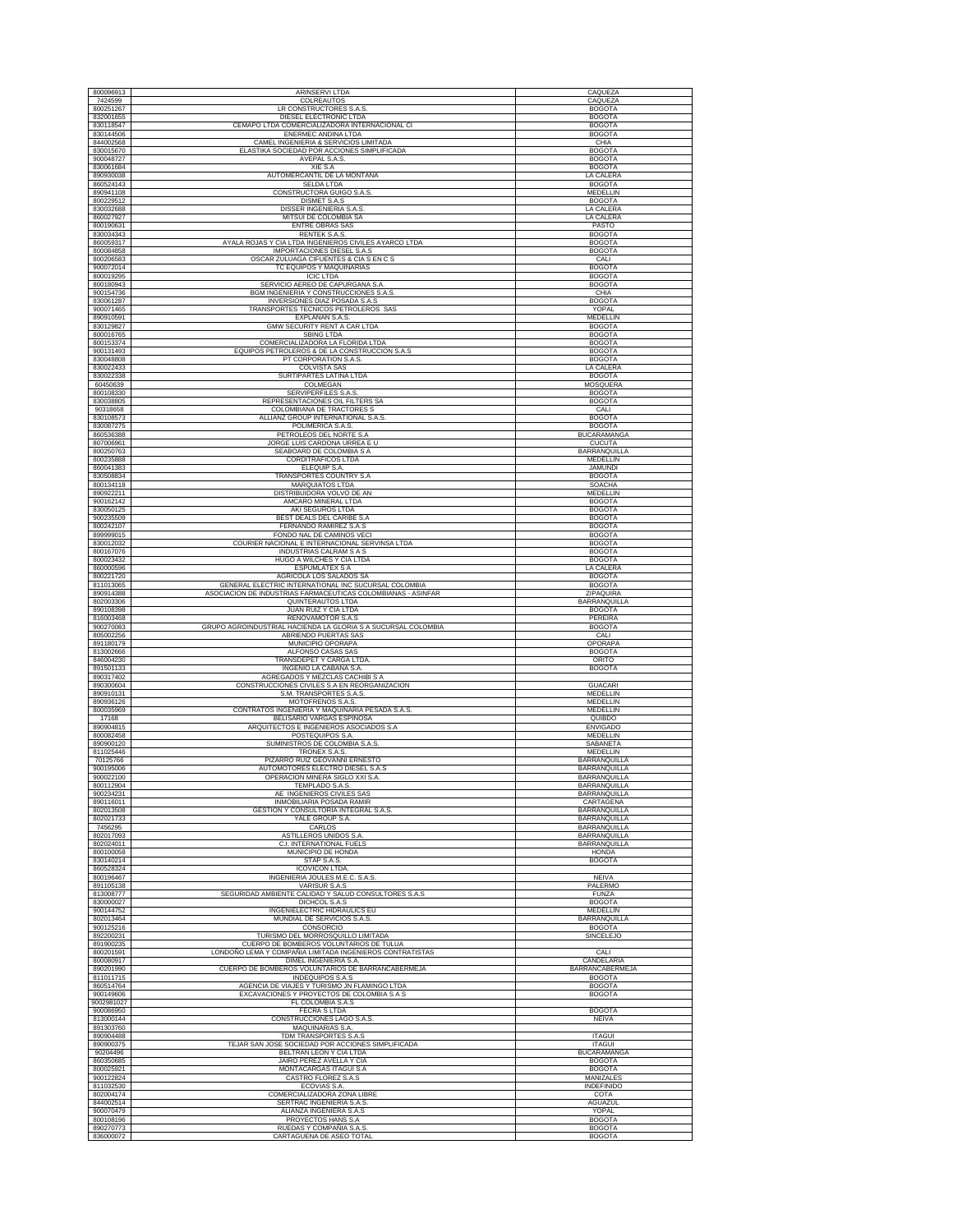| 800096913              | <b>ARINSERVI LTDA</b>                                                                                                | CAQUEZA                             |
|------------------------|----------------------------------------------------------------------------------------------------------------------|-------------------------------------|
| 7424599                | COLREAUTOS                                                                                                           | CAQUEZA                             |
| 800251267<br>832001655 | LR CONSTRUCTORES S.A.S.                                                                                              | <b>BOGOTA</b>                       |
| 830118547              | DIESEL ELECTRONIC LTDA<br>CEMAPO LTDA COMERCIALIZADORA INTERNACIONAL CI                                              | <b>BOGOTA</b><br><b>BOGOTA</b>      |
| 830144506              | ENERMEC ANDINA LTDA                                                                                                  | <b>BOGOTA</b>                       |
| 844002568              | CAMEL INGENIERIA & SERVICIOS LIMITADA                                                                                | CHIA                                |
| 830015670<br>900048727 | ELASTIKA SOCIEDAD POR ACCIONES SIMPLIFICADA                                                                          | <b>BOGOTA</b><br><b>BOGOTA</b>      |
| 830061684              | AVEPAL S.A.S.<br>XIE S.A                                                                                             | <b>BOGOTA</b>                       |
| 890930038              | AUTOMERCANTIL DE LA MONTAÑA                                                                                          | LA CALERA                           |
| 860524143              | <b>SELDA LTDA</b>                                                                                                    | <b>BOGOTA</b>                       |
| 890941108<br>800229512 | CONSTRUCTORA GUIGO S.A.S.<br>DISMET S.A.S                                                                            | MEDELLIN<br><b>BOGOTA</b>           |
| 830032688              | DISSER INGENIERIA S.A.S                                                                                              | LA CALERA                           |
| 860027927              | MITSUI DE COLOMBIA SA                                                                                                | LA CALERA                           |
| 800190631              | <b>ENTRE OBRAS SAS</b>                                                                                               | PASTO                               |
| 830034343<br>860059317 | RENTEK S.A.S.                                                                                                        | <b>BOGOTA</b><br><b>BOGOTA</b>      |
| 800084858              | AYALA ROJAS Y CIA LTDA INGENIEROS CIVILES AYARCO LTDA<br>IMPORTACIONES DIESEL S.A.S                                  | <b>BOGOTA</b>                       |
| 800206583              | OSCAR ZULUAGA CIFUENTES & CIA S EN C S                                                                               | CALI                                |
| 900072014              | TC EQUIPOS Y MAQUINARIAS                                                                                             | <b>BOGOTA</b>                       |
| 800019295              | <b>ICIC LTDA</b><br>SERVICIO AEREO DE CAPURGANA S.A                                                                  | <b>BOGOTA</b>                       |
| 800180943<br>900154736 | BGM INGENIERIA Y CONSTRUCCIONES S.A.S.                                                                               | <b>BOGOTA</b><br>CHIA               |
| 830061287              | INVERSIONES DIAZ POSADA S.A.S                                                                                        | <b>BOGOTA</b>                       |
| 900071465              | TRANSPORTES TECNICOS PETROLEROS SAS                                                                                  | YOPAL                               |
| 890910591              | EXPLANAN S.A.S.                                                                                                      | MEDELLIN                            |
| 830129827<br>800016765 | <b>GMW SECURITY RENT A CAR LTDA</b><br>SBING LTDA                                                                    | <b>BOGOTA</b><br><b>BOGOTA</b>      |
| 800153374              | COMERCIALIZADORA LA FLORIDA LTDA                                                                                     | <b>BOGOTA</b>                       |
| 900131493              | EQUIPOS PETROLEROS & DE LA CONSTRUCCION S.A.S                                                                        | <b>BOGOTA</b>                       |
| 830048808              | PT CORPORATION S.A.S.                                                                                                | <b>BOGOTA</b>                       |
| 830022433<br>830022338 | <b>COLVISTA SAS</b><br>SURTIPARTES LATINA LTDA                                                                       | LA CALERA<br><b>BOGOTA</b>          |
| 60450639               | COLMEGAN                                                                                                             | <b>MOSQUERA</b>                     |
| 800108330              | SERVIPERFILES S.A.S                                                                                                  | <b>BOGOTA</b>                       |
| 830038805              | REPRESENTACIONES OIL FILTERS SA                                                                                      | <b>BOGOTA</b>                       |
| 90318658<br>830108573  | COLOMBIANA DE TRACTORES S<br>ALLIANZ GROUP INTERNATIONAL S.A.S                                                       | CALI<br><b>BOGOTA</b>               |
| 830087275              | POLIMERICA S.A.S.                                                                                                    | <b>BOGOTA</b>                       |
| 860536388              | PETROLEOS DEL NORTE S.A                                                                                              | <b>BUCARAMANGA</b>                  |
| 807006961              | JORGE LUIS CARDONA URREA E U                                                                                         | <b>CUCUTA</b>                       |
| 800250763<br>800235888 | SEABOARD DE COLOMBIA S A<br><b>CORDITRAFICOS LTDA</b>                                                                | BARRANQUILLA<br><b>MEDELLIN</b>     |
| 860041383              | ELEQUIP S.A.                                                                                                         | <b>JAMUNDI</b>                      |
| 830508834              | TRANSPORTES COUNTRY S.A                                                                                              | <b>BOGOTA</b>                       |
| 800134118              | <b>MARQUIATOS LTDA</b>                                                                                               | <b>SOACHA</b>                       |
| 890922211<br>900162142 | DISTRIBUIDORA VOLVO DE AN                                                                                            | MEDELLIN                            |
| 830050125              | AMCARO MINERAL LTDA<br>AKI SEGUROS LTDA                                                                              | <b>BOGOTA</b><br><b>BOGOTA</b>      |
| 900235509              | BEST DEALS DEL CARIBE S.A.                                                                                           | <b>BOGOTA</b>                       |
| 800242107              | FERNANDO RAMIREZ S.A.S                                                                                               | <b>BOGOTA</b>                       |
| 899999015              | FONDO NAL DE CAMINOS VECI                                                                                            | <b>BOGOTA</b>                       |
| 830012032<br>800167076 | COURIER NACIONAL E INTERNACIONAL SERVINSA LTDA<br>INDUSTRIAS CALRAM S A S                                            | <b>BOGOTA</b><br><b>BOGOTA</b>      |
| 800023432              | HUGO A WILCHES Y CIA LTDA                                                                                            | <b>BOGOTA</b>                       |
| 860000596              | <b>ESPUMLATEX S A</b>                                                                                                | LA CALERA                           |
| 800221720              | AGRICOLA LOS SALADOS SA                                                                                              | <b>BOGOTA</b>                       |
| 811013065<br>890914388 | GENERAL ELECTRIC INTERNATIONAL INC SUCURSAL COLOMBIA<br>ASOCIACION DE INDUSTRIAS FARMACEUTICAS COLOMBIANAS - ASINFAR | <b>BOGOTA</b><br>ZIPAQUIRA          |
| 802003306              | QUINTERAUTOS LTDA                                                                                                    | BARRANQUILLA                        |
| 890108398              | JUAN RUIZ Y CIA LTDA                                                                                                 | <b>BOGOTA</b>                       |
| 816003468              | RENOVAMOTOR S.A.S                                                                                                    | PEREIRA                             |
| 900270083              | GRUPO AGROINDUSTRIAL HACIENDA LA GLORIA S A SUCURSAL COLOMBIA                                                        | <b>BOGOTA</b>                       |
| 805002256<br>891180179 | ABRIENDO PUERTAS SAS<br>MUNICIPIO OPORAPA                                                                            | CALI<br>OPORAPA                     |
| 813002666              | ALFONSO CASAS SAS                                                                                                    | <b>BOGOTA</b>                       |
| 846004230              | TRANSDEPET Y CARGA LTDA                                                                                              | ORITO                               |
| 891501133              | INGENIO LA CABAÑA S.A.                                                                                               | <b>BOGOTA</b>                       |
| 890317402<br>890300604 | AGREGADOS Y MEZCLAS CACHIBI S A<br>CONSTRUCCIONES CIVILES S.A EN REORGANIZACION                                      | <b>GUACARI</b>                      |
| 890910131              | S.M. TRANSPORTES S.A.S                                                                                               | MEDELLIN                            |
| 890936126              | MOTOFRENOS S.A.S.                                                                                                    | MEDELLIN                            |
| 800035969<br>17168     | CONTRATOS INGENIERIA Y MAQUINARIA PESADA S.A.S.<br>BELISARIO VARGAS ESPINOSA                                         | MEDELLIN<br>QUIBDO                  |
| 890904815              | ARQUITECTOS E INGENIEROS ASOCIADOS S.A                                                                               | <b>ENVIGADO</b>                     |
| 800082458              | POSTEQUIPOS S.A                                                                                                      | MEDELLIN                            |
| 890900120              | SUMINISTROS DE COLOMBIA S.A.S.                                                                                       | SABANETA                            |
| 811025446<br>70125766  | TRONEX S.A.S.<br>PIZARRO RUIZ GEOVANNI ERNESTO                                                                       | MEDELLIN<br>BARRANQUILLA            |
| 900195006              | AUTOMOTORES ELECTRO DIESEL S.A.S                                                                                     | <b>BARRANQUILLA</b>                 |
| 900022100              | OPERACION MINERA SIGLO XXI S.A.                                                                                      | <b>BARRANQUILLA</b>                 |
| 800112904              | TEMPLADO S.A.S                                                                                                       | BARRANQUILLA                        |
| 900234231              | AE INGENIEROS CIVILES SAS                                                                                            | BARRANQUILLA                        |
| 890116011<br>802013508 | INMOBILIARIA POSADA RAMIR<br>GESTION Y CONSULTORIA INTEGRAL S.A.S.                                                   | CARTAGENA<br>BARRANQUILLA           |
| 802021733              | YALE GROUP S.A.                                                                                                      | BARRANQUILLA                        |
| 7456295                | CARLOS                                                                                                               | BARRANQUILLA                        |
| 802017093<br>802024011 | ASTILLEROS UNIDOS S.A<br>C.I. INTERNATIONAL FUELS                                                                    | BARRANQUILLA<br>BARRANQUILLA        |
| 800100058              | MUNICIPIO DE HONDA                                                                                                   | <b>HONDA</b>                        |
| 830140214              | STAP S.A.S.                                                                                                          | <b>BOGOTA</b>                       |
| 860528324<br>800196467 | <b>ICOVICON LTDA.</b>                                                                                                |                                     |
| 891105138              | INGENIERIA JOULES M.E.C. S.A.S.<br>VARISUR S.A.S                                                                     | <b>NEIVA</b><br>PALERMO             |
| 813008777              | SEGURIDAD AMBIENTE CALIDAD Y SALUD CONSULTORES S.A.S                                                                 | FUNZA                               |
| 830000027              | DICHCOL S.A.S                                                                                                        | <b>BOGOTA</b>                       |
| 900144752              | INGENIELECTRIC HIDRAULICS EU                                                                                         | <b>MEDELLIN</b>                     |
| 802013464<br>900125216 | MUNDIAL DE SERVICIOS S.A.S.<br>CONSORCIO                                                                             | BARRANQUILLA<br><b>BOGOTA</b>       |
| 892200231              | TURISMO DEL MORROSOUILLO LIMITADA                                                                                    | <b>SINCELEJO</b>                    |
| 891900235              | CUERPO DE BOMBEROS VOLUNTARIOS DE TULUA                                                                              |                                     |
| 800201591              | LONDOÑO LEMA Y COMPAÑIA LIMITADA INGENIEROS CONTRATISTAS                                                             | CALI                                |
| 800080917<br>890201990 | DIMEL INGENIERIA S.A.<br>CUERPO DE BOMBEROS VOLUNTARIOS DE BARRANCABERMEJA                                           | CANDELARIA<br>BARRANCABERMEJA       |
| 811011715              | <b>INDEQUIPOS S.A.S</b>                                                                                              | <b>BOGOTA</b>                       |
| 860514764              | AGENCIA DE VIAJES Y TURISMO JN FLAMINGO LTDA                                                                         | <b>BOGOTA</b>                       |
| 900149606              | EXCAVACIONES Y PROYECTOS DE COLOMBIA S A S                                                                           | <b>BOGOTA</b>                       |
| 9002981027             | FL COLOMBIA S.A.S                                                                                                    |                                     |
| 900086950<br>813000144 | <b>FECRA S LTDA</b><br>CONSTRUCCIONES LAGO S.A.S.                                                                    | <b>BOGOTA</b><br><b>NEIVA</b>       |
| 891303760              | MAQUINARIAS S.A.                                                                                                     |                                     |
| 890904488              | TDM TRANSPORTES S.A.S                                                                                                | <b>ITAGUI</b>                       |
| 890900375              | TEJAR SAN JOSE SOCIEDAD POR ACCIONES SIMPLIFICADA                                                                    | <b>ITAGUI</b>                       |
| 90204496<br>860350685  | BELTRAN LEON Y CIA LTDA<br>JAIRO PEREZ AVELLA Y CIA                                                                  | <b>BUCARAMANGA</b><br><b>BOGOTA</b> |
| 800025921              | MONTACARGAS ITAGUI S.A                                                                                               | <b>BOGOTA</b>                       |
| 900122824              | CASTRO FLOREZ S.A.S                                                                                                  | MANIZALES                           |
| 811032530              | ECOVIAS S.A.                                                                                                         | <b>INDEFINIDO</b>                   |
| 802004174              | COMERCIALIZADORA ZONA LIBRE                                                                                          | COTA                                |
| 844002514<br>900070479 | SERTRAC INGENIERIA S.A.S.<br>ALIANZA INGENIERA S.A.S                                                                 | AGUAZUL<br>YOPAL                    |
| 800108196              | PROYECTOS HANS S.A                                                                                                   | <b>BOGOTA</b>                       |
| 890270773              | RUEDAS Y COMPAÑIA S.A.S                                                                                              | <b>BOGOTA</b>                       |
| 836000072              | CARTAGUENA DE ASEO TOTAL                                                                                             | <b>BOGOTA</b>                       |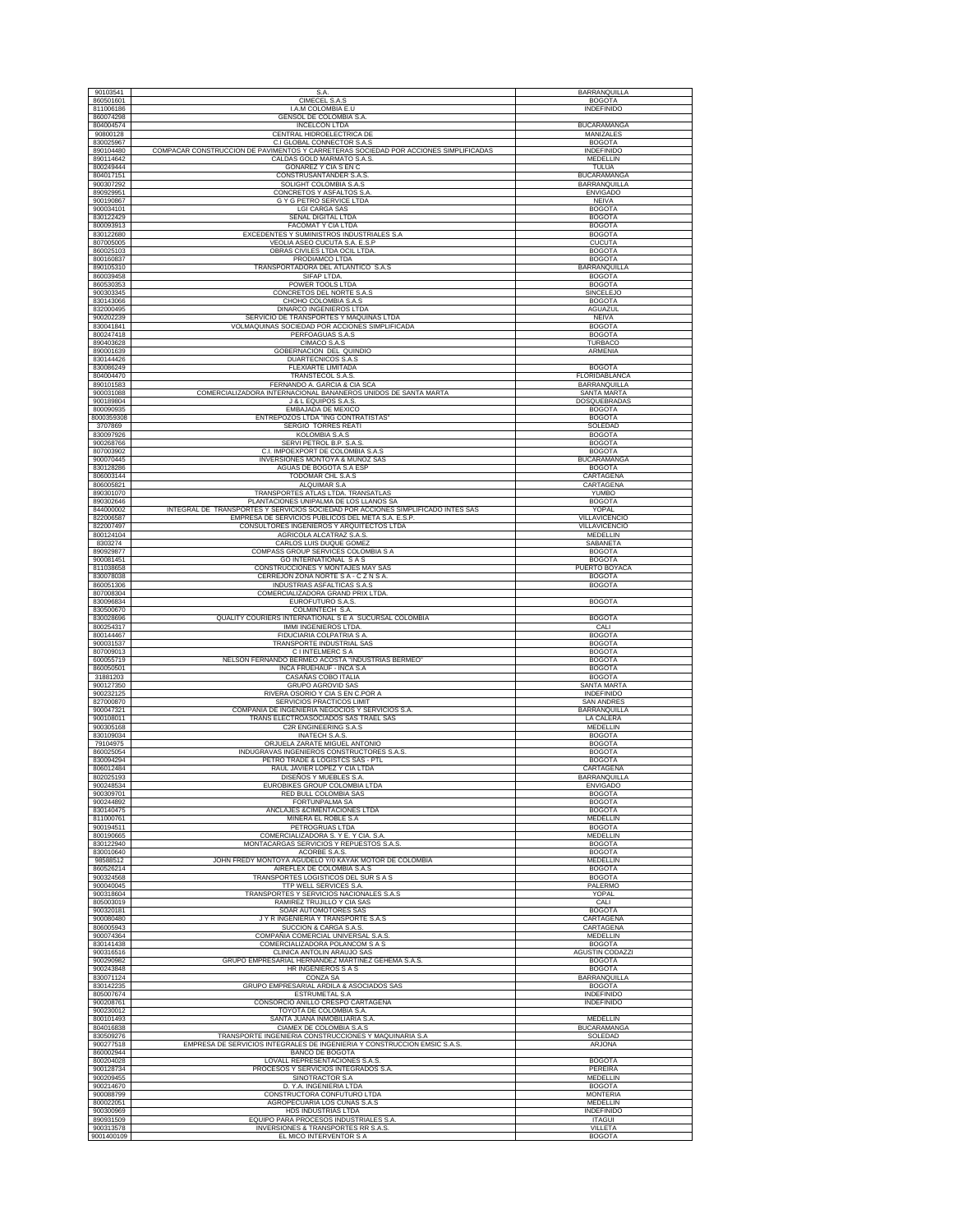| 90103541                             | S.A.<br>CIMECEL S.A.S                                                                                                             | <b>BARRANQUILLA</b>              |
|--------------------------------------|-----------------------------------------------------------------------------------------------------------------------------------|----------------------------------|
| 860501601                            |                                                                                                                                   | <b>BOGOTA</b>                    |
| 811006186<br>860074298               | I.A.M COLOMBIA E.U<br>GENSOL DE COLOMBIA S.A.                                                                                     | INDEFINIDO                       |
| 804004574                            | <b>INCELCON LTDA</b>                                                                                                              | BUCARAMANGA                      |
| 90800128                             | CENTRAL HIDROELECTRICA DE                                                                                                         | <b>MANIZALES</b>                 |
| 830025967                            | C.I GLOBAL CONNECTOR S.A.S                                                                                                        | <b>BOGOTA</b>                    |
| 890104480                            | COMPACAR CONSTRUCCION DE PAVIMENTOS Y CARRETERAS SOCIEDAD POR ACCIONES SIMPLIFICADAS                                              | INDEFINIDO                       |
| 890114642                            | CALDAS GOLD MARMATO S.A.S.                                                                                                        | MEDELLIN                         |
| 800249444                            | GONAREZ Y CIA S EN C                                                                                                              | TULUA                            |
| 804017151                            | <b>CONSTRUSANTANDER S.A.S</b>                                                                                                     | <b>BUCARAMANGA</b>               |
| 900307292                            | SOLIGHT COLOMBIA S.A.S                                                                                                            | BARRANQUILLA                     |
| 890929951                            | CONCRETOS Y ASFALTOS S.A                                                                                                          | <b>ENVIGADO</b>                  |
| 900190867                            | G Y G PETRO SERVICE LTDA                                                                                                          | <b>NEIVA</b>                     |
| 900034101                            | <b>LGI CARGA SAS</b>                                                                                                              | <b>BOGOTA</b>                    |
| 830122429                            | SEÑAL DIGITAL LTDA                                                                                                                | <b>BOGOTA</b>                    |
| 800093913                            | FACOMAT Y CIA LTDA                                                                                                                | <b>BOGOTA</b>                    |
| 830122680                            | EXCEDENTES Y SUMINISTROS INDUSTRIALES S.A.                                                                                        | <b>BOGOTA</b>                    |
| 807005005                            | VEOLIA ASEO CUCUTA S.A. E.S.P                                                                                                     | <b>CUCUTA</b>                    |
| 860025103                            | OBRAS CIVILES LTDA OCIL LTDA                                                                                                      | <b>BOGOTA</b>                    |
| 800160837                            | PRODIAMCO LTDA                                                                                                                    | <b>BOGOTA</b>                    |
| 890105310                            | TRANSPORTADORA DEL ATLANTICO S.A.S                                                                                                | BARRANQUILLA                     |
| 860039458                            | SIFAP LTDA.                                                                                                                       | <b>BOGOTA</b>                    |
| 860530353                            | POWER TOOLS LTDA                                                                                                                  | <b>BOGOTA</b>                    |
| 900303345                            | CONCRETOS DEL NORTE S.A.S                                                                                                         | SINCELEJO                        |
| 830143066<br>832000495               | CHOHO COLOMBIA S.A.S                                                                                                              | <b>BOGOTA</b>                    |
| 900202239                            | DINARCO INGENIEROS LTDA<br>SERVICIO DE TRANSPORTES Y MAQUINAS LTDA                                                                | AGUAZUL<br><b>NEIVA</b>          |
| 830041841                            | VOLMAQUINAS SOCIEDAD POR ACCIONES SIMPLIFICADA                                                                                    | <b>BOGOTA</b>                    |
| 800247418                            | PERFOAGUAS S.A.S                                                                                                                  | <b>BOGOTA</b>                    |
| 890403628                            | CIMACO S.A.S                                                                                                                      | TURBACO                          |
| 890001639                            | GOBERNACION DEL QUINDIO                                                                                                           | ARMENIA                          |
| 830144426                            | DUARTECNICOS S.A.S                                                                                                                |                                  |
| 830086249                            | FLEXIARTE LIMITADA                                                                                                                | <b>BOGOTA</b>                    |
| 804004470                            | TRANSTECOL S.A.S.                                                                                                                 | FLORIDABLANCA                    |
| 890101583                            | FERNANDO A. GARCIA & CIA SCA                                                                                                      | BARRANQUILLA                     |
| 900031088                            | COMERCIALIZADORA INTERNACIONAL BANANEROS UNIDOS DE SANTA MARTA                                                                    | SANTA MARTA                      |
| 900189804                            | J & L EQUIPOS S.A.S                                                                                                               | DOSQUEBRADAS                     |
| 800090935                            | EMBAJADA DE MEXICO                                                                                                                | <b>BOGOTA</b>                    |
| 8000359308                           | ENTREPOZOS LTDA "ING CONTRATISTAS"                                                                                                | <b>BOGOTA</b>                    |
| 3707869                              | SERGIO TORRES REATI                                                                                                               | SOLEDAD                          |
| 830097926                            | KOLOMBIA S.A.S                                                                                                                    | <b>BOGOTA</b>                    |
| 900268766                            | SERVI PETROL B.P. S.A.S                                                                                                           | <b>BOGOTA</b>                    |
| 807003902                            | C.I. IMPOEXPORT DE COLOMBIA S.A.S                                                                                                 | <b>BOGOTA</b>                    |
| 900070445                            | INVERSIONES MONTOYA & MUÑOZ SAS                                                                                                   | <b>BUCARAMANGA</b>               |
| 830128286                            | AGUAS DE BOGOTA S.A ESP                                                                                                           | <b>BOGOTA</b>                    |
| 806003144<br>806005821               | TODOMAR CHL S.A.S                                                                                                                 | CARTAGENA<br>CARTAGENA           |
|                                      | ALQUIMAR S.A                                                                                                                      |                                  |
| 890301070<br>890302646               | TRANSPORTES ATLAS LTDA. TRANSATLAS<br>PLANTACIONES UNIPALMA DE LOS LLANOS SA                                                      | YUMBO<br><b>BOGOTA</b>           |
| 844000002                            | INTEGRAL DE TRANSPORTES Y SERVICIOS SOCIEDAD POR ACCIONES SIMPLIFICADO INTES SAS                                                  | YOPAL                            |
| 822006587                            | EMPRESA DE SERVICIOS PUBLICOS DEL META S.A. E.S.P.                                                                                | VILLAVICENCIO                    |
| 822007497                            | CONSULTORES INGENIEROS Y ARQUITECTOS LTDA                                                                                         | VILLAVICENCIO                    |
| 800124104                            | AGRICOLA ALCATRAZ S.A.S                                                                                                           | <b>MEDELLIN</b>                  |
| 8303274                              | CARLOS LUIS DUQUE GOMEZ                                                                                                           | SABANETA                         |
| 890929877                            | COMPASS GROUP SERVICES COLOMBIA S A                                                                                               | <b>BOGOTA</b>                    |
| 900081451                            | <b>GO INTERNATIONAL S A S</b>                                                                                                     | <b>BOGOTA</b>                    |
| 811038658                            | CONSTRUCCIONES Y MONTAJES MAY SAS                                                                                                 | PUERTO BOYACA                    |
| 830078038                            | CERREJON ZONA NORTE S A - C Z N S A                                                                                               | <b>BOGOTA</b>                    |
| 860051306                            | INDUSTRIAS ASFALTICAS S.A.S                                                                                                       | <b>BOGOTA</b>                    |
| 807008304                            | COMERCIALIZADORA GRAND PRIX LTDA.                                                                                                 |                                  |
| 830096834                            | EUROFUTURO S.A.S                                                                                                                  | <b>BOGOTA</b>                    |
| 830500670                            | COLMINTECH S.A.                                                                                                                   |                                  |
| 830028696                            | QUALITY COURIERS INTERNATIONAL S E A SUCURSAL COLOMBIA                                                                            | <b>BOGOTA</b>                    |
| 800254317                            | IMMI INGENIEROS LTDA.                                                                                                             | CALI                             |
| 800144467                            | FIDUCIARIA COLPATRIA S A.                                                                                                         | <b>BOGOTA</b>                    |
| 900031537                            | TRANSPORTE INDUSTRIAL SAS                                                                                                         | <b>BOGOTA</b>                    |
| 807009013                            | C I INTELMERC S A                                                                                                                 | <b>BOGOTA</b>                    |
| 600055719<br>860050501               | NELSON FERNANDO BERMEO ACOSTA "INDUSTRIAS BERMEO"                                                                                 | <b>BOGOTA</b>                    |
| 31881203                             | INCA FRUEHAUF - INCA S.A.<br>CASAÑAS COBO ITALIA                                                                                  | <b>BOGOTA</b><br><b>BOGOTA</b>   |
| 900127350                            | GRUPO AGROVID SAS                                                                                                                 | SANTA MARTA                      |
| 900232125                            | RIVERA OSORIO Y CIA S EN C.POR A                                                                                                  | <b>INDEFINIDO</b>                |
| 827000870                            | SERVICIOS PRACTICOS LIMIT                                                                                                         | <b>SAN ANDRES</b>                |
| 900047321                            | COMPAÑIA DE INGENIERIA NEGOCIOS Y SERVICIOS S.A                                                                                   | <b>BARRANQUILLA</b>              |
| 900108011                            | TRANS ELECTROASOCIADOS SAS TRAEL SAS                                                                                              | LA CALERA                        |
| 900305168                            | C2R ENGINEERING S.A.S                                                                                                             | MEDELLIN                         |
| 830109034                            | INATECH S.A.S.                                                                                                                    | <b>BOGOTA</b>                    |
| 79104975                             | ORJUELA ZARATE MIGUEL ANTONIO                                                                                                     | <b>BOGOTA</b>                    |
| 860025054                            | INDUGRAVAS INGENIEROS CONSTRUCTORES S.A.S.                                                                                        | <b>BOGOTA</b>                    |
| 830094294                            | PETRO TRADE & LOGISTCS SAS - PTL                                                                                                  | <b>BOGOTA</b>                    |
| 806012484                            | RAUL JAVIER LOPEZ Y CIA LTDA                                                                                                      | CARTAGENA                        |
| 802025193                            | <b>DISEÑOS Y MUEBLES S.A</b>                                                                                                      | <b>BARRANQUILLA</b>              |
| 900248534<br>900309701               | EUROBIKES GROUP COLOMBIA LTDA<br>RED BULL COLOMBIA SAS                                                                            | <b>ENVIGADO</b><br><b>BOGOTA</b> |
| 900244892                            | <b>FORTUNPALMA SA</b>                                                                                                             | <b>BOGOTA</b>                    |
| 830140475                            | ANCLAJES & CIMENTACIONES LTDA                                                                                                     | <b>BOGOTA</b>                    |
| 811000761                            | MINERA EL ROBLE S.A                                                                                                               | MEDELLIN                         |
| 900194511                            | PETROGRUAS LTDA                                                                                                                   | <b>BOGOTA</b>                    |
| 800190665                            | COMERCIALIZADORA S, Y E, Y CIA, S,A                                                                                               | MEDELLIN                         |
| 830122940                            | MONTACARGAS SERVICIOS Y REPUESTOS S.A.S.                                                                                          | <b>BOGOTA</b>                    |
| 830010640                            | ACORBE S.A.S.                                                                                                                     | <b>BOGOTA</b>                    |
| 98588512                             | JOHN FREDY MONTOYA AGUDELO Y/0 KAYAK MOTOR DE COLOMBIA                                                                            | MEDELLIN                         |
| 860526214                            | AIREFLEX DE COLOMBIA S.A.S                                                                                                        | <b>BOGOTA</b>                    |
| 900324568                            | TRANSPORTES LOGISTICOS DEL SUR S A S                                                                                              | <b>BOGOTA</b>                    |
| 900040045<br>900318604               | TTP WELL SERVICES S.A.                                                                                                            | PALERMO                          |
|                                      | TRANSPORTES Y SERVICIOS NACIONALES S.A.S                                                                                          | YOPAL                            |
| 805003019<br>900320181               | RAMIREZ TRUJILLO Y CIA SAS<br>SOAR AUTOMOTORES SAS                                                                                | CALI<br><b>BOGOTA</b>            |
| 900080480                            | J Y R INGENIERÍA Y TRANSPORTE S.A.S                                                                                               | CARTAGENA                        |
| 806005943                            | SUCCION & CARGA S.A.S.                                                                                                            | CARTAGENA                        |
| 900074364                            | COMPAÑIA COMERCIAL UNIVERSAL S.A.S.                                                                                               | <b>MEDELLIN</b>                  |
| 830141438                            | COMERCIALIZADORA POLANCOM S A S                                                                                                   | <b>BOGOTA</b>                    |
| 900316516                            | CLINICA ANTOLIN ARAUJO SAS                                                                                                        | <b>AGUSTIN CODAZZI</b>           |
| 900290982                            | GRUPO EMPRESARIAL HERNANDEZ MARTINEZ GEHEMA S.A.S                                                                                 | <b>BOGOTA</b>                    |
| 900243848                            | HR INGENIEROS S A S                                                                                                               | <b>BOGOTA</b>                    |
| 830071124                            | CONZA SA                                                                                                                          | BARRANQUILLA                     |
| 830142235                            | GRUPO EMPRESARIAL ARDILA & ASOCIADOS SAS                                                                                          | <b>BOGOTA</b>                    |
| 805007674                            | <b>ESTRUMETAL S.A</b>                                                                                                             | <b>INDEFINIDO</b>                |
| 900208761                            | CONSORCIO ANILLO CRESPO CARTAGENA                                                                                                 | <b>INDEFINIDO</b>                |
| 900230012                            | TOYOTA DE COLOMBIA S.A.                                                                                                           |                                  |
| 800101493                            | SANTA JUANA INMOBILIARIA S.A.                                                                                                     | MEDELLIN                         |
| 804016838                            | CIAMEX DE COLOMBIA S.A.S                                                                                                          | <b>BUCARAMANGA</b>               |
| 830509276                            | TRANSPORTE INGENIERIA CONSTRUCCIONES Y MAQUINARIA S.A<br>EMPRESA DE SERVICIOS INTEGRALES DE INGENIERIA Y CONSTRUCCION EMSIC S.A.S | SOLEDAD                          |
| 900277518                            |                                                                                                                                   | ARJONA                           |
|                                      |                                                                                                                                   |                                  |
| 860002944                            | BANCO DE BOGOTA                                                                                                                   |                                  |
| 800204028                            | LOVALL REPRESENTACIONES S.A.S.                                                                                                    | <b>BOGOTA</b>                    |
| 900128734                            | PROCESOS Y SERVICIOS INTEGRADOS S.A.                                                                                              | PEREIRA                          |
| 900209455                            | SINOTRACTOR S.A                                                                                                                   | MEDELLIN                         |
| 900214670                            | D. Y.A. INGENIERIA LTDA                                                                                                           | <b>BOGOTA</b>                    |
| 900088799                            | CONSTRUCTORA CONFUTURO LTDA                                                                                                       | <b>MONTERIA</b>                  |
| 800022051<br>900300969               | AGROPECUARIA LOS CUNAS S.A.S<br>HDS INDUSTRIAS LTDA                                                                               | MEDELLIN<br><b>INDEFINIDO</b>    |
|                                      | EQUIPO PARA PROCESOS INDUSTRIALES S.A.                                                                                            | <b>ITAGUI</b>                    |
| 890931509<br>900313578<br>9001400109 | INVERSIONES & TRANSPORTES RR S.A.S<br>EL MICO INTERVENTOR S A                                                                     | VILLETA<br><b>BOGOTA</b>         |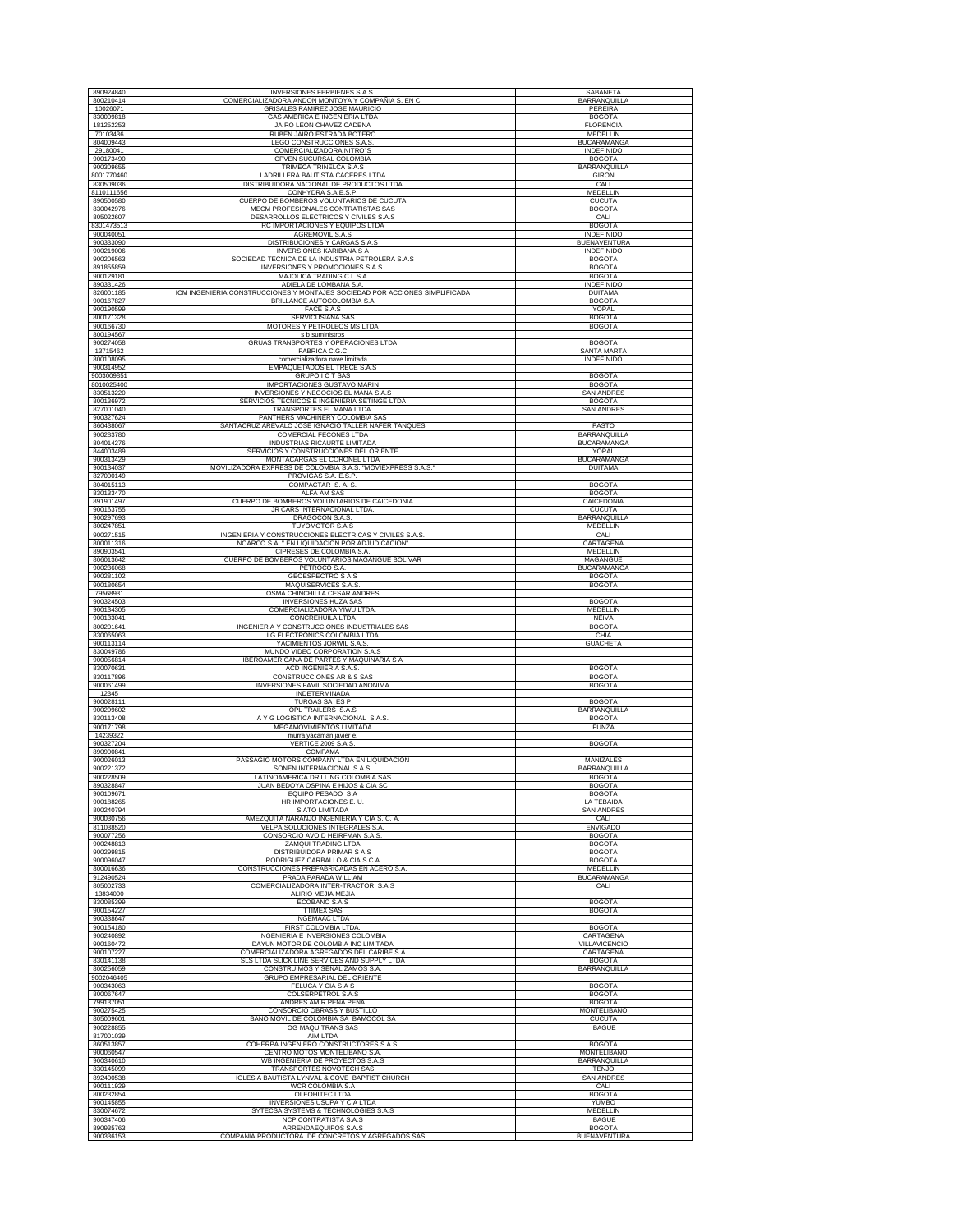| 890924840<br>800210414              | INVERSIONES FERBIENES S.A.S.                                                                          | SABANETA                                              |
|-------------------------------------|-------------------------------------------------------------------------------------------------------|-------------------------------------------------------|
| 10026071                            | COMERCIALIZADORA ANDON MONTOYA Y COMPAÑIA S. EN C<br>GRISALES RAMIREZ JOSE MAURICIO                   | BARRANQUILLA<br><b>PEREIRA</b>                        |
| 830009818                           | GAS AMERICA E INGENIERIA LTDA                                                                         | <b>BOGOTA</b>                                         |
| 181252253<br>70103436               | JAIRO LEON CHAVEZ CADENA<br>RUBEN JAIRO ESTRADA BOTERO                                                | <b>FLORENCIA</b><br><b>MEDELLIN</b>                   |
| 804009443                           | LEGO CONSTRUCCIONES S.A.S.                                                                            | <b>BUCARAMANGA</b>                                    |
| 29180041<br>900173490               | COMERCIALIZADORA NITRO"S<br>CPVEN SUCURSAL COLOMBIA                                                   | INDEFINIDO<br><b>BOGOTA</b>                           |
| 900309655                           | TRIMECA TRINELCA S.A.S                                                                                | <b>BARRANQUILLA</b>                                   |
| 8001770460<br>830509036             | LADRILLERA BAUTISTA CACERES LTDA<br>DISTRIBUIDORA NACIONAL DE PRODUCTOS LTDA                          | <b>GIRON</b><br>CALI                                  |
| 8110111656                          | CONHYDRA S.A.E.S.P.                                                                                   | MEDELLIN                                              |
| 890500580                           | CUERPO DE BOMBEROS VOLUNTARIOS DE CUCUTA                                                              | <b>CUCUTA</b>                                         |
| 830042976<br>805022607              | MECM PROFESIONALES CONTRATISTAS SAS<br>DESARROLLOS ELECTRICOS Y CIVILES S.A.S                         | <b>BOGOTA</b><br>CALI                                 |
| 8301473513                          | RC IMPORTACIONES Y EQUIPOS LTDA                                                                       | <b>BOGOTA</b>                                         |
| 900040051<br>900333090              | AGREMOVIL S.A.S<br>DISTRIBUCIONES Y CARGAS S.A.S                                                      | INDEFINIDO<br><b>BUENAVENTURA</b>                     |
| 900219006                           | <b>INVERSIONES KARIBANA S A</b>                                                                       | INDEFINIDO                                            |
| 900206563<br>891855859              | SOCIEDAD TECNICA DE LA INDUSTRIA PETROLERA S.A.S<br>INVERSIONES Y PROMOCIONES S.A.S.                  | <b>BOGOTA</b><br><b>BOGOTA</b>                        |
| 900129181                           | MAJOLICA TRADING C.I. S.A                                                                             | <b>BOGOTA</b>                                         |
| 890331426<br>826001185              | ADIELA DE LOMBANA S.A.<br>ICM INGENIERIA CONSTRUCCIONES Y MONTAJES SOCIEDAD POR ACCIONES SIMPLIFICADA | <b>INDEFINIDO</b><br><b>DUITAMA</b>                   |
| 900167827                           | <b>BRILLANCE AUTOCOLOMBIA S.A</b>                                                                     | <b>BOGOTA</b>                                         |
| 900190599<br>800171328              | FACE S.A.S                                                                                            | YOPAL<br><b>BOGOTA</b>                                |
| 900166730                           | SERVICUSIANA SAS<br>MOTORES Y PETROLEOS MS LTDA                                                       | <b>BOGOTA</b>                                         |
| 800194567                           | s b suministros                                                                                       |                                                       |
| 900274058<br>13715462               | GRUAS TRANSPORTES Y OPERACIONES LTDA<br>FABRICA C.G.C                                                 | <b>BOGOTA</b><br>SANTA MARTA                          |
| 800108095                           | comercializadora nave limitada                                                                        | <b>INDEFINIDO</b>                                     |
| 900314952<br>9003009851             | EMPAQUETADOS EL TRECE S.A.S<br>GRUPO I C T SAS                                                        | <b>BOGOTA</b>                                         |
| 8010025400                          | IMPORTACIONES GUSTAVO MARIN                                                                           | <b>BOGOTA</b>                                         |
| 830513220<br>800136972              | INVERSIONES Y NEGOCIOS EL MANA S.A.S<br>SERVICIOS TECNICOS E INGENIERIA SETINGE LTDA                  | <b>SAN ANDRES</b><br><b>BOGOTA</b>                    |
| 827001040                           | TRANSPORTES EL MANA LTDA.                                                                             | <b>SAN ANDRES</b>                                     |
| 900327624<br>860438067              | PANTHERS MACHINERY COLOMBIA SAS<br>SANTACRUZ AREVALO JOSE IGNACIO TALLER NAFER TANQUES                | PASTO                                                 |
| 900283780                           | COMERCIAL FECONES LTDA                                                                                | <b>BARRANOUILLA</b>                                   |
| 804014276<br>844003489              | INDUSTRIAS RICAURTE LIMITADA<br>SERVICIOS Y CONSTRUCCIONES DEL ORIENTE                                | <b>BUCARAMANGA</b><br>YOPAL                           |
| 900313429                           | MONTACARGAS EL CORONEL LTDA                                                                           | <b>BUCARAMANGA</b>                                    |
| 900134037<br>827000149              | MOVILIZADORA EXPRESS DE COLOMBIA S.A.S. "MOVIEXPRESS S.A.S."<br>PROVIGAS S.A. E.S.P.                  | <b>DUITAMA</b>                                        |
| 804015113                           | COMPACTAR S.A.S.                                                                                      | <b>BOGOTA</b>                                         |
| 830133470                           | <b>ALFA AM SAS</b>                                                                                    | <b>BOGOTA</b>                                         |
| 891901497<br>900163755              | CUERPO DE BOMBEROS VOLUNTARIOS DE CAICEDONIA<br>JR CARS INTERNACIONAL LTDA.                           | CAICEDONIA<br><b>CUCUTA</b>                           |
| 900297693                           | DRAGOCON S.A.S.                                                                                       | BARRANQUILLA                                          |
| 800247851<br>900271515              | TUYOMOTOR S.A.S<br>INGENIERIA Y CONSTRUCCIONES ELECTRICAS Y CIVILES S.A.S.                            | MEDELLIN<br>CALI                                      |
| 800011316                           | NOARCO S.A. " EN LIQUIDACION POR ADJUDICACIÓN"                                                        | CARTAGENA                                             |
| 890903541<br>806013642              | CIPRESES DE COLOMBIA S.A.<br>CUERPO DE BOMBEROS VOLUNTARIOS MAGANGUE BOLIVAR                          | MEDELLIN<br>MAGANGUE                                  |
| 900236068                           | PETROCO S.A.                                                                                          | <b>BUCARAMANGA</b>                                    |
| 900281102<br>900180654              | <b>GEOESPECTRO S A S</b><br>MAQUISERVICES S.A.S                                                       | <b>BOGOTA</b><br><b>BOGOTA</b>                        |
| 79568931                            | OSMA CHINCHILLA CESAR ANDRES                                                                          |                                                       |
| 900324503<br>900134305              | <b>INVERSIONES HUZA SAS</b><br>COMERCIALIZADORA YIWU LTDA                                             | <b>BOGOTA</b><br>MEDELLIN                             |
| 900133041                           | CONCREHUILA LTDA                                                                                      | <b>NEIVA</b>                                          |
| 800201641<br>830065063              | INGENIERIA Y CONSTRUCCIONES INDUSTRIALES SAS<br>LG ELECTRONICS COLOMBIA LTDA                          | <b>BOGOTA</b><br>CHIA                                 |
| 900113114                           | YACIMIENTOS JORWIL S.A.S.                                                                             | <b>GUACHETA</b>                                       |
| 830049786<br>900056814              | MUNDO VIDEO CORPORATION S.A.S<br>IBEROAMERICANA DE PARTES Y MAQUINARIA S A                            |                                                       |
| 830070631                           | ACD INGENIERIA S.A.S.                                                                                 | <b>BOGOTA</b>                                         |
| 830117896<br>900061499              | CONSTRUCCIONES AR & S SAS<br>INVERSIONES FAVIL SOCIEDAD ANONIMA                                       | <b>BOGOTA</b><br><b>BOGOTA</b>                        |
| 12345                               | <b>INDETERMINADA</b>                                                                                  |                                                       |
| 900028111<br>900299602              | TURGAS SA ES P<br>OPL TRAILERS S.A.S                                                                  | <b>BOGOTA</b><br>BARRANQUILLA                         |
| 830113408                           | A Y G LOGISTICA INTERNACIONAL S.A.S.                                                                  | <b>BOGOTA</b>                                         |
| 900171798<br>14239322               | MEGAMOVIMIENTOS LIMITADA<br>murra yacaman javier e.                                                   | <b>FUNZA</b>                                          |
| 900327204                           | VERTICE 2009 S.A.S.                                                                                   | <b>BOGOTA</b>                                         |
| 890900841<br>900026013              | <b>COMFAMA</b><br>PASSAGIO MOTORS COMPANY LTDA EN LIQUIDACIÓN                                         | MANIZALES                                             |
| 900221372                           | SONEN INTERNACIONAL S.A.S.                                                                            | BARRANQUILLA                                          |
| 900228509<br>890328847              | LATINOAMERICA DRILLING COLOMBIA SAS                                                                   | <b>BOGOTA</b><br><b>BOGOTA</b>                        |
| 900109671                           | JUAN BEDOYA OSPINA E HIJOS & CIA SC<br>EQUIPO PESADO S A                                              | <b>BOGOTA</b>                                         |
| 900188265<br>800240794              | HR IMPORTACIONES E.U.<br>SIATO LIMITADA                                                               | LA TEBAIDA<br><b>SAN ANDRES</b>                       |
| 900030756                           | AMEZQUITA NARANJO INGENIERIA Y CIA S. C. A.                                                           | CALI                                                  |
| 811038520<br>900077256              | VELPA SOLUCIONES INTEGRALES S.A.<br>CONSORCIO AVOID HEIRFMAN S.A.S.                                   | <b>ENVIGADO</b><br><b>BOGOTA</b>                      |
| 900248813                           | ZAMQUI TRADING LTDA                                                                                   | <b>BOGOTA</b>                                         |
| 900299815                           | DISTRIBUIDORA PRIMAR S A S                                                                            | <b>BOGOTA</b>                                         |
| 900096047<br>800016636              | RODRIGUEZ CARBALLO & CIA S.C.A<br>CONSTRUCCIONES PREFABRICADAS EN ACERO S.A.                          | <b>BOGOTA</b><br>MEDELLIN                             |
| 912490524                           | PRADA PARADA WILLIAM                                                                                  | <b>BUCARAMANGA</b>                                    |
| 805002733<br>13834090               | COMERCIALIZADORA INTER-TRACTOR S.A.S<br>ALIRIO MEJIA MEJIA                                            | CALI                                                  |
| 830085399                           | ECOBAÑO S.A.S                                                                                         | <b>BOGOTA</b>                                         |
| 900154227<br>900338647              | <b>TTIMEX SAS</b><br><b>INGEMAAC LTDA</b>                                                             | <b>BOGOTA</b>                                         |
| 900154180                           | FIRST COLOMBIA LTDA                                                                                   | <b>BOGOTA</b>                                         |
| 900240892<br>900160472              | INGENIERIA E INVERSIONES COLOMBIA<br>DAYUN MOTOR DE COLOMBIA INC LIMITADA                             | CARTAGENA<br>VILLAVICENCIO                            |
| 900107227                           | COMERCIALIZADORA AGREGADOS DEL CARIBE S.A                                                             | CARTAGENA                                             |
| 830141138<br>800256059              | SLS LTDA SLICK LINE SERVICES AND SUPPLY LTDA<br>CONSTRUIMOS Y SEÑALIZAMOS S.A                         | <b>BOGOTA</b><br>BARRANQUILLA                         |
| 9002046405                          | GRUPO EMPRESARIAL DEL ORIENTE                                                                         |                                                       |
| 900343063<br>800067647              | FELUCA Y CIA S A S<br>COLSERPETROL S.A.S                                                              | <b>BOGOTA</b><br><b>BOGOTA</b>                        |
| 799137051                           | ANDRES AMIR PEÑA PEÑA                                                                                 | <b>BOGOTA</b>                                         |
| 900275425<br>805009601              | CONSORCIO OBRASS Y BUSTILLO<br>BAÑO MOVIL DE COLOMBIA SA BAMOCOL SA                                   | <b>MONTELIBANO</b><br><b>CUCUTA</b>                   |
| 900228855                           | OG MAQUITRANS SAS                                                                                     | <b>IBAGUE</b>                                         |
| 817001039<br>860513857              | AIM LTDA<br>COHERPA INGENIERO CONSTRUCTORES S.A.S.                                                    | <b>BOGOTA</b>                                         |
|                                     |                                                                                                       |                                                       |
| 900060547                           | CENTRO MOTOS MONTELIBANO S.A.                                                                         | <b>MONTELIBANO</b>                                    |
| 900340610                           | WB INGENIERIA DE PROYECTOS S.A.S                                                                      | BARRANQUILLA                                          |
| 830145099<br>892400538              | TRANSPORTES NOVOTECH SAS<br>IGLESIA BAUTISTA LYNVAL & COVE BAPTIST CHURCH                             | <b>TENJO</b><br><b>SAN ANDRES</b>                     |
| 900111929                           | WCR COLOMBIA S.A                                                                                      | CALI                                                  |
| 800232854<br>900145855              | OLEOHITEC LTDA<br>INVERSIONES USUPA Y CIA LTDA                                                        | <b>BOGOTA</b><br>YUMBO                                |
| 830074672                           | SYTECSA SYSTEMS & TECHNOLOGIES S.A.S                                                                  | <b>MEDELLIN</b>                                       |
| 900347406<br>890935763<br>900336153 | NCP CONTRATISTA S.A.S<br>ARRENDAEQUIPOS S.A.S<br>COMPAÑIA PRODUCTORA DE CONCRETOS Y AGREGADOS SAS     | <b>IBAGUE</b><br><b>BOGOTA</b><br><b>BUENAVENTURA</b> |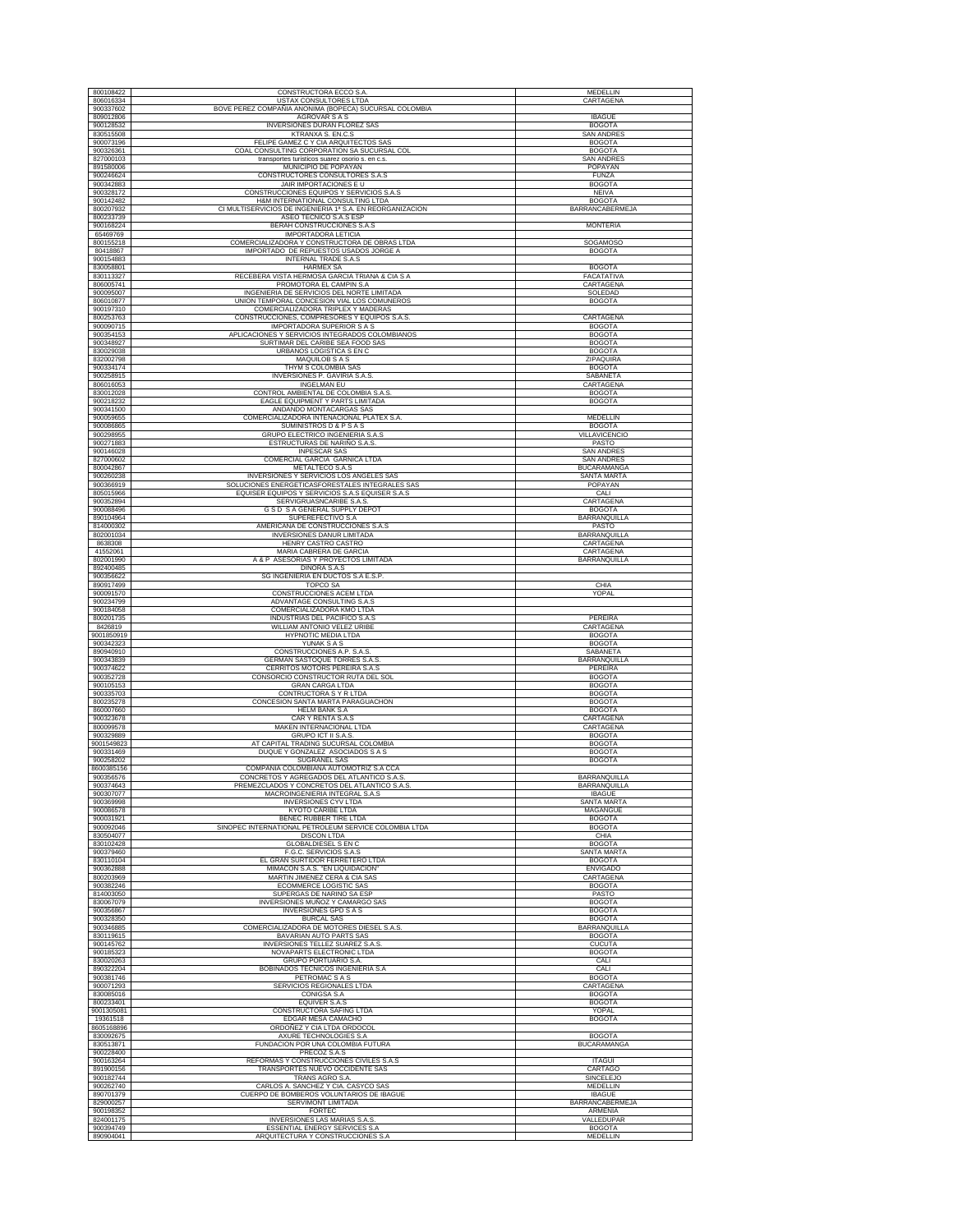| 800108422               | CONSTRUCTORA ECCO S.A                                                                      | <b>MEDELLIN</b>                         |
|-------------------------|--------------------------------------------------------------------------------------------|-----------------------------------------|
| 806016334               | USTAX CONSULTORES LTDA                                                                     | CARTAGENA                               |
| 900337602<br>809012806  | BOVE PEREZ COMPAÑIA ANONIMA (BOPECA) SUCURSAL COLOMBIA<br>AGROVAR S A S                    | <b>IBAGUE</b>                           |
| 900128532               | INVERSIONES DURAN FLOREZ SAS                                                               | <b>BOGOTA</b>                           |
| 830515508<br>900073196  | KTRANXA S. EN.C.S<br>FELIPE GAMEZ C Y CIA ARQUITECTOS SAS                                  | <b>SAN ANDRES</b><br><b>BOGOTA</b>      |
| 900326361               | COAL CONSULTING CORPORATION SA SUCURSAL COL                                                | <b>BOGOTA</b>                           |
| 827000103<br>891580006  | transportes turisticos suarez osorio s. en c.s.<br>MUNICIPIO DE POPAYAN                    | <b>SAN ANDRES</b><br>POPAYAN            |
| 900246624               | CONSTRUCTORES CONSULTORES S.A.S                                                            | <b>FUNZA</b>                            |
| 900342883               | JAIR IMPORTACIONES E U                                                                     | <b>BOGOTA</b>                           |
| 900328172<br>900142482  | CONSTRUCCIONES EQUIPOS Y SERVICIOS S.A.S<br>H&M INTERNATIONAL CONSULTING LTDA              | <b>NEIVA</b><br><b>BOGOTA</b>           |
| 800207932               | CI MULTISERVICIOS DE INGENIERIA 1ª S.A. EN REORGANIZACION                                  | <b>BARRANCABERMEJA</b>                  |
| 800233739<br>900168224  | ASEO TECNICO S.A.S ESP<br>BERAH CONSTRUCCIONES S.A.S                                       | <b>MONTERIA</b>                         |
| 65469769                | IMPORTADORA LETICIA                                                                        |                                         |
| 800155218<br>80418867   | COMERCIALIZADORA Y CONSTRUCTORA DE OBRAS LTDA<br>IMPORTADO DE REPUESTOS USADOS JORGE A     | SOGAMOSO<br><b>BOGOTA</b>               |
| 900154883               | INTERNAL TRADE S.A.S                                                                       |                                         |
| 830058801<br>830113327  | <b>HARMEX SA</b><br>RECEBERA VISTA HERMOSA GARCIA TRIANA & CIA S A                         | <b>BOGOTA</b><br>FACATATIVA             |
| 806005741               | PROMOTORA EL CAMPIN S.A                                                                    | CARTAGENA                               |
| 900095007<br>806010877  | INGENIERIA DE SERVICIOS DEL NORTE LIMITADA<br>UNION TEMPORAL CONCESION VIAL LOS COMUNEROS  | SOLEDAD<br><b>BOGOTA</b>                |
| 900197310               | COMERCIALIZADORA TRIPLEX Y MADERAS                                                         |                                         |
| 800253763<br>900090715  | CONSTRUCCIONES, COMPRESORES Y EQUIPOS S.A.S.<br>IMPORTADORA SUPERIOR S A S                 | CARTAGENA<br><b>BOGOTA</b>              |
| 900354153               | APLICACIONES Y SERVICIOS INTEGRADOS COLOMBIANOS                                            | <b>BOGOTA</b>                           |
| 900348927<br>830029038  | SURTIMAR DEL CARIBE SEA FOOD SAS<br>URBANOS LOGISTICA S EN C                               | <b>BOGOTA</b><br><b>BOGOTA</b>          |
| 832002798               | MAQUILOB S A S                                                                             | ZIPAQUIRA                               |
| 900334174<br>900258915  | THYM S COLOMBIA SAS                                                                        | <b>BOGOTA</b><br>SABANETA               |
| 806016053               | INVERSIONES P. GAVIRIA S.A.S.<br><b>INGELMAN EU</b>                                        | CARTAGENA                               |
| 830012028               | CONTROL AMBIENTAL DE COLOMBIA S.A.S                                                        | <b>BOGOTA</b>                           |
| 900218232<br>900341500  | EAGLE EQUIPMENT Y PARTS LIMITADA<br>ANDANDO MONTACARGAS SAS                                | <b>BOGOTA</b>                           |
| 900059655               | COMERCIALIZADORA INTENACIONAL PLATEX S.A.                                                  | MEDELLIN                                |
| 900086865<br>900298955  | SUMINISTROS D & P S A S<br>GRUPO ELECTRICO INGENIERIA S.A.S                                | <b>BOGOTA</b><br>VILLAVICENCIO          |
| 900271883               | ESTRUCTURAS DE NARIÑO S.A.S.                                                               | PASTO<br><b>SAN ANDRES</b>              |
| 900146028<br>827000602  | <b>INPESCAR SAS</b><br>COMERCIAL GARCIA GARNICA LTDA                                       | <b>SAN ANDRES</b>                       |
| 800042867               | METALTECO S.A.S                                                                            | <b>BUCARAMANGA</b>                      |
| 900260238<br>900366919  | INVERSIONES Y SERVICIOS LOS ANGELES SAS<br>SOLUCIONES ENERGETICASFORESTALES INTEGRALES SAS | SANTA MARTA<br>POPAYAN                  |
| 805015966               | EQUISER EQUIPOS Y SERVICIOS S.A.S EQUISER S.A.S                                            | CALI                                    |
| 900352894<br>900088496  | SERVIGRUASNCARIBE S.A.S<br>G S D S A GENERAL SUPPLY DEPOT                                  | CARTAGENA<br><b>BOGOTA</b>              |
| 890104964               | SUPEREFECTIVO S.A                                                                          | BARRANQUILLA                            |
| 814000302<br>802001034  | AMERICANA DE CONSTRUCCIONES S.A.S<br>INVERSIONES DANUR LIMITADA                            | PASTO<br>BARRANQUILLA                   |
| 8638308                 | HENRY CASTRO CASTRO                                                                        | CARTAGENA                               |
| 41552061<br>802001990   | MARIA CABRERA DE GARCIA<br>A & P ASESORIAS Y PROYECTOS LIMITADA                            | CARTAGENA<br>BARRANQUILLA               |
| 892400485               | DINORA S.A.S                                                                               |                                         |
| 900356622<br>890917499  | SG INGENIERIA EN DUCTOS S.A E.S.P.<br><b>TOPCO SA</b>                                      | CHIA                                    |
| 900091570               | CONSTRUCCIONES ACEM LTDA                                                                   | YOPAL                                   |
| 900234799<br>900184058  | ADVANTAGE CONSULTING S.A.S<br>COMERCIALIZADORA KMO LTDA                                    |                                         |
| 800201735               | INDUSTRIAS DEL PACIFICO S.A.S                                                              | PEREIRA                                 |
| 8426819<br>9001850919   | WILLIAM ANTONIO VELEZ URIBE<br>HYPNOTIC MEDIA LTDA                                         | CARTAGENA<br><b>BOGOTA</b>              |
| 900342323               | YUNAK S A S                                                                                | <b>BOGOTA</b>                           |
| 890940910<br>900343839  | CONSTRUCCIONES A.P. S.A.S<br>GERMAN SASTOQUE TORRES S.A.S                                  | SABANETA<br>BARRANQUILLA                |
| 900374622               | CERRITOS MOTORS PEREIRA S.A.S                                                              | PEREIRA                                 |
| 900352728<br>900105153  | CONSORCIO CONSTRUCTOR RUTA DEL SOL<br><b>GRAN CARGA LTDA</b>                               | <b>BOGOTA</b><br><b>BOGOTA</b>          |
| 900335703<br>800235278  | CONTRUCTORA S Y R LTDA<br>CONCESION SANTA MARTA PARAGUACHON                                | <b>BOGOTA</b><br><b>BOGOTA</b>          |
| 860007660               | <b>HELM BANK S.A</b>                                                                       | <b>BOGOTA</b>                           |
| 900323678<br>800099578  | CAR Y RENTA S.A.S<br>MAKEN INTERNACIONAL LTDA                                              | CARTAGENA<br>CARTAGENA                  |
| 900329889               | GRUPO ICT II S.A.S.                                                                        | <b>BOGOTA</b>                           |
| 9001549823<br>900331469 | AT CAPITAL TRADING SUCURSAL COLOMBIA<br>DUQUE Y GONZALEZ ASOCIADOS S A S                   | <b>BOGOTA</b><br><b>BOGOTA</b>          |
| 900258202               | SUGRANEL SAS                                                                               | <b>BOGOTA</b>                           |
| 8600385156<br>900356576 | COMPAÑIA COLOMBIANA AUTOMOTRIZ S.A CCA<br>CONCRETOS Y AGREGADOS DEL ATLANTICO S.A.S.       | BARRANQUILLA                            |
| 900374643               | PREMEZCLADOS Y CONCRETOS DEL ATLANTICO S.A.S                                               | <b>BARRANOUILLA</b>                     |
| 900307077<br>900369998  | MACROINGENIERIA INTEGRAL S.A.S<br><b>INVERSIONES CYV LTDA</b>                              | <b>IBAGUE</b><br><b>SANTA MARTA</b>     |
| 900086578               | KYOTO CARIBE LTDA                                                                          | MAGANGUE                                |
| 900031921<br>900092046  | BENEC RUBBER TIRE LTDA<br>SINOPEC INTERNATIONAL PETROLEUM SERVICE COLOMBIA LTDA            | <b>BOGOTA</b><br><b>BOGOTA</b>          |
| 830504077               | <b>DISCON LTDA</b>                                                                         | CHIA                                    |
| 830102428<br>900379460  | <b>GLOBALDIESEL S EN C</b><br>F.G.C. SERVICIOS S.A.S                                       | <b>BOGOTA</b><br>SANTA MARTA            |
| 830110104               | EL GRAN SURTIDOR FERRETERO LTDA                                                            | <b>BOGOTA</b>                           |
| 900362888<br>800203969  | MIMACON S.A.S. "EN LIQUIDACION"<br>MARTIN JIMENEZ CERA & CIA SAS                           | <b>ENVIGADO</b><br>CARTAGENA            |
| 900382246               | <b>ECOMMERCE LOGISTIC SAS</b>                                                              | <b>BOGOTA</b>                           |
| 814003050<br>830067079  | SUPERGAS DE NARINO SA ESP<br><b>INVERSIONES MUÑOZ Y CAMARGO SAS</b>                        | PASTO<br><b>BOGOTA</b>                  |
| 900356867               | <b>INVERSIONES GPD S A S</b>                                                               | <b>BOGOTA</b>                           |
| 900328350<br>900346885  | <b>BURCAL SAS</b><br>COMERCIALIZADORA DE MOTORES DIESEL S.A.S.                             | <b>BOGOTA</b><br><b>BARRANQUILLA</b>    |
| 830119615               | BAVARIAN AUTO PARTS SAS                                                                    | <b>BOGOTA</b>                           |
| 900145762<br>900185323  | INVERSIONES TELLEZ SUAREZ S.A.S<br>NOVAPARTS ELECTRONIC LTDA                               | <b>CUCUTA</b><br><b>BOGOTA</b>          |
| 830020263               | <b>GRUPO PORTUARIO S.A.</b>                                                                | CALI                                    |
| 890322204<br>900381746  | BOBINADOS TECNICOS INGENIERIA S.A<br>PETROMAC S A S                                        | CALI<br><b>BOGOTA</b>                   |
| 900071293               | SERVICIOS REGIONALES LTDA                                                                  | CARTAGENA                               |
| 830085016<br>800233401  | CONIGSA S.A<br>EOUIVER S.A.S                                                               | <b>BOGOTA</b><br><b>BOGOTA</b>          |
| 9001305081              | CONSTRUCTORA SAFING LTDA                                                                   | YOPAL                                   |
| 19361518                | EDGAR MESA CAMACHO<br>ORDOÑEZ Y CIA LTDA ORDOCOL                                           | <b>BOGOTA</b>                           |
| 8605168896<br>830092675 | AXURE TECHNOLOGIES S.A                                                                     | <b>BOGOTA</b>                           |
| 830513871<br>900228400  | FUNDACION POR UNA COLOMBIA FUTURA<br>PRECOZ S.A.S                                          | <b>BUCARAMANGA</b>                      |
| 900163264               | REFORMAS Y CONSTRUCCIONES CIVILES S.A.S                                                    | <b>ITAGUI</b>                           |
| 891900156<br>900182744  | TRANSPORTES NUEVO OCCIDENTE SAS                                                            | CARTAGO<br>SINCELEJO                    |
| 900262740               | TRANS AGRO S.A.<br>CARLOS A. SANCHEZ Y CIA. CASYCO SAS                                     | MEDELLIN                                |
| 890701379<br>829000257  | CUERPO DE BOMBEROS VOLUNTARIOS DE IBAGUE<br>SERVIMONT LIMITADA                             | <b>IBAGUE</b><br><b>BARRANCABERMEJA</b> |
| 900198352               | FORTEC                                                                                     | ARMENIA                                 |
| 824001175               | INVERSIONES LAS MARIAS S.A.S.                                                              | VALLEDUPAR                              |
| 900394749<br>890904041  | ESSENTIAL ENERGY SERVICES S.A<br>ARQUITECTURA Y CONSTRUCCIONES S.A                         | <b>BOGOTA</b><br>MEDELLIN               |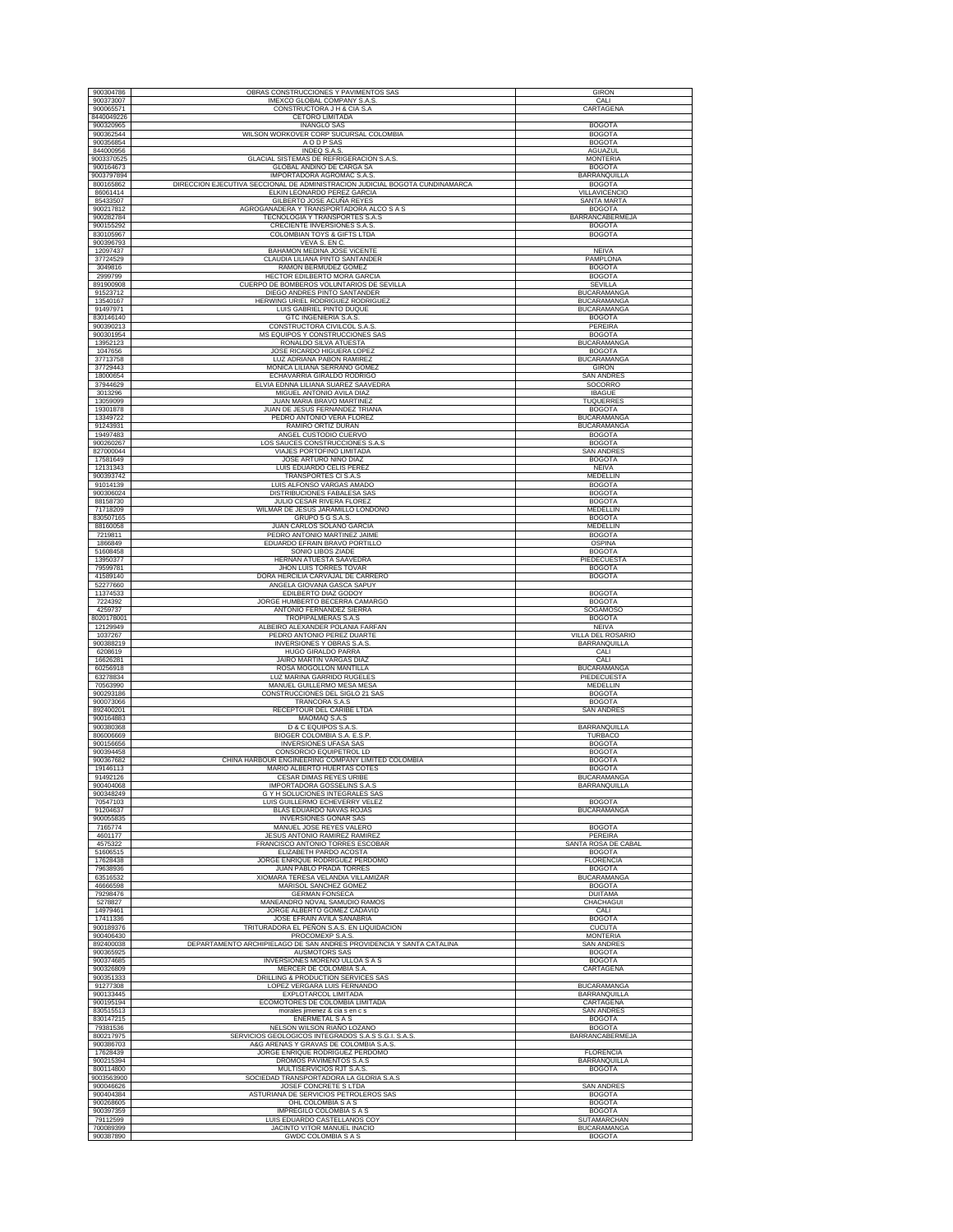| 900304786               | OBRAS CONSTRUCCIONES Y PAVIMENTOS SAS<br>IMEXCO GLOBAL COMPANY S.A.S.                         | <b>GIRON</b>                      |
|-------------------------|-----------------------------------------------------------------------------------------------|-----------------------------------|
| 900373007               |                                                                                               | CALI                              |
| 900065571               | CONSTRUCTORA J H & CIA S.A                                                                    | CARTAGENA                         |
| 8440049226<br>900320965 | <b>CETORO LIMITADA</b>                                                                        |                                   |
| 900362544               | INANGLO SAS<br>WILSON WORKOVER CORP SUCURSAL COLOMBIA                                         | <b>BOGOTA</b><br><b>BOGOTA</b>    |
| 900356854               | A O D P SAS                                                                                   | <b>BOGOTA</b>                     |
| 844000956               | INDEQ S.A.S.                                                                                  | <b>AGUAZUL</b>                    |
| 9003370525              | GLACIAL SISTEMAS DE REFRIGERACION S.A.S.                                                      | <b>MONTERIA</b>                   |
| 900164673               | GLOBAL ANDINO DE CARGA SA                                                                     | <b>BOGOTA</b>                     |
| 9003797894              | IMPORTADORA AGROMAC S.A.S                                                                     | BARRANQUILLA                      |
| 800165862               | DIRECCION EJECUTIVA SECCIONAL DE ADMINISTRACION JUDICIAL BOGOTA CUNDINAMARCA                  | <b>BOGOTA</b>                     |
| 86061414                | ELKIN LEONARDO PEREZ GARCIA                                                                   | <b>VILLAVICENCIO</b>              |
| 85433507                | GILBERTO JOSE ACUÑA REYES                                                                     | <b>SANTA MARTA</b>                |
| 900217812               | AGROGANADERA Y TRANSPORTADORA ALCO S A S                                                      | <b>BOGOTA</b>                     |
| 900282784               | TECNOLOGIA Y TRANSPORTES S.A.S                                                                | BARRANCABERMEJA                   |
| 900155292               | CRECIENTE INVERSIONES S.A.S.                                                                  | <b>BOGOTA</b>                     |
| 830105967               | COLOMBIAN TOYS & GIFTS LTDA                                                                   | <b>BOGOTA</b>                     |
| 900396793<br>12097437   | VEVA S. EN C.                                                                                 |                                   |
| 37724529                | BAHAMON MEDINA JOSE VICENTE                                                                   | <b>NEIVA</b>                      |
| 3049816                 | CLAUDIA LILIANA PINTO SANTANDER<br>RAMON BERMUDEZ GOMEZ                                       | PAMPLONA<br><b>BOGOTA</b>         |
| 2999799                 | HECTOR EDILBERTO MORA GARCIA                                                                  | <b>BOGOTA</b>                     |
| 891900908               | CUERPO DE BOMBEROS VOLUNTARIOS DE SEVILLA                                                     | SEVILLA                           |
| 91523712                | DIEGO ANDRES PINTO SANTANDER                                                                  | <b>BUCARAMANGA</b>                |
| 13540167                | HERWING URIEL RODRIGUEZ RODRIGUEZ                                                             | <b>BUCARAMANGA</b>                |
| 91497971                | <b>LUIS GABRIEL PINTO DUOUE</b>                                                               | <b>BUCARAMANGA</b>                |
| 830146140               | <b>GTC INGENIERIA S.A.S</b>                                                                   | <b>BOGOTA</b>                     |
| 900390213               | CONSTRUCTORA CIVILCOL S.A.S                                                                   | PEREIRA                           |
| 900301954               | MS EQUIPOS Y CONSTRUCCIONES SAS                                                               | <b>BOGOTA</b>                     |
| 13952123                | RONALDO SILVA ATUESTA                                                                         | BUCARAMANGA                       |
| 1047656                 | JOSE RICARDO HIGUERA LOPEZ                                                                    | <b>BOGOTA</b>                     |
| 37713758                | LUZ ADRIANA PABON RAMIREZ                                                                     | BUCARAMANGA                       |
| 37729443                | MONICA LILIANA SERRANO GOMEZ                                                                  | <b>GIRON</b>                      |
| 18000654<br>37944629    | ECHAVARRIA GIRALDO RODRIGO<br>ELVIA EDNNA LILIANA SUAREZ SAAVEDRA                             | <b>SAN ANDRES</b><br>SOCORRO      |
| 3013296                 | MIGUEL ANTONIO AVILA DIAZ                                                                     | <b>IBAGUE</b>                     |
| 13059099                | JUAN MARIA BRAVO MARTINEZ                                                                     | TUQUERRES                         |
| 19301878                | JUAN DE JESUS FERNANDEZ TRIANA                                                                | <b>BOGOTA</b>                     |
| 13349722                | PEDRO ANTONIO VERA FLOREZ                                                                     | <b>BUCARAMANGA</b>                |
| 91243931                | RAMIRO ORTIZ DURAN                                                                            | <b>BUCARAMANGA</b>                |
| 19497483                | ANGEL CUSTODIO CUERVO                                                                         | <b>BOGOTA</b>                     |
| 900260267               | LOS SAUCES CONSTRUCCIONES S.A.S                                                               | <b>BOGOTA</b>                     |
| 827000044               | VIAJES PORTOFINO LIMITADA                                                                     | <b>SAN ANDRES</b>                 |
| 17581649                | JOSE ARTURO NIÑO DIAZ                                                                         | <b>BOGOTA</b>                     |
| 12131343                | LUIS EDUARDO CELIS PEREZ                                                                      | <b>NEIVA</b>                      |
| 900393742               | TRANSPORTES CI S.A.S                                                                          | MEDELLIN<br><b>BOGOTA</b>         |
| 91014139<br>900306024   | LUIS ALFONSO VARGAS AMADO<br>DISTRIBUCIONES FABALESA SAS                                      | <b>BOGOTA</b>                     |
| 88158730                | JULIO CESAR RIVERA FLOREZ                                                                     | <b>BOGOTA</b>                     |
| 71718209                | WILMAR DE JESUS JARAMILLO LONDOÑO                                                             | MEDELLIN                          |
| 830507165               | GRUPO 5 G S.A.S                                                                               | <b>BOGOTA</b>                     |
| 88160058                | JUAN CARLOS SOLANO GARCIA                                                                     | MEDELLIN                          |
| 7219811                 | PEDRO ANTONIO MARTINEZ JAIME                                                                  | <b>BOGOTA</b>                     |
| 1866849                 | EDUARDO EFRAIN BRAVO PORTILLO                                                                 | <b>OSPINA</b>                     |
| 51608458                | SONIO LIBOS ZIADE                                                                             | <b>BOGOTA</b>                     |
| 13950377                | HERNAN ATUESTA SAAVEDRA                                                                       | PIEDECUESTA                       |
| 79599781                | JHON LUIS TORRES TOVAR                                                                        | <b>BOGOTA</b>                     |
| 41589140                | DORA HERCILIA CARVAJAL DE CARRERO                                                             | <b>BOGOTA</b>                     |
| 52277660<br>11374533    | ANGELA GIOVANA GASCA SAPUY<br>EDILBERTO DIAZ GODOY                                            | <b>BOGOTA</b>                     |
| 7224392                 | JORGE HUMBERTO BECERRA CAMARGO                                                                | <b>BOGOTA</b>                     |
|                         |                                                                                               |                                   |
|                         |                                                                                               |                                   |
| 4259737                 | ANTONIO FERNANDEZ SIERRA                                                                      | <b>SOGAMOSO</b>                   |
| 8020178001<br>12129949  | TROPIPALMERAS S.A.S<br>ALBEIRO ALEXANDER POLANIA FARFAN                                       | <b>BOGOTA</b><br><b>NEIVA</b>     |
| 1037267                 | PEDRO ANTONIO PEREZ DUARTE                                                                    | VILLA DEL ROSARIO                 |
| 900388219               | INVERSIONES Y OBRAS S.A.S.                                                                    | BARRANQUILLA                      |
| 6208619                 | HUGO GIRALDO PARRA                                                                            | CALI                              |
| 16626281                | JAIRO MARTIN VARGAS DIAZ                                                                      | CALI                              |
| 60256918                | ROSA MOGOLLON MANTILLA                                                                        | <b>BUCARAMANGA</b>                |
| 63278834                | LUZ MARINA GARRIDO RUGELES                                                                    | PIEDECUESTA                       |
| 70563990                | MANUEL GUILLERMO MESA MESA                                                                    | MEDELLIN                          |
| 900293186               | CONSTRUCCIONES DEL SIGLO 21 SAS                                                               | <b>BOGOTA</b><br><b>BOGOTA</b>    |
| 900073066<br>892400201  | TRANCORA S.A.S<br>RECEPTOUR DEL CARIBE LTDA                                                   | <b>SAN ANDRES</b>                 |
| 900164883               | MAOMAQ S.A.S                                                                                  |                                   |
| 900380368               | <b>D &amp; C EQUIPOS S.A.S</b>                                                                | BARRANQUILLA                      |
| 806006669               | BIOGER COLOMBIA S.A. E.S.P.                                                                   | TURBACO                           |
| 900156656               | <b>INVERSIONES UFASA SAS</b>                                                                  | <b>BOGOTA</b>                     |
| 900394458               | CONSORCIO EQUIPETROL LD                                                                       | <b>BOGOTA</b>                     |
| 900367682               | CHINA HARBOUR ENGINEERING COMPANY LIMITED COLOMBIA                                            | <b>BOGOTA</b>                     |
| 19146113                | <b>MARIO ALBERTO HUERTAS COTES</b>                                                            | <b>BOGOTA</b>                     |
| 91492126                | CESAR DIMAS REYES URIBE                                                                       | <b>BUCARAMANGA</b>                |
| 900404068<br>900348249  | IMPORTADORA GOSSELINS S.A.S<br>G Y H SOLUCIONES INTEGRALES SAS                                | BARRANQUILLA                      |
| 70547103                | LUIS GUILLERMO ECHEVERRY VELEZ                                                                | <b>BOGOTA</b>                     |
| 91204637                | BLAS EDUARDO NAVAS ROJAS                                                                      | <b>BUCARAMANGA</b>                |
| 900055835               | <b>INVERSIONES GONAR SAS</b>                                                                  |                                   |
| 7165774                 | MANUEL JOSE REYES VALERO                                                                      | <b>BOGOTA</b>                     |
| 4601177                 | JESUS ANTONIO RAMIREZ RAMIREZ                                                                 | PEREIRA                           |
| 4575322                 | FRANCISCO ANTONIO TORRES ESCOBAR                                                              | SANTA ROSA DE CABAL               |
| 51606515                | ELIZABETH PARDO ACOSTA                                                                        | <b>BOGOTA</b><br><b>FLORENCIA</b> |
| 17628438<br>79638936    | JORGE ENRIQUE RODRIGUEZ PERDOMO<br>JUAN PABLO PRADA TORRES                                    | <b>BOGOTA</b>                     |
| 63516532                | XIOMARA TERESA VELANDIA VILLAMIZAR                                                            | <b>BUCARAMANGA</b>                |
| 46666598                | <b>MARISOL SANCHEZ GOMEZ</b>                                                                  | <b>BOGOTA</b>                     |
| 79298476                | <b>GERMAN FONSECA</b>                                                                         | <b>DUITAMA</b>                    |
| 5278827                 | MANEANDRO NOVAL SAMUDIO RAMOS                                                                 | CHACHAGUI                         |
| 14979461                | JORGE ALBERTO GOMEZ CADAVID                                                                   | CALI                              |
| 17411336                | JOSE EFRAIN AVILA SANABRIA                                                                    | <b>BOGOTA</b>                     |
| 900189376               | TRITURADORA EL PEÑON S.A.S. EN LIQUIDACION                                                    | <b>CUCUTA</b>                     |
| 900406430               | PROCOMEXP S.A.S.                                                                              | <b>MONTERIA</b>                   |
| 892400038               | DEPARTAMENTO ARCHIPIELAGO DE SAN ANDRES PROVIDENCIA Y SANTA CATALINA                          | <b>SAN ANDRES</b>                 |
| 900365925               | <b>AUSMOTORS SAS</b>                                                                          | <b>BOGOTA</b>                     |
| 900374685<br>900326809  | INVERSIONES MORENO ULLOA S A S<br>MERCER DE COLOMBIA S.A.                                     | <b>BOGOTA</b><br>CARTAGENA        |
| 900351333               | DRILLING & PRODUCTION SERVICES SAS                                                            |                                   |
| 91277308                | LOPEZ VERGARA LUIS FERNANDO                                                                   | <b>BUCARAMANGA</b>                |
| 900133445               | EXPLOTARCOL LIMITADA                                                                          | BARRANQUILLA                      |
| 900195194               | ECOMOTORES DE COLOMBIA LIMITADA                                                               | CARTAGENA                         |
| 830515513               | morales jimenez & cia s en c s                                                                | <b>SAN ANDRES</b>                 |
| 830147215               | ENERMETAL SAS                                                                                 | <b>BOGOTA</b>                     |
| 79381536                | NELSON WILSON RIAÑO LOZANO                                                                    | <b>BOGOTA</b>                     |
| 800217975<br>900386703  | SERVICIOS GEOLOGICOS INTEGRADOS S.A.S S.G.I. S.A.S.<br>A&G ARENAS Y GRAVAS DE COLOMBIA S.A.S. | BARRANCABERMEJA                   |
| 17628439                | JORGE ENRIQUE RODRIGUEZ PERDOMO                                                               | <b>FLORENCIA</b>                  |
| 900215394               | DROMOS PAVIMENTOS S.A.S                                                                       | BARRANQUILLA                      |
| 800114800               | MULTISERVICIOS RJT S.A.S                                                                      | <b>BOGOTA</b>                     |
| 9003563900              | SOCIEDAD TRANSPORTADORA LA GLORIA S.A.S                                                       |                                   |
| 900046626               | JOSEF CONCRETE S LTDA                                                                         | <b>SAN ANDRES</b>                 |
| 900404384               | ASTURIANA DE SERVICIOS PETROLEROS SAS                                                         | <b>BOGOTA</b>                     |
| 900268605               | OHL COLOMBIA S A S                                                                            | <b>BOGOTA</b>                     |
| 900397359               | IMPREGILO COLOMBIA S A S                                                                      | <b>BOGOTA</b>                     |
| 79112599<br>700089399   | LUIS EDUARDO CASTELLANOS COY<br>JACINTO VITOR MANUEL INACIO                                   | SUTAMARCHAN<br><b>BUCARAMANGA</b> |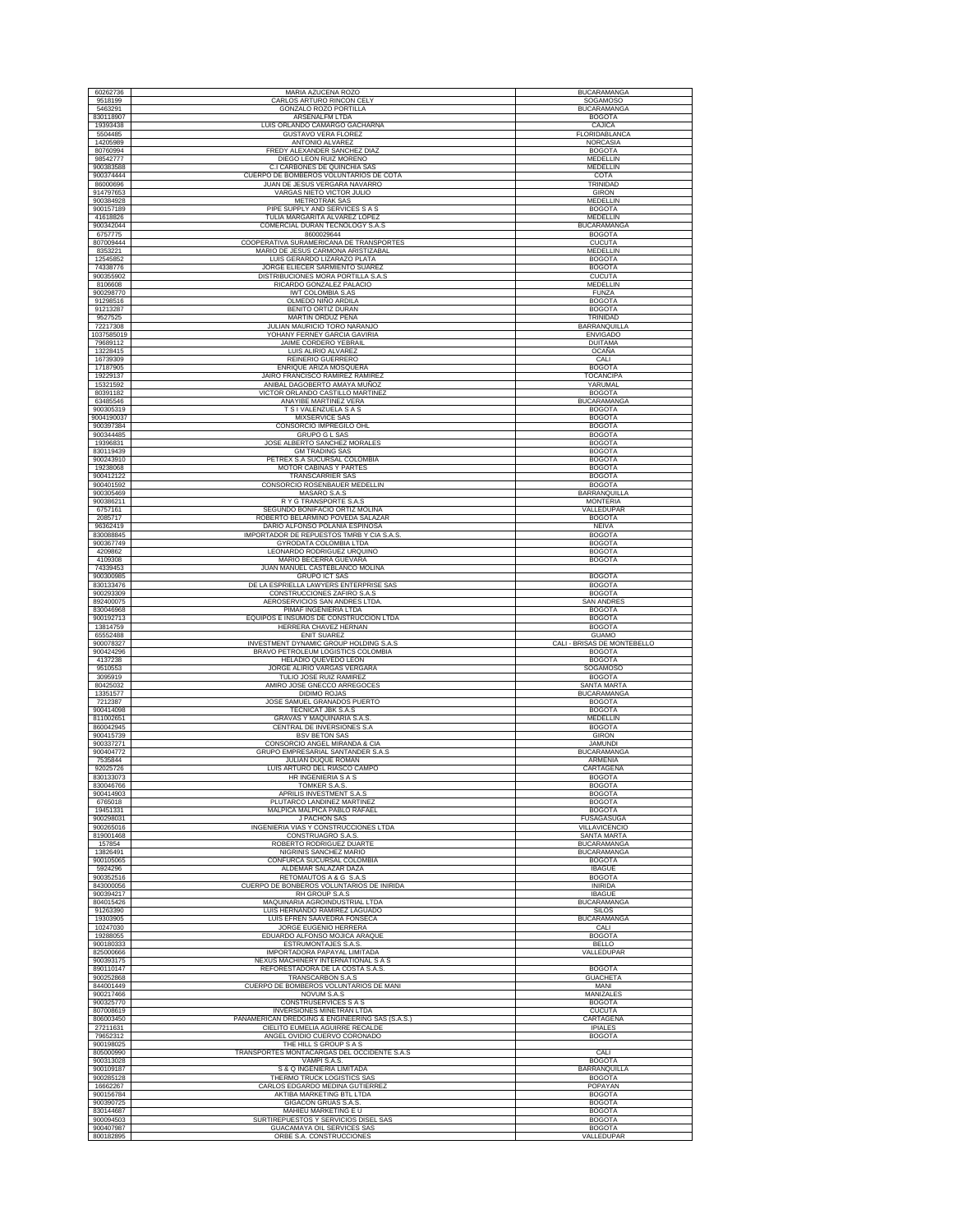| 60262736               | MARIA AZUCENA ROZO                                              | <b>BUCARAMANGA</b>                 |
|------------------------|-----------------------------------------------------------------|------------------------------------|
| 9518199                | CARLOS ARTURO RINCON CELY                                       | SOGAMOSO                           |
| 5463291                | GONZALO ROZO PORTILLA                                           | <b>BUCARAMANGA</b>                 |
| 830118907              | ARSENALFM LTDA                                                  | <b>BOGOTA</b>                      |
| 19393438               | LUIS ORLANDO CAMARGO GACHARNA                                   | CAJICA                             |
| 5504485                | <b>GUSTAVO VERA FLOREZ</b>                                      | FLORIDABLANCA                      |
| 14205989               | ANTONIO ALVAREZ                                                 | <b>NORCASIA</b>                    |
| 80760994               | FREDY ALEXANDER SANCHEZ DIAZ                                    | <b>BOGOTA</b>                      |
| 98542777               | DIEGO LEON RUIZ MORENO                                          | MEDELLIN                           |
| 900383588              | C.I CARBONES DE QUINCHIA SAS                                    | MEDELLIN                           |
| 900374444              | CUERPO DE BOMBEROS VOLUNTARIOS DE COTA                          | COTA                               |
| 86000696               | JUAN DE JESUS VERGARA NAVARRO                                   | TRINIDAD                           |
| 914797653              | VARGAS NIETO VICTOR JULIO                                       | GIRON                              |
| 900384928              | <b>METROTRAK SAS</b>                                            | <b>MEDELLIN</b>                    |
| 900157189              | PIPE SUPPLY AND SERVICES S A S                                  | <b>BOGOTA</b>                      |
| 41618826               | TULIA MARGARITA ALVAREZ LOPEZ                                   | MEDELLIN                           |
| 900342044              | COMERCIAL DURAN TECNOLOGY S.A.S                                 | <b>BUCARAMANGA</b>                 |
| 6757775                | 8600029644                                                      | <b>BOGOTA</b>                      |
| 807009444              | COOPERATIVA SURAMERICANA DE TRANSPORTES                         | <b>CUCUTA</b>                      |
| 8353221                | MARIO DE JESUS CARMONA ARISTIZABAL                              | MEDELLIN                           |
| 12545852               | LUIS GERARDO LIZARAZO PLATA                                     | <b>BOGOTA</b>                      |
| 74338776               | JORGE ELIECER SARMIENTO SUAREZ                                  | <b>BOGOTA</b>                      |
| 900355902              | DISTRIBUCIONES MORA PORTILLA S.A.S                              | <b>CUCUTA</b>                      |
| 8106608                | RICARDO GONZALEZ PALACIO                                        | MEDELLIN                           |
| 900298770              | <b>IWT COLOMBIA S.AS</b>                                        | <b>FUNZA</b>                       |
| 91298516               | OLMEDO NIÑO ARDILA                                              | <b>BOGOTA</b>                      |
| 91213287               | BENITO ORTIZ DURAN                                              | <b>BOGOTA</b>                      |
| 9527525                | MARTIN ORDUZ PEÑA                                               | TRINIDAD                           |
| 72217308               | JULIAN MAURICIO TORO NARANJO                                    | BARRANQUILLA                       |
| 1037585019             | YOHANY FERNEY GARCIA GAVIRIA                                    | <b>ENVIGADO</b>                    |
| 79689112               | JAIME CORDERO YEBRAIL                                           | <b>DUITAMA</b>                     |
| 13228415               | LUIS ALIRIO ALVAREZ                                             | OCAÑA                              |
| 16739309               | REINERIO GUERRERO                                               | CALI                               |
| 17187905               | ENRIQUE ARIZA MOSQUERA                                          | <b>BOGOTA</b>                      |
| 19229137               | JAIRO FRANCISCO RAMIREZ RAMIREZ                                 | TOCANCIPA                          |
| 15321592               | ANIBAL DAGOBERTO AMAYA MUÑOZ                                    | YARUMAL                            |
| 80391182               | VICTOR ORLANDO CASTILLO MARTINEZ                                | <b>BOGOTA</b>                      |
| 63485546               | <b>ANAYIBE MARTINEZ VERA</b>                                    | <b>BUCARAMANGA</b>                 |
| 900305319              | T S I VALENZUELA S A S                                          | <b>BOGOTA</b>                      |
| 9004190037             | MIXSERVICE SAS                                                  | <b>BOGOTA</b>                      |
| 900397384              | CONSORCIO IMPREGILO OHL                                         | <b>BOGOTA</b>                      |
| 900344485              | <b>GRUPO G L SAS</b><br>JOSE ALBERTO SANCHEZ MORALES            | <b>BOGOTA</b>                      |
| 19396831<br>830119439  | <b>GM TRADING SAS</b>                                           | <b>BOGOTA</b><br><b>BOGOTA</b>     |
| 900243910              | PETREX S.A SUCURSAL COLOMBIA                                    | <b>BOGOTA</b>                      |
| 19238068               | <b>MOTOR CABINAS Y PARTES</b>                                   | <b>BOGOTA</b>                      |
| 900412122              | <b>TRANSCARRIER SAS</b>                                         | <b>BOGOTA</b>                      |
| 900401592              | CONSORCIO ROSENBAUER MEDELLIN                                   | <b>BOGOTA</b>                      |
| 900305469              | MASARO S.A.S                                                    | BARRANQUILLA                       |
| 900386211              | R Y G TRANSPORTE S.A.S                                          | <b>MONTERIA</b>                    |
| 6757161                | SEGUNDO BONIFACIO ORTIZ MOLINA                                  | VALLEDUPAR                         |
| 2085717                | ROBERTO BELARMINO POVEDA SALAZAR                                | <b>BOGOTA</b>                      |
| 96362419               | DARIO ALFONSO POLANIA ESPINOSA                                  | NEIVA                              |
| 830088845              | IMPORTADOR DE REPUESTOS TMRB Y CIA S.A.S.                       | <b>BOGOTA</b>                      |
| 900367749              | GYRODATA COLOMBIA LTDA                                          | <b>BOGOTA</b>                      |
| 4209862                | LEONARDO RODRIGUEZ URQUINO                                      | <b>BOGOTA</b>                      |
| 4109308                | MARIO BECERRA GUEVARA                                           | <b>BOGOTA</b>                      |
| 74339453<br>900300985  | JUAN MANUEL CASTEBLANCO MOLINA<br><b>GRUPO ICT SAS</b>          | <b>BOGOTA</b>                      |
| 830133476              | DE LA ESPRIELLA LAWYERS ENTERPRISE SAS                          | <b>BOGOTA</b>                      |
| 900293309              | CONSTRUCCIONES ZAFIRO S.A.S                                     | <b>BOGOTA</b>                      |
| 892400075              | AEROSERVICIOS SAN ANDRES LTDA                                   | <b>SAN ANDRES</b>                  |
| 830046968              | PIMAF INGENIERIA LTDA                                           | <b>BOGOTA</b>                      |
| 900192713              | EQUIPOS E INSUMOS DE CONSTRUCCION LTDA                          | <b>BOGOTA</b>                      |
| 13814759               | HERRERA CHAVEZ HERNAN                                           | <b>BOGOTA</b>                      |
| 65552488               | <b>ENIT SUAREZ</b>                                              | <b>GUAMO</b>                       |
| 900078327              | INVESTMENT DYNAMIC GROUP HOLDING S.A.S                          | CALI - BRISAS DE MONTEBELLO        |
| 900424296              | BRAVO PETROLEUM LOGISTICS COLOMBIA                              | <b>BOGOTA</b>                      |
| 4137238                | HELADIO QUEVEDO LEON                                            | <b>BOGOTA</b>                      |
| 9510553                | JORGE ALIRIO VARGAS VERGARA                                     | SOGAMOSO                           |
| 3095919                | TULIO JOSE RUIZ RAMIREZ                                         | <b>BOGOTA</b>                      |
| 80425032               | AMIRO JOSE GNECCO ARREGOCES                                     | SANTA MARTA                        |
| 13351577               | DIDIMO ROJAS                                                    | <b>BUCARAMANGA</b>                 |
| 7212387                | JOSE SAMUEL GRANADOS PUERTO                                     | <b>BOGOTA</b>                      |
| 900414098              | TECNICAT JBK S.A.S                                              | <b>BOGOTA</b>                      |
| 811002651              | <b>GRAVAS Y MAQUINARIA S.A.S.</b>                               | <b>MEDELLIN</b>                    |
| 860042945              | CENTRAL DE INVERSIONES S.A                                      | <b>BOGOTA</b>                      |
| 900415739              | <b>BSV BETON SAS</b>                                            | <b>GIRON</b>                       |
| 900337271              | CONSORCIO ANGEL MIRANDA & CIA                                   | <b>JAMUNDI</b>                     |
| 900404772              | GRUPO EMPRESARIAL SANTANDER S.A.S                               | <b>BUCARAMANGA</b>                 |
| 7535844                | JULIAN DUQUE ROMAN                                              | <b>ARMENIA</b>                     |
| 92025726               | LUIS ARTURO DEL RIASCO CAMPO                                    | CARTAGENA                          |
| 830133073              | HR INGENIERIA S A S                                             | <b>BOGOTA</b>                      |
| 830046766              | TOMKER S.A.S                                                    | BOGOTA                             |
| 900414903              | APRILIS INVESTMENT S.A.S                                        | <b>BOGOTA</b>                      |
| 6765018                | PLUTARCO LANDINEZ MARTINEZ                                      | <b>BOGOTA</b>                      |
| 19451331               | MALPICA MALPICA PABLO RAFAEL                                    | <b>BOGOTA</b>                      |
| 900298031              | <b>J PACHON SAS</b>                                             | <b>FUSAGASUGA</b>                  |
| 900265016              | INGENIERIA VIAS Y CONSTRUCCIONES LTDA                           | VILLAVICENCIO                      |
| 819001468              | CONSTRUAGRO S.A.S                                               | <b>SANTA MARTA</b>                 |
| 157854                 | ROBERTO RODRIGUEZ DUARTE                                        | <b>BUCARAMANGA</b>                 |
| 13826491               | NIGRINIS SANCHEZ MARIO                                          | BUCARAMANGA                        |
| 900105065              | CONFURCA SUCURSAL COLOMBIA                                      | <b>BOGOTA</b>                      |
| 5924296                | ALDEMAR SALAZAR DAZA                                            | <b>IBAGUE</b>                      |
| 900352516              | RETOMAUTOS A & G S.A.S                                          | <b>BOGOTA</b>                      |
| 843000056              | CUERPO DE BONBEROS VOLUNTARIOS DE INIRIDA                       | <b>INIRIDA</b>                     |
| 900394217              | RH GROUP S.A.S                                                  | <b>IBAGUE</b>                      |
| 804015426              | MAQUINARIA AGROINDUSTRIAL LTDA<br>LUIS HERNANDO RAMIREZ LAGUADO | <b>BUCARAMANGA</b><br><b>SILOS</b> |
| 91263390<br>19303905   | LUIS EFREN SAAVEDRA FONSECA                                     | <b>BUCARAMANGA</b>                 |
| 10247030               | JORGE EUGENIO HERRERA                                           | CALI                               |
| 19288055               | EDUARDO ALFONSO MOJICA ARAQUE                                   | <b>BOGOTA</b>                      |
| 900180333              | ESTRUMONTAJES S.A.S                                             | <b>BELLO</b>                       |
| 825000666              | IMPORTADORA PAPAYAL LIMITADA                                    | VALLEDUPAR                         |
| 900393175              | <b>NEXUS MACHINERY INTERNATIONAL S A S</b>                      |                                    |
| 890110147              | REFORESTADORA DE LA COSTA S.A.S.                                | <b>BOGOTA</b>                      |
| 900252868              | TRANSCARBON S.A.S                                               | <b>GUACHETA</b>                    |
| 844001449<br>900217466 | CUERPO DE BOMBEROS VOLUNTARIOS DE MANI                          | MANI                               |
| 900325770              | NOVUM S.A.S<br>CONSTRUSERVICES S A S                            | MANIZALES<br><b>BOGOTA</b>         |
| 807008619              | INVERSIONES MINETRAN LTDA                                       | <b>CUCUTA</b>                      |
| 806003450              | PANAMERICAN DREDGING & ENGINEERING SAS (S.A.S.)                 | CARTAGENA                          |
| 27211631               | CIELITO EUMELIA AGUIRRE RECALDE                                 | <b>IPIALES</b>                     |
| 79652312               | ANGEL OVIDIO CUERVO CORONADO                                    | <b>BOGOTA</b>                      |
| 900198025              | THE HILL S GROUP S A S                                          |                                    |
| 805000990              | TRANSPORTES MONTACARGAS DEL OCCIDENTE S.A.S                     | CALI                               |
| 900313028              | VAMPI S.A.S.                                                    | <b>BOGOTA</b>                      |
| 900109187              | S & Q INGENIERIA LIMITADA                                       | <b>BARRANQUILLA</b>                |
| 900285128              | THERMO TRUCK LOGISTICS SAS                                      | <b>BOGOTA</b>                      |
| 16662267               | CARLOS EDGARDO MEDINA GUTIERREZ                                 | POPAYAN                            |
| 900156784              | AKTIBA MARKETING BTL LTDA                                       | <b>BOGOTA</b>                      |
| 900390725              | GIGACON GRUAS S.A.S.                                            | <b>BOGOTA</b>                      |
| 830144687              | MAHIEU MARKETING E U                                            | <b>BOGOTA</b>                      |
| 900094503              | SURTIREPUESTOS Y SERVICIOS DISEL SAS                            | <b>BOGOTA</b>                      |
| 900407987              | GUACAMAYA OIL SERVICES SAS                                      | <b>BOGOTA</b>                      |
| 800182895              | ORBE S.A. CONSTRUCCIONES                                        | VALLEDUPAR                         |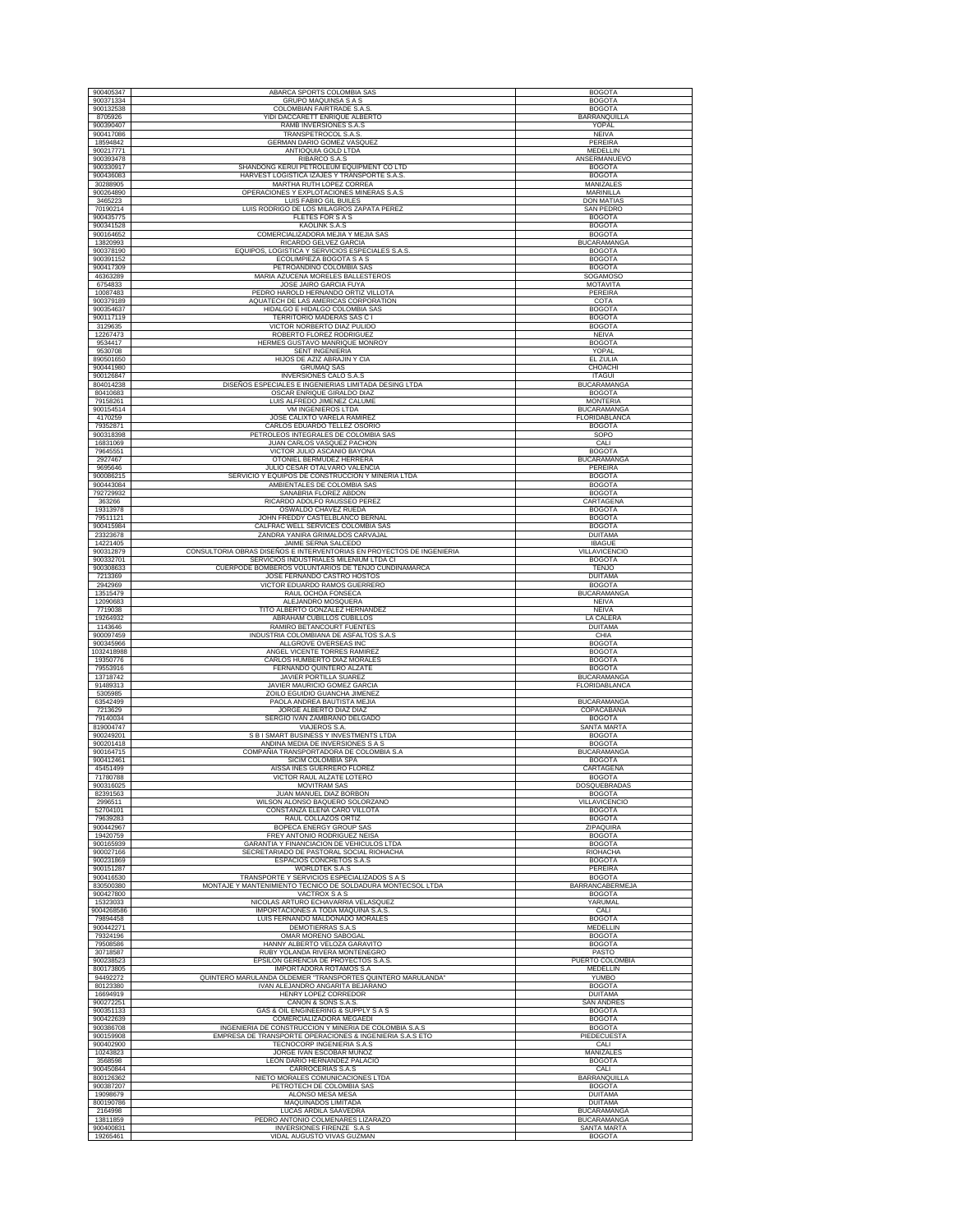| 900405347              | ABARCA SPORTS COLOMBIA SAS                                                                                 | <b>BOGOTA</b>                        |
|------------------------|------------------------------------------------------------------------------------------------------------|--------------------------------------|
| 900371334              | GRUPO MAQUINSA S A S                                                                                       | <b>BOGOTA</b>                        |
| 900132538              | COLOMBIAN FAIRTRADE S.A.S.                                                                                 | <b>BOGOTA</b>                        |
| 8705926<br>900390407   | YIDI DACCARETT ENRIQUE ALBERTO<br>RAMB INVERSIONES S.A.S                                                   | BARRANQUILLA<br>YOPAL                |
| 900417086              | TRANSPETROCOL S.A.S                                                                                        | <b>NEIVA</b>                         |
| 18594842               | GERMAN DARIO GOMEZ VASQUEZ                                                                                 | PEREIRA                              |
| 900217771<br>900393478 | ANTIOQUIA GOLD LTDA<br>RIBARCO S.A.S                                                                       | MEDELLIN<br>ANSERMANUEVO             |
| 900330917              | SHANDONG KERUI PETROLEUM EQUIPMENT CO LTD                                                                  | <b>BOGOTA</b>                        |
| 900436083              | HARVEST LOGISTICA IZAJES Y TRANSPORTE S.A.S.                                                               | <b>BOGOTA</b>                        |
| 30288905<br>900264890  | MARTHA RUTH LOPEZ CORREA<br>OPERACIONES Y EXPLOTACIONES MINERAS S.A.S                                      | MANIZALES<br>MARINILLA               |
| 3465223                | LUIS FABIIO GIL BUILES                                                                                     | <b>DON MATIAS</b>                    |
| 70190214               | LUIS RODRIGO DE LOS MILAGROS ZAPATA PEREZ                                                                  | <b>SAN PEDRO</b>                     |
| 900435775              | FLETES FOR S A S                                                                                           | <b>BOGOTA</b>                        |
| 900341528<br>900164652 | KAOLINK S.A.S<br>COMERCIALIZADORA MEJIA Y MEJIA SAS                                                        | <b>BOGOTA</b><br><b>BOGOTA</b>       |
| 13820993               | RICARDO GELVEZ GARCIA                                                                                      | <b>BUCARAMANGA</b>                   |
| 900378190              | LOGISTICA Y SERVICIOS ESPECIALES S.A.S<br>EQUIPOS,                                                         | <b>BOGOTA</b>                        |
| 900391152<br>900417309 | ECOLIMPIEZA BOGOTA S A S<br>PETROANDINO COLOMBIA SAS                                                       | <b>BOGOTA</b><br><b>BOGOTA</b>       |
| 46363289               | MARIA AZUCENA MORELES BALLESTEROS                                                                          | SOGAMOSO                             |
| 6754833<br>10087483    | JOSE JAIRO GARCIA FUYA<br>PEDRO HAROLD HERNANDO ORTIZ VILLOTA                                              | <b>MOTAVITA</b><br>PEREIRA           |
| 900379189              | AQUATECH DE LAS AMERICAS CORPORATION                                                                       | COTA                                 |
| 900354637              | HIDALGO E HIDALGO COLOMBIA SAS                                                                             | <b>BOGOTA</b>                        |
| 900117119<br>3129635   | TERRITORIO MADERAS SAS C I<br>VICTOR NORBERTO DIAZ PULIDO                                                  | <b>BOGOTA</b><br><b>BOGOTA</b>       |
| 12267473               | ROBERTO FLOREZ RODRIGUEZ                                                                                   | <b>NEIVA</b>                         |
| 9534417                | HERMES GUSTAVO MANRIQUE MONROY                                                                             | <b>BOGOTA</b>                        |
| 9530708                | <b>SENT INGENIERIA</b>                                                                                     | YOPAL                                |
| 890501650<br>900441980 | HIJOS DE AZIZ ABRAJIN Y CIA<br><b>GRUMAQ SAS</b>                                                           | EL ZULIA<br>CHOACHI                  |
| 900126847              | INVERSIONES CALO S.A.S                                                                                     | <b>ITAGUI</b>                        |
| 804014238              | DISEÑOS ESPECIALES E INGENIERIAS LIMITADA DESING LTDA                                                      | <b>BUCARAMANGA</b>                   |
| 80410683<br>79158261   | OSCAR ENRIQUE GIRALDO DIAZ<br>LUIS ALFREDO JIMENEZ CALUME                                                  | <b>BOGOTA</b><br><b>MONTERIA</b>     |
| 900154514              | VM INGENIEROS LTDA                                                                                         | <b>BUCARAMANGA</b>                   |
| 4170259<br>79352871    | JOSE CALIXTO VARELA RAMIREZ<br>CARLOS EDUARDO TELLEZ OSORIO                                                | FLORIDABLANCA<br><b>BOGOTA</b>       |
| 900318398              | PETROLEOS INTEGRALES DE COLOMBIA SAS                                                                       | SOPO                                 |
| 16831069               | JUAN CARLOS VASQUEZ PACHON                                                                                 | CALI                                 |
| 79645551               | VICTOR JULIO ASCANIO BAYONA<br>OTONIEL BERMUDEZ HERRERA                                                    | <b>BOGOTA</b><br><b>BUCARAMANGA</b>  |
| 2927467<br>9695646     | JULIO CESAR OTALVARO VALENCIA                                                                              | PEREIRA                              |
| 900086215              | SERVICIO Y EQUIPOS DE CONSTRUCCION Y MINERIA LTDA                                                          | <b>BOGOTA</b>                        |
| 900443084              | AMBIENTALES DE COLOMBIA SAS                                                                                | <b>BOGOTA</b>                        |
| 792729932<br>363266    | SANABRIA FLOREZ ABDON<br>RICARDO ADOLFO RAUSSEO PEREZ                                                      | <b>BOGOTA</b><br>CARTAGENA           |
| 19313978               | OSWALDO CHAVEZ RUEDA                                                                                       | <b>BOGOTA</b>                        |
| 79511121<br>900415984  | JOHN FREDDY CASTELBLANCO BERNAL<br>CALFRAC WELL SERVICES COLOMBIA SAS                                      | <b>BOGOTA</b><br><b>BOGOTA</b>       |
| 23323678               | ZANDRA YANIRA GRIMALDOS CARVAJAL                                                                           | <b>DUITAMA</b>                       |
| 14221405               | JAIME SERNA SALCEDO                                                                                        | <b>IBAGUE</b>                        |
| 900312879<br>900332701 | CONSULTORIA OBRAS DISEÑOS E INTERVENTORIAS EN PROYECTOS DE INGENIERIA                                      | VILLAVICENCIO                        |
| 900308633              | SERVICIOS INDUSTRIALES MILENIUM LTDA CI<br>CUERPODE BOMBEROS VOLUNTARIOS DE TENJO CUNDINAMARCA             | <b>BOGOTA</b><br><b>TENJO</b>        |
| 7213369                | JOSE FERNANDO CASTRO HOSTOS                                                                                | <b>DUITAMA</b>                       |
| 2942969                | VICTOR EDUARDO RAMOS GUERRERO                                                                              | <b>BOGOTA</b>                        |
| 13515479               | RAUL OCHOA FONSECA                                                                                         | <b>BUCARAMANGA</b>                   |
|                        |                                                                                                            |                                      |
| 12090683<br>7719038    | ALEJANDRO MOSQUERA<br>TITO ALBERTO GONZALEZ HERNANDEZ                                                      | <b>NEIVA</b><br>NEIVA                |
| 19264932               | ABRAHAM CUBILLOS CUBILLOS                                                                                  | LA CALERA                            |
| 1143646<br>900097459   | RAMIRO BETANCOURT FUENTES<br>INDUSTRIA COLOMBIANA DE ASFALTOS S.A.S                                        | <b>DUITAMA</b><br>CHIA               |
| 900345966              | ALLGROVE OVERSEAS INC                                                                                      | <b>BOGOTA</b>                        |
| 1032418988             | ANGEL VICENTE TORRES RAMIREZ                                                                               | <b>BOGOTA</b>                        |
| 19350776<br>79553916   | CARLOS HUMBERTO DIAZ MORALES<br>FERNANDO QUINTERO ALZATE                                                   | <b>BOGOTA</b><br><b>BOGOTA</b>       |
| 13718742               | JAVIER PORTILLA SUAREZ                                                                                     | BUCARAMANGA                          |
| 91489313<br>5305985    | JAVIER MAURICIO GOMEZ GARCIA<br>ZOILO EGUIDIO GUANCHA JIMENEZ                                              | FLORIDABLANCA                        |
| 63542499               | PAOLA ANDREA BAUTISTA MEJIA                                                                                | <b>BUCARAMANGA</b>                   |
| 7213629                | JORGE ALBERTO DIAZ DIAZ                                                                                    | COPACABANA                           |
| 79140034<br>819004747  | SERGIO IVAN ZAMBRANO DELGADO<br><b>VIAJEROS S.A</b>                                                        | <b>BOGOTA</b><br><b>SANTA MARTA</b>  |
| 900249201              | S B I SMART BUSINESS Y INVESTMENTS LTDA                                                                    | <b>BOGOTA</b>                        |
| 900201418              | ANDINA MEDIA DE INVERSIONES S A S<br>COMPAÑIA TRANSPORTADORA DE COLOMBIA S.A                               | <b>BOGOTA</b>                        |
| 900164715<br>900412461 | SICIM COLOMBIA SPA                                                                                         | <b>BUCARAMANGA</b><br><b>BOGOTA</b>  |
| 45451499               | AISSA INES GUERRERO FLOREZ                                                                                 | CARTAGENA                            |
| 71780788<br>900316025  | VICTOR RAUL ALZATE LOTERO<br><b>MOVITRAM SAS</b>                                                           | <b>BOGOTA</b><br>DOSQUEBRADAS        |
| 82391563               | JUAN MANUEL DIAZ BORBON                                                                                    | <b>BOGOTA</b>                        |
| 2996511                | WILSON ALONSO BAQUERO SOLORZANO                                                                            | <b>VILLAVICENCIO</b>                 |
| 52704101<br>79639283   | CONSTANZA ELENA CARO VILLOTA<br>RAUL COLLAZOS ORTIZ                                                        | <b>BOGOTA</b><br><b>BOGOTA</b>       |
| 900442967              | BOPECA ENERGY GROUP SAS                                                                                    | ZIPAQUIRA                            |
| 19420759               | FREY ANTONIO RODRIGUEZ NEISA                                                                               | <b>BOGOTA</b>                        |
| 900165939<br>900027166 | GARANTIA Y FINANCIACION DE VEHICULOS LTDA<br>SECRETARIADO DE PASTORAL SOCIAL RIOHACHA                      | <b>BOGOTA</b><br>RIOHACHA            |
| 900231869              | <b>ESPACIOS CONCRETOS S.A.S</b>                                                                            | <b>BOGOTA</b>                        |
| 900151287<br>900416530 | <b>WORLDTEK S.A.S</b>                                                                                      | PEREIRA<br><b>BOGOTA</b>             |
| 830500380              | TRANSPORTE Y SERVICIOS ESPECIALIZADOS S A S<br>MONTAJE Y MANTENIMIENTO TECNICO DE SOLDADURA MONTECSOL LTDA | BARRANCABERMEJA                      |
| 900427800              | VACTROX S A S                                                                                              | <b>BOGOTA</b>                        |
| 15323033               | NICOLAS ARTURO ECHAVARRIA VELASOUEZ                                                                        | YARUMAL                              |
| 79894458               | IMPORTACIONES A TODA MAQUINA S.A.S.<br>LUIS FERNANDO MALDONADO MORALES                                     | CALI<br><b>BOGOTA</b>                |
| 900442271              | <b>DEMOTIERRAS S.A.S</b>                                                                                   | MEDELLIN                             |
| 79324196<br>79508586   | OMAR MORENO SABOGAL<br>HANNY ALBERTO VELOZA GARAVITO                                                       | <b>BOGOTA</b><br><b>BOGOTA</b>       |
| 30718587               | RUBY YOLANDA RIVERA MONTENEGRO                                                                             | PASTO                                |
| 900238523              | EPSILON GERENCIA DE PROYECTOS S.A.S.                                                                       | PUERTO COLOMBIA                      |
| 800173805<br>94492272  | <b>IMPORTADORA ROTAMOS S.A</b>                                                                             | MEDELLIN<br>YUMBO                    |
| 80123380               | QUINTERO MARULANDA OLDEMER "TRANSPORTES QUINTERO MARULANDA"<br>IVAN ALEJANDRO ANGARITA BEJARANO            | <b>BOGOTA</b>                        |
| 16694919               | HENRY LOPEZ CORREDOR                                                                                       | <b>DUITAMA</b>                       |
| 900272251<br>900351133 | CAÑON & SONS S.A.S.<br>GAS & OIL ENGINEERING & SUPPLY S A S                                                | <b>SAN ANDRES</b><br><b>BOGOTA</b>   |
| 900422639              | COMERCIALIZADORA MEGAEDI                                                                                   | <b>BOGOTA</b>                        |
| 900386708              | INGENIERIA DE CONSTRUCCION Y MINERIA DE COLOMBIA S.A.S                                                     | <b>BOGOTA</b>                        |
| 900159908<br>900402900 | EMPRESA DE TRANSPORTE OPERACIONES & INGENIERIA S.A.S ETO<br>TECNOCORP INGENIERIA S.A.S                     | PIEDECUESTA<br>CALI                  |
| 10243823               | JORGE IVAN ESCOBAR MUÑOZ                                                                                   | MANIZALES                            |
| 3568598                | LEON DARIO HERNANDEZ PALACIO                                                                               | <b>BOGOTA</b>                        |
| 900450844<br>800126362 | CARROCERIAS S.A.S<br>NIETO MORALES COMUNICACIONES LTDA                                                     | CALI<br>BARRANQUILLA                 |
| 900387207              | PETROTECH DE COLOMBIA SAS                                                                                  | <b>BOGOTA</b>                        |
| 9004268586<br>19098679 | ALONSO MESA MESA                                                                                           | <b>DUITAMA</b>                       |
| 800190786<br>2164998   | MAQUINADOS LIMITADA<br>LUCAS ARDILA SAAVEDRA                                                               | <b>DUITAMA</b><br><b>BUCARAMANGA</b> |
| 13811859<br>900400831  | PEDRO ANTONIO COLMENARES LIZARAZO<br>INVERSIONES FIRENZE S.A.S                                             | <b>BUCARAMANGA</b><br>SANTA MARTA    |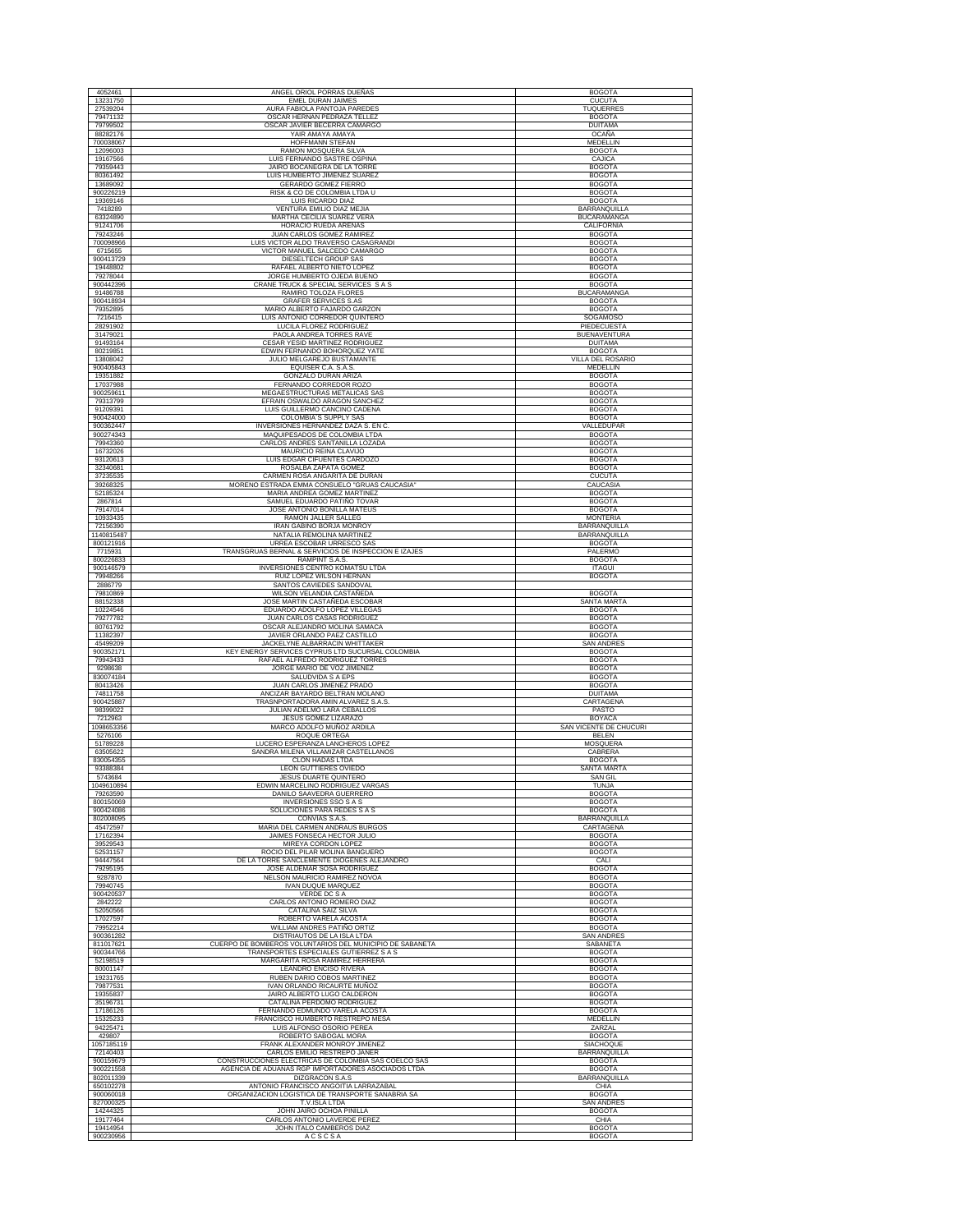|                                   | ANGEL ORIOL PORRAS DUEÑAS                                                                          | <b>BOGOTA</b>                          |
|-----------------------------------|----------------------------------------------------------------------------------------------------|----------------------------------------|
| 13231750                          | EMEL DURAN JAIMES                                                                                  | <b>CUCUTA</b>                          |
| 27539204<br>79471132              | AURA FABIOLA PANTOJA PAREDES<br>OSCAR HERNAN PEDRAZA TELLEZ                                        | <b>TUQUERRES</b><br><b>BOGOTA</b>      |
| 79799502                          | OSCAR JAVIER BECERRA CAMARGO                                                                       | <b>DUITAMA</b>                         |
| 88282176<br>700038067             | YAIR AMAYA AMAYA<br>HOFFMANN STEFAN                                                                | OCAÑA<br>MEDELLIN                      |
| 12096003                          | RAMON MOSQUERA SILVA                                                                               | <b>BOGOTA</b>                          |
| 19167566<br>79359443              | LUIS FERNANDO SASTRE OSPINA<br>JAIRO BOCANEGRA DE LA TORRE                                         | CAJICA<br><b>BOGOTA</b>                |
| 80361492                          | LUIS HUMBERTO JIMENEZ SUAREZ                                                                       | <b>BOGOTA</b>                          |
| 13689092<br>900226219             | GERARDO GOMEZ FIERRO<br>RISK & CO DE COLOMBIA LTDA U                                               | <b>BOGOTA</b><br><b>BOGOTA</b>         |
| 19369146                          | LUIS RICARDO DIAZ                                                                                  | <b>BOGOTA</b>                          |
| 7418289<br>63324890               | VENTURA EMILIO DIAZ MEJIA<br>MARTHA CECILIA SUAREZ VERA                                            | BARRANQUILLA<br><b>BUCARAMANGA</b>     |
| 91241706                          | HORACIO RUEDA ARENAS                                                                               | CALIFORNIA                             |
| 79243246<br>700098966             | JUAN CARLOS GOMEZ RAMIREZ<br>LUIS VICTOR ALDO TRAVERSO CASAGRANDI                                  | <b>BOGOTA</b><br><b>BOGOTA</b>         |
| 6715655                           | VICTOR MANUEL SALCEDO CAMARGO                                                                      | <b>BOGOTA</b>                          |
| 900413729<br>19448802             | DIESELTECH GROUP SAS<br>RAFAEL ALBERTO NIETO LOPEZ                                                 | <b>BOGOTA</b><br><b>BOGOTA</b>         |
| 79278044                          | JORGE HUMBERTO OJEDA BUENO                                                                         | <b>BOGOTA</b>                          |
| 900442396<br>91486788             | CRANE TRUCK & SPECIAL SERVICES S A S<br>RAMIRO TOLOZA FLORES                                       | <b>BOGOTA</b><br><b>BUCARAMANGA</b>    |
| 900418934                         | <b>GRAFER SERVICES S.AS</b>                                                                        | <b>BOGOTA</b>                          |
| 79352895<br>7216415               | MARIO ALBERTO FAJARDO GARZON<br>LUIS ANTONIO CORREDOR QUINTERO                                     | <b>BOGOTA</b><br>SOGAMOSO              |
| 28291902                          | LUCILA FLOREZ RODRIGUEZ                                                                            | PIEDECUESTA                            |
| 31479021<br>91493164              | PAOLA ANDREA TORRES RAVE<br>CESAR YESID MARTINEZ RODRIGUEZ                                         | <b>BUENAVENTURA</b><br><b>DUITAMA</b>  |
| 80219851                          | EDWIN FERNANDO BOHORQUEZ YATE                                                                      | <b>BOGOTA</b>                          |
| 13808042<br>900405843             | JULIO MELGAREJO BUSTAMANTE<br>EQUISER C.A. S.A.S.                                                  | <b>VILLA DEL ROSARIO</b><br>MEDELLIN   |
| 19351882                          | GONZALO DURAN ARIZA                                                                                | <b>BOGOTA</b>                          |
| 17037988<br>900259611             | FERNANDO CORREDOR ROZO<br>MEGAESTRUCTURAS METALICAS SAS                                            | <b>BOGOTA</b><br><b>BOGOTA</b>         |
| 79313799                          | EFRAIN OSWALDO ARAGON SANCHEZ                                                                      | <b>BOGOTA</b>                          |
| 91209391<br>900424000             | LUIS GUILLERMO CANCINO CADENA<br>COLOMBIA'S SUPPLY SAS                                             | <b>BOGOTA</b><br><b>BOGOTA</b>         |
| 900362447                         | INVERSIONES HERNANDEZ DAZA S. EN C                                                                 | VALLEDUPAR                             |
| 900274343<br>79943360             | MAQUIPESADOS DE COLOMBIA LTDA<br>CARLOS ANDRES SANTANILLA LOZADA                                   | <b>BOGOTA</b><br><b>BOGOTA</b>         |
| 16732026                          | MAURICIO REINA CLAVIJO                                                                             | <b>BOGOTA</b>                          |
| 93120613<br>32340681              | LUIS EDGAR CIFUENTES CARDOZO<br>ROSALBA ZAPATA GOMEZ                                               | <b>BOGOTA</b><br><b>BOGOTA</b>         |
| 37235535                          | CARMEN ROSA ANGARITA DE DURAN                                                                      | <b>CUCUTA</b>                          |
| 39268325<br>52185324              | MORENO ESTRADA EMMA CONSUELO "GRUAS CAUCASIA"<br>MARIA ANDREA GOMEZ MARTINEZ                       | CAUCASIA<br><b>BOGOTA</b>              |
| 2867814                           | SAMUEL EDUARDO PATIÑO TOVAR                                                                        | <b>BOGOTA</b>                          |
| 79147014<br>10933435              | JOSE ANTONIO BONILLA MATEUS<br>RAMON JALLER SALLEG                                                 | <b>BOGOTA</b><br><b>MONTERIA</b>       |
| 72156390                          | IRAN GABINO BORJA MONROY                                                                           | BARRANQUILLA                           |
| 1140815487<br>800121916           | NATALIA REMOLINA MARTINEZ<br>URREA ESCOBAR URRESCO SAS                                             | BARRANQUILLA<br><b>BOGOTA</b>          |
| 7715931                           | TRANSGRUAS BERNAL & SERVICIOS DE INSPECCION E IZAJES                                               | PALERMO                                |
| 800226833<br>900146579            | RAMPINT S.A.S.<br>INVERSIONES CENTRO KOMATSU LTDA                                                  | <b>BOGOTA</b><br><b>ITAGUI</b>         |
| 79948266                          | RUIZ LOPEZ WILSON HERNAN                                                                           | <b>BOGOTA</b>                          |
| 2886779<br>79810869               | SANTOS CAVIEDES SANDOVAL<br>WILSON VELANDIA CASTAÑEDA                                              | <b>BOGOTA</b>                          |
| 88152338                          | JOSE MARTIN CASTAÑEDA ESCOBAR<br>EDUARDO ADOLFO LOPEZ VILLEGAS                                     | SANTA MARTA                            |
| 10224546<br>79277782              | JUAN CARLOS CASAS RODRIGUEZ                                                                        | <b>BOGOTA</b><br><b>BOGOTA</b>         |
| 80761792<br>11382397              | OSCAR ALEJANDRO MOLINA SAMACA<br>JAVIER ORLANDO PAEZ CASTILLO                                      | <b>BOGOTA</b><br><b>BOGOTA</b>         |
| 45499209                          | JACKELYNE ALBARRACIN WHITTAKER                                                                     | <b>SAN ANDRES</b>                      |
| 900352171<br>79943433             | KEY ENERGY SERVICES CYPRUS LTD SUCURSAL COLOMBIA<br>RAFAEL ALFREDO RODRIGUEZ TORRES                | <b>BOGOTA</b><br><b>BOGOTA</b>         |
| 9298638                           | JORGE MARIO DE VOZ JIMENEZ                                                                         | <b>BOGOTA</b>                          |
|                                   |                                                                                                    |                                        |
| 830074184                         | SALUDVIDA S A EPS                                                                                  | <b>BOGOTA</b>                          |
| 80413426<br>74811758              | JUAN CARLOS JIMENEZ PRADO<br>ANCIZAR BAYARDO BELTRAN MOLANO                                        | <b>BOGOTA</b><br><b>DUITAMA</b>        |
| 900425887                         | TRASNPORTADORA AMIN ALVAREZ S.A.S                                                                  | CARTAGENA                              |
| 98399022<br>7212963               | JULIAN ADELMO LARA CEBALLOS<br>JESUS GOMEZ LIZARAZO                                                | PASTO<br><b>BOYACA</b>                 |
| 1098653356                        | MARCO ADOLFO MUÑOZ ARDILA                                                                          | SAN VICENTE DE CHUCURI                 |
| 5276106<br>51789228               | ROQUE ORTEGA<br>LUCERO ESPERANZA LANCHEROS LOPEZ                                                   | <b>BELEN</b><br><b>MOSQUERA</b>        |
| 63505622<br>830054355             | SANDRA MILENA VILLAMIZAR CASTELLANOS<br>CLON HADAS LTDA                                            | CABRERA<br><b>BOGOTA</b>               |
| 93388384                          | LEON GUTTIERES OVIEDO                                                                              | SANTA MARTA                            |
| 5743684<br>1049610894             | <b>JESUS DUARTE QUINTERO</b><br>EDWIN MARCELINO RODRIGUEZ VARGAS                                   | <b>SAN GIL</b><br><b>TUNJA</b>         |
| 79263590                          | DANILO SAAVEDRA GUERRERO                                                                           | <b>BOGOTA</b>                          |
| 800150069<br>900424086            | <b>INVERSIONES SSO S A S</b><br>SOLUCIONES PARA REDES S A S                                        | <b>BOGOTA</b><br><b>BOGOTA</b>         |
| 802008095                         | CONVIAS S.A.S.                                                                                     | BARRANQUILLA                           |
| 45472597<br>17162394              | MARIA DEL CARMEN ANDRAUS BURGOS<br>JAIMES FONSECA HECTOR JULIO                                     | CARTAGENA<br><b>BOGOTA</b>             |
| 39529543                          | MIREYA CORDON LOPEZ                                                                                | <b>BOGOTA</b>                          |
| 52531157<br>94447564              | ROCIO DEL PILAR MOLINA BANGUERO<br>DE LA TORRE SANCLEMENTE DIOGENES ALEJANDRO                      | <b>BOGOTA</b><br>CALI                  |
| 79295195<br>9287870               | JOSE ALDEMAR SOSA RODRIGUEZ                                                                        | <b>BOGOTA</b>                          |
| 79940745                          | NELSON MAURICIO RAMIREZ NOVOA<br><b>IVAN DUQUE MARQUEZ</b>                                         | <b>BOGOTA</b><br><b>BOGOTA</b>         |
| 900420537<br>2842222              | VERDE DC S A<br>CARLOS ANTONIO ROMERO DIAZ                                                         | <b>BOGOTA</b><br><b>BOGOTA</b>         |
| 52050566                          | CATALINA SAIZ SILVA                                                                                | <b>BOGOTA</b>                          |
| 17027597<br>79952214              | ROBERTO VARELA ACOSTA<br>WILLIAM ANDRES PATIÑO ORTIZ                                               | <b>BOGOTA</b><br><b>BOGOTA</b>         |
| 900361282                         | DISTRIAUTOS DE LA ISLA LTDA                                                                        | <b>SAN ANDRES</b>                      |
| 811017621<br>900344766            | CUERPO DE BOMBEROS VOLUNTARIOS DEL MUNICIPIO DE SABANETA<br>TRANSPORTES ESPECIALES GUTIERREZ S A S | SABANETA<br><b>BOGOTA</b>              |
| 52198519                          | MARGARITA ROSA RAMIREZ HERRERA                                                                     | <b>BOGOTA</b>                          |
| 80001147<br>19231765              | LEANDRO ENCISO RIVERA<br>RUBEN DARIO COBOS MARTINEZ                                                | <b>BOGOTA</b><br><b>BOGOTA</b>         |
| 79877531                          | IVAN ORLANDO RICAURTE MUÑOZ                                                                        | <b>BOGOTA</b>                          |
| 19355837<br>35196731              | JAIRO ALBERTO LUGO CALDERON<br>CATALINA PERDOMO RODRIGUEZ                                          | <b>BOGOTA</b><br><b>BOGOTA</b>         |
| 17186126                          | FERNANDO EDMUNDO VARELA ACOSTA                                                                     | <b>BOGOTA</b>                          |
| 15325233<br>94225471              | FRANCISCO HUMBERTO RESTREPO MESA<br>LUIS ALFONSO OSORIO PEREA                                      | MEDELLIN<br>ZARZAL                     |
| 429807                            | ROBERTO SABOGAL MORA                                                                               | <b>BOGOTA</b>                          |
| 1057185119<br>72140403            | FRANK ALEXANDER MONROY JIMENEZ<br>CARLOS EMILIO RESTREPO JANER                                     | SIACHOQUE<br>BARRANQUILLA              |
| 900159679<br>900221558            | CONSTRUCCIONES ELECTRICAS DE COLOMBIA SAS COELCO SAS                                               | <b>BOGOTA</b>                          |
| 802011339                         | AGENCIA DE ADUANAS RGP IMPORTADORES ASOCIADOS LTDA<br>DIZGRACON S.A.S                              | <b>BOGOTA</b><br><b>BARRANQUILLA</b>   |
| 650102278                         | ANTONIO FRANCISCO ANGOITIA LARRAZABAL                                                              | CHIA                                   |
| 900060018<br>827000325            | ORGANIZACION LOGISTICA DE TRANSPORTE SANABRIA SA<br>T.V.ISLA LTDA                                  | <b>BOGOTA</b><br><b>SAN ANDRES</b>     |
| 14244325                          | JOHN JAIRO OCHOA PINILLA                                                                           | <b>BOGOTA</b>                          |
| 19177464<br>19414954<br>900230956 | CARLOS ANTONIO LAVERDE PEREZ<br>JOHN ITALO CAMBEROS DIAZ<br><b>ACSCSA</b>                          | CHIA<br><b>BOGOTA</b><br><b>BOGOTA</b> |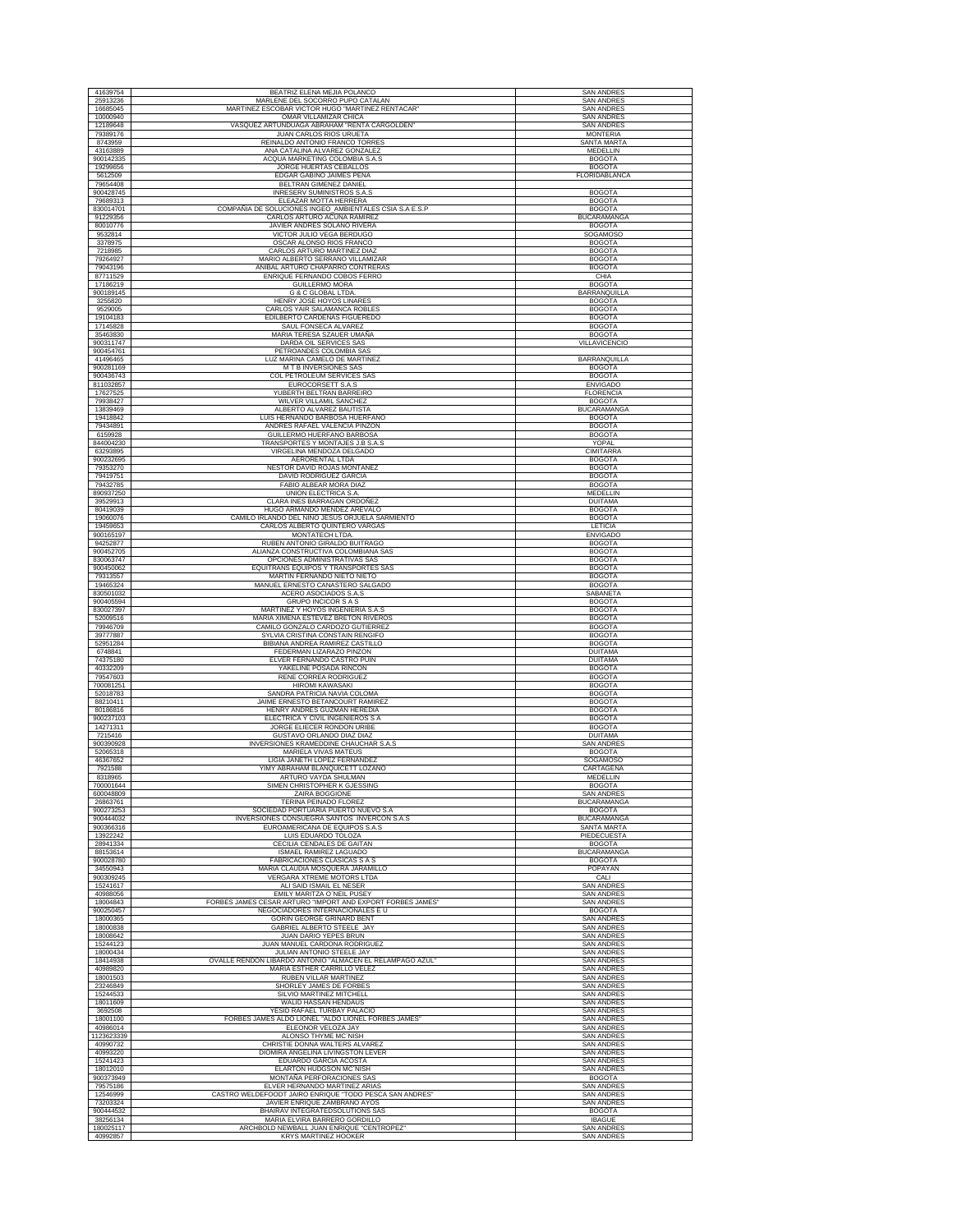| 41639754               |                                                                                          |                                          |
|------------------------|------------------------------------------------------------------------------------------|------------------------------------------|
|                        | BEATRIZ ELENA MEJIA POLANCO                                                              | <b>SAN ANDRES</b>                        |
| 25913236               | MARLENE DEL SOCORRO PUPO CATALAN                                                         | <b>SAN ANDRES</b>                        |
| 16685045               | MARTINEZ ESCOBAR VICTOR HUGO "MARTINEZ RENTACAR"                                         | <b>SAN ANDRES</b>                        |
| 10000940               | OMAR VILLAMIZAR CHICA                                                                    | <b>SAN ANDRES</b>                        |
| 12189648               | VASQUEZ ARTUNDUAGA ABRAHAM "RENTA CARGOLDEN"<br><b>JUAN CARLOS RIOS URUETA</b>           | <b>SAN ANDRES</b>                        |
| 79389176               |                                                                                          | <b>MONTERIA</b>                          |
| 8743959<br>43163889    | REINALDO ANTONIO FRANCO TORRES<br>ANA CATALINA ALVAREZ GONZALEZ                          | SANTA MARTA<br>MEDELLIN                  |
| 900142335              | ACQUA MARKETING COLOMBIA S.A.S                                                           | <b>BOGOTA</b>                            |
| 19299656               | JORGE HUERTAS CEBALLOS                                                                   | <b>BOGOTA</b>                            |
| 5612509                | EDGAR GABINO JAIMES PEÑA                                                                 | FLORIDABLANCA                            |
| 79654408               | BELTRAN GIMENEZ DANIEL                                                                   |                                          |
| 900428745              | INRESERV SUMINISTROS S.A.S                                                               | <b>BOGOTA</b>                            |
| 79689313               | ELEAZAR MOTTA HERRERA                                                                    | <b>BOGOTA</b>                            |
| 830014701              | COMPAÑIA DE SOLUCIONES INGEO_AMBIENTALES CSIA S.A E.S.P                                  | <b>BOGOTA</b>                            |
| 91229356               | CARLOS ARTURO ACUÑA RAMIRE.                                                              | <b>BUCARAMANGA</b>                       |
| 80010776               | JAVIER ANDRES SOLANO RIVERA                                                              | <b>BOGOTA</b>                            |
| 9532814                | VICTOR JULIO VEGA BERDUGO                                                                | SOGAMOSO                                 |
| 3378975                | OSCAR ALONSO RIOS FRANCO<br>CARLOS ARTURO MARTINEZ DIAZ                                  | <b>BOGOTA</b>                            |
| 7218985                | MARIO ALBERTO SERRANO VILLAMIZAR                                                         | <b>BOGOTA</b>                            |
| 79264927<br>79043196   | ANIBAL ARTURO CHAPARRO CONTRERAS                                                         | <b>BOGOTA</b><br><b>BOGOTA</b>           |
| 87711529               | ENRIQUE FERNANDO COBOS FERRO                                                             | CHIA                                     |
| 17186219               | <b>GUILLERMO MORA</b>                                                                    | <b>BOGOTA</b>                            |
| 900189145              | <b>G &amp; C GLOBAL LTDA</b>                                                             | BARRANQUILLA                             |
| 3255820                | HENRY JOSE HOYOS LINARES                                                                 | <b>BOGOTA</b>                            |
| 9529005                | CARLOS YAIR SALAMANCA ROBLES                                                             | <b>BOGOTA</b>                            |
| 19104183               | EDILBERTO CARDENAS FIGUEREDO                                                             | <b>BOGOTA</b>                            |
| 17145828               | SAUL FONSECA ALVAREZ                                                                     | <b>BOGOTA</b>                            |
| 35463830               | MARIA TERESA SZAUER UMAÑA                                                                | <b>BOGOTA</b>                            |
| 900311747<br>900454761 | DARDA OIL SERVICES SAS<br>PETROANDES COLOMBIA SAS                                        | VILLAVICENCIO                            |
| 41496465               | LUZ MARINA CAMELO DE MARTINEZ                                                            | BARRANQUILLA                             |
| 900281169              | M T B INVERSIONES SAS                                                                    | <b>BOGOTA</b>                            |
| 900436743              | COL PETROLEUM SERVICES SAS                                                               | <b>BOGOTA</b>                            |
| 811032857              | EUROCORSETT S.A.S                                                                        | <b>ENVIGADO</b>                          |
| 17627525               | YUBERTH BELTRAN BARREIRO                                                                 | <b>FLORENCIA</b>                         |
| 79938427               | WILVER VILLAMIL SANCHEZ                                                                  | <b>BOGOTA</b>                            |
| 13839469               | ALBERTO ALVAREZ BAUTISTA                                                                 | <b>BUCARAMANGA</b>                       |
| 19418842               | LUIS HERNANDO BARBOSA HUERFANO                                                           | <b>BOGOTA</b>                            |
| 79434891               | ANDRES RAFAEL VALENCIA PINZON                                                            | <b>BOGOTA</b>                            |
| 6159928<br>844004230   | GUILLERMO HUERFANO BARBOSA<br>TRANSPORTES Y MONTAJES J.B S.A.S                           | <b>BOGOTA</b><br>YOPAL                   |
| 63293895               | VIRGELINA MENDOZA DELGADO                                                                | <b>CIMITARRA</b>                         |
| 900232695              | AERORENTAL LTDA                                                                          | <b>BOGOTA</b>                            |
| 79353270               | NESTOR DAVID ROJAS MONTAÑEZ                                                              | <b>BOGOTA</b>                            |
| 79419751               | DAVID RODRIGUEZ GARCIA                                                                   | <b>BOGOTA</b>                            |
| 79432785               | FABIO ALBEAR MORA DIAZ                                                                   | <b>BOGOTA</b>                            |
| 890937250              | UNION ELECTRICA S.A                                                                      | MEDELLIN                                 |
| 39529913               | CLARA INES BARRAGAN ORDOÑEZ                                                              | <b>DUITAMA</b>                           |
| 80419039               | HUGO ARMANDO MENDEZ AREVALO                                                              | <b>BOGOTA</b>                            |
| 19060076               | CAMILO IRLANDO DEL NIÑO JESUS ORJUELA SARMIENTO                                          | <b>BOGOTA</b>                            |
| 19459653               | CARLOS ALBERTO QUINTERO VARGAS<br><b>MONTATECH LTDA</b>                                  | LETICIA                                  |
| 900165197<br>94252877  | RUBEN ANTONIO GIRALDO BUITRAGO                                                           | <b>ENVIGADO</b><br><b>BOGOTA</b>         |
| 900452705              | ALIANZA CONSTRUCTIVA COLOMBIANA SAS                                                      | <b>BOGOTA</b>                            |
| 830063747              | OPCIONES ADMINISTRATIVAS SAS                                                             | <b>BOGOTA</b>                            |
| 900450062              | EQUITRANS EQUIPOS Y TRANSPORTES SAS                                                      | <b>BOGOTA</b>                            |
| 79313557               | MARTIN FERNANDO NIETO NIETO                                                              | <b>BOGOTA</b>                            |
| 19465324               | MANUEL ERNESTO CANASTERO SALGADO<br>ACERO ASOCIADOS S.A.S                                | <b>BOGOTA</b><br><b>SABANETA</b>         |
| 830501032<br>900405594 | <b>GRUPO INCICOR S A S</b>                                                               | <b>BOGOTA</b>                            |
| 830027397              | MARTINEZ Y HOYOS INGENIERIA S.A.S                                                        | <b>BOGOTA</b>                            |
| 52009516               | MARIA XIMENA ESTEVEZ BRETON RIVEROS                                                      | <b>BOGOTA</b>                            |
| 79946709               | CAMILO GONZALO CARDOZO GUTIERREZ                                                         | <b>BOGOTA</b>                            |
|                        |                                                                                          |                                          |
| 39777887               | SYLVIA CRISTINA CONSTAIN RENGIFO                                                         | <b>BOGOTA</b>                            |
| 52951284               | BIBIANA ANDREA RAMIREZ CASTILLO                                                          | <b>BOGOTA</b>                            |
| 6748841                | FEDERMAN LIZARAZO PINZON                                                                 | <b>DUITAMA</b>                           |
| 74375180               | ELVER FERNANDO CASTRO PUIN                                                               | <b>DUITAMA</b><br><b>BOGOTA</b>          |
| 40332209<br>79547603   | YAKELINE POSADA RINCON<br>RENE CORREA RODRIGUEZ                                          | <b>BOGOTA</b>                            |
| 700081251              | <b>HIROMI KAWASAKI</b>                                                                   | <b>BOGOTA</b>                            |
| 52018783               | SANDRA PATRICIA NAVIA COLOMA                                                             | <b>BOGOTA</b>                            |
| 88210411               | JAIME ERNESTO BETANCOURT RAMIREZ                                                         | <b>BOGOTA</b>                            |
| 80186816               | HENRY ANDRES GUZMAN HEREDIA                                                              | <b>BOGOTA</b>                            |
| 900237103              | ELECTRICA Y CIVIL INGENIEROS S A                                                         | <b>BOGOTA</b>                            |
| 14271311               | JORGE ELIECER RONDON URIBE                                                               | <b>BOGOTA</b>                            |
| 7215416                | GUSTAVO ORLANDO DIAZ DIAZ                                                                | <b>DUITAMA</b>                           |
| 900390928<br>52065318  | INVERSIONES KRAMEDDINE CHAUCHAR S.A.S<br>MARIELA VIVAS MATEUS                            | <b>SAN ANDRES</b><br><b>BOGOTA</b>       |
| 46367652               | LIGIA JANETH LOPEZ FERNANDEZ                                                             | SOGAMOSO                                 |
| 7921588                | YIMY ABRAHAM BLANQUICETT LOZANO                                                          | CARTAGENA                                |
| 8318965                | ARTURO VAYDA SHULMAN                                                                     | MEDELLIN                                 |
| 700001644              | SIMEN CHRISTOPHER K GJESSING                                                             | <b>BOGOTA</b>                            |
| 600048809              | ZAIRA BOGGIONE                                                                           | <b>SAN ANDRES</b>                        |
| 26863761               | <b>TERINA PEINADO FLOREZ</b>                                                             | <b>BUCARAMANGA</b>                       |
| 900273253              | SOCIEDAD PORTUARIA PUERTO NUEVO S.A<br>INVERSIONES CONSUEGRA SANTOS INVERCON S.A.S       | <b>BOGOTA</b>                            |
| 900444032<br>900366316 | EUROAMERICANA DE EQUIPOS S.A.S                                                           | <b>BUCARAMANGA</b><br><b>SANTA MARTA</b> |
| 13922242               | LUIS EDUARDO TOLOZA                                                                      | PIEDECUESTA                              |
| 28941334               | CECILIA CENDALES DE GAITAN                                                               | <b>BOGOTA</b>                            |
| 88153614               | <b>ISMAEL RAMIREZ LAGUADO</b>                                                            | <b>BUCARAMANGA</b>                       |
| 900028780              | FABRICACIONES CLASICAS S A S                                                             | <b>BOGOTA</b>                            |
| 34550943               | MARIA CLAUDIA MOSQUERA JARAMILLO                                                         | POPAYAN                                  |
| 900309245              | VERGARA XTREME MOTORS LTDA                                                               | CALI                                     |
| 15241617               | ALI SAID ISMAIL EL NESER                                                                 | <b>SAN ANDRES</b>                        |
| 40988056<br>18004843   | EMILY MARITZA O'NEIL PUSEY<br>FORBES JAMES CESAR ARTURO "IMPORT AND EXPORT FORBES JAMES" | <b>SAN ANDRES</b><br><b>SAN ANDRES</b>   |
| 900250457              | NEGOCIADORES INTERNACIONALES E U                                                         | <b>BOGOTA</b>                            |
| 18000365               | <b>GORIN GEORGE GRINARD BENT</b>                                                         | <b>SAN ANDRES</b>                        |
| 18000838               | <b>GABRIEL ALBERTO STEELE JAY</b>                                                        | <b>SAN ANDRES</b>                        |
| 18008642               | JUAN DARIO YEPES BRUN                                                                    | <b>SAN ANDRES</b>                        |
| 15244123               | JUAN MANUEL CARDONA RODRIGUEZ                                                            | <b>SAN ANDRES</b>                        |
| 18000434               | JULIAN ANTONIO STEELE JAY                                                                | <b>SAN ANDRES</b>                        |
| 18414938<br>40989820   | OVALLE RENDON LIBARDO ANTONIO "ALMACEN EL RELAMPAGO AZUL'                                | <b>SAN ANDRES</b>                        |
| 18001503               | MARIA ESTHER CARRILLO VELEZ<br>RUBEN VILLAR MARTINEZ                                     | <b>SAN ANDRES</b><br>SAN ANDRES          |
| 23246849               | SHORLEY JAMES DE FORBES                                                                  | <b>SAN ANDRES</b>                        |
| 15244533               | SILVIO MARTINEZ MITCHELL                                                                 | <b>SAN ANDRES</b>                        |
| 18011609               | WALID HASSAN HENDAUS                                                                     | <b>SAN ANDRES</b>                        |
| 3692508                | YESID RAFAEL TURBAY PALACIO                                                              | <b>SAN ANDRES</b>                        |
| 18001100               | FORBES JAMES ALDO LIONEL "ALDO LIONEL FORBES JAMES"                                      | <b>SAN ANDRES</b>                        |
| 40986014<br>1123623339 | ELEONOR VELOZA JAY<br>ALONSO THYME MC`NISH                                               | <b>SAN ANDRES</b><br>SAN ANDRES          |
| 40990732               | CHRISTIE DONNA WALTERS ALVAREZ                                                           | <b>SAN ANDRES</b>                        |
| 40993220               | DIOMIRA ANGELINA LIVINGSTON LEVER                                                        | <b>SAN ANDRES</b>                        |
| 15241423               | EDUARDO GARCIA ACOSTA                                                                    | <b>SAN ANDRES</b>                        |
| 18012010               | ELARTON HUDGSON MC'NISH                                                                  | <b>SAN ANDRES</b>                        |
| 900373949              | MONTAÑA PERFORACIONES SAS                                                                | <b>BOGOTA</b>                            |
| 79575186               | ELVER HERNANDO MARTINEZ ARIAS                                                            | <b>SAN ANDRES</b>                        |
| 12546999<br>73203324   | CASTRO WELDEFOODT JAIRO ENRIQUE "TODO PESCA SAN ANDRES'<br>JAVIER ENRIQUE ZAMBRANO AYOS  | <b>SAN ANDRES</b><br><b>SAN ANDRES</b>   |
| 900444532              | BHAIRAV INTEGRATEDSOLUTIONS SAS                                                          | <b>BOGOTA</b>                            |
| 38256134<br>180025117  | MARIA ELVIRA BARRERO GORDILLO<br>ARCHBOLD NEWBALL JUAN ENRIQUE "CENTROPEZ"               | <b>IBAGUE</b><br><b>SAN ANDRES</b>       |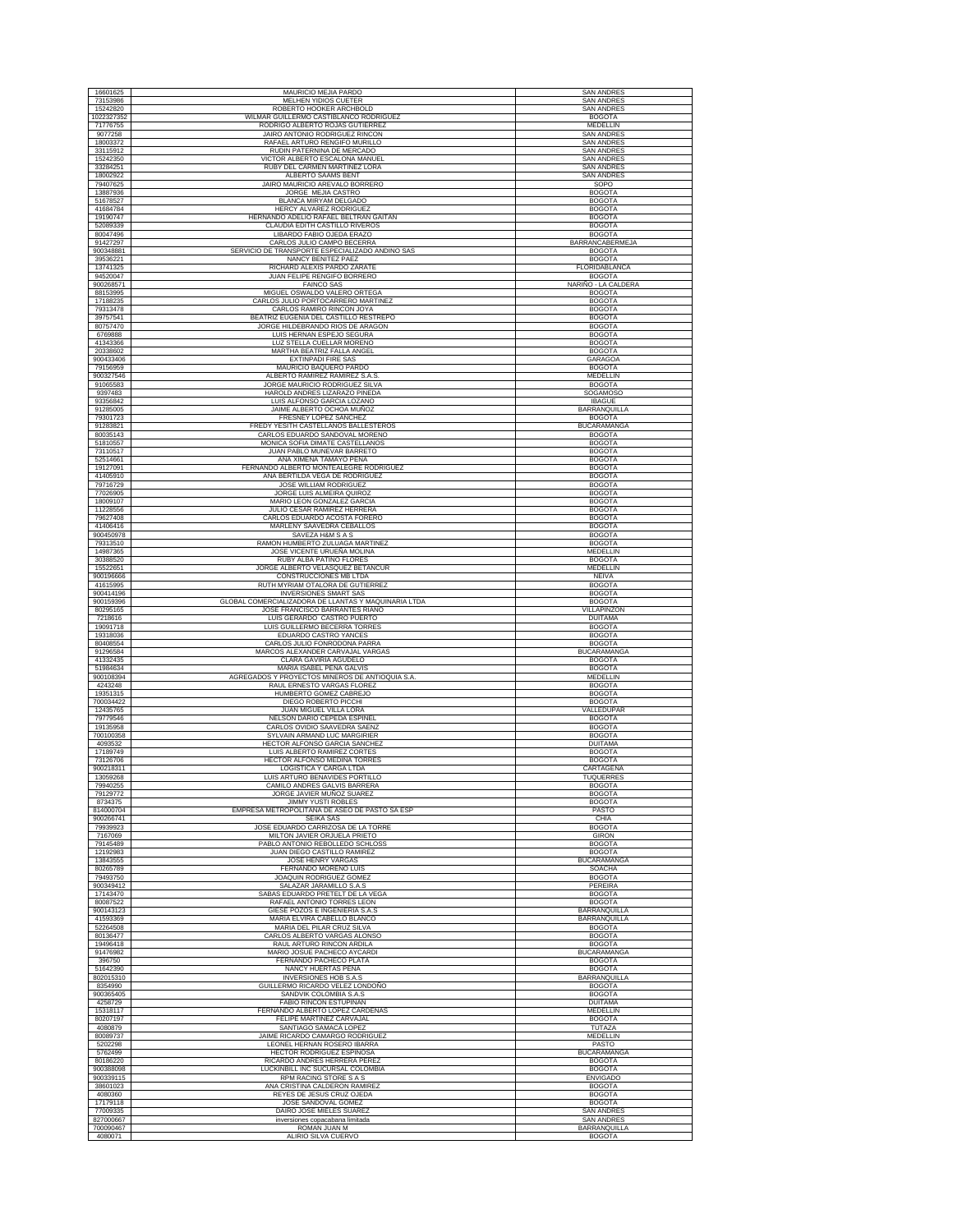| 16601625               | MAURICIO MEJIA PARDO                                                       | <b>SAN ANDRES</b>              |
|------------------------|----------------------------------------------------------------------------|--------------------------------|
| 73153986               | MELHEN YIDIOS CUETER                                                       | <b>SAN ANDRES</b>              |
| 15242820               | ROBERTO HOOKER ARCHBOLD                                                    | <b>SAN ANDRES</b>              |
| 1022327352             | WILMAR GUILLERMO CASTIBLANCO RODRIGUEZ                                     | <b>BOGOTA</b>                  |
| 71776755               | RODRIGO ALBERTO ROJAS GUTIERREZ                                            | MEDELLIN                       |
| 9077258                | JAIRO ANTONIO RODRIGUEZ RINCON                                             | <b>SAN ANDRES</b>              |
| 18003372               | RAFAEL ARTURO RENGIFO MURILLO                                              | <b>SAN ANDRES</b>              |
| 33115912               | RUDIN PATERNINA DE MERCADO                                                 | <b>SAN ANDRES</b>              |
| 15242350               | VICTOR ALBERTO ESCALONA MANUEL                                             | <b>SAN ANDRES</b>              |
| 33284251               | RUBY DEL CARMEN MARTINEZ LORA                                              | <b>SAN ANDRES</b>              |
| 18002922               | ALBERTO SAAMS BENT                                                         | <b>SAN ANDRES</b>              |
| 79407625               | JAIRO MAURICIO AREVALO BORRERO                                             | SOPO                           |
| 13887936               | JORGE MEJIA CASTRO                                                         | <b>BOGOTA</b>                  |
| 51678527               | BLANCA MIRYAM DELGADO                                                      | <b>BOGOTA</b>                  |
| 41684784               | HERCY ALVAREZ RODRIGUEZ                                                    | <b>BOGOTA</b>                  |
| 19190747               | HERNANDO ADELIO RAFAEL BELTRAN GAITAN                                      | <b>BOGOTA</b>                  |
| 52089339               | CLAUDIA EDITH CASTILLO RIVEROS                                             | <b>BOGOTA</b>                  |
| 80047496               | LIBARDO FABIO OJEDA ERAZO                                                  | <b>BOGOTA</b>                  |
| 91427297               | CARLOS JULIO CAMPO BECERRA                                                 | <b>BARRANCABERMEJA</b>         |
| 900348881              | SERVICIO DE TRANSPORTE ESPECIALIZADO ANDINO SAS                            | <b>BOGOTA</b>                  |
| 39536221               | NANCY BENITEZ PAEZ                                                         | <b>BOGOTA</b>                  |
| 13741325               | RICHARD ALEXIS PARDO ZARATE                                                | FLORIDABLANCA                  |
| 94520047               | JUAN FELIPE RENGIFO BORRERO                                                | <b>BOGOTA</b>                  |
| 900268571              | <b>FAINCO SAS</b>                                                          | NARIÑO - LA CALDERA            |
| 88153995               | MIGUEL OSWALDO VALERO ORTEGA                                               | <b>BOGOTA</b>                  |
| 17188235               | CARLOS JULIO PORTOCARRERO MARTINEZ                                         | <b>BOGOTA</b>                  |
| 79313478               | CARLOS RAMIRO RINCON JOYA                                                  | <b>BOGOTA</b>                  |
| 39757541               | BEATRIZ EUGENIA DEL CASTILLO RESTREPO                                      | <b>BOGOTA</b>                  |
| 80757470               | JORGE HILDEBRANDO RIOS DE ARAGON                                           | <b>BOGOTA</b>                  |
| 6769888                | LUIS HERNAN ESPEJO SEGURA                                                  | <b>BOGOTA</b>                  |
| 41343366               | LUZ STELLA CUELLAR MORENO                                                  | <b>BOGOTA</b>                  |
| 20338602               | MARTHA BEATRIZ FALLA ANGEL                                                 | <b>BOGOTA</b>                  |
| 900433406              | <b>EXTINPADI FIRE SAS</b>                                                  | <b>GARAGOA</b>                 |
| 79156959               | MAURICIO BAQUERO PARDO                                                     | <b>BOGOTA</b>                  |
| 900327546              | ALBERTO RAMIREZ RAMIREZ S.A.S                                              | MEDELLIN                       |
| 91065583               | JORGE MAURICIO RODRIGUEZ SILVA                                             | <b>BOGOTA</b>                  |
| 9397483                | HAROLD ANDRES LIZARAZO PINEDA                                              | SOGAMOSO                       |
| 93356842               | LUIS ALFONSO GARCIA LOZANO                                                 | <b>IBAGUE</b>                  |
| 91285005               | JAIME ALBERTO OCHOA MUÑOZ                                                  | <b>BARRANQUILLA</b>            |
| 79301723               | FRESNEY LOPEZ SANCHEZ                                                      | <b>BOGOTA</b>                  |
| 91283821               | FREDY YESITH CASTELLANOS BALLESTEROS                                       | <b>BUCARAMANGA</b>             |
| 80035143               | CARLOS EDUARDO SANDOVAL MORENO                                             | <b>BOGOTA</b>                  |
| 51810557               | MONICA SOFIA DIMATE CASTELLANOS                                            | <b>BOGOTA</b>                  |
| 73110517               | JUAN PABLO MUNEVAR BARRETO                                                 | <b>BOGOTA</b>                  |
| 52514661               | ANA XIMENA TAMAYO PEÑA                                                     | <b>BOGOTA</b>                  |
| 19127091               | FERNANDO ALBERTO MONTEALEGRE RODRIGUEZ                                     | <b>BOGOTA</b>                  |
| 41405910               | ANA BERTILDA VEGA DE RODRIGUEZ                                             | <b>BOGOTA</b>                  |
| 79716729               | JOSE WILLIAM RODRIGUEZ                                                     | <b>BOGOTA</b>                  |
| 77026905               | JORGE LUIS ALMEIRA QUIROZ                                                  | <b>BOGOTA</b>                  |
| 18009107               | MARIO LEON GONZALEZ GARCIA                                                 | <b>BOGOTA</b>                  |
| 11228556               | JULIO CESAR RAMIREZ HERRERA                                                | <b>BOGOTA</b>                  |
| 79627408               | CARLOS EDUARDO ACOSTA FORERO                                               | <b>BOGOTA</b>                  |
| 41406416               | MARLENY SAAVEDRA CEBALLOS                                                  | <b>BOGOTA</b>                  |
| 900450978              | SAVEZA H&M S A S                                                           | <b>BOGOTA</b>                  |
| 79313510               | RAMON HUMBERTO ZULUAGA MARTINEZ                                            | <b>BOGOTA</b>                  |
| 14987365               | JOSE VICENTE URUEÑA MOLINA                                                 | MEDELLIN                       |
| 30388520               | RUBY ALBA PATIÑO FLORES                                                    | <b>BOGOTA</b>                  |
| 15522651               | JORGE ALBERTO VELASQUEZ BETANCUR                                           | MEDELLIN                       |
| 900196666              | CONSTRUCCIONES MB LTDA                                                     | <b>NEIVA</b>                   |
| 41615995               | RUTH MYRIAM OTALORA DE GUTIERREZ                                           | <b>BOGOTA</b>                  |
| 900414196              | <b>INVERSIONES SMART SAS</b>                                               | <b>BOGOTA</b>                  |
| 900159396              | GLOBAL COMERCIALIZADORA DE LLANTAS Y MAQUINARIA LTDA                       | <b>BOGOTA</b>                  |
| 80295165               | JOSE FRANCISCO BARRANTES RIAÑO                                             | VILLAPINZON                    |
| 7218616                | LUIS GERARDO CASTRO PUERTO                                                 | <b>DUITAMA</b>                 |
| 19091718               | LUIS GUILLERMO BECERRA TORRES                                              | <b>BOGOTA</b>                  |
| 19318036               | EDUARDO CASTRO YANCES                                                      | <b>BOGOTA</b>                  |
| 80408554               | CARLOS JULIO FONRODONA PARRA                                               | <b>BOGOTA</b>                  |
| 91296584               | MARCOS ALEXANDER CARVAJAL VARGAS                                           | <b>BUCARAMANGA</b>             |
| 41332435               | CLARA GAVIRIA AGUDELO                                                      | <b>BOGOTA</b>                  |
| 51984634               | MARIA ISABEL PEÑA GALVIS                                                   | <b>BOGOTA</b>                  |
| 900108394              | AGREGADOS Y PROYECTOS MINEROS DE ANTIOQUIA S.A.                            | MEDELLIN                       |
| 4243248                | RAUL ERNESTO VARGAS FLOREZ                                                 | <b>BOGOTA</b>                  |
| 19351315               | HUMBERTO GOMEZ CABREJO                                                     | <b>BOGOTA</b>                  |
| 700034422              | DIEGO ROBERTO PICCHI                                                       | <b>BOGOTA</b>                  |
| 12435765<br>79779546   | JUAN MIGUEL VILLA LORA                                                     | VALLEDUPAR                     |
| 19135958               | NELSON DARIO CEPEDA ESPINEL<br>CARLOS OVIDIO SAAVEDRA SAENZ                | <b>BOGOTA</b><br><b>BOGOTA</b> |
| 700100358              | SYLVAIN ARMAND LUC MARGIRIER                                               | <b>BOGOTA</b>                  |
| 4093532                | HECTOR ALFONSO GARCIA SANCHEZ                                              | <b>DUITAMA</b>                 |
| 17189749               | LUIS ALBERTO RAMIREZ CORTES                                                | <b>BOGOTA</b>                  |
| 73126706               | <b>HECTOR ALFONSO MEDINA TORRES</b>                                        | <b>BOGOTA</b>                  |
| 900218311              | <b>LOGISTICA Y CARGA LTDA</b>                                              | CARTAGENA                      |
| 13059268               | LUIS ARTURO BENAVIDES PORTILLO                                             | TUQUERRES                      |
| 79940255               | CAMILO ANDRES GALVIS BARRERA                                               | <b>BOGOTA</b>                  |
| 79129772               | JORGE JAVIER MUÑOZ SUAREZ                                                  | <b>BOGOTA</b>                  |
| 8734375                | <b>JIMMY YUSTI ROBLES</b><br>EMPRESA METROPOLITANA DE ASEO DE PASTO SA ESP | <b>BOGOTA</b>                  |
| 814000704<br>900266741 | SEIKA SAS                                                                  | PASTO<br>CHIA                  |
| 79939923               | JOSE EDUARDO CARRIZOSA DE LA TORRE                                         | <b>BOGOTA</b>                  |
| 7167069                | MILTON JAVIER ORJUELA PRIETO                                               | <b>GIRON</b>                   |
| 79145489               | PABLO ANTONIO REBOLLEDO SCHLOSS                                            | <b>BOGOTA</b>                  |
| 12192983               | JUAN DIEGO CASTILLO RAMIREZ                                                | <b>BOGOTA</b>                  |
| 13843555               | <b>JOSE HENRY VARGAS</b>                                                   | <b>BUCARAMANGA</b>             |
| 80265789               | FERNANDO MORENO LUIS                                                       | SOACHA                         |
| 79493750               | JOAQUIN RODRIGUEZ GOMEZ                                                    | <b>BOGOTA</b>                  |
| 900349412              | SALAZAR JARAMILLO S.A.S                                                    | PEREIRA                        |
| 17143470               | SABAS EDUARDO PRETELT DE LA VEGA                                           | <b>BOGOTA</b>                  |
| 80087522               | RAFAEL ANTONIO TORRES LEON                                                 | <b>BOGOTA</b>                  |
| 900143123              | GIESE POZOS E INGENIERIA S.A.S                                             | BARRANQUILLA                   |
| 41593369               | MARIA ELVIRA CABELLO BLANCO                                                | BARRANQUILLA                   |
| 52264508               | MARIA DEL PILAR CRUZ SILVA                                                 | <b>BOGOTA</b>                  |
| 80136477               | CARLOS ALBERTO VARGAS ALONSO                                               | <b>BOGOTA</b>                  |
| 19496418               | RAUL ARTURO RINCON ARDILA                                                  | <b>BOGOTA</b>                  |
| 91476982               | MARIO JOSUE PACHECO AYCARDI                                                | <b>BUCARAMANGA</b>             |
| 396750                 | FERNANDO PACHECO PLATA                                                     | <b>BOGOTA</b>                  |
| 51642390               | NANCY HUERTAS PEÑA                                                         | <b>BOGOTA</b>                  |
| 802015310              | <b>INVERSIONES HOB S.A.S</b>                                               | BARRANQUILLA                   |
|                        | GUILLERMO RICARDO VELEZ LONDOÑO                                            |                                |
| 8354990                |                                                                            | <b>BOGOTA</b>                  |
| 900365405              | SANDVIK COLOMBIA S.A.S                                                     | <b>BOGOTA</b>                  |
| 4258729                | FABIO RINCON ESTUPIÑAN                                                     | <b>DUITAMA</b>                 |
| 15318117               | FERNANDO ALBERTO LOPEZ CARDENAS                                            | MEDELLIN                       |
| 80207197               | FELIPE MARTINEZ CARVAJAL                                                   | <b>BOGOTA</b>                  |
| 4080879                | SANTIAGO SAMACÁ LOPEZ                                                      | TUTAZA                         |
| 80089737               | JAIME RICARDO CAMARGO RODRIGUEZ                                            | MEDELLIN                       |
| 5202298                | LEONEL HERNAN ROSERO IBARRA                                                | PASTO                          |
| 5762499                | HECTOR RODRÍGUEZ ESPINOSA                                                  | <b>BUCARAMANGA</b>             |
| 80186220               | RICARDO ANDRES HERRERA PEREZ                                               | <b>BOGOTA</b>                  |
| 900388098              | LUCKINBILL INC SUCURSAL COLOMBIA                                           | <b>BOGOTA</b>                  |
| 900339115              | RPM RACING STORE S A S                                                     | <b>ENVIGADO</b>                |
| 38601023               | ANA CRISTINA CALDERON RAMIREZ                                              | <b>BOGOTA</b>                  |
| 4080360                | REYES DE JESUS CRUZ OJEDA                                                  | <b>BOGOTA</b>                  |
| 17179118               | JOSE SANDOVAL GOMEZ                                                        | <b>BOGOTA</b>                  |
| 77009335               | DAIRO JOSE MIELES SUAREZ                                                   | <b>SAN ANDRES</b>              |
| 827000667              | inversiones copacabana limitada                                            | <b>SAN ANDRES</b>              |
| 700090467              | ROMAN JUAN M                                                               | BARRANQUILLA                   |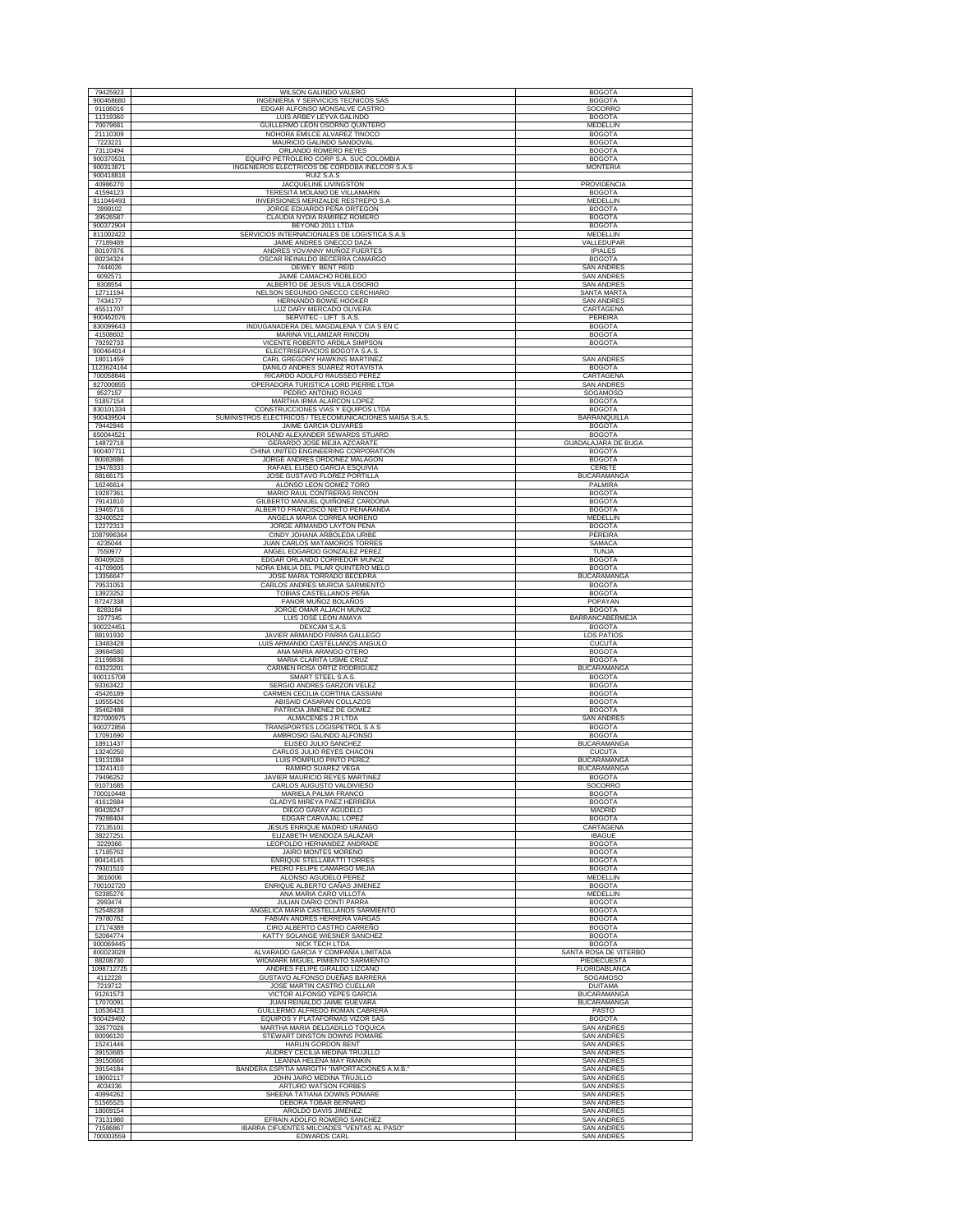| 79425923              | <b>WILSON GALINDO VALERO</b>                                               | <b>BOGOTA</b>                           |
|-----------------------|----------------------------------------------------------------------------|-----------------------------------------|
| 900468680             | INGENIERIA Y SERVICIOS TECNICOS SAS                                        | <b>BOGOTA</b>                           |
| 91106016<br>11319360  | EDGAR ALFONSO MONSALVE CASTRO                                              | SOCORRO                                 |
| 70079681              | LUIS ARBEY LEYVA GALINDO<br>GUILLERMO LEON OSORNO QUINTERO                 | <b>BOGOTA</b><br>MEDELLIN               |
| 21110309              | NOHORA EMILCE ALVAREZ TINOCO                                               | <b>BOGOTA</b>                           |
| 7223221               | MAURICIO GALINDO SANDOVAL                                                  | <b>BOGOTA</b>                           |
| 73110494              | ORLANDO ROMERO REYES                                                       | <b>BOGOTA</b>                           |
| 900370531             | EQUIPO PETROLERO CORP S.A. SUC COLOMBIA                                    | <b>BOGOTA</b>                           |
| 900313871             | INGENIEROS ELECTRICOS DE CORDOBA INELCOR S.A.S                             | <b>MONTERIA</b>                         |
| 900418816             | RUIZ S.A.S                                                                 |                                         |
| 40986270              | <b>JACQUELINE LIVINGSTON</b>                                               | PROVIDENCIA                             |
| 41594123              | TERESITA MOLANO DE VILLAMARIN                                              | <b>BOGOTA</b>                           |
| 811046493             | INVERSIONES MERIZALDE RESTREPO S.A                                         | MEDELLIN                                |
| 2899102               | JORGE EDUARDO PEÑA ORTEGON                                                 | <b>BOGOTA</b>                           |
| 39526587              | CLAUDIA NYDIA RAMIREZ ROMERO                                               | <b>BOGOTA</b>                           |
| 900372904             | BEYOND 2011 LTDA                                                           | <b>BOGOTA</b>                           |
| 811002422             | SERVICIOS INTERNACIONALES DE LOGISTICA S.A.S                               | MEDELLIN                                |
| 77189489              | JAIME ANDRES GNECCO DAZA                                                   | VALLEDUPAR                              |
| 80197876              | ANDRES YOVANNY MUÑOZ FUERTES                                               | <b>IPIALES</b>                          |
| 80234324              | OSCAR REINALDO BECERRA CAMARGO                                             | <b>BOGOTA</b>                           |
| 7444026<br>6092571    | <b>DEWEY BENT REID</b>                                                     | <b>SAN ANDRES</b>                       |
| 8308554               | JAIME CAMACHO ROBLEDO                                                      | <b>SAN ANDRES</b>                       |
| 12711194              | ALBERTO DE JESUS VILLA OSORIO<br>NELSON SEGUNDO GNECCO CERCHIARO           | <b>SAN ANDRES</b><br><b>SANTA MARTA</b> |
| 7434177               | HERNANDO BOWIE HOOKER                                                      | <b>SAN ANDRES</b>                       |
| 45511707              | LUZ DARY MERCADO OLIVERA                                                   | CARTAGENA                               |
| 900462076             | SERVITEC - LIFT S.A.S.                                                     | PEREIRA                                 |
| 830099643             | INDUGANADERA DEL MAGDALENA Y CIA S EN C                                    | <b>BOGOTA</b>                           |
| 41508602              | MARINA VILLAMIZAR RINCON                                                   | <b>BOGOTA</b>                           |
| 79292733              | VICENTE ROBERTO ARDILA SIMPSON                                             | <b>BOGOTA</b>                           |
| 900464014             | ELECTRISERVICIOS BOGOTA S.A.S.                                             |                                         |
| 18011459              | CARL GREGORY HAWKINS MARTINEZ                                              | <b>SAN ANDRES</b>                       |
| 1123624164            | DANILO ANDRES SUAREZ ROTAVISTA                                             | <b>BOGOTA</b>                           |
| 700058846             | RICARDO ADOLFO RAUSSEO PEREZ                                               | CARTAGENA                               |
| 827000855             | OPERADORA TURISTICA LORD PIERRE LTDA                                       | SAN ANDRES                              |
| 9527157               | PEDRO ANTONIO ROJAS                                                        | SOGAMOSO                                |
| 51857154              | MARTHA IRMA ALARCON LOPEZ                                                  | <b>BOGOTA</b>                           |
| 830101334             | CONSTRUCCIONES VIAS Y EQUIPOS LTDA                                         | <b>BOGOTA</b>                           |
| 900439504             | SUMINISTROS ELECTRICOS / TELECOMUNICACIONES MAISA S.A.S.                   | <b>BARRANQUILLA</b>                     |
| 79442846<br>650044521 | JAIME GARCIA OLIVARES<br>ROLAND ALEXANDER SEWARDS STUARD                   | <b>BOGOTA</b><br><b>BOGOTA</b>          |
| 14872718              | GERARDO JOSE MEJIA AZCARATE                                                | <b>GUADALAJARA DE BUGA</b>              |
| 900407711             | CHINA UNITED ENGINEERING CORPORATION                                       | <b>BOGOTA</b>                           |
| 80083686              | JORGE ANDRES ORDOÑEZ MALAGON                                               | <b>BOGOTA</b>                           |
| 19478333              | RAFAEL ELISEO GARCIA ESQUIVIA                                              | CERETE                                  |
| 88166175              | JOSE GUSTAVO FLOREZ PORTILLA                                               | <b>BUCARAMANGA</b>                      |
| 16246614              | ALONSO LEON GOMEZ TORO                                                     | PALMIRA                                 |
| 19287361              | MARIO RAUL CONTRERAS RINCON                                                | <b>BOGOTA</b>                           |
| 79141810              | GILBERTO MANUEL QUIÑONEZ CARDONA                                           | <b>BOGOTA</b>                           |
| 19465716              | ALBERTO FRANCISCO NIETO PEÑARANDA                                          | <b>BOGOTA</b>                           |
| 32400522              | ANGELA MARIA CORREA MORENO                                                 | MEDELLIN                                |
| 12272313              | JORGE ARMANDO LAYTON PEÑA                                                  | <b>BOGOTA</b>                           |
| 1087996364            | CINDY JOHANA ARBOLEDA URIBE                                                | PEREIRA                                 |
| 4235044               | JUAN CARLOS MATAMOROS TORRES                                               | SAMACA                                  |
| 7550977               | ANGEL EDGARDO GONZALEZ PEREZ                                               | <b>TUNJA</b>                            |
| 80409028              | EDGAR ORLANDO CORREDOR MUÑOZ                                               | <b>BOGOTA</b>                           |
| 41709605              | NORA EMILIA DEL PILAR QUINTERO MELO                                        | <b>BOGOTA</b>                           |
| 13356647              | JOSE MARIA TORRADO BECERRA                                                 | <b>BUCARAMANGA</b>                      |
| 79531053<br>13923252  | CARLOS ANDRES MURCIA SARMIENTO<br>TOBIAS CASTELLANOS PEÑA                  | <b>BOGOTA</b><br><b>BOGOTA</b>          |
| 87247338              |                                                                            |                                         |
|                       |                                                                            |                                         |
|                       | FANOR MUÑOZ BOLAÑOS                                                        | POPAYAN                                 |
| 8283184               | JORGE OMAR ALJACH MUÑOZ                                                    | <b>BOGOTA</b>                           |
| 1977345               | LUIS JOSE LEON AMAYA                                                       | BARRANCABERMEJA                         |
| 900224451             | DEXCAM S.A.S                                                               | <b>BOGOTA</b>                           |
| 88191930<br>13483428  | JAVIER ARMANDO PARRA GALLEGO                                               | LOS PATIOS                              |
| 39684580              | LUIS ARMANDO CASTELLANOS ANGULO<br>ANA MARIA ARANGO OTERO                  | <b>CUCUTA</b><br><b>BOGOTA</b>          |
| 21199836              | MARIA CLARITA USME CRUZ                                                    | <b>BOGOTA</b>                           |
| 63323201              | CARMEN ROSA ORTIZ RODRIGUEZ                                                | <b>BUCARAMANGA</b>                      |
| 900115708             | SMART STEEL S.A.S                                                          | <b>BOGOTA</b>                           |
| 93363422              | SERGIO ANDRES GARZON VELEZ                                                 | <b>BOGOTA</b>                           |
| 45426189              | CARMEN CECILIA CORTINA CASSIANI                                            | <b>BOGOTA</b>                           |
| 10555426              | ABISAID CASARAN COLLAZOS                                                   | <b>BOGOTA</b>                           |
| 35462488              | PATRICIA JIMENEZ DE GOMEZ                                                  | <b>BOGOTA</b>                           |
| 827000975             | ALMACENES J.R LTDA                                                         | <b>SAN ANDRES</b>                       |
| 900272856             | TRANSPORTES LOGISPETROL S A S                                              | <b>BOGOTA</b>                           |
| 17091690              | AMBROSIO GALINDO ALFONSO                                                   | <b>BOGOTA</b>                           |
| 18911437<br>13240250  | ELISEO JULIO SANCHEZ<br>CARLOS JULIO REYES CHACON                          | <b>BUCARAMANGA</b><br><b>CUCUTA</b>     |
| 19131084              | LUIS POMPILIO PINTO PEREZ                                                  | <b>BUCARAMANGA</b>                      |
| 13241410              | RAMIRO SUAREZ VEGA                                                         | <b>BUCARAMANGA</b>                      |
| 79496252              | JAVIER MAURICIO REYES MARTINEZ                                             | <b>BOGOTA</b>                           |
| 91071685              | CARLOS AUGUSTO VALDIVIESO                                                  | SOCORRO                                 |
| 700010448             | MARIELA PALMA FRANCO                                                       | <b>BOGOTA</b>                           |
| 41612684              | <b>GLADYS MIREYA PAEZ HERRERA</b>                                          | <b>BOGOTA</b>                           |
| 80428247              | DIEGO GARAY AGUDELO                                                        | MADRID                                  |
| 79288404<br>72135101  | EDGAR CARVAJAL LOPEZ<br>JESUS ENRIQUE MADRID URANGO                        | <b>BOGOTA</b><br>CARTAGENA              |
| 38227251              |                                                                            |                                         |
| 3229366               | ELIZABETH MENDOZA SALAZAR<br>LEOPOLDO HERNANDEZ ANDRADE                    | <b>IBAGUE</b><br><b>BOGOTA</b>          |
| 17185762              | JAIRO MONTES MORENO                                                        | <b>BOGOTA</b>                           |
| 80414145              | ENRIQUE STELLABATTI TORRES                                                 | <b>BOGOTA</b>                           |
| 79301510              | PEDRO FELIPE CAMARGO MEJIA                                                 | <b>BOGOTA</b>                           |
| 3616006               | ALONSO AGUDELO PEREZ                                                       | MEDELLIN                                |
| 700102720             | ENRIQUE ALBERTO CAÑAS JIMENEZ                                              | <b>BOGOTA</b>                           |
| 52385276              | ANA MARIA CARO VILLOTA                                                     | MEDELLIN                                |
| 2993474               | JULIAN DARIO CONTI PARRA                                                   | <b>BOGOTA</b>                           |
| 52548238              | ANGELICA MARIA CASTELLANOS SARMIENTO                                       | <b>BOGOTA</b>                           |
| 79780782              | FABIAN ANDRES HERRERA VARGAS                                               | <b>BOGOTA</b>                           |
| 17174389              | CIRO ALBERTO CASTRO CARREÑO                                                | <b>BOGOTA</b>                           |
| 52084774<br>900069445 | KATTY SOLANGE WIESNER SANCHEZ                                              | <b>BOGOTA</b>                           |
| 800023028             | <b>NICK TECH LTDA</b><br>ALVARADO GARCIA Y COMPAÑÍA LIMITADA               | <b>BOGOTA</b><br>SANTA ROSA DE VITERBO  |
| 88208730              | WIDMARK MIGUEL PIMIENTO SARMIENTO                                          | PIEDECUESTA                             |
| 1098712725            | ANDRES FELIPE GIRALDO LIZCANO                                              | FLORIDABLANCA                           |
| 4112228               | GUSTAVO ALFONSO DUEÑAS BARRERA                                             | SOGAMOSO                                |
| 7219712               | JOSE MARTIN CASTRO CUELLAR                                                 | <b>DUITAMA</b>                          |
| 91261573              | VICTOR ALFONSO YEPES GARCIA                                                | <b>BUCARAMANGA</b>                      |
| 17070091              | JUAN REINALDO JAIME GUEVARA                                                | <b>BUCARAMANGA</b>                      |
| 10536423              | GUILLERMO ALFREDO ROMAN CABRERA                                            | PASTO                                   |
| 900429492             | EQUIPOS Y PLATAFORMAS VIZOR SAS                                            | <b>BOGOTA</b>                           |
| 32677026              | MARTHA MARIA DELGADILLO TOQUICA                                            | <b>SAN ANDRES</b>                       |
| 80096120              | STEWART DINSTON DOWNS POMARE                                               | SAN ANDRES                              |
| 15241446              | HARLIN GORDON BENT                                                         | <b>SAN ANDRES</b>                       |
| 39153685              | AUDREY CECILIA MEDINA TRUJILLO                                             | <b>SAN ANDRES</b>                       |
| 39150666              | LEANNA HELENA MAY RANKIN<br>BANDERA ESPITIA MARGITH "IMPORTACIONES A.M.B." | <b>SAN ANDRES</b><br><b>SAN ANDRES</b>  |
| 39154184<br>18002117  | JOHN JAIRO MEDINA TRUJILLO                                                 | <b>SAN ANDRES</b>                       |
| 4034336               | ARTURO WATSON FORBES                                                       | <b>SAN ANDRES</b>                       |
| 40994262              | SHEENA TATIANA DOWNS POMARE                                                | <b>SAN ANDRES</b>                       |
| 51565525              | DEBORA TOBAR BERNARD                                                       | <b>SAN ANDRES</b>                       |
| 18009154              | AROLDO DAVIS JIMENEZ                                                       | <b>SAN ANDRES</b>                       |
| 73131980              | EFRAIN ADOLFO ROMERO SANCHEZ                                               | <b>SAN ANDRES</b>                       |
| 71586867<br>700003559 | IBARRA CIFUENTES MILCIADES "VENTAS AL PASO"<br><b>EDWARDS CARL</b>         | <b>SAN ANDRES</b><br><b>SAN ANDRES</b>  |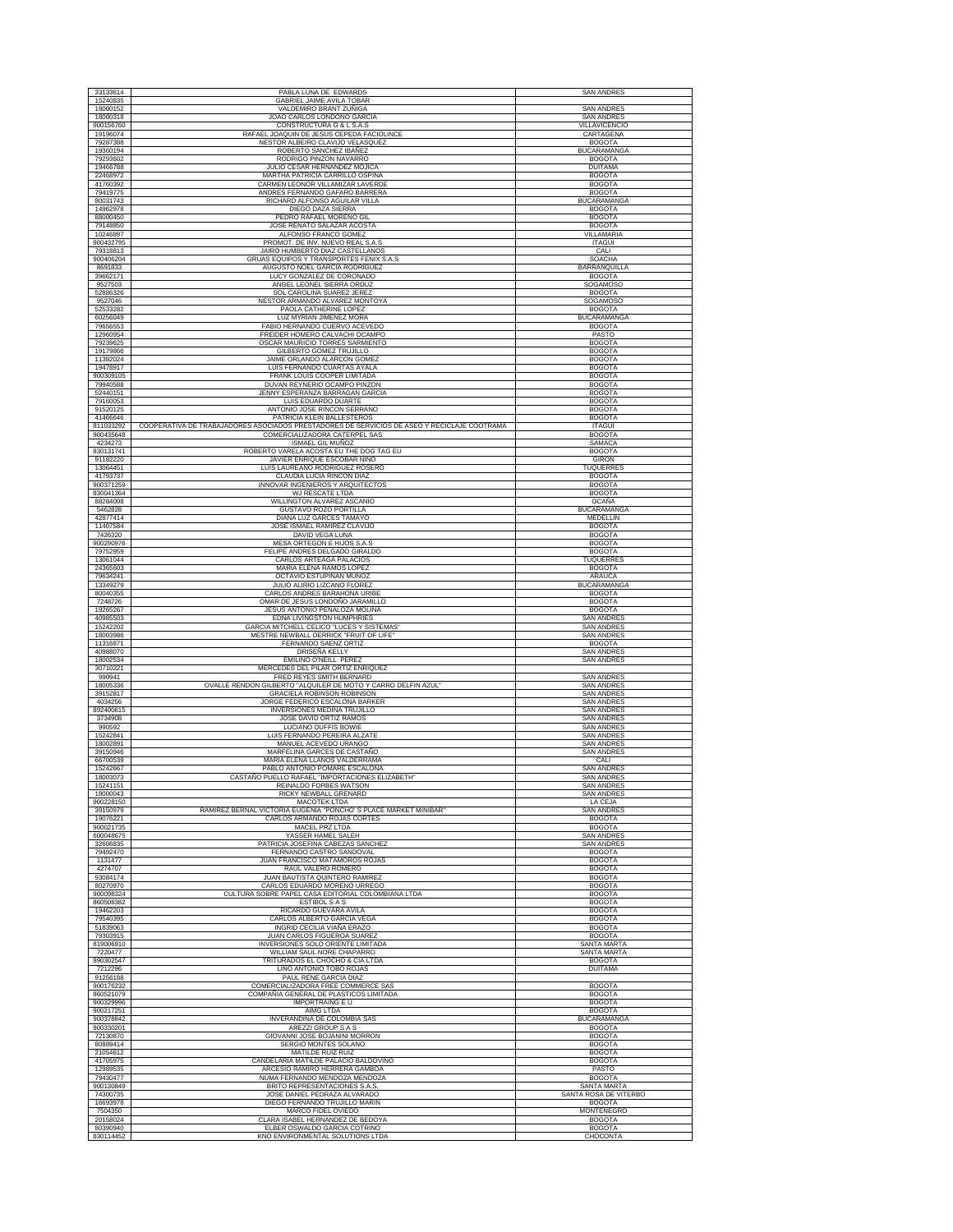| 33133614               | PABLA LUNA DE EDWARDS                                                                                                        | <b>SAN ANDRES</b>                      |
|------------------------|------------------------------------------------------------------------------------------------------------------------------|----------------------------------------|
| 15240835               | GABRIEL JAIME AVILA TOBAR                                                                                                    |                                        |
| 18000152<br>18000318   | VALDEMIRO BRANT ZUÑIGA                                                                                                       | <b>SAN ANDRES</b><br><b>SAN ANDRES</b> |
| 900156760              | JOAO CARLOS LONDOÑO GARCIA<br>CONSTRUCTURA G & L S.A.S                                                                       | VILLAVICENCIO                          |
| 19196074               | RAFAEL JOAQUIN DE JESUS CEPEDA FACIOLINCE                                                                                    | CARTAGENA                              |
| 79287388               | NESTOR ALBEIRO CLAVIJO VELASQUEZ                                                                                             | <b>BOGOTA</b>                          |
| 19360194<br>79293602   | ROBERTO SANCHEZ IBAÑEZ<br>RODRIGO PINZON NAVARRO                                                                             | <b>BUCARAMANGA</b><br><b>BOGOTA</b>    |
| 19466788               | JULIO CESAR HERNANDEZ MOJICA                                                                                                 | <b>DUITAMA</b>                         |
| 22468972               | MARTHA PATRICIA CARRILLO OSPINA                                                                                              | <b>BOGOTA</b>                          |
| 41760392<br>79419775   | CARMEN LEONOR VILLAMIZAR LAVERDE<br>ANDRES FERNANDO GAFARO BARRERA                                                           | <b>BOGOTA</b><br><b>BOGOTA</b>         |
| 80031743               | RICHARD ALFONSO AGUILAR VILLA                                                                                                | <b>BUCARAMANGA</b>                     |
| 14962978               | DIEGO DAZA SIERRA                                                                                                            | <b>BOGOTA</b>                          |
| 88000450<br>79148850   | PEDRO RAFAEL MORENO GIL<br>JOSE RENATO SALAZAR ACOSTA                                                                        | <b>BOGOTA</b><br><b>BOGOTA</b>         |
| 10246897               | ALFONSO FRANCO GOMEZ                                                                                                         | VILLAMARIA                             |
| 900432795              | PROMOT. DE INV. NUEVO REAL S.A.S                                                                                             | <b>ITAGUI</b>                          |
| 79318813               | JAIRO HUMBERTO DIAZ CASTELLANOS<br>GRUAS EQUIPOS Y TRANSPORTES FENIX S.A.S                                                   | CALI<br>SOACHA                         |
| 900406204<br>8691833   | AUGUSTO NOEL GARCIA RODRIGUEZ                                                                                                | BARRANQUILLA                           |
| 39662171               | LUCY GONZALEZ DE CORONADO                                                                                                    | <b>BOGOTA</b>                          |
| 9527503<br>52886326    | ANGEL LEONEL SIERRA ORDUZ<br>SOL CAROLINA SUAREZ JEREZ                                                                       | SOGAMOSO<br><b>BOGOTA</b>              |
| 9527046                | NESTOR ARMANDO ALVAREZ MONTOYA                                                                                               | <b>SOGAMOSO</b>                        |
| 52533282               | PAOLA CATHERINE LOPEZ                                                                                                        | <b>BOGOTA</b>                          |
| 60256049<br>79656553   | LUZ MYRIAN JIMENEZ MORA<br>FABIO HERNANDO CUERVO ACEVEDO                                                                     | <b>BUCARAMANGA</b><br><b>BOGOTA</b>    |
| 12960954               | FREIDER HOMERO CALVACHI OCAMPO                                                                                               | PASTO                                  |
| 79239625               | OSCAR MAURICIO TORRES SARMIENTO                                                                                              | <b>BOGOTA</b>                          |
| 19179866<br>11382024   | GILBERTO GOMEZ TRUJILLO<br>JAIME ORLANDO ALARCON GOMEZ                                                                       | <b>BOGOTA</b><br><b>BOGOTA</b>         |
| 19478917               | LUIS FERNANDO CUARTAS AYALA                                                                                                  | <b>BOGOTA</b>                          |
| 900309105              | FRANK LOUIS COOPER LIMITADA                                                                                                  | <b>BOGOTA</b>                          |
| 79940588               | DUVAN REYNERIO OCAMPO PINZON                                                                                                 | <b>BOGOTA</b>                          |
| 52440151<br>79160053   | JENNY ESPERANZA BARRAGAN GARCIA<br>LUIS EDUARDO DUARTE                                                                       | <b>BOGOTA</b><br><b>BOGOTA</b>         |
| 91520125               | ANTONIO JOSE RINCON SERRANO                                                                                                  | <b>BOGOTA</b>                          |
| 41466646               | PATRICIA KLEIN BALLESTEROS                                                                                                   | <b>BOGOTA</b>                          |
| 811033292<br>900435648 | COOPERATIVA DE TRABAJADORES ASOCIADOS PRESTADORES DE SERVICIOS DE ASEO Y RECICLAJE COOTRAMA<br>COMERCIALIZADORA CATERPEL SAS | <b>ITAGUI</b><br><b>BOGOTA</b>         |
| 4234273                | ISMAEL GIL MUÑOZ                                                                                                             | SAMACA                                 |
| 830131741              | ROBERTO VARELA ACOSTA EU THE DOG TAG EU                                                                                      | <b>BOGOTA</b>                          |
| 91182220<br>13064451   | JAVIER ENRIQUE ESCOBAR NIÑO<br>LUIS LAUREANO RODRIGUEZ ROSERO                                                                | <b>GIRON</b><br>TUQUERRES              |
| 41793737               | CLAUDIA LUCIA RINCON DIAZ                                                                                                    | <b>BOGOTA</b>                          |
| 900371259              | <b>INNOVAR INGENIEROS Y ARQUITECTOS</b>                                                                                      | <b>BOGOTA</b>                          |
| 830041364<br>88284008  | WJ RESCATE LTDA<br>WILLINGTON ALVAREZ ASCANIO                                                                                | <b>BOGOTA</b><br>OCAÑA                 |
| 5462828                | GUSTAVO ROZO PORTILLA                                                                                                        | <b>BUCARAMANGA</b>                     |
| 42877414               | DIANA LUZ GARCES TAMAYO                                                                                                      | MEDELLIN                               |
| 11407584<br>7426320    | JOSE ISMAEL RAMIREZ CLAVIJO<br>DAVID VEGA LUNA                                                                               | <b>BOGOTA</b><br><b>BOGOTA</b>         |
| 900290976              | MESA ORTEGON E HIJOS S.A.S                                                                                                   | <b>BOGOTA</b>                          |
| 79752959               | FELIPE ANDRES DELGADO GIRALDO                                                                                                | <b>BOGOTA</b>                          |
| 13061044<br>24365603   | CARLOS ARTEAGA PALACIOS<br>MARIA ELENA RAMOS LOPEZ                                                                           | <b>TUQUERRES</b><br><b>BOGOTA</b>      |
| 79634241               | OCTAVIO ESTUPIÑAN MUÑOZ                                                                                                      | ARAUCA                                 |
| 13349279               | JULIO ALIRIO LIZCANO FLOREZ                                                                                                  | <b>BUCARAMANGA</b>                     |
| 80040355<br>7248726    | CARLOS ANDRES BARAHONA URIBE                                                                                                 | <b>BOGOTA</b><br><b>BOGOTA</b>         |
| 19265267               | OMAR DE JESUS LONDOÑO JARAMILLO<br>JESUS ANTONIO PEÑALOZA MOLINA                                                             | <b>BOGOTA</b>                          |
| 40985503               | EDNA LIVINGSTON HUMPHRIES                                                                                                    | <b>SAN ANDRES</b>                      |
| 15242202               | GARCIA MITCHELL CELICO "LUCES Y SISTEMAS'                                                                                    | <b>SAN ANDRES</b>                      |
| 18003986<br>11316871   | MESTRE NEWBALL DERRICK "FRUIT OF LIFE"<br>FERNANDO SAENZ ORTIZ                                                               | <b>SAN ANDRES</b><br><b>BOGOTA</b>     |
| 40988070               | DRISEÑA KELLY                                                                                                                | <b>SAN ANDRES</b>                      |
| 18002534               | EMILINO O'NEILL PEREZ                                                                                                        | <b>SAN ANDRES</b>                      |
| 30710221<br>990941     | MERCEDES DEL PILAR ORTIZ ENRIQUEZ<br>FRED REYES SMITH BERNARD                                                                | <b>SAN ANDRES</b>                      |
| 18005336               | OVALLE RENDON GILBERTO "ALQUILER DE MOTO Y CARRO DELFIN AZUL"                                                                | <b>SAN ANDRE</b>                       |
| 39152817<br>4034256    | <b>GRACIELA ROBINSON ROBINSON</b><br>JORGE FEDERICO ESCALONA BARKER                                                          | <b>SAN ANDRES</b><br><b>SAN ANDRES</b> |
| 892400615              | INVERSIONES MEDINA TRUJILLO                                                                                                  | <b>SAN ANDRES</b>                      |
| 3734908                | <b>JOSE DAVID ORTIZ RAMOS</b>                                                                                                | <b>SAN ANDRES</b>                      |
| 990592<br>15242841     | LUCIANO DUFFIS BOWIE<br>LUIS FERNANDO PEREIRA ALZATE                                                                         | <b>SAN ANDRES</b>                      |
| 18002891               | MANUEL ACEVEDO URANGO                                                                                                        | <b>SAN ANDRES</b><br><b>SAN ANDRES</b> |
| 39150946               | MARFELINA GARCES DE CASTAÑO                                                                                                  | <b>SAN ANDRES</b>                      |
| 66700539<br>15242667   | MARIA ELENA LLANOS VALDERRAMA<br>PABLO ANTONIO POMARE ESCALONA                                                               | CALI<br><b>SAN ANDRES</b>              |
| 18003073               | CASTAÑO PUELLO RAFAEL "IMPORTACIONES ELIZABETH"                                                                              | <b>SAN ANDRES</b>                      |
| 15241151               | REINALDO FORBES WATSON                                                                                                       | <b>SAN ANDRES</b>                      |
| 18000043<br>900228150  | RICKY NEWBALL GRENARD<br><b>MACOTEK LTDA</b>                                                                                 | <b>SAN ANDRES</b><br>LA CEJA           |
| 39150979               | RAMIREZ BERNAL VICTORIA EUGENIA "PONCHO' S PLACE MARKET MINIBAR"                                                             | <b>SAN ANDRES</b>                      |
| 19076221<br>900021735  | CARLOS ARMANDO ROJAS CORTES                                                                                                  | <b>BOGOTA</b>                          |
| 600048675              | MACEL PRZ LTDA<br>YASSER HAMEL SALEH                                                                                         | <b>BOGOTA</b><br><b>SAN ANDRES</b>     |
| 32606835               | PATRICIA JOSEFINA CABEZAS SANCHEZ                                                                                            | SAN ANDRE:                             |
| 79492470               | FERNANDO CASTRO SANDOVAL<br>JUAN FRANCISCO MATAMOROS ROJAS                                                                   | <b>BOGOTA</b><br><b>BOGOTA</b>         |
| 1131477<br>4274707     | RAUL VALERO ROMERO                                                                                                           | <b>BOGOTA</b>                          |
| 93084174               | JUAN BAUTISTA QUINTERO RAMIREZ                                                                                               | <b>BOGOTA</b>                          |
| 80270970<br>900098324  | CARLOS EDUARDO MORENO URREGO<br>CULTURA SOBRE PAPEL CASA EDITORIAL COLOMBIANA LTDA                                           | <b>BOGOTA</b><br><b>BOGOTA</b>         |
| 860508382              | <b>ESTIBOL S A S</b>                                                                                                         | <b>BOGOTA</b>                          |
| 19462203               | RICARDO GUEVARA AVILA                                                                                                        | <b>BOGOTA</b>                          |
| 79540395<br>51839063   | CARLOS ALBERTO GARCIA VEGA<br>INGRID CECILIA VIAÑA ERAZO                                                                     | <b>BOGOTA</b><br><b>BOGOTA</b>         |
| 79303915               | JUAN CARLOS FIGUEROA SUAREZ                                                                                                  | <b>BOGOTA</b>                          |
| 819006910              | INVERSIONES SOLO ORIENTE LIMITADA                                                                                            | SANTA MARTA                            |
| 7220477<br>890302547   | WILLIAM SAUL NORE CHAPARRO<br>TRITURADOS EL CHOCHO & CIA LTDA                                                                | SANTA MARTA<br><b>BOGOTA</b>           |
| 7212296                | LINO ANTONIO TOBO ROJAS                                                                                                      | <b>DUITAMA</b>                         |
| 91256188               | PAUL RENE GARCIA DIAZ                                                                                                        |                                        |
| 900176232<br>860521079 | COMERCIALIZADORA FREE COMMERCE SAS<br>COMPAÑIA GENERAL DE PLASTICOS LIMITADA                                                 | <b>BOGOTA</b><br><b>BOGOTA</b>         |
| 900329996              | IMPORTRAING E U                                                                                                              | <b>BOGOTA</b>                          |
| 900217251              | AIMG LTDA                                                                                                                    | <b>BOGOTA</b>                          |
| 900378842<br>900330201 | INVERANDINA DE COLOMBIA SAS<br>AREZZI GROUP S A S                                                                            | <b>BUCARAMANGA</b><br><b>BOGOTA</b>    |
| 72130870               | GIOVANNI JOSE BOJANINI MORRON                                                                                                | <b>BOGOTA</b>                          |
| 80889414               | SERGIO MONTES SOLANO                                                                                                         | <b>BOGOTA</b>                          |
| 21054612<br>41705975   | MATILDE RUIZ RUIZ<br>CANDELARIA MATILDE PALACIO BALDOVINO                                                                    | <b>BOGOTA</b><br><b>BOGOTA</b>         |
| 12989535               | ARCESIO RAMIRO HERRERA GAMBOA                                                                                                | PASTO                                  |
| 79430477               | NUMA FERNANDO MENDOZA MENDOZA                                                                                                | <b>BOGOTA</b>                          |
| 900130849<br>74300735  | BRITO REPRESENTACIONES S.A.S.<br>JOSE DANIEL PEDRAZA ALVARADO                                                                | SANTA MARTA<br>SANTA ROSA DE VITERBO   |
| 16693978               | DIEGO FERNANDO TRUJILLO MARIN                                                                                                | <b>BOGOTA</b>                          |
| 7504350                | MARCO FIDEL OVIEDO                                                                                                           | <b>MONTENEGRO</b>                      |
| 20158024<br>80390940   | CLARA ISABEL HERNANDEZ DE BEDOYA<br>ELBER OSWALDO GARCIA COTRINO                                                             | <b>BOGOTA</b><br><b>BOGOTA</b>         |
| 830114452              | KNO ENVIRONMENTAL SOLUTIONS LTDA                                                                                             | CHOCONTA                               |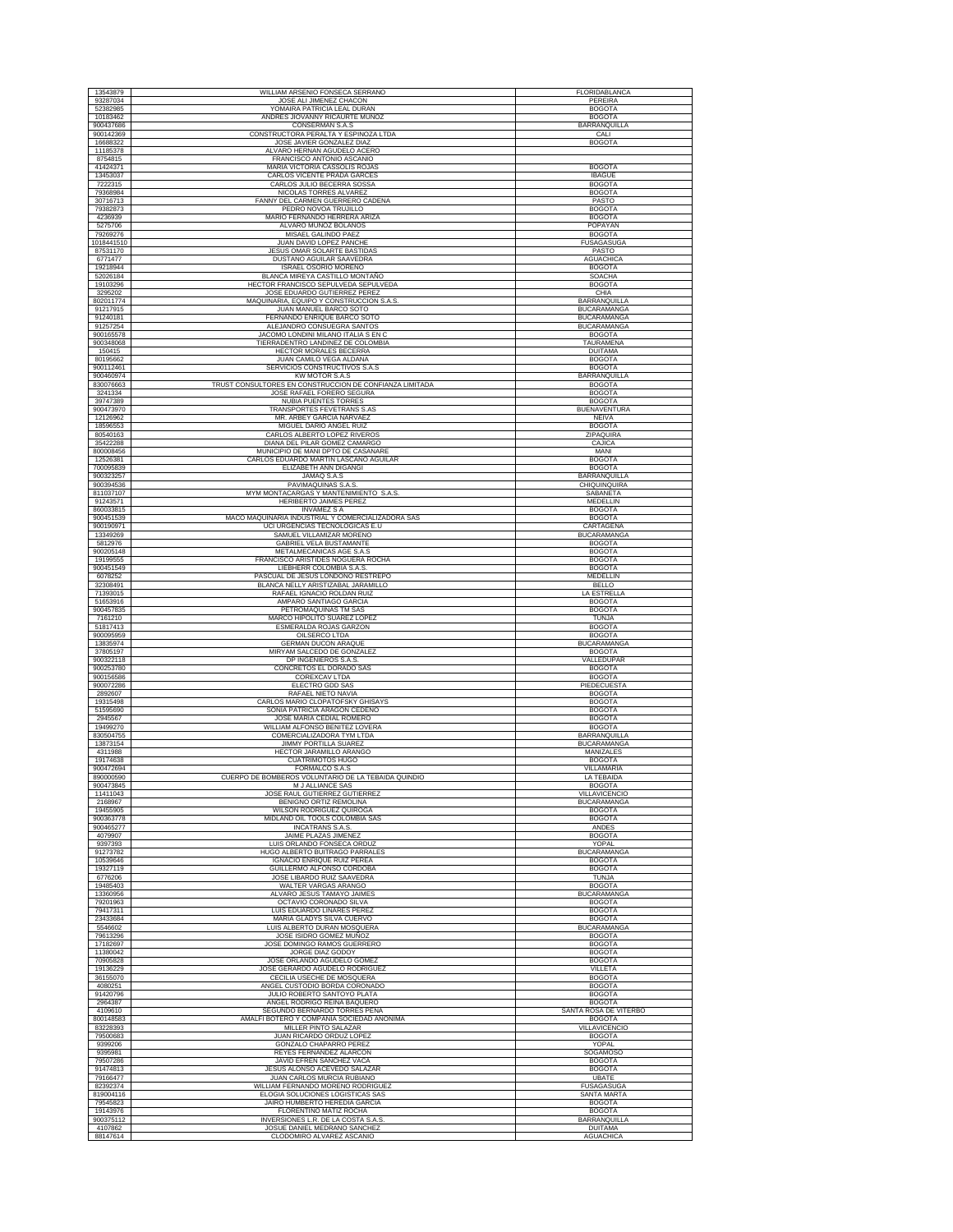| 13543879<br>93287034   |                                                                       |                                         |
|------------------------|-----------------------------------------------------------------------|-----------------------------------------|
|                        | WILLIAM ARSENIO FONSECA SERRANO                                       | FLORIDABLANCA                           |
|                        | JOSE ALI JIMENEZ CHACON                                               | PEREIRA                                 |
| 52382985               | YOMAIRA PATRICIA LEAL DURAN                                           | <b>BOGOTA</b>                           |
| 10183462               | ANDRES JIOVANNY RICAURTE MUÑOZ                                        | <b>BOGOTA</b>                           |
| 900437686              | CONSERMAN S.A.S                                                       | BARRANQUILLA                            |
| 900142369<br>16688322  | CONSTRUCTORA PERALTA Y ESPINOZA LTDA<br>JOSE JAVIER GONZALEZ DIAZ     | CALI<br><b>BOGOTA</b>                   |
| 11185378               | ALVARO HERNAN AGUDELO ACERO                                           |                                         |
| 8754815                | FRANCISCO ANTONIO ASCANIO                                             |                                         |
| 41424371               | MARIA VICTORIA CASSOLIS ROJAS                                         | <b>BOGOTA</b>                           |
| 13453037               | CARLOS VICENTE PRADA GARCES                                           | <b>IBAGUE</b>                           |
| 7222315                | CARLOS JULIO BECERRA SOSSA                                            | <b>BOGOTA</b>                           |
| 79368984               | NICOLAS TORRES ALVAREZ                                                | <b>BOGOTA</b>                           |
| 30716713               | FANNY DEL CARMEN GUERRERO CADENA                                      | PASTO                                   |
| 79382873               | PEDRO NOVOA TRUJILLO                                                  | <b>BOGOTA</b>                           |
| 4236939                | MARIO FERNANDO HERRERA ARIZA                                          | <b>BOGOTA</b>                           |
| 5275706                | ALVARO MUÑOZ BOLAÑOS                                                  | POPAYAN                                 |
| 79269276               | MISAEL GALINDO PAEZ                                                   | <b>BOGOTA</b>                           |
| 1018441510             | JUAN DAVID LOPEZ PANCHE                                               | <b>FUSAGASUGA</b>                       |
| 87531170<br>6771477    | JESUS OMAR SOLARTE BASTIDAS<br>DUSTANO AGUILAR SAAVEDRA               | PASTO<br><b>AGUACHICA</b>               |
| 19218944               | ISRAEL OSORIO MORENO                                                  | <b>BOGOTA</b>                           |
| 52026184               | BLANCA MIREYA CASTILLO MONTAÑO                                        | <b>SOACHA</b>                           |
| 19103296               | HECTOR FRANCISCO SEPULVEDA SEPULVEDA                                  | <b>BOGOTA</b>                           |
| 3295202                | JOSE EDUARDO GUTIERREZ PEREZ                                          | CHIA                                    |
| 802011774              | MAQUINARIA, EQUIPO Y CONSTRUCCION S.A.S.                              | <b>BARRANQUILLA</b>                     |
| 91217915               | JUAN MANUEL BARCO SOTO                                                | BUCARAMANGA                             |
| 91240181               | FERNANDO ENRIQUE BARCO SOTO                                           | <b>BUCARAMANGA</b>                      |
| 91257254<br>900165578  | ALEJANDRO CONSUEGRA SANTOS<br>JACOMO LONDINI MILANO ITALIA S EN C     | <b>BUCARAMANGA</b><br><b>BOGOTA</b>     |
| 900348068              | TIERRADENTRO LANDINEZ DE COLOMBIA                                     | TAURAMENA                               |
| 150415                 | HECTOR MORALES BECERRA                                                | <b>DUITAMA</b>                          |
| 80195662               | JUAN CAMILO VEGA ALDANA                                               | <b>BOGOTA</b>                           |
| 900112461              | SERVICIOS CONSTRUCTIVOS S.A.S                                         | <b>BOGOTA</b>                           |
| 900460974              | <b>KW MOTOR S.A.S</b>                                                 | <b>BARRANQUILLA</b>                     |
| 830076663              | TRUST CONSULTORES EN CONSTRUCCION DE CONFIANZA LIMITADA               | <b>BOGOTA</b>                           |
| 3241334                | JOSE RAFAEL FORERO SEGURA                                             | <b>BOGOTA</b>                           |
| 39747389               | NUBIA PUENTES TORRES                                                  | <b>BOGOTA</b>                           |
| 900473970<br>12126962  | TRANSPORTES FEVETRANS S.AS                                            | <b>BUENAVENTURA</b><br><b>NEIVA</b>     |
| 18596553               | MR. ARBEY GARCIA NARVAEZ<br>MIGUEL DARIO ANGEL RUIZ                   | <b>BOGOTA</b>                           |
| 80540163               | CARLOS ALBERTO LOPEZ RIVEROS                                          | <b>ZIPAQUIRA</b>                        |
| 35422288               | DIANA DEL PILAR GOMEZ CAMARGO                                         | CAJICA                                  |
| 800008456              | MUNICIPIO DE MANI DPTO DE CASANARE                                    | MANI                                    |
| 12526381               | CARLOS EDUARDO MARTIN LASCANO AGUILAR                                 | BOGOTA                                  |
| 700095839              | ELIZABETH ANN DIGANGI                                                 | <b>BOGOTA</b>                           |
| 900323257              | JAMAQ S.A.S                                                           | <b>BARRANQUILLA</b>                     |
| 900394536<br>811037107 | PAVIMAQUINAS S.A.S.<br>MYM MONTACARGAS Y MANTENIMIENTO S.A.S          | CHIQUINQUIRA<br>SABANETA                |
| 91243571               | HERIBERTO JAIMES PEREZ                                                | MEDELLIN                                |
| 860033815              | <b>INVAMEZ S A</b>                                                    | <b>BOGOTA</b>                           |
| 900451539              | MACO MAQUINARIA INDUSTRIAL Y COMERCIALIZADORA SAS                     | <b>BOGOTA</b>                           |
| 900190971              | UCI URGENCIAS TECNOLOGICAS E.U                                        | CARTAGENA                               |
| 13349269<br>5812976    | SAMUEL VILLAMIZAR MORENO<br><b>GABRIEL VELA BUSTAMANTE</b>            | <b>BUCARAMANGA</b><br><b>BOGOTA</b>     |
| 900205148              | METALMECANICAS AGE S.A.S                                              | <b>BOGOTA</b>                           |
| 19199555               | FRANCISCO ARISTIDES NOGUERA ROCHA                                     | <b>BOGOTA</b>                           |
| 900451549              | LIEBHERR COLOMBIA S.A.S.                                              | <b>BOGOTA</b>                           |
| 6078252                | PASCUAL DE JESUS LONDOÑO RESTREPO                                     | MEDELLIN                                |
| 32308491               | BLANCA NELLY ARISTIZABAL JARAMILLO                                    | <b>BELLO</b>                            |
| 71393015               | RAFAEL IGNACIO ROLDAN RUIZ                                            | <b>LA ESTRELLA</b>                      |
| 51653916<br>900457835  | AMPARO SANTIAGO GARCIA<br>PETROMAQUINAS TM SAS                        | <b>BOGOTA</b><br><b>BOGOTA</b>          |
| 7161210                | MARCO HIPOLITO SUAREZ LOPEZ                                           | TUNJA                                   |
| 51817413               | ESMERALDA ROJAS GARZON                                                | <b>BOGOTA</b>                           |
| 900095959              | OILSERCO LTDA                                                         | <b>BOGOTA</b>                           |
| 13835974               | <b>GERMAN DUCON ARAQUE</b>                                            | BUCARAMANGA                             |
| 37805197<br>900322118  | MIRYAM SALCEDO DE GONZALEZ<br>DP INGENIEROS S.A.S                     | <b>BOGOTA</b><br>VALLEDUPAR             |
| 900253780              | CONCRETOS EL DORADO SAS                                               | <b>BOGOTA</b>                           |
| 900156586              | COREXCAV LTDA                                                         | <b>BOGOTA</b>                           |
| 900072286              | ELECTRO GDD SAS                                                       | PIEDECUESTA                             |
| 2892607                | RAFAEL NIETO NAVIA                                                    |                                         |
|                        |                                                                       | <b>BOGOTA</b>                           |
| 19315498               | CARLOS MARIO CLOPATOFSKY GHISAYS                                      | <b>BOGOTA</b>                           |
| 51595690               | SONIA PATRICIA ARAGON CEDEÑO                                          | <b>BOGOTA</b>                           |
| 2945567<br>19499270    | JOSE MARIA CEDIAL ROMERO<br>WILLIAM ALFONSO BENITEZ LOVERA            | <b>BOGOTA</b><br><b>BOGOTA</b>          |
| 830504755              | COMERCIALIZADORA TYM LTDA                                             | BARRANQUILLA                            |
| 13873154               | <b>JIMMY PORTILLA SUAREZ</b>                                          | <b>BUCARAMANGA</b>                      |
| 4311988                | HECTOR JARAMILLO ARANGO                                               | MANIZALES                               |
| 19174638               | <b>CUATRIMOTOS HUGO</b>                                               | <b>BOGOTA</b><br>VILLAMARIA             |
| 900472694<br>890000590 | FORMALCO S.A.S<br>CUERPO DE BOMBEROS VOLUNTARIO DE LA TEBAIDA QUINDIO | LA TEBAIDA                              |
| 900473845              | M J ALLIANCE SAS                                                      | <b>BOGOTA</b>                           |
| 11411043               | JOSE RAUL GUTIERREZ GUTIERREZ                                         | VILLAVICENCIO                           |
| 2168967                | BENIGNO ORTIZ REMOLINA                                                | <b>BUCARAMANGA</b>                      |
| 19455905<br>900363778  | WILSON RODRIGUEZ QUIROGA<br>MIDLAND OIL TOOLS COLOMBIA SAS            | <b>BOGOTA</b><br><b>BOGOTA</b>          |
| 900465277              | INCATRANS S.A.S.                                                      | ANDES                                   |
| 4079907                | JAIME PLAZAS JIMENEZ                                                  | <b>BOGOTA</b>                           |
| 9397393                | LUIS ORLANDO FONSECA ORDUZ                                            | YOPAL                                   |
| 91273782               | HUGO ALBERTO BUITRAGO PARRALES                                        | <b>BUCARAMANGA</b>                      |
| 10539646<br>19327119   | IGNACIO ENRIQUE RUIZ PEREA<br>GUILLERMO ALFONSO CORDOBA               | <b>BOGOTA</b><br><b>BOGOTA</b>          |
| 6776206                | JOSE LIBARDO RUIZ SAAVEDRA                                            | TUN.IA                                  |
| 19485403               | WALTER VARGAS ARANGO                                                  | <b>BOGOTA</b>                           |
| 13360956               | ALVARO JESUS TAMAYO JAIMES                                            | <b>BUCARAMANGA</b>                      |
| 79201963               | OCTAVIO CORONADO SILVA                                                | <b>BOGOTA</b>                           |
| 79417311               | LUIS EDUARDO LINARES PEREZ                                            | <b>BOGOTA</b><br><b>BOGOTA</b>          |
| 23433684<br>5546602    | MARIA GLADYS SILVA CUERVO<br><b>LUIS ALBERTO DURAN MOSOUFRA</b>       | <b>BUCARAMANGA</b>                      |
| 79613296               | JOSE ISIDRO GOMEZ MUÑOZ                                               | <b>BOGOTA</b>                           |
| 17182697               | JOSE DOMINGO RAMOS GUERRERO                                           | <b>BOGOTA</b>                           |
| 11380042               | JORGE DIAZ GODOY                                                      | <b>BOGOTA</b>                           |
| 70905828               | JOSE ORLANDO AGUDELO GOMEZ                                            | <b>BOGOTA</b>                           |
| 19136229<br>36155070   | JOSE GERARDO AGUDELO RODRIGUEZ<br>CECILIA USECHE DE MOSQUERA          | VILLETA                                 |
| 4080251                | ANGEL CUSTODIO BORDA CORONADO                                         | <b>BOGOTA</b><br><b>BOGOTA</b>          |
| 91420796               | JULIO ROBERTO SANTOYO PLATA                                           | <b>BOGOTA</b>                           |
| 2964387                | ANGEL RODRIGO REINA BAQUERO                                           | <b>BOGOTA</b>                           |
| 4109610                | SEGUNDO BERNARDO TORRES PEÑA                                          | SANTA ROSA DE VITERBO                   |
| 800148583              | AMALFI BOTERO Y COMPAÑIA SOCIEDAD ANONIMA                             | <b>BOGOTA</b>                           |
| 83228393<br>79500683   | <b>MILLER PINTO SALAZAR</b><br>JUAN RICARDO ORDUZ LOPEZ               | <b>VILLAVICENCIO</b><br><b>BOGOTA</b>   |
| 9399206                | GONZALO CHAPARRO PEREZ                                                | YOPAL                                   |
| 9395981                | REYES FERNANDEZ ALARCON                                               | SOGAMOSO                                |
| 79507286               | JAVID EFREN SANCHEZ VACA                                              | <b>BOGOTA</b>                           |
| 91474813               | JESUS ALONSO ACEVEDO SALAZAR                                          | <b>BOGOTA</b>                           |
| 79166477<br>82392374   | JUAN CARLOS MURCIA RUBIANO<br>WILLIAM FERNANDO MORENO RODRIGUEZ       | <b>UBATE</b>                            |
| 819004116              | ELOGIA SOLUCIONES LOGISTICAS SAS                                      | <b>FUSAGASUGA</b><br><b>SANTA MARTA</b> |
| 79545823               | JAIRO HUMBERTO HEREDIA GARCIA                                         | <b>BOGOTA</b>                           |
| 19143976               | FLORENTINO MATIZ ROCHA                                                | <b>BOGOTA</b>                           |
| 900375112<br>4107862   | INVERSIONES L.R. DE LA COSTA S.A.S.<br>JOSUE DANIEL MEDRANO SANCHEZ   | BARRANQUILLA<br><b>DUITAMA</b>          |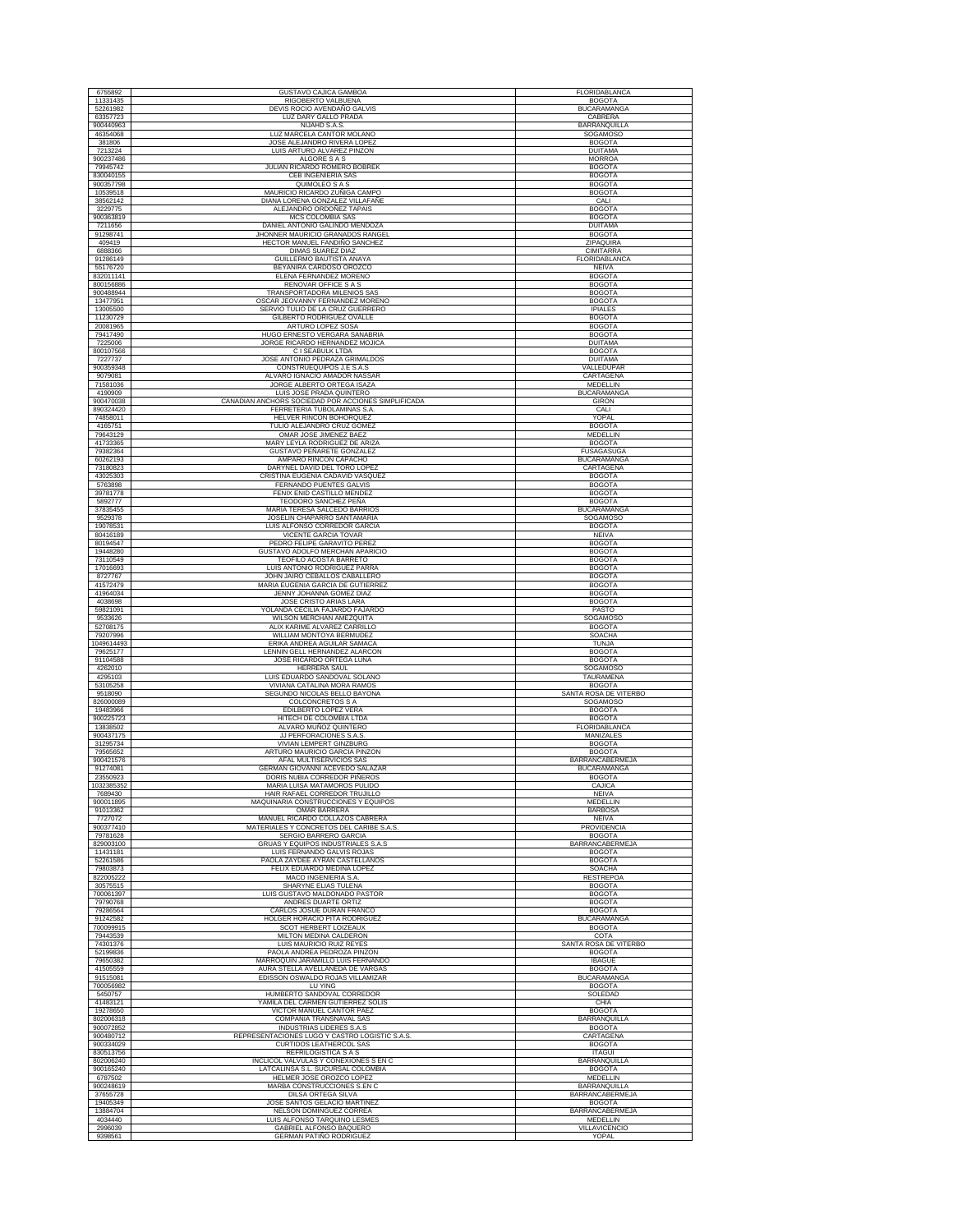| 6755892                | <b>GUSTAVO CAJICA GAMBOA</b>                                                       | FLORIDABLANCA                          |
|------------------------|------------------------------------------------------------------------------------|----------------------------------------|
| 11331435               | RIGOBERTO VALBUENA                                                                 | <b>BOGOTA</b>                          |
| 52261982               | DEVIS ROCIO AVENDAÑO GALVIS                                                        | <b>BUCARAMANGA</b>                     |
| 63357723               | LUZ DARY GALLO PRADA                                                               | CABRERA                                |
| 900440963              | NIJAHD S.A.S.                                                                      | BARRANQUILLA                           |
| 46354068               | LUZ MARCELA CANTOR MOLANO                                                          | SOGAMOSO                               |
| 381806<br>7213224      | JOSE ALEJANDRO RIVERA LOPEZ<br>LUIS ARTURO ALVAREZ PINZON                          | <b>BOGOTA</b><br><b>DUITAMA</b>        |
| 900237486              | ALGORE S A S                                                                       | <b>MORROA</b>                          |
| 79945742               | JULIAN RICARDO ROMERO BOBREK                                                       | <b>BOGOTA</b>                          |
| 830040155              | <b>CEB INGENIERIA SAS</b>                                                          | <b>BOGOTA</b>                          |
| 900357798              | QUIMOLEO S A S                                                                     | <b>BOGOTA</b>                          |
| 10539518<br>38562142   | MAURICIO RICARDO ZUÑIGA CAMPO<br>DIANA LORENA GONZALEZ VILLAFAÑE                   | <b>BOGOTA</b><br>CALI                  |
| 3229775                | ALEJANDRO ORDOÑEZ TAPAIS                                                           | <b>BOGOTA</b>                          |
| 900363819              | MCS COLOMBIA SAS                                                                   | <b>BOGOTA</b>                          |
| 7211656                | DANIEL ANTONIO GALINDO MENDOZA                                                     | <b>DUITAMA</b>                         |
| 91298741               | JHONNER MAURICIO GRANADOS RANGEL                                                   | <b>BOGOTA</b>                          |
| 409419<br>6888366      | HECTOR MANUEL FANDIÑO SANCHEZ<br><b>DIMAS SUAREZ DIAZ</b>                          | ZIPAQUIRA<br><b>CIMITARRA</b>          |
| 91286149               | GUILLERMO BAUTISTA ANAYA                                                           | FLORIDABLANCA                          |
| 55176720               | BEYANIRA CARDOSO OROZCO                                                            | <b>NEIVA</b>                           |
| 832011141              | ELENA FERNANDEZ MORENO                                                             | <b>BOGOTA</b>                          |
| 800156886              | RENOVAR OFFICE S A S                                                               | <b>BOGOTA</b>                          |
| 900488944              | TRANSPORTADORA MILENIOS SAS                                                        | <b>BOGOTA</b><br><b>BOGOTA</b>         |
| 13477951<br>13005500   | OSCAR JEOVANNY FERNANDEZ MORENO<br>SERVIO TULIO DE LA CRUZ GUERRERO                | <b>IPIALES</b>                         |
| 11230729               | GILBERTO RODRIGUEZ OVALLE                                                          | <b>BOGOTA</b>                          |
| 20081965               | ARTURO LOPEZ SOSA                                                                  | <b>BOGOTA</b>                          |
| 79417490               | HUGO ERNESTO VERGARA SANABRIA                                                      | <b>BOGOTA</b>                          |
| 7225006                | JORGE RICARDO HERNANDEZ MOJICA                                                     | <b>DUITAMA</b>                         |
| 800107566<br>7227737   | C I SEABULK LTDA<br>JOSE ANTONIO PEDRAZA GRIMALDOS                                 | <b>BOGOTA</b><br><b>DUITAMA</b>        |
| 900359348              | CONSTRUEQUIPOS J.E S.A.S                                                           | VALLEDUPAR                             |
| 9079081                | ALVARO IGNACIO AMADOR NASSAR                                                       | CARTAGENA                              |
| 71581036               | JORGE ALBERTO ORTEGA ISAZA                                                         | MEDELLIN                               |
| 4190909                | LUIS JOSE PRADA QUINTERO                                                           | <b>BUCARAMANGA</b>                     |
| 900470038<br>890324420 | CANADIAN ANCHORS SOCIEDAD POR ACCIONES SIMPLIFICADA<br>FERRETERIA TUBOLAMINAS S.A. | GIRON<br>CALI                          |
| 74858011               | HELVER RINCON BOHORQUEZ                                                            | YOPAL                                  |
| 4165751                | TULIO ALEJANDRO CRUZ GOMEZ                                                         | <b>BOGOTA</b>                          |
| 79643129               | OMAR JOSE JIMENEZ BAEZ                                                             | <b>MEDELLIN</b>                        |
| 41733365               | MARY LEYLA RODRIGUEZ DE ARIZA                                                      | <b>BOGOTA</b>                          |
| 79382364               | GUSTAVO PEÑARETE GONZALEZ                                                          | <b>FUSAGASUGA</b>                      |
| 60262193<br>73180823   | AMPARO RINCON CAPACHO<br>DARYNEL DAVID DEL TORO LOPEZ                              | <b>BUCARAMANGA</b><br>CARTAGENA        |
| 43025303               | CRISTINA EUGENIA CADAVID VASQUEZ                                                   | <b>BOGOTA</b>                          |
| 5763898                | FERNANDO PUENTES GALVIS                                                            | <b>BOGOTA</b>                          |
| 39781778               | FENIX ENID CASTILLO MENDEZ                                                         | <b>BOGOTA</b>                          |
| 5892777                | TEODORO SANCHEZ PEÑA                                                               | <b>BOGOTA</b>                          |
| 37835455<br>9529378    | MARIA TERESA SALCEDO BARRIOS<br>JOSELIN CHAPARRO SANTAMARIA                        | <b>BUCARAMANGA</b>                     |
| 19078531               | LUIS ALFONSO CORREDOR GARCIA                                                       | SOGAMOSO<br><b>BOGOTA</b>              |
| 80416189               | VICENTE GARCIA TOVAR                                                               | <b>NEIVA</b>                           |
| 80194547               | PEDRO FELIPE GARAVITO PEREZ                                                        | <b>BOGOTA</b>                          |
| 19448280               | GUSTAVO ADOLFO MERCHAN APARICIO                                                    | <b>BOGOTA</b>                          |
| 73110549<br>17016693   | TEOFILO ACOSTA BARRETO<br>LUIS ANTONIO RODRIGUEZ PARRA                             | <b>BOGOTA</b><br><b>BOGOTA</b>         |
| 8727767                | JOHN JAIRO CEBALLOS CABALLERO                                                      | <b>BOGOTA</b>                          |
| 41572479               | MARIA EUGENIA GARCIA DE GUTIERREZ                                                  | <b>BOGOTA</b>                          |
| 41964034               | JENNY JOHANNA GOMEZ DIAZ                                                           | <b>BOGOTA</b>                          |
| 4038698                | JOSE CRISTO ARIAS LARA                                                             | <b>BOGOTA</b>                          |
| 59821091               | YOLANDA CECILIA FAJARDO FAJARDO                                                    | PASTO                                  |
| 9533626<br>52708175    | WILSON MERCHAN AMEZQUITA<br>ALIX KARIME ALVAREZ CARRILLO                           | SOGAMOSO<br><b>BOGOTA</b>              |
| 79207996               | WILLIAM MONTOYA BERMUDEZ                                                           | SOACHA                                 |
| 1049614493             | ERIKA ANDREA AGUILAR SAMACA                                                        | <b>TUNJA</b>                           |
| 79625177               | LENNIN GELL HERNANDEZ ALARCON                                                      | <b>BOGOTA</b>                          |
| 91104588               | JOSE RICARDO ORTEGA LUNA                                                           | <b>BOGOTA</b>                          |
| 4262010<br>4295103     | HERRERA SAUL<br>LUIS EDUARDO SANDOVAL SOLANO                                       | <b>SOGAMOSO</b><br>TAURAMENA           |
| 53105258               | VIVIANA CATALINA MORA RAMOS                                                        | <b>BOGOTA</b>                          |
| 9518090                | SEGUNDO NICOLAS BELLO BAYONA                                                       | SANTA ROSA DE VITERBO                  |
| 826000089              | <b>COLCONCRETOS S A</b>                                                            | SOGAMOSO                               |
| 19483966<br>900225723  | EDILBERTO LOPEZ VERA<br>HITECH DE COLOMBIA LTDA                                    | <b>BOGOTA</b><br><b>BOGOTA</b>         |
| 13838502               | ALVARO MUÑOZ QUINTERO                                                              | FLORIDABLANCA                          |
| 900437175              | JJ PERFORACIONES S.A.S                                                             | MANIZALES                              |
| 31295734               | VIVIAN LEMPERT GINZBURG                                                            | <b>BOGOTA</b>                          |
| 79565652               | ARTURO MAURICIO GARCIA PINZON                                                      | <b>BOGOTA</b>                          |
| 900421576<br>91274081  | AFAL MULTISERVICIOS SAS<br>GERMAN GIOVANNI ACEVEDO SALAZAR                         | BARRANCABERMEJA<br><b>BUCARAMANGA</b>  |
| 23550923               | DORIS NUBIA CORREDOR PIÑEROS                                                       | <b>BOGOTA</b>                          |
| 1032385352             | MARIA LUISA MATAMOROS PULIDO                                                       | CAJICA                                 |
| 7689430                | HAIR RAFAEL CORREDOR TRUJILLO                                                      | NEIVA                                  |
| 900011895<br>91013362  | MAQUINARIA CONSTRUCCIONES Y EQUIPOS                                                | MEDELLIN<br><b>BARBOSA</b>             |
| 7727072                | OMAR BARRERA<br>MANUEL RICARDO COLLAZOS CABRERA                                    | NEIVA                                  |
| 900377410              | MATERIALES Y CONCRETOS DEL CARIBE S.A.S.                                           | PROVIDENCIA                            |
| 79781628               | SERGIO BARRERO GARCIA                                                              | <b>BOGOTA</b>                          |
| 829003100              | GRUAS Y EQUIPOS INDUSTRIALES S.A.S                                                 | BARRANCABERMEJA                        |
| 11431181<br>52261586   | LUIS FERNANDO GALVIS ROJAS<br>PAOLA ZAYDEE AYRAN CASTELLANOS                       | <b>BOGOTA</b><br><b>BOGOTA</b>         |
| 79803873               | FELIX EDUARDO MEDINA LOPEZ                                                         | <b>SOACHA</b>                          |
| 822005222              | MACO INGENIERIA S.A.                                                               | <b>RESTREPOA</b>                       |
| 30575515               | SHARYNE ELIAS TULENA                                                               | <b>BOGOTA</b>                          |
| 700061397<br>79790768  | LUIS GUSTAVO MALDONADO PASTOR<br>ANDRES DUARTE ORTIZ                               | <b>BOGOTA</b><br><b>BOGOTA</b>         |
| 79286564               | CARLOS JOSUE DURAN FRANCO                                                          | <b>BOGOTA</b>                          |
| 91242582               | HOLGER HORACIO PITA RODRIGUEZ                                                      | <b>BUCARAMANGA</b>                     |
| 700099915              | SCOT HERBERT LOIZEAUX                                                              | <b>BOGOTA</b>                          |
| 79443539               | MILTON MEDINA CALDERON                                                             | COTA                                   |
| 74301376<br>52199836   | LUIS MAURICIO RUIZ REYES<br>PAOLA ANDREA PEDROZA PINZON                            | SANTA ROSA DE VITERBO<br><b>BOGOTA</b> |
| 79650382               | MARROQUIN JARAMILLO LUIS FERNANDO                                                  | <b>IBAGUE</b>                          |
| 41505559               | AURA STELLA AVELLANEDA DE VARGAS                                                   | <b>BOGOTA</b>                          |
| 91515081               | EDISSON OSWALDO ROJAS VILLAMIZAR                                                   | <b>BUCARAMANGA</b>                     |
| 700056982              | LU YING                                                                            | <b>BOGOTA</b>                          |
| 5450757<br>41483121    | HUMBERTO SANDOVAL CORREDOR<br>YAMILA DEL CARMEN GUTIERREZ SOLIS                    | SOLEDAD<br>CHIA                        |
| 19278650               | VICTOR MANUEL CANTOR PAEZ                                                          | <b>BOGOTA</b>                          |
| 802006318              | COMPAÑIA TRANSNAVAL SAS                                                            | <b>BARRANQUILLA</b>                    |
| 900072852              | <b>INDUSTRIAS LIDERES S.A.S</b>                                                    | <b>BOGOTA</b>                          |
| 900480712              | REPRESENTACIONES LUGO Y CASTRO LOGISTIC S.A.S.                                     | CARTAGENA                              |
| 900334029<br>830513756 | <b>CURTIDOS LEATHERCOL SAS</b><br>REFRILOGISTICA S A S                             | <b>BOGOTA</b><br><b>ITAGUI</b>         |
| 802006240              | INCLICOL VALVULAS Y CONEXIONES S EN C                                              | BARRANQUILLA                           |
| 900165240              | LATCALINSA S.L. SUCURSAL COLOMBIA                                                  | <b>BOGOTA</b>                          |
| 6787502                | HELMER JOSE OROZCO LOPEZ                                                           | MEDELLIN                               |
| 900248619              | MARBA CONSTRUCCIONES S.EN C                                                        | <b>BARRANQUILLA</b>                    |
| 37655728               |                                                                                    |                                        |
|                        | DILSA ORTEGA SILVA                                                                 | BARRANCABERMEJA                        |
| 19405349<br>13884704   | JOSE SANTOS GELACIO MARTINEZ<br>NELSON DOMINGUEZ CORREA                            | <b>BOGOTA</b><br>BARRANCABERMEJA       |
| 4034440                | LUIS ALFONSO TARQUINO LESMES                                                       | <b>MEDELLIN</b>                        |
| 2996039<br>9398561     | <b>GABRIEL ALFONSO BAQUERO</b><br><b>GERMAN PATIÑO RODRIGUEZ</b>                   | VILLAVICENCIO<br>YOPAL                 |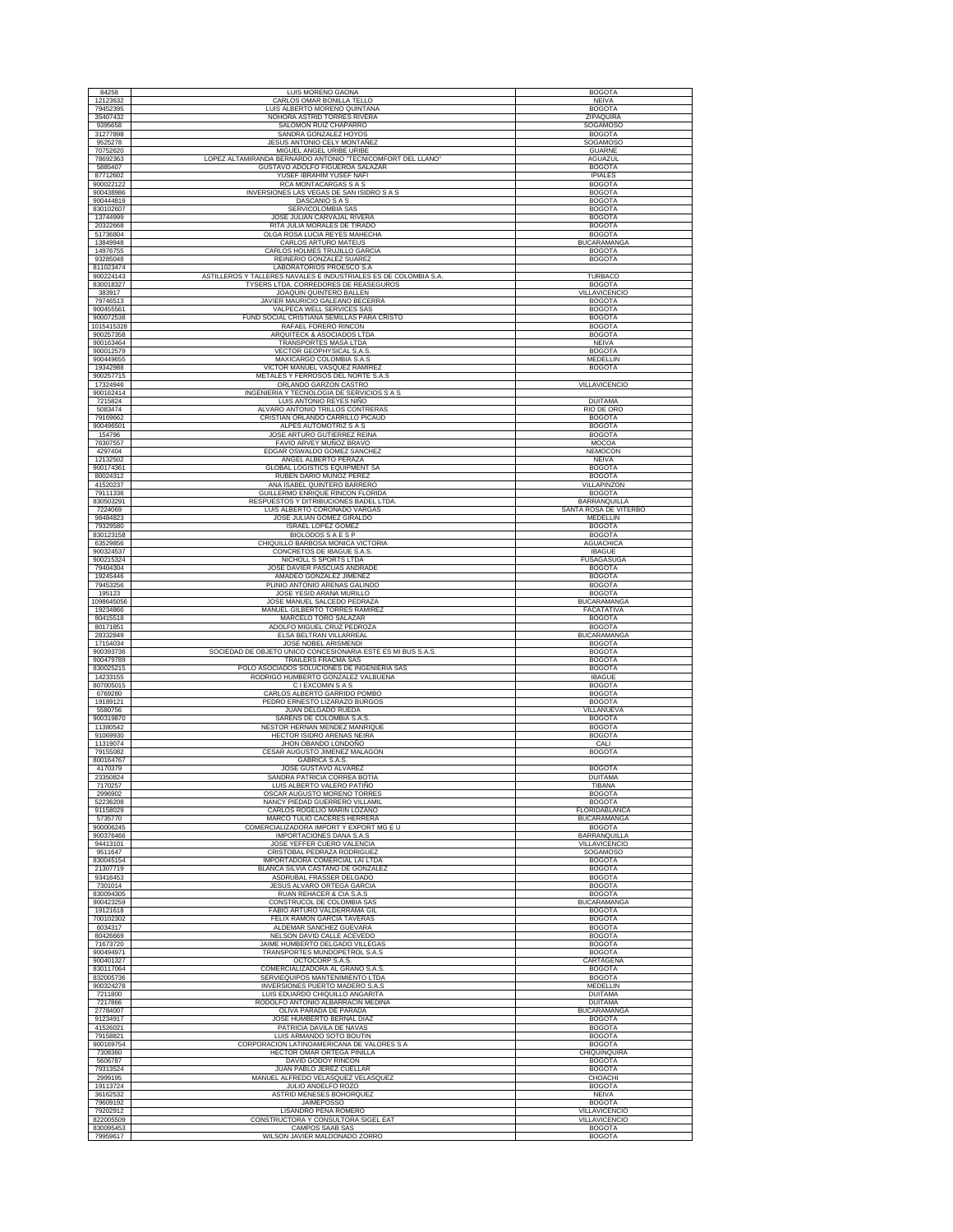| 84258                   | LUIS MORENO GAONA                                                                       | <b>BOGOTA</b>                         |
|-------------------------|-----------------------------------------------------------------------------------------|---------------------------------------|
| 12123632                | CARLOS OMAR BONILLA TELLO                                                               | NEIVA                                 |
| 79452395<br>35407432    | LUIS ALBERTO MORENO QUINTANA<br>NOHORA ASTRID TORRES RIVERA                             | <b>BOGOTA</b><br>ZIPAQUIRA            |
| 9395658                 | SALOMON RUIZ CHAPARRO                                                                   | SOGAMOSO                              |
| 31277898                | SANDRA GONZALEZ HOYOS                                                                   | <b>BOGOTA</b>                         |
| 9525278<br>70752620     | JESUS ANTONIO CELY MONTAÑEZ                                                             | SOGAMOSO                              |
| 78692363                | MIGUEL ANGEL URIBE URIBE<br>LOPEZ ALTAMIRANDA BERNARDO ANTONIO "TECNICOMFORT DEL LLANO" | <b>GUARNE</b><br>AGUAZUL              |
| 5885407                 | GUSTAVO ADOLFO FIGUEROA SALAZAR                                                         | <b>BOGOTA</b>                         |
| 87712602                | YUSEF IBRAHIM YUSEF NAFI                                                                | <b>IPIALES</b>                        |
| 900022122<br>900438986  | RCA MONTACARGAS S A S<br>INVERSIONES LAS VEGAS DE SAN ISIDRO S A S                      | <b>BOGOTA</b><br><b>BOGOTA</b>        |
| 900444819               | DASCANIO S A S                                                                          | <b>BOGOTA</b>                         |
| 830102607               | SERVICOLOMBIA SAS                                                                       | <b>BOGOTA</b>                         |
| 13744999<br>20322668    | JOSE JULIAN CARVAJAL RIVERA<br>RITA JULIA MORALES DE TIRADO                             | <b>BOGOTA</b><br><b>BOGOTA</b>        |
| 51736804                | OLGA ROSA LUCIA REYES MAHECHA                                                           | <b>BOGOTA</b>                         |
| 13849948                | CARLOS ARTURO MATEUS                                                                    | <b>BUCARAMANGA</b>                    |
| 14976755<br>93285048    | CARLOS HOLMES TRUJILLO GARCIA<br>REINERIO GONZALEZ SUAREZ                               | <b>BOGOTA</b><br><b>BOGOTA</b>        |
| 811023474               | LABORATORIOS PROESCO S.A                                                                |                                       |
| 900224143               | ASTILLEROS Y TALLERES NAVALES E INDUSTRIALES ES DE COLOMBIA S.A.                        | <b>TURBACO</b>                        |
| 830018327<br>383917     | TYSERS LTDA. CORREDORES DE REASEGUROS<br>JOAQUIN QUINTERO BALLEN                        | <b>BOGOTA</b><br><b>VILLAVICENCIO</b> |
| 79746513                | JAVIER MAURICIO GALEANO BECERRA                                                         | <b>BOGOTA</b>                         |
| 900455561               | VALPECA WELL SERVICES SAS                                                               | <b>BOGOTA</b>                         |
| 900072538<br>1015415328 | FUND SOCIAL CRISTIANA SEMILLAS PARA CRISTO<br>RAFAEL FORERO RINCON                      | <b>BOGOTA</b><br><b>BOGOTA</b>        |
| 900257358               | ARQUITECK & ASOCIADOS LTDA                                                              | <b>BOGOTA</b>                         |
| 900163464               | TRANSPORTES MASA LTDA                                                                   | NEIVA                                 |
| 900012579<br>900449655  | VECTOR GEOPHYSICAL S.A.S<br>MAXICARGO COLOMBIA S.A.S                                    | <b>BOGOTA</b><br>MEDELLIN             |
| 19342988                | VICTOR MANUEL VASQUEZ RAMIREZ                                                           | <b>BOGOTA</b>                         |
| 900257715               | METALES Y FERROSOS DEL NORTE S.A.S                                                      |                                       |
| 17324946<br>900162414   | ORLANDO GARZON CASTRO<br>INGENIERIA Y TECNOLOGIA DE SERVICIOS S A S                     | VILLAVICENCIO                         |
| 7215824                 | LUIS ANTONIO REYES NIÑO                                                                 | <b>DUITAMA</b>                        |
| 5083474                 | ALVARO ANTONIO TRILLOS CONTRERAS                                                        | RIO DE ORO                            |
| 79169662<br>900496501   | CRISTIAN ORLANDO CARRILLO PICAUD<br>ALPES AUTOMOTRIZ S A S                              | <b>BOGOTA</b><br><b>BOGOTA</b>        |
| 154796                  | JOSE ARTURO GUTIERREZ REINA                                                             | <b>BOGOTA</b>                         |
| 76307557                | FAVIO ARVEY MUÑOZ BRAVO                                                                 | MOCOA                                 |
| 4297404<br>12132502     | EDGAR OSWALDO GOMEZ SANCHEZ<br>ANGEL ALBERTO PERAZA                                     | NEMOCON<br><b>NEIVA</b>               |
| 900174361               | <b>GLOBAL LOGISTICS EQUIPMENT SA</b>                                                    | <b>BOGOTA</b>                         |
| 80024312                | RUBEN DARIO MUÑOZ PEREZ                                                                 | <b>BOGOTA</b>                         |
| 41520237<br>79111336    | ANA ISABEL QUINTERO BARRERO<br>GUILLERMO ENRIQUE RINCON FLORIDA                         | VILLAPINZON<br><b>BOGOTA</b>          |
| 830503291               | RESPUESTOS Y DITRIBUCIONES BADEL LTDA                                                   | <b>BARRANQUILLA</b>                   |
| 7224069                 | LUIS ALBERTO CORONADO VARGAS                                                            | SANTA ROSA DE VITERBO                 |
| 98484823<br>79329580    | JOSE JULIAN GOMEZ GIRALDO<br><b>ISRAEL LOPEZ GOMEZ</b>                                  | MEDELLIN<br><b>BOGOTA</b>             |
| 830123158               | BIOLODOS S A E S P                                                                      | <b>BOGOTA</b>                         |
| 63529856                | CHIQUILLO BARBOSA MONICA VICTORIA                                                       | <b>AGUACHICA</b>                      |
| 900324537<br>900215324  | CONCRETOS DE IBAGUE S.A.S.<br>NICHOLL S SPORTS LTDA                                     | <b>IBAGUE</b><br><b>FUSAGASUGA</b>    |
| 79404304                | JOSE DAVIER PASCUAS ANDRADE                                                             | <b>BOGOTA</b>                         |
| 19245446                | AMADEO GONZALEZ JIMENEZ                                                                 | <b>BOGOTA</b>                         |
| 79453256<br>195123      | PLINIO ANTONIO ARENAS GALINDO<br>JOSE YESID ARANA MURILLO                               | <b>BOGOTA</b><br><b>BOGOTA</b>        |
| 1098645056              | JOSE MANUEL SALCEDO PEDRAZA                                                             | <b>BUCARAMANGA</b>                    |
|                         |                                                                                         |                                       |
| 19234866                | MANUEL GILBERTO TORRES RAMIREZ                                                          | FACATATIVA                            |
| 80415518                | MARCELO TORO SALAZAR                                                                    | <b>BOGOTA</b>                         |
| 80171851<br>28332849    | ADOLFO MIGUEL CRUZ PEDROZA<br>ELSA BELTRAN VILLARREAL                                   | <b>BOGOTA</b><br><b>BUCARAMANGA</b>   |
| 17154034                | JOSE NOBEL ARISMENDI                                                                    | <b>BOGOTA</b>                         |
| 900393736               | SOCIEDAD DE OBJETO UNICO CONCESIONARIA ESTE ES MI BUS S.A.S                             | <b>BOGOTA</b>                         |
| 900479789<br>830025215  | TRAILERS FRACMA SAS<br>POLO ASOCIADOS SOLUCIONES DE INGENIERIA SAS                      | <b>BOGOTA</b><br><b>BOGOTA</b>        |
| 14233155                | RODRIGO HUMBERTO GONZALEZ VALBUENA                                                      | <b>IBAGUE</b>                         |
| 807005015<br>6769280    | C I EXCOMIN S A S<br>CARLOS ALBERTO GARRIDO POMBO                                       | <b>BOGOTA</b><br><b>BOGOTA</b>        |
| 19189121                | PEDRO ERNESTO LIZARAZO BURGOS                                                           | <b>BOGOTA</b>                         |
| 5580756                 | JUAN DELGADO RUEDA                                                                      | VILLANUEVA                            |
| 900319870<br>11380542   | SARENS DE COLOMBIA S.A.S<br>NESTOR HERNAN MENDEZ MANRIQUE                               | <b>BOGOTA</b><br><b>BOGOTA</b>        |
| 91069930                | <b>HECTOR ISIDRO ARENAS NEIRA</b>                                                       | <b>BOGOTA</b>                         |
| 11319074                | JHON OBANDO LONDOÑO                                                                     | CALI                                  |
| 79155082<br>800164767   | CESAR AUGUSTO JIMENEZ MALAGON<br><b>GABRICA S.A.S</b>                                   | <b>BOGOTA</b>                         |
| 4170379                 | JOSE GUSTAVO ALVAREZ                                                                    | <b>BOGOTA</b>                         |
| 23350824                | SANDRA PATRICIA CORREA BOTIA                                                            | <b>DUITAMA</b>                        |
| 7170257<br>2996902      | LUIS ALBERTO VALERO PATIÑO<br>OSCAR AUGUSTO MORENO TORRES                               | TIBANA<br><b>BOGOTA</b>               |
| 52236208                | NANCY PIEDAD GUERRERO VILLAMIL                                                          | <b>BOGOTA</b>                         |
| 91158029<br>5735770     | CARLOS ROGELIO MARIN LOZANO<br>MARCO TULIO CACERES HERRERA                              | FLORIDABLANCA<br><b>BUCARAMANGA</b>   |
| 900006245               | COMERCIALIZADORA IMPORT Y EXPORT MG E U                                                 | <b>BOGOTA</b>                         |
| 900376466               | IMPORTACIONES DANA S.A.S                                                                | BARRANQUILLA                          |
| 94413101<br>9511647     | JOSE YEFFER CUERO VALENCIA<br>CRISTOBAL PEDRAZA RODRIGUEZ                               | VILLAVICENCIO<br><b>SOGAMOSO</b>      |
| 830045154               | IMPORTADORA COMERCIAL LAI LTDA                                                          | <b>BOGOTA</b>                         |
| 21307719                | BLANCA SILVIA CASTAÑO DE GONZALEZ                                                       | <b>BOGOTA</b>                         |
| 93416453<br>7301014     | ASDRUBAL FRASSER DELGADO<br>JESUS ALVARO ORTEGA GARCIA                                  | <b>BOGOTA</b><br><b>BOGOTA</b>        |
| 830094305               | RUAN REHACER & CIA S.A.S                                                                | <b>BOGOTA</b>                         |
| 900423259<br>19121618   | CONSTRUCOL DE COLOMBIA SAS<br>FABIO ARTURO VALDERRAMA GIL                               | <b>BUCARAMANGA</b><br><b>BOGOTA</b>   |
| 700102302               | FELIX RAMON GARCIA TAVERAS                                                              | <b>BOGOTA</b>                         |
| 6034317                 | ALDEMAR SANCHEZ GUEVARA                                                                 | <b>BOGOTA</b>                         |
| 80426669<br>71673720    | NELSON DAVID CALLE ACEVEDO                                                              | <b>BOGOTA</b><br><b>BOGOTA</b>        |
| 900494971               | JAIME HUMBERTO DELGADO VILLEGAS<br>TRANSPORTES MUNDOPETROL S.A.S.                       | <b>BOGOTA</b>                         |
| 900401327               | OCTOCORP S.A.S.                                                                         | CARTAGENA                             |
| 830117064<br>832005736  | COMERCIALIZADORA AL GRANO S.A.S<br>SERVIEQUIPOS MANTENIMIENTO LTDA                      | <b>BOGOTA</b><br><b>BOGOTA</b>        |
| 900324278               | INVERSIONES PUERTO MADERO S.A.S                                                         | MEDELLIN                              |
| 7211800                 | LUIS EDUARDO CHIQUILLO ANGARITA                                                         | <b>DUITAMA</b>                        |
| 7217866<br>27784007     | RODOLFO ANTONIO ALBARRACIN MEDINA<br>OLIVA PARADA DE PARADA                             | <b>DUITAMA</b><br><b>BUCARAMANGA</b>  |
| 91234917                | JOSE HUMBERTO BERNAL DIAZ                                                               | <b>BOGOTA</b>                         |
| 41526021                | PATRICIA DAVILA DE NAVAS                                                                | <b>BOGOTA</b>                         |
| 79158821<br>900169754   | LUIS ARMANDO SOTO BOUTIN<br>CORPORACION LATINOAMERICANA DE VALORES S A                  | <b>BOGOTA</b><br><b>BOGOTA</b>        |
| 7308360                 | HECTOR OMAR ORTEGA PINILLA                                                              | CHIQUINQUIRA                          |
| 5606787                 | DAVID GODOY RINCON                                                                      | <b>BOGOTA</b>                         |
| 79313524<br>2999195     | JUAN PABLO JEREZ CUELLAR<br>MANUEL ALFREDO VELASQUEZ VELASQUEZ                          | <b>BOGOTA</b><br>CHOACHI              |
| 19113724                | JULIO ANDELFO ROZO                                                                      | <b>BOGOTA</b>                         |
| 36162532                | ASTRID MENESES BOHORQUEZ                                                                | <b>NEIVA</b>                          |
| 79609192<br>79202912    | <b>JAIMEPOSSO</b><br>LISANDRO PEÑA ROMERO                                               | <b>BOGOTA</b><br><b>VILLAVICENCIO</b> |
| 822005509<br>830095453  | CONSTRUCTORA Y CONSULTORA SIGEL EAT<br>CAMPOS SAAB SAS                                  | VILLAVICENCIO<br><b>BOGOTA</b>        |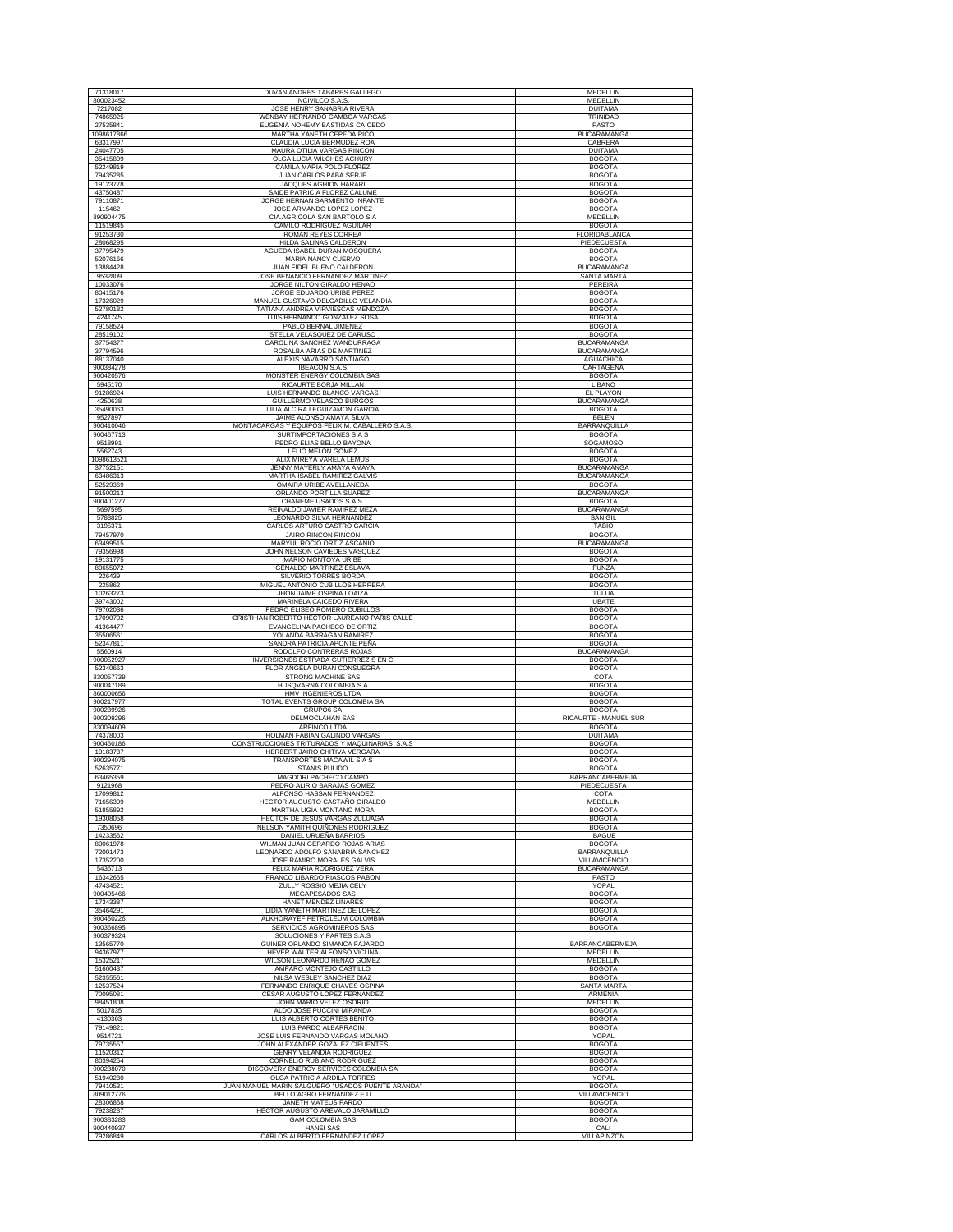| 71318017               |                                                                   |                                |
|------------------------|-------------------------------------------------------------------|--------------------------------|
|                        | DUVAN ANDRES TABARES GALLEGO                                      | MEDELLIN                       |
| 800023452              | INCIVILCO S.A.S                                                   | MEDELLIN                       |
| 7217082                | JOSE HENRY SANABRIA RIVERA                                        | <b>DUITAMA</b>                 |
| 74865925               | WENBAY HERNANDO GAMBOA VARGAS                                     | TRINIDAD                       |
| 27535841               | EUGENIA NOHEMY BASTIDAS CAICEDO<br>MARTHA YANETH CEPEDA PICO      | PASTO                          |
| 1098617866             |                                                                   | <b>BUCARAMANGA</b>             |
| 63317997<br>24047705   | CLAUDIA LUCIA BERMUDEZ ROA<br>MAURA OTILIA VARGAS RINCON          | CABRERA<br><b>DUITAMA</b>      |
|                        | OLGA LUCIA WILCHES ACHURY                                         |                                |
| 35415809<br>52249819   | CAMILA MARIA POLO FLOREZ                                          | <b>BOGOTA</b><br><b>BOGOTA</b> |
| 79435285               | JUAN CARLOS PABA SERJE                                            | <b>BOGOTA</b>                  |
|                        |                                                                   |                                |
| 19123778<br>43750487   | JACQUES AGHION HARARI<br>SAIDE PATRICIA FLOREZ CALUME             | <b>BOGOTA</b><br><b>BOGOTA</b> |
| 79110871               | JORGE HERNAN SARMIENTO INFANTE                                    | <b>BOGOTA</b>                  |
|                        |                                                                   |                                |
| 115462                 | JOSE ARMANDO LOPEZ LOPEZ                                          | <b>BOGOTA</b>                  |
| 890904475              | CIA.AGRICOLA SAN BARTOLO S.A                                      | MEDELLIN                       |
| 11519845               | CAMILO RODRIGUEZ AGUILAR                                          | <b>BOGOTA</b>                  |
| 91253730<br>28068295   | ROMAN REYES CORREA<br>HILDA SALINAS CALDERON                      | FLORIDABLANCA                  |
| 37795479               | AGUEDA ISABEL DURAN MOSQUERA                                      | PIEDECUESTA<br><b>BOGOTA</b>   |
| 52076166               | MARIA NANCY CUERVO                                                | <b>BOGOTA</b>                  |
| 13884428               | JUAN FIDEL BUENO CALDERON                                         | <b>BUCARAMANGA</b>             |
| 9532809                | JOSE BENANCIO FERNANDEZ MARTINEZ                                  | SANTA MARTA                    |
| 10033076               | JORGE NILTON GIRALDO HENAO                                        | PEREIRA                        |
| 80415176               | JORGE EDUARDO URIBE PEREZ                                         | <b>BOGOTA</b>                  |
| 17326029               | MANUEL GUSTAVO DELGADILLO VELANDIA                                | <b>BOGOTA</b>                  |
| 52780182               | TATIANA ANDREA VIRVIESCAS MENDOZA                                 | <b>BOGOTA</b>                  |
| 4241745                | LUIS HERNANDO GONZALEZ SOSA                                       | <b>BOGOTA</b>                  |
| 79158524               | PABLO BERNAL JIMENEZ                                              | <b>BOGOTA</b>                  |
| 28519102               | STELLA VELASQUEZ DE CARUSO                                        | <b>BOGOTA</b>                  |
| 37754377               | CAROLINA SANCHEZ WANDURRAGA                                       | <b>BUCARAMANGA</b>             |
| 37794596               | ROSALBA ARIAS DE MARTINEZ                                         | <b>BUCARAMANGA</b>             |
| 88137040               | ALEXIS NAVARRO SANTIAGO                                           | <b>AGUACHICA</b>               |
| 900384278              | <b>IBEACON S.A.S</b>                                              | CARTAGENA                      |
| 900420576              | MONSTER ENERGY COLOMBIA SAS                                       | <b>BOGOTA</b>                  |
| 5945170                | RICAURTE BORJA MILLAN                                             | LIBANO                         |
| 91286924               | LUIS HERNANDO BLANCO VARGAS                                       | EL PLAYON                      |
| 4250638                | GUILLERMO VELASCO BURGOS                                          | <b>BUCARAMANGA</b>             |
| 35490063               | LILIA ALCIRA LEGUIZAMON GARCIA                                    | <b>BOGOTA</b>                  |
| 9527897                | JAIME ALONSO AMAYA SILVA                                          | <b>BELEN</b>                   |
| 900410046              | MONTACARGAS Y EQUIPOS FELIX M. CABALLERO S.A.S                    | BARRANQUILLA                   |
| 900467713              | <b>SURTIMPORTACIONES S A S</b>                                    | <b>BOGOTA</b>                  |
| 9518991                | PEDRO ELIAS BELLO BAYONA                                          | SOGAMOSO                       |
| 5562743                | LELIO MELON GOMEZ                                                 | <b>BOGOTA</b>                  |
| 1098613521             | ALIX MIREYA VARELA LEMUS                                          | <b>BOGOTA</b>                  |
| 37752151               | JENNY MAYERLY AMAYA AMAYA                                         | <b>BUCARAMANGA</b>             |
| 63486313               | MARTHA ISABEL RAMIREZ GALVIS                                      | <b>BUCARAMANGA</b>             |
| 52529369               | OMAIRA URIBE AVELLANEDA                                           | <b>BOGOTA</b>                  |
| 91500213               | ORLANDO PORTILLA SUAREZ                                           | <b>BUCARAMANGA</b>             |
| 900401277              | CHANEME USADOS S.A.S.                                             | <b>BOGOTA</b>                  |
| 5697595                | REINALDO JAVIER RAMIREZ MEZA                                      | <b>BUCARAMANGA</b>             |
| 5783825                | LEONARDO SILVA HERNANDEZ                                          | <b>SAN GIL</b>                 |
| 3195371                | CARLOS ARTURO CASTRO GARCIA                                       | <b>TABIO</b>                   |
| 79457970               | <b>JAIRO RINCON RINCON</b>                                        | <b>BOGOTA</b>                  |
| 63499515               | MARYUL ROCIO ORTIZ ASCANIO                                        | <b>BUCARAMANGA</b>             |
| 79356998               | JOHN NELSON CAVIEDES VASQUEZ                                      | <b>BOGOTA</b>                  |
| 19131775               | MARIO MONTOYA URIBE                                               | <b>BOGOTA</b>                  |
| 80655072               | <b>GENALDO MARTINEZ ESLAVA</b>                                    | <b>FUNZA</b>                   |
| 226439                 | SILVERIO TORRES BORDA                                             | <b>BOGOTA</b>                  |
| 225862                 | MIGUEL ANTONIO CUBILLOS HERRERA                                   | <b>BOGOTA</b>                  |
| 10263273               | JHON JAIME OSPINA LOAIZA                                          | TULUA                          |
| 39743002               | MARINELA CAICEDO RIVERA                                           | <b>UBATE</b>                   |
| 79702036               | PEDRO ELISEO ROMERO CUBILLOS                                      | <b>BOGOTA</b>                  |
|                        |                                                                   |                                |
| 17090702               | CRISTHIAN ROBERTO HECTOR LAUREANO PARIS CALLE                     | <b>BOGOTA</b>                  |
| 41364477               | EVANGELINA PACHECO DE ORTIZ                                       | <b>BOGOTA</b>                  |
| 35506561               | YOLANDA BARRAGAN RAMIREZ                                          | <b>BOGOTA</b>                  |
| 52347811               | SANDRA PATRICIA APONTE PEÑA                                       | <b>BOGOTA</b>                  |
| 5560914                | RODOLFO CONTRERAS ROJAS                                           | <b>BUCARAMANGA</b>             |
| 900052927              | INVERSIONES ESTRADA GUTIERREZ S EN C                              | <b>BOGOTA</b>                  |
| 52340663               | FLOR ANGELA DURAN CONSUEGRA                                       | <b>BOGOTA</b>                  |
| 830057739              | STRONG MACHINE SAS                                                | COTA                           |
| 900047189              | HUSQVARNA COLOMBIA S A                                            | <b>BOGOTA</b>                  |
| 860000656              | HMV INGENIEROS LTDA                                               | <b>BOGOTA</b>                  |
| 900217977              | TOTAL EVENTS GROUP COLOMBIA SA                                    | <b>BOGOTA</b>                  |
| 900239926              | GRUPO6 SA                                                         | <b>BOGOTA</b>                  |
| 900309296              | DELMOCLAHAN SAS                                                   | RICAURTE - MANUEL SUR          |
| 830094609              | ARFINCO LTDA                                                      | <b>BOGOTA</b>                  |
| 74378003               | HOLMAN FABIAN GALINDO VARGAS                                      | <b>DUITAMA</b>                 |
| 900460186              | CONSTRUCCIONES TRITURADOS Y MAQUINARIAS S.A.S                     | <b>BOGOTA</b>                  |
| 19183737               | HERBERT JAIRO CHITIVA VERGARA                                     | <b>BOGOTA</b>                  |
| 900294075<br>52635771  | TRANSPORTES MACAWIL S A S<br><b>STANIS PULIDO</b>                 | <b>BOGOTA</b><br><b>BOGOTA</b> |
| 63465359               | MAGDORI PACHECO CAMPO                                             |                                |
| 9121968                | PEDRO ALIRIO BARAJAS GOMEZ                                        | BARRANCABERMEJA<br>PIEDECUESTA |
| 17099812               | ALFONSO HASSAN FERNANDEZ                                          | COTA                           |
| 71656309               | HECTOR AUGUSTO CASTAÑO GIRALDO                                    | MEDELLIN                       |
| 51855892               | MARTHA LIGIA MONTAÑO MORA                                         | <b>BOGOTA</b>                  |
| 19308058               | HECTOR DE JESUS VARGAS ZULUAGA                                    | <b>BOGOTA</b>                  |
| 7350696                | NELSON YAMITH QUIÑONES RODRIGUEZ                                  | <b>BOGOTA</b>                  |
| 14233562               | DANIEL URUEÑA BARRIOS                                             | <b>IBAGUE</b>                  |
| 80061978               | WILMAN JUAN GERARDO ROJAS ARIAS                                   | <b>BOGOTA</b>                  |
| 72001473               | LEONARDO ADOLFO SANABRIA SANCHEZ                                  | <b>BARRANQUILLA</b>            |
| 17352200               | JOSE RAMIRO MORALES GALVIS                                        | VILLAVICENCIO                  |
| 5436713                | FELIX MARIA RODRIGUEZ VERA                                        | <b>BUCARAMANGA</b>             |
| 16342665               | FRANCO LIBARDO RIASCOS PABON                                      | PASTO                          |
| 47434521               | ZULLY ROSSIO MEJIA CELY                                           | <b>YOPAL</b>                   |
| 900405466              | MEGAPESADOS SAS                                                   | <b>BOGOTA</b>                  |
| 17343387               | HANET MENDEZ LINARES                                              | <b>BOGOTA</b>                  |
| 35464291               | LIDIA YANETH MARTINEZ DE LOPEZ                                    | <b>BOGOTA</b>                  |
| 900450226<br>900366895 | ALKHORAYEF PETROLEUM COLOMBIA<br><b>SERVICIOS AGROMINEROS SAS</b> | <b>BOGOTA</b><br><b>BOGOTA</b> |
| 900379324              |                                                                   |                                |
|                        | SOLUCIONES Y PARTES S.A.S                                         |                                |
| 13565770               | GUINER ORLANDO SIMANCA FAJARDO                                    | BARRANCABERMEJA                |
| 94367977<br>15325217   | HEVER WALTER ALFONSO VICUÑA<br>WILSON LEONARDO HENAO GOMEZ        | MEDELLIN<br>MEDELLIN           |
| 51600437               | AMPARO MONTEJO CASTILLO                                           | <b>BOGOTA</b>                  |
| 52355561               | NILSA WESLEY SANCHEZ DIAZ                                         | <b>BOGOTA</b>                  |
| 12537524               | FERNANDO ENRIQUE CHAVES OSPINA                                    | <b>SANTA MARTA</b>             |
| 70095081               | CESAR AUGUSTO LOPEZ FERNANDEZ                                     | ARMENIA                        |
| 98451808               | JOHN MARIO VELEZ OSORIO                                           | <b>MEDELLIN</b>                |
| 5017835                | ALDO JOSE PUCCINI MIRANDA                                         | <b>BOGOTA</b>                  |
| 4130363                | LUIS ALBERTO CORTES BENITO                                        | <b>BOGOTA</b>                  |
| 79149821               | LUIS PARDO ALBARRACIN                                             | <b>BOGOTA</b>                  |
| 9514721                | JOSE LUIS FERNANDO VARGAS MOLANO                                  | YOPAL                          |
| 79735557               | JOHN ALEXANDER GOZALEZ CIFUENTES                                  | <b>BOGOTA</b>                  |
| 11520312               | GENRY VELANDIA RODRIGUEZ                                          | <b>BOGOTA</b>                  |
| 80394254               | CORNELIO RUBIANO RODRIGUEZ                                        | <b>BOGOTA</b>                  |
| 900238070              | DISCOVERY ENERGY SERVICES COLOMBIA SA                             | <b>BOGOTA</b>                  |
| 51940230               | OLGA PATRICIA ARDILA TORRES                                       | YOPAL                          |
| 79410531               | JUAN MANUEL MARIN SALGUERO "USADOS PUENTE ARANDA"                 | <b>BOGOTA</b>                  |
| 809012776              | BELLO AGRO FERNANDEZ E.U                                          | VILLAVICENCIO                  |
| 28306868               | JANETH MATEUS PARDO                                               | <b>BOGOTA</b>                  |
| 79238287               | HECTOR AUGUSTO AREVALO JARAMILLO                                  | <b>BOGOTA</b>                  |
| 900383283              | GAM COLOMBIA SAS                                                  | <b>BOGOTA</b>                  |
| 900440937<br>79286849  | <b>HANEI SAS</b><br>CARLOS ALBERTO FERNANDEZ LOPEZ                | CALI<br>VILLAPINZON            |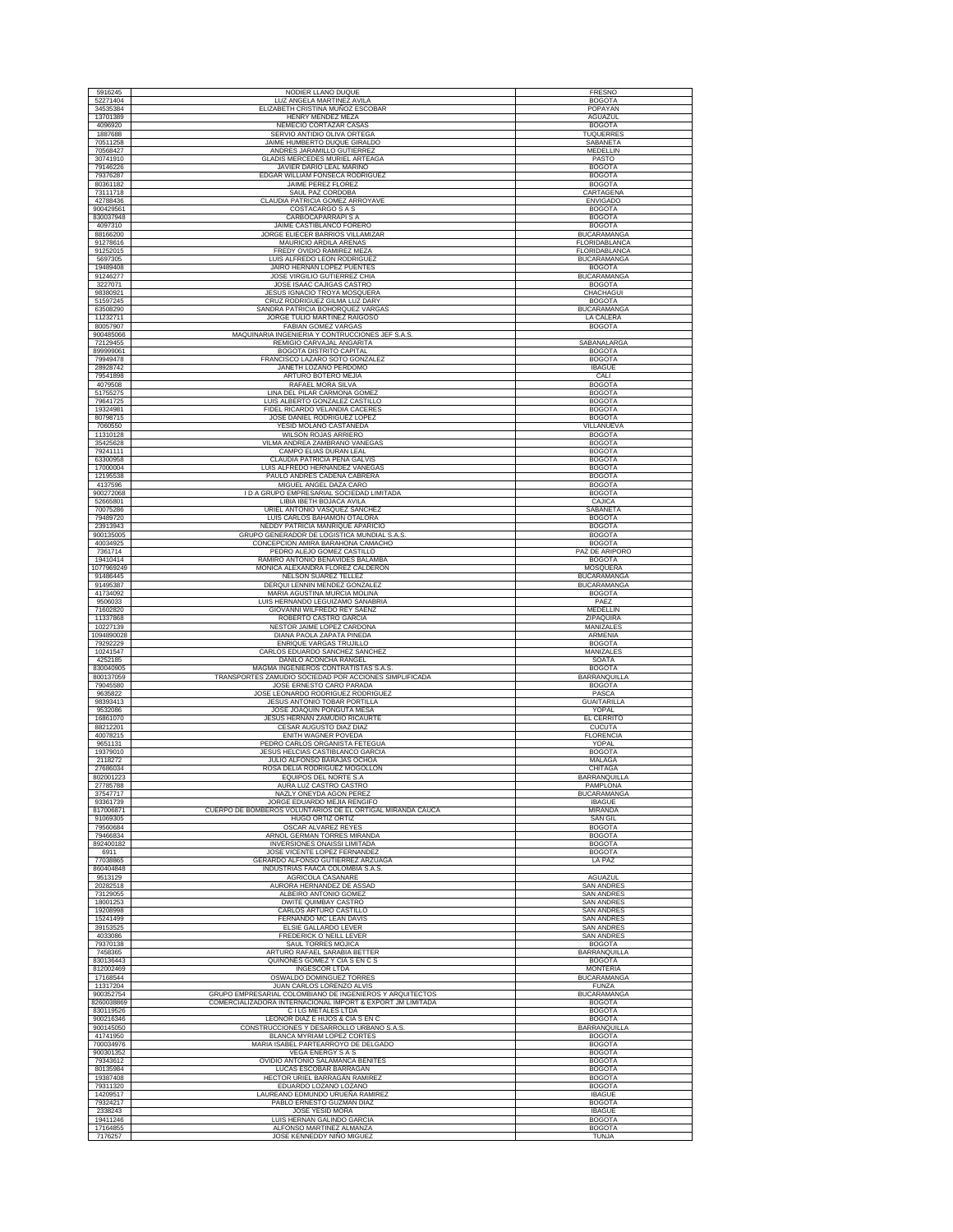| 5916245                 | NODIER LLANO DUQUE                                                                             | FRESNO                                     |
|-------------------------|------------------------------------------------------------------------------------------------|--------------------------------------------|
| 52271404                | LUZ ANGELA MARTINEZ AVILA                                                                      | <b>BOGOTA</b>                              |
| 34535384<br>13701389    | ELIZABETH CRISTINA MUÑOZ ESCOBAR<br>HENRY MENDEZ MEZA                                          | POPAYAN<br>AGUAZUL                         |
| 4096920                 | NEMECIO CORTAZAR CASA:                                                                         | <b>BOGOTA</b>                              |
| 1887688<br>70511258     | SERVIO ANTIDIO OLIVA ORTEGA<br>JAIME HUMBERTO DUQUE GIRALDO                                    | TUQUERRES<br><b>SABANETA</b>               |
| 70568427                | ANDRES JARAMILLO GUTIERREZ                                                                     | MEDELLIN                                   |
| 30741910<br>79146226    | <b>GLADIS MERCEDES MURIEL ARTEAGA</b><br><b>JAVIER DARIO LEAL MARIÑO</b>                       | PASTO<br><b>BOGOTA</b>                     |
| 79376287                | EDGAR WILLIAM FONSECA RODRIGUEZ                                                                | <b>BOGOTA</b>                              |
| 80361182<br>73111718    | <b>JAIME PEREZ FLOREZ</b><br>SAUL PAZ CORDOBA                                                  | <b>BOGOTA</b><br>CARTAGENA                 |
| 42788436                | CLAUDIA PATRICIA GOMEZ ARROYAVE                                                                | <b>ENVIGADO</b>                            |
| 900429561<br>830037948  | COSTACARGO S A S<br>CARBOCAPARRAPI S A                                                         | <b>BOGOTA</b><br><b>BOGOTA</b>             |
| 4097310                 | JAIME CASTIBLANCO FORERO                                                                       | <b>BOGOTA</b>                              |
| 88166200                | JORGE ELIECER BARRIOS VILLAMIZAR                                                               | <b>BUCARAMANGA</b><br><b>FLORIDABLANCA</b> |
| 91278616<br>91252015    | MAURICIO ARDILA ARENAS<br>FREDY OVIDIO RAMIREZ MEZA                                            | FLORIDABLANCA                              |
| 5697305                 | LUIS ALFREDO LEON RODRIGUEZ                                                                    | <b>BUCARAMANGA</b>                         |
| 19489408<br>91246277    | JAIRO HERNAN LOPEZ PUENTES<br>JOSE VIRGILIO GUTIERREZ CHIA                                     | <b>BOGOTA</b><br><b>BUCARAMANGA</b>        |
| 3227071                 | JOSE ISAAC CAJIGAS CASTRO                                                                      | <b>BOGOTA</b>                              |
| 98380921<br>51597245    | JESUS IGNACIO TROYA MOSQUERA<br>CRUZ RODRIGUEZ GILMA LUZ DARY                                  | CHACHAGUI<br><b>BOGOTA</b>                 |
| 63508290                | SANDRA PATRICIA BOHORQUEZ VARGAS                                                               | <b>BUCARAMANGA</b>                         |
| 11232711<br>80057907    | JORGE TULIO MARTINEZ RAIGOSO<br><b>FABIAN GOMEZ VARGAS</b>                                     | LA CALERA<br><b>BOGOTA</b>                 |
| 900485066               | MAQUINARIA INGENIERIA Y CONTRUCCIONES JEF S.A.S.                                               |                                            |
| 72129455<br>899999061   | REMIGIO CARVAJAL ANGARITA<br>BOGOTA DISTRITO CAPITAL                                           | SABANALARGA<br><b>BOGOTA</b>               |
| 79949478                | FRANCISCO LAZARO SOTO GONZALEZ                                                                 | <b>BOGOTA</b>                              |
| 28928742<br>79541898    | JANETH LOZANO PERDOMO<br>ARTURO BOTERO MEJIA                                                   | <b>IBAGUE</b><br>CALI                      |
| 4079508                 | RAFAEL MORA SILVA                                                                              | <b>BOGOTA</b>                              |
| 51755275<br>79641725    | LINA DEL PILAR CARMONA GOMEZ<br>LUIS ALBERTO GONZALEZ CASTILLO                                 | <b>BOGOTA</b><br><b>BOGOTA</b>             |
| 19324981                | FIDEL RICARDO VELANDIA CACERES                                                                 | <b>BOGOTA</b>                              |
| 80798715<br>7060550     | JOSE DANIEL RODRIGUEZ LOPEZ<br>YESID MOLANO CASTAÑEDA                                          | <b>BOGOTA</b><br>VILLANUEVA                |
| 11310128                | <b>WILSON ROJAS ARRIERO</b>                                                                    | <b>BOGOTA</b>                              |
| 35425628<br>79241111    | VILMA ANDREA ZAMBRANO VANEGAS<br>CAMPO ELIAS DURAN LEAL                                        | <b>BOGOTA</b><br><b>BOGOTA</b>             |
| 63300958                | CLAUDIA PATRICIA PEÑA GALVIS                                                                   | <b>BOGOTA</b>                              |
| 17000004<br>12195538    | LUIS ALFREDO HERNANDEZ VANEGAS<br>PAULO ANDRÉS CADENA CABRERA                                  | <b>BOGOTA</b><br><b>BOGOTA</b>             |
| 4137596                 | MIGUEL ANGEL DAZA CARO                                                                         | <b>BOGOTA</b>                              |
| 900272068<br>52665801   | I D A GRUPO EMPRESARIAL SOCIEDAD LIMITADA<br>LIBIA IBETH BOJACA AVILA                          | <b>BOGOTA</b><br>CAJICA                    |
| 70075286                | URIEL ANTONIO VASQUEZ SANCHEZ                                                                  | <b>SABANETA</b>                            |
| 79489720<br>23913943    | LUIS CARLOS BAHAMON OTALORA<br>NEDDY PATRICIA MANRIQUE APARICIC                                | <b>BOGOTA</b><br><b>BOGOTA</b>             |
| 900135005               | GRUPO GENERADOR DE LOGISTICA MUNDIAL S.A.S.                                                    | <b>BOGOTA</b>                              |
| 40034925<br>7361714     | CONCEPCION AMIRA BARAHONA CAMACHO<br>PEDRO ALEJO GOMEZ CASTILLO                                | <b>BOGOTA</b><br>PAZ DE ARIPORO            |
| 19410414                | RAMIRO ANTONIO BENAVIDES BALAMBA                                                               | <b>BOGOTA</b>                              |
| 1077969249<br>91486445  | MONICA ALEXANDRA FLOREZ CALDERON<br>NELSON SUAREZ TELLEZ                                       | MOSQUERA<br><b>BUCARAMANGA</b>             |
| 91495387                | DERQUI LENNIN MENDEZ GONZALEZ                                                                  | <b>BUCARAMANGA</b>                         |
| 41734092<br>9506033     | MARIA AGUSTINA MURCIA MOLINA<br>LUIS HERNANDO LEGUIZAMO SANABRIA                               | <b>BOGOTA</b><br>PAEZ                      |
| 71602820                | GIOVANNI WILFREDO REY SAENZ                                                                    | MEDELLIN                                   |
| 11337868<br>10227139    | ROBERTO CASTRO GARCIA<br>NESTOR JAIME LOPEZ CARDONA                                            | ZIPAQUIRA<br>MANIZALES                     |
| 1094890028              | DIANA PAOLA ZAPATA PINEDA                                                                      | <b>ARMENIA</b>                             |
| 79292229<br>10241547    | <b>ENRIQUE VARGAS TRUJILLO</b><br>CARLOS EDUARDO SANCHEZ SANCHEZ                               | <b>BOGOTA</b><br>MANIZALES                 |
| 4252185                 | DANILO ACONCHA RANGEL                                                                          | SOATA                                      |
| 830040905<br>800137059  | MAGMA INGENIEROS CONTRATISTAS S.A.S.<br>TRANSPORTES ZAMUDIO SOCIEDAD POR ACCIONES SIMPLIFICADA | <b>BOGOTA</b><br>BARRANQUILLA              |
| 79045580                | JOSE ERNESTO CARO PARADA<br>JOSE LEONARDO RODRIGUEZ RODRIGUEZ                                  | <b>BOGOTA</b><br>PASCA                     |
| 9635822<br>98393413     | JESUS ANTONIO TOBAR PORTILLA                                                                   | <b>GUAITARILLA</b>                         |
| 9532086<br>16861070     | JOSE JOAQUIN PONGUTA MESA<br>JESUS HERNAN ZAMUDIO RICAURTE                                     | YOPAL<br>EL CERRITO                        |
| 88212201                | CESAR AUGUSTO DIAZ DIAZ                                                                        | <b>CUCUTA</b>                              |
| 40078215<br>9651131     | ENITH WAGNER POVEDA<br>PEDRO CARLOS ORGANISTA FETEGUA                                          | <b>FLORENCIA</b><br>YOPAL                  |
| 19379010                | JESUS HELCIAS CASTIBLANCO GARCIA                                                               | <b>BOGOTA</b>                              |
| 2118272<br>27686034     | JULIO ALFONSO BARAJAS OCHOA<br>ROSA DELIA RODRIGUEZ MOGOLLON                                   | MALAGA<br>CHITAGA                          |
| 802001223               | EQUIPOS DEL NORTE S.A.                                                                         | BARRANQUILLA                               |
| 27785788<br>37547717    | AURA LUZ CASTRO CASTRO<br>NAZLY ONEYDA AGON PEREZ                                              | PAMPLONA<br><b>BUCARAMANGA</b>             |
| 93361739                | JORGE EDUARDO MEJIA RENGIFO                                                                    | <b>IBAGUE</b>                              |
| 817006871<br>91069305   | CUERPO DE BOMBEROS VOLUNTARIOS DE EL ORTIGAL MIRANDA CAUCA<br>HUGO ORTIZ ORTIZ                 | MIRANDA<br><b>SAN GIL</b>                  |
| 79560684                | OSCAR ALVAREZ REYES                                                                            | <b>BOGOTA</b>                              |
| 79466834<br>892400182   | ARNOL GERMAN TORRES MIRANDA<br><b>INVERSIONES ONAISSI LIMITADA</b>                             | <b>BOGOTA</b><br><b>BOGOTA</b>             |
| 6911<br>77038865        | JOSE VICENTE LOPEZ FERNANDEZ<br>GERARDO ALFONSO GUTIERREZ ARZUAGA                              | <b>BOGOTA</b><br>LA PAZ                    |
| 860404848               | INDUSTRIAS FAACA COLOMBIA S.A.S.                                                               |                                            |
| 9513129<br>20282518     | AGRICOLA CASANARE<br>AURORA HERNANDEZ DE ASSAD                                                 | <b>AGUAZUL</b><br><b>SAN ANDRES</b>        |
| 73129055                | ALBEIRO ANTONIO GOMEZ                                                                          | <b>SAN ANDRES</b>                          |
| 18001253<br>19208998    | DWITE QUIMBAY CASTRO<br>CARLOS ARTURO CASTILLO                                                 | <b>SAN ANDRES</b><br><b>SAN ANDRES</b>     |
| 15241499                | FERNANDO MC'LEAN DAVIS                                                                         | <b>SAN ANDRES</b>                          |
| 39153525<br>4033086     | ELSIE GALLARDO LEVER<br><b>FREDERICK O'NEILL LEVER</b>                                         | <b>SAN ANDRES</b><br><b>SAN ANDRES</b>     |
| 79370138                | SAUL TORRES MOJICA                                                                             | <b>BOGOTA</b>                              |
| 7458365<br>830136443    | ARTURO RAFAEL SARABIA BETTER<br>QUIÑONES GOMEZ Y CIA S EN C S                                  | BARRANQUILLA<br><b>BOGOTA</b>              |
| 812002469               | <b>INGESCOR LTDA</b>                                                                           | <b>MONTERIA</b>                            |
| 17168544<br>11317204    | OSWALDO DOMINGUEZ TORRES<br>JUAN CARLOS LORENZO ALVIS                                          | <b>BUCARAMANGA</b><br><b>FUNZA</b>         |
| 900352754               | GRUPO EMPRESARIAL COLOMBIANO DE INGENIEROS Y ARQUITECTOS                                       | <b>BUCARAMANGA</b>                         |
| 8260038869<br>830119526 | COMERCIALIZADORA INTERNACIONAL IMPORT & EXPORT JM LIMITADA<br>C I LG METALES LTDA              | <b>BOGOTA</b><br><b>BOGOTA</b>             |
| 900216346               | LEONOR DIAZ E HIJOS & CIA S EN C                                                               | <b>BOGOTA</b>                              |
| 900145050<br>41741950   | CONSTRUCCIONES Y DESARROLLO URBANO S.A.S.<br>BLANCA MYRIAM LOPEZ CORTES                        | BARRANQUILLA<br><b>BOGOTA</b>              |
| 700034976               | MARIA ISABEL PARTEARROYO DE DELGADO                                                            | <b>BOGOTA</b>                              |
| 900301352<br>79343612   | <b>VEGA ENERGY S A S</b><br>OVIDIO ANTONIO SALAMANCA BENITES                                   | <b>BOGOTA</b><br><b>BOGOTA</b>             |
| 80135984                | LUCAS ESCOBAR BARRAGAN                                                                         | <b>BOGOTA</b>                              |
| 19387408<br>79311320    | HECTOR URIEL BARRAGÁN RAMIREZ<br>EDUARDO LOZANO LOZANO                                         | <b>BOGOTA</b><br><b>BOGOTA</b>             |
| 14209517                | LAUREANO EDMUNDO URUEÑA RAMIREZ                                                                | <b>IBAGUE</b>                              |
| 79324217<br>2338243     | PABLO ERNESTO GUZMAN DIAZ<br>JOSE YESID MORA                                                   | <b>BOGOTA</b><br><b>IBAGUE</b>             |
| 19411246                | LUIS HERNAN GALINDO GARCIA                                                                     | <b>BOGOTA</b>                              |
| 17164855<br>7176257     | ALFONSO MARTINEZ ALMANZA<br>JOSE KENNEDDY NIÑO MIGUEZ                                          | <b>BOGOTA</b><br><b>TUNJA</b>              |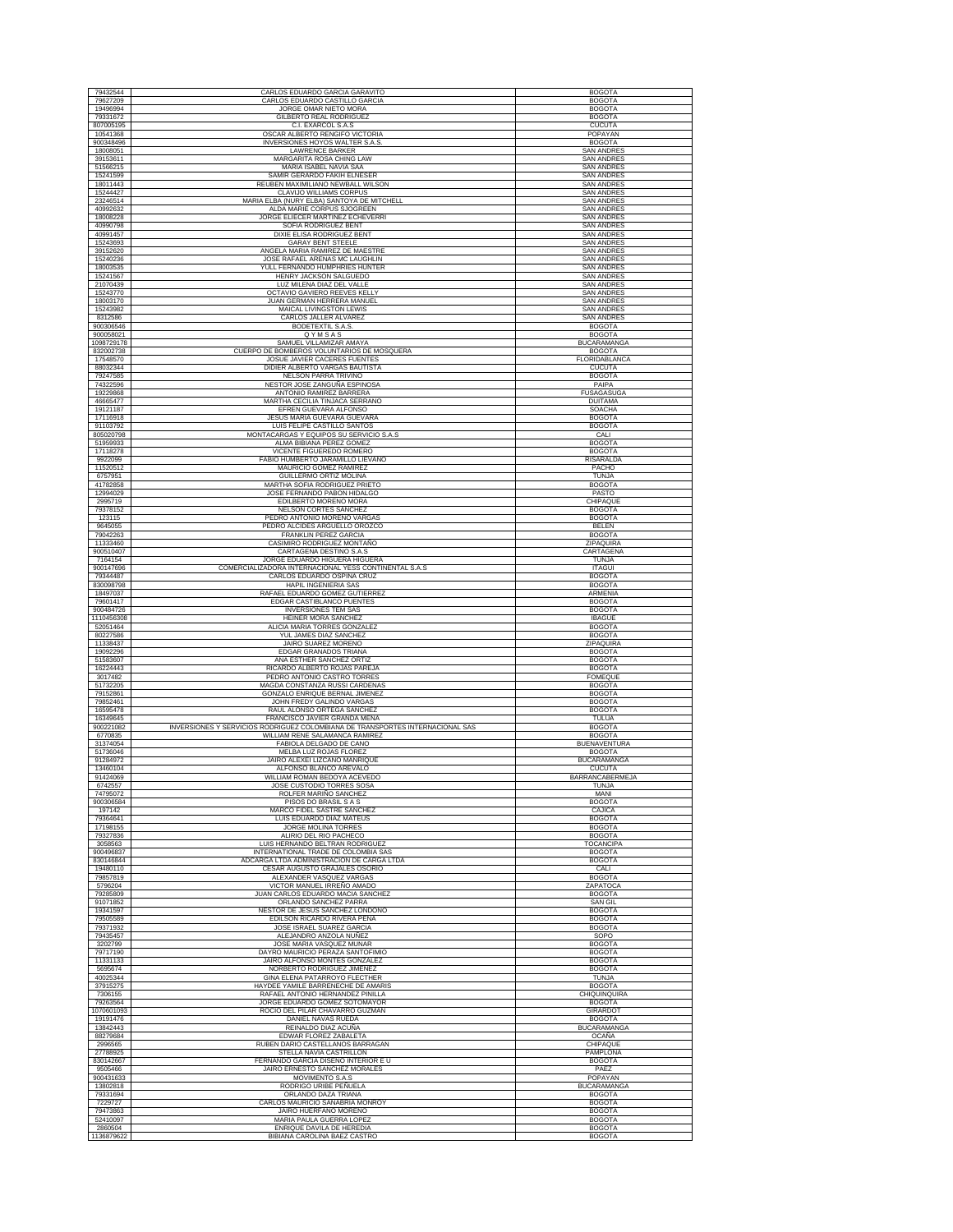|                         | CARLOS EDUARDO GARCIA GARAVITO                                                                                | <b>BOGOTA</b>                          |
|-------------------------|---------------------------------------------------------------------------------------------------------------|----------------------------------------|
| 79627209                | CARLOS EDUARDO CASTILLO GARCIA                                                                                | <b>BOGOTA</b>                          |
| 19496994<br>79331672    | JORGE OMAR NIETO MORA<br><b>GILBERTO REAL RODRIGUEZ</b>                                                       | <b>BOGOTA</b><br><b>BOGOTA</b>         |
| 807005195               | C.I. EXARCOL S.A.S                                                                                            | <b>CUCUTA</b>                          |
| 10541368<br>900348496   | OSCAR ALBERTO RENGIFO VICTORIA<br>INVERSIONES HOYOS WALTER S.A.S.                                             | POPAYAN<br><b>BOGOTA</b>               |
| 18008051                | <b>LAWRENCE BARKER</b>                                                                                        | <b>SAN ANDRES</b>                      |
| 39153611<br>51566215    | MARGARITA ROSA CHING LAW<br>MARIA ISABEL NAVIA SAA                                                            | <b>SAN ANDRES</b><br><b>SAN ANDRES</b> |
| 15241599                | SAMIR GERARDO FAKIH ELNESER                                                                                   | <b>SAN ANDRES</b>                      |
| 18011443<br>15244427    | REUBEN MAXIMILIANO NEWBALL WILSON<br><b>CLAVIJO WILLIAMS CORPUS</b>                                           | <b>SAN ANDRES</b><br><b>SAN ANDRES</b> |
| 23246514                | MARIA ELBA (NURY ELBA) SANTOYA DE MITCHELL                                                                    | <b>SAN ANDRES</b>                      |
| 40992632                | ALDA MARIE CORPUS SJOGREEN                                                                                    | <b>SAN ANDRES</b>                      |
| 18008228<br>40990798    | JORGE ELIECER MARTINEZ ECHEVERRI<br>SOFIA RODRIGUEZ BENT                                                      | <b>SAN ANDRES</b><br><b>SAN ANDRES</b> |
| 40991457                | DIXIE ELISA RODRIGUEZ BENT                                                                                    | <b>SAN ANDRES</b>                      |
| 15243693<br>39152620    | <b>GARAY BENT STEELE</b><br>ANGELA MARIA RAMIREZ DE MAESTRE                                                   | <b>SAN ANDRES</b><br><b>SAN ANDRES</b> |
| 15240236                | JOSE RAFAEL ARENAS MC LAUGHLIN                                                                                | <b>SAN ANDRES</b>                      |
| 18003535<br>15241567    | YULL FERNANDO HUMPHRIES HUNTER<br>HENRY JACKSON SALGUEDO                                                      | <b>SAN ANDRES</b><br><b>SAN ANDRES</b> |
| 21070439                | LUZ MILENA DIAZ DEL VALLE                                                                                     | <b>SAN ANDRES</b>                      |
| 15243770<br>18003170    | OCTAVIO GAVIERO REEVES KELLY<br>JUAN GERMAN HERRERA MANUEL                                                    | <b>SAN ANDRES</b><br>SAN ANDRES        |
| 15243982                | MAICAL LIVINGSTON LEWIS                                                                                       | <b>SAN ANDRES</b>                      |
| 8312586<br>900306546    | CARLOS JALLER ALVAREZ<br><b>BODETEXTIL S.A.S.</b>                                                             | <b>SAN ANDRES</b><br><b>BOGOTA</b>     |
| 900058021               | QYMSAS                                                                                                        | <b>BOGOTA</b>                          |
| 1098729178<br>832002738 | SAMUEL VILLAMIZAR AMAYA<br>CUERPO DE BOMBEROS VOLUNTARIOS DE MOSQUERA                                         | BUCARAMANGA<br><b>BOGOTA</b>           |
| 17548570                | JOSUE JAVIER CACERES FUENTES                                                                                  | FLORIDABLANCA                          |
| 88032344<br>79247585    | DIDIER ALBERTO VARGAS BAUTISTA<br>NELSON PARRA TRIVIÑO                                                        | <b>CUCUTA</b><br><b>BOGOTA</b>         |
| 74322596                | NESTOR JOSE ZANGUÑA ESPINOSA                                                                                  | PAIPA                                  |
| 19229868<br>46665477    | ANTONIO RAMIREZ BARRERA<br>MARTHA CECILIA TINJACA SERRANO                                                     | <b>FUSAGASUGA</b><br><b>DUITAMA</b>    |
| 19121187                | EFREN GUEVARA ALFONSO                                                                                         | <b>SOACHA</b>                          |
| 17116918<br>91103792    | JESUS MARIA GUEVARA GUEVARA<br>LUIS FELIPE CASTILLO SANTOS                                                    | <b>BOGOTA</b><br><b>BOGOTA</b>         |
| 805020798               | MONTACARGAS Y EQUIPOS SU SERVICIO S.A.S                                                                       | CALI                                   |
| 51959933<br>17118278    | ALMA BIBIANA PEREZ GOMEZ<br>VICENTE FIGUEREDO ROMERC                                                          | <b>BOGOTA</b><br><b>BOGOTA</b>         |
| 9922099                 | FABIO HUMBERTO JARAMILLO LIEVANO                                                                              | <b>RISARALDA</b>                       |
| 11520512<br>6757951     | MAURICIO GOMEZ RAMIREZ<br>GUILLERMO ORTIZ MOLINA                                                              | PACHO<br>TUNJA                         |
| 41782858                | MARTHA SOFIA RODRIGUEZ PRIETO                                                                                 | <b>BOGOTA</b>                          |
| 12994029<br>2995719     | JOSE FERNANDO PABON HIDALGO<br>EDILBERTO MORENO MORA                                                          | PASTO<br>CHIPAQUE                      |
| 79378152                | NELSON CORTES SANCHEZ                                                                                         | <b>BOGOTA</b>                          |
| 123115<br>9645055       | PEDRO ANTONIO MORENO VARGAS<br>PEDRO ALCIDES ARGUELLO OROZCO                                                  | <b>BOGOTA</b><br><b>BELEN</b>          |
| 79042263                | FRANKLIN PEREZ GARCIA                                                                                         | <b>BOGOTA</b>                          |
| 11333460<br>900510407   | CASIMIRO RODRIGUEZ MONTAÑO<br>CARTAGENA DESTINO S.A.S                                                         | ZIPAQUIRA<br>CARTAGENA                 |
| 7164154                 | JORGE EDUARDO HIGUERA HIGUERA                                                                                 | <b>TUNJA</b>                           |
| 900147696<br>79344487   | COMERCIALIZADORA INTERNACIONAL YESS CONTINENTAL S.A.S<br>CARLOS EDUARDO OSPINA CRUZ                           | <b>ITAGUI</b><br><b>BOGOTA</b>         |
| 830098798               | HAPIL INGENIERIA SAS                                                                                          | <b>BOGOTA</b>                          |
| 18497037<br>79601417    | RAFAEL EDUARDO GOMEZ GUTIERREZ<br>EDGAR CASTIBLANCO PUENTES                                                   | ARMENIA<br><b>BOGOTA</b>               |
| 900484726               | <b>INVERSIONES TEM SAS</b>                                                                                    | <b>BOGOTA</b>                          |
| 1110456308<br>52051464  | HEINER MORA SANCHEZ<br>ALICIA MARIA TORRES GONZALEZ                                                           | <b>IBAGUE</b><br><b>BOGOTA</b>         |
| 80227586                | YUL JAMES DIAZ SANCHEZ                                                                                        | <b>BOGOTA</b>                          |
| 11338437<br>19092296    | <b>JAIRO SUAREZ MORENO</b><br>EDGAR GRANADOS TRIANA                                                           | ZIPAQUIRA                              |
| 51583607                |                                                                                                               |                                        |
|                         | ANA ESTHER SANCHEZ ORTIZ                                                                                      | <b>BOGOTA</b><br><b>BOGOTA</b>         |
| 16224443                | RICARDO ALBERTO ROJAS PAREJA                                                                                  | <b>BOGOTA</b>                          |
| 3017482<br>51732205     | PEDRO ANTONIO CASTRO TORRES<br>MAGDA CONSTANZA RUSSI CARDENAS                                                 | <b>FOMEQUE</b><br><b>BOGOTA</b>        |
| 79152861<br>79852461    | GONZALO ENRIQUE BERNAL JIMENEZ<br>JOHN FREDY GALINDO VARGAS                                                   | <b>BOGOTA</b><br><b>BOGOTA</b>         |
| 16595478                | RAUL ALONSO ORTEGA SANCHEZ                                                                                    | <b>BOGOTA</b>                          |
| 16349645<br>900221082   | FRANCISCO JAVIER GRANDA MENA<br>INVERSIONES Y SERVICIOS RODRIGUEZ COLOMBIANA DE TRANSPORTES INTERNACIONAL SAS | TULUA<br><b>BOGOTA</b>                 |
| 6770835                 | WILLIAM RENE SALAMANCA RAMIREZ                                                                                | <b>BOGOTA</b>                          |
| 31374054<br>51736046    | FABIOLA DELGADO DE CANO<br>MELBA LUZ ROJAS FLOREZ                                                             | <b>BUENAVENTURA</b><br><b>BOGOTA</b>   |
| 91284972                | JAIRO ALEXEI LIZCANO MANRIQUE                                                                                 | <b>BUCARAMANGA</b>                     |
| 13460104<br>91424069    | ALFONSO BLANCO AREVALO<br>WILLIAM ROMAN BEDOYA ACEVEDO                                                        | <b>CUCUTA</b><br>BARRANCABERMEJA       |
| 6742557                 | JOSE CUSTODIO TORRES SOSA                                                                                     | <b>TUNJA</b>                           |
| 74795072<br>900306584   | ROLFER MARIÑO SANCHEZ<br>PISOS DO BRASIL S A S                                                                | MANI<br><b>BOGOTA</b>                  |
| 197142                  | MARCO FIDEL SASTRE SANCHEZ                                                                                    | CAJICA                                 |
| 79364641<br>17198155    | LUIS EDUARDO DIAZ MATEUS<br>JORGE MOLINA TORRES                                                               | <b>BOGOTA</b><br><b>BOGOTA</b>         |
| 79327836                | ALIRIO DEL RIO PACHECO                                                                                        | <b>BOGOTA</b>                          |
| 3058563<br>900496837    | LUIS HERNANDO BELTRAN RODRIGUEZ<br>INTERNATIONAL TRADE DE COLOMBIA SAS                                        | <b>TOCANCIPA</b><br><b>BOGOTA</b>      |
| 830146844               | ADCARGA LTDA ADMINISTRACIÓN DE CARGA LTDA                                                                     | <b>BOGOTA</b>                          |
| 19480110<br>79857819    | CESAR AUGUSTO GRAJALES OSORIO<br>ALEXANDER VASQUEZ VARGAS                                                     | CALI<br><b>BOGOTA</b>                  |
| 5796204                 | VICTOR MANUEL IRREÑO AMADO                                                                                    | ZAPATOCA                               |
| 79285809<br>91071852    | JUAN CARLOS EDUARDO MACIA SANCHEZ<br>ORLANDO SANCHEZ PARRA                                                    | <b>BOGOTA</b><br><b>SAN GIL</b>        |
| 19341597<br>79505589    | NESTOR DE JESUS SANCHEZ LONDOÑO                                                                               | <b>BOGOTA</b>                          |
| 79371932                | EDILSON RICARDO RIVERA PEÑA<br>JOSE ISRAEL SUAREZ GARCIA                                                      | <b>BOGOTA</b><br><b>BOGOTA</b>         |
| 79435457<br>3202799     | ALEJANDRO ANZOLA NUÑEZ<br>JOSE MARIA VASQUEZ MUNAR                                                            | SOPO<br><b>BOGOTA</b>                  |
| 79717190                | DAYRO MAURICIO PERAZA SANTOFIMIO                                                                              | <b>BOGOTA</b>                          |
| 11331133                | JAIRO ALFONSO MONTES GONZALEZ<br>NORBERTO RODRIGUEZ JIMENEZ                                                   | <b>BOGOTA</b>                          |
| 5695674<br>40025344     | GINA ELENA PATARROYO FLECTHER                                                                                 | <b>BOGOTA</b><br>TUNJA                 |
| 37915275                | HAYDEE YAMILE BARRENECHE DE AMARIS                                                                            | <b>BOGOTA</b>                          |
| 7306155<br>79263564     | RAFAEL ANTONIO HERNANDEZ PINILLA<br>JORGE EDUARDO GOMEZ SOTOMAYOR                                             | CHIQUINQUIRA<br><b>BOGOTA</b>          |
| 1070601093<br>19191476  | ROCIO DEL PILAR CHAVARRO GUZMAN<br>DANIEL NAVAS RUEDA                                                         | GIRARDOT<br><b>BOGOTA</b>              |
| 13842443                | REINALDO DIAZ ACUÑA                                                                                           | <b>BUCARAMANGA</b>                     |
| 88279684<br>2996565     | EDWAR FLOREZ ZABALETA<br>RUBEN DARIO CASTELLANOS BARRAGAN                                                     | <b>OCAÑA</b><br>CHIPAQUE               |
| 27788925                | STELLA NAVIA CASTRILLON                                                                                       | PAMPLONA                               |
| 830142667               | FERNANDO GARCIA DISEÑO INTERIOR E U                                                                           | <b>BOGOTA</b><br>PAEZ                  |
| 9505466<br>900431633    | JAIRO ERNESTO SANCHEZ MORALES<br>MOVIMENTO S.A.S                                                              | POPAYAN                                |
| 13802818                | RODRIGO URIBE PEÑUELA                                                                                         | <b>BUCARAMANGA</b>                     |
| 79331694<br>7229727     | ORLANDO DAZA TRIANA<br>CARLOS MAURICIO SANABRIA MONROY                                                        | <b>BOGOTA</b><br><b>BOGOTA</b>         |
| 79473863<br>52410097    | JAIRO HUERFANO MORENO<br>MARIA PAULA GUERRA LOPEZ                                                             | <b>BOGOTA</b><br><b>BOGOTA</b>         |
| 2860504<br>1136879622   | ENRIQUE DAVILA DE HEREDIA<br>BIBIANA CAROLINA BAEZ CASTRO                                                     | <b>BOGOTA</b><br><b>BOGOTA</b>         |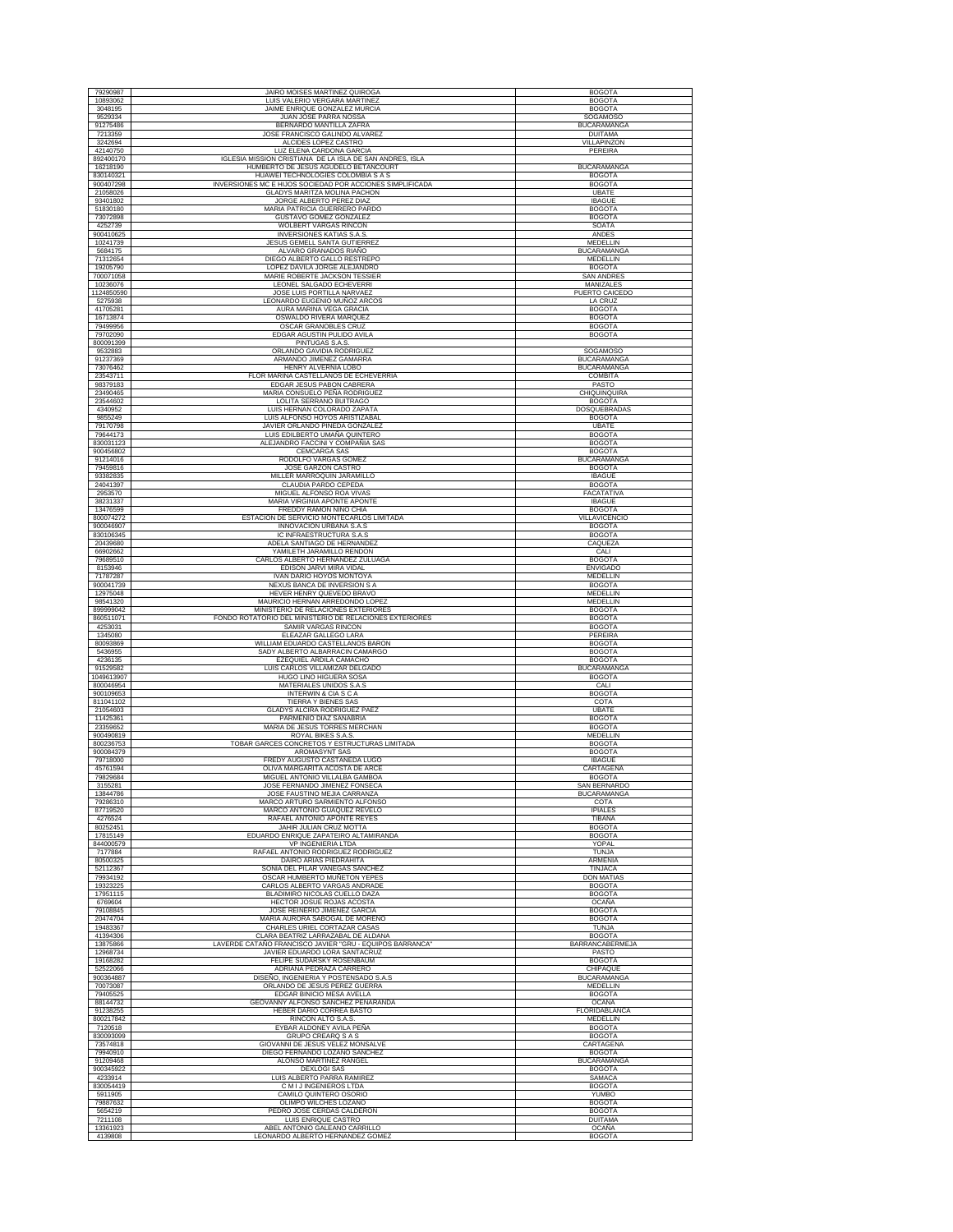| 79290987                | <b>JAIRO MOISES MARTINEZ QUIROGA</b>                                                             | <b>BOGOTA</b>                            |
|-------------------------|--------------------------------------------------------------------------------------------------|------------------------------------------|
| 10893062                | LUIS VALERIO VERGARA MARTINEZ                                                                    | <b>BOGOTA</b>                            |
| 3048195<br>9529334      | JAIME ENRIQUE GONZALEZ MURCIA<br>JUAN JOSE PARRA NOSSA                                           | <b>BOGOTA</b><br>SOGAMOSO                |
| 91275486                | BERNARDO MANTILLA ZAFRA                                                                          | <b>BUCARAMANGA</b>                       |
| 7213359<br>3242694      | JOSE FRANCISCO GALINDO ALVAREZ<br>ALCIDES LOPEZ CASTRO                                           | <b>DUITAMA</b><br>VILLAPINZON            |
| 42140750                | LUZ ELENA CARDONA GARCIA                                                                         | PEREIRA                                  |
| 892400170<br>16218190   | IGLESIA MISSION CRISTIANA DE LA ISLA DE SAN ANDRES, ISLA<br>HUMBERTO DE JESUS AGUDELO BETANCOURT | <b>BUCARAMANGA</b>                       |
| 830140321               | HUAWEI TECHNOLOGIES COLOMBIA S A S                                                               | <b>BOGOTA</b>                            |
| 900407298<br>21058026   | INVERSIONES MC E HIJOS SOCIEDAD POR ACCIONES SIMPLIFICADA<br>GLADYS MARITZA MOLINA PACHON        | <b>BOGOTA</b><br>UBATE                   |
| 93401802                | JORGE ALBERTO PEREZ DIAZ                                                                         | <b>IBAGUE</b>                            |
| 51830180<br>73072898    | MARIA PATRICIA GUERRERO PARDO<br>GUSTAVO GOMEZ GONZALEZ                                          | <b>BOGOTA</b><br><b>BOGOTA</b>           |
| 4252739                 | <b>WOLBERT VARGAS RINCON</b>                                                                     | SOATA                                    |
| 900410625<br>10241739   | <b>INVERSIONES KATIAS S.A.S</b><br>JESUS GEMELL SANTA GUTIERREZ                                  | ANDES<br>MEDELLIN                        |
| 5684175                 | ALVARO GRANADOS RIAÑO                                                                            | <b>BUCARAMANGA</b>                       |
| 71312654<br>19205790    | DIEGO ALBERTO GALLO RESTREPO<br>LOPEZ DAVILA JORGE ALEJANDRO                                     | MEDELLIN<br><b>BOGOTA</b>                |
| 700071058               | MARIE ROBERTE JACKSON TESSIER                                                                    | SAN ANDRES                               |
| 10236076<br>1124850590  | LEONEL SALGADO ECHEVERRI<br>JOSE LUIS PORTILLA NARVAEZ                                           | <b>MANIZALES</b><br>PUERTO CAICEDO       |
| 5275938                 | LEONARDO EUGENIO MUÑOZ ARCOS                                                                     | LA CRUZ                                  |
| 41705281                | AURA MARINA VEGA GRACIA                                                                          | <b>BOGOTA</b>                            |
| 16713874<br>79499956    | OSWALDO RIVERA MARQUEZ<br>OSCAR GRANOBLES CRUZ                                                   | <b>BOGOTA</b><br><b>BOGOTA</b>           |
| 79702090<br>800091399   | EDGAR AGUSTIN PULIDO AVILA<br>PINTUGAS S.A.S                                                     | <b>BOGOTA</b>                            |
| 9532883                 | ORLANDO GAVIDIA RODRIGUEZ                                                                        | <b>SOGAMOSO</b>                          |
| 91237369<br>73076462    | ARMANDO JIMENEZ GAMARRA<br>HENRY ALVERNIA LOBO                                                   | <b>BUCARAMANGA</b><br><b>BUCARAMANGA</b> |
| 23543711                | FLOR MARINA CASTELLANOS DE ECHEVERRIA                                                            | COMBITA                                  |
| 98379183                | EDGAR JESUS PABON CABRERA                                                                        | PASTO                                    |
| 23490465<br>23544602    | MARIA CONSUELO PEÑA RODRIGUEZ<br>LOLITA SERRANO BUITRAGO                                         | CHIQUINQUIRA<br><b>BOGOTA</b>            |
| 4340952                 | LUIS HERNAN COLORADO ZAPATA                                                                      | DOSQUEBRADAS                             |
| 9855249<br>79170798     | LUIS ALFONSO HOYOS ARISTIZABAL<br>JAVIER ORLANDO PINEDA GONZALEZ                                 | <b>BOGOTA</b><br><b>UBATE</b>            |
| 79644173<br>830031123   | LUIS EDILBERTO UMAÑA QUINTERO<br>ALEJANDRO FACCINI Y COMPAÑIA SAS                                | <b>BOGOTA</b><br><b>BOGOTA</b>           |
| 900456802               | <b>CEMCARGA SAS</b>                                                                              | <b>BOGOTA</b>                            |
| 91214016<br>79459816    | RODOLFO VARGAS GOMEZ<br>JOSE GARZON CASTRO                                                       | <b>BUCARAMANGA</b><br><b>BOGOTA</b>      |
| 93382835                | MILLER MARROQUIN JARAMILLO                                                                       | <b>IBAGUE</b>                            |
| 24041397<br>2953570     | CLAUDIA PARDO CEPEDA<br>MIGUEL ALFONSO ROA VIVAS                                                 | <b>BOGOTA</b><br>FACATATIVA              |
| 38231337                | MARIA VIRGINIA APONTE APONTE                                                                     | <b>IBAGUE</b>                            |
| 13476599<br>800074272   | FREDDY RAMON NIÑO CHIA<br>ESTACIÓN DE SERVICIO MONTECARLOS LIMITADA                              | <b>BOGOTA</b><br>VILLAVICENCIO           |
| 900046907               | <b>INNOVACION URBANA S.A.S</b>                                                                   | <b>BOGOTA</b>                            |
| 830106345<br>20439680   | IC INFRAESTRUCTURA S.A.S<br>ADELA SANTIAGO DE HERNANDEZ                                          | <b>BOGOTA</b><br>CAOUEZA                 |
| 66902662                | YAMILETH JARAMILLO RENDON                                                                        | CALI                                     |
| 79689510<br>8153946     | CARLOS ALBERTO HERNANDEZ ZULUAGA<br>EDISON JARVI MIRA VIDAL                                      | <b>BOGOTA</b><br><b>ENVIGADO</b>         |
| 71787287                | IVAN DARIO HOYOS MONTOYA                                                                         | MEDELLIN                                 |
| 900041739<br>12975048   | NEXUS BANCA DE INVERSION S A<br>HEVER HENRY QUEVEDO BRAVO                                        | <b>BOGOTA</b><br>MEDELLIN                |
| 98541320                | MAURICIO HERNAN ARREDONDO LOPEZ                                                                  | <b>MEDELLIN</b>                          |
| 899999042<br>860511071  | MINISTERIO DE RELACIONES EXTERIORES<br>FONDO ROTATORIO DEL MINISTERIO DE RELACIONES EXTERIORES   | <b>BOGOTA</b><br><b>BOGOTA</b>           |
| 4253031                 | SAMIR VARGAS RINCON                                                                              | <b>BOGOTA</b>                            |
| 1345080<br>80093869     | ELEAZAR GALLEGO LARA<br>WILLIAM EDUARDO CASTELLANOS BARON                                        | PEREIRA<br><b>BOGOTA</b>                 |
| 5436955                 | SADY ALBERTO ALBARRACIN CAMARGO                                                                  | <b>BOGOTA</b>                            |
| 4236135<br>91529582     | EZEQUIEL ARDILA CAMACHO<br>LUIS CARLOS VILLAMIZAR DELGADO                                        | <b>BOGOTA</b><br><b>BUCARAMANGA</b>      |
| 1049613907<br>800046954 | HUGO LINO HIGUERA SOSA<br>MATERIALES UNIDOS S.A.S                                                | <b>BOGOTA</b><br>CALI                    |
| 900109653               | INTERWIN & CIASCA                                                                                | <b>BOGOTA</b>                            |
| 811041102<br>21054603   | <b>TIERRA Y BIENES SAS</b><br>GLADYS ALCIRA RODRIGUEZ PAEZ                                       | COTA<br>UBATE                            |
| 11425361                | PARMENIO DIAZ SANABRIA                                                                           | <b>BOGOTA</b>                            |
| 23359652<br>900490819   | MARIA DE JESUS TORRES MERCHAN<br>ROYAL BIKES S.A.S                                               | <b>BOGOTA</b><br>MEDELLIN                |
| 800236753               | TOBAR GARCES CONCRETOS Y ESTRUCTURAS LIMITADA                                                    | <b>BOGOTA</b>                            |
| 900084379<br>79718000   | AROMASYNT SAS<br>FREDY AUGUSTO CASTAÑEDA LUGO                                                    | <b>BOGOTA</b><br><b>IBAGUE</b>           |
| 45761594                | OLIVA MARGARITA ACOSTA DE ARCE                                                                   | <b>CARTAGENA</b>                         |
| 79829684<br>3155281     | MIGUEL ANTONIO VILLALBA GAMBOA<br>JOSE FERNANDO JIMENEZ FONSECA                                  | <b>BOGOTA</b><br>SAN BERNARDO            |
| 13844786                | JOSE FAUSTINO MEJIA CARRANZA                                                                     | <b>BUCARAMANGA</b>                       |
| 79286310<br>87719520    | MARCO ARTURO SARMIENTO ALFONSO<br>MARCO ANTONIO GUAQUEZ REVELO                                   | COTA<br><b>IPIALES</b>                   |
| 4276524                 | RAFAEL ANTONIO APONTE REYES                                                                      | <b>TIBANA</b>                            |
| 80252451<br>17815149    | JAHIR JULIAN CRUZ MOTTA<br>EDUARDO ENRIQUE ZAPATEIRO ALTAMIRANDA                                 | <b>BOGOTA</b><br><b>BOGOTA</b>           |
| 844000579<br>7177884    | VP INGENIERIA LTDA                                                                               | YOPAL                                    |
| 80500325                | RAFAEL ANTONIO RODRIGUEZ RODRIGUEZ<br>DAIRO ARIAS PIEDRAHITA                                     | <b>TUNJA</b><br><b>ARMENIA</b>           |
| 52112367<br>79934192    | SONIA DEL PILAR VANEGAS SANCHEZ<br>OSCAR HUMBERTO MUÑETON YEPES                                  | <b>TINJACA</b><br><b>DON MATIAS</b>      |
| 19323225                | CARLOS ALBERTO VARGAS ANDRADE                                                                    | <b>BOGOTA</b>                            |
| 17951115<br>6769604     | BLADIMIRO NICOLAS CUELLO DAZA<br>HECTOR JOSUE ROJAS ACOSTA                                       | <b>BOGOTA</b><br><b>OCAÑA</b>            |
| 79108845                | JOSE REINERIO JIMENEZ GARCIA                                                                     | <b>BOGOTA</b>                            |
| 20474704<br>19483367    | MARIA AURORA SABOGAL DE MORENO<br>CHARLES URIEL CORTAZAR CASAS                                   | <b>BOGOTA</b><br><b>TUNJA</b>            |
| 41394306                | CLARA BEATRIZ LARRAZABAL DE ALDANA                                                               | <b>BOGOTA</b>                            |
| 13875866<br>12968734    | LAVERDE CATAÑO FRANCISCO JAVIER "GRU - EQUIPOS BARRANCA"<br>JAVIER EDUARDO LORA SANTACRUZ        | BARRANCABERMEJA<br>PASTO                 |
| 19168282                | FELIPE SUDARSKY ROSENBAUM                                                                        | <b>BOGOTA</b>                            |
| 52522066<br>900364887   | ADRIANA PEDRAZA CARRERO<br>DISEÑO, INGENIERIA Y POSTENSADO S.A.S                                 | CHIPAQUE<br><b>BUCARAMANGA</b>           |
| 70073087                | ORLANDO DE JESUS PEREZ GUERRA                                                                    | MEDELLIN                                 |
| 79405525<br>88144732    | EDGAR BINICIO MESA AVELLA<br>GEOVANNY ALFONSO SANCHEZ PEÑARANDA                                  | <b>BOGOTA</b><br><b>OCAÑA</b>            |
| 91238255                | HEBER DARIO CORREA BASTO                                                                         | FLORIDABLANCA                            |
| 800217842<br>7120518    | RINCON ALTO S.A.S.<br>EYBAR ALDONEY AVILA PEÑA                                                   | MEDELLIN<br><b>BOGOTA</b>                |
| 830093099               | GRUPO CREARQ S A S                                                                               | <b>BOGOTA</b>                            |
| 73574818<br>79940910    | GIOVANNI DE JESUS VELEZ MONSALVE<br>DIEGO FERNANDO LOZANO SANCHEZ                                | CARTAGENA<br><b>BOGOTA</b>               |
| 91209468                | ALONSO MARTINEZ RANGEL                                                                           | <b>BUCARAMANGA</b>                       |
| 900345922<br>4233914    | <b>DEXLOGI SAS</b><br>LUIS ALBERTO PARRA RAMIREZ                                                 | <b>BOGOTA</b><br><b>SAMACA</b>           |
| 830054419               | C M I J INGENIEROS LTDA                                                                          | <b>BOGOTA</b>                            |
| 5911905<br>79887632     | CAMILO QUINTERO OSORIO<br>OLIMPO WILCHES LOZANO                                                  | YUMBO<br><b>BOGOTA</b>                   |
| 5654219                 | PEDRO JOSE CERDAS CALDERON                                                                       | <b>BOGOTA</b>                            |
| 7211108<br>13361923     | LUIS ENRIQUE CASTRO<br>ABEL ANTONIO GALEANO CARRILLO                                             | <b>DUITAMA</b><br>OCAÑA                  |
|                         | LEONARDO ALBERTO HERNANDEZ GOMEZ                                                                 | <b>BOGOTA</b>                            |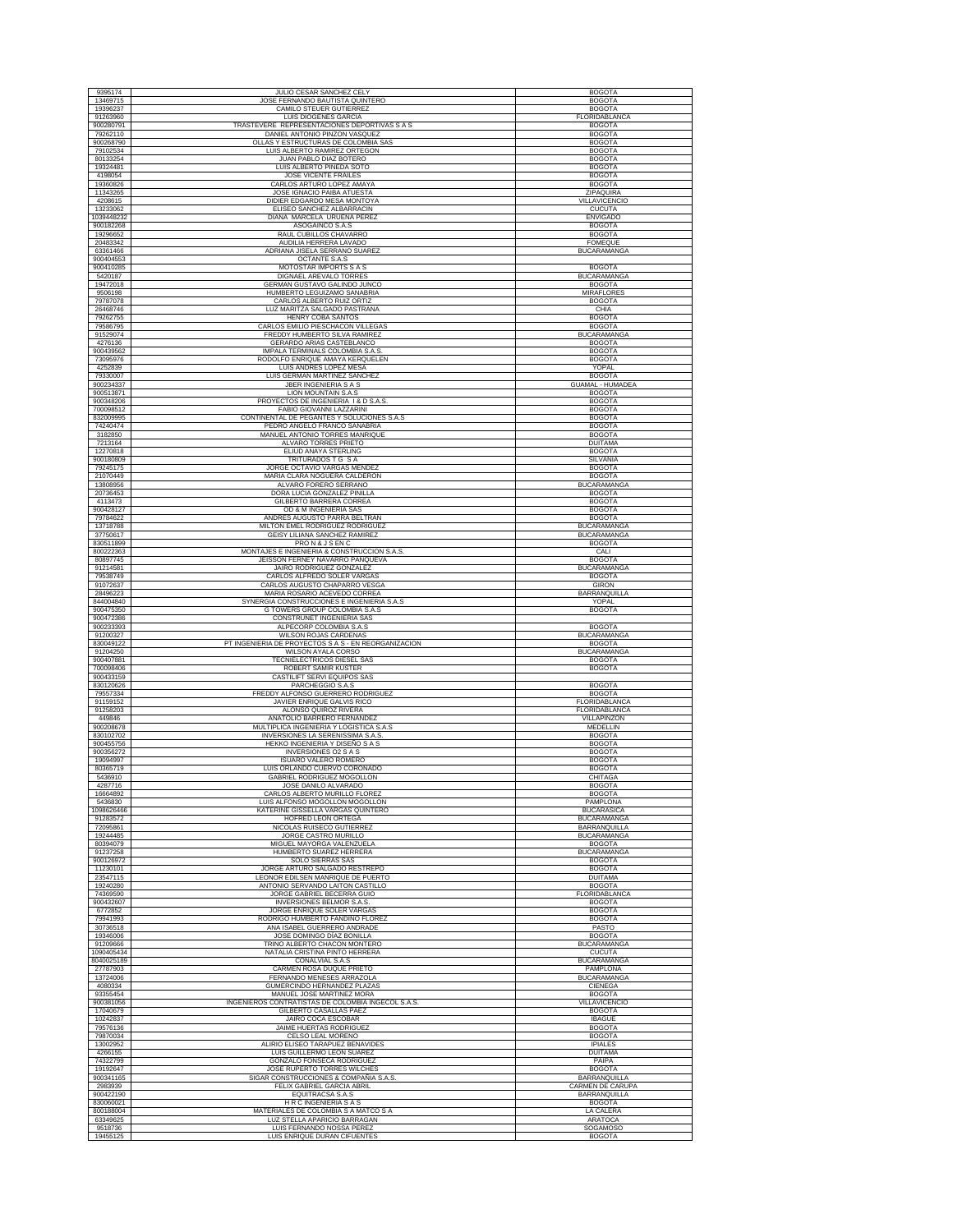| 9395174                | JULIO CESAR SANCHEZ CELY                                   | <b>BOGOTA</b>           |
|------------------------|------------------------------------------------------------|-------------------------|
| 13469715               | JOSE FERNANDO BAUTISTA QUINTERO                            | <b>BOGOTA</b>           |
| 19396237               | CAMILO STEUER GUTIERREZ                                    | <b>BOGOTA</b>           |
| 91263960               | <b>LUIS DIOGENES GARCIA</b>                                | FLORIDABLANCA           |
| 900280791              | TRASTEVERE REPRESENTACIONES DEPORTIVAS S A S               | <b>BOGOTA</b>           |
| 79262110               | DANIEL ANTONIO PINZON VASQUEZ                              | <b>BOGOTA</b>           |
| 900268790              | OLLAS Y ESTRUCTURAS DE COLOMBIA SAS                        | <b>BOGOTA</b>           |
| 79102534               | LUIS ALBERTO RAMIREZ ORTEGON                               | <b>BOGOTA</b>           |
| 80133254               | JUAN PABLO DIAZ BOTERO                                     | <b>BOGOTA</b>           |
| 19324481               | LUIS ALBERTO PINEDA SOTO                                   | <b>BOGOTA</b>           |
| 4198054                | <b>JOSE VICENTE FRAILES</b>                                | <b>BOGOTA</b>           |
| 19360826               | CARLOS ARTURO LOPEZ AMAYA                                  | <b>BOGOTA</b>           |
| 11343265               | JOSE IGNACIO PAIBA ATUESTA                                 | ZIPAQUIRA               |
| 4208615                | DIDIER EDGARDO MESA MONTOYA                                | <b>VILLAVICENCIO</b>    |
| 13233062               | ELISEO SANCHEZ ALBARRACIN                                  | <b>CUCUTA</b>           |
| 1039448232             | DIANA MARCELA URUEÑA PEREZ                                 | <b>ENVIGADO</b>         |
| 900182268              | ASOGAINCO S.A.S                                            | <b>BOGOTA</b>           |
| 19296652               | RAUL CUBILLOS CHAVARRO                                     | <b>BOGOTA</b>           |
| 20483342               | AUDILIA HERRERA LAVADO                                     | <b>FOMEOUE</b>          |
| 63361466               | ADRIANA JISELA SERRANO SUAREZ                              | <b>BUCARAMANGA</b>      |
| 900404553<br>900410285 | OCTANTE S.A.S<br>MOTOSTAR IMPORTS S A S                    | <b>BOGOTA</b>           |
| 5420187                | DIGNAEL AREVALO TORRES                                     | <b>BUCARAMANGA</b>      |
| 19472018               | GERMAN GUSTAVO GALINDO JUNCO                               | <b>BOGOTA</b>           |
| 9506198                | HUMBERTO LEGUIZAMO SANABRIA                                | MIRAFLORES              |
| 79787078               | CARLOS ALBERTO RUIZ ORTIZ                                  | <b>BOGOTA</b>           |
| 26468746               | LUZ MARITZA SALGADO PASTRANA                               | CHIA                    |
| 79262755               | <b>HENRY COBA SANTOS</b>                                   | <b>BOGOTA</b>           |
| 79586795               | CARLOS EMILIO PIESCHACON VILLEGAS                          | <b>BOGOTA</b>           |
| 91529074               | FREDDY HUMBERTO SILVA RAMIREZ                              | <b>BUCARAMANGA</b>      |
| 4276136                | GERARDO ARIAS CASTEBLANCO                                  | <b>BOGOTA</b>           |
| 900439562              | IMPALA TERMINALS COLOMBIA S.A.S                            | <b>BOGOTA</b>           |
| 73095976               | RODOLFO ENRIQUE AMAYA KERQUELEN                            | <b>BOGOTA</b>           |
| 4252839                | LUIS ANDRES LOPEZ MESA                                     | YOPAL                   |
| 79330007               | LUIS GERMAN MARTINEZ SANCHEZ                               | <b>BOGOTA</b>           |
| 900234337              | <b>JBER INGENIERIA S A S</b>                               | <b>GUAMAL - HUMADEA</b> |
| 900513871              | LION MOUNTAIN S.A.S                                        | <b>BOGOTA</b>           |
| 900348206              | PROYECTOS DE INGENIERIA 1 & D S.A.S.                       | <b>BOGOTA</b>           |
| 700098512              | FABIO GIOVANNI LAZZARINI                                   | <b>BOGOTA</b>           |
| 832009995              | CONTINENTAL DE PEGANTES Y SOLUCIONES S.A.S                 | <b>BOGOTA</b>           |
| 74240474               | PEDRO ANGELO FRANCO SANABRIA                               | <b>BOGOTA</b>           |
| 3182850                | MANUEL ANTONIO TORRES MANRIQUE                             | <b>BOGOTA</b>           |
| 7213164                | ALVARO TORRES PRIETO                                       | <b>DUITAMA</b>          |
| 12270818               | ELIUD ANAYA STERLING                                       | <b>BOGOTA</b>           |
| 900180809              | TRITURADOS T G S A                                         | SILVANIA                |
| 79245175               | JORGE OCTAVIO VARGAS MENDEZ                                | <b>BOGOTA</b>           |
| 21070449               | MARIA CLARA NOGUERA CALDERON                               | <b>BOGOTA</b>           |
| 13808956               | ALVARO FORERO SERRANO                                      | <b>BUCARAMANGA</b>      |
| 20736453               | DORA LUCIA GONZALEZ PINILLA                                | <b>BOGOTA</b>           |
| 4113473                | GILBERTO BARRERA CORREA                                    | <b>BOGOTA</b>           |
| 900428127              | OD & M INGENIERIA SAS                                      | <b>BOGOTA</b>           |
| 79784622               | ANDRES AUGUSTO PARRA BELTRAN                               | <b>BOGOTA</b>           |
| 13718788               | MILTON EMEL RODRIGUEZ RODRIGUEZ                            | <b>BUCARAMANGA</b>      |
| 37750617               | GEISY LILIANA SANCHEZ RAMIREZ                              | <b>BUCARAMANGA</b>      |
| 830511899              | PRON& JSENC                                                | <b>BOGOTA</b>           |
| 800222363              | MONTAJES E INGENIERIA & CONSTRUCCION S.A.S.                | CALI                    |
| 80897745               | JEISSON FERNEY NAVARRO PANQUEVA                            | <b>BOGOTA</b>           |
| 91214581               | JAIRO RODRIGUEZ GONZALEZ                                   | <b>BUCARAMANGA</b>      |
| 79538749               | CARLOS ALFREDO SOLER VARGAS                                | <b>BOGOTA</b>           |
| 91072637               | CARLOS AUGUSTO CHAPARRO VESGA                              | <b>GIRON</b>            |
| 28496223               | MARIA ROSARIO ACEVEDO CORREA                               | <b>BARRANQUILLA</b>     |
| 844004840              | SYNERGIA CONSTRUCCIONES E INGENIERIA S.A.S                 | YOPAL                   |
|                        |                                                            |                         |
| 900475350<br>900472386 | G TOWERS GROUP COLOMBIA S.A.S<br>CONSTRUNET INGENIERIA SAS | <b>BOGOTA</b>           |
| 900233393              | ALPECORP COLOMBIA S.A.S                                    | <b>BOGOTA</b>           |
| 91200327               | WILSON ROJAS CARDENAS                                      | <b>BUCARAMANGA</b>      |
| 830049122              | PT INGENIERIA DE PROYECTOS S A S - EN REORGANIZACION       | <b>BOGOTA</b>           |
| 91204250               | WILSON AYALA CORSO                                         | <b>BUCARAMANGA</b>      |
| 900407881              | TECNIELECTRICOS DIESEL SAS                                 | <b>BOGOTA</b>           |
| 700098406              | ROBERT SAMIR KUSTER                                        | <b>BOGOTA</b>           |
| 900433159<br>830120626 | CASTILIFT SERVI EQUIPOS SAS<br>PARCHEGGIO S.A.S            | <b>BOGOTA</b>           |
| 79557334               | FREDDY ALFONSO GUERRERO RODRIGUEZ                          | <b>BOGOTA</b>           |
| 91159152               | JAVIER ENRIQUE GALVIS RICO                                 | FLORIDABLANCA           |
| 91258203               | ALONSO QUIROZ RIVERA                                       | FLORIDABLANCA           |
| 449846                 | ANATOLIO BARRERO FERNANDEZ                                 | <b>VILLAPINZON</b>      |
| 900208678              | MULTIPLICA INGENIERIA Y LOGISTICA S.A.S                    | MEDELLIN                |
| 830102702              | INVERSIONES LA SERENISSIMA S.A.S                           | <b>BOGOTA</b>           |
| 900455756              | HEKKO INGENIERIA Y DISEÑO S A S                            | <b>BOGOTA</b>           |
| 900356272              | INVERSIONES O2 S A S                                       | <b>BOGOTA</b>           |
| 19094997               | <b>ISUARO VALERO ROMERO</b>                                | <b>BOGOTA</b>           |
| 80365719               | LUIS ORLANDO CUERVO CORONADO                               | <b>BOGOTA</b>           |
| 5436910                | GABRIEL RODRIGUEZ MOGOLLON                                 | CHITAGA                 |
| 4287716                | JOSE DANILO ALVARADO                                       | <b>BOGOTA</b>           |
| 16664892               | CARLOS ALBERTO MURILLO FLOREZ                              | <b>BOGOTA</b>           |
| 5436830                | LUIS ALFONSO MOGOLLON MOGOLLON                             | PAMPLONA                |
| 1098626466             | KATERINE GISSELLA VARGAS QUINTERO                          | <b>BUCARASICA</b>       |
| 91283572               | <b>HOFRED LEON ORTEGA</b>                                  | <b>BUCARAMANGA</b>      |
| 72095861               | NICOLAS RUISECO GUTIERREZ                                  | BARRANQUILLA            |
| 19244485               | JORGE CASTRO MURILLO                                       | <b>BUCARAMANGA</b>      |
| 80394079               | MIGUEL MAYORGA VALENZUELA                                  | <b>BOGOTA</b>           |
| 91237258               | HUMBERTO SUAREZ HERRERA                                    | <b>BUCARAMANGA</b>      |
| 900126972              | <b>SOLO SIERRAS SAS</b>                                    | <b>BOGOTA</b>           |
| 11230101               | JORGE ARTURO SALGADO RESTREPO                              | <b>BOGOTA</b>           |
| 23547115               | LEONOR EDILSEN MANRIQUE DE PUERTO                          | <b>DUITAMA</b>          |
| 19240280               | ANTONIO SERVANDO LAITON CASTILLO                           | <b>BOGOTA</b>           |
| 74369590               | JORGE GABRIEL BECERRA GUIO                                 | FLORIDABLANCA           |
| 900432607              | INVERSIONES BELMOR S.A.S.                                  | <b>BOGOTA</b>           |
| 6772852                | JORGE ENRIQUE SOLER VARGAS                                 | <b>BOGOTA</b>           |
| 79941993               | RODRIGO HUMBERTO FANDIÑO FLOREZ                            | <b>BOGOTA</b>           |
| 30736518               | ANA ISABEL GUERRERO ANDRADE                                | PASTO                   |
| 19346006               | JOSE DOMINGO DÍAZ BONILLA                                  | <b>BOGOTA</b>           |
| 91209666               | TRINO ALBERTO CHACON MONTERO                               | <b>BUCARAMANGA</b>      |
| 1090405434             | NATALIA CRISTINA PINTO HERRERA                             | <b>CUCUTA</b>           |
| 8040025189             | CONALVIAL S.A.S                                            | <b>BUCARAMANGA</b>      |
| 27787903               | CARMEN ROSA DUQUE PRIETO                                   | PAMPLONA                |
| 13724006               | FERNANDO MENESES ARRAZOLA                                  | <b>BUCARAMANGA</b>      |
| 4080334                | GUMERCINDO HERNANDEZ PLAZAS                                | CIENEGA                 |
| 93355454               | MANUEL JOSE MARTINEZ MORA                                  | <b>BOGOTA</b>           |
| 900381056              | INGENIEROS CONTRATISTAS DE COLOMBIA INGECOL S.A.S          | VILLAVICENCIO           |
| 17040679               | GILBERTO CASALLAS PAEZ                                     | <b>BOGOTA</b>           |
| 10242837               | JAIRO COCA ESCOBAR                                         | <b>IBAGUE</b>           |
| 79576136               | JAIME HUERTAS RODRIGUEZ                                    | <b>BOGOTA</b>           |
| 79870034               | CELSO LEAL MORENO                                          | <b>BOGOTA</b>           |
| 13002952               | ALIRIO ELISEO TARAPUEZ BENAVIDES                           | <b>IPIALES</b>          |
| 4266155                | LUIS GUILLERMO LEON SUAREZ                                 | <b>DUITAMA</b>          |
| 74322799               | GONZALO FONSECA RODRIGUEZ                                  | PAIPA                   |
| 19192647               | JOSE RUPERTO TORRES WILCHES                                | <b>BOGOTA</b>           |
| 900341165              | SIGAR CONSTRUCCIONES & COMPAÑIA S.A.S.                     | BARRANQUILLA            |
| 2983939                | FELIX GABRIEL GARCIA ABRIL                                 | CARMEN DE CARUPA        |
| 900422190              | EQUITRACSA S.A.S                                           | BARRANQUILLA            |
| 830060021              | H R C INGENIERIA S A S                                     | <b>BOGOTA</b>           |
| 800188004              | MATERIALES DE COLOMBIA S A MATCO S A                       | LA CALERA               |
| 63349625               | LUZ STELLA APARICIO BARRAGAN                               | <b>ARATOCA</b>          |
| 9518736                | LUIS FERNANDO NOSSA PEREZ                                  | SOGAMOSO                |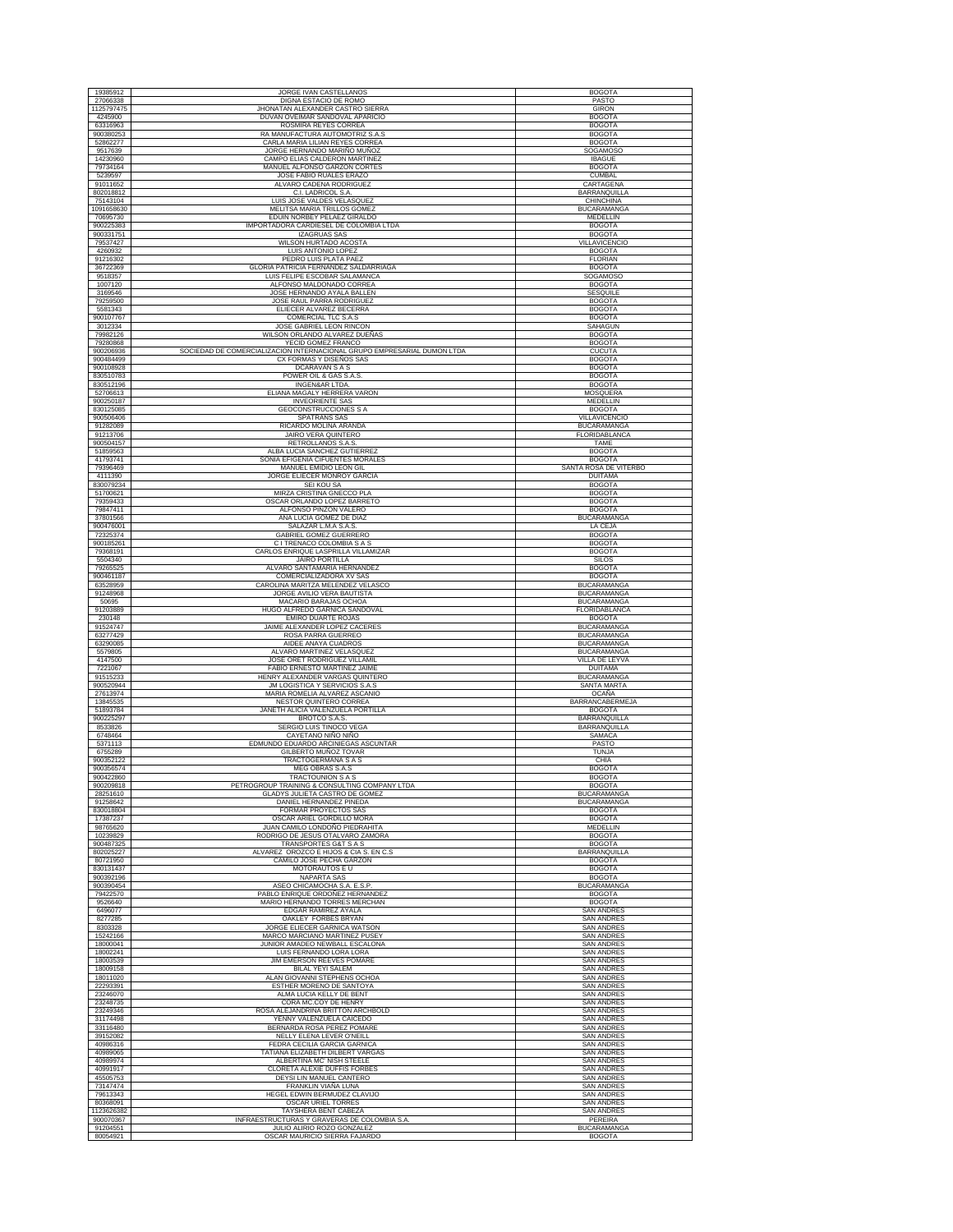| 19385912                            | JORGE IVAN CASTELLANOS                                                                             | <b>BOGOTA</b>                                      |
|-------------------------------------|----------------------------------------------------------------------------------------------------|----------------------------------------------------|
| 27066338                            | DIGNA ESTACIO DE ROMO                                                                              | PASTO                                              |
| 1125797475                          | JHONATAN ALEXANDER CASTRO SIERRA                                                                   | <b>GIRON</b>                                       |
| 4245900<br>63316963                 | DUVAN OVEIMAR SANDOVAL APARICIO<br>ROSMIRA REYES CORREA                                            | <b>BOGOTA</b><br><b>BOGOTA</b>                     |
| 900380253                           | RA MANUFACTURA AUTOMOTRIZ S.A.S                                                                    | <b>BOGOTA</b>                                      |
| 52862277                            | CARLA MARIA LILIAN REYES CORREA                                                                    | <b>BOGOTA</b>                                      |
| 9517639<br>14230960                 | JORGE HERNANDO MARIÑO MUÑOZ<br>CAMPO ELIAS CALDERON MARTINEZ                                       | SOGAMOSO<br><b>IBAGUE</b>                          |
| 79734164                            | MANUEL ALFONSO GARZON CORTES                                                                       | <b>BOGOTA</b>                                      |
| 5239597                             | JOSE FABIO RUALES ERAZO                                                                            | <b>CUMBAL</b>                                      |
| 91011652<br>802018812               | ALVARO CADENA RODRIGUEZ<br>C.I. LADRICOL S.A.                                                      | CARTAGENA<br><b>BARRANQUILLA</b>                   |
| 75143104                            | LUIS JOSE VALDES VELASQUEZ                                                                         | CHINCHINA                                          |
| 1091658630                          | MELITSA MARIA TRILLOS GOMEZ                                                                        | <b>BUCARAMANGA</b>                                 |
| 70695730<br>900225383               | EDUIN NORBEY PELAEZ GIRALDO<br>IMPORTADORA CARDIESEL DE COLOMBIA LTDA                              | MEDELLIN<br><b>BOGOTA</b>                          |
| 900331751                           | <b>IZAGRUAS SAS</b>                                                                                | <b>BOGOTA</b>                                      |
| 79537427<br>4260932                 | WILSON HURTADO ACOSTA<br>LUIS ANTONIO LOPEZ                                                        | <b>VILLAVICENCIO</b><br><b>BOGOTA</b>              |
| 91216302                            | PEDRO LUIS PLATA PAEZ                                                                              | <b>FLORIAN</b>                                     |
| 36722369                            | GLORIA PATRICIA FERNANDEZ SALDARRIAGA                                                              | <b>BOGOTA</b>                                      |
| 9518357<br>1007120                  | LUIS FELIPE ESCOBAR SALAMANCA<br>ALFONSO MALDONADO CORREA                                          | SOGAMOSO<br><b>BOGOTA</b>                          |
| 3169546                             | JOSE HERNANDO AYALA BALLEN                                                                         | <b>SESQUILE</b>                                    |
| 79259500                            | JOSE RAUL PARRA RODRIGUEZ                                                                          | <b>BOGOTA</b>                                      |
| 5581343<br>900107767                | ELIECER ALVAREZ BECERRA<br>COMERCIAL TLC S.A.S                                                     | <b>BOGOTA</b><br><b>BOGOTA</b>                     |
| 3012334                             | JOSE GABRIEL LEON RINCON                                                                           | SAHAGUN                                            |
| 79982126                            | WILSON ORLANDO ALVAREZ DUEÑAS                                                                      | <b>BOGOTA</b>                                      |
| 79280868<br>900206936               | YECID GOMEZ FRANCO<br>SOCIEDAD DE COMERCIALIZACION INTERNACIONAL GRUPO EMPRESARIAL DUMON LTDA      | <b>BOGOTA</b><br><b>CUCUTA</b>                     |
| 900484499                           | CX FORMAS Y DISEÑOS SAS                                                                            | <b>BOGOTA</b>                                      |
| 900108928                           | DCARAVAN S A S                                                                                     | <b>BOGOTA</b>                                      |
| 830510783<br>830512196              | POWER OIL & GAS S.A.S.<br>INGEN&AR LTDA.                                                           | <b>BOGOTA</b><br><b>BOGOTA</b>                     |
| 52706613                            | ELIANA MAGALY HERRERA VARON                                                                        | MOSQUERA                                           |
| 900250187<br>830125085              | <b>INVEORIENTE SAS</b><br><b>GEOCONSTRUCCIONES S A</b>                                             | <b>MEDELLIN</b><br><b>BOGOTA</b>                   |
| 900506406                           | SPATRANS SAS                                                                                       | VILLAVICENCIO                                      |
| 91282089                            | RICARDO MOLINA ARANDA                                                                              | <b>BUCARAMANGA</b>                                 |
| 91213706<br>900504157               | JAIRO VERA QUINTERO<br>RETROLLANOS S.A.S.                                                          | FLORIDABLANCA<br><b>TAME</b>                       |
| 51859563                            | ALBA LUCIA SANCHEZ GUTIERREZ                                                                       | <b>BOGOTA</b>                                      |
| 41793741<br>79396469                | SONIA EFIGENIA CIFUENTES MORALES<br>MANUEL EMIDIO LEON GIL                                         | <b>BOGOTA</b><br>SANTA ROSA DE VITERBO             |
| 4111390                             | JORGE ELIECER MONROY GARCIA                                                                        | <b>DUITAMA</b>                                     |
| 830079234                           | SEI KOU SA                                                                                         | <b>BOGOTA</b>                                      |
| 51700621<br>79359433                | MIRZA CRISTINA GNECCO PLA<br>OSCAR ORLANDO LOPEZ BARRETO                                           | <b>BOGOTA</b><br><b>BOGOTA</b>                     |
| 79847411                            | ALFONSO PINZON VALERO                                                                              | <b>BOGOTA</b>                                      |
| 37801566<br>900476001               | ANA LUCIA GOMEZ DE DIAZ<br>SALAZAR L.M.A S.A.S.                                                    | <b>BUCARAMANGA</b><br>LA CEJA                      |
| 72325374                            | GABRIEL GOMEZ GUERRERO                                                                             | <b>BOGOTA</b>                                      |
| 900185261<br>79368191               | C I TRENACO COLOMBIA S A S<br>CARLOS ENRIQUE LASPRILLA VILLAMIZAR                                  | <b>BOGOTA</b><br><b>BOGOTA</b>                     |
| 5504340                             | <b>JAIRO PORTILLA</b>                                                                              | <b>SILOS</b>                                       |
| 79265525                            | ALVARO SANTAMARIA HERNANDEZ                                                                        | <b>BOGOTA</b>                                      |
| 900461187<br>63528959               | COMERCIALIZADORA XV SAS<br>CAROLINA MARITZA MELENDEZ VELASCO                                       | <b>BOGOTA</b><br><b>BUCARAMANGA</b>                |
| 91248968                            | JORGE AVILIO VERA BAUTISTA                                                                         | <b>BUCARAMANGA</b>                                 |
| 50695<br>91203889                   | MACARIO BARAJAS OCHOA<br>HUGO ALFREDO GARNICA SANDOVAL                                             | <b>BUCARAMANGA</b><br>FLORIDABLANCA                |
|                                     |                                                                                                    |                                                    |
| 230148                              | EMIRO DUARTE ROJAS                                                                                 | <b>BOGOTA</b>                                      |
| 91524747                            | JAIME ALEXANDER LOPEZ CACERES                                                                      | <b>BUCARAMANGA</b>                                 |
| 63277429<br>63290085                | ROSA PARRA GUERREO<br>AIDEE ANAYA CUADROS                                                          | <b>BUCARAMANGA</b><br><b>BUCARAMANGA</b>           |
| 5579805                             | ALVARO MARTINEZ VELASQUEZ                                                                          | <b>BUCARAMANGA</b>                                 |
| 4147500<br>7221067                  | JOSE ORET RODRIGUEZ VILLAMIL<br>FABIO ERNESTO MARTINEZ JAIME                                       | VILLA DE LEYVA<br><b>DUITAMA</b>                   |
| 91515233                            | HENRY ALEXANDER VARGAS QUINTERO                                                                    | <b>BUCARAMANGA</b>                                 |
| 900520944<br>27613974               | JM LOGISTICA Y SERVICIOS S.A.S<br>MARIA ROMELIA ALVAREZ ASCANIO                                    | SANTA MARTA<br><b>OCAÑA</b>                        |
| 13845535                            | NESTOR QUINTERO CORREA                                                                             | <b>BARRANCABERMEJA</b>                             |
| 51893784<br>900225297               | JANETH ALICIA VALENZUELA PORTILLA                                                                  | <b>BOGOTA</b>                                      |
| 8533826                             | BROTCO S.A.S.<br>SERGIO LUIS TINOCO VEGA                                                           | BARRANQUILLA<br>BARRANQUILLA                       |
| 6748464<br>5371113                  | CAYETANO NIÑO NIÑO<br>EDMUNDO EDUARDO ARCINIEGAS ASCUNTAR                                          | SAMACA<br>PASTO                                    |
| 6755289                             | GILBERTO MUÑOZ TOVAR                                                                               | TUNJA                                              |
| 900352122<br>900356574              | TRACTOGERMANA S A S<br><b>MEG OBRAS S.A.S</b>                                                      | CHIA<br><b>BOGOTA</b>                              |
| 900422860                           | <b>TRACTOUNION S A S</b>                                                                           | <b>BOGOTA</b>                                      |
| 900209818                           | PETROGROUP TRAINING & CONSULTING COMPANY LTDA                                                      | <b>BOGOTA</b>                                      |
| 28251610<br>91258642                | GLADYS JULIETA CASTRO DE GOMEZ<br>DANIEL HERNANDEZ PINEDA                                          | <b>BUCARAMANGA</b><br><b>BUCARAMANGA</b>           |
| 830018804                           | FORMAR PROYECTOS SAS                                                                               | <b>BOGOTA</b>                                      |
| 17387237<br>98765620                | OSCAR ARIEL GORDILLO MORA<br>JUAN CAMILO LONDOÑO PIEDRAHITA                                        | <b>BOGOTA</b><br>MEDELLIN                          |
| 10239829                            | RODRIGO DE JESUS OTALVARO ZAMORA                                                                   | <b>BOGOTA</b>                                      |
| 900487325<br>802025227              | TRANSPORTES G&T S A S<br>ALVAREZ OROZCO E HIJOS & CIA S. EN C.S                                    | <b>BOGOTA</b><br><b>BARRANQUILLA</b>               |
| 80721950                            | CAMILO JOSE PECHA GARZON                                                                           | <b>BOGOTA</b>                                      |
| 830131437<br>900392196              | MOTORAUTOS E U<br><b>NAPARTA SAS</b>                                                               | <b>BOGOTA</b><br><b>BOGOTA</b>                     |
| 900390454                           | ASEO CHICAMOCHA S.A. E.S.P                                                                         | <b>BUCARAMANGA</b>                                 |
| 79422570<br>9526640                 | PABLO ENRIQUE ORDOÑEZ HERNANDEZ<br>MARIO HERNANDO TORRES MERCHAN                                   | <b>BOGOTA</b><br><b>BOGOTA</b>                     |
| 6496077                             | EDGAR RAMIREZ AYALA                                                                                | <b>SAN ANDRES</b>                                  |
| 8277285<br>8303328                  | OAKLEY FORBES BRYAN<br>JORGE ELIECER GARNICA WATSON                                                | <b>SAN ANDRES</b><br><b>SAN ANDRES</b>             |
| 15242166                            | MARCO MARCIANO MARTINEZ PUSEY                                                                      | <b>SAN ANDRES</b>                                  |
| 18000041                            | JUNIOR AMADEO NEWBALL ESCALONA                                                                     | <b>SAN ANDRES</b>                                  |
| 18002241<br>18003539                | LUIS FERNANDO LORA LORA<br>JIM EMERSON REEVES POMARE                                               | <b>SAN ANDRES</b><br><b>SAN ANDRES</b>             |
| 18009158                            | BILAL YEYI SALEM                                                                                   | <b>SAN ANDRES</b>                                  |
| 18011020<br>22293391                | ALAN GIOVANNI STEPHENS OCHOA<br>ESTHER MORENO DE SANTOYA                                           | <b>SAN ANDRES</b><br><b>SAN ANDRES</b>             |
| 23246070                            | ALMA LUCIA KELLY DE BENT                                                                           | <b>SAN ANDRES</b>                                  |
| 23248735<br>23249346                | CORA MC.COY DE HENRY<br>ROSA ALEJANDRINA BRITTON ARCHBOLD                                          | <b>SAN ANDRES</b><br><b>SAN ANDRES</b>             |
| 31174498                            | YENNY VALENZUELA CAICEDO                                                                           | <b>SAN ANDRES</b>                                  |
| 33116480<br>39152082                | BERNARDA ROSA PEREZ POMARE<br>NELLY ELENA LEVER O'NEILL                                            | <b>SAN ANDRES</b><br><b>SAN ANDRES</b>             |
| 40986316                            | FEDRA CECILIA GARCIA GARNICA                                                                       | <b>SAN ANDRES</b>                                  |
| 40989065<br>40989974                | TATIANA ELIZABETH DILBERT VARGAS<br>ALBERTINA MC' NISH STEELE                                      | <b>SAN ANDRES</b><br><b>SAN ANDRES</b>             |
| 40991917                            | CLORETA ALEXIE DUFFIS FORBES                                                                       | <b>SAN ANDRES</b>                                  |
| 45505753                            | DEYSI LIN MANUEL CANTERO                                                                           | <b>SAN ANDRES</b>                                  |
| 73147474<br>79613343                | FRANKLIN VIAÑA LUNA<br>HEGEL EDWIN BERMUDEZ CLAVIJO                                                | <b>SAN ANDRES</b><br><b>SAN ANDRES</b>             |
| 80368091                            | OSCAR URIEL TORRES                                                                                 | <b>SAN ANDRES</b>                                  |
| 1123626382<br>900070367<br>91204551 | TAYSHERA BENT CABEZA<br>INFRAESTRUCTURAS Y GRAVERAS DE COLOMBIA S.A.<br>JULIO ALIRIO ROZO GONZALEZ | <b>SAN ANDRES</b><br>PEREIRA<br><b>BUCARAMANGA</b> |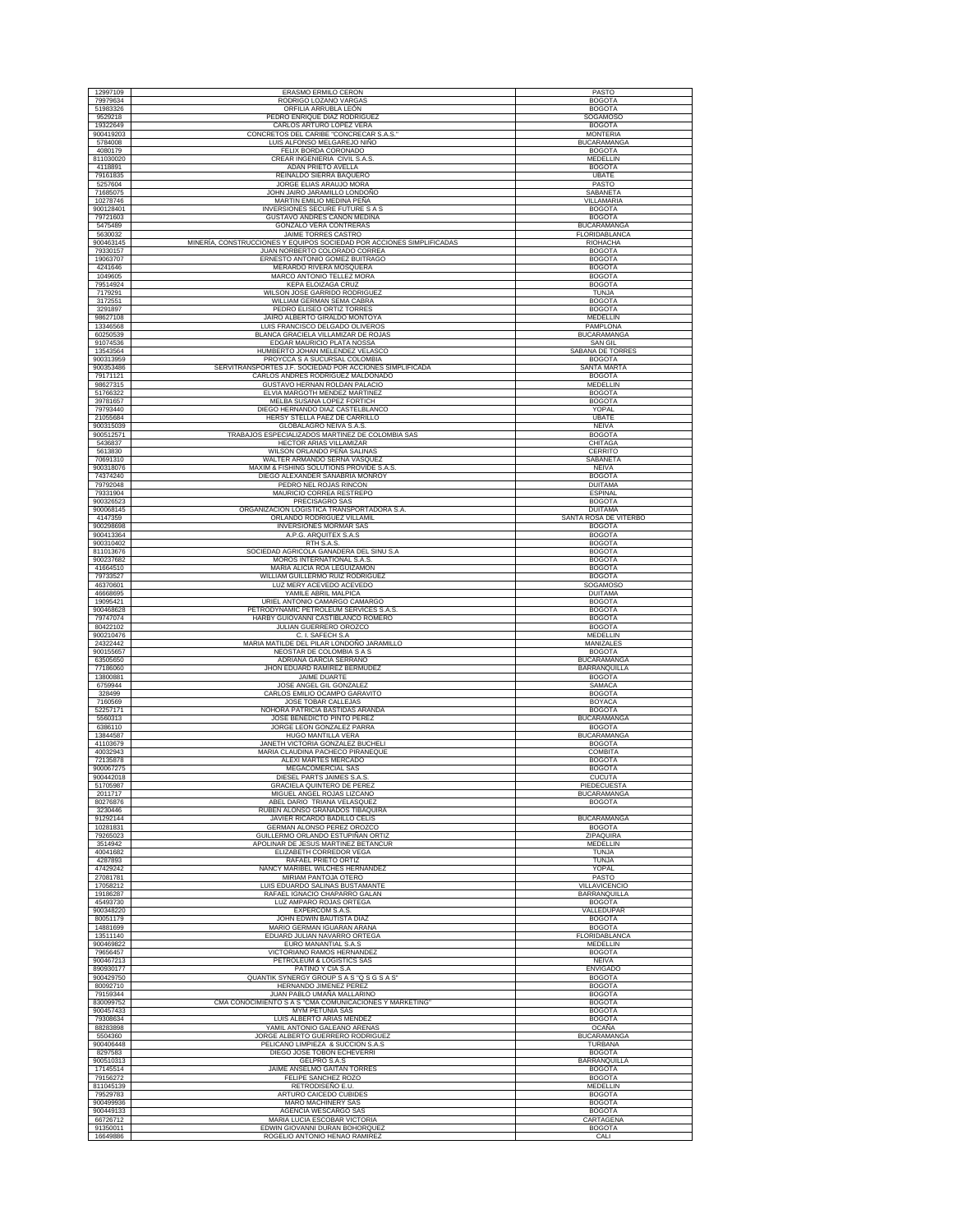| 12997109               | ERASMO ERMILO CERON                                                                           | PASTO                                  |
|------------------------|-----------------------------------------------------------------------------------------------|----------------------------------------|
| 79979634               | RODRIGO LOZANO VARGAS                                                                         | <b>BOGOTA</b>                          |
| 51983326<br>9529218    | ORFILIA ARRUBLA LEÓN<br>PEDRO ENRIQUE DIAZ RODRIGUEZ                                          | <b>BOGOTA</b><br><b>SOGAMOSO</b>       |
| 19322649               | CARLOS ARTURO LOPEZ VERA                                                                      | <b>BOGOTA</b>                          |
| 900419203<br>5784008   | CONCRETOS DEL CARIBE "CONCRECAR S.A.S."<br>LUIS ALFONSO MELGAREJO NIÑO                        | <b>MONTERIA</b><br><b>BUCARAMANGA</b>  |
| 4080179                | FELIX BORDA CORONADO                                                                          | <b>BOGOTA</b>                          |
| 811030020<br>4118891   | CREAR INGENIERIA CIVIL S.A.S<br>ADAN PRIETO AVELLA                                            | MEDELLIN<br><b>BOGOTA</b>              |
| 79161835               | REINALDO SIERRA BAQUERO                                                                       | <b>UBATE</b>                           |
| 5257604<br>71685075    | JORGE ELIAS ARAUJO MORA<br>JOHN JAIRO JARAMILLO LONDOÑO                                       | PASTO<br>SABANETA                      |
| 10278746               | MARTIN EMILIO MEDINA PEÑA                                                                     | VILLAMARIA                             |
| 900128401<br>79721603  | INVERSIONES SECURE FUTURE S A S<br>GUSTAVO ANDRES CAÑON MEDINA                                | <b>BOGOTA</b><br><b>BOGOTA</b>         |
| 5475489                | GONZALO VERA CONTRERAS                                                                        | BUCARAMANGA                            |
| 5630032<br>900463145   | JAIME TORRES CASTRO<br>MINERÍA, CONSTRUCCIONES Y EQUIPOS SOCIEDAD POR ACCIONES SIMPLIFICADAS  | FLORIDABLANCA<br>RIOHACHA              |
| 79330157               | JUAN NORBERTO COLORADO CORREA                                                                 | <b>BOGOTA</b>                          |
| 19063707<br>4241646    | ERNESTO ANTONIO GOMEZ BUITRAGO<br>MERARDO RIVERA MOSQUERA                                     | <b>BOGOTA</b><br><b>BOGOTA</b>         |
| 1049605                | <b>MARCO ANTONIO TELLEZ MORA</b>                                                              | <b>BOGOTA</b>                          |
| 79514924<br>7179291    | <b>KEPA ELOIZAGA CRUZ</b><br>WILSON JOSE GARRIDO RODRIGUEZ                                    | <b>BOGOTA</b><br><b>TUNJA</b>          |
| 3172551                | WILLIAM GERMAN SEMA CABRA                                                                     | <b>BOGOTA</b>                          |
| 3291897<br>98627108    | PEDRO ELISEO ORTIZ TORRES<br>JAIRO ALBERTO GIRALDO MONTOYA                                    | <b>BOGOTA</b><br>MEDELLIN              |
| 13346568               | LUIS FRANCISCO DELGADO OLIVEROS                                                               | PAMPLONA                               |
| 60250539               | BLANCA GRACIELA VILLAMIZAR DE ROJAS                                                           | <b>BUCARAMANGA</b>                     |
| 91074536<br>13543564   | EDGAR MAURICIO PLATA NOSSA<br>HUMBERTO JOHAN MELENDEZ VELASCO                                 | SAN GIL<br>SABANA DE TORRES            |
| 900313959              | PROYCCA S A SUCURSAL COLOMBIA                                                                 | <b>BOGOTA</b>                          |
| 900353486<br>79171121  | SERVITRANSPORTES J.F. SOCIEDAD POR ACCIONES SIMPLIFICADA<br>CARLOS ANDRES RODRIGUEZ MALDONADO | SANTA MARTA<br><b>BOGOTA</b>           |
| 98627315               | GUSTAVO HERNAN ROLDAN PALACIO                                                                 | MEDELLIN                               |
| 51766322<br>39781657   | ELVIA MARGOTH MENDEZ MARTINEZ<br>MELBA SUSANA LOPEZ FORTICH                                   | <b>BOGOTA</b><br><b>BOGOTA</b>         |
| 79793440               | DIEGO HERNANDO DIAZ CASTELBLANCO                                                              | YOPAL                                  |
| 21055684<br>900315039  | HERSY STELLA PAEZ DE CARRILLO<br>GLOBALAGRO NEIVA S.A.S.                                      | <b>UBATE</b><br><b>NEIVA</b>           |
| 900512571              | TRABAJOS ESPECIALIZADOS MARTINEZ DE COLOMBIA SAS                                              | <b>BOGOTA</b>                          |
| 5436837<br>5613830     | HECTOR ARIAS VILLAMIZAR<br>WILSON ORLANDO PEÑA SALINAS                                        | CHITAGA<br>CERRITO                     |
| 70691310               | WALTER ARMANDO SERNA VASQUEZ                                                                  | SABANETA                               |
| 900318076<br>74374240  | MAXIM & FISHING SOLUTIONS PROVIDE S.A.S<br>DIEGO ALEXANDER SANABRIA MONROY                    | <b>NEIVA</b><br><b>BOGOTA</b>          |
| 79792048               | PEDRO NEL ROJAS RINCON                                                                        | <b>DUITAMA</b>                         |
| 79331904<br>900326523  | MAURICIO CORREA RESTREPO<br>PRECISAGRO SAS                                                    | <b>ESPINAL</b><br><b>BOGOTA</b>        |
| 900068145              | ORGANIZACION LOGISTICA TRANSPORTADORA S.A.                                                    | <b>DUITAMA</b>                         |
| 4147359<br>900298698   | ORLANDO RODRIGUEZ VILLAMIL<br><b>INVERSIONES MORMAR SAS</b>                                   | SANTA ROSA DE VITERBO<br><b>BOGOTA</b> |
| 900413364              | A.P.G. ARQUITEX S.A.S                                                                         | <b>BOGOTA</b>                          |
| 900310402<br>811013676 | RTH S.A.S.<br>SOCIEDAD AGRICOLA GANADERA DEL SINU S.A                                         | <b>BOGOTA</b><br><b>BOGOTA</b>         |
| 900237682              | MOROS INTERNATIONAL S.A.S                                                                     | <b>BOGOTA</b>                          |
| 41664510<br>79733527   | MARIA ALICIA ROA LEGUIZAMON<br>WILLIAM GUILLERMO RUIZ RODRIGUEZ                               | <b>BOGOTA</b><br><b>BOGOTA</b>         |
| 46370601               | LUZ MERY ACEVEDO ACEVEDO                                                                      | SOGAMOSO                               |
| 46668695<br>19095421   | YAMILE ABRIL MALPICA<br>URIEL ANTONIO CAMARGO CAMARGO                                         | <b>DUITAMA</b><br><b>BOGOTA</b>        |
| 900468628<br>79747074  | PETRODYNAMIC PETROLEUM SERVICES S.A.S<br>HARBY GUIOVANNI CASTIBLANCO ROMERO                   | <b>BOGOTA</b><br><b>BOGOTA</b>         |
| 80422102               | JULIAN GUERRERO OROZCO                                                                        | <b>BOGOTA</b>                          |
| 900210476<br>24322442  | C. I. SAFECH S.A.<br>MARIA MATILDE DEL PILAR LONDOÑO JARAMILLO                                | MEDELLIN<br>MANIZALES                  |
| 900155657              | NEOSTAR DE COLOMBIA S A S                                                                     | <b>BOGOTA</b>                          |
| 63505650<br>77186060   | ADRIANA GARCIA SERRANO<br>JHON EDUARD RAMIREZ BERMUDEZ                                        | BUCARAMANGA<br>BARRANQUILLA            |
| 13800881               | JAIME DUARTE                                                                                  |                                        |
| 6759944                |                                                                                               | <b>BOGOTA</b>                          |
|                        | JOSE ANGEL GIL GONZALEZ                                                                       | SAMACA                                 |
| 328499<br>7160569      | CARLOS EMILIO OCAMPO GARAVITO<br>JOSE TOBAR CALLEJAS                                          | <b>BOGOTA</b><br><b>BOYACA</b>         |
| 52257171               | NOHORA PATRICIA BASTIDAS ARANDA                                                               | <b>BOGOTA</b>                          |
| 5560313<br>6386110     | JOSE BENEDICTO PINTO PEREZ<br>JORGE LEON GONZALEZ PARRA                                       | <b>BUCARAMANGA</b><br><b>BOGOTA</b>    |
| 13844587               | HUGO MANTILLA VERA                                                                            | <b>BUCARAMANGA</b>                     |
| 41103679<br>40032943   | JANETH VICTORIA GONZALEZ BUCHELI<br>MARIA CLAUDINA PACHECO PIRANEQUE                          | <b>BOGOTA</b><br><b>COMBITA</b>        |
| 72135878<br>900067275  | ALEXI MARTES MERCADO<br>MEGACOMERCIAL SAS                                                     | <b>BOGOTA</b><br><b>BOGOTA</b>         |
| 900442018              | DIESEL PARTS JAIMES S.A.S                                                                     | <b>CUCUTA</b>                          |
| 51705987<br>2011717    | <b>GRACIELA QUINTERO DE PEREZ</b><br>MIGUEL ANGEL ROJAS LIZCANO                               | PIEDECUESTA<br><b>BUCARAMANGA</b>      |
| 80276876               | ABEL DARIO TRIANA VELASQUEZ                                                                   | <b>BOGOTA</b>                          |
| 3230446<br>91292144    | RUBEN ALONSO GRANADOS TIBAQUIRA<br>JAVIER RICARDO BADILLO CELIS                               | <b>BUCARAMANGA</b>                     |
| 10281831               | GERMAN ALONSO PEREZ OROZCO                                                                    | <b>BOGOTA</b>                          |
| 79265023<br>3514942    | GUILLERMO ORLANDO ESTUPIÑAN ORTIZ<br>APOLINAR DE JESUS MARTINEZ BETANCUR                      | ZIPAQUIRA<br>MEDELLIN                  |
| 40041682               | ELIZABETH CORREDOR VEGA                                                                       | <b>TUNJA</b><br><b>TUNJA</b>           |
| 4287893<br>47429242    | RAFAEL PRIETO ORTIZ<br>NANCY MARIBEL WILCHES HERNANDEZ                                        | YOPAL                                  |
| 27081781               | MIRIAM PANTOJA OTERO                                                                          | PASTO                                  |
| 17058212<br>19186287   | LUIS EDUARDO SALINAS BUSTAMANTE<br>RAFAEL IGNACIO CHAPARRO GALAN                              | VILLAVICENCIO<br><b>BARRANQUILLA</b>   |
| 45493730<br>900348220  | LUZ AMPARO ROJAS ORTEGA<br>EXPERCOM S.A.S.                                                    | <b>BOGOTA</b><br>VALLEDUPAR            |
| 80051179               | JOHN EDWIN BAUTISTA DIAZ                                                                      | <b>BOGOTA</b>                          |
| 14881699<br>13511140   | MARIO GERMAN IGUARAN ARANA<br>EDUARD JULIAN NAVARRO ORTEGA                                    | <b>BOGOTA</b><br><b>FLORIDABLANCA</b>  |
| 900469822              | EURO MANANTIAL S.A.S                                                                          | MEDELLIN                               |
| 79656457<br>900467213  | VICTORIANO RAMOS HERNANDEZ<br>PETROLEUM & LOGISTICS SAS                                       | <b>BOGOTA</b><br>NEIVA                 |
| 890930177              | PATIÑO Y CIA S.A                                                                              | <b>ENVIGADO</b>                        |
| 900429750<br>80092710  | QUANTIK SYNERGY GROUP S A S "Q S G S A S"<br><b>HERNANDO JIMENEZ PEREZ</b>                    | <b>BOGOTA</b><br><b>BOGOTA</b>         |
| 79159344               | JUAN PABLO UMAÑA MALLARINO                                                                    | <b>BOGOTA</b>                          |
| 830099752<br>900457433 | CMA CONOCIMIENTO S A S "CMA COMUNICACIONES Y MARKETING"<br><b>MYM PETUNIA SAS</b>             | <b>BOGOTA</b><br><b>BOGOTA</b>         |
| 79308634               | LUIS ALBERTO ARIAS MENDEZ                                                                     | <b>BOGOTA</b>                          |
| 88283898<br>5504360    | YAMIL ANTONIO GALEANO ARENAS<br>JORGE ALBERTO GUERRERO RODRIGUEZ                              | <b>OCAÑA</b><br><b>BUCARAMANGA</b>     |
| 900406448              | PELICANO LIMPIEZA & SUCCION S.A.S                                                             | TURBANA                                |
| 8297583<br>900510313   | DIEGO JOSE TOBON ECHEVERRI<br>GELPRO S.A.S                                                    | <b>BOGOTA</b><br>BARRANQUILLA          |
| 17145514               | JAIME ANSELMO GAITAN TORRES                                                                   | <b>BOGOTA</b>                          |
| 79156272<br>811045139  | FELIPE SANCHEZ ROZO<br>RETRODISEÑO E.U.                                                       | <b>BOGOTA</b><br><b>MEDELLIN</b>       |
| 79529783               | ARTURO CAICEDO CUBIDES                                                                        | <b>BOGOTA</b>                          |
| 900499936<br>900449133 | MARO MACHINERY SAS<br>AGENCIA WESCARGO SAS                                                    | <b>BOGOTA</b><br><b>BOGOTA</b>         |
| 66726712<br>91350011   | MARIA LUCIA ESCOBAR VICTORIA<br>EDWIN GIOVANNI DURAN BOHORQUEZ                                | CARTAGENA<br><b>BOGOTA</b>             |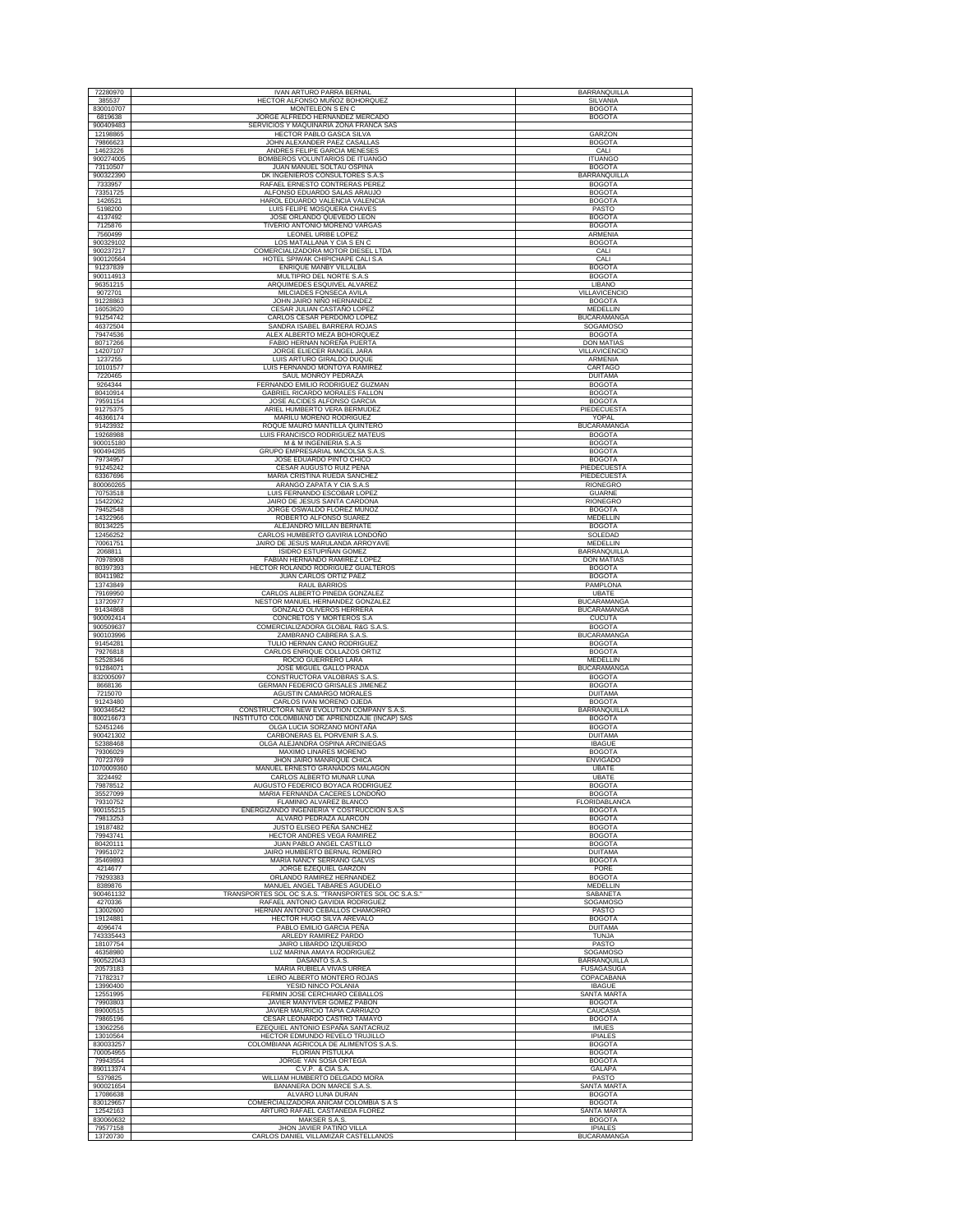| 72280970             | <b>IVAN ARTURO PARRA BERNAL</b>                         | <b>BARRANQUILLA</b>            |
|----------------------|---------------------------------------------------------|--------------------------------|
| 385537               | HECTOR ALFONSO MUÑOZ BOHORQUEZ                          | SILVANIA                       |
| 830010707            | <b>MONTELEON S EN C</b>                                 | <b>BOGOTA</b>                  |
| 6819638              | JORGE ALFREDO HERNANDEZ MERCADO                         | <b>BOGOTA</b>                  |
| 900409483            | SERVICIOS Y MAQUINARIA ZONA FRANCA SAS                  |                                |
| 12198865             | HECTOR PABLO GASCA SILVA                                | GARZON                         |
| 79866623             | JOHN ALEXANDER PAEZ CASALLAS                            | <b>BOGOTA</b>                  |
| 14623226             | ANDRES FELIPE GARCIA MENESES                            | CALI                           |
| 900274005            | BOMBEROS VOLUNTARIOS DE ITUANGO                         | <b>ITUANGO</b>                 |
| 73110507             | JUAN MANUEL SOLTAU OSPINA                               | <b>BOGOTA</b>                  |
| 900322390            | DK INGENIEROS CONSULTORES S.A.S                         | BARRANQUILLA                   |
| 7333957              | RAFAEL ERNESTO CONTRERAS PEREZ                          | <b>BOGOTA</b>                  |
| 73351725             | ALFONSO EDUARDO SALAS ARAUJO                            | <b>BOGOTA</b>                  |
| 1426521              | HAROL EDUARDO VALENCIA VALENCIA                         | <b>BOGOTA</b>                  |
| 5198200              | LUIS FELIPE MOSQUERA CHAVES                             | PASTO                          |
| 4137492              | JOSE ORLANDO QUEVEDO LEON                               | <b>BOGOTA</b>                  |
| 7125876              | TIVERIO ANTONIO MORENO VARGAS                           | <b>BOGOTA</b>                  |
| 7560499              | LEONEL URIBE LOPEZ                                      | ARMENIA                        |
| 900329102            | LOS MATALLANA Y CIA S EN C                              | <b>BOGOTA</b>                  |
| 900237217            | COMERCIALIZADORA MOTOR DIESEL LTDA                      | CALI                           |
| 900120564            | HOTEL SPIWAK CHIPICHAPE CALI S.A                        | CALI                           |
| 91237839             | ENRIQUE MANBY VILLALBA                                  | <b>BOGOTA</b>                  |
| 900114913            | MULTIPRO DEL NORTE S.A.S                                | <b>BOGOTA</b>                  |
| 96351215             | ARQUIMEDES ESQUIVEL ALVAREZ<br>MILCIADES FONSECA AVILA  | LIBANO<br><b>VILLAVICENCIO</b> |
| 9072701<br>91228863  | JOHN JAIRO NIÑO HERNANDEZ<br>CESAR JULIAN CASTAÑO LOPEZ | <b>BOGOTA</b>                  |
| 16053620<br>91254742 | CARLOS CESAR PERDOMO LOPEZ                              | MEDELLIN<br><b>BUCARAMANGA</b> |
| 46372504             | SANDRA ISABEL BARRERA ROJAS                             | <b>SOGAMOSO</b>                |
| 79474536             | ALEX ALBERTO MEZA BOHORQUEZ                             | <b>BOGOTA</b>                  |
| 80717266             | FABIO HERNAN NOREÑA PUERTA                              | <b>DON MATIAS</b>              |
| 14207107             | JORGE ELIECER RANGEL JARA                               | VILLAVICENCIO                  |
| 1237255              | LUIS ARTURO GIRALDO DUQUE                               | ARMENIA                        |
| 10101577             | LUIS FERNANDO MONTOYA RAMIREZ                           | CARTAGO                        |
| 7220465              | SAUL MONROY PEDRAZA                                     | <b>DUITAMA</b>                 |
| 9264344              | FERNANDO EMILIO RODRIGUEZ GUZMAN                        | <b>BOGOTA</b>                  |
| 80410914             | GABRIEL RICARDO MORALES FALLON                          | <b>BOGOTA</b>                  |
| 79591154             | JOSE ALCIDES ALFONSO GARCIA                             | <b>BOGOTA</b>                  |
| 91275375             | ARIEL HUMBERTO VERA BERMUDEZ                            | PIEDECUESTA                    |
| 46366174             | MARILU MORENO RODRIGUEZ                                 | YOPAL                          |
| 91423932             | ROQUE MAURO MANTILLA QUINTERO                           | <b>BUCARAMANGA</b>             |
| 19268988             | LUIS FRANCISCO RODRIGUEZ MATEUS                         | <b>BOGOTA</b>                  |
| 900015180            | M & M INGENIERIA S.A.S                                  | <b>BOGOTA</b>                  |
| 900494285            | GRUPO EMPRESARIAL MACOLSA S.A.S.                        | <b>BOGOTA</b>                  |
| 79734957             | JOSE EDUARDO PINTO CHICO                                | <b>BOGOTA</b>                  |
| 91245242             | CESAR AUGUSTO RUIZ PEÑA                                 | PIEDECUESTA                    |
| 63367696             | MARIA CRISTINA RUEDA SANCHEZ                            | PIEDECUESTA                    |
| 800060265            | ARANGO ZAPATA Y CIA S.A.S                               | <b>RIONEGRO</b>                |
| 70753518             | LUIS FERNANDO ESCOBAR LOPEZ                             | <b>GUARNE</b>                  |
| 15422062             | JAIRO DE JESUS SANTA CARDONA                            | RIONEGRO                       |
| 79452548             | JORGE OSWALDO FLOREZ MUÑOZ                              | <b>BOGOTA</b>                  |
| 14322966             | ROBERTO ALFONSO SUAREZ                                  | MEDELLIN                       |
| 80134225             | ALEJANDRO MILLAN BERNATE                                | <b>BOGOTA</b>                  |
| 12456252             | CARLOS HUMBERTO GAVIRIA LONDOÑO                         | SOLEDAD                        |
| 70061751             | JAIRO DE JESUS MARULANDA ARROYAVE                       | MEDELLIN                       |
| 2068811              | ISIDRO ESTUPIÑAN GOMEZ                                  | BARRANQUILLA                   |
| 70978908             | FABIAN HERNANDO RAMIREZ LOPEZ                           | <b>DON MATIAS</b>              |
| 80397393             | HECTOR ROLANDO RODRIGUEZ GUALTEROS                      | <b>BOGOTA</b>                  |
| 80411982             | JUAN CARLOS ORTIZ PAEZ                                  | <b>BOGOTA</b>                  |
| 13743849             | <b>RAUL BARRIOS</b>                                     | PAMPLONA                       |
| 79169950             | CARLOS ALBERTO PINEDA GONZALEZ                          | <b>UBATE</b>                   |
| 13720977             | NESTOR MANUEL HERNANDEZ GONZALEZ                        | <b>BUCARAMANGA</b>             |
| 91434868             | GONZALO OLIVEROS HERRERA                                | <b>BUCARAMANGA</b>             |
| 900092414            | CONCRETOS Y MORTEROS S.A                                | <b>CUCUTA</b>                  |
| 900509637            | COMERCIALIZADORA GLOBAL R&G S.A.S                       | <b>BOGOTA</b>                  |
| 900103996            | ZAMBRANO CABRERA S.A.S.                                 | <b>BUCARAMANGA</b>             |
| 91454281             | TULIO HERNAN CANO RODRIGUEZ                             | <b>BOGOTA</b>                  |
| 79276818             | CARLOS ENRIQUE COLLAZOS ORTIZ                           | <b>BOGOTA</b>                  |
| 52528346             | ROCIO GUERRERO LARA                                     | <b>MEDELLIN</b>                |
| 91284071             | JOSE MIGUEL GALLO PRADA                                 | <b>BUCARAMANGA</b>             |
| 832005097            | CONSTRUCTORA VALOBRAS S.A.S                             | <b>BOGOTA</b>                  |
| 8668136              | GERMAN FEDERICO GRISALES JIMENEZ                        | <b>BOGOTA</b>                  |
| 7215070              | AGUSTIN CAMARGO MORALES                                 | <b>DUITAMA</b>                 |
| 91243480             | CARLOS IVAN MORENO OJEDA                                | <b>BOGOTA</b>                  |
| 900346542            | CONSTRUCTORA NEW EVOLUTION COMPANY S.A.S                | BARRANQUILLA                   |
| 800216673            | INSTITUTO COLOMBIANO DE APRENDIZAJE (INCAP) SAS         | <b>BOGOTA</b>                  |
| 52451246             | OLGA LUCIA SORZANO MONTAÑA                              | <b>BOGOTA</b>                  |
| 900421302            | CARBONERAS EL PORVENIR S.A.S                            | <b>DUITAMA</b>                 |
| 52388468             | OLGA ALEJANDRA OSPINA ARCINIEGAS                        | <b>IBAGUE</b>                  |
| 79306029             | MAXIMO LINARES MORENO                                   | <b>BOGOTA</b>                  |
| 70723769             | JHON JAIRO MANRIQUE CHICA                               | <b>ENVIGADO</b>                |
| 1070009360           | MANUEL ERNESTO GRANADOS MALAGON                         | UBATE                          |
| 3224492              | CARLOS ALBERTO MUNAR LUNA                               | UBATE                          |
| 79878512             | AUGUSTO FEDERICO BOYACA RODRIGUEZ                       | <b>BOGOTA</b>                  |
| 35527099             | MARIA FERNANDA CACERES LONDOÑO                          | <b>BOGOTA</b>                  |
| 79310752             | FLAMINIO ALVAREZ BLANCO                                 | FLORIDABLANCA                  |
| 900155215            | ENERGIZANDO INGENIERIA Y COSTRUCCION S.A.S              | <b>BOGOTA</b>                  |
| 79813253             | ALVARO PEDRAZA ALARCON                                  | <b>BOGOTA</b>                  |
| 19187482             | <b>JUSTO ELISEO PEÑA SANCHEZ</b>                        | <b>BOGOTA</b>                  |
| 79943741             | <b>HECTOR ANDRES VEGA RAMIREZ</b>                       | <b>BOGOTA</b>                  |
| 80420111             | JUAN PABLO ANGEL CASTILLO                               | <b>BOGOTA</b>                  |
| 79951072             | JAIRO HUMBERTO BERNAL ROMERO                            | <b>DUITAMA</b>                 |
| 35469893             | <b>MARIA NANCY SERRANO GALVIS</b>                       | <b>BOGOTA</b>                  |
| 4214677              | JORGE EZEQUIEL GARZON                                   | PORE                           |
| 79293383             | ORLANDO RAMIREZ HERNANDEZ                               | <b>BOGOTA</b>                  |
| 8389876              | MANUEL ANGEL TABARES AGUDELO                            | MEDELLIN                       |
| 900461132            | TRANSPORTES SOL OC S.A.S. "TRANSPORTES SOL OC S.A.S."   | SABANETA                       |
| 4270336              | RAFAEL ANTONIO GAVIDIA RODRIGUEZ                        | <b>SOGAMOSO</b>                |
| 13002600             | HERNAN ANTONIO CEBALLOS CHAMORRO                        | PASTO                          |
| 19124881             | HECTOR HUGO SILVA AREVALO                               | <b>BOGOTA</b>                  |
| 4096474              | PABLO EMILIO GARCIA PEÑA                                | <b>DUITAMA</b>                 |
| 743335443            | ARLEDY RAMIREZ PARDO                                    | TUNJA                          |
| 18107754             | JAIRO LIBARDO IZQUIERDO                                 | PASTO                          |
| 46358980             | LUZ MARINA AMAYA RODRIGUEZ                              | <b>SOGAMOSO</b>                |
| 900522043            | DASANTO S.A.S.                                          | <b>BARRANQUILLA</b>            |
| 20573183             | MARIA RUBIELA VIVAS URREA                               | FUSAGASUGA                     |
| 71782317             | LEIRO ALBERTO MONTERO ROJAS                             | COPACABANA                     |
| 13990400             | YESID NINCO POLANIA                                     | <b>IBAGUE</b>                  |
| 12551995             | FERMIN JOSE CERCHIARO CEBALLOS                          | SANTA MARTA                    |
| 79903803             | JAVIER MANYIVER GOMEZ PABON                             | <b>BOGOTA</b>                  |
| 89000515             | JAVIER MAURICIO TAPIA CARRIAZO                          | CAUCASIA                       |
| 79865196             | CESAR LEONARDO CASTRO TAMAYO                            | <b>BOGOTA</b>                  |
| 13062256             | EZEQUIEL ANTONIO ESPAÑA SANTACRUZ                       | <b>IMUES</b>                   |
| 13010564             | HECTOR EDMUNDO REVELO TRUJILLO                          | <b>IPIALES</b>                 |
| 830033257            | COLOMBIANA AGRICOLA DE ALIMENTOS S.A.S                  | <b>BOGOTA</b>                  |
| 700054955            | <b>FLORIAN PISTULKA</b>                                 | <b>BOGOTA</b>                  |
| 79943554             | JORGE YAN SOSA ORTEGA                                   | <b>BOGOTA</b>                  |
| 890113374            | C.V.P. & CIA S.A.                                       | GALAPA                         |
| 5379825              | WILLIAM HUMBERTO DELGADO MORA                           | PASTO                          |
| 900021654            | BANANERA DON MARCE S.A.S                                | <b>SANTA MARTA</b>             |
| 17086638             | ALVARO LUNA DURAN                                       | <b>BOGOTA</b>                  |
| 830129657            | COMERCIALIZADORA ANICAM COLOMBIA S A S                  | <b>BOGOTA</b>                  |
| 12542163             | ARTURO RAFAEL CASTAÑEDA FLOREZ                          | SANTA MARTA                    |
| 830060632            | MAKSER S.A.S.                                           | <b>BOGOTA</b>                  |
| 79577158             | JHON JAVIER PATIÑO VILLA                                | <b>IPIALES</b>                 |
| 13720730             | CARLOS DANIEL VILLAMIZAR CASTELLANOS                    | <b>BUCARAMANGA</b>             |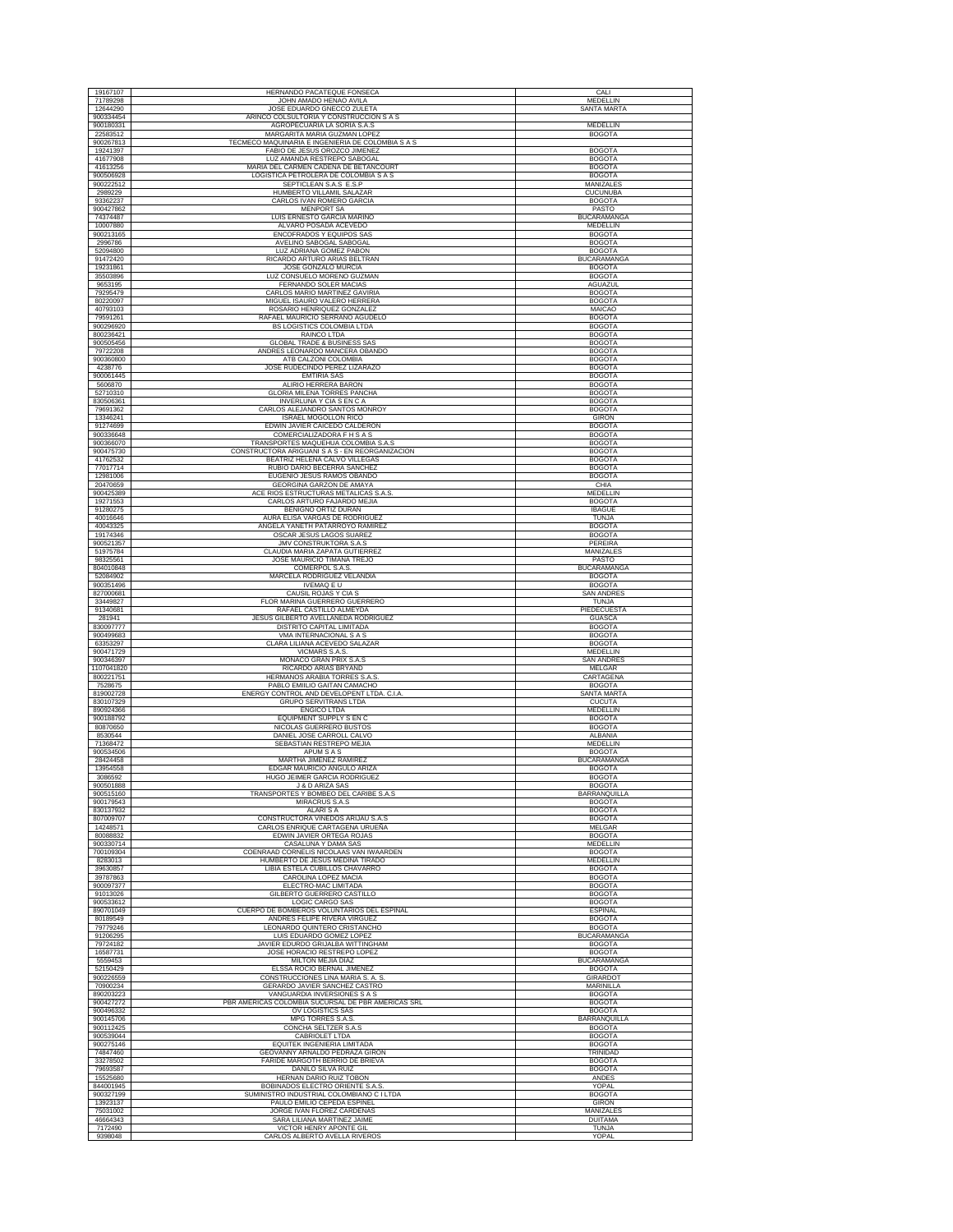| 19167107               | HERNANDO PACATEQUE FONSECA                                                         | CALI                                 |
|------------------------|------------------------------------------------------------------------------------|--------------------------------------|
| 71789298               | JOHN AMADO HENAO AVILA                                                             | MEDELLIN                             |
| 12644290               | JOSE EDUARDO GNECCO ZULETA                                                         | <b>SANTA MARTA</b>                   |
| 900334454              | ARINCO COLSULTORIA Y CONSTRUCCION S A S                                            |                                      |
| 900180331              | AGROPECUARIA LA SORIA S.A.S.                                                       | <b>MEDELLIN</b>                      |
| 22583512               | MARGARITA MARIA GUZMAN LOPE.                                                       | <b>BOGOTA</b>                        |
| 900267813              | TECMECO MAQUINARIA E INGENIERIA DE COLOMBIA S A S<br>FABIO DE JESUS OROZCO JIMENEZ | <b>BOGOTA</b>                        |
| 19241397<br>41677908   | LUZ AMANDA RESTREPO SABOGAL                                                        | <b>BOGOTA</b>                        |
| 41613256               | MARIA DEL CARMEN CADENA DE BETANCOURT                                              | <b>BOGOTA</b>                        |
| 900506928              | LOGISTICA PETROLERA DE COLOMBIA S A S                                              | <b>BOGOTA</b>                        |
| 900222512              | SEPTICLEAN S.A.S E.S.P                                                             | MANIZALES                            |
| 2989229                | HUMBERTO VILLAMIL SALAZAR                                                          | <b>CUCUNUBA</b>                      |
| 93362237               | CARLOS IVAN ROMERO GARCIA                                                          | <b>BOGOTA</b>                        |
| 900427862              | <b>MENPORT SA</b>                                                                  | PASTO                                |
| 74374487<br>10007880   | LUIS ERNESTO GARCIA MARIÑO<br>ALVARO POSADA ACEVEDO                                | BUCARAMANGA<br>MEDELLIN              |
| 900213165              | ENCOFRADOS Y EQUIPOS SAS                                                           | <b>BOGOTA</b>                        |
| 2996786                | AVELINO SABOGAL SABOGAL                                                            | <b>BOGOTA</b>                        |
| 52094800               | LUZ ADRIANA GOMEZ PABON                                                            | <b>BOGOTA</b>                        |
| 91472420               | RICARDO ARTURO ARIAS BELTRAN                                                       | <b>BUCARAMANGA</b>                   |
| 19231861               | JOSE GONZALO MURCIA                                                                | <b>BOGOTA</b>                        |
| 35503896<br>9653195    | LUZ CONSUELO MORENO GUZMAN                                                         | <b>BOGOTA</b>                        |
| 79295479               | FERNANDO SOLER MACIAS<br>CARLOS MARIO MARTINEZ GAVIRIA                             | AGUAZUL                              |
| 80220097               | MIGUEL ISAURO VALERO HERRERA                                                       | <b>BOGOTA</b><br><b>BOGOTA</b>       |
| 40793103               | ROSARIO HENRIQUEZ GONZALEZ                                                         | MAICAO                               |
| 79591261               | RAFAEL MAURICIO SERRANO AGUDELO                                                    | <b>BOGOTA</b>                        |
| 900296920              | BS LOGISTICS COLOMBIA LTDA                                                         | <b>BOGOTA</b>                        |
| 800236421              | RAINCO LTDA                                                                        | <b>BOGOTA</b>                        |
| 900505456              | <b>GLOBAL TRADE &amp; BUSINESS SAS</b>                                             | <b>BOGOTA</b>                        |
| 79722208               | ANDRES LEONARDO MANCERA OBANDO                                                     | <b>BOGOTA</b>                        |
| 900360800<br>4238776   | ATB CALZONI COLOMBIA<br>JOSE RUDECINDO PEREZ LIZARAZO                              | <b>BOGOTA</b><br><b>BOGOTA</b>       |
| 900061445              | <b>EMTIRIA SAS</b>                                                                 | <b>BOGOTA</b>                        |
| 5606870                | ALIRIO HERRERA BARON                                                               | <b>BOGOTA</b>                        |
| 52710310               | GLORIA MILENA TORRES PANCHA                                                        | <b>BOGOTA</b>                        |
| 830506361              | INVERLUNA Y CIA S EN C A                                                           | <b>BOGOTA</b>                        |
| 79691362               | CARLOS ALEJANDRO SANTOS MONROY                                                     | <b>BOGOTA</b>                        |
| 13346241               | <b>ISRAEL MOGOLLON RICO</b>                                                        | <b>GIRON</b>                         |
| 91274699               | EDWIN JAVIER CAICEDO CALDERON                                                      | <b>BOGOTA</b>                        |
| 900336648              | COMERCIALIZADORA F H S A S<br>TRANSPORTES MAQUEHUA COLOMBIA S.A.S                  | <b>BOGOTA</b>                        |
| 900366070<br>900475730 | CONSTRUCTORA ARIGUANI S A S - EN REORGANIZACION                                    | <b>BOGOTA</b>                        |
| 41762532               | BEATRIZ HELENA CALVO VILLEGAS                                                      | <b>BOGOTA</b><br><b>BOGOTA</b>       |
| 77017714               | RUBIO DARIO BECERRA SANCHEZ                                                        | <b>BOGOTA</b>                        |
| 12981006               | EUGENIO JESUS RAMOS OBANDO                                                         | <b>BOGOTA</b>                        |
| 20470659               | <b>GEORGINA GARZON DE AMAYA</b>                                                    | CHIA                                 |
| 900425389              | ACE RIOS ESTRUCTURAS METALICAS S.A.S                                               | MEDELLIN                             |
| 19271553               | CARLOS ARTURO FAJARDO MEJIA                                                        | <b>BOGOTA</b>                        |
| 91280275               | BENIGNO ORTIZ DURAN                                                                | <b>IBAGUE</b>                        |
| 40016646               | AURA ELISA VARGAS DE RODRIGUEZ                                                     | <b>TUNJA</b>                         |
| 40043325<br>19174346   | ANGELA YANETH PATARROYO RAMIREZ<br>OSCAR JESUS LAGOS SUAREZ                        | <b>BOGOTA</b><br><b>BOGOTA</b>       |
| 900521357              | JMV CONSTRUKTORA S.A.S                                                             | PEREIRA                              |
| 51975784               | CLAUDIA MARIA ZAPATA GUTIERREZ                                                     | MANIZALES                            |
| 98325561               | JOSE MAURICIO TIMANA TREJO                                                         | PASTO                                |
| 804010848              | COMERPOL S.A.S                                                                     | <b>BUCARAMANGA</b>                   |
| 52084902               | MARCELA RODRIGUEZ VELANDIA                                                         | <b>BOGOTA</b>                        |
| 900351496              | <b>IVEMAQ E U</b>                                                                  | <b>BOGOTA</b>                        |
| 827000681              | CAUSIL ROJAS Y CIA S                                                               | <b>SAN ANDRES</b>                    |
| 33449827               | FLOR MARINA GUERRERO GUERRERO                                                      | <b>TUNJA</b>                         |
|                        |                                                                                    |                                      |
| 91340681               | RAFAEL CASTILLO ALMEYDA                                                            | PIEDECUESTA                          |
| 281941                 | <b>JESUS GILBERTO AVELLANEDA RODRIGUEZ</b>                                         | GUASCA                               |
| 830097777<br>900499683 | DISTRITO CAPITAL LIMITADA<br>VMA INTERNACIONAL S A S                               | <b>BOGOTA</b><br><b>BOGOTA</b>       |
| 63353297               | CLARA LILIANA ACEVEDO SALAZAR                                                      | <b>BOGOTA</b>                        |
| 900471729              | VICMARS S.A.S.                                                                     | <b>MEDELLIN</b>                      |
| 900346397              | MONACO GRAN PRIX S.A.S                                                             | <b>SAN ANDRES</b>                    |
| 1107041820             | RICARDO ARIAS BRYAND                                                               | MELGAR                               |
| 800221751              | HERMANOS ARABIA TORRES S.A.S.                                                      | CARTAGENA                            |
| 7528675<br>819002728   | PABLO EMIILIO GAITAN CAMACHO                                                       | <b>BOGOTA</b>                        |
| 830107329              | ENERGY CONTROL AND DEVELOPENT LTDA. C.I.A.<br><b>GRUPO SERVITRANS LTDA</b>         | SANTA MARTA<br>CUCUTA                |
| 890924366              | <b>ENGICO LTDA</b>                                                                 | MEDELLIN                             |
| 900188792              | EQUIPMENT SUPPLY S EN C                                                            | <b>BOGOTA</b>                        |
| 80870650               | NICOLAS GUERRERO BUSTOS                                                            | <b>BOGOTA</b>                        |
| 8530544                | DANIEL JOSE CARROLL CALVO                                                          | ALBANIA                              |
| 71368472<br>900534506  | SEBASTIAN RESTREPO MEJIA<br>APUM S A S                                             | MEDELLIN<br><b>BOGOTA</b>            |
| 28424458               | MARTHA JIMENEZ RAMIREZ                                                             | <b>BUCARAMANGA</b>                   |
| 13954558               | EDGAR MAURICIO ANGULO ARIZA                                                        | <b>BOGOTA</b>                        |
| 3086592                | HUGO JEIMER GARCIA RODRIGUEZ                                                       | <b>BOGOTA</b>                        |
| 900501888              | J & D ARIZA SAS                                                                    | <b>BOGOTA</b>                        |
| 900515160              | TRANSPORTES Y BOMBEO DEL CARIBE S.A.S                                              | BARRANQUILLA                         |
| 900179543              | <b>MIRACRUS S.A.S</b>                                                              | <b>BOGOTA</b>                        |
| 830137932<br>807009707 | <b>ALARISA</b><br>CONSTRUCTORA VIÑEDOS ARIJAU S.A.S                                | <b>BOGOTA</b><br><b>BOGOTA</b>       |
| 14248571               | CARLOS ENRIQUE CARTAGENA URUEÑA                                                    | MELGAR                               |
| 80088832               | EDWIN JAVIER ORTEGA ROJAS                                                          | <b>BOGOTA</b>                        |
| 900330714              | CASALUNA Y DAMA SAS                                                                | MEDELLIN                             |
| 700109304              | COENRAAD CORNELIS NICOLAAS VAN IWAARDEN                                            | <b>BOGOTA</b>                        |
| 8283013                | HUMBERTO DE JESUS MEDINA TIRADO                                                    | MEDELLIN                             |
| 39630857<br>39787863   | LIBIA ESTELA CUBILLOS CHAVARRO<br>CAROLINA LOPEZ MACIA                             | <b>BOGOTA</b><br><b>BOGOTA</b>       |
| 900097377              | ELECTRO-MAC LIMITADA                                                               | <b>BOGOTA</b>                        |
| 91013026               | GILBERTO GUERRERO CASTILLO                                                         | <b>BOGOTA</b>                        |
| 900533612              | LOGIC CARGO SAS                                                                    | <b>BOGOTA</b>                        |
| 890701049              | CUERPO DE BOMBEROS VOLUNTARIOS DEL ESPINAL                                         | <b>FSPINAL</b>                       |
| 80189549               | ANDRES FELIPE RIVERA VIRGUEZ                                                       | <b>BOGOTA</b>                        |
| 79779246               | LEONARDO QUINTERO CRISTANCHO                                                       | <b>BOGOTA</b>                        |
| 91206295<br>79724182   | LUIS EDUARDO GOMEZ LOPEZ<br>JAVIER EDURDO GRIJALBA WITTINGHAM                      | <b>BUCARAMANGA</b><br><b>BOGOTA</b>  |
| 16587731               | JOSE HORACIO RESTREPO LOPEZ                                                        | <b>BOGOTA</b>                        |
| 5559453                | <b>MILTON MEJIA DIAZ</b>                                                           | <b>BUCARAMANGA</b>                   |
| 52150429               | ELSSA ROCIO BERNAL JIMENEZ                                                         | <b>BOGOTA</b>                        |
| 900226559              | CONSTRUCCIONES LINA MARIA S. A. S                                                  | GIRARDOT                             |
| 70900234               | GERARDO JAVIER SANCHEZ CASTRO                                                      | MARINILLA                            |
| 890203223              | VANGUARDIA INVERSIONES S A S                                                       | <b>BOGOTA</b>                        |
| 900427272              | PBR AMERICAS COLOMBIA SUCURSAL DE PBR AMERICAS SRL                                 | <b>BOGOTA</b>                        |
| 900496332<br>900145706 | OV LOGISTICS SAS<br>MPG TORRES S.A.S.                                              | <b>BOGOTA</b><br><b>BARRANQUILLA</b> |
| 900112425              | CONCHA SELTZER S.A.S                                                               | <b>BOGOTA</b>                        |
| 900539044              | <b>CABRIOLET LTDA</b>                                                              | <b>BOGOTA</b>                        |
| 900275146              | EQUITEK INGENIERIA LIMITADA                                                        | <b>BOGOTA</b>                        |
| 74847460               | GEOVANNY ARNALDO PEDRAZA GIRON                                                     | TRINIDAD                             |
| 33278502               | FARIDE MARGOTH BERRIO DE BRIEVA                                                    | <b>BOGOTA</b>                        |
| 79693587               | DANILO SILVA RUIZ                                                                  | <b>BOGOTA</b>                        |
| 15525680               | <b>HERNAN DARIO RUIZ TOBON</b>                                                     | ANDES                                |
| 844001945<br>900327199 | BOBINADOS ELECTRO ORIENTE S.A.S<br>SUMINISTRO INDUSTRIAL COLOMBIANO C I LTDA       | YOPAL<br><b>BOGOTA</b>               |
| 13923137               | PAULO EMILIO CEPEDA ESPINEL                                                        | <b>GIRON</b>                         |
| 75031002               | JORGE IVAN FLOREZ CARDENAS                                                         | MANIZALES                            |
| 46664343<br>7172490    | SARA LILIANA MARTINEZ JAIME<br>VICTOR HENRY APONTE GIL                             | <b>DUITAMA</b><br><b>TUNJA</b>       |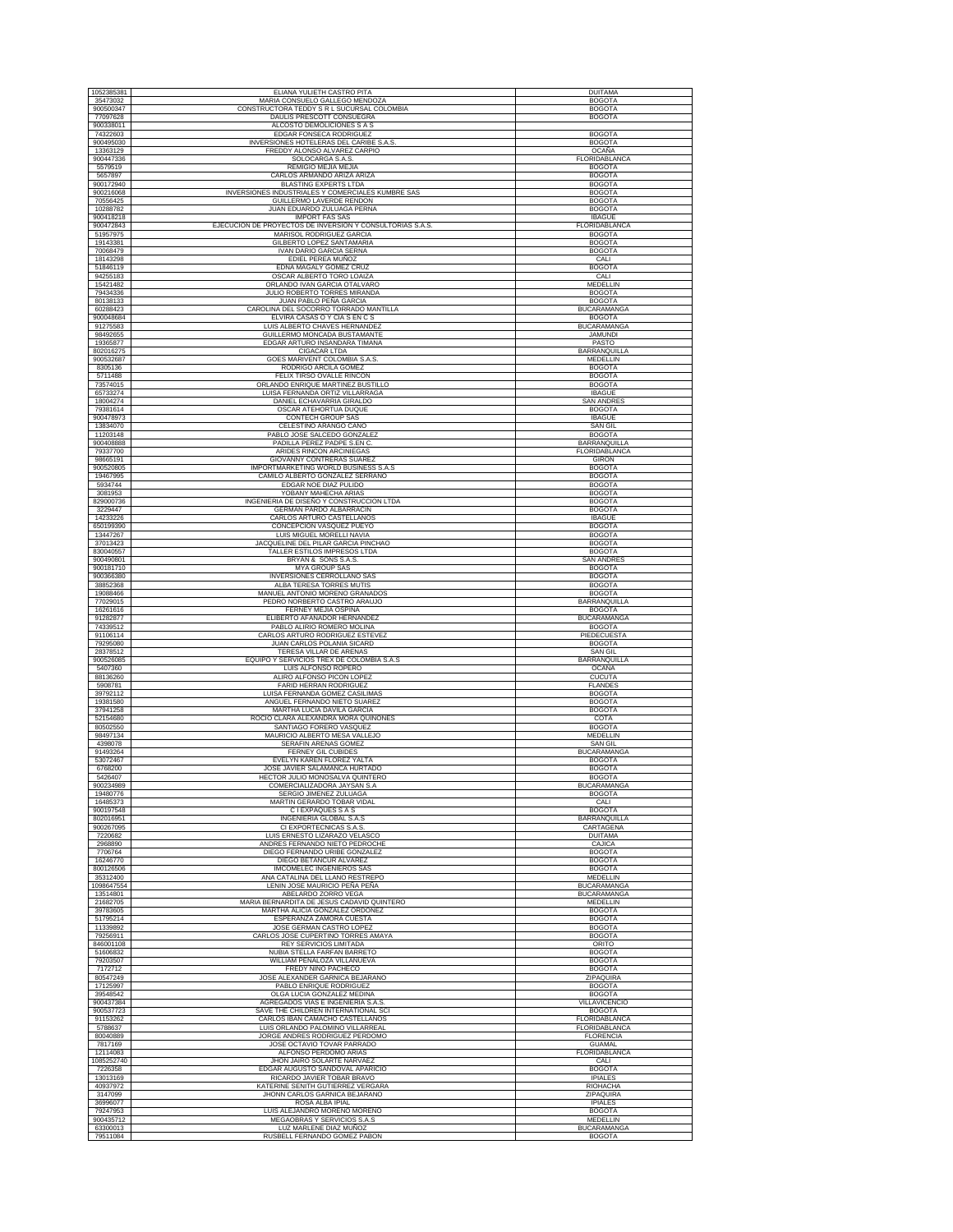| 1052385381             | ELIANA YULIETH CASTRO PITA                                              | <b>DUITAMA</b>                        |
|------------------------|-------------------------------------------------------------------------|---------------------------------------|
| 35473032               | MARIA CONSUELO GALLEGO MENDOZA                                          | <b>BOGOTA</b>                         |
| 900500347<br>77097628  | CONSTRUCTORA TEDDY S R L SUCURSAL COLOMBIA<br>DAULIS PRESCOTT CONSUEGRA | <b>BOGOTA</b><br><b>BOGOTA</b>        |
| 900338011              | ALCOSTO DEMOLICIONES S A S                                              |                                       |
| 74322603               | EDGAR FONSECA RODRIGUEZ                                                 | <b>BOGOTA</b>                         |
| 900495030<br>13363129  | INVERSIONES HOTELERAS DEL CARIBE S.A.S.<br>FREDDY ALONSO ALVAREZ CARPIO | <b>BOGOTA</b><br><b>OCAÑA</b>         |
| 900447336              | SOLOCARGA S.A.S                                                         | FLORIDABLANCA                         |
| 5579519                | REMIGIO MEJIA MEJIA                                                     | <b>BOGOTA</b>                         |
| 5657897<br>900172940   | CARLOS ARMANDO ARIZA ARIZA<br><b>BLASTING EXPERTS LTDA</b>              | <b>BOGOTA</b><br><b>BOGOTA</b>        |
| 900216068              | <b>INVERSIONES INDUSTRIALES Y COMERCIALES KUMBRE SAS</b>                | <b>BOGOTA</b>                         |
| 70556425<br>10288782   | GUILLERMO LAVERDE RENDON<br>JUAN EDUARDO ZULUAGA PERNA                  | <b>BOGOTA</b>                         |
| 900418218              | <b>IMPORT FAS SAS</b>                                                   | <b>BOGOTA</b><br><b>IBAGUE</b>        |
| 900472843              | EJECUCION DE PROYECTOS DE INVERSION Y CONSULTORIAS S.A.S.               | FLORIDABLANCA                         |
| 51957975<br>19143381   | MARISOL RODRIGUEZ GARCIA<br>GILBERTO LOPEZ SANTAMARIA                   | <b>BOGOTA</b><br><b>BOGOTA</b>        |
| 70068479               | <b>IVAN DARIO GARCIA SERNA</b>                                          | <b>BOGOTA</b>                         |
| 18143298               | EDIEL PEREA MUÑOZ                                                       | CALI                                  |
| 51846119<br>94255183   | EDNA MAGALY GOMEZ CRUZ<br>OSCAR ALBERTO TORO LOAIZA                     | <b>BOGOTA</b><br>CALI                 |
| 15421482               | ORLANDO IVAN GARCIA OTALVARO                                            | <b>MEDELLIN</b>                       |
| 79434336<br>80138133   | JULIO ROBERTO TORRES MIRANDA<br>JUAN PABLO PEÑA GARCIA                  | <b>BOGOTA</b><br><b>BOGOTA</b>        |
| 60288423               | CAROLINA DEL SOCORRO TORRADO MANTILLA                                   | <b>BUCARAMANGA</b>                    |
| 900048684              | ELVIRA CASAS O Y CIA S EN C S                                           | <b>BOGOTA</b>                         |
| 91275583<br>98492655   | LUIS ALBERTO CHAVES HERNANDEZ<br>GUILLERMO MONCADA BUSTAMANTE           | <b>BUCARAMANGA</b><br><b>JAMUNDI</b>  |
| 19365877               | EDGAR ARTURO INSANDARA TIMANA                                           | PASTO                                 |
| 802016275              | <b>CIGACAR LTDA</b>                                                     | BARRANQUILLA                          |
| 900532687<br>8305136   | GOES MARIVENT COLOMBIA S.A.S.<br>RODRIGO ARCILA GOMEZ                   | MEDELLIN<br><b>BOGOTA</b>             |
| 5711488                | FELIX TIRSO OVALLE RINCON                                               | <b>BOGOTA</b>                         |
| 73574015<br>65733274   | ORLANDO ENRIQUE MARTINEZ BUSTILLO<br>LUISA FERNANDA ORTIZ VILLARRAGA    | <b>BOGOTA</b><br><b>IBAGUE</b>        |
| 18004274               | DANIEL ECHAVARRIA GIRALDO                                               | <b>SAN ANDRES</b>                     |
| 79381614               | OSCAR ATEHORTUA DUOUE                                                   | <b>BOGOTA</b>                         |
| 900478973<br>13834070  | CONTECH GROUP SAS<br>CELESTINO ARANGO CANO                              | <b>IBAGUE</b><br><b>SAN GIL</b>       |
| 11203148               | PABLO JOSE SALCEDO GONZALEZ                                             | <b>BOGOTA</b>                         |
| 900408888<br>79337700  | PADILLA PEREZ PADPE S.EN C<br>ARIDES RINCON ARCINIEGAS                  | <b>BARRANQUILLA</b><br>FLORIDABLANCA  |
| 98665191               | GIOVANNY CONTRERAS SUAREZ                                               | <b>GIRON</b>                          |
| 900520805              | IMPORTMARKETING WORLD BUSINESS S.A.S                                    | <b>BOGOTA</b>                         |
| 19467995<br>5934744    | CAMILO ALBERTO GONZALEZ SERRANO<br>EDGAR NOE DIAZ PULIDO                | <b>BOGOTA</b><br><b>BOGOTA</b>        |
| 3081953                | YOBANY MAHECHA ARIAS                                                    | <b>BOGOTA</b>                         |
| 829000736              | INGENIERIA DE DISEÑO Y CONSTRUCCION LTDA                                | <b>BOGOTA</b>                         |
| 3229447<br>14233226    | <b>GERMAN PARDO ALBARRACIN</b><br>CARLOS ARTURO CASTELLANOS             | <b>BOGOTA</b><br><b>IBAGUE</b>        |
| 650199390              | CONCEPCIÓN VASQUEZ PUEYO                                                | <b>BOGOTA</b>                         |
| 13447267               | LUIS MIGUEL MORELLI NAVIA                                               | <b>BOGOTA</b>                         |
| 37013423<br>830040557  | JACQUELINE DEL PILAR GARCIA PINCHAO<br>TALLER ESTILOS IMPRESOS LTDA     | <b>BOGOTA</b><br><b>BOGOTA</b>        |
| 900490801              | BRYAN & SONS S.A.S.                                                     | <b>SAN ANDRES</b>                     |
| 900181710<br>900366380 | <b>MYA GROUP SAS</b><br>INVERSIONES CERROLLANO SAS                      | <b>BOGOTA</b><br><b>BOGOTA</b>        |
| 38852368               | ALBA TERESA TORRES MUTIS                                                | <b>BOGOTA</b>                         |
| 19088466               | MANUEL ANTONIO MORENO GRANADOS                                          | <b>BOGOTA</b>                         |
| 77029015<br>16261616   | PEDRO NORBERTO CASTRO ARAUJO<br>FERNEY MEJIA OSPINA                     | BARRANQUILLA<br><b>BOGOTA</b>         |
| 91282877               | ELIBERTO AFANADOR HERNANDEZ                                             | <b>BUCARAMANGA</b>                    |
| 74339512               | PABLO ALIRIO ROMERO MOLINA                                              | <b>BOGOTA</b>                         |
| 91106114<br>79295080   | CARLOS ARTURO RODRIGUEZ ESTEVEZ<br>JUAN CARLOS POLANIA SICARD           | PIEDECUESTA<br><b>BOGOTA</b>          |
| 28378512               | TERESA VILLAR DE ARENAS                                                 | <b>SAN GIL</b>                        |
| 900526085<br>5407360   | EQUIPO Y SERVICIOS TREX DE COLOMBIA S.A.S<br>LUIS ALFONSO ROPERO        | BARRANQUILLA<br><b>OCAÑA</b>          |
| 88136260               | ALIRO ALFONSO PICON LOPEZ                                               | <b>CUCUTA</b>                         |
| 5908781<br>39792112    | FARID HERRAN RODRIGUEZ                                                  | <b>FLANDES</b>                        |
| 19381580               | LUISA FERNANDA GOMEZ CASILIMAS<br>ANGUEL FERNANDO NIETO SUAREZ          | <b>BOGOTA</b><br><b>BOGOTA</b>        |
| 37941258               | MARTHA LUCIA DAVILA GARCIA                                              | <b>BOGOTA</b>                         |
| 52154680<br>80502550   | ROCIO CLARA ALEXANDRA MORA QUIÑONES<br>SANTIAGO FORERO VASQUEZ          | COTA<br><b>BOGOTA</b>                 |
| 98497134               | MAURICIO ALBERTO MESA VALLEJO                                           | MEDELLIN                              |
| 4398078                | SERAFIN ARENAS GOMEZ                                                    | <b>SAN GIL</b>                        |
| 91493264<br>53072467   | <b>FERNEY GIL CUBIDES</b><br>EVELYN KAREN FLOREZ YALTA                  | <b>BUCARAMANGA</b><br><b>BOGOTA</b>   |
| 6768200                | JOSE JAVIER SALAMANCA HURTADO                                           | <b>BOGOTA</b>                         |
| 5426407<br>900234989   | HECTOR JULIO MONOSALVA QUINTERO<br>COMERCIALIZADORA JAYSAN S.A          | <b>BOGOTA</b><br><b>BUCARAMANGA</b>   |
| 19480776               | SERGIO JIMENEZ ZULUAGA                                                  | <b>BOGOTA</b>                         |
| 16485373               | MARTIN GERARDO TOBAR VIDAL                                              | CALI                                  |
| 900197548<br>802016951 | C I EXPAQUES S A S<br>INGENIERIA GLOBAL S.A.S                           | <b>BOGOTA</b><br>BARRANQUILLA         |
| 900267095              | CI EXPORTECNICAS S.A.S                                                  | CARTAGENA                             |
| 7220682<br>2968890     | LUIS ERNESTO LIZARAZO VELASCO<br>ANDRES FERNANDO NIETO PEDROCHE         | <b>DUITAMA</b><br>CAJICA              |
| 7706764                | DIEGO FERNANDO URIBE GONZALEZ                                           | <b>BOGOTA</b>                         |
| 16246770               | DIEGO BETANCUR ALVAREZ<br><b>IMCOMELEC INGENIEROS SAS</b>               | <b>BOGOTA</b>                         |
| 800126506<br>35312400  | ANA CATALINA DEL LLANO RESTREPO                                         | <b>BOGOTA</b><br>MEDELLIN             |
| 1098647554             | LENIN JOSE MAURICIO PEÑA PEÑA                                           | <b>BUCARAMANGA</b>                    |
| 13514801<br>21682705   | ABELARDO ZORRO VEGA<br>MARIA BERNARDITA DE JESUS CADAVID QUINTERO       | <b>BUCARAMANGA</b><br><b>MEDELLIN</b> |
| 39783605               | MARTHA ALICIA GONZALEZ ORDOÑEZ                                          | <b>BOGOTA</b>                         |
| 51795214               | ESPERANZA ZAMORA CUESTA                                                 | <b>BOGOTA</b>                         |
| 11339892<br>79256911   | JOSE GERMAN CASTRO LOPEZ<br>CARLOS JOSE CUPERTINO TORRES AMAYA          | <b>BOGOTA</b><br><b>BOGOTA</b>        |
| 846001108              | <b>REY SERVICIOS LIMITADA</b>                                           | ORITO                                 |
| 51606832<br>79203507   | NUBIA STELLA FARFAN BARRETO<br>WILLIAM PEÑALOZA VILLANUEVA              | <b>BOGOTA</b><br><b>BOGOTA</b>        |
| 7172712                | FREDY NIÑO PACHECO                                                      | <b>BOGOTA</b>                         |
| 80547249               | JOSE ALEXANDER GARNICA BEJARANO                                         | ZIPAQUIRA                             |
| 17125997<br>39548542   | PABLO ENRIQUE RODRIGUEZ<br>OLGA LUCIA GONZALEZ MEDINA                   | <b>BOGOTA</b><br><b>BOGOTA</b>        |
| 900437384              | AGREGADOS VIAS E INGENIERIA S.A.S                                       | VILLAVICENCIO                         |
| 900537723              | SAVE THE CHILDREN INTERNATIONAL SCI                                     | <b>BOGOTA</b>                         |
| 91153262<br>5788637    | CARLOS IBAN CAMACHO CASTELLANOS<br>LUIS ORLANDO PALOMINO VILLARREAL     | FLORIDABLANCA<br>FLORIDABLANCA        |
| 80040889               | JORGE ANDRES RODRIGUEZ PERDOMO                                          | <b>FLORENCIA</b>                      |
| 7817169<br>12114083    | JOSE OCTAVIO TOVAR PARRADO<br>ALFONSO PERDOMO ARIAS                     | <b>GUAMAL</b><br>FLORIDABLANCA        |
| 1085252740             | JHON JAIRO SOLARTE NARVAEZ                                              | CALI                                  |
| 7226358                | EDGAR AUGUSTO SANDOVAL APARICIO                                         | <b>BOGOTA</b>                         |
| 13013169<br>40937972   | RICARDO JAVIER TOBAR BRAVO<br>KATERINE SENITH GUTIERREZ VERGARA         | <b>IPIALES</b><br>RIOHACHA            |
| 3147099                | JHONN CARLOS GARNICA BEJARANO                                           | ZIPAQUIRA                             |
| 36996077               | ROSA ALBA IPIAL                                                         | <b>IPIALES</b>                        |
| 79247953<br>900435712  | LUIS ALEJANDRO MORENO MORENO<br>MEGAOBRAS Y SERVICIOS S.A.S             | <b>BOGOTA</b><br>MEDELLIN             |
| 63300013               | LUZ MARLENE DIAZ MUÑOZ                                                  | <b>BUCARAMANGA</b>                    |
| 79511084               | RUSBELL FERNANDO GOMEZ PABON                                            | <b>BOGOTA</b>                         |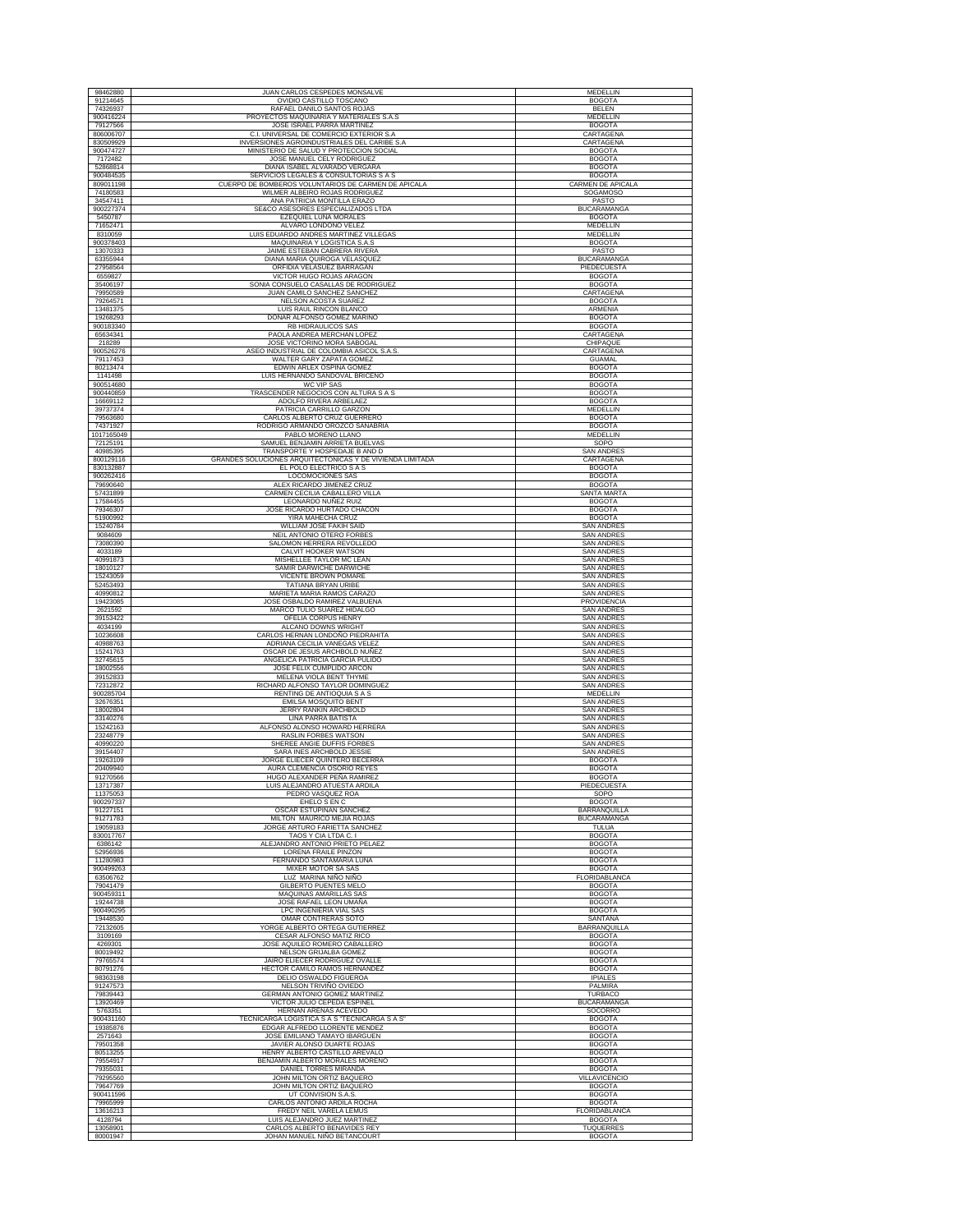| 98462880               | JUAN CARLOS CESPEDES MONSALVE                                                               | <b>MEDELLIN</b>                        |
|------------------------|---------------------------------------------------------------------------------------------|----------------------------------------|
| 91214645               | OVIDIO CASTILLO TOSCANO                                                                     | <b>BOGOTA</b>                          |
| 74326937               | RAFAEL DANILO SANTOS ROJAS                                                                  | BELEN                                  |
| 900416224<br>79127566  | PROYECTOS MAQUINARIA Y MATERIALES S.A.S<br>JOSE ISRAEL PARRA MARTINEZ                       | MEDELLIN<br><b>BOGOTA</b>              |
| 806006707              | C.I. UNIVERSAL DE COMERCIO EXTERIOR S.A                                                     | CARTAGENA                              |
| 830509929              | INVERSIONES AGROINDUSTRIALES DEL CARIBE S.A                                                 | CARTAGENA                              |
| 900474727<br>7172482   | MINISTERIO DE SALUD Y PROTECCION SOCIAL<br>JOSE MANUEL CELY RODRIGUEZ                       | <b>BOGOTA</b><br><b>BOGOTA</b>         |
| 52868814               | DIANA ISABEL ALVARADO VERGARA                                                               | <b>BOGOTA</b>                          |
| 900484535              | SERVICIOS LEGALES & CONSULTORIAS S A S                                                      | <b>BOGOTA</b>                          |
| 809011198<br>74180583  | CUERPO DE BOMBEROS VOLUNTARIOS DE CARMEN DE APICALA<br>WILMER ALBEIRO ROJAS RODRIGUEZ       | CARMEN DE APICALA<br><b>SOGAMOSO</b>   |
| 34547411               | ANA PATRICIA MONTILLA ERAZO                                                                 | PASTO                                  |
| 900227374              | SE&CO ASESORES ESPECIALIZADOS LTDA                                                          | <b>BUCARAMANGA</b>                     |
| 5450787                | EZEQUIEL LUNA MORALES                                                                       | <b>BOGOTA</b>                          |
| 71652471<br>8310059    | ALVARO LONDOÑO VELEZ<br>LUIS EDUARDO ANDRES MARTINEZ VILLEGAS                               | MEDELLIN<br>MEDELLIN                   |
| 900378403              | MAQUINARIA Y LOGISTICA S.A.S                                                                | <b>BOGOTA</b>                          |
| 13070333<br>63355944   | JAIME ESTEBAN CABRERA RIVERA<br>DIANA MARIA QUIROGA VELASQUEZ                               | PASTO<br><b>BUCARAMANGA</b>            |
| 27958564               | ORFIDIA VELASUEZ BARRAGAN                                                                   | PIEDECUESTA                            |
| 6559827                | VICTOR HUGO ROJAS ARAGON                                                                    | <b>BOGOTA</b>                          |
| 35406197<br>79950589   | SONIA CONSUELO CASALLAS DE RODRIGUEZ<br>JUAN CAMILO SANCHEZ SANCHEZ                         | <b>BOGOTA</b><br>CARTAGENA             |
| 79264571               | NELSON ACOSTA SUAREZ                                                                        | <b>BOGOTA</b>                          |
| 13481375               | LUIS RAUL RINCON BLANCO                                                                     | ARMENIA                                |
| 19268293<br>900183340  | DONAR ALFONSO GOMEZ MARIÑO<br>RB HIDRAULICOS SAS                                            | <b>BOGOTA</b><br><b>BOGOTA</b>         |
| 65634341               | PAOLA ANDREA MERCHAN LOPEZ                                                                  | CARTAGENA                              |
| 218289                 | JOSE VICTORINO MORA SABOGAL                                                                 | CHIPAQUE                               |
| 900526276<br>79117453  | ASEO INDUSTRIAL DE COLOMBIA ASICOL S.A.S.<br>WALTER GARY ZAPATA GOMEZ                       | CARTAGENA<br><b>GUAMAL</b>             |
| 80213474               | EDWIN ARLEX OSPINA GOMEZ                                                                    | <b>BOGOTA</b>                          |
| 1141498                | LUIS HERNANDO SANDOVAL BRICEÑO                                                              | <b>BOGOTA</b>                          |
| 900514680<br>900440859 | WC VIP SAS<br>TRASCENDER NEGOCIOS CON ALTURA S A S                                          | <b>BOGOTA</b><br><b>BOGOTA</b>         |
| 16669112               | ADOLFO RIVERA ARBELAEZ                                                                      | <b>BOGOTA</b>                          |
| 39737374               | PATRICIA CARRILLO GARZON                                                                    | <b>MEDELLIN</b>                        |
| 79563680<br>74371927   | CARLOS ALBERTO CRUZ GUERRERO<br>RODRIGO ARMANDO OROZCO SANABRIA                             | <b>BOGOTA</b><br><b>BOGOTA</b>         |
| 1017165049             | PABLO MORENO LLANO                                                                          | MEDELLIN                               |
| 72125191               | SAMUEL BENJAMIN ARRIETA BUELVAS                                                             | SOPO                                   |
| 40985395<br>800129116  | TRANSPORTE Y HOSPEDAJE B AND D<br>GRANDES SOLUCIONES ARQUITECTONICAS Y DE VIVIENDA LIMITADA | <b>SAN ANDRES</b><br>CARTAGENA         |
| 830132887              | EL POLO ELECTRICO S A S                                                                     | <b>BOGOTA</b>                          |
| 900262416              | <b>LOCOMOCIONES SAS</b>                                                                     | <b>BOGOTA</b>                          |
| 79690640<br>57431899   | ALEX RICARDO JIMENEZ CRUZ<br>CARMEN CECILIA CABALLERO VILLA                                 | <b>BOGOTA</b><br>SANTA MARTA           |
| 17584455               | LEONARDO NUÑEZ RUIZ                                                                         | <b>BOGOTA</b>                          |
| 79346307               | JOSE RICARDO HURTADO CHACON                                                                 | <b>BOGOTA</b>                          |
| 51900992<br>15240784   | YIRA MAHECHA CRUZ<br>WILLIAM JOSE FAKIH SAID                                                | <b>BOGOTA</b><br><b>SAN ANDRES</b>     |
| 9084609                | NEIL ANTONIO OTERO FORBE                                                                    | SAN ANDRE:                             |
| 73080390               | SALOMON HERRERA REVOLLEDO                                                                   | <b>SAN ANDRES</b>                      |
| 4033189<br>40991873    | CALVIT HOOKER WATSON<br>MISHELLEE TAYLOR MC LEAN                                            | <b>SAN ANDRES</b><br><b>SAN ANDRES</b> |
| 18010127               | SAMIR DARWICHE DARWICHE                                                                     | <b>SAN ANDRES</b>                      |
| 15243059               | VICENTE BROWN POMARE<br>TATIANA BRYAN URIBE                                                 | <b>SAN ANDRES</b><br><b>SAN ANDRES</b> |
| 52453493<br>40990812   | MARIETA MARIA RAMOS CARAZO                                                                  | <b>SAN ANDRES</b>                      |
| 19423085               | JOSE OSBALDO RAMIREZ VALBUENA                                                               | PROVIDENCIA                            |
| 2621592<br>39153422    | MARCO TULIO SUAREZ HIDALGO<br>OFELIA CORPUS HENRY                                           | <b>SAN ANDRES</b><br><b>SAN ANDRES</b> |
| 4034199                | ALCANO DOWNS WRIGHT                                                                         | <b>SAN ANDRES</b>                      |
| 10236608<br>40988763   | CARLOS HERNAN LONDOÑO PIEDRAHITA<br>ADRIANA CECILIA VANEGAS VELEZ                           | SAN ANDRES<br><b>SAN ANDRES</b>        |
| 15241763               | OSCAR DE JESUS ARCHBOLD NUÑEZ                                                               | <b>SAN ANDRES</b>                      |
| 32745615<br>18002556   | ANGELICA PATRICIA GARCIA PULIDO                                                             | <b>SAN ANDRES</b><br><b>SAN ANDRES</b> |
| 39152833               | JOSE FELIX CUMPLIDO ARCON<br>MELENA VIOLA BENT THYME                                        | <b>SAN ANDRES</b>                      |
| 72312872               | RICHARD ALFONSO TAYLOR DOMINGUEZ                                                            | <b>SAN ANDRES</b>                      |
| 900285704<br>32676351  | RENTING DE ANTIOQUIA S A S<br>EMILSA MOSQUITO BENT                                          | MEDELLIN<br><b>SAN ANDRES</b>          |
| 18002804               | <b>JERRY RANKIN ARCHBOLD</b>                                                                | <b>SAN ANDRES</b>                      |
| 33140276<br>15242163   | <b>LINA PARRA BATISTA</b><br>ALFONSO ALONSO HOWARD HERRERA                                  | <b>SAN ANDRES</b><br><b>SAN ANDRES</b> |
| 23248779               | RASLIN FORBES WATSON                                                                        | <b>SAN ANDRES</b>                      |
| 40990220               | SHEREE ANGIE DUFFIS FORBES                                                                  | <b>SAN ANDRES</b>                      |
| 39154407               | SARA INES ARCHBOLD JESSIE                                                                   | <b>SAN ANDRES</b>                      |
| 19263109<br>20409940   | JORGE ELIECER QUINTERO BECERRA<br>AURA CLEMENCIA OSORIO REYES                               | <b>BOGOTA</b><br><b>BOGOTA</b>         |
| 91270566               | HUGO ALEXANDER PEÑA RAMIREZ                                                                 | <b>BOGOTA</b>                          |
| 13717387<br>11375053   | LUIS ALEJANDRO ATUESTA ARDILA<br>PEDRO VASQUEZ ROA                                          | PIEDECUESTA<br>SOPO                    |
| 900297337              | EHELO S EN C                                                                                | <b>BOGOTA</b>                          |
| 91227151               | OSCAR ESTUPIÑAN SANCHEZ                                                                     | <b>BARRANQUILLA</b>                    |
| 91271783<br>19059183   | MILTON MAURICO MEJIA ROJAS<br>JORGE ARTURO FARIETTA SANCHEZ                                 | <b>BUCARAMANGA</b><br>TULUA            |
| 830017767              | TAOS Y CIA LTDA C. I                                                                        | <b>BOGOTA</b>                          |
| 6386142<br>52956936    | ALEJANDRO ANTONIO PRIETO PELAEZ<br><b>LORENA FRAILE PINZON</b>                              | <b>BOGOTA</b>                          |
| 11280983               | FERNANDO SANTAMARIA LUNA                                                                    | <b>BOGOTA</b><br><b>BOGOTA</b>         |
| 900499263              | MIXER MOTOR SA SAS                                                                          | <b>BOGOTA</b>                          |
| 63506762<br>79041479   | LUZ MARINA NIÑO NIÑO<br><b>GILBERTO PUENTES MELO</b>                                        | FLORIDABLANCA<br><b>BOGOTA</b>         |
| 900459311              | <b>MAQUINAS AMARILLAS SAS</b>                                                               | <b>BOGOTA</b>                          |
| 19244738               | JOSE RAFAEL LEON UMAÑA                                                                      | <b>BOGOTA</b>                          |
| 900490295<br>19448530  | LPC INGENIERIA VIAL SAS<br>OMAR CONTRERAS SOTO                                              | <b>BOGOTA</b><br>SANTANA               |
| 72132605               | YORGE ALBERTO ORTEGA GUTIERREZ                                                              | <b>BARRANOUILLA</b>                    |
| 3109169                | CESAR ALFONSO MATIZ RICO                                                                    | <b>BOGOTA</b>                          |
| 4269301<br>80019492    | JOSE AQUILEO ROMERO CABALLERO<br>NELSON GRIJALBA GOMEZ                                      | <b>BOGOTA</b><br><b>BOGOTA</b>         |
| 79765574               | JAIRO ELIECER RODRIGUEZ OVALLE                                                              | <b>BOGOTA</b>                          |
| 80791276               | HECTOR CAMILO RAMOS HERNANDEZ                                                               | <b>BOGOTA</b>                          |
| 98363198<br>91247573   | DELIO OSWALDO FIGUEROA<br>NELSON TRIVIÑO OVIEDO                                             | <b>IPIALES</b><br><b>PALMIRA</b>       |
| 79839443               | GERMAN ANTONIO GOMEZ MARTINEZ                                                               | <b>TURBACO</b>                         |
| 13920469<br>5763351    | VICTOR JULIO CEPEDA ESPINEL<br>HERNAN ARENAS ACEVEDO                                        | BUCARAMANGA<br>SOCORRO                 |
| 900431160              | TECNICARGA LOGISTICA S A S "TECNICARGA S A S'                                               | <b>BOGOTA</b>                          |
| 19385876               | EDGAR ALFREDO LLORENTE MENDEZ                                                               | <b>BOGOTA</b>                          |
| 2571643<br>79501358    | JOSE EMILIANO TAMAYO IBARGUEN<br>JAVIER ALONSO DUARTE ROJAS                                 | <b>BOGOTA</b><br><b>BOGOTA</b>         |
| 80513255               | HENRY ALBERTO CASTILLO AREVALO                                                              | <b>BOGOTA</b>                          |
| 79554917<br>79355031   | BENJAMIN ALBERTO MORALES MORENO<br>DANIEL TORRES MIRANDA                                    | <b>BOGOTA</b><br><b>BOGOTA</b>         |
| 79295560               | JOHN MILTON ORTIZ BAQUERO                                                                   | VILLAVICENCIO                          |
| 79647769               | JOHN MILTON ORTIZ BAQUERO                                                                   | <b>BOGOTA</b>                          |
| 900411596<br>79965999  | UT CONVISION S.A.S<br>CARLOS ANTONIO ARDILA ROCHA                                           | <b>BOGOTA</b><br><b>BOGOTA</b>         |
| 13616213               | FREDY NEIL VARELA LEMUS                                                                     | FLORIDABLANCA                          |
| 4128794                | LUIS ALEJANDRO JUEZ MARTINEZ                                                                | <b>BOGOTA</b>                          |
| 13058901<br>80001947   | CARLOS ALBERTO BENAVIDES REY<br>JOHAN MANUEL NIÑO BETANCOURT                                | <b>TUQUERRES</b><br><b>BOGOTA</b>      |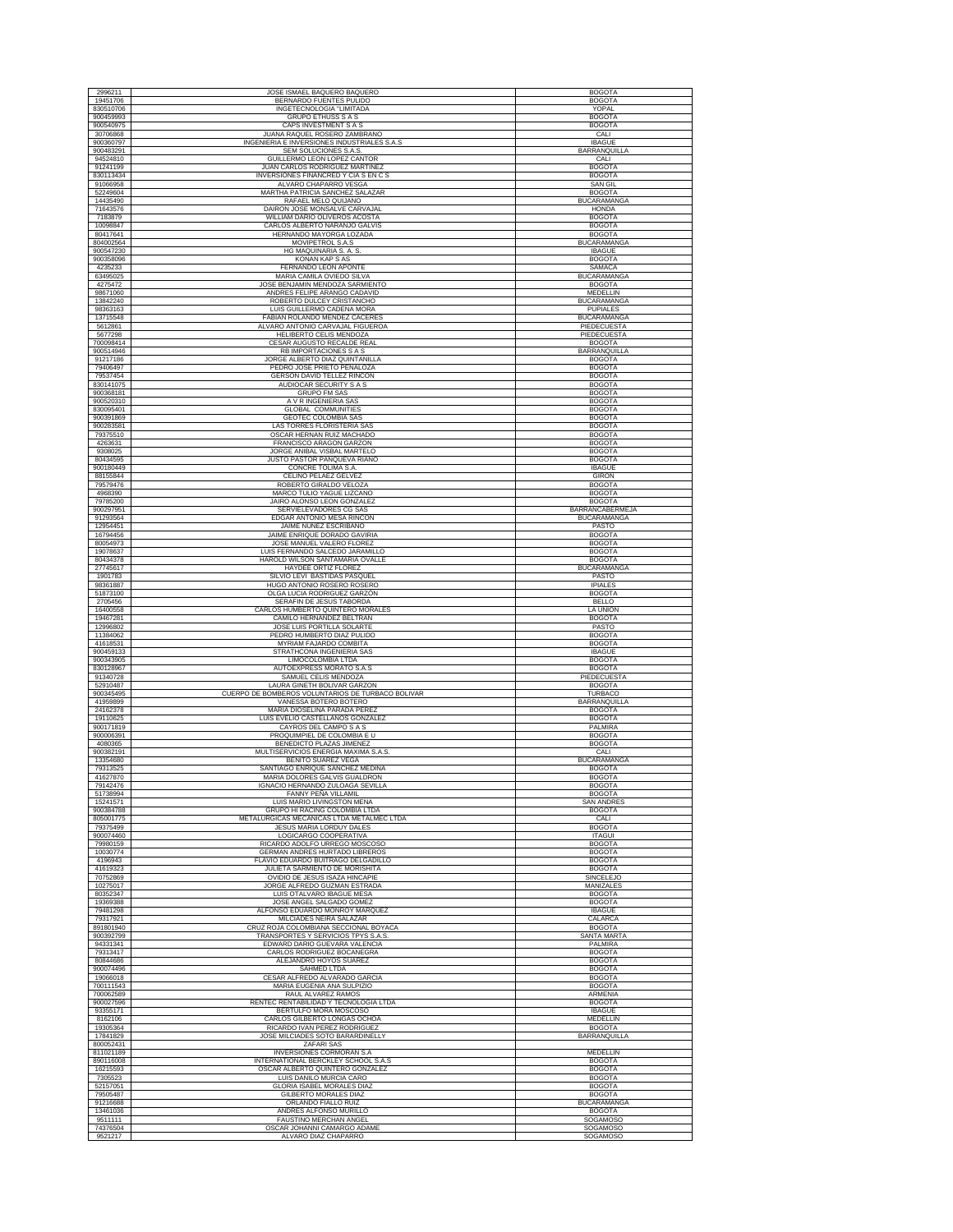| 2996211                | JOSE ISMAEL BAQUERO BAQUERO                                                      | <b>BOGOTA</b>                         |
|------------------------|----------------------------------------------------------------------------------|---------------------------------------|
| 19451706               | BERNARDO FUENTES PULIDO                                                          | <b>BOGOTA</b>                         |
| 830510706<br>900459993 | INGETECNOLOGIA "LIMITADA                                                         | YOPAL                                 |
| 900540975              | <b>GRUPO ETHUSS S A S</b><br>CAPS INVESTMENT S A S                               | <b>BOGOTA</b><br><b>BOGOTA</b>        |
| 30706868               | JUANA RAQUEL ROSERO ZAMBRANO                                                     | CALI                                  |
| 900360797<br>900483291 | INGENIERIA E INVERSIONES INDUSTRIALES S.A.S<br>SEM SOLUCIONES S.A.S.             | <b>IBAGUE</b><br>BARRANQUILLA         |
| 94524810               | <b>GUILLERMO LEON LOPEZ CANTOR</b>                                               | CALI                                  |
| 91241199               | JUAN CARLOS RODRIGUEZ MARTINE.                                                   | <b>BOGOTA</b>                         |
| 830113434<br>91066958  | INVERSIONES FINANCRED Y CIA S EN C S<br>ALVARO CHAPARRO VESGA                    | <b>BOGOTA</b><br><b>SAN GIL</b>       |
| 52249604               | MARTHA PATRICIA SANCHEZ SALAZAR                                                  | <b>BOGOTA</b>                         |
| 14435490               | RAFAEL MELO QUIJANO                                                              | <b>BUCARAMANGA</b>                    |
| 71643576<br>7183879    | DAIRON JOSE MONSALVE CARVAJAL<br>WILLIAM DARIO OLIVEROS ACOSTA                   | <b>HONDA</b><br><b>BOGOTA</b>         |
| 10098847               | CARLOS ALBERTO NARANJO GALVIS                                                    | <b>BOGOTA</b>                         |
| 80417641<br>804002564  | HERNANDO MAYORGA LOZADA<br>MOVIPETROL S.A.S                                      | <b>BOGOTA</b><br><b>BUCARAMANGA</b>   |
| 900547230              | HG MAQUINARIA S. A. S.                                                           | <b>IBAGUE</b>                         |
| 900358096              | KONAN KAP S AS                                                                   | <b>BOGOTA</b>                         |
| 4235233<br>63495025    | FERNANDO LEON APONTE                                                             | <b>SAMACA</b><br><b>BUCARAMANGA</b>   |
| 4275472                | MARIA CAMILA OVIEDO SILVA<br>JOSE BENJAMIN MENDOZA SARMIENTO                     | <b>BOGOTA</b>                         |
| 98671060               | ANDRES FELIPE ARANGO CADAVID                                                     | MEDELLIN                              |
| 13842240<br>98363163   | ROBERTO DULCEY CRISTANCHO<br>LUIS GUILLERMO CADENA MORA                          | <b>BUCARAMANGA</b><br><b>PUPIALES</b> |
| 13715548               | FABIAN ROLANDO MENDEZ CACERES                                                    | <b>BUCARAMANGA</b>                    |
| 5612861<br>5677298     | ALVARO ANTONIO CARVAJAL FIGUEROA<br>HELIBERTO CELIS MENDOZA                      | PIEDECUESTA<br>PIEDECUESTA            |
| 700098414              | CESAR AUGUSTO RECALDE REAL                                                       | <b>BOGOTA</b>                         |
| 900514946              | RB IMPORTACIONES S A S                                                           | BARRANQUILLA                          |
| 91217186<br>79406497   | JORGE ALBERTO DIAZ QUINTANILLA<br>PEDRO JOSE PRIETO PEÑALOZA                     | <b>BOGOTA</b><br><b>BOGOTA</b>        |
| 79537454               | GERSON DAVID TELLEZ RINCON                                                       | <b>BOGOTA</b>                         |
| 830141075<br>900368181 | AUDIOCAR SECURITY S A S<br><b>GRUPO FM SAS</b>                                   | <b>BOGOTA</b><br><b>BOGOTA</b>        |
| 900520310              | A V R INGENIERIA SAS                                                             | <b>BOGOTA</b>                         |
| 830095401<br>900391869 | <b>GLOBAL COMMUNITIES</b><br>GEOTEC COLOMBIA SAS                                 | <b>BOGOTA</b><br><b>BOGOTA</b>        |
| 900283581              | LAS TORRES FLORISTERIA SAS                                                       | <b>BOGOTA</b>                         |
| 79375510               | OSCAR HERNAN RUIZ MACHADO<br>FRANCISCO ARAGON GARZON                             | <b>BOGOTA</b>                         |
| 4263631<br>9308025     | JORGE ANIBAL VISBAL MARTELO                                                      | <b>BOGOTA</b><br><b>BOGOTA</b>        |
| 80434595               | JUSTO PASTOR PANQUEVA RIAÑO                                                      | <b>BOGOTA</b>                         |
| 900180449<br>88155844  | CONCRE TOLIMA S.A<br>CELINO PELAEZ GELVEZ                                        | <b>IBAGUE</b><br><b>GIRON</b>         |
| 79579476               | ROBERTO GIRALDO VELOZA                                                           | <b>BOGOTA</b>                         |
| 4968390<br>79785200    | MARCO TULIO YAGUE LIZCANO<br>JAIRO ALONSO LEON GONZALEZ                          | <b>BOGOTA</b><br><b>BOGOTA</b>        |
| 900297951              | SERVIELEVADORES CG SAS                                                           | BARRANCABERMEJA                       |
| 91293564               | EDGAR ANTONIO MESA RINCON                                                        | <b>BUCARAMANGA</b><br>PASTO           |
| 12954451<br>16794456   | JAIME NUÑEZ ESCRIBANO<br>JAIME ENRIQUE DORADO GAVIRIA                            | <b>BOGOTA</b>                         |
| 80054973               | JOSE MANUEL VALERO FLOREZ                                                        | <b>BOGOTA</b>                         |
| 19078637<br>80434378   | LUIS FERNANDO SALCEDO JARAMILLO<br>HAROLD WILSON SANTAMARIA OVALLE               | <b>BOGOTA</b><br><b>BOGOTA</b>        |
| 27745617               | HAYDEE ORTIZ FLOREZ                                                              | <b>BUCARAMANGA</b>                    |
| 1901783<br>98361887    | SILVIO LEVI BASTIDAS PASQUEL<br>HUGO ANTONIO ROSERO ROSERO                       | PASTO<br><b>IPIALES</b>               |
| 51873100               | OLGA LUCIA RODRIGUEZ GARZÓN                                                      | <b>BOGOTA</b>                         |
| 2705456                | SERAFIN DE JESUS TABORDA                                                         | <b>BELLO</b>                          |
| 16400558<br>19467281   | CARLOS HUMBERTO QUINTERO MORALES<br>CAMILO HERNANDEZ BELTRAN                     | LA UNION<br><b>BOGOTA</b>             |
| 12996802               | JOSE LUIS PORTILLA SOLARTE                                                       | PASTO                                 |
| 11384062<br>41618531   | PEDRO HUMBERTO DIAZ PULIDO<br>MYRIAM FAJARDO COMBITA                             | <b>BOGOTA</b><br><b>BOGOTA</b>        |
| 900459133              | STRATHCONA INGENIERIA SAS                                                        | <b>IBAGUE</b>                         |
| 900343905<br>830128967 | LIMOCOLOMBIA LTDA<br>AUTOEXPRESS MORATO S.A.S                                    | <b>BOGOTA</b><br><b>BOGOTA</b>        |
| 91340728               | SAMUEL CELIS MENDOZA                                                             | PIEDECUESTA                           |
| 52910487<br>900345495  | LAURA GINETH BOLIVAR GARZON<br>CUERPO DE BOMBEROS VOLUNTARIOS DE TURBACO BOLIVAR | <b>BOGOTA</b><br>TURBACO              |
| 41959899               | VANESSA BOTERO BOTERO                                                            | BARRANQUILLA                          |
| 24162378               | MARIA DIOSELINA PARADA PEREZ                                                     | <b>BOGOTA</b>                         |
| 19110625<br>900171819  | LUIS EVELIO CASTELLANOS GONZALEZ<br>CAYROS DEL CAMPO S A S                       | <b>BOGOTA</b><br>PALMIRA              |
| 900006391              | PROQUIMPIEL DE COLOMBIA E U                                                      | <b>BOGOTA</b>                         |
| 4080365<br>900382191   | BENEDICTO PLAZAS JIMENEZ<br>MULTISERVICIOS ENERGIA MAXIMA S.A.S.                 | <b>BOGOTA</b><br>CALI                 |
| 13354680               | BENITO SUAREZ VEGA                                                               | <b>BUCARAMANGA</b>                    |
| 79313525<br>41627870   | SANTIAGO ENRIQUE SANCHEZ MEDINA<br>MARIA DOLORES GALVIS GUALDRON                 | <b>BOGOTA</b><br><b>BOGOTA</b>        |
| 79142476               | IGNACIO HERNANDO ZULOAGA SEVILLA                                                 | <b>BOGOTA</b>                         |
| 51738994<br>15241571   | FANNY PEÑA VILLAMIL<br>LUIS MARIO LIVINGSTON MENA                                | <b>BOGOTA</b><br>SAN ANDRE:           |
| 900384788              | <b>GRUPO HI RACING COLOMBIA LTDA</b>                                             | <b>BOGOTA</b>                         |
| 805001775              | METALURGICAS MECANICAS LTDA METALMEC LTDA<br><b>JESUS MARIA LORDUY DALES</b>     | CALI                                  |
| 79375499<br>900074460  | LOGICARGO COOPERATIVA                                                            | <b>BOGOTA</b><br><b>ITAGUI</b>        |
| 79980159               | RICARDO ADOLFO URREGO MOSCOSO                                                    | <b>BOGOTA</b>                         |
| 10030774<br>4196943    | GERMAN ANDRES HURTADO LIBREROS<br>FLAVIO EDUARDO BUITRAGO DELGADILLO             | <b>BOGOTA</b><br><b>BOGOTA</b>        |
| 41619323               | JULIETA SARMIENTO DE MORISHITA                                                   | <b>BOGOTA</b>                         |
| 70752869<br>10275017   | OVIDIO DE JESUS ISAZA HINCAPIE<br>JORGE ALFREDO GUZMAN ESTRADA                   | <b>SINCELEJO</b><br>MANIZALES         |
| 80352347               | LUIS OTALVARO IBAGUE MESA                                                        | <b>BOGOTA</b>                         |
| 19369388<br>79481298   | JOSE ANGEL SALGADO GOMEZ<br>ALFONSO EDUARDO MONROY MARQUEZ                       | <b>BOGOTA</b><br><b>IBAGUE</b>        |
| 79317921               | MILCIADES NEIRA SALAZAR                                                          | CALARCA                               |
| 891801940<br>900392799 | CRUZ ROJA COLOMBIANA SECCIONAL BOYACA<br>TRANSPORTES Y SERVICIOS TPYS S.A.S      | <b>BOGOTA</b><br><b>SANTA MARTA</b>   |
| 94331341               | EDWARD DARIO GUEVARA VALENCIA                                                    | PALMIRA                               |
| 79313417<br>80844686   | CARLOS RODRIGUEZ BOCANEGRA<br>ALEJANDRO HOYOS SUAREZ                             | <b>BOGOTA</b><br><b>BOGOTA</b>        |
| 900074496              | SAHMED LTDA                                                                      | <b>BOGOTA</b>                         |
| 19066018               | CESAR ALFREDO ALVARADO GARCIA                                                    | <b>BOGOTA</b>                         |
| 700111543<br>700062589 | MARIA EUGENIA ANA SULPIZIO<br>RAUL ALVAREZ RAMOS                                 | <b>BOGOTA</b><br>ARMENIA              |
| 900027596              | RENTEC RENTABILIDAD Y TECNOLOGIA LTDA                                            | <b>BOGOTA</b>                         |
| 93355171<br>8162106    | BERTULFO MORA MOSCOSO<br>CARLOS GILBERTO LONGAS OCHOA                            | <b>IBAGUE</b><br>MEDELLIN             |
| 19305364               | RICARDO IVAN PEREZ RODRIGUEZ                                                     | <b>BOGOTA</b>                         |
| 17841829<br>800052431  | JOSE MILCIADES SOTO BARARDINELLY<br>ZAFARI SAS                                   | <b>BARRANQUILLA</b>                   |
| 811021189              | <b>INVERSIONES CORMORAN S.A</b>                                                  | MEDELLIN                              |
| 890116008<br>16215593  | INTERNATIONAL BERCKLEY SCHOOL S.A.S                                              | <b>BOGOTA</b><br><b>BOGOTA</b>        |
| 7305523                | OSCAR ALBERTO QUINTERO GONZALEZ<br>LUIS DANILO MURCIA CARO                       | <b>BOGOTA</b>                         |
| 52157051               | GLORIA ISABEL MORALES DIAZ                                                       | <b>BOGOTA</b>                         |
| 79505487<br>91216688   | GILBERTO MORALES DIAZ<br>ORLANDO FIALLO RUIZ                                     | <b>BOGOTA</b><br><b>BUCARAMANGA</b>   |
| 13461036               | ANDRES ALFONSO MURILLO                                                           | <b>BOGOTA</b>                         |
| 9511111<br>74376504    | FAUSTINO MERCHAN ANGEL<br>OSCAR JOHANNI CAMARGO ADAME                            | SOGAMOSO<br>SOGAMOSO                  |
| 9521217                | ALVARO DIAZ CHAPARRO                                                             | SOGAMOSO                              |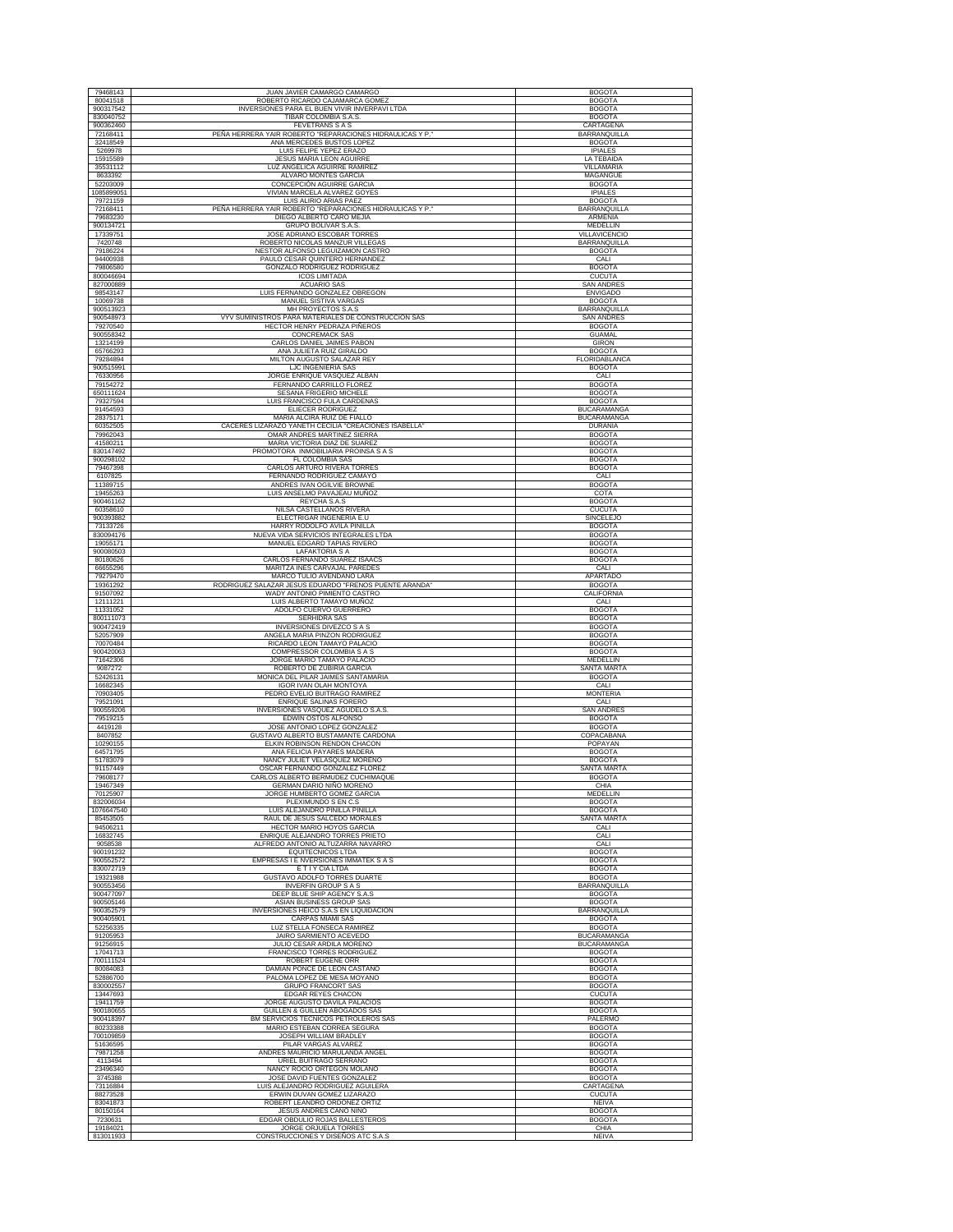| 79468143               | JUAN JAVIER CAMARGO CAMARGO                                                            | <b>BOGOTA</b>                            |
|------------------------|----------------------------------------------------------------------------------------|------------------------------------------|
| 80041518               | ROBERTO RICARDO CAJAMARCA GOMEZ                                                        | <b>BOGOTA</b>                            |
| 900317542              | INVERSIONES PARA EL BUEN VIVIR INVERPAVI LTDA                                          | <b>BOGOTA</b>                            |
| 830040752              | TIBAR COLOMBIA S.A.S.                                                                  | <b>BOGOTA</b>                            |
| 900362460              | <b>FEVETRANS S A S</b>                                                                 | CARTAGENA                                |
| 72168411<br>32418549   | PEÑA HERRERA YAIR ROBERTO "REPARACIONES HIDRAULICAS Y P."<br>ANA MERCEDES BUSTOS LOPEZ | BARRANQUILLA<br><b>BOGOTA</b>            |
| 5269978                | LUIS FELIPE YEPEZ ERAZO                                                                | <b>IPIALES</b>                           |
| 15915589               | <b>JESUS MARIA LEON AGUIRRE</b>                                                        | LA TEBAIDA                               |
| 35531112               | LUZ ANGELICA AGUIRRE RAMIREZ                                                           | <b>VILLAMARIA</b>                        |
| 8633392<br>52203009    | ALVARO MONTES GARCIA<br>CONCEPCIÓN AGUIRRE GARCIA                                      | MAGANGUE<br><b>BOGOTA</b>                |
| 1085899051             | VIVIAN MARCELA ALVAREZ GOYES                                                           | <b>IPIALES</b>                           |
| 79721159               | LUIS ALIRIO ARIAS PAEZ                                                                 | <b>BOGOTA</b>                            |
| 72168411               | PEÑA HERRERA YAIR ROBERTO "REPARACIONES HIDRAULICAS Y P."                              | BARRANQUILLA                             |
| 79683230<br>900134721  | DIEGO ALBERTO CARO MEJIA<br>GRUPO BOLIVAR S.A.S.                                       | ARMENIA<br><b>MEDELLIN</b>               |
| 17339751               | JOSE ADRIANO ESCOBAR TORRES                                                            | VILLAVICENCIO                            |
| 7420748                | ROBERTO NICOLAS MANZUR VILLEGAS                                                        | BARRANQUILLA                             |
| 79186224               | NESTOR ALFONSO LEGUIZAMON CASTRO                                                       | <b>BOGOTA</b>                            |
| 94400938<br>79806580   | PAULO CESAR QUINTERO HERNANDEZ<br><b>GONZALO RODRIGUEZ RODRIGUEZ</b>                   | CALI                                     |
| 800046694              | <b>ICOS LIMITADA</b>                                                                   | <b>BOGOTA</b><br><b>CUCUTA</b>           |
| 827000889              | <b>ACUARIO SAS</b>                                                                     | <b>SAN ANDRES</b>                        |
| 98543147               | LUIS FERNANDO GONZALEZ OBREGON                                                         | <b>ENVIGADO</b>                          |
| 10069738<br>900513923  | MANUEL SISTIVA VARGAS<br>MH PROYECTOS S.A.S                                            | <b>BOGOTA</b><br><b>BARRANQUILLA</b>     |
| 900548973              | VYV SUMINISTROS PARA MATERIALES DE CONSTRUCCION SAS                                    | <b>SAN ANDRES</b>                        |
| 79270540               | HECTOR HENRY PEDRAZA PIÑEROS                                                           | <b>BOGOTA</b>                            |
| 900558342              | CONCREMACK SAS                                                                         | <b>GUAMAL</b>                            |
| 13214199<br>65766293   | CARLOS DANIEL JAIMES PABON<br>ANA JULIETA RUIZ GIRALDO                                 | GIRON<br><b>BOGOTA</b>                   |
| 79284894               | MILTON AUGUSTO SALAZAR REY                                                             | FLORIDABLANCA                            |
| 900515991              | LJC INGENIERIA SAS                                                                     | <b>BOGOTA</b>                            |
| 76330956               | JORGE ENRIQUE VASQUEZ ALBAN                                                            | CALI                                     |
| 79154272<br>650111624  | FERNANDO CARRILLO FLOREZ<br>SESANA FRIGERIO MICHELE                                    | <b>BOGOTA</b><br><b>BOGOTA</b>           |
| 79327594               | LUIS FRANCISCO FULA CARDENAS                                                           | <b>BOGOTA</b>                            |
| 91454593               | <b>ELIECER RODRIGUEZ</b>                                                               | <b>BUCARAMANGA</b>                       |
| 28375171<br>60352505   | MARIA ALCIRA RUIZ DE FIALLO<br>CACERES LIZARAZO YANETH CECILIA "CREACIONES ISABELLA"   | <b>BUCARAMANGA</b><br><b>DURANIA</b>     |
| 79962043               | OMAR ANDRES MARTINEZ SIERRA                                                            | <b>BOGOTA</b>                            |
| 41580211               | MARIA VICTORIA DIAZ DE SUAREZ                                                          | <b>BOGOTA</b>                            |
| 830147492              | PROMOTORA INMOBILIARIA PROINSA S A S                                                   | <b>BOGOTA</b>                            |
| 900298102<br>79467398  | FL COLOMBIA SAS<br>CARLOS ARTURO RIVERA TORRES                                         | <b>BOGOTA</b><br><b>BOGOTA</b>           |
| 6107825                | FERNANDO RODRIGUEZ CAMAYO                                                              | CALI                                     |
| 11389715               | ANDRES IVAN OGILVIE BROWNE                                                             | <b>BOGOTA</b>                            |
| 19455263               | LUIS ANSELMO PAVAJEAU MUÑOZ<br>REYCHA S.A.S                                            | COTA                                     |
| 900461162<br>60358610  | NILSA CASTELLANOS RIVERA                                                               | <b>BOGOTA</b><br><b>CUCUTA</b>           |
| 900393882              | ELECTRIGAR INGENERIA E.U                                                               | SINCELEJO                                |
| 73133726               | HARRY RODOLFO AVILA PINILLA                                                            | <b>BOGOTA</b>                            |
| 830094176<br>19055171  | NUEVA VIDA SERVICIOS INTEGRALES LTDA<br>MANUEL EDGARD TAPIAS RIVERO                    | <b>BOGOTA</b><br><b>BOGOTA</b>           |
| 900080503              | <b>LAFAKTORIA S A</b>                                                                  | <b>BOGOTA</b>                            |
| 80180626               | CARLOS FERNANDO SUAREZ ISAACS                                                          | <b>BOGOTA</b>                            |
| 66655296               | MARITZA INES CARVAJAL PAREDES                                                          | CALI                                     |
| 79279470<br>19361292   | MARCO TULIO AVENDAÑO LARA<br>RODRIGUEZ SALAZAR JESUS EDUARDO "FRENOS PUENTE ARANDA"    | APARTADO<br><b>BOGOTA</b>                |
| 91507092               | WADY ANTONIO PIMIENTO CASTRO                                                           | CALIFORNIA                               |
| 12111221               | LUIS ALBERTO TAMAYO MUÑOZ                                                              | CALI                                     |
| 11331052<br>800111073  | ADOLFO CUERVO GUERRERO<br>SERHIDRA SAS                                                 | <b>BOGOTA</b><br><b>BOGOTA</b>           |
| 900472419              | INVERSIONES DIVEZCO S A S                                                              | <b>BOGOTA</b>                            |
| 52057909               | ANGELA MARIA PINZON RODRIGUEZ                                                          | <b>BOGOTA</b>                            |
| 70070484<br>900420063  | RICARDO LEON TAMAYO PALACIO<br>COMPRESSOR COLOMBIA S A S                               | <b>BOGOTA</b><br><b>BOGOTA</b>           |
| 71642306               | JORGE MARIO TAMAYO PALACIO                                                             | <b>MEDELLIN</b>                          |
| 9087272                | ROBERTO DE ZUBIRIA GARCIA                                                              | SANTA MARTA                              |
| 52426131<br>16682345   | MONICA DEL PILAR JAIMES SANTAMARIA<br><b>IGOR IVAN OLAH MONTOYA</b>                    | <b>BOGOTA</b><br>CALI                    |
| 70903405               | PEDRO EVELIO BUITRAGO RAMIREZ                                                          | <b>MONTERIA</b>                          |
| 79521091               | ENRIQUE SALINAS FORERO                                                                 | CALI                                     |
| 900559206              | INVERSIONES VASQUEZ AGUDELO S.A.S.                                                     | <b>SAN ANDRES</b>                        |
| 79519215<br>4419128    | EDWIN OSTOS ALFONSO<br>JOSE ANTONIO LOPEZ GONZALE.                                     | <b>BOGOTA</b><br><b>BOGOTA</b>           |
| 8407852                | GUSTAVO ALBERTO BUSTAMANTE CARDONA                                                     | COPACABANA                               |
| 10290155               | ELKIN ROBINSON RENDON CHACON                                                           | POPAYAN                                  |
| 64571795<br>51783079   | ANA FELICIA PAYARES MADERA<br>NANCY JULIET VELASQUEZ MORENO                            | <b>BOGOTA</b><br><b>BOGOTA</b>           |
| 91157449               | OSCAR FERNANDO GONZALEZ FLOREZ                                                         | SANTA MARTA                              |
| 79608177               | CARLOS ALBERTO BERMUDEZ CUCHIMAQUE                                                     | <b>BOGOTA</b>                            |
| 19467349               | GERMAN DARIO NIÑO MORENO                                                               | CHIA                                     |
| 70125907<br>832006034  | JORGE HUMBERTO GOMEZ GARCIA<br>PLEXIMUNDO S EN C.S                                     | MEDELLIN<br><b>BOGOTA</b>                |
| 1076647540             | LUIS ALEJANDRO PINILLA PINILLA                                                         | <b>BOGOTA</b>                            |
| 85453505<br>94506211   | RAUL DE JESUS SALCEDO MORALES<br>HECTOR MARIO HOYOS GARCIA                             | SANTA MARTA<br>CALI                      |
| 16832745               | ENRIQUE ALEJANDRO TORRES PRIETO                                                        | CALI                                     |
| 9058538                | ALFREDO ANTONIO ALTUZARRA NAVARRO                                                      | CALI                                     |
| 900191232              | <b>EQUITECNICOS LTDA</b><br><b>EMPRESAS I E NVERSIONES IMMATEK S A S</b>               | <b>BOGOTA</b>                            |
| 900552572<br>830072719 | E T I Y CIA LTDA                                                                       | <b>BOGOTA</b><br><b>BOGOTA</b>           |
| 19321988               | GUSTAVO ADOLFO TORRES DUARTE                                                           | <b>BOGOTA</b>                            |
| 900553456              | <b>INVERFIN GROUP S A S</b>                                                            | <b>BARRANQUILLA</b>                      |
| 900477097<br>900505146 | DEEP BLUE SHIP AGENCY S.A.S<br>ASIAN BUSINESS GROUP SAS                                | <b>BOGOTA</b><br><b>BOGOTA</b>           |
| 900352579              | INVERSIONES HEICO S.A.S EN LIQUIDACION                                                 | BARRANQUILLA                             |
| 900405901              | CARPAS MIAMI SAS                                                                       | <b>BOGOTA</b>                            |
| 52256335               | LUZ STELLA FONSECA RAMIREZ                                                             | <b>BOGOTA</b>                            |
| 91205953<br>91256915   | JAIRO SARMIENTO ACEVEDO<br>JULIO CESAR ARDILA MORENO                                   | <b>BUCARAMANGA</b><br><b>BUCARAMANGA</b> |
| 17041713               | FRANCISCO TORRES RODRIGUEZ                                                             | <b>BOGOTA</b>                            |
| 700111524              | ROBERT EUGENE ORR                                                                      | <b>BOGOTA</b>                            |
| 80084083<br>52886700   | DAMIAN PONCE DE LEON CASTAÑO<br>PALOMA LOPEZ DE MESA MOYANO                            | <b>BOGOTA</b><br><b>BOGOTA</b>           |
| 830002557              | <b>GRUPO FRANCORT SAS</b>                                                              | <b>BOGOTA</b>                            |
| 13447693               | EDGAR REYES CHACON                                                                     | <b>CUCUTA</b>                            |
| 19411759               | JORGE AUGUSTO DAVILA PALACIOS                                                          | <b>BOGOTA</b>                            |
| 900180655<br>900418397 | GUILLEN & GUILLEN ABOGADOS SAS<br>BM SERVICIOS TECNICOS PETROLEROS SAS                 | <b>BOGOTA</b><br>PALERMO                 |
| 80233388               | MARIO ESTEBAN CORREA SEGURA                                                            | <b>BOGOTA</b>                            |
| 700109859              | JOSEPH WILLIAM BRADLEY                                                                 | <b>BOGOTA</b>                            |
| 51636595<br>79871258   | PILAR VARGAS ALVAREZ<br>ANDRES MAURICIO MARULANDA ANGEL                                | <b>BOGOTA</b><br><b>BOGOTA</b>           |
| 4113494                | URIEL BUITRAGO SERRANO                                                                 | <b>BOGOTA</b>                            |
| 23496340               | NANCY ROCIO ORTEGON MOLANO                                                             | <b>BOGOTA</b>                            |
| 3745388<br>73116884    | JOSE DAVID FUENTES GONZALEZ<br>LUIS ALEJANDRO RODRIGUEZ AGUILERA                       | <b>BOGOTA</b><br>CARTAGENA               |
| 88273528               | ERWIN DUVAN GOMEZ LIZARAZO                                                             | <b>CUCUTA</b>                            |
| 83041873               | ROBERT LEANDRO ORDOÑEZ ORTIZ                                                           | <b>NEIVA</b>                             |
| 80150164<br>7230631    | JESUS ANDRES CANO NIÑO<br>EDGAR OBDULIO ROJAS BALLESTEROS                              | <b>BOGOTA</b><br><b>BOGOTA</b>           |
| 19184021               | JORGE ORJUELA TORRES                                                                   | CHIA                                     |
| 813011933              | CONSTRUCCIONES Y DISEÑOS ATC S.A.S                                                     | <b>NEIVA</b>                             |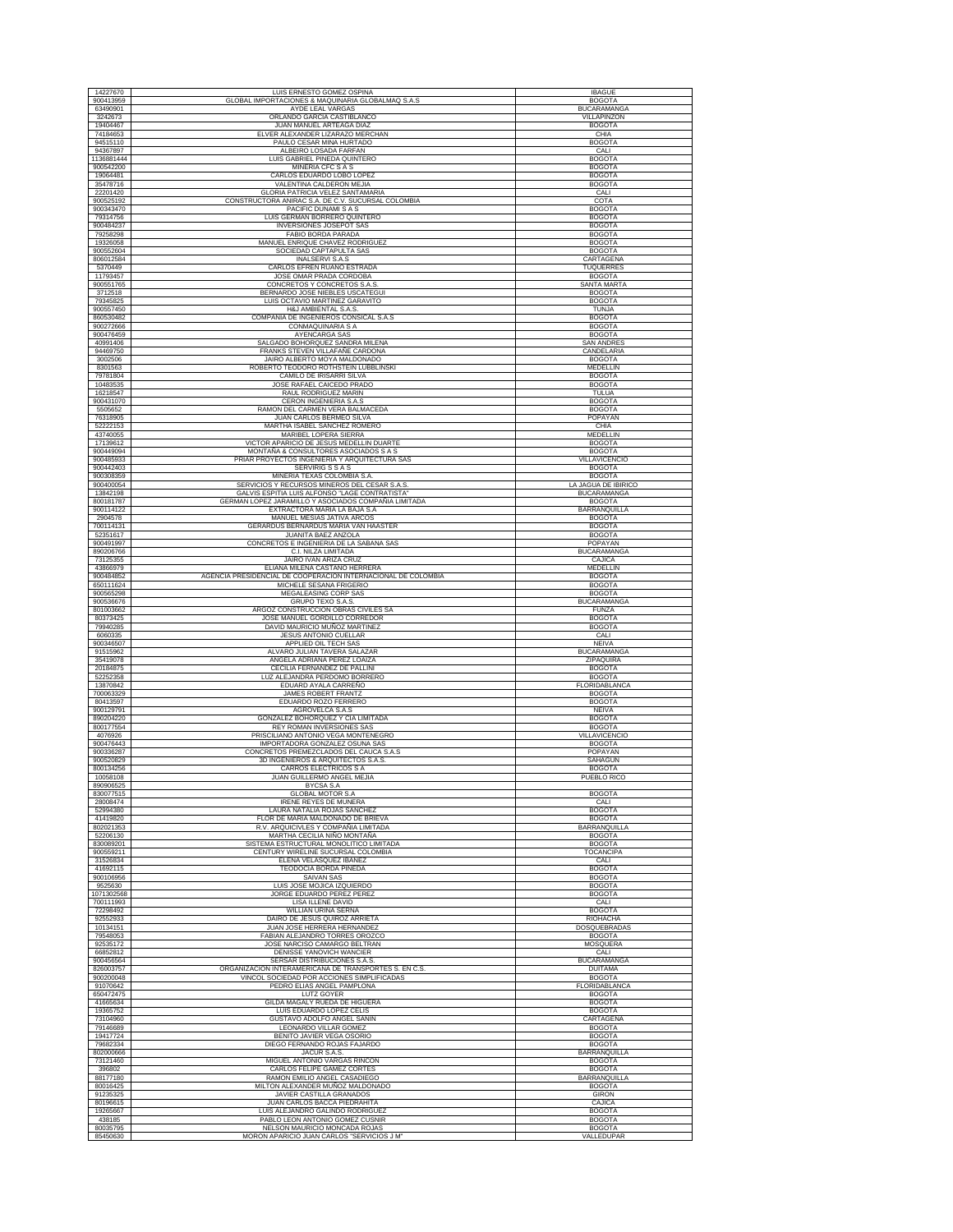| 14227670               | LUIS ERNESTO GOMEZ OSPINA                                                                              | <b>IBAGUE</b>                         |
|------------------------|--------------------------------------------------------------------------------------------------------|---------------------------------------|
| 900413959              | GLOBAL IMPORTACIONES & MAQUINARIA GLOBALMAQ S.A.S                                                      | <b>BOGOTA</b>                         |
| 63490901               | AYDE LEAL VARGAS                                                                                       | <b>BUCARAMANGA</b>                    |
| 3242673<br>19404467    | ORLANDO GARCIA CASTIBLANCO<br><b>JUAN MANUEL ARTEAGA DIAZ</b>                                          | VILLAPINZON<br><b>BOGOTA</b>          |
| 74184653               | ELVER ALEXANDER LIZARAZO MERCHAN                                                                       | CHIA                                  |
| 94515110               | PAULO CESAR MINA HURTADO                                                                               | <b>BOGOTA</b>                         |
| 94367897<br>1136881444 | ALBEIRO LOSADA FARFAN<br>LUIS GABRIEL PINEDA QUINTERO                                                  | CALI<br><b>BOGOTA</b>                 |
| 900542200              | MINERIA CFC S A S                                                                                      | <b>BOGOTA</b>                         |
| 19064481               | CARLOS EDUARDO LOBO LOPEZ                                                                              | <b>BOGOTA</b>                         |
| 35478716               | VALENTINA CALDERON MEJIA<br>GLORIA PATRICIA VELEZ SANTAMARIA                                           | <b>BOGOTA</b>                         |
| 22201420<br>900525192  | CONSTRUCTORA ANIRAC S.A. DE C.V. SUCURSAL COLOMBIA                                                     | CALI<br>COTA                          |
| 900343470              | PACIFIC DUNAMI S A S                                                                                   | <b>BOGOTA</b>                         |
| 79314756<br>900484237  | LUIS GERMAN BORRERO QUINTERO                                                                           | <b>BOGOTA</b><br><b>BOGOTA</b>        |
| 79258298               | INVERSIONES JOSEPOT SAS<br>FABIO BORDA PARADA                                                          | <b>BOGOTA</b>                         |
| 19326058               | MANUEL ENRIQUE CHAVEZ RODRIGUEZ                                                                        | <b>BOGOTA</b>                         |
| 900552604              | SOCIEDAD CAPTAPULTA SAS                                                                                | <b>BOGOTA</b>                         |
| 806012584<br>5370449   | <b>INALSERVI S.A.S</b><br>CARLOS EFREN RUANO ESTRADA                                                   | CARTAGENA<br><b>TUQUERRES</b>         |
| 11793457               | JOSE OMAR PRADA CORDOBA                                                                                | <b>BOGOTA</b>                         |
| 900551765<br>3712518   | CONCRETOS Y CONCRETOS S.A.S<br>BERNARDO JOSE NIEBLES USCATEGUI                                         | <b>SANTA MARTA</b><br><b>BOGOTA</b>   |
| 79345825               | LUIS OCTAVIO MARTINEZ GARAVITO                                                                         | <b>BOGOTA</b>                         |
| 900557450              | H&J AMBIENTAL S.A.S.                                                                                   | TUNJA                                 |
| 860530482<br>900272666 | COMPAÑIA DE INGENIEROS CONSICAL S.A.S<br>CONMAQUINARIA S A                                             | <b>BOGOTA</b><br><b>BOGOTA</b>        |
| 900476459              | AYENCARGA SAS                                                                                          | <b>BOGOTA</b>                         |
| 40991406               | SALGADO BOHORQUEZ SANDRA MILENA                                                                        | <b>SAN ANDRES</b>                     |
| 94469750<br>3002506    | FRANKS STEVEN VILLAFAÑE CARDONA<br>JAIRO ALBERTO MOYA MALDONADO                                        | CANDELARIA<br><b>BOGOTA</b>           |
| 8301563                | ROBERTO TEODORO ROTHSTEIN LUBBLINSKI                                                                   | MEDELLIN                              |
| 79781804               | CAMILO DE IRISARRI SILVA                                                                               | <b>BOGOTA</b>                         |
| 10483535<br>16218547   | JOSE RAFAEL CAICEDO PRADO<br>RAUL RODRIGUEZ MARIN                                                      | <b>BOGOTA</b>                         |
| 900431070              | CERON INGENIERIA S.A.S                                                                                 | TULUA<br><b>BOGOTA</b>                |
| 5505652                | RAMON DEL CARMEN VERA BALMACEDA                                                                        | <b>BOGOTA</b>                         |
| 76318905<br>52222153   | JUAN CARLOS BERMEO SILVA<br>MARTHA ISABEL SANCHEZ ROMERO                                               | POPAYAN<br>CHIA                       |
| 43740055               | MARIBEL LOPERA SIERRA                                                                                  | MEDELLIN                              |
| 17139612               | VICTOR APARICIO DE JESUS MEDELLIN DUARTE                                                               | <b>BOGOTA</b>                         |
| 900449094              | MONTAÑA & CONSULTORES ASOCIADOS S A S<br>PRIAR PROYECTOS INGENIERIA Y ARQUITECTURA SAS                 | <b>BOGOTA</b>                         |
| 900485933<br>900442403 | <b>SERVIRIG S S A S</b>                                                                                | <b>VILLAVICENCIO</b><br><b>BOGOTA</b> |
| 900308359              | MINERIA TEXAS COLOMBIA S.A.                                                                            | <b>BOGOTA</b>                         |
| 900400054              | SERVICIOS Y RECURSOS MINEROS DEL CESAR S.A.S.                                                          | LA JAGUA DE IBIRICO                   |
| 13842198<br>800181787  | GALVIS ESPITIA LUIS ALFONSO "LAGE CONTRATISTA'<br>GERMAN LOPEZ JARAMILLO Y ASOCIADOS COMPAÑIA LIMITADA | <b>BUCARAMANGA</b><br><b>BOGOTA</b>   |
| 900114122              | EXTRACTORA MARIA LA BAJA S.A                                                                           | <b>BARRANQUILLA</b>                   |
| 2904578                | MANUEL MESIAS JATIVA ARCOS                                                                             | <b>BOGOTA</b>                         |
| 700114131<br>52351617  | GERARDUS BERNARDUS MARIA VAN HAASTER<br>JUANITA BAEZ ANZOLA                                            | <b>BOGOTA</b><br><b>BOGOTA</b>        |
| 900491997              | CONCRETOS E INGENIERIA DE LA SABANA SAS                                                                | POPAYAN                               |
| 890206766              | C.I. NILZA LIMITADA                                                                                    | <b>BUCARAMANGA</b>                    |
| 73125355<br>43866979   | JAIRO IVAN ARIZA CRUZ<br>ELIANA MILENA CASTAÑO HERRERA                                                 | CAJICA<br>MEDELLIN                    |
| 900484852              | AGENCIA PRESIDENCIAL DE COOPERACION INTERNACIONAL DE COLOMBIA                                          | <b>BOGOTA</b>                         |
| 650111624              | MICHELE SESANA FRIGERIO                                                                                | <b>BOGOTA</b>                         |
| 900565298<br>900536676 | MEGALEASING CORP SAS<br><b>GRUPO TEXO S.A.S</b>                                                        | <b>BOGOTA</b><br><b>BUCARAMANGA</b>   |
| 801003662              | ARGOZ CONSTRUCCION OBRAS CIVILES SA                                                                    | <b>FUNZA</b>                          |
| 80373425               | JOSE MANUEL GORDILLO CORREDOR                                                                          | <b>BOGOTA</b>                         |
| 79940285               | DAVID MAURICIO MUÑOZ MARTINEZ                                                                          |                                       |
|                        |                                                                                                        | <b>BOGOTA</b>                         |
| 6060335<br>900346507   | <b>JESUS ANTONIO CUELLAR</b><br>APPLIED OIL TECH SAS                                                   | CALI<br><b>NEIVA</b>                  |
| 91515962               | ALVARO JULIAN TAVERA SALAZAR                                                                           | <b>BUCARAMANGA</b>                    |
| 35419078               | ANGELA ADRIANA PEREZ LOAIZA                                                                            | ZIPAQUIRA                             |
| 20184875<br>52252358   | CECILIA FERNANDEZ DE PALLINI<br>LUZ ALEJANDRA PERDOMO BORRERO                                          | <b>BOGOTA</b><br><b>BOGOTA</b>        |
| 13870842               | EDUARD AYALA CARREÑO                                                                                   | FLORIDABLANCA                         |
| 700063329<br>80413597  | JAMES ROBERT FRANTZ                                                                                    | <b>BOGOTA</b><br><b>BOGOTA</b>        |
| 900129791              | EDUARDO ROZO FERRERO<br>AGROVELCA S.A.S                                                                | <b>NEIVA</b>                          |
| 890204220              | GONZALEZ BOHORQUEZ Y CIA LIMITADA                                                                      | <b>BOGOTA</b>                         |
| 800177554<br>4076926   | REY ROMAN INVERSIONES SAS<br>PRISCILIANO ANTONIO VEGA MONTENEGRO                                       | <b>BOGOTA</b><br>VILLAVICENCIO        |
| 900476443              | IMPORTADORA GONZALEZ OSUNA SAS                                                                         | <b>BOGOTA</b>                         |
| 900336287              | CONCRETOS PREMEZCLADOS DEL CAUCA S.A.S                                                                 | POPAYAN                               |
| 900520829<br>800134256 | 3D INGENIEROS & ARQUITECTOS S.A.S.<br>CARROS ELECTRICOS S A                                            | <b>SAHAGUN</b><br><b>BOGOTA</b>       |
| 10058108               | JUAN GUILLERMO ANGEL MEJIA                                                                             | PUEBLO RICO                           |
| 890906525<br>830077515 | BYCSA S.A                                                                                              |                                       |
| 28008474               | <b>GLOBAL MOTOR S.A</b><br><b>IRENE REYES DE MUNERA</b>                                                | <b>BOGOTA</b><br>CALI                 |
| 52994380               | LAURA NATALIA ROJAS SANCHEZ                                                                            | <b>BOGOTA</b>                         |
| 41419820<br>802021353  | FLOR DE MARIA MALDONADO DE BRIEVA<br>R.V. ARQUICIVLES Y COMPAÑIA LIMITADA                              | <b>BOGOTA</b><br>BARRANQUILLA         |
| 52206130               | MARTHA CECILIA NIÑO MONTAÑA                                                                            | <b>BOGOTA</b>                         |
| 830089201              | SISTEMA ESTRUCTURAL MONOLITICO LIMITADA                                                                | <b>BOGOTA</b>                         |
| 900559211<br>31526834  | CENTURY WIRELINE SUCURSAL COLOMBIA<br>ELENA VELASQUEZ IBAÑEZ                                           | TOCANCIPA<br>CALI                     |
| 41692115               | <b>TEODOCIA BORDA PINEDA</b>                                                                           | <b>BOGOTA</b>                         |
| 900106956              | SAIVAN SAS                                                                                             | <b>BOGOTA</b>                         |
| 9525630<br>1071302568  | LUIS JOSE MOJICA IZQUIERDO<br>JORGE EDUARDO PEREZ PEREZ                                                | <b>BOGOTA</b><br><b>BOGOTA</b>        |
| 700111993              | <b>LISA ILLENE DAVID</b>                                                                               | CALI                                  |
| 72298492               | <b>WILLIAN URINA SERNA</b>                                                                             | <b>BOGOTA</b>                         |
| 92552933<br>10134151   | DAIRO DE JESUS QUIROZ ARRIETA<br>JUAN JOSE HERRERA HERNANDEZ                                           | RIOHACHA<br>DOSQUEBRADAS              |
| 79548053               | FABIAN ALEJANDRO TORRES OROZCO                                                                         | <b>BOGOTA</b>                         |
| 92535172<br>66852812   | JOSE NARCISO CAMARGO BELTRAN<br>DENISSE YANOVICH WANCIER                                               | MOSQUERA<br>CALI                      |
| 900456564              | SERSAR DISTRIBUCIONES S.A.S.                                                                           | <b>BUCARAMANGA</b>                    |
| 826003757              | ORGANIZACION INTERAMERICANA DE TRANSPORTES S. EN C.S                                                   | <b>DUITAMA</b>                        |
| 900200048<br>91070642  | VINCOL SOCIEDAD POR ACCIONES SIMPLIFICADAS<br>PEDRO ELIAS ANGEL PAMPLONA                               | <b>BOGOTA</b><br>FLORIDABLANCA        |
| 650472475              | LUTZ GOYER                                                                                             | <b>BOGOTA</b>                         |
| 41665634               | GILDA MAGALY RUEDA DE HIGUERA                                                                          | <b>BOGOTA</b>                         |
| 19365752<br>73104960   | LUIS EDUARDO LOPEZ CELIS<br>GUSTAVO ADOLFO ANGEL SANIN                                                 | <b>BOGOTA</b><br>CARTAGENA            |
| 79146689               | LEONARDO VILLAR GOMEZ                                                                                  | <b>BOGOTA</b>                         |
| 19417724               | <b>BENITO JAVIER VEGA OSORIO</b>                                                                       | <b>BOGOTA</b>                         |
| 79682334<br>802000666  | DIEGO FERNANDO ROJAS FAJARDO<br>JACUR S.A.S.                                                           | <b>BOGOTA</b><br>BARRANQUILLA         |
| 73121460               | MIGUEL ANTONIO VARGAS RINCON                                                                           | <b>BOGOTA</b>                         |
| 396802                 | CARLOS FELIPE GAMEZ CORTES                                                                             | <b>BOGOTA</b>                         |
| 88177180<br>80016425   | RAMON EMILIO ANGEL CASADIEGO<br>MILTON ALEXANDER MUÑOZ MALDONADO                                       | BARRANQUILLA<br><b>BOGOTA</b>         |
| 91235325               | JAVIER CASTILLA GRANADOS                                                                               | <b>GIRON</b>                          |
| 80196615               | JUAN CARLOS BACCA PIEDRAHITA                                                                           | CAJICA                                |
| 19265667<br>438185     | LUIS ALEJANDRO GALINDO RODRIGUEZ<br>PABLO LEON ANTONIO GOMEZ CUSNIR                                    | <b>BOGOTA</b><br><b>BOGOTA</b>        |
| 80035795<br>85450630   | NELSON MAURICIO MONCADA ROJAS<br>MORON APARICIO JUAN CARLOS "SERVICIOS J M"                            | <b>BOGOTA</b><br>VALLEDUPAR           |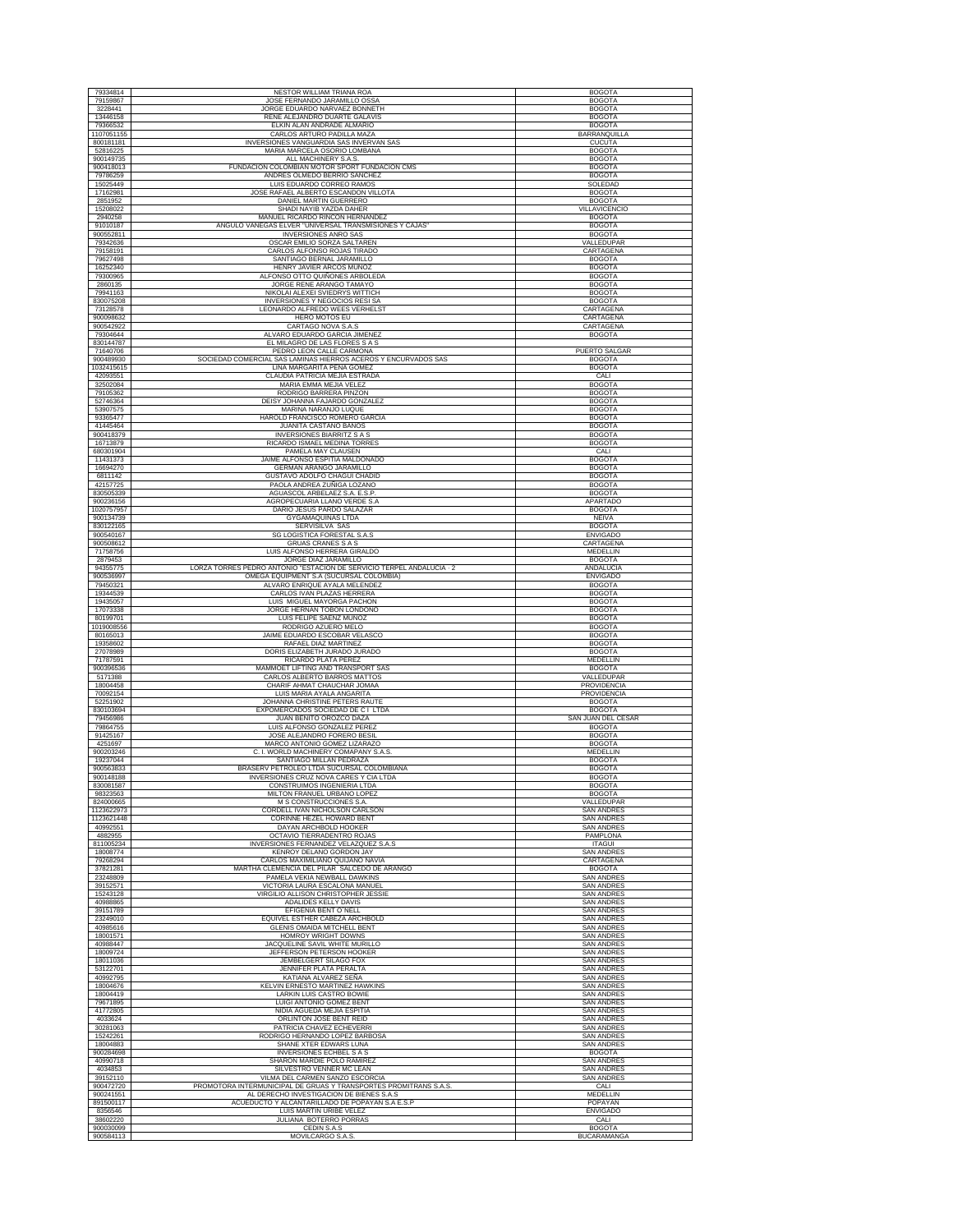| 79334814                         | NESTOR WILLIAM TRIANA ROA                                                                                     | <b>BOGOTA</b>                            |
|----------------------------------|---------------------------------------------------------------------------------------------------------------|------------------------------------------|
| 79159867                         | JOSE FERNANDO JARAMILLO OSSA                                                                                  | <b>BOGOTA</b>                            |
| 3228441                          | JORGE EDUARDO NARVAEZ BONNETH                                                                                 | <b>BOGOTA</b>                            |
| 13446158<br>79366532             | RENE ALEJANDRO DUARTE GALAVIS<br>ELKIN ALAN ANDRADE ALMARIO                                                   | <b>BOGOTA</b><br><b>BOGOTA</b>           |
| 1107051155                       | CARLOS ARTURO PADILLA MAZA                                                                                    | <b>BARRANQUILLA</b>                      |
| 800181181                        | INVERSIONES VANGUARDIA SAS INVERVAN SAS                                                                       | <b>CUCUTA</b>                            |
| 52816225<br>900149735            | MARIA MARCELA OSORIO LOMBANA<br>ALL MACHINERY S.A.S.                                                          | <b>BOGOTA</b><br><b>BOGOTA</b>           |
| 900418013                        | FUNDACION COLOMBIAN MOTOR SPORT FUNDACION CMS                                                                 | <b>BOGOTA</b>                            |
| 79786259                         | ANDRES OLMEDO BERRIO SANCHEZ                                                                                  | <b>BOGOTA</b>                            |
| 15025449<br>17162981             | LUIS EDUARDO CORREO RAMOS<br>JOSE RAFAEL ALBERTO ESCANDON VILLOTA                                             | SOLEDAD<br><b>BOGOTA</b>                 |
| 2851952                          | DANIEL MARTIN GUERRERO                                                                                        | <b>BOGOTA</b>                            |
| 15208022                         | SHADI NAYIB YAZDA DAHER                                                                                       | VILLAVICENCIO                            |
| 2940258<br>91010187              | MANUEL RICARDO RINCON HERNANDEZ<br>ANGULO VANEGAS ELVER "UNIVERSAL TRANSMISIONES Y CAJAS"                     | <b>BOGOTA</b><br><b>BOGOTA</b>           |
| 900552811                        | <b>INVERSIONES ANRO SAS</b>                                                                                   | <b>BOGOTA</b>                            |
| 79342636                         | OSCAR EMILIO SORZA SALTAREN                                                                                   | VALLEDUPAR                               |
| 79158191<br>79627498             | CARLOS ALFONSO ROJAS TIRADO<br>SANTIAGO BERNAL JARAMILLO                                                      | CARTAGENA<br><b>BOGOTA</b>               |
| 16252340                         | HENRY JAVIER ARCOS MUÑOZ                                                                                      | <b>BOGOTA</b>                            |
| 79300965                         | ALFONSO OTTO QUIÑONES ARBOLEDA                                                                                | <b>BOGOTA</b>                            |
| 2860135<br>79941163              | JORGE RENE ARANGO TAMAYO<br>NIKOLAI ALEXEI SVIEDRYS WITTICH                                                   | <b>BOGOTA</b><br><b>BOGOTA</b>           |
| 830075208                        | INVERSIONES Y NEGOCIOS RESI SA                                                                                | <b>BOGOTA</b>                            |
| 73128578                         | LEONARDO ALFREDO WEES VERHELST                                                                                | <b>CARTAGENA</b>                         |
| 900098632<br>900542922           | HERO MOTOS EU<br>CARTAGO NOVA S.A.S                                                                           | CARTAGENA<br>CARTAGENA                   |
| 79304644                         | ALVARO EDUARDO GARCIA JIMENEZ                                                                                 | <b>BOGOTA</b>                            |
| 830144787                        | EL MILAGRO DE LAS FLORES S A S                                                                                |                                          |
| 71640706<br>900489930            | PEDRO LEON CALLE CARMONA<br>SOCIEDAD COMERCIAL SAS LAMINAS HIERROS ACEROS Y ENCURVADOS SAS                    | PUERTO SALGAR<br><b>BOGOTA</b>           |
| 1032415615                       | LINA MARGARITA PEÑA GOMEZ                                                                                     | <b>BOGOTA</b>                            |
| 42093551                         | CLAUDIA PATRICIA MEJIA ESTRADA                                                                                | CALI                                     |
| 32502084<br>79105362             | MARIA EMMA MEJIA VELEZ<br>RODRIGO BARRERA PINZON                                                              | <b>BOGOTA</b><br><b>BOGOTA</b>           |
| 52746364                         | DEISY JOHANNA FAJARDO GONZALEZ                                                                                | <b>BOGOTA</b>                            |
| 53907575                         | MARINA NARANJO LUQUE<br>HAROLD FRANCISCO ROMERO GARCIA                                                        | <b>BOGOTA</b>                            |
| 93365477<br>41445464             | JUANITA CASTAÑO BAÑOS                                                                                         | <b>BOGOTA</b><br><b>BOGOTA</b>           |
| 900418379                        | <b>INVERSIONES BIARRITZ S A S</b>                                                                             | <b>BOGOTA</b>                            |
| 16713879                         | RICARDO ISMAEL MEDINA TORRES<br>PAMELA MAY CLAUSEN                                                            | <b>BOGOTA</b>                            |
| 680301904<br>11431373            | JAIME ALFONSO ESPITIA MALDONADO                                                                               | CALI<br><b>BOGOTA</b>                    |
| 16694270                         | GERMAN ARANGO JARAMILLO                                                                                       | <b>BOGOTA</b>                            |
| 6811142<br>42157725              | GUSTAVO ADOLFO CHAGUI CHADID<br>PAOLA ANDREA ZUÑIGA LOZANO                                                    | <b>BOGOTA</b><br><b>BOGOTA</b>           |
| 830505339                        | AGUASCOL ARBELAEZ S.A. E.S.P                                                                                  | <b>BOGOTA</b>                            |
| 900236156                        | AGROPECUARIA LLANO VERDE S.A                                                                                  | APARTADO                                 |
| 1020757957<br>900134739          | DARIO JESUS PARDO SALAZAR<br><b>GYGAMAQUINAS LTDA</b>                                                         | <b>BOGOTA</b><br><b>NEIVA</b>            |
| 830122165                        | SERVISILVA SAS                                                                                                | <b>BOGOTA</b>                            |
| 900540167<br>900508612           | SG LOGISTICA FORESTAL S.A.S<br><b>GRUAS CRANES S A S</b>                                                      | <b>ENVIGADO</b><br>CARTAGENA             |
| 71758756                         | LUIS ALFONSO HERRERA GIRALDO                                                                                  | MEDELLIN                                 |
| 2879453<br>94355775              | JORGE DIAZ JARAMILLO<br>LORZA TORRES PEDRO ANTONIO "ESTACION DE SERVICIO TERPEL ANDALUCIA - 2                 | <b>BOGOTA</b><br>ANDALUCIA               |
| 900536997                        | OMEGA EQUIPMENT S.A (SUCURSAL COLOMBIA)                                                                       | <b>ENVIGADO</b>                          |
| 79450321                         | ALVARO ENRIQUE AYALA MELENDEZ                                                                                 | <b>BOGOTA</b>                            |
| 19344539<br>19435057             | CARLOS IVAN PLAZAS HERRERA<br>LUIS MIGUEL MAYORGA PACHON                                                      | <b>BOGOTA</b><br><b>BOGOTA</b>           |
|                                  |                                                                                                               |                                          |
| 17073338                         | JORGE HERNAN TOBON LONDOÑO                                                                                    | <b>BOGOTA</b>                            |
| 80199701                         | LUIS FELIPE SAENZ MUÑOZ                                                                                       | <b>BOGOTA</b>                            |
| 1019008556<br>80165013           | RODRIGO AZUERO MELO<br>JAIME EDUARDO ESCOBAR VELASCO                                                          | <b>BOGOTA</b><br><b>BOGOTA</b>           |
| 19358602                         | RAFAEL DIAZ MARTINEZ                                                                                          | <b>BOGOTA</b>                            |
| 27078989                         | DORIS ELIZABETH JURADO JURADO                                                                                 | <b>BOGOTA</b>                            |
| 71787591<br>900396536            | RICARDO PLATA PEREZ<br>MAMMOET LIFTING AND TRANSPORT SAS                                                      | <b>MEDELLIN</b><br><b>BOGOTA</b>         |
| 5171388                          | CARLOS ALBERTO BARROS MATTOS                                                                                  | VALLEDUPAR                               |
| 18004458<br>70092154             | CHARIF AHMAT CHAUCHAR JOMAA<br>LUIS MARIA AYALA ANGARITA                                                      | PROVIDENCIA<br>PROVIDENCIA               |
| 52251902                         | JOHANNA CHRISTINE PETERS RAUTE                                                                                | <b>BOGOTA</b>                            |
| 830103694<br>79456986            | EXPOMERCADOS SOCIEDAD DE CILTDA<br>JUAN BENITO OROZCO DAZA                                                    | <b>BOGOTA</b><br>SAN JUAN DEL CESAR      |
| 79864755                         | LUIS ALFONSO GONZALEZ PERE                                                                                    | <b>BOGOTA</b>                            |
| 91425167<br>4251697              | JOSE ALEJANDRO FORERO BESIL<br>MARCO ANTONIO GOMEZ LIZARAZO                                                   | <b>BOGOTA</b><br><b>BOGOTA</b>           |
| 900203246                        | C. I. WORLD MACHINERY COMAPANY S.A.S.                                                                         | MEDELLIN                                 |
| 19237044                         | SANTIAGO MILLAN PEDRAZA                                                                                       | <b>BOGOTA</b>                            |
| 900563833<br>900148188           | BRASERV PETROLEO LTDA SUCURSAL COLOMBIANA<br>INVERSIONES CRUZ NOVA CARES Y CIA LTDA                           | <b>BOGOTA</b><br><b>BOGOTA</b>           |
| 830081587                        | CONSTRUIMOS INGENIERIA LTDA                                                                                   | <b>BOGOTA</b>                            |
| 98323563<br>824000665            | MILTON FRANUEL URBANO LOPEZ<br><b>M S CONSTRUCCIONES S.A.</b>                                                 | <b>BOGOTA</b><br>VALLEDUPAR              |
| 1123622973                       | CORDELL IVAN NICHOLSON CARLSON                                                                                | <b>SAN ANDRES</b>                        |
| 1123621448<br>40992551           | CORINNE HEZEL HOWARD BENT                                                                                     | <b>SAN ANDRES</b>                        |
| 4882955                          | DAYAN ARCHBOLD HOOKER<br>OCTAVIO TIERRADENTRO ROJAS                                                           | <b>SAN ANDRES</b><br>PAMPLONA            |
| 811005234                        | INVERSIONES FERNANDEZ VELAZOUEZ S.A.S                                                                         | <b>ITAGUI</b>                            |
| 18008774<br>79268294             | KENROY DELANO GORDON JAY<br>CARLOS MAXIMILIANO QUIJANO NAVIA                                                  | <b>SAN ANDRES</b><br>CARTAGENA           |
| 37821281                         | MARTHA CLEMENCIA DEL PILAR SALCEDO DE ARANGO                                                                  | <b>BOGOTA</b>                            |
| 23248809                         | PAMELA VEKIA NEWBALL DAWKINS                                                                                  | <b>SAN ANDRES</b>                        |
| 39152571<br>15243128             | VICTORIA LAURA ESCALONA MANUEL<br>VIRGILIO ALLISON CHRISTOPHER JESSIE                                         | <b>SAN ANDRES</b><br><b>SAN ANDRES</b>   |
| 40988865                         | ADALIDES KELLY DAVIS                                                                                          | <b>SAN ANDRES</b>                        |
| 39151789<br>23249010             | EFIGENIA BENT O'NELL<br>EQUIVEL ESTHER CABEZA ARCHBOLD                                                        | <b>SAN ANDRES</b><br><b>SAN ANDRES</b>   |
| 40985616                         | <b>GLENIS OMAIDA MITCHELL BENT</b>                                                                            | SAN ANDRES                               |
| 18001571<br>40988447             | HOMROY WRIGHT DOWNS<br>JACQUELINE SAVIL WHITE MURILLO                                                         | <b>SAN ANDRES</b><br><b>SAN ANDRES</b>   |
| 18009724                         | JEFFERSON PETERSON HOOKER                                                                                     | <b>SAN ANDRES</b>                        |
| 18011036                         | JEMBELGERT SILAGO FOX                                                                                         | <b>SAN ANDRES</b>                        |
| 53122701<br>40992795             | JENNIFER PLATA PERALTA<br>KATIANA ALVAREZ SEÑA                                                                | <b>SAN ANDRES</b><br><b>SAN ANDRES</b>   |
| 18004676                         | KELVIN ERNESTO MARTINEZ HAWKINS                                                                               | <b>SAN ANDRES</b>                        |
| 18004419<br>79671895             | LARKIN LUIS CASTRO BOWIE<br>LUIGI ANTONIO GOMEZ BENT                                                          | <b>SAN ANDRES</b><br><b>SAN ANDRES</b>   |
| 41772805                         | NIDIA AGUEDA MEJIA ESPITIA                                                                                    | <b>SAN ANDRES</b>                        |
| 4033624                          | ORLINTON JOSE BENT REID                                                                                       | <b>SAN ANDRES</b>                        |
| 30281063<br>15242261             | PATRICIA CHAVEZ ECHEVERRI<br>RODRIGO HERNANDO LOPEZ BARBOSA                                                   | <b>SAN ANDRES</b><br><b>SAN ANDRES</b>   |
| 18004883                         | SHANE XTER EDWARS LUNA                                                                                        | <b>SAN ANDRES</b>                        |
| 900284698<br>40990718            | INVERSIONES ECHBEL S A S<br>SHARON MARDIE POLO RAMIREZ                                                        | <b>BOGOTA</b><br><b>SAN ANDRES</b>       |
| 4034853                          | SILVESTRO VENNER MC LEAN                                                                                      | <b>SAN ANDRES</b>                        |
| 39152110                         | VILMA DEL CARMEN SANZO ESCORCIA                                                                               | <b>SAN ANDRES</b>                        |
| 900472720<br>900241551           | PROMOTORA INTERMUNICIPAL DE GRUAS Y TRANSPORTES PROMITRANS S.A.S.<br>AL DERECHO INVESTIGACION DE BIENES S.A.S | CALI<br>MEDELLIN                         |
| 891500117                        | ACUEDUCTO Y ALCANTARILLADO DE POPAYAN S.A E.S.P                                                               | POPAYAN                                  |
| 8356546<br>38602220<br>900030099 | LUIS MARTIN URIBE VELEZ<br>JULIANA BOTERRO PORRAS<br>CEDIN S.A.S                                              | <b>ENVIGADO</b><br>CALI<br><b>BOGOTA</b> |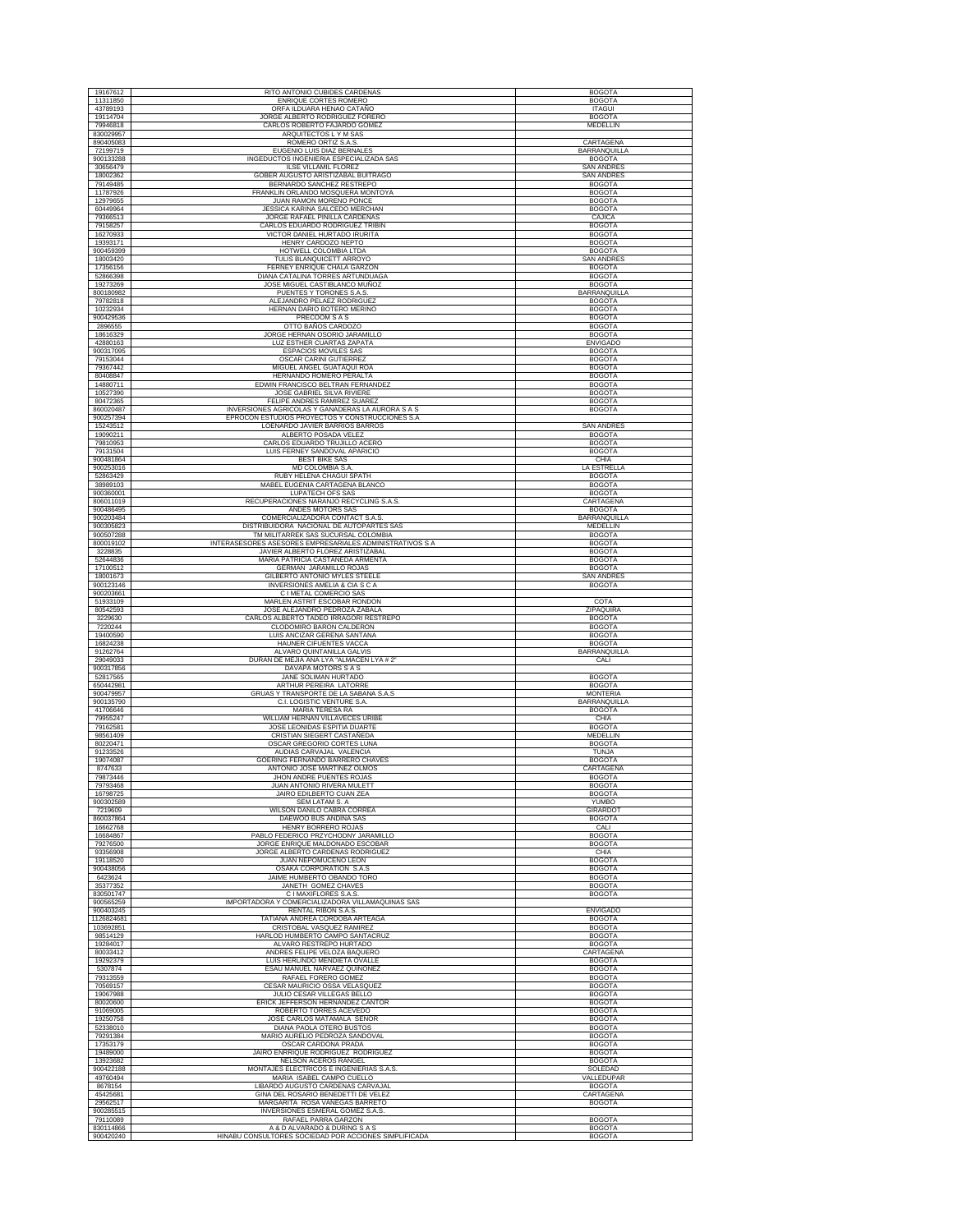| 19167612               | RITO ANTONIO CUBIDES CARDENAS                                                                 | <b>BOGOTA</b>                  |
|------------------------|-----------------------------------------------------------------------------------------------|--------------------------------|
| 11311850<br>43789193   | ENRIQUE CORTES ROMERO                                                                         | <b>BOGOTA</b><br><b>ITAGUI</b> |
| 19114704               | ORFA ILDUARA HENAO CATAÑO<br>JORGE ALBERTO RODRIGUEZ FORERO                                   | <b>BOGOTA</b>                  |
| 79946818               | CARLOS ROBERTO FAJARDO GOMEZ                                                                  | MEDELLIN                       |
| 830029957              | ARQUITECTOS L Y M SAS                                                                         |                                |
| 890405083              | ROMERO ORTIZ S.A.S                                                                            | CARTAGENA                      |
| 72199719               | EUGENIO LUIS DIAZ BERNALES                                                                    | BARRANQUILLA                   |
| 900133288              | INGEDUCTOS INGENIERIA ESPECIALIZADA SAS                                                       | <b>BOGOTA</b>                  |
| 30656479               | ILSE VILLAMIL FLOREZ                                                                          | <b>SAN ANDRES</b>              |
| 18002362               | GOBER AUGUSTO ARISTIZABAL BUITRAGO                                                            | <b>SAN ANDRES</b>              |
| 79149485               | BERNARDO SANCHEZ RESTREPO                                                                     | <b>BOGOTA</b>                  |
| 11787926               | FRANKLIN ORLANDO MOSQUERA MONTOYA                                                             | <b>BOGOTA</b>                  |
| 12979655               | JUAN RAMON MORENO PONCE                                                                       | <b>BOGOTA</b>                  |
| 60449964               | JESSICA KARINA SALCEDO MERCHAN                                                                | <b>BOGOTA</b>                  |
| 79366513               | JORGE RAFAEL PINILLA CARDENAS                                                                 | CAJICA                         |
| 79158257               | CARLOS EDUARDO RODRIGUEZ TRIBIN                                                               | <b>BOGOTA</b>                  |
| 16270933<br>19393171   | VICTOR DANIEL HURTADO IRURITA<br>HENRY CARDOZO NEPTO                                          | <b>BOGOTA</b><br><b>BOGOTA</b> |
| 900459399              | HOTWELL COLOMBIA LTDA                                                                         | <b>BOGOTA</b>                  |
| 18003420               | TULIS BLANQUICETT ARROYO                                                                      | <b>SAN ANDRES</b>              |
| 17356156               | FERNEY ENRIQUE CHALA GARZON                                                                   | <b>BOGOTA</b>                  |
| 52866398               | DIANA CATALINA TORRES ARTUNDUAGA                                                              | <b>BOGOTA</b>                  |
| 19273269               | JOSE MIGUEL CASTIBLANCO MUÑOZ                                                                 | <b>BOGOTA</b>                  |
| 800180982              | PUENTES Y TORONES S.A.S.                                                                      | BARRANQUILLA                   |
| 79782818               | ALEJANDRO PELAEZ RODRIGUEZ                                                                    | <b>BOGOTA</b>                  |
| 10232934<br>900429536  | HERNAN DARIO BOTERO MERINO<br>PRECOOM S A S                                                   | <b>BOGOTA</b><br><b>BOGOTA</b> |
| 2896555                | OTTO BAÑOS CARDOZO                                                                            | <b>BOGOTA</b>                  |
| 18616329               | JORGE HERNAN OSORIO JARAMILLO                                                                 | <b>BOGOTA</b>                  |
| 42880163               | LUZ ESTHER CUARTAS ZAPATA                                                                     | <b>ENVIGADO</b>                |
| 900317095              | <b>ESPACIOS MOVILES SAS</b>                                                                   | <b>BOGOTA</b>                  |
| 79153044               | <b>OSCAR CARINI GUTIERREZ</b>                                                                 | <b>BOGOTA</b>                  |
| 79367442               | MIGUEL ANGEL GUATAQUI ROA                                                                     | <b>BOGOTA</b>                  |
| 80408847               | HERNANDO ROMERO PERALTA                                                                       | <b>BOGOTA</b>                  |
| 14880711               | EDWIN FRANCISCO BELTRAN FERNANDEZ                                                             | <b>BOGOTA</b>                  |
| 10527390               | JOSE GABRIEL SILVA RIVIERE                                                                    | <b>BOGOTA</b>                  |
| 80472365<br>860020487  | FELIPE ANDRES RAMIREZ SUAREZ<br>INVERSIONES AGRICOLAS Y GANADERAS LA AURORA S A S             | <b>BOGOTA</b><br><b>BOGOTA</b> |
| 900257394              | EPROCON ESTUDIOS PROYECTOS Y CONSTRUCCIONES S.A.                                              |                                |
| 15243512               | LOENARDO JAVIER BARRIOS BARROS                                                                | <b>SAN ANDRES</b>              |
| 19090211               | ALBERTO POSADA VELEZ                                                                          | <b>BOGOTA</b>                  |
| 79810953               | CARLOS EDUARDO TRUJILLO ACERO                                                                 | <b>BOGOTA</b>                  |
| 79131504               | LUIS FERNEY SANDOVAL APARICIO                                                                 | <b>BOGOTA</b>                  |
| 900481864              | <b>BEST BIKE SAS</b>                                                                          | CHIA                           |
| 900253016              | MD COLOMBIA S.A                                                                               | LA ESTRELLA                    |
| 52863429               | RUBY HELENA CHAGUI SPATH                                                                      | <b>BOGOTA</b>                  |
| 38989103<br>900360001  | MABEL EUGENIA CARTAGENA BLANCO<br>LUPATECH OFS SAS                                            | <b>BOGOTA</b><br><b>BOGOTA</b> |
| 806011019              | RECUPERACIONES NARANJO RECYCLING S.A.S.                                                       | CARTAGENA                      |
| 900486495              | ANDES MOTORS SAS                                                                              | <b>BOGOTA</b>                  |
| 900203484              | COMERCIALIZADORA CONTACT S.A.S                                                                | BARRANQUILLA                   |
| 900305823              | DISTRIBUIDORA NACIONAL DE AUTOPARTES SAS                                                      | MEDELLIN                       |
| 900507288              | TM MILITARREK SAS SUCURSAL COLOMBIA                                                           | <b>BOGOTA</b>                  |
| 800019102<br>3228835   | INTERASESORES ASESORES EMPRESARIALES ADMINISTRATIVOS S A<br>JAVIER ALBERTO FLOREZ ARISTIZABAL | <b>BOGOTA</b><br><b>BOGOTA</b> |
| 52644836               | MARIA PATRICIA CASTAÑEDA ARMENTA                                                              | <b>BOGOTA</b>                  |
| 17100512               | GERMAN JARAMILLO ROJAS                                                                        | <b>BOGOTA</b>                  |
| 18001673               | GILBERTO ANTONIO MYLES STEELE                                                                 | <b>SAN ANDRES</b>              |
| 900123146              | INVERSIONES AMELIA & CIA S C A                                                                | <b>BOGOTA</b>                  |
| 900203661              | C I METAL COMERCIO SAS                                                                        |                                |
| 51933109<br>80542593   | MARLEN ASTRIT ESCOBAR RONDON<br>JOSE ALEJANDRO PEDROZA ZABALA                                 | COTA<br>ZIPAQUIRA              |
| 3229630                | CARLOS ALBERTO TADEO IRRAGORI RESTREPO                                                        | <b>BOGOTA</b>                  |
| 7220244                | CLODOMIRO BARON CALDERON                                                                      | <b>BOGOTA</b>                  |
| 19400590               | LUIS ANCIZAR GERENA SANTANA                                                                   | <b>BOGOTA</b>                  |
| 16824238               | HAUNER CIFUENTES VACCA                                                                        | <b>BOGOTA</b>                  |
| 91262764               | ALVARO QUINTANILLA GALVIS<br>DURAN DE MEJIA ANA LYA "ALMACEN LYA # 2"                         | BARRANQUILLA                   |
| 29049033<br>900317856  | DAVAPA MOTORS S A S                                                                           | CALI                           |
| 52817565               | JANE SOLIMAN HURTADO                                                                          | <b>BOGOTA</b>                  |
| 650442981              | ARTHUR PEREIRA LATORRE                                                                        | <b>BOGOTA</b>                  |
| 900479957              | GRUAS Y TRANSPORTE DE LA SABANA S.A.S                                                         | <b>MONTERIA</b>                |
| 900135790              | C.I. LOGISTIC VENTURE S.A.<br>MARIA TERESA RA                                                 | BARRANQUILLA<br><b>BOGOTA</b>  |
| 41706646<br>79955247   | WILLIAM HERNAN VILLAVECES URIBE                                                               | CHIA                           |
| 79162581               | JOSE LEONIDAS ESPITIA DUARTE                                                                  | <b>BOGOTA</b>                  |
| 98561409               | CRISTIAN SIEGERT CASTAÑEDA                                                                    | <b>MEDELLIN</b>                |
| 80220471               | OSCAR GREGORIO CORTES LUNA                                                                    | <b>BOGOTA</b>                  |
| 91233526               | AUDIAS CARVAJAL VALENCIA                                                                      | <b>TUNJA</b>                   |
| 19074087               | GOERING FERNANDO BARRERO CHAVES                                                               | <b>BOGOTA</b>                  |
| 8747633                | ANTONIO JOSE MARTINEZ OLMOS<br>JHON ANDRE PUENTES ROJAS                                       | CARTAGENA                      |
| 79873446<br>79793468   | JUAN ANTONIO RIVERA MULETT                                                                    | <b>BOGOTA</b><br><b>BOGOTA</b> |
| 16798725               | JAIRO EDILBERTO CUAN ZEA                                                                      | <b>BOGOTA</b>                  |
| 900302589              | SEM LATAM S. A                                                                                | YUMBO                          |
| 7219609                | WILSON DANILO CABRA CORREA                                                                    | GIRARDOT                       |
| 860037864              | DAEWOO BUS ANDINA SAS                                                                         | <b>BOGOTA</b>                  |
| 16662768               | HENRY BORRERO ROJAS                                                                           | CALI                           |
| 16684867<br>79276500   | PABLO FEDERICO PRZYCHODNY JARAMILLO<br>JORGE ENRIQUE MALDONADO ESCOBAR                        | <b>BOGOTA</b><br><b>BOGOTA</b> |
| 93356908               | JORGE ALBERTO CARDENAS RODRIGUEZ                                                              | CHIA                           |
| 19118520               | JUAN NEPOMUCENO LEON                                                                          | <b>BOGOTA</b>                  |
| 900438056              | OSAKA CORPORATION S.A.S                                                                       | <b>BOGOTA</b>                  |
| 6423624                | JAIME HUMBERTO OBANDO TORO                                                                    | <b>BOGOTA</b>                  |
| 35377352               | JANETH GOMEZ CHAVES                                                                           | <b>BOGOTA</b>                  |
| 830501747<br>900565259 | C I MAXIFLORES S.A.S.<br>IMPORTADORA Y COMERCIALIZADORA VILLAMAQUINAS SAS                     | <b>BOGOTA</b>                  |
| 900403245              | RENTAL RIBON S.A.S.                                                                           | <b>ENVIGADO</b>                |
| 1126824681             | TATIANA ANDREA CORDOBA ARTEAGA                                                                | <b>BOGOTA</b>                  |
| 103692851              | CRISTOBAL VASQUEZ RAMIREZ                                                                     | <b>BOGOTA</b>                  |
| 98514129               | HARLOD HUMBERTO CAMPO SANTACRUZ                                                               | <b>BOGOTA</b>                  |
| 19284017               | ALVARO RESTREPO HURTADO                                                                       |                                |
| 80033412<br>19292379   |                                                                                               | <b>BOGOTA</b>                  |
| 5307874                | ANDRES FELIPE VELOZA BAQUERO                                                                  | CARTAGENA                      |
| 79313559               | LUIS HERLINDO MENDIETA OVALLE                                                                 | <b>BOGOTA</b>                  |
|                        | ESAU MANUEL NARVAEZ QUIÑONEZ<br>RAFAEL FORERO GOMEZ                                           | <b>BOGOTA</b><br><b>BOGOTA</b> |
| 70569157               | CESAR MAURICIO OSSA VELASQUEZ                                                                 | <b>BOGOTA</b>                  |
| 19067988               | JULIO CESAR VILLEGAS BELLO                                                                    | <b>BOGOTA</b>                  |
| 80020600               | ERICK JEFFERSON HERNANDEZ CANTOR                                                              | <b>BOGOTA</b>                  |
| 91069005               | ROBERTO TORRES ACEVEDO                                                                        | <b>BOGOTA</b>                  |
| 19250758               | JOSE CARLOS MATAMALA SEÑOR                                                                    | <b>BOGOTA</b>                  |
| 52338010<br>79291384   | <b>DIANA PAOLA OTERO BUSTOS</b><br>MARIO AURELIO PEDROZA SANDOVAL                             | <b>BOGOTA</b><br><b>BOGOTA</b> |
| 17353179               | OSCAR CARDONA PRADA                                                                           | <b>BOGOTA</b>                  |
| 19489000               | JAIRO ENRRIQUE RODRIGUEZ RODRIGUEZ                                                            | <b>BOGOTA</b>                  |
| 13923682               | NELSON ACEROS RANGEL                                                                          | <b>BOGOTA</b>                  |
| 900422188              | MONTAJES ELECTRICOS E INGENIERIAS S.A.S                                                       | SOLEDAD                        |
| 49760494               | MARIA ISABEL CAMPO CUELLO                                                                     | VALLEDUPAR                     |
| 8678154                | LIBARDO AUGUSTO CARDENAS CARVAJAL                                                             | <b>BOGOTA</b>                  |
| 45425681<br>29562517   | GINA DEL ROSARIO BENEDETTI DE VELEZ<br>MARGARITA ROSA VANEGAS BARRETO                         | CARTAGENA<br><b>BOGOTA</b>     |
| 900285515              | INVERSIONES ESMERAL GOMEZ S.A.S.                                                              |                                |
| 79110089               | RAFAEL PARRA GARZON                                                                           | <b>BOGOTA</b>                  |
| 830114866<br>900420240 | A & D ALVARADO & DURING S A S<br>HINABU CONSULTORES SOCIEDAD POR ACCIONES SIMPLIFICADA        | <b>BOGOTA</b><br><b>BOGOTA</b> |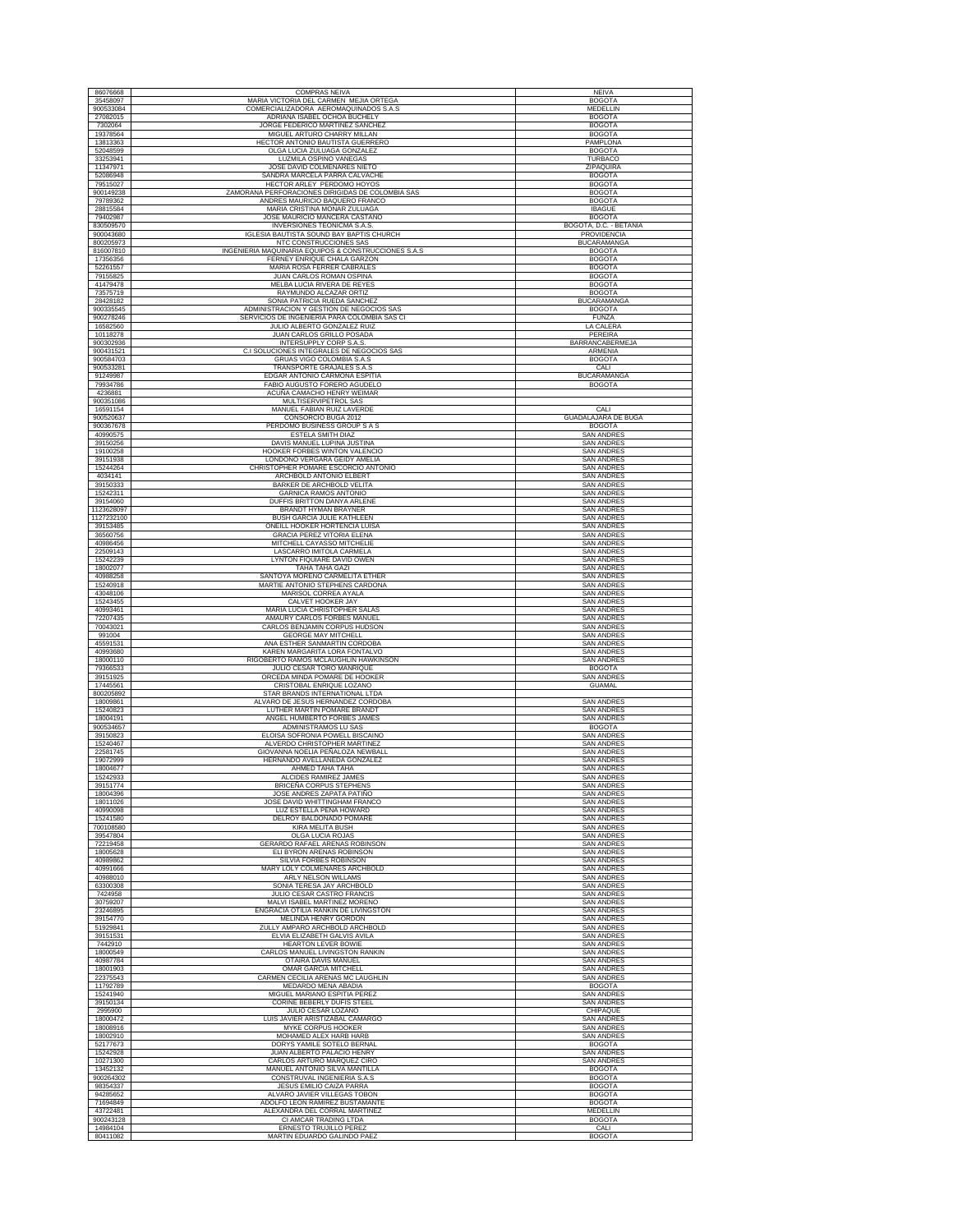| 86076668                 | <b>COMPRAS NEIVA</b>                                                                     | <b>NEIVA</b>                           |
|--------------------------|------------------------------------------------------------------------------------------|----------------------------------------|
| 35458097                 | MARIA VICTORIA DEL CARMEN MEJIA ORTEGA                                                   | <b>BOGOTA</b>                          |
| 900533084<br>27082015    | COMERCIALIZADORA AEROMAQUINADOS S.A.S<br>ADRIANA ISABEL OCHOA BUCHELY                    | <b>MEDELLIN</b><br><b>BOGOTA</b>       |
| 7302064                  | JORGE FEDERICO MARTINEZ SANCHEZ                                                          | <b>BOGOTA</b>                          |
| 19378564<br>13813363     | MIGUEL ARTURO CHARRY MILLAN<br>HECTOR ANTONIO BAUTISTA GUERRERO                          | <b>BOGOTA</b><br><b>PAMPLONA</b>       |
| 52048599                 | OLGA LUCIA ZULUAGA GONZALEZ                                                              | <b>BOGOTA</b>                          |
| 33253941<br>11347971     | LUZMILA OSPINO VANEGAS<br>JOSE DAVID COLMENARES NIETO                                    | TURBACO<br>ZIPAQUIRA                   |
| 52086948                 | SANDRA MARCELA PARRA CALVACHE                                                            | <b>BOGOTA</b>                          |
| 79515027<br>900149238    | HECTOR ARLEY PERDOMO HOYOS<br>ZAMORANA PERFORACIONES DIRIGIDAS DE COLOMBIA SAS           | <b>BOGOTA</b><br><b>BOGOTA</b>         |
| 79789362                 | ANDRES MAURICIO BAQUERO FRANCO                                                           | <b>BOGOTA</b>                          |
| 28815584<br>79402987     | MARIA CRISTINA MONAR ZULUAGA<br>JOSE MAURICIO MANCERA CASTAÑO                            | <b>IBAGUE</b><br><b>BOGOTA</b>         |
| 830509570                | INVERSIONES TEONICMA S.A.S.                                                              | BOGOTÁ, D.C. - BETANIA                 |
| 900043680<br>800205973   | IGLESIA BAUTISTA SOUND BAY BAPTIS CHURCH<br>NTC CONSTRUCCIONES SAS                       | PROVIDENCIA<br><b>BUCARAMANGA</b>      |
| 816007810                | INGENIERIA MAQUINARIA EQUIPOS & CONSTRUCCIONES S.A.S                                     | <b>BOGOTA</b>                          |
| 17356356<br>52261557     | FERNEY ENRIQUE CHALA GARZON<br>MARIA ROSA FERRER CABRALES                                | <b>BOGOTA</b><br><b>BOGOTA</b>         |
| 79155825                 | JUAN CARLOS ROMAN OSPINA                                                                 | <b>BOGOTA</b>                          |
| 41479478<br>73575719     | MELBA LUCIA RIVERA DE REYES<br>RAYMUNDO ALCAZAR ORTIZ                                    | <b>BOGOTA</b><br><b>BOGOTA</b>         |
| 28428182                 | SONIA PATRICIA RUEDA SANCHEZ                                                             | <b>BUCARAMANGA</b>                     |
| 900335545<br>900278246   | ADMINISTRACION Y GESTION DE NEGOCIOS SAS<br>SERVICIOS DE INGENIERIA PARA COLOMBIA SAS CI | <b>BOGOTA</b><br><b>FUNZA</b>          |
| 16582560                 | JULIO ALBERTO GONZALEZ RUIZ                                                              | <b>LA CALERA</b>                       |
| 10118278<br>900302936    | JUAN CARLOS GRILLO POSADA<br>INTERSUPPLY CORP S.A.S                                      | PEREIRA<br>BARRANCABERMEJA             |
| 900431521                | C.I SOLUCIONES INTEGRALES DE NEGOCIOS SAS                                                | ARMENIA                                |
| 900584703<br>900533281   | GRUAS VIGO COLOMBIA S.A.S<br>TRANSPORTE GRAJALES S.A.S                                   | <b>BOGOTA</b><br>CALI                  |
| 91249987                 | EDGAR ANTONIO CARMONA ESPITIA                                                            | <b>BUCARAMANGA</b>                     |
| 79934786                 | FABIO AUGUSTO FORERO AGUDELO                                                             | <b>BOGOTA</b>                          |
| 4236881<br>900351086     | ACUÑA CAMACHO HENRY WEIMAR<br>MULTISERVIPETROL SAS                                       |                                        |
| 16591154                 | MANUEL FABIAN RUIZ LAVERDE                                                               | CALI<br><b>GUADALAJARA DE BUGA</b>     |
| 900520637<br>900367678   | CONSORCIO BUGA 2012<br>PERDOMO BUSINESS GROUP S A S                                      | <b>BOGOTA</b>                          |
| 40990575<br>39150256     | <b>ESTELA SMITH DIAZ</b><br>DAVIS MANUEL LUPINA JUSTINA                                  | <b>SAN ANDRES</b><br><b>SAN ANDRES</b> |
| 19100258                 | HOOKER FORBES WINTON VALENCIO                                                            | <b>SAN ANDRES</b>                      |
| 39151938<br>15244264     | LONDOÑO VERGARA GEIDY AMELIA<br>CHRISTOPHER POMARE ESCORCIO ANTONIO                      | <b>SAN ANDRES</b><br><b>SAN ANDRES</b> |
| 4034141                  | ARCHBOLD ANTONIO ELBERT                                                                  | <b>SAN ANDRES</b>                      |
| 39150333<br>15242311     | BARKER DE ARCHBOLD VELITA<br><b>GARNICA RAMOS ANTONIO</b>                                | <b>SAN ANDRES</b><br><b>SAN ANDRES</b> |
| 39154060                 | DUFFIS BRITTON DANYA ARLENE                                                              | <b>SAN ANDRES</b>                      |
| 1123628097<br>1127232100 | BRANDT HYMAN BRAYNER<br>BUSH GARCIA JULIE KATHLEEN                                       | <b>SAN ANDRES</b><br><b>SAN ANDRES</b> |
| 39153485                 | ONEILL HOOKER HORTENCIA LUISA                                                            | <b>SAN ANDRES</b>                      |
| 36560756<br>40986456     | <b>GRACIA PEREZ VITORIA ELENA</b><br>MITCHELL CAYASSO MITCHELIE                          | <b>SAN ANDRES</b><br><b>SAN ANDRES</b> |
| 22509143                 | LASCARRO IMITOLA CARMELA                                                                 | <b>SAN ANDRES</b>                      |
| 15242239<br>18002077     | LYNTON FIQUIARE DAVID OWEN<br>TAHA TAHA GAZI                                             | <b>SAN ANDRES</b><br><b>SAN ANDRES</b> |
| 40988258                 | SANTOYA MORENO CARMELITA ETHER                                                           | <b>SAN ANDRES</b>                      |
| 15240918<br>43048106     | MARTIE ANTONIO STEPHENS CARDONA<br>MARISOL CORREA AYALA                                  | <b>SAN ANDRES</b><br><b>SAN ANDRES</b> |
| 15243455                 | CALVET HOOKER JAY                                                                        | <b>SAN ANDRES</b>                      |
| 40993461<br>72207435     | MARIA LUCIA CHRISTOPHER SALAS<br>AMAURY CARLOS FORBES MANUEL                             | <b>SAN ANDRES</b><br>SAN ANDRES        |
| 70043021                 | CARLOS BENJAMIN CORPUS HUDSON                                                            | <b>SAN ANDRES</b>                      |
| 991004<br>45591531       | <b>GEORGE MAY MITCHELL</b><br>ANA ESTHER SANMARTIN CORDOBA                               | <b>SAN ANDRES</b><br><b>SAN ANDRES</b> |
| 40993680                 | KAREN MARGARITA LORA FONTALVO                                                            | <b>SAN ANDRES</b>                      |
| 18000110<br>79366533     | RIGOBERTO RAMOS MCLAUGHLIN HAWKINSON<br>JULIO CESAR TORO MANRIQUE                        | <b>SAN ANDRES</b><br><b>BOGOTA</b>     |
| 39151925<br>17445561     | ORCEDA MINDA POMARE DE HOOKER                                                            | <b>SAN ANDRES</b>                      |
| 800205892                | CRISTOBAL ENRIQUE LOZANO<br>STAR BRANDS INTERNATIONAL LTDA                               | <b>GUAMAL</b>                          |
| 18009861<br>15240823     | ALVARO DE JESUS HERNANDEZ CORDOBA<br>LUTHER MARTIN POMARE BRANDT                         | <b>SAN ANDRES</b><br><b>SAN ANDRES</b> |
| 18004191                 | ANGEL HUMBERTO FORBES JAMES                                                              | <b>SAN ANDRES</b>                      |
| 900534657<br>39150823    | ADMINISTRAMOS LU SAS<br>ELOISA SOFRONIA POWELL BISCAINO                                  | <b>BOGOTA</b><br><b>SAN ANDRES</b>     |
| 15240467                 | ALVERDO CHRISTOPHER MARTINEZ                                                             | <b>SAN ANDRES</b>                      |
| 22581745<br>19072999     | GIOVANNA NOELIA PEÑALOZA NEWBALL<br>HERNANDO AVELLANEDA GONZALEZ                         | <b>SAN ANDRES</b><br><b>SAN ANDRES</b> |
| 18004677                 | AHMED TAHA TAHA                                                                          | <b>SAN ANDRES</b>                      |
| 15242933<br>39151774     | ALCIDES RAMIREZ JAMES<br>BRICEÑA CORPUS STEPHENS                                         | <b>SAN ANDRES</b><br><b>SAN ANDRES</b> |
| 18004396                 | JOSE ANDRES ZAPATA PATIÑO                                                                | <b>SAN ANDRES</b>                      |
| 18011026<br>40990098     | JOSE DAVID WHITTINGHAM FRANCO<br>LUZ ESTELLA PEÑA HOWARD                                 | <b>SAN ANDRES</b><br><b>SAN ANDRES</b> |
| 15241580<br>700108580    | DELROY BALDONADO POMARE<br><b>KIRA MELITA BUSH</b>                                       | <b>SAN ANDRES</b><br><b>SAN ANDRES</b> |
| 39547804                 | OLGA LUCIA ROJAS                                                                         | <b>SAN ANDRES</b>                      |
| 72219458<br>18005628     | GERARDO RAFAEL ARENAS ROBINSON<br>ELI BYRON ARENAS ROBINSON                              | <b>SAN ANDRES</b><br><b>SAN ANDRES</b> |
| 40989862                 | SILVIA FORBES ROBINSON                                                                   | <b>SAN ANDRES</b>                      |
| 40991666<br>40988010     | MARY LOLY COLMENARES ARCHBOLD<br>ARLY NELSON WILLAMS                                     | <b>SAN ANDRES</b><br><b>SAN ANDRES</b> |
| 63300308                 | SONIA TERESA JAY ARCHBOLD                                                                | <b>SAN ANDRES</b>                      |
| 7424958<br>30759207      | JULIO CESAR CASTRO FRANCIS<br>MALVI ISABEL MARTINEZ MORENO                               | <b>SAN ANDRES</b><br><b>SAN ANDRES</b> |
| 23246895                 | ENGRACIA OTILIA RANKIN DE LIVINGSTON                                                     | <b>SAN ANDRES</b>                      |
| 39154770<br>51929841     | <b>MELINDA HENRY GORDON</b><br>ZULLY AMPARO ARCHBOLD ARCHBOLD                            | <b>SAN ANDRES</b><br><b>SAN ANDRES</b> |
| 39151531                 | ELVIA ELIZABETH GALVIS AVILA                                                             | <b>SAN ANDRES</b>                      |
| 7442910<br>18000549      | <b>HEARTON LEVER BOWIE</b><br>CARLOS MANUEL LIVINGSTON RANKIN                            | <b>SAN ANDRES</b><br><b>SAN ANDRES</b> |
| 40987784                 | <b>OTAIRA DAVIS MANUEL</b>                                                               | <b>SAN ANDRES</b>                      |
| 18001903<br>22375543     | OMAR GARCIA MITCHELL<br>CARMEN CECILIA ARENAS MC LAUGHLIN                                | <b>SAN ANDRES</b><br><b>SAN ANDRES</b> |
| 11792789                 | <b>MEDARDO MENA ABADIA</b>                                                               | <b>BOGOTA</b>                          |
| 15241940<br>39150134     | MIGUEL MARIANO ESPITIA PEREZ<br>CORINE BEBERLY DUFIS STEEL                               | <b>SAN ANDRES</b><br><b>SAN ANDRES</b> |
| 2995900<br>18000472      | JULIO CESAR LOZANO<br>LUIS JAVIER ARISTIZABAL CAMARGO                                    | CHIPAQUE<br><b>SAN ANDRES</b>          |
| 18008916                 | MYKE CORPUS HOOKER                                                                       | <b>SAN ANDRES</b>                      |
| 18002910<br>52177673     | MOHAMED ALEX HARB HARB<br>DORYS YAMILE SOTELO BERNAL                                     | <b>SAN ANDRES</b><br><b>BOGOTA</b>     |
| 15242928                 | JUAN ALBERTO PALACIO HENRY                                                               | <b>SAN ANDRES</b>                      |
| 10271300<br>13452132     | CARLOS ARTURO MARQUEZ CIRO<br>MANUEL ANTONIO SILVA MANTILLA                              | <b>SAN ANDRES</b><br><b>BOGOTA</b>     |
| 900264302                | CONSTRUVAL INGENIERIA S.A.S                                                              | <b>BOGOTA</b>                          |
| 98354337<br>94285652     | JESUS EMILIO CAIZA PARRA<br>ALVARO JAVIER VILLEGAS TOBON                                 | <b>BOGOTA</b><br><b>BOGOTA</b>         |
| 71694849                 | ADOLFO LEON RAMIREZ BUSTAMANTE                                                           | <b>BOGOTA</b>                          |
| 43722481<br>900243128    | ALEXANDRA DEL CORRAL MARTINEZ<br>CI AMCAR TRADING LTDA                                   | MEDELLIN<br><b>BOGOTA</b>              |
| 14984104                 | ERNESTO TRUJILLO PEREZ                                                                   | CALI                                   |
| 80411082                 | MARTIN EDUARDO GALINDO PAEZ                                                              | <b>BOGOTA</b>                          |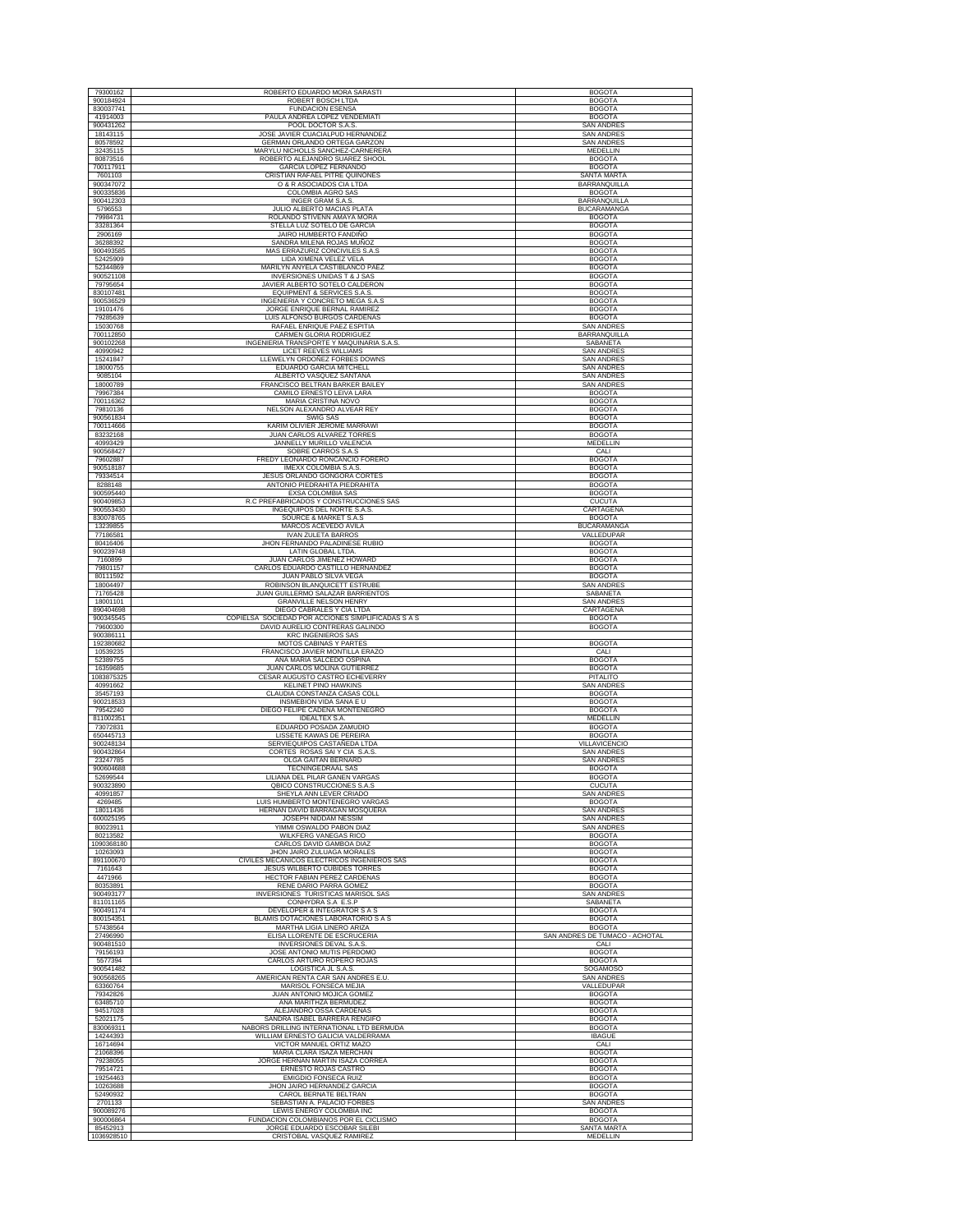| 79300162               | ROBERTO EDUARDO MORA SARASTI                                                    | <b>BOGOTA</b>                          |
|------------------------|---------------------------------------------------------------------------------|----------------------------------------|
| 900184924              | ROBERT BOSCH LTDA                                                               | <b>BOGOTA</b>                          |
| 830037741              | <b>FUNDACION ESENSA</b>                                                         | <b>BOGOTA</b>                          |
| 41914003               | PAULA ANDREA LOPEZ VENDEMIATI                                                   | <b>BOGOTA</b>                          |
| 900431262              | POOL DOCTOR S.A.S.<br>JOSE JAVIER CUACIALPUD HERNANDEZ                          | <b>SAN ANDRES</b>                      |
| 18143115<br>80578592   | GERMAN ORLANDO ORTEGA GARZON                                                    | <b>SAN ANDRES</b><br><b>SAN ANDRES</b> |
| 32435115               | MARYLU NICHOLLS SANCHEZ-CARNERERA                                               | MEDELLIN                               |
| 80873516               | ROBERTO ALEJANDRO SUAREZ SHOOL                                                  | <b>BOGOTA</b>                          |
| 700117911              | GARCIA LOPEZ FERNANDO                                                           | <b>BOGOTA</b>                          |
| 7601103                | CRISTIAN RAFAEL PITRE QUIÑONES                                                  | <b>SANTA MARTA</b>                     |
| 900347072<br>900335836 | O & R ASOCIADOS CIA LTDA<br>COLOMBIA AGRO SAS                                   | BARRANQUILLA<br><b>BOGOTA</b>          |
| 900412303              | INGER GRAM S.A.S.                                                               | BARRANQUILLA                           |
| 5796553                | JULIO ALBERTO MACIAS PLATA                                                      | <b>BUCARAMANGA</b>                     |
| 79984731               | ROLANDO STIVENN AMAYA MORA                                                      | <b>BOGOTA</b>                          |
| 33281364<br>2906169    | STELLA LUZ SOTELO DE GARCIA<br>JAIRO HUMBERTO FANDIÑO                           | <b>BOGOTA</b><br><b>BOGOTA</b>         |
| 36288392               | SANDRA MILENA ROJAS MUÑOZ                                                       | <b>BOGOTA</b>                          |
| 900493585              | MAS ERRAZURIZ CONCIVILES S.A.S                                                  | <b>BOGOTA</b>                          |
| 52425909               | LIDA XIMENA VELEZ VELA                                                          | <b>BOGOTA</b>                          |
| 52344869<br>900521108  | MARILYN ANYELA CASTIBLANCO PAEZ<br><b>INVERSIONES UNIDAS T &amp; J SAS</b>      | <b>BOGOTA</b><br><b>BOGOTA</b>         |
| 79795654               | JAVIER ALBERTO SOTELO CALDERON                                                  | <b>BOGOTA</b>                          |
| 830107481              | EQUIPMENT & SERVICES S.A.S.                                                     | <b>BOGOTA</b>                          |
| 900536529              | INGENIERIA Y CONCRETO MEGA S.A.S                                                | <b>BOGOTA</b>                          |
| 19101476<br>79285639   | JORGE ENRIQUE BERNAL RAMIREZ<br>LUIS ALFONSO BURGOS CARDENAS                    | <b>BOGOTA</b><br><b>BOGOTA</b>         |
| 15030768               | RAFAEL ENRIQUE PAEZ ESPITIA                                                     | <b>SAN ANDRES</b>                      |
| 700112850              | CARMEN GLORIA RODRIGUEZ                                                         | BARRANQUILLA                           |
| 900102268              | INGENIERIA TRANSPORTE Y MAQUINARIA S.A.S                                        | SABANETA                               |
| 40990942               | LICET REEVES WILLIAMS                                                           | <b>SAN ANDRES</b>                      |
| 15241847<br>18000755   | LLEWELYN ORDOÑEZ FORBES DOWNS<br>EDUARDO GARCIA MITCHELL                        | <b>SAN ANDRES</b><br><b>SAN ANDRES</b> |
| 9085104                | ALBERTO VASQUEZ SANTANA                                                         | <b>SAN ANDRES</b>                      |
| 18000789               | FRANCISCO BELTRAN BARKER BAILEY                                                 | <b>SAN ANDRES</b>                      |
| 79967384               | CAMILO ERNESTO LEIVA LARA<br>MARIA CRISTINA NOVO                                | <b>BOGOTA</b>                          |
| 700116362<br>79810136  | NELSON ALEXANDRO ALVEAR REY                                                     | <b>BOGOTA</b><br><b>BOGOTA</b>         |
| 900561834              | SWIG SAS                                                                        | <b>BOGOTA</b>                          |
| 700114666              | KARIM OLIVIER JEROME MARRAWI                                                    | <b>BOGOTA</b>                          |
| 83232168               | JUAN CARLOS ALVAREZ TORRES<br>JANNELLY MURILLO VALENCIA                         | <b>BOGOTA</b>                          |
| 40993429<br>900568427  | SOBRE CARROS S.A.S                                                              | <b>MEDELLIN</b><br>CALI                |
| 79602887               | FREDY LEONARDO RONCANCIO FORERO                                                 | <b>BOGOTA</b>                          |
| 900518187              | IMEXX COLOMBIA S.A.S.                                                           | <b>BOGOTA</b>                          |
| 79334514<br>8288148    | JESUS ORLANDO GONGORA CORTES<br>ANTONIO PIEDRAHITA PIEDRAHITA                   | <b>BOGOTA</b><br><b>BOGOTA</b>         |
| 900595440              | <b>EXSA COLOMBIA SAS</b>                                                        | <b>BOGOTA</b>                          |
| 900409853              | R.C PREFABRICADOS Y CONSTRUCCIONES SAS                                          | <b>CUCUTA</b>                          |
| 900553430              | INGEQUIPOS DEL NORTE S.A.S                                                      | CARTAGENA                              |
| 830078765<br>13239855  | SOURCE & MARKET S.A.S<br>MARCOS ACEVEDO AVILA                                   | <b>BOGOTA</b><br><b>BUCARAMANGA</b>    |
| 77186581               | <b>IVAN ZULETA BARROS</b>                                                       | VALLEDUPAR                             |
| 80416406               | JHON FERNANDO PALADINESE RUBIO                                                  | <b>BOGOTA</b>                          |
| 900239748              | LATIN GLOBAL LTDA.                                                              | <b>BOGOTA</b>                          |
| 7160899<br>79801157    | JUAN CARLOS JIMENEZ HOWARD<br>CARLOS EDUARDO CASTILLO HERNANDEZ                 | <b>BOGOTA</b><br><b>BOGOTA</b>         |
| 80111592               | JUAN PABLO SILVA VEGA                                                           | <b>BOGOTA</b>                          |
| 18004497               | ROBINSON BLANQUICETT ESTRUBE                                                    | <b>SAN ANDRES</b>                      |
| 71765428               | JUAN GUILLERMO SALAZAR BARRIENTOS                                               | SABANETA                               |
| 18001101               | <b>GRANVILLE NELSON HENRY</b>                                                   | <b>SAN ANDRES</b>                      |
|                        |                                                                                 |                                        |
| 890404698<br>900345545 | DIEGO CABRALES Y CIA LTDA<br>COPIELSA SOCIEDAD POR ACCIONES SIMPLIFICADAS S A S | CARTAGENA<br><b>BOGOTA</b>             |
| 79600300               | DAVID AURELIO CONTRERAS GALINDO                                                 | <b>BOGOTA</b>                          |
| 900386111              | <b>KRC INGENIEROS SAS</b>                                                       |                                        |
| 192380682<br>10539235  | MOTOS CABINAS Y PARTES<br>FRANCISCO JAVIER MONTILLA ERAZO                       | <b>BOGOTA</b><br>CALI                  |
| 52389755               | ANA MARIA SALCEDO OSPINA                                                        | <b>BOGOTA</b>                          |
| 16359685               | <b>JUAN CARLOS MOLINA GUTIERREZ</b>                                             | <b>BOGOTA</b>                          |
| 1083875325<br>40991662 | CESAR AUGUSTO CASTRO ECHEVERRY<br><b>KELINET PINO HAWKINS</b>                   | PITALITO<br><b>SAN ANDRES</b>          |
| 35457193               | CLAUDIA CONSTANZA CASAS COLL                                                    | <b>BOGOTA</b>                          |
| 900218533              | INSMEBION VIDA SANA E U                                                         | <b>BOGOTA</b>                          |
| 79542240               | DIEGO FELIPE CADENA MONTENEGRO                                                  | <b>BOGOTA</b>                          |
| 811002351<br>73072831  | <b>IDEALTEX S.A.</b><br>EDUARDO POSADA ZAMUDIO                                  | <b>MEDELLIN</b><br><b>BOGOTA</b>       |
| 650445713              | LISSETE KAWAS DE PEREIRA                                                        | <b>BOGOTA</b>                          |
| 900248134              | SERVIEQUIPOS CASTAÑEDA LTDA                                                     | VILLAVICENCIO                          |
| 900432864<br>23247785  | CORTES ROSAS SAI Y CIA S.A.S.<br>OLGA GAITAN BERNARD                            | <b>SAN ANDRES</b><br><b>SAN ANDRES</b> |
| 900604688              | TECNINGEDRAAL SAS                                                               | <b>BOGOTA</b>                          |
| 52699544               | LILIANA DEL PILAR GANEN VARGAS                                                  | <b>BOGOTA</b>                          |
| 900323890<br>40991857  | QBICO CONSTRUCCIONES S.A.S<br>SHEYLA ANN LEVER CRIADO                           | <b>CUCUTA</b><br><b>SAN ANDRES</b>     |
| 4269485                | LUIS HUMBERTO MONTENEGRO VARGAS                                                 | <b>BOGOTA</b>                          |
| 18011436               | HERNAN DAVID BARRAGAN MOSOUERA                                                  | <b>SAN ANDRES</b>                      |
| 600025195<br>80023911  | JOSEPH NIDDAM NESSIM<br>YIMMI OSWALDO PABON DIAZ                                | <b>SAN ANDRES</b><br><b>SAN ANDRES</b> |
| 80213582               | WILKFERG VANEGAS RICO                                                           | <b>BOGOTA</b>                          |
| 1090368180             | CARLOS DAVID GAMBOA DIAZ                                                        | <b>BOGOTA</b>                          |
| 10263093               | JHON JAIRO ZULUAGA MORALE!                                                      | <b>BOGOTA</b>                          |
| 891100670<br>7161643   | CIVILES MECANICOS ELECTRICOS INGENIEROS SAS<br>JESUS WILBERTO CUBIDES TORRES    | <b>BOGOTA</b><br><b>BOGOTA</b>         |
| 4471966                | HECTOR FABIAN PEREZ CARDENAS                                                    | <b>BOGOTA</b>                          |
| 80353891               | RENE DARIO PARRA GOMEZ                                                          | <b>BOGOTA</b>                          |
| 900493177              | INVERSIONES TURISTICAS MARISOL SAS                                              | <b>SAN ANDRES</b>                      |
| 811011165<br>900491174 | CONHYDRA S.A E.S.P<br>DEVELOPER & INTEGRATOR S A S                              | SABANETA<br><b>BOGOTA</b>              |
| 800154351              | BLAMIS DOTACIONES LABORATORIO S A S                                             | <b>BOGOTA</b>                          |
| 57438564               | MARTHA LIGIA LINERO ARIZA                                                       | <b>BOGOTA</b>                          |
| 27496990<br>900481510  | ELISA LLORENTE DE ESCRUCERIA<br>INVERSIONES DEVAL S.A.S.                        | SAN ANDRES DE TUMACO - ACHOTAL         |
| 79156193               | JOSE ANTONIO MUTIS PERDOMO                                                      | CALI<br><b>BOGOTA</b>                  |
| 5577394                | CARLOS ARTURO ROPERO ROJAS                                                      | <b>BOGOTA</b>                          |
| 900541482              | <b>LOGISTICA JL S.A.S.</b><br>AMERICAN RENTA CAR SAN ANDRES E.U.                | SOGAMOSO                               |
| 900568265<br>63360764  | MARISOL FONSECA MEJIA                                                           | <b>SAN ANDRES</b><br>VALLEDUPAR        |
| 79342826               | JUAN ANTONIO MOJICA GOMEZ                                                       | <b>BOGOTA</b>                          |
| 63485710               | ANA MARITHZA BERMUDEZ                                                           | <b>BOGOTA</b>                          |
| 94517028               | ALEJANDRO OSSA CARDENAS                                                         | <b>BOGOTA</b>                          |
| 52021175<br>830069311  | SANDRA ISABEL BARRERA RENGIFO<br>NABORS DRILLING INTERNATIONAL LTD BERMUDA      | <b>BOGOTA</b><br><b>BOGOTA</b>         |
| 14244393               | WILLIAM ERNESTO GALICIA VALDERRAMA                                              | <b>IBAGUE</b>                          |
| 16714694               | VICTOR MANUEL ORTIZ MAZO                                                        | CALI                                   |
| 21068396<br>79238055   | MARIA CLARA ISAZA MERCHAN<br>JORGE HERNAN MARTIN ISAZA CORREA                   | <b>BOGOTA</b><br><b>BOGOTA</b>         |
| 79514721               | ERNESTO ROJAS CASTRO                                                            | <b>BOGOTA</b>                          |
| 19254463               | EMIGDIO FONSECA RUIZ                                                            | <b>BOGOTA</b>                          |
| 10263688               | JHON JAIRO HERNANDEZ GARCIA                                                     | <b>BOGOTA</b>                          |
| 52490932<br>2701133    | CAROL BERNATE BELTRAN<br>SEBASTIAN A. PALACIO FORBES                            | <b>BOGOTA</b><br><b>SAN ANDRES</b>     |
| 900089276              | LEWIS ENERGY COLOMBIA INC                                                       | <b>BOGOTA</b>                          |
| 900006864<br>85452913  | FUNDACION COLOMBIANOS POR EL CICLISMO<br>JORGE EDUARDO ESCOBAR SILEBI           | <b>BOGOTA</b><br><b>SANTA MARTA</b>    |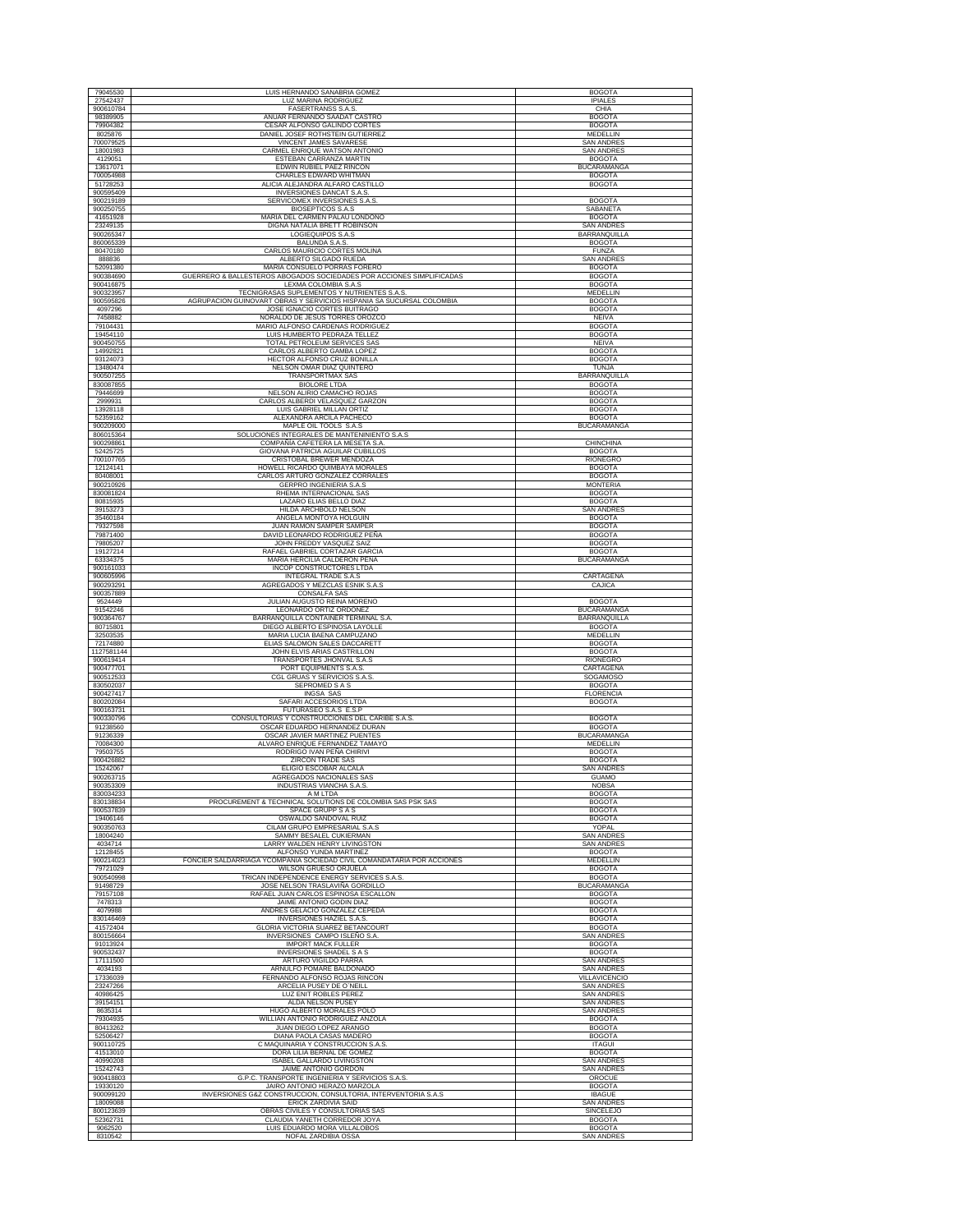| 79045530               |                                                                        |                                        |
|------------------------|------------------------------------------------------------------------|----------------------------------------|
|                        | LUIS HERNANDO SANABRIA GOMEZ                                           | <b>BOGOTA</b>                          |
| 27542437               | LUZ MARINA RODRIGUEZ                                                   | <b>IPIALES</b>                         |
| 900610784              | <b>FASERTRANSS S.A.S</b>                                               | CHIA                                   |
| 98389905               | ANUAR FERNANDO SAADAT CASTRO                                           | <b>BOGOTA</b>                          |
| 79904382<br>8025876    | CESAR ALFONSO GALINDO CORTES                                           | <b>BOGOTA</b>                          |
|                        | DANIEL JOSEF ROTHSTEIN GUTIERREZ                                       | MEDELLIN                               |
| 700079525              | VINCENT JAMES SAVARESE                                                 | <b>SAN ANDRES</b><br><b>SAN ANDRES</b> |
| 18001983               | CARMEL ENRIQUE WATSON ANTONIO<br>ESTEBAN CARRANZA MARTIN               |                                        |
| 4129051<br>13617071    | EDWIN RUBIEL PAEZ RINCON                                               | <b>BOGOTA</b><br><b>BUCARAMANGA</b>    |
| 700054988              | CHARLES EDWARD WHITMAN                                                 | <b>BOGOTA</b>                          |
| 51728253               |                                                                        | <b>BOGOTA</b>                          |
| 900595409              | ALICIA ALEJANDRA ALFARO CASTILLO<br>INVERSIONES DANCAT S.A.S.          |                                        |
| 900219189              | SERVICOMEX INVERSIONES S.A.S                                           | <b>BOGOTA</b>                          |
| 900250755              |                                                                        |                                        |
| 41651928               | <b>BIOSEPTICOS S.A.S</b><br>MARIA DEL CARMEN PALAU LONDOÑO             | SABANETA<br><b>BOGOTA</b>              |
|                        | DIGNA NATALIA BRETT ROBINSON                                           | <b>SAN ANDRES</b>                      |
| 23249135<br>900265347  | LOGIEQUIPOS S.A.S                                                      | BARRANQUILLA                           |
| 860065339              | <b>BALUNDA S.A.S.</b>                                                  | <b>BOGOTA</b>                          |
| 80470180               | CARLOS MAURICIO CORTES MOLINA                                          | FUNZA                                  |
| 888836                 | ALBERTO SILGADO RUEDA                                                  | <b>SAN ANDRES</b>                      |
| 52091380               | MARIA CONSUELO PORRAS FORERO                                           | <b>BOGOTA</b>                          |
| 900384690              | GUERRERO & BALLESTEROS ABOGADOS SOCIEDADES POR ACCIONES SIMPLIFICADAS  | <b>BOGOTA</b>                          |
| 900416875              | LEXMA COLOMBIA S.A.S                                                   | <b>BOGOTA</b>                          |
| 900323957              | TECNIGRASAS SUPLEMENTOS Y NUTRIENTES S.A.S.                            | <b>MEDELLIN</b>                        |
| 900595826              | AGRUPACION GUINOVART OBRAS Y SERVICIOS HISPANIA SA SUCURSAL COLOMBIA   | <b>BOGOTA</b>                          |
| 4097296                | JOSE IGNACIO CORTES BUITRAGO                                           | <b>BOGOTA</b>                          |
| 7458882                | NORALDO DE JESUS TORRES OROZCO                                         | <b>NEIVA</b>                           |
| 79104431               | MARIO ALFONSO CARDENAS RODRIGUEZ                                       | <b>BOGOTA</b>                          |
| 19454110               | LUIS HUMBERTO PEDRAZA TELLEZ                                           | <b>BOGOTA</b>                          |
| 900450755              | TOTAL PETROLEUM SERVICES SAS                                           | NEIVA                                  |
| 14992821               | CARLOS ALBERTO GAMBA LOPEZ                                             | <b>BOGOTA</b>                          |
| 93124073               | HECTOR ALFONSO CRUZ BONILLA                                            | <b>BOGOTA</b>                          |
| 13480474               | NELSON OMAR DIAZ QUINTERO                                              | <b>TUNJA</b>                           |
| 900507255              | TRANSPORTMAX SAS                                                       | <b>BARRANQUILLA</b>                    |
| 830087855              | <b>BIOLORE LTDA</b>                                                    | <b>BOGOTA</b>                          |
| 79446699               | NELSON ALIRIO CAMACHO ROJAS                                            | <b>BOGOTA</b>                          |
| 2999931                | CARLOS ALBERDI VELASQUEZ GARZON                                        | <b>BOGOTA</b>                          |
| 13928118               | LUIS GABRIEL MILLAN ORTIZ                                              | <b>BOGOTA</b>                          |
| 52359162               | ALEXANDRA ARCILA PACHECO                                               | <b>BOGOTA</b>                          |
| 900209000              | MAPLE OIL TOOLS S.A.S                                                  | BUCARAMANGA                            |
| 806015364              | SOLUCIONES INTEGRALES DE MANTENINIENTO S.A.S                           |                                        |
| 900298861              | COMPAÑÍA CAFETERA LA MESETA S.A.                                       | <b>CHINCHINA</b>                       |
| 52425725               | GIOVANA PATRICIA AGUILAR CUBILLOS                                      | <b>BOGOTA</b>                          |
| 700107765              | CRISTOBAL BREWER MENDOZA                                               | <b>RIONEGRO</b>                        |
| 12124141               | HOWELL RICARDO QUIMBAYA MORALES                                        | <b>BOGOTA</b>                          |
| 80408001               | CARLOS ARTURO GONZALEZ CORRALES                                        | <b>BOGOTA</b>                          |
| 900210926              | <b>GERPRO INGENIERIA S.A.S</b>                                         | <b>MONTERIA</b>                        |
| 830081824              | RHEMA INTERNACIONAL SAS                                                | <b>BOGOTA</b>                          |
| 80815935<br>39153273   | LAZARO ELIAS BELLO DIAZ                                                | <b>BOGOTA</b>                          |
|                        | HILDA ARCHBOLD NELSON                                                  | <b>SAN ANDRES</b>                      |
| 35460184               | ANGELA MONTOYA HOLGUIN                                                 | <b>BOGOTA</b>                          |
| 79327598               | JUAN RAMON SAMPER SAMPER                                               | <b>BOGOTA</b>                          |
| 79871400               | DAVID LEONARDO RODRIGUEZ PEÑA                                          | <b>BOGOTA</b>                          |
| 79805207               | JOHN FREDDY VASQUEZ SAIZ                                               | <b>BOGOTA</b>                          |
| 19127214               | RAFAEL GABRIEL CORTAZAR GARCIA                                         | <b>BOGOTA</b>                          |
| 63334375<br>900161033  | MARIA HERCILIA CALDERON PEÑA                                           | <b>BUCARAMANGA</b>                     |
|                        | INCOP CONSTRUCTORES LTDA                                               |                                        |
| 900605996              | INTEGRAL TRADE S.A.S                                                   | CARTAGENA                              |
| 900293291<br>900357889 | AGREGADOS Y MEZCLAS ESNIK S.A.S                                        | CAJICA                                 |
|                        | CONSALFA SAS<br>JULIAN AUGUSTO REINA MORENO                            |                                        |
| 9524449<br>91542246    | LEONARDO ORTIZ ORDOÑEZ                                                 | <b>BOGOTA</b><br><b>BUCARAMANGA</b>    |
| 900364767              | BARRANQUILLA CONTAINER TERMINAL S.A                                    | BARRANQUILLA                           |
| 80715801               | DIEGO ALBERTO ESPINOSA LAYOLLE                                         | <b>BOGOTA</b>                          |
| 32503535               | MARIA LUCIA BAENA CAMPUZANO                                            | MEDELLIN                               |
| 72174880               | ELIAS SALOMON SALES DACCARETT                                          | <b>BOGOTA</b>                          |
| 1127581144             | JOHN ELVIS ARIAS CASTRILLON                                            | <b>BOGOTA</b>                          |
| 900619414              | TRANSPORTES JHONVAL S.A.S                                              | <b>RIONEGRO</b>                        |
| 900477701              | PORT EQUIPMENTS S.A.S.                                                 | CARTAGENA                              |
| 900512533              | CGL GRUAS Y SERVICIOS S.A.S.                                           | SOGAMOSO                               |
| 830502037              | SEPROMED S A S                                                         | <b>BOGOTA</b>                          |
| 900427417              | <b>INGSA SAS</b>                                                       | <b>FLORENCIA</b>                       |
| 800202084              | SAFARI ACCESORIOS LTDA                                                 | <b>BOGOTA</b>                          |
| 900163731              | FUTURASEO S.A.S E.S.P                                                  |                                        |
| 900330796              | CONSULTORIAS Y CONSTRUCCIONES DEL CARIBE S.A.S.                        | <b>BOGOTA</b>                          |
| 91238560               | OSCAR EDUARDO HERNANDEZ DURAN                                          | <b>BOGOTA</b>                          |
| 91236339               | OSCAR JAVIER MARTINEZ PUENTES                                          | <b>BUCARAMANGA</b>                     |
| 70084300               | ALVARO ENRIQUE FERNANDEZ TAMAYO                                        | <b>MEDELLIN</b>                        |
| 79503755               | RODRIGO IVAN PEÑA CHIRIVI                                              |                                        |
| 900426882              | ZIRCON TRADE SAS                                                       | <b>BOGOTA</b>                          |
| 15242067               | ELIGIO ESCOBAR ALCALA                                                  | <b>BOGOTA</b>                          |
| 900263715              |                                                                        | <b>SAN ANDRES</b>                      |
|                        | AGREGADOS NACIONALES SAS                                               | <b>GUAMO</b>                           |
| 900353309              | INDUSTRIAS VIANCHA S.A.S.                                              | <b>NOBSA</b>                           |
| 830034233              | A M LTDA                                                               | <b>BOGOTA</b>                          |
| 830138834              | PROCUREMENT & TECHNICAL SOLUTIONS DE COLOMBIA SAS PSK SAS              | <b>BOGOTA</b>                          |
| 900537839              | SPACE GRUPP S A S<br>OSWALDO SANDOVAL RUIZ                             | <b>BOGOTA</b>                          |
| 19406146<br>900350763  | CILAM GRUPO EMPRESARIAL S.A.S                                          | <b>BOGOTA</b><br>YOPAL                 |
| 18004240               | SAMMY BESALEL CUKIERMAN                                                | <b>SAN ANDRES</b>                      |
| 4034714                | LARRY WALDEN HENRY LIVINGSTON                                          | SAN ANDRES                             |
| 12128455               | ALFONSO YUNDA MARTINEZ                                                 | <b>BOGOTA</b>                          |
| 900214023              | FONCIER SALDARRIAGA YCOMPAÑIA SOCIEDAD CIVIL COMANDATARIA POR ACCIONES | MEDELLIN                               |
| 79721029               | WILSON GRUESO ORJUELA                                                  | <b>BOGOTA</b>                          |
| 900540998              | TRICAN INDEPENDENCE ENERGY SERVICES S.A.S.                             | <b>BOGOTA</b>                          |
| 91498729               | JOSE NELSON TRASLAVIÑA GORDILLO                                        | <b>BUCARAMANGA</b>                     |
| 79157108               | RAFAEL JUAN CARLOS ESPINOSA ESCALLON                                   | <b>BOGOTA</b>                          |
| 7478313                | JAIME ANTONIO GODIN DIAZ                                               | <b>BOGOTA</b>                          |
| 4079988                | ANDRES GELACIO GONZALEZ CEPEDA                                         | <b>BOGOTA</b>                          |
| 830146469              | INVERSIONES HAZIEL S.A.S                                               | <b>BOGOTA</b>                          |
| 41572404               | GLORIA VICTORIA SUAREZ BETANCOURT                                      | <b>BOGOTA</b>                          |
| 800156664              | INVERSIONES CAMPO ISLEÑO S.A                                           | <b>SAN ANDRES</b>                      |
| 91013924               | <b>IMPORT MACK FULLER</b>                                              | <b>BOGOTA</b>                          |
| 900532437              | INVERSIONES SHADEL S A S                                               | <b>BOGOTA</b>                          |
| 17111500               | ARTURO VIGILDO PARRA                                                   | <b>SAN ANDRES</b>                      |
| 4034193                | ARNULFO POMARE BALDONADO                                               | <b>SAN ANDRES</b>                      |
| 17336039               | FERNANDO ALFONSO ROJAS RINCON                                          | VILLAVICENCIO                          |
| 23247266               | ARCELIA PUSEY DE O'NEILL                                               | <b>SAN ANDRES</b>                      |
| 40986425               | LUZ ENIT ROBLES PEREZ                                                  | <b>SAN ANDRES</b>                      |
| 39154151               | ALDA NELSON PUSEY                                                      | <b>SAN ANDRES</b>                      |
| 8635314                | HUGO ALBERTO MORALES POLO                                              | SAN ANDRE:                             |
| 79304935               | WILLIAN ANTONIO RODRIGUEZ ANZOLA                                       | <b>BOGOTA</b>                          |
| 80413262               | JUAN DIEGO LOPEZ ARANGO                                                | <b>BOGOTA</b>                          |
| 52506427               | DIANA PAOLA CASAS MADERO                                               | <b>BOGOTA</b><br><b>ITAGUI</b>         |
| 900110725              | C MAQUINARIA Y CONSTRUCCION S.A.S.                                     |                                        |
| 41513010               | DORA LILIA BERNAL DE GOMEZ                                             | <b>BOGOTA</b>                          |
| 40990208               | <b>ISABEL GALLARDO LIVINGSTON</b>                                      | SAN ANDRES<br><b>SAN ANDRES</b>        |
| 15242743               | JAIME ANTONIO GORDON                                                   |                                        |
| 900418803              | G.P.C. TRANSPORTE INGENIERIA Y SERVICIOS S.A.S.                        | OROCUE<br><b>BOGOTA</b>                |
| 19330120               | JAIRO ANTONIO HERAZO MARZOLA                                           | <b>IBAGUE</b>                          |
| 900099120              | INVERSIONES G&Z CONSTRUCCION, CONSULTORIA, INTERVENTORIA S.A.S         |                                        |
| 18009088               | ERICK ZARDIVIA SAID                                                    | <b>SAN ANDRES</b>                      |
| 800123639<br>52362731  | OBRAS CIVILES Y CONSULTORIAS SAS                                       | SINCELEJO                              |
| 9062520                | CLAUDIA YANETH CORREDOR JOYA<br>LUIS EDUARDO MORA VILLALOBOS           | <b>BOGOTA</b><br><b>BOGOTA</b>         |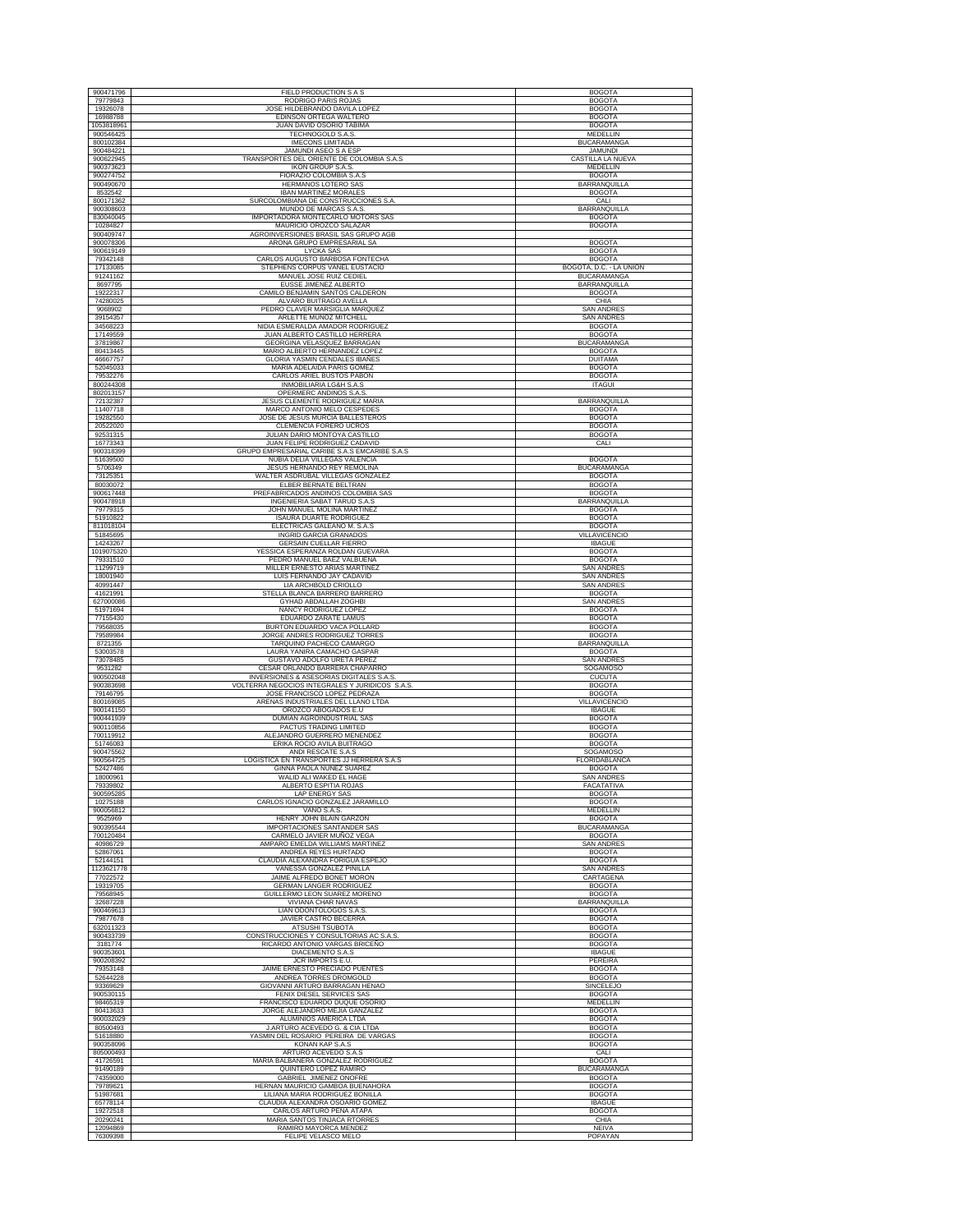| 900471796              | FIELD PRODUCTION S A S                                                         | <b>BOGOTA</b>                                 |
|------------------------|--------------------------------------------------------------------------------|-----------------------------------------------|
| 79779843<br>19326078   | RODRIGO PARIS ROJAS<br>JOSE HILDEBRANDO DAVILA LOPEZ                           | <b>BOGOTA</b><br><b>BOGOTA</b>                |
| 16988788               | EDINSON ORTEGA WALTERO                                                         | <b>BOGOTA</b>                                 |
| 1053818961             | JUAN DAVID OSORIO TABIMA                                                       | <b>BOGOTA</b>                                 |
| 900546425<br>800102384 | TECHNOGOLD S.A.S.<br><b>IMECONS LIMITADA</b>                                   | MEDELLIN<br><b>BUCARAMANGA</b>                |
| 900484221              | JAMUNDI ASEO S A ESP                                                           | <b>JAMUNDI</b>                                |
| 900622945<br>900373623 | TRANSPORTES DEL ORIENTE DE COLOMBIA S.A.S<br><b>IKON GROUP S.A.S</b>           | CASTILLA LA NUEVA<br><b>MEDELLIN</b>          |
| 900274752              | FIORAZIO COLOMBIA S.A.S                                                        | <b>BOGOTA</b>                                 |
| 900490670<br>8532542   | HERMANOS LOTERO SAS<br><b>IBAN MARTINEZ MORALES</b>                            | BARRANQUILLA<br><b>BOGOTA</b>                 |
| 800171362              | SURCOLOMBIANA DE CONSTRUCCIONES S.A.                                           | CALI                                          |
| 900308603              | MUNDO DE MARCAS S.A.S<br>IMPORTADORA MONTECARLO MOTORS SAS                     | BARRANQUILLA<br><b>BOGOTA</b>                 |
| 830040045<br>10284827  | MAURICIO OROZCO SALAZAR                                                        | <b>BOGOTA</b>                                 |
| 900409747              | AGROINVERSIONES BRASIL SAS GRUPO AGB                                           |                                               |
| 900078306<br>900619149 | ARONA GRUPO EMPRESARIAL SA<br><b>LYCKA SAS</b>                                 | <b>BOGOTA</b><br><b>BOGOTA</b>                |
| 79342148               | CARLOS AUGUSTO BARBOSA FONTECHA                                                | <b>BOGOTA</b>                                 |
| 17133085<br>91241162   | STEPHENS CORPUS VANEL EUSTACIO<br>MANUEL JOSE RUIZ CEDIEL                      | BOGOTÁ, D.C. - LA UNIÓN<br><b>BUCARAMANGA</b> |
| 8697795                | EUSSE JIMENEZ ALBERTO                                                          | BARRANQUILLA                                  |
| 19222317<br>74280025   | CAMILO BENJAMIN SANTOS CALDERON<br>ALVARO BUITRAGO AVELLA                      | <b>BOGOTA</b><br>CHIA                         |
| 9068902                | PEDRO CLAVER MARSIGLIA MARQUEZ                                                 | <b>SAN ANDRES</b>                             |
| 39154357<br>34568223   | ARLETTE MUÑOZ MITCHELL<br>NIDIA ESMERALDA AMADOR RODRIGUEZ                     | <b>SAN ANDRES</b><br><b>BOGOTA</b>            |
| 17149559               | JUAN ALBERTO CASTILLO HERRERA                                                  | <b>BOGOTA</b>                                 |
| 37819867<br>80413445   | GEORGINA VELASQUEZ BARRAGAN<br>MARIO ALBERTO HERNANDEZ LOPEZ                   | <b>BUCARAMANGA</b><br><b>BOGOTA</b>           |
| 46667757               | <b>GLORIA YASMIN CENDALES IBAÑES</b>                                           | <b>DUITAMA</b>                                |
| 52045033               | MARIA ADELAIDA PARIS GOMEZ                                                     | <b>BOGOTA</b>                                 |
| 79532276<br>800244308  | CARLOS ARIEL BUSTOS PABON<br>INMOBILIARIA LG&H S.A.S                           | <b>BOGOTA</b><br><b>ITAGUI</b>                |
| 802013157              | OPERMERC ANDINOS S.A.S.                                                        |                                               |
| 72132387<br>11407718   | JESUS CLEMENTE RODRIGUEZ MARIA<br>MARCO ANTONIO MELO CESPEDES                  | <b>BARRANQUILLA</b><br><b>BOGOTA</b>          |
| 19282550               | JOSE DE JESUS MURCIA BALLESTEROS                                               | <b>BOGOTA</b>                                 |
| 20522020<br>92531315   | CLEMENCIA FORERO UCROS<br>JULIAN DARIO MONTOYA CASTILLO                        | <b>BOGOTA</b><br><b>BOGOTA</b>                |
| 16773343               | JUAN FELIPE RODRIGUEZ CADAVID                                                  | CALI                                          |
| 900318399<br>51639500  | GRUPO EMPRESARIAL CARIBE S.A.S EMCARIBE S.A.S<br>NUBIA DELIA VILLEGAS VALENCIA | <b>BOGOTA</b>                                 |
| 5706349                | JESUS HERNANDO REY REMOLINA                                                    | <b>BUCARAMANGA</b>                            |
| 73125351<br>80030072   | WALTER ASDRUBAL VILLEGAS GONZALEZ<br>ELBER BERNATE BELTRAN                     | <b>BOGOTA</b><br><b>BOGOTA</b>                |
| 900617448              | PREFABRICADOS ANDINOS COLOMBIA SAS                                             | <b>BOGOTA</b>                                 |
| 900478918<br>79779315  | INGENIERIA SABAT TARUD S.A.S                                                   | <b>BARRANQUILLA</b>                           |
| 51910822               | JOHN MANUEL MOLINA MARTINEZ<br><b>ISAURA DUARTE RODRIGUEZ</b>                  | <b>BOGOTA</b><br><b>BOGOTA</b>                |
| 811018104              | ELECTRICAS GALEANO M. S.A.S                                                    | <b>BOGOTA</b>                                 |
| 51845695<br>14243267   | INGRID GARCIA GRANADOS<br><b>GERSAIN CUELLAR FIERRO</b>                        | <b>VILLAVICENCIO</b><br><b>IBAGUE</b>         |
| 1019075320             | YESSICA ESPERANZA ROLDAN GUEVARA                                               | <b>BOGOTA</b>                                 |
| 79331510<br>11299719   | PEDRO MANUEL BAEZ VALBUENA<br>MILLER ERNESTO ARIAS MARTINEZ                    | <b>BOGOTA</b><br><b>SAN ANDRES</b>            |
| 18001940               | LUIS FERNANDO JAY CADAVID                                                      | <b>SAN ANDRES</b>                             |
| 40991447<br>41621991   | LIA ARCHBOLD CRIOLLO<br>STELLA BLANCA BARRERO BARRERO                          | <b>SAN ANDRES</b><br><b>BOGOTA</b>            |
| 627000086              | GYHAD ABDALLAH ZOGHBI                                                          | <b>SAN ANDRES</b>                             |
| 51971694<br>77155430   | NANCY RODRIGUEZ LOPEZ<br>EDUARDO ZARATE LAMUS                                  | <b>BOGOTA</b><br><b>BOGOTA</b>                |
| 79568035               | BURTON EDUARDO VACA POLLARD                                                    | <b>BOGOTA</b>                                 |
| 79589984<br>8721355    | JORGE ANDRES RODRIGUEZ TORRES<br>TARQUINO PACHECO CAMARGO                      | <b>BOGOTA</b><br>BARRANQUILLA                 |
| 53003578               | LAURA YANIRA CAMACHO GASPAR                                                    | <b>BOGOTA</b>                                 |
| 73078485<br>9531282    | GUSTAVO ADOLFO URETA PEREZ<br>CESAR ORLANDO BARRERA CHAPARRO                   | <b>SAN ANDRES</b><br>SOGAMOSO                 |
| 900502048              | INVERSIONES & ASESORIAS DIGITALES S.A.S                                        | <b>CUCUTA</b>                                 |
| 900383698              | VOLTERRA NEGOCIOS INTEGRALES Y JURIDICOS S.A.S.                                | <b>BOGOTA</b><br><b>BOGOTA</b>                |
| 79146795<br>800169085  | JOSE FRANCISCO LOPEZ PEDRAZA<br>ARENAS INDUSTRIALES DEL LLANO LTDA             | <b>VILLAVICENCIO</b>                          |
| 900141150<br>900441939 | OROZCO ABOGADOS E.U<br>DUMIAN AGROINDUSTRIAL SAS                               | <b>IBAGUE</b><br><b>BOGOTA</b>                |
| 900110856              | PACTUS TRADING LIMITED                                                         | <b>BOGOTA</b>                                 |
| 700119912              | ALEJANDRO GUERRERO MENENDEZ                                                    | <b>BOGOTA</b>                                 |
| 51746083<br>900475562  | ERIKA ROCIO AVILA BUITRAGO<br>ANDI RESCATE S.A.S                               | <b>BOGOTA</b><br>SOGAMOSO                     |
| 900564725              | LOGISTICA EN TRANSPORTES JJ HERRERA S.A.S                                      | FLORIDABLANCA                                 |
| 52427486<br>18000961   | GINNA PAOLA NUÑEZ SUAREZ<br>WALID ALI WAKED EL HAGE                            | <b>BOGOTA</b><br><b>SAN ANDRES</b>            |
| 79339802               | ALBERTO ESPITIA ROJAS                                                          | <b>FACATATIVA</b>                             |
| 900595285<br>10275188  | LAP ENERGY SAS<br>CARLOS IGNACIO GONZALEZ JARAMILLO                            | <b>BOGOTA</b><br><b>BOGOTA</b>                |
| 900056812              | VANO S.A.S.                                                                    | MEDELLIN                                      |
| 9525969<br>900395544   | HENRY JOHN BLAIN GARZON<br>IMPORTACIONES SANTANDER SAS                         | <b>BOGOTA</b><br><b>BUCARAMANGA</b>           |
| 700120484              | CARMELO JAVIER MUÑOZ VEGA                                                      | <b>BOGOTA</b>                                 |
| 40986729<br>52867061   | AMPARO EMELDA WILLIAMS MARTINEZ<br>ANDREA REYES HURTADO                        | <b>SAN ANDRES</b><br><b>BOGOTA</b>            |
| 52144151               | CLAUDIA ALEXANDRA FORIGUA ESPEJO                                               | <b>BOGOTA</b>                                 |
| 1123621778<br>77022572 | VANESSA GONZALEZ PINILLA<br>JAIME ALFREDO BONET MORON                          | <b>SAN ANDRES</b><br>CARTAGENA                |
| 19319705               | <b>GERMAN LANGER RODRIGUEZ</b>                                                 | <b>BOGOTA</b>                                 |
| 79568945<br>32687228   | GUILLERMO LEON SUAREZ MORENO<br>VIVIANA CHAR NAVAS                             | <b>BOGOTA</b><br>BARRANQUILLA                 |
| 900469613              | LIAN ODONTOLOGOS S.A.S                                                         | <b>BOGOTA</b>                                 |
| 79877678<br>632011323  | JAVIER CASTRO BECERRA<br>ATSUSHI TSUBOTA                                       | <b>BOGOTA</b><br><b>BOGOTA</b>                |
| 900433739              | CONSTRUCCIONES Y CONSULTORIAS AC S.A.S                                         | <b>BOGOTA</b>                                 |
| 3181774<br>900353601   | RICARDO ANTONIO VARGAS BRICEÑO<br>DIACEMENTO S.A.S                             | <b>BOGOTA</b><br><b>IBAGUE</b>                |
| 900208392              | JCR IMPORTS E.U.                                                               | PEREIRA                                       |
| 79353148<br>52644228   | JAIME ERNESTO PRECIADO PUENTES<br>ANDREA TORRES DROMGOLD                       | <b>BOGOTA</b><br><b>BOGOTA</b>                |
| 93369629               | GIOVANNI ARTURO BARRAGAN HENAO                                                 | SINCELEJO                                     |
| 900530115<br>98465319  | FENIX DIESEL SERVICES SAS<br>FRANCISCO EDUARDO DUQUE OSORIO                    | <b>BOGOTA</b><br>MEDELLIN                     |
| 80413633               | JORGE ALEJANDRO MEJIA GANZALEZ                                                 | <b>BOGOTA</b>                                 |
| 900032029              | ALUMINIOS AMERICA LTDA                                                         | <b>BOGOTA</b>                                 |
| 80500493<br>51618880   | J.ARTURO ACEVEDO G. & CIA LTDA<br>YASMIN DEL ROSARIO PEREIRA DE VARGAS         | <b>BOGOTA</b><br><b>BOGOTA</b>                |
| 900358096              | KONAN KAP S.A.S                                                                | <b>BOGOTA</b>                                 |
| 805000493<br>41726591  | ARTURO ACEVEDO S.A.S<br>MARIA BALBANERA GONZALEZ RODRIGUEZ                     | CALI<br><b>BOGOTA</b>                         |
| 91490189               | QUINTERO LOPEZ RAMIRO                                                          | <b>BUCARAMANGA</b>                            |
| 74359000<br>79789621   | GABRIEL JIMENEZ ONOFRE<br>HERNAN MAURICIO GAMBOA BUENAHORA                     | <b>BOGOTA</b><br><b>BOGOTA</b>                |
| 51987681               | LILIANA MARIA RODRIGUEZ BONILLA                                                | <b>BOGOTA</b>                                 |
| 65778114<br>19272518   | CLAUDIA ALEXANDRA OSOARIO GOMEZ<br>CARLOS ARTURO PEÑA ATAPA                    | <b>IBAGUE</b><br><b>BOGOTA</b>                |
| 20290241               | MARIA SANTOS TINJACA RTORRE                                                    | CHIA                                          |
| 12094869<br>76309398   | RAMIRO MAYORCA MENDEZ<br>FELIPE VELASCO MELO                                   | NEIVA<br>POPAYAN                              |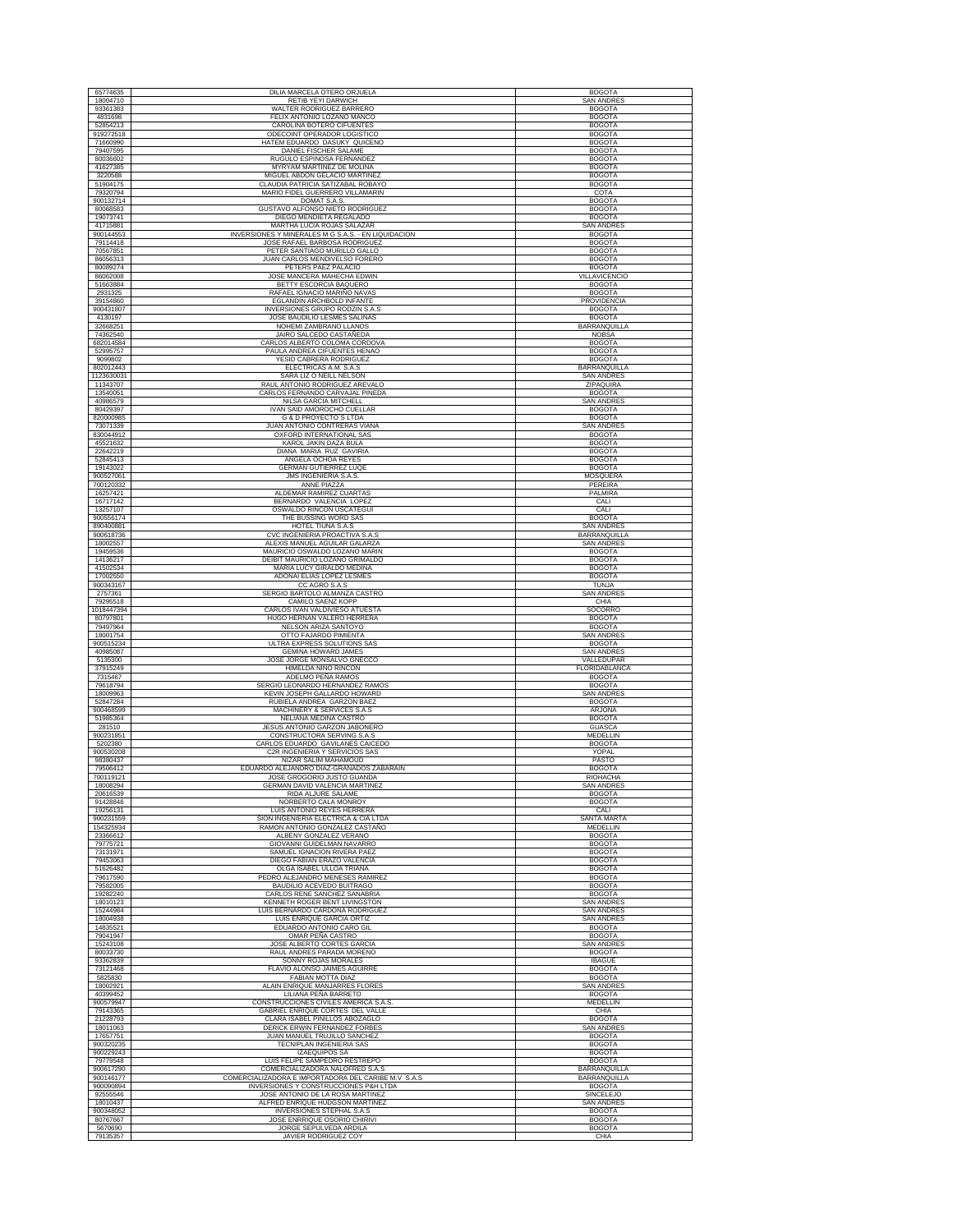| 65774635                | DILIA MARCELA OTERO ORJUELA                                                       | <b>BOGOTA</b>                      |
|-------------------------|-----------------------------------------------------------------------------------|------------------------------------|
| 18004710                | RETIB YEYI DARWICH                                                                | SAN ANDRES                         |
| 93361383                | WALTER RODRIGUEZ BARRERO                                                          | <b>BOGOTA</b>                      |
| 4831698                 | FELIX ANTONIO LOZANO MANCO                                                        | <b>BOGOTA</b>                      |
| 52854213                | CAROLINA BOTERO CIFUENTES                                                         | <b>BOGOTA</b>                      |
| 919272518               | ODECOINT OPERADOR LOGISTICO                                                       | <b>BOGOTA</b>                      |
| 71660990<br>79407595    | HATEM EDUARDO DASUKY QUICENO                                                      | <b>BOGOTA</b><br><b>BOGOTA</b>     |
| 80036602                | DANIEL FISCHER SALAME<br>RUGULO ESPINOSA FERNANDEZ                                | <b>BOGOTA</b>                      |
| 41627385                | MYRYAM MARTINEZ DE MOLINA                                                         | <b>BOGOTA</b>                      |
| 3220588                 | MIGUEL ABDON GELACIO MARTINE.                                                     | <b>BOGOTA</b>                      |
| 51904175                | CLAUDIA PATRICIA SATIZABAL ROBAYO                                                 | <b>BOGOTA</b>                      |
| 79320794                | MARIO FIDEL GUERRERO VILLAMARIN                                                   | COTA                               |
| 900132714               | DOMAT S.A.S.                                                                      | <b>BOGOTA</b>                      |
| 80068583                | GUSTAVO ALFONSO NIETO RODRIGUEZ                                                   | <b>BOGOTA</b>                      |
| 19073741                | DIEGO MENDIETA REGALADO                                                           | <b>BOGOTA</b>                      |
| 41715881<br>900144553   | MARTHA LUCIA ROJAS SALAZAR<br>INVERSIONES Y MINERALES M G S.A.S. - EN LIQUIDACION | SAN ANDRE<br><b>BOGOTA</b>         |
| 79114418                | JOSE RAFAEL BARBOSA RODRIGUEZ                                                     | <b>BOGOTA</b>                      |
| 70567851                | PETER SANTIAGO MURILLO GALLO                                                      | <b>BOGOTA</b>                      |
| 86056313                | JUAN CARLOS MENDIVELSO FORERO                                                     | <b>BOGOTA</b>                      |
| 80089274                | PETERS PAEZ PALACIO                                                               | <b>BOGOTA</b>                      |
| 86062008                | JOSE MANCERA MAHECHA EDWIN                                                        | VILLAVICENCIO                      |
| 51663884                | BETTY ESCORCIA BAQUERO                                                            | <b>BOGOTA</b>                      |
| 2931325<br>39154860     | RAFAEL IGNACIO MARIÑO NAVAS<br>EGLANDIN ARCHBOLD INFANTE                          | <b>BOGOTA</b><br>PROVIDENCIA       |
| 900431807               | INVERSIONES GRUPO RODZIN S.A.S                                                    | <b>BOGOTA</b>                      |
| 4130197                 | JOSE BAUDILIO LESMES SALINAS                                                      | <b>BOGOTA</b>                      |
| 32668251                | NOHEMI ZAMBRANO LLANOS                                                            | <b>BARRANQUILLA</b>                |
| 74362540                | JAIRO SALCEDO CASTAÑEDA                                                           | <b>NOBSA</b>                       |
| 682014584               | CARLOS ALBERTO COLOMA CORDOVA                                                     | <b>BOGOTA</b>                      |
| 52995757                | PAULA ANDREA CIFUENTES HENAO                                                      | <b>BOGOTA</b>                      |
| 9099802                 | YESID CABRERA RODRIGUEZ                                                           | <b>BOGOTA</b>                      |
| 802012443<br>1123630031 | ELECTRICAS A.M. S.A.S<br>SARA LIZ O NEILL NELSON                                  | BARRANQUILLA<br><b>SAN ANDRES</b>  |
| 11343707                | RAUL ANTONIO RODRIGUEZ AREVALO                                                    | ZIPAQUIRA                          |
| 13540051                | CARLOS FERNANDO CARVAJAL PINEDA                                                   | <b>BOGOTA</b>                      |
| 40986579                | NILSA GARCIA MITCHELL                                                             | <b>SAN ANDRES</b>                  |
| 80429397                | <b>IVAN SAID AMOROCHO CUELLAR</b>                                                 | <b>BOGOTA</b>                      |
| 820000985               | G & D PROYECTO'S LTDA                                                             | <b>BOGOTA</b>                      |
| 73071339                | JUAN ANTONIO CONTRERAS VIAÑA                                                      | <b>SAN ANDRES</b><br><b>BOGOTA</b> |
| 830044912<br>45521632   | OXFORD INTERNATIONAL SAS<br>KAROL JAKIN DAZA BULA                                 | <b>BOGOTA</b>                      |
| 22642219                | <b>DIANA MARIA RUZ GAVIRIA</b>                                                    | <b>BOGOTA</b>                      |
| 52845413                | ANGELA OCHOA REYES                                                                | <b>BOGOTA</b>                      |
| 19143022                | <b>GERMAN GUTIERREZ LUQE</b>                                                      | <b>BOGOTA</b>                      |
| 900527061               | <b>JMS INGENIERIA S.A.S.</b>                                                      | MOSQUERA                           |
| 700120332               | ANNE PIAZZA                                                                       | PEREIRA                            |
| 16257421                | ALDEMAR RAMIREZ CUARTAS                                                           | PALMIRA                            |
| 16717142                | BERNARDO VALENCIA LOPEZ                                                           | CALI                               |
| 13257107                | OSWALDO RINCON USCATEGUI                                                          | CALI                               |
| 900556174<br>890400881  | THE BUSSING WORD SAS<br>HOTEL TIUNA S.A.S                                         | <b>BOGOTA</b><br><b>SAN ANDRES</b> |
| 900618736               | CVC INGENIERIA PROACTIVA S.A.S                                                    | BARRANQUILLA                       |
| 18002557                | ALEXIS MANUEL AGUILAR GALARZA                                                     | SAN ANDRES                         |
| 19459536                | MAURICIO OSWALDO LOZANO MARIN                                                     | <b>BOGOTA</b>                      |
| 14136217                | DEIBIT MAURICIO LOZANO GRIMALDO                                                   | <b>BOGOTA</b>                      |
| 41502534                | MARIA LUCY GIRALDO MEDINA                                                         | <b>BOGOTA</b>                      |
| 17002550                | ADONAI ELIAS LOPEZ LESMES                                                         | <b>BOGOTA</b>                      |
| 900343167               | CC AGRO S.A.S                                                                     | <b>TUNJA</b>                       |
| 2757361<br>79295518     | SERGIO BARTOLO ALMANZA CASTRO<br>CAMILO SAENZ KOPP                                | <b>SAN ANDRES</b><br>CHIA          |
| 1018447394              | CARLOS IVAN VALDIVIESO ATUESTA                                                    | SOCORRO                            |
| 80797801                | HUGO HERNAN VALERO HERRERA                                                        | <b>BOGOTA</b>                      |
| 79497964                | NELSON ARIZA SANTOYO                                                              | <b>BOGOTA</b>                      |
| 18001754                | OTTO FAJARDO PIMIENTA                                                             | <b>SAN ANDRES</b>                  |
| 900515234               | ULTRA EXPRESS SOLUTIONS SAS                                                       | <b>BOGOTA</b>                      |
| 40985087                | <b>GEMINA HOWARD JAMES</b>                                                        | <b>SAN ANDRES</b>                  |
| 5135300                 | JOSE JORGE MONSALVO GNECCO                                                        | VALLEDUPAR                         |
| 37915249                | HIMELDA NIÑO RINCON                                                               | <b>FLORIDABLANCA</b>               |
| 7315467<br>79618794     | ADELMO PEÑA RAMOS<br>SERGIO LEONARDO HERNANDEZ RAMOS                              | <b>BOGOTA</b><br><b>BOGOTA</b>     |
| 18009963                | KEVIN JOSEPH GALLARDO HOWARD                                                      | <b>SAN ANDRE</b>                   |
| 52847284                | RUBIELA ANDREA GARZON BAEZ                                                        | <b>BOGOTA</b>                      |
| 900468599               | MACHINERY & SERVICES S.A.S                                                        | <b>ARJONA</b>                      |
| 51985364                | NELIANA MEDINA CASTRO                                                             | <b>BOGOTA</b>                      |
| 281510                  | JESUS ANTONIO GARZON JABONERO                                                     | <b>GUASCA</b>                      |
| 900231851               | CONSTRUCTORA SERVING S.A.S<br>CARLOS EDUARDO GAVILANES CAICEDO                    | MEDELLIN<br><b>BOGOTA</b>          |
| 5202380<br>900530208    | C2R INGENIERIA Y SERVICIOS SAS                                                    | YOPAL                              |
| 98380437                | NIZAR SALIM MAHAMOUD                                                              |                                    |
| 79506412                | EDUARDO ALEJANDRO DÍAZ-GRANADOS ZABARAÍN                                          | PASTO                              |
| 700119121               |                                                                                   | <b>BOGOTA</b>                      |
|                         | JOSE GROGORIO JUSTO GUANDA                                                        | RIOHACHA                           |
| 18008294                | <b>GERMAN DAVID VALENCIA MARTINEZ</b>                                             | <b>SAN ANDRES</b>                  |
| 20616539                | RIDA ALJURE SALAME                                                                | <b>BOGOTA</b>                      |
| 91428846                | NORBERTO CALA MONROY                                                              | <b>BOGOTA</b>                      |
| 19256131<br>900231559   | <b>LUIS ANTONIO REYES HERRERA</b><br>SION INGENIERIA ELECTRICA & CIA LTDA         | CALI<br>SANTA MARTA                |
| 154325934               | RAMON ANTONIO GONZALEZ CASTAÑO                                                    | MEDELLIN                           |
| 23366612                | ALBENY GONZALEZ VERANO                                                            | <b>BOGOTA</b>                      |
| 79775721                | GIOVANNI GUIDEI MAN NAVARRO                                                       | <b>BOGOTA</b>                      |
| 73131971                | SAMUEL IGNACION RIVERA PAEZ                                                       | <b>BOGOTA</b>                      |
| 79453063                | DIEGO FABIAN ERAZO VALENCIA                                                       | <b>BOGOTA</b>                      |
| 51626482<br>79617590    | OLGA ISABEL ULLOA TRIANA<br>PEDRO ALEJANDRO MENESES RAMIREZ                       | <b>BOGOTA</b><br><b>BOGOTA</b>     |
| 79582005                | BAUDILIO ACEVEDO BUITRAGO                                                         | <b>BOGOTA</b>                      |
| 19282240                | CARLOS RENE SANCHEZ SANABRIA                                                      | <b>BOGOTA</b>                      |
| 18010123                | KENNETH ROGER BENT LIVINGSTON                                                     | <b>SAN ANDRES</b>                  |
| 15244984                | LUIS BERNARDO CARDONA RODRIGUEZ                                                   | <b>SAN ANDRES</b>                  |
| 18004938                | LUIS ENRIQUE GARCIA ORTIZ                                                         | <b>SAN ANDRES</b>                  |
| 14835521                | EDUARDO ANTONIO CARO GIL                                                          | <b>BOGOTA</b>                      |
| 79041947<br>15243108    | OMAR PEÑA CASTRO                                                                  | <b>BOGOTA</b>                      |
| 80033730                | JOSE ALBERTO CORTES GARCIA<br>RAUL ANDRES PARADA MORENO                           | <b>SAN ANDRES</b><br><b>BOGOTA</b> |
| 93362839                | SONNY ROJAS MORALES                                                               | <b>IBAGUE</b>                      |
| 73121468                | FLAVIO ALONSO JAIMES AGUIRRE                                                      | <b>BOGOTA</b>                      |
| 5825830                 | FABIAN MOTTA DIAZ                                                                 | <b>BOGOTA</b>                      |
| 18002921                | ALAIN ENRIQUE MANJARRES FLORES                                                    | <b>SAN ANDRES</b>                  |
| 40399452                | LILIANA PEÑA BARRETO                                                              | <b>BOGOTA</b>                      |
| 900579947               | CONSTRUCCIONES CIVILES AMERICA S.A.S.                                             | MEDELLIN<br>CHIA                   |
| 79143365<br>21228793    | GABRIEL ENRIQUE CORTES DEL VALLE                                                  |                                    |
| 18011063                | CLARA ISABEL PINILLOS ABOZAGLO<br>DERICK ERWIN FERNANDEZ FORBES                   | <b>BOGOTA</b><br><b>SAN ANDRES</b> |
| 17657751                | JUAN MANUEL TRUJILLO SANCHEZ                                                      | <b>BOGOTA</b>                      |
| 900320235               | <b>TECNIPLAN INGENIERIA SAS</b>                                                   | <b>BOGOTA</b>                      |
| 900229243               | IZAEQUIPOS SA                                                                     | <b>BOGOTA</b>                      |
| 79779548                | LUIS FELIPE SAMPEDRO RESTREPO                                                     | <b>BOGOTA</b>                      |
| 900617290               | COMERCIALIZADORA NALOFRED S.A.S                                                   | BARRANQUILLA                       |
| 900146177               | COMERCIALIZADORA E IMPORTADORA DEL CARIBE M.V S.A.S                               | BARRANQUILLA                       |
| 900090894<br>92555546   | INVERSIONES Y CONSTRUCCIONES P&H LTDA<br>JOSE ANTONIO DE LA ROSA MARTINEZ         | <b>BOGOTA</b><br>SINCELEJO         |
| 18010437                | ALFRED ENRIQUE HUDGSON MARTINEZ                                                   | <b>SAN ANDRES</b>                  |
| 900348052               | INVERSIONES STEPHAL S.A.S                                                         | <b>BOGOTA</b>                      |
| 80767667<br>5670690     | JOSE ENRRIQUE OSORIO CHIRIVI<br>JORGE SEPULVEDA ARDILA                            | <b>BOGOTA</b><br><b>BOGOTA</b>     |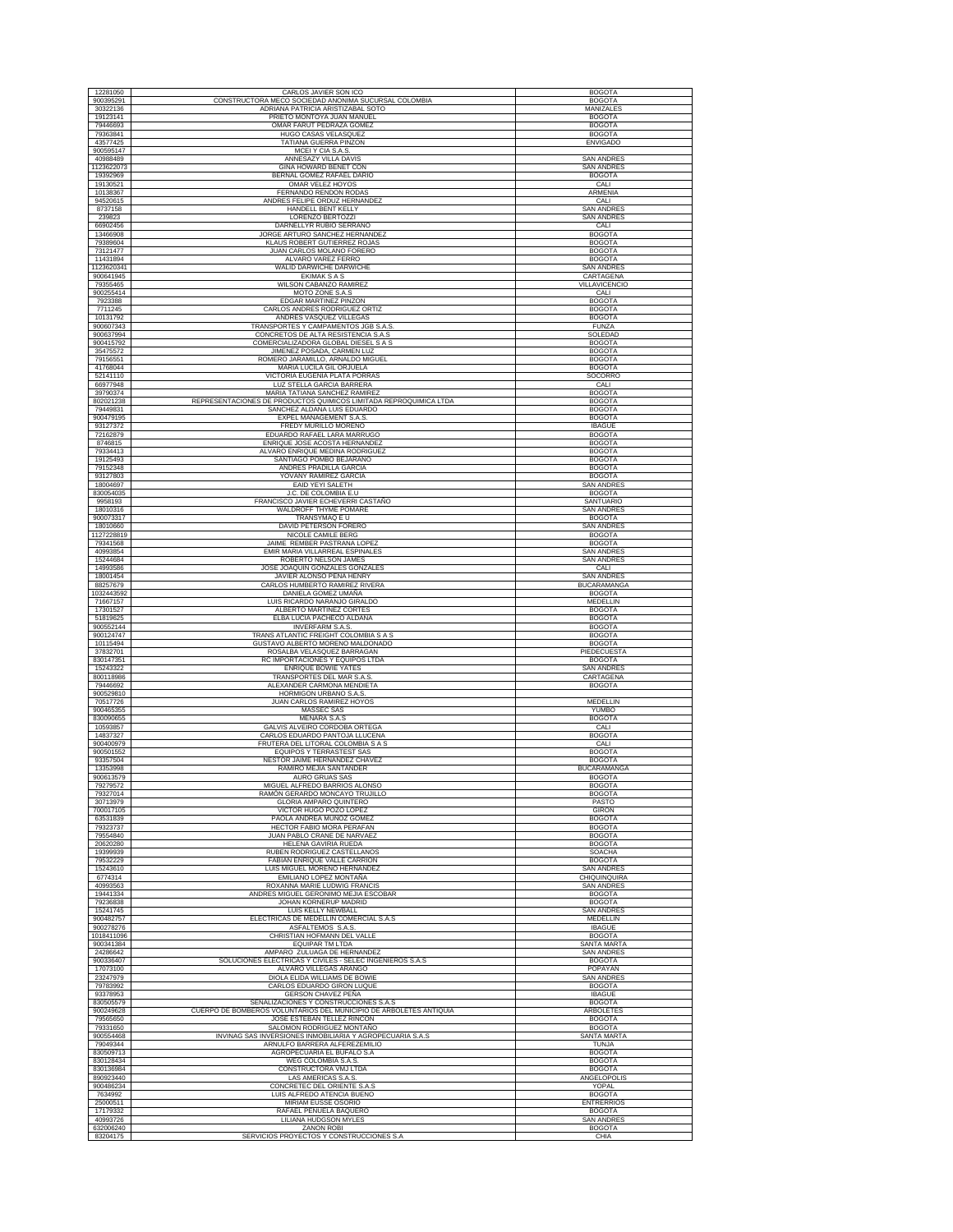| 12281050<br>900395291   | CARLOS JAVIER SON ICO                                                                     | <b>BOGOTA</b><br><b>BOGOTA</b>     |
|-------------------------|-------------------------------------------------------------------------------------------|------------------------------------|
| 30322136                | CONSTRUCTORA MECO SOCIEDAD ANONIMA SUCURSAL COLOMBIA<br>ADRIANA PATRICIA ARISTIZABAL SOTO | <b>MANIZALES</b>                   |
| 19123141                | PRIETO MONTOYA JUAN MANUEL                                                                | <b>BOGOTA</b>                      |
| 79446693                | OMAR FARUT PEDRAZA GOMEZ                                                                  | <b>BOGOTA</b>                      |
| 79363841                | HUGO CASAS VELASQUEZ                                                                      | <b>BOGOTA</b>                      |
| 43577425                | TATIANA GUERRA PINZON                                                                     | <b>ENVIGADO</b>                    |
| 900595147               | MCEI Y CIA S.A.S.                                                                         |                                    |
| 40988489<br>1123622073  | ANNESAZY VILLA DAVIS<br>GINA HOWARD BENET CON                                             | SAN ANDRES<br><b>SAN ANDRES</b>    |
| 19392969                | BERNAL GOMEZ RAFAEL DARIO                                                                 | <b>BOGOTA</b>                      |
| 19130521                | OMAR VELEZ HOYOS                                                                          | CALI                               |
| 10138367                | FERNANDO RENDON RODAS                                                                     | ARMENIA                            |
| 94520615                | ANDRES FELIPE ORDUZ HERNANDEZ                                                             | CALI                               |
| 8737158                 | HANDELL BENT KELLY                                                                        | <b>SAN ANDRES</b>                  |
| 239823<br>66902456      | LORENZO BERTOZZI                                                                          | <b>SAN ANDRES</b><br>CALI          |
| 13466908                | DARNELLYR RUBIO SERRANO<br>JORGE ARTURO SANCHEZ HERNANDEZ                                 | <b>BOGOTA</b>                      |
| 79389604                | KLAUS ROBERT GUTIERREZ ROJAS                                                              | <b>BOGOTA</b>                      |
| 73121477                | JUAN CARLOS MOLANO FORERO                                                                 | <b>BOGOTA</b>                      |
| 11431894                | ALVARO VAREZ FERRO                                                                        | <b>BOGOTA</b>                      |
| 1123620341              | WALID DARWICHE DARWICHE                                                                   | <b>SAN ANDRES</b>                  |
| 900641945<br>79355465   | <b>EKIMAK S A S</b><br><b>WILSON CABANZO RAMIREZ</b>                                      | CARTAGENA<br>VILLAVICENCIO         |
| 900255414               | MOTO ZONE S.A.S                                                                           | CALI                               |
| 7923388                 | EDGAR MARTINEZ PINZON                                                                     | <b>BOGOTA</b>                      |
| 7711245                 | CARLOS ANDRES RODRIGUEZ ORTIZ                                                             | <b>BOGOTA</b>                      |
| 10131792                | ANDRES VASQUEZ VILLEGAS                                                                   | <b>BOGOTA</b>                      |
| 900607343               | TRANSPORTES Y CAMPAMENTOS JGB S.A.S.                                                      | <b>FUNZA</b>                       |
| 900637994               | CONCRETOS DE ALTA RESISTENCIA S.A.S                                                       | SOLEDAD                            |
| 900415792<br>35475572   | COMERCIALIZADORA GLOBAL DIESEL S A S<br>JIMENEZ POSADA, CARMEN LUZ                        | <b>BOGOTA</b><br><b>BOGOTA</b>     |
| 79156551                | ROMERO JARAMILLO, ARNALDO MIGUEL                                                          | <b>BOGOTA</b>                      |
| 41768044                | MARIA LUCILA GIL ORJUELA                                                                  | <b>BOGOTA</b>                      |
| 52141110                | VICTORIA EUGENIA PLATA PORRAS                                                             | SOCORRO                            |
| 66977948                | LUZ STELLA GARCIA BARRERA                                                                 | CALI                               |
| 39790374                | MARIA TATIANA SANCHEZ RAMIREZ                                                             | <b>BOGOTA</b>                      |
| 802021238               | REPRESENTACIONES DE PRODUCTOS QUIMICOS LIMITADA REPROQUIMICA LTDA                         | <b>BOGOTA</b>                      |
| 79449831<br>900479195   | SANCHEZ ALDANA LUIS EDUARDO<br>EXPEL MANAGEMENT S.A.S.                                    | <b>BOGOTA</b><br><b>BOGOTA</b>     |
| 93127372                | FREDY MURILLO MORENO                                                                      | <b>IBAGUE</b>                      |
| 72162879                | EDUARDO RAFAEL LARA MARRUGO                                                               | <b>BOGOTA</b>                      |
| 8746815                 | ENRIQUE JOSE ACOSTA HERNANDEZ                                                             | <b>BOGOTA</b>                      |
| 79334413                | ALVARO ENRIQUE MEDINA RODRIGUEZ                                                           | <b>BOGOTA</b>                      |
| 19125493                | SANTIAGO POMBO BEJARANO                                                                   | <b>BOGOTA</b>                      |
| 79152348                | ANDRES PRADILLA GARCIA                                                                    | <b>BOGOTA</b>                      |
| 93127803<br>18004697    | YOVANY RAMIREZ GARCIA<br><b>EAID YEYI SALETH</b>                                          | <b>BOGOTA</b><br><b>SAN ANDRES</b> |
| 830054035               | J.C. DE COLOMBIA E.U                                                                      | <b>BOGOTA</b>                      |
| 9958193                 | FRANCISCO JAVIER ECHEVERRI CASTAÑO                                                        | SANTUARIO                          |
| 18010316                | WALDROFF THYME POMARE                                                                     | <b>SAN ANDRES</b>                  |
| 900073317               | TRANSYMAQ E U                                                                             | <b>BOGOTA</b>                      |
| 18010660                | <b>DAVID PETERSON FORERO</b>                                                              | <b>SAN ANDRES</b>                  |
| 1127228819<br>79341568  | NICOLE CAMILE BERG<br>JAIME REMBER PASTRANA LOPEZ                                         | <b>BOGOTA</b><br><b>BOGOTA</b>     |
| 40993854                | EMIR MARIA VILLARREAL ESPINALES                                                           | <b>SAN ANDRES</b>                  |
| 15244684                | ROBERTO NELSON JAMES                                                                      | <b>SAN ANDRES</b>                  |
| 14993586                | JOSE JOAQUIN GONZALES GONZALES                                                            | CALI                               |
| 18001454                | JAVIER ALONSO PEÑA HENRY                                                                  | <b>SAN ANDRES</b>                  |
| 88257679                | CARLOS HUMBERTO RAMIREZ RIVERA                                                            | <b>BUCARAMANGA</b>                 |
| 1032443592              | DANIELA GOMEZ UMAÑA                                                                       | <b>BOGOTA</b>                      |
| 71667157<br>17301527    | LUIS RICARDO NARANJO GIRALDO<br>ALBERTO MARTINEZ CORTES                                   | MEDELLIN<br><b>BOGOTA</b>          |
|                         |                                                                                           |                                    |
|                         |                                                                                           |                                    |
| 51819625<br>900552144   | ELBA LUCIA PACHECO ALDANA<br><b>INVERFARM S.A.S.</b>                                      | <b>BOGOTA</b><br><b>BOGOTA</b>     |
| 900124747               | TRANS ATLANTIC FREIGHT COLOMBIA S A S                                                     | <b>BOGOTA</b>                      |
| 10115494                | GUSTAVO ALBERTO MORENO MALDONADO                                                          | <b>BOGOTA</b>                      |
| 37832701                | ROSALBA VELASQUEZ BARRAGAN                                                                | PIEDECUESTA                        |
| 830147351               | RC IMPORTACIONES Y EQUIPOS LTDA                                                           | <b>BOGOTA</b>                      |
| 15243322                | <b>ENRIQUE BOWIE YATES</b>                                                                | <b>SAN ANDRES</b>                  |
| 800118986<br>79446692   | TRANSPORTES DEL MAR S.A.S<br>ALEXANDER CARMONA MENDIETA                                   | CARTAGENA<br><b>BOGOTA</b>         |
| 900529810               | HORMIGON URBANO S.A.S.                                                                    |                                    |
| 70517726                | JUAN CARLOS RAMIREZ HOYOS                                                                 | <b>MEDELLIN</b>                    |
| 900465355               | MASSEC SAS                                                                                | YUMBO                              |
| 830090655<br>10593857   | MENARA S.A.S<br>GALVIS ALVEIRO CORDOBA ORTEGA                                             | <b>BOGOTA</b><br>CALI              |
| 14837327                | CARLOS EDUARDO PANTOJA LLUCENA                                                            | <b>BOGOTA</b>                      |
| 900400979               | FRUTERA DEL LITORAL COLOMBIA S A S                                                        | CALI                               |
| 900501552               | EQUIPOS Y TERRASTEST SAS                                                                  | <b>BOGOTA</b>                      |
| 93357504                | NESTOR JAIME HERNANDEZ CHAVEZ                                                             | <b>BOGOTA</b>                      |
| 13353998                | RAMIRO MEJIA SANTANDER                                                                    | <b>BUCARAMANGA</b>                 |
| 900613579<br>79279572   | AURO GRUAS SAS<br>MIGUEL ALFREDO BARRIOS ALONSO                                           | <b>BOGOTA</b><br><b>BOGOTA</b>     |
| 79327014                | RAMÓN GERARDO MONCAYO TRUJILLO                                                            | <b>BOGOTA</b>                      |
| 30713979                | GLORIA AMPARO QUINTERO                                                                    | PASTO                              |
| 700017105               | VICTOR HUGO POZO LOPEZ                                                                    | GIRON                              |
| 63531839<br>79323737    | PAOLA ANDREA MUÑOZ GOMEZ<br>HECTOR FABIO MORA PERAFAN                                     | <b>BOGOTA</b><br><b>BOGOTA</b>     |
| 79554840                | JUAN PABLO CRANE DE NARVAEZ                                                               | <b>BOGOTA</b>                      |
| 20620280                | HELENA GAVIRIA RUEDA                                                                      | <b>BOGOTA</b>                      |
| 19399939                | RUBEN RODRIGUEZ CASTELLANOS                                                               | SOACHA                             |
| 79532229                | FABIAN ENRIQUE VALLE CARRION                                                              | <b>BOGOTA</b>                      |
| 15243610<br>6774314     | LUIS MIGUEL MORENO HERNANDEZ<br>EMILIANO LOPEZ MONTAÑA                                    | SAN ANDRES<br><b>CHIQUINQUIRA</b>  |
| 40993563                | ROXANNA MARIE LUDWIG FRANCIS                                                              | SAN ANDRES                         |
| 19441334                | ANDRES MIGUEL GERONIMO MEJIA ESCOBAR                                                      | <b>BOGOTA</b>                      |
| 79236838                | <b>JOHAN KORNERUP MADRID</b>                                                              | <b>BOGOTA</b>                      |
| 15241745                | LUIS KELLY NEWBALL                                                                        | <b>SAN ANDRES</b>                  |
| 900482757               | ELECTRICAS DE MEDELLIN COMERCIAL S.A.S                                                    | MEDELLIN                           |
| 900278276<br>1018411096 | ASFALTEMOS S.A.S<br>CHRISTIAN HOFMANN DEL VALLE                                           | <b>IBAGUE</b><br><b>BOGOTA</b>     |
| 900341384               | <b>EOUIPAR TM LTDA</b>                                                                    | <b>SANTA MARTA</b>                 |
| 24286642                | AMPARO ZULUAGA DE HERNANDEZ                                                               | <b>SAN ANDRES</b>                  |
| 900336407               | SOLUCIONES ELÉCTRICAS Y CIVILES - SELEC INGENIEROS S.A.S                                  | <b>BOGOTA</b>                      |
| 17073100                | ALVARO VILLEGAS ARANGO                                                                    | POPAYAN                            |
| 23247979<br>79783992    | DIOLA ELIDA WILLIAMS DE BOWIE                                                             | <b>SAN ANDRES</b><br><b>BOGOTA</b> |
| 93378953                | CARLOS EDUARDO GIRON LUQUE<br>GERSON CHAVEZ PEÑA                                          | <b>IBAGUE</b>                      |
| 830505579               | SEÑALIZACIONES Y CONSTRUCCIONES S.A.S                                                     | <b>BOGOTA</b>                      |
| 900249628               | CUERPO DE BOMBEROS VOLUNTARIOS DEL MUNICIPIO DE ARBOLETES ANTIQUIA                        | ARBOLETES                          |
| 79565650                | JOSE ESTEBAN TELLEZ RINCON                                                                | <b>BOGOTA</b>                      |
| 79331650                | SALOMON RODRIGUEZ MONTAÑO                                                                 | <b>BOGOTA</b>                      |
| 900554468               | INVINAG SAS INVERSIONES INMOBILIARIA Y AGROPECUARIA S.A.S                                 | <b>SANTA MARTA</b>                 |
| 79049344<br>830509713   | ARNULFO BARRERA ALFEREZEMILIO<br>AGROPECUARIA EL BUFALO S.A                               | TUNJA<br><b>BOGOTA</b>             |
| 830128434               | WEG COLOMBIA S.A.S.                                                                       | <b>BOGOTA</b>                      |
| 830136984               | CONSTRUCTORA VMJ LTDA                                                                     | <b>BOGOTA</b>                      |
| 890923440               | LAS AMERICAS S.A.S.                                                                       | ANGELOPOLIS                        |
| 900486234               | CONCRETEC DEL ORIENTE S.A.S                                                               | YOPAL                              |
| 7634992                 | LUIS ALFREDO ATENCIA BUENO                                                                | <b>BOGOTA</b>                      |
| 25000511<br>17179332    | MIRIAM EUSSE OSORIO<br>RAFAEL PEÑUELA BAQUERO                                             | <b>ENTRERRIOS</b><br><b>BOGOTA</b> |
| 40993726                | LILIANA HUDGSON MYLES                                                                     | <b>SAN ANDRES</b>                  |
| 632006240<br>83204175   | <b>ZANON ROBI</b><br>SERVICIOS PROYECTOS Y CONSTRUCCIONES S.A                             | <b>BOGOTA</b><br>CHIA              |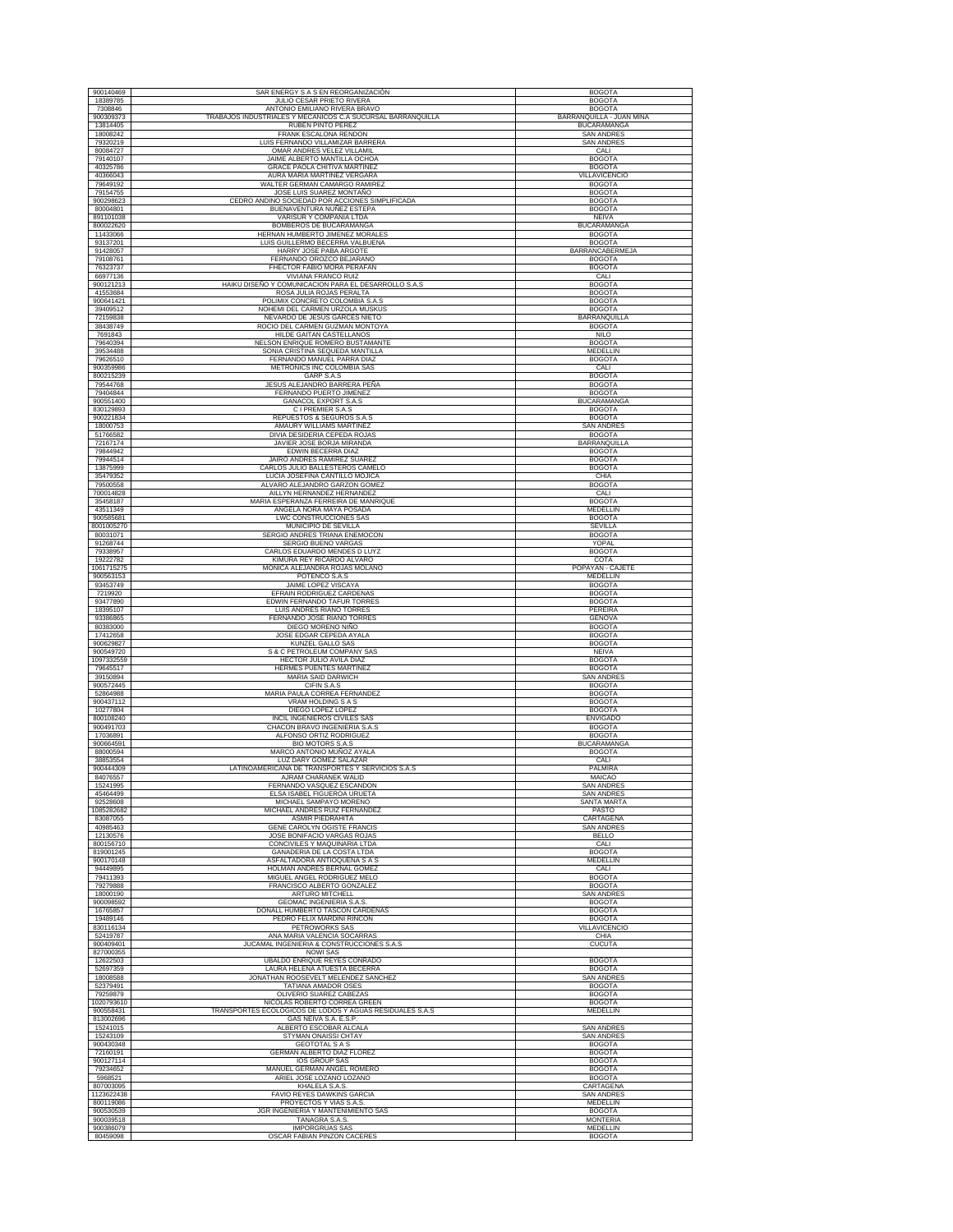| 900140469             | SAR ENERGY S A S EN REORGANIZACIÓN                                       | <b>BOGOTA</b>                        |
|-----------------------|--------------------------------------------------------------------------|--------------------------------------|
| 18389785              | JULIO CESAR PRIETO RIVERA                                                | <b>BOGOTA</b>                        |
| 7308846               | ANTONIO EMILIANO RIVERA BRAVO                                            | <b>BOGOTA</b>                        |
| 900309373             | TRABAJOS INDUSTRIALES Y MECANICOS C.A SUCURSAL BARRANQUILLA              | BARRANQUILLA - JUAN MINA             |
| 13814405              | <b>RUBEN PINTO PEREZ</b>                                                 | <b>BUCARAMANGA</b>                   |
| 18008242              | FRANK ESCALONA RENDON                                                    | <b>SAN ANDRES</b>                    |
| 79320219              | LUIS FERNANDO VILLAMIZAR BARRERA                                         | <b>SAN ANDRES</b>                    |
| 80084727              | OMAR ANDRES VELEZ VILLAMIL                                               | CALI                                 |
| 79140107              | JAIME ALBERTO MANTILLA OCHOA                                             | <b>BOGOTA</b>                        |
| 40325786              | GRACE PAOLA CHITIVA MARTINEZ                                             | <b>BOGOTA</b>                        |
| 40366043              | AURA MARIA MARTINEZ VERGARA                                              | VILLAVICENCIO                        |
| 79649192              | WALTER GERMAN CAMARGO RAMIREZ                                            | <b>BOGOTA</b>                        |
| 79154755              | JOSE LUIS SUAREZ MONTAÑO                                                 | <b>BOGOTA</b>                        |
| 900298623             | CEDRO ANDINO SOCIEDAD POR ACCIONES SIMPLIFICADA                          | <b>BOGOTA</b>                        |
| 80004801              | BUENAVENTURA NUÑEZ ESTEPA                                                | <b>BOGOTA</b>                        |
| 891101038             | VARISUR Y COMPAÑIA LTDA                                                  | <b>NEIVA</b>                         |
| 800022620             | BOMBEROS DE BUCARAMANGA                                                  | <b>BUCARAMANGA</b>                   |
| 11433066              | HERNAN HUMBERTO JIMENEZ MORALES                                          | <b>BOGOTA</b>                        |
| 93137201              | LUIS GUILLERMO BECERRA VALBUENA                                          | <b>BOGOTA</b>                        |
| 91428057              | HARRY JOSE PABA ARGOTE                                                   | BARRANCABERMEJA                      |
| 79108761              | FERNANDO OROZCO BEJARANO                                                 | <b>BOGOTA</b>                        |
| 76323737              | FHECTOR FABIO MORA PERAFAN                                               | <b>BOGOTA</b>                        |
| 66977136              | VIVIANA FRANCO RUIZ                                                      | CALI                                 |
| 900121213             | HAIKU DISEÑO Y COMUNICACION PARA EL DESARROLLO S.A.S                     | <b>BOGOTA</b>                        |
| 41553684              | ROSA JULIA ROJAS PERALTA                                                 | <b>BOGOTA</b>                        |
| 900641421             | POLIMIX CONCRETO COLOMBIA S.A.S                                          | <b>BOGOTA</b>                        |
| 39409512              | NOHEMI DEL CARMEN URZOLA MUSKUS                                          | <b>BOGOTA</b>                        |
| 72159838              | NEVARDO DE JESUS GARCES NIETO                                            | BARRANQUILLA                         |
| 38438749              | ROCIO DEL CARMEN GUZMAN MONTOYA                                          | <b>BOGOTA</b>                        |
| 7691843               | HILDE GAITAN CASTELLANOS                                                 | <b>NILO</b>                          |
| 79640394              | NELSON ENRIQUE ROMERO BUSTAMANTE                                         | <b>BOGOTA</b>                        |
| 39534488              | SONIA CRISTINA SEQUEDA MANTILLA                                          | MEDELLIN                             |
| 79626510              | FERNANDO MANUEL PARRA DIAZ                                               | <b>BOGOTA</b>                        |
| 900359986             | METRONICS INC COLOMBIA SAS                                               | CALI                                 |
| 800215239             | GARP S.A.S                                                               | <b>BOGOTA</b>                        |
| 79544768              | JESUS ALEJANDRO BARRERA PEÑA                                             | <b>BOGOTA</b>                        |
| 79404844              | FERNANDO PUERTO JIMENEZ                                                  | <b>BOGOTA</b>                        |
| 900551400             | <b>GANACOL EXPORT S.A.S</b>                                              | <b>BUCARAMANGA</b>                   |
| 830129893             | C I PREMIER S.A.S                                                        | <b>BOGOTA</b>                        |
| 900221834             | REPUESTOS & SEGUROS S.A.S                                                | <b>BOGOTA</b>                        |
| 18000753              | AMAURY WILLIAMS MARTINEZ<br>DIVIA DESIDERIA CEPEDA ROJAS                 | <b>SAN ANDRES</b>                    |
| 51766582<br>72167174  | JAVIER JOSE BORJA MIRANDA                                                | <b>BOGOTA</b><br><b>BARRANQUILLA</b> |
| 79844942              | EDWIN BECERRA DIAZ                                                       | <b>BOGOTA</b>                        |
| 79944514              | JAIRO ANDRES RAMIREZ SUAREZ                                              | <b>BOGOTA</b>                        |
| 13875999              | CARLOS JULIO BALLESTEROS CAMELO                                          | <b>BOGOTA</b>                        |
| 35479352              | LUCIA JOSEFINA CANTILLO MOJICA                                           | CHIA                                 |
| 79500558              | ALVARO ALEJANDRO GARZON GOMEZ                                            | <b>BOGOTA</b>                        |
| 700014828             | AILLYN HERNANDEZ HERNANDEZ                                               | CALI                                 |
| 35458187              | MARIA ESPERANZA FERREIRA DE MANRIQUE                                     | <b>BOGOTA</b>                        |
| 43511349              | ANGELA NORA MAYA POSADA                                                  | MEDELLIN                             |
| 900585681             | <b>LWC CONSTRUCCIONES SAS</b>                                            | <b>BOGOTA</b>                        |
| 8001005270            | MUNICIPIO DE SEVILLA                                                     | SEVILLA                              |
| 80031071              | SERGIO ANDRES TRIANA ENEMOCON                                            | <b>BOGOTA</b>                        |
| 91268744              | SERGIO BUENO VARGAS                                                      | YOPAL                                |
| 79338957              | CARLOS EDUARDO MENDES D LUYZ                                             | <b>BOGOTA</b>                        |
| 19222782              | KIMURA REY RICARDO ALVARO                                                | COTA                                 |
| 1061715275            | MONICA ALEJANDRA ROJAS MOLANO                                            | POPAYÁN - CAJETE                     |
| 900563153             | POTENCO S.A.S                                                            | MEDELLIN                             |
| 93453749              | JAIME LOPEZ VISCAYA                                                      | <b>BOGOTA</b>                        |
| 7219920               | EFRAIN RODRIGUEZ CARDENAS                                                | <b>BOGOTA</b>                        |
| 93477890              | EDWIN FERNANDO TAFUR TORRES                                              | <b>BOGOTA</b>                        |
| 18395107              | LUIS ANDRES RIAÑO TORRES                                                 | PEREIRA                              |
| 93386865              | FERNANDO JOSE RIAÑO TORRES                                               | GENOVA                               |
| 80383000              | DIEGO MORENO NIÑO                                                        | <b>BOGOTA</b>                        |
| 17412658              | JOSE EDGAR CEPEDA AYALA                                                  | <b>BOGOTA</b>                        |
| 900629827             | KUNZEL GALLO SAS                                                         | <b>BOGOTA</b>                        |
| 900549720             | S & C PETROLEUM COMPANY SAS                                              | <b>NEIVA</b>                         |
| 1097332559            | <b>HECTOR JULIO AVILA DIAZ</b>                                           | <b>BOGOTA</b>                        |
| 79645517              | HERMES PUENTES MARTINEZ                                                  | <b>BOGOTA</b>                        |
| 39150894              | MARIA SAID DARWICH                                                       | <b>SAN ANDRES</b>                    |
| 900572445             | CIFIN S.A.S                                                              | <b>BOGOTA</b>                        |
| 52864988              | MARIA PAULA CORREA FERNANDEZ                                             | <b>BOGOTA</b>                        |
| 900437112             | <b>VRAM HOLDING S A S</b>                                                | <b>BOGOTA</b>                        |
| 10277804              | DIEGO LOPEZ LOPEZ                                                        | <b>BOGOTA</b>                        |
| 800108240             | INCIL INGENIEROS CIVILES SAS                                             | <b>ENVIGADO</b>                      |
| 900491703             | CHACON BRAVO INGENIERIA S.A.S                                            | <b>BOGOTA</b>                        |
| 17036891              | ALFONSO ORTIZ RODRIGUEZ                                                  | <b>BOGOTA</b>                        |
| 900664591             | <b>BIO MOTORS S.A.S</b>                                                  | <b>BUCARAMANGA</b>                   |
| 88000594              | MARCO ANTONIO MUÑOZ AYALA                                                | <b>BOGOTA</b>                        |
| 38853554              | LUZ DARY GOMEZ SALAZAR                                                   | CALI                                 |
| 900444309             | LATINOAMERICANA DE TRANSPORTES Y SERVICIOS S.A.S                         | PALMIRA                              |
| 84076557              | AJRAM CHARANEK WALID                                                     | MAICAO                               |
| 15241995              | FERNANDO VASQUEZ ESCANDON                                                | <b>SAN ANDRES</b>                    |
| 45464499              | ELSA ISABEL FIGUEROA URUETA                                              | <b>SAN ANDRES</b>                    |
| 92528608              | MICHAEL SAMPAYO MORENO                                                   | <b>SANTA MARTA</b>                   |
| 1085282682            | MICHAEL ANDRES RUIZ FERNANDEZ                                            | PASTO                                |
| 83087055              | <b>ASMIR PIFDRAHITA</b>                                                  | CARTAGENA                            |
| 40985463              | GENE CAROLYN OGISTE FRANCIS                                              | <b>SAN ANDRES</b>                    |
| 12130576              | JOSE BONIFACIO VARGAS ROJAS                                              | <b>BELLO</b>                         |
| 800156710             | CONCIVILES Y MAQUINARIA LTDA                                             | CALI                                 |
| 819001245             | GANADERIA DE LA COSTA LTDA                                               | <b>BOGOTA</b>                        |
| 900170148             | ASFALTADORA ANTIOQUEÑA S A S                                             | <b>MEDELLIN</b>                      |
| 94449895              | HOLMAN ANDRES BERNAL GOMEZ                                               | CALI                                 |
| 79411393              | MIGUEL ANGEL RODRIGUEZ MELO                                              | <b>BOGOTA</b>                        |
| 79279888              | FRANCISCO ALBERTO GONZALEZ                                               | <b>BOGOTA</b>                        |
| 18000190              | ARTURO MITCHELL                                                          | <b>SAN ANDRES</b>                    |
| 900098592             | GEOMAC INGENIERIA S.A.S.                                                 | <b>BOGOTA</b>                        |
| 16765857              | DONALL HUMBERTO TASCON CARDENAS                                          | <b>BOGOTA</b>                        |
| 19489146              | PEDRO FELIX MARDINI RINCON                                               | <b>BOGOTA</b>                        |
| 830116134             | <b>PETROWORKS SAS</b>                                                    | <b>VILLAVICENCIO</b>                 |
| 52419787<br>900409401 | ANA MARIA VALENCIA SOCARRAS<br>JUCAMAL INGENIERIA & CONSTRUCCIONES S.A.S | CHIA                                 |
| 827000355             | <b>NOWI SAS</b>                                                          | CUCUTA                               |
| 12622503              | <b>UBALDO ENRIQUE REYES CONRADO</b>                                      | <b>BOGOTA</b>                        |
| 52697359              | LAURA HELENA ATUESTA BECERRA                                             | <b>BOGOTA</b>                        |
| 18008588              | JONATHAN ROOSEVELT MELENDEZ SANCHEZ                                      | SAN ANDRES                           |
| 52379491              | TATIANA AMADOR OSES                                                      | <b>BOGOTA</b>                        |
| 79259879              | OLIVERIO SUAREZ CABEZAS                                                  | <b>BOGOTA</b>                        |
| 1020793610            | NICOLAS ROBERTO CORREA GREEN                                             | <b>BOGOTA</b>                        |
| 900558431             | TRANSPORTES ECOLOGICOS DE LODOS Y AGUAS RESIDUALES S.A.S                 | MEDELLIN                             |
| 813002696<br>15241015 | GAS NEIVA S.A. E.S.P.<br>ALBERTO ESCOBAR ALCALA                          | <b>SAN ANDRES</b>                    |
| 15243109              | STYMAN ONAISSI CHTAY                                                     | <b>SAN ANDRES</b>                    |
| 900430348             | <b>GEOTOTAL S A S</b>                                                    | <b>BOGOTA</b>                        |
| 72160191              | GERMAN ALBERTO DIAZ FLOREZ                                               | <b>BOGOTA</b>                        |
| 900127114             | <b>IOS GROUP SAS</b>                                                     | <b>BOGOTA</b>                        |
| 79234652              | MANUEL GERMAN ANGEL ROMERO                                               | <b>BOGOTA</b>                        |
| 5968521               | ARIEL JOSE LOZANO LOZANO                                                 | <b>BOGOTA</b>                        |
| 807003095             | KHALELA S.A.S                                                            | CARTAGENA                            |
| 1123622438            | FAVIO REYES DAWKINS GARCIA                                               | SAN ANDRES                           |
| 800119086             | PROYECTOS Y VIAS S.A.S.                                                  | MEDELLIN                             |
| 900530539             | JGR INGENIERIA Y MANTENIMIENTO SAS                                       | <b>BOGOTA</b>                        |
| 900039518             | TANAGRA S.A.S.                                                           | <b>MONTERIA</b>                      |
| 900386079             | <b>IMPORGRUAS SAS</b>                                                    | MEDELLIN                             |
| 80459098              | OSCAR FABIAN PINZON CACERES                                              | <b>BOGOTA</b>                        |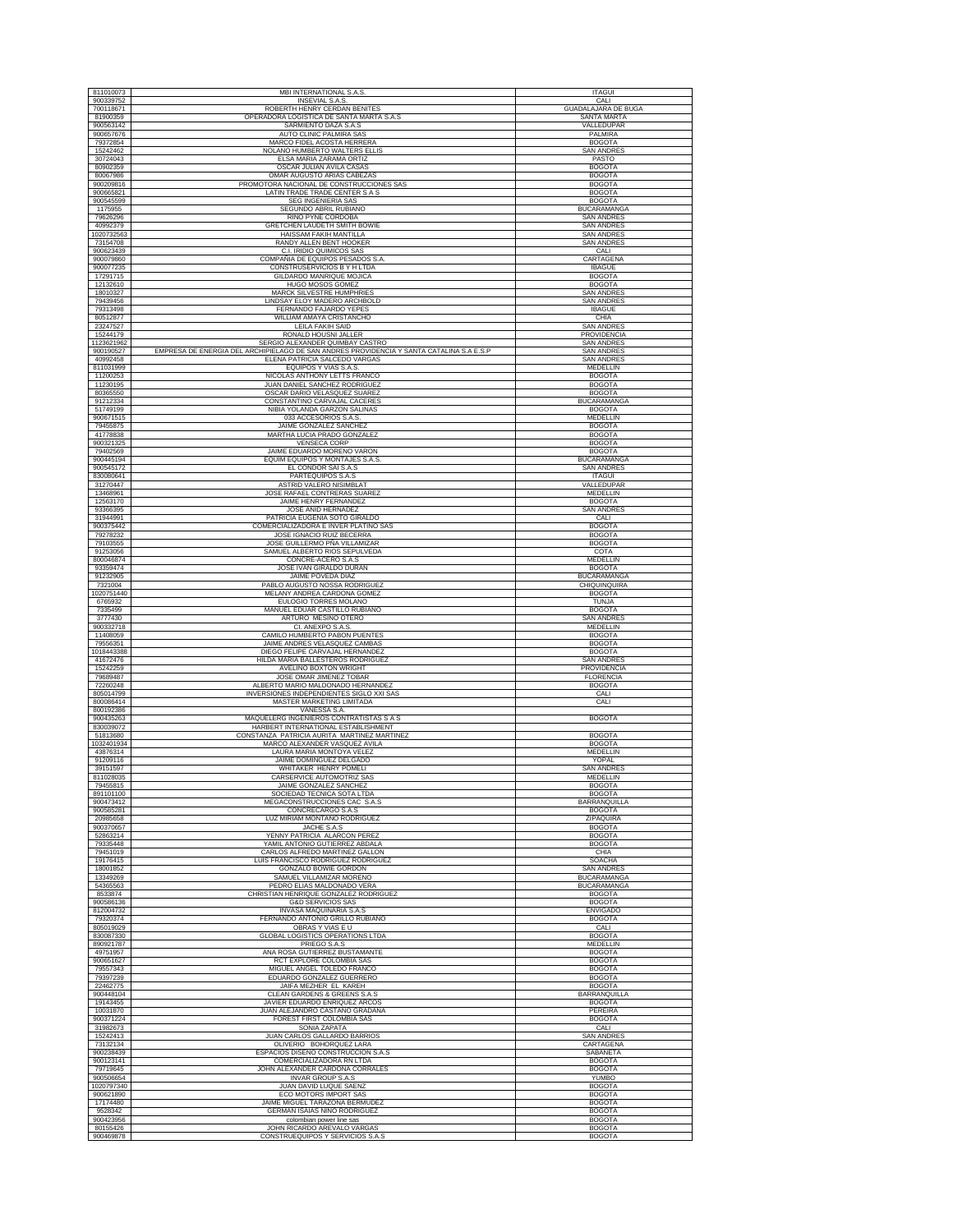| 811010073              | MBI INTERNATIONAL S.A.S.                                                                 | <b>ITAGUI</b>                  |
|------------------------|------------------------------------------------------------------------------------------|--------------------------------|
| 900339752              | <b>INSEVIAL S.A.S</b>                                                                    | CALI                           |
| 700118671              | ROBERTH HENRY CERDAN BENITES                                                             | <b>GUADALAJARA DE BUGA</b>     |
| 81900359               | OPERADORA LOGISTICA DE SANTA MARTA S.A.S                                                 | SANTA MARTA                    |
| 900563142              | SARMIENTO DAZA S.A.S                                                                     | VALLEDUPAR                     |
| 900657676              | <b>AUTO CLINIC PALMIRA SAS</b>                                                           | PALMIRA                        |
| 79372854               | MARCO FIDEL ACOSTA HERRERA                                                               | <b>BOGOTA</b>                  |
| 15242462               | NOLANO HUMBERTO WALTERS ELLIS                                                            | <b>SAN ANDRES</b>              |
| 30724043               | ELSA MARIA ZARAMA ORTIZ                                                                  | PASTO                          |
| 80902359               | OSCAR JULIAN AVILA CASAS                                                                 | <b>BOGOTA</b>                  |
| 80067986               | OMAR AUGUSTO ARIAS CABEZAS                                                               | <b>BOGOTA</b>                  |
| 900209816              | PROMOTORA NACIONAL DE CONSTRUCCIONES SAS                                                 | <b>BOGOTA</b>                  |
| 900665821              | LATIN TRADE TRADE CENTER S A S                                                           | <b>BOGOTA</b>                  |
| 900545599              | <b>SEG INGENIERIA SAS</b>                                                                | <b>BOGOTA</b>                  |
| 1175955                | SEGUNDO ABRIL RUBIANO                                                                    | <b>BUCARAMANGA</b>             |
| 79626296               | RINO PYNE CORDOBA                                                                        | <b>SAN ANDRES</b>              |
| 40992379               | GRETCHEN LAUDETH SMITH BOWIE                                                             | <b>SAN ANDRES</b>              |
| 1020732563             | HAISSAM FAKIH MANTILLA                                                                   | <b>SAN ANDRES</b>              |
| 73154708               | RANDY ALLEN BENT HOOKER                                                                  | <b>SAN ANDRES</b>              |
| 900623439              | C.I. IRIDIO QUIMICOS SAS                                                                 | CALI                           |
| 900079860              | COMPAÑIA DE EQUIPOS PESADOS S.A                                                          | CARTAGENA                      |
| 900077235              | CONSTRUSERVICIOS B Y H LTDA                                                              | <b>IBAGUE</b>                  |
| 17291715               | GILDARDO MANRIQUE MOJICA                                                                 | <b>BOGOTA</b>                  |
| 12132610               | HUGO MOSOS GOMEZ                                                                         | <b>BOGOTA</b>                  |
| 18010327               | <b>MARCK SILVESTRE HUMPHRIE</b>                                                          | SAN ANDRES                     |
| 79439456               | LINDSAY ELOY MADERO ARCHBOLD                                                             | <b>SAN ANDRES</b>              |
| 79313498               | FERNANDO FAJARDO YEPES                                                                   | <b>IBAGUE</b>                  |
| 80512877               | WILLIAM AMAYA CRISTANCHO                                                                 | CHIA                           |
| 23247527               | LEILA FAKIH SAID                                                                         | <b>SAN ANDRES</b>              |
| 15244179               | RONALD HOUSNI JALLER                                                                     | PROVIDENCIA                    |
| 1123621962             | SERGIO ALEXANDER QUIMBAY CASTRO                                                          | <b>SAN ANDRES</b>              |
| 900190527              | EMPRESA DE ENERGIA DEL ARCHIPIELAGO DE SAN ANDRES PROVIDENCIA Y SANTA CATALINA S.A E.S.P | <b>SAN ANDRES</b>              |
| 40992458               | ELENA PATRICIA SALCEDO VARGAS                                                            | <b>SAN ANDRES</b>              |
| 811031999              | EQUIPOS Y VIAS S.A.S.                                                                    | MEDELLIN                       |
| 11200253               | NICOLAS ANTHONY LETTS FRANCO                                                             | <b>BOGOTA</b>                  |
| 11230195               | JUAN DANIEL SANCHEZ RODRIGUEZ                                                            | <b>BOGOTA</b>                  |
| 80365550               | OSCAR DARIO VELASQUEZ SUAREZ                                                             | <b>BOGOTA</b>                  |
| 91212334               | CONSTANTINO CARVAJAL CACERES                                                             | <b>BUCARAMANGA</b>             |
| 51749199               | NIBIA YOLANDA GARZON SALINAS                                                             | <b>BOGOTA</b>                  |
| 900671515              | 033 ACCESORIOS S.A.S.                                                                    | MEDELLIN                       |
| 79455875               | JAIME GONZALEZ SANCHEZ                                                                   | <b>BOGOTA</b>                  |
| 41778838               | MARTHA LUCIA PRADO GONZALEZ                                                              | <b>BOGOTA</b>                  |
| 900321325              | <b>VENSECA CORP</b>                                                                      | <b>BOGOTA</b>                  |
| 79402569               | JAIME EDUARDO MORENO VARON                                                               | <b>BOGOTA</b>                  |
| 900445194              | EQUIM EQUIPOS Y MONTAJES S.A.S                                                           | <b>BUCARAMANGA</b>             |
| 900545172              | EL CONDOR SAI S.A.S                                                                      | <b>SAN ANDRES</b>              |
| 830080641              | PARTEQUIPOS S.A.S                                                                        | <b>ITAGUI</b>                  |
| 31270447               | ASTRID VALERO NISIMBLAT                                                                  | VALLEDUPAR                     |
| 13468961               | JOSE RAFAEL CONTRERAS SUAREZ                                                             | MEDELLIN                       |
| 12563170               | JAIME HENRY FERNANDEZ                                                                    | <b>BOGOTA</b>                  |
| 93366395               | JOSE ANID HERNADEZ                                                                       | SAN ANDRES                     |
| 31944991               | PATRICIA EUGENIA SOTO GIRALDO                                                            | CALI                           |
| 900375442              | COMERCIALIZADORA E INVER PLATINO SAS                                                     | <b>BOGOTA</b>                  |
| 79278232               | JOSE IGNACIO RUIZ BECERRA                                                                | <b>BOGOTA</b>                  |
| 79103555               | JOSE GUILLERMO PÑA VILLAMIZAR                                                            | <b>BOGOTA</b>                  |
| 91253056               | SAMUEL ALBERTO RIOS SEPULVEDA                                                            | COTA                           |
| 800046874              | CONCRE-ACERO S.A.S                                                                       | MEDELLIN                       |
| 93359474               | JOSE IVAN GIRALDO DURAN                                                                  | <b>BOGOTA</b>                  |
| 91232905               | JAIME POVEDA DIAZ                                                                        | <b>BUCARAMANGA</b>             |
| 7321004                | PABLO AUGUSTO NOSSA RODRIGUEZ                                                            | CHIQUINQUIRA                   |
| 1020751440             | MELANY ANDREA CARDONA GOMEZ                                                              | <b>BOGOTA</b>                  |
| 6765932                | EULOGIO TORRES MOLANO                                                                    | TUNJA                          |
| 7335499                | MANUEL EDUAR CASTILLO RUBIANO                                                            | <b>BOGOTA</b>                  |
| 3777430                | ARTURO MESINO OTERO                                                                      | SAN ANDRES                     |
| 900332718              | CI. ANEXPO S.A.S.                                                                        | MEDELLIN                       |
| 11408059               | CAMILO HUMBERTO PABON PUENTES                                                            | <b>BOGOTA</b>                  |
| 79556351               | JAIME ANDRES VELASQUEZ CAMBAS                                                            | <b>BOGOTA</b>                  |
| 1018443388             | DIEGO FELIPE CARVAJAL HERNANDEZ                                                          | <b>BOGOTA</b>                  |
| 41672476               | HILDA MARIA BALLESTEROS RODRIGUEZ                                                        | <b>SAN ANDRES</b>              |
| 15242259               | AVELINO BOXTON WRIGHT                                                                    | PROVIDENCIA                    |
| 79689487               | JOSE OMAR JIMENEZ TOBAR                                                                  | <b>FLORENCIA</b>               |
| 72260248               | ALBERTO MARIO MALDONADO HERNANDEZ                                                        | <b>BOGOTA</b>                  |
| 805014799              | INVERSIONES INDEPENDIENTES SIGLO XXI SAS                                                 | CALI                           |
| 800086414<br>800192386 | MASTER MARKETING LIMITADA<br>VANESSA S.A.                                                | CALI                           |
| 900435263<br>830039072 | MAQUELERG INGENIEROS CONTRATISTAS S A S<br>HARBERT INTERNATIONAL ESTABLISHMENT           | <b>BOGOTA</b>                  |
| 51813680               | CONSTANZA PATRICIA AURITA MARTINEZ MARTINEZ                                              | <b>BOGOTA</b>                  |
| 1032401934             | MARCO ALEXANDER VASQUEZ AVILA                                                            | <b>BOGOTA</b>                  |
| 43876314               | LAURA MARIA MONTOYA VELEZ                                                                | MEDELLIN                       |
| 91209116               | JAIME DOMINGUEZ DELGADO                                                                  | YOPAL                          |
| 39151597               | WHITAKER HENRY POMELI                                                                    | SAN ANDRES                     |
| 811028035              | CARSERVICE AUTOMOTRIZ SAS                                                                | MEDELLIN                       |
| 79455815               | JAIME GONZALEZ SANCHEZ                                                                   | <b>BOGOTA</b>                  |
| 891101100              | SOCIEDAD TECNICA SOTA LTDA                                                               | <b>BOGOTA</b>                  |
| 900473412              | MEGACONSTRUCCIONES CAC S.A.S                                                             | <b>BARRANOUILLA</b>            |
| 900585281              | CONCRECARGO S.A.S                                                                        | <b>BOGOTA</b>                  |
| 20985658               | LUZ MIRIAM MONTAÑO RODRIGUEZ                                                             | ZIPAQUIRA                      |
| 900370657              | JACHE S.A.S                                                                              | <b>BOGOTA</b>                  |
| 52863214               | YENNY PATRICIA ALARCON PEREZ                                                             | <b>BOGOTA</b>                  |
| 79335448               | YAMIL ANTONIO GUTIERREZ ABDALA                                                           | <b>BOGOTA</b>                  |
| 79451019               | CARLOS ALFREDO MARTINEZ GALLON                                                           | CHIA                           |
| 19176415               | LUIS FRANCISCO RODRIGUEZ RODRIGUEZ                                                       | <b>SOACHA</b>                  |
| 18001852               | GONZALO BOWIE GORDON                                                                     | <b>SAN ANDRES</b>              |
| 13349269               | SAMUEL VILLAMIZAR MORENO                                                                 | <b>BUCARAMANGA</b>             |
| 54365563               | PEDRO ELIAS MALDONADO VERA                                                               | <b>BUCARAMANGA</b>             |
| 8533874                | CHRISTIAN HENRIQUE GONZALEZ RODRIGUEZ                                                    | <b>BOGOTA</b>                  |
| 900586136              | <b>G&amp;D SERVICIOS SAS</b>                                                             | <b>BOGOTA</b>                  |
| 812004732              | INVASA MAQUINARIA S.A.S                                                                  | <b>ENVIGADO</b>                |
| 79320374               | FERNANDO ANTONIO GRILLO RUBIANO                                                          | <b>BOGOTA</b>                  |
| 805019029              | OBRAS Y VIAS E U                                                                         | CALI                           |
| 830087330<br>890921787 | GLOBAL LOGISTICS OPERATIONS LTDA<br>PRIEGO S.A.S                                         | <b>BOGOTA</b>                  |
| 49751957<br>900651627  |                                                                                          | <b>MEDELLIN</b>                |
| 79557343               | ANA ROSA GUTIERREZ BUSTAMANTE                                                            | <b>BOGOTA</b>                  |
| 79397239               | RCT EXPLORE COLOMBIA SAS                                                                 | <b>BOGOTA</b>                  |
| 22462775               | MIGUEL ANGEL TOLEDO FRANCO                                                               | <b>BOGOTA</b>                  |
|                        | EDUARDO GONZALEZ GUERRERO<br>JAIFA MEZHER EL KAREH                                       | <b>BOGOTA</b><br><b>BOGOTA</b> |
| 900448104              | CLEAN GARDENS & GREENS S.A.S                                                             | <b>BARRANQUILLA</b>            |
| 19143455               | JAVIER EDUARDO ENRIQUEZ ARCOS                                                            | <b>BOGOTA</b>                  |
| 10031870               | JUAN ALEJANDRO CASTAÑO GRADANA                                                           | PEREIRA                        |
| 900371224              | FOREST FIRST COLOMBIA SAS                                                                | <b>BOGOTA</b>                  |
| 31982673<br>15242413   | SONIA ZAPATA                                                                             | CALI<br><b>SAN ANDRES</b>      |
| 73132134               | <b>JUAN CARLOS GALLARDO BARRIOS</b><br>OLIVERIO BOHORQUEZ LARA                           | CARTAGENA                      |
| 900238439              | ESPACIOS DISEÑO CONSTRUCCION S.A.S                                                       | SABANETA                       |
| 900123141              | COMERCIALIZADORA RN LTDA                                                                 | <b>BOGOTA</b>                  |
| 79719645               | JOHN ALEXANDER CARDONA CORRALES                                                          | <b>BOGOTA</b>                  |
| 900506654              | <b>INVAR GROUP S.A.S</b>                                                                 | <b>YUMBO</b>                   |
| 1020797340             | JUAN DAVID LUQUE SAENZ                                                                   | <b>BOGOTA</b>                  |
| 900621890              | ECO MOTORS IMPORT SAS                                                                    | <b>BOGOTA</b>                  |
| 17174480               | JAIME MIGUEL TARAZONA BERMUDEZ                                                           | <b>BOGOTA</b>                  |
| 9528342                | GERMAN ISAIAS NIÑO RODRIGUEZ                                                             | <b>BOGOTA</b>                  |
| 900423956              | colombian power line sas                                                                 | <b>BOGOTA</b>                  |
| 80155426               | JOHN RICARDO AREVALO VARGAS                                                              | <b>BOGOTA</b>                  |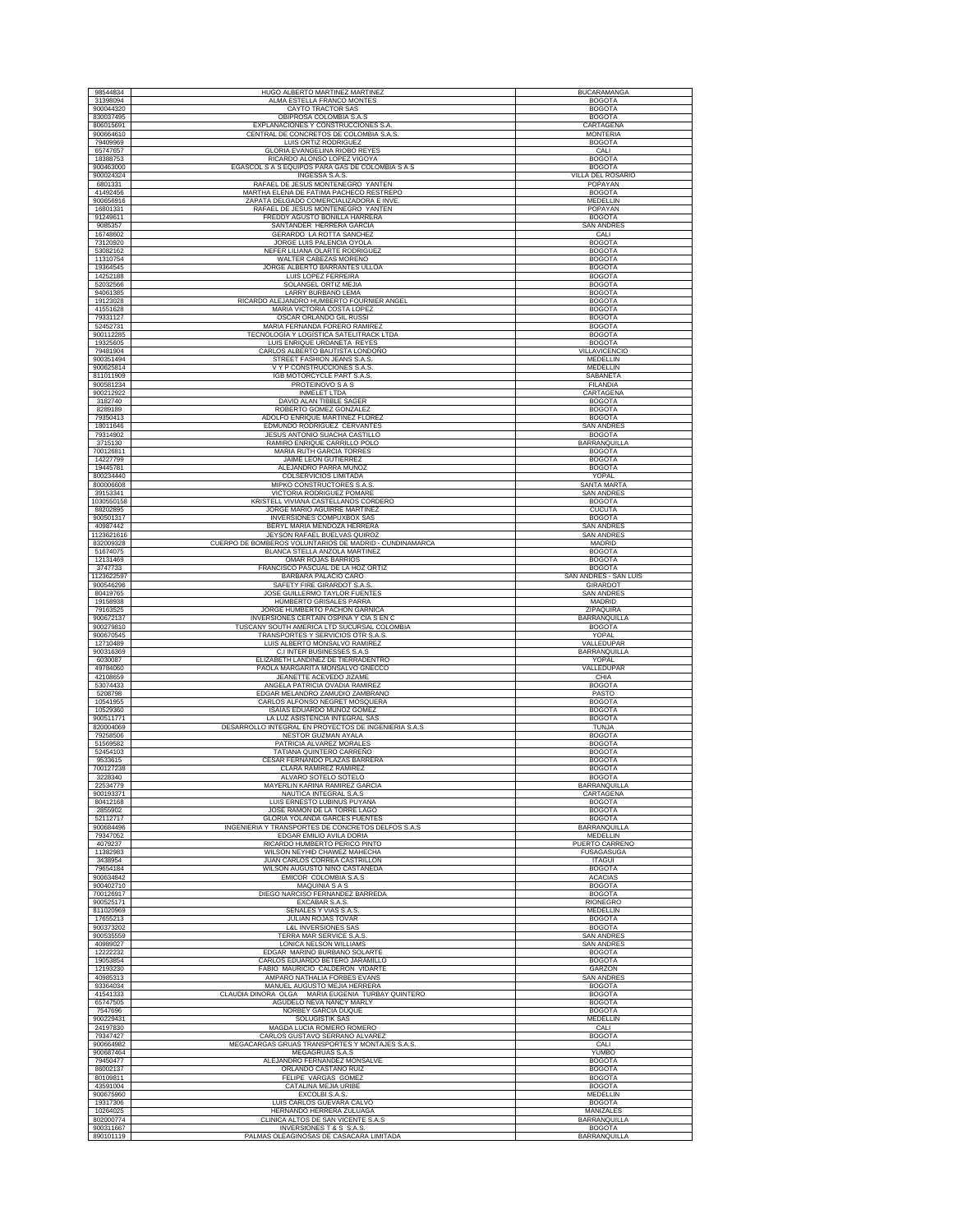| 98544834                           | HUGO ALBERTO MARTINEZ MARTINEZ                                                             | <b>BUCARAMANGA</b>                                |
|------------------------------------|--------------------------------------------------------------------------------------------|---------------------------------------------------|
| 31398094<br>900044320              | ALMA ESTELLA FRANCO MONTES<br>CAYTO TRACTOR SAS                                            | <b>BOGOTA</b><br><b>BOGOTA</b>                    |
| 830037495                          | OBIPROSA COLOMBIA S.A.S                                                                    | <b>BOGOTA</b>                                     |
| 806015691                          | EXPLANACIONES Y CONSTRUCCIONES S.A.                                                        | CARTAGENA                                         |
| 900664610<br>79409969              | CENTRAL DE CONCRETOS DE COLOMBIA S.A.S<br>LUIS ORTIZ RODRIGUEZ                             | <b>MONTERIA</b><br><b>BOGOTA</b>                  |
| 65747657                           | <b>GLORIA EVANGELINA RIOBO REYES</b>                                                       | CALI                                              |
| 18388753<br>900463000              | RICARDO ALONSO LOPEZ VIGOYA<br>EGASCOL S A S EQUIPOS PARA GAS DE COLOMBIA S A S            | <b>BOGOTA</b><br><b>BOGOTA</b>                    |
| 900024324                          | INGESSA S.A.S.                                                                             | VILLA DEL ROSARIO                                 |
| 6801331<br>41492456                | RAFAEL DE JESUS MONTENEGRO YANTEN<br>MARTHA ELENA DE FATIMA PACHECO RESTREPO               | POPAYAN<br><b>BOGOTA</b>                          |
| 900656916                          | ZAPATA DELGADO COMERCIALIZADORA E INVE                                                     | MEDELLIN                                          |
| 16801331<br>91249611               | RAFAEL DE JESUS MONTENEGRO YANTEN<br>FREDDY AGUSTO BONILLA HARRERA                         | POPAYAN<br><b>BOGOTA</b>                          |
| 9085357                            | SANTANDER HERRERA GARCIA                                                                   | <b>SAN ANDRES</b>                                 |
| 16748602<br>73120920               | GERARDO LA ROTTA SANCHEZ<br>JORGE LUIS PALENCIA OYOLA                                      | CALI                                              |
| 53082162                           | NEFER LILIANA OLARTE RODRIGUE.                                                             | <b>BOGOTA</b><br><b>BOGOTA</b>                    |
| 11310754<br>19364545               | WALTER CABEZAS MORENO<br>JORGE ALBERTO BARRANTES ULLOA                                     | <b>BOGOTA</b><br><b>BOGOTA</b>                    |
| 14252188                           | LUIS LOPEZ FERREIRA                                                                        | <b>BOGOTA</b>                                     |
| 52032566<br>94061385               | SOLANGEL ORTIZ MEJIA<br>LARRY BURBANO LEMA                                                 | <b>BOGOTA</b>                                     |
| 19123028                           | RICARDO ALEJANDRO HUMBERTO FOURNIER ANGEL                                                  | <b>BOGOTA</b><br><b>BOGOTA</b>                    |
| 41551628                           | MARIA VICTORIA COSTA LOPEZ                                                                 | <b>BOGOTA</b>                                     |
| 79331127<br>52452731               | OSCAR ORLANDO GIL RUSSI<br>MARIA FERNANDA FORERO RAMIREZ                                   | <b>BOGOTA</b><br><b>BOGOTA</b>                    |
| 900112285                          | TECNOLOGÍA Y LOGÍSTICA SATELITRACK LTDA                                                    | <b>BOGOTA</b>                                     |
| 19325605<br>79481904               | LUIS ENRIQUE URDANETA REYES<br>CARLOS ALBERTO BAUTISTA LONDOÑO                             | <b>BOGOTA</b><br><b>VILLAVICENCIO</b>             |
| 900351494                          | STREET FASHION JEANS S.A.S.                                                                | MEDELLIN                                          |
| 900625814<br>811011909             | V Y P CONSTRUCCIONES S.A.S<br>IGB MOTORCYCLE PART S.A.S.                                   | MEDELLIN<br>SABANETA                              |
| 900581234                          | PROTEINOVO S A S                                                                           | <b>FILANDIA</b>                                   |
| 900212922<br>3182740               | <b>INMELET LTDA</b><br>DAVID ALAN TIBBLE SAGER                                             | CARTAGENA<br><b>BOGOTA</b>                        |
| 8289189                            | ROBERTO GOMEZ GONZALE                                                                      | <b>BOGOTA</b>                                     |
| 79350413<br>18011646               | ADOLFO ENRIQUE MARTINEZ FLOREZ<br>EDMUNDO RODRIGUEZ CERVANTES                              | <b>BOGOTA</b><br><b>SAN ANDRES</b>                |
| 79314902                           | JESUS ANTONIO SUACHA CASTILLO                                                              | <b>BOGOTA</b>                                     |
| 3715130<br>700126811               | RAMIRO ENRIQUE CARRILLO POLO<br>MARIA RUTH GARCIA TORRES                                   | <b>BARRANQUILLA</b><br><b>BOGOTA</b>              |
| 14227799                           | JAIME LEON GUTIERREZ                                                                       | <b>BOGOTA</b>                                     |
| 19445781<br>800234440              | ALEJANDRO PARRA MUÑOZ<br>COLSERVICIOS LIMITADA                                             | <b>BOGOTA</b><br>YOPAL                            |
| 800006608                          | <b>MIPKO CONSTRUCTORES S.A.S.</b>                                                          | <b>SANTA MARTA</b>                                |
| 39153341<br>1030550158             | VICTORIA RODRIGUEZ POMARE<br>KRISTELL VIVIANA CASTELLANOS CORDERO                          | <b>SAN ANDRES</b><br><b>BOGOTA</b>                |
| 88202895                           | JORGE MARIO AGUIRRE MARTINEZ                                                               | <b>CUCUTA</b>                                     |
| 900501317<br>40987442              | INVERSIONES COMPUXBOX SAS<br>BERYL MARIA MENDOZA HERRERA                                   | <b>BOGOTA</b><br><b>SAN ANDRES</b>                |
| 1123621616                         | JEYSON RAFAEL BUELVAS QUIROZ                                                               | <b>SAN ANDRES</b>                                 |
| 832009328<br>51674075              | CUERPO DE BOMBEROS VOLUNTARIOS DE MADRID - CUNDINAMARCA<br>BLANCA STELLA ANZOLA MARTINEZ   | <b>MADRID</b><br><b>BOGOTA</b>                    |
| 12131469                           | <b>OMAR ROJAS BARRIOS</b>                                                                  | <b>BOGOTA</b>                                     |
| 3747733<br>1123622597              | FRANCISCO PASCUAL DE LA HOZ ORTIZ<br>BARBARA PALACIO CARO                                  | <b>BOGOTA</b><br>SAN ANDRÉS - SAN LUIS            |
| 900546296                          | SAFETY FIRE GIRARDOT S.A.S                                                                 | GIRARDOT                                          |
| 80419765<br>19158938               | JOSE GUILLERMO TAYLOR FUENTES<br>HUMBERTO GRISALES PARRA                                   | <b>SAN ANDRES</b><br><b>MADRID</b>                |
| 79163525                           | JORGE HUMBERTO PACHON GARNICA                                                              | ZIPAQUIRA                                         |
|                                    |                                                                                            |                                                   |
| 900672137                          | INVERSIONES CERTAIN OSPINA Y CIA S EN C                                                    | <b>BARRANQUILLA</b>                               |
| 900279810<br>900670545             | TUSCANY SOUTH AMERICA LTD SUCURSAL COLOMBIA<br>TRANSPORTES Y SERVICIOS OTR S.A.S.          | <b>BOGOTA</b><br>YOPAL                            |
| 12710489                           | LUIS ALBERTO MONSALVO RAMIREZ                                                              | VALLEDUPAR                                        |
| 900316369<br>6030087               | C.I INTER BUSINESSES S.A.S<br>ELIZABETH LANDINEZ DE TIERRADENTRO                           | BARRANQUILLA<br>YOPAL                             |
| 49784060                           | PAOLA MARGARITA MONSALVO GNECCO                                                            | VALLEDUPAR                                        |
| 42108659<br>53074433               | JEANETTE ACEVEDO JIZAME<br>ANGELA PATRICIA OVADIA RAMIREZ                                  | CHIA<br><b>BOGOTA</b>                             |
| 5208798<br>10541955                | EDGAR MELANDRO ZAMUDIO ZAMBRANO<br>CARLOS ALFONSO NEGRET MOSQUERA                          | PASTO<br><b>BOGOTA</b>                            |
| 10529360                           | ISAIAS EDUARDO MUÑOZ GOMEZ                                                                 | <b>BOGOTA</b>                                     |
| 900511771<br>820004069             | LA LUZ ASISTENCIA INTEGRAL SAS<br>DESARROLLO INTEGRAL EN PROYECTOS DE INGENIERIA S.A.S     | <b>BOGOTA</b><br><b>TUNJA</b>                     |
| 79258506                           | NESTOR GUZMAN AYALA                                                                        | <b>BOGOTA</b>                                     |
| 51569582<br>52454103               | PATRICIA ALVAREZ MORALES<br>TATIANA QUINTERO CARREÑO                                       | <b>BOGOTA</b><br><b>BOGOTA</b>                    |
| 9533615                            | CESAR FERNANDO PLAZAS BARRERA                                                              | <b>BOGOTA</b>                                     |
| 700127238<br>3228340               | CLARA RAMIREZ RAMIREZ<br>ALVARO SOTELO SOTELO                                              | <b>BOGOTA</b><br><b>BOGOTA</b>                    |
| 22534779                           | MAYERLIN KARINA RAMIREZ GARCIA                                                             | BARRANQUILLA                                      |
| 900193371<br>80412168              | NAUTICA INTEGRAL S.A.S<br>LUIS ERNESTO LUBINUS PUYANA                                      | CARTAGENA<br><b>BOGOTA</b>                        |
| 2855902                            | JOSE RAMON DE LA TORRE LAGO                                                                | <b>BOGOTA</b>                                     |
| 52112717<br>900684496              | <b>GLORIA YOLANDA GARCES FUENTES</b><br>INGENIERIA Y TRANSPORTES DE CONCRETOS DELFOS S.A.S | <b>BOGOTA</b><br>BARRANQUILLA                     |
| 79347052                           | EDGAR EMILIO AVILA DORIA                                                                   | MEDELLIN                                          |
| 4079237<br>11382983                | RICARDO HUMBERTO PERICO PINTO<br>WILSON NEYHID CHAWEZ MAHECHA                              | PUERTO CARRENO<br><b>FUSAGASUGA</b>               |
| 3438954                            | JUAN CARLOS CORREA CASTRILLON                                                              | <b>ITAGUI</b>                                     |
| 79654184<br>900634842              | WILSON AUGUSTO NIÑO CASTAÑEDA<br>EMICOR COLOMBIA S.A.S                                     | <b>BOGOTA</b><br><b>ACACIAS</b>                   |
| 900402710                          | <b>MAQUINIA S A S</b>                                                                      | <b>BOGOTA</b>                                     |
| 700126917<br>900525171             | DIEGO NARCISO FERNANDEZ BARREDA<br>EXCABAR S.A.S.                                          | <b>BOGOTA</b><br><b>RIONEGRO</b>                  |
| 811020969                          | SEÑALES Y VIAS S.A.S.                                                                      | MEDELLIN                                          |
| 17655213<br>900373202              | JULIAN ROJAS TOVAR<br><b>L&amp;L INVERSIONES SAS</b>                                       | <b>BOGOTA</b><br><b>BOGOTA</b>                    |
| 900535559<br>40989027              | TERRA MAR SERVICE S.A.S                                                                    | SAN ANDRES                                        |
| 12222232                           | LONICA NELSON WILLIAMS<br>EDGAR MARINO BURBANO SOLARTE                                     | <b>SAN ANDRES</b><br><b>BOGOTA</b>                |
| 19053854                           | CARLOS EDUARDO BETERO JARAMILLO                                                            | <b>BOGOTA</b>                                     |
| 12193230<br>40985313               | FABIO MAURICIO CALDERON VIDARTE<br>AMPARO NATHALIA FORBES EVANS                            | GARZON<br><b>SAN ANDRES</b>                       |
| 93364034<br>41541333               | MANUEL AUGUSTO MEJIA HERRERA<br>CLAUDIA DINORA OLGA MARIA EUGENIA TURBAY QUINTERO          | <b>BOGOTA</b><br><b>BOGOTA</b>                    |
| 65747505                           | AGUDELO NEVA NANCY MARLY                                                                   | <b>BOGOTA</b>                                     |
| 7547696<br>900229431               | NORBEY GARCIA DUQUE<br><b>SOLUGISTIK SAS</b>                                               | <b>BOGOTA</b><br>MEDELLIN                         |
| 24197830                           | MAGDA LUCIA ROMERO ROMERO                                                                  | CALI                                              |
| 79347427<br>900664982              | CARLOS GUSTAVO SERRANO ALVAREZ<br>MEGACARGAS GRUAS TRANSPORTES Y MONTAJES S.A.S            | <b>BOGOTA</b><br>CALI                             |
| 900687464                          | MEGAGRUAS S.A.S                                                                            | YUMBO                                             |
| 79450477<br>86002137               | ALEJANDRO FERNANDEZ MONSALVE<br>ORLANDO CASTAÑO RUIZ                                       | <b>BOGOTA</b><br><b>BOGOTA</b>                    |
| 80109811                           | FELIPE VARGAS GOMEZ                                                                        | <b>BOGOTA</b>                                     |
| 43591004<br>900675960              | CATALINA MEJIA URIBE<br>EXCOLBI S.A.S.                                                     | <b>BOGOTA</b><br>MEDELLIN                         |
| 19317306                           | LUIS CARLOS GUEVARA CALVO                                                                  | <b>BOGOTA</b>                                     |
| 10264025<br>802000774<br>900311667 | HERNANDO HERRERA ZULUAGA<br>CLINICA ALTOS DE SAN VICENTE S.A.S<br>INVERSIONES T & S S.A.S  | MANIZALES<br><b>BARRANQUILLA</b><br><b>BOGOTA</b> |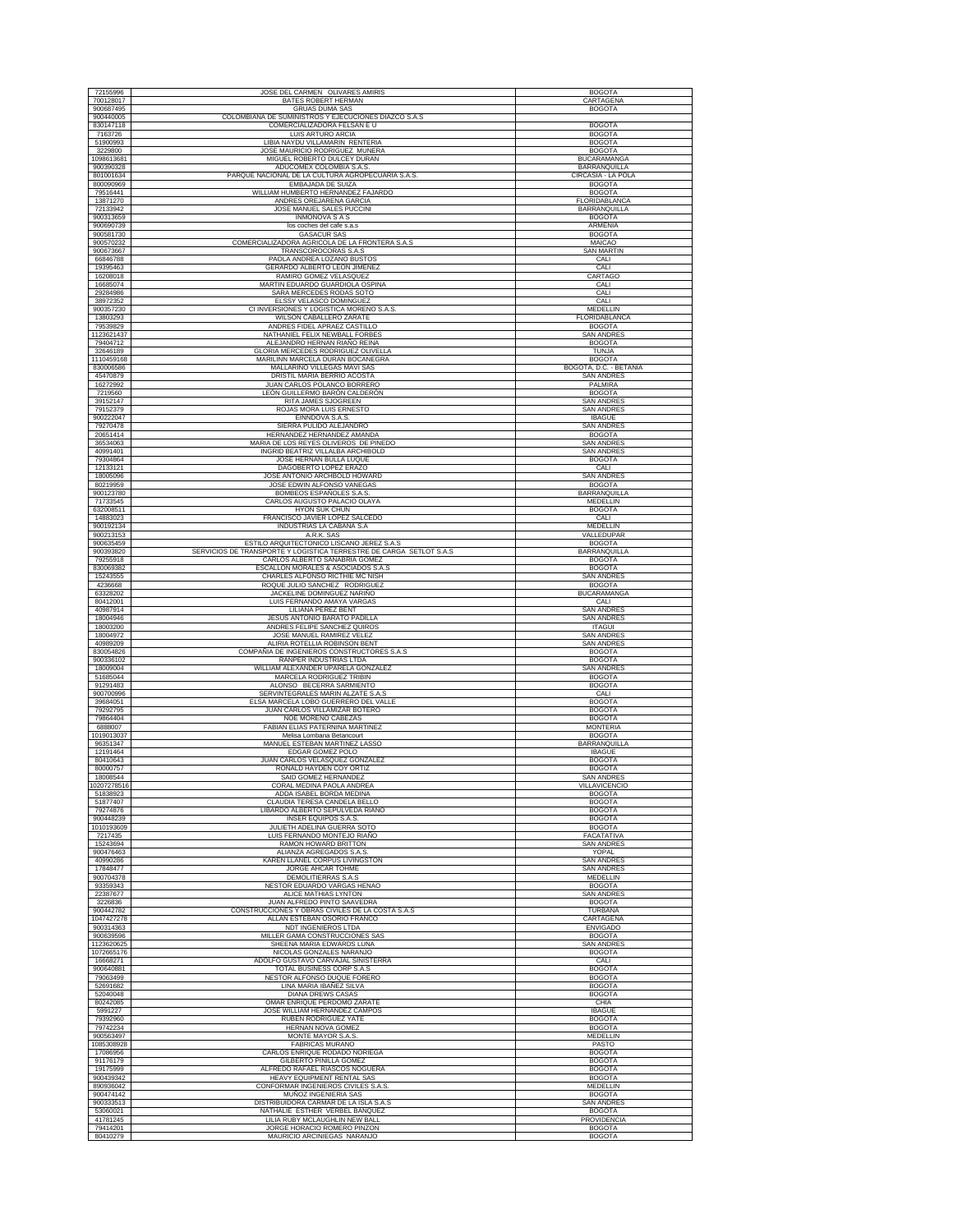| 72155996               | JOSE DEL CARMEN OLIVARES AMIRIS                                           | <b>BOGOTA</b>                               |
|------------------------|---------------------------------------------------------------------------|---------------------------------------------|
| 700128017              | BATES ROBERT HERMAN                                                       | CARTAGENA                                   |
| 900687495              | <b>GRUAS DUMA SAS</b>                                                     | <b>BOGOTA</b>                               |
| 900440005              | COLOMBIANA DE SUMINISTROS Y EJECUCIONES DIAZCO S.A.S                      |                                             |
| 830147118              | COMERCIALIZADORA FELSAN E U                                               | <b>BOGOTA</b>                               |
| 7163726                | LUIS ARTURO ARCIA                                                         | <b>BOGOTA</b>                               |
| 51900993               | LIBIA NAYDU VILLAMARIN RENTERIA                                           | <b>BOGOTA</b>                               |
| 3229800                | JOSE MAURICIO RODRIGUEZ MUNERA                                            | <b>BOGOTA</b>                               |
| 1098613681             | MIGUEL ROBERTO DULCEY DURAN                                               | <b>BUCARAMANGA</b>                          |
| 900390328              | ADUCOMEX COLOMBIA S.A.S                                                   | BARRANQUILLA                                |
| 801001634              | PARQUE NACIONAL DE LA CULTURA AGROPECUARIA S.A.S.                         | CIRCASIA - LA POLA                          |
| 800090969              | EMBAJADA DE SUIZA                                                         | <b>BOGOTA</b>                               |
| 79516441               | WILLIAM HUMBERTO HERNANDEZ FAJARDO                                        | <b>BOGOTA</b>                               |
| 13871270               | ANDRES OREJARENA GARCIA                                                   | FLORIDABLANCA                               |
| 72133942               | JOSE MANUEL SALES PUCCINI                                                 | BARRANQUILLA                                |
| 900313659              | INMONOVA S A S                                                            | <b>BOGOTA</b>                               |
| 900690739              | los coches del cafe s.a.s                                                 | <b>ARMENIA</b>                              |
| 900581730<br>900570232 | <b>GASACUR SAS</b><br>COMERCIALIZADORA AGRICOLA DE LA FRONTERA S.A.S      | <b>BOGOTA</b><br>MAICAO                     |
| 900673667              | TRANSCOROCORAS S.A.S                                                      | <b>SAN MARTIN</b>                           |
| 66846788               | PAOLA ANDREA LOZANO BUSTOS                                                | CALI                                        |
| 19395463               | GERARDO ALBERTO LEON JIMENEZ                                              | CALI                                        |
| 16208018               | RAMIRO GOMEZ VELASQUEZ                                                    | CARTAGO                                     |
| 16685074               | MARTIN EDUARDO GUARDIOLA OSPINA                                           | CALI                                        |
| 29284986               | SARA MERCEDES RODAS SOTO                                                  | CALI                                        |
| 38972352               | ELSSY VELASCO DOMINGUEZ                                                   | CALI                                        |
| 900357230              | CI INVERSIONES Y LOGISTICA MORENO S.A.S.                                  | MEDELLIN                                    |
| 13803293               | WILSON CABALLERO ZARATE                                                   | FLORIDABLANCA                               |
| 79539829               | ANDRES FIDEL APRAEZ CASTILLO                                              | <b>BOGOTA</b>                               |
| 1123621437             | NATHANIEL FELIX NEWBALL FORBES                                            | SAN ANDRE                                   |
| 79404712               | ALEJANDRO HERNAN RIAÑO REINA                                              | <b>BOGOTA</b>                               |
| 32646189               | GLORIA MERCEDES RODRIGUEZ OLIVELLA                                        | <b>TUNJA</b>                                |
| 1110459168             | MARILINN MARCELA DURAN BOCANEGRA                                          | <b>BOGOTA</b>                               |
| 830006586<br>45470879  | MALLARINO VILLEGAS MAVI SAS<br>DRISTIL MARIA BERRIO ACOSTA                | BOGOTÁ, D.C. - BETANIA<br><b>SAN ANDRES</b> |
| 16272992               | JUAN CARLOS POLANCO BORRERO                                               | PALMIRA                                     |
| 7219560                | LEÓN GUILLERMO BARÓN CALDERÓN                                             | <b>BOGOTA</b>                               |
| 39152147               | RITA JAMES SJOGREEN                                                       | <b>SAN ANDRES</b>                           |
| 79152379               | ROJAS MORA LUIS ERNESTO                                                   | <b>SAN ANDRES</b>                           |
| 900222047              | EINNDOVA S.A.S.                                                           | <b>IBAGUE</b>                               |
| 79270478               | SIERRA PULIDO ALEJANDRO                                                   | <b>SAN ANDRES</b>                           |
| 20651414               | HERNANDEZ HERNANDEZ AMANDA                                                | <b>BOGOTA</b>                               |
| 36534063               | MARIA DE LOS REYES OLIVEROS DE PINEDO                                     | <b>SAN ANDRES</b>                           |
| 40991401               | INGRID BEATRIZ VILLALBA ARCHIBOLD                                         | <b>SAN ANDRES</b>                           |
| 79304864               | JOSE HERNAN BULLA LUQUE                                                   | <b>BOGOTA</b>                               |
| 12133121               | DAGOBERTO LOPEZ ERAZO                                                     | CALI                                        |
| 18005096               | JOSE ANTONIO ARCHBOLD HOWARD                                              | <b>SAN ANDRES</b>                           |
| 80219959               | JOSE EDWIN ALFONSO VANEGAS                                                | <b>BOGOTA</b>                               |
| 900123780              | BOMBEOS ESPAÑOLES S.A.S                                                   | BARRANQUILLA                                |
| 71733545<br>632008511  | CARLOS AUGUSTO PALACIO OLAYA<br><b>HYON SUK CHUN</b>                      | MEDELLIN<br><b>BOGOTA</b>                   |
| 14883023               | FRANCISCO JAVIER LOPEZ SALCEDO                                            | CALI                                        |
| 900192134              | INDUSTRIAS LA CABAÑA S.A                                                  | <b>MEDELLIN</b>                             |
| 900213153              | A.R.K. SAS                                                                | VALLEDUPAR                                  |
| 900635459              | ESTILO ARQUITECTONICO LISCANO JEREZ S.A.S                                 | <b>BOGOTA</b>                               |
| 900393820              | SERVICIOS DE TRANSPORTE Y LOGISTICA TERRESTRE DE CARGA SETLOT S.A.S       | <b>BARRANQUILLA</b>                         |
| 79255918               | CARLOS ALBERTO SANABRIA GOMEZ                                             | <b>BOGOTA</b>                               |
| 830069382              | ESCALLON MORALES & ASOCIADOS S.A.S                                        | <b>BOGOTA</b>                               |
| 15243555               | CHARLES ALFONSO RICTHIE MC NISH                                           | <b>SAN ANDRES</b>                           |
| 4236668                | ROQUE JULIO SANCHEZ RODRIGUEZ                                             | <b>BOGOTA</b>                               |
| 63328202               | JACKELINE DOMINGUEZ NARIÑO                                                | <b>BUCARAMANGA</b>                          |
| 80412001<br>40987914   | LUIS FERNANDO AMAYA VARGAS<br>LILIANA PEREZ BENT                          | CALI<br><b>SAN ANDRES</b>                   |
| 18004946               | JESUS ANTONIO BARATO PADILLA                                              | <b>SAN ANDRES</b>                           |
| 18003200               | ANDRES FELIPE SANCHEZ QUIROS                                              | <b>ITAGUI</b>                               |
| 18004972               | JOSE MANUEL RAMIREZ VELEZ                                                 | <b>SAN ANDRES</b>                           |
| 40989209               | ALIRIA ROTELLIA ROBINSON BENT                                             | <b>SAN ANDRES</b>                           |
| 830054826              | COMPAÑIA DE INGENIEROS CONSTRUCTORES S.A.S                                | <b>BOGOTA</b>                               |
| 900336102              | RANPER INDUSTRIAS LTDA                                                    | <b>BOGOTA</b>                               |
| 18009004               | WILLIAM ALEXANDER UPARELA GONZALEZ                                        | <b>SAN ANDRES</b>                           |
| 51685044               | MARCELA RODRIGUEZ TRIBIN                                                  | <b>BOGOTA</b>                               |
| 91291483<br>900700996  | ALONSO BECERRA SARMIENTO                                                  | <b>BOGOTA</b>                               |
| 39684051               | SERVINTEGRALES MARIN ALZATE S.A.S<br>ELSA MARCELA LOBO GUERRERO DEL VALLE | CALI<br><b>BOGOTA</b>                       |
| 79292795               | JUAN CARLOS VILLAMIZAR BOTERO                                             | <b>BOGOTA</b>                               |
| 79864404               | NOE MORENO CABEZAS                                                        | <b>BOGOTA</b>                               |
| 6888007                | FABIAN ELIAS PATERNINA MARTINEZ                                           | <b>MONTERIA</b>                             |
| 1019013037             | Melisa Lombana Betancourt                                                 | <b>BOGOTA</b>                               |
| 96351347               | MANUEL ESTEBAN MARTINEZ LASSO                                             | <b>BARRANQUILLA</b>                         |
| 12191464               | EDGAR GOMEZ POLO                                                          | <b>IBAGUE</b>                               |
| 80410643               | JUAN CARLOS VELASQUEZ GONZALEZ                                            | <b>BOGOTA</b>                               |
| 80000757               | RONALD HAYDEN COY ORTIZ                                                   | <b>BOGOTA</b>                               |
| 18008544               | SAID GOMEZ HERNANDEZ                                                      | <b>SAN ANDRES</b>                           |
| 10207278516            | CORAL MEDINA PAOLA ANDREA<br>ADDA ISABEL BORDA MEDINA                     | VILLAVICENCIC                               |
| 51838923<br>51877407   | CLAUDIA TERESA CANDELA BELLO                                              | <b>BOGOTA</b><br><b>BOGOTA</b>              |
| 79274876               | LIBARDO ALBERTO SEPÚLVEDA RIAÑO                                           | <b>BOGOTA</b>                               |
| 900448239              | INSER EQUIPOS S.A.S.                                                      | <b>BOGOTA</b>                               |
| 1010193609             | JULIETH ADELINA GUERRA SOTO                                               | <b>BOGOTA</b>                               |
| 7217435                | LUIS FERNANDO MONTEJO RIAÑO                                               | FACATATIVA                                  |
| 15243694               | RAMON HOWARD BRITTON                                                      | <b>SAN ANDRES</b>                           |
| 900476463              | ALIANZA AGREGADOS S.A.S                                                   | YOPAL                                       |
| 40990286               | KAREN LLANEL CORPUS LIVINGSTON                                            | <b>SAN ANDRES</b>                           |
| 17848477               | JORGE AHCAR TOHME                                                         | <b>SAN ANDRES</b><br>MEDELLIN               |
| 900704378<br>93359343  | DEMOLITIERRAS S.A.S<br>NESTOR EDUARDO VARGAS HENAO                        | <b>BOGOTA</b>                               |
| 22387677               | ALICE MATHIAS LYNTON                                                      | <b>SAN ANDRES</b>                           |
| 3226836                | JUAN ALFREDO PINTO SAAVEDRA                                               | <b>BOGOTA</b>                               |
| 900442782              | CONSTRUCCIONES Y OBRAS CIVILES DE LA COSTA S.A.S                          | TURBANA                                     |
| 1047427278             | ALLAN ESTEBAN OSORIO FRANCO                                               | CARTAGENA                                   |
| 900314363              | NDT INGENIEROS LTDA                                                       | <b>ENVIGADO</b>                             |
| 900639596              | MILLER GAMA CONSTRUCCIONES SAS                                            | <b>BOGOTA</b>                               |
| 1123620625             | SHEENA MARIA EDWARDS LUNA                                                 | <b>SAN ANDRES</b>                           |
| 1072665176             | NICOLAS GONZALES NARANJO                                                  | <b>BOGOTA</b>                               |
| 16668271<br>900640881  | ADOLFO GUSTAVO CARVAJAL SINISTERRA<br>TOTAL BUSINESS CORP S.A.S           | CALI<br><b>BOGOTA</b>                       |
| 79063499               | NESTOR ALFONSO DUQUE FORERO                                               | <b>BOGOTA</b>                               |
| 52691682               | LINA MARIA IBAÑEZ SILVA                                                   | <b>BOGOTA</b>                               |
| 52040048               | <b>DIANA DREWS CASAS</b>                                                  | <b>BOGOTA</b>                               |
| 80242085               | OMAR ENRIQUE PERDOMO ZARATE                                               | CHIA                                        |
| 5991227                | JOSE WILLIAM HERNANDEZ CAMPOS                                             | <b>IBAGUE</b>                               |
| 79392960               | RUBEN RODRIGUEZ YATE                                                      | <b>BOGOTA</b>                               |
| 79742234               | HERNAN NOVA GOMEZ                                                         | <b>BOGOTA</b>                               |
| 900563497              | MONTE MAYOR S.A.S.                                                        | MEDELLIN                                    |
| 1085308928             | <b>FABRICAS MURANO</b>                                                    | PASTO                                       |
| 17086956               | CARLOS ENRIQUE RODADO NORIEGA                                             | <b>BOGOTA</b>                               |
| 91176179               | <b>GILBERTO PINILLA GOMEZ</b>                                             | <b>BOGOTA</b>                               |
| 19175999               | ALFREDO RAFAEL RIASCOS NOGUERA                                            | <b>BOGOTA</b>                               |
| 900439342<br>890936042 | HEAVY EQUIPMENT RENTAL SAS<br>CONFORMAR INGENIEROS CIVILES S.A.S          | <b>BOGOTA</b><br>MEDELLIN                   |
| 900474142              | MUÑOZ INGENIERIA SAS                                                      | <b>BOGOTA</b>                               |
| 900333513              | DISTRIBUIDORA CARMAR DE LA ISLA S.A.S                                     | <b>SAN ANDRES</b>                           |
| 53060021               |                                                                           | <b>BOGOTA</b>                               |
|                        | NATHALIE ESTHER VERBEL BANQUEZ                                            |                                             |
| 41781245               | LILIA RUBY MCLAUGHLIN NEW BALL                                            | PROVIDENCIA                                 |
| 79414201<br>80410279   | JORGE HORACIO ROMERO PINZON<br>MAURICIO ARCINIEGAS NARANJO                | <b>BOGOTA</b><br><b>BOGOTA</b>              |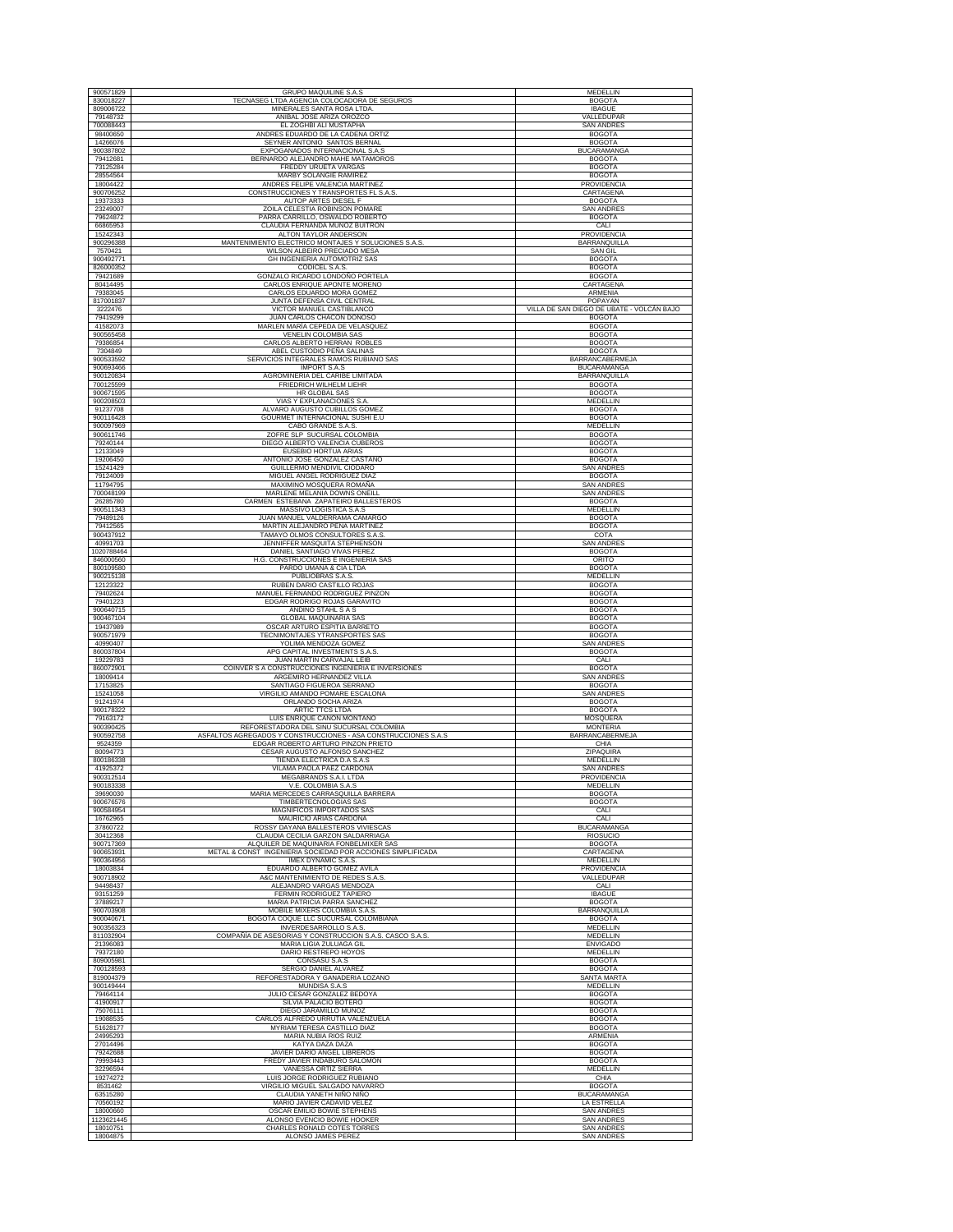| 900571829              | <b>GRUPO MAQUILINE S.A.S</b>                                                      | <b>MEDELLIN</b>                           |
|------------------------|-----------------------------------------------------------------------------------|-------------------------------------------|
| 830018227              | TECNASEG LTDA AGENCIA COLOCADORA DE SEGUROS                                       | <b>BOGOTA</b>                             |
| 809006722              | MINERALES SANTA ROSA LTDA.                                                        | <b>IBAGUE</b>                             |
| 79148732               | ANIBAL JOSE ARIZA OROZCO                                                          | VALLEDUPAR                                |
| 700088443              | EL ZOGHBI ALI MUSTAPHA                                                            | <b>SAN ANDRES</b>                         |
| 98400650               | ANDRES EDUARDO DE LA CADENA ORTIZ                                                 | <b>BOGOTA</b>                             |
| 14266076<br>900387802  | SEYNER ANTONIO SANTOS BERNAL<br>EXPOGANADOS INTERNACIONAL S.A.S                   | <b>BOGOTA</b><br><b>BUCARAMANGA</b>       |
| 79412681               | BERNARDO ALEJANDRO MAHE MATAMOROS                                                 | <b>BOGOTA</b>                             |
| 73125284               | FREDDY URUETA VARGAS                                                              | <b>BOGOTA</b>                             |
| 28554564               | MARBY SOLANGIE RAMIREZ                                                            | <b>BOGOTA</b>                             |
| 18004422               | ANDRES FELIPE VALENCIA MARTINEZ                                                   | PROVIDENCIA                               |
| 900706252              | CONSTRUCCIONES Y TRANSPORTES FL S.A.S.                                            | CARTAGENA                                 |
| 19373333               | AUTOP ARTES DIESEL F                                                              | <b>BOGOTA</b>                             |
| 23249007               | ZOILA CELESTIA ROBINSON POMARE                                                    | <b>SAN ANDRES</b>                         |
| 79624872               | PARRA CARRILLO, OSWALDO ROBERTO                                                   | <b>BOGOTA</b>                             |
| 66865953<br>15242343   | CLAUDIA FERNANDA MUÑOZ BUITRON                                                    | CALI<br>PROVIDENCIA                       |
| 900296388              | ALTON TAYLOR ANDERSON<br>MANTENIMIENTO ELECTRICO MONTAJES Y SOLUCIONES S.A.S.     | BARRANQUILLA                              |
| 7570421                | WILSON ALBEIRO PRECIADO MESA                                                      | <b>SAN GIL</b>                            |
| 900492771              | GH INGENIERIA AUTOMOTRIZ SAS                                                      | <b>BOGOTA</b>                             |
| 826000352              | CODICEL S.A.S.                                                                    | <b>BOGOTA</b>                             |
| 79421689               | GONZALO RICARDO LONDOÑO PORTELA                                                   | <b>BOGOTA</b>                             |
| 80414495               | CARLOS ENRIQUE APONTE MORENO                                                      | CARTAGENA                                 |
| 79383045               | CARLOS EDUARDO MORA GOMEZ                                                         | <b>ARMENIA</b>                            |
| 817001837              | JUNTA DEFENSA CIVIL CENTRAL                                                       | POPAYAN                                   |
| 3222476                | VICTOR MANUEL CASTIBLANCO                                                         | VILLA DE SAN DIEGO DE UBATE - VOLCÁN BAJO |
| 79419299               | JUAN CARLOS CHACON DONOSO                                                         | <b>BOGOTA</b>                             |
| 41582073<br>900565458  | MARLEN MARÍA CEPEDA DE VELASQUEZ<br>VENELIN COLOMBIA SAS                          | <b>BOGOTA</b><br><b>BOGOTA</b>            |
| 79386854               | CARLOS ALBERTO HERRAN ROBLES                                                      | <b>BOGOTA</b>                             |
| 7304849                | ABEL CUSTODIO PEÑA SALINAS                                                        | <b>BOGOTA</b>                             |
| 900533592              | SERVICIOS INTEGRALES RAMOS RUBIANO SAS                                            | BARRANCABERMEJA                           |
| 900693466              | <b>IMPORT S.A.S</b>                                                               | <b>BUCARAMANGA</b>                        |
| 900120834              | AGROMINERIA DEL CARIBE LIMITADA                                                   | <b>BARRANQUILLA</b>                       |
| 700125599              | FRIEDRICH WILHELM LIEHR                                                           | <b>BOGOTA</b>                             |
| 900671595              | HR GLOBAL SAS                                                                     | <b>BOGOTA</b>                             |
| 900208503              | VIAS Y EXPLANACIONES S.A                                                          | MEDELLIN                                  |
| 91237708               | ALVARO AUGUSTO CUBILLOS GOMEZ                                                     | <b>BOGOTA</b><br><b>BOGOTA</b>            |
| 900116428<br>900097969 | GOURMET INTERNACIONAL SUSHI E.U<br>CABO GRANDE S.A.S                              | MEDELLIN                                  |
| 900611746              | ZOFRE SLP SUCURSAL COLOMBIA                                                       | <b>BOGOTA</b>                             |
| 79240144               | DIEGO ALBERTO VALENCIA CUBEROS                                                    | <b>BOGOTA</b>                             |
| 12133049               | EUSEBIO HORTUA ARIAS                                                              | <b>BOGOTA</b>                             |
| 19206450               | ANTONIO JOSE GONZALEZ CASTAÑO                                                     | <b>BOGOTA</b>                             |
| 15241429               | GUILLERMO MENDIVIL CIODARO                                                        | <b>SAN ANDRES</b>                         |
| 79124009               | MIGUEL ANGEL RODRIGUEZ DIAZ                                                       | <b>BOGOTA</b>                             |
| 11794795               | MAXIMINO MOSQUERA ROMAÑA                                                          | SAN ANDRES                                |
| 700048199              | MARLENE MELANIA DOWNS ONEILL                                                      | <b>SAN ANDRES</b>                         |
| 26285780<br>900511343  | CARMEN ESTEBANA ZAPATEIRO BALLESTEROS<br>MASSIVO LOGISTICA S.A.S                  | <b>BOGOTA</b><br><b>MEDELLIN</b>          |
| 79489126               | JUAN MANUEL VALDERRAMA CAMARGO                                                    | <b>BOGOTA</b>                             |
| 79412565               | MARTIN ALEJANDRO PEÑA MARTINEZ                                                    | <b>BOGOTA</b>                             |
| 900437912              | TAMAYO OLMOS CONSULTORES S.A.S                                                    | COTA                                      |
| 40991703               | JENNIFFER MASQUITA STEPHENSON                                                     | SAN ANDRES                                |
| 1020788464             | DANIEL SANTIAGO VIVAS PEREZ                                                       | <b>BOGOTA</b>                             |
| 846000560              | H.G. CONSTRUCCIONES E INGENIERIA SAS                                              | ORITO                                     |
| 800109580              | PARDO UMAÑA & CIA LTDA                                                            | <b>BOGOTA</b>                             |
| 900215138<br>12123322  | PUBLIOBRAS S.A.S.<br>RUBEN DARIO CASTILLO ROJAS                                   | MEDELLIN<br><b>BOGOTA</b>                 |
| 79402624               | MANUEL FERNANDO RODRIGUEZ PINZON                                                  | <b>BOGOTA</b>                             |
| 79401223               | EDGAR RODRIGO ROJAS GARAVITO                                                      | <b>BOGOTA</b>                             |
| 900640715              | ANDINO STAHL S A S                                                                | <b>BOGOTA</b>                             |
| 900467104              | <b>GLOBAL MAQUINARIA SAS</b>                                                      | <b>BOGOTA</b>                             |
| 19437989               | OSCAR ARTURO ESPITIA BARRETO                                                      | <b>BOGOTA</b>                             |
| 900571979              | TECNIMONTAJES YTRANSPORTES SAS                                                    | <b>BOGOTA</b>                             |
| 40990407<br>860037804  | YOLIMA MENDOZA GOMEZ<br>APG CAPITAL INVESTMENTS S.A.S                             | <b>SAN ANDRES</b><br><b>BOGOTA</b>        |
| 19229783               | JUAN MARTIN CARVAJAL LEIB                                                         | CALI                                      |
| 860072901              | COINVER S A CONSTRUCCIONES INGENIERIA E INVERSIONES                               | <b>BOGOTA</b>                             |
| 18009414               | ARGEMIRO HERNANDEZ VILLA                                                          | <b>SAN ANDRES</b>                         |
| 17153825               | SANTIAGO FIGUEROA SERRANO                                                         | <b>BOGOTA</b>                             |
| 15241058               | VIRGILIO AMANDO POMARE ESCALONA                                                   | <b>SAN ANDRES</b>                         |
| 91241974<br>900178322  | ORLANDO SOCHA ARIZA<br>ARTIC TTCS LTDA                                            | <b>BOGOTA</b><br><b>BOGOTA</b>            |
| 79163172               | LUIS ENRIQUE CAÑON MONTAÑO                                                        | MOSQUERA                                  |
| 900390425              | REFORESTADORA DEL SINU SUCURSAL COLOMBIA                                          | <b>MONTERIA</b>                           |
| 900592758              | ASFALTOS AGREGADOS Y CONSTRUCCIONES - ASA CONSTRUCCIONES S.A.S                    | BARRANCABERMEJA                           |
| 9524359                | EDGAR ROBERTO ARTURO PINZON PRIETO                                                | CHIA                                      |
| 80094773               | CESAR AUGUSTO ALFONSO SANCHEZ                                                     | ZIPAQUIRA                                 |
| 800186338              | TIENDA ELECTRICA D.A S.A.S                                                        | MEDELLIN                                  |
| 41925372               | VILAMA PAOLA PAEZ CARDONA                                                         | <b>SAN ANDRES</b>                         |
| 900312514              | MEGABRANDS S.A.I. LTDA                                                            | PROVIDENCIA                               |
| 900183338              | V.E. COLOMBIA S.A.S                                                               | MEDELLIN<br><b>BOGOTA</b>                 |
| 39690030               | MARIA MERCEDES CARRASQUILLA BARRERA                                               | <b>BOGOTA</b>                             |
| 900676576<br>900584954 | TIMBERTECNOLOGIAS SAS<br>MAGNIFICOS IMPORTADOS SAS                                | CALI                                      |
| 16762965               | MAURICIO ARIAS CARDONA                                                            | CALI                                      |
| 37860722               | ROSSY DAYANA BALLESTEROS VIVIESCAS                                                | <b>BUCARAMANGA</b>                        |
| 30412368               | CLAUDIA CECILIA GARZON SALDARRIAGA                                                | RIOSUCIO                                  |
| 900717369              | ALQUILER DE MAQUINARIA FONBELMIXER SAS                                            | <b>BOGOTA</b>                             |
| 900653931              | METAL & CONST INGENIERIA SOCIEDAD POR ACCIONES SIMPLIFICADA                       | CARTAGENA                                 |
| 900364956              | IMEX DYNAMIC S.A.S.                                                               | <b>MEDELLIN</b>                           |
| 18003834<br>900718902  | EDUARDO ALBERTO GOMEZ AVILA<br>A&C MANTENIMIENTO DE REDES S.A.S.                  | PROVIDENCIA<br>VALLEDUPAR                 |
| 94498437               | ALEJANDRO VARGAS MENDOZA                                                          | CALI                                      |
| 93151259               | FERMIN RODRIGUEZ TAPIERO                                                          | <b>IBAGUE</b>                             |
| 37889217               | MARIA PATRICIA PARRA SANCHEZ                                                      | <b>BOGOTA</b>                             |
| 900703908              | MOBILE MIXERS COLOMBIA S.A.S                                                      | <b>BARRANQUILLA</b>                       |
| 900040671              | BOGOTA COQUE LLC SUCURSAL COLOMBIANA                                              | <b>BOGOTA</b>                             |
| 900356323<br>811032904 | INVERDESARROLLO S.A.S.<br>COMPAÑÍA DE ASESORIAS Y CONSTRUCCION S.A.S. CASCO S.A.S | <b>MEDELLIN</b><br>MEDELLIN               |
| 21396083               | MARIA LIGIA ZULUAGA GIL                                                           | <b>ENVIGADO</b>                           |
| 79372180               | DARIO RESTREPO HOYOS                                                              | <b>MEDELLIN</b>                           |
| 809005981              | CONSASU S.A.S                                                                     | <b>BOGOTA</b>                             |
| 700128593              | SERGIO DANIEL ALVAREZ                                                             | <b>BOGOTA</b>                             |
| 819004379              | REFORESTADORA Y GANADERIA LOZANO                                                  | SANTA MARTA                               |
| 900149444              | MUNDISA S.A.S                                                                     | <b>MEDELLIN</b>                           |
| 79464114<br>41900917   | JULIO CESAR GONZALEZ BEDOYA<br>SILVIA PALACIO BOTERO                              | <b>BOGOTA</b><br><b>BOGOTA</b>            |
| 75076111               | DIEGO JARAMILLO MUÑOZ                                                             | <b>BOGOTA</b>                             |
| 19088535               | CARLOS ALFREDO URRUTIA VALENZUELA                                                 | <b>BOGOTA</b>                             |
| 51628177               | MYRIAM TERESA CASTILLO DIAZ                                                       | <b>BOGOTA</b>                             |
| 24995293               | MARIA NUBIA RIOS RUIZ                                                             | ARMENIA                                   |
| 27014496               | KATYA DAZA DAZA                                                                   | <b>BOGOTA</b>                             |
| 79242688               | JAVIER DARIO ANGEL LIBREROS                                                       | <b>BOGOTA</b>                             |
| 79993443<br>32296594   | FREDY JAVIER INDABURO SALOMON<br>VANESSA ORTIZ SIERRA                             | <b>BOGOTA</b>                             |
| 19274272               | LUIS JORGE RODRIGUEZ RUBIANO                                                      | MEDELLIN<br>CHIA                          |
| 8531462                | VIRGILIO MIGUEL SALGADO NAVARRO                                                   | <b>BOGOTA</b>                             |
| 63515280               | CLAUDIA YANETH NIÑO NIÑO                                                          | <b>BUCARAMANGA</b>                        |
| 70560192               | MARIO JAVIER CADAVID VELEZ                                                        | LA ESTRELLA                               |
| 18000660               | OSCAR EMILIO BOWIE STEPHENS                                                       | <b>SAN ANDRES</b>                         |
| 1123621445             | ALONSO EVENCIO BOWIE HOOKER                                                       | <b>SAN ANDRES</b>                         |
| 18010751               | CHARLES RONALD COTES TORRES                                                       | <b>SAN ANDRES</b>                         |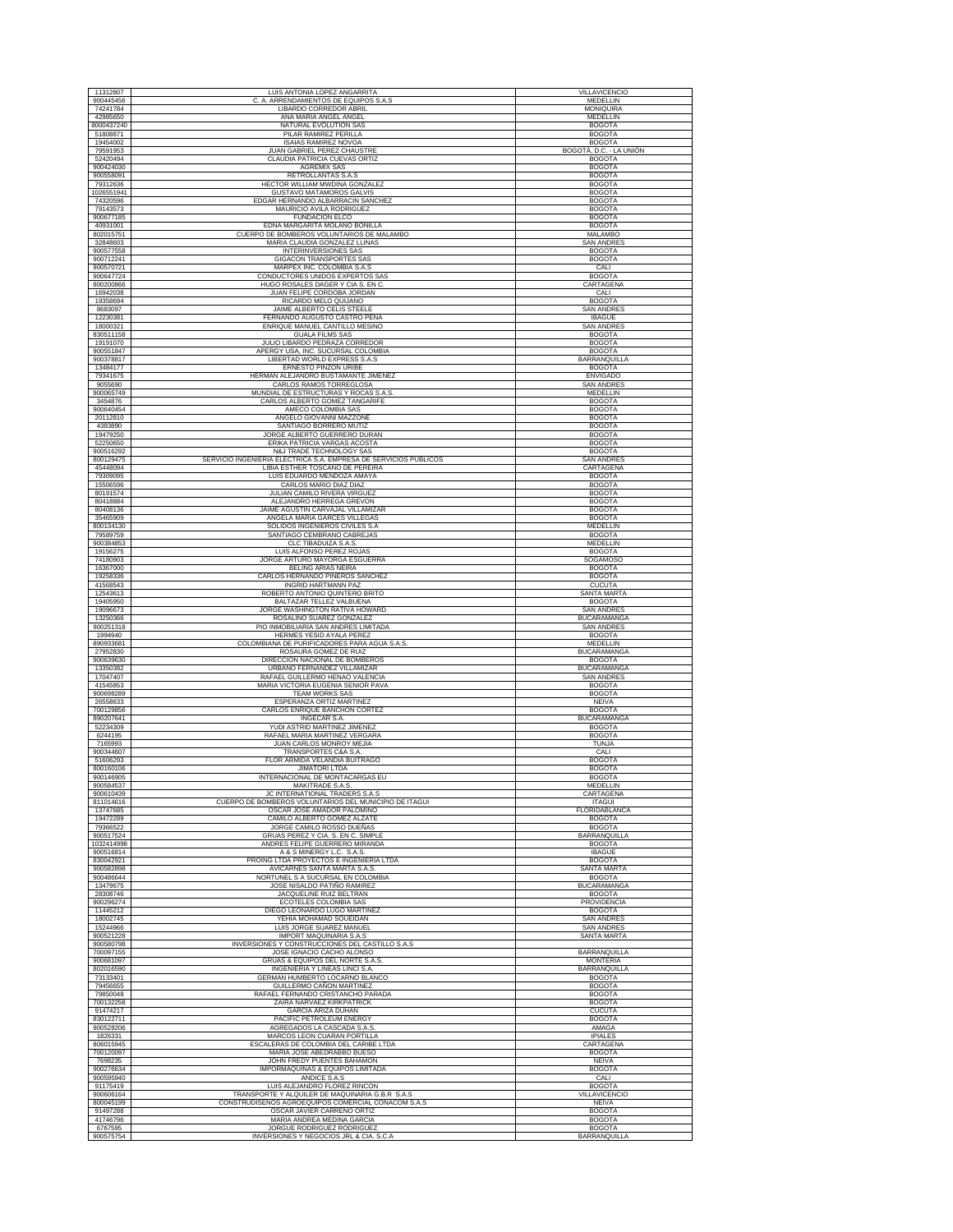| 11312807                | LUIS ANTONIA LOPEZ ANGARRITA                                                                          | VILLAVICENCIO                            |
|-------------------------|-------------------------------------------------------------------------------------------------------|------------------------------------------|
| 900445456<br>74241784   | A. ARRENDAMIENTOS DE EQUIPOS S.A.S<br>с<br>LIBARDO CORREDOR ABRIL                                     | MEDELLIN<br><b>MONIQUIRA</b>             |
| 42985650                | ANA MARIA ANGEL ANGEL                                                                                 | MEDELLIN                                 |
| 8000437240<br>51808871  | NATURAL EVOLUTION SAS<br>PILAR RAMIREZ PERILLA                                                        | <b>BOGOTA</b><br><b>BOGOTA</b>           |
| 19454002                | <b>ISAIAS RAMIREZ NOVOA</b>                                                                           | <b>BOGOTA</b>                            |
| 79591953<br>52420494    | JUAN GABRIEL PEREZ CHAUSTRE<br>CLAUDIA PATRICIA CUEVAS ORTIZ                                          | BOGOTÁ, D.C. - LA UNIÓN<br><b>BOGOTA</b> |
| 900424030               | <b>AGREMIX SAS</b>                                                                                    | <b>BOGOTA</b>                            |
| 900558091<br>79312636   | RETROLLANTAS S.A.S<br>HECTOR WILLIAM MWDINA GONZALEZ                                                  | <b>BOGOTA</b><br><b>BOGOTA</b>           |
| 1026551941<br>74320596  | <b>GUSTAVO MATAMOROS GALVIS</b>                                                                       | <b>BOGOTA</b>                            |
| 79143573                | EDGAR HERNANDO ALBARRACIN SANCHEZ<br>MAURICIO AVILA RODRIGUEZ                                         | <b>BOGOTA</b><br><b>BOGOTA</b>           |
| 900677185<br>40931001   | FUNDACION ELCO<br>EDNA MARGARITA MOLANO BONILLA                                                       | <b>BOGOTA</b><br><b>BOGOTA</b>           |
| 802015751               | CUERPO DE BOMBEROS VOLUNTARIOS DE MALAMBO                                                             | MALAMBO                                  |
| 32848603<br>900577558   | MARIA CLAUDIA GONZALEZ LLINAS<br><b>INTERINVERSIONES SAS</b>                                          | <b>SAN ANDRES</b><br><b>BOGOTA</b>       |
| 900712241               | GIGACON TRANSPORTES SAS                                                                               | <b>BOGOTA</b>                            |
| 900570721<br>900647724  | MARPEX INC. COLOMBIA S.A.S<br>CONDUCTORES UNIDOS EXPERTOS SAS                                         | CALI<br><b>BOGOTA</b>                    |
| 800200866               | HUGO ROSALES DAGER Y CIA S. EN C.                                                                     | CARTAGENA                                |
| 16942038<br>19358694    | JUAN FELIPE CORDOBA JORDAN<br>RICARDO MELO QUIJANO                                                    | CALI<br><b>BOGOTA</b>                    |
| 8683097                 | JAIME ALBERTO CELIS STEELE                                                                            | <b>SAN ANDRES</b>                        |
| 12230381<br>18000321    | FERNANDO AUGUSTO CASTRO PEÑA<br>ENRIQUE MANUEL CANTILLO MESINO                                        | <b>IBAGUE</b><br><b>SAN ANDRES</b>       |
| 830511158               | <b>GUALA FILMS SAS</b>                                                                                | <b>BOGOTA</b>                            |
| 19191070<br>900551847   | JULIO LIBARDO PEDRAZA CORREDOR<br>APERGY USA, INC. SUCURSAL COLOMBIA                                  | <b>BOGOTA</b><br><b>BOGOTA</b>           |
| 900378817               | LIBERTAD WORLD EXPRESS S.A.S                                                                          | <b>BARRANQUILLA</b>                      |
| 13484177<br>79341675    | ERNESTO PINZON URIBE<br>HERMAN ALEJANDRO BUSTAMANTE JIMENEZ                                           | <b>BOGOTA</b><br><b>ENVIGADO</b>         |
| 9055690                 | CARLOS RAMOS TORREGLOSA                                                                               | <b>SAN ANDRES</b>                        |
| 900065749<br>3454876    | MUNDIAL DE ESTRUCTURAS Y ROCAS S.A.S<br>CARLOS ALBERTO GOMEZ TANGARIFE                                | MEDELLIN<br><b>BOGOTA</b>                |
| 900640454               | AMECO COLOMBIA SAS                                                                                    | <b>BOGOTA</b>                            |
| 20112810<br>4383890     | ANGELO GIOVANNI MAZZONE<br>SANTIAGO BORRERO MUTIZ                                                     | <b>BOGOTA</b><br><b>BOGOTA</b>           |
| 19479250<br>52250650    | JORGE ALBERTO GUERRERO DURAN<br>ERIKA PATRICIA VARGAS ACOSTA                                          | <b>BOGOTA</b><br><b>BOGOTA</b>           |
| 900516292               | N&J TRADE TECHNOLOGY SAS                                                                              | <b>BOGOTA</b>                            |
| 800129475<br>45448094   | SERVICIO INGENIERIA ELECTRICA S.A. EMPRESA DE SERVICIOS PUBLICOS<br>LIBIA ESTHER TOSCANO DE PEREIRA   | <b>SAN ANDRES</b><br>CARTAGENA           |
| 79309095                | LUIS EDUARDO MENDOZA AMAYA                                                                            | <b>BOGOTA</b>                            |
| 15506596<br>80191574    | CARLOS MARIO DIAZ DIAZ<br>JULIAN CAMILO RIVERA VIRGUEZ                                                | <b>BOGOTA</b><br><b>BOGOTA</b>           |
| 80418884                | ALEJANDRO HERREGA GREVON                                                                              | <b>BOGOTA</b>                            |
| 80408136<br>35465909    | JAIME AGUSTIN CARVAJAL VILLAMIZAR<br>ANGELA MARIA GARCES VILLEGAS                                     | <b>BOGOTA</b><br><b>BOGOTA</b>           |
| 800134130               | SOLIDOS INGENIEROS CIVILES S.A                                                                        | MEDELLIN                                 |
| 79589759<br>900384853   | SANTIAGO CEMBRANO CABREJAS<br>CLC TIBADUIZA S.A.S.                                                    | <b>BOGOTA</b><br>MEDELLIN                |
| 19156275                | LUIS ALFONSO PEREZ ROJAS                                                                              | <b>BOGOTA</b>                            |
| 74180903<br>16367000    | JORGE ARTURO MAYORGA ESGUERRA<br>BELING ARIAS NEIRA                                                   | SOGAMOSO<br><b>BOGOTA</b>                |
| 19258336<br>41568543    | CARLOS HERNANDO PIÑEROS SANCHEZ<br><b>INGRID HARTMANN PAZ</b>                                         | <b>BOGOTA</b><br><b>CUCUTA</b>           |
| 12543613                | ROBERTO ANTONIO QUINTERO BRITO                                                                        | <b>SANTA MARTA</b>                       |
| 19405950<br>19096673    | BALTAZAR TELLEZ VALBUENA<br>JORGE WASHINGTON RATIVA HOWARD                                            | <b>BOGOTA</b><br><b>SAN ANDRES</b>       |
| 13250366                | ROSALINO SUAREZ GONZALEZ                                                                              | <b>BUCARAMANGA</b>                       |
| 900251318<br>1994940    | PIO INMOBILIARIA SAN ANDRES LIMITADA<br>HERMES YESID AYALA PEREZ                                      | <b>SAN ANDRES</b><br><b>BOGOTA</b>       |
| 890933681               | COLOMBIANA DE PURIFICADORES PARA AGUA S.A.S.                                                          | MEDELLIN                                 |
| 27952830<br>900639630   | ROSAURA GOMEZ DE RUIZ<br>DIRECCION NACIONAL DE BOMBEROS                                               | <b>BUCARAMANGA</b><br><b>BOGOTA</b>      |
| 13350382                | URBANO FERNANDEZ VILLAMIZAR                                                                           | <b>BUCARAMANGA</b>                       |
| 17047407<br>41545853    | RAFAEL GUILLERMO HENAO VALENCIA<br>MARIA VICTORIA EUGENIA SENIOR PAVA                                 | SAN ANDRES<br><b>BOGOTA</b>              |
| 900698289<br>26558633   | <b>TEAM WORKS SAS</b><br>ESPERANZA ORTIZ MARTINEZ                                                     | <b>BOGOTA</b><br><b>NEIVA</b>            |
| 700129856               | CARLOS ENRIQUE BANCHON CORTEZ                                                                         | <b>BOGOTA</b>                            |
| 890207641<br>52234309   | <b>INGECAR S.A</b><br>YUDI ASTRID MARTINEZ JIMENEZ                                                    | <b>BUCARAMANGA</b><br><b>BOGOTA</b>      |
| 6244195                 | RAFAEL MARIA MARTINEZ VERGARA                                                                         | <b>BOGOTA</b>                            |
| 7165993<br>900344607    | JUAN CARLOS MONROY MEJIA<br><b>TRANSPORTES C&amp;A S.A</b>                                            | <b>TUNJA</b><br>CALI                     |
| 51606293                | FLOR ARMIDA VELANDIA BUITRAGO                                                                         | <b>BOGOTA</b>                            |
| 800160106<br>900146905  | <b>JIMATORI LTDA</b><br>INTERNACIONAL DE MONTACARGAS EU                                               | <b>BOGOTA</b><br><b>BOGOTA</b>           |
| 900584537               | MAKITRADE S.A.S.                                                                                      | MEDELLIN                                 |
| 900610439<br>811014616  | JC INTERNATIONAL TRADERS S.A.S<br>CUERPO DE BOMBEROS VOLUNTARIOS DEL MUNICIPIO DE ITAGUI              | CARTAGENA<br><b>ITAGUI</b>               |
| 13747685<br>19472289    | OSCAR JOSE AMADOR PALOMINO<br>CAMILO ALBERTO GOMEZ ALZATE                                             | FLORIDABLANCA<br><b>BOGOTA</b>           |
| 79366522                | JORGE CAMILO ROSSO DUEÑAS                                                                             | <b>BOGOTA</b>                            |
| 900517524<br>1032414998 | GRUAS PEREZ Y CIA. S. EN C. SIMPLE<br>ANDRES FELIPE GUERRERO MIRANDA                                  | BARRANQUILLA<br><b>BOGOTA</b>            |
| 900516814               | A & S MINERGY L.C. S.A.S.                                                                             | <b>IBAGUE</b>                            |
| 830042921<br>900582898  | PROING LTDA PROYECTOS E INGENIERIA LTDA<br>AVICARNES SANTA MARTA S.A.S                                | <b>BOGOTA</b><br><b>SANTA MARTA</b>      |
| 900486644               | NORTUNEL S A SUCURSAL EN COLOMBIA                                                                     | <b>BOGOTA</b>                            |
| 13479675<br>28308746    | JOSE NISALDO PATIÑO RAMIREZ<br>JACQUELINE RUIZ BELTRAN                                                | <b>BUCARAMANGA</b><br><b>BOGOTA</b>      |
| 900296274<br>11445212   | <b>ECOTELES COLOMBIA SAS</b><br>DIEGO LEONARDO LUGO MARTINEZ                                          | PROVIDENCIA                              |
| 18002745                | YEHIA MOHAMAD SOUEIDAN                                                                                | <b>BOGOTA</b><br><b>SAN ANDRES</b>       |
| 15244966                | LUIS JORGE SUAREZ MANUEL                                                                              | <b>SAN ANDRES</b>                        |
| 900521228<br>900580798  | IMPORT MAQUINARIA S.A.S<br>INVERSIONES Y CONSTRUCCIONES DEL CASTILLO S.A.S                            | SANTA MARTA                              |
| 700097155<br>900681097  | JOSE IGNACIO CACHO ALONSO<br>GRUAS & EQUIPOS DEL NORTE S.A.S.                                         | BARRANQUILLA<br><b>MONTERIA</b>          |
| 802016590               | INGENIERIA Y LINEAS LINCI S.A.                                                                        | <b>BARRANQUILLA</b>                      |
| 73133401<br>79456655    | GERMAN HUMBERTO LOCARNO BLANCO<br>GUILLERMO CAÑON MARTINEZ                                            | <b>BOGOTA</b><br><b>BOGOTA</b>           |
| 79850048                | RAFAEL FERNANDO CRISTANCHO PARADA                                                                     | <b>BOGOTA</b>                            |
| 700132258<br>91474217   | ZAIRA NARVAEZ KIRKPATRICK<br><b>GARCIA ARIZA DUHAN</b>                                                | <b>BOGOTA</b><br><b>CUCUTA</b>           |
| 830122711               | PACIFIC PETROLEUM ENERGY                                                                              | <b>BOGOTA</b>                            |
| 900528206<br>1826331    | AGREGADOS LA CASCADA S.A.S<br>MARCOS LEON CUARAN PORTILLA                                             | AMAGA<br><b>IPIALES</b>                  |
| 806015945               | ESCALERAS DE COLOMBIA DEL CARIBE LTDA                                                                 | CARTAGENA                                |
| 700120097<br>7698235    | MARIA JOSE ABEDRABBO BUESO<br>JOHN FREDY PUENTES BAHAMON                                              | <b>BOGOTA</b><br><b>NEIVA</b>            |
| 900276634<br>900595940  | IMPORMAQUINAS & EQUIPOS LIMITADA                                                                      | <b>BOGOTA</b>                            |
| 91175419                | ANDICE S.A.S<br>LUIS ALEJANDRO FLOREZ RINCON                                                          | CALI<br><b>BOGOTA</b>                    |
| 900606164<br>800045199  | TRANSPORTE Y ALQUILER DE MAQUINARIA G.B.R S.A.S<br>CONSTRUDISEÑOS AGROEQUIPOS COMERCIAL CONACOM S.A.S | VILLAVICENCIO<br><b>NEIVA</b>            |
| 91497288                | OSCAR JAVIER CARREÑO ORTIZ                                                                            | <b>BOGOTA</b>                            |
| 41746796<br>6767595     | MARIA ANDREA MEDINA GARCIA<br>JORGUE RODRIGUEZ RODRIGUEZ                                              | <b>BOGOTA</b><br><b>BOGOTA</b>           |
| 900575754               | INVERSIONES Y NEGOCIOS JRL & CIA. S.C.A                                                               | BARRANQUILLA                             |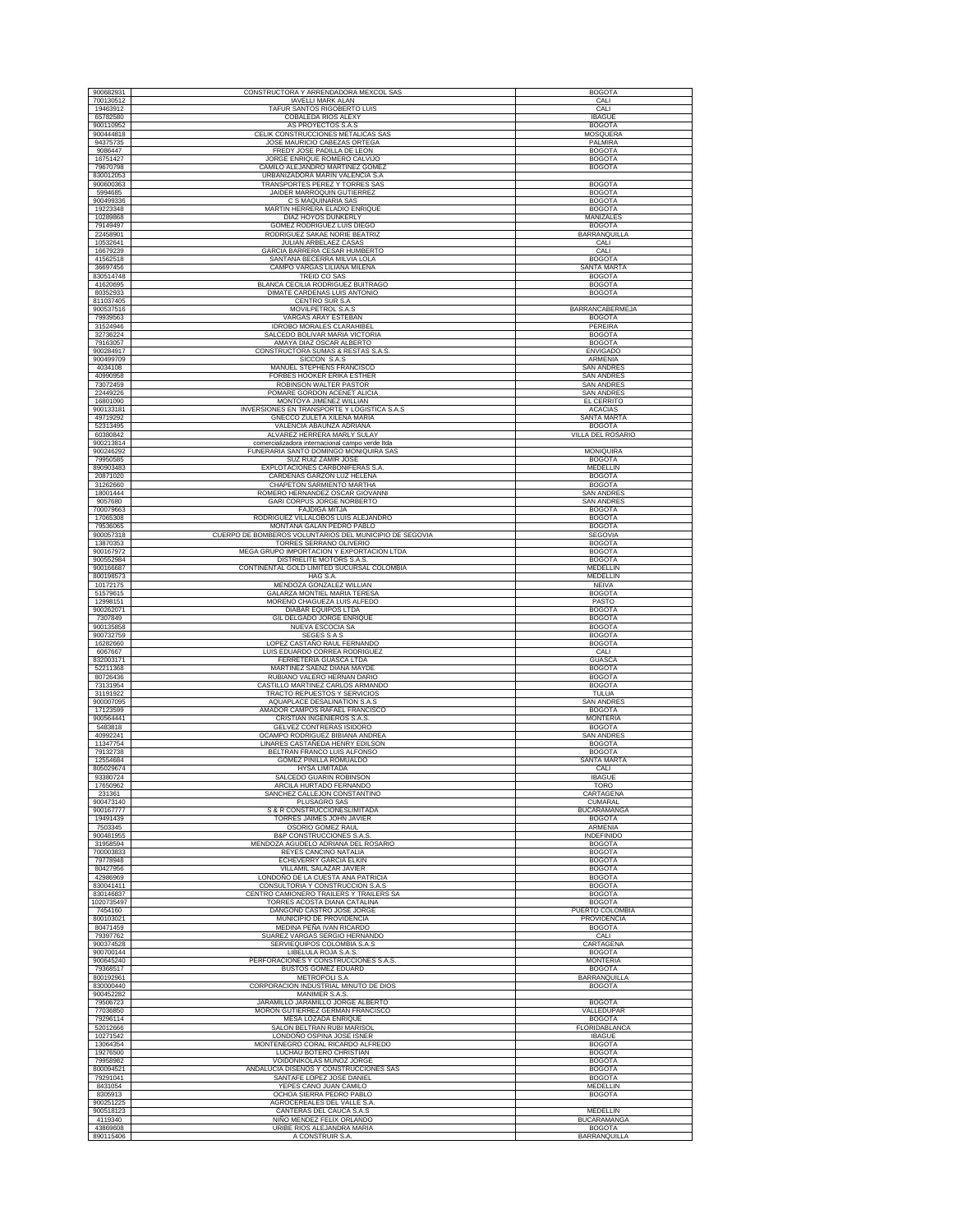| 900682931              | CONSTRUCTORA Y ARRENDADORA MEXCOL SAS                                     | <b>BOGOTA</b>                         |
|------------------------|---------------------------------------------------------------------------|---------------------------------------|
| 700130512              | <b>IAVELLI MARK ALAN</b>                                                  | CALI                                  |
| 19463912               | TAFUR SANTOS RIGOBERTO LUIS                                               | CALI                                  |
| 65782580               | <b>COBALEDA RIOS ALEXY</b>                                                | <b>IBAGUE</b>                         |
| 900110952              | AS PROYECTOS S.A.S                                                        | <b>BOGOTA</b>                         |
| 900444818              | CELIK CONSTRUCCIONES METALICAS SAS                                        | <b>MOSQUERA</b>                       |
| 94375735<br>9086447    | JOSE MAURICIO CABEZAS ORTEGA<br>FREDY JOSE PADILLA DE LEON                | PALMIRA<br><b>BOGOTA</b>              |
| 16751427               | JORGE ENRIQUE ROMERO CALVIJO                                              | <b>BOGOTA</b>                         |
| 79670798               | CAMILO ALEJANDRO MARTINEZ GOMEZ                                           | <b>BOGOTA</b>                         |
| 830012053              | URBANIZADORA MARIN VALENCIA S.A                                           |                                       |
| 900600363              | TRANSPORTES PEREZ Y TORRES SAS                                            | <b>BOGOTA</b>                         |
| 5994685                | JAIDER MARROQUIN GUTIERREZ                                                | <b>BOGOTA</b>                         |
| 900499336              | C S MAQUINARIA SAS                                                        | <b>BOGOTA</b>                         |
| 19223348               | MARTIN HERRERA ELADIO ENRIQUE                                             | <b>BOGOTA</b>                         |
| 10289868               | DIAZ HOYOS DUNKERLY<br>GOMEZ RODRIGUEZ LUIS DIEGO                         | MANIZALES                             |
| 79149497<br>22458901   | RODRIGUEZ SAKAE NORIE BEATRIZ                                             | <b>BOGOTA</b><br>BARRANQUILLA         |
| 10532641               | JULIAN ARBELAEZ CASAS                                                     | CALI                                  |
| 16679239               | <b>GARCIA BARRERA CESAR HUMBERTO</b>                                      | CALI                                  |
| 41562518               | SANTANA BECERRA MILVIA LOLA                                               | <b>BOGOTA</b>                         |
| 36697456               | CAMPO VARGAS LILIANA MILENA                                               | SANTA MARTA                           |
| 830514748<br>41620695  | <b>TREID CO SAS</b><br>BLANCA CECILIA RODRIGUEZ BUITRAGO                  | <b>BOGOTA</b><br><b>BOGOTA</b>        |
| 80352933               | DIMATE CARDENAS LUIS ANTONIO                                              | <b>BOGOTA</b>                         |
| 811037405              | <b>CENTRO SUR S.A</b>                                                     |                                       |
| 900537516              | MOVILPETROL S.A.S                                                         | <b>BARRANCABERMEJA</b>                |
| 79939563               | VARGAS ARAY ESTEBAN                                                       | <b>BOGOTA</b>                         |
| 31524946               | IDROBO MORALES CLARAHIBEL                                                 | PEREIRA                               |
| 32736224               | SALCEDO BOLIVAR MARIA VICTORIA                                            | <b>BOGOTA</b>                         |
| 79163057<br>900284917  | AMAYA DIAZ OSCAR ALBERTO<br>CONSTRUCTORA SUMAS & RESTAS S.A.S.            | <b>BOGOTA</b><br><b>ENVIGADO</b>      |
| 900499709              | SICCON S.A.S                                                              | ARMENIA                               |
| 4034108                | MANUEL STEPHENS FRANCISCO                                                 | <b>SAN ANDRES</b>                     |
| 40990958               | FORBES HOOKER ERIKA ESTHER                                                | <b>SAN ANDRES</b>                     |
| 73072459               | ROBINSON WALTER PASTOR                                                    | SAN ANDRES                            |
| 22449226               | POMARE GORDON ACENET ALICIA                                               | <b>SAN ANDRES</b>                     |
| 16801090<br>900133181  | MONTOYA JIMENEZ WILLIAN                                                   | EL CERRITO<br><b>ACACIAS</b>          |
| 49719292               | INVERSIONES EN TRANSPORTE Y LOGISTICA S.A.S<br>GNECCO ZULETA XILENA MARIA | SANTA MARTA                           |
| 52313495               | VALENCIA ABAUNZA ADRIANA                                                  | <b>BOGOTA</b>                         |
| 60380842               | ALVAREZ HERRERA MARLY SULAY                                               | VILLA DEL ROSARIO                     |
| 900213814              | comercializadora internacional campo verde Itda                           |                                       |
| 900246292              | FUNERARIA SANTO DOMINGO MONIQUIRA SAS                                     | MONIQUIRA                             |
| 79950585               | SUZ RUIZ ZAMIR JOSE                                                       | <b>BOGOTA</b>                         |
| 890903483              | EXPLOTACIONES CARBONIFERAS S.A                                            | <b>MEDELLIN</b>                       |
| 20871020<br>31262660   | CARDENAS GARZON LUZ HELENA<br>CHAPETON SARMIENTO MARTHA                   | <b>BOGOTA</b><br><b>BOGOTA</b>        |
| 18001444               | ROMERO HERNANDEZ OSCAR GIOVANNI                                           | <b>SAN ANDRES</b>                     |
| 9057680                | GARI CORPUS JORGE NORBERTO                                                | <b>SAN ANDRES</b>                     |
| 700079663              | FAJDIGA MITJA                                                             | <b>BOGOTA</b>                         |
| 17065308               | RODRIGUEZ VILLALOBOS LUIS ALEJANDRO                                       | <b>BOGOTA</b>                         |
| 79536065               | MONTAÑA GALAN PEDRO PABLO                                                 | <b>BOGOTA</b>                         |
| 900057318              | CUERPO DE BOMBEROS VOLUNTARIOS DEL MUNICIPIO DE SEGOVIA                   | SEGOVIA                               |
| 13870353               | TORRES SERRANO OLIVERIO                                                   | <b>BOGOTA</b>                         |
| 900167972              | MEGA GRUPO IMPORTACION Y EXPORTACION LTDA                                 | <b>BOGOTA</b>                         |
| 900552984<br>900166687 | DISTRIELITE MOTORS S.A.S.<br>CONTINENTAL GOLD LIMITED SUCURSAL COLOMBIA   | <b>BOGOTA</b><br><b>MEDELLIN</b>      |
| 800198573              | HAG S.A.                                                                  | MEDELLIN                              |
| 10172175               | MENDOZA GONZALEZ WILLIAN                                                  | <b>NEIVA</b>                          |
| 51579615               | GALARZA MONTIEL MARIA TERESA                                              | <b>BOGOTA</b>                         |
| 12998151               | MORENO CHAGUEZA LUIS ALFEDO                                               | PASTO                                 |
| 900262071              | DIABAR EQUIPOS LTDA                                                       | <b>BOGOTA</b>                         |
| 7307849                | GIL DELGADO JORGE ENRIQUE                                                 | <b>BOGOTA</b>                         |
| 900135858              | NUEVA ESCOCIA SA                                                          | <b>BOGOTA</b>                         |
| 900732759<br>16282660  | SEGES S A S<br>LOPEZ CASTAÑO RAUL FERNANDO                                | <b>BOGOTA</b><br><b>BOGOTA</b>        |
| 6067667                | LUIS EDUARDO CORREA RODRIGUEZ                                             | CALI                                  |
| 832003171              | FERRETERIA GUASCA LTDA                                                    | <b>GUASCA</b>                         |
| 52211368               | MARTINEZ SAENZ DIANA MAYDE                                                | <b>BOGOTA</b>                         |
| 80726436               | RUBIANO VALERO HERNAN DARIO                                               | <b>BOGOTA</b>                         |
| 73131954<br>31191922   | CASTILLO MARTINEZ CARLOS ARMANDO<br>TRACTO REPUESTOS Y SERVICIOS          | <b>BOGOTA</b><br>TULUA                |
| 900007095              | AQUAPLACE DESALINATION S.A.S                                              | SAN ANDRES                            |
| 17123599               | AMADOR CAMPOS RAFAEL FRANCISCO                                            | <b>BOGOTA</b>                         |
| 900564441              | CRISTIAN INGENIEROS S.A.S.                                                | <b>MONTERIA</b>                       |
| 5483818                | GELVEZ CONTRERAS ISIDORO                                                  | <b>BOGOTA</b>                         |
| 40992241               | OCAMPO RODRIGUEZ BIBIANA ANDREA                                           | <b>SAN ANDRES</b>                     |
| 11347754               | LINARES CASTAÑEDA HENRY EDILSON<br>BELTRAN FRANCO LUIS ALFONSO            | <b>BOGOTA</b><br><b>BOGOTA</b>        |
| 79132738<br>12554684   | GOMEZ PINILLA ROMUALDO                                                    | SANTA MARTA                           |
| 805029674              | <b>HYSA LIMITADA</b>                                                      | CALI                                  |
| 93380724               | SALCEDO GUARIN ROBINSON                                                   | <b>IBAGUE</b>                         |
| 17650962               | ARCILA HURTADO FERNANDO                                                   | <b>TORO</b>                           |
| 231361                 | SANCHEZ CALLEJON CONSTANTINO                                              | CARTAGENA                             |
| 900473140              | PLUSAGRO SAS<br>S & R CONSTRUCCIONESLIMITADA                              | <b>CUMARAL</b>                        |
| 900167777<br>19491439  | TORRES JAIMES JOHN JAVIER                                                 | <b>BUCARAMANGA</b><br><b>BOGOTA</b>   |
| 7503345                | OSORIO GOMEZ RAUL                                                         | <b>ARMENIA</b>                        |
| 900481955              | B&P CONSTRUCCIONES S.A.S                                                  | <b>INDEFINIDO</b>                     |
| 31958594               | MENDOZA AGUDELO ADRIANA DEL ROSARIO                                       | <b>BOGOTA</b>                         |
| 700003833              | <b>REYES CANCINO NATALIA</b>                                              | <b>BOGOTA</b>                         |
| 79778948<br>80427956   | ECHEVERRY GARCIA ELKIN<br>VILLAMIL SALAZAR JAVIER                         | <b>BOGOTA</b><br><b>BOGOTA</b>        |
| 42986969               | LONDOÑO DE LA CUESTA ANA PATRICIA                                         | <b>BOGOTA</b>                         |
| 830041411              | CONSULTORIA Y CONSTRUCCION S.A.S                                          | <b>BOGOTA</b>                         |
| 830146837              | CENTRO CAMIONERO TRAILERS Y TRAILERS SA                                   | <b>BOGOTA</b>                         |
| 1020735497             | TORRES ACOSTA DIANA CATALINA                                              | <b>BOGOTA</b>                         |
| 7454160                | DANGOND CASTRO JOSE JORGE                                                 | PUERTO COLOMBIA                       |
| 800103021<br>80471459  | MUNICIPIO DE PROVIDENCIA<br>MEDINA PEÑA IVAN RICARDO                      | PROVIDENCIA<br><b>BOGOTA</b>          |
| 79397762               | SUAREZ VARGAS SERGIO HERNANDO                                             | CALI                                  |
| 900374528              | SERVIEQUIPOS COLOMBIA S.A.S                                               | CARTAGENA                             |
| 900700144              | LIBELULA ROJA S.A.S.                                                      | <b>BOGOTA</b>                         |
| 900645240              | PERFORACIONES Y CONSTRUCCIONES S.A.S.                                     | <b>MONTFRIA</b>                       |
| 79368517               | <b>BUSTOS GOMEZ EDUARD</b>                                                | <b>BOGOTA</b>                         |
| 800192961<br>830000440 | <b>METROPOLI S.A</b><br>CORPORACION INDUSTRIAL MINUTO DE DIOS             | <b>BARRANQUILLA</b>                   |
| 900452282              | MANIMER S.A.S.                                                            | <b>BOGOTA</b>                         |
| 79506723               | JARAMILLO JARAMILLO JORGE ALBERTO                                         | <b>BOGOTA</b>                         |
| 77036850               | MORON GUTIERREZ GERMAN FRANCISCO                                          | VALLEDUPAR                            |
| 79296114               | <b>MESA LOZADA ENRIQUE</b>                                                | <b>BOGOTA</b>                         |
| 52012666               | SALON BELTRAN RUBI MARISOL                                                | FLORIDABLANCA                         |
| 10271542               | LONDOÑO OSPINA JOSE ISNER                                                 | <b>IBAGUE</b>                         |
| 13064354               | MONTENEGRO CORAL RICARDO ALFREDO                                          | <b>BOGOTA</b>                         |
| 19276500<br>79958982   | LUCHAU BOTERO CHRISTIAN<br>VOIDONIKOLAS MUÑOZ JORGE                       | <b>BOGOTA</b><br><b>BOGOTA</b>        |
| 800094521              | ANDALUCIA DISEÑOS Y CONSTRUCCIONES SAS                                    | <b>BOGOTA</b>                         |
| 79291041               | SANTAFE LOPEZ JOSE DANIEL                                                 | <b>BOGOTA</b>                         |
| 8431054                | YEPES CANO JUAN CAMILO                                                    | <b>MEDELLIN</b>                       |
| 8305913                | OCHOA SIERRA PEDRO PABLO                                                  | <b>BOGOTA</b>                         |
| 900251225              | AGROCEREALES DEL VALLE S.A.                                               |                                       |
| 900518123              | CANTERAS DEL CAUCA S.A.S                                                  | <b>MEDELLIN</b><br><b>BUCARAMANGA</b> |
|                        |                                                                           |                                       |
| 4119340<br>43869608    | NIÑO MENDEZ FELIX ORLANDO<br>URIBE RIOS ALEJANDRA MARIA                   | <b>BOGOTA</b>                         |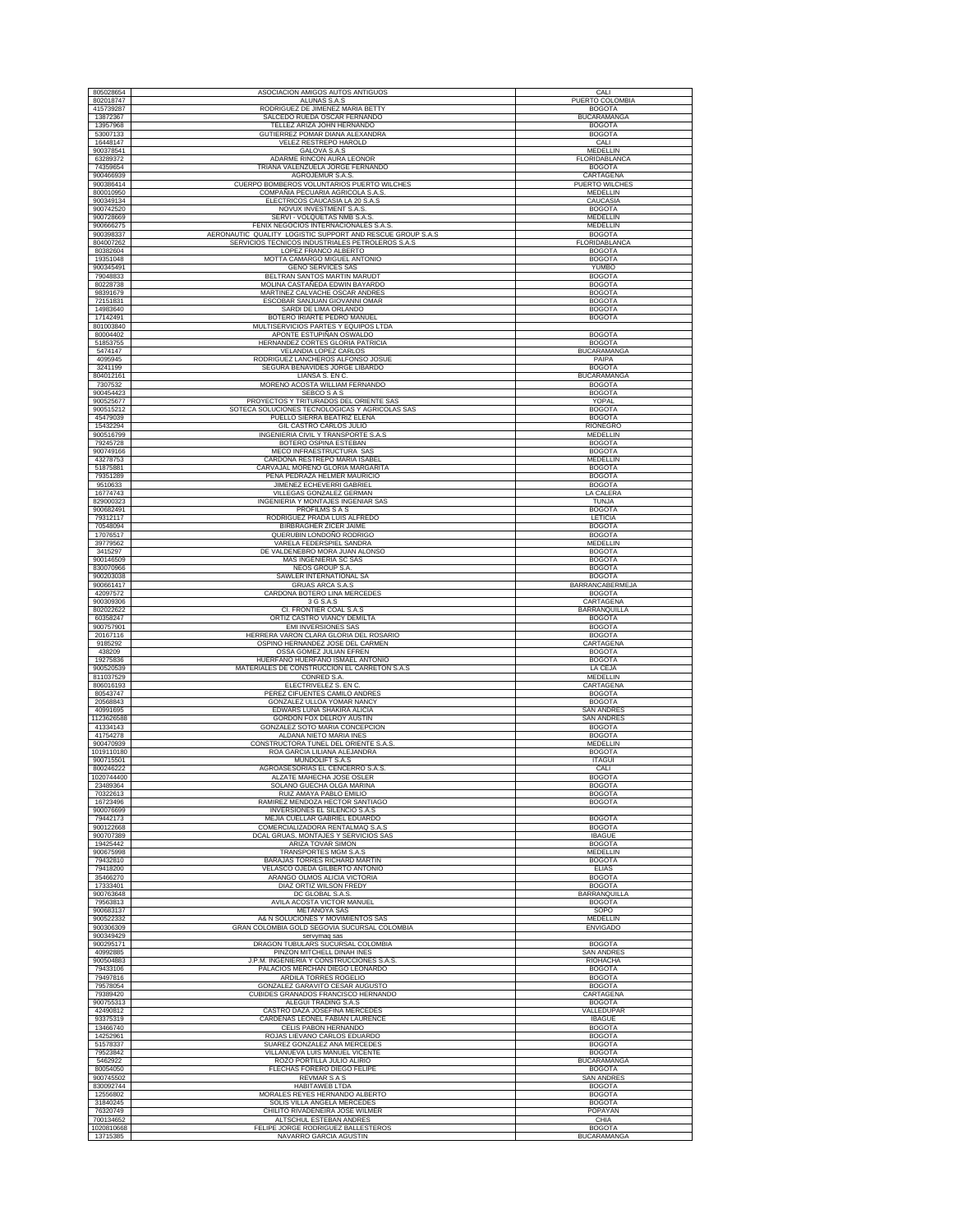| 805028654                           | ASOCIACION AMIGOS AUTOS ANTIGUOS                                                                               | CALI                                |
|-------------------------------------|----------------------------------------------------------------------------------------------------------------|-------------------------------------|
| 802018747                           | ALUNAS S.A.S                                                                                                   | PUERTO COLOMBIA                     |
| 415739287<br>13872367               | RODRIGUEZ DE JIMENEZ MARIA BETTY<br>SALCEDO RUEDA OSCAR FERNANDO                                               | <b>BOGOTA</b><br><b>BUCARAMANGA</b> |
| 13957968                            | TELLEZ ARIZA JOHN HERNANDO                                                                                     | <b>BOGOTA</b>                       |
| 53007133<br>16448147                | GUTIERREZ POMAR DIANA ALEXANDRA<br>VELEZ RESTREPO HAROLD                                                       | <b>BOGOTA</b><br>CALI               |
| 900378541                           | GALOVA S.A.S                                                                                                   | MEDELLIN                            |
| 63289372<br>74359654                | ADARME RINCON AURA LEONOR<br>TRIANA VALENZUELA JORGE FERNANDO                                                  | FLORIDABLANCA<br><b>BOGOTA</b>      |
| 900466939                           | AGROJEMUR S.A.S.                                                                                               | CARTAGENA                           |
| 900386414<br>800010950              | CUERPO BOMBEROS VOLUNTARIOS PUERTO WILCHES<br>COMPAÑIA PECUARIA AGRICOLA S.A.S                                 | PUERTO WILCHES<br>MEDELLIN          |
| 900349134                           | ELECTRICOS CAUCASIA LA 20 S.A.S                                                                                | CAUCASIA                            |
| 900742520<br>900728669              | NOVUX INVESTMENT S.A.S.<br>SERVI - VOLQUETAS NMB S.A.S.                                                        | <b>BOGOTA</b><br>MEDELLIN           |
| 900666275                           | FENIX NEGOCIOS INTERNACIONALES S.A.S                                                                           | <b>MEDELLIN</b>                     |
| 900398337<br>804007262              | AERONAUTIC QUALITY LOGISTIC SUPPORT AND RESCUE GROUP S.A.S<br>SERVICIOS TECNICOS INDUSTRIALES PETROLEROS S.A.S | <b>BOGOTA</b><br>FLORIDABLANCA      |
| 80382604                            | LOPEZ FRANCO ALBERTO                                                                                           | <b>BOGOTA</b>                       |
| 19351048<br>900345491               | MOTTA CAMARGO MIGUEL ANTONIO<br><b>GENO SERVICES SAS</b>                                                       | <b>BOGOTA</b><br><b>YUMBO</b>       |
| 79048833<br>80228738                | BELTRAN SANTOS MARTIN MARUDT<br>MOLINA CASTAÑEDA EDWIN BAYARDO                                                 | <b>BOGOTA</b><br><b>BOGOTA</b>      |
| 98391679                            | MARTINEZ CALVACHE OSCAR ANDRES                                                                                 | <b>BOGOTA</b>                       |
| 72151831                            | ESCOBAR SANJUAN GIOVANNI OMAR<br>SARDI DE LIMA ORLANDO                                                         | <b>BOGOTA</b><br><b>BOGOTA</b>      |
| 14983640<br>17142491                | BOTERO IRIARTE PEDRO MANUEL                                                                                    | <b>BOGOTA</b>                       |
| 801003840<br>80004402               | MULTISERVICIOS PARTES Y EQUIPOS LTDA<br>APONTE ESTUPIÑAN OSWALDO                                               | <b>BOGOTA</b>                       |
| 51853755                            | HERNANDEZ CORTES GLORIA PATRICIA                                                                               | <b>BOGOTA</b>                       |
| 5474147<br>4095945                  | VELANDIA LOPEZ CARLOS<br>RODRIGUEZ LANCHEROS ALFONSO JOSUE                                                     | <b>BUCARAMANGA</b><br>PAIPA         |
| 3241199                             | SEGURA BENAVIDES JORGE LIBARDO                                                                                 | <b>BOGOTA</b>                       |
| 804012161<br>7307532                | LIANSA S. EN C.<br>MORENO ACOSTA WILLIAM FERNANDO                                                              | BUCARAMANGA<br><b>BOGOTA</b>        |
| 900454423                           | SEBCO S A S                                                                                                    | <b>BOGOTA</b>                       |
| 900525677<br>900515212              | PROYECTOS Y TRITURADOS DEL ORIENTE SAS<br>SOTECA SOLUCIONES TECNOLOGICAS Y AGRICOLAS SAS                       | YOPAL<br><b>BOGOTA</b>              |
| 45479039                            | PUELLO SIERRA BEATRIZ ELENA                                                                                    | <b>BOGOTA</b>                       |
| 15432294<br>900516799               | GIL CASTRO CARLOS JULIO<br>INGENIERIA CIVIL Y TRANSPORTE S.A.S                                                 | <b>RIONEGRO</b><br>MEDELLIN         |
| 79245728                            | BOTERO OSPINA ESTEBAN                                                                                          | <b>BOGOTA</b>                       |
| 900749166<br>43278753               | MECO INFRAESTRUCTURA SAS<br>CARDONA RESTREPO MARIA ISABEL                                                      | <b>BOGOTA</b><br><b>MEDELLIN</b>    |
| 51875881                            | CARVAJAL MORENO GLORIA MARGARITA                                                                               | <b>BOGOTA</b>                       |
| 79351289<br>9510633                 | PEÑA PEDRAZA HELMER MAURICIO<br>JIMENEZ ECHEVERRI GABRIEL                                                      | <b>BOGOTA</b><br><b>BOGOTA</b>      |
| 16774743                            | VILLEGAS GONZALEZ GERMAN<br>INGENIERIA Y MONTAJES INGENIAR SAS                                                 | LA CALERA                           |
| 829000323<br>900682491              | <b>PROFILMS S A S</b>                                                                                          | TUNJA<br><b>BOGOTA</b>              |
| 79312117<br>70548094                | RODRIGUEZ PRADA LUIS ALFREDO<br>BIRBRAGHER ZICER JAIME                                                         | LETICIA<br><b>BOGOTA</b>            |
| 17076517                            | QUERUBIN LONDOÑO RODRIGO                                                                                       | <b>BOGOTA</b>                       |
| 39779562<br>3415297                 | VARELA FEDERSPIEL SANDRA<br>DE VALDENEBRO MORA JUAN ALONSO                                                     | MEDELLIN<br><b>BOGOTA</b>           |
| 900146509                           | <b>MAS INGENIERIA SC SAS</b>                                                                                   | <b>BOGOTA</b>                       |
| 830070966<br>900203038              | NEOS GROUP S.A.<br>SAWLER INTERNATIONAL SA                                                                     | <b>BOGOTA</b><br><b>BOGOTA</b>      |
| 900661417                           | <b>GRUAS ARCA S.A.S</b>                                                                                        | <b>BARRANCABERMEJA</b>              |
| 42097572<br>900309306               | CARDONA BOTERO LINA MERCEDES<br>3 G S.A.S                                                                      | <b>BOGOTA</b><br>CARTAGENA          |
| 802022622                           | CI. FRONTIER COAL S.A.S                                                                                        |                                     |
|                                     |                                                                                                                | <b>BARRANQUILLA</b>                 |
| 60358247<br>900757901               | ORTIZ CASTRO VIANCY DEMILTA<br>EMI INVERSIONES SAS                                                             | <b>BOGOTA</b><br><b>BOGOTA</b>      |
| 20167116                            | HERRERA VARON CLARA GLORIA DEL ROSARIO                                                                         | <b>BOGOTA</b>                       |
| 9185292<br>438209                   | OSPINO HERNANDEZ JOSE DEL CARMEN<br>OSSA GOMEZ JULIAN EFREN                                                    | CARTAGENA<br><b>BOGOTA</b>          |
| 19275836                            | HUERFANO HUERFANO ISMAEL ANTONIO                                                                               | <b>BOGOTA</b>                       |
| 900520539<br>811037529              | MATERIALES DE CONSTRUCCION EL CARRETON S.A.S<br>CONRED S.A.                                                    | LA CEJA<br>MEDELLIN                 |
| 806016193                           | ELECTRIVELEZ S. EN C.                                                                                          | CARTAGENA                           |
| 80543747<br>20568843                | PEREZ CIFUENTES CAMILO ANDRES<br>GONZALEZ ULLOA YOMAR NANCY                                                    | <b>BOGOTA</b><br><b>BOGOTA</b>      |
| 40991695<br>1123626588              | EDWARS LUNA SHAKIRA ALICIA                                                                                     | <b>SAN ANDRES</b>                   |
| 41334143                            | GORDON FOX DELROY AUSTIN<br>GONZALEZ SOTO MARIA CONCEPCION                                                     | <b>SAN ANDRES</b><br><b>BOGOTA</b>  |
| 41754278<br>900470939               | ALDANA NIETO MARIA INES<br>CONSTRUCTORA TUNEL DEL ORIENTE S.A.S.                                               | <b>BOGOTA</b><br><b>MEDELLIN</b>    |
| 1019110180                          | ROA GARCIA LILIANA ALEJANDRA                                                                                   | <b>BOGOTA</b>                       |
| 900715501<br>800246222              | MUNDOLIFT S.A.S<br>AGROASESORIAS EL CENCERRO S.A.S.                                                            | <b>ITAGUI</b><br>CALI               |
| 1020744400                          | ALZATE MAHECHA JOSE OSLER                                                                                      | <b>BOGOTA</b>                       |
| 23489364<br>70322613                | SOLANO GUECHA OLGA MARINA<br>RUIZ AMAYA PABLO EMILIO                                                           | <b>BOGOTA</b><br><b>BOGOTA</b>      |
| 16723496<br>900076699               | RAMIREZ MENDOZA HECTOR SANTIAGO<br>INVERSIONES EL SILENCIO S.A.S                                               | <b>BOGOTA</b>                       |
| 79442173                            | MEJIA CUELLAR GABRIEL EDUARDO                                                                                  | <b>BOGOTA</b>                       |
| 900122668<br>900707389              | COMERCIALIZADORA RENTALMAQ S.A.S<br>DCAL GRUAS, MONTAJES Y SERVICIOS SAS                                       | <b>BOGOTA</b><br><b>IBAGUE</b>      |
| 19425442                            | ARIZA TOVAR SIMON                                                                                              | <b>BOGOTA</b>                       |
| 900675998<br>79432810               | TRANSPORTES MGM S.A.S<br><b>BARAJAS TORRES RICHARD MARTIN</b>                                                  | MEDELLIN<br><b>BOGOTA</b>           |
| 79418200                            | VELASCO OJEDA GILBERTO ANTONIO                                                                                 | <b>ELIAS</b>                        |
| 35466270<br>17333401                | ARANGO OLMOS ALICIA VICTORIA<br>DIAZ ORTIZ WILSON FREDY                                                        | <b>BOGOTA</b><br><b>BOGOTA</b>      |
| 900763648<br>79563813               | DC GLOBAL S.A.S.<br>AVILA ACOSTA VICTOR MANUEL                                                                 | <b>BARRANQUILLA</b>                 |
| 900683137                           | METANOYA SAS                                                                                                   | <b>BOGOTA</b><br>SOPO               |
| 900522332                           | A& N SOLUCIONES Y MOVIMIENTOS SAS                                                                              | MEDELLIN                            |
| 900306309<br>900349429              | GRAN COLOMBIA GOLD SEGOVIA SUCURSAL COLOMBIA<br>servymaq sas                                                   | <b>ENVIGADO</b>                     |
| 900295171<br>40992885               | DRAGON TUBULARS SUCURSAL COLOMBIA<br>PINZON MITCHELL DINAH INES                                                | <b>BOGOTA</b><br><b>SAN ANDRES</b>  |
| 900504883                           | J.P.M. INGENIERIA Y CONSTRUCCIONES S.A.S.                                                                      | <b>RIOHACHA</b>                     |
| 79433106<br>79497816                | PALACIOS MERCHAN DIEGO LEONARDO<br>ARDILA TORRES ROGELIO                                                       | <b>BOGOTA</b><br><b>BOGOTA</b>      |
| 79578054                            | GONZALEZ GARAVITO CESAR AUGUSTO                                                                                | <b>BOGOTA</b>                       |
| 79389420<br>900755313               | CUBIDES GRANADOS FRANCISCO HERNANDO<br>ALEGUI TRADING S.A.S                                                    | CARTAGENA<br><b>BOGOTA</b>          |
| 42490812<br>93375319                | CASTRO DAZA JOSEFINA MERCEDES<br>CARDENAS LEONEL FABIAN LAURENCE                                               | VALLEDUPAR<br><b>IBAGUE</b>         |
| 13466740                            | CELIS PABON HERNANDO                                                                                           | <b>BOGOTA</b>                       |
| 14252961<br>51578337                | ROJAS LIEVANO CARLOS EDUARDO<br>SUAREZ GONZALEZ ANA MERCEDES                                                   | <b>BOGOTA</b><br><b>BOGOTA</b>      |
| 79523842                            | VILLANUEVA LUIS MANUEL VICENTE                                                                                 | <b>BOGOTA</b>                       |
| 5462922<br>80054050                 | ROZO PORTILLA JULIO ALIRIO<br>FLECHAS FORERO DIEGO FELIPE                                                      | <b>BUCARAMANGA</b><br><b>BOGOTA</b> |
| 900745502                           | <b>REVMAR S A S</b>                                                                                            | <b>SAN ANDRES</b>                   |
| 830092744<br>12556802               | <b>HABITAWEB LTDA</b><br>MORALES REYES HERNANDO ALBERTO                                                        | <b>BOGOTA</b><br><b>BOGOTA</b>      |
| 31840245                            | SOLIS VILLA ANGELA MERCEDES                                                                                    | <b>BOGOTA</b>                       |
| 76320749<br>700134652<br>1020810668 | CHILITO RIVADENEIRA JOSE WILMER<br>ALTSCHUL ESTEBAN ANDRES<br>FELIPE JORGE RODRIGUEZ BALLESTEROS               | POPAYAN<br>CHIA<br><b>BOGOTA</b>    |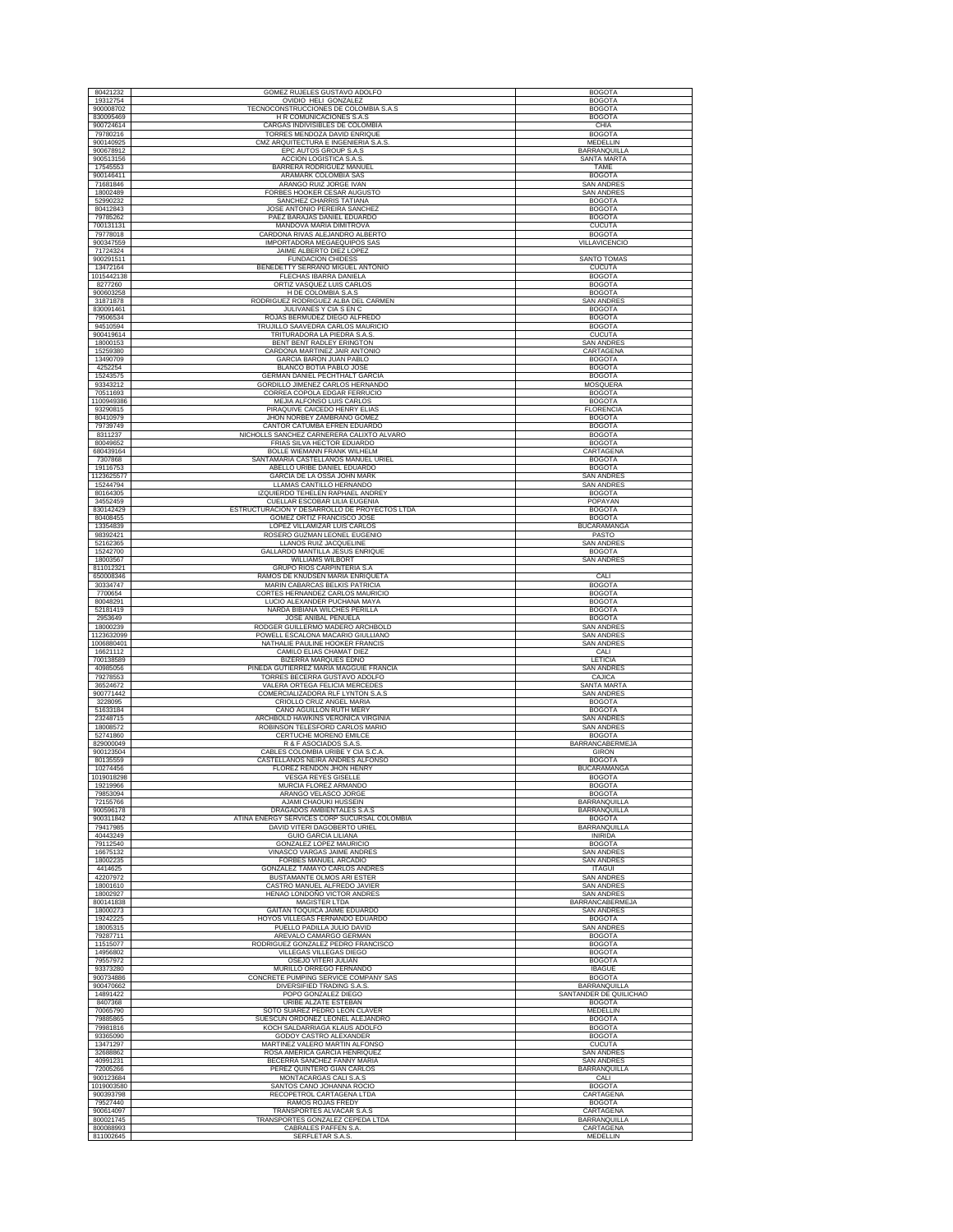| 80421232                | GOMEZ RUJELES GUSTAVO ADOLFO                                               | <b>BOGOTA</b>                      |
|-------------------------|----------------------------------------------------------------------------|------------------------------------|
| 19312754                | OVIDIO HELI GONZALEZ                                                       | <b>BOGOTA</b>                      |
| 900008702               | TECNOCONSTRUCCIONES DE COLOMBIA S.A.S                                      | <b>BOGOTA</b>                      |
| 830095469               | H R COMUNICACIONES S.A.S                                                   | <b>BOGOTA</b>                      |
| 900724614               | CARGAS INDIVISIBLES DE COLOMBIA                                            | CHIA                               |
| 79780216                | TORRES MENDOZA DAVID ENRIQUE                                               | <b>BOGOTA</b>                      |
| 900140925               | CMZ ARQUITECTURA E INGENIERIA S.A.S.                                       | MEDELLIN                           |
| 900678912<br>900513156  | EPC AUTOS GROUP S.A.S<br>ACCION LOGISTICA S.A.S                            | <b>BARRANQUILLA</b><br>SANTA MARTA |
| 17545553                | BARRERA RODRIGUEZ MANUEL                                                   | TAME                               |
| 900146411               | ARAMARK COLOMBIA SAS                                                       | <b>BOGOTA</b>                      |
| 71681846                | ARANGO RUIZ JORGE IVAN                                                     | <b>SAN ANDRES</b>                  |
| 18002489                | FORBES HOOKER CESAR AUGUSTO                                                | <b>SAN ANDRES</b>                  |
| 52990232                | SANCHEZ CHARRIS TATIANA                                                    | <b>BOGOTA</b>                      |
| 80412843                | JOSE ANTONIO PEREIRA SANCHEZ                                               | <b>BOGOTA</b>                      |
| 79785262                | PAEZ BARAJAS DANIEL EDUARDO                                                | <b>BOGOTA</b>                      |
| 700131131<br>79778018   | MANDOVA MARIA DIMITROVA<br>CARDONA RIVAS ALEJANDRO ALBERTO                 | <b>CUCUTA</b><br><b>BOGOTA</b>     |
| 900347559               | IMPORTADORA MEGAEQUIPOS SAS                                                | VILLAVICENCIO                      |
| 71724324                | JAIME ALBERTO DIEZ LOPEZ                                                   |                                    |
| 900291511               | <b>FUNDACION CHIDESS</b>                                                   | SANTO TOMAS                        |
| 13472164                | BENEDETTY SERRANO MIGUEL ANTONIO                                           | <b>CUCUTA</b>                      |
| 1015442138              | FLECHAS IBARRA DANIELA                                                     | <b>BOGOTA</b>                      |
| 8277260                 | ORTIZ VASQUEZ LUIS CARLOS                                                  | <b>BOGOTA</b>                      |
| 900603258               | H DE COLOMBIA S.A.S                                                        | <b>BOGOTA</b>                      |
| 31871878<br>830091461   | RODRIGUEZ RODRIGUEZ ALBA DEL CARMEN<br>JULIVANES Y CIA S EN C              | <b>SAN ANDRES</b><br><b>BOGOTA</b> |
| 79506534                | ROJAS BERMUDEZ DIEGO ALFREDO                                               | <b>BOGOTA</b>                      |
| 94510594                | TRUJILLO SAAVEDRA CARLOS MAURICIO                                          | <b>BOGOTA</b>                      |
| 900419614               | TRITURADORA LA PIEDRA S.A.S                                                | <b>CUCUTA</b>                      |
| 18000153                | BENT BENT RADLEY ERINGTON                                                  | <b>SAN ANDRES</b>                  |
| 15259380                | CARDONA MARTINEZ JAIR ANTONIO                                              | CARTAGENA                          |
| 13490709                | GARCIA BARON JUAN PABLO                                                    | <b>BOGOTA</b>                      |
| 4252254                 | BLANCO BOTIA PABLO JOSE                                                    | <b>BOGOTA</b>                      |
| 15243575<br>93343212    | GERMAN DANIEL PECHTHALT GARCIA<br>GORDILLO JIMENEZ CARLOS HERNANDO         | <b>BOGOTA</b><br><b>MOSQUERA</b>   |
| 70511693                | CORREA COPOLA EDGAR FERRUCIO                                               | <b>BOGOTA</b>                      |
| 1100949386              | MEJIA ALFONSO LUIS CARLOS                                                  | <b>BOGOTA</b>                      |
| 93290815                | PIRAQUIVE CAICEDO HENRY ELIAS                                              | <b>FLORENCIA</b>                   |
| 80410979                | JHON NORBEY ZAMBRANO GOMEZ                                                 | <b>BOGOTA</b>                      |
| 79739749                | CANTOR CATUMBA EFREN EDUARDO                                               | <b>BOGOTA</b>                      |
| 8311237                 | NICHOLLS SANCHEZ CARNERERA CALIXTO ALVARO                                  | <b>BOGOTA</b>                      |
| 80049652                | FRIAS SILVA HECTOR EDUARDO                                                 | <b>BOGOTA</b>                      |
| 680439164               | <b>BOLLE WIEMANN FRANK WILHELM</b>                                         | CARTAGENA                          |
| 7307868<br>19116753     | SANTAMARIA CASTELLANOS MANUEL URIEL<br>ABELLO URIBE DANIEL EDUARDO         | <b>BOGOTA</b><br><b>BOGOTA</b>     |
| 1123625577              | GARCIA DE LA OSSA JOHN MARK                                                | SAN ANDRES                         |
| 15244794                | LLAMAS CANTILLO HERNANDO                                                   | <b>SAN ANDRES</b>                  |
| 80164305                | IZQUIERDO TEHELEN RAPHAEL ANDREY                                           | <b>BOGOTA</b>                      |
| 34552459                | CUELLAR ESCOBAR LILIA EUGENIA                                              | POPAYAN                            |
| 830142429               | ESTRUCTURACION Y DESARROLLO DE PROYECTOS LTDA                              | <b>BOGOTA</b>                      |
| 80408455                | GOMEZ ORTIZ FRANCISCO JOSE                                                 | <b>BOGOTA</b>                      |
| 13354839                | LOPEZ VILLAMIZAR LUIS CARLOS                                               | <b>BUCARAMANGA</b>                 |
| 98392421                | ROSERO GUZMAN LEONEL EUGENIO                                               | PASTO<br><b>SAN ANDRES</b>         |
| 52162365<br>15242700    | LLANOS RUIZ JACQUELINE<br>GALLARDO MANTILLA JESUS ENRIQUE                  | <b>BOGOTA</b>                      |
| 18003567                | <b>WILLIAMS WILBORT</b>                                                    | <b>SAN ANDRES</b>                  |
| 811012321               | GRUPO RIOS CARPINTERIA S.A                                                 |                                    |
| 650008346               | RAMOS DE KNUDSEN MARIA ENRIQUETA                                           | CALI                               |
| 30334747                | MARIN CABARCAS BELKIS PATRICIA                                             | <b>BOGOTA</b>                      |
| 7700654                 | CORTES HERNANDEZ CARLOS MAURICIO                                           | <b>BOGOTA</b>                      |
| 80048291<br>52181419    | LUCIO ALEXANDER PUCHANA MAYA<br>NARDA BIBIANA WILCHES PERILLA              | <b>BOGOTA</b><br><b>BOGOTA</b>     |
| 2953649                 | JOSE ANIBAL PEÑUELA                                                        | <b>BOGOTA</b>                      |
| 18000239                | RODGER GUILLERMO MADERO ARCHBOLD                                           | <b>SAN ANDRES</b>                  |
| 1123632099              | POWELL ESCALONA MACARIO GIULLIANO                                          | SAN ANDRES                         |
| 1006880401              | NATHALIE PAULINE HOOKER FRANCIS                                            | <b>SAN ANDRES</b>                  |
| 16621112                | CAMILO ELIAS CHAMAT DIEZ                                                   | CALI                               |
| 700138589               | BIZERRA MARQUES EDNO                                                       | LETICIA                            |
| 40985056                |                                                                            |                                    |
|                         | PINEDA GUTIERREZ MARIA MAGGUIE FRANCIA                                     | <b>SAN ANDRES</b>                  |
| 79278553                | TORRES BECERRA GUSTAVO ADOLFO                                              | CAJICA                             |
| 36524672                | VALERA ORTEGA FELICIA MERCEDES                                             | SANTA MARTA                        |
| 900771442<br>3228095    | COMERCIALIZADORA RLF LYNTON S.A.S<br>CRIOLLO CRUZ ANGEL MARIA              | SAN ANDRES<br><b>BOGOTA</b>        |
| 51633184                | CANO AGUILLON RUTH MERY                                                    | <b>BOGOTA</b>                      |
| 23248715                | ARCHBOLD HAWKINS VERONICA VIRGINIA                                         | <b>SAN ANDRES</b>                  |
| 18008572                | ROBINSON TELESFORD CARLOS MARIO                                            | <b>SAN ANDRES</b>                  |
| 52741860                | CERTUCHE MORENO EMILCE                                                     | <b>BOGOTA</b>                      |
| 829000049<br>900123504  | R & F ASOCIADOS S.A.S                                                      | <b>BARRANCABERMEJA</b>             |
| 80135559                | CABLES COLOMBIA URIBE Y CIA S.C.A<br>CASTELLANOS NEIRA ANDRES ALFONSO      | <b>GIRON</b><br><b>BOGOTA</b>      |
| 10274456                | <b>FLOREZ RENDON JHON HENRY</b>                                            | <b>BUCARAMANGA</b>                 |
| 1019018298              | <b>VESGA REYES GISELLE</b>                                                 | <b>BOGOTA</b>                      |
| 19219966                | MURCIA FLOREZ ARMANDO                                                      | <b>BOGOTA</b>                      |
| 79853094                | ARANGO VELASCO JORGE                                                       | <b>BOGOTA</b>                      |
| 72155766                | AJAMI CHAOUKI HUSSEIN                                                      | BARRANQUILLA                       |
| 900596178<br>900311842  | DRAGADOS AMBIENTALES S.A.S<br>ATINA ENERGY SERVICES CORP SUCURSAL COLOMBIA | BARRANQUILLA<br><b>BOGOTA</b>      |
| 79417985                | DAVID VITERI DAGOBERTO URIEL                                               | BARRANQUILLA                       |
| 40443249                | <b>GUIO GARCIA LILIANA</b>                                                 | <b>INIRIDA</b>                     |
| 79112540                | GONZALEZ LOPEZ MAURICIO                                                    | <b>BOGOTA</b>                      |
| 16675132                | VINASCO VARGAS JAIME ANDRE                                                 | SAN ANDRE                          |
| 18002235                | FORBES MANUEL ARCADIO                                                      | <b>SAN ANDRES</b>                  |
| 4414625<br>42207972     | <b>GONZALEZ TAMAYO CARLOS ANDRES</b><br>BUSTAMANTE OLMOS ARI ESTER         | <b>ITAGUI</b><br>SAN ANDRES        |
| 18001610                | CASTRO MANUEL ALFREDO JAVIER                                               | <b>SAN ANDRES</b>                  |
| 18002927                | HENAO LONDOÑO VICTOR ANDRES                                                | <b>SAN ANDRES</b>                  |
| 800141838               | MAGISTER LTDA                                                              | BARRANCABERMEJA                    |
| 18000273                | GAITAN TOQUICA JAIME EDUARDO                                               | <b>SAN ANDRES</b>                  |
| 19242225                | HOYOS VILLEGAS FERNANDO EDUARDO                                            | <b>BOGOTA</b>                      |
| 18005315                | PUELLO PADILLA JULIO DAVID                                                 | <b>SAN ANDRES</b>                  |
| 79287711                | AREVALO CAMARGO GERMAN                                                     | <b>BOGOTA</b>                      |
| 11515077<br>14956802    | RODRIGUEZ GONZALEZ PEDRO FRANCISCO<br>VILLEGAS VILLEGAS DIEGO              | <b>BOGOTA</b><br><b>BOGOTA</b>     |
| 79557972                | OSEJO VITERI JULIAN                                                        | <b>BOGOTA</b>                      |
| 93373280                | MURILLO ORREGO FERNANDO                                                    | <b>IBAGUE</b>                      |
| 900734886               | CONCRETE PUMPING SERVICE COMPANY SAS                                       | <b>BOGOTA</b>                      |
| 900470662               | DIVERSIFIED TRADING S.A.S                                                  | <b>BARRANQUILLA</b>                |
| 14891422                | POPO GONZALEZ DIEGO                                                        | SANTANDER DE QUILICHAO             |
| 8407368                 | URIBE ALZATE ESTEBAN                                                       | <b>BOGOTA</b><br>MEDELLIN          |
| 70065790                | SOTO SUAREZ PEDRO LEON CLAVER                                              |                                    |
| 79885865<br>79981816    | SUESCUN ORDOÑEZ LEONEL ALEJANDRO<br>KOCH SALDARRIAGA KLAUS ADOLFO          | <b>BOGOTA</b><br><b>BOGOTA</b>     |
| 93365090                | GODOY CASTRO ALEXANDER                                                     | <b>BOGOTA</b>                      |
| 13471297                | MARTINEZ VALERO MARTIN ALFONSO                                             | <b>CUCUTA</b>                      |
| 32688862                | ROSA AMERICA GARCIA HENRIQUEZ                                              | <b>SAN ANDRES</b>                  |
| 40991231                | BECERRA SANCHEZ FANNY MARIA                                                | <b>SAN ANDRES</b>                  |
| 72005266                | PEREZ QUINTERO GIAN CARLOS                                                 | BARRANQUILLA                       |
| 900123684               | MONTACARGAS CALI S.A.S                                                     | CALI<br><b>BOGOTA</b>              |
| 1019003580<br>900393798 | SANTOS CANO JOHANNA ROCIO<br>RECOPETROL CARTAGENA LTDA                     | CARTAGENA                          |
| 79527440                | RAMOS ROJAS FREDY                                                          | <b>BOGOTA</b>                      |
| 900614097               | TRANSPORTES ALVACAR S.A.S                                                  | CARTAGENA                          |
| 800021745<br>800088993  | TRANSPORTES GONZALEZ CEPEDA LTDA<br>CABRALES PAFFEN S.A.                   | BARRANQUILLA<br>CARTAGENA          |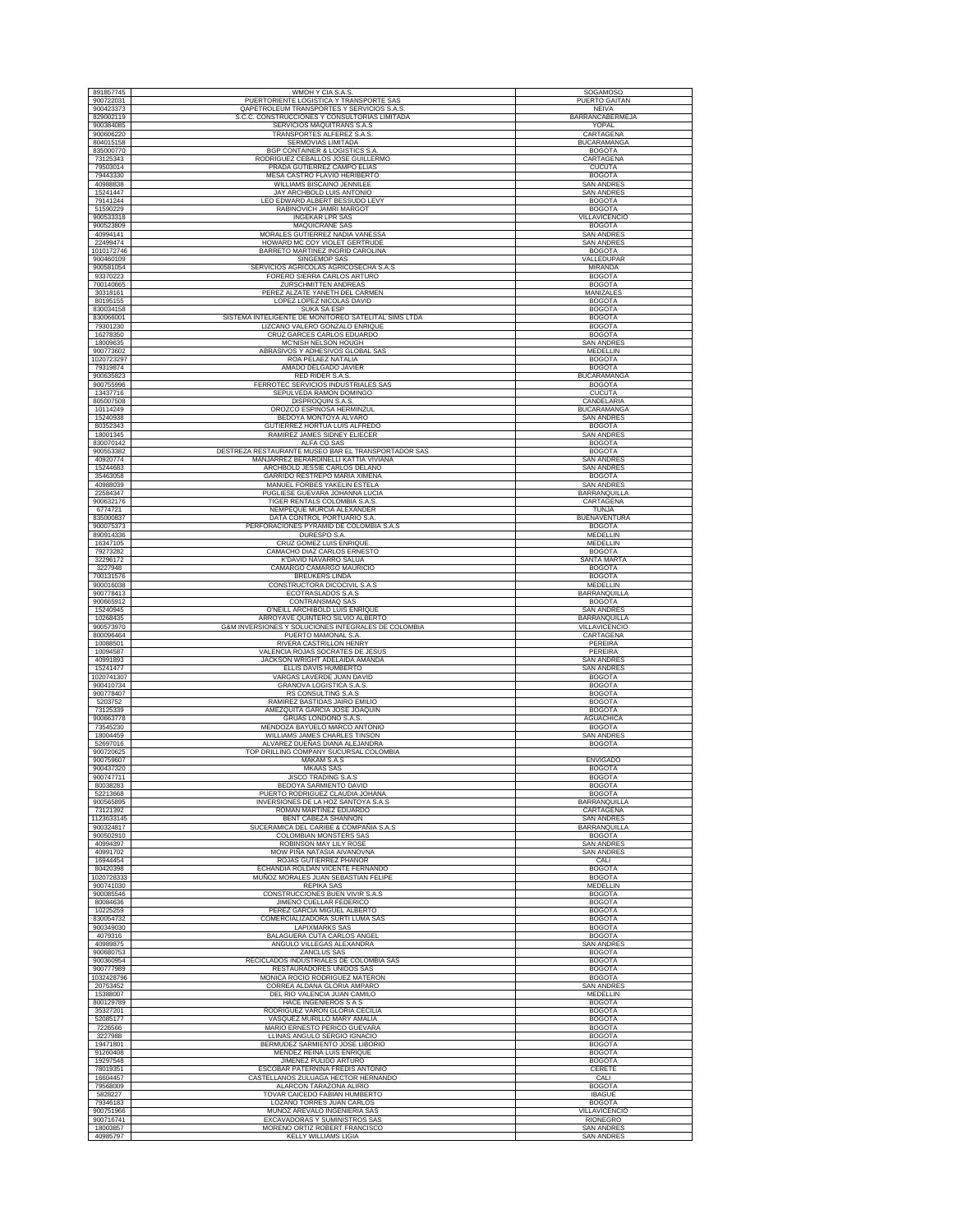| 891857745               | WMOH Y CIA S.A.S                                                                             | SOGAMOSO                                |
|-------------------------|----------------------------------------------------------------------------------------------|-----------------------------------------|
| 900722031               | PUERTORIENTE LOGISTICA Y TRANSPORTE SAS                                                      | PUERTO GAITAN                           |
| 900423373               | OAPETROLEUM TRANSPORTES Y SERVICIOS S.A.S                                                    | <b>NEIVA</b>                            |
| 829002119               | S.C.C. CONSTRUCCIONES Y CONSULTORIAS LIMITADA                                                | BARRANCABERMEJA                         |
| 900384085               | SERVICIOS MAQUITRANS S.A.S                                                                   | YOPAL                                   |
| 900606220<br>804015158  | TRANSPORTES ALFEREZ S.A.S<br>SERMOVIAS LIMITADA                                              | CARTAGENA<br><b>BUCARAMANGA</b>         |
| 835000770               | <b>BGP CONTAINER &amp; LOGISTICS S.A</b>                                                     | <b>BOGOTA</b>                           |
| 73125343                | RODRIGUEZ CEBALLOS JOSE GUILLERMO                                                            | CARTAGENA                               |
| 79503014                | PRADA GUTIERREZ CAMPO ELIAS                                                                  | <b>CUCUTA</b>                           |
| 79443330<br>40988838    | MESA CASTRO FLAVIO HERIBERTO<br><b>WILLIAMS BISCAINO JENNILEE</b>                            | <b>BOGOTA</b>                           |
| 15241447                | <b>JAY ARCHBOLD LUIS ANTONIO</b>                                                             | <b>SAN ANDRES</b><br><b>SAN ANDRES</b>  |
| 79141244                | LEO EDWARD ALBERT BESSUDO LEVY                                                               | <b>BOGOTA</b>                           |
| 51590229                | RABINOVICH JAMRI MARGOT                                                                      | <b>BOGOTA</b>                           |
| 900533318               | <b>INGEKAR LPR SAS</b>                                                                       | VILLAVICENCIO                           |
| 900523809               | <b>MAQUICRANE SAS</b>                                                                        | <b>BOGOTA</b>                           |
| 40994141<br>22499474    | MORALES GUTIERREZ NADIA VANESSA<br>HOWARD MC COY VIOLET GERTRUDE                             | <b>SAN ANDRES</b><br>SAN ANDRES         |
| 1010172746              | BARRETO MARTINEZ INGRID CAROLINA                                                             | <b>BOGOTA</b>                           |
| 900460109               | SINGEMOP SAS                                                                                 | VALLEDUPAR                              |
| 900581054               | SERVICIOS AGRICOLAS AGRICOSECHA S.A.S                                                        | <b>MIRANDA</b>                          |
| 93370223<br>700140665   | FORERO SIERRA CARLOS ARTURO<br><b>ZURSCHMITTEN ANDREAS</b>                                   | <b>BOGOTA</b><br><b>BOGOTA</b>          |
| 30318161                | PEREZ ALZATE YANETH DEL CARMEN                                                               | MANIZALES                               |
| 80195155                | LOPEZ LOPEZ NICOLAS DAVID                                                                    | <b>BOGOTA</b>                           |
| 830034158               | <b>SUKA SA ESP</b>                                                                           | <b>BOGOTA</b>                           |
| 830066001<br>79301230   | SISTEMA INTELIGENTE DE MONITOREO SATELITAL SIMS LTDA<br>LIZCANO VALERO GONZALO ENRIQUE       | <b>BOGOTA</b><br><b>BOGOTA</b>          |
| 16278350                | CRUZ GARCES CARLOS EDUARDO                                                                   | <b>BOGOTA</b>                           |
| 18009635                | MC'NISH NELSON HOUGH                                                                         | <b>SAN ANDRES</b>                       |
| 900773602               | ABRASIVOS Y ADHESIVOS GLOBAL SAS                                                             | MEDELLIN                                |
| 1020723297              | ROA PELAEZ NATALIA                                                                           | <b>BOGOTA</b>                           |
| 79319874<br>900635823   | AMADO DELGADO JAVIER<br>RED RIDER S.A.S.                                                     | <b>BOGOTA</b><br><b>BUCARAMANGA</b>     |
| 900755996               | FERROTEC SERVICIOS INDUSTRIALES SAS                                                          | <b>BOGOTA</b>                           |
| 13437716                | SEPULVEDA RAMON DOMINGO                                                                      | <b>CUCUTA</b>                           |
| 805007508               | DISPROQUIN S.A.S.                                                                            | CANDELARIA                              |
| 10114249<br>15240938    | OROZCO ESPINOSA HERMINZUL<br>BEDOYA MONTOYA ALVARO                                           | <b>BUCARAMANGA</b><br><b>SAN ANDRES</b> |
| 80352343                | GUTIERREZ HORTUA LUIS ALFREDO                                                                | <b>BOGOTA</b>                           |
| 18001345                | RAMIREZ JAMES SIDNEY ELIECER                                                                 | <b>SAN ANDRES</b>                       |
| 830070142               | ALFA CO SAS                                                                                  | <b>BOGOTA</b>                           |
| 900553382               | DESTREZA RESTAURANTE MUSEO BAR EL TRANSPORTADOR SAS<br>MANJARREZ BERARDINELLI KATTIA VIVIANA | <b>BOGOTA</b><br><b>SAN ANDRES</b>      |
| 40920774<br>15244683    | ARCHBOLD JESSIE CARLOS DELANO                                                                | <b>SAN ANDRES</b>                       |
| 35463058                | GARRIDO RESTREPO MARIA XIMENA                                                                | <b>BOGOTA</b>                           |
| 40988039                | MANUEL FORBES YAKELIN ESTELA                                                                 | <b>SAN ANDRES</b>                       |
| 22584347<br>900632176   | PUGLIESE GUEVARA JOHANNA LUCIA<br>TIGER RENTALS COLOMBIA S.A.S                               | <b>BARRANQUILLA</b><br>CARTAGENA        |
| 6774721                 | NEMPEQUE MURCIA ALEXANDER                                                                    | <b>TUNJA</b>                            |
| 835000837               | DATA CONTROL PORTUARIO S.A.                                                                  | <b>BUENAVENTURA</b>                     |
| 900075373               | PERFORACIONES PYRAMID DE COLOMBIA S.A.S                                                      | <b>BOGOTA</b>                           |
| 890914336<br>16347105   | DURESPO S.A.<br>CRUZ GOMEZ LUIS ENRIQUE                                                      | MEDELLIN<br>MEDELLIN                    |
| 79273282                | CAMACHO DIAZ CARLOS ERNESTO                                                                  | <b>BOGOTA</b>                           |
| 32296172                | <b>K'DAVID NAVARRO SALUA</b>                                                                 | SANTA MARTA                             |
| 3227948                 | CAMARGO CAMARGO MAURICIO                                                                     | <b>BOGOTA</b>                           |
| 700131576<br>900016038  | <b>BREUKERS LINDA</b><br>CONSTRUCTORA DICOCIVIL S.A.S                                        | <b>BOGOTA</b><br>MEDELLIN               |
| 900778413               | ECOTRASLADOS S.A.S                                                                           | BARRANQUILLA                            |
| 900665912               | CONTRANSMAQ SAS                                                                              | <b>BOGOTA</b>                           |
|                         |                                                                                              |                                         |
| 15240945                | O'NEILL ARCHIBOLD LUIS ENRIQUE                                                               | <b>SAN ANDRES</b>                       |
| 10268435                | ARROYAVE QUINTERO SILVIO ALBERTO                                                             | BARRANQUILLA                            |
| 900573970<br>800096464  | G&M INVERSIONES Y SOLUCIONES INTEGRALES DE COLOMBIA<br>PUERTO MAMONAL S.A.                   | VILLAVICENCIO<br>CARTAGENA              |
| 10088501                | RIVERA CASTRILLON HENRY                                                                      | <b>PEREIRA</b>                          |
| 10094587                | VALENCIA ROJAS SOCRATES DE JESUS                                                             | PEREIRA                                 |
| 40991893                | JACKSON WRIGHT ADELAIDA AMANDA                                                               | <b>SAN ANDRES</b>                       |
| 15241477<br>1020741307  | ELLIS DAVIS HUMBERTO<br>VARGAS LAVERDE JUAN DAVID                                            | <b>SAN ANDRES</b><br><b>BOGOTA</b>      |
| 900410734               | <b>GRANOVA LOGISTICA S.A.S.</b>                                                              | <b>BOGOTA</b>                           |
| 900778407               | RS CONSULTING S.A.S                                                                          | <b>BOGOTA</b>                           |
| 5203752<br>73125339     | RAMIREZ BASTIDAS JAIRO EMILIO<br>AMEZQUITA GARCIA JOSE JOAQUIN                               | <b>BOGOTA</b><br><b>BOGOTA</b>          |
| 900663778               | GRUAS LONDOÑO S.A.S                                                                          | <b>AGUACHICA</b>                        |
| 73545230                | MENDOZA BAYUELO MARCO ANTONIO                                                                | <b>BOGOTA</b>                           |
| 18004459<br>52697016    | WILLIAMS JAMES CHARLES TINSON<br>ALVAREZ DUEÑAS DIANA ALEJANDRA                              | <b>SAN ANDRES</b><br><b>BOGOTA</b>      |
| 900720625               | TOP DRILLING COMPANY SUCURSAL COLOMBIA                                                       |                                         |
| 900759607               | MAKAM S.A.S                                                                                  | <b>ENVIGADO</b>                         |
| 900437320               | <b>MKAAS SAS</b>                                                                             | <b>BOGOTA</b>                           |
| 900747711<br>80038283   | JISCO TRADING S.A.S<br>BEDOYA SARMIENTO DAVID                                                | <b>BOGOTA</b><br><b>BOGOTA</b>          |
| 52213668                | PUERTO RODRIGUEZ CLAUDIA JOHANA                                                              | <b>BOGOTA</b>                           |
| 900565895               | <b>INVERSIONES DE LA HOZ SANTOYA S.A.S</b>                                                   | <b>BARRANQUILLA</b>                     |
| 73121392                | ROMAN MARTINEZ EDUARDO                                                                       | CARTAGENA                               |
| 1123633145<br>900324817 | BENT CABEZA SHANNON<br>SUCERAMICA DEL CARIBE & COMPAÑIA S.A.S                                | <b>SAN ANDRES</b><br>BARRANQUILLA       |
| 900502910               | COLOMBIAN MONSTERS SAS                                                                       | <b>BOGOTA</b>                           |
| 40994397                | ROBINSON MAY LILY ROSE                                                                       | <b>SAN ANDRES</b>                       |
| 40991702<br>16944454    | MOW PIÑA NATASIA AIVANOVNA<br>ROJAS GUTIERREZ PHANOR                                         | <b>SAN ANDRES</b><br>CALI               |
| 80420398                | ECHANDIA ROLDAN VICENTE FERNANDO                                                             | <b>BOGOTA</b>                           |
| 1020728333              | MUÑOZ MORALES JUAN SEBASTIAN FELIPE                                                          | <b>BOGOTA</b>                           |
| 900741030               | <b>REPIKA SAS</b>                                                                            | MEDELLIN                                |
| 900085546<br>80084636   | CONSTRUCCIONES BUEN VIVIR S.A.S<br>JIMENO CUELLAR FEDERICO                                   | <b>BOGOTA</b><br><b>BOGOTA</b>          |
| 10225259                | PEREZ GARCIA MIGUEL ALBERTO                                                                  | <b>BOGOTA</b>                           |
| 830054732               | COMERCIALIZADORA SURTI LUMA SAS                                                              | <b>BOGOTA</b>                           |
| 900349030               | <b>LAPIXMARKS SAS</b><br>BALAGUERA CUTA CARLOS ANGEL                                         | <b>BOGOTA</b>                           |
| 4079316<br>40989875     | ANGULO VILLEGAS ALEXANDRA                                                                    | <b>BOGOTA</b><br><b>SAN ANDRES</b>      |
| 900680753               | ZANCLUS SAS                                                                                  | <b>BOGOTA</b>                           |
| 900360954               | RECICLADOS INDUSTRIALES DE COLOMBIA SAS                                                      | <b>BOGOTA</b>                           |
| 900777989<br>1032428796 | RESTAURADORES UNIDOS SAS<br>MONICA ROCIO RODRIGUEZ MATERON                                   | <b>BOGOTA</b><br><b>BOGOTA</b>          |
| 20753452                | CORREA ALDANA GLORIA AMPARO                                                                  | <b>SAN ANDRES</b>                       |
| 15388007                | DEL RIO VALENCIA JUAN CAMILO                                                                 | MEDELLIN                                |
| 800129789               | HACE INGENIEROS S A S                                                                        | <b>BOGOTA</b>                           |
| 35327201<br>52085177    | RODRIGUEZ VARON GLORIA CECILIA<br>VASQUEZ MURILLO MARY AMALIA                                | <b>BOGOTA</b><br><b>BOGOTA</b>          |
| 7226566                 | MARIO ERNESTO PERICO GUEVARA                                                                 | <b>BOGOTA</b>                           |
| 3227988                 | LLINAS ANGULO SERGIO IGNACIO                                                                 | <b>BOGOTA</b>                           |
| 19471801                | BERMUDEZ SARMIENTO JOSE LIBORIO                                                              | <b>BOGOTA</b>                           |
| 91260408<br>19297548    | MENDEZ REINA LUIS ENRIQUE<br>JIMENEZ PULIDO ARTURO                                           | <b>BOGOTA</b><br><b>BOGOTA</b>          |
| 78019351                | ESCOBAR PATERNINA FREDIS ANTONIO                                                             | CERETE                                  |
| 16604457                | CASTELLANOS ZULUAGA HECTOR HERNANDO                                                          | CALI                                    |
| 79568009                | ALARCON TARAZONA ALIRIO                                                                      | <b>BOGOTA</b>                           |
| 5828227<br>79346183     | TOVAR CAICEDO FABIAN HUMBERTO<br>LOZANO TORRES JUAN CARLOS                                   | <b>IBAGUE</b><br><b>BOGOTA</b>          |
| 900751966               | MUÑOZ AREVALO INGENIERIA SAS                                                                 | VILLAVICENCIO                           |
| 900716741<br>18003857   | EXCAVADORAS Y SUMINISTROS SAS<br>MORENO ORTIZ ROBERT FRANCISCO                               | <b>RIONEGRO</b><br><b>SAN ANDRES</b>    |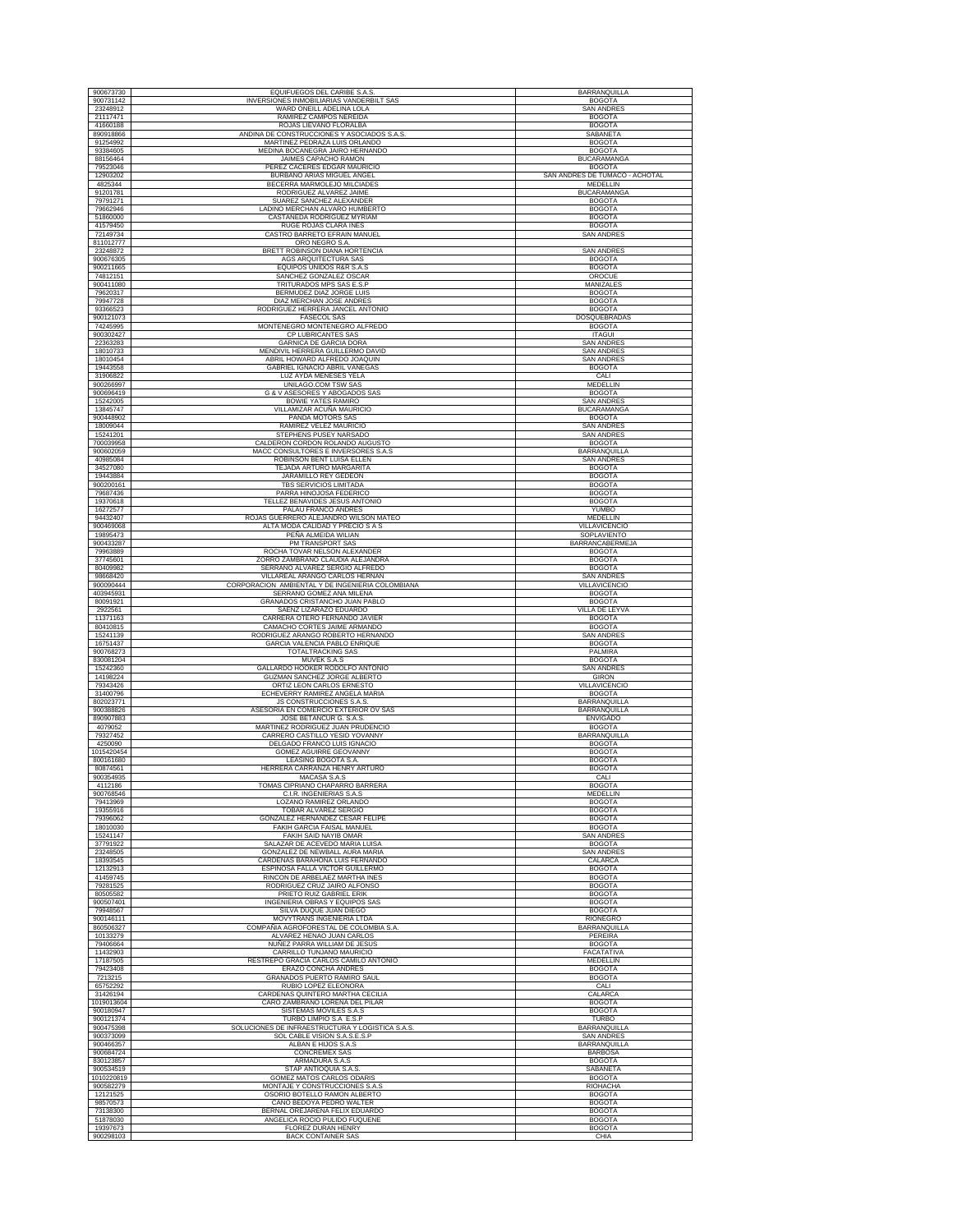| 900673730               | EQUIFUEGOS DEL CARIBE S.A.S                                                        | <b>BARRANQUILLA</b>                       |
|-------------------------|------------------------------------------------------------------------------------|-------------------------------------------|
| 900731142               | INVERSIONES INMOBILIARIAS VANDERBILT SAS<br>WARD ONEILL ADELINA LOLA               | <b>BOGOTA</b>                             |
| 23248912<br>21117471    | RAMIREZ CAMPOS NEREIDA                                                             | <b>SAN ANDRES</b><br><b>BOGOTA</b>        |
| 41660188                | ROJAS LIEVANO FLORALBA                                                             | <b>BOGOTA</b>                             |
| 890918866<br>91254992   | ANDINA DE CONSTRUCCIONES Y ASOCIADOS S.A.S<br>MARTINEZ PEDRAZA LUIS ORLANDO        | SABANETA<br><b>BOGOTA</b>                 |
| 93384605                | MEDINA BOCANEGRA JAIRO HERNANDO                                                    | <b>BOGOTA</b>                             |
| 88156464<br>79523046    | JAIMES CAPACHO RAMON<br>PEREZ CACERES EDGAR MAURICIO                               | <b>BUCARAMANGA</b><br><b>BOGOTA</b>       |
| 12903202                | BURBANO ARIAS MIGUEL ANGEL                                                         | SAN ANDRES DE TUMACO - ACHOTAL            |
| 4825344<br>91201781     | BECERRA MARMOLEJO MILCIADES<br>RODRIGUEZ ALVAREZ JAIME                             | MEDELLIN<br><b>BUCARAMANGA</b>            |
| 79791271                | SUAREZ SANCHEZ ALEXANDER                                                           | <b>BOGOTA</b>                             |
| 79662946                | LADINO MERCHAN ALVARO HUMBERTO                                                     | <b>BOGOTA</b>                             |
| 51860000<br>41579450    | CASTAÑEDA RODRIGUEZ MYRIAM<br>RUGE ROJAS CLARA INES                                | <b>BOGOTA</b><br><b>BOGOTA</b>            |
| 72149734                | CASTRO BARRETO EFRAIN MANUEL                                                       | <b>SAN ANDRES</b>                         |
| 811012777<br>23248872   | ORO NEGRO S.A.<br>BRETT ROBINSON DIANA HORTENCIA                                   | <b>SAN ANDRES</b>                         |
| 900676305               | AGS ARQUITECTURA SAS                                                               | <b>BOGOTA</b>                             |
| 900211665<br>74812151   | EQUIPOS UNIDOS R&R S.A.S<br>SANCHEZ GONZALEZ OSCAR                                 | <b>BOGOTA</b><br>OROCUE                   |
| 900411080               | TRITURADOS MPS SAS E.S.P                                                           | <b>MANIZALES</b>                          |
| 79620317<br>79947728    | BERMUDEZ DIAZ JORGE LUIS<br>DIAZ MERCHAN JOSE ANDRES                               | <b>BOGOTA</b><br><b>BOGOTA</b>            |
| 93366523                | RODRIGUEZ HERRERA JANCEL ANTONIO                                                   | <b>BOGOTA</b>                             |
| 900121073<br>74245995   | <b>FASECOL SAS</b><br>MONTENEGRO MONTENEGRO ALFREDO                                | DOSQUEBRADAS<br><b>BOGOTA</b>             |
| 900302427               | CP LUBRICANTES SAS                                                                 | <b>ITAGUI</b>                             |
| 22363283<br>18010733    | GARNICA DE GARCIA DORA<br>MENDIVIL HERRERA GUILLERMO DAVID                         | <b>SAN ANDRES</b><br><b>SAN ANDRES</b>    |
| 18010454                | ABRIL HOWARD ALFREDO JOAQUIN                                                       | <b>SAN ANDRES</b>                         |
| 19443558<br>31906822    | GABRIEL IGNACIO ABRIL VANEGAS<br>LUZ AYDA MENESES YELA                             | <b>BOGOTA</b><br>CALI                     |
| 900266997               | UNILAGO.COM TSW SAS                                                                | MEDELLIN                                  |
| 900696419<br>15242005   | G & V ASESORES Y ABOGADOS SAS<br><b>BOWIE YATES RAMIRO</b>                         | <b>BOGOTA</b><br><b>SAN ANDRES</b>        |
| 13845747                | VILLAMIZAR ACUÑA MAURICIO                                                          | <b>BUCARAMANGA</b>                        |
| 900448902<br>18009044   | PANDA MOTORS SAS<br>RAMIREZ VELEZ MAURICIO                                         | <b>BOGOTA</b><br><b>SAN ANDRES</b>        |
| 15241201                | STEPHENS PUSEY NARSADO                                                             | <b>SAN ANDRES</b>                         |
| 700039958               | CALDERON CORDON ROLANDO AUGUSTO<br>MACC CONSULTORES E INVERSORES S.A.S             | <b>BOGOTA</b><br><b>BARRANQUILLA</b>      |
| 900602059<br>40985084   | ROBINSON BENT LUISA ELLEN                                                          | <b>SAN ANDRES</b>                         |
| 34527080                | TEJADA ARTURO MARGARITA                                                            | <b>BOGOTA</b><br><b>BOGOTA</b>            |
| 19443884<br>900200161   | JARAMILLO REY GEDEON<br>TBS SERVICIOS LIMITADA                                     | <b>BOGOTA</b>                             |
| 79687436                | PARRA HINOJOSA FEDERICO                                                            | <b>BOGOTA</b>                             |
| 19370618<br>16272577    | TELLEZ BENAVIDES JESUS ANTONIO<br>PALAU FRANCO ANDRES                              | <b>BOGOTA</b><br><b>YUMBO</b>             |
| 94432407                | ROJAS GUERRERO ALEJANDRO WILSON MATEO                                              | MEDELLIN<br><b>VILLAVICENCIO</b>          |
| 900469068<br>19895473   | ALTA MODA CALIDAD Y PRECIO S A S<br>PEÑA ALMEIDA WILIAN                            | SOPLAVIENTO                               |
| 900433287               | PM TRANSPORT SAS                                                                   | <b>BARRANCABERMEJA</b>                    |
| 79963889<br>37745601    | ROCHA TOVAR NELSON ALEXANDER<br>ZORRO ZAMBRANO CLAUDIA ALEJANDRA                   | <b>BOGOTA</b><br><b>BOGOTA</b>            |
| 80409982                | SERRANO ALVAREZ SERGIO ALFREDO                                                     | <b>BOGOTA</b>                             |
| 98668420<br>900090444   | VILLAREAL ARANGO CARLOS HERNAN<br>CORPORACION AMBIENTAL Y DE INGENIERIA COLOMBIANA | <b>SAN ANDRES</b><br><b>VILLAVICENCIO</b> |
| 403945931               | SERRANO GOMEZ ANA MILENA                                                           | <b>BOGOTA</b>                             |
| 80091921<br>2922561     | GRANADOS CRISTANCHO JUAN PABLO<br>SAENZ LIZARAZO EDUARDO                           | <b>BOGOTA</b><br><b>VILLA DE LEYVA</b>    |
| 11371163                | CARRERA OTERO FERNANDO JAVIER                                                      | <b>BOGOTA</b>                             |
| 80410815<br>15241139    | CAMACHO CORTES JAIME ARMANDO<br>RODRIGUEZ ARANGO ROBERTO HERNANDO                  | <b>BOGOTA</b><br><b>SAN ANDRES</b>        |
| 16751437                | GARCIA VALENCIA PABLO ENRIQUE                                                      | <b>BOGOTA</b>                             |
| 900768273<br>830081204  | <b>TOTALTRACKING SAS</b><br>MUVEK S.A.S                                            | PALMIRA<br><b>BOGOTA</b>                  |
| 15242360                | GALLARDO HOOKER RODOLFO ANTONIO                                                    | <b>SAN ANDRES</b>                         |
| 14198224<br>79343426    | GUZMAN SANCHEZ JORGE ALBERTO<br>ORTIZ LEON CARLOS ERNESTO                          | <b>GIRON</b><br>VILLAVICENCIO             |
| 31400796<br>802023771   | ECHEVERRY RAMIREZ ANGELA MARIA<br>JS CONSTRUCCIONES S.A.S.                         | <b>BOGOTA</b><br>BARRANQUILLA             |
| 900388826               | ASESORIA EN COMERCIO EXTERIOR OV SAS                                               | BARRANQUILLA                              |
| 890907883<br>4079052    | JOSE BETANCUR G. S.A.S<br>MARTINEZ RODRIGUEZ JUAN PRUDENCIO                        | <b>ENVIGADO</b><br><b>BOGOTA</b>          |
| 79327452                | CARRERO CASTILLO YESID YOVANNY                                                     | BARRANQUILLA                              |
| 4250090<br>1015420454   | DELGADO FRANCO LUIS IGNACIO<br><b>GOMEZ AGUIRRE GEOVANNY</b>                       | <b>BOGOTA</b><br><b>BOGOTA</b>            |
| 800161680               | LEASING BOGOTA S.A.                                                                | <b>BOGOTA</b>                             |
| 80874561<br>900354935   | HERRERA CARRANZA HENRY ARTURO<br>MACASA S.A.S                                      | <b>BOGOTA</b><br>CALI                     |
| 4112186                 | TOMAS CIPRIANO CHAPARRO BARRERA                                                    | <b>BOGOTA</b>                             |
| 900768546<br>79413969   | C.I.R. INGENIERIAS S.A.S<br>LOZANO RAMIREZ ORLANDO                                 | MEDELLIN<br><b>BOGOTA</b>                 |
| 19355916                | TOBAR ALVAREZ SERGIO                                                               | <b>BOGOTA</b>                             |
| 79396062<br>18010030    | GONZALEZ HERNANDEZ CESAR FELIPE<br>FAKIH GARCIA FAISAL MANUEL                      | <b>BOGOTA</b><br><b>BOGOTA</b>            |
| 15241147                | FAKIH SAID NAYIB OMAR                                                              | <b>SAN ANDRES</b>                         |
| 37791922<br>23248505    | SALAZAR DE ACEVEDO MARIA LUISA<br>GONZALEZ DE NEWBALL AURA MARIA                   | <b>BOGOTA</b><br><b>SAN ANDRES</b>        |
| 18393545                | CARDENAS BARAHONA LUIS FERNANDO                                                    | CALARCA                                   |
| 12132913<br>41459745    | ESPINOSA FALLA VICTOR GUILLERMO<br>RINCON DE ARBELAEZ MARTHA INES                  | <b>BOGOTA</b><br><b>BOGOTA</b>            |
| 79281525                | RODRIGUEZ CRUZ JAIRO ALFONSO                                                       | <b>BOGOTA</b>                             |
| 80505582<br>900507401   | PRIETO RUIZ GABRIEL ERIK<br>INGENIERIA OBRAS Y EQUIPOS SAS                         | <b>BOGOTA</b><br><b>BOGOTA</b>            |
| 79948567                | SILVA DUQUE JUAN DIEGO                                                             | <b>BOGOTA</b>                             |
| 900146111<br>860506327  | <b>MOVYTRANS INGENIERIA LTDA</b><br>COMPAÑIA AGROFORESTAL DE COLOMBIA S.A.         | <b>RIONEGRO</b><br><b>BARRANQUILLA</b>    |
| 10133279                | ALVAREZ HENAO JUAN CARLOS                                                          | PEREIRA                                   |
| 79406664<br>11432903    | NUÑEZ PARRA WILLIAM DE JESUS<br>CARRILLO TUNJANO MAURICIO                          | <b>BOGOTA</b><br>FACATATIVA               |
| 17187505                | RESTREPO GRACIA CARLOS CAMILO ANTONIO                                              | <b>MEDELLIN</b>                           |
| 79423408<br>7213215     | ERAZO CONCHA ANDRES<br><b>GRANADOS PUERTO RAMIRO SAUL</b>                          | <b>BOGOTA</b><br><b>BOGOTA</b>            |
| 65752292                | RUBIO LOPEZ ELEONORA                                                               | CALI                                      |
| 31426194<br>1019013604  | CARDENAS QUINTERO MARTHA CECILIA<br>CARO ZAMBRANO LORENA DEL PILAR                 | CALARCA<br><b>BOGOTA</b>                  |
| 900180947               | SISTEMAS MOVILES S.A.S                                                             | <b>BOGOTA</b>                             |
| 900121374<br>900475398  | TURBO LIMPIO S.A E.S.P<br>SOLUCIONES DE INFRAESTRUCTURA Y LOGISTICA S.A.S          | <b>TURBO</b><br>BARRANQUILLA              |
| 900373099               | SOL CABLE VISION S.A.S.E.S.P                                                       | <b>SAN ANDRES</b>                         |
| 900466357<br>900684724  | ALBAN E HIJOS S.A.S<br><b>CONCREMEX SAS</b>                                        | BARRANQUILLA<br><b>BARBOSA</b>            |
| 830123857               | ARMADURA S.A.S                                                                     | <b>BOGOTA</b>                             |
| 900534519<br>1010220819 | STAP ANTIOQUIA S.A.S.<br>GOMEZ MATOS CARLOS ODARIS                                 | SABANETA<br><b>BOGOTA</b>                 |
| 900582279               | MONTAJE Y CONSTRUCCIONES S.A.S                                                     | RIOHACHA                                  |
| 12121525<br>98570573    | OSORIO BOTELLO RAMON ALBERTO<br>CANO BEDOYA PEDRO WALTER                           | <b>BOGOTA</b><br><b>BOGOTA</b>            |
| 73138300                | BERNAL OREJARENA FELIX EDUARDO                                                     | <b>BOGOTA</b>                             |
| 51878030                | ANGELICA ROCIO PULIDO FUQUENE                                                      | <b>BOGOTA</b><br><b>BOGOTA</b>            |
| 19397673                | FLOREZ DURAN HENRY                                                                 |                                           |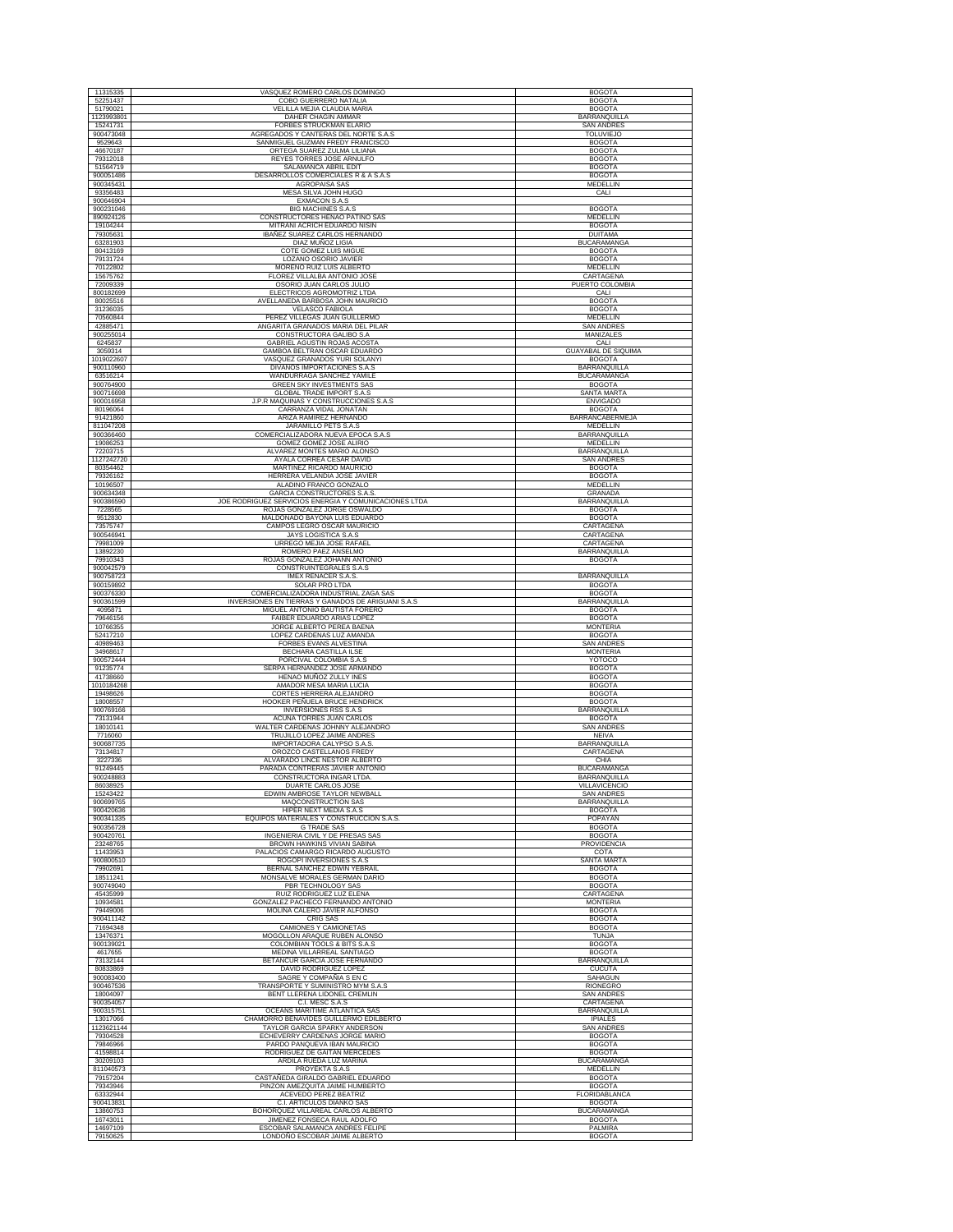| 11315335               | VASQUEZ ROMERO CARLOS DOMINGO                                    | <b>BOGOTA</b>                         |
|------------------------|------------------------------------------------------------------|---------------------------------------|
| 52251437               | COBO GUERRERO NATALIA                                            | <b>BOGOTA</b>                         |
| 51790021               | VELILLA MEJIA CLAUDIA MARIA                                      | <b>BOGOTA</b>                         |
| 1123993801             | <b>DAHER CHAGIN AMMAR</b>                                        | <b>BARRANQUILLA</b>                   |
| 15241731               | FORBES STRUCKMAN ELARIO                                          | SAN ANDRES                            |
| 900473048              | AGREGADOS Y CANTERAS DEL NORTE S.A.S.                            | <b>TOLUVIEJO</b>                      |
| 9529643                | SANMIGUEL GUZMAN FREDY FRANCISCO                                 | <b>BOGOTA</b>                         |
| 46670187               | ORTEGA SUAREZ ZULMA LILIANA                                      | <b>BOGOTA</b>                         |
| 79312018               | REYES TORRES JOSE ARNULFO                                        | <b>BOGOTA</b><br><b>BOGOTA</b>        |
| 51564719<br>900051486  | SALAMANCA ABRIL EDIT<br>DESARROLLOS COMERCIALES R & A S.A.S      | <b>BOGOTA</b>                         |
|                        | AGROPAISA SAS                                                    | MEDELLIN                              |
| 900345431              | MESA SILVA JOHN HUGO                                             | CALI                                  |
| 93356483<br>900646904  | <b>EXMACON S.A.S</b>                                             |                                       |
| 900231046              | BIG MACHINES S.A.S                                               | <b>BOGOTA</b>                         |
| 890924126              | CONSTRUCTORES HENAO PATIÑO SAS                                   | <b>MEDELLIN</b>                       |
| 19104244               | MITRANI ACRICH EDUARDO NISIN                                     | <b>BOGOTA</b>                         |
| 79305631               | IBAÑEZ SUAREZ CARLOS HERNANDO                                    | <b>DUITAMA</b>                        |
| 63281903               | DIAZ MUÑOZ LIGIA                                                 | <b>BUCARAMANGA</b>                    |
| 80413169               | COTE GOMEZ LUIS MIGUE                                            | <b>BOGOTA</b>                         |
| 79131724               | LOZANO OSORIO JAVIER                                             | <b>BOGOTA</b>                         |
| 70122802               | MORENO RUIZ LUIS ALBERTO                                         | MEDELLIN                              |
| 15675762               | FLOREZ VILLALBA ANTONIO JOSE                                     | CARTAGENA                             |
| 72009339               | OSORIO JUAN CARLOS JULIO                                         | PUERTO COLOMBIA                       |
| 800182699              | ELECTRICOS AGROMOTRIZ LTDA                                       | CALI                                  |
| 80025516               | AVELLANEDA BARBOSA JOHN MAURICIO                                 | <b>BOGOTA</b>                         |
| 31236035               | <b>VELASCO FABIOLA</b>                                           | <b>BOGOTA</b>                         |
| 70560844               | PEREZ VILLEGAS JUAN GUILLERMO                                    | MEDELLIN                              |
| 42885471<br>900255014  | ANGARITA GRANADOS MARIA DEL PILAR<br>CONSTRUCTORA GALIBO S.A     | <b>SAN ANDRES</b><br><b>MANIZALES</b> |
|                        | GABRIEL AGUSTIN ROJAS ACOSTA                                     |                                       |
| 6245837<br>3059314     | GAMBOA BELTRAN OSCAR EDUARDO                                     | CALI<br><b>GUAYABAL DE SIQUIMA</b>    |
| 1019022607             | VASQUEZ GRANADOS YURI SOLANYI                                    | <b>BOGOTA</b>                         |
| 900110960              | DIVANOS IMPORTACIONES S.A.S                                      | BARRANQUILLA                          |
| 63516214               | WANDURRAGA SANCHEZ YAMILE                                        | <b>BUCARAMANGA</b>                    |
| 900764900              | GREEN SKY INVESTMENTS SAS                                        | <b>BOGOTA</b>                         |
| 900716698              | <b>GLOBAL TRADE IMPORT S.A.S</b>                                 | SANTA MARTA                           |
| 900016958              | J.P.R MAQUINAS Y CONSTRUCCIONES S.A.S                            | <b>ENVIGADO</b>                       |
| 80196064               | CARRANZA VIDAL JONATAN                                           | <b>BOGOTA</b>                         |
| 91421860               | ARIZA RAMIREZ HERNANDO                                           | <b>BARRANCABERMEJA</b>                |
| 811047208              | JARAMILLO PETS S.A.S                                             | <b>MEDELLIN</b>                       |
| 900366460              | COMERCIALIZADORA NUEVA EPOCA S.A.S                               | <b>BARRANQUILLA</b>                   |
| 19086253               | GOMEZ GOMEZ JOSE ALIRIO                                          | MEDELLIN                              |
| 72203715               | ALVAREZ MONTES MARIO ALONSO                                      | <b>BARRANQUILLA</b>                   |
| 1127242720             | AYALA CORREA CESAR DAVID                                         | SAN ANDRES                            |
| 80354462               | MARTINEZ RICARDO MAURICIO                                        | <b>BOGOTA</b>                         |
| 79326162               | HERRERA VELANDIA JOSE JAVIER                                     | <b>BOGOTA</b>                         |
| 10196507<br>900634348  | ALADINO FRANCO GONZALO<br><b>GARCIA CONSTRUCTORES S.A.S</b>      | MEDELLIN<br>GRANADA                   |
| 900386590              | JOE RODRIGUEZ SERVICIOS ENERGIA Y COMUNICACIONES LTDA            | <b>BARRANQUILLA</b>                   |
| 7228565                | ROJAS GONZALEZ JORGE OSWALDO                                     | <b>BOGOTA</b>                         |
| 9512830                | MALDONADO BAYONA LUIS EDUARDO                                    | <b>BOGOTA</b>                         |
| 73575747               | CAMPOS LEGRO OSCAR MAURICIO                                      | CARTAGENA                             |
| 900546941              | JAYS LOGISTICA S.A.S                                             | CARTAGENA                             |
| 79981009               | URREGO MEJIA JOSE RAFAEL                                         | CARTAGENA                             |
| 13892230               | ROMERO PAEZ ANSELMO                                              | BARRANQUILLA                          |
| 79910343               | ROJAS GONZALEZ JOHANN ANTONIO                                    | <b>BOGOTA</b>                         |
| 900042579              | CONSTRUINTEGRALES S.A.S                                          |                                       |
| 900758723              | <b>IMEX RENACER S.A.S.</b>                                       | BARRANQUILLA                          |
| 900159892              | SOLAR PRO LTDA                                                   | <b>BOGOTA</b>                         |
| 900376330              | COMERCIALIZADORA INDUSTRIAL ZAGA SAS                             | <b>BOGOTA</b>                         |
| 900361599              |                                                                  |                                       |
|                        | INVERSIONES EN TIERRAS Y GANADOS DE ARIGUANI S.A.S               | BARRANQUILLA                          |
| 4095871                | MIGUEL ANTONIO BAUTISTA FORERO                                   | <b>BOGOTA</b>                         |
| 79646156               | FAIBER EDUARDO ARIAS LOPEZ                                       | <b>BOGOTA</b>                         |
| 10766355               | JORGE ALBERTO PEREA BAENA                                        | <b>MONTERIA</b>                       |
| 52417210               | LOPEZ CARDENAS LUZ AMANDA                                        | <b>BOGOTA</b>                         |
| 40989463               | FORBES EVANS ALVESTINA                                           | SAN ANDRES                            |
| 34968617               | BECHARA CASTILLA ILSE                                            | <b>MONTERIA</b>                       |
| 900572444<br>91235774  | PORCIVAL COLOMBIA S.A.S<br>SERPA HERNANDEZ JOSE ARMANDO          | YOTOCO<br><b>BOGOTA</b>               |
| 41738660               | HENAO MUÑOZ ZULLY INES                                           | <b>BOGOTA</b>                         |
| 1010184268             | AMADOR MESA MARIA LUCIA                                          | <b>BOGOTA</b>                         |
| 19498626               | CORTES HERRERA ALEJANDRO                                         | <b>BOGOTA</b>                         |
| 18008557               | HOOKER PEÑUELA BRUCE HENDRICK                                    | <b>BOGOTA</b>                         |
| 900769166              | INVERSIONES RSS S.A.S                                            | BARRANQUILLA                          |
| 73131944               | ACUÑA TORRES JUAN CARLOS                                         | <b>BOGOTA</b>                         |
| 18010141               | WALTER CARDENAS JOHNNY ALEJANDRO                                 | <b>SAN ANDRES</b>                     |
| 7716060                | TRUJILLO LOPEZ JAIME ANDRES                                      | <b>NEIVA</b>                          |
| 900687735<br>73134817  | IMPORTADORA CALYPSO S.A.S.<br>OROZCO CASTELLANOS FREDY           | BARRANQUILLA<br>CARTAGENA             |
| 3227336                | ALVARADO LINCE NESTOR ALBERTO                                    | CHIA                                  |
| 91249445               | PARADA CONTRERAS JAVIER ANTONIO                                  | <b>BUCARAMANGA</b>                    |
| 900248883              | CONSTRUCTORA INGAR LTDA                                          | <b>BARRANQUILLA</b>                   |
| 86038925               | DUARTE CARLOS JOSE                                               | VILLAVICENCIO                         |
| 15243422               | EDWIN AMBROSE TAYLOR NEWBALL                                     | <b>SAN ANDRES</b>                     |
| 900699765              | MAQCONSTRUCTION SAS                                              | BARRANQUILLA                          |
| 900420636              | HIPER NEXT MEDIA S.A.S                                           | <b>BOGOTA</b>                         |
| 900341335              | EQUIPOS MATERIALES Y CONSTRUCCION S.A.S.                         | POPAYAN                               |
| 900356728<br>900420761 | <b>G TRADE SAS</b><br>INGENIERIA CIVIL Y DE PRESAS SAS           | <b>BOGOTA</b><br><b>BOGOTA</b>        |
| 23248765               | BROWN HAWKINS VIVIAN SABINA                                      | PROVIDENCIA                           |
| 11433953               | PALACIOS CAMARGO RICARDO AUGUSTO                                 | COTA                                  |
| 900800510              | ROGOPI INVERSIONES S.A.S                                         | SANTA MARTA                           |
| 79902691               | BERNAL SANCHEZ EDWIN YEBRAIL                                     | <b>BOGOTA</b>                         |
| 18511241               | MONSALVE MORALES GERMAN DARIO                                    | <b>BOGOTA</b>                         |
| 900749040              | PBR TECHNOLOGY SAS                                               | <b>BOGOTA</b>                         |
| 45435999               | RUIZ RODRIGUEZ LUZ ELENA                                         | CARTAGENA                             |
| 10934581               | GONZALEZ PACHECO FERNANDO ANTONIO                                | <b>MONTERIA</b>                       |
| 79449006               | MOLINA CALERO JAVIER ALFONSO                                     | <b>BOGOTA</b>                         |
| 900411142<br>71694348  | CRIG SAS                                                         | <b>BOGOTA</b><br><b>BOGOTA</b>        |
| 13476371               | CAMIONES Y CAMIONETAS<br>MOGOLLON ARAQUE RUBEN ALONSO            | <b>TUNJA</b>                          |
| 900139021              | COLOMBIAN TOOLS & BITS S.A.S                                     | <b>BOGOTA</b>                         |
| 4617655                | <b>MEDINA VILLARREAL SANTIAGO</b>                                | <b>BOGOTA</b>                         |
| 73132144               | BETANCUR GARCIA JOSE FERNANDO                                    | BARRANQUILLA                          |
| 80833869               | DAVID RODRIGUEZ LOPEZ                                            | CUCUTA                                |
| 900083400              | SAGRE Y COMPAÑIA S EN C                                          | SAHAGUN                               |
| 900467536              | TRANSPORTE Y SUMINISTRO MYM S.A.S                                | RIONEGRO                              |
| 18004097               | BENT LLERENA LIDONEL CREMLIN                                     | <b>SAN ANDRES</b>                     |
| 900354057              | C.I. MESC S.A.S                                                  | CARTAGENA                             |
| 900315751              | OCEANS MARITIME ATLANTICA SAS                                    | <b>BARRANQUILLA</b>                   |
| 13017066               | CHAMORRO BENAVIDES GUILLERMO EDILBERTO                           | <b>IPIALES</b>                        |
| 1123621144             | TAYLOR GARCIA SPARKY ANDERSON                                    | <b>SAN ANDRES</b>                     |
| 79304528               | ECHEVERRY CARDENAS JORGE MARIO                                   | <b>BOGOTA</b>                         |
| 79846966               | PARDO PANQUEVA IBAN MAURICIO                                     | <b>BOGOTA</b>                         |
| 41598814               | RODRIGUEZ DE GAITAN MERCEDES                                     | <b>BOGOTA</b>                         |
| 30209103<br>811040573  | ARDILA RUEDA LUZ MARINA<br>PROYEKTA S.A.S                        | <b>BUCARAMANGA</b><br>MEDELLIN        |
| 79157204               | CASTAÑEDA GIRALDO GABRIEL EDUARDO                                | <b>BOGOTA</b>                         |
| 79343946               | PINZON AMEZQUITA JAIME HUMBERTO                                  | <b>BOGOTA</b>                         |
| 63332944               | ACEVEDO PEREZ BEATRIZ                                            | FLORIDABLANCA                         |
| 900413831              | C.I. ARTICULOS DIANKO SAS                                        | <b>BOGOTA</b>                         |
| 13860753               | BOHORQUEZ VILLAREAL CARLOS ALBERTO                               | <b>BUCARAMANGA</b>                    |
| 16743011               | JIMENEZ FONSECA RAUL ADOLFO                                      | <b>BOGOTA</b>                         |
| 14697109<br>79150625   | ESCOBAR SALAMANCA ANDRES FELIPE<br>LONDOÑO ESCOBAR JAIME ALBERTO | PALMIRA<br><b>BOGOTA</b>              |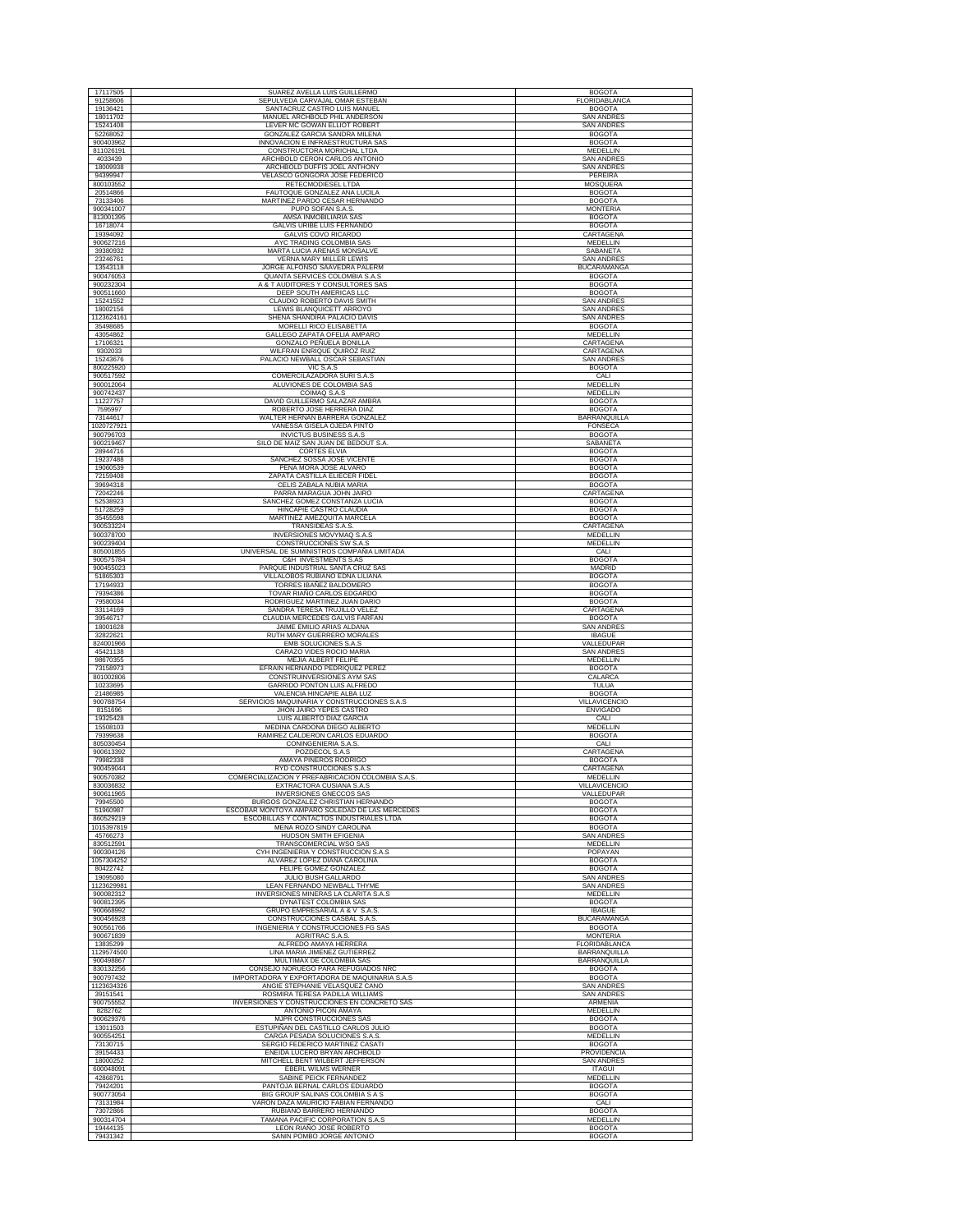| 17117505               | SUAREZ AVELLA LUIS GUILLERMO                                                  | <b>BOGOTA</b>                          |
|------------------------|-------------------------------------------------------------------------------|----------------------------------------|
| 91258606               | SEPULVEDA CARVAJAL OMAR ESTEBAN                                               | FLORIDABLANCA                          |
| 19136421               | SANTACRUZ CASTRO LUIS MANUEL                                                  | <b>BOGOTA</b>                          |
| 18011702               | MANUEL ARCHBOLD PHIL ANDERSON                                                 | <b>SAN ANDRES</b>                      |
| 15241408               | LEVER MC GOWAN ELLIOT ROBERT                                                  | <b>SAN ANDRES</b>                      |
| 52268052               | GONZALEZ GARCIA SANDRA MILENA                                                 | <b>BOGOTA</b>                          |
| 900403962              | INNOVACION E INFRAESTRUCTURA SAS                                              | <b>BOGOTA</b>                          |
| 811026191              | CONSTRUCTORA MORICHAL LTDA                                                    | MEDELLIN                               |
| 4033439<br>18009938    | ARCHBOLD CERON CARLOS ANTONIO<br>ARCHBOLD DUFFIS JOEL ANTHONY                 | <b>SAN ANDRES</b><br><b>SAN ANDRES</b> |
| 94399947               | VELASCO GONGORA JOSE FEDERICO                                                 | PEREIRA                                |
| 800103552              | RETECMODIESEL LTDA                                                            | MOSQUERA                               |
| 20514866               | FAUTOQUE GONZALEZ ANA LUCILA                                                  | <b>BOGOTA</b>                          |
| 73133406               | MARTINEZ PARDO CESAR HERNANDO                                                 | <b>BOGOTA</b>                          |
| 900341007              | PUPO SOFAN S.A.S.                                                             | <b>MONTERIA</b>                        |
| 813001395              | AMSA INMOBILIARIA SAS                                                         | <b>BOGOTA</b>                          |
| 16718074               | GALVIS URIBE LUIS FERNANDO                                                    | <b>BOGOTA</b>                          |
| 19394092               | GALVIS COVO RICARDO                                                           | CARTAGENA                              |
| 900627216              | AYC TRADING COLOMBIA SAS                                                      | MEDELLIN                               |
| 39380932               | MARTA LUCIA ARENAS MONSALVE                                                   | SABANETA                               |
| 23246761               | <b>VERNA MARY MILLER LEWIS</b>                                                | <b>SAN ANDRES</b>                      |
| 13543118               | JORGE ALFONSO SAAVEDRA PALERM                                                 | <b>BUCARAMANGA</b>                     |
| 900476053              | QUANTA SERVICES COLOMBIA S.A.S                                                | <b>BOGOTA</b>                          |
| 900232304<br>900511660 | A & T AUDITORES Y CONSULTORES SAS<br>DEEP SOUTH AMERICAS LLC                  | <b>BOGOTA</b><br><b>BOGOTA</b>         |
| 15241552               | CLAUDIO ROBERTO DAVIS SMITH                                                   | SAN ANDRE                              |
| 18002156               | LEWIS BLANQUICETT ARROYO                                                      | <b>SAN ANDRES</b>                      |
| 1123624161             | SHENA SHANDIRA PALACIO DAVIS                                                  | <b>SAN ANDRES</b>                      |
| 35498685               | MORELLI RICO ELISABETTA                                                       | <b>BOGOTA</b>                          |
| 43054862               | GALLEGO ZAPATA OFELIA AMPARO                                                  | MEDELLIN                               |
| 17106321               | GONZALO PEÑUELA BONILLA                                                       | CARTAGENA                              |
| 9302033                | WILFRAN ENRIQUE QUIROZ RUIZ                                                   | CARTAGENA                              |
| 15243676               | PALACIO NEWBALL OSCAR SEBASTIAN                                               | <b>SAN ANDRES</b>                      |
| 800225920              | VIC S.A.S                                                                     | <b>BOGOTA</b>                          |
| 900517592              | COMERCILAZADORA SURI S.A.S                                                    | CALI<br>MEDELLIN                       |
| 900012064<br>900742437 | ALUVIONES DE COLOMBIA SAS                                                     | MEDELLIN                               |
| 11227757               | COIMAQ S.A.S<br>DAVID GUILLERMO SALAZAR AMBRA                                 | <b>BOGOTA</b>                          |
| 7595997                | ROBERTO JOSE HERRERA DIAZ                                                     | <b>BOGOTA</b>                          |
| 73144617               | WALTER HERNAN BARRERA GONZALEZ                                                | BARRANQUILLA                           |
| 1020727921             | VANESSA GISELA OJEDA PINTO                                                    | FONSECA                                |
| 900796703              | <b>INVICTUS BUSINESS S.A.S</b>                                                | <b>BOGOTA</b>                          |
| 900219467              | SILO DE MAIZ SAN JUAN DE BEDOUT S.A.                                          | SABANETA                               |
| 28944716               | <b>CORTES ELVIA</b>                                                           | <b>BOGOTA</b>                          |
| 19237488               | SANCHEZ SOSSA JOSE VICENTE                                                    | <b>BOGOTA</b>                          |
| 19060539               | PEÑA MORA JOSE ALVARO                                                         | <b>BOGOTA</b>                          |
| 72159408               | ZAPATA CASTILLA ELIECER FIDEL                                                 | <b>BOGOTA</b>                          |
| 39694318<br>72042246   | CELIS ZABALA NUBIA MARIA<br>PARRA MARAGUA JOHN JAIRO                          | <b>BOGOTA</b><br>CARTAGENA             |
| 52538923               | SANCHEZ GOMEZ CONSTANZA LUCIA                                                 | <b>BOGOTA</b>                          |
| 51728259               | HINCAPIE CASTRO CLAUDIA                                                       | <b>BOGOTA</b>                          |
| 35455598               | MARTINEZ AMEZQUITA MARCELA                                                    | <b>BOGOTA</b>                          |
| 900533224              | TRANSIDEAS S.A.S.                                                             | CARTAGENA                              |
| 900378700              | <b>INVERSIONES MOVYMAQ S.A.S</b>                                              | <b>MEDELLIN</b>                        |
| 900239404              | CONSTRUCCIONES SW S.A.S                                                       | MEDELLIN                               |
| 805001855              | UNIVERSAL DE SUMINISTROS COMPAÑIA LIMITADA                                    | CALI                                   |
| 900575784              | C&H INVESTMENTS S.AS                                                          | <b>BOGOTA</b>                          |
| 900455023              | PARQUE INDUSTRIAL SANTA CRUZ SAS                                              | <b>MADRID</b>                          |
| 51865303               | VILLALOBOS RUBIANO EDNA LILIANA                                               | <b>BOGOTA</b>                          |
| 17194933<br>79394386   | TORRES IBAÑEZ BALDOMERO<br>TOVAR RIAÑO CARLOS EDGARDO                         | <b>BOGOTA</b><br><b>BOGOTA</b>         |
|                        | RODRIGUEZ MARTINEZ JUAN DARIO                                                 |                                        |
| 79580034<br>33114169   | SANDRA TERESA TRUJILLO VELEZ                                                  | <b>BOGOTA</b><br>CARTAGENA             |
| 39546717               | CLAUDIA MERCEDES GALVIS FARFAN                                                | <b>BOGOTA</b>                          |
| 18001628               | JAIME EMILIO ARIAS ALDANA                                                     | <b>SAN ANDRES</b>                      |
| 32822621               | RUTH MARY GUERRERO MORALES                                                    | <b>IBAGUE</b>                          |
| 824001966              | EMB SOLUCIONES S.A.S                                                          | VALLEDUPAR                             |
| 45421138               | CARAZO VIDES ROCIO MARIA                                                      | <b>SAN ANDRES</b>                      |
| 98670355               | MEJIA ALBERT FELIPE                                                           | MEDELLIN                               |
| 73158973               | EFRAIN HERNANDO PEDRIQUEZ PEREZ                                               | <b>BOGOTA</b>                          |
| 801002806              | CONSTRUINVERSIONES AYM SAS                                                    | CALARCA                                |
| 10233695<br>21486985   | GARRIDO PONTON LUIS ALFREDO<br>VALENCIA HINCAPIE ALBA LUZ                     | TULUA<br><b>BOGOTA</b>                 |
| 900788754              | SERVICIOS MAQUINARIA Y CONSTRUCCIONES S.A.S                                   | VILLAVICENCIO                          |
| 8151696                | JHON JAIRO YEPES CASTRO                                                       | <b>ENVIGADO</b>                        |
| 19325428               | LUIS ALBERTO DIAZ GARCIA                                                      | CALI                                   |
| 15508103               | MEDINA CARDONA DIEGO ALBERTO                                                  | MEDELLIN                               |
| 79399638               | RAMIREZ CALDERON CARLOS EDUARDO                                               | <b>BOGOTA</b>                          |
| 805030454              | CONINGENIERIA S.A.S.                                                          | CALI                                   |
| 900613392              | POZDECOL S.A.S                                                                | CARTAGENA                              |
| 79982338<br>900459044  | AMAYA PIÑEROS RODRIGO                                                         | <b>BOGOTA</b>                          |
| 900570382              | RYD CONSTRUCCIONES S.A.S<br>COMERCIALIZACION Y PREFABRICACION COLOMBIA S.A.S. | CARTAGENA<br>MEDELLIN                  |
| 830036832              | EXTRACTORA CUSIANA S.A.S                                                      | VILLAVICENCIO                          |
| 900611965              | <b>INVERSIONES GNECCOS SAS</b>                                                | VALLEDUPAR                             |
| 79945500               | BURGOS GONZALEZ CHRISTIAN HERNANDO                                            | <b>BOGOTA</b>                          |
| 51960987               | ESCOBAR MONTOYA AMPARO SOLEDAD DE LAS MERCEDES                                | <b>BOGOTA</b>                          |
| 860529219              | ESCOBILLAS Y CONTACTOS INDUSTRIALES LTDA                                      | <b>BOGOTA</b>                          |
| 1015397819             | MENA ROZO SINDY CAROLINA                                                      | <b>BOGOTA</b>                          |
| 45766273               | HUDSON SMITH EFIGENIA                                                         | <b>SAN ANDRES</b>                      |
| 830512591<br>900304126 | TRANSCOMERCIAL WSO SAS<br>CYH INGENIERIA Y CONSTRUCCION S.A.S.                | MEDELLIN<br>POPAYAN                    |
| 1057304252             | ALVAREZ LOPEZ DIANA CAROLINA                                                  | <b>BOGOTA</b>                          |
| 80422742               | FELIPE GOMEZ GONZALEZ                                                         | <b>BOGOTA</b>                          |
| 19095080               | JULIO BUSH GALLARDO                                                           | SAN ANDRES                             |
| 1123629981             | LEAN FERNANDO NEWBALL THYME                                                   | <b>SAN ANDRES</b>                      |
| 900082312              | INVERSIONES MINERAS LA CLARITA S.A.S                                          | <b>MEDELLIN</b>                        |
| 900812395              | DYNATEST COLOMBIA SAS                                                         |                                        |
| 900668992              |                                                                               | <b>BOGOTA</b>                          |
|                        | GRUPO EMPRESARIAL A & V S.A.S                                                 | <b>IBAGUE</b>                          |
| 900456928              | CONSTRUCCIONES CASBAL S.A.S.                                                  | <b>BUCARAMANGA</b>                     |
| 900561766              | INGENIERIA Y CONSTRUCCIONES FG SAS                                            | <b>BOGOTA</b>                          |
| 900671839              | <b>AGRITRAC S.A.S</b>                                                         | <b>MONTERIA</b>                        |
| 13835299<br>1129574500 | ALFREDO AMAYA HERRERA                                                         | FLORIDABLANCA                          |
|                        | LINA MARIA JIMENEZ GUTIERREZ                                                  | <b>BARRANQUILLA</b>                    |
| 900498867<br>830132256 | MULTIMAX DE COLOMBIA SAS<br>CONSEJO NORUEGO PARA REFUGIADOS NRC               | BARRANQUILLA<br><b>BOGOTA</b>          |
| 900797432              | IMPORTADORA Y EXPORTADORA DE MAQUINARIA S.A.S                                 | <b>BOGOTA</b>                          |
| 1123634326             | ANGIE STEPHANIE VELASQUEZ CANO                                                | <b>SAN ANDRES</b>                      |
| 39151541               | ROSMIRA TERESA PADILLA WILLIAMS                                               | <b>SAN ANDRES</b>                      |
| 900755552              | INVERSIONES Y CONSTRUCCIONES EN CONCRETO SAS                                  | ARMENIA                                |
| 8282762                | ANTONIO PICON AMAYA                                                           | <b>MEDELLIN</b>                        |
| 900629376              | MJPR CONSTRUCCIONES SAS                                                       | <b>BOGOTA</b>                          |
| 13011503               | ESTUPIÑAN DEL CASTILLO CARLOS JULIO                                           | <b>BOGOTA</b>                          |
| 900554251              | CARGA PESADA SOLUCIONES S.A.S.                                                | <b>MEDELLIN</b>                        |
| 73130715<br>39154433   | SERGIO FEDERICO MARTINEZ CASATI<br>ENEIDA LUCERO BRYAN ARCHBOLD               | <b>BOGOTA</b><br>PROVIDENCIA           |
| 18000252               | MITCHELL BENT WILBERT JEFFERSON                                               | <b>SAN ANDRES</b>                      |
| 600048091              | <b>EBERL WILMS WERNER</b>                                                     | <b>ITAGUI</b>                          |
| 42868791               | SABINE PEICK FERNANDEZ                                                        | MEDELLIN                               |
| 79424201               | PANTOJA BERNAL CARLOS EDUARDO                                                 | <b>BOGOTA</b>                          |
| 900773054              | BIG GROUP SALINAS COLOMBIA S A S                                              | <b>BOGOTA</b>                          |
| 73131984               | VARON DAZA MAURICIO FABIAN FERNANDO                                           | CALI                                   |
| 73072866               | RUBIANO BARRERO HERNANDO                                                      | <b>BOGOTA</b>                          |
| 900314704<br>19444135  | TAMANA PACIFIC CORPORATION S.A.S<br>LEON RIAÑO JOSE ROBERTO                   | MEDELLIN<br><b>BOGOTA</b>              |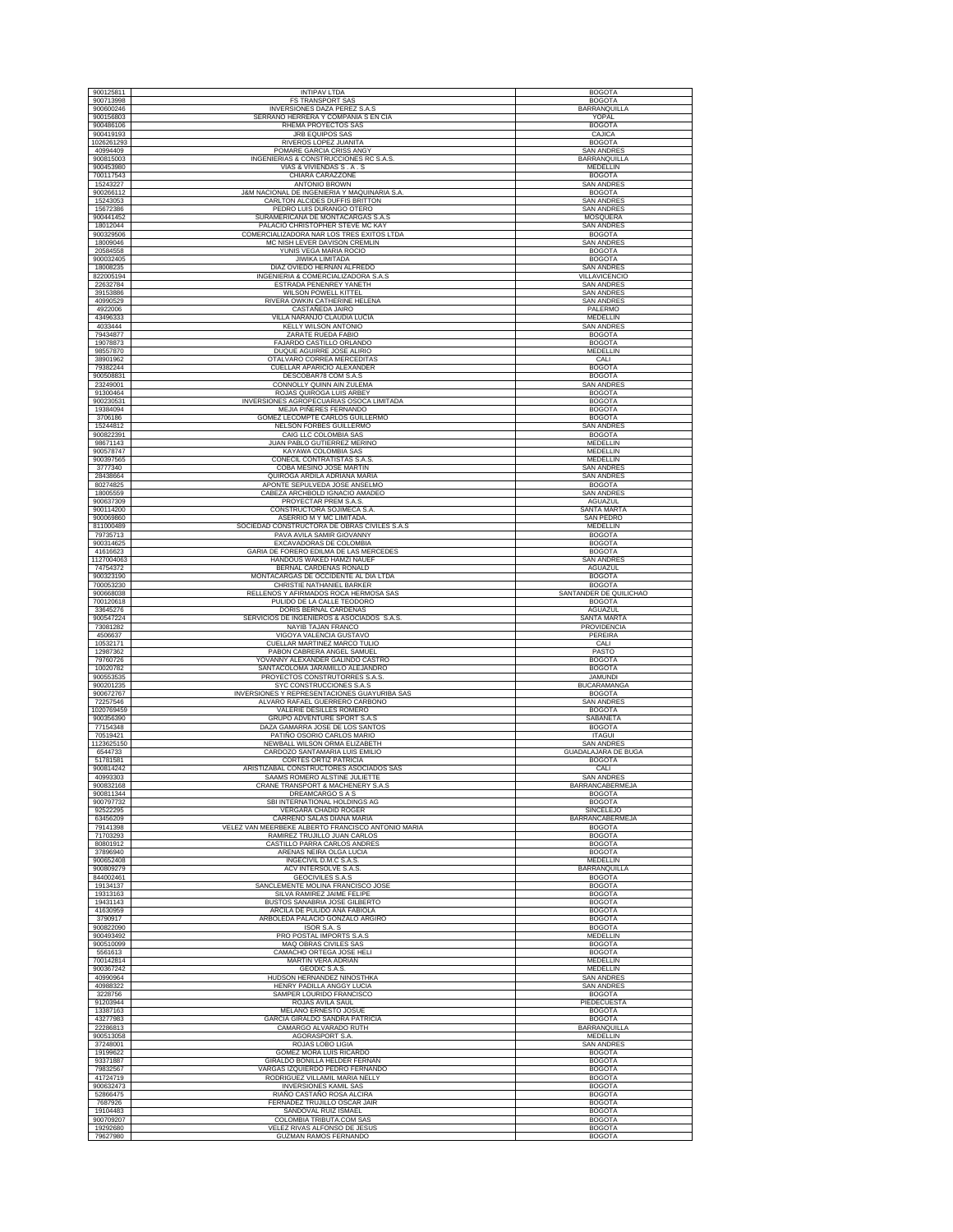| 900125811               | <b>INTIPAV LTDA</b>                                                             | <b>BOGOTA</b>                               |
|-------------------------|---------------------------------------------------------------------------------|---------------------------------------------|
| 900713998               | <b>FS TRANSPORT SAS</b>                                                         | <b>BOGOTA</b>                               |
| 900600246<br>900156803  | INVERSIONES DAZA PEREZ S.A.S<br>SERRANO HERRERA Y COMPAÑIA S EN CIA             | <b>BARRANOUILLA</b><br>YOPAL                |
| 900486106               | RHEMA PROYECTOS SAS                                                             | <b>BOGOTA</b>                               |
| 900419193<br>1026261293 | JRB EQUIPOS SAS<br>RIVEROS LOPEZ JUANITA                                        | CAJICA<br><b>BOGOTA</b>                     |
| 40994409                | POMARE GARCIA CRISS ANGY                                                        | <b>SAN ANDRES</b>                           |
| 900815003<br>900453980  | INGENIERIAS & CONSTRUCCIONES RC S.A.S.<br>VIAS & VIVIENDAS S.A.S                | BARRANQUILLA<br><b>MEDELLIN</b>             |
| 700117543               | CHIARA CARAZZONE                                                                | <b>BOGOTA</b>                               |
| 15243227                | ANTONIO BROWN                                                                   | <b>SAN ANDRES</b>                           |
| 900266112<br>15243053   | J&M NACIONAL DE INGENIERIA Y MAQUINARIA S.A<br>CARLTON ALCIDES DUFFIS BRITTON   | <b>BOGOTA</b><br><b>SAN ANDRES</b>          |
| 15672386                | PEDRO LUIS DURANGO OTERO                                                        | <b>SAN ANDRES</b>                           |
| 900441452<br>18012044   | SURAMERICANA DE MONTACARGAS S.A.S<br>PALACIO CHRISTOPHER STEVE MC KAY           | MOSQUERA<br><b>SAN ANDRES</b>               |
| 900329506               | COMERCIALIZADORA NAR LOS TRES EXITOS LTDA                                       | <b>BOGOTA</b>                               |
| 18009046<br>20584558    | MC NISH LEVER DAVISON CREMLIN<br>YUNIS VEGA MARIA ROCIO                         | <b>SAN ANDRES</b><br><b>BOGOTA</b>          |
| 900032405               | <b>JIWIKA LIMITADA</b>                                                          | <b>BOGOTA</b>                               |
| 18008235<br>822005194   | DIAZ OVIEDO HERNAN ALFREDO<br>INGENIERIA & COMERCIALIZADORA S.A.S               | <b>SAN ANDRES</b><br>VILLAVICENCIO          |
| 22632784                | ESTRADA PENENREY YANETH                                                         | <b>SAN ANDRES</b>                           |
| 39153886<br>40990529    | <b>WILSON POWELL KITTEL</b><br>RIVERA OWKIN CATHERINE HELENA                    | <b>SAN ANDRES</b><br><b>SAN ANDRES</b>      |
| 4922006                 | CASTAÑEDA JAIRO                                                                 | PALERMO                                     |
| 43496333<br>4033444     | VILLA NARANJO CLAUDIA LUCIA<br>KELLY WILSON ANTONIO                             | MEDELLIN<br><b>SAN ANDRES</b>               |
| 79434877                | ZARATE RUEDA FABIO                                                              | <b>BOGOTA</b>                               |
| 19078873<br>98557870    | FAJARDO CASTILLO ORLANDO<br>DUQUE AGUIRRE JOSE ALIRIO                           | <b>BOGOTA</b><br>MEDELLIN                   |
| 38901962                | OTALVARO CORREA MERCEDITAS                                                      | CALI                                        |
| 79382244                | CUELLAR APARICIO ALEXANDER                                                      | <b>BOGOTA</b>                               |
| 900508831<br>23249001   | DESCOBAR78 COM S.A.S<br>CONNOLLY QUINN AIN ZULEMA                               | <b>BOGOTA</b><br><b>SAN ANDRES</b>          |
| 91300464                | ROJAS QUIROGA LUIS ARBEY                                                        | <b>BOGOTA</b>                               |
| 900230531<br>19384094   | INVERSIONES AGROPECUARIAS OSOCA LIMITADA<br><b>MEJIA PIÑERES FERNANDO</b>       | <b>BOGOTA</b><br><b>BOGOTA</b>              |
| 3706186                 | GOMEZ LECOMPTE CARLOS GUILLERMO                                                 | <b>BOGOTA</b>                               |
| 15244812<br>900822391   | NELSON FORBES GUILLERMO<br>CAIG LLC COLOMBIA SAS                                | <b>SAN ANDRES</b><br><b>BOGOTA</b>          |
| 98671143                | JUAN PABLO GUTIERREZ MERINO                                                     | <b>MEDELLIN</b>                             |
| 900578747<br>900397565  | KAYAWA COLOMBIA SAS<br>CONECIL CONTRATISTAS S.A.S                               | <b>MEDELLIN</b><br><b>MEDELLIN</b>          |
| 3777340                 | COBA MESINO JOSE MARTIN                                                         | <b>SAN ANDRES</b>                           |
| 28438664<br>80274825    | QUIROGA ARDILA ADRIANA MARIA<br>APONTE SEPULVEDA JOSE ANSELMO                   | <b>SAN ANDRES</b><br><b>BOGOTA</b>          |
| 18005559                | CABEZA ARCHBOLD IGNACIO AMADEO                                                  | <b>SAN ANDRES</b>                           |
| 900637309<br>900114200  | PROYECTAR PREM S.A.S<br>CONSTRUCTORA SOJIMECA S.A                               | AGUAZUL<br>SANTA MARTA                      |
| 900069860               | ASERRIO M Y MC LIMITADA                                                         | SAN PEDRO                                   |
| 811000489<br>79735713   | SOCIEDAD CONSTRUCTORA DE OBRAS CIVILES S.A.S<br>PAVA AVILA SAMIR GIOVANNY       | MEDELLIN<br><b>BOGOTA</b>                   |
| 900314625               | EXCAVADORAS DE COLOMBIA                                                         | <b>BOGOTA</b>                               |
| 41616623<br>1127004063  | GARIA DE FORERO EDILMA DE LAS MERCEDES<br>HANDOUS WAKED HAMZI NAUEF             | <b>BOGOTA</b><br><b>SAN ANDRES</b>          |
| 74754372                | BERNAL CARDENAS RONALD                                                          | AGUAZUL                                     |
| 900323190<br>700053230  | MONTACARGAS DE OCCIDENTE AL DIA LTDA<br>CHRISTIE NATHANIEL BARKER               | <b>BOGOTA</b><br><b>BOGOTA</b>              |
| 900668038               | RELLENOS Y AFIRMADOS ROCA HERMOSA SAS                                           | SANTANDER DE QUILICHAO                      |
| 700120618<br>33645276   | PULIDO DE LA CALLE TEODORO<br>DORIS BERNAL CARDENAS                             | <b>BOGOTA</b><br>AGUAZUL                    |
| 900547224<br>73081282   | SERVICIOS DE INGENIEROS & ASOCIADOS S.A.S.<br>NAYIB TAJAN FRANCO                | SANTA MARTA<br>PROVIDENCIA                  |
| 4506637                 | VIGOYA VALENCIA GUSTAVO                                                         | PEREIRA                                     |
| 10532171<br>12987362    | CUELLAR MARTINEZ MARCO TULIO<br>PABON CABRERA ANGEL SAMUEL                      | CALI<br>PASTO                               |
| 79760726                | YOVANNY ALEXANDER GALINDO CASTRO                                                | <b>BOGOTA</b>                               |
| 10020782<br>900553535   | SANTACOLOMA JARAMILLO ALEJANDRO<br>PROYECTOS CONSTRUTORRES S.A.S.               | <b>BOGOTA</b><br><b>JAMUNDI</b>             |
| 900201235               | SYC CONSTRUCCIONES S.A.S                                                        | <b>BUCARAMANGA</b>                          |
| 900672767<br>72257546   | INVERSIONES Y REPRESENTACIONES GUAYURIBA SAS<br>ALVARO RAFAEL GUERRERO CARBONO  | <b>BOGOTA</b><br><b>SAN ANDRES</b>          |
| 1020769459              | VALERIE DESILLES ROMERO                                                         | <b>BOGOTA</b>                               |
| 900356390<br>77154348   | <b>GRUPO ADVENTURE SPORT S.A.S</b><br>DAZA GAMARRA JOSE DE LOS SANTOS           |                                             |
|                         |                                                                                 | SABANETA                                    |
| 70519421                | PATIÑO OSORIO CARLOS MARIO                                                      | <b>BOGOTA</b><br><b>ITAGUI</b>              |
|                         | NEWBALL WILSON ORMA ELIZABETH                                                   | <b>SAN ANDRES</b>                           |
| 6544733<br>51781581     | CARDOZO SANTAMARIA LUIS EMILIO<br>CORTES ORTIZ PATRICIA                         | <b>GUADALAJARA DE BUGA</b><br><b>BOGOTA</b> |
| 900814242               | ARISTIZABAL CONSTRUCTORES ASOCIADOS SAS                                         | CALI                                        |
| 40993303<br>900832168   | SAAMS ROMERO ALSTINE JULIETTE<br>CRANE TRANSPORT & MACHENERY S.A.S              | <b>SAN ANDRES</b><br><b>BARRANCABERMEJA</b> |
| 900811344<br>900797732  | DREAMCARGO S A S<br>SBI INTERNATIONAL HOLDINGS AG                               | <b>BOGOTA</b><br><b>BOGOTA</b>              |
| 92522295                | VERGARA CHADID ROGER                                                            | <b>SINCELEJO</b>                            |
| 63456209<br>79141398    | CARREÑO SALAS DIANA MARIA<br>VELEZ VAN MEERBEKE ALBERTO FRANCISCO ANTONIO MARIA | <b>BARRANCABERMEJA</b><br><b>BOGOTA</b>     |
| 71703293                | RAMIREZ TRUJILLO JUAN CARLOS                                                    | <b>BOGOTA</b>                               |
| 80801912<br>37896940    | CASTILLO PARRA CARLOS ANDRES<br>ARENAS NEIRA OLGA LUCIA                         | <b>BOGOTA</b><br><b>BOGOTA</b>              |
| 1123625150<br>900652408 | INGECIVIL D.M.C S.A.S.                                                          | MEDELLIN                                    |
| 900809279<br>844002461  | ACV INTERSOLVE S.A.S.<br><b>GEOCIVILES S.A.S</b>                                | BARRANQUILLA<br><b>BOGOTA</b>               |
| 19134137                | SANCLEMENTE MOLINA FRANCISCO JOSE                                               | <b>BOGOTA</b>                               |
| 19313163<br>19431143    | SILVA RAMIREZ JAIME FELIPE<br>BUSTOS SANABRIA JOSE GILBERTO                     | <b>BOGOTA</b><br><b>BOGOTA</b>              |
| 41630959                | ARCILA DE PULIDO ANA FABIOLA                                                    | <b>BOGOTA</b>                               |
| 3790917<br>900822090    | ARBOLEDA PALACIO GONZALO ARGIRO<br>ISOR S.A. S                                  | <b>BOGOTA</b><br><b>BOGOTA</b>              |
| 900493492               | PRO POSTAL IMPORTS S.A.S                                                        | MEDELLIN                                    |
| 900510099<br>5561613    | MAQ OBRAS CIVILES SAS<br>CAMACHO ORTEGA JOSE HELI                               | <b>BOGOTA</b><br><b>BOGOTA</b>              |
| 700142814               | MARTIN VERA ADRIAN                                                              | <b>MEDELLIN</b>                             |
| 900367242<br>40990964   | <b>GEODIC S.A.S.</b><br>HUDSON HERNANDEZ NINOSTHKA                              | MEDELLIN<br><b>SAN ANDRES</b>               |
| 40988322                | HENRY PADILLA ANGGY LUCIA                                                       | <b>SAN ANDRES</b>                           |
| 3228756<br>91203944     | SAMPER LOURIDO FRANCISCO<br>ROJAS AVILA SAUL                                    | <b>BOGOTA</b><br>PIEDECUESTA                |
| 13387163                | MELANO ERNESTO JOSUE                                                            | <b>BOGOTA</b>                               |
| 43277983<br>22286813    | <b>GARCIA GIRALDO SANDRA PATRICIA</b><br>CAMARGO ALVARADO RUTH                  | <b>BOGOTA</b><br>BARRANQUILLA               |
| 900513058               | AGORASPORT S.A                                                                  | MEDELLIN                                    |
| 37248001<br>19199622    | ROJAS LOBO LIGIA<br>GOMEZ MORA LUIS RICARDO                                     | SAN ANDRES<br><b>BOGOTA</b>                 |
| 93371887                | GIRALDO BONILLA HELDER FERNAN                                                   | <b>BOGOTA</b>                               |
| 79832567<br>41724719    | VARGAS IZQUIERDO PEDRO FERNANDO<br>RODRIGUEZ VILLAMIL MARIA NELLY               | <b>BOGOTA</b><br><b>BOGOTA</b>              |
| 900632473               | <b>INVERSIONES KAMIL SAS</b>                                                    | <b>BOGOTA</b>                               |
| 52866475<br>7687926     | RIAÑO CASTAÑO ROSA ALCIRA<br>FERNADEZ TRUJILLO OSCAR JAIR                       | <b>BOGOTA</b><br><b>BOGOTA</b>              |
| 19104483                | SANDOVAL RUIZ ISMAEL                                                            | <b>BOGOTA</b>                               |
| 900709207<br>19292680   | COLOMBIA TRIBUTA.COM SAS<br>VELEZ RIVAS ALFONSO DE JESUS                        | <b>BOGOTA</b><br><b>BOGOTA</b>              |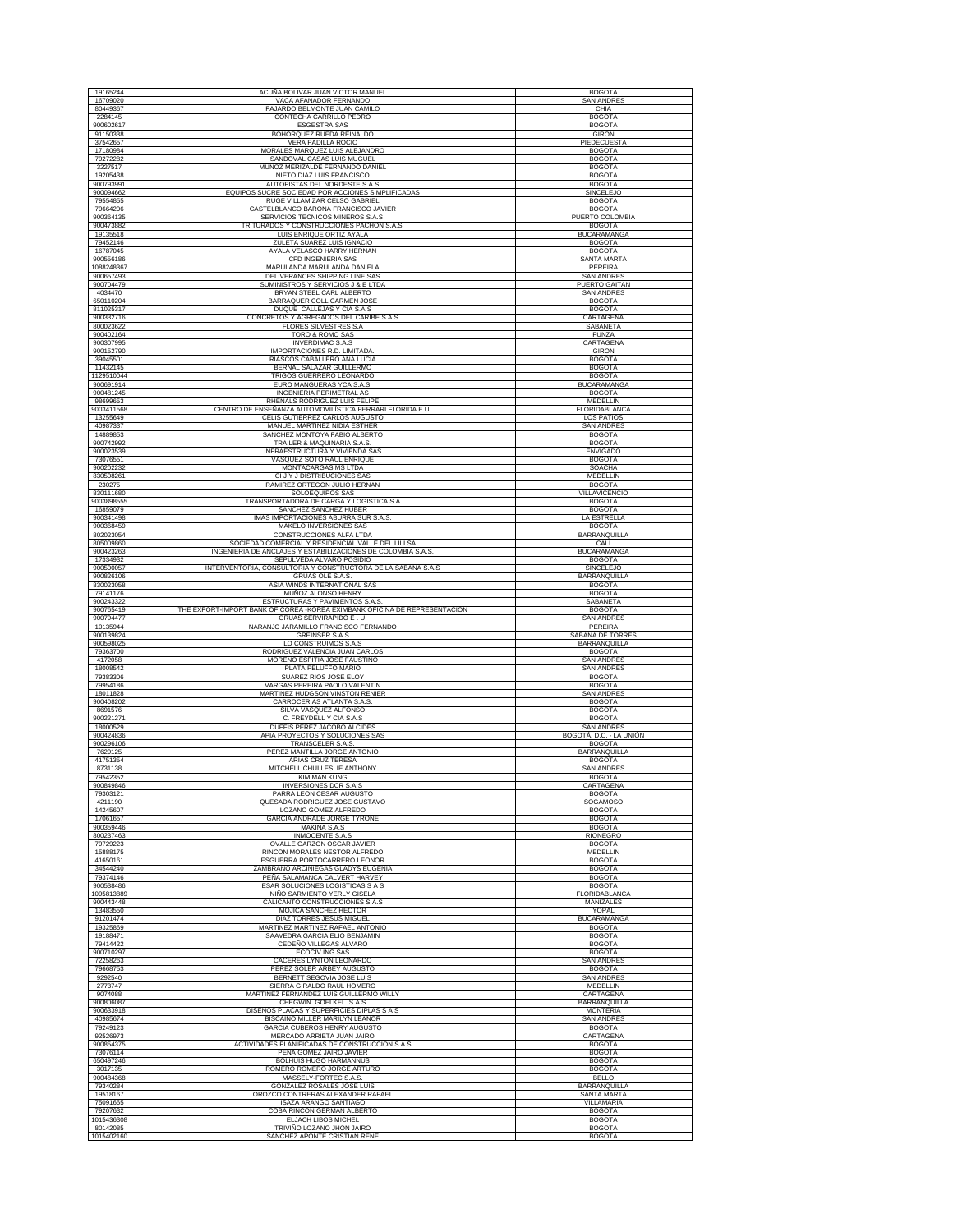| 19165244                | ACUÑA BOLIVAR JUAN VICTOR MANUEL                                                                                  | <b>BOGOTA</b>                          |
|-------------------------|-------------------------------------------------------------------------------------------------------------------|----------------------------------------|
|                         |                                                                                                                   |                                        |
| 16709020<br>80449367    | VACA AFANADOR FERNANDO<br>FAJARDO BELMONTE JUAN CAMILO                                                            | SAN ANDRES                             |
| 2284145                 | CONTECHA CARRILLO PEDRO                                                                                           | CHIA<br><b>BOGOTA</b>                  |
| 900602617               | <b>ESGESTRA SAS</b>                                                                                               | <b>BOGOTA</b>                          |
| 91150338                | BOHORQUEZ RUEDA REINALDO                                                                                          | <b>GIRON</b>                           |
| 37542657                | VERA PADILLA ROCIO                                                                                                | PIEDECUESTA                            |
| 17180984                | MORALES MARQUEZ LUIS ALEJANDRO                                                                                    | <b>BOGOTA</b>                          |
| 79272282                | SANDOVAL CASAS LUIS MUGUEL                                                                                        | <b>BOGOTA</b>                          |
| 3227517                 | MUÑOZ MERIZALDE FERNANDO DANIEL                                                                                   | <b>BOGOTA</b>                          |
| 19205438                | NIETO DIAZ LUIS FRANCISCO                                                                                         | <b>BOGOTA</b>                          |
| 900793991               | AUTOPISTAS DEL NORDESTE S.A.S                                                                                     | <b>BOGOTA</b>                          |
| 900094662               | EQUIPOS SUCRE SOCIEDAD POR ACCIONES SIMPLIFICADAS                                                                 | SINCELEJO                              |
| 79554855                | RUGE VILLAMIZAR CELSO GABRIEL                                                                                     | <b>BOGOTA</b>                          |
| 79664206                | CASTELBLANCO BARONA FRANCISCO JAVIER                                                                              | <b>BOGOTA</b>                          |
| 900364135               | SERVICIOS TECNICOS MINEROS S.A.S                                                                                  | PUERTO COLOMBIA                        |
| 900473882               | TRITURADOS Y CONSTRUCCIONES PACHON S.A.S.                                                                         | <b>BOGOTA</b>                          |
| 19135518<br>79452146    | LUIS ENRIQUE ORTIZ AYALA<br>ZULETA SUAREZ LUIS IGNACIO                                                            | <b>BUCARAMANGA</b><br><b>BOGOTA</b>    |
| 16787045                | AYALA VELASCO HARRY HERNAN                                                                                        | <b>BOGOTA</b>                          |
| 900556186               | CFD INGENIERIA SAS                                                                                                | SANTA MARTA                            |
| 1088248367              | MARULANDA MARULANDA DANIELA                                                                                       | PEREIRA                                |
| 900657493               | DELIVERANCES SHIPPING LINE SAS                                                                                    | <b>SAN ANDRES</b>                      |
| 900704479               | SUMINISTROS Y SERVICIOS J & E LTDA                                                                                | PUERTO GAITAN                          |
| 4034470                 | BRYAN STEEL CARL ALBERTO                                                                                          | <b>SAN ANDRES</b>                      |
| 650110204               | BARRAQUER COLL CARMEN JOSE                                                                                        | <b>BOGOTA</b>                          |
| 811025317               | DUQUE CALLEJAS Y CIA S.A.S                                                                                        | <b>BOGOTA</b>                          |
| 900332716               | CONCRETOS Y AGREGADOS DEL CARIBE S.A.S                                                                            | CARTAGENA                              |
| 800023622<br>900402164  | FLORES SILVESTRES S.A<br>TORO & ROMO SAS                                                                          | SABANETA<br><b>FUNZA</b>               |
| 900307995               | <b>INVERDIMAC S.A.S</b>                                                                                           | CARTAGENA                              |
| 900152790               | IMPORTACIONES R.D. LIMITADA                                                                                       | <b>GIRON</b>                           |
| 39045501                | RIASCOS CABALLERO ANA LUCIA                                                                                       | <b>BOGOTA</b>                          |
| 11432145                | BERNAL SALAZAR GUILLERMO                                                                                          | <b>BOGOTA</b>                          |
| 1129510044              | TRIGOS GUERRERO LEONARDO                                                                                          | <b>BOGOTA</b>                          |
| 900691914               | EURO MANGUERAS YCA S.A.S                                                                                          | <b>BUCARAMANGA</b>                     |
| 900481245               | INGENIERIA PERIMETRAL AS                                                                                          | <b>BOGOTA</b>                          |
| 98699653                | RHENALS RODRIGUEZ LUIS FELIPE                                                                                     | MEDELLIN                               |
| 9003411568              | CENTRO DE ENSEÑANZA AUTOMOVILÍSTICA FERRARI FLORIDA E.U.                                                          | FLORIDABLANCA                          |
| 13255649<br>40987337    | CELIS GUTIERREZ CARLOS AUGUSTO<br>MANUEL MARTINEZ NIDIA ESTHER                                                    | <b>LOS PATIOS</b><br><b>SAN ANDRES</b> |
| 14889853                | SANCHEZ MONTOYA FABIO ALBERTO                                                                                     | <b>BOGOTA</b>                          |
| 900742992               | TRAILER & MAQUINARIA S.A.S.                                                                                       | <b>BOGOTA</b>                          |
| 900023539               | INFRAESTRUCTURA Y VIVIENDA SAS                                                                                    | <b>ENVIGADO</b>                        |
| 73076551                | VASQUEZ SOTO RAUL ENRIQUE                                                                                         | <b>BOGOTA</b>                          |
| 900202232               | <b>MONTACARGAS MS LTDA</b>                                                                                        | <b>SOACHA</b>                          |
| 830508261               | CI J Y J DISTRIBUCIONES SAS                                                                                       | MEDELLIN                               |
| 230275<br>830111680     | RAMIREZ ORTEGON JULIO HERNAN<br>SOLOEQUIPOS SAS                                                                   | <b>BOGOTA</b><br>VILLAVICENCIO         |
| 9003898555              | TRANSPORTADORA DE CARGA Y LOGISTICA S A                                                                           | <b>BOGOTA</b>                          |
| 16859079                | SANCHEZ SANCHEZ HUBER                                                                                             | <b>BOGOTA</b>                          |
| 900341498               | IMAS IMPORTACIONES ABURRA SUR S.A.S.                                                                              | <b>LA ESTRELLA</b>                     |
| 900368459               | MAKELO INVERSIONES SAS                                                                                            | <b>BOGOTA</b>                          |
| 802023054               | CONSTRUCCIONES ALFA LTDA                                                                                          | BARRANQUILLA                           |
| 805009860<br>900423263  | SOCIEDAD COMERCIAL Y RESIDENCIAL VALLE DEL LILI SA<br>INGENIERIA DE ANCLAJES Y ESTABILIZACIONES DE COLOMBIA S.A.S | CALI<br><b>BUCARAMANGA</b>             |
| 17334932                | SEPULVEDA ALVARO POSIDIO                                                                                          | <b>BOGOTA</b>                          |
| 900500057               | INTERVENTORIA, CONSULTORIA Y CONSTRUCTORA DE LA SABANA S.A.S                                                      | <b>SINCELEJO</b>                       |
| 900826106               | GRUAS OLE S.A.S                                                                                                   | BARRANQUILLA                           |
| 830023058               | ASIA WINDS INTERNATIONAL SAS                                                                                      | <b>BOGOTA</b>                          |
| 79141176                | MUÑOZ ALONSO HENRY                                                                                                | <b>BOGOTA</b>                          |
| 900243322               | ESTRUCTURAS Y PAVIMENTOS S.A.S                                                                                    | SABANETA                               |
|                         |                                                                                                                   |                                        |
| 900765419               | THE EXPORT-IMPORT BANK OF COREA - KOREA EXIMBANK OFICINA DE REPRESENTACION                                        | <b>BOGOTA</b>                          |
| 900794477<br>10135944   | GRUAS SERVIRAPIDO E.U.<br>NARANJO JARAMILLO FRANCISCO FERNANDO                                                    | <b>SAN ANDRES</b><br>PEREIRA           |
| 900139824               | <b>GREINSER S.A.S</b>                                                                                             | SABANA DE TORRES                       |
| 900598025               | LO CONSTRUIMOS S.A.S                                                                                              | BARRANQUILLA                           |
| 79363700                | RODRIGUEZ VALENCIA JUAN CARLOS                                                                                    | <b>BOGOTA</b>                          |
| 4172058<br>18008542     | MORENO ESPITIA JOSE FAUSTINO<br>PLATA PELUFFO MARIO                                                               | <b>SAN ANDRES</b><br><b>SAN ANDRES</b> |
| 79383306                | SUAREZ RIOS JOSE ELOY                                                                                             | <b>BOGOTA</b>                          |
| 79954186                | VARGAS PEREIRA PAOLO VALENTIN                                                                                     | <b>BOGOTA</b>                          |
| 18011828                | MARTINEZ HUDGSON VINSTON RENIER                                                                                   | <b>SAN ANDRES</b>                      |
| 900408202               | CARROCERIAS ATLANTA S.A.S                                                                                         | <b>BOGOTA</b>                          |
| 8691576                 | SILVA VASQUEZ ALFONSO<br>C. FREYDELL Y CIA S.A.S                                                                  | <b>BOGOTA</b>                          |
| 900221271<br>18000529   | DUFFIS PEREZ JACOBO ALCIDES                                                                                       | <b>BOGOTA</b><br><b>SAN ANDRES</b>     |
| 900424836               | APIA PROYECTOS Y SOLUCIONES SAS                                                                                   | BOGOTÁ, D.C. - LA UNIÓN                |
| 900296106               | TRANSCELER S.A.S                                                                                                  | <b>BOGOTA</b>                          |
| 7629125                 | PEREZ MANTILLA JORGE ANTONIO                                                                                      | BARRANQUILLA                           |
| 41751354                | ARIAS CRUZ TERESA                                                                                                 | <b>BOGOTA</b>                          |
| 8731138                 | MITCHELL CHUI LESLIE ANTHONY                                                                                      | <b>SAN ANDRES</b>                      |
| 79542352                | <b>KIM MAN KUNG</b>                                                                                               | <b>BOGOTA</b>                          |
| 900849846<br>79303121   | <b>INVERSIONES DCR S.A.S</b><br>PARRA LEON CESAR AUGUSTO                                                          | CARTAGENA<br><b>BOGOTA</b>             |
| 4211190                 | QUESADA RODRIGUEZ JOSE GUSTAVO                                                                                    | SOGAMOSO                               |
| 14245607                | LOZANO GOMEZ ALFREDO                                                                                              | <b>BOGOTA</b>                          |
| 17061657                | GARCIA ANDRADE JORGE TYRONE                                                                                       | <b>BOGOTA</b>                          |
| 900359446<br>800237463  | MAKINA S.A.S                                                                                                      | <b>BOGOTA</b>                          |
| 79729223                | INMOCENTE S.A.S<br>OVALLE GARZON OSCAR JAVIER                                                                     | RIONEGRO<br><b>BOGOTA</b>              |
| 15888175                | RINCON MORALES NESTOR ALFREDO                                                                                     | MEDELLIN                               |
| 41650161                | ESGUERRA PORTOCARRERO LEONOR                                                                                      | <b>BOGOTA</b>                          |
| 34544240                | ZAMBRANO ARCINIEGAS GLADYS EUGENIA                                                                                | <b>BOGOTA</b>                          |
| 79374146<br>900538486   | PEÑA SALAMANCA CALVERT HARVEY                                                                                     | <b>BOGOTA</b><br><b>BOGOTA</b>         |
|                         | ESAR SOLUCIONES LOGISTICAS S A S                                                                                  |                                        |
| 1095813889<br>900443448 | NIÑO SARMIENTO YERLY GISELA<br>CALICANTO CONSTRUCCIONES S.A.S                                                     | <b>FLORIDABLANCA</b><br>MANIZALES      |
| 13483550                | MOJICA SANCHEZ HECTOR                                                                                             | YOPAL                                  |
| 91201474                | <b>DIAZ TORRES JESUS MIGUEL</b>                                                                                   | <b>BUCARAMANGA</b>                     |
| 19325869                | MARTINEZ MARTINEZ RAFAEL ANTONIO                                                                                  | <b>BOGOTA</b>                          |
| 19188471                | SAAVEDRA GARCIA ELIO BENJAMIN<br>CEDEÑO VILLEGAS ALVARO                                                           | <b>BOGOTA</b>                          |
| 79414422<br>900710297   | ECOCIV ING SAS                                                                                                    | <b>BOGOTA</b><br><b>BOGOTA</b>         |
| 72258263                | CACERES LYNTON LEONARDO                                                                                           | <b>SAN ANDRES</b>                      |
| 79668753                | PEREZ SOLER ARBEY AUGUSTO                                                                                         | <b>BOGOTA</b>                          |
| 9292540                 | BERNETT SEGOVIA JOSE LUIS                                                                                         | <b>SAN ANDRES</b>                      |
| 2773747                 | SIERRA GIRALDO RAUL HOMERO                                                                                        | <b>MEDELLIN</b>                        |
| 9074088<br>900806087    | MARTINEZ FERNANDEZ LUIS GUILLERMO WILLY                                                                           | CARTAGENA                              |
| 900633918               | CHEGWIN GOELKEL S.A.S<br>DISEÑOS PLACAS Y SUPERFICIES DIPLAS S A S                                                | <b>BARRANQUILLA</b><br><b>MONTERIA</b> |
| 40985674                | BISCAINO MILLER MARILYN LEANOR                                                                                    | SAN ANDRES                             |
| 79249123                | GARCIA CUBEROS HENRY AUGUSTO                                                                                      | <b>BOGOTA</b>                          |
| 92526973                | MERCADO ARRIETA JUAN JAIRO                                                                                        | CARTAGENA                              |
| 900854375               | ACTIVIDADES PLANIFICADAS DE CONSTRUCCION S.A.S                                                                    | <b>BOGOTA</b>                          |
| 73076114<br>650497246   | PEÑA GOMEZ JAIRO JAVIER<br>BOLHUIS HUGO HARMANNUS                                                                 | <b>BOGOTA</b><br><b>BOGOTA</b>         |
| 3017135                 | ROMERO ROMERO JORGE ARTURO                                                                                        | <b>BOGOTA</b>                          |
| 900484368               | MASSELY-FORTEC S.A.S.                                                                                             | <b>BELLO</b>                           |
| 79340284                | GONZALEZ ROSALES JOSE LUIS                                                                                        | <b>BARRANQUILLA</b>                    |
| 19518167                | OROZCO CONTRERAS ALEXANDER RAFAEL                                                                                 | <b>SANTA MARTA</b>                     |
| 75091665                | ISAZA ARANGO SANTIAGO                                                                                             | VILLAMARIA                             |
| 79207632<br>1015436308  | COBA RINCON GERMAN ALBERTO<br>ELJACH LIBOS MICHEL                                                                 | <b>BOGOTA</b><br><b>BOGOTA</b>         |
| 80142085<br>1015402160  | TRIVIÑO LOZANO JHON JAIRO<br>SANCHEZ APONTE CRISTIAN RENE                                                         | <b>BOGOTA</b><br><b>BOGOTA</b>         |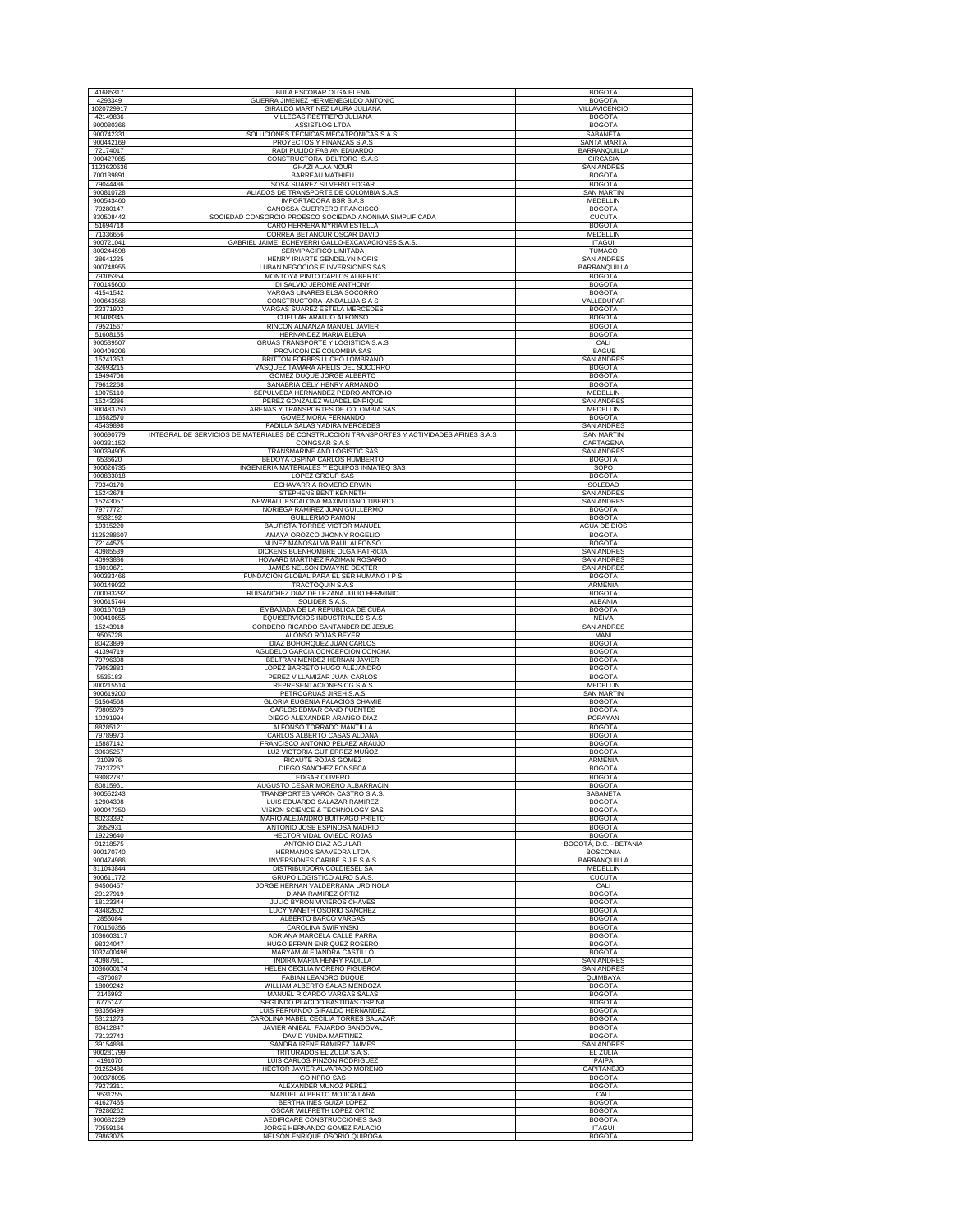| 41685317                | BULA ESCOBAR OLGA ELENA                                                                                                     | <b>BOGOTA</b>                          |
|-------------------------|-----------------------------------------------------------------------------------------------------------------------------|----------------------------------------|
| 4293349                 | GUERRA JIMENEZ HERMENEGILDO ANTONIO                                                                                         | <b>BOGOTA</b>                          |
| 1020729917              | <b>GIRALDO MARTINEZ LAURA JULIANA</b>                                                                                       | VILLAVICENCIO                          |
| 42149836<br>900080366   | VILLEGAS RESTREPO JULIANA<br>ASSISTLOG LTDA                                                                                 | <b>BOGOTA</b><br><b>BOGOTA</b>         |
| 900742331<br>900442169  | SOLUCIONES TECNICAS MECATRONICAS S.A.S.<br>PROYECTOS Y FINANZAS S.A.S                                                       | SABANETA<br><b>SANTA MARTA</b>         |
| 72174017                | RADI PULIDO FABIAN EDUARDO                                                                                                  | BARRANQUILLA                           |
| 900427085               | CONSTRUCTORA DELTORO S.A.S                                                                                                  | CIRCASIA                               |
| 1123620636<br>700139891 | <b>GHAZI ALAA NOUR</b><br><b>BARREAU MATHIEU</b>                                                                            | SAN ANDRES<br><b>BOGOTA</b>            |
| 79044486                | SOSA SUAREZ SILVERIO EDGAR<br>ALIADOS DE TRANSPORTE DE COLOMBIA S.A.S                                                       | <b>BOGOTA</b>                          |
| 900810728<br>900543460  | <b>IMPORTADORA BSR S.A.S</b>                                                                                                | <b>SAN MARTIN</b><br>MEDELLIN          |
| 79280147                | CANOSSA GUERRERO FRANCISCO                                                                                                  | <b>BOGOTA</b>                          |
| 830508442<br>51694718   | SOCIEDAD CONSORCIO PROESCO SOCIEDAD ANONIMA SIMPLIFICADA<br>CARO HERRERA MYRIAM ESTELLA                                     | <b>CUCUTA</b><br><b>BOGOTA</b>         |
| 71336656                | CORREA BETANCUR OSCAR DAVID                                                                                                 | MEDELLIN                               |
| 900721041<br>800244598  | GABRIEL JAIME ECHEVERRI GALLO-EXCAVACIONES S.A.S.<br>SERVIPACIFICO LIMITADA                                                 | <b>ITAGUI</b><br><b>TUMACO</b>         |
| 38641225<br>900748955   | HENRY IRIARTE GENDELYN NORIS<br>LUBAN NEGOCIOS E INVERSIONES SAS                                                            | <b>SAN ANDRE!</b><br>BARRANQUILLA      |
| 79305354                | MONTOYA PINTO CARLOS ALBERTO                                                                                                | <b>BOGOTA</b>                          |
| 700145600<br>41541542   | DI SALVIO JEROME ANTHONY<br>VARGAS LINARES ELSA SOCORRO                                                                     | <b>BOGOTA</b><br><b>BOGOTA</b>         |
| 900643566               | CONSTRUCTORA ANDALUJA S A S                                                                                                 | VALLEDUPAR                             |
| 22371902<br>80408345    | VARGAS SUAREZ ESTELA MERCEDES<br>CUELLAR ARAUJO ALFONSO                                                                     | <b>BOGOTA</b><br><b>BOGOTA</b>         |
| 79521567                | RINCON ALMANZA MANUEL JAVIER                                                                                                | <b>BOGOTA</b>                          |
| 51608155<br>900539507   | HERNANDEZ MARIA ELENA<br>GRUAS TRANSPORTE Y LOGISTICA S.A.S                                                                 | <b>BOGOTA</b><br>CALI                  |
| 900409206               | PROVICON DE COLOMBIA SAS                                                                                                    | <b>IBAGUE</b>                          |
| 15241353<br>32693215    | BRITTON FORBES LUCHO LOMBRANC<br>VASQUEZ TAMARA ARELIS DEL SOCORRO                                                          | <b>SAN ANDRES</b><br><b>BOGOTA</b>     |
| 19494706                | GOMEZ DUQUE JORGE ALBERTO                                                                                                   | <b>BOGOTA</b>                          |
| 79612268<br>19075110    | SANABRIA CELY HENRY ARMANDO<br>SEPULVEDA HERNANDEZ PEDRO ANTONIO                                                            | <b>BOGOTA</b><br>MEDELLIN              |
| 15243286<br>900483750   | PEREZ GONZALEZ WUADEL ENRIQUE<br>ARENAS Y TRANSPORTES DE COLOMBIA SAS                                                       | <b>SAN ANDRES</b><br>MEDELLIN          |
| 16582570                | GOMEZ MORA FERNANDO                                                                                                         | <b>BOGOTA</b>                          |
| 45439898<br>900690779   | PADILLA SALAS YADIRA MERCEDES<br>INTEGRAL DE SERVICIOS DE MATERIALES DE CONSTRUCCION TRANSPORTES Y ACTIVIDADES AFINES S.A.S | <b>SAN ANDRES</b><br><b>SAN MARTIN</b> |
| 900331152               | COINGSAR S.A.S                                                                                                              | CARTAGENA                              |
| 900394905<br>6536620    | TRANSMARINE AND LOGISTIC SAS<br>BEDOYA OSPINA CARLOS HUMBERTO                                                               | <b>SAN ANDRES</b><br><b>BOGOTA</b>     |
| 900626735               | INGENIERIA MATERIALES Y EQUIPOS INMATEQ SAS                                                                                 | SOPO                                   |
| 900833018<br>79340170   | LOPEZ GROUP SAS<br>ECHAVARRIA ROMERO ERWIN                                                                                  | <b>BOGOTA</b><br>SOLEDAD               |
| 15242678                | STEPHENS BENT KENNETH                                                                                                       | <b>SAN ANDRES</b>                      |
| 15243057<br>79777727    | NEWBALL ESCALONA MAXIMILIANO TIBERIO<br>NORIEGA RAMIREZ JUAN GUILLERMO                                                      | <b>SAN ANDRES</b><br><b>BOGOTA</b>     |
| 9532192                 | <b>GUILLERMO RAMON</b>                                                                                                      | <b>BOGOTA</b>                          |
| 19315220<br>1125288607  | BAUTISTA TORRES VICTOR MANUEL<br>AMAYA OROZCO JHONNY ROGELIO                                                                | AGUA DE DIOS<br><b>BOGOTA</b>          |
| 72144575                | NUÑEZ MANOSALVA RAUL ALFONSO                                                                                                | <b>BOGOTA</b>                          |
| 40985539<br>40993886    | DICKENS BUENHOMBRE OLGA PATRICIA<br>HOWARD MARTINEZ RAZIMAN ROSARIO                                                         | <b>SAN ANDRES</b><br><b>SAN ANDRES</b> |
| 18010671<br>900333466   | JAMES NELSON DWAYNE DEXTER<br>FUNDACION GLOBAL PARA EL SER HUMANO I P S                                                     | <b>SAN ANDRES</b><br><b>BOGOTA</b>     |
| 900149032               | <b>TRACTOQUIN S.A.S</b>                                                                                                     | ARMENIA                                |
| 700093292<br>900615744  | RUISANCHEZ DIAZ DE LEZANA JULIO HERMINIO<br>SOLIDER S.A.S.                                                                  | <b>BOGOTA</b><br>ALBANIA               |
| 800167019               | EMBAJADA DE LA REPUBLICA DE CUBA                                                                                            | <b>BOGOTA</b>                          |
| 900410655<br>15243918   | EQUISERVICIOS INDUSTRIALES S.A.S<br>CORDERO RICARDO SANTANDER DE JESUS                                                      | <b>NEIVA</b><br><b>SAN ANDRES</b>      |
| 9505728                 | ALONSO ROJAS BEYER                                                                                                          | MANI                                   |
| 80423899<br>41394719    | DIAZ BOHORQUEZ JUAN CARLOS<br>AGUDELO GARCIA CONCEPCION CONCHA                                                              | <b>BOGOTA</b><br><b>BOGOTA</b>         |
| 79796308                | BELTRAN MENDEZ HERNAN JAVIER                                                                                                | <b>BOGOTA</b>                          |
| 79053883<br>5535183     | LOPEZ BARRETO HUGO ALEJANDRO<br>PEREZ VILLAMIZAR JUAN CARLOS                                                                | <b>BOGOTA</b><br><b>BOGOTA</b>         |
| 800215514<br>900619200  | REPRESENTACIONES CG S.A.S<br>PETROGRUAS JIREH S.A.S                                                                         | MEDELLIN<br><b>SAN MARTIN</b>          |
| 51564568                | <b>GLORIA EUGENIA PALACIOS CHAMIE</b>                                                                                       | <b>BOGOTA</b>                          |
| 79805979<br>10291994    | CARLOS EDMAR CANO PUENTES<br>DIEGO ALEXANDER ARANGO DIAZ                                                                    | <b>BOGOTA</b><br>POPAYAN               |
| 88285121                | ALFONSO TORRADO MANTILLA                                                                                                    | <b>BOGOTA</b>                          |
| 79789973<br>15887142    | CARLOS ALBERTO CASAS ALDANA<br>FRANCISCO ANTONIO PELAEZ ARAUJO                                                              | <b>BOGOTA</b><br><b>BOGOTA</b>         |
| 39635257                | LUZ VICTORIA GUTIERREZ MUÑOZ                                                                                                | <b>BOGOTA</b>                          |
| 3103976<br>79237267     | RICAUTE ROJAS GOMEZ<br>DIEGO SANCHEZ FONSECA                                                                                | ARMENIA<br><b>BOGOTA</b>               |
| 93082787<br>80815961    | <b>EDGAR OLIVERO</b><br>AUGUSTO CESAR MORENO ALBARRACIN                                                                     | <b>BOGOTA</b><br><b>BOGOTA</b>         |
| 900552243               | TRANSPORTES VARON CASTRO S.A.S.                                                                                             | SABANETA                               |
| 12904308<br>900047350   | LUIS EDUARDO SALAZAR RAMIREZ<br>VISION SCIENCE & TECHNOLOGY SAS                                                             | <b>BOGOTA</b><br><b>BOGOTA</b>         |
| 80233392                | MARIO ALEJANDRO BUITRAGO PRIETO                                                                                             | <b>BOGOTA</b>                          |
| 3652931<br>19229640     | ANTONIO JOSE ESPINOSA MADRID<br>HECTOR VIDAL OVIEDO ROJAS                                                                   | <b>BOGOTA</b><br><b>BOGOTA</b>         |
| 91218575                | <b>ANTONIO DIAZ AGUILAR</b>                                                                                                 | BOGOTÁ, D.C. - BETANIA                 |
| 900170740<br>900474986  | HERMANOS SAAVEDRA LTDA<br>INVERSIONES CARIBE S J P S.A.S                                                                    | <b>BOSCONIA</b><br>BARRANQUILLA        |
| 811043844<br>900611772  | DISTRIBUIDORA COLDIESEL SA<br>GRUPO LOGISTICO ALRO S.A.S.                                                                   | MEDELLIN<br><b>CUCUTA</b>              |
| 94506457                | JORGE HERNAN VALDERRAMA URDINOLA                                                                                            | CALI                                   |
| 29127919<br>18123344    | <b>DIANA RAMIREZ ORTIZ</b><br>JULIO BYRON VIVIEROS CHAVES                                                                   | <b>BOGOTA</b><br><b>BOGOTA</b>         |
| 43482602                | LUCY YANETH OSORIO SANCHEZ                                                                                                  | <b>BOGOTA</b>                          |
| 2855084<br>700150356    | ALBERTO BARCO VARGAS<br>CAROLINA SWIRYNSKI                                                                                  | <b>BOGOTA</b><br><b>BOGOTA</b>         |
| 1036603117              | ADRIANA MARCELA CALLE PARRA                                                                                                 | <b>BOGOTA</b>                          |
| 98324047<br>1032400496  | HUGO EFRAIN ENRIQUEZ ROSERO<br>MARYAM ALEJANDRA CASTILLO                                                                    | <b>BOGOTA</b><br><b>BOGOTA</b>         |
| 40987911                | INDIRA MARIA HENRY PADILLA                                                                                                  | <b>SAN ANDRES</b>                      |
| 1036600174<br>4376087   | HELEN CECILIA MORENO FIGUEROA<br>FABIAN LEANDRO DUQUE                                                                       | <b>SAN ANDRES</b><br>QUIMBAYA          |
| 18009242                | WILLIAM ALBERTO SALAS MENDOZA                                                                                               | <b>BOGOTA</b>                          |
| 3146992<br>6775147      | MANUEL RICARDO VARGAS SALAS<br>SEGUNDO PLACIDO BASTIDAS OSPINA                                                              | <b>BOGOTA</b><br><b>BOGOTA</b>         |
| 93356499<br>53121273    | LUIS FERNANDO GIRALDO HERNANDEZ<br>CAROLINA MABEL CECILIA TORRES SALAZAR                                                    | <b>BOGOTA</b><br><b>BOGOTA</b>         |
| 80412847                | JAVIER ANIBAL FAJARDO SANDOVAL                                                                                              | <b>BOGOTA</b>                          |
| 73132743<br>39154886    | DAVID YUNDA MARTINEZ<br>SANDRA IRENE RAMIREZ JAIMES                                                                         | <b>BOGOTA</b><br><b>SAN ANDRES</b>     |
| 900281799               | TRITURADOS EL ZULIA S.A.S.                                                                                                  | EL ZULIA                               |
| 4191070                 | LUIS CARLOS PINZON RODRIGUEZ<br>HECTOR JAVIER ALVARADO MORENO                                                               | PAIPA<br>CAPITANEJO                    |
|                         |                                                                                                                             |                                        |
| 91252486<br>900378095   | <b>GOINPRO SAS</b>                                                                                                          | <b>BOGOTA</b>                          |
| 79273311                | ALEXANDER MUÑOZ PEREZ<br>MANUEL ALBERTO MOJICA LARA                                                                         | <b>BOGOTA</b>                          |
| 9531255<br>41627465     | BERTHA INES GUIZA LOPEZ                                                                                                     | CALI<br><b>BOGOTA</b>                  |
| 79286262<br>900682229   | OSCAR WILFRETH LOPEZ ORTIZ<br>AEDIFICARE CONSTRUCCIONES SAS                                                                 | <b>BOGOTA</b><br><b>BOGOTA</b>         |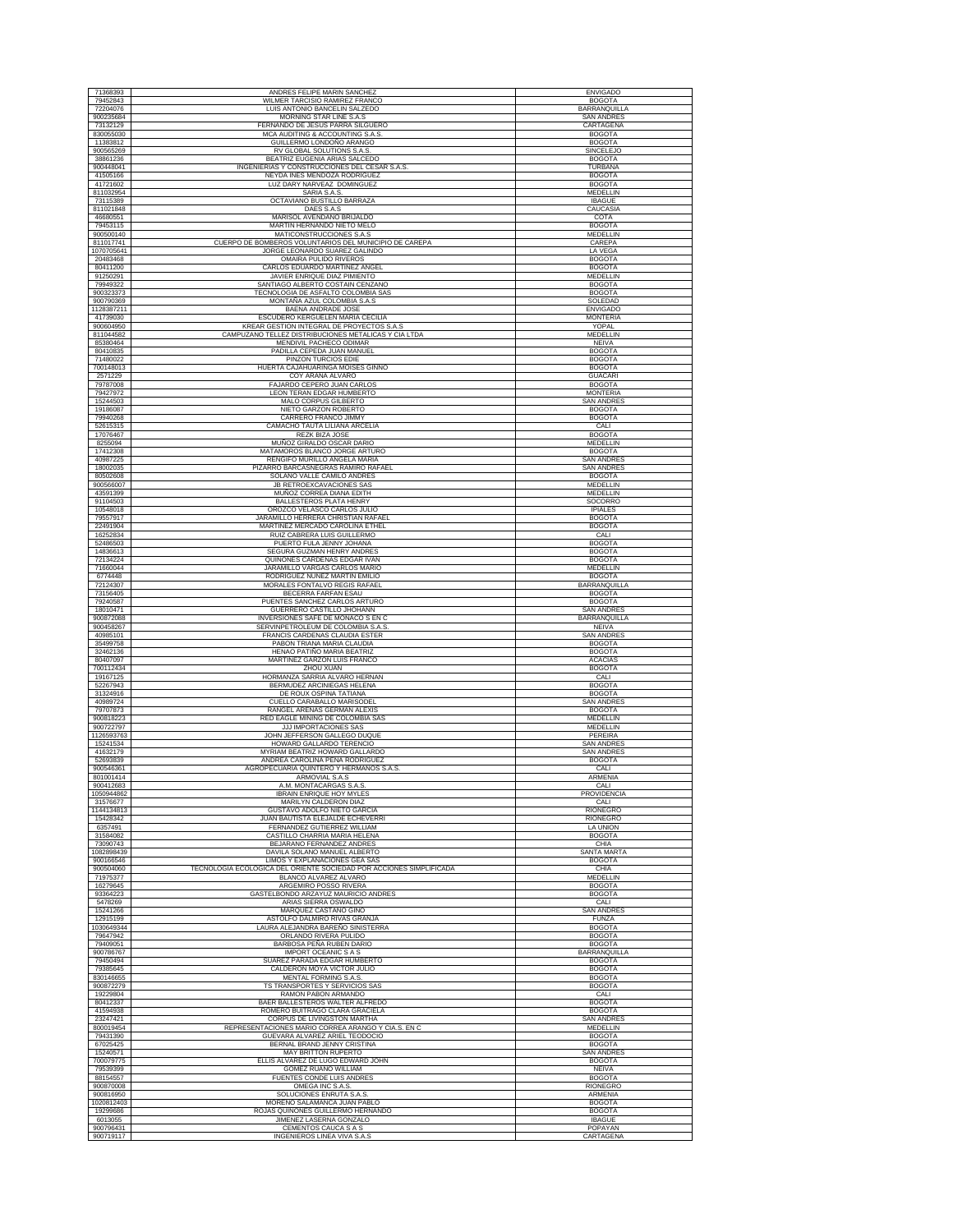| 71368393<br>79452843<br>72204076  | ANDRES FELIPE MARIN SANCHEZ                                                             | <b>ENVIGADO</b>                        |
|-----------------------------------|-----------------------------------------------------------------------------------------|----------------------------------------|
|                                   | WILMER TARCISIO RAMIREZ FRANCO                                                          | <b>BOGOTA</b>                          |
|                                   | LUIS ANTONIO BANCELIN SALZEDO                                                           | BARRANQUILLA                           |
| 900235684<br>73132129             | MORNING STAR LINE S.A.S<br>FERNANDO DE JESUS PARRA SILGUERO                             | <b>SAN ANDRES</b><br>CARTAGENA         |
| 830055030                         | MCA AUDITING & ACCOUNTING S.A.S                                                         | <b>BOGOTA</b>                          |
| 11383812                          | GUILLERMO LONDOÑO ARANGO                                                                | <b>BOGOTA</b>                          |
| 900565269<br>38861236             | RV GLOBAL SOLUTIONS S.A.S<br>BEATRIZ EUGENIA ARIAS SALCEDO                              | SINCELEJO<br><b>BOGOTA</b>             |
| 900448041                         | INGENIERIAS Y CONSTRUCCIONES DEL CESAR S.A.S.                                           | <b>TURBANA</b>                         |
| 41505166                          | NEYDA INES MENDOZA RODRIGUEZ                                                            | <b>BOGOTA</b>                          |
| 41721602<br>811032954             | LUZ DARY NARVEAZ DOMINGUEZ<br>SARIA S.A.S.                                              | <b>BOGOTA</b><br>MEDELLIN              |
| 73115389                          | OCTAVIANO BUSTILLO BARRAZA                                                              | <b>IBAGUE</b>                          |
| 811021848                         | DAES S.A.S                                                                              | CAUCASIA                               |
| 46680551<br>79453115              | MARISOL AVENDAÑO BRIJALDO<br>MARTIN HERNANDO NIETO MELO                                 | COTA<br><b>BOGOTA</b>                  |
| 900500140                         | MATICONSTRUCCIONES S.A.S                                                                | MEDELLIN                               |
| 811017741                         | CUERPO DE BOMBEROS VOLUNTARIOS DEL MUNICIPIO DE CAREPA<br>JORGE LEONARDO SUAREZ GALINDO | CAREPA                                 |
| 1070705641<br>20483468            | OMAIRA PULIDO RIVEROS                                                                   | <b>LA VEGA</b><br><b>BOGOTA</b>        |
| 80411200                          | CARLOS EDUARDO MARTINEZ ANGEL                                                           | <b>BOGOTA</b>                          |
| 91250291<br>79949322              | JAVIER ENRIQUE DIAZ PIMIENTO<br>SANTIAGO ALBERTO COSTAIN CENZANO                        | MEDELLIN<br><b>BOGOTA</b>              |
| 900323373                         | TECNOLOGIA DE ASFALTO COLOMBIA SAS                                                      | <b>BOGOTA</b>                          |
| 900790369                         | MONTAÑA AZUL COLOMBIA S.A.S                                                             | SOLEDAD                                |
| 1128387211<br>41739030            | BAENA ANDRADE JOSE<br>ESCUDERO KERGUELEN MARIA CECILIA                                  | <b>ENVIGADO</b><br><b>MONTERIA</b>     |
| 900604950                         | KREAR GESTION INTEGRAL DE PROYECTOS S.A.S                                               | YOPAL                                  |
| 811044582                         | CAMPUZANO TELLEZ DISTRIBUCIONES METALICAS Y CIA LTDA                                    | MEDELLIN                               |
| 85380464<br>80410835              | MENDIVIL PACHECO ODIMAR<br>PADILLA CEPEDA JUAN MANUEL                                   | <b>NEIVA</b><br><b>BOGOTA</b>          |
| 71480022                          | PINZON TURCIOS EDIE                                                                     | <b>BOGOTA</b>                          |
| 700148013                         | HUERTA CAJAHUARINGA MOISES GINNO                                                        | <b>BOGOTA</b>                          |
| 2571229<br>79787008               | COY ARANA ALVARO<br>FAJARDO CEPERO JUAN CARLOS                                          | <b>GUACARI</b><br><b>BOGOTA</b>        |
| 79427972                          | LEON TERAN EDGAR HUMBERTO                                                               | <b>MONTERIA</b>                        |
| 15244503                          | MALO CORPUS GILBERTO                                                                    | SAN ANDRES                             |
| 19186087<br>79940268              | NIETO GARZON ROBERTO<br>CARRERO FRANCO JIMMY                                            | <b>BOGOTA</b><br><b>BOGOTA</b>         |
| 52615315                          | CAMACHO TAUTA LILIANA ARCELIA                                                           | CALI                                   |
| 17076467<br>8255094               | REZK BIZA JOSE<br>MUÑOZ GIRALDO OSCAR DARIO                                             | <b>BOGOTA</b><br><b>MEDELLIN</b>       |
| 17412308                          | MATAMOROS BLANCO JORGE ARTURO                                                           | <b>BOGOTA</b>                          |
| 40987225                          | RENGIFO MURILLO ANGELA MARIA                                                            | <b>SAN ANDRES</b>                      |
| 18002035<br>80502608              | PIZARRO BARCASNEGRAS RAMIRO RAFAEL<br>SOLANO VALLE CAMILO ANDRES                        | <b>SAN ANDRES</b><br><b>BOGOTA</b>     |
| 900566007                         | JB RETROEXCAVACIONES SAS                                                                | <b>MEDELLIN</b>                        |
| 43591399                          | MUÑOZ CORREA DIANA EDITH                                                                | MEDELLIN                               |
| 91104503<br>10548018              | <b>BALLESTEROS PLATA HENRY</b><br>OROZCO VELASCO CARLOS JULIO                           | SOCORRO<br><b>IPIALES</b>              |
| 79557917                          | JARAMILLO HERRERA CHRISTIAN RAFAEL                                                      | <b>BOGOTA</b><br><b>BOGOTA</b>         |
| 22491904<br>16252834              | MARTINEZ MERCADO CAROLINA ETHEL<br>RUIZ CABRERA LUIS GUILLERMO                          | CALI                                   |
| 52486503                          | PUERTO FULA JENNY JOHANA                                                                | <b>BOGOTA</b>                          |
| 14836613<br>72134224              | SEGURA GUZMAN HENRY ANDRES<br>QUIÑONES CARDENAS EDGAR IVAN                              | <b>BOGOTA</b><br><b>BOGOTA</b>         |
| 71660044                          | JARAMILLO VARGAS CARLOS MARIO                                                           | MEDELLIN                               |
| 6774448<br>72124307               | RODRIGUEZ NUÑEZ MARTIN EMILIO<br>MORALES FONTALVO REGIS RAFAEL                          | <b>BOGOTA</b><br>BARRANQUILLA          |
| 73156405                          | BECERRA FARFAN ESAU                                                                     | <b>BOGOTA</b>                          |
| 79240587<br>18010471              | PUENTES SANCHEZ CARLOS ARTURO<br>GUERRERO CASTILLO JHOHANN                              | <b>BOGOTA</b><br>SAN ANDRES            |
| 900872088                         | INVERSIONES SAFE DE MONACO S EN C                                                       | BARRANQUILLA                           |
| 900458267<br>40985101             | SERVINPETROLEUM DE COLOMBIA S.A.S<br>FRANCIS CARDENAS CLAUDIA ESTER                     | <b>NEIVA</b><br><b>SAN ANDRES</b>      |
| 35499758                          | PABON TRIANA MARIA CLAUDIA                                                              | <b>BOGOTA</b>                          |
| 32462136                          | HENAO PATIÑO MARIA BEATRIZ<br>MARTINEZ GARZON LUIS FRANCO                               | <b>BOGOTA</b><br><b>ACACIAS</b>        |
| 80407097<br>700112434             | ZHOU XUAN                                                                               | <b>BOGOTA</b>                          |
| 19167125<br>52267943              | HORMANZA SARRIA ALVARO HERNAN<br>BERMUDEZ ARCINIEGAS HELENA                             | CALI<br><b>BOGOTA</b>                  |
| 31324916                          | DE ROUX OSPINA TATIANA                                                                  |                                        |
| 40989724<br>79707873              | CUELLO CARABALLO MARISODEL                                                              | <b>BOGOTA</b>                          |
| 900818223                         |                                                                                         | <b>SAN ANDRES</b>                      |
|                                   | RANGEL ARENAS GERMAN ALEXIS                                                             | <b>BOGOTA</b><br>MEDELLIN              |
| 900722797                         | RED EAGLE MINING DE COLOMBIA SAS<br>JJJ IMPORTACIONES SAS                               | MEDELLIN                               |
| 1126593763                        | JOHN JEFFERSON GALLEGO DUQUE                                                            | PEREIRA                                |
| 15241534<br>41632179              | HOWARD GALLARDO TERENCIO<br>MYRIAM BEATRIZ HOWARD GALLARDO                              | <b>SAN ANDRES</b><br><b>SAN ANDRES</b> |
| 52693839                          | ANDREA CAROLINA PEÑA RODRIGUEZ                                                          | <b>BOGOTA</b>                          |
| 900546361<br>801001414            | AGROPECUARIA QUINTERO Y HERMANOS S.A.S.<br>ARMOVIAL S.A.S                               | CALI<br>ARMENIA                        |
| 900412683                         | A.M. MONTACARGAS S.A.S.                                                                 | CALI                                   |
| 1050944862<br>31576677            | IBRAIN ENRIQUE HOY MYLES<br>MARILYN CALDERON DIAZ                                       | <b>PROVIDENCIA</b><br>CALI             |
| 1144134813                        | GUSTAVO ADOLFO NIETO GARCIA                                                             | RIONEGRO                               |
| 15428342<br>6357491               | JUAN BAUTISTA ELEJALDE ECHEVERRI<br>FERNANDEZ GUTIERREZ WILLIAM                         | <b>RIONEGRO</b><br>LA UNION            |
| 31584082                          | CASTILLO CHARRIA MARIA HELENA                                                           | <b>BOGOTA</b>                          |
| 73090743<br>1082898439            | BEJARANO FERNANDEZ ANDRES<br>DAVILA SOLANO MANUEL ALBERTO                               | CHIA<br>SANTA MARTA                    |
| 900166546                         | LIMOS Y EXPLANACIONES GEA SAS                                                           | <b>BOGOTA</b>                          |
| 900504060                         | TECNOLOGIA ECOLOGICA DEL ORIENTE SOCIEDAD POR ACCIONES SIMPLIFICADA                     | CHIA<br><b>MEDELLIN</b>                |
| 71975377<br>16279645              | BLANCO ALVAREZ ALVARO<br>ARGEMIRO POSSO RIVERA                                          | <b>BOGOTA</b>                          |
| 93364223                          | GASTELBONDO ARZAYUZ MAURICIO ANDRES                                                     | <b>BOGOTA</b>                          |
| 5478269<br>15241266               | ARIAS SIERRA OSWALDO<br>MARQUEZ CASTAÑO GINO                                            | CALI<br><b>SAN ANDRES</b>              |
| 12915199                          | ASTOLFO DALMIRO RIVAS GRANJA                                                            | <b>FUNZA</b>                           |
| 1030649344<br>79647942            | LAURA ALEJANDRA BAREÑO SINISTERRA<br>ORLANDO RIVERA PULIDO                              | <b>BOGOTA</b><br><b>BOGOTA</b>         |
| 79409051                          | BARBOSA PEÑA RUBEN DARIO                                                                | <b>BOGOTA</b>                          |
| 900786767<br>79450494             | IMPORT OCEANIC S A S<br>SUAREZ PARADA EDGAR HUMBERTO                                    | BARRANQUILLA<br><b>BOGOTA</b>          |
| 79385645                          | CALDERON MOYA VICTOR JULIO                                                              | <b>BOGOTA</b>                          |
| 830146655                         | MENTAL FORMING S.A.S.                                                                   | <b>BOGOTA</b>                          |
| 900872279<br>19229804             | TS TRANSPORTES Y SERVICIOS SAS<br>RAMON PABON ARMANDO                                   | <b>BOGOTA</b><br>CALI                  |
| 80412337                          | BAER BALLESTEROS WALTER ALFREDO                                                         | <b>BOGOTA</b>                          |
| 41594938<br>23247421              | ROMERO BUITRAGO CLARA GRACIELA<br>CORPUS DE LIVINGSTON MARTHA                           | <b>BOGOTA</b><br><b>SAN ANDRES</b>     |
| 800019454                         | REPRESENTACIONES MARIO CORREA ARANGO Y CIA.S. EN C                                      | MEDELLIN                               |
| 79431390<br>67025425              | GUEVARA ALVAREZ ARIEL TEODOCIO<br>BERNAL BRAND JENNY CRISTINA                           | <b>BOGOTA</b><br><b>BOGOTA</b>         |
| 15240571                          | MAY BRITTON RUPERTO                                                                     | <b>SAN ANDRES</b>                      |
| 700079775<br>79539399             | ELLIS ALVAREZ DE LUGO EDWARD JOHN<br>GOMEZ RUANO WILLIAM                                | <b>BOGOTA</b><br>NEIVA                 |
| 88154557                          | <b>FUENTES CONDE LUIS ANDRES</b>                                                        | <b>BOGOTA</b>                          |
| 900870008                         | OMEGA INC S.A.S.                                                                        | <b>RIONEGRO</b>                        |
| 900816950<br>1020812403           | SOLUCIONES ENRUTA S.A.S<br>MORENO SALAMANCA JUAN PABLO                                  | ARMENIA<br><b>BOGOTA</b>               |
| 19299686                          | ROJAS QUIÑONES GUILLERMO HERNANDO                                                       | <b>BOGOTA</b>                          |
| 6013055<br>900796431<br>900719117 | JIMENEZ LASERNA GONZALO<br>CEMENTOS CAUCA S A S<br>INGENIEROS LINEA VIVA S.A.S          | <b>IBAGUE</b><br>POPAYAN<br>CARTAGENA  |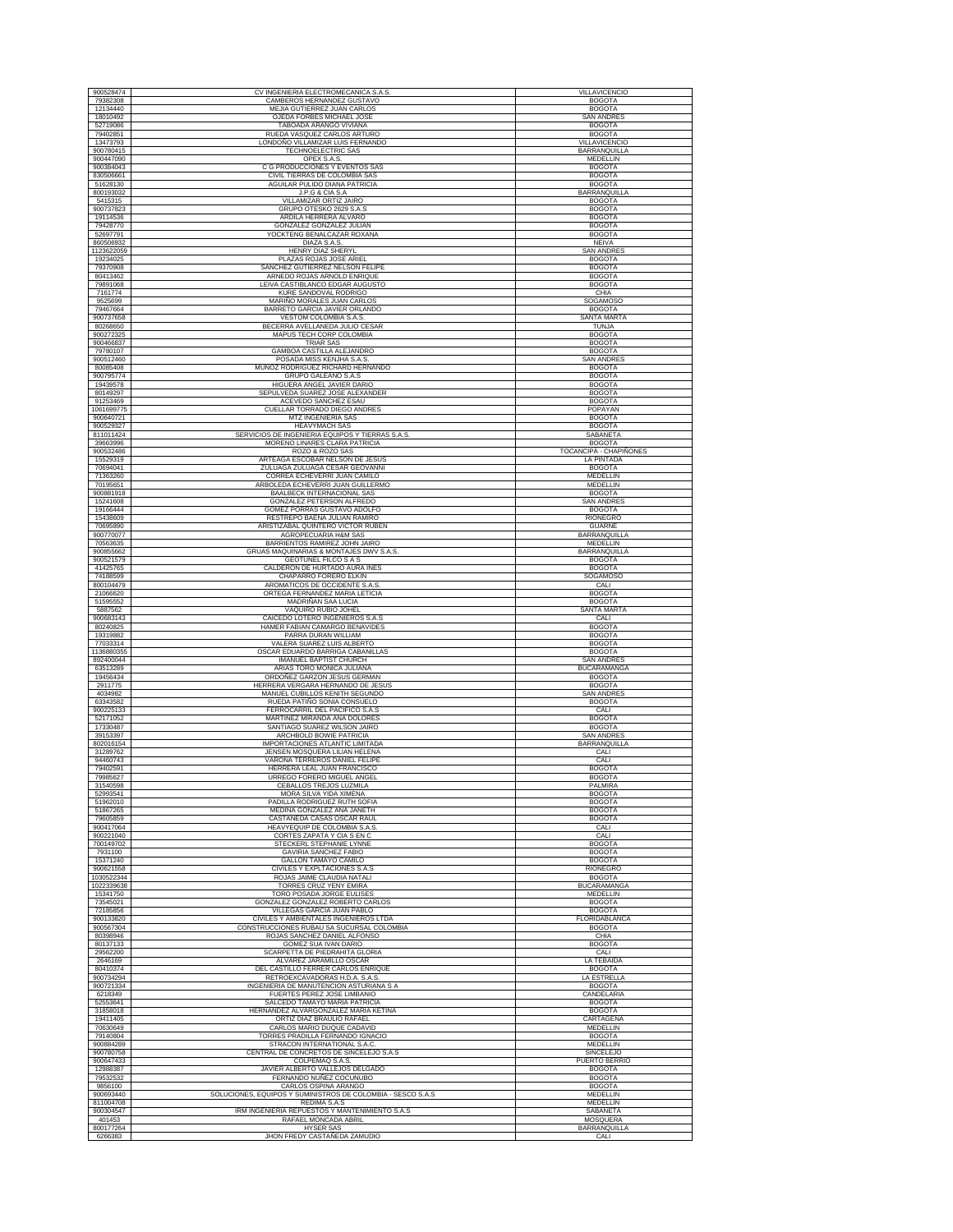| 900528474              | CV INGENIERIA ELECTROMECANICA S.A.S.                                                | VILLAVICENCIO                            |
|------------------------|-------------------------------------------------------------------------------------|------------------------------------------|
| 79382308               | CAMBEROS HERNANDEZ GUSTAVO                                                          | <b>BOGOTA</b>                            |
| 12134440<br>18010492   | MEJIA GUTIERREZ JUAN CARLOS<br>OJEDA FORBES MICHAEL JOSE                            | <b>BOGOTA</b><br><b>SAN ANDRES</b>       |
| 52719086               | TABOADA ARANGO VIVIANA                                                              | <b>BOGOTA</b>                            |
| 79402851<br>13473793   | RUEDA VASQUEZ CARLOS ARTURO<br>LONDOÑO VILLAMIZAR LUIS FERNANDO                     | <b>BOGOTA</b><br><b>VILLAVICENCIO</b>    |
| 900780415              | TECHNOELECTRIC SAS                                                                  | BARRANQUILLA                             |
| 900447090<br>900384043 | OPEX S.A.S.<br>C G PRODUCCIONES Y EVENTOS SAS                                       | MEDELLIN<br><b>BOGOTA</b>                |
| 830506661              | CIVIL TIERRAS DE COLOMBIA SAS                                                       | <b>BOGOTA</b>                            |
| 51628130<br>800193032  | AGUILAR PULIDO DIANA PATRICIA<br>J.P.G & CIA S.A                                    | <b>BOGOTA</b><br>BARRANQUILLA            |
| 5415315                | VILLAMIZAR ORTIZ JAIRO                                                              | <b>BOGOTA</b>                            |
| 900737823<br>19114536  | GRUPO OTESKO 2629 S.A.S<br>ARDILA HERRERA ALVARO                                    | <b>BOGOTA</b><br><b>BOGOTA</b>           |
| 79428770               | GONZALEZ GONZALEZ JULIAN                                                            | <b>BOGOTA</b>                            |
| 52697791<br>860506932  | YOCKTENG BENALCAZAR ROXANA<br>DIAZA S.A.S.                                          | <b>BOGOTA</b><br><b>NEIVA</b>            |
| 1123622059             | HENRY DIAZ SHERYL                                                                   | SAN ANDRES                               |
| 19234025<br>79370908   | PLAZAS ROJAS JOSE ARIEL<br>SANCHEZ GUTIERREZ NELSON FELIPE                          | <b>BOGOTA</b><br><b>BOGOTA</b>           |
| 80413462               | ARNEDO ROJAS ARNOLD ENRIQUE                                                         | <b>BOGOTA</b>                            |
| 79891068               | LEIVA CASTIBLANCO EDGAR AUGUSTO                                                     | <b>BOGOTA</b>                            |
| 7161774<br>9525699     | KURE SANDOVAL RODRIGO<br>MARIÑO MORALES JUAN CARLOS                                 | CHIA<br><b>SOGAMOSO</b>                  |
| 79467664               | BARRETO GARCIA JAVIER ORLANDO                                                       | <b>BOGOTA</b>                            |
| 900737658<br>80268650  | VESTOM COLOMBIA S.A.S.<br>BECERRA AVELLANEDA JULIO CESAR                            | <b>SANTA MARTA</b><br>TUNJA              |
| 900272325              | MAPUS TECH CORP COLOMBIA                                                            | <b>BOGOTA</b>                            |
| 900466837<br>79780107  | <b>TRIAR SAS</b><br>GAMBOA CASTILLA ALEJANDRO                                       | <b>BOGOTA</b><br><b>BOGOTA</b>           |
| 900512460              | POSADA MISS KENJHA S.A.S.                                                           | <b>SAN ANDRES</b>                        |
| 80085408<br>900795774  | MUÑOZ RODRIGUEZ RICHARD HERNANDO<br>GRUPO GALEANO S.A.S                             | <b>BOGOTA</b><br><b>BOGOTA</b>           |
| 19439578               | HIGUERA ANGEL JAVIER DARIO                                                          | <b>BOGOTA</b>                            |
| 80149297<br>91253469   | SEPULVEDA SUAREZ JOSE ALEXANDER<br>ACEVEDO SANCHEZ ESAU                             | <b>BOGOTA</b><br><b>BOGOTA</b>           |
| 1061699775             | CUELLAR TORRADO DIEGO ANDRES                                                        | POPAYAN                                  |
| 900640721<br>900529327 | MTZ INGENIERIA SAS<br><b>HEAVYMACH SAS</b>                                          | <b>BOGOTA</b><br><b>BOGOTA</b>           |
| 811011424              | SERVICIOS DE INGENIERIA EQUIPOS Y TIERRAS S.A.S.                                    | SABANETA                                 |
| 39663996<br>900532486  | MORENO LINARES CLARA PATRICIA<br>ROZO & ROZO SAS                                    | <b>BOGOTA</b><br>TOCANCIPÁ - CHAPIÑONES  |
| 15529319               | ARTEAGA ESCOBAR NELSON DE JESUS                                                     | <b>LA PINTADA</b>                        |
| 70694041<br>71363260   | ZULUAGA ZULUAGA CESAR GEOVANNI<br>CORREA ECHEVERRI JUAN CAMILO                      | <b>BOGOTA</b><br>MEDELLIN                |
| 70195651               | ARBOLEDA ECHEVERRI JUAN GUILLERMO                                                   | <b>MEDELLIN</b>                          |
| 900881918<br>15241608  | <b>BAALBECK INTERNACIONAL SAS</b><br>GONZALEZ PETERSON ALFREDO                      | <b>BOGOTA</b><br><b>SAN ANDRES</b>       |
| 19166444               | GOMEZ PORRAS GUSTAVO ADOLFO                                                         | <b>BOGOTA</b>                            |
| 15438609<br>70695890   | RESTREPO BAENA JULIAN RAMIRO<br>ARISTIZABAL QUINTERO VICTOR RUBEN                   | <b>RIONEGRO</b><br><b>GUARNE</b>         |
| 900770077              | AGROPECUARIA H&M SAS                                                                | <b>BARRANQUILLA</b>                      |
| 70563635<br>900855662  | BARRIENTOS RAMIREZ JOHN JAIRO<br>GRUAS MAQUINARIAS & MONTAJES DWV S.A.S.            | MEDELLIN<br>BARRANQUILLA                 |
| 900521579              | <b>GEOTUNEL FILCO S A S</b>                                                         | <b>BOGOTA</b>                            |
| 41425765<br>74188599   | CALDERON DE HURTADO AURA INES<br>CHAPARRO FORERO ELKIN                              | <b>BOGOTA</b><br>SOGAMOSO                |
| 800104479              | AROMATICOS DE OCCIDENTE S.A.S                                                       | CALI                                     |
| 21066620<br>51595552   | ORTEGA FERNANDEZ MARIA LETICIA<br>MADRIÑAN SAA LUCIA                                | <b>BOGOTA</b><br><b>BOGOTA</b>           |
| 5887562                | VAQUIRO RUBIO JOHEL                                                                 | SANTA MARTA                              |
| 900683143<br>80240825  | CAICEDO LOTERO INGENIEROS S.A.S<br>HAMER FABIAN CAMARGO BENAVIDES                   | CALI<br><b>BOGOTA</b>                    |
| 19319882               | PARRA DURAN WILLIAM                                                                 | <b>BOGOTA</b>                            |
| 77033314<br>1136880355 | VALERA SUAREZ LUIS ALBERTO<br>OSCAR EDUARDO BARRIGA CABANILLAS                      | <b>BOGOTA</b><br><b>BOGOTA</b>           |
| 892400044              | IMANUEL BAPTIST CHURCH                                                              | <b>SAN ANDRES</b>                        |
| 63513289<br>19456434   | ARIAS TORO MONICA JULIANA<br>ORDOÑEZ GARZON JESUS GERMAN                            | <b>BUCARAMANGA</b><br><b>BOGOTA</b>      |
| 2911775                | HERRERA VERGARA HERNANDO DE JESUS                                                   | <b>BOGOTA</b>                            |
| 4034982<br>63343582    | MANUEL CUBILLOS KENITH SEGUNDO<br>RUEDA PATIÑO SONIA CONSUELO                       | <b>SAN ANDRES</b><br><b>BOGOTA</b>       |
| 900225133<br>52171052  | FERROCARRIL DEL PACIFICO S.A.S<br>MARTINEZ MIRANDA ANA DOLORES                      | CALI<br><b>BOGOTA</b>                    |
| 17330487               | SANTIAGO SUAREZ WILSON JAIRO                                                        | <b>BOGOTA</b>                            |
| 39153397               | ARCHBOLD BOWIE PATRICIA<br>IMPORTACIONES ATLANTIC LIMITADA                          | <b>SAN ANDRES</b><br><b>BARRANQUILLA</b> |
| 802016154<br>31289762  | JENSEN MOSQUERA LILIAN HELENA                                                       | CALI                                     |
| 94460743               | VARONA TERREROS DANIEL FELIPE<br>HERRERA LEAL JUAN FRANCISCO                        | CALI<br><b>BOGOTA</b>                    |
| 79402591<br>79985627   | URREGO FORERO MIGUEL ANGEL                                                          | <b>BOGOTA</b>                            |
| 31540598               | CEBALLOS TREJOS LUZMILA                                                             | PALMIRA                                  |
| 52993541<br>51962010   | MORA SILVA YIDA XIMENA<br>PADILLA RODRIGUEZ RUTH SOFIA                              | <b>BOGOTA</b><br><b>BOGOTA</b>           |
| 51867265               | MEDINA GONZALEZ ANA JANETH                                                          | <b>BOGOTA</b>                            |
| 79605859<br>900417064  | CASTAÑEDA CASAS OSCAR RAUL<br>HEAVYEQUIP DE COLOMBIA S.A.S                          | <b>BOGOTA</b><br>CALI                    |
| 900221040<br>700149702 | CORTES ZAPATA Y CIA S EN C<br>STECKERL STEPHANIE LYNNE                              | CALI<br><b>BOGOTA</b>                    |
| 7931100                | <b>GAVIRIA SANCHEZ FABIO</b>                                                        | <b>BOGOTA</b>                            |
| 15371240<br>900621558  | <b>GALLON TAMAYO CAMILO</b><br>CIVILES Y EXPLTACIONES S.A.S                         | <b>BOGOTA</b><br>RIONEGRO                |
| 1030522344             | ROJAS JAIME CLAUDIA NATALI                                                          | <b>BOGOTA</b>                            |
| 1022339638<br>15341750 | TORRES CRUZ YENY EMIRA<br>TORO POSADA JORGE EULISES                                 | <b>BUCARAMANGA</b><br>MEDELLIN           |
| 73545021               | GONZALEZ GONZALEZ ROBERTO CARLOS                                                    | <b>BOGOTA</b>                            |
| 72185856<br>900133820  | VILLEGAS GARCIA JUAN PABLO<br>CIVILES Y AMBIENTALES INGENIEROS LTDA                 | <b>BOGOTA</b><br>FLORIDABLANCA           |
| 900567304              | CONSTRUCCIONES RUBAU SA SUCURSAL COLOMBIA                                           | <b>BOGOTA</b>                            |
| 80398946<br>80137133   | ROJAS SANCHEZ DANIEL ALFONSO<br>GOMEZ SUA IVAN DARIO                                | CHIA<br><b>BOGOTA</b>                    |
| 29562200               | SCARPETTA DE PIEDRAHITA GLORIA                                                      | CALI                                     |
| 2646169<br>80410374    | ALVAREZ JARAMILLO OSCAR<br>DEL CASTILLO FERRER CARLOS ENRIQUE                       | LA TEBAIDA<br><b>BOGOTA</b>              |
| 900734294              | RETROEXCAVADORAS H.D.A. S.A.S.                                                      | <b>LA ESTRELLA</b>                       |
| 900721334<br>6218349   | INGENIERIA DE MANUTENCION ASTURIANA S A<br>FUERTES PEREZ JOSE LIMBANIO              | <b>BOGOTA</b><br>CANDELARIA              |
| 52553641               | SALCEDO TAMAYO MARIA PATRICIA                                                       | <b>BOGOTA</b>                            |
| 31858018<br>19411405   | HERNANDEZ ALVARGONZALEZ MARIA KETINA<br>ORTIZ DIAZ BRAULIO RAFAEL                   | <b>BOGOTA</b><br>CARTAGENA               |
| 70630649               | CARLOS MARIO DUQUE CADAVID                                                          | MEDELLIN                                 |
| 79140804<br>900884289  | TORRES PRADILLA FERNANDO IGNACIO<br>STRACON INTERNATIONAL S.A.C.                    | <b>BOGOTA</b><br>MEDELLIN                |
| 900780758              | CENTRAL DE CONCRETOS DE SINCELEJO S.A.S                                             | SINCELEJO                                |
| 900647433<br>12988387  | COLPEMAQ S.A.S.<br>JAVIER ALBERTO VALLEJOS DELGADO                                  | PUERTO BERRIO<br><b>BOGOTA</b>           |
| 79532532               | FERNANDO NUÑEZ COCUNUBO                                                             | <b>BOGOTA</b>                            |
| 9856100<br>900693440   | CARLOS OSPINA ARANGO<br>SOLUCIONES, EQUIPOS Y SUMINISTROS DE COLOMBIA - SESCO S.A.S | <b>BOGOTA</b><br>MEDELLIN                |
| 811004708              | REDIMA S.A.S<br>IRM INGENIERIA REPUESTOS Y MANTENIMIENTO S.A.S                      | MEDELLIN<br>SABANETA                     |
| 900304547<br>401453    | RAFAEL MONCADA ABRIL                                                                | MOSQUERA                                 |
| 800177264<br>6266383   | HYSER SAS<br>JHON FREDY CASTAÑEDA ZAMUDIO                                           | BARRANQUILLA<br>CALI                     |
|                        |                                                                                     |                                          |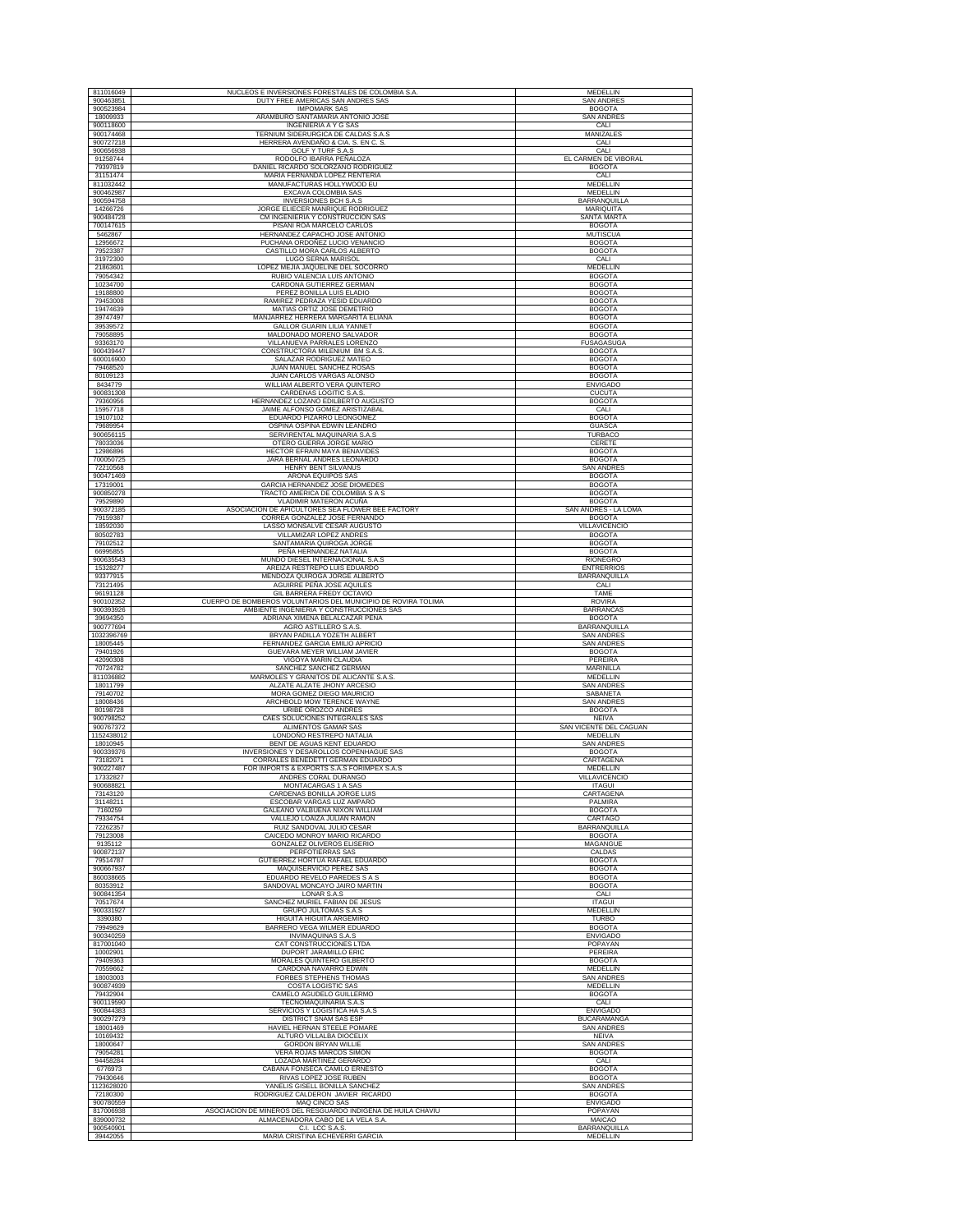| 811016049               | NUCLEOS E INVERSIONES FORESTALES DE COLOMBIA S.A.                                                 | <b>MEDELLIN</b>                       |
|-------------------------|---------------------------------------------------------------------------------------------------|---------------------------------------|
| 900463851               | DUTY FREE AMERICAS SAN ANDRES SAS                                                                 | <b>SAN ANDRES</b>                     |
| 900523984<br>18009933   | <b>IMPOMARK SAS</b><br>ARAMBURO SANTAMARIA ANTONIO JOSE                                           | <b>BOGOTA</b><br><b>SAN ANDRES</b>    |
| 900118600               | <b>INGENIERIA A Y G SAS</b>                                                                       | CALI                                  |
| 900174468               | TERNIUM SIDERURGICA DE CALDAS S.A.S                                                               | MANIZALES                             |
| 900727218               | HERRERA AVENDAÑO & CIA. S. EN C. S.                                                               | CALI                                  |
| 900656938<br>91258744   | GOLF Y TURF S.A.S<br>RODOLFO IBARRA PEÑALOZA                                                      | CALI<br>EL CARMEN DE VIBORAL          |
| 79397819                | DANIEL RICARDO SOLORZANO RODRIGUEZ                                                                | <b>BOGOTA</b>                         |
| 31151474                | MARIA FERNANDA LOPEZ RENTERIA                                                                     | CALI                                  |
| 811032442<br>900462987  | MANUFACTURAS HOLLYWOOD EU<br>EXCAVA COLOMBIA SAS                                                  | <b>MEDELLIN</b><br>MEDELLIN           |
| 900594758               | <b>INVERSIONES BCH S.A.S</b>                                                                      | BARRANQUILLA                          |
| 14266726                | JORGE ELIECER MANRIQUE RODRIGUEZ                                                                  | MARIQUITA                             |
| 900484728<br>700147615  | CM INGENIERIA Y CONSTRUCCION SAS<br>PISANI ROA MARCELO CARLOS                                     | SANTA MARTA<br><b>BOGOTA</b>          |
| 5462867                 | HERNANDEZ CAPACHO JOSE ANTONIO                                                                    | <b>MUTISCUA</b>                       |
| 12956672                | PUCHANA ORDOÑEZ LUCIO VENANCIO                                                                    | <b>BOGOTA</b>                         |
| 79523387<br>31972300    | CASTILLO MORA CARLOS ALBERTO<br>LUGO SERNA MARISOL                                                | <b>BOGOTA</b><br>CALI                 |
| 21863601                | LOPEZ MEJIA JAQUELINE DEL SOCORRO                                                                 | MEDELLIN                              |
| 79054342                | RUBIO VALENCIA LUIS ANTONIO                                                                       | <b>BOGOTA</b>                         |
| 10234700<br>19188800    | CARDONA GUTIERREZ GERMAN<br>PEREZ BONILLA LUIS ELADIO                                             | <b>BOGOTA</b><br><b>BOGOTA</b>        |
| 79453008                | RAMIREZ PEDRAZA YESID EDUARDO                                                                     | <b>BOGOTA</b>                         |
| 19474639                | MATIAS ORTIZ JOSE DEMETRIO                                                                        | <b>BOGOTA</b>                         |
| 39747497<br>39539572    | MANJARREZ HERRERA MARGARITA ELIANA<br><b>GALLOR GUARIN LILIA YANNET</b>                           | <b>BOGOTA</b><br><b>BOGOTA</b>        |
| 79058895                | MALDONADO MORENO SALVADOR                                                                         | <b>BOGOTA</b>                         |
| 93363170                | VILLANUEVA PARRALES LORENZO                                                                       | <b>FUSAGASUGA</b>                     |
| 900439447<br>600016900  | CONSTRUCTORA MILENIUM BM S.A.S<br>SALAZAR RODRIGUEZ MATEO                                         | <b>BOGOTA</b><br><b>BOGOTA</b>        |
| 79468520                | JUAN MANUEL SANCHEZ ROSAS                                                                         | <b>BOGOTA</b>                         |
| 80109123                | JUAN CARLOS VARGAS ALONSO                                                                         | <b>BOGOTA</b>                         |
| 8434779                 | WILLIAM ALBERTO VERA QUINTERO                                                                     | <b>ENVIGADO</b>                       |
| 900831308<br>79360956   | CARDENAS LOGITIC S.A.S.<br>HERNANDEZ LOZANO EDILBERTO AUGUSTO                                     | <b>CUCUTA</b><br><b>BOGOTA</b>        |
| 15957718                | JAIME ALFONSO GOMEZ ARISTIZABAL                                                                   | CALI                                  |
| 19107102                | EDUARDO PIZARRO LEONGOMEZ<br>OSPINA OSPINA EDWIN LEANDRO                                          | <b>BOGOTA</b>                         |
| 79689954<br>900656115   | SERVIRENTAL MAQUINARIA S.A.S                                                                      | <b>GUASCA</b><br><b>TURBACO</b>       |
| 78033036                | OTERO GUERRA JORGE MARIO                                                                          | CERETE                                |
| 12986896                | HECTOR EFRAIN MAYA BENAVIDES                                                                      | <b>BOGOTA</b><br><b>BOGOTA</b>        |
| 700050725<br>72210568   | JARA BERNAL ANDRES LEONARDO<br>HENRY BENT SILVANUS                                                | <b>SAN ANDRES</b>                     |
| 900471469               | ARONA EQUIPOS SAS                                                                                 | <b>BOGOTA</b>                         |
| 17319001                | <b>GARCIA HERNANDEZ JOSE DIOMEDES</b>                                                             | <b>BOGOTA</b>                         |
| 900850278<br>79529890   | TRACTO AMERICA DE COLOMBIA S A S<br>VLADIMIR MATERON ACUÑA                                        | <b>BOGOTA</b><br><b>BOGOTA</b>        |
| 900372185               | ASOCIACION DE APICULTORES SEA FLOWER BEE FACTORY                                                  | SAN ANDRÉS - LA LOMA                  |
| 79159387                | CORREA GONZALEZ JOSE FERNANDO                                                                     | <b>BOGOTA</b>                         |
| 18592030<br>80502783    | LASSO MONSALVE CESAR AUGUSTO<br>VILLAMIZAR LOPEZ ANDRES                                           | <b>VILLAVICENCIO</b><br><b>BOGOTA</b> |
| 79102512                | SANTAMARIA QUIROGA JORGE                                                                          | <b>BOGOTA</b>                         |
| 66995855                | PEÑA HERNANDEZ NATALIA                                                                            | <b>BOGOTA</b>                         |
| 900635543<br>15328277   | MUNDO DIESEL INTERNACIONAL S.A.S<br>AREIZA RESTREPO LUIS EDUARDO                                  | <b>RIONEGRO</b><br><b>ENTRERRIOS</b>  |
| 93377915                | MENDOZA QUIROGA JORGE ALBERTO                                                                     | BARRANQUILLA                          |
| 73121495                | AGUIRRE PEÑA JOSE AQUILES                                                                         | CALI                                  |
| 96191128<br>900102352   | <b>GIL BARRERA FREDY OCTAVIO</b><br>CUERPO DE BOMBEROS VOLUNTARIOS DEL MUNICIPIO DE ROVIRA TOLIMA | TAME<br><b>ROVIRA</b>                 |
| 900393926               | AMBIENTE INGENIERIA Y CONSTRUCCIONES SAS                                                          | <b>BARRANCAS</b>                      |
| 39694350                | ADRIANA XIMENA BELALCAZAR PEÑA                                                                    | <b>BOGOTA</b>                         |
| 900777694<br>1032396769 | AGRO ASTILLERO S.A.S.                                                                             | BARRANQUILLA<br><b>SAN ANDRES</b>     |
| 18005445                | BRYAN PADILLA YOZETH ALBERT<br>FERNANDEZ GARCIA EMILIO APRICIO                                    | <b>SAN ANDRES</b>                     |
| 79401926                | GUEVARA MEYER WILLIAM JAVIER                                                                      | <b>BOGOTA</b>                         |
| 42090308                | VIGOYA MARIN CLAUDIA                                                                              | PEREIRA                               |
| 70724782<br>811036882   | SANCHEZ SANCHEZ GERMAN<br>MARMOLES Y GRANITOS DE ALICANTE S.A.S.                                  | MARINILLA<br>MEDELLIN                 |
| 18011799                | ALZATE ALZATE JHONY ARCESIO                                                                       | <b>SAN ANDRES</b>                     |
| 79140702<br>18008436    | MORA GOMEZ DIEGO MAURICIO<br>ARCHBOLD MOW TERENCE WAYNE                                           | SABANETA<br><b>SAN ANDRES</b>         |
| 80198728                | URIBE OROZCO ANDRES                                                                               | <b>BOGOTA</b>                         |
| 900798252               | CAES SOLUCIONES INTEGRALES SAS                                                                    | <b>NEIVA</b>                          |
| 900767372<br>1152438012 | ALIMENTOS GAMAR SAS<br>LONDOÑO RESTREPO NATALIA                                                   | SAN VICENTE DEL CAGUAN<br>MEDELLIN    |
| 18010945                | BENT DE AGUAS KENT EDUARDO                                                                        | <b>SAN ANDRES</b>                     |
| 900339376               | INVERSIONES Y DESAROLLOS COPENHAGUE SAS                                                           | <b>BOGOTA</b>                         |
| 73182071<br>900227487   | CORRALES BENEDETTI GERMAN EDUARDO<br>FOR IMPORTS & EXPORTS S.A.S FORIMPEX S.A.S                   | CARTAGENA<br>MEDELLIN                 |
| 17332827                | ANDRES CORAL DURANGO                                                                              | <b>VILLAVICENCIO</b>                  |
| 900688821               | MONTACARGAS 1 A SAS                                                                               | <b>ITAGUI</b>                         |
| 73143120<br>31148211    | CARDENAS BONILLA JORGE LUIS<br>ESCOBAR VARGAS LUZ AMPARO                                          | CARTAGENA<br>PALMIRA                  |
| 7160259                 | GALEANO VALBUENA NIXON WILLIAM                                                                    | <b>BOGOTA</b>                         |
| 79334754<br>72262357    | VALLEJO LOAIZA JULIAN RAMON                                                                       | CARTAGO                               |
| 79123008                | RUIZ SANDOVAL JULIO CESAR<br>CAICEDO MONROY MARIO RICARDO                                         | BARRANQUILLA<br><b>BOGOTA</b>         |
| 9135112                 | GONZALEZ OLIVEROS ELISERIO                                                                        | MAGANGUE                              |
| 900872137<br>79514787   | PERFOTIERRAS SAS<br>GUTIERREZ HORTUA RAFAEL EDUARDO                                               | CALDAS<br><b>BOGOTA</b>               |
| 900667937               | MAQUISERVICIO PEREZ SAS                                                                           | <b>BOGOTA</b>                         |
| 860038665               | EDUARDO REVELO PAREDES S A S                                                                      | <b>BOGOTA</b>                         |
| 80353912                | SANDOVAL MONCAYO JAIRO MARTIN                                                                     | <b>BOGOTA</b>                         |
| 900841354<br>70517674   | LONAR S.A.S<br>SANCHEZ MURIEL FABIAN DE JESUS                                                     | CALI<br><b>ITAGUI</b>                 |
| 900331927               | <b>GRUPO JULTOMAS S.A.S</b>                                                                       | <b>MEDELLIN</b>                       |
| 3390380                 | HIGUITA HIGUITA ARGEMIRO                                                                          | <b>TURBO</b>                          |
| 79949629<br>900340259   | BARRERO VEGA WILMER EDUARDO<br><b>INVIMAQUINAS S.A.S</b>                                          | <b>BOGOTA</b><br><b>ENVIGADO</b>      |
| 817001040               | CAT CONSTRUCCIONES LTDA                                                                           | POPAYAN                               |
| 10002901<br>79409363    | DUPORT JARAMILLO ERIC<br>MORALES QUINTERO GILBERTO                                                | PEREIRA<br><b>BOGOTA</b>              |
| 70559662                | CARDONA NAVARRO EDWIN                                                                             | MEDELLIN                              |
| 18003003                | <b>FORBES STEPHENS THOMAS</b>                                                                     | <b>SAN ANDRES</b>                     |
| 900874939<br>79432904   | COSTA LOGISTIC SAS<br>CAMELO AGUDELO GUILLERMO                                                    | MEDELLIN<br><b>BOGOTA</b>             |
| 900119590               | TECNOMAQUINARIA S.A.S                                                                             | CALI                                  |
| 900844383               | SERVICIOS Y LOGISTICA HA S.A.S                                                                    | <b>ENVIGADO</b>                       |
| 900297279<br>18001469   | DISTRICT SNAM SAS ESP<br>HAVIEL HERNAN STEELE POMARE                                              | <b>BUCARAMANGA</b><br>SAN ANDRES      |
| 10169432                | ALTURO VILLALBA DIOCELIX                                                                          | <b>NEIVA</b>                          |
| 18000647                | <b>GORDON BRYAN WILLIE</b>                                                                        | <b>SAN ANDRES</b>                     |
| 79054281<br>94458284    | VERA ROJAS MARCOS SIMON<br>LOZADA MARTINEZ GERARDO                                                | <b>BOGOTA</b><br>CALI                 |
| 6776973                 | CABANA FONSECA CAMILO ERNESTO                                                                     | <b>BOGOTA</b>                         |
| 79430646                | RIVAS LOPEZ JOSE RUBEN                                                                            | <b>BOGOTA</b>                         |
| 1123628020<br>72180300  | YANELIS GISELL BONILLA SANCHEZ<br>RODRIGUEZ CALDERON JAVIER RICARDO                               | <b>SAN ANDRES</b><br><b>BOGOTA</b>    |
| 900780559               | MAQ CINCO SAS                                                                                     | <b>ENVIGADO</b>                       |
| 817006938               | ASOCIACION DE MINEROS DEL RESGUARDO INDIGENA DE HUILA CHAVIU                                      | POPAYAN                               |
| 839000732<br>900540901  | ALMACENADORA CABO DE LA VELA S.A.<br>C.I. LCC S.A.S.                                              | MAICAO<br>BARRANQUILLA                |
| 39442055                | MARIA CRISTINA ECHEVERRI GARCIA                                                                   | MEDELLIN                              |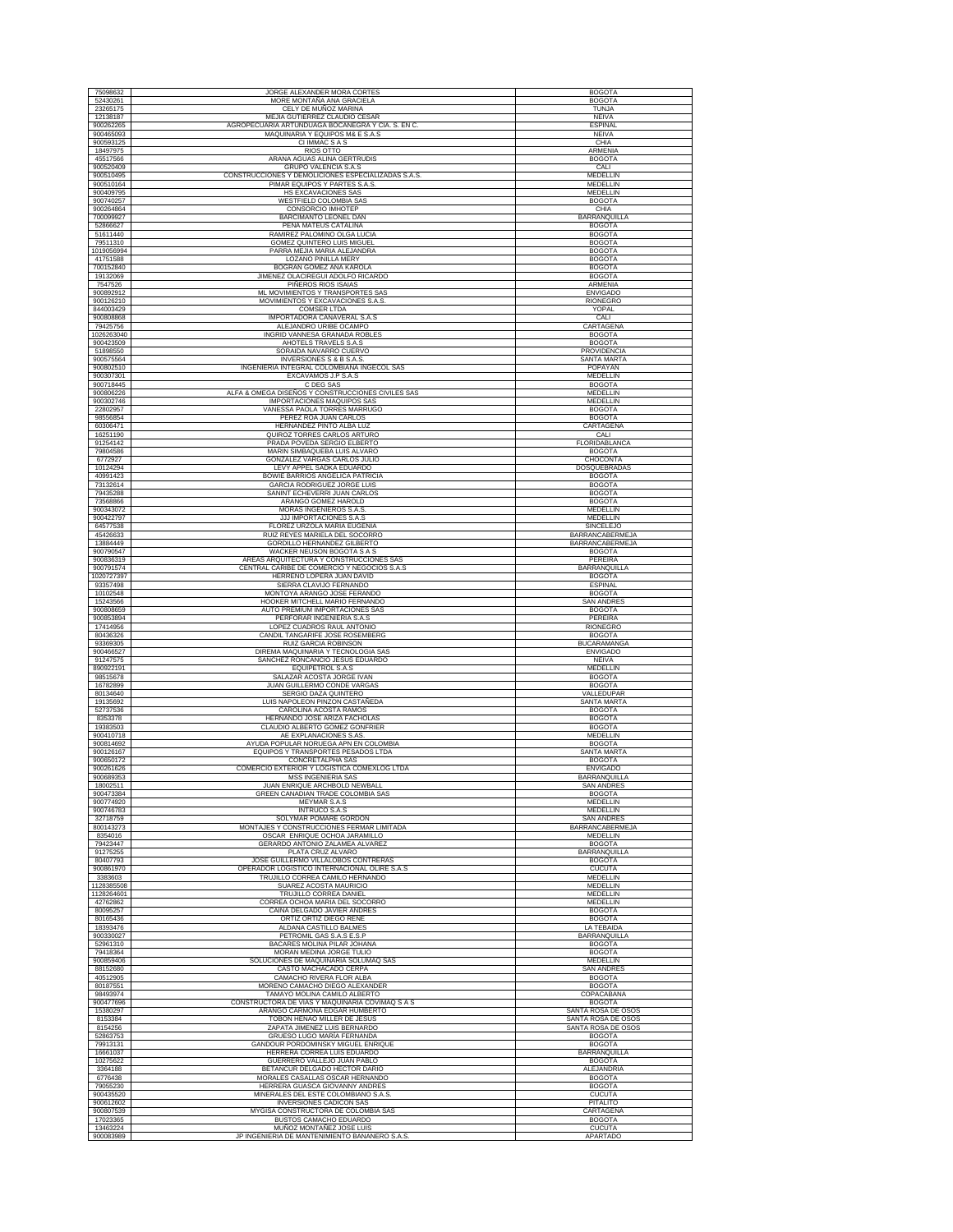| 75098632                 | JORGE ALEXANDER MORA CORTES                                                       | <b>BOGOTA</b>                            |
|--------------------------|-----------------------------------------------------------------------------------|------------------------------------------|
| 52430261                 | MORE MONTAÑA ANA GRACIELA                                                         | <b>BOGOTA</b>                            |
| 23265175                 | CELY DE MUÑOZ MARINA                                                              | <b>TUNJA</b>                             |
| 12138187<br>900262265    | MEJIA GUTIERREZ CLAUDIO CESAR<br>AGROPECUARIA ARTUNDUAGA BOCANEGRA Y CIA. S. EN C | <b>NEIVA</b><br><b>ESPINAL</b>           |
| 900465093                | MAQUINARIA Y EQUIPOS M& E S.A.S                                                   | NEIVA                                    |
| 900593125                | CI IMMAC S A S                                                                    | CHIA                                     |
| 18497975                 | RIOS OTTO                                                                         | ARMENIA                                  |
| 45517566<br>900520409    | ARANA AGUAS ALINA GERTRUDIS<br><b>GRUPO VALENCIA S.A.S</b>                        | <b>BOGOTA</b><br>CALI                    |
| 900510495                | CONSTRUCCIONES Y DEMOLICIONES ESPECIALIZADAS S.A.S.                               | <b>MEDELLIN</b>                          |
| 900510164                | PIMAR EQUIPOS Y PARTES S.A.S                                                      | MEDELLIN                                 |
| 900409795<br>900740257   | HS EXCAVACIONES SAS<br>WESTFIELD COLOMBIA SAS                                     | <b>MEDELLIN</b><br><b>BOGOTA</b>         |
| 900264864                | CONSORCIO IMHOTEP                                                                 | CHIA                                     |
| 700099927                | BARCIMANTO LEONEL DAN                                                             | BARRANQUILLA                             |
| 52866627                 | PEÑA MATEUS CATALINA<br>RAMIREZ PALOMINO OLGA LUCIA                               | <b>BOGOTA</b>                            |
| 51611440<br>79511310     | <b>GOMEZ QUINTERO LUIS MIGUEL</b>                                                 | <b>BOGOTA</b><br><b>BOGOTA</b>           |
| 1019056994               | PARRA MEJIA MARIA ALEJANDRA                                                       | <b>BOGOTA</b>                            |
| 41751588<br>700152840    | LOZANO PINILLA MERY<br>BOGRAN GOMEZ ANA KAROLA                                    | <b>BOGOTA</b><br><b>BOGOTA</b>           |
| 19132069                 | JIMENEZ OLACIREGUI ADOLFO RICARDO                                                 | <b>BOGOTA</b>                            |
| 7547526                  | PIÑEROS RIOS ISAIAS                                                               | ARMENIA                                  |
| 900892912                | ML MOVIMIENTOS Y TRANSPORTES SAS                                                  | <b>ENVIGADO</b>                          |
| 900126210<br>844003429   | MOVIMIENTOS Y EXCAVACIONES S.A.S<br><b>COMSER LTDA</b>                            | <b>RIONEGRO</b><br>YOPAL                 |
| 900808868                | IMPORTADORA CAÑAVERAL S.A.S                                                       | CALI                                     |
| 79425756                 | ALEJANDRO URIBE OCAMPO                                                            | CARTAGENA                                |
| 1026263040<br>900423509  | INGRID VANNESA GRANADA ROBLES<br>AHOTELS TRAVELS S.A.S                            | <b>BOGOTA</b><br><b>BOGOTA</b>           |
| 51898550                 | SORAIDA NAVARRO CUERVO                                                            | PROVIDENCIA                              |
| 900575564                | INVERSIONES S & B S.A.S.                                                          | SANTA MARTA                              |
| 900802510<br>900307301   | INGENIERIA INTEGRAL COLOMBIANA INGECOL SAS<br>EXCAVAMOS J.P S.A.S                 | POPAYAN<br>MEDELLIN                      |
| 900718445                | C DEG SAS                                                                         | <b>BOGOTA</b>                            |
| 900806226                | ALFA & OMEGA DISEÑOS Y CONSTRUCCIONES CIVILES SAS                                 | MEDELLIN                                 |
| 900302746<br>22802957    | IMPORTACIONES MAQUIPOS SAS<br>VANESSA PAOLA TORRES MARRUGO                        | MEDELLIN<br><b>BOGOTA</b>                |
| 98556854                 | PEREZ ROA JUAN CARLOS                                                             | <b>BOGOTA</b>                            |
| 60306471                 | HERNANDEZ PINTO ALBA LUZ                                                          | CARTAGENA                                |
| 16251190<br>91254142     | QUIROZ TORRES CARLOS ARTURO<br>PRADA POVEDA SERGIO ELBERTO                        | CALI<br>FLORIDABLANCA                    |
| 79804586                 | MARIN SIMBAQUEBA LUIS ALVARO                                                      | <b>BOGOTA</b>                            |
| 6772927                  | GONZALEZ VARGAS CARLOS JULIO                                                      | CHOCONTA                                 |
| 10124294                 | LEVY APPEL SADKA EDUARDO                                                          | DOSQUEBRADAS                             |
| 40991423<br>73132614     | BOWIE BARRIOS ANGELICA PATRICIA<br><b>GARCIA RODRIGUEZ JORGE LUIS</b>             | <b>BOGOTA</b><br><b>BOGOTA</b>           |
| 79435288                 | SANINT ECHEVERRI JUAN CARLOS                                                      | <b>BOGOTA</b>                            |
| 73568866                 | ARANGO GOMEZ HAROLD                                                               | <b>BOGOTA</b>                            |
| 900343072<br>900422797   | MORAS INGENIEROS S.A.S<br>JJJ IMPORTACIONES S.A.S                                 | <b>MEDELLIN</b><br>MEDELLIN              |
| 64577538                 | FLOREZ URZOLA MARIA EUGENIA                                                       | <b>SINCELEJO</b>                         |
| 45426633                 | RUIZ REYES MARIELA DEL SOCORRO                                                    | BARRANCABERMEJA                          |
| 13884449<br>900790547    | GORDILLO HERNANDEZ GILBERTO<br>WACKER NEUSON BOGOTA S A S                         | <b>BARRANCABERMEJA</b><br><b>BOGOTA</b>  |
| 900836319                | AREAS ARQUITECTURA Y CONSTRUCCIONES SAS                                           | PEREIRA                                  |
| 900791574                | CENTRAL CARIBE DE COMERCIO Y NEGOCIOS S.A.S                                       | BARRANQUILLA                             |
| 1020727397<br>93357498   | HERREÑO LOPERA JUAN DAVID<br>SIERRA CLAVIJO FERNANDO                              | <b>BOGOTA</b><br><b>ESPINAL</b>          |
| 10102548                 | MONTOYA ARANGO JOSE FERANDO                                                       | <b>BOGOTA</b>                            |
| 15243566                 | HOOKER MITCHELL MARIO FERNANDO                                                    | <b>SAN ANDRES</b>                        |
| 900808659                | AUTO PREMIUM IMPORTACIONES SAS                                                    | <b>BOGOTA</b>                            |
| 900853894<br>17414956    | PERFORAR INGENIERIA S.A.S<br>LOPEZ CUADROS RAUL ANTONIO                           | PEREIRA<br><b>RIONEGRO</b>               |
| 80436326                 | CANDIL TANGARIFE JOSE ROSEMBERG                                                   | <b>BOGOTA</b>                            |
| 93369305                 | RUIZ GARCIA ROBINSON                                                              | <b>BUCARAMANGA</b>                       |
| 900466527<br>91247575    | DIREMA MAQUINARIA Y TECNOLOGIA SAS<br>SANCHEZ RONCANCIO JESUS EDUARDO             | <b>ENVIGADO</b><br><b>NEIVA</b>          |
| 890922191                | EQUIPETROL S.A.S                                                                  | MEDELLIN                                 |
| 98515678                 | SALAZAR ACOSTA JORGE IVAN                                                         | <b>BOGOTA</b>                            |
| 16782899<br>80134640     | JUAN GUILLERMO CONDE VARGAS<br>SERGIO DAZA QUINTERO                               | <b>BOGOTA</b><br>VALLEDUPAR              |
| 19135692                 | LUIS NAPOLEON PINZON CASTAÑEDA                                                    | <b>SANTA MARTA</b>                       |
| 52737536                 | CAROLINA ACOSTA RAMOS                                                             | <b>BOGOTA</b>                            |
| 8353378<br>19383503      | HERNANDO JOSE ARIZA FACHOLAS<br>CLAUDIO ALBERTO GOMEZ GONFRIER                    | <b>BOGOTA</b><br><b>BOGOTA</b>           |
| 900410718                | AE EXPLANACIONES S.AS                                                             | MEDELLIN                                 |
| 900814692                | AYUDA POPULAR NORUEGA APN EN COLOMBIA                                             | <b>BOGOTA</b>                            |
| 900126167<br>900650172   | EQUIPOS Y TRANSPORTES PESADOS LTDA<br><b>CONCRETALPHA SAS</b>                     |                                          |
| 900261626                |                                                                                   | <b>SANTA MARTA</b>                       |
| 900689353                | COMERCIO EXTERIOR Y LOGISTICA COMEXLOG LTDA                                       | <b>BOGOTA</b><br><b>ENVIGADO</b>         |
|                          | <b>MSS INGENIERIA SAS</b>                                                         | BARRANQUILLA                             |
| 18002511                 | JUAN ENRIQUE ARCHBOLD NEWBALL                                                     | <b>SAN ANDRES</b><br><b>BOGOTA</b>       |
| 900473384<br>900774920   | GREEN CANADIAN TRADE COLOMBIA SAS<br><b>MEYMAR S.A.S</b>                          | <b>MEDELLIN</b>                          |
| 900746783                | <b>INTRUCO S.A.S</b>                                                              | MEDELLIN                                 |
| 32718759<br>800143273    | SOLYMAR POMARE GORDON<br>MONTAJES Y CONSTRUCCIONES FERMAR LIMITADA                | <b>SAN ANDRES</b><br>BARRANCABERMEJA     |
| 8354016                  | OSCAR ENRIQUE OCHOA JARAMILLO                                                     | MEDELLIN                                 |
| 79423447                 | GERARDO ANTONIO ZALAMEA ALVAREZ                                                   | <b>BOGOTA</b>                            |
| 91275255<br>80407793     | PLATA CRUZ ALVARO<br>JOSE GUILLERMO VILLALOBOS CONTRERAS                          | <b>BARRANQUILLA</b><br><b>BOGOTA</b>     |
| 900861970                | OPERADOR LOGISTICO INTERNACIONAL OLIRE S.A.S                                      | <b>CUCUTA</b>                            |
| 3383603                  | TRUJILLO CORREA CAMILO HERNANDO                                                   | <b>MEDELLIN</b>                          |
| 1128385508<br>1128264601 | SUAREZ ACOSTA MAURICIO<br>TRUJILLO CORREA DANIEL                                  | MEDELLIN<br>MEDELLIN                     |
| 42762862                 | CORREA OCHOA MARIA DEL SOCORRO                                                    | <b>MEDELLIN</b>                          |
| 80095257                 | CAINA DELGADO JAVIER ANDRES                                                       | <b>BOGOTA</b>                            |
| 80165436<br>18393476     | ORTIZ ORTIZ DIEGO RENE<br>ALDANA CASTILLO BALMES                                  | <b>BOGOTA</b><br>LA TEBAIDA              |
| 900330027                | PETROMIL GAS S.A.S E.S.P                                                          | <b>BARRANQUILLA</b>                      |
| 52961310                 | BACARES MOLINA PILAR JOHANA                                                       | <b>BOGOTA</b>                            |
| 79418364<br>900859406    | MORAN MEDINA JORGE TULIO<br>SOLUCIONES DE MAQUINARIA SOLUMAQ SAS                  | <b>BOGOTA</b><br><b>MEDELLIN</b>         |
| 88152680                 | CASTO MACHACADO CERPA                                                             | <b>SAN ANDRES</b>                        |
| 40512905                 | CAMACHO RIVERA FLOR ALBA                                                          | <b>BOGOTA</b>                            |
| 80187551<br>98493974     | MORENO CAMACHO DIEGO ALEXANDER<br>TAMAYO MOLINA CAMILO ALBERTO                    | <b>BOGOTA</b><br>COPACABANA              |
| 900477696                | CONSTRUCTORA DE VIAS Y MAQUINARIA COVIMAQ S A S                                   | <b>BOGOTA</b>                            |
| 15380297                 | ARANGO CARMONA EDGAR HUMBERTO                                                     | SANTA ROSA DE OSOS                       |
| 8153384<br>8154256       | TOBON HENAO MILLER DE JESUS<br>ZAPATA JIMENEZ LUIS BERNARDO                       | SANTA ROSA DE OSOS<br>SANTA ROSA DE OSOS |
| 52863753                 | <b>GRUESO LUGO MARÍA FERNANDA</b>                                                 | <b>BOGOTA</b>                            |
| 79913131                 | GANDOUR PORDOMINSKY MIGUEL ENRIQUE                                                | <b>BOGOTA</b>                            |
| 16661037<br>10275622     | HERRERA CORREA LUIS EDUARDO<br>GUERRERO VALLEJO JUAN PABLO                        | BARRANQUILLA<br><b>BOGOTA</b>            |
| 3364188                  | BETANCUR DELGADO HECTOR DARIO                                                     | ALEJANDRIA                               |
| 6776438                  | MORALES CASALLAS OSCAR HERNANDO                                                   | <b>BOGOTA</b>                            |
| 79055230                 | HERRERA GUASCA GIOVANNY ANDRES                                                    | <b>BOGOTA</b>                            |
| 900435520<br>900612602   | MINERALES DEL ESTE COLOMBIANO S.A.S<br>INVERSIONES CADICON SAS                    | <b>CUCUTA</b><br>PITALITO                |
| 900807539                | MYGISA CONSTRUCTORA DE COLOMBIA SAS                                               | CARTAGENA                                |
| 17023365<br>13463224     | BUSTOS CAMACHO EDUARDO<br>MUÑOZ MONTAÑEZ JOSE LUIS                                | <b>BOGOTA</b><br><b>CUCUTA</b>           |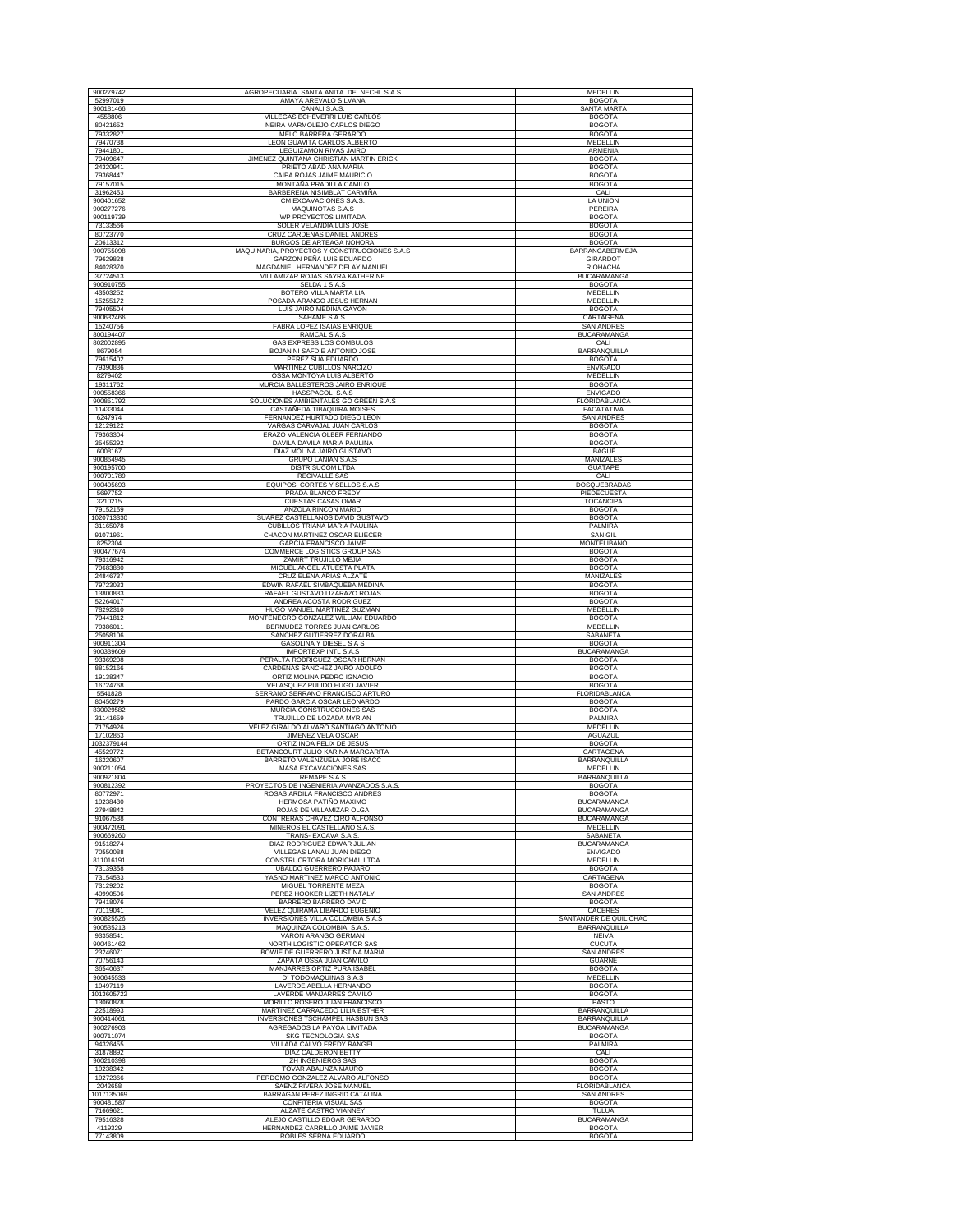| 900279742              | AGROPECUARIA SANTA ANITA DE NECHI S.A.S                                  | MEDELLIN                                 |
|------------------------|--------------------------------------------------------------------------|------------------------------------------|
| 52997019               | AMAYA AREVALO SILVANA                                                    | <b>BOGOTA</b>                            |
| 900181466<br>4558806   | CANALI S.A.S<br>VILLEGAS ECHEVERRI LUIS CARLOS                           | <b>SANTA MARTA</b><br><b>BOGOTA</b>      |
| 80421652               | NEIRA MARMOLEJO CARLOS DIEGO                                             | <b>BOGOTA</b>                            |
| 79332827<br>79470738   | MELO BARRERA GERARDO<br>LEON GUAVITA CARLOS ALBERTO                      | <b>BOGOTA</b><br>MEDELLIN                |
| 79441801               | LEGUIZAMON RIVAS JAIRO                                                   | ARMENIA                                  |
| 79409647<br>24320941   | JIMENEZ QUINTANA CHRISTIAN MARTIN ERICK<br>PRIETO ABAD ANA MARIA         | <b>BOGOTA</b><br><b>BOGOTA</b>           |
| 79368447               | CAIPA ROJAS JAIME MAURICIO                                               | <b>BOGOTA</b>                            |
| 79157015<br>31962453   | MONTAÑA PRADILLA CAMILO<br>BARBERENA NISIMBLAT CARMIÑA                   | <b>BOGOTA</b><br>CALI                    |
| 900401652              | CM EXCAVACIONES S.A.S.                                                   | LA UNION                                 |
| 900277276              | MAQUINOTAS S.A.S                                                         | PEREIRA<br><b>BOGOTA</b>                 |
| 900119739<br>73133566  | WP PROYECTOS LIMITADA<br>SOLER VELANDIA LUIS JOSE                        | <b>BOGOTA</b>                            |
| 80723770<br>20613312   | CRUZ CARDENAS DANIEL ANDRES<br>BURGOS DE ARTEAGA NOHORA                  | <b>BOGOTA</b><br><b>BOGOTA</b>           |
| 900755098              | MAQUINARIA, PROYECTOS Y CONSTRUCCIONES S.A.S                             | BARRANCABERMEJA                          |
| 79629828               | GARZON PEÑA LUIS EDUARDO<br>MAGDANIEL HERNANDEZ DELAY MANUEL             | GIRARDOT                                 |
| 84028370<br>37724513   | VILLAMIZAR ROJAS SAYRA KATHERINE                                         | RIOHACHA<br><b>BUCARAMANGA</b>           |
| 900910755              | SELDA 1 S.A.S                                                            | <b>BOGOTA</b>                            |
| 43503252<br>15255172   | BOTERO VILLA MARTA LIA<br>POSADA ARANGO JESUS HERNAN                     | MEDELLIN<br><b>MEDELLIN</b>              |
| 79405504               | LUIS JAIRO MEDINA GAYON                                                  | <b>BOGOTA</b>                            |
| 900632466<br>15240756  | SAHAME S.A.S.<br>FABRA LOPEZ ISAIAS ENRIQUE                              | CARTAGENA<br><b>SAN ANDRES</b>           |
| 800194407              | RAMCAL S.A.S                                                             | BUCARAMANGA                              |
| 802002895<br>8679054   | GAS EXPRESS LOS COMBULOS<br>BOJANINI SAFDIE ANTONIO JOSE                 | CALI<br>BARRANQUILLA                     |
| 79615402               | PEREZ SUA EDUARDO                                                        | <b>BOGOTA</b>                            |
| 79390836<br>8279402    | MARTINEZ CUBILLOS NARCIZO<br>OSSA MONTOYA LUIS ALBERTO                   | <b>ENVIGADO</b><br><b>MEDELLIN</b>       |
| 19311762               | MURCIA BALLESTEROS JAIRO ENRIQUE                                         | <b>BOGOTA</b>                            |
| 900558366<br>900851792 | HASSPACOL S.A.S<br>SOLUCIONES AMBIENTALES GO GREEN S.A.S                 | <b>ENVIGADO</b><br>FLORIDABLANCA         |
| 11433044               | CASTAÑEDA TIBAQUIRA MOISES                                               | FACATATIVA                               |
| 6247974<br>12129122    | FERNANDEZ HURTADO DIEGO LEON<br>VARGAS CARVAJAL JUAN CARLOS              | <b>SAN ANDRES</b><br><b>BOGOTA</b>       |
| 79363304               | ERAZO VALENCIA OLBER FERNANDO                                            | <b>BOGOTA</b>                            |
| 35455292<br>6008167    | DAVILA DAVILA MARIA PAULINA<br>DIAZ MOLINA JAIRO GUSTAVO                 | <b>BOGOTA</b><br><b>IBAGUE</b>           |
| 900864945              | <b>GRUPO LANIAN S.A.S</b>                                                | MANIZALES                                |
| 900195700<br>900701789 | <b>DISTRISUCOM LTDA</b><br><b>RECIVALLE SAS</b>                          | <b>GUATAPE</b><br>CALI                   |
| 900405693              | EQUIPOS, CORTES Y SELLOS S.A.S                                           | DOSQUEBRADAS                             |
| 5697752<br>3210215     | PRADA BLANCO FREDY<br><b>CUESTAS CASAS OMAR</b>                          | PIEDECUESTA<br><b>TOCANCIPA</b>          |
| 79152159               | ANZOLA RINCON MARIO                                                      | <b>BOGOTA</b>                            |
| 1020713330<br>31165078 | SUAREZ CASTELLANOS DAVID GUSTAVO<br>CUBILLOS TRIANA MARIA PAULINA        | <b>BOGOTA</b><br>PALMIRA                 |
| 91071961               | CHACON MARTINEZ OSCAR ELIECER                                            | SAN GIL                                  |
| 8252304<br>900477674   | <b>GARCIA FRANCISCO JAIME</b><br>COMMERCE LOGISTICS GROUP SAS            | MONTELIBANO<br><b>BOGOTA</b>             |
| 79316942               | ZAMIRT TRUJILLO MEJIA                                                    | <b>BOGOTA</b>                            |
| 79683880<br>24846737   | MIGUEL ANGEL ATUESTA PLATA<br>CRUZ ELENA ARIAS ALZATE                    | <b>BOGOTA</b><br>MANIZALES               |
| 79723033               | EDWIN RAFAEL SIMBAQUEBA MEDINA                                           | <b>BOGOTA</b>                            |
| 13800833<br>52264017   | RAFAEL GUSTAVO LIZARAZO ROJAS<br>ANDREA ACOSTA RODRIGUEZ                 | <b>BOGOTA</b><br><b>BOGOTA</b>           |
| 78292310               | HUGO MANUEL MARTINEZ GUZMAN                                              | MEDELLIN                                 |
| 79441812<br>79386011   | MONTENEGRO GONZALEZ WILLIAM EDUARDO<br>BERMUDEZ TORRES JUAN CARLOS       | <b>BOGOTA</b><br>MEDELLIN                |
| 25058106               | SANCHEZ GUTIERREZ DORALBA                                                | SABANETA                                 |
| 900911304<br>900339609 | GASOLINA Y DIESEL S A S<br><b>IMPORTEXP INTL S.A.S</b>                   | <b>BOGOTA</b><br><b>BUCARAMANGA</b>      |
| 93369208               | PERALTA RODRIGUEZ OSCAR HERNAN                                           | <b>BOGOTA</b>                            |
| 88152166<br>19138347   | CARDENAS SANCHEZ JAIRO ADOLFO<br>ORTIZ MOLINA PEDRO IGNACIO              | <b>BOGOTA</b><br><b>BOGOTA</b>           |
| 16724768               | VELASQUEZ PULIDO HUGO JAVIER                                             | <b>BOGOTA</b>                            |
| 5541828<br>80450279    | SERRANO SERRANO FRANCISCO ARTURO<br>PARDO GARCIA OSCAR LEONARDO          | FLORIDABLANCA<br><b>BOGOTA</b>           |
| 830029582<br>31141659  | MURCIA CONSTRUCCIONES SAS<br>TRUJILLO DE LOZADA MYRIAN                   | <b>BOGOTA</b><br>PALMIRA                 |
| 71754926               | VELEZ GIRALDO ALVARO SANTIAGO ANTONIO                                    | MEDELLIN                                 |
| 17102863<br>1032379144 | JIMENEZ VELA OSCAR<br>ORTIZ INOA FELIX DE JESUS                          | AGUAZUL<br><b>BOGOTA</b>                 |
| 45529772               | BETANCOURT JULIO KARINA MARGARITA                                        | CARTAGENA                                |
| 16220607<br>900211054  | BARRETO VALENZUELA JORE ISACC<br>MASA EXCAVACIONES SAS                   | BARRANOUILLA<br>MEDELLIN                 |
| 900921804              | <b>REMAPE S.A.S</b>                                                      | BARRANQUILLA                             |
| 900812392<br>80772971  | PROYECTOS DE INGENIERIA AVANZADOS S.A.S<br>ROSAS ARDILA FRANCISCO ANDRES | <b>BOGOTA</b><br><b>BOGOTA</b>           |
| 19238430               | HERMOSA PATIÑO MAXIMO                                                    | <b>BUCARAMANGA</b>                       |
| 27948842<br>91067538   | ROJAS DE VILLAMIZAR OLGA<br>CONTRERAS CHAVEZ CIRO ALFONSO                | <b>BUCARAMANGA</b><br><b>BUCARAMANGA</b> |
| 900472091              | MINEROS EL CASTELLANO S.A.S.                                             | MEDELLIN                                 |
| 900669260<br>91518274  | TRANS- EXCAVA S.A.S<br>DIAZ RODRIGUEZ EDWAR JULIAN                       | SABANETA<br><b>BUCARAMANGA</b>           |
| 70550088               | VILLEGAS LANAU JUAN DIEGO                                                | <b>ENVIGADO</b>                          |
| 811016191<br>73139358  | CONSTRUCRTORA MORICHAL LTDA<br>UBALDO GUERRERO PAJARO                    | MEDELLIN<br><b>BOGOTA</b>                |
| 73154533               | YASNO MARTINEZ MARCO ANTONIO                                             | CARTAGENA                                |
| 73129202<br>40990506   | MIGUEL TORRENTE MEZA<br>PEREZ HOOKER LIZETH NATALY                       | <b>BOGOTA</b><br><b>SAN ANDRES</b>       |
| 79418076<br>70119041   | BARRERO BARRERO DAVID<br>VELEZ QUIRAMA LIBARDO EUGENIO                   | <b>BOGOTA</b><br>CACERES                 |
| 900825526              | INVERSIONES VILLA COLOMBIA S.A.S                                         | SANTANDER DE QUILICHAO                   |
| 900535213<br>93358541  | MAQUINZA COLOMBIA S.A.S.<br>VARON ARANGO GERMAN                          | BARRANQUILLA<br><b>NEIVA</b>             |
| 900461462              | NORTH LOGISTIC OPERATOR SAS                                              | <b>CUCUTA</b>                            |
| 23246071<br>70756143   | BOWIE DE GUERRERO JUSTINA MARIA<br>ZAPATA OSSA JUAN CAMILO               | <b>SAN ANDRES</b><br><b>GUARNE</b>       |
| 36540637               | MANJARRES ORTIZ PURA ISABEL                                              | <b>BOGOTA</b>                            |
| 900645533<br>19497119  | D' TODOMAQUINAS S.A.S<br>LAVERDE ABELLA HERNANDO                         | <b>MEDELLIN</b><br><b>BOGOTA</b>         |
| 1013605722             | LAVERDE MANJARRES CAMILO                                                 | <b>BOGOTA</b>                            |
| 13060878<br>22518993   | MORILLO ROSERO JUAN FRANCISCO<br>MARTINEZ CARRACEDO LILIA ESTHER         | PASTO<br>BARRANQUILLA                    |
| 900414061              | INVERSIONES TSCHAMPEL HASBUN SAS                                         | BARRANQUILLA                             |
| 900276903<br>900711074 | AGREGADOS LA PAYOA LIMITADA<br>SKG TECNOLOGIA SAS                        | <b>BUCARAMANGA</b><br><b>BOGOTA</b>      |
| 94326455               | VILLADA CALVO FREDY RANGEL                                               | PALMIRA                                  |
| 31878892<br>900210398  | DIAZ CALDERON BETTY<br>ZH INGENIEROS SAS                                 | CALI<br><b>BOGOTA</b>                    |
| 19238342               | TOVAR ABAUNZA MAURO                                                      | <b>BOGOTA</b>                            |
| 19272366<br>2042658    | PERDOMO GONZALEZ ALVARO ALFONSO<br>SAENZ RIVERA JOSE MANUEL              | <b>BOGOTA</b><br>FLORIDABLANCA           |
| 1017135069             | BARRAGAN PEREZ INGRID CATALINA                                           | <b>SAN ANDRES</b>                        |
| 900481587<br>71669621  | CONFITERIA VISUAL SAS<br>ALZATE CASTRO VIANNEY                           | <b>BOGOTA</b><br>TULUA                   |
| 79516328               | ALEJO CASTILLO EDGAR GERARDO                                             | <b>BUCARAMANGA</b>                       |
| 4119329<br>77143809    | HERNANDEZ CARRILLO JAIME JAVIER<br>ROBLES SERNA EDUARDO                  | <b>BOGOTA</b><br><b>BOGOTA</b>           |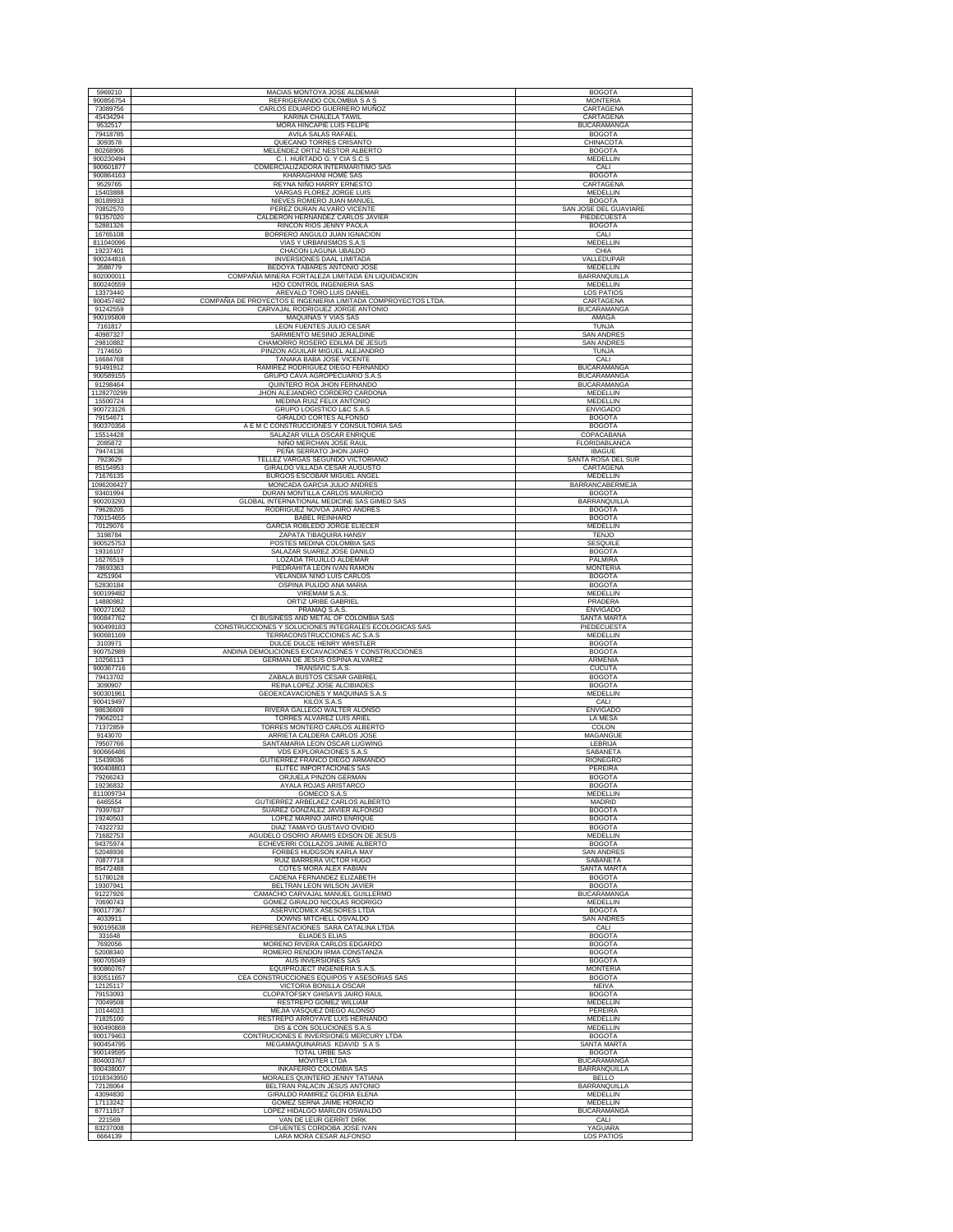| 5969210                | MACIAS MONTOYA JOSE ALDEMAR                                                                    | <b>BOGOTA</b>                            |
|------------------------|------------------------------------------------------------------------------------------------|------------------------------------------|
| 900856754              | REFRIGERANDO COLOMBIA S A S                                                                    | <b>MONTERIA</b>                          |
| 73089756<br>45434294   | CARLOS EDUARDO GUERRERO MUÑOZ<br>KARINA CHALELA TAWIL                                          | CARTAGENA<br>CARTAGENA                   |
| 9532517                | MORA HINCAPIE LUIS FELIPE                                                                      | <b>BUCARAMANGA</b>                       |
| 79418785<br>3093578    | AVILA SALAS RAFAEL<br>QUECANO TORRES CRISANTO                                                  | <b>BOGOTA</b><br>CHINACOTA               |
| 80268906               | MELENDEZ ORTIZ NESTOR ALBERTO                                                                  | <b>BOGOTA</b>                            |
| 900230494<br>900601877 | C. I. HURTADO G. Y CIA S.C.S<br>COMERCIALIZADORA INTERMARITIMO SAS                             | MEDELLIN<br>CALI                         |
| 900864163              | KHARAGHANI HOME SAS                                                                            | <b>BOGOTA</b>                            |
| 9529765<br>15403888    | REYNA NIÑO HARRY ERNESTO<br>VARGAS FLOREZ JORGE LUIS                                           | CARTAGENA<br>MEDELLIN                    |
| 80189933               | NIEVES ROMERO JUAN MANUEL                                                                      | <b>BOGOTA</b>                            |
| 70852570<br>91357020   | PEREZ DURAN ALVARO VICENTE<br>CALDERON HERNANDEZ CARLOS JAVIER                                 | SAN JOSE DEL GUAVIARE<br>PIEDECUESTA     |
| 52881326               | RINCON RIOS JENNY PAOLA                                                                        | <b>BOGOTA</b>                            |
| 16765108<br>811040096  | BORRERO ANGULO JUAN IGNACION<br><b>VIAS Y URBANISMOS S.A.S</b>                                 | CALI<br><b>MEDELLIN</b>                  |
| 19237401               | CHACON LAGUNA UBALDO                                                                           | CHIA                                     |
| 900244816<br>3588779   | <b>INVERSIONES DAAL LIMITADA</b><br>BEDOYA TABARES ANTONIO JOSE                                | VALLEDUPAR<br>MEDELLIN                   |
| 802000011              | COMPAÑIA MINERA FORTALEZA LIMITADA EN LIOUIDACION                                              | <b>BARRANOUILLA</b>                      |
| 800240559<br>13373440  | H2O CONTROL INGENIERIA SAS<br>AREVALO TORO LUIS DANIEL                                         | MEDELLIN<br>LOS PATIOS                   |
| 900457482              | COMPAÑIA DE PROYECTOS E INGENIERIA LIMITADA COMPROYECTOS LTDA                                  | CARTAGENA                                |
| 91242559<br>900195808  | CARVAJAL RODRIGUEZ JORGE ANTONIO<br>MAQUINAS Y VIAS SAS                                        | <b>BUCARAMANGA</b><br>AMAGA              |
| 7161817                | LEON FUENTES JULIO CESAR                                                                       | TUNJA                                    |
| 40987327               | SARMIENTO MESINO JERALDINE                                                                     | <b>SAN ANDRES</b>                        |
| 29810882<br>7174650    | CHAMORRO ROSERO EDILMA DE JESUS<br>PINZON AGUILAR MIGUEL ALEJANDRO                             | <b>SAN ANDRES</b><br><b>TUNJA</b>        |
| 16684768               | TANAKA BABA JOSE VICENTE                                                                       | CALI                                     |
| 91491912<br>900589155  | RAMIREZ RODRIGUEZ DIEGO FERNANDO<br>GRUPO CAVA AGROPECUARIO S.A.S                              | <b>BUCARAMANGA</b><br><b>BUCARAMANGA</b> |
| 91298464               | QUINTERO ROA JHON FERNANDO                                                                     | <b>BUCARAMANGA</b>                       |
| 1128270299<br>15500724 | JHON ALEJANDRO CORDERO CARDONA<br><b>MEDINA RUIZ FELIX ANTONIO</b>                             | <b>MEDELLIN</b><br>MEDELLIN              |
| 900723126              | GRUPO LOGISTICO L&C S.A.S                                                                      | <b>ENVIGADO</b>                          |
| 79154671<br>900370356  | GIRALDO CORTES ALFONSO<br>A E M C CONSTRUCCIONES Y CONSULTORIA SAS                             | <b>BOGOTA</b><br><b>BOGOTA</b>           |
| 15514428               | SALAZAR VILLA OSCAR ENRIQUE                                                                    | COPACABANA                               |
| 2085872<br>79474136    | NIÑO MERCHAN JOSE RAUL<br>PEÑA SERRATO JHON JAIRO                                              | FLORIDABLANCA<br><b>IBAGUE</b>           |
| 7923629                | TELLEZ VARGAS SEGUNDO VICTORIANO                                                               | SANTA ROSA DEL SUR                       |
| 85154953<br>71676135   | GIRALDO VILLADA CESAR AUGUSTO<br>BURGOS ESCOBAR MIGUEL ANGEL                                   | CARTAGENA<br><b>MEDELLIN</b>             |
| 1096206427             | MONCADA GARCIA JULIO ANDRES                                                                    | BARRANCABERMEJA                          |
| 93401994<br>900203293  | DURAN MONTILLA CARLOS MAURICIO<br>GLOBAL INTERNATIONAL MEDICINE SAS GIMED SAS                  | <b>BOGOTA</b><br>BARRANQUILLA            |
| 79628205               | RODRIGUEZ NOVOA JAIRO ANDRES                                                                   | <b>BOGOTA</b>                            |
| 700154655<br>70129076  | <b>BABEL REINHARD</b><br>GARCIA ROBLEDO JORGE ELIECER                                          | <b>BOGOTA</b><br>MEDELLIN                |
| 3198784                | ZAPATA TIBAQUIRA HANSY                                                                         | <b>TENJO</b>                             |
| 900525753<br>19316107  | POSTES MEDINA COLOMBIA SAS<br>SALAZAR SUAREZ JOSE DANILO                                       | SESQUILE<br><b>BOGOTA</b>                |
| 16276519               | LOZADA TRUJILLO ALDEMAR                                                                        | PALMIRA                                  |
| 78693363<br>4251904    | PIEDRAHITA LEON IVAN RAMON<br>VELANDIA NIÑO LUIS CARLOS                                        | <b>MONTERIA</b><br><b>BOGOTA</b>         |
| 52830184               | OSPINA PULIDO ANA MARIA                                                                        | <b>BOGOTA</b>                            |
| 900199482<br>14880982  | VIREMAM S.A.S.<br>ORTIZ URIBE GABRIEL                                                          | MEDELLIN<br>PRADERA                      |
| 900271062              | PRAMAQ S.A.S.                                                                                  |                                          |
|                        |                                                                                                | <b>ENVIGADO</b>                          |
| 900847762<br>900499183 | CI BUSINESS AND METAL OF COLOMBIA SAS<br>CONSTRUCCIONES Y SOLUCIONES INTEGRALES ECOLOGICAS SAS | SANTA MARTA<br>PIEDECUESTA               |
| 900681169              | TERRACONSTRUCCIONES AC S.A.S                                                                   | <b>MEDELLIN</b>                          |
| 3103971<br>900752989   | DULCE DULCE HENRY WHISTLER<br>ANDINA DEMOLICIONES EXCAVACIONES Y CONSTRUCCIONES                | <b>BOGOTA</b><br><b>BOGOTA</b>           |
| 10256113               | GERMAN DE JESUS OSPINA ALVAREZ                                                                 | ARMENIA                                  |
| 900367716<br>79413702  | TRANSIVIC S.A.S.<br>ZABALA BUSTOS CESAR GABRIEL                                                | <b>CUCUTA</b><br><b>BOGOTA</b>           |
| 3090907                | REINA LOPEZ JOSE ALCIBIADES                                                                    | <b>BOGOTA</b><br>MEDELLIN                |
| 900301961<br>900419497 | GEOEXCAVACIONES Y MAQUINAS S.A.S<br>KILOX S.A.S                                                | CALI                                     |
| 98636609<br>79062012   | RIVERA GALLEGO WALTER ALONSO                                                                   | <b>ENVIGADO</b>                          |
| 71372859               | TORRES ALVAREZ LUIS ARIEL<br>TORRES MONTERO CARLOS ALBERTO                                     | LA MESA<br>COLON                         |
| 9143070<br>79507766    | ARRIETA CALDERA CARLOS JOSE<br>SANTAMARIA LEON OSCAR LUGWING                                   | MAGANGUE<br>LEBRIJA                      |
| 900666486              | VDS EXPLORACIONES S.A.S                                                                        | SABANETA                                 |
| 15439036<br>900408803  | GUTIERREZ FRANCO DIEGO ARMANDO<br>ELITEC IMPORTACIONES SAS                                     | <b>RIONEGRO</b><br>PEREIRA               |
| 79266243               | ORJUELA PINZON GERMAN                                                                          | <b>BOGOTA</b>                            |
| 19236832<br>811009734  | AYALA ROJAS ARISTARCO<br><b>GOMECO S.A.S</b>                                                   | <b>BOGOTA</b><br><b>MEDELLIN</b>         |
| 6465554                | GUTIERREZ ARBELAEZ CARLOS ALBERTO                                                              | MADRID                                   |
| 79397637<br>19240503   | SUAREZ GONZALEZ JAVIER ALFONSO<br>LOPEZ MARIÑO JAIRO ENRIQUE                                   | <b>BOGOTA</b><br><b>BOGOTA</b>           |
| 74322732               | DIAZ TAMAYO GUSTAVO OVIDIO                                                                     | <b>BOGOTA</b>                            |
| 71682753<br>94375974   | AGUDELO OSORIO ARAMIS EDISON DE JESUS<br>ECHEVERRI COLLAZOS JAIME ALBERTO                      | <b>MEDELLIN</b><br><b>BOGOTA</b>         |
| 52048936<br>70877718   | <b>FORBES HUDGSON KARLA MAY</b>                                                                | <b>SAN ANDRES</b>                        |
| 85472488               | RUIZ BARRERA VICTOR HUGO<br>COTES MORA ALEX FABIAN                                             | SABANETA<br><b>SANTA MARTA</b>           |
| 51780128<br>19307941   | CADENA FERNANDEZ ELIZABETH<br>BELTRAN LEON WILSON JAVIER                                       | <b>BOGOTA</b><br><b>BOGOTA</b>           |
| 91227926               | CAMACHO CARVAJAL MANUEL GUILLERMO                                                              | <b>BUCARAMANGA</b>                       |
| 70690743<br>900177367  | GOMEZ GIRALDO NICOLAS RODRIGO<br><b>ASERVICOMEX ASESORES LTDA</b>                              | MEDELLIN<br><b>BOGOTA</b>                |
| 4033911                | DOWNS MITCHELL OSVALDO                                                                         | <b>SAN ANDRES</b>                        |
| 900195638<br>331648    | REPRESENTACIONES SARA CATALINA LTDA<br><b>ELIADES ELIAS</b>                                    | CALI<br><b>BOGOTA</b>                    |
| 7692056                | MORENO RIVERA CARLOS EDGARDO                                                                   | <b>BOGOTA</b>                            |
| 52008340<br>900705049  | ROMERO RENDON IRMA CONSTANZA<br>AUS INVERSIONES SAS                                            | <b>BOGOTA</b><br><b>BOGOTA</b>           |
| 900860767              | EQUIPROJECT INGENIERIA S.A.S                                                                   | <b>MONTERIA</b>                          |
| 830511657<br>12125117  | CEA CONSTRUCCIONES EQUIPOS Y ASESORIAS SAS<br>VICTORIA BONILLA OSCAR                           | <b>BOGOTA</b><br><b>NEIVA</b>            |
| 79153093               | CLOPATOFSKY GHISAYS JAIRO RAUL                                                                 | <b>BOGOTA</b>                            |
| 70049508<br>10144023   | RESTREPO GOMEZ WILLIAM<br>MEJIA VASQUEZ DIEGO ALONSO                                           | MEDELLIN<br><b>PEREIRA</b>               |
| 71825100               | RESTREPO ARROYAVE LUIS HERNANDO                                                                | MEDELLIN                                 |
| 900490869<br>900179463 | DIS & CON SOLUCIONES S.A.S<br>CONTRUCIONES E INVERSIONES MERCURY LTDA                          | MEDELLIN<br><b>BOGOTA</b>                |
| 900454795              | MEGAMAQUINARIAS KDAVID SAS                                                                     | SANTA MARTA                              |
| 900149595<br>804003767 | <b>TOTAL URBE SAS</b><br>MOVITER LTDA                                                          | <b>BOGOTA</b><br><b>BUCARAMANGA</b>      |
| 900438007              | <b>INKAFERRO COLOMBIA SAS</b>                                                                  | <b>BARRANQUILLA</b>                      |
| 1018343950<br>72128064 | MORALES QUINTERO JENNY TATIANA<br>BELTRAN PALACIN JESUS ANTONIO                                | <b>BELLO</b><br><b>BARRANQUILLA</b>      |
| 43094830               | GIRALDO RAMIREZ GLORIA ELENA                                                                   | MEDELLIN                                 |
| 17113242<br>87711917   | GOMEZ SERNA JAIME HORACIO<br>LOPEZ HIDALGO MARLON OSWALDO                                      | MEDELLIN<br><b>BUCARAMANGA</b>           |
| 221569<br>83237008     | VAN DE LEUR GERRIT DIRK<br>CIFUENTES CORDOBA JOSE IVAN                                         | CALI<br>YAGUARA                          |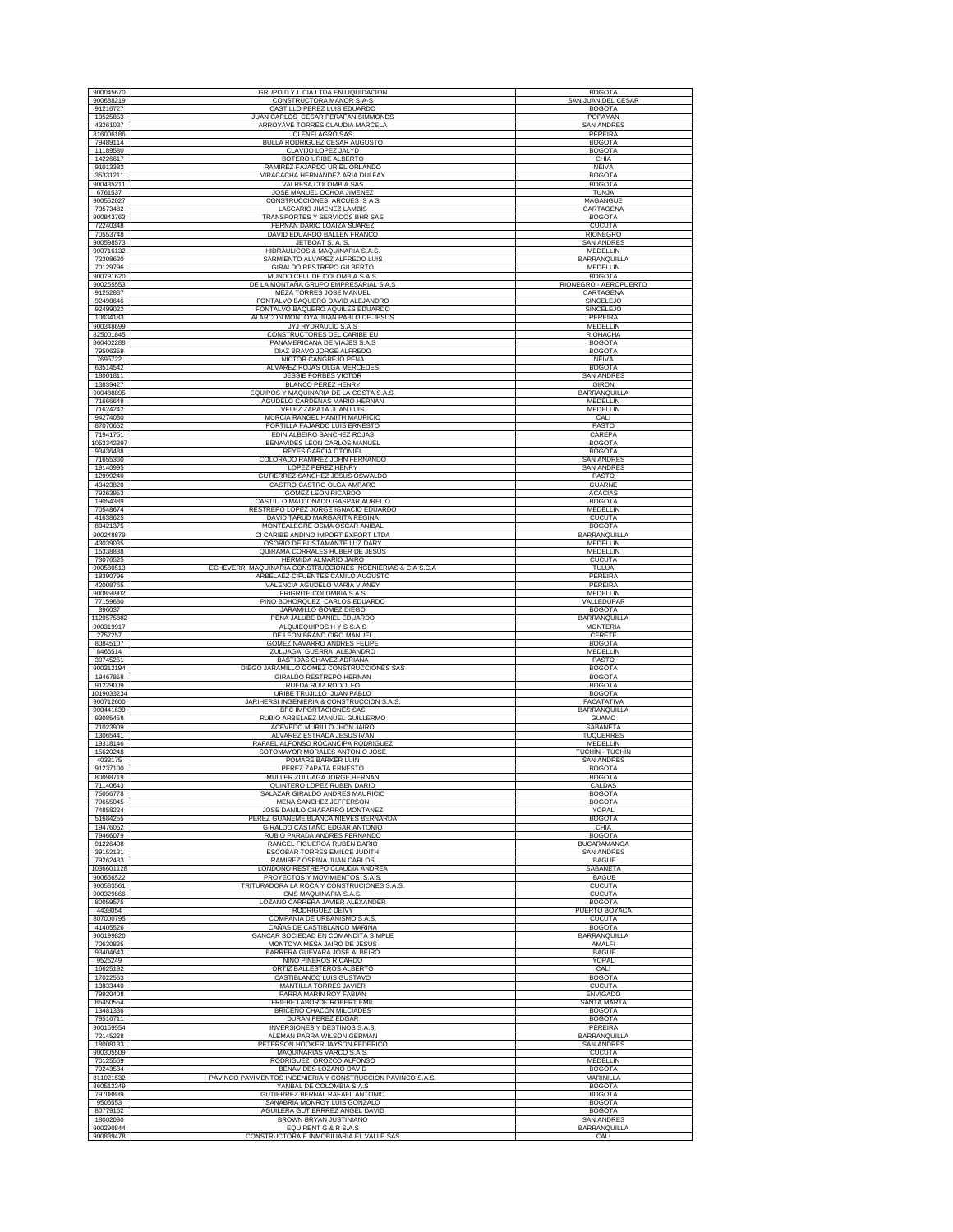| 900045670              | <b>GRUPO D Y L CIA LTDA EN LIQUIDACION</b>                                              | <b>BOGOTA</b>                           |
|------------------------|-----------------------------------------------------------------------------------------|-----------------------------------------|
| 900688219              | CONSTRUCTORA MANOR S-A-S                                                                | SAN JUAN DEL CESAR                      |
| 91216727               | CASTILLO PEREZ LUIS EDUARDO                                                             | <b>BOGOTA</b>                           |
| 10525853               | JUAN CARLOS CÉSAR PERAFÁN SIMMONDS                                                      | POPAYAN                                 |
| 43261037               | ARROYAVE TORRES CLAUDIA MARCELA                                                         | <b>SAN ANDRES</b>                       |
| 816006186<br>79489114  | CI ENELAGRO SAS<br>BULLA RODRIGUEZ CESAR AUGUSTO                                        | PEREIRA<br><b>BOGOTA</b>                |
| 11189580               | CLAVIJO LOPEZ JALYD                                                                     | <b>BOGOTA</b>                           |
| 14226617               | BOTERO URIBE ALBERTO                                                                    | CHIA                                    |
| 91013382               | RAMIREZ FAJARDO URIEL ORLANDO                                                           | <b>NEIVA</b>                            |
| 35331211<br>900435211  | VIRACACHA HERNANDEZ ARIA DULFAY<br>VALRESA COLOMBIA SAS                                 | <b>BOGOTA</b>                           |
| 6761537                | JOSE MANUEL OCHOA JIMENEZ                                                               | <b>BOGOTA</b><br><b>TUNJA</b>           |
| 900552027              | CONSTRUCCIONES ARCUES S A S                                                             | MAGANGUE                                |
| 73573482               | LASCARIO JIMENEZ LAMBIS                                                                 | CARTAGENA                               |
| 900843763              | TRANSPORTES Y SERVICOS BHR SAS                                                          | <b>BOGOTA</b>                           |
| 72240348<br>70553748   | FERNAN DARIO LOAIZA SUAREZ<br>DAVID EDUARDO BALLEN FRANCO                               | <b>CUCUTA</b><br>RIONEGRO               |
| 900598573              | JETBOAT S. A. S.                                                                        | <b>SAN ANDRES</b>                       |
| 900716132              | HIDRAULICOS & MAQUINARIA S.A.S.                                                         | <b>MEDELLIN</b>                         |
| 72308620               | SARMIENTO ALVAREZ ALFREDO LUIS                                                          | BARRANQUILLA                            |
| 70129796<br>900791620  | GIRALDO RESTREPO GILBERTO<br>MUNDO CELL DE COLOMBIA S.A.S                               | MEDELLIN<br><b>BOGOTA</b>               |
| 900255553              | DE LA MONTAÑA GRUPO EMPRESARIAL S.A.S                                                   | RIONEGRO - AEROPUERTO                   |
| 91252887               | MEZA TORRES JOSE MANUEL                                                                 | CARTAGENA                               |
| 92498646<br>92499022   | FONTALVO BAQUERO DAVID ALEJANDRO<br>FONTALVO BAQUERO AQUILES EDUARDO                    | SINCELEJO<br><b>SINCELEJO</b>           |
| 10034183               | ALARCON MONTOYA JUAN PABLO DE JESUS                                                     | PEREIRA                                 |
| 900348699              | JYJ HYDRAULIC S.A.S                                                                     | MEDELLIN                                |
| 825001845              | CONSTRUCTORES DEL CARIBE EU                                                             | RIOHACHA                                |
| 860402288              | PANAMERICANA DE VIAJES S.A.S                                                            | <b>BOGOTA</b>                           |
| 79506359<br>7695722    | DIAZ BRAVO JORGE ALFREDO<br>NICTOR CANGREJO PEÑA                                        | <b>BOGOTA</b><br><b>NEIVA</b>           |
| 63514542               | ALVAREZ ROJAS OLGA MERCEDES                                                             | <b>BOGOTA</b>                           |
| 18001811               | <b>JESSIE FORBES VICTOR</b>                                                             | SAN ANDRES                              |
| 13839427<br>900488895  | <b>BLANCO PEREZ HENRY</b><br>EQUIPOS Y MAQUINARIA DE LA COSTA S.A.S.                    | <b>GIRON</b><br><b>BARRANOUILLA</b>     |
| 71666648               | AGUDELO CARDENAS MARIO HERNAN                                                           | MEDELLIN                                |
| 71624242               | VELEZ ZAPATA JUAN LUIS                                                                  | <b>MEDELLIN</b>                         |
| 94274080               | MURCIA RANGEL HAMITH MAURICIO                                                           | CALI                                    |
| 87070652<br>71941751   | PORTILLA FAJARDO LUIS ERNESTO<br>EDIN ALBEIRO SANCHEZ ROJAS                             | PASTO<br>CAREPA                         |
| 1053342397             | BENAVIDES LEON CARLOS MANUEL                                                            | <b>BOGOTA</b>                           |
| 93436488               | <b>REYES GARCIA OTONIEL</b>                                                             | <b>BOGOTA</b>                           |
| 71655360               | COLORADO RAMIREZ JOHN FERNANDO                                                          | <b>SAN ANDRES</b>                       |
| 19140995<br>12999240   | LOPEZ PEREZ HENRY<br>GUTIERREZ SANCHEZ JESUS OSWALDO                                    | <b>SAN ANDRES</b><br>PASTO              |
| 43423820               | CASTRO CASTRO OLGA AMPARO                                                               | <b>GUARNE</b>                           |
| 79263953               | GOMEZ LEON RICARDO                                                                      | <b>ACACIAS</b>                          |
| 19054389               | CASTILLO MALDONADO GASPAR AURELIO                                                       | <b>BOGOTA</b>                           |
| 70548674<br>41638625   | RESTREPO LOPEZ JORGE IGNACIO EDUARDO<br>DAVID TARUD MARGARITA REGINA                    | MEDELLIN<br><b>CUCUTA</b>               |
| 80421375               | MONTEALEGRE OSMA OSCAR ANIBAL                                                           | <b>BOGOTA</b>                           |
| 900248879              | CI CARIBE ANDINO IMPORT EXPORT LTDA                                                     | <b>BARRANQUILLA</b>                     |
| 43039035<br>15338838   | OSORIO DE BUSTAMANTE LUZ DARY<br>QUIRAMA CORRALES HUBER DE JESÚS                        | MEDELLIN<br>MEDELLIN                    |
| 73076525               | HERMIDA ALMARIO JAIRO                                                                   | <b>CUCUTA</b>                           |
| 900580513              | ECHEVERRI MAQUINARIA CONSTRUCCIONES INGENIERIAS & CIA S.C.A                             | TULUA                                   |
| 18390796               | ARBELAEZ CIFUENTES CAMILO AUGUSTO                                                       | PEREIRA                                 |
| 42008765<br>900856902  | VALENCIA AGUDELO MARIA VIANEY<br>FRIGRITE COLOMBIA S.A.S                                | PEREIRA<br>MEDELLIN                     |
| 77159680               | PINO BOHORQUEZ CARLOS EDUARDO                                                           | VALLEDUPAR                              |
| 396037                 | JARAMILLO GOMEZ DIEGO                                                                   | <b>BOGOTA</b>                           |
| 1129575882             | PEÑA JALUBE DANIEL EDUARDO                                                              | BARRANQUILLA                            |
| 900319917<br>2757257   | ALQUIEQUIPOS H Y S S.A.S<br>DE LEON BRAND CIRO MANUEL                                   | <b>MONTERIA</b><br>CERETE               |
| 80845107               | GOMEZ NAVARRO ANDRES FELIPE                                                             | <b>BOGOTA</b>                           |
| 8466514                | ZULUAGA GUERRA ALEJANDRO                                                                | MEDELLIN                                |
| 30745251<br>900312194  | BASTIDAS CHAVEZ ADRIANA<br>DIEGO JARAMILLO GOMEZ CONSTRUCCIONES SAS                     | PASTO<br><b>BOGOTA</b>                  |
| 19467858               | GIRALDO RESTREPO HERNAN                                                                 | <b>BOGOTA</b>                           |
| 91229009               | RUEDA RUIZ RODOLFO                                                                      | <b>BOGOTA</b>                           |
| 1019033234             | URIBE TRUJILLO JUAN PABLO                                                               | <b>BOGOTA</b>                           |
| 900712600<br>900441639 | JARIHERSI INGENIERIA & CONSTRUCCION S.A.S<br>BPC IMPORTACIONES SAS                      | FACATATIVA<br>BARRANQUILLA              |
| 93085458               | RUBIO ARBELAEZ MANUEL GUILLERMO                                                         | <b>GUAMO</b>                            |
| 71023909               | ACEVEDO MURILLO JHON JAIRO                                                              | SABANETA                                |
| 13065441               | ALVAREZ ESTRADA JESUS IVAN<br>RAFAEL ALFONSO ROCANCIPA RODRIGUEZ                        | TUQUERRES                               |
| 19318146<br>15620248   | SOTOMAYOR MORALES ANTONIO JOSE                                                          | <b>MEDELLIN</b><br>TUCHÍN - TUCHÍN      |
| 4033175                | POMARE BARKER LUIN                                                                      | <b>SAN ANDRES</b>                       |
| 91237100               | PEREZ ZAPATA ERNESTO                                                                    | <b>BOGOTA</b><br><b>BOGOTA</b>          |
| 80098719<br>71140643   | MULLER ZULUAGA JORGE HERNAN<br>QUINTERO LOPEZ RUBEN DARIO                               | CALDAS                                  |
| 75056778               | SALAZAR GIRALDO ANDRES MAURICIO                                                         | <b>BOGOTA</b>                           |
| 79655045               | MENA SANCHEZ JEFFERSON                                                                  | <b>BOGOTA</b>                           |
| 74858224<br>51684255   | JOSE DANILO CHAPARRO MONTAÑEZ<br>PEREZ GUANEME BLANCA NIEVES BERNARDA                   | YOPAL<br><b>BOGOTA</b>                  |
| 19476052               | GIRALDO CASTAÑO EDGAR ANTONIO                                                           | CHIA                                    |
| 79466079               | RUBIO PARADA ANDRES FERNANDO                                                            | <b>BOGOTA</b>                           |
| 91226408<br>39152131   | RANGEL FIGUEROA RUBEN DARIO<br>ESCOBAR TORRES EMILCE JUDITH                             | <b>BUCARAMANGA</b><br><b>SAN ANDRES</b> |
| 79262433               | RAMIREZ OSPINA JUAN CARLOS                                                              | <b>IBAGUE</b>                           |
| 1036601128             | LONDOÑO RESTREPO CLAUDIA ANDREA                                                         | SABANETA                                |
| 900656522<br>900583561 | PROYECTOS Y MOVIMIENTOS S.A.S.<br>TRITURADORA LA ROCA Y CONSTRUCIONES S.A.S.            | <b>IBAGUE</b><br><b>CUCUTA</b>          |
| 900329666              | CMS MAQUINARIA S.A.S                                                                    | <b>CUCUTA</b>                           |
| 80059575               | LOZANO CARRERA JAVIER ALEXANDER                                                         | <b>BOGOTA</b>                           |
| 4438054                | RODRIGUEZ DEIVY                                                                         | PUERTO BOYACA                           |
| 807000795<br>41405526  | COMPAÑIA DE URBANISMO S.A.S.<br>CAÑAS DE CASTIBLANCO MARINA                             | <b>CUCUTA</b><br><b>BOGOTA</b>          |
| 900199820              | GANCAR SOCIEDAD EN COMANDITA SIMPLE                                                     | BARRANQUILLA                            |
| 70630835               | MONTOYA MESA JAIRO DE JESUS                                                             | AMALFI                                  |
| 93404643<br>9526249    | BARRERA GUEVARA JOSE ALBEIRO<br>NIÑO PIÑEROS RICARDO                                    | <b>IBAGUE</b><br>YOPAL                  |
| 16625192               | ORTIZ BALLESTEROS ALBERTO                                                               | CALI                                    |
| 17022563               | CASTIBLANCO LUIS GUSTAVO                                                                | <b>BOGOTA</b>                           |
| 13833440               | <b>MANTILLA TORRES JAVIER</b>                                                           | <b>CUCUTA</b>                           |
| 79920408<br>85450554   | PARRA MARIN ROY FABIAN<br>FRIEBE LABORDE ROBERT EMIL                                    | <b>ENVIGADO</b><br><b>SANTA MARTA</b>   |
| 13481336               | BRICEÑO CHACON MILCIADES                                                                | <b>BOGOTA</b>                           |
| 79516711               | DURAN PEREZ EDGAR                                                                       | <b>BOGOTA</b>                           |
| 900159554              | INVERSIONES Y DESTINOS S.A.S.                                                           | PEREIRA                                 |
| 72145228<br>18008133   | ALEMAN PARRA WILSON GERMAN<br>PETERSON HOOKER JAYSON FEDERICO                           | BARRANQUILLA<br><b>SAN ANDRES</b>       |
| 900305509              | MAQUINARIAS VARCO S.A.S                                                                 | <b>CUCUTA</b>                           |
| 70125569               | RODRÍGUEZ OROZCO ALFONSO                                                                | MEDELLIN                                |
| 79243584               | BENAVIDES LOZANO DAVID                                                                  | <b>BOGOTA</b>                           |
| 811021532<br>860512249 | PAVINCO PAVIMENTOS INGENIERIA Y CONSTRUCCION PAVINCO S.A.S.<br>YANBAL DE COLOMBIA S.A.S | MARINILLA<br><b>BOGOTA</b>              |
| 79708839               | GUTIERREZ BERNAL RAFAEL ANTONIO                                                         | <b>BOGOTA</b>                           |
| 9506553                | SANABRIA MONROY LUIS GONZALO                                                            | <b>BOGOTA</b>                           |
| 80779162<br>18002090   | AGUILERA GUTIERRREZ ANGEL DAVID<br>BROWN BRYAN JUSTINIANO                               | <b>BOGOTA</b><br><b>SAN ANDRES</b>      |
| 900290844              | EQUIRENT G & R S.A.S                                                                    | BARRANQUILLA                            |
| 900839478              | CONSTRUCTORA E INMOBILIARIA EL VALLE SAS                                                | CALI                                    |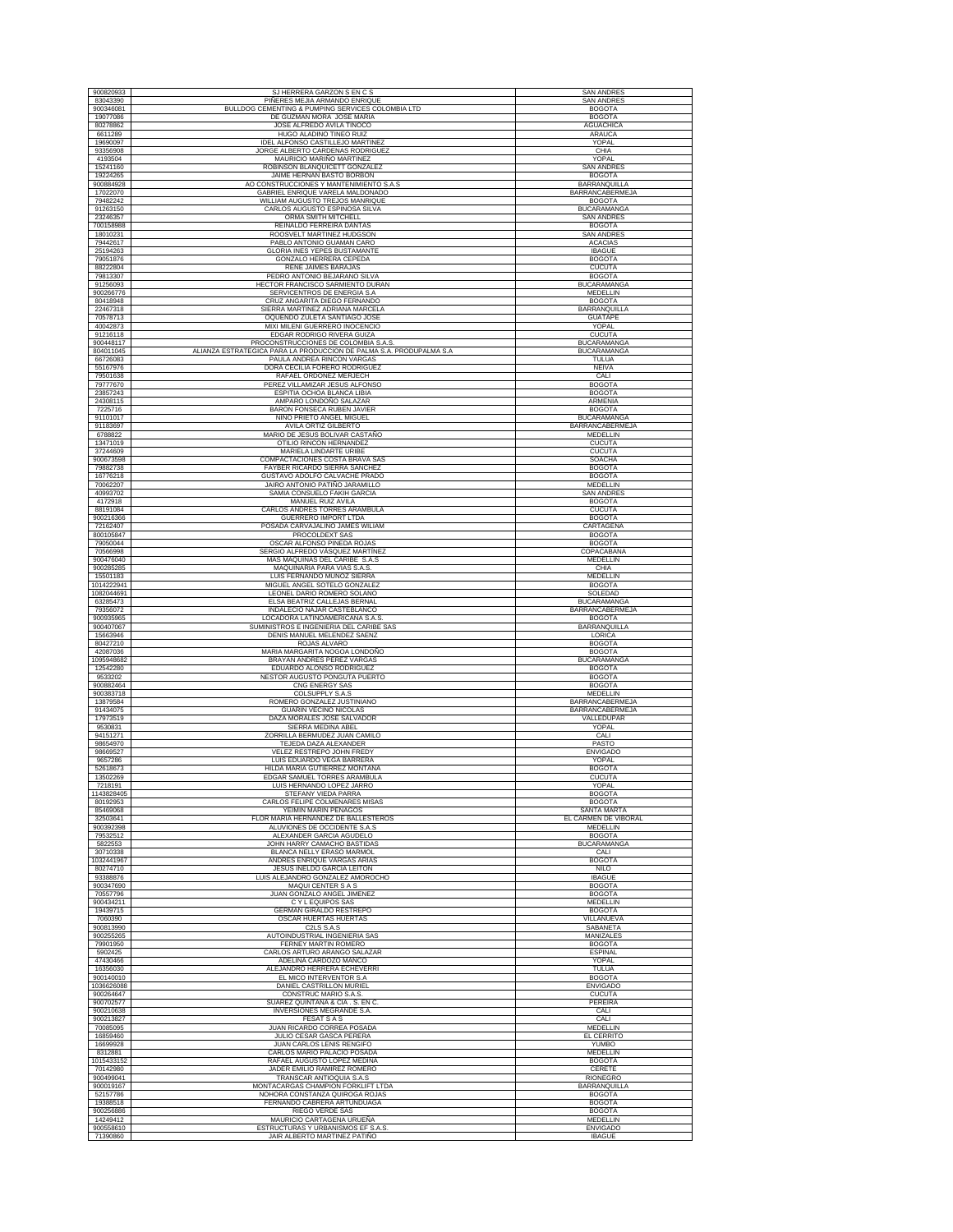| 900820933                                                       | SJ HERRERA GARZON S EN C S                                          | <b>SAN ANDRES</b>                       |
|-----------------------------------------------------------------|---------------------------------------------------------------------|-----------------------------------------|
| 83043390                                                        | PIÑERES MEJIA ARMANDO ENRIQUE                                       | SAN ANDRES                              |
| 900346081                                                       | BULLDOG CEMENTING & PUMPING SERVICES COLOMBIA LTD                   | <b>BOGOTA</b>                           |
| 19077086<br>80278862                                            | DE GUZMAN MORA JOSE MARIA<br>JOSE ALFREDO AVILA TINOCO              | <b>BOGOTA</b><br><b>AGUACHICA</b>       |
| 6611289                                                         | HUGO ALADINO TINEO RUIZ                                             | ARAUCA                                  |
| 19690097                                                        | IDEL ALFONSO CASTILLEJO MARTINEZ                                    | YOPAL                                   |
| 93356908                                                        | JORGE ALBERTO CARDENAS RODRIGUEZ                                    | CHIA                                    |
| 4193504<br>15241160                                             | MAURICIO MARIÑO MARTINEZ<br>ROBINSON BLANQUICETT GONZALEZ           | YOPAL<br><b>SAN ANDRES</b>              |
| 19224265                                                        | JAIME HERNAN BASTO BORBON                                           | <b>BOGOTA</b>                           |
| 900884928                                                       | AO CONSTRUCCIONES Y MANTENIMIENTO S.A.S                             | BARRANQUILLA                            |
| 17022070<br>79482242                                            | GABRIEL ENRIQUE VARELA MALDONADO<br>WILLIAM AUGUSTO TREJOS MANRIQUE | <b>BARRANCABERMEJA</b><br><b>BOGOTA</b> |
| 91263150                                                        | CARLOS AUGUSTO ESPINOSA SILVA                                       | <b>BUCARAMANGA</b>                      |
| 23246357                                                        | ORMA SMITH MITCHELL                                                 | <b>SAN ANDRES</b>                       |
| 700158988                                                       | REINALDO FERREIRA DANTAS<br>ROOSVELT MARTINEZ HUDGSON               | <b>BOGOTA</b>                           |
| 18010231<br>79442617                                            | PABLO ANTONIO GUAMAN CARO                                           | <b>SAN ANDRES</b><br><b>ACACIAS</b>     |
| 25194263                                                        | <b>GLORIA INES YEPES BUSTAMANTE</b>                                 | <b>IBAGUE</b>                           |
| 79051876                                                        | GONZALO HERRERA CEPEDA                                              | <b>BOGOTA</b>                           |
| 88222804<br>79813307                                            | RENE JAIMES BARAJAS<br>PEDRO ANTONIO BEJARANO SILVA                 | <b>CUCUTA</b><br><b>BOGOTA</b>          |
| 91256093                                                        | HECTOR FRANCISCO SARMIENTO DURAN                                    | <b>BUCARAMANGA</b>                      |
| 900266776                                                       | SERVICENTROS DE ENERGIA S.A                                         | MEDELLIN                                |
| 80418948<br>22467318                                            | CRUZ ANGARITA DIEGO FERNANDO<br>SIERRA MARTINEZ ADRIANA MARCELA     | <b>BOGOTA</b><br>BARRANQUILLA           |
| 70578713                                                        | OQUENDO ZULETA SANTIAGO JOSE                                        | <b>GUATAPE</b>                          |
| 40042873                                                        | MIXI MILENI GUERRERO INOCENCIO                                      | YOPAL                                   |
| 91216118<br>900448117                                           | EDGAR RODRIGO RIVERA GUIZA<br>PROCONSTRUCCIONES DE COLOMBIA S.A.S   | <b>CUCUTA</b><br><b>BUCARAMANGA</b>     |
| 804011045                                                       | ALIANZA ESTRATEGICA PARA LA PRODUCCION DE PALMA S.A. PRODUPALMA S.A | <b>BUCARAMANGA</b>                      |
| 66726083                                                        | PAULA ANDREA RINCON VARGAS                                          | TULUA                                   |
| 55167976<br>79501638                                            | DORA CECILIA FORERO RODRIGUEZ<br>RAFAEL ORDOÑEZ MERJECH             | <b>NEIVA</b><br>CALI                    |
| 79777670                                                        | PEREZ VILLAMIZAR JESUS ALFONSO                                      | <b>BOGOTA</b>                           |
| 23857243                                                        | ESPITIA OCHOA BLANCA LIBIA                                          | <b>BOGOTA</b>                           |
| 24308115<br>7225716                                             | AMPARO LONDOÑO SALAZAR<br>BARON FONSECA RUBEN JAVIER                | ARMENIA                                 |
| 91101017                                                        | NIÑO PRIETO ANGEL MIGUEL                                            | <b>BOGOTA</b><br><b>BUCARAMANGA</b>     |
| 91183697                                                        | AVILA ORTIZ GILBERTO                                                | BARRANCABERMEJA                         |
| 6788822                                                         | MARIO DE JESUS BOLIVAR CASTAÑO                                      | <b>MEDELLIN</b><br>CUCUTA               |
| 13471019<br>37244609                                            | OTILIO RINCON HERNANDEZ<br>MARIELA LINDARTE URIBE                   | <b>CUCUTA</b>                           |
| 900673598                                                       | COMPACTACIONES COSTA BRAVA SAS                                      | SOACHA                                  |
| 79882738                                                        | FAYBER RICARDO SIERRA SANCHEZ                                       | <b>BOGOTA</b>                           |
| 16776218<br>70062207                                            | GUSTAVO ADOLFO CALVACHE PRADO<br>JAIRO ANTONIO PATIÑO JARAMILLO     | <b>BOGOTA</b><br>MEDELLIN               |
| 40993702                                                        | SAMIA CONSUELO FAKIH GARCIA                                         | <b>SAN ANDRES</b>                       |
| 4172918                                                         | MANUEL RUIZ AVILA                                                   | <b>BOGOTA</b>                           |
| 88191084                                                        | CARLOS ANDRES TORRES ARAMBULA                                       | <b>CUCUTA</b>                           |
| 900216366<br>72162407                                           | GUERRERO IMPORT LTDA<br>POSADA CARVAJALINO JAMES WILIAM             | <b>BOGOTA</b><br>CARTAGENA              |
| 800105847                                                       | PROCOLDEXT SAS                                                      | <b>BOGOTA</b>                           |
| 79050044                                                        | OSCAR ALFONSO PINEDA ROJAS                                          | <b>BOGOTA</b>                           |
| 70566998<br>900476040                                           | SERGIO ALFREDO VÁSQUEZ MARTÍNEZ<br>MAS MAQUINAS DEL CARIBE S.A.S    | COPACABANA<br>MEDELLIN                  |
| 900285285                                                       | MAQUINARIA PARA VIAS S.A.S.                                         | CHIA                                    |
| 15501183                                                        | LUIS FERNANDO MUÑOZ SIERRA                                          | MEDELLIN                                |
| 1014222941<br>1082044691                                        | MIGUEL ANGEL SOTELO GONZALEZ<br>LEONEL DARIO ROMERO SOLANO          | <b>BOGOTA</b><br>SOLEDAD                |
| 63285473                                                        | ELSA BEATRIZ CALLEJAS BERNAL                                        | <b>BUCARAMANGA</b>                      |
| 79356072                                                        | INDALECIO NAJAR CASTEBLANCO                                         | BARRANCABERMEJA                         |
|                                                                 |                                                                     |                                         |
| 900935965                                                       | LOCADORA LATINOAMERICANA S.A.S                                      | <b>BOGOTA</b>                           |
| 900407067                                                       | SUMINISTROS E INGENIERIA DEL CARIBE SAS                             | BARRANQUILLA                            |
| 15663946<br>80427210                                            | DENIS MANUEL MELENDEZ SAENZ<br>ROJAS ALVARO                         | LORICA<br><b>BOGOTA</b>                 |
| 42087036                                                        | MARIA MARGARITA NOGOA LONDOÑO                                       | <b>BOGOTA</b>                           |
|                                                                 | BRAYAN ANDRES PEREZ VARGAS                                          | <b>BUCARAMANGA</b>                      |
| 12542280<br>9533202                                             | EDUARDO ALONSO RODRIGUEZ<br>NESTOR AUGUSTO PONGUTA PUERTO           | <b>BOGOTA</b><br><b>BOGOTA</b>          |
| 900882464                                                       | CNG ENERGY SAS                                                      | <b>BOGOTA</b>                           |
| 900383718<br>13879584                                           | COLSUPPLY S.A.S                                                     | MEDELLIN<br><b>BARRANCABERMEJA</b>      |
| 91434075                                                        | ROMERO GONZALEZ JUSTINIANO<br>GUARIN VECINO NICOLAS                 | BARRANCABERMEJA                         |
| 17973519                                                        | DAZA MORALES JOSE SALVADOR                                          | VALLEDUPAR                              |
| 9530831                                                         | SIERRA MEDINA ABEL                                                  | YOPAL                                   |
| 94151271<br>98654970                                            | ZORRILLA BERMUDEZ JUAN CAMILO<br><b>TEJEDA DAZA ALEXANDER</b>       | CALI<br>PASTO                           |
| 98669527                                                        | VELEZ RESTREPO JOHN FREDY                                           | <b>ENVIGADO</b>                         |
| 9657286                                                         | LUIS EDUARDO VEGA BARRERA                                           | YOPAL                                   |
| 52618673<br>13502269                                            | HILDA MARIA GUTIERREZ MONTAÑA<br>EDGAR SAMUEL TORRES ARAMBULA       | BOGOTA<br><b>CUCUTA</b>                 |
| 7218191                                                         | LUIS HERNANDO LOPEZ JARRO                                           | YOPAL                                   |
|                                                                 | STEFANY VIEDA PARRA<br>CARLOS FELIPE COLMENARES MISAS               | <b>BOGOTA</b>                           |
| 80192953<br>85469068                                            | YEIMIN MARIN PENAGOS                                                | <b>BOGOTA</b><br>SANTA MARTA            |
| 32503641                                                        | FLOR MARIA HERNANDEZ DE BALLESTEROS                                 | EL CARMEN DE VIBORAL                    |
| 900392398                                                       | ALUVIONES DE OCCIDENTE S.A.S                                        | MEDELLIN                                |
| 79532512<br>5822553                                             | ALEXANDER GARCIA AGUDELO<br>JOHN HARRY CAMACHO BASTIDAS             | <b>BOGOTA</b><br><b>BUCARAMANGA</b>     |
| 30710338                                                        | BLANCA NELLY ERASO MARMOL                                           | CALI                                    |
|                                                                 | ANDRES ENRIQUE VARGAS ARIAS                                         | <b>BOGOTA</b>                           |
| 80274710<br>93388876                                            | JESUS INELDO GARCIA LEITON<br>LUIS ALEJANDRO GONZALEZ AMOROCHO      | <b>NILO</b><br><b>IBAGUE</b>            |
| 900347690                                                       | <b>MAQUI CENTER S A S</b>                                           | <b>BOGOTA</b>                           |
| 70557796                                                        | JUAN GONZALO ANGEL JIMENEZ<br><b>CYLEQUIPOS SAS</b>                 | <b>BOGOTA</b>                           |
| 1095948682<br>1143828405<br>1032441967<br>900434211<br>19439715 | GERMAN GIRALDO RESTREPO                                             | <b>MEDELLIN</b><br><b>BOGOTA</b>        |
| 7060390                                                         | OSCAR HUERTAS HUERTAS                                               | VILLANUEVA                              |
| 900813990                                                       | C2LS S.A.S                                                          | SABANETA                                |
| 900255265<br>79901950                                           | AUTOINDUSTRIAL INGENIERIA SAS<br>FERNEY MARTIN ROMERO               | MANIZALES<br><b>BOGOTA</b>              |
| 5902425                                                         | CARLOS ARTURO ARANGO SALAZAR                                        | <b>ESPINAL</b>                          |
| 47430466                                                        | ADELINA CARDOZO MANCO                                               | <b>YOPAL</b>                            |
| 16356030<br>900140010                                           | ALEJANDRO HERRERA ECHEVERRI<br>EL MICO INTERVENTOR S.A              | TULUA<br><b>BOGOTA</b>                  |
|                                                                 | DANIEL CASTRILLON MURIEL                                            | <b>ENVIGADO</b>                         |
| 900264647                                                       | CONSTRUC MARIO S.A.S.                                               | <b>CUCUTA</b>                           |
| 900702577<br>900210638                                          | SUAREZ QUINTANA & CIA . S. EN C.<br>INVERSIONES MEGRANDE S.A        | <b>PEREIRA</b><br>CALI                  |
| 900213827                                                       | <b>FESAT S A S</b>                                                  | CALI                                    |
| 70085095                                                        | JUAN RICARDO CORREA POSADA                                          | MEDELLIN                                |
| 16859460<br>16699928                                            | JULIO CESAR GASCA PERERA<br>JUAN CARLOS LENIS RENGIFO               | EL CERRITO<br><b>YUMBO</b>              |
| 8312881                                                         | CARLOS MARIO PALACIO POSADA                                         | MEDELLIN                                |
|                                                                 | RAFAEL AUGUSTO LOPEZ MEDINA                                         | <b>BOGOTA</b>                           |
| 70142980<br>900499041                                           | JADER EMILIO RAMIREZ ROMERO                                         | CERETE<br><b>RIONEGRO</b>               |
| 1036626088<br>1015433152<br>900019167                           | TRANSCAR ANTIOQUIA S.A.S<br>MONTACARGAS CHAMPION FORKLIFT LTDA      | <b>BARRANQUILLA</b>                     |
| 52157786                                                        | NOHORA CONSTANZA QUIROGA ROJAS                                      | <b>BOGOTA</b>                           |
| 19388518                                                        | FERNANDO CABRERA ARTUNDUAGA                                         | <b>BOGOTA</b>                           |
| 900256886<br>14249412                                           | RIEGO VERDE SAS<br>MAURICIO CARTAGENA URUEÑA                        | <b>BOGOTA</b><br><b>MEDELLIN</b>        |
| 900558610<br>71390860                                           | ESTRUCTURAS Y URBANISMOS EF S.A.S<br>JAIR ALBERTO MARTINEZ PATIÑO   | <b>ENVIGADO</b><br><b>IBAGUE</b>        |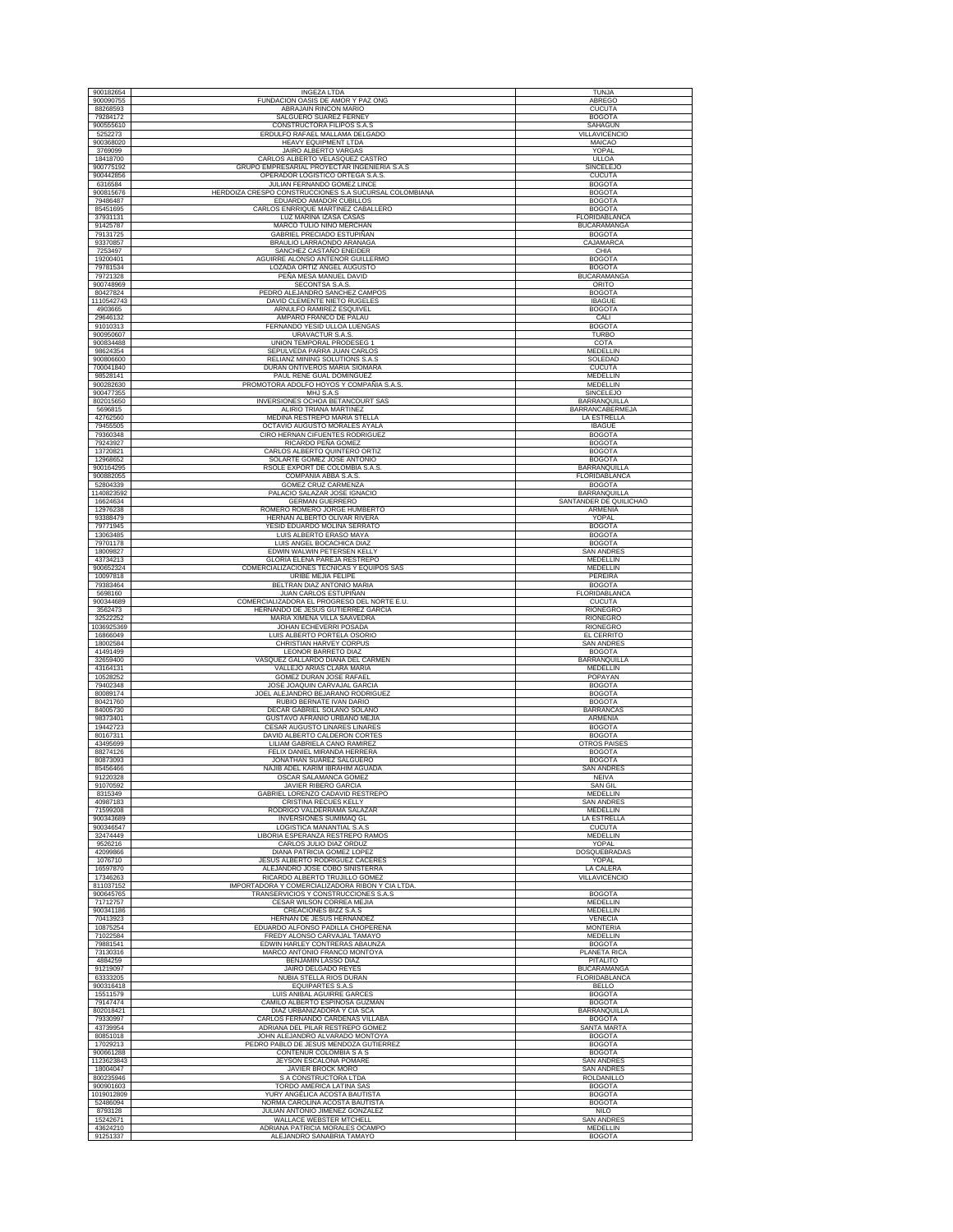| 900182654                        | <b>INGEZA LTDA</b>                                                                      | TUNJA                                          |
|----------------------------------|-----------------------------------------------------------------------------------------|------------------------------------------------|
| 900090755                        | FUNDACION OASIS DE AMOR Y PAZ ONG                                                       | ABREGO                                         |
| 88268593                         | ABRAJAIN RINCON MARIO                                                                   | CUCUTA                                         |
| 79284172<br>900555610            | SALGUERO SUAREZ FERNEY<br>CONSTRUCTORA FILIPOS S.A.S                                    | <b>BOGOTA</b><br>SAHAGUN                       |
| 5252273                          | ERDULFO RAFAEL MALLAMA DELGADO                                                          | VILLAVICENCIO                                  |
| 900368020                        | HEAVY EQUIPMENT LTDA                                                                    | MAICAO                                         |
| 3769099<br>18418700              | JAIRO ALBERTO VARGAS<br>CARLOS ALBERTO VELASQUEZ CASTRO                                 | YOPAL<br>ULLOA                                 |
| 900775192                        | GRUPO EMPRESARIAL PROYECTAR INGENIERIA S.A.S                                            | <b>SINCELEJO</b>                               |
| 900442856                        | OPERADOR LOGISTICO ORTEGA S.A.S.                                                        | <b>CUCUTA</b>                                  |
| 6316584<br>900815676             | JULIAN FERNANDO GOMEZ LINCE<br>HERDOIZA CRESPO CONSTRUCCIONES S.A SUCURSAL COLOMBIANA   | <b>BOGOTA</b><br><b>BOGOTA</b>                 |
| 79486487                         | EDUARDO AMADOR CUBILLOS                                                                 | <b>BOGOTA</b>                                  |
| 85451695<br>37931131             | CARLOS ENRRIQUE MARTINEZ CABALLERO                                                      | <b>BOGOTA</b>                                  |
| 91425787                         | LUZ MARINA IZASA CASAS<br>MARCO TULIO NIÑO MERCHAN                                      | FLORIDABLANCA<br><b>BUCARAMANGA</b>            |
| 79131725                         | GABRIEL PRECIADO ESTUPIÑAN                                                              | <b>BOGOTA</b>                                  |
| 93370857<br>7253497              | BRAULIO LARRAONDO ARANAGA<br>SANCHEZ CASTAÑO ENEIDER                                    | CAJAMARCA<br>CHIA                              |
| 19200401                         | AGUIRRE ALONSO ANTENOR GUILLERMO                                                        | <b>BOGOTA</b>                                  |
| 79781534                         | LOZADA ORTIZ ANGEL AUGUSTO                                                              | <b>BOGOTA</b>                                  |
| 79721328<br>900748969            | PEÑA MESA MANUEL DAVID<br>SECONTSA S.A.S.                                               | <b>BUCARAMANGA</b><br>ORITO                    |
| 80427824                         | PEDRO ALEJANDRO SANCHEZ CAMPOS                                                          | <b>BOGOTA</b>                                  |
| 1110542743                       | DAVID CLEMENTE NIETO RUGELES<br>ARNULFO RAMIREZ ESQUIVEL                                | <b>IBAGUE</b><br><b>BOGOTA</b>                 |
| 4903665<br>29646132              | AMPARO FRANCO DE PALAU                                                                  | CALI                                           |
| 91010313                         | FERNANDO YESID ULLOA LUENGAS                                                            | <b>BOGOTA</b>                                  |
| 900950607<br>900834488           | URAVACTUR S.A.S.<br>UNION TEMPORAL PRODESEG 1                                           | <b>TURBO</b><br>COTA                           |
| 98624354                         | SEPULVEDA PARRA JUAN CARLOS                                                             | MEDELLIN                                       |
| 900806600                        | RELIANZ MINING SOLUTIONS S.A.S                                                          | SOLEDAD                                        |
| 700041840<br>98528141            | DURAN ONTIVEROS MARIA SIOMARA<br>PAUL RENE GUAL DOMINGUEZ                               | <b>CUCUTA</b><br>MEDELLIN                      |
| 900282630                        | PROMOTORA ADOLFO HOYOS Y COMPAÑIA S.A.S.                                                | MEDELLIN                                       |
| 900477355                        | MHJ S.A.S                                                                               | SINCELEJO                                      |
| 802015650<br>5696815             | <b>INVERSIONES OCHOA BETANCOURT SAS</b><br>ALIRIO TRIANA MARTINEZ                       | BARRANQUILLA<br><b>BARRANCABERMEJA</b>         |
| 42762560                         | MEDINA RESTREPO MARIA STELLA                                                            | LA ESTRELLA                                    |
| 79455505<br>79360348             | OCTAVIO AUGUSTO MORALES AYALA<br>CIRO HERNAN CIFUENTES RODRIGUEZ                        | <b>IBAGUE</b><br><b>BOGOTA</b>                 |
| 79243927                         | RICARDO PEÑA GOMEZ                                                                      | <b>BOGOTA</b>                                  |
| 13720821                         | CARLOS ALBERTO QUINTERO ORTIZ                                                           | <b>BOGOTA</b>                                  |
| 12968652<br>900164295            | SOLARTE GOMEZ JOSE ANTONIO<br>RSOLE EXPORT DE COLOMBIA S.A.S                            | <b>BOGOTA</b><br>BARRANQUILLA                  |
| 900882055                        | COMPAÑIA ABBA S.A.S.                                                                    | FLORIDABLANCA                                  |
| 52804339<br>1140823592           | <b>GOMEZ CRUZ CARMENZA</b><br>PALACIO SALAZAR JOSE IGNACIO                              | <b>BOGOTA</b><br>BARRANQUILLA                  |
| 16624634                         | <b>GERMAN GUERRERO</b>                                                                  | SANTANDER DE QUILICHAO                         |
| 12976238                         | ROMERO ROMERO JORGE HUMBERTO                                                            | ARMENIA                                        |
| 93388479<br>79771945             | HERNAN ALBERTO OLIVAR RIVERA<br>YESID EDUARDO MOLINA SERRATO                            | YOPAL<br><b>BOGOTA</b>                         |
| 13063485                         | LUIS ALBERTO ERASO MAYA                                                                 | <b>BOGOTA</b>                                  |
| 79701178<br>18009827             | LUIS ANGEL BOCACHICA DIAZ<br>EDWIN WALWIN PETERSEN KELLY                                | <b>BOGOTA</b><br><b>SAN ANDRES</b>             |
| 43734213                         | GLORIA ELENA PAREJA RESTREPO                                                            | MEDELLIN                                       |
| 900652324<br>10097818            | COMERCIALIZACIONES TECNICAS Y EQUIPOS SAS                                               | MEDELLIN<br>PEREIRA                            |
| 79383464                         | URIBE MEJIA FELIPE<br>BELTRAN DIAZ ANTONIO MARIA                                        | <b>BOGOTA</b>                                  |
| 5698160                          | JUAN CARLOS ESTUPIÑAN                                                                   | FLORIDABLANCA                                  |
| 900344689<br>3562473             | COMERCIALIZADORA EL PROGRESO DEL NORTE E.U<br>HERNANDO DE JESUS GUTIERREZ GARCIA        | <b>CUCUTA</b><br>RIONEGRO                      |
| 32522252                         |                                                                                         |                                                |
|                                  | MARIA XIMENA VILLA SAAVEDRA                                                             | RIONEGRO                                       |
| 1036925369                       | JOHAN ECHEVERRI POSADA                                                                  | <b>RIONEGRO</b>                                |
| 16866049<br>18002584             | LUIS ALBERTO PORTELA OSORIO<br>CHRISTIAN HARVEY CORPUS                                  | EL CERRITO<br><b>SAN ANDRES</b>                |
| 41491499                         | LEONOR BARRETO DIAZ                                                                     | <b>BOGOTA</b>                                  |
| 32659400<br>43164131             | VASQUEZ GALLARDO DIANA DEL CARMEN<br>VALLEJO ARIAS CLARA MARIA                          | BARRANQUILLA<br>MEDELLIN                       |
| 10528252                         | GOMEZ DURAN JOSE RAFAEL                                                                 | POPAYAN                                        |
| 79402348<br>80089174             | JOSE JOAQUIN CARVAJAL GARCIA<br>JOEL ALEJANDRO BEJARANO RODRIGUEZ                       | <b>BOGOTA</b><br><b>BOGOTA</b>                 |
| 80421760                         | RUBIO BERNATE IVAN DARIO                                                                | <b>BOGOTA</b>                                  |
| 84005730<br>98373401             | DECAR GABRIEL SOLANO SOLANO<br>GUSTAVO AFRANIO URBANO MEJIA                             | <b>BARRANCAS</b><br>ARMENIA                    |
| 19442723                         | <b>CESAR AUGUSTO LINARES LINARES</b>                                                    | <b>BOGOTA</b>                                  |
| 80167311<br>43495699             | DAVID ALBERTO CALDERON CORTES<br>LILIAM GABRIELA CANO RAMIREZ                           | <b>BOGOTA</b><br><b>OTROS PAISES</b>           |
| 88274126                         | FELIX DANIEL MIRANDA HERRERA                                                            | <b>BOGOTA</b>                                  |
| 80873093<br>85456466             | JONATHAN SUAREZ SALGUERO<br>NAJIB ADEL KARIM IBRAHIM AGUADA                             | <b>BOGOTA</b><br><b>SAN ANDRE</b>              |
| 91220328                         | OSCAR SALAMANCA GOMEZ                                                                   | <b>NEIVA</b>                                   |
| 91070592                         | JAVIER RIBERO GARCIA                                                                    | SAN GIL                                        |
| 8315349<br>40987183              | GABRIEL LORENZO CADAVID RESTREPO<br>CRISTINA RECUES KELLY                               | <b>MEDELLIN</b><br><b>SAN ANDRES</b>           |
| 71599208                         | RODRIGO VALDERRAMA SALAZAR                                                              | MEDELLIN                                       |
| 900343689<br>900346547           | <b>INVERSIONES SUMIMAQ GL</b><br>LOGISTICA MANANTIAL S.A.S                              | LA ESTRELLA<br><b>CUCUTA</b>                   |
| 32474449                         | LIBORIA ESPERANZA RESTREPO RAMOS                                                        | MEDELLIN                                       |
| 9526216<br>42099866              | CARLOS JULIO DIAZ ORDUZ<br>DIANA PATRICIA GOMEZ LOPEZ                                   | YOPAL<br>DOSQUEBRADAS                          |
| 1076710                          | JESUS ALBERTO RODRIGUEZ CACERES                                                         | YOPAL                                          |
| 16597870<br>17346263             | ALEJANDRO JOSE COBO SINISTERRA                                                          | LA CALERA<br><b>VILLAVICENCIO</b>              |
| 811037152                        | RICARDO ALBERTO TRUJILLO GOMEZ<br>IMPORTADORA Y COMERCIALIZADORA RIBON Y CIA LTDA       |                                                |
| 900645765<br>71712757            | TRANSERVICIOS Y CONSTRUCCIONES S.A.S<br>CESAR WILSON CORREA MEJIA                       | <b>BOGOTA</b><br><b>MEDELLIN</b>               |
| 900341186                        | CREACIONES BIZZ S.A.S                                                                   | MEDELLIN                                       |
| 70413923                         | HERNAN DE JESUS HERNANDEZ                                                               | VENECIA                                        |
| 10875254<br>71022584             | EDUARDO ALFONSO PADILLA CHOPERENA<br>FREDY ALONSO CARVAJAL TAMAYO                       | <b>MONTERIA</b><br>MEDELLIN                    |
| 79881541                         | EDWIN HARLEY CONTRERAS ABAUNZA                                                          | <b>BOGOTA</b>                                  |
| 73130316<br>4884259              | MARCO ANTONIO FRANCO MONTOYA<br>BENJAMIN LASSO DIAZ                                     | PLANETA RICA<br><b>PITALITO</b>                |
| 91219097                         | JAIRO DELGADO REYES                                                                     | <b>BUCARAMANGA</b>                             |
| 63333205<br>900316418            | NUBIA STELLA RIOS DURAN<br><b>EQUIPARTES S.A.S</b>                                      | FLORIDABLANCA<br><b>BELLO</b>                  |
| 15511579                         | LUIS ANIBAL AGUIRRE GARCES                                                              | <b>BOGOTA</b>                                  |
| 79147474                         | CAMILO ALBERTO ESPINOSA GUZMAN                                                          | <b>BOGOTA</b>                                  |
| 802018421<br>79330997            | DIAZ URBANIZADORA Y CIA SCA<br>CARLOS FERNANDO CARDENAS VILLABA                         | BARRANQUILLA<br><b>BOGOTA</b>                  |
| 43739954<br>80851018             | ADRIANA DEL PILAR RESTREPO GOMEZ                                                        | <b>SANTA MARTA</b>                             |
| 17029213                         | JOHN ALEJANDRO ALVARADO MONTOYA<br>PEDRO PABLO DE JESUS MENDOZA GUTIERREZ               | <b>BOGOTA</b><br><b>BOGOTA</b>                 |
| 900661288                        | CONTENUR COLOMBIA S A S                                                                 | <b>BOGOTA</b>                                  |
| 1123623843<br>18004047           | JEYSON ESCALONA POMARE<br>JAVIER BROCK MORO                                             | <b>SAN ANDRES</b><br><b>SAN ANDRES</b>         |
| 800235946                        | S A CONSTRUCTORA LTDA                                                                   | <b>ROLDANILLO</b>                              |
| 900901603                        | TORDO AMERICA LATINA SAS                                                                | <b>BOGOTA</b>                                  |
| 1019012809<br>52486094           | YURY ANGÉLICA ACOSTA BAUTISTA<br>NORMA CAROLINA ACOSTA BAUTISTA                         | <b>BOGOTA</b><br><b>BOGOTA</b>                 |
| 8793128                          | JULIAN ANTONIO JIMENEZ GONZALEZ                                                         | <b>NILO</b>                                    |
| 15242671<br>43624210<br>91251337 | WALLACE WEBSTER MTCHELL<br>ADRIANA PATRICIA MORALES OCAMPO<br>ALEJANDRO SANABRIA TAMAYO | <b>SAN ANDRES</b><br>MEDELLIN<br><b>BOGOTA</b> |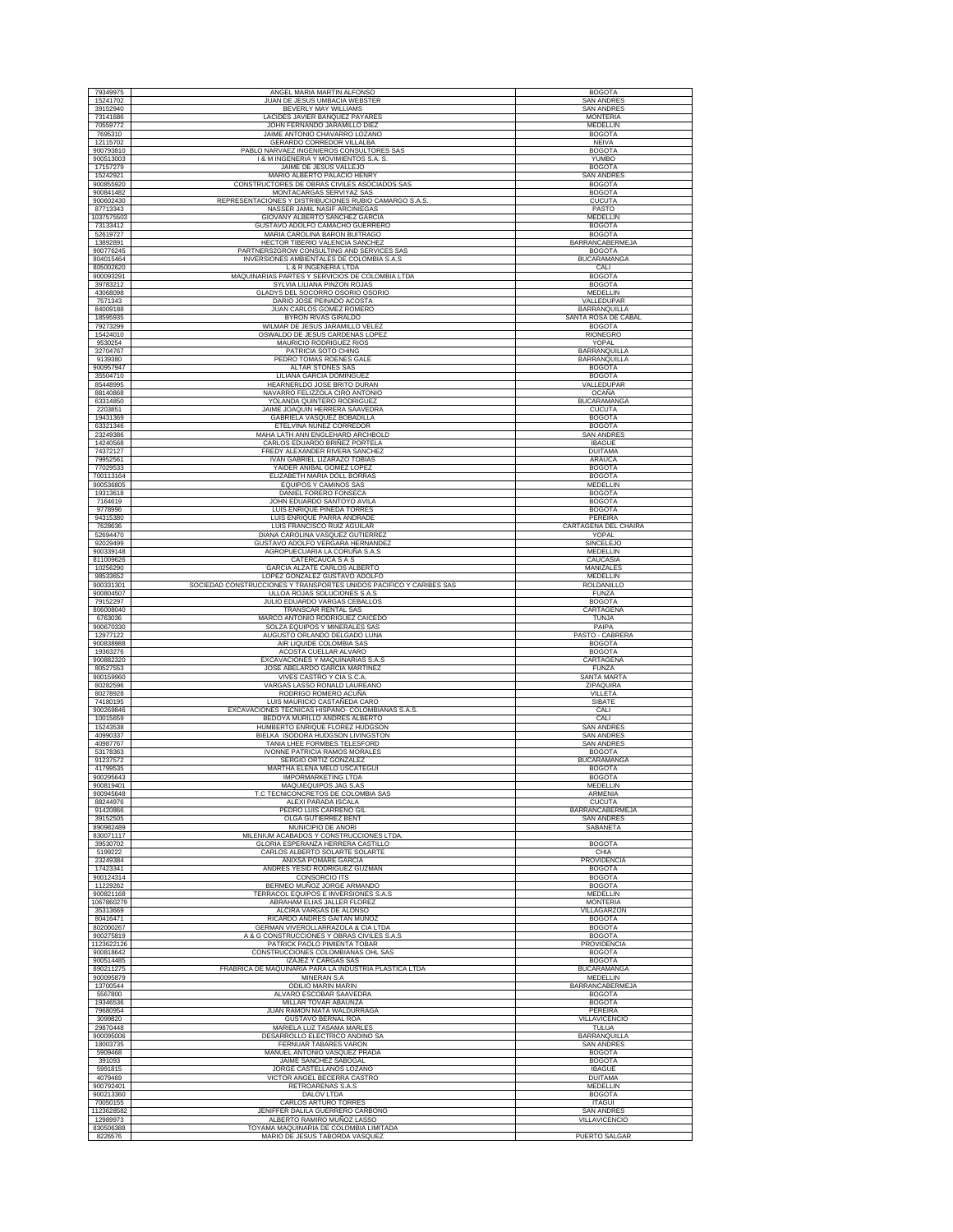| 79349975               | ANGEL MARIA MARTIN ALFONSO                                                                          | <b>BOGOTA</b>                       |
|------------------------|-----------------------------------------------------------------------------------------------------|-------------------------------------|
| 15241702               | JUAN DE JESUS UMBACIA WEBSTER                                                                       | <b>SAN ANDRES</b>                   |
| 39152940               | BEVERLY MAY WILLIAMS                                                                                | <b>SAN ANDRES</b>                   |
| 73141686               | LACIDES JAVIER BANQUEZ PAYARES                                                                      | <b>MONTERIA</b>                     |
| 70559772               | JOHN FERNANDO JARAMILLO DIEZ                                                                        | MEDELLIN                            |
| 7695310                | JAIME ANTONIO CHAVARRO LOZANO                                                                       | <b>BOGOTA</b>                       |
| 12115702<br>900793810  | GERARDO CORREDOR VILLALBA<br>PABLO NARVAEZ INGENIEROS CONSULTORES SAS                               | <b>NEIVA</b><br><b>BOGOTA</b>       |
| 900513003              | I & M INGENERIA Y MOVIMIENTOS S.A. S.                                                               | <b>YUMBO</b>                        |
| 17157279               | JAIME DE JESUS VALLEJO                                                                              | <b>BOGOTA</b>                       |
| 15242921               | MARIO ALBERTO PALACIO HENRY                                                                         | SAN ANDRE                           |
| 900855920              | CONSTRUCTORES DE OBRAS CIVILES ASOCIADOS SAS                                                        | <b>BOGOTA</b>                       |
| 900841482              | MONTACARGAS SERVIYAZ SAS                                                                            | <b>BOGOTA</b>                       |
| 900602430              | REPRESENTACIONES Y DISTRIBUCIONES RUBIO CAMARGO S.A.S.<br>NASSER JAMIL NASIF ARCINIEGAS             | <b>CUCUTA</b>                       |
| 87713343<br>1037575503 | GIOVANY ALBERTO SANCHEZ GARCIA                                                                      | PASTO<br>MEDELLIN                   |
| 73133412               | GUSTAVO ADOLFO CAMACHO GUERRERO                                                                     | <b>BOGOTA</b>                       |
| 52619727               | MARIA CAROLINA BARON BUITRAGO                                                                       | <b>BOGOTA</b>                       |
| 13892891               | HECTOR TIBERIO VALENCIA SANCHEZ                                                                     | BARRANCABERMEJA                     |
| 900776245              | PARTNERS2GROW CONSULTING AND SERVICES SAS                                                           | <b>BOGOTA</b>                       |
| 804015464<br>805002620 | INVERSIONES AMBIENTALES DE COLOMBIA S.A.S<br>L & R INGENERIA LTDA                                   | <b>BUCARAMANGA</b><br>CALI          |
| 900093291              | MAQUINARIAS PARTES Y SERVICIOS DE COLOMBIA LTDA                                                     | <b>BOGOTA</b>                       |
| 39783212               | SYLVIA LILIANA PINZON ROJAS                                                                         | <b>BOGOTA</b>                       |
| 43068098               | GLADYS DEL SOCORRO OSORIO OSORIO                                                                    | MEDELLIN                            |
| 7571343                | DARIO JOSE PEINADO ACOSTA                                                                           | VALLEDUPAR                          |
| 84009188<br>18595935   | JUAN CARLOS GOMEZ ROMERO<br>BYRON RIVAS GIRALDO                                                     | BARRANQUILLA<br>SANTA ROSA DE CABAL |
| 79273299               | WILMAR DE JESUS JARAMILLO VELEZ                                                                     | <b>BOGOTA</b>                       |
| 15424010               | OSWALDO DE JESUS CARDENAS LOPEZ                                                                     | RIONEGRO                            |
| 9530254                | MAURICIO RODRIGUEZ RIOS                                                                             | YOPAL                               |
| 32704767               | PATRICIA SOTO CHING                                                                                 | <b>BARRANQUILLA</b>                 |
| 9139380                | PEDRO TOMAS ROENES GALE                                                                             | BARRANQUILLA                        |
| 900957947<br>35504710  | ALTAR STONES SAS<br>LILIANA GARCIA DOMINGUEZ                                                        | <b>BOGOTA</b><br><b>BOGOTA</b>      |
| 85448995               | HEARNERLDO JOSE BRITO DURAN                                                                         | VALLEDUPAR                          |
| 88140868               | NAVARRO FELIZZOLA CIRO ANTONIO                                                                      | <b>OCAÑA</b>                        |
| 63314850               | YOLANDA QUINTERO RODRIGUEZ                                                                          | <b>BUCARAMANGA</b>                  |
| 2203851                | JAIME JOAQUIN HERRERA SAAVEDRA                                                                      | <b>CUCUTA</b>                       |
| 19431369<br>63321346   | GABRIELA VASQUEZ BOBADILLA<br>ETELVINA NUÑEZ CORREDOR                                               | <b>BOGOTA</b><br><b>BOGOTA</b>      |
| 23249386               | MAHA LATH ANN ENGLEHARD ARCHBOLD                                                                    | SAN ANDRE                           |
| 14240568               | CARLOS EDUARDO BRIÑEZ PORTELA                                                                       | <b>IBAGUE</b>                       |
| 74372127               | FREDY ALEXANDER RIVERA SANCHEZ                                                                      | <b>DUITAMA</b>                      |
| 79952561               | IVAN GABRIEL LIZARAZO TOBIAS                                                                        | <b>ARAUCA</b>                       |
| 77029533<br>700113164  | YAIDER ANIBAL GOMEZ LOPEZ<br>ELIZABETH MARIA DOLL BORRAS                                            | <b>BOGOTA</b><br><b>BOGOTA</b>      |
| 900536805              | EQUIPOS Y CAMINOS SAS                                                                               | MEDELLIN                            |
| 19313618               | DANIEL FORERO FONSECA                                                                               | <b>BOGOTA</b>                       |
| 7164619                | JOHN EDUARDO SANTOYO AVILA                                                                          | <b>BOGOTA</b>                       |
| 9778996                | LUIS ENRIQUE PINEDA TORRES                                                                          | <b>BOGOTA</b>                       |
| 94315380               | LUIS ENRIQUE PARRA ANDRADE                                                                          | PEREIRA                             |
| 7628636<br>52694470    | LUIS FRANCISCO RUIZ AGUILAR<br>DIANA CAROLINA VASQUEZ GUTIERREZ                                     | CARTAGENA DEL CHAIRA<br>YOPAI       |
| 92029499               | GUSTAVO ADOLFO VERGARA HERNANDEZ                                                                    | SINCELEJO                           |
| 900339148              | AGROPUECUARIA LA CORUÑA S.A.S                                                                       | MEDELLIN                            |
| 811009626              | CATERCAUCA S A S                                                                                    | CAUCASIA                            |
| 10256290               | GARCIA ALZATE CARLOS ALBERTO                                                                        | <b>MANIZALES</b>                    |
| 98533652               | LOPEZ GONZALEZ GUSTAVO ADOLFO                                                                       | MEDELLIN                            |
| 900331301<br>900804507 | SOCIEDAD CONSTRUCCIONES Y TRANSPORTES UNIDOS PACIFICO Y CARIBES SAS<br>ULLOA ROJAS SOLUCIONES S.A.S | ROLDANILLO<br><b>FUNZA</b>          |
| 79152297               | JULIO EDUARDO VARGAS CEBALLOS                                                                       | <b>BOGOTA</b>                       |
| 806008040              | TRANSCAR RENTAL SAS                                                                                 | CARTAGENA                           |
|                        |                                                                                                     |                                     |
| 6763036                | MARCO ANTONIO RODRIGUEZ CAICEDO                                                                     | TUNJA                               |
| 900670330              | SOLZA EQUIPOS Y MINERALES SAS                                                                       | PAIPA                               |
| 12977122               | AUGUSTO ORLANDO DELGADO LUNA                                                                        | PASTO - CABRERA                     |
| 900838988              | AIR LIQUIDE COLOMBIA SAS                                                                            | <b>BOGOTA</b>                       |
| 19363276               | ACOSTA CUELLAR ALVARO                                                                               | <b>BOGOTA</b>                       |
| 900882320<br>80527553  | EXCAVACIONES Y MAQUINARIAS S.A.S<br>JOSE ABELARDO GARCIA MARTINEZ                                   | CARTAGENA<br><b>FUNZA</b>           |
| 900159960              | VIVES CASTRO Y CIA S.C.A                                                                            | <b>SANTA MARTA</b>                  |
| 80282596               | VARGAS LASSO RONALD LAUREANO                                                                        | ZIPAQUIRA                           |
| 80278928               | RODRIGO ROMERO ACUÑA                                                                                | VILLETA                             |
| 74180195<br>900269846  | LUIS MAURICIO CASTAÑEDA CARO<br>EXCAVACIONES TECNICAS HISPANO- COLOMBIANAS S.A.S.                   | SIBATE<br>CALI                      |
| 10015659               | BEDOYA MURILLO ANDRES ALBERTO                                                                       | CALI                                |
| 15243538               | HUMBERTO ENRIQUE FLOREZ HUDGSON                                                                     | <b>SAN ANDRES</b>                   |
| 40990337               | BIELKA ISODORA HUDGSON LIVINGSTON                                                                   | <b>SAN ANDRES</b>                   |
| 40987767<br>53178363   | TANIA LHEE FORMBES TELESFORD<br><b>IVONNE PATRICIA RAMOS MORALES</b>                                | SAN ANDRES<br><b>BOGOTA</b>         |
| 91237572               | SERGIO ORTIZ GONZALEZ                                                                               | <b>BUCARAMANGA</b>                  |
| 41799535               | <b>MARTHA ELENA MELO USCATEGUI</b>                                                                  | <b>BOGOTA</b>                       |
| 900295643              | <b>IMPORMARKETING LTDA</b>                                                                          | <b>BOGOTA</b>                       |
| 900819401              | MAQUIEQUIPOS JAG S.AS                                                                               | MEDELLIN                            |
| 900945648<br>88244976  | T.C TECNICONCRETOS DE COLOMBIA SAS                                                                  | ARMENIA<br><b>CUCUTA</b>            |
| 91420866               | ALEXI PARADA ISCALA<br>PEDRO LUIS CARREÑO GIL                                                       | <b>BARRANCABERMEJA</b>              |
| 39152505               | OLGA GUTIERREZ BENT                                                                                 | <b>SAN ANDRES</b>                   |
| 890982489              | MUNICIPIO DE ANORI                                                                                  | SABANETA                            |
| 830071117              | MILENIUM ACABADOS Y CONSTRUCCIONES LTDA                                                             |                                     |
| 39530702<br>5199222    | GLORIA ESPERANZA HERRERA CASTILLO<br>CARLOS ALBERTO SOLARTE SOLARTE                                 | <b>BOGOTA</b><br>CHIA               |
| 23249384               | ANIXSA POMARE GARCIA                                                                                | PROVIDENCIA                         |
| 17423341               | ANDRES YESID RODRIGUEZ GUZMAN                                                                       | <b>BOGOTA</b>                       |
| 900124314<br>11229262  | CONSORCIO ITS<br>BERMEO MUÑOZ JORGE ARMANDO                                                         | <b>BOGOTA</b><br><b>BOGOTA</b>      |
| 900821168              | TERRACOL EQUIPOS E INVERSIONES S.A.S                                                                | MEDELLIN                            |
| 1067860279             | ABRAHAM ELIAS JALLER FLOREZ                                                                         | <b>MONTERIA</b>                     |
| 35313669               | ALCIRA VARGAS DE ALONSO                                                                             | VILLAGARZON                         |
| 80416471               | RICARDO ANDRES GAITAN MUÑOZ                                                                         | <b>BOGOTA</b>                       |
| 802000267<br>900275819 | <b>GERMAN VIVEROLLARRAZOLA &amp; CIA LTDA</b><br>A & G CONSTRUCCIONES Y OBRAS CIVILES S.A.S         | <b>BOGOTA</b><br><b>BOGOTA</b>      |
| 1123622126             | PATRICK PAOLO PIMIENTA TOBAR                                                                        | <b>PROVIDENCIA</b>                  |
| 900818642              | CONSTRUCCIONES COLOMBIANAS OHL SAS                                                                  | <b>BOGOTA</b>                       |
| 900514485              | IZAJEZ Y CARGAS SAS                                                                                 | <b>BOGOTA</b>                       |
| 890211275              | FRABRICA DE MAQUINARIA PARA LA INDUSTRIA PLASTICA LTDA                                              | <b>BUCARAMANGA</b>                  |
| 900095879<br>13700544  | MINERAN S.A<br><b>ODILIO MARIN MARIN</b>                                                            | MEDELLIN<br><b>BARRANCABERMEJA</b>  |
| 5567800                | ALVARO ESCOBAR SAAVEDRA                                                                             | <b>BOGOTA</b>                       |
| 19346536               | MILLAR TOVAR ABAUNZA                                                                                | <b>BOGOTA</b>                       |
| 79680954               | JUAN RAMON MATA WALDURRAGA                                                                          | PEREIRA                             |
| 3099820                | GUSTAVO BERNAL ROA                                                                                  | VILLAVICENCIO                       |
| 29870448<br>900095006  | MARIELA LUZ TASAMA MARLES<br>DESARROLLO ELECTRICO ANDINO SA                                         | TULUA<br>BARRANQUILLA               |
| 18003735               | FERNUAR TABARES VARON                                                                               | <b>SAN ANDRES</b>                   |
| 5909468                | MANUEL ANTONIO VASQUEZ PRADA                                                                        | <b>BOGOTA</b>                       |
| 391093                 | JAIME SANCHEZ SABOGAL                                                                               | <b>BOGOTA</b>                       |
| 5991815                | JORGE CASTELLANOS LOZANO                                                                            | <b>IBAGUE</b>                       |
| 4079469<br>900792401   | VICTOR ANGEL BECERRA CASTRO<br>RETROARENAS S.A.S                                                    | <b>DUITAMA</b><br><b>MEDELLIN</b>   |
| 900213360              | DALOV LTDA                                                                                          | <b>BOGOTA</b>                       |
| 70050155               | <b>CARLOS ARTURO TORRES</b>                                                                         | <b>ITAGUI</b>                       |
| 1123628582             | JENIFFER DALILA GUERRERO CARBONO                                                                    | <b>SAN ANDRES</b>                   |
| 12989973<br>830506388  | ALBERTO RAMIRO MUÑOZ LASSO<br>TOYAMA MAQUINARIA DE COLOMBIA LIMITADA                                | VILLAVICENCIO                       |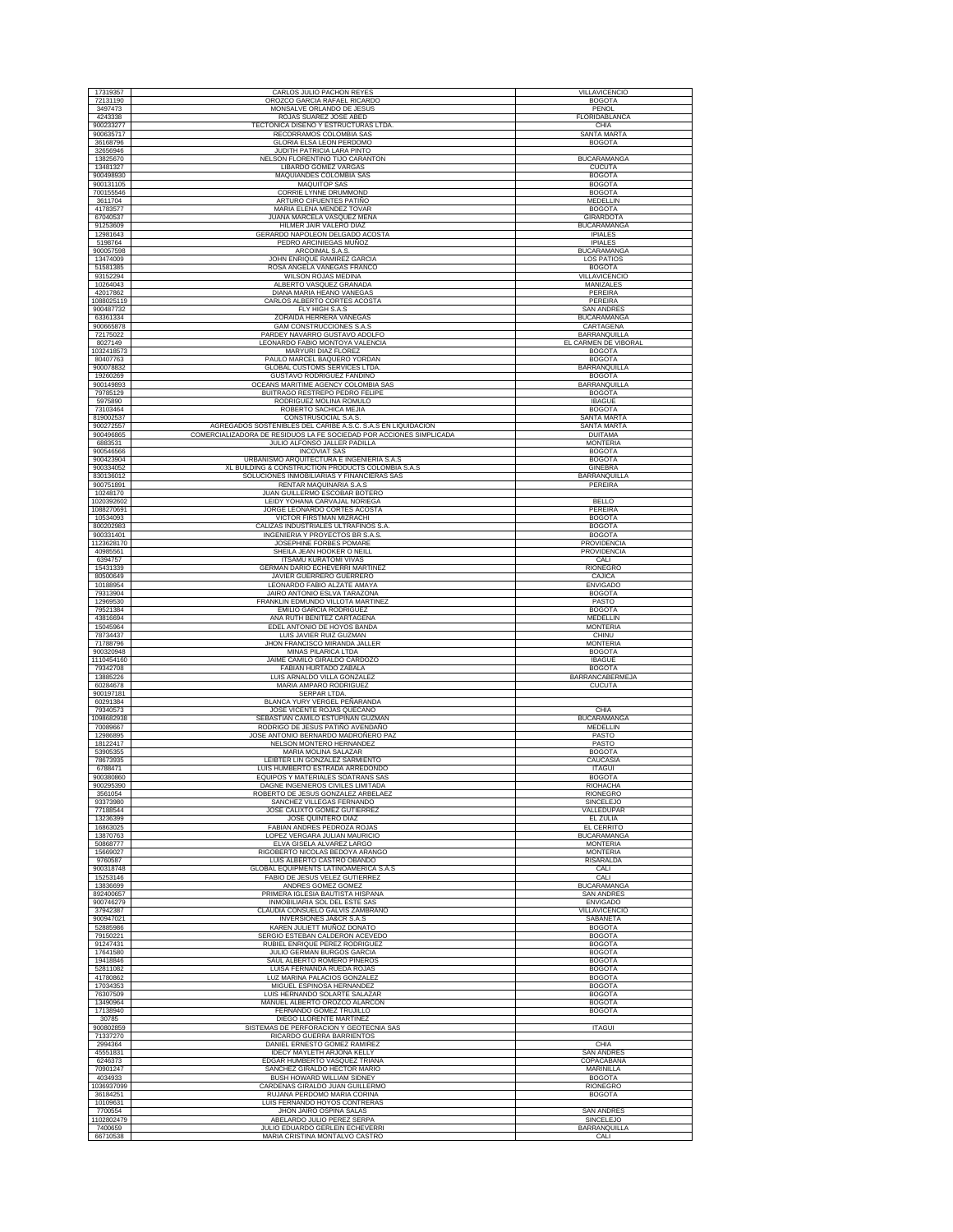| 17319357                | CARLOS JULIO PACHON REYES                                                            | <b>VILLAVICENCIO</b>                    |
|-------------------------|--------------------------------------------------------------------------------------|-----------------------------------------|
| 72131190                | OROZCO GARCIA RAFAEL RICARDO                                                         | <b>BOGOTA</b>                           |
| 3497473                 | MONSALVE ORLANDO DE JESUS                                                            | PENOL                                   |
| 4243338                 | ROJAS SUAREZ JOSE ABED                                                               | FLORIDABLANCA                           |
| 900233277<br>900635717  | TECTONICA DISEÑO Y ESTRUCTURAS LTDA.                                                 | CHIA                                    |
| 36168796                | RECORRAMOS COLOMBIA SAS<br>GLORIA ELSA LEON PERDOMO                                  | <b>SANTA MARTA</b><br><b>BOGOTA</b>     |
| 32656946                | JUDITH PATRICIA LARA PINTO                                                           |                                         |
| 13825670                | NELSON FLORENTINO TIJO CARANTON                                                      | <b>BUCARAMANGA</b>                      |
| 13481327                | LIBARDO GOMEZ VARGAS                                                                 | <b>CUCUTA</b>                           |
| 900498930               | MAQUIANDES COLOMBIA SAS                                                              | <b>BOGOTA</b>                           |
| 900131105<br>700155546  | <b>MAQUITOP SAS</b><br><b>CORRIE LYNNE DRUMMOND</b>                                  | <b>BOGOTA</b><br><b>BOGOTA</b>          |
| 3611704                 | ARTURO CIFUENTES PATIÑO                                                              | MEDELLIN                                |
| 41783577                | MARIA ELENA MENDEZ TOVAR                                                             | <b>BOGOTA</b>                           |
| 67040537                | JUANA MARCELA VASQUEZ MENA                                                           | <b>GIRARDOTA</b>                        |
| 91253609                | HILMER JAIR VALERO DIAZ                                                              | <b>BUCARAMANGA</b>                      |
| 12981643<br>5198764     | GERARDO NAPOLEON DELGADO ACOSTA<br>PEDRO ARCINIEGAS MUÑOZ                            | <b>IPIALES</b><br><b>IPIALES</b>        |
| 900057598               | ARCOIMAL S.A.S.                                                                      | <b>BUCARAMANGA</b>                      |
| 13474009                | JOHN ENRIQUE RAMIREZ GARCIA                                                          | LOS PATIOS                              |
| 51581385                | ROSA ANGELA VANEGAS FRANCO                                                           | <b>BOGOTA</b>                           |
| 93152294<br>10264043    | WILSON ROJAS MEDINA<br>ALBERTO VASQUEZ GRANADA                                       | VILLAVICENCIO<br>MANIZALES              |
| 42017862                | <b>DIANA MARIA HEANO VANEGAS</b>                                                     | <b>PEREIRA</b>                          |
| 1088025119              | CARLOS ALBERTO CORTES ACOSTA                                                         | PEREIRA                                 |
| 900487732               | FLY HIGH S.A.S                                                                       | <b>SAN ANDRES</b>                       |
| 63361334<br>900665878   | ZORAIDA HERRERA VANEGAS<br>GAM CONSTRUCCIONES S.A.S                                  | <b>BUCARAMANGA</b><br>CARTAGENA         |
| 72175022                | PARDEY NAVARRO GUSTAVO ADOLFO                                                        | BARRANQUILLA                            |
| 8027149                 | LEONARDO FABIO MONTOYA VALENCIA                                                      | EL CARMEN DE VIBORAL                    |
| 1032418573              | MARYURI DIAZ FLOREZ                                                                  | <b>BOGOTA</b>                           |
| 80407763                | PAULO MARCEL BAQUERO YORDAN                                                          | <b>BOGOTA</b>                           |
| 900078832<br>19260269   | GLOBAL CUSTOMS SERVICES LTDA<br>GUSTAVO RODRIGUEZ FANDIÑO                            | BARRANQUILLA<br><b>BOGOTA</b>           |
| 900149893               | OCEANS MARITIME AGENCY COLOMBIA SAS                                                  | <b>BARRANQUILLA</b>                     |
| 79785129                | BUITRAGO RESTREPO PEDRO FELIPE                                                       | <b>BOGOTA</b>                           |
| 5975890                 | RODRIGUEZ MOLINA ROMULO                                                              | <b>IBAGUE</b>                           |
| 73103464<br>819002537   | ROBERTO SACHICA MEJIA                                                                | <b>BOGOTA</b><br><b>SANTA MARTA</b>     |
| 900272557               | CONSTRUSOCIAL S.A.S.<br>AGREGADOS SOSTENIBLES DEL CARIBE A.S.C. S.A.S EN LIQUIDACION | <b>SANTA MARTA</b>                      |
| 900496865               | COMERCIALIZADORA DE RESIDUOS LA FE SOCIEDAD POR ACCIONES SIMPLICADA                  | <b>DUITAMA</b>                          |
| 6883531                 | JULIO ALFONSO JALLER PADILLA                                                         | <b>MONTFRIA</b>                         |
| 900546566<br>900423904  | <b>INCOVIAT SAS</b><br>URBANISMO ARQUITECTURA E INGENIERÍA S.A.S                     | <b>BOGOTA</b><br><b>BOGOTA</b>          |
| 900334052               | XL BUILDING & CONSTRUCTION PRODUCTS COLOMBIA S.A.S                                   | <b>GINEBRA</b>                          |
| 830136012               | SOLUCIONES INMOBILIARIAS Y FINANCIERAS SAS                                           | BARRANQUILLA                            |
| 900751891               | RENTAR MAQUINARIA S.A.S<br>JUAN GUILLERMO ESCOBAR BOTERO                             | PEREIRA                                 |
| 10248170<br>1020392602  | LEIDY YOHANA CARVAJAL NORIEGA                                                        | <b>BELLO</b>                            |
| 1088270691              | JORGE LEONARDO CORTES ACOSTA                                                         | <b>PEREIRA</b>                          |
| 10534093                | VICTOR FIRSTMAN MIZRACHI                                                             | <b>BOGOTA</b>                           |
| 800202983<br>900331401  | CALIZAS INDUSTRIALES ULTRAFINOS S.A<br>INGENIERIA Y PROYECTOS BR S.A.S               | <b>BOGOTA</b><br><b>BOGOTA</b>          |
| 1123628170              | JOSEPHINE FORBES POMARE                                                              | PROVIDENCIA                             |
| 40985561                | SHEILA JEAN HOOKER O NEILL                                                           | PROVIDENCIA                             |
| 6394757                 | <b>ITSAMU KURATOMI VIVAS</b>                                                         | CALI                                    |
| 15431339<br>80500649    | GERMAN DARIO ECHEVERRI MARTINEZ<br>JAVIER GUERRERO GUERRERO                          | <b>RIONEGRO</b><br>CAJICA               |
| 10188954                | LEONARDO FABIO ALZATE AMAYA                                                          | <b>ENVIGADO</b>                         |
| 79313904                | JAIRO ANTONIO ESLVA TARAZONA                                                         | <b>BOGOTA</b>                           |
| 12969530                | FRANKLIN EDMUNDO VILLOTA MARTINEZ                                                    | PASTO                                   |
|                         |                                                                                      |                                         |
| 79521384                | EMILIO GARCIA RODRIGUEZ                                                              | <b>BOGOTA</b>                           |
| 43816694<br>15045964    | ANA RUTH BENITEZ CARTAGENA<br>EDEL ANTONIO DE HOYOS BANDA                            | MEDELLIN<br><b>MONTERIA</b>             |
| 78734437                | LUIS JAVIER RUIZ GUZMAN                                                              | CHINU                                   |
| 71788796                | JHON FRANCISCO MIRANDA JALLER                                                        | <b>MONTERIA</b>                         |
| 900320948<br>1110454160 | MINAS PILARICA LTDA<br>JAIME CAMILO GIRALDO CARDOZO                                  | <b>BOGOTA</b><br><b>IBAGUE</b>          |
| 79342708                | FABIAN HURTADO ZABALA                                                                | <b>BOGOTA</b>                           |
| 13885226                | LUIS ARNALDO VILLA GONZALEZ                                                          | BARRANCABERMEJA                         |
| 60284678<br>900197181   | MARIA AMPARO RODRIGUEZ<br><b>SERPAR LTDA</b>                                         | <b>CUCUTA</b>                           |
| 60291384                | BLANCA YURY VERGEL PEÑARANDA                                                         |                                         |
| 79340573                | JOSE VICENTE ROJAS OUECANO                                                           | CHIA                                    |
| 1098682938<br>70089667  | SEBASTIAN CAMILO ESTUPIÑAN GUZMAN<br>RODRIGO DE JESUS PATIÑO AVENDAÑO                | <b>BUCARAMANGA</b><br><b>MEDELLIN</b>   |
| 12986895                | JOSE ANTONIO BERNARDO MADROÑERO PAZ                                                  | PASTO                                   |
| 18122417                | NELSON MONTERO HERNANDEZ                                                             | PASTO                                   |
| 53905355<br>78673935    | MARIA MOLINA SALAZAR<br>LEIBTER LIN GONZALEZ SARMIENTO                               | <b>BOGOTA</b><br>CAUCASIA               |
| 6788471                 | LUIS HUMBERTO ESTRADA ARREDONDO                                                      | <b>ITAGUI</b>                           |
| 900380860               | EQUIPOS Y MATERIALES SOATRANS SAS                                                    | <b>BOGOTA</b>                           |
| 900295390               | DAGNE INGENIEROS CIVILES LIMITADA<br>ROBERTO DE JESUS GONZALEZ ARBELAEZ              | RIOHACHA                                |
| 3561054<br>93373980     | SANCHEZ VILLEGAS FERNANDO                                                            | RIONEGRO<br><b>SINCELEJO</b>            |
| 77188544                | JOSE CALIXTO GOMEZ GUTIERREZ                                                         | VALLEDUPAR                              |
| 13236399                | JOSE QUINTERO DIAZ<br><b>FABIAN ANDRES PEDROZA ROJAS</b>                             | EL ZULIA                                |
| 16863025<br>13870763    | LOPEZ VERGARA JULIAN MAURICIO                                                        | <b>EL CERRITO</b><br><b>BUCARAMANGA</b> |
| 50868777                | ELVA GISELA ALVAREZ LARGO                                                            | <b>MONTERIA</b>                         |
| 15669027                | RIGOBERTO NICOLAS BEDOYA ARANGO                                                      | <b>MONTERIA</b>                         |
| 9760587<br>900318748    | LUIS ALBERTO CASTRO OBANDO<br><b>GLOBAL EQUIPMENTS LATINOAMERICA S.A.S</b>           | RISARALDA<br>CALI                       |
| 15253146                | FABIO DE JESUS VELEZ GUTIERREZ                                                       | CALI                                    |
| 13836699                | ANDRES GOMEZ GOMEZ                                                                   | <b>BUCARAMANGA</b>                      |
| 892400657               | PRIMERA IGLESIA BAUTISTA HISPANA                                                     | <b>SAN ANDRES</b>                       |
| 900746279<br>37942387   | INMOBILIARIA SOL DEL ESTE SAS<br>CLAUDIA CONSUELO GALVIS ZAMBRANO                    | <b>ENVIGADO</b><br>VILLAVICENCIO        |
| 900947021               | INVERSIONES JA&CR S.A.S                                                              | SABANETA                                |
| 52885986                | KAREN JULIETT MUÑOZ DONATO<br>SERGIO ESTEBAN CALDERON ACEVEDO                        | <b>BOGOTA</b><br><b>BOGOTA</b>          |
| 79150221<br>91247431    | RUBIEL ENRIQUE PEREZ RODRIGUEZ                                                       | <b>BOGOTA</b>                           |
| 17641580                | JULIO GERMAN BURGOS GARCIA                                                           | <b>BOGOTA</b>                           |
| 19418846                | SAUL ALBERTO ROMERO PIÑEROS                                                          | <b>BOGOTA</b>                           |
| 52811082<br>41780862    | LUISA FERNANDA RUEDA ROJAS<br>LUZ MARINA PALACIOS GONZALEZ                           | <b>BOGOTA</b><br><b>BOGOTA</b>          |
| 17034353                | MIGUEL ESPINOSA HERNANDEZ                                                            | <b>BOGOTA</b>                           |
| 76307509                | LUIS HERNANDO SOLARTE SALAZAR                                                        | <b>BOGOTA</b>                           |
| 13490964                | MANUEL ALBERTO OROZCO ALARCON                                                        | <b>BOGOTA</b>                           |
| 17138940<br>30785       | FERNANDO GOMEZ TRUJILLO<br>DIEGO LLORENTE MARTINEZ                                   | <b>BOGOTA</b>                           |
| 900802859               | SISTEMAS DE PERFORACION Y GEOTECNIA SAS                                              | <b>ITAGUI</b>                           |
| 71337270                | RICARDO GUERRA BARRIENTOS                                                            |                                         |
| 2994364<br>45551831     | DANIEL ERNESTO GOMEZ RAMIREZ<br>IDECY MAYLETH ARJONA KELLY                           | CHIA<br><b>SAN ANDRES</b>               |
| 6246373                 | EDGAR HUMBERTO VASQUEZ TRIANA                                                        | COPACABANA                              |
| 70901247                | SANCHEZ GIRALDO HECTOR MARIO                                                         | <b>MARINILLA</b>                        |
| 4034933                 | BUSH HOWARD WILLIAM SIDNEY                                                           | <b>BOGOTA</b>                           |
| 1036937099<br>36184251  | CARDENAS GIRALDO JUAN GUILLERMO<br>RUJANA PERDOMO MARIA CORINA                       | <b>RIONEGRO</b><br><b>BOGOTA</b>        |
| 10109631                | LUIS FERNANDO HOYOS CONTRERAS                                                        |                                         |
| 7700554                 | JHON JAIRO OSPINA SALAS                                                              | <b>SAN ANDRES</b>                       |
| 1102802479<br>7400659   | ABELARDO JULIO PEREZ SERPA<br>JULIO EDUARDO GERLEIN ECHEVERRI                        | <b>SINCELEJO</b><br>BARRANQUILLA        |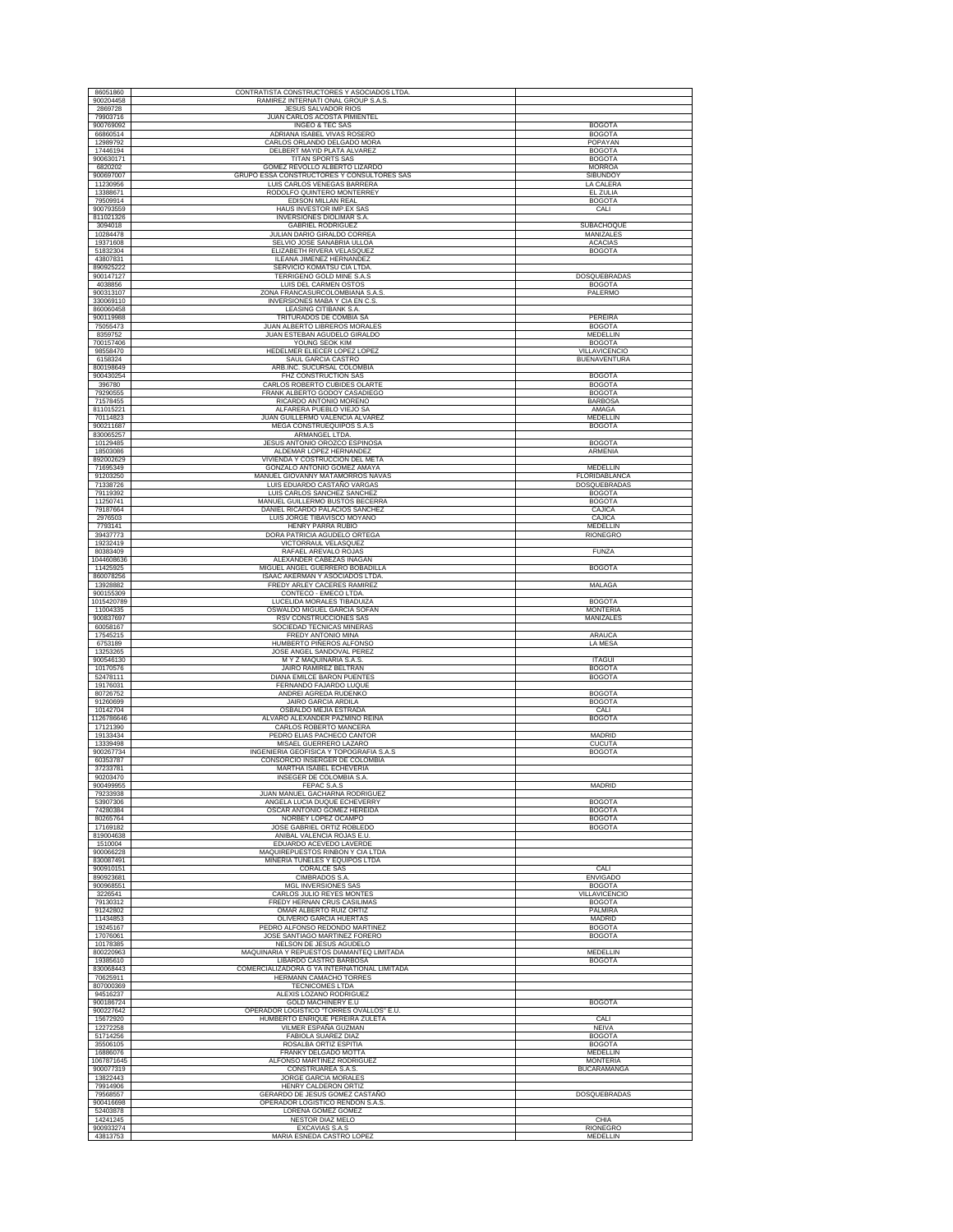| 86051860               | CONTRATISTA CONSTRUCTORES Y ASOCIADOS LTDA                                 |                                       |
|------------------------|----------------------------------------------------------------------------|---------------------------------------|
| 900204458<br>2869728   | RAMIREZ INTERNATI ONAL GROUP S.A.S.<br><b>JESUS SALVADOR RIOS</b>          |                                       |
| 79903716<br>900769092  | JUAN CARLOS ACOSTA PIMIENTEL<br>INGEO & TEC SAS                            | <b>BOGOTA</b>                         |
| 66860514<br>12989792   | ADRIANA ISABEL VIVAS ROSERO<br>CARLOS ORLANDO DELGADO MORA                 | <b>BOGOTA</b><br>POPAYAN              |
| 17446194               | DELBERT MAYID PLATA ALVAREZ                                                | <b>BOGOTA</b>                         |
| 900630171<br>6820202   | TITAN SPORTS SAS<br>GOMEZ REVOLLO ALBERTO LIZARDO                          | <b>BOGOTA</b><br><b>MORROA</b>        |
| 900697007<br>11230956  | GRUPO ESSA CONSTRUCTORES Y CONSULTORES SAS<br>LUIS CARLOS VENEGAS BARRERA  | <b>SIBUNDOY</b><br>LA CALERA          |
| 13388671               | RODOLFO QUINTERO MONTERREY                                                 | EL ZULIA                              |
| 79509914<br>900793559  | EDISON MILLAN REAL<br>HAUS INVESTOR IMP.EX SAS                             | <b>BOGOTA</b><br>CALI                 |
| 811021326<br>3094018   | INVERSIONES DIOLIMAR S.A.<br><b>GABRIEL RODRIGUEZ</b>                      | SUBACHOQUE                            |
| 10284478               | JULIAN DARIO GIRALDO CORREA                                                | MANIZALES                             |
| 19371608<br>51832304   | SELVIO JOSE SANABRIA ULLOA<br>ELIZABETH RIVERA VELASQUEZ                   | <b>ACACIAS</b><br><b>BOGOTA</b>       |
| 43807831<br>890925222  | ILEANA JIMENEZ HERNANDEZ<br>SERVICIO KOMATSU CIA LTDA.                     |                                       |
| 900147127              | <b>TERRIGENO GOLD MINE S.A.S</b>                                           | <b>DOSQUEBRADAS</b>                   |
| 4038856<br>900313107   | LUIS DEL CARMEN OSTOS<br>ZONA FRANCASURCOLOMBIANA S.A.S.                   | <b>BOGOTA</b><br>PALERMO              |
| 330069110<br>860060458 | INVERSIONES MABA Y CIA EN C.S<br>LEASING CITIBANK S.A.                     |                                       |
| 900119988              | TRITURADOS DE COMBIA SA                                                    | PEREIRA                               |
| 75055473<br>8359752    | JUAN ALBERTO LIBREROS MORALES<br>JUAN ESTEBAN AGUDELO GIRALDO              | <b>BOGOTA</b><br><b>MEDELLIN</b>      |
| 700157406<br>98558470  | YOUNG SEOK KIM<br>HEDELMER ELIECER LOPEZ LOPEZ                             | <b>BOGOTA</b><br>VILLAVICENCIO        |
| 6158324                | SAUL GARCIA CASTRO                                                         | <b>BUENAVENTURA</b>                   |
| 800198649<br>900430254 | ARB.INC. SUCURSAL COLOMBIA<br>FHZ CONSTRUCTION SAS                         | <b>BOGOTA</b>                         |
| 396780<br>79290555     | CARLOS ROBERTO CUBIDES OLARTE<br>FRANK ALBERTO GODOY CASADIEGO             | <b>BOGOTA</b><br><b>BOGOTA</b>        |
| 71578455               | RICARDO ANTONIO MORENO                                                     | <b>BARBOSA</b>                        |
| 811015221<br>70114823  | ALFARERA PUEBLO VIEJO SA<br>JUAN GUILLERMO VALENCIA ALVAREZ                | AMAGA<br>MEDELLIN                     |
| 900211687<br>830065257 | MEGA CONSTRUEQUIPOS S.A.S<br>ARMANGEL LTDA.                                | <b>BOGOTA</b>                         |
| 10129485               | JESUS ANTONIO OROZCO ESPINOSA                                              | <b>BOGOTA</b>                         |
| 18503086<br>892002629  | ALDEMAR LOPEZ HERNANDEZ<br>VIVIENDA Y COSTRUCCION DEL META                 | ARMENIA                               |
| 71695349<br>91203250   | GONZALO ANTONIO GOMEZ AMAYA<br>MANUEL GIOVANNY MATAMORROS NAVAS            | MEDELLIN<br>FLORIDABLANCA             |
| 71338726               | LUIS EDUARDO CASTAÑO VARGAS                                                | DOSQUEBRADAS                          |
| 79119392<br>11250741   | LUIS CARLOS SANCHEZ SANCHEZ<br>MANUEL GUILLERMO BUSTOS BECERRA             | <b>BOGOTA</b><br><b>BOGOTA</b>        |
| 79187664<br>2976503    | DANIEL RICARDO PALACIOS SANCHEZ<br>LUIS JORGE TIBAVISCO MOYANO             | CAJICA<br>CAJICA                      |
| 7793141                | HENRY PARRA RUBIO                                                          | MEDELLIN                              |
| 39437773<br>19232419   | DORA PATRICIA AGUDELO ORTEGA<br>VICTORRAUL VELASQUEZ                       | <b>RIONEGRO</b>                       |
| 80383409<br>1044608636 | RAFAEL AREVALO ROJAS<br>ALEXANDER CABEZAS INAGAN                           | <b>FUNZA</b>                          |
| 11425925               | MIGUEL ANGEL GUERRERO BOBADILLA                                            | <b>BOGOTA</b>                         |
| 860078256<br>13928882  | ISAAC AKERMAN Y ASOCIADOS LTDA<br>FREDY ARLEY CACERES RAMIREZ              | MALAGA                                |
| 900155309              | CONTECO - EMECO LTDA.                                                      |                                       |
| 1015420789<br>11004335 | LUCELIDA MORALES TIBADUIZA<br>OSWALDO MIGUEL GARCIA SOFAN                  | <b>BOGOTA</b><br><b>MONTERIA</b>      |
| 900837697<br>60058167  | RSV CONSTRUCCIONES SAS<br>SOCIEDAD TECNICAS MINERAS                        | MANIZALES                             |
| 17545215<br>6753189    | FREDY ANTONIO MINA<br>HUMBERTO PIÑEROS ALFONSO                             | <b>ARAUCA</b><br>LA MESA              |
| 13253265               | JOSE ANGEL SANDOVAL PEREZ                                                  |                                       |
| 900546130<br>10170576  | M Y Z MAQUINARIA S.A.S<br>JAIRO RAMIREZ BELTRAN                            | <b>ITAGUI</b><br><b>BOGOTA</b>        |
| 52478111<br>19176031   | DIANA EMILCE BARON PUENTES<br>FERNANDO FAJARDO LUQUE                       | <b>BOGOTA</b>                         |
| 80726752               | ANDREI AGREDA RUDENKO                                                      | <b>BOGOTA</b>                         |
| 91260699<br>10142704   | JAIRO GARCIA ARDILA<br>OSBALDO MEJIA ESTRADA                               | <b>BOGOTA</b><br>CALI                 |
| 1126786646<br>17121390 | ALVARO ALEXANDER PAZMINO REINA<br>CARLOS ROBERTO MANCERA                   | <b>BOGOTA</b>                         |
| 19133434               | PEDRO ELIAS PACHECO CANTOR                                                 | <b>MADRID</b>                         |
| 13339498<br>900267734  | MISAEL GUERRERO LAZARO<br>INGENIERIA GEOFISICA Y TOPOGRAFIA S.A.S          | <b>CUCUTA</b><br><b>BOGOTA</b>        |
| 60353787<br>37233781   | CONSORCIO INSERGER DE COLOMBIA<br>MARTHA ISABEL ECHEVERIA                  |                                       |
| 90203470               | INSEGER DE COLOMBIA S.A.                                                   |                                       |
| 900499955<br>79233938  | FEPAC S.A.S<br>JUAN MANUEL GACHARNA RODRIGUEZ                              | MADRID                                |
| 53907306<br>74280384   | ANGELA LUCIA DUQUE ECHEVERRY<br>OSCAR ANTONIO GOMEZ HEREIDA                | <b>BOGOTA</b><br><b>BOGOTA</b>        |
| 80265764               | NORBEY LOPEZ OCAMPO<br>JOSE GABRIEL ORTIZ ROBLEDO                          | <b>BOGOTA</b>                         |
| 17169182<br>819004638  | ANIBAL VALENCIA ROJAS E.U.                                                 | <b>BOGOTA</b>                         |
| 1510004<br>900066228   | EDUARDO ACEVEDO LAVERDE<br>MAQUIREPUESTOS RINBON Y CIA LTDA                |                                       |
| 830087491<br>900910151 | MINERIA TUNELES Y EQUIPOS LTDA<br><b>CORALCE SAS</b>                       | CALI                                  |
| 890923681              | <b>CIMBRADOS S.A</b>                                                       | <b>ENVIGADO</b>                       |
| 900968551<br>3226541   | <b>MGL INVERSIONES SAS</b><br>CARLOS JULIO REYES MONTES                    | <b>BOGOTA</b><br><b>VILLAVICENCIO</b> |
| 79130312               | FREDY HERNAN CRUS CASILIMAS                                                | <b>BOGOTA</b>                         |
| 91242802<br>11434853   | OMAR ALBERTO RUIZ ORTIZ<br>OLIVERIO GARCIA HUERTAS                         | <b>PALMIRA</b><br>MADRID              |
| 19245167<br>17076061   | PEDRO ALFONSO REDONDO MARTINEZ<br>JOSE SANTIAGO MARTINEZ FORERO            | <b>BOGOTA</b><br><b>BOGOTA</b>        |
| 10178385               | NELSON DE JESUS AGUDELO                                                    |                                       |
| 800220963<br>19385610  | MAQUINARIA Y REPUESTOS DIAMANTEQ LIMITADA<br>LIBARDO CASTRO BARBOSA        | <b>MEDELLIN</b><br><b>BOGOTA</b>      |
| 830068443<br>70625911  | COMERCIALIZADORA G YA INTERNATIONAL LIMITADA<br>HERMANN CAMACHO TORRES     |                                       |
| 807000369<br>94516237  | TECNICOMES LTDA<br>ALEXIS LOZANO RODRIGUEZ                                 |                                       |
| 900186724              | GOLD MACHINERY E.U                                                         | <b>BOGOTA</b>                         |
| 900227642<br>15672920  | OPERADOR LOGISTICO "TORRES OVALLOS" E.U<br>HUMBERTO ENRIQUE PEREIRA ZULETA | CALI                                  |
| 12272258               | VILMER ESPAÑA GUZMAN                                                       | <b>NEIVA</b>                          |
| 51714256<br>35506105   | <b>FABIOLA SUAREZ DIAZ</b><br>ROSALBA ORTIZ ESPITIA                        | <b>BOGOTA</b><br><b>BOGOTA</b>        |
| 16886076<br>1067871645 | FRANKY DELGADO MOTTA<br>ALFONSO MARTINEZ RODRIGUEZ                         | MEDELLIN<br><b>MONTERIA</b>           |
| 900077319              | CONSTRUAREA S.A.S.                                                         | <b>BUCARAMANGA</b>                    |
| 13822443<br>79914906   | JORGE GARCIA MORALES<br>HENRY CALDERON ORTIZ                               |                                       |
| 79568557<br>900416698  | GERARDO DE JESUS GOMEZ CASTAÑO<br>OPERADOR LOGISTICO RENDON S.A.S.         | DOSQUEBRADAS                          |
| 52403878               | LORENA GOMEZ GOMEZ                                                         |                                       |
| 14241245<br>900933274  | NESTOR DIAZ MELO<br>EXCAVIAS S.A.S                                         | CHIA<br><b>RIONEGRO</b>               |
| 43813753               | MARIA ESNEDA CASTRO LOPEZ                                                  | MEDELLIN                              |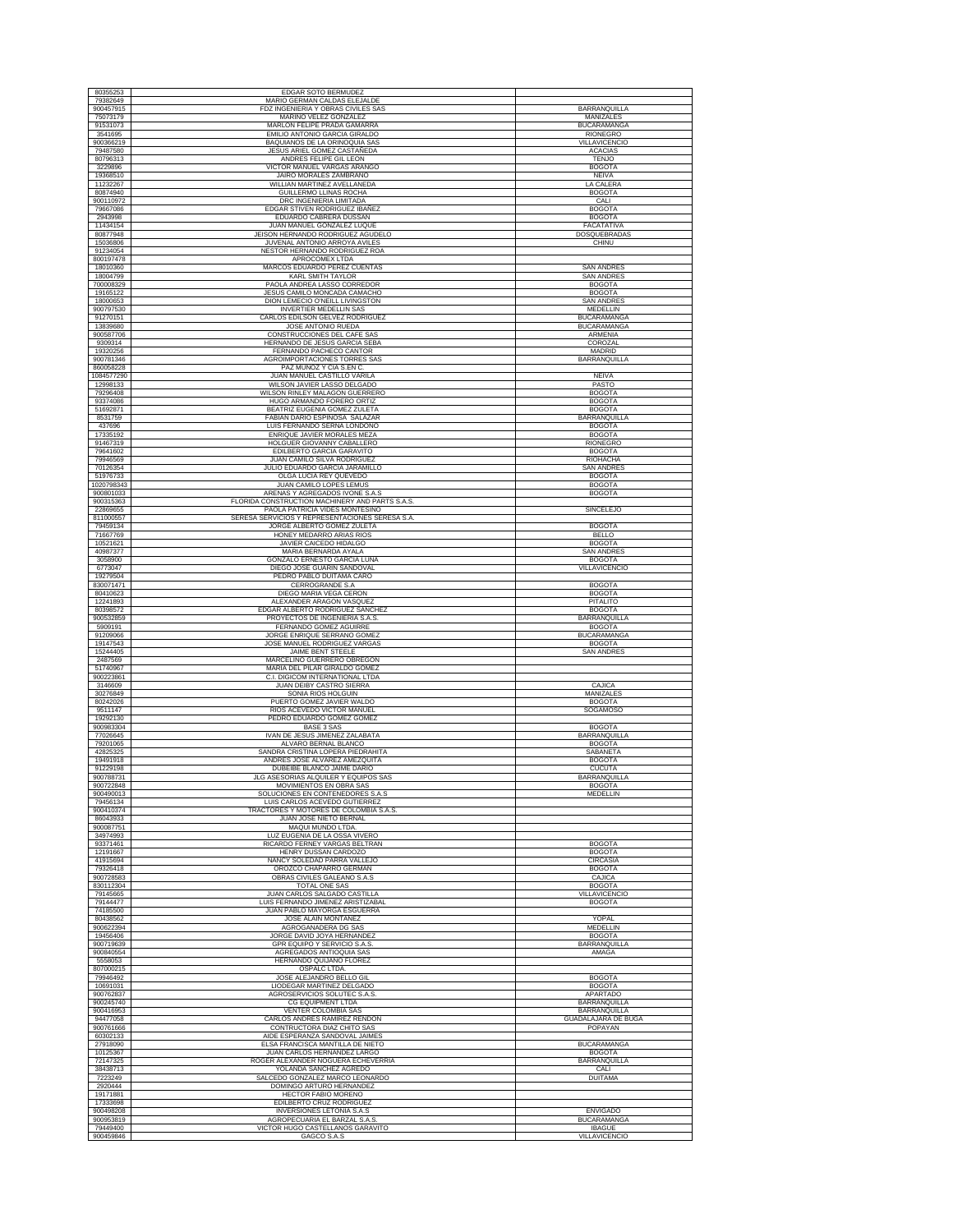| 80355253               | EDGAR SOTO BERMUDEZ                                                               |                                       |
|------------------------|-----------------------------------------------------------------------------------|---------------------------------------|
| 79382649<br>900457915  | MARIO GERMAN CALDAS ELEJALDE<br>FDZ INGENIERIA Y OBRAS CIVILES SAS                | <b>BARRANQUILLA</b>                   |
| 75073179               | MARINO VELEZ GONZALEZ                                                             | MANIZALES                             |
| 91531073<br>3541695    | MARLON FELIPE PRADA GAMARRA<br>EMILIO ANTONIO GARCIA GIRALDO                      | <b>BUCARAMANGA</b><br>RIONEGRO        |
| 900366219              | <b>BAQUIANOS DE LA ORINOQUIA SAS</b>                                              | VILLAVICENCIO                         |
| 79487580<br>80796313   | JESUS ARIEL GOMEZ CASTAÑEDA<br>ANDRES FELIPE GIL LEON                             | <b>ACACIAS</b><br><b>TENJO</b>        |
| 3229896<br>19368510    | VICTOR MANUEL VARGAS ARANGO<br>JAIRO MORALES ZAMBRANO                             | <b>BOGOTA</b><br><b>NEIVA</b>         |
| 11232267               | WILLIAN MARTINEZ AVELLANEDA                                                       | LA CALERA                             |
| 80874940<br>900110972  | GUILLERMO LLINAS ROCHA<br>DRC INGENIERIA LIMITADA                                 | <b>BOGOTA</b><br>CALI                 |
| 79667086               | EDGAR STIVEN RODRIGUEZ IBAÑEZ                                                     | <b>BOGOTA</b>                         |
| 2943998<br>11434154    | EDUARDO CABRERA DUSSAN<br>JUAN MANUEL GONZALEZ LUQUE                              | <b>BOGOTA</b><br>FACATATIVA           |
| 80877948<br>15036806   | JEISON HERNANDO RODRIGUEZ AGUDELO<br>JUVENAL ANTONIO ARROYA AVILES                | DOSQUEBRADAS                          |
| 91234054               | NESTOR HERNANDO RODRIGUEZ ROA                                                     | CHINU                                 |
| 800197478<br>18010360  | APROCOMEX LTDA<br>MARCOS EDUARDO PEREZ CUENTAS                                    | <b>SAN ANDRES</b>                     |
| 18004799               | KARL SMITH TAYLOR                                                                 | <b>SAN ANDRES</b>                     |
| 700008329<br>19165122  | PAOLA ANDREA LASSO CORREDOR<br>JESUS CAMILO MONCADA CAMACHO                       | <b>BOGOTA</b><br><b>BOGOTA</b>        |
| 18000653<br>900797530  | DION LEMECIO O'NEILL LIVINGSTON<br><b>INVERTIER MEDELLIN SAS</b>                  | <b>SAN ANDRES</b><br>MEDELLIN         |
| 91270151               | CARLOS EDILSON GELVEZ RODRIGUEZ                                                   | <b>BUCARAMANGA</b>                    |
| 13839680<br>900587706  | JOSE ANTONIO RUEDA<br>CONSTRUCCIONES DEL CAFE SAS                                 | <b>BUCARAMANGA</b><br>ARMENIA         |
| 9309314                | HERNANDO DE JESUS GARCIA SEBA                                                     | COROZAL                               |
| 19320256<br>900781346  | FERNANDO PACHECO CANTOR<br>AGROIMPORTACIONES TORRES SAS                           | MADRID<br><b>BARRANQUILLA</b>         |
| 860058228              | PAZ MUÑOZ Y CIA S.EN C                                                            |                                       |
| 1084577290<br>12998133 | JUAN MANUEL CASTILLO VARILA<br>WILSON JAVIER LASSO DELGADO                        | <b>NEIVA</b><br>PASTO                 |
| 79296408<br>93374086   | WILSON RINLEY MALAGON GUERRERO<br>HUGO ARMANDO FORERO ORTIZ                       | <b>BOGOTA</b><br><b>BOGOTA</b>        |
| 51692871               | BEATRIZ EUGENIA GOMEZ ZULETA                                                      | <b>BOGOTA</b>                         |
| 8531759<br>437696      | FABIAN DARIO ESPINOSA SALAZAR<br>LUIS FERNANDO SERNA LONDOÑO                      | BARRANQUILLA<br><b>BOGOTA</b>         |
| 17335192<br>91467319   | ENRIQUE JAVIER MORALES MEZA<br>HOLGUER GIOVANNY CABALLERO                         | <b>BOGOTA</b><br><b>RIONEGRO</b>      |
| 79641602               | EDILBERTO GARCIA GARAVITO                                                         | <b>BOGOTA</b>                         |
| 79946569<br>70126354   | <b>JUAN CAMILO SILVA RODRIGUEZ</b><br>JULIO EDUARDO GARCIA JARAMILLO              | RIOHACHA<br><b>SAN ANDRES</b>         |
| 51976733<br>1020798343 | OLGA LUCIA REY QUEVEDO<br>JUAN CAMILO LOPES LEMUS                                 | <b>BOGOTA</b><br><b>BOGOTA</b>        |
| 900801033              | ARENAS Y AGREGADOS IVONE S.A.S                                                    | <b>BOGOTA</b>                         |
| 900315363<br>22869655  | FLORIDA CONSTRUCTION MACHINERY AND PARTS S.A.S.<br>PAOLA PATRICIA VIDES MONTESINO | <b>SINCELEJO</b>                      |
| 811000557<br>79459134  | SERESA SERVICIOS Y REPRESENTACIONES SERESA S.A.<br>JORGE ALBERTO GOMEZ ZULETA     | <b>BOGOTA</b>                         |
| 71667769               | HONEY MEDARRO ARIAS RIOS                                                          | <b>BELLO</b>                          |
| 10521621<br>40987377   | JAVIER CAICEDO HIDALGO<br>MARIA BERNARDA AYALA                                    | <b>BOGOTA</b><br><b>SAN ANDRES</b>    |
| 3058900<br>6773047     | GONZALO ERNESTO GARCIA LUNA<br>DIEGO JOSE GUARIN SANDOVAL                         | <b>BOGOTA</b><br>VILLAVICENCIO        |
| 19279504               | PEDRO PABLO DUITAMA CARO                                                          |                                       |
| 830071471<br>80410623  | CERROGRANDE S.A<br>DIEGO MARIA VEGA CERON                                         | <b>BOGOTA</b><br><b>BOGOTA</b>        |
| 12241893<br>80398572   | ALEXANDER ARAGON VASQUEZ<br>EDGAR ALBERTO RODRIGUEZ SANCHEZ                       | PITALITO<br><b>BOGOTA</b>             |
| 900532859              | PROYECTOS DE INGENIERIA S.A.S                                                     | BARRANQUILLA                          |
| 5909191<br>91209066    | FERNANDO GOMEZ AGUIRRE<br>JORGE ENRIQUE SERRANO GOMEZ                             | <b>BOGOTA</b><br><b>BUCARAMANGA</b>   |
| 19147543<br>15244405   | JOSE MANUEL RODRIGUEZ VARGAS<br>JAIME BENT STEELE                                 | <b>BOGOTA</b><br><b>SAN ANDRES</b>    |
| 2487569                | MARCELINO GUERRERO OBREGON                                                        |                                       |
| 51740967<br>900223861  | MARIA DEL PILAR GIRALDO GOMEZ<br>C.I. DIGICOM INTERNATIONAL LTDA                  |                                       |
| 3146609<br>30276849    | JUAN DEIBY CASTRO SIERRA<br>SONIA RIOS HOLGUIN                                    | CAJICA<br>MANIZALES                   |
| 80242026               | PUERTO GOMEZ JAVIER WALDO                                                         | <b>BOGOTA</b>                         |
| 9511147<br>19292130    | RIOS ACEVEDO VICTOR MANUEL<br>PEDRO EDUARDO GOMEZ GOMEZ                           | SOGAMOSO                              |
| 900983304<br>77026645  | BASE 3 SAS<br>IVAN DE JESUS JIMENEZ ZALABATA                                      | <b>BOGOTA</b><br>BARRANQUILLA         |
| 79201065               | ALVARO BERNAL BLANCO                                                              | <b>BOGOTA</b>                         |
| 42825325<br>19491918   | SANDRA CRISTINA LOPERA PIEDRAHITA<br>ANDRES JOSE ALVAREZ AMEZQUITA                | SABANETA<br><b>BOGOTA</b>             |
| 91229198<br>900788731  | DUBEIBE BLANCO JAIME DARIO<br>JLG ASESORIAS ALQUILER Y EQUIPOS SAS                | <b>CUCUTA</b><br>BARRANQUILLA         |
| 900722848              | MOVIMIENTOS EN OBRA SAS                                                           | <b>BOGOTA</b>                         |
| 900490013<br>79456134  | SOLUCIONES EN CONTENEDORES S.A.S<br>LUIS CARLOS ACEVEDO GUTIERREZ                 | MEDELLIN                              |
| 900410374<br>86043933  | TRACTORES Y MOTORES DE COLOMBIA S.A.S<br><b>JUAN JOSE NIETO BERNAL</b>            |                                       |
| 900087751              | MAQUI MUNDO LTDA.                                                                 |                                       |
| 34974993<br>93371461   | LUZ EUGENIA DE LA OSSA VIVERO<br>RICARDO FERNEY VARGAS BELTRAN                    | <b>BOGOTA</b>                         |
| 12191667<br>41915694   | HENRY DUSSAN CARDOZO<br>NANCY SOLEDAD PARRA VALLEJO                               | <b>BOGOTA</b><br><b>CIRCASIA</b>      |
| 79326418               | OROZCO CHAPARRO GERMAN                                                            | <b>BOGOTA</b>                         |
| 900728583<br>830112304 | OBRAS CIVILES GALEANO S.A.S<br>TOTAL ONE SAS                                      | CAJICA<br><b>BOGOTA</b>               |
| 79145665<br>79144477   | JUAN CARLOS SALGADO CASTILLA<br>LUIS FERNANDO JIMENEZ ARISTIZABAL                 | VILLAVICENCIO<br><b>BOGOTA</b>        |
| 74185500<br>80438562   | <b>JUAN PABLO MAYORGA ESGUERRA</b><br>JOSE ALAIN MONTAÑEZ                         | YOPAL                                 |
| 900622394              | AGROGANADERA DG SAS                                                               | MEDELLIN                              |
| 19456406<br>900719639  | JORGE DAVID JOYA HERNANDEZ<br>GPR EQUIPO Y SERVICIO S.A.S.                        | <b>BOGOTA</b><br>BARRANQUILLA         |
| 900840554<br>5558053   | AGREGADOS ANTIOQUIA SAS<br>HERNANDO QUIJANO FLOREZ                                | AMAGA                                 |
| 807000215              | OSPALC LTDA.                                                                      |                                       |
| 79946492<br>10691031   | JOSE ALEJANDRO BELLO GIL<br>LIODEGAR MARTINEZ DELGADO                             | <b>BOGOTA</b><br><b>BOGOTA</b>        |
| 900762837<br>900245740 | AGROSERVICIOS SOLUTEC S.A.S<br>CG EQUIPMENT LTDA                                  | <b>APARTADO</b><br>BARRANQUILLA       |
| 900416953              | VENTER COLOMBIA SAS                                                               | <b>BARRANQUILLA</b>                   |
| 94477058<br>900761666  | CARLOS ANDRES RAMIREZ RENDON<br>CONTRUCTORA DIAZ CHITO SAS                        | <b>GUADALAJARA DE BUGA</b><br>POPAYAN |
| 60302133<br>27918090   | AIDE ESPERANZA SANDOVAL JAIMES<br>ELSA FRANCISCA MANTILLA DE NIETO                | <b>BUCARAMANGA</b>                    |
| 10125367               | JUAN CARLOS HERNANDEZ LARGO                                                       | <b>BOGOTA</b>                         |
| 72147325<br>38438713   | ROGER ALEXANDER NOGUERA ECHEVERRIA<br>YOLANDA SANCHEZ AGREDO                      | <b>BARRANQUILLA</b><br>CALI           |
| 7223249<br>2920444     | SALCEDO GONZALEZ MARCO LEONARDO<br>DOMINGO ARTURO HERNANDEZ                       | <b>DUITAMA</b>                        |
| 19171881               | HECTOR FABIO MORENO                                                               |                                       |
| 17333698<br>900498208  | EDILBERTO CRUZ RODRIGUEZ<br>INVERSIONES LETONIA S.A.S                             | <b>ENVIGADO</b>                       |
| 900953819<br>79449400  | AGROPECUARIA EL BARZAL S.A.S<br>VICTOR HUGO CASTELLANOS GARAVITO                  | <b>BUCARAMANGA</b><br><b>IBAGUE</b>   |
| 900459846              | GAGCO S.A.S                                                                       | <b>VILLAVICENCIO</b>                  |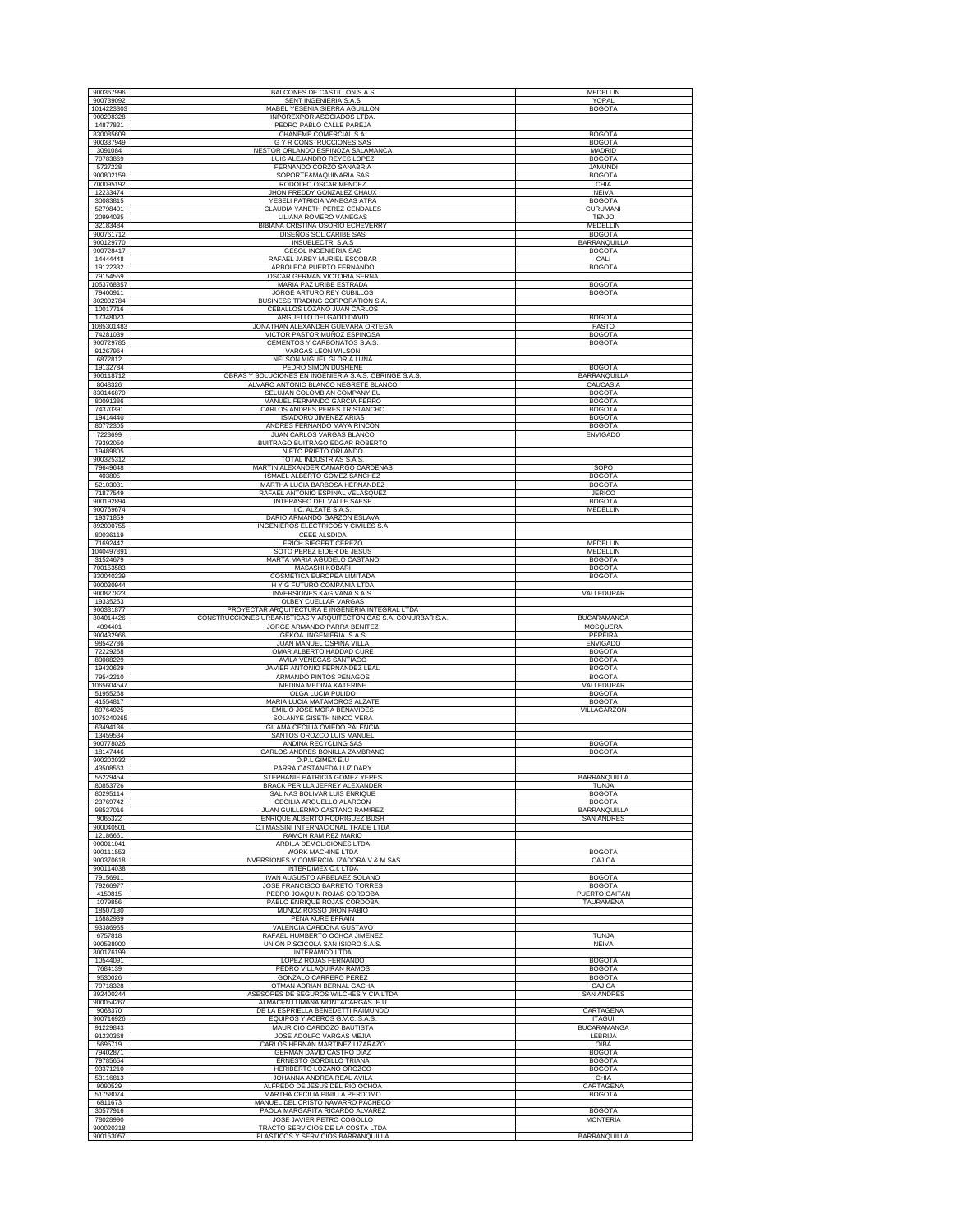| 900367996               | BALCONES DE CASTILLON S.A.S                                                   | <b>MEDELLIN</b>                          |
|-------------------------|-------------------------------------------------------------------------------|------------------------------------------|
| 900739092<br>1014223303 | SENT INGENIERIA S.A.S<br>MABEL YESENIA SIERRA AGUILLON                        | YOPAL<br><b>BOGOTA</b>                   |
| 900298328               | INPOREXPOR ASOCIADOS LTDA                                                     |                                          |
| 14877821<br>830085609   | PEDRO PABLO CALLE PAREJA<br>CHANEME COMERCIAL S.A.                            | <b>BOGOTA</b>                            |
| 900337949               | <b>G Y R CONSTRUCCIONES SAS</b>                                               | <b>BOGOTA</b>                            |
| 3091084<br>79783869     | NESTOR ORLANDO ESPINOZA SALAMANCA<br>LUIS ALEJANDRO REYES LOPEZ               | MADRID<br><b>BOGOTA</b>                  |
| 5727228<br>900802159    | FERNANDO CORZO SANABRIA<br>SOPORTE&MAQUINARIA SAS                             | <b>JAMUNDI</b><br><b>BOGOTA</b>          |
| 700095192               | RODOLFO OSCAR MENDEZ                                                          | CHIA                                     |
| 12233474<br>30083815    | JHON FREDDY GONZÁLEZ CHAUX<br>YESELI PATRICIA VANEGAS ATRA                    | <b>NEIVA</b><br><b>BOGOTA</b>            |
| 52798401                | CLAUDIA YANETH PEREZ CENDALES                                                 | CURUMANI                                 |
| 20994035<br>32183484    | LILIANA ROMERO VANEGAS<br>BIBIANA CRISTINA OSORIO ECHEVERRY                   | <b>TENJO</b><br>MEDELLIN                 |
| 900761712<br>900129770  | DISEÑOS SOL CARIBE SAS<br><b>INSUELECTRI S.A.S</b>                            | <b>BOGOTA</b><br><b>BARRANQUILLA</b>     |
| 900728417               | <b>GESOL INGENIERIA SAS</b>                                                   | <b>BOGOTA</b>                            |
| 14444448<br>19122332    | RAFAEL JARBY MURIEL ESCOBAR<br>ARBOLEDA PUERTO FERNANDO                       | CALI<br><b>BOGOTA</b>                    |
| 79154559                | OSCAR GERMAN VICTORIA SERNA                                                   |                                          |
| 1053768357<br>79400911  | MARIA PAZ URIBE ESTRADA<br>JORGE ARTURO REY CUBILLOS                          | <b>BOGOTA</b><br><b>BOGOTA</b>           |
| 802002784<br>10017716   | BUSINESS TRADING CORPORATION S.A.<br>CEBALLOS LOZANO JUAN CARLOS              |                                          |
| 17348023                | ARGUELLO DELGADO DAVID                                                        | <b>BOGOTA</b>                            |
| 1085301483<br>74281039  | JONATHAN ALEXANDER GUEVARA ORTEGA<br>VICTOR PASTOR MUÑOZ ESPINOSA             | PASTO<br><b>BOGOTA</b>                   |
| 900729785               | CEMENTOS Y CARBONATOS S.A.S.                                                  | <b>BOGOTA</b>                            |
| 91267964<br>6872812     | VARGAS LEON WILSON<br>NELSON MIGUEL GLORIA LUNA                               |                                          |
| 19132784<br>900118712   | PEDRO SIMON DUSHENE<br>OBRAS Y SOLUCIONES EN INGENIERIA S.A.S. OBRINGE S.A.S. | <b>BOGOTA</b><br><b>BARRANQUILLA</b>     |
| 8048326                 | ALVARO ANTONIO BLANCO NEGRETE BLANCO                                          | CAUCASIA                                 |
| 830146879<br>80091386   | SELUJAN COLOMBIAN COMPANY EU<br>MANUEL FERNANDO GARCIA FERRO                  | <b>BOGOTA</b><br><b>BOGOTA</b>           |
| 74370391                | CARLOS ANDRES PERES TRISTANCHO                                                | <b>BOGOTA</b>                            |
| 19414440<br>80772305    | <b>ISIADORO JIMENEZ ARIAS</b><br>ANDRES FERNANDO MAYA RINCON                  | <b>BOGOTA</b><br><b>BOGOTA</b>           |
| 7223699<br>79392050     | JUAN CARLOS VARGAS BLANCO<br>BUITRAGO BUITRAGO EDGAR ROBERTO                  | <b>ENVIGADO</b>                          |
| 19489805                | NIETO PRIETO ORLANDO                                                          |                                          |
| 900325312<br>79649648   | TOTAL INDUSTRIAS S.A.S.<br>MARTIN ALEXANDER CAMARGO CARDENAS                  | SOPO                                     |
| 403805<br>52103031      | ISMAEL ALBERTO GOMEZ SANCHEZ<br>MARTHA LUCIA BARBOSA HERNANDEZ                | <b>BOGOTA</b><br><b>BOGOTA</b>           |
| 71877549                | RAFAEL ANTONIO ESPINAL VELASQUEZ                                              | <b>JERICO</b><br><b>BOGOTA</b>           |
| 900192894<br>900769674  | INTERASEO DEL VALLE SAESP<br>I.C. ALZATE S.A.S.                               | MEDELLIN                                 |
| 19371859<br>892000755   | DARIO ARMANDO GARZON ESLAVA<br>INGENIEROS ELECTRICOS Y CIVILES S.A            |                                          |
| 80036119                | CEEE ALSDIDA                                                                  |                                          |
| 71692442<br>1040497891  | ERICH SIEGERT CEREZO<br>SOTO PEREZ EIDER DE JESUS                             | MEDELLIN<br>MEDELLIN                     |
| 31524679<br>700153583   | MARTA MARÍA AGUDELO CASTAÑO<br>MASASHI KOBARI                                 | <b>BOGOTA</b><br><b>BOGOTA</b>           |
| 830040239               | COSMETICA EUROPEA LIMITADA                                                    | <b>BOGOTA</b>                            |
| 900030944<br>900827823  | H Y G FUTURO COMPAÑIA LTDA<br><b>INVERSIONES KAGIVANA S.A.S</b>               | VALLEDUPAR                               |
| 19335253<br>900331877   | OLBEY CUELLAR VARGAS<br>PROYECTAR ARQUITECTURA E INGENERIA INTEGRAL LTDA      |                                          |
| 804014426               | CONSTRUCCIONES URBANISTICAS Y ARQUITECTONICAS S.A. CONURBAR S.A               | <b>BUCARAMANGA</b>                       |
| 4094401<br>900432966    | JORGE ARMANDO PARRA BENITEZ<br>GEKOA INGENIERIA S.A.S                         | MOSQUERA<br>PEREIRA                      |
| 98542786<br>72229258    | JUAN MANUEL OSPINA VILLA<br>OMAR ALBERTO HADDAD CURE                          | <b>ENVIGADO</b><br><b>BOGOTA</b>         |
| 80088229<br>19430629    | AVILA VENEGAS SANTIAGO<br>JAVIER ANTONIO FERNANDEZ LEAL                       | <b>BOGOTA</b><br><b>BOGOTA</b>           |
| 79542210                | ARMANDO PINTOS PENAGOS                                                        | <b>BOGOTA</b>                            |
| 1065604547<br>51955268  | MEDINA MEDINA KATERINE<br>OLGA LUCIA PULIDO                                   | VALLEDUPAR<br><b>BOGOTA</b>              |
| 41554817<br>80764925    | MARIA LUCIA MATAMOROS ALZATE<br>EMILIO JOSE MORA BENAVIDES                    | <b>BOGOTA</b><br>VILLAGARZON             |
| 1075240265              | SOLANYE GISETH NINCO VERA                                                     |                                          |
| 63494136<br>13459534    | GILAMA CECILIA OVIEDO PALENCIA<br>SANTOS OROZCO LUIS MANUEL                   |                                          |
| 900778026<br>18147446   | <b>ANDINA RECYCLING SAS</b><br>CARLOS ANDRES BONILLA ZAMBRANO                 | <b>BOGOTA</b><br><b>BOGOTA</b>           |
| 900202032               | O.P.L GIMEX E.U                                                               |                                          |
| 43508563<br>55229454    | PARRA CASTAÑEDA LUZ DARY<br>STEPHANIE PATRICIA GOMEZ YEPES                    | BARRANQUILLA                             |
| 80853726<br>80295114    | BRACK PERILLA JEFREY ALEXANDER<br>SALINAS BOLIVAR LUIS ENRIQUE                | <b>TUNJA</b><br><b>BOGOTA</b>            |
| 23769742                | CECILIA ARGUELLO ALARCON                                                      | <b>BOGOTA</b>                            |
| 98527016<br>9065322     | JUAN GUILLERMO CASTAÑO RAMIREZ<br>ENRIQUE ALBERTO RODRIGUEZ BUSH              | <b>BARRANQUILLA</b><br><b>SAN ANDRES</b> |
| 900040501<br>12186661   | C.I MASSINI INTERNACIONAL TRADE LTDA<br>RAMON RAMIREZ MARIO                   |                                          |
| 900011041               | ARDILA DEMOLICIONES LTDA                                                      | <b>BOGOTA</b>                            |
| 900111553<br>900370618  | WORK MACHINE LTDA<br>INVERSIONES Y COMERCIALIZADORA V & M SAS                 | CAJICA                                   |
| 900114038<br>79156911   | INTERDIMEX C.I. LTDA<br>IVAN AUGUSTO ARBELAEZ SOLANO                          | <b>BOGOTA</b>                            |
| 79266977<br>4150815     | JOSE FRANCISCO BARRETO TORRES<br>PEDRO JOAQUIN ROJAS CORDOBA                  | <b>BOGOTA</b><br>PUERTO GAITAN           |
| 1079856                 | PABLO ENRIQUE ROJAS CORDOBA                                                   | <b>TAURAMENA</b>                         |
| 18507130<br>16882939    | MUÑOZ ROSSO JHON FABIO<br>PEÑA KURE EFRAIN                                    |                                          |
| 93386955<br>6757818     | VALENCIA CARDONA GUSTAVO<br>RAFAEL HUMBERTO OCHOA JIMENEZ                     | TUNJA                                    |
| 900538000               | UNION PISCICOLA SAN ISIDRO S.A.S.                                             | NEIVA                                    |
| 800176199<br>10544091   | <b>INTERAMCO LTDA</b><br>LOPEZ ROJAS FERNANDO                                 | <b>BOGOTA</b>                            |
| 7684139<br>9530026      | PEDRO VILLAQUIRAN RAMOS<br>GONZALO CARRERO PEREZ                              | <b>BOGOTA</b><br><b>BOGOTA</b>           |
| 79718328                | OTMAN ADRIAN BERNAL GACHA                                                     | CAJICA                                   |
| 892400244<br>900054267  | ASESORES DE SEGUROS WILCHES Y CIA LTDA<br>ALMACEN LUMANA MONTACARGAS E.U      | <b>SAN ANDRES</b>                        |
| 9068370<br>900716926    | DE LA ESPRIELLA BENEDETTI RAIMUNDO<br>EQUIPOS Y ACEROS G.V.C. S.A.S.          | CARTAGENA<br><b>ITAGUI</b>               |
| 91229843                | MAURICIO CARDOZO BAUTISTA                                                     | <b>BUCARAMANGA</b>                       |
| 91230368<br>5695719     | JOSE ADOLFO VARGAS MEJIA<br>CARLOS HERNAN MARTINEZ LIZARAZO                   | <b>LEBRIJA</b><br>OIBA                   |
| 79402871<br>79785654    | <b>GERMAN DAVID CASTRO DIAZ</b><br>ERNESTO GORDILLO TRIANA                    | <b>BOGOTA</b><br><b>BOGOTA</b>           |
| 93371210                | HERIBERTO LOZANO OROZCO                                                       | <b>BOGOTA</b>                            |
| 53116813<br>9090529     | JOHANNA ANDREA REAL AVILA<br>ALFREDO DE JESUS DEL RIO OCHOA                   | CHIA<br>CARTAGENA                        |
| 51758074<br>6811673     | MARTHA CECILIA PINILLA PERDOMO<br>MANUEL DEL CRISTO NAVARRO PACHECO           | <b>BOGOTA</b>                            |
| 30577916                | PAOLA MARGARITA RICARDO ALVAREZ                                               | <b>BOGOTA</b>                            |
| 78028990<br>900020318   | JOSE JAVIER PETRO COGOLLO<br>TRACTO SERVICIOS DE LA COSTA LTDA                | <b>MONTERIA</b>                          |
| 900153057               | PLASTICOS Y SERVICIOS BARRANQUILLA                                            | <b>BARRANQUILLA</b>                      |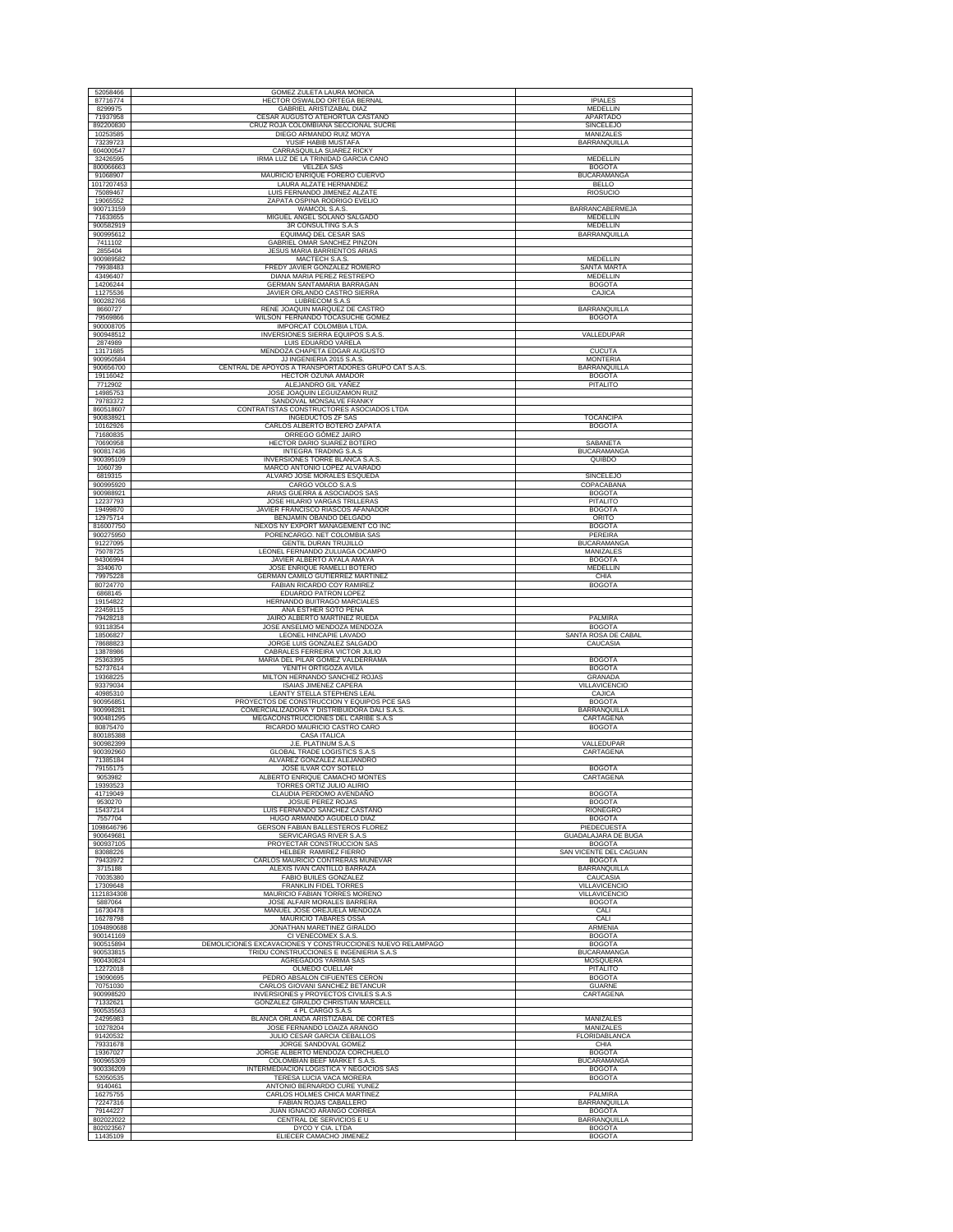| 52058466               | GOMEZ ZULETA LAURA MONICA                                                         |                                     |
|------------------------|-----------------------------------------------------------------------------------|-------------------------------------|
| 87716774<br>8299975    | HECTOR OSWALDO ORTEGA BERNAL<br>GABRIEL ARISTIZABAL DIAZ                          | <b>IPIALES</b><br><b>MEDELLIN</b>   |
| 71937958               | CESAR AUGUSTO ATEHORTUA CASTAÑO                                                   | <b>APARTADO</b>                     |
| 892200830              | CRUZ ROJA COLOMBIANA SECCIONAL SUCRE                                              | <b>SINCELEJO</b>                    |
| 10253585               | DIEGO ARMANDO RUIZ MOYA                                                           | MANIZALES                           |
| 73239723               | YUSIF HABIB MUSTAFA                                                               | BARRANQUILLA                        |
| 604000547<br>32426595  | CARRASQUILLA SUAREZ RICKY                                                         | MEDELLIN                            |
| 800066663              | IRMA LUZ DE LA TRINIDAD GARCIA CANO<br><b>VELZEA SAS</b>                          | <b>BOGOTA</b>                       |
| 91068907               | MAURICIO ENRIQUE FORERO CUERVO                                                    | <b>BUCARAMANGA</b>                  |
| 1017207453             | LAURA ALZATE HERNANDEZ                                                            | <b>BELLO</b>                        |
| 75089467               | LUIS FERNANDO JIMENEZ ALZATE                                                      | <b>RIOSUCIO</b>                     |
| 19065552               | ZAPATA OSPINA RODRIGO EVELIO                                                      |                                     |
| 900713159              | WAMCOL S.A.S.                                                                     | BARRANCABERMEJA                     |
| 71633655               | MIGUEL ANGEL SOLANO SALGADO                                                       | MEDELLIN                            |
| 900582919              | 3R CONSULTING S.A.S<br>EQUIMAQ DEL CESAR SAS                                      | <b>MEDELLIN</b><br>BARRANQUILLA     |
| 900995612<br>7411102   | GABRIEL OMAR SANCHEZ PINZON                                                       |                                     |
| 2855404                | <b>JESUS MARIA BARRIENTOS ARIAS</b>                                               |                                     |
| 900989582              | MACTECH S.A.S.                                                                    | MEDELLIN                            |
| 79938483               | FREDY JAVIER GONZALEZ ROMERO                                                      | <b>SANTA MARTA</b>                  |
| 43496407               | DIANA MARIA PEREZ RESTREPO                                                        | <b>MEDELLIN</b>                     |
| 14206244               | <b>GERMAN SANTAMARIA BARRAGAN</b>                                                 | <b>BOGOTA</b>                       |
| 11275536<br>900282766  | JAVIER ORLANDO CASTRO SIERRA<br>LUBRECOM S.A.S                                    | CAJICA                              |
| 8660727                | RENE JOAQUIN MARQUEZ DE CASTRO                                                    | BARRANQUILLA                        |
| 79569866               | WILSON FERNANDO TOCASUCHE GOMEZ                                                   | <b>BOGOTA</b>                       |
| 900008705              | IMPORCAT COLOMBIA LTDA.                                                           |                                     |
| 900948512              | INVERSIONES SIERRA EQUIPOS S.A.S.                                                 | VALLEDUPAR                          |
| 2874989                | LUIS EDUARDO VARELA                                                               |                                     |
| 13171685               | MENDOZA CHAPETA EDGAR AUGUSTO                                                     | <b>CUCUTA</b>                       |
| 900950584<br>900656700 | JJ INGENIERIA 2015 S.A.S.<br>CENTRAL DE APOYOS A TRANSPORTADORES GRUPO CAT S.A.S. | <b>MONTERIA</b><br>BARRANQUILLA     |
| 19116042               | HECTOR OZUNA AMADOR                                                               | <b>BOGOTA</b>                       |
| 7712902                | ALEJANDRO GIL YAÑEZ                                                               | <b>PITALITO</b>                     |
| 14985753               | JOSE JOAQUIN LEGUIZAMON RUIZ                                                      |                                     |
| 79783372               | SANDOVAL MONSALVE FRANKY                                                          |                                     |
| 860518607              | CONTRATISTAS CONSTRUCTORES ASOCIADOS LTDA                                         |                                     |
| 900838921              | <b>INGEDUCTOS ZF SAS</b><br>CARLOS ALBERTO BOTERO ZAPATA                          | TOCANCIPA                           |
| 10162926<br>71680835   | ORREGO GÓMEZ JAIRO                                                                | <b>BOGOTA</b>                       |
| 70690958               | HECTOR DARIO SUAREZ BOTERO                                                        | SABANETA                            |
| 900817436              | INTEGRA TRADING S.A.S                                                             | <b>BUCARAMANGA</b>                  |
| 900395109              | <b>INVERSIONES TORRE BLANCA S.A.S</b>                                             | QUIBDO                              |
| 1060739                | MARCO ANTONIO LOPEZ ALVARADO                                                      |                                     |
| 6819315                | ALVARO JOSE MORALES ESQUEDA                                                       | <b>SINCELEJO</b>                    |
| 900995920              | CARGO VOLCO S.A.S                                                                 | COPACABANA                          |
| 900988921<br>12237793  | ARIAS GUERRA & ASOCIADOS SAS<br>JOSE HILARIO VARGAS TRILLERAS                     | <b>BOGOTA</b>                       |
| 19499870               | JAVIER FRANCISCO RIASCOS AFANADOR                                                 | PITALITO<br><b>BOGOTA</b>           |
| 12975714               | BENJAMIN OBANDO DELGADO                                                           | ORITO                               |
| 816007750              | NEXOS NY EXPORT MANAGEMENT CO INC                                                 | <b>BOGOTA</b>                       |
| 900275950              | PORENCARGO. NET COLOMBIA SAS                                                      | PEREIRA                             |
| 91227095               | <b>GENTIL DURAN TRUJILLO</b>                                                      | <b>BUCARAMANGA</b>                  |
| 75078725               | LEONEL FERNANDO ZULUAGA OCAMPO                                                    | MANIZALES                           |
| 94306994<br>3340670    | JAVIER ALBERTO AYALA AMAYA<br>JOSE ENRIQUE RAMELLI BOTERC                         | <b>BOGOTA</b><br>MEDELLIN           |
| 79975228               | GERMAN CAMILO GUTIERREZ MARTINEZ                                                  | CHIA                                |
| 80724770               | FABIAN RICARDO COY RAMIREZ                                                        | <b>BOGOTA</b>                       |
| 6868145                | EDUARDO PATRON LOPEZ                                                              |                                     |
| 19154822               | HERNANDO BUITRAGO MARCIALES                                                       |                                     |
| 22459115               | ANA ESTHER SOTO PEÑA                                                              |                                     |
| 79428218               | JAIRO ALBERTO MARTINEZ RUEDA                                                      | PALMIRA                             |
| 93118354<br>18506827   | JOSE ANSELMO MENDOZA MENDOZA<br>LEONEL HINCAPIE LAVADO                            | <b>BOGOTA</b>                       |
| 78688823               | JORGE LUIS GONZALEZ SALGADO                                                       | SANTA ROSA DE CABAL<br>CAUCASIA     |
| 13878986               | CABRALES FERREIRA VICTOR JULIO                                                    |                                     |
| 25363395               | MARIA DEL PILAR GOMEZ VALDERRAMA                                                  | <b>BOGOTA</b>                       |
| 52737614               | YENITH ORTIGOZA AVILA                                                             | <b>BOGOTA</b>                       |
| 19368225               | MILTON HERNANDO SANCHEZ ROJAS                                                     | GRANADA                             |
| 93379034<br>40985310   | <b>ISAIAS JIMENEZ CAPERA</b><br>LEANTY STELLA STEPHENS LEAL                       | VILLAVICENCIO<br>CAJICA             |
| 900956851              | PROYECTOS DE CONSTRUCCION Y EQUIPOS PCE SAS                                       | <b>BOGOTA</b>                       |
| 900998281              | COMERCIALIZADORA Y DISTRIBUIDORA DALI S.A.S.                                      | BARRANQUILLA                        |
| 900481295              | MEGACONSTRUCCIONES DEL CARIBE S.A.S                                               | CARTAGENA                           |
| 80875470               | RICARDO MAURICIO CASTRO CARO                                                      | <b>BOGOTA</b>                       |
| 800185388              | <b>CASA ITALICA</b>                                                               |                                     |
| 900982399<br>900392960 | J.E. PLATINUM S.A.S<br>GLOBAL TRADE LOGISTICS S.A.S                               | VALLEDUPAR<br>CARTAGENA             |
| 71385184               | ALVAREZ GONZALEZ ALEJANDRO                                                        |                                     |
| 79155175               | JOSE ILVAR COY SOTELO                                                             | <b>BOGOTA</b>                       |
| 9053982                | ALBERTO ENRIQUE CAMACHO MONTES                                                    | CARTAGENA                           |
| 19393523               | TORRES ORTIZ JULIO ALIRIO                                                         |                                     |
| 41719049               | CLAUDIA PERDOMO AVENDAÑO                                                          | <b>BOGOTA</b>                       |
| 9530270                | JOSUE PEREZ ROJAS                                                                 | <b>BOGOTA</b><br><b>RIONEGRO</b>    |
| 15437214<br>7557704    | LUIS FERNANDO SANCHEZ CASTAÑO<br>HUGO ARMANDO AGUDELO DIAZ                        | <b>BOGOTA</b>                       |
| 1098646796             | GERSON FABIAN BALLESTEROS FLOREZ                                                  | PIEDECUESTA                         |
| 900649681              | SERVICARGAS RIVER S.A.S                                                           | <b>GUADALAJARA DE BUGA</b>          |
| 900937105              | PROYECTAR CONSTRUCCION SAS                                                        | <b>BOGOTA</b>                       |
| 83088226               | HELBER RAMIREZ FIERRO                                                             | SAN VICENTE DEL CAGUAN              |
| 79433972<br>3715188    | CARLOS MAURICIO CONTRERAS MUNEVAR<br>ALEXIS IVAN CANTILLO BARRAZA                 | <b>BOGOTA</b><br>BARRANQUILLA       |
| 70035380               | <b>FABIO BUILES GONZALEZ</b>                                                      | CAUCASIA                            |
| 17309648               | <b>FRANKLIN FIDEL TORRES</b>                                                      | VILLAVICENCIO                       |
| 1121834308             | MAURICIO FABIAN TORRES MORENO                                                     | VILLAVICENCIO                       |
| 5887064                | JOSE ALFAIR MORALES BARRERA                                                       | <b>BOGOTA</b>                       |
| 16730478               | MANUEL JOSE OREJUELA MENDOZA                                                      | CALI                                |
| 16278798<br>1094890688 | MAURICIO TABARES OSSA<br>JONATHAN MARETINEZ GIRALDO                               | CALI<br>ARMENIA                     |
| 900141169              | CI VENECOMEX S.A.S.                                                               | <b>BOGOTA</b>                       |
| 900515894              | DEMOLICIONES EXCAVACIONES Y CONSTRUCCIONES NUEVO RELAMPAGO                        | <b>BOGOTA</b>                       |
| 900533815              | TRIDU CONSTRUCCIONES E INGENIERIA S.A.S                                           | <b>BUCARAMANGA</b>                  |
| 900430824              | AGREGADOS YARIMA SAS                                                              | <b>MOSOUERA</b>                     |
| 12272018               | OLMEDO CUELLAR                                                                    | PITALITO                            |
| 19090695<br>70751030   | PEDRO ABSALON CIFUENTES CERON                                                     | <b>BOGOTA</b><br><b>GUARNE</b>      |
| 900998520              | CARLOS GIOVANI SANCHEZ BETANCUR<br>INVERSIONES y PROYECTOS CIVILES S.A.S          | CARTAGENA                           |
| 71332621               | GONZALEZ GIRALDO CHRISTIAN MARCELL                                                |                                     |
| 900535563              | 4 PL CARGO S.A.S                                                                  |                                     |
| 24295983               | BLANCA ORLANDA ARISTIZABAL DE CORTES                                              | MANIZALES                           |
| 10278204               | JOSE FERNANDO LOAIZA ARANGO                                                       | MANIZALES                           |
| 91420532               | JULIO CESAR GARCIA CEBALLOS                                                       | FLORIDABLANCA                       |
| 79331678               | JORGE SANDOVAL GOMEZ                                                              | CHIA                                |
| 19367027<br>900965309  | JORGE ALBERTO MENDOZA CORCHUELO<br>COLOMBIAN BEEF MARKET S.A.S                    | <b>BOGOTA</b><br><b>BUCARAMANGA</b> |
| 900336209              | INTERMEDIACION LOGISTICA Y NEGOCIOS SAS                                           | <b>BOGOTA</b>                       |
| 52050535               |                                                                                   |                                     |
|                        |                                                                                   |                                     |
| 9140461                | TERESA LUCIA VACA MORERA<br>ANTONIO BERNARDO CURE YUNEZ                           | <b>BOGOTA</b>                       |
| 16275755               | CARLOS HOLMES CHICA MARTINEZ                                                      | PALMIRA                             |
| 72247316               | FABIAN ROJAS CABALLERO                                                            | BARRANQUILLA                        |
| 79144227               | JUAN IGNACIO ARANGO CORREA                                                        | <b>BOGOTA</b>                       |
| 802022022              | CENTRAL DE SERVICIOS E U                                                          | <b>BARRANQUILLA</b>                 |
| 802023567<br>11435109  | DYCO Y CIA. LTDA<br>ELIECER CAMACHO JIMENEZ                                       | <b>BOGOTA</b><br><b>BOGOTA</b>      |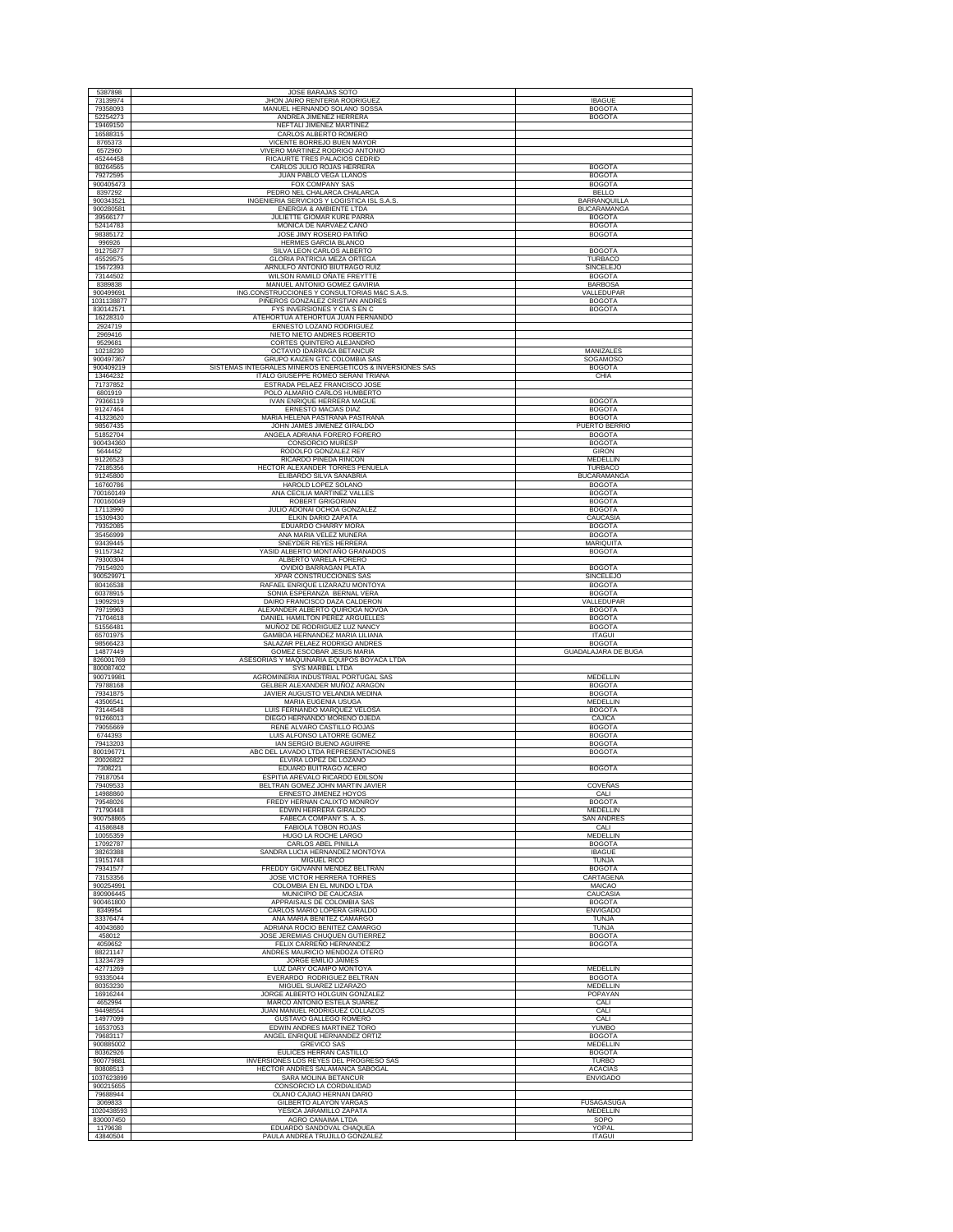| 5387898                            | JOSE BARAJAS SOTO                                                                               |                                           |
|------------------------------------|-------------------------------------------------------------------------------------------------|-------------------------------------------|
| 73139974<br>79358093               | JHON JAIRO RENTERIA RODRIGUEZ<br>MANUEL HERNANDO SOLANO SOSSA                                   | <b>IBAGUE</b><br><b>BOGOTA</b>            |
| 52254273<br>19469150               | ANDREA JIMENEZ HERRERA<br>NEFTALI JIMENEZ MARTINEZ                                              | <b>BOGOTA</b>                             |
| 16588315                           | CARLOS ALBERTO ROMERO                                                                           |                                           |
| 8765373<br>6572960                 | VICENTE BORREJO BUEN MAYOR<br>VIVERO MARTINEZ RODRIGO ANTONIO                                   |                                           |
| 45244458<br>80264565               | RICAURTE TRES PALACIOS CEDRID<br>CARLOS JULIO ROJAS HERRERA                                     | <b>BOGOTA</b>                             |
| 79272595                           | JUAN PABLO VEGA LLANOS                                                                          | <b>BOGOTA</b>                             |
| 900405473<br>8397292               | FOX COMPANY SAS<br>PEDRO NEL CHALARCA CHALARCA                                                  | <b>BOGOTA</b><br><b>BELLO</b>             |
| 900343521<br>900280581             | INGENIERIA SERVICIOS Y LOGISTICA ISL S.A.S.<br>ENERGIA & AMBIENTE LTDA                          | <b>BARRANQUILLA</b><br><b>BUCARAMANGA</b> |
| 39566177                           | JULIETTE GIOMAR KURE PARRA                                                                      | <b>BOGOTA</b>                             |
| 52414783<br>98385172               | MONICA DE NARVAEZ CANO<br>JOSE JIMY ROSERO PATIÑO                                               | <b>BOGOTA</b><br><b>BOGOTA</b>            |
| 996926<br>91275877                 | HERMES GARCIA BLANCO<br>SILVA LEON CARLOS ALBERTO                                               | <b>BOGOTA</b>                             |
| 45529575                           | <b>GLORIA PATRICIA MEZA ORTEGA</b>                                                              | <b>TURBACO</b>                            |
| 15672393<br>73144502               | ARNULFO ANTONIO BIUTRAGO RUIZ<br>WILSON RAMILD OÑATE FREYTTE                                    | SINCELEJO<br><b>BOGOTA</b>                |
| 8389838<br>900499691               | MANUEL ANTONIO GOMEZ GAVIRIA<br>ING.CONSTRUCCIONES Y CONSULTORIAS M&C S.A.S.                    | <b>BARBOSA</b><br>VALLEDUPAR              |
| 1031138877<br>830142571            | PIÑEROS GONZALEZ CRISTIAN ANDRES<br>FYS INVERSIONES Y CIA S EN C                                | <b>BOGOTA</b><br><b>BOGOTA</b>            |
| 16228310                           | ATEHORTUA ATEHORTUA JUAN FERNANDO                                                               |                                           |
| 2924719<br>2969416                 | ERNESTO LOZANO RODRIGUEZ<br>NIETO NIETO ANDRES ROBERTO                                          |                                           |
| 9529681<br>10218230                | CORTES QUINTERO ALEJANDRO<br>OCTAVIO IDARRAGA BETANCUR                                          | MANIZALES                                 |
| 900497367                          | GRUPO KAIZEN GTC COLOMBIA SAS                                                                   | SOGAMOSO                                  |
| 900409219<br>13464232              | SISTEMAS INTEGRALES MINEROS ENERGETICOS & INVERSIONES SAS<br>ITALO GIUSEPPE ROMEO SERANI TRIANA | <b>BOGOTA</b><br>CHIA                     |
| 71737852<br>6801919                | ESTRADA PELAEZ FRANCISCO JOSE<br>POLO ALMARIO CARLOS HUMBERTO                                   |                                           |
| 79366119                           | IVAN ENRIQUE HERRERA MAGUE                                                                      | <b>BOGOTA</b>                             |
| 91247464<br>41323620               | ERNESTO MACIAS DIAZ<br>MARIA HELENA PASTRANA PASTRANA                                           | <b>BOGOTA</b><br><b>BOGOTA</b>            |
| 98567435<br>51852704               | JOHN JAMES JIMENEZ GIRALDO<br>ANGELA ADRIANA FORERO FORERO                                      | PUERTO BERRIO<br><b>BOGOTA</b>            |
| 900434360<br>5644452               | CONSORCIO MURESP<br>RODOLFO GONZALEZ REY                                                        | <b>BOGOTA</b><br>GIRON                    |
| 91226523                           | RICARDO PINEDA RINCON                                                                           | <b>MEDELLIN</b>                           |
| 72185356<br>91245800               | HECTOR ALEXANDER TORRES PEÑUELA<br>ELIBARDO SILVA SANABRIA                                      | TURBACO<br><b>BUCARAMANGA</b>             |
| 16760786<br>700160149              | HAROLD LOPEZ SOLANO<br>ANA CECILIA MARTINEZ VALLES                                              | <b>BOGOTA</b><br><b>BOGOTA</b>            |
| 700160049                          | ROBERT GRIGORIAN                                                                                | <b>BOGOTA</b>                             |
| 17113990<br>15309430               | JULIO ADONAI OCHOA GONZALEZ<br>ELKIN DARIO ZAPATA                                               | <b>BOGOTA</b><br>CAUCASIA                 |
| 79352085<br>35456999               | EDUARDO CHARRY MORA<br>ANA MARIA VELEZ MUNERA                                                   | <b>BOGOTA</b><br><b>BOGOTA</b>            |
| 93439445                           | SNEYDER REYES HERRERA                                                                           | MARIQUITA                                 |
| 91157342<br>79300304               | YASID ALBERTO MONTAÑO GRANADOS<br>ALBERTO VARELA FORERO                                         | <b>BOGOTA</b>                             |
| 79154920<br>900529971              | OVIDIO BARRAGAN PLATA<br>XPAR CONSTRUCCIONES SAS                                                | <b>BOGOTA</b><br>SINCELEJO                |
| 80416538<br>60378915               | RAFAEL ENRIQUE LIZARAZU MONTOYA<br>SONIA ESPERANZA BERNAL VERA                                  | <b>BOGOTA</b><br><b>BOGOTA</b>            |
| 19092919                           | DAIRO FRANCISCO DAZA CALDERON                                                                   | VALLEDUPAR                                |
|                                    |                                                                                                 | <b>BOGOTA</b>                             |
| 79719963<br>71704618               | ALEXANDER ALBERTO QUIROGA NOVOA<br>DANIEL HAMILTON PEREZ ARGUELLES                              | <b>BOGOTA</b>                             |
| 51556481                           | MUÑOZ DE RODRIGUEZ LUZ NANCY                                                                    | <b>BOGOTA</b>                             |
| 65701975<br>98566423               | GAMBOA HERNANDEZ MARIA LILIANA<br>SALAZAR PELAEZ RODRIGO ANDRES                                 | <b>ITAGUI</b><br><b>BOGOTA</b>            |
| 14877449<br>826001769              | GOMEZ ESCOBAR JESUS MARIA<br>ASESORIAS Y MAQUINARIA EQUIPOS BOYACA LTDA                         | <b>GUADALAJARA DE BUGA</b>                |
| 800087402<br>900719981             | SYS MARBEL LTDA<br>AGROMINERIA INDUSTRIAL PORTUGAL SAS                                          | MEDELLIN                                  |
| 79788168                           | GELBER ALEXANDER MUÑOZ ARAGON                                                                   | <b>BOGOTA</b>                             |
| 79341875<br>43506541               | JAVIER AUGUSTO VELANDIA MEDINA<br>MARIA EUGENIA USUGA                                           | <b>BOGOTA</b><br>MEDELLIN                 |
| 73144548<br>91266013               | LUIS FERNANDO MARQUEZ VELOSA<br>DIEGO HERNANDO MORENO OJEDA                                     | <b>BOGOTA</b><br>CAJICA                   |
| 79055669                           | RENE ALVARO CASTILLO ROJAS<br>LUIS ALFONSO LATORRE GOMEZ                                        | <b>BOGOTA</b>                             |
| 6744393<br>79413203                | IAN SERGIO BUENO AGUIRRE                                                                        | <b>BOGOTA</b><br><b>BOGOTA</b>            |
| 800196771<br>20026822              | ABC DEL LAVADO LTDA REPRESENTACIONES<br>ELVIRA LOPEZ DE LOZANO                                  | <b>BOGOTA</b>                             |
| 7308221<br>79187054                | EDUARD BUITRAGO ACERO<br>ESPITIA AREVALO RICARDO EDILSON                                        | <b>BOGOTA</b>                             |
| 79409533                           | BELTRAN GOMEZ JOHN MARTIN JAVIER                                                                | COVEÑAS                                   |
| 14988860<br>79548026               | ERNESTO JIMENEZ HOYOS<br>FREDY HERNAN CALIXTO MONROY                                            | CALI<br><b>BOGOTA</b>                     |
| 71790448<br>900758865              | EDWIN HERRERA GIRALDO<br>FABECA COMPANY S. A. S.                                                | MEDELLIN<br><b>SAN ANDRES</b>             |
| 41586848<br>10055359               | <b>FABIOLA TOBON ROJAS</b><br>HUGO LA ROCHE LARGO                                               | CALI<br><b>MEDELLIN</b>                   |
| 17092787                           | CARLOS ABEL PINILLA                                                                             | <b>BOGOTA</b><br><b>IBAGUE</b>            |
| 38263388<br>19151748               | SANDRA LUCIA HERNANDEZ MONTOYA<br>MIGUEL RICO                                                   | TUNJA                                     |
| 79341577<br>73153356               | FREDDY GIOVANNI MENDEZ BELTRAN<br><b>JOSE VICTOR HERRERA TORRES</b>                             | <b>BOGOTA</b><br>CARTAGENA                |
| 900254991<br>890906445             | COLOMBIA EN EL MUNDO LTDA<br>MUNICIPIO DE CAUCASIA                                              | MAICAO<br>CAUCASIA                        |
| 900461800                          | APPRAISALS DE COLOMBIA SAS                                                                      | <b>BOGOTA</b>                             |
| 8349954<br>33376474                | CARLOS MARIO LOPERA GIRALDO<br>ANA MARIA BENITEZ CAMARGO                                        | <b>ENVIGADO</b><br><b>TUNJA</b>           |
| 40043680<br>458012                 | ADRIANA ROCIO BENITEZ CAMARGO<br>JOSE JEREMIAS CHUQUEN GUTIERREZ                                | <b>TUNJA</b><br><b>BOGOTA</b>             |
| 4059652                            | FELIX CARREÑO HERNANDEZ                                                                         | <b>BOGOTA</b>                             |
| 88221147<br>13234739               | ANDRES MAURICIO MENDOZA OTERO<br>JORGE EMILIO JAIMES                                            |                                           |
| 42771269<br>93335044               | LUZ DARY OCAMPO MONTOYA<br>EVERARDO RODRIGUEZ BELTRAN                                           | <b>MEDELLIN</b><br><b>BOGOTA</b>          |
| 80353230<br>16916244               | MIGUEL SUAREZ LIZARAZO<br>JORGE ALBERTO HOLGUIN GONZALEZ                                        | MEDELLIN<br>POPAYAN                       |
| 4652994                            | MARCO ANTONIO ESTELA SUAREZ                                                                     | CALI                                      |
| 94498554<br>14977099               | JUAN MANUEL RODRIGUEZ COLLAZOS<br>GUSTAVO GALLEGO ROMERO                                        | CALI<br>CALI                              |
| 16537053<br>79683117               | EDWIN ANDRES MARTINEZ TORO<br>ANGEL ENRIQUE HERNANDEZ ORTIZ                                     | YUMBO<br><b>BOGOTA</b>                    |
| 900885002<br>80362926              | <b>GREVICO SAS</b><br>EULICES HERRAN CASTILLO                                                   | MEDELLIN<br><b>BOGOTA</b>                 |
| 900779881                          | INVERSIONES LOS REYES DEL PROGRESO SAS                                                          | <b>TURBO</b>                              |
| 80808513<br>1037623899             | HECTOR ANDRES SALAMANCA SABOGAL<br>SARA MOLINA BETANCUR                                         | <b>ACACIAS</b><br><b>ENVIGADO</b>         |
| 900215655<br>79688944              | CONSORCIO LA CORDIALIDAD<br>OLANO CAJIAO HERNAN DARIO                                           |                                           |
| 3069833                            | GILBERTO ALAYON VARGAS                                                                          | <b>FUSAGASUGA</b>                         |
| 1020438593<br>830007450<br>1179638 | YESICA JARAMILLO ZAPATA<br>AGRO CANAIMA LTDA<br>EDUARDO SANDOVAL CHAQUEA                        | <b>MEDELLIN</b><br>SOPO<br>YOPAL          |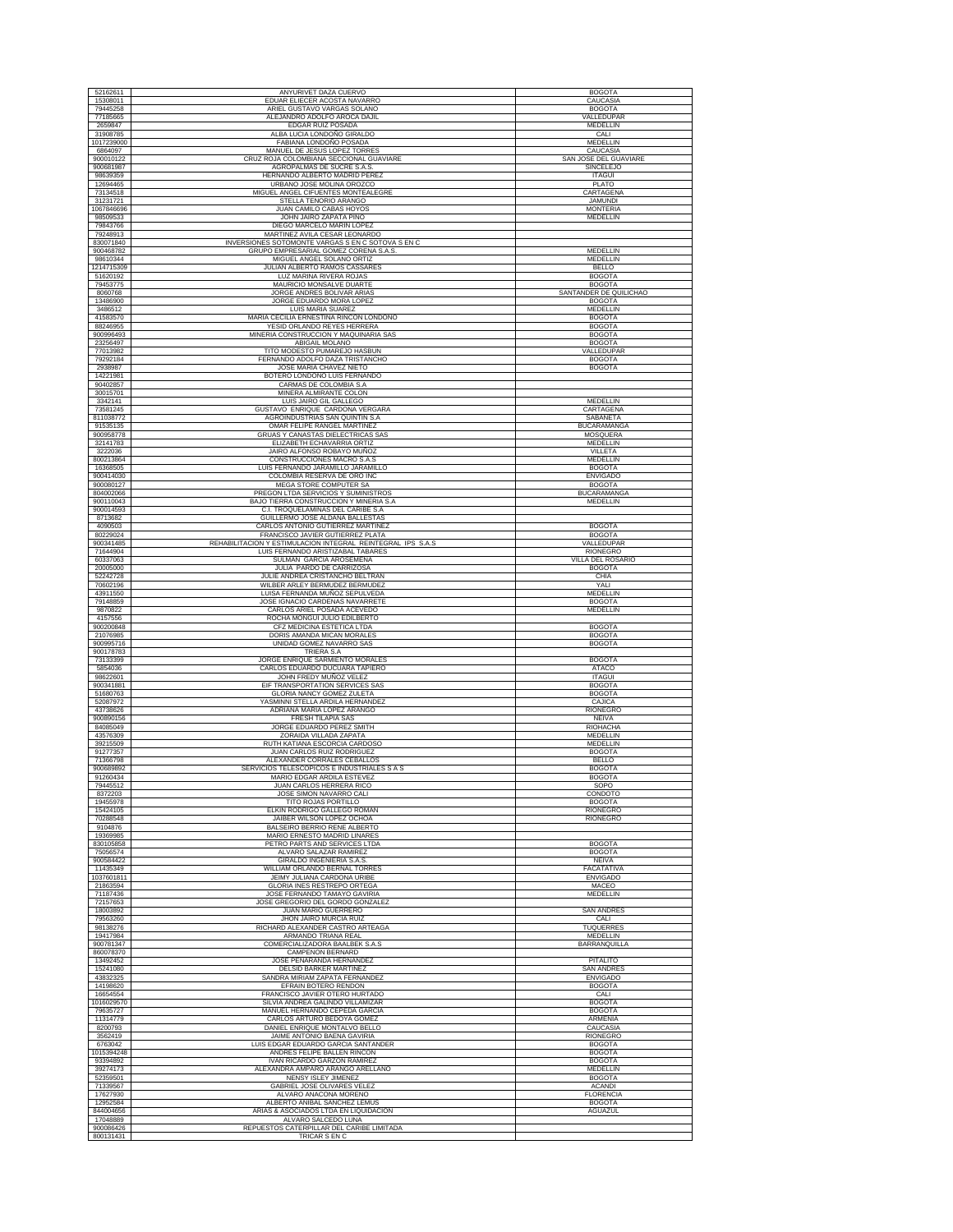| 52162611               | ANYURIVET DAZA CUERVO                                                     | <b>BOGOTA</b>                       |
|------------------------|---------------------------------------------------------------------------|-------------------------------------|
| 15308011               | EDUAR ELIECER ACOSTA NAVARRO                                              | CAUCASIA                            |
| 79445258               | ARIEL GUSTAVO VARGAS SOLANO                                               | <b>BOGOTA</b>                       |
| 77185665               | ALEJANDRO ADOLFO AROCA DAJIL                                              | VALLEDUPAR                          |
| 2659847                | EDGAR RUIZ POSADA                                                         | MEDELLIN                            |
| 31908785               | ALBA LUCIA LONDOÑO GIRALDO                                                | CALI                                |
| 1017239000<br>6864097  | FABIANA LONDOÑO POSADA<br>MANUEL DE JESUS LOPEZ TORRES                    | MEDELLIN<br>CAUCASIA                |
| 900010122              | CRUZ ROJA COLOMBIANA SECCIONAL GUAVIARE                                   | SAN JOSE DEL GUAVIARE               |
| 900681987              | AGROPALMAS DE SUCRE S.A.S.                                                | <b>SINCELEJO</b>                    |
| 98639359               | HERNANDO ALBERTO MADRID PEREZ                                             | <b>ITAGUI</b>                       |
| 12694465               | URBANO JOSE MOLINA OROZCO                                                 | PLATO                               |
| 73134518               | MIGUEL ANGEL CIFUENTES MONTEALEGRE                                        | CARTAGENA                           |
| 31231721               | STELLA TENORIO ARANGO                                                     | <b>JAMUNDI</b>                      |
| 1067846696<br>98509533 | JUAN CAMILO CABAS HOYOS<br>JOHN JAIRO ZAPATA PINO                         | <b>MONTERIA</b><br><b>MEDELLIN</b>  |
| 79843766               | DIEGO MARCELO MARIN LOPEZ                                                 |                                     |
| 79248913               | MARTINEZ AVILA CESAR LEONARDO                                             |                                     |
| 830071840              | INVERSIONES SOTOMONTE VARGAS S EN C SOTOVA S EN C                         |                                     |
| 900468782              | GRUPO EMPRESARIAL GOMEZ CORENA S.A.S                                      | MEDELLIN                            |
| 98610344               | MIGUEL ANGEL SOLANO ORTIZ                                                 | <b>MEDELLIN</b>                     |
| 1214715309<br>51620192 | JULIAN ALBERTO RAMOS CASSARES<br>LUZ MARINA RIVERA ROJAS                  | <b>BELLO</b><br><b>BOGOTA</b>       |
| 79453775               | MAURICIO MONSALVE DUARTE                                                  | <b>BOGOTA</b>                       |
| 8060768                | JORGE ANDRES BOLIVAR ARIAS                                                | SANTANDER DE QUILICHAO              |
| 13486900               | JORGE EDUARDO MORA LOPEZ                                                  | <b>BOGOTA</b>                       |
| 3486512                | LUIS MARIA SUAREZ                                                         | MEDELLIN                            |
| 41583570               | MARIA CECILIA ERNESTINA RINCON LONDOÑO                                    | <b>BOGOTA</b>                       |
| 88246955               | YESID ORLANDO REYES HERRERA                                               | <b>BOGOTA</b>                       |
| 900996493              | MINERIA CONSTRUCCION Y MAQUINARIA SAS                                     | <b>BOGOTA</b>                       |
| 23256497<br>77013982   | ABIGAIL MOLANO<br>TITO MODESTO PUMAREJO HASBUN                            | <b>BOGOTA</b><br>VALLEDUPAR         |
| 79292184               | FERNANDO ADOLFO DAZA TRISTANCHO                                           | <b>BOGOTA</b>                       |
| 2938987                | JOSE MARIA CHAVEZ NIETO                                                   | <b>BOGOTA</b>                       |
| 14221981               | BOTERO LONDOÑO LUIS FERNANDO                                              |                                     |
| 90402857               | CARMAS DE COLOMBIA S.A                                                    |                                     |
| 30015701               | MINERA ALMIRANTE COLON<br>LUIS JAIRO GIL GALLEGO                          | MEDELLIN                            |
| 3342141<br>73581245    | GUSTAVO ENRIQUE CARDONA VERGARA                                           | CARTAGENA                           |
| 811038772              | AGROINDUSTRIAS SAN QUINTIN S.A                                            | SABANETA                            |
| 91535135               | OMAR FELIPE RANGEL MARTINEZ                                               | <b>BUCARAMANGA</b>                  |
| 900958778              | <b>GRUAS Y CANASTAS DIELECTRICAS SAS</b>                                  | <b>MOSQUERA</b>                     |
| 32141783               | ELIZABETH ECHAVARRIA ORTIZ                                                | MEDELLIN                            |
| 3222036                | JAIRO ALFONSO ROBAYO MUÑOZ                                                | VILLETA                             |
| 800213864<br>16368505  | CONSTRUCCIONES MACRO S.A.S<br>LUIS FERNANDO JARAMILLO JARAMILLO           | <b>MEDELLIN</b><br><b>BOGOTA</b>    |
| 900414030              | COLOMBIA RESERVA DE ORO INC                                               | <b>ENVIGADO</b>                     |
| 900080127              | MEGA STORE COMPUTER SA                                                    | <b>BOGOTA</b>                       |
| 804002066              | PREGON LTDA SERVICIOS Y SUMINISTROS                                       | <b>BUCARAMANGA</b>                  |
| 900110043              | BAJO TIERRA CONSTRUCCION Y MINERIA S.A                                    | MEDELLIN                            |
| 900014593              | C.I. TROQUELAMINAS DEL CARIBE S.A                                         |                                     |
| 8713682                | GUILLERMO JOSE ALDANA BALLESTAS<br>CARLOS ANTONIO GUTIERREZ MARTINEZ      |                                     |
| 4090503<br>80229024    | FRANCISCO JAVIER GUTIERREZ PLATA                                          | <b>BOGOTA</b><br><b>BOGOTA</b>      |
| 900341485              | REHABILITACION Y ESTIMULACION INTEGRAL REINTEGRAL IPS S.A.S               | VALLEDUPAR                          |
| 71644904               | LUIS FERNANDO ARISTIZABAL TABARES                                         | <b>RIONEGRO</b>                     |
| 60337063               | SULMAN GARCIA AROSEMENA                                                   | VILLA DEL ROSARIO                   |
| 20005000               | JULIA PARDO DE CARRIZOSA                                                  | <b>BOGOTA</b>                       |
| 52242728               | JULIE ANDREA CRISTANCHO BELTRAN                                           | CHIA                                |
| 70602196<br>43911550   | WILBER ARLEY BERMUDEZ BERMUDEZ<br>LUISA FERNANDA MUÑOZ SEPULVEDA          | YALI<br><b>MEDELLIN</b>             |
| 79148859               | JOSE IGNACIO CARDENAS NAVARRETE                                           | <b>BOGOTA</b>                       |
| 9870822                | CARLOS ARIEL POSADA ACEVEDO                                               | MEDELLIN                            |
| 4157556                | ROCHA MONGUI JULIO EDILBERTO                                              |                                     |
| 900200848              | CFZ MEDICINA ESTETICA LTDA                                                | <b>BOGOTA</b>                       |
| 21076985               | DORIS AMANDA MICAN MORALES                                                | <b>BOGOTA</b>                       |
| 900995716              | UNIDAD GOMEZ NAVARRO SAS                                                  | <b>BOGOTA</b>                       |
| 900178783<br>73133399  | TRIERA S.A<br>JORGE ENRIQUE SARMIENTO MORALES                             | <b>BOGOTA</b>                       |
| 5854036                | CARLOS EDUARDO DUCUARA TAPIERO                                            | ATACO                               |
| 98622601               | JOHN FREDY MUÑOZ VELEZ                                                    | <b>ITAGUI</b>                       |
| 900341881              | EIF TRANSPORTATION SERVICES SAS                                           | <b>BOGOTA</b>                       |
| 51680763               | GLORIA NANCY GOMEZ ZULETA                                                 | <b>BOGOTA</b>                       |
| 52087972<br>43738626   | YASMINNI STELLA ARDILA HERNANDEZ<br>ADRIANA MARIA LOPEZ ARANGO            | CAJICA<br><b>RIONEGRO</b>           |
| 900890156              | <b>FRESH TILAPIA SAS</b>                                                  | NEIVA                               |
| 84085049               | JORGE EDUARDO PEREZ SMITH                                                 | RIOHACHA                            |
| 43576309               | ZORAIDA VILLADA ZAPATA                                                    | MEDELLIN                            |
| 39215509               | RUTH KATIANA ESCORCIA CARDOSO                                             | MEDELLIN                            |
| 91277357               | JUAN CARLOS RUIZ RODRIGUEZ                                                | <b>BOGOTA</b>                       |
| 71366798               | ALEXANDER CORRALES CEBALLOS                                               | <b>BELLO</b>                        |
| 900689892<br>91260434  | SERVICIOS TELESCOPICOS E INDUSTRIALES S A S<br>MARIO EDGAR ARDILA ESTEVEZ | <b>BOGOTA</b><br><b>BOGOTA</b>      |
| 79445512               | JUAN CARLOS HERRERA RICO                                                  | SOPO                                |
| 8372203                | JOSE SIMON NAVARRO CALI                                                   | CONDOTO                             |
| 19455978               | TITO ROJAS PORTILLO                                                       | <b>BOGOTA</b>                       |
| 15424105               | ELKIN RODRIGO GALLEGO ROMAN                                               | <b>RIONEGRO</b>                     |
| 70288548<br>9104876    | JAIBER WILSON LOPEZ OCHOA<br>BALSEIRO BERRIO RENE ALBERTO                 | <b>RIONEGRO</b>                     |
| 19369985               | MARIO ERNESTO MADRID LINARES                                              |                                     |
| 830105858              | PETRO PARTS AND SERVICES LTDA                                             | <b>BOGOTA</b>                       |
| 75056574               | ALVARO SALAZAR RAMIREZ                                                    | <b>BOGOTA</b>                       |
| 900584422              | GIRALDO INGENIERIA S.A.S.                                                 | <b>NEIVA</b>                        |
| 11435349<br>1037601811 | WILLIAM ORLANDO BERNAL TORRES<br>JEIMY JULIANA CARDONA URIBE              | FACATATIVA<br><b>ENVIGADO</b>       |
| 21863594               | <b>GLORIA INES RESTREPO ORTEGA</b>                                        | MACEO                               |
| 71187436               | JOSE FERNANDO TAMAYO GAVIRIA                                              | MEDELLIN                            |
| 72157653               | JOSE GREGORIO DEL GORDO GONZALEZ                                          |                                     |
| 18003892               | <b>JUAN MARIO GUERRERO</b>                                                | <b>SAN ANDRES</b>                   |
| 79563260               | JHON JAIRO MURCIA RUIZ<br>RICHARD ALEXANDER CASTRO ARTEAGA                | CALI                                |
| 98138276<br>19417984   | ARMANDO TRIANA REAL                                                       | <b>TUQUERRES</b><br><b>MEDELLIN</b> |
| 900781347              | COMERCIALIZADORA BAALBEK S.A.S                                            | BARRANQUILLA                        |
| 860078370              | CAMPENON BERNARD                                                          |                                     |
| 13492452               | JOSE PEÑARANDA HERNANDEZ                                                  | PITALITO                            |
| 15241080               | <b>DELSID BARKER MARTINEZ</b>                                             | <b>SAN ANDRES</b>                   |
| 43832325               | SANDRA MIRIAM ZAPATA FERNANDEZ                                            | <b>ENVIGADO</b>                     |
| 14198620               | EFRAIN BOTERO RENDON                                                      | <b>BOGOTA</b>                       |
| 16654554<br>1016029570 | FRANCISCO JAVIER OTERO HURTADO<br>SILVIA ANDREA GALINDO VILLAMIZAR        | CALI<br><b>BOGOTA</b>               |
| 79635727               | MANUEL HERNANDO CEPEDA GARCIA                                             | <b>BOGOTA</b>                       |
| 11314779               | CARLOS ARTURO BEDOYA GOMEZ                                                | ARMENIA                             |
| 8200793                | DANIEL ENRIQUE MONTALVO BELLO                                             | CAUCASIA                            |
| 3562419                | JAIME ANTONIO BAENA GAVIRIA                                               | RIONEGRO                            |
| 6763042                | LUIS EDGAR EDUARDO GARCIA SANTANDER                                       | <b>BOGOTA</b>                       |
| 1015394248             | ANDRES FELIPE BALLEN RINCON                                               | <b>BOGOTA</b>                       |
| 93394892<br>39274173   | IVAN RICARDO GARZON RAMIREZ<br>ALEXANDRA AMPARO ARANGO ARELLANO           | <b>BOGOTA</b><br><b>MEDELLIN</b>    |
| 52359501               | NENSY ISLEY JIMENEZ                                                       | <b>BOGOTA</b>                       |
| 71339567               | GABRIEL JOSE OLIVARES VELEZ                                               | <b>ACANDI</b>                       |
| 17627930               | ALVARO ANACONA MORENO                                                     | <b>FLORENCIA</b>                    |
| 12952584               | ALBERTO ANIBAL SANCHEZ LEMUS                                              | <b>BOGOTA</b>                       |
| 844004656              | ARIAS & ASOCIADOS LTDA EN LIQUIDACION                                     | <b>AGUAZUL</b>                      |
|                        |                                                                           |                                     |
| 17048889<br>900086426  | ALVARO SALCEDO LUNA<br>REPUESTOS CATERPILLAR DEL CARIBE LIMITADA          |                                     |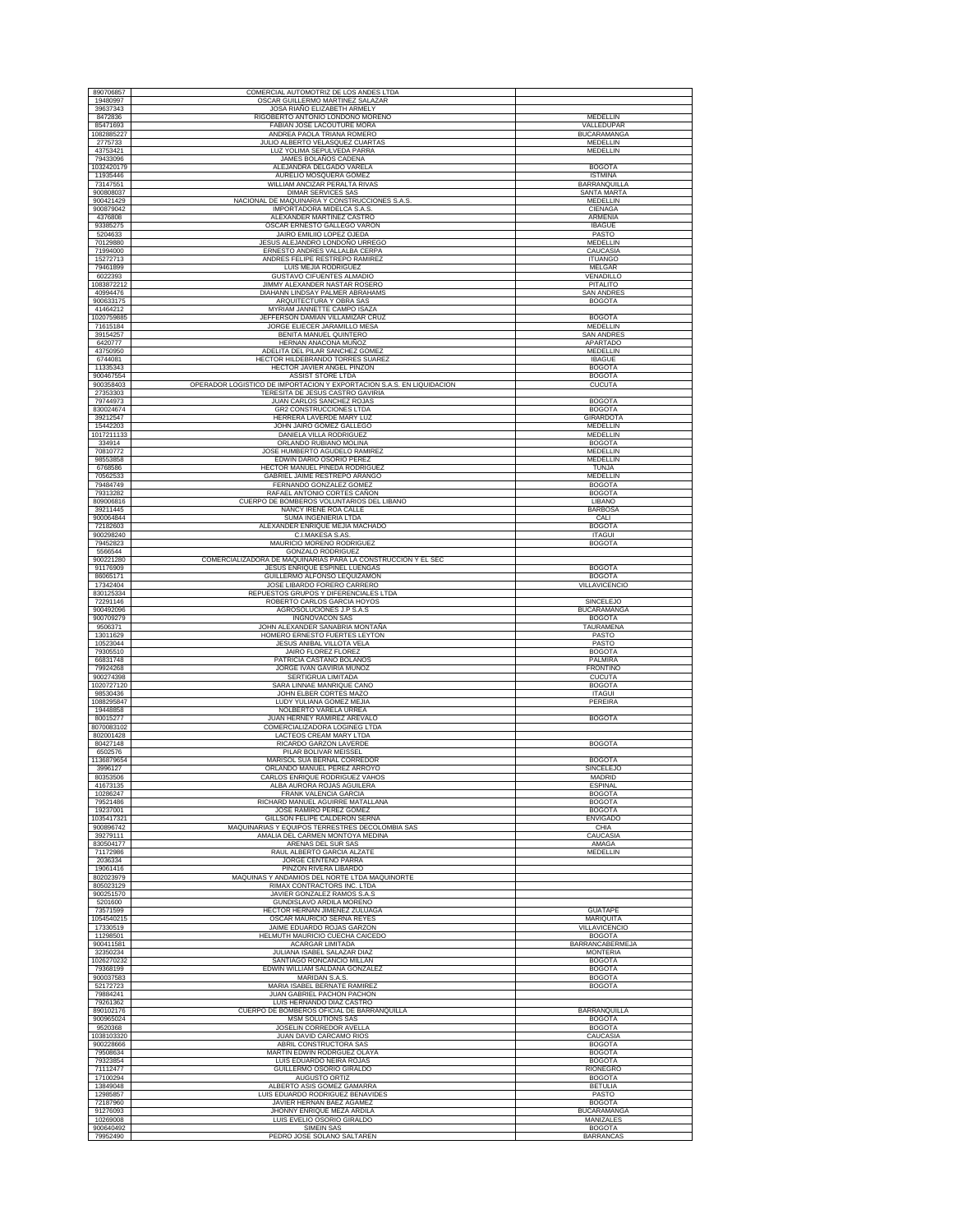| 890706857               | COMERCIAL AUTOMOTRIZ DE LOS ANDES LTDA                                                         |                                      |
|-------------------------|------------------------------------------------------------------------------------------------|--------------------------------------|
| 19480997                | OSCAR GUILLERMO MARTINEZ SALAZAR                                                               |                                      |
| 39637343<br>8472836     | JOSA RIAÑO ELIZABETH ARMELY<br>RIGOBERTO ANTONIO LONDOÑO MORENO                                | <b>MEDELLIN</b>                      |
| 85471693                | FABIAN JOSE LACOUTURE MORA                                                                     | VALLEDUPAR                           |
| 1082885227              | ANDREA PAOLA TRIANA ROMERO                                                                     | <b>BUCARAMANGA</b>                   |
| 2775733<br>43753421     | JULIO ALBERTO VELASQUEZ CUARTAS<br>LUZ YOLIMA SEPULVEDA PARRA                                  | MEDELLIN<br>MEDELLIN                 |
| 79433096                | JAMES BOLAÑOS CADENA                                                                           |                                      |
| 1032420179<br>11935446  | ALEJANDRA DELGADO VARELA<br>AURELIO MOSQUERA GOMEZ                                             | <b>BOGOTA</b><br><b>ISTMINA</b>      |
| 73147551                | WILLIAM ANCIZAR PERALTA RIVAS                                                                  | <b>BARRANQUILLA</b>                  |
| 900808037               | <b>DIMAR SERVICES SAS</b>                                                                      | SANTA MARTA                          |
| 900421429               | NACIONAL DE MAQUINARIA Y CONSTRUCCIONES S.A.S                                                  | MEDELLIN                             |
| 900879042<br>4376808    | IMPORTADORA MIDELCA S.A.S.<br>ALEXANDER MARTINEZ CASTRO                                        | CIENAGA<br>ARMENIA                   |
| 93385275                | OSCAR ERNESTO GALLEGO VARON                                                                    | <b>IBAGUE</b>                        |
| 5204633                 | JAIRO EMILIIO LOPEZ OJEDA                                                                      | PASTO                                |
| 70129880<br>71994000    | JESUS ALEJANDRO LONDOÑO URREGO<br>ERNESTO ANDRES VALLALBA CERPA                                | <b>MEDELLIN</b><br>CAUCASIA          |
| 15272713                | ANDRES FELIPE RESTREPO RAMIREZ                                                                 | <b>ITUANGO</b>                       |
| 79461899<br>6022393     | LUIS MEJIA RODRIGUEZ<br><b>GUSTAVO CIFUENTES ALMADIO</b>                                       | MELGAR<br>VENADILLO                  |
| 1083872212              | JIMMY ALEXANDER NASTAR ROSERO                                                                  | PITALITO                             |
| 40994476                | DIAHANN LINDSAY PALMER ABRAHAMS                                                                | <b>SAN ANDRES</b>                    |
| 900633175<br>41464212   | ARQUITECTURA Y OBRA SAS<br>MYRIAM JANNETTE CAMPO ISAZA                                         | <b>BOGOTA</b>                        |
| 1020759885              | JEFFERSON DAMIAN VILLAMIZAR CRUZ                                                               | <b>BOGOTA</b>                        |
| 71615184                | JORGE ELIECER JARAMILLO MESA                                                                   | MEDELLIN                             |
| 39154257<br>6420777     | BENITA MANUEL QUINTERO<br>HERNAN ANACONA MUÑOZ                                                 | <b>SAN ANDRES</b><br><b>APARTADO</b> |
| 43750950                | ADELITA DEL PILAR SANCHEZ GOMEZ                                                                | MEDELLIN                             |
| 6744081                 | HECTOR HILDEBRANDO TORRES SUAREZ                                                               | <b>IBAGUE</b>                        |
| 11335343<br>900467554   | HECTOR JAVIER ANGEL PINZON<br>ASSIST STORE LTDA                                                | <b>BOGOTA</b><br><b>BOGOTA</b>       |
| 900358403               | OPERADOR LOGISTICO DE IMPORTACION Y EXPORTACION S.A.S. EN LIQUIDACION                          | <b>CUCUTA</b>                        |
| 27353303                | TERESITA DE JESUS CASTRO GAVIRIA                                                               |                                      |
| 79744973<br>830024674   | JUAN CARLOS SANCHEZ ROJAS<br>GR2 CONSTRUCCIONES LTDA                                           | <b>BOGOTA</b><br><b>BOGOTA</b>       |
| 39212547                | HERRERA LAVERDE MARY LUZ                                                                       | <b>GIRARDOTA</b>                     |
| 15442203                | JOHN JAIRO GOMEZ GALLEGO                                                                       | MEDELLIN                             |
| 1017211133<br>334914    | DANIELA VILLA RODRIGUEZ<br>ORLANDO RUBIANO MOLINA                                              | <b>MEDELLIN</b><br><b>BOGOTA</b>     |
| 70810772                | JOSE HUMBERTO AGUDELO RAMIREZ                                                                  | MEDELLIN                             |
| 98553858                | EDWIN DARIO OSORIO PEREZ                                                                       | MEDELLIN                             |
| 6768586<br>70562533     | HECTOR MANUEL PINEDA RODRIGUEZ<br>GABRIEL JAIME RESTREPO ARANGO                                | TUNJA<br><b>MEDELLIN</b>             |
| 79484749                | FERNANDO GONZALEZ GOMEZ                                                                        | <b>BOGOTA</b>                        |
| 79313282<br>809006816   | RAFAEL ANTONIO CORTES CAÑON                                                                    | <b>BOGOTA</b>                        |
| 39211445                | CUERPO DE BOMBEROS VOLUNTARIOS DEL LIBANO<br>NANCY IRENE ROA CALLE                             | LIBANO<br><b>BARBOSA</b>             |
| 900064844               | SUMA INGENIERIA LTDA                                                                           | CALI                                 |
| 72182603<br>900298240   | ALEXANDER ENRIQUE MEJIA MACHADO<br>C.I.MAKESA S.AS.                                            | <b>BOGOTA</b><br><b>ITAGUI</b>       |
| 79452823                | MAURICIO MORENO RODRIGUEZ                                                                      | <b>BOGOTA</b>                        |
| 5566544                 | <b>GONZALO RODRIGUEZ</b>                                                                       |                                      |
| 900221280<br>91176909   | COMERCIALIZADORA DE MAQUINARIAS PARA LA CONSTRUCCION Y EL SEC<br>JESUS ENRIQUE ESPINEL LUENGAS | <b>BOGOTA</b>                        |
| 86065171                | GUILLERMO ALFONSO LEQUIZAMON                                                                   | <b>BOGOTA</b>                        |
| 17342404<br>830125334   | JOSE LIBARDO FORERO CARRERO<br>REPUESTOS GRUPOS Y DIFERENCIALES LTDA                           | VILLAVICENCIO                        |
| 72291146                | ROBERTO CARLOS GARCIA HOYOS                                                                    | SINCELEJO                            |
| 900492096               | AGROSOLUCIONES J.P S.A.S                                                                       | <b>BUCARAMANGA</b>                   |
|                         |                                                                                                |                                      |
| 900709279<br>9506371    | INGNOVACON SAS<br>JOHN ALEXANDER SANABRIA MONTAÑA                                              | <b>BOGOTA</b><br>TAURAMENA           |
| 13011629                | HOMERO ERNESTO FUERTES LEYTON                                                                  | PASTO                                |
| 10523044                | JESUS ANIBAL VILLOTA VELA                                                                      | PASTO                                |
| 79305510<br>66831748    | JAIRO FLOREZ FLOREZ<br>PATRICIA CASTAÑO BOLAÑOS                                                | <b>BOGOTA</b><br>PALMIRA             |
| 79924268                | JORGE IVAN GAVIRIA MUÑOZ                                                                       | <b>FRONTINO</b>                      |
| 900274398<br>1020727120 | SERTIGRUA LIMITADA<br>SARA LINNAE MANRIQUE CANO                                                | <b>CUCUTA</b><br><b>BOGOTA</b>       |
| 98530436                | JOHN ELBER CORTES MAZO                                                                         | <b>ITAGUI</b>                        |
| 19448858                | LUDY YULIANA GOMEZ MEJIA<br>NOLBERTO VARELA URREA                                              | PEREIRA                              |
| 80015277                | JUAN HERNEY RAMIREZ AREVALO                                                                    | <b>BOGOTA</b>                        |
| 8070083102<br>802001428 | COMERCIALIZADORA LOGINEG LTDA<br>LACTEOS CREAM MARY LTDA                                       |                                      |
| 80427148                | RICARDO GARZON LAVERDE                                                                         | <b>BOGOTA</b>                        |
| 1088295847<br>6502576   | PILAR BOLIVAR MEISSEL                                                                          |                                      |
| 1136879654<br>3996127   | MARISOL SUA BERNAL CORREDOR<br>ORLANDO MANUEL PÉREZ ARROYO                                     | <b>BOGOTA</b><br>SINCELEJO           |
| 80353506                | CARLOS ENRIQUE RODRIGUEZ VAHOS                                                                 | <b>MADRID</b>                        |
| 41673135<br>10286247    | ALBA AURORA ROJAS AGUILERA<br><b>FRANK VALENCIA GARCIA</b>                                     | <b>ESPINAL</b><br><b>BOGOTA</b>      |
| 79521486                | RICHARD MANUEL AGUIRRE MATALLANA                                                               | <b>BOGOTA</b>                        |
| 19237001                | JOSE RAMIRO PEREZ GOMEZ                                                                        | <b>BOGOTA</b>                        |
| 900896742               | GILLSON FELIPE CALDERON SERNA<br>MAQUINARIAS Y EQUIPOS TERRESTRES DECOLOMBIA SAS               | <b>ENVIGADO</b><br>CHIA              |
| 1035417321<br>39279111  | AMALIA DEL CARMEN MONTOYA MEDINA                                                               | CAUCASIA                             |
| 830504177<br>71172986   | ARENAS DEL SUR SAS<br>RAUL ALBERTO GARCIA ALZATE                                               | AMAGA<br>MEDELLIN                    |
| 2036334                 | JORGE CENTENO PARRA                                                                            |                                      |
| 19061416                | PINZON RIVERA LIBARDO                                                                          |                                      |
| 802023979<br>805023129  | MAQUINAS Y ANDAMIOS DEL NORTE LTDA MAQUINORTE<br>RIMAX CONTRACTORS INC. LTDA                   |                                      |
| 900251570               | JAVIER GONZALEZ RAMOS S.A.S                                                                    |                                      |
| 5201600                 | GUNDISLAVO ARDILA MORENO<br><b>HECTOR HERNAN JIMENEZ ZULUAGA</b>                               |                                      |
| 73571599<br>1054540215  | OSCAR MAURICIO SERNA REYES                                                                     | <b>GUATAPE</b><br>MARIQUITA          |
| 17330519                | JAIME EDUARDO ROJAS GARZON                                                                     | VILLAVICENCIO                        |
| 11298501                | HELMUTH MAURICIO CUECHA CAICEDO<br>ACARGAR LIMITADA                                            | <b>BOGOTA</b>                        |
| 900411581<br>32350234   | JULIANA ISABEL SALAZAR DIAZ                                                                    | BARRANCABERMEJA<br><b>MONTERIA</b>   |
| 1026270232              | SANTIAGO RONCANCIO MILLAN                                                                      | <b>BOGOTA</b>                        |
| 79368199<br>900037583   | EDWIN WILLIAM SALDAÑA GONZALEZ<br>MARIDAN S.A.S.                                               | <b>BOGOTA</b><br><b>BOGOTA</b>       |
| 52172723                | MARIA ISABEL BERNATE RAMIREZ                                                                   | <b>BOGOTA</b>                        |
| 79884241<br>79261362    | JUAN GABRIEL PACHON PACHON<br>LUIS HERNANDO DIAZ CASTRO                                        |                                      |
| 890102176               | CUERPO DE BOMBEROS OFICIAL DE BARRANQUILLA                                                     | <b>BARRANQUILLA</b>                  |
| 900965024               | MSM SOLUTIONS SAS                                                                              | <b>BOGOTA</b>                        |
| 9520368<br>1038103320   | JOSELIN CORREDOR AVELLA<br>JUAN DAVID CARCAMO RIOS                                             | <b>BOGOTA</b><br>CAUCASIA            |
| 900228666               | ABRIL CONSTRUCTORA SAS                                                                         | <b>BOGOTA</b>                        |
| 79508634<br>79323854    | MARTIN EDWIN RODRGUEZ OLAYA<br>LUIS EDUARDO NEIRA ROJAS                                        | <b>BOGOTA</b><br><b>BOGOTA</b>       |
| 71112477                | GUILLERMO OSORIO GIRALDO                                                                       | <b>RIONEGRO</b>                      |
| 17100294                | AUGUSTO ORTIZ                                                                                  | <b>BOGOTA</b><br><b>BETULIA</b>      |
| 13849048<br>12985857    | ALBERTO ASIS GOMEZ GAMARRA<br>LUIS EDUARDO RODRIGUEZ BENAVIDES                                 | PASTO                                |
| 72187960<br>91276093    | JAVIER HERNAN BAEZ AGAMEZ<br>JHONNY ENRIQUE MEZA ARDILA                                        | <b>BOGOTA</b><br><b>BUCARAMANGA</b>  |
| 10269008<br>900640492   | LUIS EVELIO OSORIO GIRALDO<br><b>SIMEIN SAS</b>                                                | MANIZALES<br><b>BOGOTA</b>           |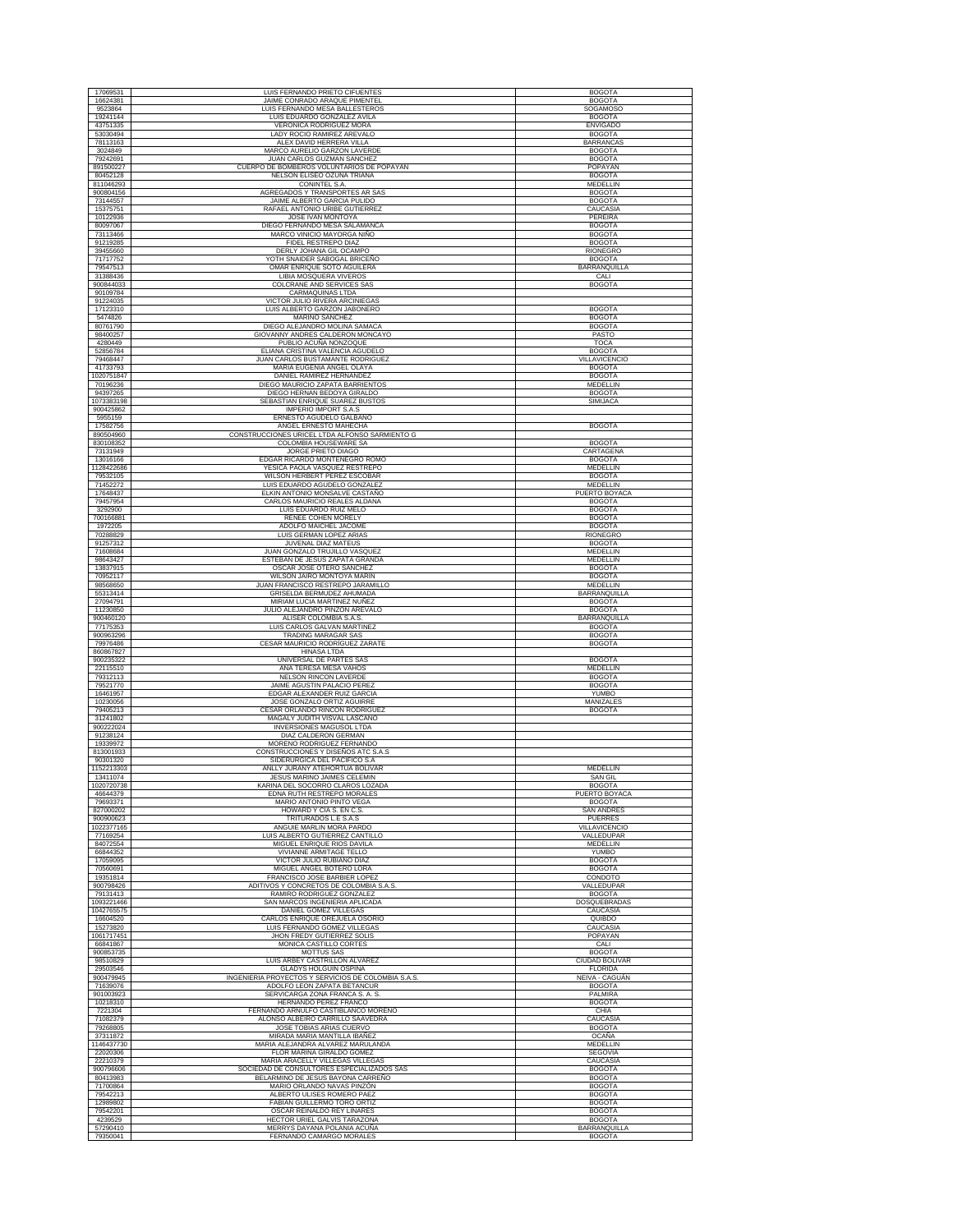| 17069531<br>16624381<br>9523864 | LUIS FERNANDO PRIETO CIFUENTES                                                      | <b>BOGOTA</b>                      |
|---------------------------------|-------------------------------------------------------------------------------------|------------------------------------|
|                                 | JAIME CONRADO ARAQUE PIMENTEL                                                       | <b>BOGOTA</b>                      |
|                                 | LUIS FERNANDO MESA BALLESTEROS                                                      | <b>SOGAMOSO</b>                    |
| 19241144<br>43751335            | LUIS EDUARDO GONZALEZ AVILA<br><b>VERONICA RODRIGUEZ MORA</b>                       | <b>BOGOTA</b><br><b>ENVIGADO</b>   |
| 53030494                        | LADY ROCIO RAMIREZ AREVALO                                                          | <b>BOGOTA</b>                      |
| 78113163                        | ALEX DAVID HERRERA VILLA                                                            | <b>BARRANCAS</b>                   |
| 3024849<br>79242691             | MARCO AURELIO GARZON LAVERDE<br>JUAN CARLOS GUZMAN SANCHEZ                          | <b>BOGOTA</b><br><b>BOGOTA</b>     |
| 891500227                       | CUERPO DE BOMBEROS VOLUNTARIOS DE POPAYAN                                           | POPAYAN                            |
| 80452128                        | NELSON ELISEO OZUNA TRIANA                                                          | <b>BOGOTA</b>                      |
| 811046293<br>900804156          | CONINTEL S.A<br>AGREGADOS Y TRANSPORTES AR SAS                                      | MEDELLIN<br><b>BOGOTA</b>          |
| 73144557                        | JAIME ALBERTO GARCIA PULIDO                                                         | <b>BOGOTA</b>                      |
| 15375751                        | RAFAEL ANTONIO URIBE GUTIERREZ                                                      | CAUCASIA                           |
| 10122936<br>80097067            | JOSE IVAN MONTOYA<br>DIEGO FERNANDO MESA SALAMANCA                                  | PEREIRA<br><b>BOGOTA</b>           |
| 73113466                        | MARCO VINICIO MAYORGA NIÑO                                                          | <b>BOGOTA</b>                      |
| 91219285                        | FIDEL RESTREPO DIAZ                                                                 | <b>BOGOTA</b>                      |
| 39455660<br>71717752            | DERLY JOHANA GIL OCAMPO<br>YOTH SNAIDER SABOGAL BRICEÑO                             | RIONEGRO<br><b>BOGOTA</b>          |
| 79547513                        | OMAR ENRIQUE SOTO AGUILERA                                                          | <b>BARRANQUILLA</b>                |
| 31388436<br>900844033           | LIBIA MOSQUERA VIVEROS<br>COLCRANE AND SERVICES SAS                                 | CALI<br><b>BOGOTA</b>              |
| 90109784                        | <b>CARMAQUINAS LTDA</b>                                                             |                                    |
| 91224035                        | VICTOR JULIO RIVERA ARCINIEGAS                                                      |                                    |
| 17123310<br>5474826             | LUIS ALBERTO GARZON JABONERO<br>MARINO SANCHEZ                                      | <b>BOGOTA</b><br><b>BOGOTA</b>     |
| 80761790                        | DIEGO ALEJANDRO MOLINA SAMACA                                                       | <b>BOGOTA</b>                      |
| 98400257                        | GIOVANNY ANDRES CALDERON MONCAYO                                                    | PASTO                              |
| 4280449<br>52856784             | PUBLIO ACUÑA NONZOQUE<br>ELIANA CRISTINA VALENCIA AGUDELO                           | <b>TOCA</b><br><b>BOGOTA</b>       |
| 79468447                        | JUAN CARLOS BUSTAMANTE RODRIGUEZ                                                    | <b>VILLAVICENCIO</b>               |
| 41733793                        | MARIA EUGENIA ANGEL OLAYA                                                           | <b>BOGOTA</b>                      |
| 1020751847<br>70196236          | DANIEL RAMIREZ HERNANDEZ<br>DIEGO MAURICIO ZAPATA BARRIENTOS                        | <b>BOGOTA</b><br>MEDELLIN          |
| 94397265                        | DIEGO HERNAN BEDOYA GIRALDO                                                         | <b>BOGOTA</b>                      |
| 1073383198                      | SEBASTIAN ENRIQUE SUAREZ BUSTOS<br><b>IMPERIO IMPORT S.A.S</b>                      | SIMIJACA                           |
| 900425862<br>5955159            | ERNESTO AGUDELO GALBANO                                                             |                                    |
| 17582756                        | ANGEL ERNESTO MAHECHA                                                               | <b>BOGOTA</b>                      |
| 890504960<br>830108352          | CONSTRUCCIONES URICEL LTDA ALFONSO SARMIENTO G<br><b>COLOMBIA HOUSEWARE SA</b>      | <b>BOGOTA</b>                      |
| 73131949                        | JORGE PRIETO DIAGO                                                                  | CARTAGENA                          |
| 13016166                        | EDGAR RICARDO MONTENEGRO ROMO                                                       | <b>BOGOTA</b>                      |
| 1128422686<br>79532105          | YESICA PAOLA VASQUEZ RESTREPO<br>WILSON HERBERT PEREZ ESCOBAR                       | MEDELLIN<br><b>BOGOTA</b>          |
| 71452272                        | LUIS EDUARDO AGUDELO GONZALEZ                                                       | MEDELLIN                           |
| 17648437                        | ELKIN ANTONIO MONSALVE CASTAÑO                                                      | PUERTO BOYACA                      |
| 79457954<br>3292900             | CARLOS MAURICIO REALES ALDANA<br>LUIS EDUARDO RUIZ MELO                             | <b>BOGOTA</b><br><b>BOGOTA</b>     |
| 700166881                       | RENEE COHEN MORELY                                                                  | <b>BOGOTA</b>                      |
| 1972205<br>70288829             | ADOLFO MAICHEL JACOME<br>LUIS GERMAN LOPEZ ARIAS                                    | <b>BOGOTA</b><br>RIONEGRO          |
| 91257312                        | <b>JUVENAL DIAZ MATEUS</b>                                                          | <b>BOGOTA</b>                      |
| 71608684<br>98643427            | JUAN GONZALO TRUJILLO VASQUEZ<br>ESTEBAN DE JESUS ZAPATA GRANDA                     | MEDELLIN<br>MEDELLIN               |
| 13837915                        | OSCAR JOSE OTERO SANCHEZ                                                            | <b>BOGOTA</b>                      |
| 70952117<br>98568650            | WILSON JAIRO MONTOYA MARIN<br>JUAN FRANCISCO RESTREPO JARAMILLO                     | <b>BOGOTA</b><br>MEDELLIN          |
| 55313414                        | GRISELDA BERMUDEZ AHUMADA                                                           | BARRANQUILLA                       |
| 27094791<br>11230850            | MIRIAM LUCIA MARTINEZ NUÑEZ<br>JULIO ALEJANDRO PINZON AREVALO                       | <b>BOGOTA</b><br><b>BOGOTA</b>     |
| 900460120                       | ALISER COLOMBIA S.A.S                                                               | BARRANQUILLA                       |
| 77175353                        | LUIS CARLOS GALVAN MARTINEZ                                                         | <b>BOGOTA</b>                      |
| 900963296<br>79976486           | TRADING MARAGAR SAS<br>CESAR MAURICIO RODRÍGUEZ ZARATE                              | <b>BOGOTA</b><br><b>BOGOTA</b>     |
| 860867827                       | <b>HINASA LTDA</b>                                                                  |                                    |
| 900235322<br>22115510           | UNIVERSAL DE PARTES SAS<br>ANA TERESA MESA VAHOS                                    | <b>BOGOTA</b><br>MEDELLIN          |
| 79312113                        | NELSON RINCON LAVERDE                                                               | <b>BOGOTA</b>                      |
|                                 |                                                                                     |                                    |
| 79521770                        | JAIME AGUSTIN PALACIO PEREZ                                                         | <b>BOGOTA</b>                      |
| 16461957<br>10230056            | EDGAR ALEXANDER RUIZ GARCIA<br>JOSE GONZALO ORTIZ AGUIRRE                           | <b>YUMBO</b><br>MANIZALES          |
| 79405213                        | CESAR ORLANDO RINCON RODRIGUEZ                                                      | <b>BOGOTA</b>                      |
| 31241802<br>900222024           | MAGALY JUDITH VISVAL LASCANO<br>INVERSIONES MAGUSOL LTDA                            |                                    |
| 91238124                        | DIAZ CALDERON GERMAN                                                                |                                    |
| 19339972                        | MORENO RODRIGUEZ FERNANDO                                                           |                                    |
| 813001933<br>90301320           | CONSTRUCCIONES Y DISEÑOS ATC S.A.S<br>SIDERURGICA DEL PACIFICO S.A                  |                                    |
| 1152213303                      | ANLLY JURANY ATEHORTUA BOLIVAR                                                      | <b>MEDELLIN</b>                    |
| 13411074<br>1020720738          | JESUS MARINO JAIMES CELEMIN<br>KARINA DEL SOCORRO CLAROS LOZADA                     | <b>SAN GIL</b><br><b>BOGOTA</b>    |
| 46644379                        | EDNA RUTH RESTREPO MORALES                                                          | PUERTO BOYACA                      |
| 79693371<br>827000202           | MARIO ANTONIO PINTO VEGA<br>HOWARD Y CIA S. EN C.S                                  | <b>BOGOTA</b><br><b>SAN ANDRES</b> |
| 900900623                       | TRITURADOS L.E S.A.S                                                                | <b>PUERRES</b>                     |
| 1022377165                      | ANGUIE MARLIN MORA PARDO                                                            | VILLAVICENCIO                      |
| 77169254<br>84072554            | LUIS ALBERTO GUTIERREZ CANTILLO<br>MIGUEL ENRIOUE RIOS DAVILA                       | VALLEDUPAR<br><b>MEDELLIN</b>      |
| 66844352                        | VIVIANNE ARMITAGE TELLO                                                             | <b>YUMBO</b><br><b>BOGOTA</b>      |
| 17059095<br>70560691            | VICTOR JULIO RUBIANO DIAZ<br>MIGUEL ANGEL BOTERO LORA                               | <b>BOGOTA</b>                      |
| 19351814                        | FRANCISCO JOSE BARBIER LOPEZ                                                        | CONDOTO                            |
| 900798426<br>79131413           | ADITIVOS Y CONCRETOS DE COLOMBIA S.A.S.<br>RAMIRO RODRIGUEZ GONZALEZ                | VALLEDUPAR<br><b>BOGOTA</b>        |
| 1093221466                      | SAN MARCOS INGENIERIA APLICADA                                                      | <b>DOSOUEBRADAS</b>                |
| 1042765575                      | DANIEL GOMEZ VILLEGAS                                                               | CAUCASIA                           |
| 16604520<br>15273820            | CARLOS ENRIQUE OREJUELA OSORIO<br>LUIS FERNANDO GOMEZ VILLEGAS                      | QUIBDO<br>CAUCASIA                 |
| 1061717451<br>66841867          | JHON FREDY GUTIERREZ SOLIS<br>MONICA CASTILLO CORTES                                | POPAYAN<br>CALI                    |
| 900853735                       | MOTTUS SAS                                                                          | <b>BOGOTA</b>                      |
| 98510829                        | LUIS ARBEY CASTRILLON ALVAREZ                                                       | <b>CIUDAD BOLIVAR</b>              |
| 29503546<br>900479945           | <b>GLADYS HOLGUIN OSPINA</b><br>INGENIERIA PROYECTOS Y SERVICIOS DE COLOMBIA S.A.S. | <b>FLORIDA</b><br>NEIVA - CAGUÁN   |
| 71639076                        | ADOLFO LEON ZAPATA BETANCUR                                                         | <b>BOGOTA</b>                      |
| 901003923<br>10218310           | SERVICARGA ZONA FRANCA S. A. S.<br>HERNANDO PEREZ FRANCO                            | PALMIRA<br><b>BOGOTA</b>           |
| 7221304                         | FERNANDO ARNULFO CASTIBLANCO MORENO                                                 | CHIA                               |
| 71082379                        | ALONSO ALBEIRO CARRILLO SAAVEDRA                                                    | CAUCASIA                           |
| 79268805<br>37311872            | JOSE TOBIAS ARIAS CUERVO<br>MIRADA MARIA MANTILLA IBAÑEZ                            | <b>BOGOTA</b><br><b>OCAÑA</b>      |
| 1146437730                      | MARIA ALEJANDRA ALVAREZ MARULANDA                                                   | MEDELLIN                           |
| 22020306<br>22210379            | FLOR MARINA GIRALDO GOMEZ<br>MARIA ARACELLY VILLEGAS VILLEGAS                       | SEGOVIA<br>CAUCASIA                |
| 900796606                       | SOCIEDAD DE CONSULTORES ESPECIALIZADOS SAS                                          | <b>BOGOTA</b>                      |
| 80413983<br>71700864            | BELARMINO DE JESUS BAYONA CARREÑO<br>MARIO ORLANDO NAVAS PINZÓN                     | <b>BOGOTA</b><br><b>BOGOTA</b>     |
| 79542213                        | ALBERTO ULISES ROMERO PAEZ                                                          | <b>BOGOTA</b>                      |
| 12989802<br>79542201            | FABIAN GUILLERMO TORO ORTIZ<br>OSCAR REINALDO REY LINARES                           | <b>BOGOTA</b><br><b>BOGOTA</b>     |
| 4239529<br>57290410             | HECTOR URIEL GALVIS TARAZONA<br>MERRYS DAYANA POLANIA ACUÑA                         | <b>BOGOTA</b><br>BARRANQUILLA      |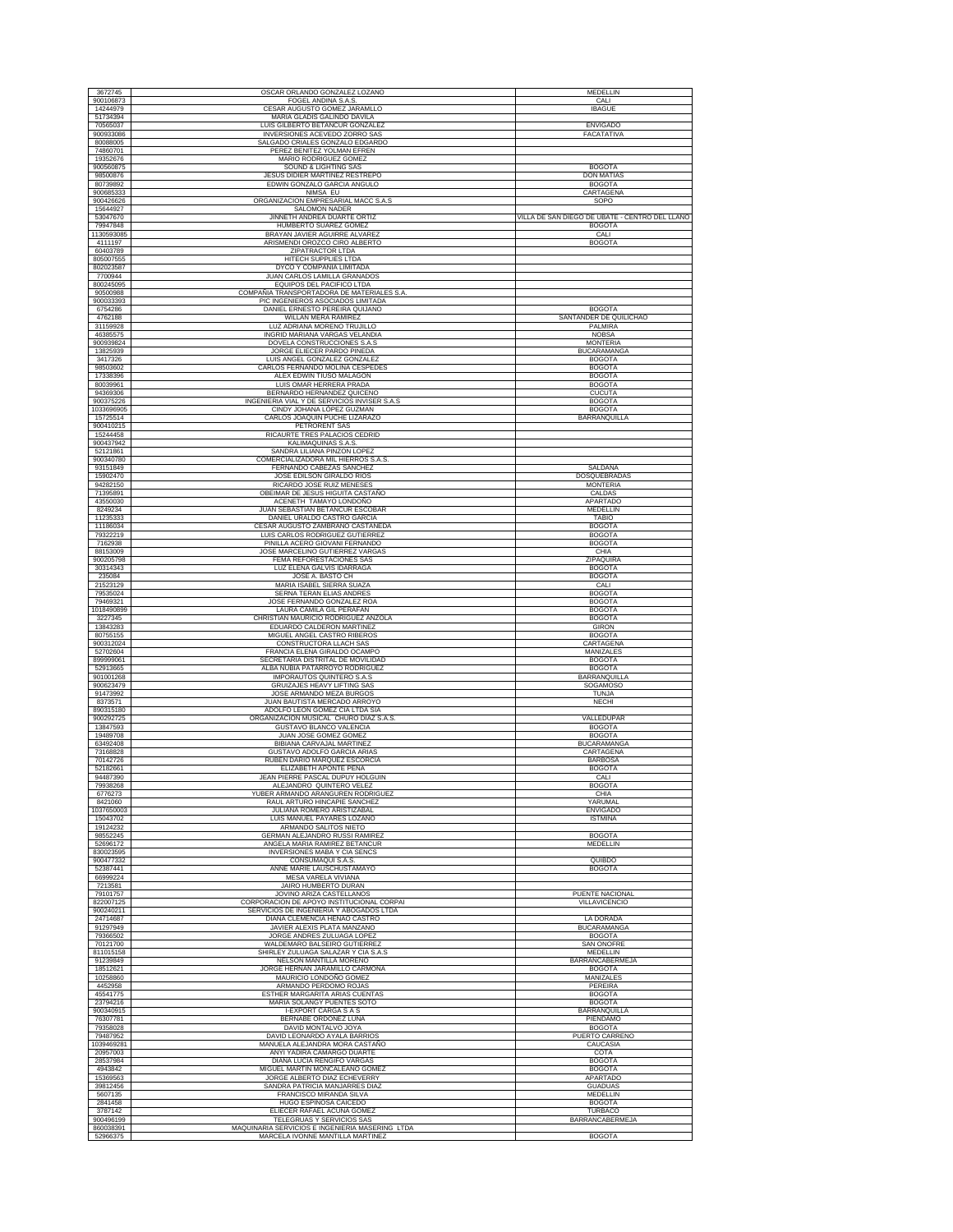| 3672745                | OSCAR ORLANDO GONZALEZ LOZANO                                                | MEDELLIN                                       |
|------------------------|------------------------------------------------------------------------------|------------------------------------------------|
| 900106873              | FOGEL ANDINA S.A.S.                                                          | CALI                                           |
| 14244979<br>51734394   | CESAR AUGUSTO GOMEZ JARAMLLO<br>MARIA GLADIS GALINDO DAVILA                  | <b>IBAGUE</b>                                  |
| 70565037               | <b>LUIS GILBERTO BETANCUR GONZALEZ</b>                                       | <b>ENVIGADO</b>                                |
| 900933086              | INVERSIONES ACEVEDO ZORRO SAS                                                | FACATATIVA                                     |
| 80088005<br>74860701   | SALGADO CRIALES GONZALO EDGARDO<br>PEREZ BENITEZ YOLMAN EFREN                |                                                |
| 19352676               | MARIO RODRIGUEZ GOMEZ                                                        |                                                |
| 900560875<br>98500876  | <b>SOUND &amp; LIGHTING SAS</b><br>JESUS DIDIER MARTINEZ RESTREPO            | <b>BOGOTA</b><br><b>DON MATIAS</b>             |
| 80739892               | EDWIN GONZALO GARCIA ANGULO                                                  | <b>BOGOTA</b>                                  |
| 900685333              | NIMSA EU                                                                     | CARTAGENA                                      |
| 900426626<br>15644927  | ORGANIZACION EMPRESARIAL MACC S.A.S<br>SALOMON NADER                         | SOPO                                           |
| 53047670               | JINNETH ANDREA DUARTE ORTIZ                                                  | VILLA DE SAN DIEGO DE UBATE - CENTRO DEL LLANO |
| 79947848               | HUMBERTO SUAREZ GOMEZ                                                        | <b>BOGOTA</b>                                  |
| 1130593085<br>4111197  | BRAYAN JAVIER AGUIRRE ALVAREZ<br>ARISMENDI OROZCO CIRO ALBERTO               | CALI<br><b>BOGOTA</b>                          |
| 60403789               | ZIPATRACTOR LTDA                                                             |                                                |
| 805007555              | HITECH SUPPLIES LTDA                                                         |                                                |
| 802023587<br>7700944   | DYCO Y COMPAÑIA LIMITADA<br>JUAN CARLOS LAMILLA GRANADOS                     |                                                |
| 800245095              | EQUIPOS DEL PACIFICO LTDA                                                    |                                                |
| 90500988               | COMPAÑIA TRANSPORTADORA DE MATERIALES S.A.                                   |                                                |
| 900033393<br>6754286   | PIC INGENIEROS ASOCIADOS LIMITADA<br>DANIEL ERNESTO PEREIRA QUIJANO          | <b>BOGOTA</b>                                  |
| 4762188                | WILLAN MERA RAMIREZ                                                          | SANTANDER DE QUILICHAO                         |
| 31159928<br>46385575   | LUZ ADRIANA MORENO TRUJILLO<br>INGRID MARIANA VARGAS VELANDIA                | <b>PALMIRA</b><br><b>NOBSA</b>                 |
| 900939824              | DOVELA CONSTRUCCIONES S.A.S                                                  | <b>MONTERIA</b>                                |
| 13825939               | JORGE ELIECER PARDO PINEDA                                                   | <b>BUCARAMANGA</b>                             |
| 3417326<br>98503602    | LUIS ANGEL GONZALEZ GONZALEZ<br>CARLOS FERNANDO MOLINA CESPEDES              | <b>BOGOTA</b><br><b>BOGOTA</b>                 |
| 17338396               | ALEX EDWIN TIUSO MALAGON                                                     | <b>BOGOTA</b>                                  |
| 80039961               | LUIS OMAR HERRERA PRADA                                                      | <b>BOGOTA</b>                                  |
| 94369306<br>900375226  | BERNARDO HERNANDEZ QUICENO<br>INGENIERIA VIAL Y DE SERVICIOS INVISER S.A.S   | <b>CUCUTA</b><br><b>BOGOTA</b>                 |
| 1033696905             | CINDY JOHANA LÓPEZ GUZMAN                                                    | <b>BOGOTA</b>                                  |
| 15725514               | CARLOS JOAQUIN PUCHE LIZARAZO                                                | <b>BARRANQUILLA</b>                            |
| 900410215<br>15244458  | PETRORENT SAS<br>RICAURTE TRES PALACIOS CEDRID                               |                                                |
| 900437942              | KALIMAQUINAS S.A.S.                                                          |                                                |
| 52121861               | SANDRA LILIANA PINZON LOPEZ<br>COMERCIALIZADORA MIL HIERROS S.A.S            |                                                |
| 900340780<br>93151849  | FERNANDO CABEZAS SANCHEZ                                                     | SALDAÑA                                        |
| 15902470               | JOSE EDILSON GIRALDO RIOS                                                    | DOSQUEBRADAS                                   |
| 94282150<br>71395891   | RICARDO JOSE RUIZ MENESES<br>OBEIMAR DE JESUS HIGUITA CASTAÑO                | <b>MONTERIA</b><br>CALDAS                      |
| 43550030               | ACENETH TAMAYO LONDOÑO                                                       | <b>APARTADO</b>                                |
| 8249234                | JUAN SEBASTIAN BETANCUR ESCOBAR                                              | MEDELLIN                                       |
| 11235333<br>11186034   | DANIEL URALDO CASTRO GARCIA<br>CESAR AUGUSTO ZAMBRANO CASTAÑEDA              | TABIO<br><b>BOGOTA</b>                         |
| 79322219               | LUIS CARLOS RODRIGUEZ GUTIERREZ                                              | <b>BOGOTA</b>                                  |
| 7162938                | PINILLA ACERO GIOVANI FERNANDO                                               | <b>BOGOTA</b>                                  |
| 88153009<br>900205798  | JOSE MARCELINO GUTIERREZ VARGAS<br>FEMA REFORESTACIONES SAS                  | CHIA<br>ZIPAQUIRA                              |
| 30314343               | LUZ ELENA GALVIS IDARRAGA                                                    | <b>BOGOTA</b>                                  |
| 235084                 | JOSE A. BASTO CH                                                             | <b>BOGOTA</b>                                  |
| 21523129<br>79535024   | MARIA ISABEL SIERRA SUAZA<br>SERNA TERAN ELIAS ANDRES                        | CALI<br><b>BOGOTA</b>                          |
| 79469321               | JOSE FERNANDO GONZALEZ ROA                                                   | <b>BOGOTA</b>                                  |
| 1018490899             |                                                                              |                                                |
|                        | LAURA CAMILA GIL PERAFAN                                                     | <b>BOGOTA</b>                                  |
| 3227345<br>13843283    | CHRISTIAN MAURICIO RODRIGUEZ ANZOLA<br>EDUARDO CALDERON MARTINEZ             | <b>BOGOTA</b><br><b>GIRON</b>                  |
| 80755155               | MIGUEL ANGEL CASTRO RIBEROS                                                  | <b>BOGOTA</b>                                  |
| 900312024              | CONSTRUCTORA LLACH SAS                                                       | CARTAGENA                                      |
| 52702604<br>899999061  | FRANCIA ELENA GIRALDO OCAMPO<br>SECRETARIA DISTRITAL DE MOVILIDAD            | MANIZALES<br><b>BOGOTA</b>                     |
| 52913665               | ALBA NUBIA PATARROYO RODRIGUEZ                                               | <b>BOGOTA</b>                                  |
| 901001268<br>900623479 | IMPORAUTOS QUINTERO S.A.S<br>GRUIZAJES HEAVY LIFTING SAS                     | BARRANQUILLA<br>SOGAMOSO                       |
| 91473992               | JOSE ARMANDO MEZA BURGOS                                                     | TUNJA                                          |
| 8373571                | JUAN BAUTISTA MERCADO ARROYO                                                 | <b>NECHI</b>                                   |
| 890315180<br>900292725 | ADOLFO LEON GOMEZ CIA LTDA SIA<br>ORGANIZACION MUSICAL CHURO DIAZ S.A.S      | VALLEDUPAR                                     |
| 13847593               | GUSTAVO BLANCO VALENCIA                                                      | <b>BOGOTA</b>                                  |
| 19489708<br>63492408   | JUAN JOSE GOMEZ GOMEZ<br><b>BIBIANA CARVAJAL MARTINEZ</b>                    | <b>BOGOTA</b><br><b>BUCARAMANGA</b>            |
| 73168828               | GUSTAVO ADOLFO GARCIA ARIAS                                                  | CARTAGENA                                      |
| 70142726<br>52182661   | RUBEN DARIO MARQUEZ ESCORCIA<br>ELIZABETH APONTE PEÑA                        | <b>BARBOSA</b>                                 |
| 94487390               | JEAN PIERRE PASCAL DUPUY HOLGUIN                                             | <b>BOGOTA</b><br>CALI                          |
| 79938268               | ALEJANDRO QUINTERO VELEZ                                                     | <b>BOGOTA</b>                                  |
| 6776273<br>8421060     | YUBER ARMANDO ARANGUREN RODRIGUEZ<br>RAUL ARTURO HINCAPIE SANCHEZ            | CHIA<br>YARUMAL                                |
| 1037650003             | JULIANA ROMERO ARISTIZABAL                                                   | <b>ENVIGADO</b>                                |
| 15043702               | LUIS MANUEL PAYARES LOZANO                                                   | <b>ISTMINA</b>                                 |
| 19124232<br>98552245   | ARMANDO SALITOS NIETO<br>GERMAN ALEJANDRO RUSSI RAMIREZ                      | <b>BOGOTA</b>                                  |
| 52696172               | ANGELA MARIA RAMIREZ BETANCUR                                                | MEDELLIN                                       |
| 830023595<br>900477332 | INVERSIONES MABA Y CIA SENCS                                                 | <b>OUIBDO</b>                                  |
| 52387441               | CONSUMAQUI S.A.S.<br>ANNE MARIE LAUSCHUSTAMAYO                               | <b>BOGOTA</b>                                  |
| 66999224               | MESA VARELA VIVIANA                                                          |                                                |
| 7213581<br>79101757    | <b>JAIRO HUMBERTO DURAN</b><br>JOVINO ARIZA CASTELLANOS                      | PUENTE NACIONAL                                |
| 822007125              | CORPORACION DE APOYO INSTITUCIONAL CORPAI                                    | <b>VILLAVICENCIO</b>                           |
| 900240211              | SERVICIOS DE INGENIERIA Y ABOGADOS LTDA<br>DIANA CLEMENCIA HENAO CASTRO      | LA DORADA                                      |
| 24714687<br>91297949   | JAVIER ALEXIS PLATA MANZANO                                                  | <b>BUCARAMANGA</b>                             |
| 79366502               | JORGE ANDRES ZULUAGA LOPEZ                                                   | <b>BOGOTA</b>                                  |
| 70121700<br>811015158  | WALDEMARO BALSEIRO GUTIERREZ<br>SHIRLEY ZULUAGA SALAZAR Y CIA S.A.S          | <b>SAN ONOFRE</b><br>MEDELLIN                  |
| 91239849               | NELSON MANTILLA MORENO                                                       | <b>BARRANCABERMEJA</b>                         |
| 18512621               | JORGE HERNAN JARAMILLO CARMONA                                               | <b>BOGOTA</b>                                  |
| 10258860<br>4452958    | MAURICIO LONDOÑO GOMEZ<br>ARMANDO PERDOMO ROJAS                              | MANIZALES<br>PEREIRA                           |
| 45541775               | ESTHER MARGARITA ARIAS CUENTAS                                               | <b>BOGOTA</b>                                  |
| 23794216               | MARIA SOLANGY PUENTES SOTO                                                   | <b>BOGOTA</b>                                  |
| 900340915<br>76307781  | <b>I-EXPORT CARGA S A S</b><br>BERNABE ORDOÑEZ LUNA                          | BARRANQUILLA<br>PIENDAMO                       |
| 79358028               | DAVID MONTALVO JOYA                                                          | <b>BOGOTA</b>                                  |
| 79487952               | DAVID LEONARDO AYALA BARRIOS                                                 | PUERTO CARRENO                                 |
| 1039469281<br>20957003 | MANUELA ALEJANDRA MORA CASTAÑO<br>ANYI YADIRA CAMARGO DUARTE                 | CAUCASIA<br>COTA                               |
| 28537984               | DIANA LUCIA RENGIFO VARGAS                                                   | <b>BOGOTA</b>                                  |
| 4943842                | MIGUEL MARTIN MONCALEANO GOMEZ                                               | <b>BOGOTA</b><br><b>APARTADO</b>               |
| 15369563<br>39812456   | JORGE ALBERTO DIAZ ECHEVERRY<br>SANDRA PATRICIA MANJARRES DIAZ               | <b>GUADUAS</b>                                 |
| 5607135                | FRANCISCO MIRANDA SILVA                                                      | MEDELLIN                                       |
| 2841458<br>3787142     | HUGO ESPINOSA CAICEDO<br>ELIECER RAFAEL ACUÑA GOMEZ                          | <b>BOGOTA</b><br><b>TURBACO</b>                |
| 900496199<br>860038391 | TELEGRUAS Y SERVICIOS SAS<br>MAQUINARIA SERVICIOS E INGENIERIA MASERING LTDA | <b>BARRANCABERMEJA</b>                         |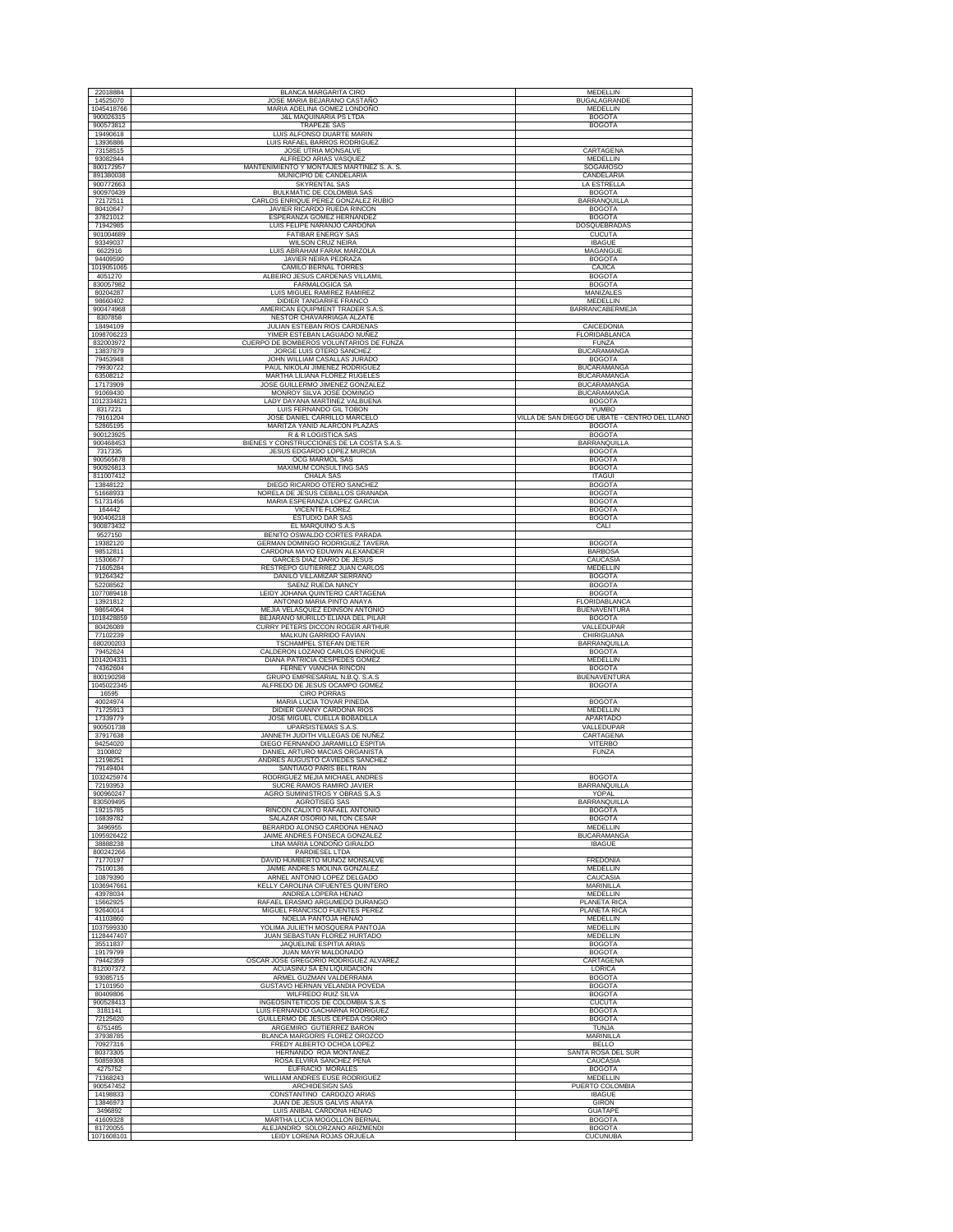| 22018884                | BLANCA MARGARITA CIRO                                                | <b>MEDELLIN</b>                                |
|-------------------------|----------------------------------------------------------------------|------------------------------------------------|
| 14525070                | JOSE MARIA BEJARANO CASTAÑO                                          | <b>BUGALAGRANDE</b>                            |
| 1045418766<br>900026315 | MARIA ADELINA GOMEZ LONDOÑO                                          | MEDELLIN                                       |
| 900573812               | <b>J&amp;L MAQUINARIA PS LTDA</b><br><b>TRAPEZE SAS</b>              | <b>BOGOTA</b><br><b>BOGOTA</b>                 |
| 19490618                | LUIS ALFONSO DUARTE MARIN                                            |                                                |
| 13936886                | LUIS RAFAEL BARROS RODRIGUEZ                                         |                                                |
| 73158515<br>93082844    | JOSE UTRIA MONSALVE<br>ALFREDO ARIAS VASQUEZ                         | CARTAGENA<br>MEDELLIN                          |
| 800172957               | MANTENIMIENTO Y MONTAJES MARTINEZ S. A. S.                           | SOGAMOSO                                       |
| 891380038               | MUNICIPIO DE CANDELARIA                                              | CANDELARIA                                     |
| 900772663<br>900970439  | <b>SKYRENTAL SAS</b><br>BULKMATIC DE COLOMBIA SAS                    | LA ESTRELLA<br><b>BOGOTA</b>                   |
| 72172511                | CARLOS ENRIQUE PEREZ GONZALEZ RUBIO                                  | <b>BARRANQUILLA</b>                            |
| 80410647                | JAVIER RICARDO RUEDA RINCON                                          | <b>BOGOTA</b>                                  |
| 37821012<br>71942985    | ESPERANZA GOMEZ HERNANDEZ<br>LUIS FELIPE NARANJO CARDONA             | <b>BOGOTA</b><br>DOSQUEBRADAS                  |
| 901004689               | <b>FATIBAR ENERGY SAS</b>                                            | <b>CUCUTA</b>                                  |
| 93349037                | WILSON CRUZ NEIRA                                                    | <b>IBAGUE</b>                                  |
| 6622916                 | LUIS ABRAHAM FARAK MARZOLA<br>JAVIER NEIRA PEDRAZA                   | MAGANGUE                                       |
| 94409590<br>1019051065  | CAMILO BERNAL TORRES                                                 | <b>BOGOTA</b><br>CAJICA                        |
| 4051270                 | ALBEIRO JESUS CARDENAS VILLAMIL                                      | <b>BOGOTA</b>                                  |
| 830057982<br>80204287   | <b>FARMALOGICA SA</b><br>LUIS MIGUEL RAMIREZ RAMIREZ                 | <b>BOGOTA</b><br>MANIZALES                     |
| 98660402                | DIDIER TANGARIFE FRANCO                                              | MEDELLIN                                       |
| 900474968               | AMERICAN EQUIPMENT TRADER S.A.S.                                     | BARRANCABERMEJA                                |
| 8307858<br>18494109     | NESTOR CHAVARRIAGA ALZATE<br>JULIAN ESTEBAN RIOS CARDENAS            | CAICEDONIA                                     |
| 1098706223              | YIMER ESTEBAN LAGUADO NUÑEZ                                          | FLORIDABLANCA                                  |
| 832003972               | CUERPO DE BOMBEROS VOLUNTARIOS DE FUNZA                              | <b>FUNZA</b>                                   |
| 13837879<br>79453948    | JORGE LUIS OTERO SANCHEZ<br>JOHN WILLIAM CASALLAS JURADO             | <b>BUCARAMANGA</b><br><b>BOGOTA</b>            |
| 79930722                | PAUL NIKOLAI JIMENEZ RODRIGUEZ                                       | <b>BUCARAMANGA</b>                             |
| 63508212                | MARTHA LILIANA FLOREZ RUGELES                                        | <b>BUCARAMANGA</b>                             |
| 17173909<br>91069430    | JOSE GUILLERMO JIMENEZ GONZALEZ                                      | <b>BUCARAMANGA</b>                             |
| 1012334821              | MONROY SILVA JOSE DOMINGO<br>LADY DAYANA MARTINEZ VALBUENA           | <b>BUCARAMANGA</b><br><b>BOGOTA</b>            |
| 8317221                 | LUIS FERNANDO GIL TOBON                                              | <b>YUMBO</b>                                   |
| 79161204                | JOSE DANIEL CARRILLO MARCELO                                         | VILLA DE SAN DIEGO DE UBATE - CENTRO DEL LLANO |
| 52865195<br>900123925   | MARITZA YANID ALARCON PLAZAS<br>R & R LOGISTICA SAS                  | <b>BOGOTA</b><br><b>BOGOTA</b>                 |
| 900468453               | BIENES Y CONSTRUCCIONES DE LA COSTA S.A.S.                           | BARRANQUILLA                                   |
| 7317335                 | JESUS EDGARDO LOPEZ MURCIA<br><b>OCG MARMOL SAS</b>                  | <b>BOGOTA</b>                                  |
| 900565678<br>900926813  | MAXIMUM CONSULTING SAS                                               | <b>BOGOTA</b><br><b>BOGOTA</b>                 |
| 811007412               | <b>CHALA SAS</b>                                                     | <b>ITAGUI</b>                                  |
| 13848122                | DIEGO RICARDO OTERO SANCHEZ                                          | <b>BOGOTA</b>                                  |
| 51668933<br>51731456    | NORELA DE JESUS CEBALLOS GRANADA<br>MARIA ESPERANZA LOPEZ GARCIA     | <b>BOGOTA</b><br><b>BOGOTA</b>                 |
| 164442                  | VICENTE FLOREZ                                                       | <b>BOGOTA</b>                                  |
| 900406218               | <b>ESTUDIO DAR SAS</b>                                               | <b>BOGOTA</b>                                  |
| 900873432<br>9527150    | EL MARQUIÑO S.A.S<br>BENITO OSWALDO CORTES PARADA                    | CALI                                           |
| 19382120                | GERMAN DOMINGO RODRIGUEZ TAVERA                                      | <b>BOGOTA</b>                                  |
| 98512811                | CARDONA MAYO EDUWIN ALEXANDER                                        | <b>BARBOSA</b>                                 |
| 15306677<br>71605284    | GARCES DIAZ DARIO DE JESUS<br>RESTREPO GUTIERREZ JUAN CARLOS         | CAUCASIA<br>MEDELLIN                           |
| 91264342                | DANILO VILLAMIZAR SERRANO                                            | <b>BOGOTA</b>                                  |
| 52208562                | SAENZ RUEDA NANCY                                                    | <b>BOGOTA</b>                                  |
| 1077089418<br>13921812  | LEIDY JOHANA QUINTERO CARTAGENA<br>ANTONIO MARIA PINTO ANAYA         | <b>BOGOTA</b><br>FLORIDABLANCA                 |
| 98654064                | MEJIA VELASQUEZ EDINSON ANTONIO                                      | <b>BUENAVENTURA</b>                            |
| 1018428859              | BEJARANO MURILLO ELIANA DEL PILAR                                    | <b>BOGOTA</b>                                  |
| 80426089                | CURRY PETERS DICCON ROGER ARTHUR                                     | VALLEDUPAR                                     |
| 77102239<br>680200203   | MALKUN GARRIDO FAVIAN<br>TSCHAMPEL STEFAN DIETER                     | CHIRIGUANA<br>BARRANQUILLA                     |
| 79452624                | CALDERON LOZANO CARLOS ENRIQUE                                       | <b>BOGOTA</b>                                  |
| 1014204331              | DIANA PATRICIA CESPEDES GOMEZ                                        | MEDELLIN                                       |
| 74362604<br>800190298   | FERNEY VIANCHA RINCON<br>GRUPO EMPRESARIAL N.B.Q. S.A.S              | <b>BOGOTA</b><br><b>BUENAVENTURA</b>           |
| 1045022345              | ALFREDO DE JESUS OCAMPO GOMEZ                                        | <b>BOGOTA</b>                                  |
| 16595<br>40024974       | <b>CIRO PORRAS</b><br>MARIA LUCIA TOVAR PINEDA                       | <b>BOGOTA</b>                                  |
| 71725913                | DIDIER GIANNY CARDONA RIOS                                           | MEDELLIN                                       |
| 17339779                | JOSE MIGUEL CUELLA BOBADILLA                                         | <b>APARTADO</b>                                |
| 900501738<br>37917638   | <b>UPARSISTEMAS S.A.S</b><br>JANNETH JUDITH VILLEGAS DE NUÑEZ        | VALLEDUPAR<br>CARTAGENA                        |
| 94254020                | DIEGO FERNANDO JARAMILLO ESPITIA                                     | <b>VITERBO</b>                                 |
| 3100802                 | DANIEL ARTURO MACIAS ORGANISTA                                       | <b>FUNZA</b>                                   |
| 12198251<br>79149404    | ANDRES AUGUSTO CAVIEDES SANCHEZ<br>SANTIAGO PARIS BELTRAN            |                                                |
| 1032425974              | RODRIGUEZ MEJIA MICHAEL ANDRES                                       | <b>BOGOTA</b>                                  |
| 72193953                | SUCRE RAMOS RAMIRO JAVIER                                            | BARRANQUILLA                                   |
| 900960247<br>830509495  | AGRO SUMINISTROS Y OBRAS S.A.S<br><b>AGROTISEG SAS</b>               | YOPAL<br><b>BARRANQUILLA</b>                   |
| 19215785                | RINCON CALIXTO RAFAEL ANTONIO                                        | <b>BOGOTA</b>                                  |
| 16839782<br>3496955     | SALAZAR OSORIO NILTON CESAR<br>BERARDO ALONSO CARDONA HENAO          | <b>BOGOTA</b><br>MEDELLIN                      |
| 1095926422              | JAIME ANDRES FONSECA GONZALEZ                                        | <b>BUCARAMANGA</b>                             |
| 38888238                | LINA MARIA LONDOÑO GIRALDO                                           | <b>IBAGUE</b>                                  |
| 800242266<br>71770197   | PARDIESEL LTDA<br>DAVID HUMBERTO MUÑOZ MONSALVE                      | FREDONIA                                       |
| 75100136                | JAIME ANDRES MOLINA GONZALEZ                                         | MEDELLIN                                       |
| 10879390                | ARNEL ANTONIO LOPEZ DELGADO                                          | CAUCASIA                                       |
| 1036947661<br>43978034  | KELLY CAROLINA CIFUENTES QUINTERO<br>ANDREA LOPERA HENAO             | MARINILLA<br>MEDELLIN                          |
| 15662925                | RAFAEL ERASMO ARGUMEDO DURANGO                                       | PLANETA RICA                                   |
| 92640014                | MIGUEL FRANCISCO FUENTES PEREZ                                       | PLANETA RICA                                   |
| 41103860<br>1037599330  | NOELIA PANTOJA HENAO<br>YOLIMA JULIETH MOSQUERA PANTOJA              | MEDELLIN<br>MEDELLIN                           |
| 1128447407              | JUAN SEBASTIAN FLOREZ HURTADO                                        | <b>MEDELLIN</b>                                |
| 35511837                | JAQUELINE ESPITIA ARIAS                                              | <b>BOGOTA</b>                                  |
| 19179799<br>79442359    | <b>JUAN MAYR MALDONADO</b><br>OSCAR JOSE GREGORIO RODRIGUEZ ALVAREZ  | <b>BOGOTA</b><br>CARTAGENA                     |
| 812007372               | ACUASINU SA EN LIQUIDACION                                           | LORICA                                         |
| 93085715                | ARMEL GUZMAN VALDERRAMA                                              | <b>BOGOTA</b>                                  |
| 17101950<br>80409806    | GUSTAVO HERNAN VELANDIA POVEDA<br>WILFREDO RUIZ SILVA                | <b>BOGOTA</b><br><b>BOGOTA</b>                 |
| 900528413               | INGEOSINTETICOS DE COLOMBIA S.A.S                                    | <b>CUCUTA</b>                                  |
| 3181141<br>72125620     | LUIS FERNANDO GACHARNA RODRIGUEZ<br>GUILLERMO DE JESUS CEPEDA OSORIO | <b>BOGOTA</b><br><b>BOGOTA</b>                 |
| 6751485                 | ARGEMIRO GUTIERREZ BARON                                             | TUNJA                                          |
| 37938785                | BLANCA MARGORIS FLOREZ OROZCO                                        | <b>MARINILLA</b>                               |
| 70927316<br>80373305    | FREDY ALBERTO OCHOA LOPEZ<br>HERNANDO ROA MONTAÑEZ                   | <b>BELLO</b>                                   |
| 50859308                | ROSA ELVIRA SANCHEZ PEÑA                                             | SANTA ROSA DEL SUR<br>CAUCASIA                 |
| 4275752                 | EUFRACIO MORALES                                                     | <b>BOGOTA</b>                                  |
| 71368243                | WILLIAM ANDRES EUSE RODRIGUEZ                                        | MEDELLIN                                       |
| 900547452<br>14198833   | ARCHIDESIGN SAS<br>CONSTANTINO CARDOZO ARIAS                         | PUERTO COLOMBIA<br><b>IBAGUE</b>               |
| 13846973                | JUAN DE JESUS GALVIS ANAYA                                           | <b>GIRON</b>                                   |
| 3496892                 | LUIS ANIBAL CARDONA HENAO                                            | <b>GUATAPE</b>                                 |
| 41609328<br>81720055    | MARTHA LUCIA MOGOLLON BERNAI<br>ALEJANDRO SOLORZANO ARIZMENDI        | <b>BOGOTA</b><br><b>BOGOTA</b>                 |
| 1071608101              | LEIDY LORENA ROJAS ORJUELA                                           | <b>CUCUNUBA</b>                                |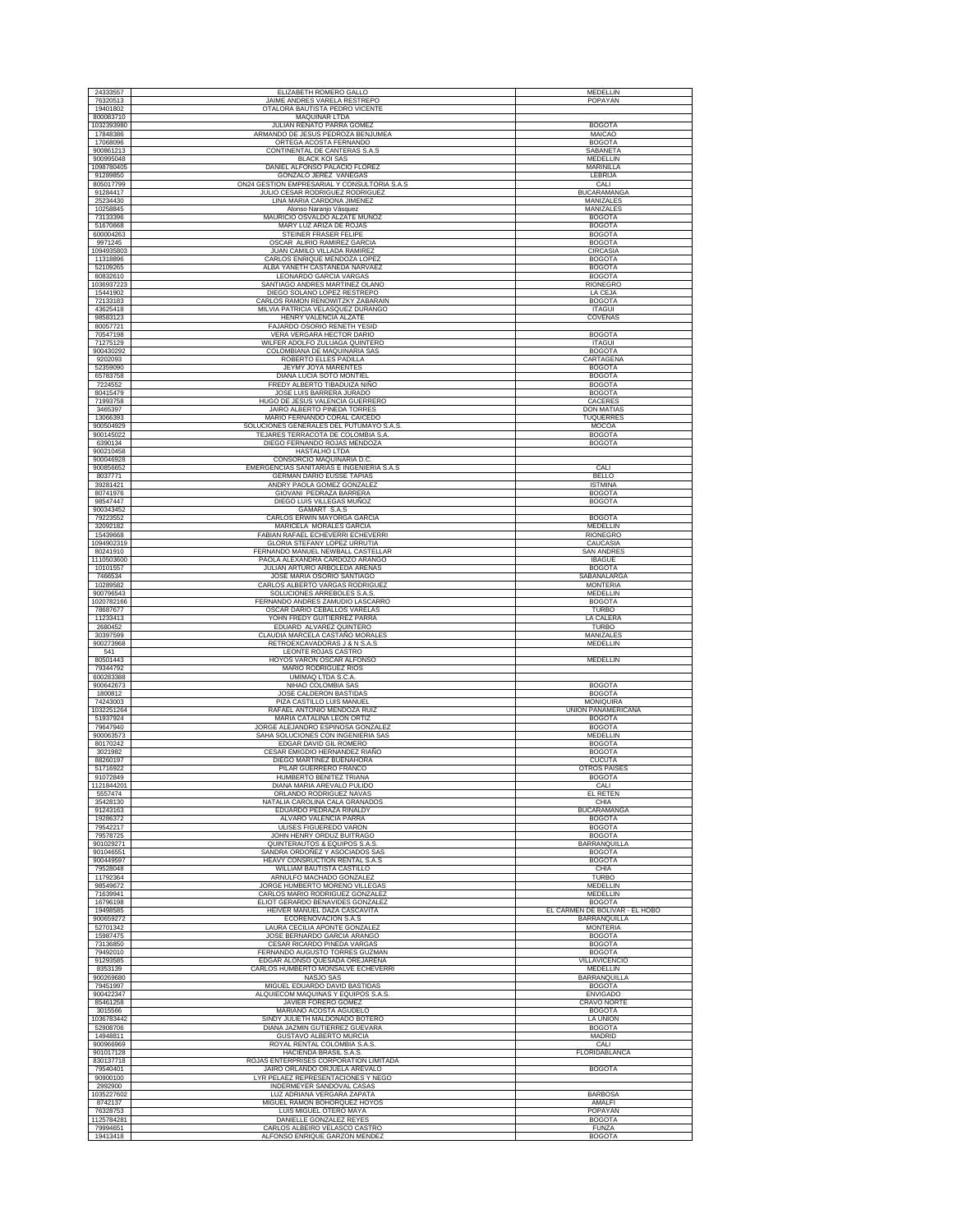| 24333557                | ELIZABETH ROMERO GALLO                                                | MEDELLIN                            |
|-------------------------|-----------------------------------------------------------------------|-------------------------------------|
| 76320513                | JAIME ANDRES VARELA RESTREPO                                          | POPAYAN                             |
| 19401802                | OTALORA BAUTISTA PEDRO VICENTE                                        |                                     |
| 800083710               | MAQUINAR LTDA                                                         |                                     |
| 1032393980<br>17848386  | JULIAN RENATO PARRA GOMEZ<br>ARMANDO DE JESUS PEDROZA BENJUMEA        | <b>BOGOTA</b><br>MAICAO             |
| 17068096                | ORTEGA ACOSTA FERNANDO                                                | <b>BOGOTA</b>                       |
| 900861213               | CONTINENTAL DE CANTERAS S.A.S                                         | SABANETA                            |
| 900995048               | <b>BLACK KOI SAS</b>                                                  | MEDELLIN                            |
| 1098780405<br>91289850  | DANIEL ALFONSO PALACIO FLOREZ<br>GONZALO JEREZ VANEGAS                | MARINILLA                           |
| 805017799               | ON24 GESTION EMPRESARIAL Y CONSULTORIA S.A.S.                         | LEBRIJA<br>CALI                     |
| 91284417                | JULIO CESAR RODRIGUEZ RODRIGUEZ                                       | <b>BUCARAMANGA</b>                  |
| 25234430                | LINA MARIA CARDONA JIMENEZ                                            | <b>MANIZALES</b>                    |
| 10258845                | Alonso Naranjo Vásquez                                                | MANIZALES                           |
| 73133396<br>51670668    | MAURICIO OSVALDO ALZATE MUÑOZ<br>MARY LUZ ARIZA DE ROJAS              | <b>BOGOTA</b><br><b>BOGOTA</b>      |
| 600004263               | STEINER FRASER FELIPE                                                 | <b>BOGOTA</b>                       |
| 9971245                 | OSCAR ALIRIO RAMIREZ GARCIA                                           | <b>BOGOTA</b>                       |
| 1094935803              | JUAN CAMILO VILLADA RAMIREZ                                           | CIRCASIA                            |
| 11318896                | CARLOS ENRIQUE MENDOZA LOPEZ<br>ALBA YANETH CASTAÑEDA NARVAEZ         | <b>BOGOTA</b>                       |
| 52109265<br>80832610    | LEONARDO GARCIA VARGAS                                                | <b>BOGOTA</b><br><b>BOGOTA</b>      |
| 1036937223              | SANTIAGO ANDRES MARTINEZ OLANO                                        | RIONEGRO                            |
| 15441902                | DIEGO SOLANO LOPEZ RESTREPO                                           | LA CEJA                             |
| 72133183                | CARLOS RAMON RENOWITZKY ZABARAIN<br>MILVIA PATRICIA VELASQUEZ DURANGO | <b>BOGOTA</b>                       |
| 43625418<br>98583123    | HENRY VALENCIA ALZATE                                                 | <b>ITAGUI</b><br>COVEÑAS            |
| 80057721                | FAJARDO OSORIO RENETH YESID                                           |                                     |
| 70547198                | VERA VERGARA HECTOR DARIO                                             | <b>BOGOTA</b>                       |
| 71275129                | WILFER ADOLFO ZULUAGA QUINTERO                                        | <b>ITAGUI</b>                       |
| 900430292<br>9202093    | COLOMBIANA DE MAQUINARIA SAS<br>ROBERTO ELLES PADILLA                 | <b>BOGOTA</b><br>CARTAGENA          |
| 52359090                | JEYMY JOYA MARENTES                                                   | <b>BOGOTA</b>                       |
| 65783758                | DIANA LUCIA SOTO MONTIEL                                              | <b>BOGOTA</b>                       |
| 7224552                 | FREDY ALBERTO TIBADUIZA NIÑO                                          | <b>BOGOTA</b>                       |
| 80415479<br>71993758    | JOSE LUIS BARRERA JURADO<br>HUGO DE JESUS VALENCIA GUERRERO           | <b>BOGOTA</b><br>CACERES            |
| 3465397                 | JAIRO ALBERTO PINEDA TORRES                                           | <b>DON MATIAS</b>                   |
| 13066393                | MARIO FERNANDO CORAL CAICEDO                                          | TUQUERRES                           |
| 900504929               | SOLUCIONES GENERALES DEL PUTUMAYO S.A.S                               | MOCOA                               |
| 900145022<br>6390134    | TEJARES TERRACOTA DE COLOMBIA S.A<br>DIEGO FERNANDO ROJAS MENDOZA     | <b>BOGOTA</b><br><b>BOGOTA</b>      |
| 900210458               | HASTALHO LTDA                                                         |                                     |
| 900046928               | CONSORCIO MAQUINARIA D.C                                              |                                     |
| 900856652               | EMERGENCIAS SANITARIAS E INGENIERIA S.A.S                             | CALI                                |
| 8037771<br>39281421     | <b>GERMAN DARIO EUSSE TAPIAS</b><br>ANDRY PAOLA GOMEZ GONZALE         | <b>BELLO</b><br><b>ISTMINA</b>      |
| 80741976                | GIOVANI PEDRAZA BARRERA                                               | <b>BOGOTA</b>                       |
| 98547447                | DIEGO LUIS VILLEGAS MUÑOZ                                             | <b>BOGOTA</b>                       |
| 900343452<br>79223552   | GAMART S.A.S                                                          | <b>BOGOTA</b>                       |
| 32092182                | CARLOS ERWIN MAYORGA GARCIA<br>MARICELA MORALES GARCIA                | MEDELLIN                            |
| 15439668                | FABIAN RAFAEL ECHEVERRI ECHEVERRI                                     | <b>RIONEGRO</b>                     |
| 1094902319              | GLORIA STEFANY LOPEZ URRUTIA                                          | CAUCASIA                            |
| 80241910<br>1110503600  | FERNANDO MANUEL NEWBALL CASTELLAR<br>PAOLA ALEXANDRA CARDOZO ARANGO   | <b>SAN ANDRES</b><br><b>IBAGUE</b>  |
| 10101557                | JULIAN ARTURO ARBOLEDA ARENAS                                         | <b>BOGOTA</b>                       |
| 7466534                 | JOSE MARIA OSORIO SANTIAGO                                            | SABANALARGA                         |
| 10289582                | CARLOS ALBERTO VARGAS RODRIGUEZ                                       | <b>MONTERIA</b>                     |
| 900796543<br>1020782166 | SOLUCIONES ARREBOLES S.A.S<br>FERNANDO ANDRES ZAMUDIO LASCARRO        | MEDELLIN<br><b>BOGOTA</b>           |
| 78687677                | OSCAR DARIO CEBALLOS VARELAS                                          | <b>TURBO</b>                        |
| 11233413                | YOHN FREDY GUITIERREZ PARRA                                           | LA CALERA                           |
| 2680452                 | EDUARD ALVAREZ QUINTERO                                               | <b>TURBO</b>                        |
| 30397599<br>900273968   | CLAUDIA MARCELA CASTAÑO MORALES<br>RETROEXCAVADORAS J & N S.A.S       | MANIZALES<br>MEDELLIN               |
| 541                     | LEONTE ROJAS CASTRO                                                   |                                     |
| 80501443                | HOYOS VARON OSCAR ALFONSO                                             | MEDELLIN                            |
| 79344792<br>600283388   | MARIO RODRIGUEZ RIOS<br>UMIMAQ LTDA S.C.A                             |                                     |
| 900642673               | NIHAO COLOMBIA SAS                                                    | <b>BOGOTA</b>                       |
| 1800812                 | JOSE CALDERON BASTIDAS                                                | <b>BOGOTA</b>                       |
| 74243003<br>1032251264  | PIZA CASTILLO LUIS MANUEI<br>RAFAEL ANTONIO MENDOZA RUIZ              | MONIQUIRA<br>UNION PANAMERICANA     |
| 51937924                | MARIA CATALINA LEON ORTIZ                                             | <b>BOGOTA</b>                       |
| 79647940                | JORGE ALEJANDRO ESPINOSA GONZALEZ                                     | <b>BOGOTA</b>                       |
| 900063573<br>80170242   | SAHA SOLUCIONES CON INGENIERIA SAS                                    | MEDELLIN                            |
| 3021982                 | EDGAR DAVID GIL ROMERO<br>CESAR EMIGDIO HERNANDEZ RIAÑO               | <b>BOGOTA</b><br><b>BOGOTA</b>      |
| 88260197                | DIEGO MARTINEZ BUENAHORA                                              | <b>CUCUTA</b>                       |
| 51716922                | PILAR GUERRERO FRANCO                                                 | OTROS PAISES                        |
| 91072849<br>1121844201  | HUMBERTO BENITEZ TRIANA<br>DIANA MARIA AREVALO PULIDO                 | <b>BOGOTA</b><br>CALI               |
| 5557474                 | ORLANDO RODRIGUEZ NAVAS                                               | <b>EL RETEN</b>                     |
| 35428130                | NATALIA CAROLINA CALA GRANADOS                                        | CHIA                                |
| 91243163                | EDUARDO PEDRAZA RINALDY                                               | <b>BUCARAMANGA</b>                  |
| 19286372<br>79542217    | ALVARO VALENCIA PARRA<br>ULISES FIGUEREDO VARON                       | <b>BOGOTA</b><br><b>BOGOTA</b>      |
| 79578725                | JOHN HENRY ORDUZ BUITRAGO                                             | <b>BOGOTA</b>                       |
| 901029271               | QUINTERAUTOS & EQUIPOS S.A.S                                          | BARRANQUILLA                        |
| 901046551<br>900449597  | SANDRA ORDOÑEZ Y ASOCIADOS SAS<br>HEAVY CONSRUCTION RENTAL S.A.S      | <b>BOGOTA</b><br><b>BOGOTA</b>      |
| 79528048                | WILLIAM BAUTISTA CASTILLO                                             | CHIA                                |
| 11792364                | ARNULFO MACHADO GONZALEZ                                              | <b>TURBO</b>                        |
| 98549672                | JORGE HUMBERTO MORENO VILLEGAS<br>CARLOS MARIO RODRIGUEZ GONZALEZ     | MEDELLIN                            |
| 71639941<br>16796198    | ELIOT GERARDO BENAVIDES GONZALEZ                                      | MEDELLIN<br><b>BOGOTA</b>           |
| 19498585                | HEIVER MANUEL DAZA CASCAVITA                                          | EL CARMEN DE BOLÍVAR - EL HOBO      |
| 900659272               | ECORENOVACION S.A.S                                                   | BARRANQUILLA                        |
| 52701342<br>15987475    | LAURA CECILIA APONTE GONZALEZ<br>JOSE BERNARDO GARCIA ARANGO          | <b>MONTERIA</b><br><b>BOGOTA</b>    |
| 73136850                | CESAR RICARDO PINEDA VARGAS                                           | <b>BOGOTA</b>                       |
| 79492010                | FERNANDO AUGUSTO TORRES GUZMAN                                        | <b>BOGOTA</b>                       |
| 91293585                | EDGAR ALONSO QUESADA OREJARENA                                        | VILLAVICENCIO                       |
| 8353139<br>900269680    | CARLOS HUMBERTO MONSALVE ECHEVERRI<br>NASJO SAS                       | MEDELLIN<br><b>BARRANQUILLA</b>     |
| 79451997                | MIGUEL EDUARDO DAVID BASTIDAS                                         | <b>BOGOTA</b>                       |
| 900422347               | ALQUIECOM MAQUINAS Y EQUIPOS S.A.S                                    | <b>ENVIGADO</b>                     |
| 85461258<br>3015566     | JAVIER FORERO GOMEZ<br>MARIANO ACOSTA AGUDELO                         | <b>CRAVO NORTE</b><br><b>BOGOTA</b> |
| 1036783442              | SINDY JULIETH MALDONADO BOTERO                                        | LA UNION                            |
| 52908706                | DIANA JAZMIN GUTIERREZ GUEVARA                                        | <b>BOGOTA</b>                       |
| 14948811                | <b>GUSTAVO ALBERTO MURCIA</b>                                         | <b>MADRID</b>                       |
| 900966969<br>901017128  | ROYAL RENTAL COLOMBIA S.A.S.<br>HACIENDA BRASIL S.A.S.                | CALI<br><b>FLORIDABLANCA</b>        |
| 830137718               | ROJAS ENTERPRISES CORPORATION LIMITADA                                |                                     |
| 79540401                | JAIRO ORLANDO ORJUELA AREVALO                                         | <b>BOGOTA</b>                       |
| 90900100<br>2992900     | LYR PELAEZ REPRESENTACIONES Y NEGO<br>INDERMEYER SANDOVAL CASAS       |                                     |
| 1035227602              | LUZ ADRIANA VERGARA ZAPATA                                            | <b>BARBOSA</b>                      |
| 8742137                 | MIGUEL RAMON BOHORQUEZ HOYOS                                          | AMALFI                              |
| 76328753<br>1125784281  | LUIS MIGUEL OTERO MAYA<br>DANIELLE GONZALEZ REYES                     | POPAYAN                             |
| 79994651                | CARLOS ALBEIRO VELASCO CASTRO                                         | <b>BOGOTA</b><br><b>FUNZA</b>       |
| 19413418                | ALFONSO ENRIQUE GARZON MENDEZ                                         | <b>BOGOTA</b>                       |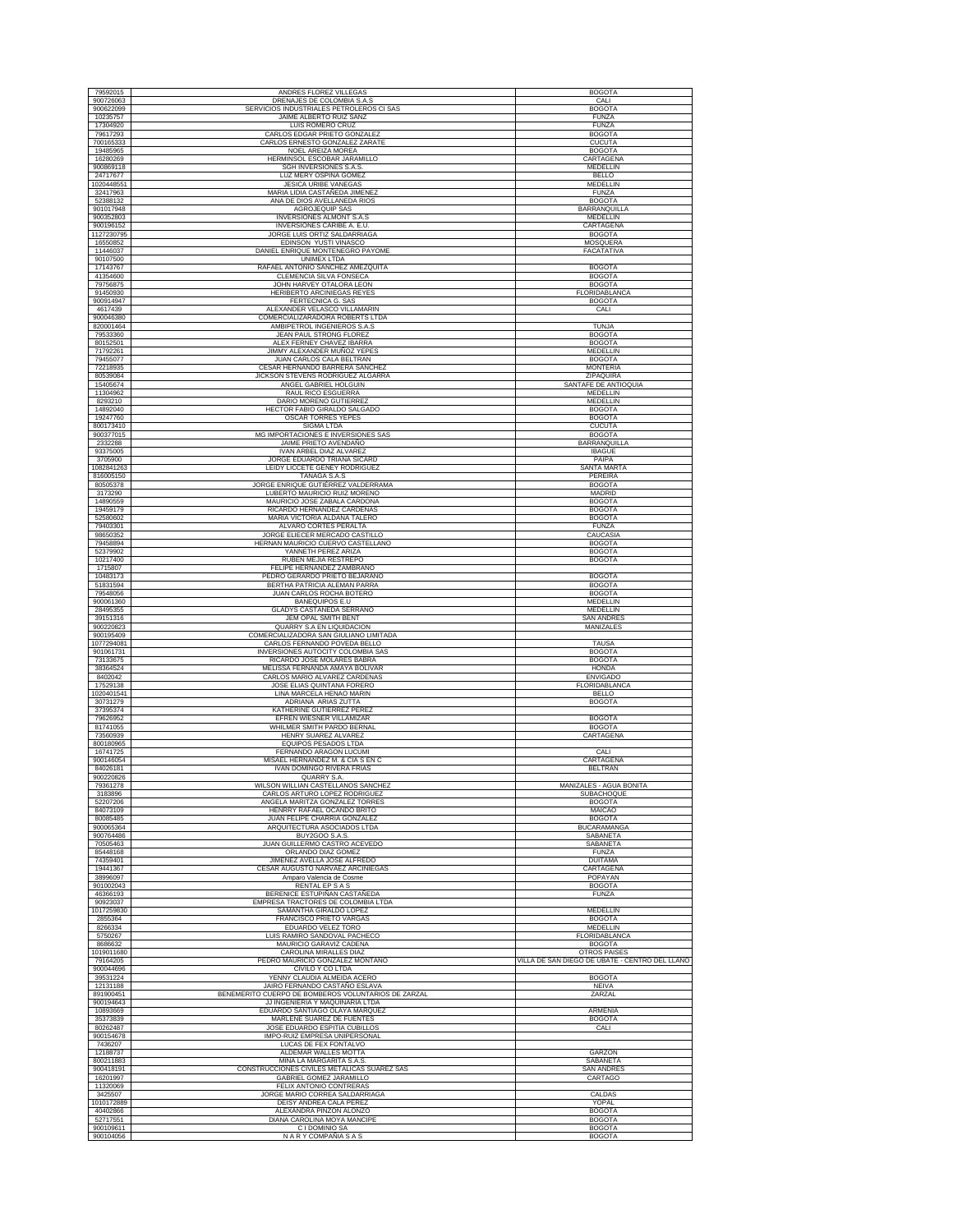| 900726063               | ANDRES FLOREZ VILLEGAS                                                 | <b>BOGOTA</b>                                  |
|-------------------------|------------------------------------------------------------------------|------------------------------------------------|
| 900622099               | DRENAJES DE COLOMBIA S.A.S<br>SERVICIOS INDUSTRIALES PETROLEROS CI SAS | CALI                                           |
| 10235757                | JAIME ALBERTO RUIZ SANZ                                                | <b>BOGOTA</b><br><b>FUNZA</b>                  |
| 17304920                | <b>LUIS ROMERO CRUZ</b>                                                | <b>FUNZA</b>                                   |
| 79617293<br>700165333   | CARLOS EDGAR PRIETO GONZALEZ<br>CARLOS ERNESTO GONZALEZ ZARATE         | <b>BOGOTA</b><br><b>CUCUTA</b>                 |
| 19485965                | NOEL AREIZA MOREA                                                      | <b>BOGOTA</b>                                  |
| 16280269<br>900869118   | HERMINSOL ESCOBAR JARAMILLO<br>SGH INVERSIONES S.A.S.                  | CARTAGENA<br><b>MEDELLIN</b>                   |
| 24717677                | LUZ MERY OSPINA GOMEZ                                                  | <b>BELLO</b>                                   |
| 1020448551<br>32417963  | JESICA URIBE VANEGAS<br>MARIA LIDIA CASTAÑEDA JIMENEZ                  | MEDELLIN<br>FUNZA                              |
| 52388132                | ANA DE DIOS AVELLANEDA RIOS                                            | <b>BOGOTA</b>                                  |
| 901017948<br>900352803  | AGROJEQUIP SAS<br><b>INVERSIONES ALMONT S.A.S</b>                      | BARRANQUILLA<br>MEDELLIN                       |
| 900196152               | INVERSIONES CARIBE A. E.U                                              | CARTAGENA                                      |
| 1127230795<br>16550852  | JORGE LUIS ORTIZ SALDARRIAGA<br>EDINSON YUSTI VINASCO                  | <b>BOGOTA</b><br>MOSQUERA                      |
| 11446037                | DANIEL ENRIQUE MONTENEGRO PAYOME                                       | FACATATIVA                                     |
| 90107500<br>17143767    | <b>UNIMEX LTDA</b><br>RAFAEL ANTONIO SANCHEZ AMEZQUITA                 | <b>BOGOTA</b>                                  |
| 41354600                | CLEMENCIA SILVA FONSECA                                                | <b>BOGOTA</b>                                  |
| 79756875<br>91450930    | JOHN HARVEY OTALORA LEON<br>HERIBERTO ARCINIEGAS REYES                 | <b>BOGOTA</b><br>FLORIDABLANCA                 |
| 900914947               | FERTECNICA G. SAS                                                      | <b>BOGOTA</b>                                  |
| 4617439<br>900046380    | ALEXANDER VELASCO VILLAMARIN<br>COMERCIALIZARADORA ROBERTS LTDA        | CALI                                           |
| 820001464<br>79533360   | AMBIPETROL INGENIEROS S.A.S<br>JEAN PAUL STRONG FLOREZ                 | <b>TUNJA</b><br><b>BOGOTA</b>                  |
| 80152501                | ALEX FERNEY CHAVEZ IBARRA                                              | <b>BOGOTA</b>                                  |
| 71792261<br>79455077    | JIMMY ALEXANDER MUÑOZ YEPES<br>JUAN CARLOS CALA BELTRAN                | MEDELLIN<br><b>BOGOTA</b>                      |
| 72218935                | CESAR HERNANDO BARRERA SANCHEZ                                         | <b>MONTERIA</b>                                |
| 80539084<br>15405674    | JICKSON STEVENS RODRIGUEZ ALGARRA<br>ANGEL GABRIEL HOLGUIN             | ZIPAQUIRA<br>SANTAFE DE ANTIOQUIA              |
| 11304962                | RAUL RICO ESGUERRA                                                     | MEDELLIN                                       |
| 8293210<br>14892040     | DARIO MORENO GUTIERREZ<br>HECTOR FABIO GIRALDO SALGADO                 | MEDELLIN<br><b>BOGOTA</b>                      |
| 19247760                | OSCAR TORRES YEPES                                                     | <b>BOGOTA</b>                                  |
| 800173410<br>900377015  | <b>SIGMA LTDA</b><br>MG IMPORTACIONES E INVERSIONES SAS                | <b>CUCUTA</b><br><b>BOGOTA</b>                 |
| 2332288                 | JAIME PRIETO AVENDAÑO                                                  | <b>BARRANQUILLA</b>                            |
| 93375005<br>3705900     | IVAN ARBEL DIAZ ALVAREZ<br>JORGE EDUARDO TRIANA SICARD                 | <b>IBAGUE</b><br>PAIPA                         |
| 1082841263<br>816005150 | LEIDY LICCETE GENEY RODRIGUEZ<br><b>TANAGA S.A.S</b>                   | <b>SANTA MARTA</b><br>PEREIRA                  |
| 80505378                | JORGE ENRIQUE GUTIÉRREZ VALDERRAMA                                     | <b>BOGOTA</b>                                  |
| 3173290<br>14890559     | LUBERTO MAURICIO RUIZ MORENO<br>MAURICIO JOSE ZABALA CARDONA           | MADRID<br><b>BOGOTA</b>                        |
| 19459179                | RICARDO HERNANDEZ CARDENAS                                             | <b>BOGOTA</b>                                  |
| 52580602<br>79403301    | MARIA VICTORIA ALDANA TALERO<br>ALVARO CORTES PERALTA                  | <b>BOGOTA</b><br><b>FUNZA</b>                  |
| 98650352                | JORGE ELIECER MERCADO CASTILLO                                         | CAUCASIA                                       |
| 79458894<br>52379902    | HERNAN MAURICIO CUERVO CASTELLANO<br>YANNETH PEREZ ARIZA               | <b>BOGOTA</b><br><b>BOGOTA</b>                 |
| 10217400                | RUBEN MEJIA RESTREPO                                                   | <b>BOGOTA</b>                                  |
| 1715807<br>10483173     | FELIPE HERNANDEZ ZAMBRANC<br>PEDRO GERARDO PRIETO BEJARANO             | <b>BOGOTA</b>                                  |
| 51831594                | BERTHA PATRICIA ALEMAN PARRA                                           | <b>BOGOTA</b>                                  |
| 79548056<br>900061360   | JUAN CARLOS ROCHA BOTERO<br><b>BANEQUIPOS E.U</b>                      | <b>BOGOTA</b><br>MEDELLIN                      |
| 28495355<br>39151316    | GLADYS CASTAÑEDA SERRANO<br>JEM OPAL SMITH BENT                        | MEDELLIN<br><b>SAN ANDRES</b>                  |
| 900220823               | QUARRY S.A EN LIQUIDACION                                              | MANIZALES                                      |
| 900195409<br>1077294081 | COMERCIALIZADORA SAN GIULIANO LIMITADA<br>CARLOS FERNANDO POVEDA BELLO | <b>TAUSA</b>                                   |
| 901061731               | INVERSIONES AUTOCITY COLOMBIA SAS                                      | <b>BOGOTA</b>                                  |
|                         |                                                                        |                                                |
| 73133675                | RICARDO JOSE MOLARES BABRA                                             | <b>BOGOTA</b>                                  |
| 38364524<br>8402042     | MELISSA FERNANDA AMAYA BOLIVAR<br>CARLOS MARIO ALVAREZ CARDENAS        | <b>HONDA</b><br><b>ENVIGADO</b>                |
| 17529138<br>1020401541  | JOSE ELIAS QUINTANA FORERO<br>LINA MARCELA HENAO MARIN                 | FLORIDABLANCA<br><b>BELLO</b>                  |
| 30731279                | ADRIANA ARIAS ZUTTA                                                    | <b>BOGOTA</b>                                  |
| 37395374<br>79626952    | KATHERINE GUTIERREZ PEREZ<br>EFREN WIESNER VILLAMIZAR                  | <b>BOGOTA</b>                                  |
| 81741055                | WHILMER SMITH PARDO BERNAL                                             | <b>BOGOTA</b>                                  |
| 73560939<br>800180965   | HENRY SUAREZ ALVAREZ<br>EQUIPOS PESADOS LTDA                           | CARTAGENA                                      |
| 16741725<br>900146054   | FERNANDO ARAGON LUCUMI<br>MISAEL HERNANDEZ M. & CIA S EN C             | CALI                                           |
| 84026181                | <b>IVAN DOMINGO RIVERA FRIAS</b>                                       | CARTAGENA<br><b>BELTRAN</b>                    |
| 900220826<br>79361278   | QUARRY S.A.<br>WILSON WILLIAN CASTELLANOS SANCHEZ                      | MANIZALES - AGUA BONITA                        |
| 3183896<br>52207206     | CARLOS ARTURO LOPEZ RODRIGUEZ<br>ANGELA MARITZA GONZALEZ TORRES        | SUBACHOQUE<br><b>BOGOTA</b>                    |
| 84073109                | HENRRY RAFAEL OCANDO BRITO                                             | <b>MAICAO</b>                                  |
| 80085485<br>900065364   | JUAN FELIPE CHARRIA GONZALEZ<br>ARQUITECTURA ASOCIADOS LTDA            | <b>BOGOTA</b><br><b>BUCARAMANGA</b>            |
| 900764486               | BUY2GOO S.A.S.                                                         | SABANETA                                       |
| 70505463<br>85448168    | JUAN GUILLERMO CASTRO ACEVEDO<br>ORLANDO DIAZ GOMEZ                    | SABANETA<br><b>FUNZA</b>                       |
| 74359401                | JIMENEZ AVELLA JOSE ALFREDO                                            | <b>DUITAMA</b>                                 |
| 19441367<br>38996097    | CESAR AUGUSTO NARVAEZ ARCINIEGAS<br>Amparo Valencia de Cosme           | CARTAGENA<br>POPAYAN                           |
| 901002043               | RENTAL EP S A S<br>BERENICE ESTUPIÑAN CASTAÑEDA                        | <b>BOGOTA</b><br><b>FUNZA</b>                  |
| 46366193<br>90923037    | EMPRESA TRACTORES DE COLOMBIA LTDA                                     |                                                |
| 1017259830<br>2855364   | SAMANTHA GIRALDO LOPEZ<br><b>FRANCISCO PRIETO VARGAS</b>               | <b>MEDELLIN</b><br><b>BOGOTA</b>               |
| 8266334                 | <b>EDUARDO VELEZ TORO</b>                                              | <b>MEDELLIN</b>                                |
| 5750267<br>8686632      | LUIS RAMIRO SANDOVAL PACHECO<br>MAURICIO GARAVIZ CADENA                | FLORIDABLANCA<br><b>BOGOTA</b>                 |
| 1019011680              | CAROLINA MIRALLES DIAZ                                                 | OTROS PAISES                                   |
| 79164205<br>900044696   | PEDRO MAURICIO GONZALEZ MONTAÑO<br>CIVILO Y CO LTDA                    | VILLA DE SAN DIEGO DE UBATE - CENTRO DEL LLANO |
| 39531224<br>12131188    | YENNY CLAUDIA ALMEIDA ACERO<br>JAIRO FERNANDO CASTAÑO ESLAVA           | <b>BOGOTA</b><br><b>NEIVA</b>                  |
| 891900451               | BENEMERITO CUERPO DE BOMBEROS VOLUNTARIOS DE ZARZAL                    | ZARZAL                                         |
| 900194643<br>10893669   | JJ INGENIERIA Y MAQUINARIA LTDA<br>EDUARDO SANTIAGO OLAYA MARQUEZ      | ARMENIA                                        |
| 35373839                | MARLENE SUAREZ DE FUENTES                                              | <b>BOGOTA</b>                                  |
| 80262487<br>900154678   | JOSE EDUARDO ESPITIA CUBILLOS<br>IMPO-RUIZ EMPRESA UNIPERSONAL         | CALI                                           |
| 7436207                 | LUCAS DE FEX FONTALVO                                                  |                                                |
| 12188737<br>800211883   | ALDEMAR WALLES MOTTA<br>MINA LA MARGARITA S.A.S.                       | GARZON<br><b>SABANETA</b>                      |
| 900418191               | CONSTRUCCIONES CIVILES METALICAS SUAREZ SAS                            | <b>SAN ANDRES</b>                              |
| 16201997<br>11320069    | GABRIEL GOMEZ JARAMILLO<br>FELIX ANTONIO CONTRERAS                     | CARTAGO                                        |
| 3425507<br>1010172889   | JORGE MARIO CORREA SALDARRIAGA<br>DEISY ANDREA CALA PEREZ              | CALDAS<br>YOPAL                                |
| 40402866                | ALEXANDRA PINZON ALONZO                                                | <b>BOGOTA</b>                                  |
| 52717551<br>900109611   | DIANA CAROLINA MOYA MANCIPE<br>C I DOMINIO SA                          | <b>BOGOTA</b><br><b>BOGOTA</b>                 |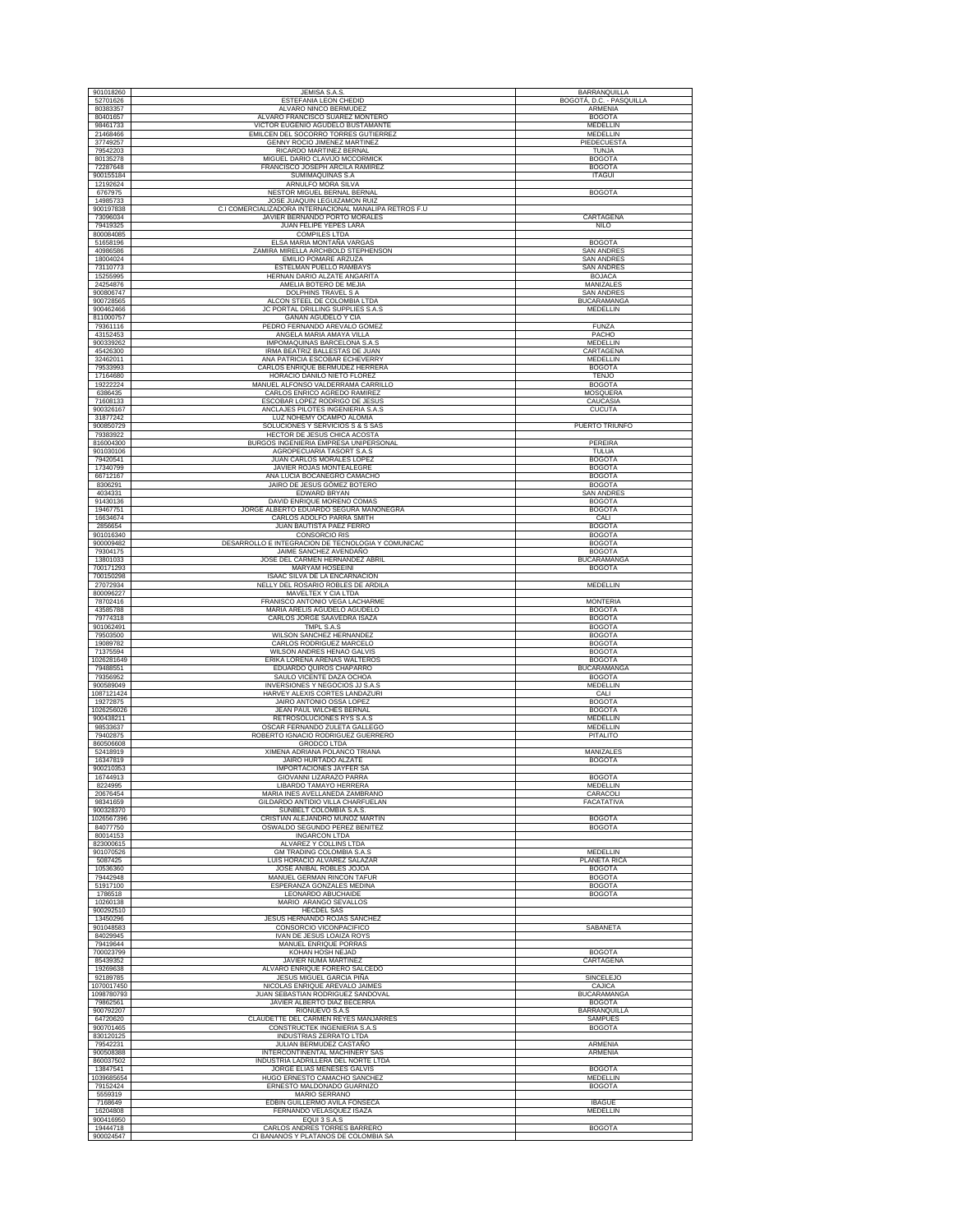| 901018260              | JEMISA S.A.S.                                                        | BARRANQUILLA                          |
|------------------------|----------------------------------------------------------------------|---------------------------------------|
| 52701626               | ESTEFANIA LEON CHEDID                                                | BOGOTÁ, D.C. - PASQUILLA              |
| 80383357               | ALVARO NINCO BERMUDEZ                                                | ARMENIA                               |
| 80401657<br>98461733   | ALVARO FRANCISCO SUAREZ MONTERO<br>VICTOR EUGENIO AGUDELO BUSTAMANTE | <b>BOGOTA</b><br>MEDELLIN             |
| 21468466               | EMILCEN DEL SOCORRO TORRES GUTIERREZ                                 | MEDELLIN                              |
| 37749257               | <b>GENNY ROCIO JIMENEZ MARTINEZ</b>                                  | PIEDECUESTA                           |
| 79542203               | RICARDO MARTINEZ BERNAL                                              | TUNJA                                 |
| 80135278<br>72287648   | MIGUEL DARIO CLAVIJO MCCORMICK<br>FRANCISCO JOSEPH ARCILA RAMIREZ    | <b>BOGOTA</b><br><b>BOGOTA</b>        |
| 900155184              | SUMIMAQUINAS S.A                                                     | <b>ITAGUI</b>                         |
| 12192624               | ARNULFO MORA SILVA                                                   |                                       |
| 6767975                | NESTOR MIGUEL BERNAL BERNAL                                          | <b>BOGOTA</b>                         |
| 14985733               | JOSE JUAQUIN LEGUIZAMON RUIZ                                         |                                       |
| 900197838              | C.I COMERCIALIZADORA INTERNACIONAL MANALIPA RETROS F.U               | CARTAGENA                             |
| 73096034<br>79419325   | JAVIER BERNANDO PORTO MORALES<br>JUAN FELIPE YEPES LARA              | <b>NILO</b>                           |
| 800084085              | <b>COMPILES LTDA</b>                                                 |                                       |
| 51658196               | ELSA MARIA MONTAÑA VARGAS                                            | <b>BOGOTA</b>                         |
| 40986586               | ZAMIRA MIRELLA ARCHBOLD STEPHENSON                                   | <b>SAN ANDRES</b>                     |
| 18004024<br>73110773   | EMILIO POMARE ARZUZA                                                 | <b>SAN ANDRES</b>                     |
| 15255995               | ESTELMAN PUELLO RAMBAYS<br>HERNAN DARIO ALZATE ANGARITA              | <b>SAN ANDRES</b><br><b>BOJACA</b>    |
| 24254876               | AMELIA BOTERO DE MEJIA                                               | MANIZALES                             |
| 900806747              | DOLPHINS TRAVEL S A                                                  | <b>SAN ANDRES</b>                     |
| 900728565              | ALCON STEEL DE COLOMBIA LTDA                                         | <b>BUCARAMANGA</b>                    |
| 900462466              | JC PORTAL DRILLING SUPPLIES S.A.S                                    | MEDELLIN                              |
| 811000757<br>79361116  | GAÑAN AGUDELO Y CIA<br>PEDRO FERNANDO AREVALO GOMEZ                  | <b>FUNZA</b>                          |
| 43152453               | ANGELA MARIA AMAYA VILLA                                             | PACHO                                 |
| 900339262              | IMPOMAQUINAS BARCELONA S.A.S                                         | MEDELLIN                              |
| 45426300               | IRMA BEATRIZ BALLESTAS DE JUAN                                       | CARTAGENA                             |
| 32462011               | ANA PATRICIA ESCOBAR ECHEVERRY                                       | MEDELLIN                              |
| 79533993<br>17164680   | CARLOS ENRIQUE BERMUDEZ HERRERA<br>HORACIO DANILO NIETO FLOREZ       | <b>BOGOTA</b><br><b>TENJO</b>         |
| 19222224               | MANUEL ALFONSO VALDERRAMA CARRILLO                                   | <b>BOGOTA</b>                         |
| 6386435                | CARLOS ENRICO AGREDO RAMIREZ                                         | MOSQUERA                              |
| 71608133               | ESCOBAR LOPEZ RODRIGO DE JESUS                                       | CAUCASIA                              |
| 900326167<br>31877242  | ANCLAJES PILOTES INGENIERIA S.A.S<br>LUZ NOHEMY OCAMPO ALOMIA        | <b>CUCUTA</b>                         |
| 900850729              | SOLUCIONES Y SERVICIOS S & S SAS                                     | PUERTO TRIUNFO                        |
| 79383922               | HECTOR DE JESUS CHICA ACOSTA                                         |                                       |
| 816004300              | BURGOS INGENIERIA EMPRESA UNIPERSONAL                                | <b>PEREIRA</b>                        |
| 901030106              | AGROPECUARIA TASORT S.A.S                                            | TULUA                                 |
| 79420541<br>17340799   | JUAN CARLOS MORALES LOPEZ<br>JAVIER ROJAS MONTEALEGRE                | <b>BOGOTA</b><br><b>BOGOTA</b>        |
| 66712167               | ANA LUCIA BOCANEGRO CAMACHO                                          | <b>BOGOTA</b>                         |
| 8306291                | JAIRO DE JESUS GÓMEZ BOTERO                                          | <b>BOGOTA</b>                         |
| 4034331                | EDWARD BRYAN                                                         | <b>SAN ANDRES</b>                     |
| 91430136               | DAVID ENRIQUE MORENO COMAS                                           | <b>BOGOTA</b>                         |
| 19467751<br>16634674   | JORGE ALBERTO EDUARDO SEGURA MANONEGRA<br>CARLOS ADOLFO PARRA SMITH  | <b>BOGOTA</b><br>CALI                 |
| 2856654                | JUAN BAUTISTA PAEZ FERRO                                             | <b>BOGOTA</b>                         |
| 901016340              | <b>CONSORCIO RIS</b>                                                 | <b>BOGOTA</b>                         |
| 900009482              | DESARROLLO E INTEGRACION DE TECNOLOGIA Y COMUNICAC                   | <b>BOGOTA</b>                         |
| 79304175               | JAIME SANCHEZ AVENDAÑO                                               | <b>BOGOTA</b>                         |
| 13801033<br>700171293  | JOSE DEL CARMEN HERNANDEZ ABRIL<br>MARYAM HOSEEINI                   | <b>BUCARAMANGA</b><br><b>BOGOTA</b>   |
| 700150298              | ISAAC SILVA DE LA ENCARNACION                                        |                                       |
| 27072934               | NELLY DEL ROSARIO ROBLES DE ARDILA                                   | MEDELLIN                              |
| 800096227              | MAVELTEX Y CIA LTDA                                                  |                                       |
| 78702416               | FRANISCO ANTONIO VEGA LACHARME                                       | <b>MONTERIA</b>                       |
| 43585788<br>79774318   | MARIA ARELIS AGUDELO AGUDELO<br>CARLOS JORGE SAAVEDRA ISAZA          | <b>BOGOTA</b><br><b>BOGOTA</b>        |
| 901062491              | TMPL S.A.S                                                           | <b>BOGOTA</b>                         |
| 79503500               | WILSON SANCHEZ HERNANDEZ                                             | <b>BOGOTA</b>                         |
| 19089782               | CARLOS RODRIGUEZ MARCELO                                             | <b>BOGOTA</b>                         |
| 71375594<br>1026281649 | WILSON ANDRES HENAO GALVIS<br>ERIKA LORENA ARENAS WALTEROS           | <b>BOGOTA</b><br><b>BOGOTA</b>        |
| 79488551               | EDUARDO QUIROS CHAPARRO                                              | <b>BUCARAMANGA</b>                    |
| 79356952               | SAULO VICENTE DAZA OCHOA                                             | <b>BOGOTA</b>                         |
| 900589049              | INVERSIONES Y NEGOCIOS JJ S.A.S                                      | MEDELLIN                              |
| 1087121424             | HARVEY ALEXIS CORTES LANDAZURI                                       | CALI                                  |
| 19272875<br>1026256026 | JAIRO ANTONIO OSSA LOPEZ<br>JEAN PAUL WILCHES BERNAL                 | <b>BOGOTA</b><br><b>BOGOTA</b>        |
| 900438211              | RETROSOLUCIONES RYS S.A.S                                            | <b>MEDELLIN</b>                       |
| 98533637               | OSCAR FERNANDO ZULETA GALLEGO                                        | MEDELLIN                              |
| 79402875               | ROBERTO IGNACIO RODRIGUEZ GUERRERO                                   | PITALITO                              |
| 860506608<br>52418919  | <b>GRODCO LTDA</b><br>XIMENA ADRIANA POLANCO TRIANA                  | MANIZALES                             |
| 16347819               | <b>JAIRO HURTADO ALZATE</b>                                          | <b>BOGOTA</b>                         |
| 900210353              | IMPORTACIONES JAYFER SA                                              |                                       |
| 16744913               | GIOVANNI LIZARAZO PARRA                                              | <b>BOGOTA</b>                         |
| 8224995<br>20676454    | LIBARDO TAMAYO HERRERA<br>MARIA INES AVELLANEDA ZAMBRANO             | MEDELLIN<br>CARACOLI                  |
| 98341659               | GILDARDO ANTIDIO VILLA CHARFUELAN                                    | FACATATIVA                            |
| 900328370              | SUNBELT COLOMBIA S.A.S.                                              |                                       |
| 1026567396             | CRISTIAN ALEJANDRO MUÑOZ MARTIN                                      | <b>BOGOTA</b>                         |
| 84077750<br>80014153   | OSWALDO SEGUNDO PEREZ BENITEZ<br><b>INGARCON LTDA</b>                | <b>BOGOTA</b>                         |
| 823000615              | ALVAREZ Y COLLINS LTDA                                               |                                       |
| 901070526              | GM TRADING COLOMBIA S.A.S                                            | <b>MEDELLIN</b>                       |
| 5087425                | LUIS HORACIO ALVAREZ SALAZAR                                         | PLANETA RICA                          |
| 10536360<br>79442948   | JOSE ANIBAL ROBLES JOJOA<br>MANUEL GERMAN RINCON TAFUR               | <b>BOGOTA</b><br><b>BOGOTA</b>        |
| 51917100               | ESPERANZA GONZALES MEDINA                                            | <b>BOGOTA</b>                         |
| 1786518                | LEONARDO ABUCHAIDE                                                   | <b>BOGOTA</b>                         |
| 10260138               | MARIO ARANGO SEVALLOS                                                |                                       |
| 900292510<br>13450296  | <b>HECDEL SAS</b>                                                    |                                       |
| 901048583              | JESUS HERNANDO ROJAS SANCHEZ<br>CONSORCIO VICONPACIFICO              | SABANETA                              |
| 84029945               | <b>IVAN DE JESUS LOAIZA ROYS</b>                                     |                                       |
| 79419644               | MANUEL ENRIQUE PORRAS                                                |                                       |
| 700023799              | KOHAN HOSH NEJAD                                                     | <b>BOGOTA</b>                         |
| 85439352<br>19269638   | JAVIER NUMA MARTINEZ<br>ALVARO ENRIQUE FORERO SALCEDO                | CARTAGENA                             |
| 92189785               | JESUS MIGUEL GARCIA PIÑA                                             | <b>SINCELEJO</b>                      |
| 1070017450             | NICOLAS ENRIQUE AREVALO JAIMES                                       | CAJICA                                |
| 1098780793             | JUAN SEBASTIAN RODRIGUEZ SANDOVAL                                    | <b>BUCARAMANGA</b>                    |
| 79862561               | JAVIER ALBERTO DIAZ BECERRA                                          | <b>BOGOTA</b>                         |
| 900792207<br>64720620  | RIONUEVO S.A.S<br>CLAUDETTE DEL CARMEN REYES MANJARRES               | <b>BARRANQUILLA</b><br><b>SAMPUES</b> |
| 900701465              | CONSTRUCTEK INGENIERIA S.A.S                                         | <b>BOGOTA</b>                         |
| 830120125              | INDUSTRIAS ZERRATO LTDA                                              |                                       |
| 79542231               | JULIAN BERMUDEZ CASTAÑO                                              | ARMENIA                               |
| 900508388              | INTERCONTINENTAL MACHINERY SAS                                       | <b>ARMENIA</b>                        |
| 860037502<br>13847541  | INDUSTRIA LADRILLERA DEL NORTE LTDA<br>JORGE ELIAS MENESES GALVIS    | <b>BOGOTA</b>                         |
| 1039685654             | HUGO ERNESTO CAMACHO SANCHEZ                                         | MEDELLIN                              |
| 79152424               | ERNESTO MALDONADO GUARNIZO                                           | <b>BOGOTA</b>                         |
| 5559319                | MARIO SERRANO                                                        |                                       |
| 7168649<br>16204808    | EDBIN GUILLERMO AVILA FONSECA<br>FERNANDO VELASQUEZ ISAZA            | <b>IBAGUE</b><br>MEDELLIN             |
| 900416950              | EQUI 3 S.A.S                                                         |                                       |
| 19444718               | CARLOS ANDRES TORRES BARRERO                                         | <b>BOGOTA</b>                         |
| 900024547              | CI BANANOS Y PLATANOS DE COLOMBIA SA                                 |                                       |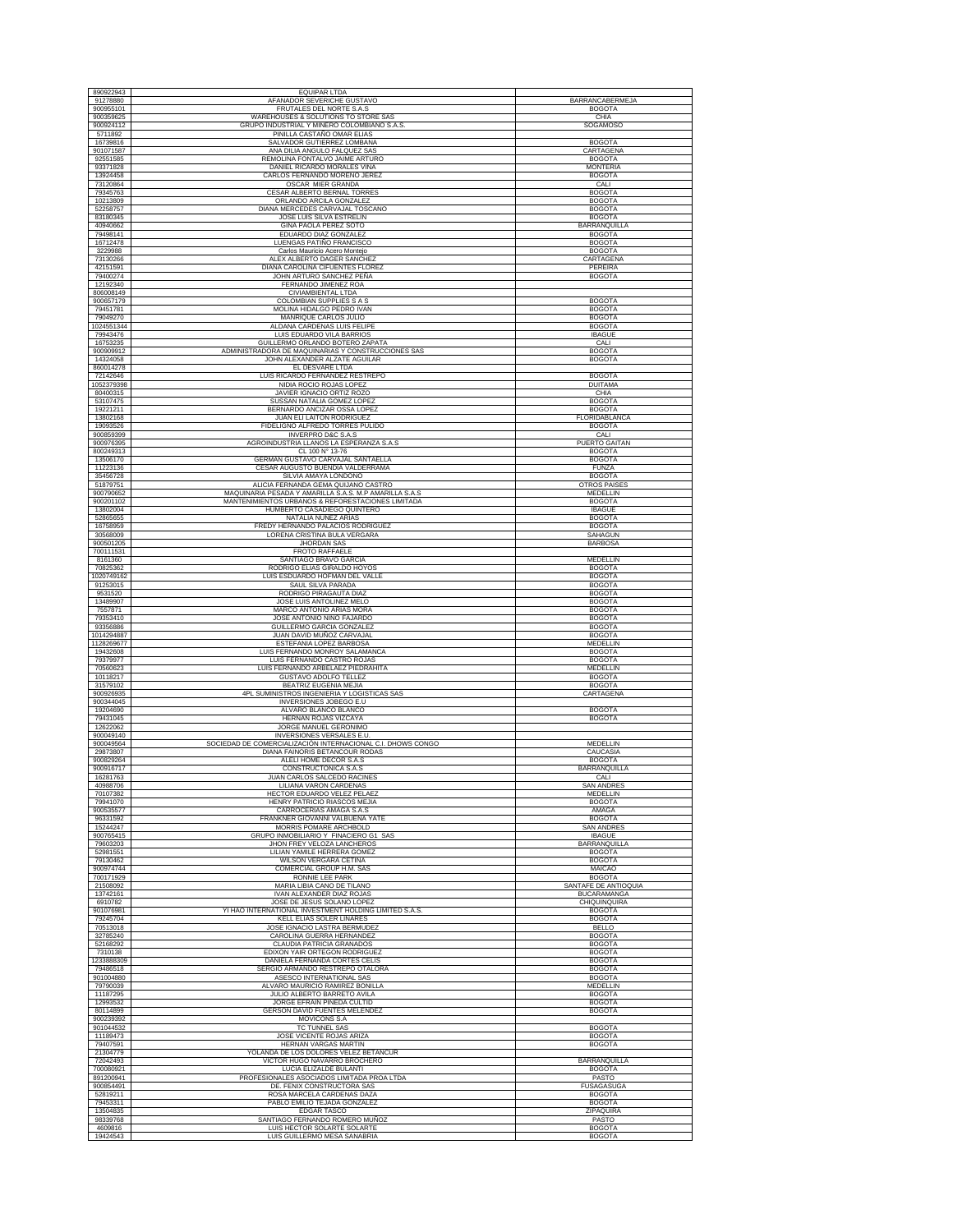| 890922943              | <b>EQUIPAR LTDA</b>                                                                 |                                      |
|------------------------|-------------------------------------------------------------------------------------|--------------------------------------|
| 91278880               | AFANADOR SEVERICHE GUSTAVO                                                          | BARRANCABERMEJA                      |
| 900955101              | FRUTALES DEL NORTE S.A.S                                                            | <b>BOGOTA</b>                        |
| 900359625              | WAREHOUSES & SOLUTIONS TO STORE SAS                                                 | CHIA                                 |
| 900924112              | GRUPO INDUSTRIAL Y MINERO COLOMBIANO S.A.S.                                         | SOGAMOSO                             |
| 5711892                | PINILLA CASTAÑO OMAR ELIAS                                                          |                                      |
| 16739816<br>901071587  | SALVADOR GUTIERREZ LOMBANA<br>ANA DILIA ANGULO FALQUEZ SAS                          | <b>BOGOTA</b><br>CARTAGENA           |
| 92551585               | REMOLINA FONTALVO JAIME ARTURO                                                      | <b>BOGOTA</b>                        |
| 93371828               | DANIEL RICARDO MORALES VIÑA                                                         | <b>MONTERIA</b>                      |
| 13924458               | CARLOS FERNANDO MORENO JERE                                                         | <b>BOGOTA</b>                        |
| 73120864               | OSCAR MIER GRANDA                                                                   | CALI                                 |
| 79345763               | CESAR ALBERTO BERNAL TORRES                                                         | <b>BOGOTA</b>                        |
| 10213809               | ORLANDO ARCILA GONZALEZ                                                             | <b>BOGOTA</b>                        |
| 52258757               | DIANA MERCEDES CARVAJAL TOSCANO                                                     | <b>BOGOTA</b>                        |
| 83180345               | JOSE LUIS SILVA ESTRELIN                                                            | <b>BOGOTA</b><br><b>BARRANQUILLA</b> |
| 40940662<br>79498141   | GINA PAOLA PEREZ SOTO<br>EDUARDO DIAZ GONZALEZ                                      | <b>BOGOTA</b>                        |
| 16712478               | LUENGAS PATIÑO FRANCISCO                                                            | <b>BOGOTA</b>                        |
| 3229988                | Carlos Mauricio Acero Montejo                                                       | <b>BOGOTA</b>                        |
| 73130266               | ALEX ALBERTO DAGER SANCHEZ                                                          | CARTAGENA                            |
| 42151591               | DIANA CAROLINA CIFUENTES FLOREZ                                                     | PERFIRA                              |
| 79400274<br>12192340   | JOHN ARTURO SANCHEZ PEÑA<br>FERNANDO JIMENEZ ROA                                    | <b>BOGOTA</b>                        |
| 806008149              | CIVIAMBIENTAL LTDA                                                                  |                                      |
| 900657179              | COLOMBIAN SUPPLIES S A S                                                            | <b>BOGOTA</b>                        |
| 79451781               | MOLINA HIDALGO PEDRO IVAN                                                           | <b>BOGOTA</b>                        |
| 79049270               | MANRIQUE CARLOS JULIO                                                               | <b>BOGOTA</b>                        |
| 1024551344             | ALDANA CARDENAS LUIS FELIPE                                                         | <b>BOGOTA</b>                        |
| 79943476               | LUIS EDUARDO VILA BARRIOS                                                           | <b>IBAGUE</b>                        |
| 16753235               | GUILLERMO ORLANDO BOTERO ZAPATA                                                     | CALI                                 |
| 900909912<br>14324058  | ADMINISTRADORA DE MAQUINARIAS Y CONSTRUCCIONES SAS<br>JOHN ALEXANDER ALZATE AGUILAR | <b>BOGOTA</b><br><b>BOGOTA</b>       |
| 860014278              | EL DESVARE LTDA                                                                     |                                      |
| 72142646               | LUIS RICARDO FERNANDEZ RESTREPO                                                     | <b>BOGOTA</b>                        |
| 1052379398             | NIDIA ROCIO ROJAS LOPEZ                                                             | <b>DUITAMA</b>                       |
| 80400315               | JAVIER IGNACIO ORTIZ ROZO                                                           | CHIA                                 |
| 53107475               | SUSSAN NATALIA GOMEZ LOPEZ                                                          | <b>BOGOTA</b>                        |
| 19221211               | BERNARDO ANCIZAR OSSA LOPEZ                                                         | <b>BOGOTA</b>                        |
| 13802168               | JUAN ELI LAITON RODRIGUEZ                                                           | FLORIDABLANCA                        |
| 19093526<br>900859399  | FIDELIGNO ALFREDO TORRES PULIDO<br><b>INVERPRO D&amp;C S.A.S</b>                    | <b>BOGOTA</b><br>CALI                |
| 900976395              | AGROINDUSTRIA LLANOS LA ESPERANZA S.A.S                                             | PUERTO GAITAN                        |
| 800249313              | CL 100 N° 13-76                                                                     | <b>BOGOTA</b>                        |
| 13506170               | GERMAN GUSTAVO CARVAJAL SANTAELLA                                                   | <b>BOGOTA</b>                        |
| 11223136               | CESAR AUGUSTO BUENDIA VALDERRAMA                                                    | <b>FUNZA</b>                         |
| 35456728               | SILVIA AMAYA LONDOÑO                                                                | <b>BOGOTA</b>                        |
| 51879751               | ALICIA FERNANDA GEMA QUIJANO CASTRO                                                 | <b>OTROS PAISES</b>                  |
| 900790652              | MAQUINARIA PESADA Y AMARILLA S.A.S. M.P AMARILLA S.A.S                              | <b>MEDELLIN</b>                      |
| 900201102<br>13802004  | MANTENIMIENTOS URBANOS & REFORESTACIONES LIMITADA<br>HUMBERTO CASADIEGO QUINTERO    | <b>BOGOTA</b><br><b>IBAGUE</b>       |
|                        | NATALIA NUÑEZ ARIAS                                                                 |                                      |
| 52865655<br>16758959   | FREDY HERNANDO PALACIOS RODRIGUEZ                                                   | <b>BOGOTA</b><br><b>BOGOTA</b>       |
| 30568009               | LORENA CRISTINA BULA VERGARA                                                        | SAHAGUN                              |
| 900501205              | JHORDAN SAS                                                                         | <b>BARBOSA</b>                       |
| 700111531              | <b>FROTO RAFFAELE</b>                                                               |                                      |
| 8161360                | SANTIAGO BRAVO GARCIA                                                               | MEDELLIN                             |
| 70825362               | RODRIGO ELIAS GIRALDO HOYOS                                                         | <b>BOGOTA</b>                        |
| 1020749162             | LUIS ESDUARDO HOFMAN DEL VALLE                                                      | <b>BOGOTA</b>                        |
| 91253015<br>9531520    | SAUL SILVA PARADA<br>RODRIGO PIRAGAUTA DIAZ                                         | <b>BOGOTA</b><br><b>BOGOTA</b>       |
| 13489907               | JOSE LUIS ANTOLINEZ MELO                                                            | <b>BOGOTA</b>                        |
| 7557871                | MARCO ANTONIO ARIAS MORA                                                            | <b>BOGOTA</b>                        |
| 79353410               | JOSE ANTONIO NIÑO FAJARDO                                                           | <b>BOGOTA</b>                        |
| 93356886               | GUILLERMO GARCIA GONZALEZ                                                           | <b>BOGOTA</b>                        |
| 1014294887             | JUAN DAVID MUÑOZ CARVAJAL                                                           | <b>BOGOTA</b>                        |
| 1128269677             | ESTEFANIA LOPEZ BARBOSA                                                             | MEDELLIN                             |
| 19432608<br>79379977   | LUIS FERNANDO MONROY SALAMANCA<br>LUIS FERNANDO CASTRO ROJAS                        | <b>BOGOTA</b><br><b>BOGOTA</b>       |
| 70560623               | LUIS FERNANDO ARBELAEZ PIEDRAHITA                                                   | MEDELLIN                             |
| 10118217               | GUSTAVO ADOLFO TELLEZ                                                               | <b>BOGOTA</b>                        |
| 31579102               | BEATRIZ EUGENIA MEJIA                                                               | <b>BOGOTA</b>                        |
| 900926935              | 4PL SUMINISTROS INGENIERIA Y LOGISTICAS SAS                                         | CARTAGENA                            |
| 900344045              | INVERSIONES JOBEGO E.U                                                              |                                      |
| 19204690<br>79431045   | ALVARO BLANCO BLANCO                                                                | <b>BOGOTA</b>                        |
| 12622062               | HERNAN ROJAS VIZCAYA<br>JORGE MANUEL GERONIMO                                       | <b>BOGOTA</b>                        |
| 900049140              | <b>INVERSIONES VERSALES E.U</b>                                                     |                                      |
| 900049564              | SOCIEDAD DE COMERCIALIZACIÓN INTERNACIONAL C.I. DHOWS CONGO                         | <b>MEDELLIN</b>                      |
| 29873807               | DIANA FAINORIS BETANCOUR RODAS                                                      | CAUCASIA                             |
| 900829264              | ALELI HOME DECOR S.A.S                                                              | <b>BOGOTA</b>                        |
| 900916717              | CONSTRUCTONICA S.A.S                                                                | <b>BARRANOUILLA</b>                  |
| 16281763               | JUAN CARLOS SALCEDO RACINES<br>LILIANA VARON CARDENAS                               | CALI                                 |
| 40988706<br>70107382   | HECTOR EDUARDO VELEZ PELAEZ                                                         | SAN ANDRES<br>MEDELLIN               |
| 79941070               | HENRY PATRICIO RIASCOS MEJIA                                                        | <b>BOGOTA</b>                        |
| 900535577              | CARROCERIAS AMAGA S.A.S                                                             | AMAGA                                |
| 96331592               | FRANKNER GIOVANNI VALBUENA YATE                                                     | <b>BOGOTA</b>                        |
| 15244247               | MORRIS POMARE ARCHBOLD                                                              | <b>SAN ANDRES</b>                    |
| 900765415<br>79603203  | GRUPO INMOBILIARIO Y FINACIERO G1 SAS<br>JHON FREY VELOZA LANCHEROS                 | <b>IBAGUE</b>                        |
| 52981551               | LILIAN YAMILE HERRERA GOMEZ                                                         | BARRANQUILLA<br><b>BOGOTA</b>        |
| 79130462               | <b>WILSON VERGARA CETINA</b>                                                        | <b>BOGOTA</b>                        |
| 900974744              | COMERCIAL GROUP H.M. SAS                                                            | <b>MAICAO</b>                        |
| 700171929              | RONNIE LEE PARK                                                                     | <b>BOGOTA</b>                        |
| 21508092               | MARIA LIBIA CANO DE TILANO                                                          | SANTAFE DE ANTIOQUIA                 |
| 13742161               | <b>IVAN ALEXANDER DIAZ ROJAS</b>                                                    | <b>BUCARAMANGA</b>                   |
| 6910782<br>901076981   | JOSE DE JESUS SOLANO LOPEZ<br>YI HAO INTERNATIONAL INVESTMENT HOLDING LIMITED S.A.S | CHIQUINQUIRA<br><b>BOGOTA</b>        |
| 79245704               | <b>KELL ELIAS SOLER LINARES</b>                                                     | <b>BOGOTA</b>                        |
| 70513018               | JOSE IGNACIO LASTRA BERMUDEZ                                                        | <b>BELLO</b>                         |
| 32785240               | CAROLINA GUERRA HERNANDEZ                                                           | <b>BOGOTA</b>                        |
| 52168292               | CLAUDIA PATRICIA GRANADOS                                                           | <b>BOGOTA</b>                        |
| 7310138                | EDIXON YAIR ORTEGON RODRIGUEZ                                                       | <b>BOGOTA</b>                        |
| 1233888309<br>79486518 | DANIELA FERNANDA CORTES CELIS                                                       | <b>BOGOTA</b><br><b>BOGOTA</b>       |
|                        | SERGIO ARMANDO RESTREPO OTALORA                                                     |                                      |
| 901004880<br>79790039  | ASESCO INTERNATIONAL SAS<br>ALVARO MAURICIO RAMIREZ BONILLA                         | <b>BOGOTA</b><br><b>MEDELLIN</b>     |
| 11187295               | JULIO ALBERTO BARRETO AVILA                                                         | <b>BOGOTA</b>                        |
| 12993532               | JORGE EFRAIN PINEDA CULTID                                                          | <b>BOGOTA</b>                        |
| 80114899               | <b>GERSON DAVID FUENTES MELENDEZ</b>                                                | <b>BOGOTA</b>                        |
| 900239392              | MOVICONS S.A                                                                        |                                      |
| 901044532              | <b>TC TUNNEL SAS</b>                                                                | <b>BOGOTA</b>                        |
| 11189473               | JOSE VICENTE ROJAS ARIZA                                                            | <b>BOGOTA</b>                        |
| 79407591               | HERNAN VARGAS MARTIN                                                                | <b>BOGOTA</b>                        |
| 21304779<br>72042493   | YOLANDA DE LOS DOLORES VELEZ BETANCUR<br>VICTOR HUGO NAVARRO BROCHERO               | <b>BARRANQUILLA</b>                  |
| 700080921              | LUCIA ELIZALDE BULANTI                                                              | <b>BOGOTA</b>                        |
| 891200941              | PROFESIONALES ASOCIADOS LIMITADA PROA LTDA                                          | PASTO                                |
| 900854491              | DE. FENIX CONSTRUCTORA SAS                                                          | <b>FUSAGASUGA</b>                    |
| 52819211               | ROSA MARCELA CARDENAS DAZA                                                          | <b>BOGOTA</b>                        |
| 79453311               | PABLO EMILIO TEJADA GONZALEZ                                                        | <b>BOGOTA</b>                        |
| 13504835               | EDGAR TASCO                                                                         | ZIPAQUIRA                            |
|                        |                                                                                     |                                      |
| 98339768<br>4609816    | SANTIAGO FERNANDO ROMERO MUÑOZ<br>LUIS HECTOR SOLARTE SOLARTE                       | PASTO<br><b>BOGOTA</b>               |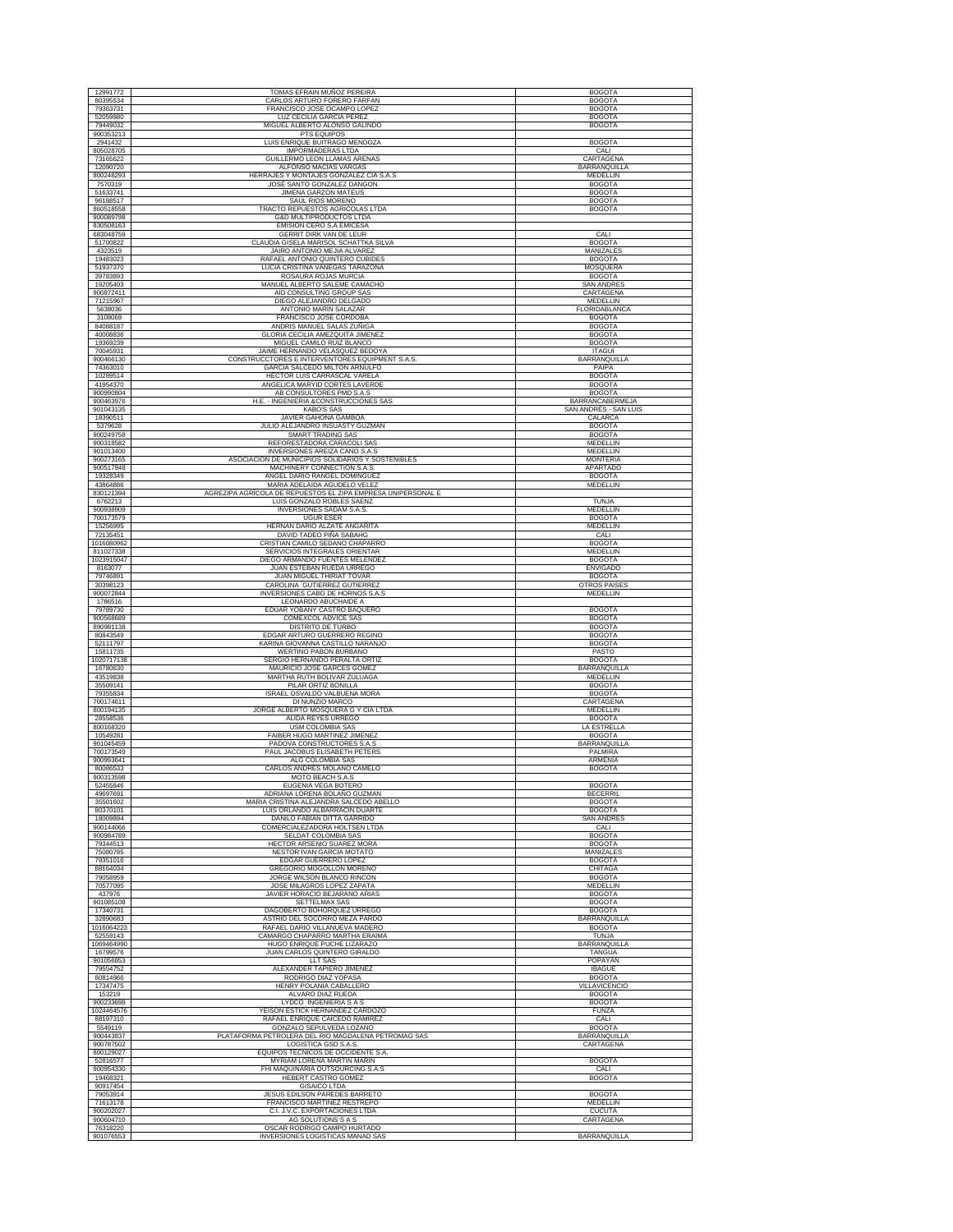| 12991772               | TOMAS EFRAIN MUÑOZ PEREIRA                                                       | <b>BOGOTA</b>                        |
|------------------------|----------------------------------------------------------------------------------|--------------------------------------|
| 80395534<br>79363731   | CARLOS ARTURO FORERO FARFAN<br>FRANCISCO JOSE OCAMPO LOPEZ                       | <b>BOGOTA</b><br><b>BOGOTA</b>       |
| 52059980               | LUZ CECILIA GARCIA PEREZ                                                         | <b>BOGOTA</b>                        |
| 79449032               | MIGUEL ALBERTO ALONSO GALINDO                                                    | <b>BOGOTA</b>                        |
| 900353213              | PTS EQUIPOS                                                                      |                                      |
| 2941432                | LUIS ENRIQUE BUITRAGO MENDOZA                                                    | <b>BOGOTA</b>                        |
| 805028705              | <b>IMPORMADERAS LTDA</b>                                                         | CALI                                 |
| 73165622               | GUILLERMO LEON LLAMAS ARENAS                                                     | CARTAGENA                            |
| 12090720               | ALFONSO MACIAS VARGAS                                                            | BARRANQUILLA                         |
| 800248293              | HERRAJES Y MONTAJES GONZALEZ CIA S.A.S                                           | MEDELLIN                             |
| 7570319<br>51633741    | JOSÉ SANTO GONZALEZ DANGON<br><b>JIMENA GARZON MATEUS</b>                        | <b>BOGOTA</b><br><b>BOGOTA</b>       |
| 96188517               | SAUL RIOS MORENO                                                                 | <b>BOGOTA</b>                        |
| 860518558              | TRACTO REPUESTOS AGRICOLAS LTDA                                                  | <b>BOGOTA</b>                        |
| 900089798              | G&D MULTIPRODUCTOS LTDA                                                          |                                      |
| 830508163              | <b>EMISION CERO S.A EMICESA</b>                                                  |                                      |
| 683048759              | GERRIT DIRK VAN DE LEUR                                                          | CALI                                 |
| 51700822               | CLAUDIA GISELA MARISOL SCHATTKA SILVA                                            | <b>BOGOTA</b>                        |
| 4323519                | JAIRO ANTONIO MEJIA ALVAREZ                                                      | <b>MANIZALES</b>                     |
| 19483023<br>51937370   | RAFAEL ANTONIO QUINTERO CUBIDES<br>LUCIA CRISTINA VANEGAS TARAZONA               | <b>BOGOTA</b><br>MOSQUERA            |
| 39783893               | ROSAURA ROJAS MURCIA                                                             | <b>BOGOTA</b>                        |
| 19205403               | MANUEL ALBERTO SALEME CAMACHO                                                    | <b>SAN ANDRES</b>                    |
| 900872411              | AID CONSULTING GROUP SAS                                                         | CARTAGENA                            |
| 71215967               | DIEGO ALEJANDRO DELGADO                                                          | MEDELLIN                             |
| 5638036<br>3108069     | ANTONIO MARIN SALAZAR<br>FRANCISCO JOSE CORDOBA                                  | FLORIDABLANCA<br><b>BOGOTA</b>       |
| 84088187               | ANDRIS MANUEL SALAS ZUÑIGA                                                       | <b>BOGOTA</b>                        |
| 40008836               | GLORIA CECILIA AMEZQUITA JIMENEZ                                                 | <b>BOGOTA</b>                        |
| 19369239               | MIGUEL CAMILO RUIZ BLANCO                                                        | <b>BOGOTA</b>                        |
| 70045931               | JAIME HERNANDO VELASQUEZ BEDOYA                                                  | <b>ITAGUI</b>                        |
| 900466130              | CONSTRUCCTORES E INTERVENTORES EQUIPMENT S.A.S.<br>GARCIA SALCEDO MILTON ARNULFO | BARRANQUILLA<br>PAIPA                |
| 74363010<br>10289514   | HECTOR LUIS CARRASCAL VARELA                                                     | <b>BOGOTA</b>                        |
| 41954370               | ANGELICA MARYID CORTES LAVERDE                                                   | <b>BOGOTA</b>                        |
| 900990804              | AB CONSULTORES PMD S.A.S                                                         | <b>BOGOTA</b>                        |
| 900463976              | H.E. - INGENIERIA &CONSTRUCCIONES SAS                                            | <b>BARRANCABERMEJA</b>               |
| 901043135              | <b>KABO'S SAS</b>                                                                | SAN ANDRÉS - SAN LUIS                |
| 18390511<br>5379628    | JAVIER GAHONA GAMBOA<br>JULIO ALEJANDRO INSUASTY GUZMAN                          | CALARCA<br><b>BOGOTA</b>             |
| 900249758              | <b>SMART TRADING SAS</b>                                                         | <b>BOGOTA</b>                        |
| 900318582              | REFORESTADORA CARACOLI SAS                                                       | MEDELLIN                             |
| 901013400              | INVERSIONES AREIZA CANO S.A.S                                                    | <b>MEDELLIN</b>                      |
| 900273165              | ASOCIACION DE MUNICIPIOS SOLIDARIOS Y SOSTENIBLES                                | <b>MONTERIA</b>                      |
| 900517948<br>19328349  | MACHINERY CONNECTION S.A.S.<br>ANGEL DARIO RANGEL DOMINGUEZ                      | <b>APARTADO</b><br><b>BOGOTA</b>     |
| 43864886               | MARIA ADELAIDA AGUDELO VELEZ                                                     | MEDELLIN                             |
| 830121394              | AGREZIPA AGRÍCOLA DE REPUESTOS EL ZIPA EMPRESA UNIPERSONAL E                     |                                      |
| 6762213                | LUIS GONZALO ROBLES SAENZ                                                        | TUNJA                                |
| 900938909              | INVERSIONES SADAM S.A.S.                                                         | MEDELLIN                             |
| 700173579              | <b>UGUR ESER</b>                                                                 | <b>BOGOTA</b>                        |
| 15256995               | HERNAN DARIO ALZATE ANGARITA<br>DAVID TADEO PIÑA SABAHG                          | MEDELLIN                             |
| 72135451<br>1016080962 | CRISTIAN CAMILO SEDANO CHAPARRO                                                  | CALI<br><b>BOGOTA</b>                |
| 811027338              | SERVICIOS INTEGRALES ORIENTAR                                                    | MEDELLIN                             |
| 1023915047             | DIEGO ARMANDO FUENTES MELENDEZ                                                   | <b>BOGOTA</b>                        |
| 8163077                | JUAN ESTEBAN RUEDA URREGO                                                        | <b>ENVIGADO</b>                      |
| 79746891               | JUAN MIGUEL THIRIAT TOVAR                                                        | <b>BOGOTA</b>                        |
| 30398123<br>900072844  | CAROLINA GUTIERREZ GUTIERREZ<br>INVERSIONES CABO DE HORNOS S.A.S                 | <b>OTROS PAISES</b><br>MEDELLIN      |
| 1786516                | LEONARDO ABUCHAIDE A                                                             |                                      |
| 79789730               | EDUAR YOBANY CASTRO BAQUERO                                                      | <b>BOGOTA</b>                        |
| 900568689              | COMEXCOL ADVICE SAS                                                              | <b>BOGOTA</b>                        |
|                        |                                                                                  |                                      |
| 890981138              | DISTRITO DE TURBO                                                                | <b>BOGOTA</b>                        |
| 80843549               | EDGAR ARTURO GUERRERO REGINO                                                     | <b>BOGOTA</b>                        |
| 52111797               | KARINA GIOVANNA CASTILLO NARANJO                                                 | <b>BOGOTA</b>                        |
| 15811735               | WERTINO PABON BURBANO                                                            | PASTO                                |
| 1020717138<br>16780630 | SERGIO HERNANDO PERALTA ORTIZ<br>MAURICIO JOSE GARCES GOMEZ                      | <b>BOGOTA</b><br><b>BARRANQUILLA</b> |
| 43519838               | MARTHA RUTH BOLIVAR ZULUAGA                                                      | MEDELLIN                             |
| 35509141               | PILAR ORTIZ BONILLA                                                              | <b>BOGOTA</b>                        |
| 79355834               | ISRAEL OSVALDO VALBUENA MORA                                                     | <b>BOGOTA</b>                        |
| 700174611              | DI NUNZIO MARCO                                                                  | <b>CARTAGENA</b>                     |
| 800194135<br>28558536  | JORGE ALBERTO MOSQUERA G Y CIA LTDA<br>ALIDA REYES URREGO                        | MEDELLIN<br><b>BOGOTA</b>            |
| 800168320              | <b>USM COLOMBIA SAS</b>                                                          | <b>LA ESTRELLA</b>                   |
| 10549281               | FAIBER HUGO MARTINEZ JIMENEZ                                                     | <b>BOGOTA</b>                        |
| 901045459              | PADOVA CONSTRUCTORES S.A.S                                                       | BARRANQUILLA                         |
| 700173549<br>900993641 | PAUL JACOBUS ELISABETH PETERS<br>ALG COLOMBIA SAS                                | PALMIRA<br>ARMENIA                   |
| 80086533               | CARLOS ANDRES MOLANO CAMELO                                                      | <b>BOGOTA</b>                        |
| 900313598              | MOTO BEACH S.A.S                                                                 |                                      |
| 52455846               | EUGENIA VEGA BOTERO                                                              | <b>BOGOTA</b>                        |
| 49697691               | ADRIANA LORENA BOLAÑO GUZMAN                                                     | <b>BECERRIL</b>                      |
| 35501602<br>80370101   | MARIA CRISTINA ALEJANDRA SALCEDO ABELLO<br>LUIS ORLANDO ALBARRACIN DUARTE        | <b>BOGOTA</b><br><b>BOGOTA</b>       |
| 18009894               | DANILO FABIAN DITTA GARRIDO                                                      | <b>SAN ANDRES</b>                    |
| 900144066              | <b>COMERCIALEZADORA HOLTSEN LTDA</b>                                             | CALI                                 |
| 900984789              | SELDAT COLOMBIA SAS                                                              | <b>BOGOTA</b>                        |
| 79344513<br>75080785   | HECTOR ARSENIO SUAREZ MORA<br>NESTOR IVAN GARCIA MOTATO                          | <b>BOGOTA</b><br>MANIZALES           |
| 79351016               | EDGAR GUERRERO LOPEZ                                                             | <b>BOGOTA</b>                        |
| 88164034               | GREGORIO MOGOLLON MORENO                                                         | <b>CHITAGA</b>                       |
| 79058959               | JORGE WILSON BLANCO RINCON                                                       | <b>BOGOTA</b>                        |
| 70577095               | JOSE MILAGROS LOPEZ ZAPATA                                                       | <b>MEDELLIN</b>                      |
| 437976<br>901085108    | JAVIER HORACIO BEJARANO ARIAS<br>SETTELMAX SAS                                   | <b>BOGOTA</b><br><b>BOGOTA</b>       |
| 17340731               | DAGOBERTO BOHORQUEZ URREGO                                                       | <b>BOGOTA</b>                        |
| 32890683               | ASTRID DEL SOCORRO MEZA PARDO                                                    | BARRANQUILLA                         |
| 1016064223             | RAFAEL DARIO VILLANUEVA MADERO                                                   | <b>BOGOTA</b>                        |
| 52559143<br>1069464990 | CAMARGO CHAPARRO MARTHA ERAIMA<br>HUGO ENRIQUE PUCHE LIZARAZO                    | TUNJA                                |
| 16799576               | JUAN CARLOS QUINTERO GIRALDO                                                     | BARRANQUILLA<br>TANGUA               |
| 901056853              | LLT SAS                                                                          | POPAYAN                              |
| 79554752               | ALEXANDER TAPIERO JIMENEZ                                                        | <b>IBAGUE</b>                        |
| 80814966<br>17347475   | RODRIGO DIAZ YOPASA<br>HENRY POLANIA CABALLERO                                   | <b>BOGOTA</b><br>VILLAVICENCIO       |
| 153219                 | ALVARO DIAZ RUEDA                                                                | <b>BOGOTA</b>                        |
| 900233698              | <b>LYDCO INGENIERIA S A S</b>                                                    | <b>BOGOTA</b>                        |
| 1024464576             | YEISON ESTICK HERNANDEZ CARDOZO                                                  | <b>FUNZA</b>                         |
| 88197310               | RAFAEL ENRIQUE CAICEDO RAMIREZ                                                   | CALI                                 |
| 5549119<br>900443837   | GONZALO SEPULVEDA LOZANO                                                         | <b>BOGOTA</b>                        |
| 900787502              | PLATAFORMA PETROLERA DEL RIO MAGDALENA PETROMAG SAS<br>LOGISTICA GSD S.A.S.      | BARRANQUILLA<br>CARTAGENA            |
| 800129027              | EQUIPOS TECNICOS DE OCCIDENTE S.A                                                |                                      |
| 52816577               | MYRIAM LORENA MARTIN MARIN                                                       | <b>BOGOTA</b>                        |
| 900954330              | FHI MAQUINARIA OUTSOURCING S.A.S                                                 | CALI                                 |
| 19468321               | HEBERT CASTRO GOMEZ                                                              | <b>BOGOTA</b>                        |
| 90917454               | <b>GISAICO LTDA</b>                                                              |                                      |
| 79053914<br>71613178   | JESUS EDILSON PAREDES BARRETO<br>FRANCISCO MARTINEZ RESTREPO                     | <b>BOGOTA</b><br>MEDELLIN            |
| 900202027              | C.I. J.V.C. EXPORTACIONES LTDA                                                   | <b>CUCUTA</b>                        |
| 900604710<br>76318220  | AG SOLUTIONS S A S<br>OSCAR RODRIGO CAMPO HURTADO                                | CARTAGENA                            |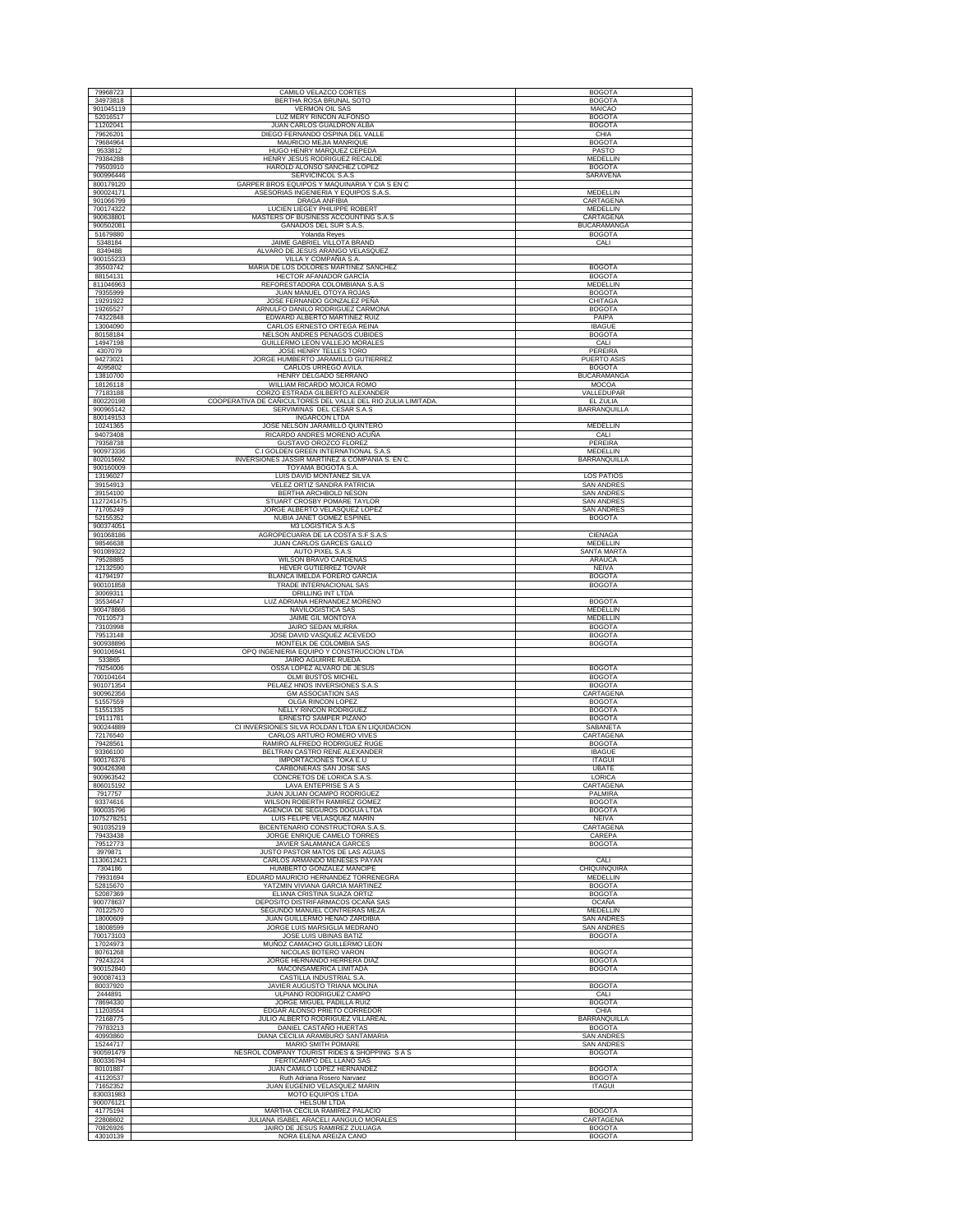| 79968723                | CAMILO VELAZCO CORTES                                                                       | <b>BOGOTA</b>                          |
|-------------------------|---------------------------------------------------------------------------------------------|----------------------------------------|
| 34973818                | BERTHA ROSA BRUNAL SOTO                                                                     | <b>BOGOTA</b>                          |
| 901045119<br>52016517   | <b>VERMON OIL SAS</b><br>LUZ MERY RINCON ALFONSO                                            | MAICAO<br><b>BOGOTA</b>                |
| 11202041                | JUAN CARLOS GUALDRON ALBA                                                                   | <b>BOGOTA</b>                          |
| 79626201                | DIEGO FERNANDO OSPINA DEL VALLE                                                             | CHIA<br><b>BOGOTA</b>                  |
| 79684964<br>9533812     | MAURICIO MEJIA MANRIQUE<br>HUGO HENRY MARQUEZ CEPEDA                                        | PASTO                                  |
| 79384288                | HENRY JESUS RODRIGUEZ RECALDE                                                               | MEDELLIN                               |
| 79503910                | HAROLD ALONSO SANCHEZ LOPEZ                                                                 | <b>BOGOTA</b>                          |
| 900996446<br>800179120  | SERVICINCOL S.A.S<br>GARPER BROS EQUIPOS Y MAQUINARIA Y CIA S EN C                          | SARAVENA                               |
| 900024171               | ASESORIAS INGENIERIA Y EQUIPOS S.A.S.                                                       | <b>MEDELLIN</b>                        |
| 901066799               | <b>DRAGA ANFIBIA</b>                                                                        | CARTAGENA                              |
| 700174322<br>900638801  | LUCIEN LIEGEY PHILIPPE ROBERT<br>MASTERS OF BUSINESS ACCOUNTING S.A.S                       | MEDELLIN<br>CARTAGENA                  |
| 900502081               | GANADOS DEL SUR S.A.S.                                                                      | <b>BUCARAMANGA</b>                     |
| 51679880                | Yolanda Reyes                                                                               | <b>BOGOTA</b>                          |
| 5348184<br>8349488      | JAIME GABRIEL VILLOTA BRAND<br>ALVARO DE JESUS ARANGO VELASQUEZ                             | CALI                                   |
| 900155233               | VILLA Y COMPAÑIA S.A.                                                                       |                                        |
| 35503742<br>88154131    | MARIA DE LOS DOLORES MARTINEZ SANCHEZ                                                       | <b>BOGOTA</b><br><b>BOGOTA</b>         |
| 811046963               | HECTOR AFANADOR GARCÍA<br>REFORESTADORA COLOMBIANA S.A.S                                    | MEDELLIN                               |
| 79355999                | JUAN MANUEL OTOYA ROJAS                                                                     | <b>BOGOTA</b>                          |
| 19291922<br>19265527    | JOSE FERNANDO GONZALEZ PEÑA<br>ARNULFO DANILO RODRIGUEZ CARMONA                             | CHITAGA<br><b>BOGOTA</b>               |
| 74322848                | EDWARD ALBERTO MARTINEZ RUIZ                                                                | PAIPA                                  |
| 13004090                | CARLOS ERNESTO ORTEGA REINA                                                                 | <b>IBAGUE</b>                          |
| 80158184<br>14947198    | NELSON ANDRES PENAGOS CUBIDES<br>GUILLERMO LEON VALLEJO MORALES                             | <b>BOGOTA</b><br>CALI                  |
| 4307079                 | JOSE HENRY TELLES TORO                                                                      | PEREIRA                                |
| 94273021                | JORGE HUMBERTO JARAMILLO GUTIERREZ                                                          | <b>PUERTO ASIS</b>                     |
| 4095802                 | CARLOS URREGO AVILA                                                                         | <b>BOGOTA</b><br><b>BUCARAMANGA</b>    |
| 13810700<br>18126118    | HENRY DELGADO SERRANO<br>WILLIAM RICARDO MOJICA ROMO                                        | MOCOA                                  |
| 77183188                | CORZO ESTRADA GILBERTO ALEXANDER                                                            | VALLEDUPAR                             |
| 800220198<br>900965142  | COOPERATIVA DE CAÑICULTORES DEL VALLE DEL RIO ZULIA LIMITADA.<br>SERVIMINAS DEL CESAR S.A.S | <b>EL ZULIA</b><br>BARRANQUILLA        |
| 800149153               | <b>INGARCON LTDA</b>                                                                        |                                        |
| 10241365                | JOSE NELSON JARAMILLO QUINTERO                                                              | MEDELLIN                               |
| 94073408<br>79358738    | RICARDO ANDRES MORENO ACUÑA<br>GUSTAVO OROZCO FLOREZ                                        | CALI<br>PEREIRA                        |
| 900973336               | C.I GOLDEN GREEN INTERNATIONAL S.A.S                                                        | MEDELLIN                               |
| 802015692               | INVERSIONES JASSIR MARTINEZ & COMPANIA S. EN C.                                             | <b>BARRANQUILLA</b>                    |
| 900160009<br>13196027   | TOYAMA BOGOTA S.A.<br>LUIS DAVID MONTAÑEZ SILVA                                             | <b>LOS PATIOS</b>                      |
| 39154913                | VELEZ ORTIZ SANDRA PATRICIA                                                                 | SAN ANDRE:                             |
| 39154100                | BERTHA ARCHBOLD NESON                                                                       | <b>SAN ANDRES</b>                      |
| 1127241475<br>71705249  | STUART CROSBY POMARE TAYLOR<br>JORGE ALBERTO VELASQUEZ LOPEZ                                | <b>SAN ANDRES</b><br><b>SAN ANDRES</b> |
| 52155352                | NUBIA JANET GOMEZ ESPINEL                                                                   | <b>BOGOTA</b>                          |
| 900374051               | M3 LOGISTICA S.A.S                                                                          |                                        |
| 901068186<br>98546638   | AGROPECUARIA DE LA COSTA S.F S.A.S<br>JUAN CARLOS GARCES GALLO                              | CIENAGA<br>MEDELLIN                    |
| 901089322               | AUTO PIXEL S.A.S                                                                            | SANTA MARTA                            |
| 79528885                | WILSON BRAVO CARDENAS                                                                       | <b>ARAUCA</b>                          |
| 12132590<br>41794197    | HEVER GUTIERREZ TOVAR<br>BLANCA IMELDA FORERO GARCIA                                        | NEIVA<br><b>BOGOTA</b>                 |
| 900101858               | TRADE INTERNACIONAL SAS                                                                     | <b>BOGOTA</b>                          |
| 30069311                | DRILLING INT LTDA                                                                           |                                        |
| 35534647<br>900478866   | LUZ ADRIANA HERNANDEZ MORENO<br>NAVILOGISTICA SAS                                           | <b>BOGOTA</b><br>MEDELLIN              |
| 70110573                | <b>JAIME GIL MONTOYA</b>                                                                    | MEDELLIN                               |
| 73103998                | JAIRO SEDAN MURRA                                                                           | <b>BOGOTA</b>                          |
| 79513148<br>900938896   | JOSE DAVID VASQUEZ ACEVEDO<br>MONTELK DE COLOMBIA SAS                                       | <b>BOGOTA</b><br><b>BOGOTA</b>         |
| 900106941               | OPQ INGENIERIA EQUIPO Y CONSTRUCCION LTDA                                                   |                                        |
| 533865                  | JAIRO AGUIRRE RUEDA                                                                         |                                        |
| 79254006<br>700104164   | OSSA LOPEZ ALVARO DE JESUS<br><b>OLMI BUSTOS MICHEL</b>                                     | <b>BOGOTA</b><br><b>BOGOTA</b>         |
| 901071354               | PELAEZ HNOS INVERSIONES S.A.S                                                               | <b>BOGOTA</b>                          |
| 900962356<br>51557559   | <b>GM ASSOCIATION SAS</b><br>OLGA RINCON LOPEZ                                              | CARTAGENA<br><b>BOGOTA</b>             |
| 51551335                | NELLY RINCON RODRIGUEZ                                                                      | <b>BOGOTA</b>                          |
| 19111781                | ERNESTO SAMPER PIZANO                                                                       | <b>BOGOTA</b>                          |
| 900244889<br>72176540   | CI INVERSIONES SILVA ROLDAN LTDA EN LIQUIDACION<br>CARLOS ARTURO ROMERO VIVES               | SABANETA<br>CARTAGENA                  |
| 79428561                | RAMIRO ALFREDO RODRIGUEZ RUGE                                                               | <b>BOGOTA</b>                          |
| 93366100                | BELTRAN CASTRO RENE ALEXANDER                                                               | <b>IBAGUE</b>                          |
| 900176376<br>900426398  | IMPORTACIONES TOKA E.U<br>CARBONERAS SAN JOSE SAS                                           | <b>ITAGUI</b><br>UBATE                 |
| 900963542               | CONCRETOS DE LORICA S.A.S                                                                   | LORICA                                 |
| 806015192               | LAVA ENTEPRISE S A S                                                                        | CARTAGENA<br>PALMIRA                   |
| 7917757<br>93374616     | JUAN JULIAN OCAMPO RODRIGUEZ<br>WILSON ROBERTH RAMIREZ GOME.                                | <b>BOGOTA</b>                          |
| 900035796               | AGENCIA DE SEGUROS DOGUA LTDA                                                               | <b>BOGOTA</b>                          |
| 1075278251<br>901035219 | LUIS FELIPE VELASQUEZ MARIN<br>BICENTENARIO CONSTRUCTORA S.A.S.                             | <b>NEIVA</b><br>CARTAGENA              |
| 79433438                | JORGE ENRIQUE CAMELO TORRES                                                                 | CAREPA                                 |
| 79512773                | JAVIER SALAMANCA GARCES                                                                     | <b>BOGOTA</b>                          |
| 3979871<br>1130612421   | JUSTO PASTOR MATOS DE LAS AGUAS<br>CARLOS ARMANDO MENESES PAYAN                             | CALI                                   |
| 7304186                 | HUMBERTO GONZALEZ MANCIPE                                                                   | CHIQUINQUIRA                           |
| 79931694                | EDUARD MAURICIO HERNANDEZ TORRENEGRA                                                        | <b>MEDELLIN</b>                        |
| 52815670<br>52087369    | YATZMIN VIVIANA GARCIA MARTINEZ<br>ELIANA CRISTINA SUAZA ORTIZ                              | <b>BOGOTA</b><br><b>BOGOTA</b>         |
| 900778637               | DEPOSITO DISTRIFARMACOS OCAÑA SAS                                                           | <b>OCAÑA</b>                           |
| 70122570                | SEGUNDO MANUEL CONTRERAS MEZA                                                               | MEDELLIN                               |
| 18000609<br>18008599    | JUAN GUILLERMO HENAO ZARDIBIA<br>JORGE LUIS MARSIGLIA MEDRANO                               | <b>SAN ANDRES</b><br><b>SAN ANDRES</b> |
| 700173103               | JOSE LUIS UBINAS BATIZ                                                                      | <b>BOGOTA</b>                          |
| 17024973                | MUÑOZ CAMACHO GUILLERMO LEON<br>NICOLAS BOTERO VARON                                        | <b>BOGOTA</b>                          |
| 80761268<br>79243224    | JORGE HERNANDO HERRERA DIAZ                                                                 | <b>BOGOTA</b>                          |
| 900152840               | MACONSAMERICA LIMITADA                                                                      | <b>BOGOTA</b>                          |
| 900087413<br>80037920   | CASTILLA INDUSTRIAL S.A.<br>JAVIER AUGUSTO TRIANA MOLINA                                    | <b>BOGOTA</b>                          |
| 2444891                 | ULPIANO RODRIGUEZ CAMPO                                                                     | CALI                                   |
| 78694330                | JORGE MIGUEL PADILLA RUIZ                                                                   | <b>BOGOTA</b>                          |
| 11203554<br>72168775    | EDGAR ALONSO PRIETO CORREDOR<br>JULIO ALBERTO RODRIGUEZ VILLAREAL                           | CHIA<br>BARRANQUILLA                   |
| 79783213                | DANIEL CASTAÑO HUERTAS                                                                      | <b>BOGOTA</b>                          |
| 40993860                | DIANA CECILIA ARAMBURO SANTAMARIA                                                           | <b>SAN ANDRES</b>                      |
| 15244717<br>900591479   | MARIO SMITH POMARE<br>NESROL COMPANY TOURIST RIDES & SHOPPING S A S                         | <b>SAN ANDRES</b><br><b>BOGOTA</b>     |
| 800336794               | FERTICAMPO DEL LLANO SAS                                                                    |                                        |
| 80101887                | JUAN CAMILO LOPEZ HERNANDEZ                                                                 | <b>BOGOTA</b>                          |
| 41120537<br>71652352    | Ruth Adriana Rosero Narvaez<br>JUAN EUGENIO VELASQUEZ MARIN                                 | <b>BOGOTA</b><br><b>ITAGUI</b>         |
| 830031983               | MOTO EQUIPOS LTDA                                                                           |                                        |
| 900076121               | <b>HELSUM LTDA</b>                                                                          |                                        |
| 41775194<br>22808602    | MARTHA CECILIA RAMIREZ PALACIO<br>JULIANA ISABEL ARACELI AANGULO MORALES                    | <b>BOGOTA</b><br>CARTAGENA             |
| 70826926                | JAIRO DE JESUS RAMIREZ ZULUAGA                                                              | <b>BOGOTA</b>                          |
| 43010139                | NORA ELENA AREIZA CANO                                                                      | <b>BOGOTA</b>                          |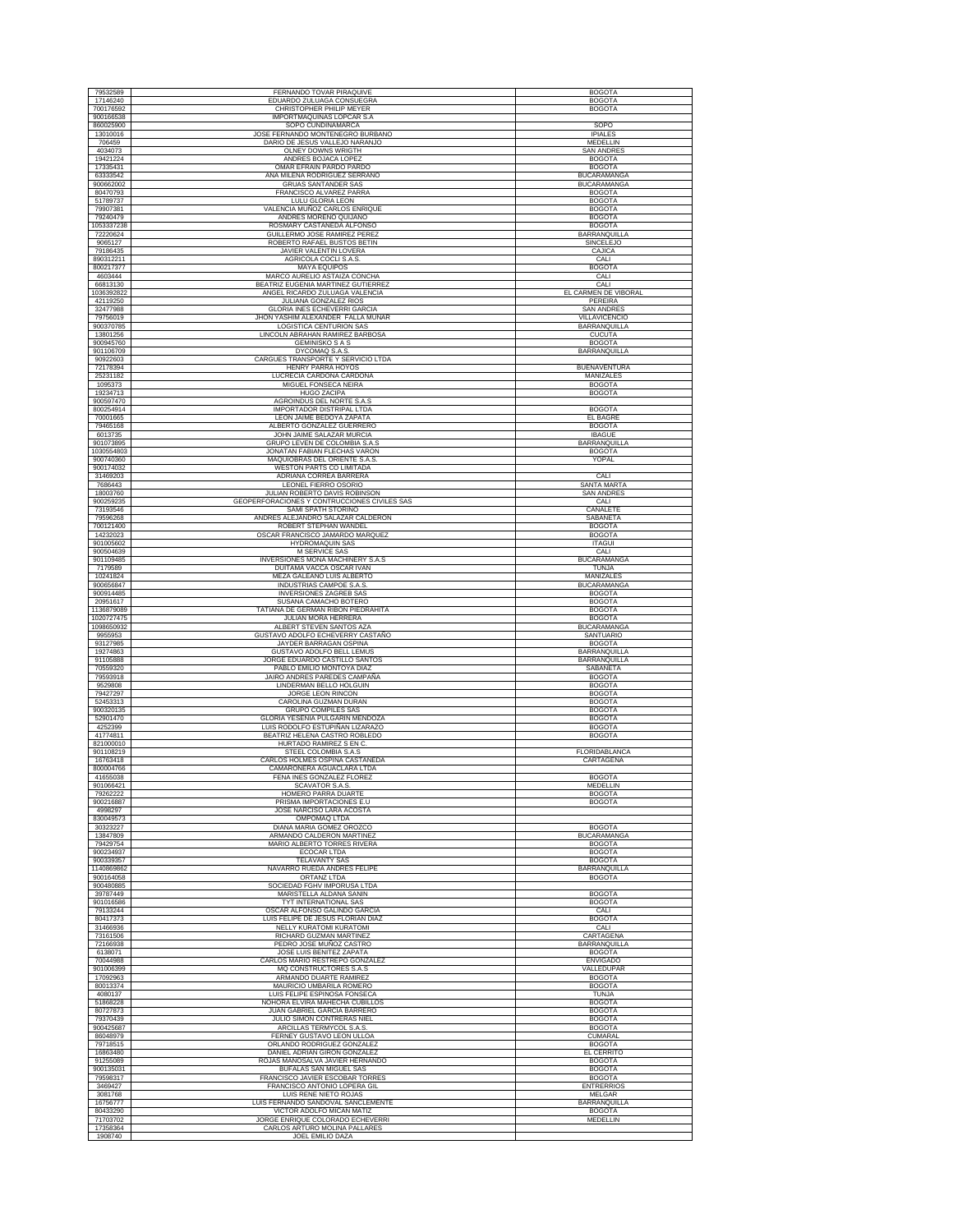| 79532589                 | FERNANDO TOVAR PIRAQUIVE                                            | <b>BOGOTA</b>                            |
|--------------------------|---------------------------------------------------------------------|------------------------------------------|
| 17146240<br>700176592    | EDUARDO ZULUAGA CONSUEGRA<br>CHRISTOPHER PHILIP MEYER               | <b>BOGOTA</b><br><b>BOGOTA</b>           |
| 900166538                | IMPORTMAQUINAS LOPCAR S.A                                           |                                          |
| 860025900                | SOPO CUNDINAMARCA<br>JOSE FERNANDO MONTENEGRO BURBANO               | SOPO<br><b>IPIALES</b>                   |
| 13010016<br>706459       | DARIO DE JESUS VALLEJO NARANJO                                      | MEDELLIN                                 |
| 4034073<br>19421224      | OLNEY DOWNS WRIGTH                                                  | <b>SAN ANDRES</b>                        |
| 17335431                 | ANDRES BOJACA LOPEZ<br>OMAR EFRAIN PARDO PARDO                      | <b>BOGOTA</b><br><b>BOGOTA</b>           |
| 63333542<br>900662002    | ANA MILENA RODRIGUEZ SERRANO<br><b>GRUAS SANTANDER SAS</b>          | <b>BUCARAMANGA</b><br><b>BUCARAMANGA</b> |
| 80470793                 | FRANCISCO ALVAREZ PARRA                                             | <b>BOGOTA</b>                            |
| 51789737                 | <b>LULU GLORIA LEON</b><br>VALENCIA MUÑOZ CARLOS ENRIQUE            | <b>BOGOTA</b><br><b>BOGOTA</b>           |
| 79907381<br>79240479     | ANDRES MORENO QUIJANO                                               | <b>BOGOTA</b>                            |
| 1053337238               | ROSMARY CASTAÑEDA ALFONSO                                           | <b>BOGOTA</b>                            |
| 72220624<br>9065127      | GUILLERMO JOSE RAMIREZ PEREZ<br>ROBERTO RAFAEL BUSTOS BETIN         | BARRANQUILLA<br><b>SINCELEJO</b>         |
| 79186435<br>890312211    | JAVIER VALENTIN LOVERA<br>AGRICOLA COCLI S.A.S                      | CAJICA                                   |
| 800217377                | MAYA EQUIPOS                                                        | CALI<br><b>BOGOTA</b>                    |
| 4603444<br>66813130      | MARCO AURELIO ASTAIZA CONCHA<br>BEATRIZ EUGENIA MARTINEZ GUTIERRE.  | CALI<br>CALI                             |
| 1036392822               | ANGEL RICARDO ZULUAGA VALENCIA                                      | EL CARMEN DE VIBORAL                     |
| 42119250<br>32477988     | <b>JULIANA GONZALEZ RIOS</b><br><b>GLORIA INES ECHEVERRI GARCIA</b> | PERFIRA<br><b>SAN ANDRES</b>             |
| 79756019                 | JHON YASHIM ALEXANDER FALLA MUNAR                                   | <b>VILLAVICENCIO</b>                     |
| 900370785<br>13801256    | LOGISTICA CENTURION SAS<br>LINCOLN ABRAHAN RAMIREZ BARBOSA          | BARRANQUILLA<br><b>CUCUTA</b>            |
| 900945760                | <b>GEMINISKO S A S</b>                                              | <b>BOGOTA</b>                            |
| 901106709<br>90922603    | DYCOMAQ S.A.S.<br>CARGUES TRANSPORTE Y SERVICIO LTDA                | BARRANQUILLA                             |
| 72178394                 | HENRY PARRA HOYOS                                                   | <b>BUENAVENTURA</b>                      |
| 25231182<br>1095373      | LUCRECIA CARDONA CARDONA<br>MIGUEL FONSECA NEIRA                    | MANIZALES<br><b>BOGOTA</b>               |
| 19234713                 | HUGO ZACIPA                                                         | <b>BOGOTA</b>                            |
| 900597470<br>800254914   | AGROINDUS DEL NORTE S.A.S<br><b>IMPORTADOR DISTRIPAL LTDA</b>       | <b>BOGOTA</b>                            |
| 70001665                 | LEON JAIME BEDOYA ZAPATA                                            | EL BAGRE                                 |
| 79465168<br>6013735      | ALBERTO GONZALEZ GUERRERO<br>JOHN JAIME SALAZAR MURCIA              | <b>BOGOTA</b>                            |
| 901073895                | GRUPO LEVEN DE COLOMBIA S.A.S                                       | <b>IBAGUE</b><br><b>BARRANQUILLA</b>     |
| 1030554803<br>900740360  | JONATAN FABIAN FLECHAS VARON<br>MAQUIOBRAS DEL ORIENTE S.A.S        | <b>BOGOTA</b><br>YOPAL                   |
| 900174032                | <b>WESTON PARTS CO LIMITADA</b>                                     |                                          |
| 31469203                 | ADRIANA CORREA BARRERA                                              | CALI                                     |
| 7686443<br>18003760      | LEONEL FIERRO OSORIO<br>JULIAN ROBERTO DAVIS ROBINSON               | <b>SANTA MARTA</b><br><b>SAN ANDRES</b>  |
| 900259235                | GEOPERFORACIONES Y CONTRUCCIONES CIVILES SAS                        | CALI                                     |
| 73193546<br>79596268     | SAMI SPATH STORINO<br>ANDRES ALEJANDRO SALAZAR CALDERON             | CANALETE<br>SABANETA                     |
| 700121400                | ROBERT STEPHAN WANDEL                                               | <b>BOGOTA</b>                            |
| 14232023<br>901005602    | OSCAR FRANCISCO JAMARDO MARQUEZ<br><b>HYDROMAQUIN SAS</b>           | <b>BOGOTA</b><br><b>ITAGUI</b>           |
| 900504639                | M SERVICE SAS                                                       | CALI                                     |
| 901109485<br>7179589     | INVERSIONES MONA MACHINERY S.A.S<br>DUITAMA VACCA OSCAR IVAN        | <b>BUCARAMANGA</b><br>TUNJA              |
| 10241824                 | MEZA GALEANO LUIS ALBERTO                                           | MANIZALES                                |
| 900656847<br>900914485   | INDUSTRIAS CAMPOE S.A.S.<br><b>INVERSIONES ZAGREB SAS</b>           | <b>BUCARAMANGA</b><br><b>BOGOTA</b>      |
| 20951617                 | SUSANA CAMACHO BOTERO                                               | <b>BOGOTA</b>                            |
| 1136879089<br>1020727475 | TATIANA DE GERMAN RIBON PIEDRAHITA<br>JULIAN MORA HERRERA           | <b>BOGOTA</b><br><b>BOGOTA</b>           |
| 1098650932               | ALBERT STEVEN SANTOS AZA                                            | <b>BUCARAMANGA</b>                       |
| 9955953<br>93127985      | GUSTAVO ADOLFO ECHEVERRY CASTAÑO<br>JAYDER BARRAGAN OSPINA          | SANTUARIO<br><b>BOGOTA</b>               |
| 19274863                 | GUSTAVO ADOLFO BELL LEMUS                                           | BARRANQUILLA                             |
| 91105888<br>70559320     | JORGE EDUARDO CASTILLO SANTOS<br>PABLO EMILIO MONTOYA DIAZ          | <b>BARRANQUILLA</b><br>SABANETA          |
| 79593918                 | JAIRO ANDRES PAREDES CAMPAÑA<br>LINDERMAN BELLO HOLGUIN             | <b>BOGOTA</b>                            |
| 9529808<br>79427297      | JORGE LEON RINCON                                                   | <b>BOGOTA</b><br><b>BOGOTA</b>           |
| 52453313                 | CAROLINA GUZMAN DURAN                                               | <b>BOGOTA</b>                            |
| 900320135<br>52901470    | GRUPO COMPILES SAS<br>GLORIA YESENIA PULGARIN MENDOZA               | <b>BOGOTA</b><br><b>BOGOTA</b>           |
| 4252399                  | LUIS RODOLFO ESTUPIÑAN LIZARAZO                                     | <b>BOGOTA</b>                            |
| 41774811<br>821000010    | BEATRIZ HELENA CASTRO ROBLEDO<br>HURTADO RAMIREZ S EN C.            | <b>BOGOTA</b>                            |
| 901108219<br>16763418    | STEEL COLOMBIA S.A.S                                                | FLORIDABLANCA                            |
| 800004766                | CARLOS HOLMES OSPINA CASTAÑEDA<br>CAMARONERA AGUACLARA LTDA         | CARTAGENA                                |
| 41655038                 | FENA INES GONZALEZ FLOREZ                                           | <b>BOGOTA</b>                            |
| 901066421<br>79262222    | <b>SCAVATOR S.A.S</b><br>HOMERO PARRA DUARTE                        | MEDELLIN<br><b>BOGOTA</b>                |
| 900216887                | PRISMA IMPORTACIONES E.U                                            | <b>BOGOTA</b>                            |
| 4998297<br>830049573     | JOSE NARCISO LARA ACOSTA<br>OMPOMAQ LTDA                            |                                          |
| 30323227<br>13847809     | DIANA MARIA GOMEZ OROZCO<br>ARMANDO CALDERON MARTINEZ               | <b>BOGOTA</b><br><b>BUCARAMANGA</b>      |
| 79429754                 | MARIO ALBERTO TORRES RIVERA                                         | <b>BOGOTA</b>                            |
| 900234937<br>900339357   | ECOCAR LTDA<br><b>TELAVANTY SAS</b>                                 | <b>BOGOTA</b><br><b>BOGOTA</b>           |
| 1140869862               | NAVARRO RUEDA ANDRES FELIPE                                         | BARRANQUILLA                             |
| 900164058<br>900480885   | <b>ORTANZ LTDA</b><br>SOCIEDAD FGHV IMPORUSA LTDA                   | <b>BOGOTA</b>                            |
| 39787449                 | MARISTELLA ALDANA SANIN                                             | <b>BOGOTA</b>                            |
| 901016586<br>79133244    | TYT INTERNATIONAL SAS<br>OSCAR ALFONSO GALINDO GARCIA               | <b>BOGOTA</b><br>CALI                    |
| 80417373                 | LUIS FELIPE DE JESUS FLORIAN DIAZ                                   | <b>BOGOTA</b>                            |
| 31466936<br>73161506     | NELLY KURATOMI KURATOMI<br>RICHARD GUZMAN MARTINEZ                  | CALI<br>CARTAGENA                        |
| 72166938                 | PEDRO JOSE MUÑOZ CASTRO                                             | BARRANQUILLA                             |
| 6138071<br>70044988      | JOSE LUIS BENITEZ ZAPATA<br>CARLOS MARIO RESTREPO GONZALEZ          | <b>BOGOTA</b><br><b>ENVIGADO</b>         |
| 901006399                | MQ CONSTRUCTORES S.A.S                                              | VALLEDUPAR                               |
| 17092963<br>80013374     | ARMANDO DUARTE RAMIREZ<br>MAURICIO UMBARILA ROMERO                  | <b>BOGOTA</b><br><b>BOGOTA</b>           |
| 4080137                  | LUIS FELIPE ESPINOSA FONSECA                                        | <b>TUNJA</b>                             |
| 51868228<br>80727873     | NOHORA ELVIRA MAHECHA CUBILLOS<br>JUAN GABRIEL GARCIA BARRERO       | <b>BOGOTA</b><br><b>BOGOTA</b>           |
| 79370439                 | JULIO SIMON CONTRERAS NIEL                                          | <b>BOGOTA</b>                            |
| 900425687<br>86048979    | ARCILLAS TERMYCOL S.A.S.<br>FERNEY GUSTAVO LEON ULLOA               | <b>BOGOTA</b><br><b>CUMARAL</b>          |
| 79718515                 | ORLANDO RODRIGUEZ GONZALEZ                                          | <b>BOGOTA</b>                            |
| 16863480<br>91255089     | DANIEL ADRIAN GIRON GONZALEZ<br>ROJAS MANOSALVA JAVIER HERNANDO     | <b>EL CERRITO</b><br><b>BOGOTA</b>       |
| 900135031                | BUFALAS SAN MIGUEL SAS                                              | <b>BOGOTA</b>                            |
| 79598317<br>3469427      | FRANCISCO JAVIER ESCOBAR TORRES<br>FRANCISCO ANTONIO LOPERA GIL     | <b>BOGOTA</b><br><b>ENTRERRIOS</b>       |
| 3081768                  | LUIS RENE NIETO ROJAS                                               | <b>MELGAR</b>                            |
| 16756777                 | LUIS FERNANDO SANDOVAL SANCLEMENTE<br>VICTOR ADOLFO MICAN MATIZ     | BARRANQUILLA                             |
| 80433290<br>71703702     | JORGE ENRIQUE COLORADO ECHEVERRI                                    | <b>BOGOTA</b><br>MEDELLIN                |
| 17358364<br>1908740      | CARLOS ARTURO MOLINA PALLARES                                       |                                          |
|                          | JOEL EMILIO DAZA                                                    |                                          |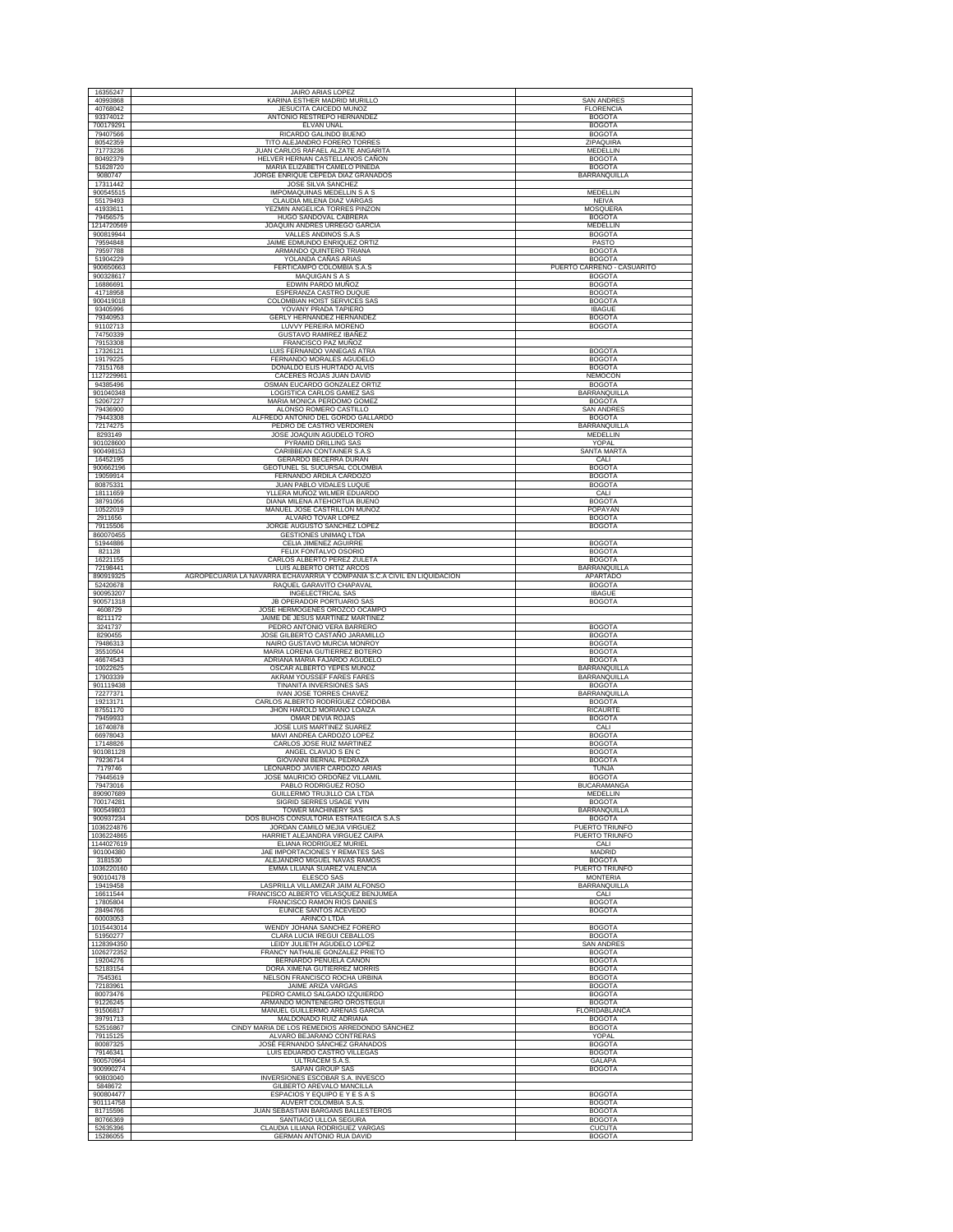| 16355247                                                          | <b>JAIRO ARIAS LOPEZ</b>                                                                             |                                             |
|-------------------------------------------------------------------|------------------------------------------------------------------------------------------------------|---------------------------------------------|
| 40993868                                                          | KARINA ESTHER MADRID MURILLO                                                                         | <b>SAN ANDRES</b>                           |
| 40768042                                                          | <b>JESUCITA CAICEDO MUNOZ</b>                                                                        | <b>FLORENCIA</b>                            |
| 93374012<br>700179291                                             | ANTONIO RESTREPO HERNANDEZ<br><b>ELVAN UNAL</b>                                                      | <b>BOGOTA</b><br><b>BOGOTA</b>              |
| 79407566                                                          | RICARDO GALINDO BUENO                                                                                | <b>BOGOTA</b>                               |
| 80542359                                                          | TITO ALEJANDRO FORERO TORRES                                                                         | <b>ZIPAQUIRA</b>                            |
| 71773236<br>80492379                                              | JUAN CARLOS RAFAEL ALZATE ANGARITA<br>HELVER HERNAN CASTELLANOS CAÑON                                | MEDELLIN<br><b>BOGOTA</b>                   |
| 51628720                                                          | MARIA ELIZABETH CAMELO PINEDA                                                                        | <b>BOGOTA</b>                               |
| 9080747                                                           | JORGE ENRIQUE CEPEDA DIAZ GRANADOS                                                                   | BARRANQUILLA                                |
| 17311442<br>900545515                                             | JOSE SILVA SANCHEZ<br>IMPOMAQUINAS MEDELLIN S A S                                                    | MEDELLIN                                    |
| 55179493                                                          | CLAUDIA MILENA DIAZ VARGAS                                                                           | NEIVA                                       |
| 41933611                                                          | YEZMIN ANGELICA TORRES PINZON                                                                        | MOSQUERA                                    |
| 79456575<br>1214720569                                            | HUGO SANDOVAL CABRERA<br>JOAQUIN ANDRES URREGO GARCÍA                                                | <b>BOGOTA</b><br>MEDELLIN                   |
| 900819944                                                         | VALLES ANDINOS S.A.S                                                                                 | <b>BOGOTA</b>                               |
| 79594848                                                          | JAIME EDMUNDO ENRIQUEZ ORTIZ                                                                         | PASTO                                       |
| 79597788                                                          | ARMANDO QUINTERO TRIANA                                                                              | <b>BOGOTA</b>                               |
| 51904229<br>900650663                                             | YOLANDA CAÑAS ARIAS<br>FERTICAMPO COLOMBIA S.A.S.                                                    | <b>BOGOTA</b><br>PUERTO CARREÑO - CASUARITO |
| 900328617                                                         | MAQUIGAN S A S                                                                                       | <b>BOGOTA</b>                               |
| 16886691                                                          | EDWIN PARDO MUÑOZ<br>ESPERANZA CASTRO DUQUE                                                          | <b>BOGOTA</b>                               |
| 41718958<br>900419018                                             | COLOMBIAN HOIST SERVICES SAS                                                                         | <b>BOGOTA</b><br><b>BOGOTA</b>              |
| 93405996                                                          | YOVANY PRADA TAPIERO                                                                                 | <b>IBAGUE</b>                               |
| 79340953<br>91102713                                              | GERLY HERNANDEZ HERNANDEZ<br>LUVVY PEREIRA MORENO                                                    | <b>BOGOTA</b><br><b>BOGOTA</b>              |
| 74750339                                                          | GUSTAVO RAMIREZ IBAÑEZ                                                                               |                                             |
| 79153308                                                          | FRANCISCO PAZ MUÑOZ                                                                                  |                                             |
| 17326121<br>19179225                                              | LUIS FERNANDO VANEGAS ATRA<br>FERNANDO MORALES AGUDELO                                               | <b>BOGOTA</b><br><b>BOGOTA</b>              |
| 73151768                                                          | DONALDO ELIS HURTADO ALVIS                                                                           | <b>BOGOTA</b>                               |
| 1127229961                                                        | CACERES ROJAS JUAN DAVID                                                                             | NEMOCON                                     |
| 94385496<br>901040348                                             | OSMAN EUCARDO GONZALEZ ORTIZ<br>LOGISTICA CARLOS GAMEZ SAS                                           | <b>BOGOTA</b><br>BARRANQUILLA               |
| 52067227                                                          | MARIA MONICA PERDOMO GOMEZ                                                                           | <b>BOGOTA</b>                               |
| 79436900                                                          | ALONSO ROMERO CASTILLO                                                                               | SAN ANDRE:                                  |
| 79443308<br>72174275                                              | ALFREDO ANTONIO DEL GORDO GALLARDO<br>PEDRO DE CASTRO VERDOREN                                       | <b>BOGOTA</b><br><b>BARRANOUILLA</b>        |
| 8293149                                                           | JOSE JOAQUIN AGUDELO TORO                                                                            | MEDELLIN                                    |
| 901028600                                                         | PYRAMID DRILLING SAS                                                                                 | YOPAL                                       |
| 900498153<br>16452195                                             | CARIBBEAN CONTAINER S.A.S<br>GERARDO BECERRA DURAN                                                   | <b>SANTA MARTA</b><br>CALI                  |
| 900662196                                                         | GEOTUNEL SL SUCURSAL COLOMBIA                                                                        | <b>BOGOTA</b>                               |
| 19059914<br>80875331                                              | FERNANDO ARDILA CARDOZO                                                                              | <b>BOGOTA</b><br><b>BOGOTA</b>              |
| 18111659                                                          | JUAN PABLO VIDALES LUQUE<br>YLLERA MUÑOZ WILMER EDUARDO                                              | CALI                                        |
| 38791056                                                          | DIANA MILENA ATEHORTUA BUENO                                                                         | <b>BOGOTA</b>                               |
| 10522019                                                          | MANUEL JOSE CASTRILLON MUÑOZ                                                                         | POPAYAN                                     |
| 2911656<br>79115506                                               | ALVARO TOVAR LOPEZ<br>JORGE AUGUSTO SANCHEZ LOPEZ                                                    | <b>BOGOTA</b><br><b>BOGOTA</b>              |
| 860070455                                                         | <b>GESTIONES UNIMAQ LTDA</b>                                                                         |                                             |
| 51944886<br>821128                                                | CELIA JIMENEZ AGUIRRE<br>FELIX FONTALVO OSORIO                                                       | <b>BOGOTA</b><br><b>BOGOTA</b>              |
| 16221155                                                          | CARLOS ALBERTO PEREZ ZULETA                                                                          | <b>BOGOTA</b>                               |
| 72198441                                                          | LUIS ALBERTO ORTIZ ARCOS                                                                             | BARRANQUILLA                                |
| 890919325<br>52420678                                             | AGROPECUARIA LA NAVARRA ECHAVARRIA Y COMPAÑIA S.C.A CIVIL EN LIQUIDACION<br>RAQUEL GARAVITO CHAPAVAL | APARTADO<br><b>BOGOTA</b>                   |
| 900953207                                                         | INGELECTRICAL SAS                                                                                    | <b>IBAGUE</b>                               |
| 900571318                                                         | JB OPERADOR PORTUARIO SAS                                                                            | <b>BOGOTA</b>                               |
|                                                                   |                                                                                                      |                                             |
| 4608729                                                           | JOSE HERMOGENES OROZCO OCAMPO                                                                        |                                             |
| 8211172<br>3241737                                                | JAIME DE JESUS MARTINEZ MARTINEZ<br>PEDRO ANTONIO VERA BARRERO                                       | <b>BOGOTA</b>                               |
| 8290455                                                           | JOSE GILBERTO CASTAÑO JARAMILLO                                                                      | <b>BOGOTA</b><br><b>BOGOTA</b>              |
| 79486313<br>35510504                                              | NAIRO GUSTAVO MURCIA MONROY<br>MARIA LORENA GUTIERREZ BOTERC                                         | <b>BOGOTA</b>                               |
| 46674543<br>10022625                                              | ADRIANA MARIA FAJARDO AGUDELO                                                                        | <b>BOGOTA</b>                               |
| 17903339                                                          | OSCAR ALBERTO YEPES MUÑOZ<br>AKRAM YOUSSEF FARES FARES                                               | BARRANQUILLA<br>BARRANQUILLA                |
| 901119438                                                         | TINANITA INVERSIONES SAS                                                                             | <b>BOGOTA</b>                               |
| 72277371<br>19213171                                              | IVAN JOSE TORRES CHAVEZ<br>CARLOS ALBERTO RODRÍGUEZ CÓRDOBA                                          | BARRANQUILLA<br><b>BOGOTA</b>               |
| 87551170                                                          | JHON HAROLD MORIANO LOAIZA                                                                           | RICAURTE                                    |
| 79459933                                                          | OMAR DEVIA ROJAS                                                                                     | <b>BOGOTA</b>                               |
| 16740878<br>66978043                                              | JOSE LUIS MARTINEZ SUARE<br>MAVI ANDREA CARDOZO LOPEZ                                                | CALI<br><b>BOGOTA</b>                       |
| 17148826                                                          | CARLOS JOSE RUIZ MARTINEZ                                                                            | <b>BOGOTA</b>                               |
| 901081128<br>79236714                                             | ANGEL CLAVIJO S EN C                                                                                 | <b>BOGOTA</b><br><b>BOGOTA</b>              |
| 7179746                                                           | GIOVANNI BERNAL PEDRAZA<br>LEONARDO JAVIER CARDOZO ARIAS                                             | <b>TUNJA</b>                                |
| 79445619                                                          | JOSE MAURICIO ORDOÑEZ VILLAMIL                                                                       | <b>BOGOTA</b>                               |
| 79473016<br>890907689                                             | PABLO RODRIGUEZ ROSO<br>GUILLERMO TRUJILLO CIA LTDA                                                  | <b>BUCARAMANGA</b><br>MEDELLIN              |
| 700174281                                                         | SIGRID SERRES USAGE YVIN                                                                             | <b>BOGOTA</b>                               |
| 900549803<br>900937234                                            | TOWER MACHINERY SAS<br>DOS BUHOS CONSULTORIA ESTRATEGICA S.A.S                                       | BARRANQUILLA<br><b>BOGOTA</b>               |
|                                                                   | JORDAN CAMILO MEJIA VIRGUEZ                                                                          | PUERTO TRIUNFO                              |
|                                                                   | HARRIET ALEJANDRA VIRGUEZ CAIPA                                                                      | PUERTO TRIUNFO                              |
| 901004380                                                         | ELIANA RODRIGUEZ MURIEL<br>JAE IMPORTACIONES Y REMATES SAS                                           | CALI<br>MADRID                              |
| 3181530                                                           | ALEJANDRO MIGUEL NAVAS RAMOS                                                                         | <b>BOGOTA</b>                               |
| 1036224876<br>1036224865<br>1144027619<br>1036220160<br>900104178 | EMMA LILIANA SUAREZ VALENCIA                                                                         | PUERTO TRIUNFO                              |
| 19419458                                                          | ELESCO SAS<br>LASPRILLA VILLAMIZAR JAIM ALFONSO                                                      | <b>MONTERIA</b><br>BARRANQUILLA             |
| 16611544                                                          | FRANCISCO ALBERTO VELASQUEZ BENJUMEA                                                                 | CALI                                        |
| 17805804                                                          | FRANCISCO RAMON RIOS DANIES<br>EUNICE SANTOS ACEVEDO                                                 | <b>BOGOTA</b>                               |
| 28494766<br>60003053                                              | ARINCO LTDA                                                                                          | <b>BOGOTA</b>                               |
| 1015443014                                                        | WENDY JOHANA SANCHEZ FORERO                                                                          | <b>BOGOTA</b>                               |
| 51950277<br>1128394350                                            | CLARA LUCIA IREGUI CEBALLOS<br>LEIDY JULIETH AGUDELO LOPEZ                                           | <b>BOGOTA</b><br><b>SAN ANDRES</b>          |
| 1026272352                                                        | FRANCY NATHALIE GONZALEZ PRIETO                                                                      | <b>BOGOTA</b>                               |
| 19204276                                                          | BERNARDO PEÑUELA CAÑON                                                                               | <b>BOGOTA</b>                               |
| 52183154<br>7545361                                               | DORA XIMENA GUTIERREZ MORRIS<br>NELSON FRANCISCO ROCHA URBINA                                        | <b>BOGOTA</b><br><b>BOGOTA</b>              |
| 72183961                                                          | JAIME ARIZA VARGAS                                                                                   | <b>BOGOTA</b>                               |
| 80073476<br>91226245                                              | PEDRO CAMILO SALGADO IZQUIERDO<br>ARMANDO MONTENEGRO OROSTEGUI                                       | <b>BOGOTA</b><br><b>BOGOTA</b>              |
| 91506817                                                          | MANUEL GUILLERMO ARENAS GARCIA                                                                       | FLORIDABLANCA                               |
| 39791713                                                          | MALDONADO RUIZ ADRIANA                                                                               | <b>BOGOTA</b>                               |
| 52516867<br>79115125                                              | CINDY MARIA DE LOS REMEDIOS ARREDONDO SÁNCHEZ<br>ALVARO BEJARANO CONTRERAS                           | <b>BOGOTA</b><br>YOPAL                      |
| 80087325                                                          | JOSÉ FERNANDO SÁNCHEZ GRANADOS                                                                       | <b>BOGOTA</b>                               |
| 79146341                                                          | LUIS EDUARDO CASTRO VILLEGAS                                                                         | <b>BOGOTA</b>                               |
| 900570964<br>900990274                                            | <b>ULTRACEM S.A.S.</b><br>SAPAN GROUP SAS                                                            | <b>GALAPA</b><br><b>BOGOTA</b>              |
| 90803040                                                          | INVERSIONES ESCOBAR S.A. INVESCO                                                                     |                                             |
| 5848672                                                           | GILBERTO AREVALO MANCILLA                                                                            |                                             |
| 900804477<br>901114758                                            | ESPACIOS Y EQUIPO E Y E S A S<br>AUVERT COLOMBIA S.A.S.                                              | <b>BOGOTA</b><br><b>BOGOTA</b>              |
| 81715596                                                          | JUAN SEBASTIAN BARGANS BALLESTEROS                                                                   | <b>BOGOTA</b>                               |
| 80766369<br>52635396                                              | SANTIAGO ULLOA SEGURA<br>CLAUDIA LILIANA RODRIGUEZ VARGAS                                            | <b>BOGOTA</b><br><b>CUCUTA</b>              |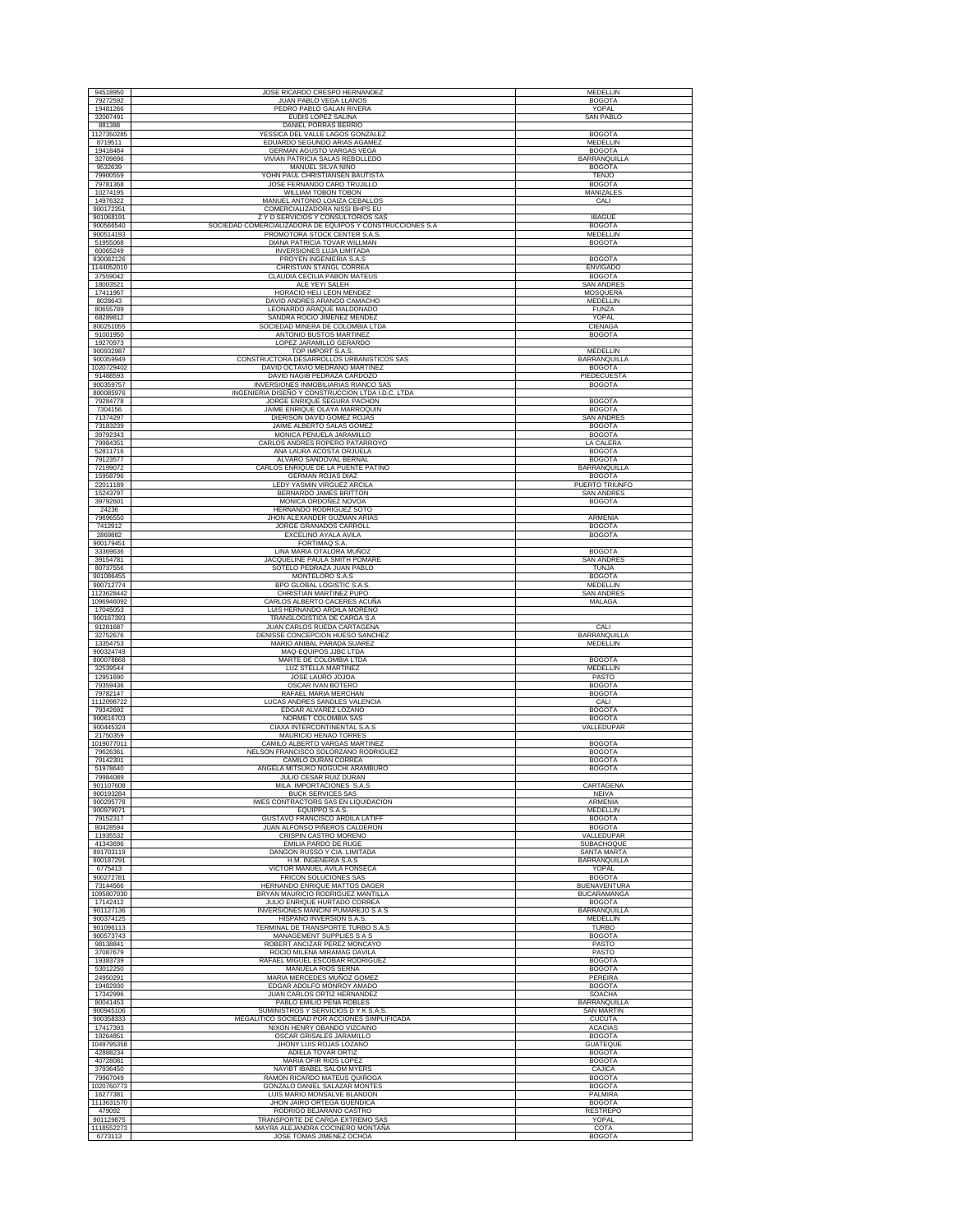| 94518950                 | JOSE RICARDO CRESPO HERNANDEZ                                                    | <b>MEDELLIN</b>                    |
|--------------------------|----------------------------------------------------------------------------------|------------------------------------|
| 79272592                 | JUAN PABLO VEGA LLANOS                                                           | <b>BOGOTA</b>                      |
| 19481266                 | PEDRO PABLO GALAN RIVERA                                                         | YOPAL                              |
| 32007491                 | EUDIS LOPEZ SALINA                                                               | <b>SAN PABLO</b>                   |
| 881388                   | <b>DANIEL PORRAS BERRIO</b>                                                      |                                    |
| 1127350285               | YESSICA DEL VALLE LAGOS GONZALEZ                                                 | <b>BOGOTA</b>                      |
| 8719511<br>19418484      | EDUARDO SEGUNDO ARIAS AGAMEZ<br>GERMAN AGUSTO VARGAS VEGA                        | MEDELLIN<br><b>BOGOTA</b>          |
| 32709696                 | VIVIAN PATRICIA SALAS REBOLLEDO                                                  | BARRANQUILLA                       |
| 9532639                  | MANUEL SILVA NIÑO                                                                | <b>BOGOTA</b>                      |
| 79900559                 | YOHN PAUL CHRISTIANSEN BAUTISTA                                                  | <b>TENJO</b>                       |
| 79781368                 | JOSE FERNANDO CARO TRUJILLO                                                      | <b>BOGOTA</b>                      |
| 10274195                 | WILLIAM TOBON TOBON                                                              | MANIZALES                          |
| 14976322<br>900172351    | MANUEL ANTONIO LOAIZA CEBALLOS<br>COMERCIALIZADORA NISSI BHPS EU                 | CALI                               |
| 901068191                | Z Y D SERVICIOS Y CONSULTORIOS SAS                                               | <b>IBAGUE</b>                      |
| 900566540                | SOCIEDAD COMERCIALIZADORA DE EQUIPOS Y CONSTRUCCIONES S.A                        | <b>BOGOTA</b>                      |
| 900514193                | PROMOTORA STOCK CENTER S.A.S                                                     | MEDELLIN                           |
| 51955068<br>60065249     | DIANA PATRICIA TOVAR WILLMAN                                                     | <b>BOGOTA</b>                      |
| 830082126                | INVERSIONES LUJA LIMITADA<br>PROYEN INGENIERIA S.A.S                             | <b>BOGOTA</b>                      |
| 1144052010               | CHRISTIAN STANGL CORREA                                                          | <b>ENVIGADO</b>                    |
| 37559042                 | CLAUDIA CECILIA PABON MATEUS                                                     | <b>BOGOTA</b>                      |
| 18003521                 | ALE YEYI SALEH                                                                   | <b>SAN ANDRES</b>                  |
| 17411967                 | HORACIO HELI LEON MENDEZ                                                         | <b>MOSQUERA</b>                    |
| 8028643<br>80655789      | DAVID ANDRES ARANGO CAMACHO<br>LEONARDO ARAQUE MALDONADO                         | <b>MEDELLIN</b><br><b>FUNZA</b>    |
| 68289812                 | SANDRA ROCIO JIMENEZ MENDEZ                                                      | YOPAL                              |
| 800251055                | SOCIEDAD MINERA DE COLOMBIA LTDA                                                 | CIENAGA                            |
| 91001950                 | ANTONIO BUSTOS MARTINEZ                                                          | <b>BOGOTA</b>                      |
| 19270973<br>900932987    | LOPEZ JARAMILLO GERARDO<br>TOP IMPORT S.A.S.                                     | <b>MEDELLIN</b>                    |
| 900359949                | CONSTRUCTORA DESARROLLOS URBANISTICOS SAS                                        | BARRANQUILLA                       |
| 1020729402               | DAVID OCTAVIO MEDRANO MARTINEZ                                                   | <b>BOGOTA</b>                      |
| 91488593                 | DAVID NAGIB PEDRAZA CARDOZO                                                      | PIEDECUESTA                        |
| 900359757                | INVERSIONES INMOBILIARIAS RIANCO SAS                                             | <b>BOGOTA</b>                      |
| 800085976<br>79284778    | INGENIERIA DISEÑO Y CONSTRUCCION LTDA I.D.C. LTDA<br>JORGE ENRIQUE SEGURA PACHON | <b>BOGOTA</b>                      |
| 7304156                  | JAIME ENRIQUE OLAYA MARROQUIN                                                    | <b>BOGOTA</b>                      |
| 71374297                 | DIERISON DAVID GOMEZ ROJAS                                                       | <b>SAN ANDRES</b>                  |
| 73183239                 | JAIME ALBERTO SALAS GOMEZ                                                        | <b>BOGOTA</b>                      |
| 39792343                 | MONICA PENUELA JARAMILLO                                                         | <b>BOGOTA</b>                      |
| 79984351<br>52811716     | CARLOS ANDRES ROPERO PATARROYO<br>ANA LAURA ACOSTA ORJUELA                       | LA CALERA<br><b>BOGOTA</b>         |
| 79123577                 | ALVARO SANDOVAL BERNAL                                                           | <b>BOGOTA</b>                      |
| 72199072                 | CARLOS ENRIQUE DE LA PUENTE PATIÑO                                               | <b>BARRANQUILLA</b>                |
| 15958796                 | <b>GERMAN ROJAS DIAZ</b>                                                         | <b>BOGOTA</b>                      |
| 22011189                 | LEDY YASMIN VIRGUEZ ARCILA                                                       | PUERTO TRIUNFO                     |
| 15243797<br>39792601     | BERNARDO JAMES BRITTON<br>MONICA ORDOÑEZ NOVOA                                   | <b>SAN ANDRES</b><br><b>BOGOTA</b> |
| 24236                    | HERNANDO RODRIGUEZ SOTO                                                          |                                    |
| 79696550                 | JHON ALEXANDER GUZMAN ARIAS                                                      | ARMENIA                            |
| 7412912                  | JORGE GRANADOS CARROLL                                                           | <b>BOGOTA</b>                      |
| 2869882                  | EXCELINO AYALA AVILA                                                             | <b>BOGOTA</b>                      |
| 900179451<br>33369636    | FORTIMAQ S.A.<br>LINA MARIA OTALORA MUÑOZ                                        | <b>BOGOTA</b>                      |
| 39154781                 | JACQUELINE PAULA SMITH POMARE                                                    | <b>SAN ANDRES</b>                  |
| 80737556                 | SOTELO PEDRAZA JUAN PABLO                                                        | <b>TUNJA</b>                       |
| 901086455                | MONTELORO S.A.S                                                                  | <b>BOGOTA</b>                      |
| 900712774                | BPO GLOBAL LOGISTIC S.A.S<br>CHRISTIAN MARTINEZ PUPO                             | MEDELLIN                           |
| 1123628442<br>1096946092 | CARLOS ALBERTO CACERES ACUÑA                                                     | <b>SAN ANDRES</b><br>MALAGA        |
|                          |                                                                                  |                                    |
| 17045053                 | LUIS HERNANDO ARDILA MORENO                                                      |                                    |
| 900167393                | TRANSLOGISTICA DE CARGA S.A                                                      |                                    |
| 91281687                 | JUAN CARLOS RUEDA CARTAGENA                                                      | CALI                               |
| 32752676                 | DENISSE CONCEPCION HUESO SANCHEZ                                                 | BARRANQUILLA                       |
| 13354753                 | MARIO ANIBAL PARADA SUAREZ                                                       | MEDELLIN                           |
| 900324749<br>800078868   | MAQ-EQUIPOS JJBC LTDA<br>MARTE DE COLOMBIA LTDA                                  | <b>BOGOTA</b>                      |
| 32539544                 | <b>LUZ STELLA MARTINEZ</b>                                                       | MEDELLIN                           |
| 12951690                 | JOSE LAURO JOJOA                                                                 | PASTO                              |
| 79359436<br>79782147     | OSCAR IVAN BOTERO                                                                | <b>BOGOTA</b>                      |
| 1112098722               | RAFAEL MARIA MERCHAN<br>LUCAS ANDRES SANDLES VALENCIA                            | <b>BOGOTA</b><br>CALI              |
| 79342692                 | EDGAR ALVAREZ LOZANO                                                             | <b>BOGOTA</b>                      |
| 900616703                | NORMET COLOMBIA SAS                                                              | <b>BOGOTA</b>                      |
| 900445324                | CIAXA INTERCONTINENTAL S.A.S                                                     | VALLEDUPAR                         |
| 21750359<br>1019077011   | MAURICIO HENAO TORRES<br>CAMILO ALBERTO VARGAS MARTINEZ                          | <b>BOGOTA</b>                      |
| 79626361                 | NELSON FRANCISCO SOLORZANO RODRIGUEZ                                             | <b>BOGOTA</b>                      |
| 79142301                 | CAMILO DURAN CORREA                                                              | <b>BOGOTA</b>                      |
| 51978640                 | ANGELA MITSUKO NOGUCHI ARAMBURO                                                  | <b>BOGOTA</b>                      |
| 79984089<br>901107608    | JULIO CESAR RUIZ DURAN<br>MILA IMPORTACIONES S.A.S                               |                                    |
| 900193284                | <b>BUCK SERVICES SAS</b>                                                         | CARTAGENA<br><b>NEIVA</b>          |
| 900295778                | IWES CONTRACTORS SAS EN LIQUIDACION                                              | <b>ARMENIA</b>                     |
| 900979071                | EOUIPPO S.A.S.                                                                   | MEDELLIN                           |
| 79152317<br>80428594     | GUSTAVO FRANCISCO ARDILA LATIFF<br><b>JUAN ALFONSO PIÑEROS CALDERON</b>          | <b>BOGOTA</b><br><b>BOGOTA</b>     |
| 11935532                 | CRISPIN CASTRO MORENO                                                            | VALLEDUPAR                         |
| 41343696                 | <b>EMILIA PARDO DE RUGE</b>                                                      | <b>SUBACHOQUE</b>                  |
| 891703119                | DANGON RUSSO Y CIA. LIMITADA                                                     | SANTA MARTA                        |
| 800187291<br>6775413     | H.M. INGENERIA S.A.S<br>VICTOR MANUEL AVILA FONSECA                              | BARRANQUILLA<br>YOPAL              |
| 900272781                | FRICON SOLUCIONES SAS                                                            | <b>BOGOTA</b>                      |
| 73144566                 | HERNANDO ENRIQUE MATTOS DAGER                                                    | <b>BUENAVENTURA</b>                |
| 1095807030               | BRYAN MAURICIO RODRIGUEZ MANTILLA                                                | <b>BUCARAMANGA</b>                 |
| 17142412                 | JULIO ENRIQUE HURTADO CORREA<br><b>INVERSIONES MANCINI PUMAREJO S A S</b>        | <b>BOGOTA</b>                      |
| 901127136<br>900374125   | HISPANO INVERSION S.A.S.                                                         | BARRANQUILLA<br>MEDELLIN           |
| 901096113                | TERMINAL DE TRANSPORTE TURBO S.A.S                                               | <b>TURBO</b>                       |
| 900573743                | MANAGEMENT SUPPLIES S A S                                                        | <b>BOGOTA</b>                      |
| 98138841                 | ROBERT ANCIZAR PEREZ MONCAYO                                                     | PASTO                              |
| 37087679<br>19383739     | ROCIO MILENA MIRAMAG DAVILA                                                      | PASTO                              |
| 53012250                 | RAFAEL MIGUEL ESCOBAR RODRIGUEZ<br>MANUELA RIOS SERNA                            | <b>BOGOTA</b><br><b>BOGOTA</b>     |
| 24950291                 | MARIA MERCEDES MUÑOZ GOMEZ                                                       | PEREIRA                            |
| 19482930                 | EDGAR ADOLFO MONROY AMADO                                                        | <b>BOGOTA</b>                      |
| 17342996<br>80041453     | JUAN CARLOS ORTIZ HERNANDEZ<br>PABLO EMILIO PEÑA ROBLES                          | <b>SOACHA</b>                      |
| 900945106                | SUMINISTROS Y SERVICIOS D Y K S.A.S                                              | BARRANQUILLA<br>SAN MARTIN         |
| 900358333                | MEGALITICO SOCIEDAD POR ACCIONES SIMPLIFICADA                                    | <b>CUCUTA</b>                      |
| 17417393                 | NIXON HENRY OBANDO VIZCAINO                                                      | <b>ACACIAS</b>                     |
| 19264851                 | OSCAR GRISALES JARAMILLO                                                         | <b>BOGOTA</b>                      |
| 1049795358               | JHONY LUIS ROJAS LOZANO                                                          | <b>GUATEQUE</b>                    |
| 42888234<br>40728081     | ADIELA TOVAR ORTIZ<br>MARIA OFIR RIOS LOPEZ                                      | <b>BOGOTA</b><br><b>BOGOTA</b>     |
| 37936450                 | NAYIBT IBABEL SALOM MYERS                                                        | CAJICA                             |
| 79967049                 | RAMON RICARDO MATEUS QUIROGA                                                     | <b>BOGOTA</b>                      |
| 1020760773               | GONZALO DANIEL SALAZAR MONTES                                                    | <b>BOGOTA</b>                      |
| 16277381                 | LUIS MARIO MONSALVE BLANDON<br>JHON JAIRO ORTEGA GUENDICA                        | PALMIRA<br><b>BOGOTA</b>           |
| 1113631570<br>479092     | RODRIGO BEJARANO CASTRO                                                          | RESTREPO                           |
| 901129875<br>1118552273  | TRANSPORTE DE CARGA EXTREMO SAS<br>MAYRA ALEJANDRA COCINERO MONTAÑA              | YOPAL<br>COTA                      |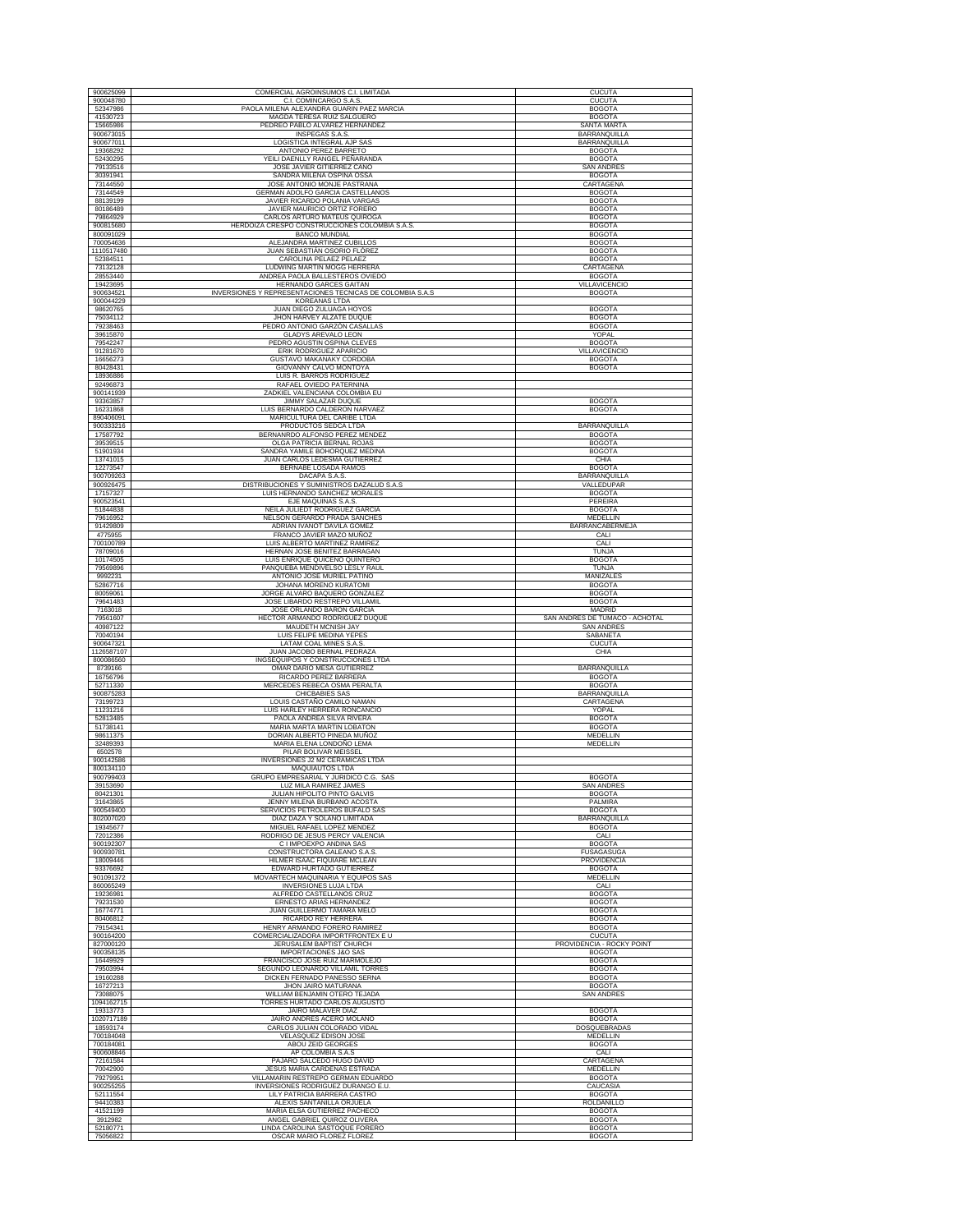| 900625099             | COMERCIAL AGROINSUMOS C.I. LIMITADA                                | <b>CUCUTA</b>                        |
|-----------------------|--------------------------------------------------------------------|--------------------------------------|
| 900048780             | C.I. COMINCARGO S.A.S                                              | <b>CUCUTA</b>                        |
| 52347986              | PAOLA MILENA ALEXANDRA GUARIN PAEZ MARCIA                          | <b>BOGOTA</b>                        |
| 41530723              | MAGDA TERESA RUIZ SALGUERO                                         | <b>BOGOTA</b>                        |
| 15665986              | PEDREO PABLO ALVAREZ HERNANDEZ                                     | <b>SANTA MARTA</b>                   |
| 900673015             | INSPEGAS S.A.S.                                                    | <b>BARRANQUILLA</b>                  |
| 900677011<br>19368292 | LOGISTICA INTEGRAL AJP SAS<br>ANTONIO PEREZ BARRETO                | BARRANQUILLA<br><b>BOGOTA</b>        |
| 52430295              | YEILI DAENLLY RANGEL PEÑARANDA                                     | <b>BOGOTA</b>                        |
| 79133516              | JOSE JAVIER GITIERREZ CANO                                         | <b>SAN ANDRES</b>                    |
| 30391941              | SANDRA MILENA OSPINA OSSA                                          | <b>BOGOTA</b>                        |
| 73144550              | JOSE ANTONIO MONJE PASTRANA                                        | CARTAGENA                            |
| 73144549              | <b>GERMAN ADOLFO GARCIA CASTELLANOS</b>                            | <b>BOGOTA</b>                        |
| 88139199              | JAVIER RICARDO POLANIA VARGAS                                      | <b>BOGOTA</b>                        |
| 80186489<br>79864929  | JAVIER MAURICIO ORTIZ FORERO<br>CARLOS ARTURO MATEUS QUIROGA       | <b>BOGOTA</b><br><b>BOGOTA</b>       |
| 900815680             | HERDOIZA CRESPO CONSTRUCCIONES COLOMBIA S.A.S.                     | <b>BOGOTA</b>                        |
| 800091029             | <b>BANCO MUNDIAL</b>                                               | <b>BOGOTA</b>                        |
| 700054636             | ALEJANDRA MARTINEZ CUBILLOS                                        | <b>BOGOTA</b>                        |
| 1110517480            | JUAN SEBASTIÁN OSORIO FLÓREZ                                       | <b>BOGOTA</b>                        |
| 52384511              | CAROLINA PELAEZ PELAEZ                                             | <b>BOGOTA</b>                        |
| 73132128<br>28553440  | LUDWING MARTIN MOGG HERRERA<br>ANDREA PAOLA BALLESTEROS OVIEDO     | CARTAGENA<br><b>BOGOTA</b>           |
| 19423695              | HERNANDO GARCES GAITAN                                             | <b>VILLAVICENCIO</b>                 |
| 900634521             | INVERSIONES Y REPRESENTACIONES TECNICAS DE COLOMBIA S.A.S          | <b>BOGOTA</b>                        |
| 900044229             | <b>KOREANAS LTDA</b>                                               |                                      |
| 98620765              | JUAN DIEGO ZULUAGA HOYOS                                           | <b>BOGOTA</b>                        |
| 75034112<br>79238463  | JHON HARVEY ALZATE DUQUE                                           | <b>BOGOTA</b><br><b>BOGOTA</b>       |
| 39615870              | PEDRO ANTONIO GARZÓN CASALLAS<br><b>GLADYS AREVALO LEON</b>        | YOPAL                                |
| 79542247              | PEDRO AGUSTIN OSPINA CLEVES                                        | <b>BOGOTA</b>                        |
| 91281670              | ERIK RODRIGUEZ APARICIO                                            | VILLAVICENCIO                        |
| 16656273              | GUSTAVO MAKANAKY CORDOBA                                           | <b>BOGOTA</b>                        |
| 80428431              | GIOVANNY CALVO MONTOYA                                             | <b>BOGOTA</b>                        |
| 18936886              | LUIS R. BARROS RODRIGUEZ<br>RAFAEL OVIEDO PATERNINA                |                                      |
| 92496873<br>900141939 | ZADKIEL VALENCIANA COLOMBIA EU                                     |                                      |
| 93363857              | JIMMY SALAZAR DUQUE                                                | <b>BOGOTA</b>                        |
| 16231868              | LUIS BERNARDO CALDERON NARVAEZ                                     | <b>BOGOTA</b>                        |
| 890406091             | MARICULTURA DEL CARIBE LTDA                                        |                                      |
| 900333216<br>17587792 | PRODUCTOS SEDCA LTDA<br>BERNANRDO ALFONSO PEREZ MENDEZ             | BARRANQUILLA                         |
| 39539515              | OLGA PATRICIA BERNAL ROJAS                                         | <b>BOGOTA</b><br><b>BOGOTA</b>       |
| 51901934              | SANDRA YAMILE BOHORQUEZ MEDINA                                     | <b>BOGOTA</b>                        |
| 13741015              | JUAN CARLOS LEDESMA GUTIÉRREZ                                      | CHIA                                 |
| 12273547              | BERNABE LOSADA RAMOS                                               | <b>BOGOTA</b>                        |
| 900709263             | DACAPA S.A.S.                                                      | BARRANQUILLA                         |
| 900926475             | DISTRIBUCIONES Y SUMINISTROS DAZALUD S.A.S                         | VALLEDUPAR                           |
| 17157327<br>900523541 | LUIS HERNANDO SANCHEZ MORALES<br>EJE MAQUINAS S.A.S.               | <b>BOGOTA</b><br>PEREIRA             |
| 51844838              | NEILA JULIEDT RODRIGUEZ GARCIA                                     | <b>BOGOTA</b>                        |
| 79616952              | NELSON GERARDO PRADA SANCHES                                       | MEDELLIN                             |
| 91429809              | ADRIAN IVANOT DAVILA GOMEZ                                         | BARRANCABERMEJA                      |
| 4775955               | FRANCO JAVIER MAZO MUÑOZ                                           | CALI                                 |
| 700100789<br>78709016 | LUIS ALBERTO MARTINEZ RAMIREZ<br>HERNAN JOSE BENITEZ BARRAGAN      | CALI<br><b>TUNJA</b>                 |
| 10174505              | LUIS ENRIQUE QUICENO QUINTERO                                      | <b>BOGOTA</b>                        |
| 79569896              | PANQUEBA MENDIVELSO LESLY RAUL                                     | <b>TUNJA</b>                         |
| 9992231               | ANTONIO JOSE MURIEL PATIÑO                                         | MANIZALES                            |
| 52867716              | JOHANA MORENO KURATOMI                                             | <b>BOGOTA</b>                        |
| 80059061              | JORGE ALVARO BAQUERO GONZALEZ                                      | <b>BOGOTA</b>                        |
| 79641483              | JOSE LIBARDO RESTREPO VILLAMIL                                     | <b>BOGOTA</b>                        |
|                       |                                                                    |                                      |
| 7163018               | JOSE ORLANDO BARON GARCIA                                          | <b>MADRID</b>                        |
| 79561607              | HECTOR ARMANDO RODRIGUEZ DUQUE                                     | SAN ANDRES DE TUMACO - ACHOTAL       |
| 40987122<br>70040194  | MAUDETH MCNISH JAY<br>LUIS FELIPE MEDINA YEPES                     | <b>SAN ANDRES</b><br>SABANETA        |
| 900647321             | LATAM COAL MINES S.A.S                                             | <b>CUCUTA</b>                        |
| 1126587107            | JUAN JACOBO BERNAL PEDRAZA                                         | CHIA                                 |
| 800086560             | INGSEQUIPOS Y CONSTRUCCIONES LTDA                                  |                                      |
| 8739166               | OMAR DARIO MESA GUTIERREZ                                          | <b>BARRANQUILLA</b>                  |
| 16756796<br>52711330  | RICARDO PEREZ BARRERA<br>MERCEDES REBECA OSMA PERALTA              | <b>BOGOTA</b><br><b>BOGOTA</b>       |
| 900875283             | CHICBABIES SAS                                                     | BARRANQUILLA                         |
| 73199723              | LOUIS CASTAÑO CAMILO NAMAN                                         | CARTAGENA                            |
| 11231216              | LUIS HARLEY HERRERA RONCANCIO                                      | YOPAL                                |
| 52813485              | PAOLA ANDREA SILVA RIVERA                                          | <b>BOGOTA</b><br><b>BOGOTA</b>       |
| 51738141<br>98611375  | MARIA MARTA MARTIN LOBATON<br>DORIAN ALBERTO PINEDA MUÑOZ          | MEDELLIN                             |
| 32489393              | MARIA ELENA LONDOÑO LEMA                                           | MEDELLIN                             |
| 6502578               | PILAR BOLIVAR MEISSEL                                              |                                      |
| 900142586             | INVERSIONES J2 M2 CERAMICAS LTDA                                   |                                      |
| 800134110             | <b>MAQUIAUTOS LTDA</b>                                             |                                      |
| 900799403<br>39153690 | GRUPO EMPRESARIAL Y JURIDICO C.G. SAS<br>LUZ MILA RAMIREZ JAMES    | <b>BOGOTA</b><br><b>SAN ANDRES</b>   |
| 80421301              | JULIAN HIPOLITO PINTO GALVIS                                       | <b>BOGOTA</b>                        |
| 31643865              | JENNY MILENA BURBANO ACOSTA                                        | PALMIRA                              |
| 900549400             | SERVICIOS PETROLEROS BUFALO SAS                                    | <b>BOGOTA</b>                        |
| 802007020<br>19345677 | DIAZ DAZA Y SOLANO LIMITADA<br>MIGUEL RAFAEL LOPEZ MENDEZ          | <b>BARRANQUILLA</b><br><b>BOGOTA</b> |
| 72012386              | RODRIGO DE JESUS PERCY VALENCIA                                    | CALI                                 |
| 900192307             | C I IMPOEXPO ANDINA SAS                                            | <b>BOGOTA</b>                        |
| 900930781             | CONSTRUCTORA GALEANO S.A.S                                         | <b>FUSAGASUGA</b>                    |
| 18009446              | HILMER ISAAC FIQUIARE MCLEAN                                       | PROVIDENCIA                          |
| 93376692<br>901091372 | EDWARD HURTADO GUTIERREZ                                           | <b>BOGOTA</b><br><b>MEDELLIN</b>     |
| 860065249             | MOVARTECH MAQUINARIA Y EQUIPOS SAS<br><b>INVERSIONES LUJA LTDA</b> | CALI                                 |
| 19236981              | ALFREDO CASTELLANOS CRUZ                                           | <b>BOGOTA</b>                        |
| 79231530              | ERNESTO ARIAS HERNANDEZ                                            | <b>BOGOTA</b>                        |
| 16774771              | JUAN GUILLERMO TAMARA MELO                                         | <b>BOGOTA</b>                        |
| 80406812<br>79154341  | RICARDO REY HERRERA<br>HENRY ARMANDO FORERO RAMIREZ                | <b>BOGOTA</b><br><b>BOGOTA</b>       |
| 900164200             | COMERCIALIZADORA IMPORTFRONTEX E U                                 | <b>CUCUTA</b>                        |
| 827000120             | <b>JERUSALEM BAPTIST CHURCH</b>                                    | PROVIDENCIA - ROCKY POINT            |
| 900358135             | <b>IMPORTACIONES J&amp;O SAS</b>                                   | <b>BOGOTA</b>                        |
| 16449929              | FRANCISCO JOSE RUIZ MARMOLEJO                                      | <b>BOGOTA</b>                        |
| 79503994              | SEGUNDO LEONARDO VILLAMIL TORRES                                   | <b>BOGOTA</b><br><b>BOGOTA</b>       |
| 19160288<br>16727213  | DICKEN FERNADO PANESSO SERNA<br>JHON JAIRO MATURANA                | <b>BOGOTA</b>                        |
| 73088075              | WILLIAM BENJAMIN OTERO TEJADA                                      | <b>SAN ANDRES</b>                    |
| 1094162715            | TORRES HURTADO CARLOS AUGUSTO                                      |                                      |
| 19313773              | <b>JAIRO MALAVER DIAZ</b>                                          | <b>BOGOTA</b>                        |
| 1020717189            | JAIRO ANDRES ACERO MOLANO                                          | <b>BOGOTA</b>                        |
| 18593174<br>700184048 | CARLOS JULIAN COLORADO VIDAL                                       | DOSQUEBRADAS<br>MEDELLIN             |
| 700184081             | VELASQUEZ EDISON JOSE<br>ABOU ZEID GEORGES                         | <b>BOGOTA</b>                        |
| 900608846             | AP COLOMBIA S.A.S                                                  | CALI                                 |
| 72161584              | PAJARO SALCEDO HUGO DAVID                                          | CARTAGENA                            |
| 70042900              | <b>JESUS MARIA CARDENAS ESTRADA</b>                                | MEDELLIN                             |
| 79279951              | VILLAMARIN RESTREPO GERMAN EDUARDO                                 | <b>BOGOTA</b>                        |
| 900255255             | INVERSIONES RODRIGUEZ DURANGO E.U.                                 | CAUCASIA                             |
| 52111554<br>94410383  | LILY PATRICIA BARRERA CASTRO<br>ALEXIS SANTANILLA ORJUELA          | <b>BOGOTA</b><br>ROLDANILLO          |
| 41521199              | MARIA ELSA GUTIERREZ PACHECO                                       | <b>BOGOTA</b>                        |
| 3912982<br>52180771   | ANGEL GABRIEL QUIROZ OLIVERA<br>LINDA CAROLINA SASTOQUE FORERO     | <b>BOGOTA</b><br><b>BOGOTA</b>       |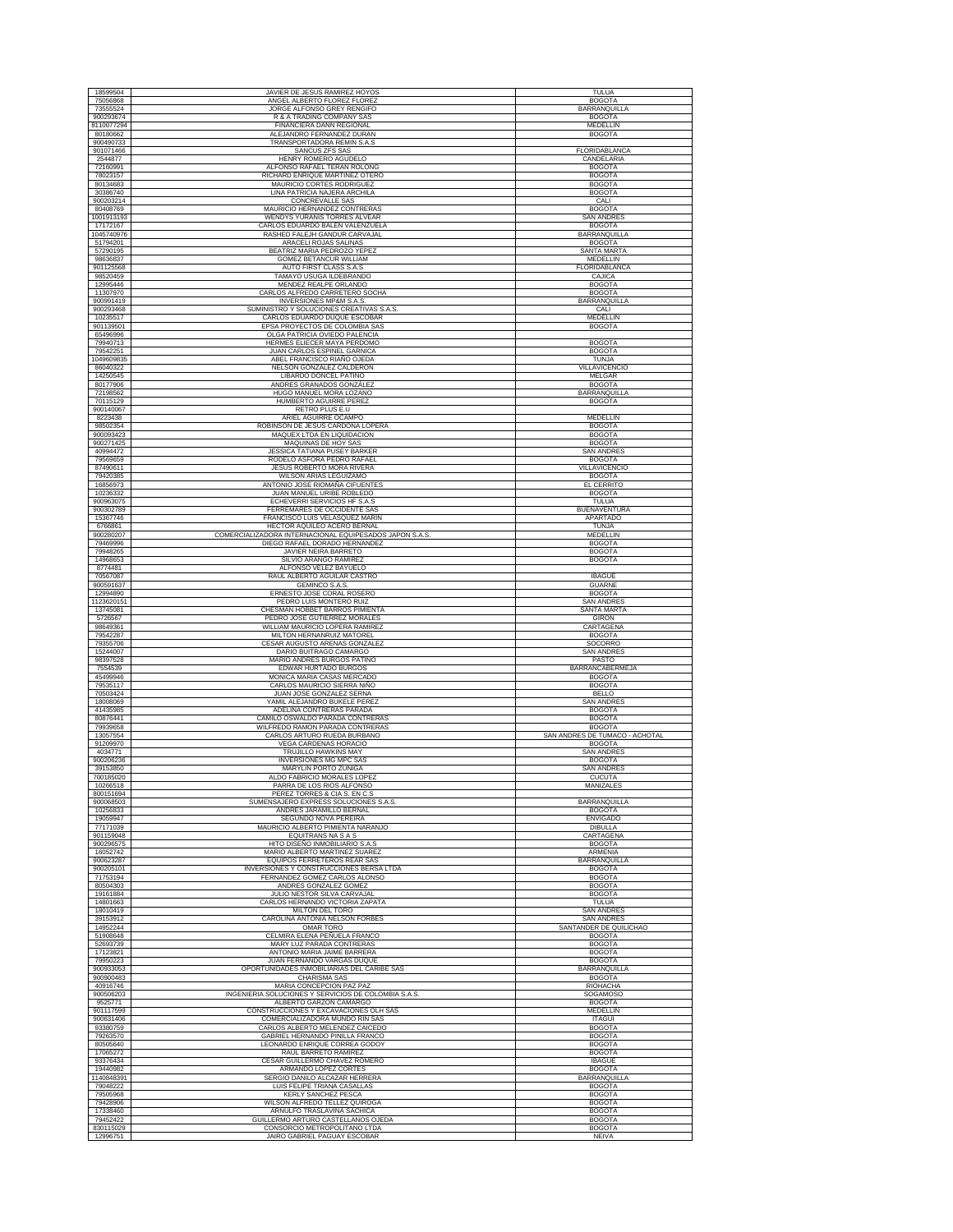| 18599504               | JAVIER DE JESUS RAMIREZ HOYOS                                                           | <b>TULUA</b>                                |
|------------------------|-----------------------------------------------------------------------------------------|---------------------------------------------|
| 75056868               | ANGEL ALBERTO FLOREZ FLOREZ                                                             | <b>BOGOTA</b>                               |
| 73555524<br>900293674  | JORGE ALFONSO GREY RENGIFO<br>R & A TRADING COMPANY SAS                                 | <b>BARRANQUILLA</b><br><b>BOGOTA</b>        |
| 8110077294             | FINANCIERA DANN REGIONAL                                                                | MEDELLIN                                    |
| 80180662<br>900490733  | ALEJANDRO FERNANDEZ DURAN<br>TRANSPORTADORA REMIN S.A.S                                 | <b>BOGOTA</b>                               |
| 901071466              | SANCUS ZFS SAS                                                                          | FLORIDABLANCA                               |
| 2544877<br>72160991    | HENRY ROMERO AGUDELO<br>ALFONSO RAFAEL TERAN ROLONG                                     | CANDELARIA<br><b>BOGOTA</b>                 |
| 78023157               | RICHARD ENRIQUE MARTINEZ OTERO                                                          | <b>BOGOTA</b>                               |
| 80134683               | MAURICIO CORTES RODRIGUEZ<br>LINA PATRICIA NAJERA ARCHILA                               | <b>BOGOTA</b><br><b>BOGOTA</b>              |
| 30386740<br>900203214  | CONCREVALLE SAS                                                                         | CALI                                        |
| 80408769               | MAURICIO HERNANDEZ CONTRERAS                                                            | <b>BOGOTA</b>                               |
| 1001913193<br>17172167 | WENDYS YURANIS TORRES ALVEAR<br>CARLOS EDUARDO BALEN VALENZUELA                         | <b>SAN ANDRES</b><br><b>BOGOTA</b>          |
| 1045740976             | RASHED FALEJH GANDUR CARVAJAL                                                           | BARRANQUILLA                                |
| 51794201<br>57290195   | ARACELI ROJAS SALINAS<br>BEATRIZ MARIA PEDROZO YEPE                                     | <b>BOGOTA</b><br>SANTA MARTA                |
| 98636837               | GOMEZ BETANCUR WILLIAM                                                                  | MEDELLIN                                    |
| 901125568<br>98520459  | AUTO FIRST CLASS S.A.S<br>TAMAYO USUGA ILDEBRANDO                                       | FLORIDABLANCA<br>CAJICA                     |
| 12995446               | MENDEZ REALPE ORLANDO                                                                   | <b>BOGOTA</b>                               |
| 11307970               | CARLOS ALFREDO CARRETERO SOCHA<br><b>INVERSIONES MP&amp;M S.A.S</b>                     | <b>BOGOTA</b><br><b>BARRANQUILLA</b>        |
| 900991419<br>900293468 | SUMINISTRO Y SOLUCIONES CREATIVAS S.A.S                                                 | CALI                                        |
| 10235517<br>901139501  | CARLOS EDUARDO DUQUE ESCOBAR<br>EPSA PROYECTOS DE COLOMBIA SAS                          | MEDELLIN<br><b>BOGOTA</b>                   |
| 65496996               | OLGA PATRICIA OVIEDO PALENCIA                                                           |                                             |
| 79940713               | HERMES ELIECER MAYA PERDOMO                                                             | <b>BOGOTA</b>                               |
| 79542251<br>1049609835 | JUAN CARLOS ESPINEL GARNICA<br>ABEL FRANCISCO RIAÑO OJEDA                               | <b>BOGOTA</b><br>TUNJA                      |
| 86040322               | NELSON GONZALEZ CALDERÓN                                                                | VILLAVICENCIO                               |
| 14250545<br>80177906   | LIBARDO DONCEL PATIÑO<br>ANDRES GRANADOS GONZÁLEZ                                       | MELGAR<br><b>BOGOTA</b>                     |
| 72198562               | HUGO MANUEL MORA LOZANO                                                                 | <b>BARRANQUILLA</b>                         |
| 70115129<br>900140067  | HUMBERTO AGUIRRE PEREZ<br>RETRO PLUS E.U                                                | <b>BOGOTA</b>                               |
| 8223438                | ARIEL AGUIRRE OCAMPO                                                                    | MEDELLIN                                    |
| 98502354<br>900093423  | ROBINSON DE JESUS CARDONA LOPERA<br>MAQUEX LTDA EN LIQUIDACION                          | <b>BOGOTA</b><br><b>BOGOTA</b>              |
| 900271425              | MAQUINAS DE HOY SAS                                                                     | <b>BOGOTA</b>                               |
| 40994472               | JESSICA TATIANA PUSEY BARKER                                                            | <b>SAN ANDRES</b>                           |
| 79569659<br>87490611   | RODELO ASFORA PEDRO RAFAEL<br><b>JESUS ROBERTO MORA RIVERA</b>                          | <b>BOGOTA</b><br>VILLAVICENCIO              |
| 79420385<br>16856973   | WILSON ARIAS LEGUIZAMO<br>ANTONIO JOSE RIOMAÑA CIFUENTES                                | <b>BOGOTA</b><br><b>EL CERRITO</b>          |
| 10236332               | JUAN MANUEL URIBE ROBLEDO                                                               | <b>BOGOTA</b>                               |
| 900963075              | ECHEVERRI SERVICIOS HF S.A.S                                                            | <b>TULUA</b>                                |
| 900302789<br>15367746  | FERREMARES DE OCCIDENTE SAS<br>FRANCISCO LUIS VELASQUEZ MARIN                           | <b>BUENAVENTURA</b><br>APARTADO             |
| 6766861                | HECTOR AQUILEO ACERO BERNAL                                                             | <b>TUNJA</b>                                |
| 900280207<br>79469996  | COMERCIALIZADORA INTERNACIONAL EQUIPESADOS JAPON S.A.S<br>DIEGO RAFAEL DORADO HERNANDEZ | MEDELLIN<br><b>BOGOTA</b>                   |
| 79948265               | JAVIER NEIRA BARRETO                                                                    | <b>BOGOTA</b>                               |
| 14968653<br>8774481    | SILVIO ARANGO RAMIREZ<br>ALFONSO VELEZ BAYUELO                                          | <b>BOGOTA</b>                               |
| 70567087               | RAUL ALBERTO AGUILAR CASTRO                                                             | <b>IBAGUE</b>                               |
| 900591637<br>12994890  | <b>GEMINCO S.A.S.</b><br>ERNESTO JOSE CORAL ROSERO                                      | <b>GUARNE</b><br><b>BOGOTA</b>              |
| 1123620151             | PEDRO LUIS MONTERO RUIZ                                                                 | <b>SAN ANDRES</b>                           |
| 13745081<br>5726567    | CHESMAN HOBBET BARROS PIMIENTA<br>PEDRO JOSE GUTIERREZ MORALES                          | SANTA MARTA<br><b>GIRON</b>                 |
|                        |                                                                                         |                                             |
| 98649361               | WILLIAM MAURICIO LOPERA RAMIREZ                                                         | CARTAGENA                                   |
| 79542287               | MILTON HERNANRUIZ MATOREL                                                               | <b>BOGOTA</b>                               |
| 79355706<br>15244007   | CESAR AUGUSTO ARENAS GONZALEZ<br>DARIO BUITRAGO CAMARGO                                 | SOCORRO<br><b>SAN ANDRES</b>                |
| 98397528               | MARIO ANDRES BURGOS PATIÑO                                                              | PASTO                                       |
| 7554539<br>45499946    | EDWAR HURTADO BURGOS<br>MONICA MARIA CASAS MERCADO                                      | <b>BARRANCABERMEJA</b><br><b>BOGOTA</b>     |
| 79535117               | CARLOS MAURICIO SIERRA NIÑO                                                             | <b>BOGOTA</b>                               |
| 70503424<br>18008069   | JUAN JOSE GONZALEZ SERNA<br>YAMIL ALEJANDRO BUKELE PEREZ                                | <b>BELLO</b><br><b>SAN ANDRES</b>           |
| 41435985               | ADELINA CONTRERAS PARADA                                                                | <b>BOGOTA</b>                               |
| 80876441<br>79939658   | CAMILO OSWALDO PARADA CONTRERAS<br>WILFREDO RAMON PARADA CONTRERAS                      | <b>BOGOTA</b><br><b>BOGOTA</b>              |
| 13057554               | CARLOS ARTURO RUEDA BURBANO                                                             | SAN ANDRES DE TUMACO - ACHOTAL              |
| 91209970<br>4034771    | <b>VEGA CARDENAS HORACIO</b><br>TRUJILLO HAWKINS MAY                                    | <b>BOGOTA</b><br><b>SAN ANDRES</b>          |
| 900206236              | <b>INVERSIONES MG MPC SAS</b>                                                           | <b>BOGOTA</b>                               |
| 39153850<br>700185020  | MARYLIN PORTO ZUÑIGA<br>ALDO FABRICIO MORALES LOPEZ                                     | SAN ANDRE<br>CUCUTA                         |
| 10266518               | PARRA DE LOS RIOS ALFONSO                                                               | MANIZALES                                   |
| 800151694<br>900068503 | PEREZ TORRES & CIA S. EN C.S<br>SUMENSAJERO EXPRESS SOLUCIONES S.A.S.                   | <b>BARRANOUILLA</b>                         |
| 10256833               | ANDRES JARAMILLO BERNAL                                                                 | <b>BOGOTA</b>                               |
| 19059947<br>77171039   | SEGUNDO NOVA PEREIRA<br>MAURICIO ALBERTO PIMIENTA NARANJO                               | <b>ENVIGADO</b><br><b>DIBULLA</b>           |
| 901159048              | EQUITRANS NA S A S                                                                      | CARTAGENA                                   |
| 900296575<br>16052742  | HITO DISEÑO INMOBILIARIO S.A.S<br>MARIO ALBERTO MARTINEZ SUAREZ                         | <b>BOGOTA</b><br><b>ARMENIA</b>             |
| 900623287              | <b>EQUIPOS FERRETEROS REAR SAS</b>                                                      | <b>BARRANQUILLA</b>                         |
| 900205101<br>71753194  | INVERSIONES Y CONSTRUCCIONES BERSA LTDA<br>FERNANDEZ GOMEZ CARLOS ALONSO                | <b>BOGOTA</b><br><b>BOGOTA</b>              |
| 80504303               | ANDRES GONZALEZ GOMEZ                                                                   | <b>BOGOTA</b>                               |
| 19161884<br>14801663   | JULIO NESTOR SILVA CARVAJAL<br>CARLOS HERNANDO VICTORIA ZAPATA                          | <b>BOGOTA</b><br>TULUA                      |
| 18010419               | MILTON DEL TORO                                                                         | <b>SAN ANDRES</b>                           |
| 39153912<br>14952244   | CAROLINA ANTONIA NELSON FORBES<br><b>OMAR TORO</b>                                      | <b>SAN ANDRES</b><br>SANTANDER DE QUILICHAO |
| 51908648               | CELMIRA ELENA PEÑUELA FRANCO                                                            | <b>BOGOTA</b>                               |
| 52693739<br>17123821   | MARY LUZ PARADA CONTRERAS                                                               | <b>BOGOTA</b>                               |
| 79950223               | ANTONIO MARIA JAIME BARRERA<br><b>JUAN FERNANDO VARGAS DUOUE</b>                        | <b>BOGOTA</b><br><b>BOGOTA</b>              |
| 900933053              | OPORTUNIDADES INMOBILIARIAS DEL CARIBE SAS                                              | <b>BARRANQUILLA</b>                         |
| 900900483<br>40916746  | <b>CHARISMA SAS</b><br>MARIA CONCEPCION PAZ PAZ                                         | <b>BOGOTA</b><br><b>RIOHACHA</b>            |
| 900506203              | INGENIERIA SOLUCIONES Y SERVICIOS DE COLOMBIA S.A.S.                                    | SOGAMOSO                                    |
| 9525771<br>901117599   | ALBERTO GARZON CAMARGO<br>CONSTRUCCIONES Y EXCAVACIONES OLH SAS                         | <b>BOGOTA</b><br>MEDELLIN                   |
| 900631406              | COMERCIALIZADORA MUNDO RIN SAS                                                          | <b>ITAGUI</b>                               |
| 93380759<br>79263570   | CARLOS ALBERTO MELENDEZ CAICEDO<br>GABRIEL HERNANDO PINILLA FRANCO                      | <b>BOGOTA</b><br><b>BOGOTA</b>              |
| 80505640               | LEONARDO ENRIQUE CORREA GODOY                                                           | <b>BOGOTA</b>                               |
| 17065272<br>93376434   | RAUL BARRETO RAMIREZ<br>CESAR GUILLERMO CHAVEZ ROMERO                                   | <b>BOGOTA</b><br><b>IBAGUE</b>              |
| 19440982               | ARMANDO LOPEZ CORTES                                                                    | <b>BOGOTA</b>                               |
| 1140848391<br>79048222 | SERGIO DANILO ALCAZAR HERRERA<br>LUIS FELIPE TRIANA CASALLAS                            | BARRANQUILLA<br><b>BOGOTA</b>               |
| 79505968               | KERLY SANCHEZ PESCA                                                                     | <b>BOGOTA</b>                               |
| 79428906<br>17338460   | WILSON ALFREDO TELLEZ QUIROGA<br>ARNULFO TRASLAVIÑA SACHICA                             | <b>BOGOTA</b><br><b>BOGOTA</b>              |
| 79452422<br>830115029  | GUILLERMO ARTURO CASTELLANOS OJEDA<br>CONSORCIO METROPOLITANO LTDA                      | <b>BOGOTA</b><br><b>BOGOTA</b>              |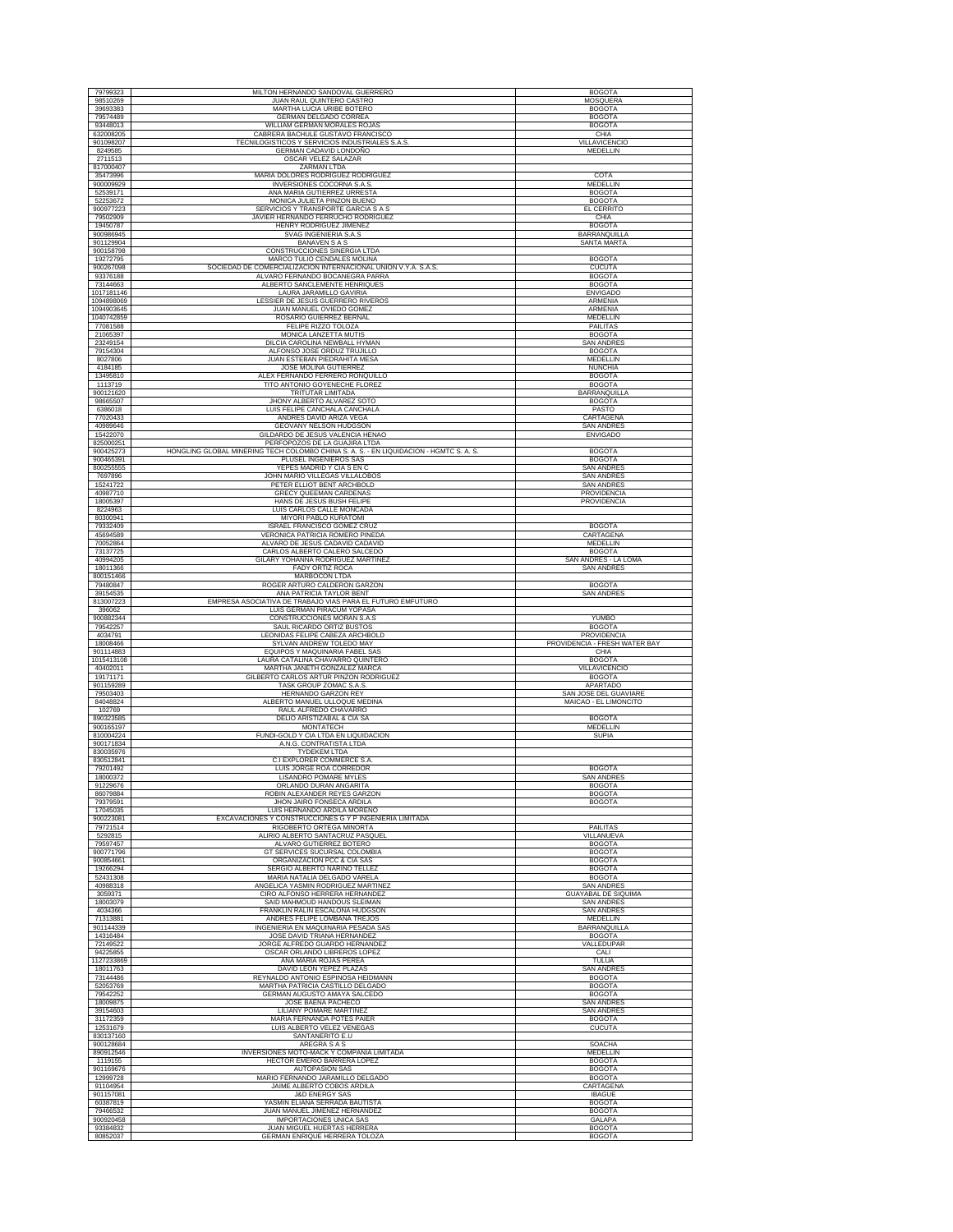| 79799323                 | MILTON HERNANDO SANDOVAL GUERRERO                                                             | <b>BOGOTA</b>                                |
|--------------------------|-----------------------------------------------------------------------------------------------|----------------------------------------------|
| 98510269                 | JUAN RAUL QUINTERO CASTRO                                                                     | MOSQUERA                                     |
| 39693383<br>79574489     | MARTHA LUCIA URIBE BOTERO<br>GERMAN DELGADO CORREA                                            | <b>BOGOTA</b><br><b>BOGOTA</b>               |
| 93448013                 | WILLIAM GERMAN MORALES ROJAS                                                                  | <b>BOGOTA</b>                                |
| 632008205<br>901098207   | CABRERA BACHULE GUSTAVO FRANCISCO<br>TECNILOGISTICOS Y SERVICIOS INDUSTRIALES S.A.S.          | CHIA<br><b>VILLAVICENCIO</b>                 |
| 8249585                  | GERMAN CADAVID LONDOÑO                                                                        | MEDELLIN                                     |
| 2711513<br>817000407     | OSCAR VELEZ SALAZAR<br><b>ZARMAN LTDA</b>                                                     |                                              |
| 35473996                 | MARIA DOLORES RODRIGUEZ RODRIGUEZ                                                             | COTA                                         |
| 900009929<br>52539171    | INVERSIONES COCORNA S.A.S<br>ANA MARIA GUTIERREZ URRESTA                                      | MEDELLIN<br><b>BOGOTA</b>                    |
| 52253672                 | MONICA JULIETA PINZON BUENO                                                                   | <b>BOGOTA</b>                                |
| 900977223<br>79502909    | SERVICIOS Y TRANSPORTE GARCIA S A S<br>JAVIER HERNANDO FERRUCHO RODRIGUEZ                     | EL CERRITO<br>CHIA                           |
| 19450787                 | HENRY RODRIGUEZ JIMENEZ                                                                       | <b>BOGOTA</b>                                |
| 900986945<br>901129904   | SVAG INGENIERIA S.A.S<br><b>BANAVEN S A S</b>                                                 | BARRANQUILLA<br>SANTA MARTA                  |
| 900158798                | CONSTRUCCIONES SINERGIA LTDA                                                                  |                                              |
| 19272795<br>900267098    | MARCO TULIO CENDALES MOLINA<br>SOCIEDAD DE COMERCIALIZACION INTERNACIONAL UNION V.Y.A. S.A.S. | <b>BOGOTA</b><br><b>CUCUTA</b>               |
| 93376188                 | ALVARO FERNANDO BOCANEGRA PARRA                                                               | <b>BOGOTA</b>                                |
| 73144663<br>1017181146   | ALBERTO SANCLEMENTE HENRIOUES<br>LAURA JARAMILLO GAVIRIA                                      | <b>BOGOTA</b><br><b>ENVIGADO</b>             |
| 1094898069               | LESSIER DE JESUS GUERRERO RIVEROS                                                             | ARMENIA                                      |
| 1094903645<br>1040742859 | JUAN MANUEL OVIEDO GOMEZ<br>ROSARIO GUIERREZ BERNAL                                           | ARMENIA<br>MEDELLIN                          |
| 77081588                 | FELIPE RIZZO TOLOZA                                                                           | <b>PAILITAS</b>                              |
| 21065397<br>23249154     | MONICA LANZETTA MUTIS<br>DILCIA CAROLINA NEWBALL HYMAN                                        | <b>BOGOTA</b><br><b>SAN ANDRES</b>           |
| 79154304                 | ALFONSO JOSE ORDUZ TRUJILLO                                                                   | <b>BOGOTA</b>                                |
| 8027806<br>4184185       | JUAN ESTEBAN PIEDRAHITA MESA<br>JOSE MOLINA GUTIERREZ                                         | MEDELLIN<br><b>NUNCHIA</b>                   |
| 13495810                 | ALEX FERNANDO FERRERO RONQUILLO                                                               | <b>BOGOTA</b>                                |
| 1113719<br>900121620     | TITO ANTONIO GOYENECHE FLOREZ<br>TRITUTAR LIMITADA                                            | <b>BOGOTA</b><br>BARRANQUILLA                |
| 98665507                 | JHONY ALBERTO ALVAREZ SOTO                                                                    | <b>BOGOTA</b>                                |
| 6386018<br>77020433      | LUIS FELIPE CANCHALA CANCHALA<br>ANDRES DAVID ARIZA VEGA                                      | PASTO<br>CARTAGENA                           |
| 40989646                 | GEOVANY NELSON HUDGSON                                                                        | <b>SAN ANDRES</b>                            |
| 15422070<br>825000251    | GILDARDO DE JESUS VALENCIA HENAO<br>PERFOPOZOS DE LA GUAJIRA LTDA                             | <b>ENVIGADO</b>                              |
| 900425273                | HONGLING GLOBAL MINERING TECH COLOMBO CHINA S. A. S. - EN LIQUIDACION - HGMTC S. A. S.        | <b>BOGOTA</b>                                |
| 900465391<br>800255555   | PLUSEL INGENIEROS SAS<br>YEPES MADRID Y CIA S EN C                                            | <b>BOGOTA</b><br>SAN ANDRES                  |
| 7697896                  | JOHN MARIO VILLEGAS VILLALOBOS                                                                | <b>SAN ANDRES</b>                            |
| 15241722<br>40987710     | PETER ELLIOT BENT ARCHBOLD<br>GRECY QUEEMAN CARDENAS                                          | <b>SAN ANDRES</b><br>PROVIDENCIA             |
| 18005397                 | HANS DE JESUS BUSH FELIPE                                                                     | PROVIDENCIA                                  |
| 8224963<br>80300941      | LUIS CARLOS CALLE MONCADA<br>MIYORI PABLO KURATOMI                                            |                                              |
| 79332409                 | ISRAEL FRANCISCO GOMEZ CRUZ                                                                   | <b>BOGOTA</b>                                |
| 45694589<br>70052864     | VERONICA PATRICIA ROMERO PINEDA<br>ALVARO DE JESUS CADAVID CADAVID                            | CARTAGENA<br>MEDELLIN                        |
| 73137725                 | CARLOS ALBERTO CALERO SALCEDO                                                                 | <b>BOGOTA</b>                                |
| 40994205<br>18011366     | GILARY YOHANNA RODRIGUEZ MARTINEZ<br><b>FADY ORTIZ ROCA</b>                                   | SAN ANDRÉS - LA LOMA<br><b>SAN ANDRES</b>    |
| 800151466                | MARBOCON LTDA                                                                                 |                                              |
| 79480847<br>39154535     | ROGER ARTURO CALDERON GARZON<br>ANA PATRICIA TAYLOR BENT                                      | <b>BOGOTA</b><br><b>SAN ANDRES</b>           |
| 813007223                | EMPRESA ASOCIATIVA DE TRABAJO VIAS PARA EL FUTURO EMFUTURO                                    |                                              |
| 396062                   |                                                                                               |                                              |
|                          | LUIS GERMAN PIRACUM YOPASA                                                                    |                                              |
| 900882344<br>79542257    | CONSTRUCCIONES MORAN S.A.S<br>SAUL RICARDO ORTIZ BUSTOS                                       | YUMBO<br><b>BOGOTA</b>                       |
| 4034791<br>18008466      | LEONIDAS FELIPE CABEZA ARCHBOLD<br>SYLVAN ANDREW TOLEDO MAY                                   | PROVIDENCIA<br>PROVIDENCIA - FRESH WATER BAY |
| 901114883                | EQUIPOS Y MAQUINARIA FABEL SAS                                                                | CHIA                                         |
| 1015413108<br>40402011   | LAURA CATALINA CHAVARRO QUINTERO<br>MARTHA JANETH GONZALEZ MARCA                              | <b>BOGOTA</b><br>VILLAVICENCIO               |
| 19171171                 | GILBERTO CARLOS ARTUR PINZON RODRIGUEZ                                                        | <b>BOGOTA</b>                                |
| 901159289<br>79503403    | TASK GROUP ZOMAC S.A.S.<br>HERNANDO GARZON REY                                                | <b>APARTADO</b><br>SAN JOSE DEL GUAVIARE     |
| 84048824                 | ALBERTO MANUEL ULLOQUE MEDINA                                                                 | MAICAO - EL LIMONCITO                        |
| 102769<br>890323585      | RAUL ALFREDO CHAVARRO<br>DELIO ARISTIZABAL & CIA SA                                           | <b>BOGOTA</b>                                |
| 900165197                | <b>MONTATECH</b>                                                                              | MEDELLIN                                     |
| 810004224<br>900171834   | FUNDI-GOLD Y CIA LTDA EN LIQUIDACION<br>A.N.G. CONTRATISTA LTDA                               | <b>SUPIA</b>                                 |
| 830035976                | <b>TYDEKEM LTDA</b>                                                                           |                                              |
| 830512841<br>79201492    | C.I EXPLORER COMMERCE S.A<br>LUIS JORGE ROA CORREDOR                                          | <b>BOGOTA</b>                                |
| 18000372                 | LISANDRO POMARE MYLES<br>ORLANDO DURAN ANGARITA                                               | <b>SAN ANDRES</b>                            |
| 91229676<br>86079884     | ROBIN ALEXANDER REYES GARZON                                                                  | <b>BOGOTA</b><br><b>BOGOTA</b>               |
| 79379591                 | JHON JAIRO FONSECA ARDILA                                                                     | <b>BOGOTA</b>                                |
| 17045035<br>900223081    | LUIS HERNANDO ARDILA MORENO<br>EXCAVACIONES Y CONSTRUCCIONES G Y P INGENIERIA LIMITADA        |                                              |
| 79721514<br>5292815      | RIGOBERTO ORTEGA MINORTA<br>ALIRIO ALBERTO SANTACRUZ PASQUEL                                  | <b>PAILITAS</b><br>VILLANUEVA                |
| 79597457                 | ALVARO GUTIERREZ BOTERO                                                                       | <b>BOGOTA</b>                                |
| 900771796<br>900854661   | GT SERVICES SUCURSAL COLOMBIA<br>ORGANIZACION PCC & CIA SAS                                   | <b>BOGOTA</b><br><b>BOGOTA</b>               |
| 19266294                 | SERGIO ALBERTO NARIÑO TELLEZ                                                                  | <b>BOGOTA</b>                                |
| 52431308<br>40988318     | MARIA NATALIA DELGADO VARELA<br>ANGELICA YASMIN RODRIGUEZ MARTINEZ                            | <b>BOGOTA</b><br><b>SAN ANDRE</b>            |
| 3059371                  | CIRO ALFONSO HERRERA HERNANDEZ                                                                | <b>GUAYABAL DE SIQUIMA</b>                   |
| 18003079<br>4034366      | SAID MAHMOUD HANDOUS SLEIMAN<br>FRANKLIN RALIN ESCALONA HUDGSON                               | <b>SAN ANDRES</b><br><b>SAN ANDRES</b>       |
| 71313881                 | ANDRES FELIPE LOMBANA TREJOS                                                                  | <b>MEDELLIN</b>                              |
| 901144339<br>14316484    | INGENIERIA EN MAQUINARIA PESADA SAS<br>JOSE DAVID TRIANA HERNANDEZ                            | <b>BARRANQUILLA</b><br><b>BOGOTA</b>         |
| 72149522                 | JORGE ALFREDO GUARDO HERNANDEZ                                                                | VALLEDUPAR                                   |
| 94225855<br>1127233869   | OSCAR ORLANDO LIBREROS LOPEZ<br>ANA MARIA ROJAS PEREA                                         | CALI<br>TULUA                                |
| 18011763                 | DAVID LEON YEPEZ PLAZAS                                                                       | <b>SAN ANDRES</b>                            |
| 73144486<br>52053769     | REYNALDO ANTONIO ESPINOSA HEIDMANN<br>MARTHA PATRICIA CASTILLO DELGADO                        | <b>BOGOTA</b><br><b>BOGOTA</b>               |
| 79542252                 | GERMAN AUGUSTO AMAYA SALCEDO                                                                  | <b>BOGOTA</b>                                |
| 18009875<br>39154603     | JOSE BAENA PACHECO<br>LILIANY POMARE MARTINEZ                                                 | <b>SAN ANDRES</b><br><b>SAN ANDRES</b>       |
| 31172359                 | MARIA FERNANDA POTES PAIER                                                                    | <b>BOGOTA</b>                                |
| 12531679<br>830137160    | LUIS ALBERTO VELEZ VENEGAS<br>SANTANERITO E.U                                                 | <b>CUCUTA</b>                                |
| 900128684                | AREGRA S A S                                                                                  | <b>SOACHA</b>                                |
| 890912546<br>1119155     | INVERSIONES MOTO-MACK Y COMPAÑIA LIMITADA<br>HECTOR EMERIO BARRERA LOPEZ                      | MEDELLIN<br><b>BOGOTA</b>                    |
| 901169676                | <b>AUTOPASION SAS</b>                                                                         | <b>BOGOTA</b>                                |
| 12999728<br>91104954     | MARIO FERNANDO JARAMILLO DELGADO<br>JAIME ALBERTO COBOS ARDILA                                | <b>BOGOTA</b><br><b>CARTAGENA</b>            |
| 901157081                | <b>J&amp;D ENERGY SAS</b>                                                                     | <b>IBAGUE</b>                                |
| 60387819<br>79466532     | YASMIN ELIANA SERRADA BAUTISTA<br>JUAN MANUEL JIMENEZ HERNANDEZ                               | <b>BOGOTA</b><br><b>BOGOTA</b>               |
| 900920458<br>93384832    | <b>IMPORTACIONES UNICA SAS</b><br>JUAN MIGUEL HUERTAS HERRERA                                 | <b>GALAPA</b><br><b>BOGOTA</b>               |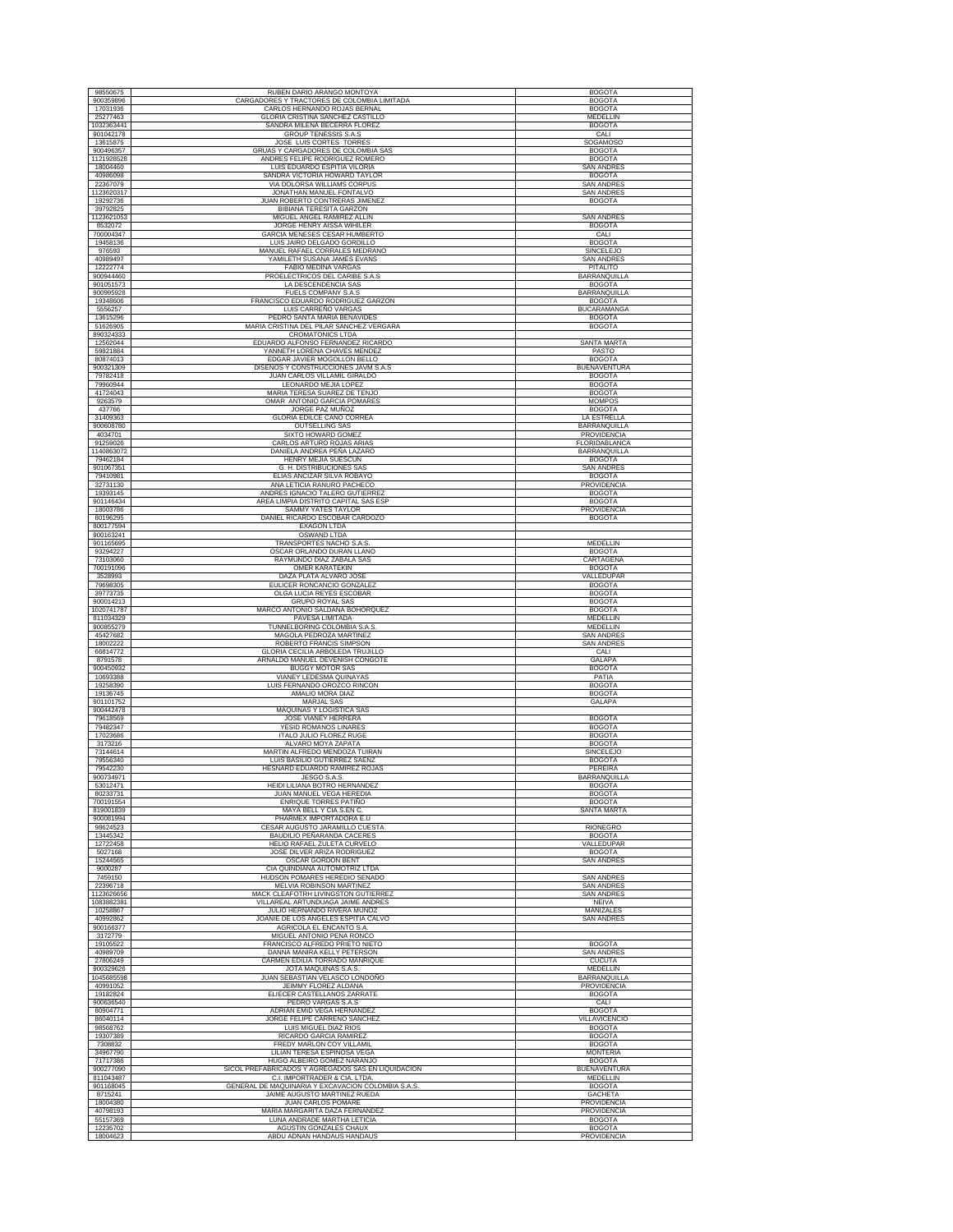| 98550675                | RUBEN DARIO ARANGO MONTOYA                                                         | <b>BOGOTA</b>                          |
|-------------------------|------------------------------------------------------------------------------------|----------------------------------------|
| 900359896               | CARGADORES Y TRACTORES DE COLOMBIA LIMITADA                                        | <b>BOGOTA</b>                          |
| 17031936                | CARLOS HERNANDO ROJAS BERNAL                                                       | <b>BOGOTA</b>                          |
| 25277463<br>1032363441  | GLORIA CRISTINA SANCHEZ CASTILLO<br>SANDRA MILENA BECERRA FLOREZ                   | MEDELLIN<br><b>BOGOTA</b>              |
| 901042178               | <b>GROUP TENESSIS S.A.S</b>                                                        | CALI                                   |
| 13615875                | JOSE LUIS CORTES TORRES                                                            | SOGAMOSO                               |
| 900496357<br>1121928528 | GRUAS Y CARGADORES DE COLOMBIA SAS<br>ANDRES FELIPE RODRIGUEZ ROMERO               | <b>BOGOTA</b><br><b>BOGOTA</b>         |
| 18004460                | LUIS EDUARDO ESPITIA VILORIA                                                       | <b>SAN ANDRES</b>                      |
| 40986098                | SANDRA VICTORIA HOWARD TAYLOR                                                      | <b>BOGOTA</b>                          |
| 22367079<br>1123620317  | VIA DOLORSA WILLIAMS CORPUS<br>JONATHAN MANUEL FONTALVO                            | <b>SAN ANDRES</b><br><b>SAN ANDRES</b> |
| 19292736                | JUAN ROBERTO CONTRERAS JIMENEZ                                                     | <b>BOGOTA</b>                          |
| 39792825                | <b>BIBIANA TERESITA GARZON</b>                                                     |                                        |
| 1123621053<br>8532072   | MIGUEL ANGEL RAMIREZ ALLIN<br>JORGE HENRY AISSA WIHILER                            | <b>SAN ANDRES</b><br><b>BOGOTA</b>     |
| 700004347               | GARCIA MENESES CESAR HUMBERTO                                                      | CALI                                   |
| 19458136<br>976593      | LUIS JAIRO DELGADO GORDILLO<br>MANUEL RAFAEL CORRALES MEDRANC                      | <b>BOGOTA</b><br><b>SINCELEJO</b>      |
| 40989497                | YAMILETH SUSANA JAMES EVANS                                                        | <b>SAN ANDRES</b>                      |
| 12222774                | <b>FABIO MEDINA VARGAS</b>                                                         | <b>PITALITO</b>                        |
| 900944460<br>901051573  | PROELECTRICOS DEL CARIBE S.A.S<br>LA DESCENDENCIA SAS                              | BARRANQUILLA<br><b>BOGOTA</b>          |
| 900995928               | FUELS COMPANY S.A.S                                                                | <b>BARRANQUILLA</b>                    |
| 19348606                | FRANCISCO EDUARDO RODRIGUEZ GARZON                                                 | <b>BOGOTA</b>                          |
| 5556257<br>13615296     | LUIS CARREÑO VARGAS<br>PEDRO SANTA MARIA BENAVIDES                                 | <b>BUCARAMANGA</b><br><b>BOGOTA</b>    |
| 51626905                | MARIA CRISTINA DEL PILAR SANCHEZ VERGARA                                           | <b>BOGOTA</b>                          |
| 890324333               | <b>CROMATONICS LTDA</b>                                                            |                                        |
| 12562044<br>59821884    | EDUARDO ALFONSO FERNANDEZ RICARDO<br>YANNETH LORENA CHAVES MENDEZ                  | SANTA MARTA<br>PASTO                   |
| 80874013                | EDGAR JAVIER MOGOLLON BELLO                                                        | <b>BOGOTA</b>                          |
| 900321309               | DISEÑOS Y CONSTRUCCIONES JAVM S.A.S                                                | <b>BUENAVENTURA</b>                    |
| 79782418<br>79960944    | JUAN CARLOS VILLAMIL GIRALDO<br>LEONARDO MEJIA LOPEZ                               | <b>BOGOTA</b><br><b>BOGOTA</b>         |
| 41724043                | MARIA TERESA SUAREZ DE TENJO                                                       | <b>BOGOTA</b>                          |
| 9263579<br>437766       | OMAR ANTONIO GARCIA POMARES<br>JORGE PAZ MUÑOZ                                     | <b>MOMPOS</b><br><b>BOGOTA</b>         |
| 31409363                | <b>GLORIA EDILCE CANO CORREA</b>                                                   | LA ESTRELLA                            |
| 900608780               | <b>OUTSELLING SAS</b>                                                              | <b>BARRANOUILLA</b>                    |
| 4034701<br>91259026     | SIXTO HOWARD GOMEZ<br>CARLOS ARTURO ROJAS ARIAS                                    | PROVIDENCIA<br>FLORIDABLANCA           |
| 1140863072              | DANIELA ANDREA PEÑA LAZARO                                                         | <b>BARRANQUILLA</b>                    |
| 79462184<br>901067351   | HENRY MEJIA SUESCUN<br>G. H. DISTRIBUCIONES SAS                                    | <b>BOGOTA</b><br><b>SAN ANDRES</b>     |
| 79410981                | ELIAS ANCIZAR SILVA ROBAYO                                                         | <b>BOGOTA</b>                          |
| 32731130                | ANA LETICIA RANURO PACHECO                                                         | PROVIDENCIA                            |
| 19393145<br>901146434   | ANDRES IGNACIO TALERO GUTIERREZ<br>AREA LIMPIA DISTRITO CAPITAL SAS ESP            | <b>BOGOTA</b><br><b>BOGOTA</b>         |
| 18003786                | SAMMY YATES TAYLOR                                                                 | PROVIDENCIA                            |
| 80196295<br>800177594   | DANIEL RICARDO ESCOBAR CARDOZO<br><b>EXAGON LTDA</b>                               | <b>BOGOTA</b>                          |
| 900163241               | OSWAND LTDA                                                                        |                                        |
| 901165695<br>93294227   | TRANSPORTES NACHO S.A.S<br>OSCAR ORLANDO DURAN LLANO                               | <b>MEDELLIN</b><br><b>BOGOTA</b>       |
| 73103060                | RAYMUNDO DIAZ ZABALA SAS                                                           | CARTAGENA                              |
| 700191096               | <b>OMER KARATEKIN</b>                                                              | <b>BOGOTA</b>                          |
| 3528993<br>79698305     | DAZA PLATA ALVARO JOSE<br>EULICER RONCANCIO GONZALEZ                               | VALLEDUPAR<br><b>BOGOTA</b>            |
| 39773735                | OLGA LUCIA REYES ESCOBAR                                                           | <b>BOGOTA</b>                          |
| 900014213<br>1020741787 | <b>GRUPO ROYAL SAS</b><br>MARCO ANTONIO SALDAÑA BOHORQUEZ                          | <b>BOGOTA</b><br><b>BOGOTA</b>         |
| 811034329               | PAVESA LIMITADA                                                                    | <b>MEDELLIN</b>                        |
| 900855279               | TUNNELBORING COLOMBIA S.A.S.                                                       | MEDELLIN                               |
| 45427682<br>18002222    | MAGOLA PEDROZA MARTINEZ<br>ROBERTO FRANCIS SIMPSON                                 | <b>SAN ANDRES</b><br><b>SAN ANDRES</b> |
| 66814772                | GLORIA CECILIA ARBOLEDA TRUJILLO                                                   | CALI                                   |
| 8791578<br>900450932    | ARNALDO MANUEL DEVENISH CONGOTE<br><b>BUGGY MOTOR SAS</b>                          | GALAPA<br><b>BOGOTA</b>                |
| 10693388                | VIANEY LEDESMA QUINAYAS                                                            | PATIA                                  |
| 19258390<br>19136745    | LUIS FERNANDO OROZCO RINCON<br>AMALIO MORA DIAZ                                    | <b>BOGOTA</b><br><b>BOGOTA</b>         |
| 901101752               | <b>MARJAL SAS</b>                                                                  | <b>GALAPA</b>                          |
| 900442478<br>79618569   | <b>MAQUINAS Y LOGISTICA SAS</b><br>JOSE VIANEY HERRERA                             | <b>BOGOTA</b>                          |
| 79482347                | YESID ROMANOS LINARES                                                              | <b>BOGOTA</b>                          |
| 17023686<br>3173216     | <b>ITALO JULIO FLOREZ RUGE</b><br>ALVARO MOYA ZAPATA                               | <b>BOGOTA</b><br><b>BOGOTA</b>         |
| 73144614                | MARTIN ALFREDO MENDOZA TUIRAN                                                      | SINCELEJO                              |
| 79556340                | LUIS BASILIO GUTIERREZ SAENZ                                                       | <b>BOGOTA</b>                          |
| 79542230<br>900734971   | HESNARD EDUARDO RAMIREZ ROJAS<br>JESGO S.A.S.                                      | PEREIRA<br><b>BARRANQUILLA</b>         |
| 53012471                | HEIDI LILIANA BOTRO HERNANDEZ                                                      | <b>BOGOTA</b>                          |
| 80233731<br>700191554   | JUAN MANUEL VEGA HEREDIA<br>ENRIQUE TORRES PATIÑO                                  | <b>BOGOTA</b><br><b>BOGOTA</b>         |
| 819001839               | MAYA BELL Y CIA S.EN C.                                                            | <b>SANTA MARTA</b>                     |
| 900081994<br>98624523   | PHARMEX IMPORTADORA E.U<br>CESAR AUGUSTO JARAMILLO CUESTA                          | <b>RIONEGRO</b>                        |
| 13445342                | BAUDILIO PEÑARANDA CACERES                                                         | <b>BOGOTA</b>                          |
| 12722458                | HELIO RAFAEL ZULETA CURVELO                                                        | VALLEDUPAR                             |
| 5027168<br>15244565     | JOSE DILVER ARIZA RODRIGUEZ<br><b>OSCAR GORDON BENT</b>                            | <b>BOGOTA</b><br><b>SAN ANDRES</b>     |
| 9000287                 | CIA QUINDIANA AUTOMOTRIZ LTDA                                                      |                                        |
| 7459150<br>22396718     | HUDSON POMARES HEREDIO SENADO<br><b>MELVIA ROBINSON MARTINEZ</b>                   | <b>SAN ANDRES</b><br>SAN ANDRES        |
| 1123626656              | MACK CLEAFOTRH LIVINGSTON GUTIERREZ                                                | <b>SAN ANDRES</b>                      |
| 1083882381<br>10258867  | VILLAREAL ARTUNDUAGA JAIME ANDRES<br>JULIO HERNANDO RIVERA MUÑOZ                   | <b>NEIVA</b><br>MANIZALES              |
| 40992862                | JOANIE DE LOS ANGELES ESPITIA CALVO                                                | <b>SAN ANDRES</b>                      |
| 900166377<br>3172779    | <b>AGRICOLA EL ENCANTO S.A.</b><br>MIGUEL ANTONIO PENA RONCO                       |                                        |
| 19105522                | FRANCISCO ALFREDO PRIETO NIETO                                                     | <b>BOGOTA</b>                          |
| 40989709<br>27806249    | DANNA MANIRA KELLY PETERSON<br>CARMEN EDILIA TORRADO MANRIOUE                      | <b>SAN ANDRES</b><br><b>CUCUTA</b>     |
| 900329626               | JOTA MAQUINAS S.A.S                                                                | MEDELLIN                               |
| 1045685598              | JUAN SEBASTIAN VELASCO LONDOÑO                                                     | <b>BARRANQUILLA</b>                    |
| 40991052<br>19182824    | JEIMMY FLOREZ ALDANA<br>ELIECER CASTELLANOS ZARRATE                                | PROVIDENCIA<br><b>BOGOTA</b>           |
| 900636540               | PEDRO VARGAS S.A.S                                                                 | CALI                                   |
| 80904771<br>86040114    | ADRIAN EMID VEGA HERNANDEZ<br>JORGE FELIPE CARREÑO SANCHEZ                         | <b>BOGOTA</b><br>VILLAVICENCIO         |
| 98568762                | LUIS MIGUEL DIAZ RIOS                                                              | <b>BOGOTA</b>                          |
| 19307389<br>7308832     | RICARDO GARCIA RAMIREZ<br>FREDY MARLON COY VILLAMIL                                | <b>BOGOTA</b>                          |
| 34967790                | LILIAN TERESA ESPINOSA VEGA                                                        | <b>BOGOTA</b><br><b>MONTERIA</b>       |
| 71717386                | HUGO ALBEIRO GOMEZ NARANJO                                                         | <b>BOGOTA</b>                          |
| 900277090<br>811043487  | SICOL PREFABRICADOS Y AGREGADOS SAS EN LIQUIDACION<br>C.I. IMPORTRADER & CIA. LTDA | <b>BUENAVENTURA</b><br>MEDELLIN        |
| 901168045               | GENERAL DE MAQUINARIA Y EXCAVACION COLOMBIA S.A.S.                                 | <b>BOGOTA</b>                          |
| 8715241<br>18004380     | JAIME AUGUSTO MARTINEZ RUEDA<br>JUAN CARLOS POMARE                                 | <b>GACHETA</b><br>PROVIDENCIA          |
| 40798193                | MARIA MARGARITA DAZA FERNANDEZ                                                     | PROVIDENCIA                            |
| 55157369                | LUNA ANDRADE MARTHA LETICIA                                                        | <b>BOGOTA</b>                          |
| 12235702<br>18004623    | AGUSTIN GONZALES CHAUX<br>ABDU ADNAN HANDAUS HANDAUS                               | <b>BOGOTA</b><br>PROVIDENCIA           |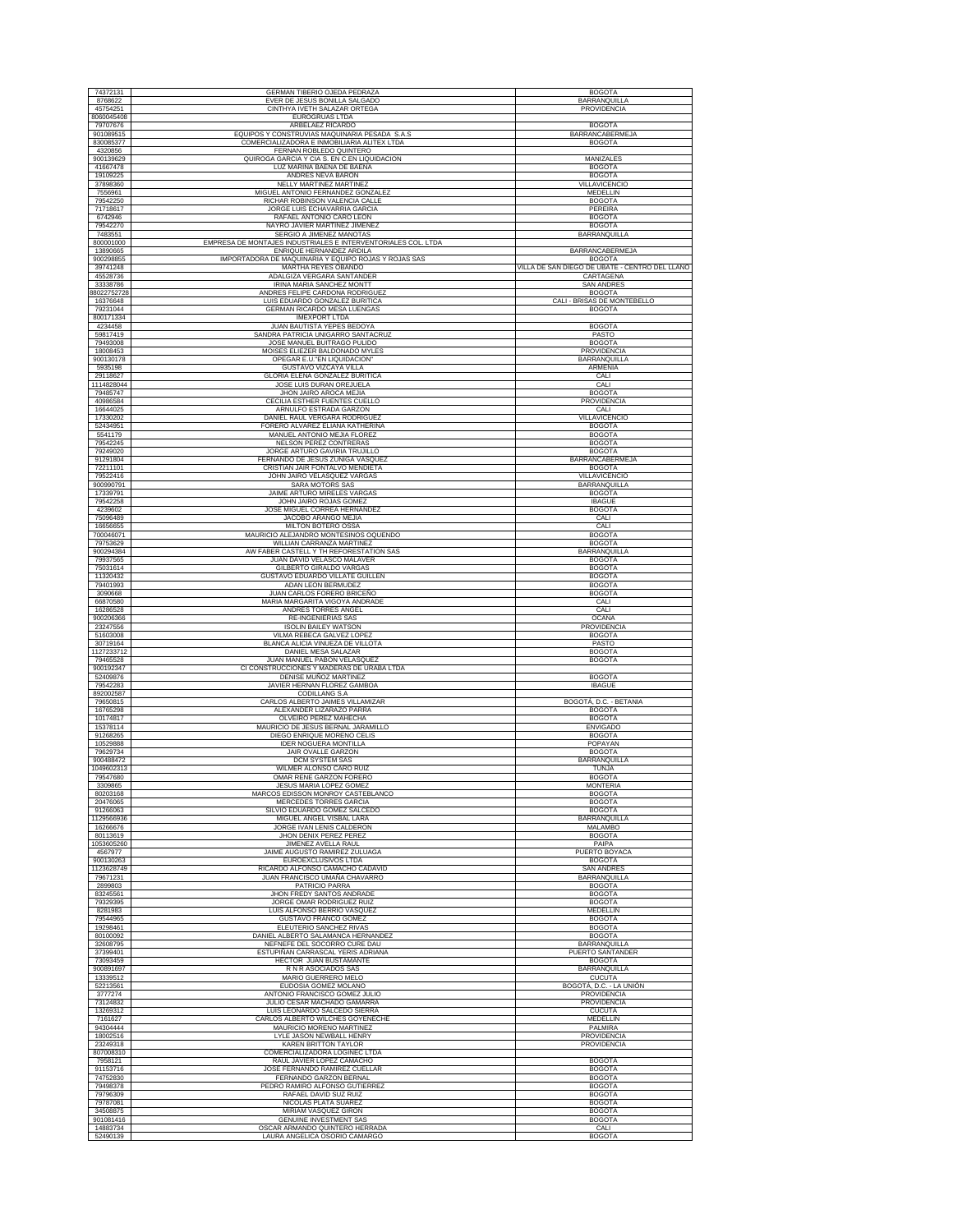| 74372131                | GERMAN TIBERIO OJEDA PEDRAZA                                                                 | <b>BOGOTA</b>                                                   |
|-------------------------|----------------------------------------------------------------------------------------------|-----------------------------------------------------------------|
| 8768622<br>45754251     | EVER DE JESUS BONILLA SALGADO<br>CINTHYA IVETH SALAZAR ORTEGA                                | BARRANQUILLA<br>PROVIDENCIA                                     |
| 8060045408              | EUROGRUAS LTDA                                                                               |                                                                 |
| 79707676                | ARBELAEZ RICARDO                                                                             | <b>BOGOTA</b>                                                   |
| 901089515<br>830085377  | EQUIPOS Y CONSTRUVIAS MAQUINARIA PESADA S.A.S<br>COMERCIALIZADORA E INMOBILIARIA ALITEX LTDA | BARRANCABERMEJA<br><b>BOGOTA</b>                                |
| 4320856                 | FERNAN ROBLEDO QUINTERO                                                                      |                                                                 |
| 900139629<br>41667478   | QUIROGA GARCIA Y CIA S. EN C.EN LIQUIDACION                                                  | MANIZALES                                                       |
| 19109225                | LUZ MARINA BAENA DE BAENA<br>ANDRES NEVA BARON                                               | <b>BOGOTA</b><br><b>BOGOTA</b>                                  |
| 37898360                | NELLY MARTINEZ MARTINEZ                                                                      | VILLAVICENCIO                                                   |
| 7556961                 | MIGUEL ANTONIO FERNANDEZ GONZALEZ                                                            | MEDELLIN<br><b>BOGOTA</b>                                       |
| 79542250<br>71718617    | RICHAR ROBINSON VALENCIA CALLE<br>JORGE LUIS ECHAVARRIA GARCIA                               | PEREIRA                                                         |
| 6742946                 | RAFAEL ANTONIO CARO LEON                                                                     | <b>BOGOTA</b>                                                   |
| 79542270<br>7483551     | NAYRO JAVIER MARTINEZ JIMENEZ<br>SERGIO A JIMENEZ MANOTAS                                    | <b>BOGOTA</b><br>BARRANQUILLA                                   |
| 800001000               | EMPRESA DE MONTAJES INDUSTRIALES E INTERVENTORIALES COL. LTDA                                |                                                                 |
| 13890665                | ENRIQUE HERNANDEZ ARDILA                                                                     | <b>BARRANCABERMEJA</b>                                          |
| 900298855<br>39741248   | IMPORTADORA DE MAQUINARIA Y EQUIPO ROJAS Y ROJAS SAS<br><b>MARTHA REYES OBANDO</b>           | <b>BOGOTA</b><br>VILLA DE SAN DIEGO DE UBATE - CENTRO DEL LLANO |
| 45528736                | ADALGIZA VERGARA SANTANDER                                                                   | CARTAGENA                                                       |
| 33338786<br>88022752728 | IRINA MARIA SANCHEZ MONTT<br>ANDRES FELIPE CARDONA RODRIGUEZ                                 | <b>SAN ANDRES</b>                                               |
| 16376648                | LUIS EDUARDO GONZALEZ BURITICA                                                               | <b>BOGOTA</b><br>CALI - BRISAS DE MONTEBELLO                    |
| 79231044                | GERMAN RICARDO MESA LUENGAS                                                                  | <b>BOGOTA</b>                                                   |
| 800171334<br>4234458    | <b>IMEXPORT LTDA</b><br>JUAN BAUTISTA YEPES BEDOYA                                           | <b>BOGOTA</b>                                                   |
| 59817419                | SANDRA PATRICIA UNIGARRO SANTACRUZ                                                           | PASTO                                                           |
| 79493008                | JOSE MANUEL BUITRAGO PULIDO                                                                  | <b>BOGOTA</b>                                                   |
| 18008453<br>900130178   | MOISES ELIEZER BALDONADO MYLES<br>OPEGAR E.U."EN LIQUIDACION"                                | PROVIDENCIA<br>BARRANQUILLA                                     |
| 5935198                 | GUSTAVO VIZCAYA VILLA                                                                        | ARMENIA                                                         |
| 29118627                | GLORIA ELENA GONZALEZ BURITICA                                                               | CALI                                                            |
| 1114828044<br>79485747  | JOSE LUIS DURAN OREJUELA<br>JHON JAIRO AROCA MEJIA                                           | CALI<br><b>BOGOTA</b>                                           |
| 40986584                | CECILIA ESTHER FUENTES CUELLO                                                                | PROVIDENCIA                                                     |
| 16644025                | ARNULFO ESTRADA GARZON                                                                       | CALI                                                            |
| 17330202<br>52434951    | DANIEL RAUL VERGARA RODRIGUEZ<br>FORERO ALVAREZ ELIANA KATHERINA                             | VILLAVICENCIO<br><b>BOGOTA</b>                                  |
| 5541179                 | MANUEL ANTONIO MEJIA FLOREZ                                                                  | <b>BOGOTA</b>                                                   |
| 79542245<br>79249020    | <b>NELSON PEREZ CONTRERAS</b><br>JORGE ARTURO GAVIRIA TRUJILLO                               | <b>BOGOTA</b><br><b>BOGOTA</b>                                  |
| 91291804                | FERNANDO DE JESUS ZUÑIGA VASQUEZ                                                             | <b>BARRANCABERMEJA</b>                                          |
| 72211101                | CRISTIAN JAIR FONTALVO MENDIETA                                                              | <b>BOGOTA</b>                                                   |
| 79522416<br>900990791   | JOHN JAIRO VELASQUEZ VARGAS<br>SARA MOTORS SAS                                               | VILLAVICENCIO<br><b>BARRANQUILLA</b>                            |
| 17339791                | JAIME ARTURO MIRELES VARGAS                                                                  | <b>BOGOTA</b>                                                   |
| 79542258                | JOHN JAIRO ROJAS GOMEZ                                                                       | <b>IBAGUE</b>                                                   |
| 4239602<br>75096489     | JOSÉ MIGUEL CORREA HERNÁNDEZ<br>JACOBO ARANGO MEJIA                                          | <b>BOGOTA</b><br>CALI                                           |
| 16656655                | MILTON BOTERO OSSA                                                                           | CALI                                                            |
| 700046071               | MAURICIO ALEJANDRO MONTESINOS OQUENDO                                                        | <b>BOGOTA</b>                                                   |
| 79753629<br>900294384   | WILLIAN CARRANZA MARTINEZ<br>AW FABER CASTELL Y TH REFORESTATION SAS                         | <b>BOGOTA</b><br>BARRANQUILLA                                   |
| 79937565                | JUAN DAVID VELASCO MALAVER                                                                   | <b>BOGOTA</b>                                                   |
| 75031614                | GILBERTO GIRALDO VARGAS                                                                      | <b>BOGOTA</b>                                                   |
| 11320432<br>79401993    | GUSTAVO EDUARDO VILLATE GUILLEN<br>ADAN LEON BERMUDEZ                                        | <b>BOGOTA</b><br><b>BOGOTA</b>                                  |
| 3090668                 | JUAN CARLOS FORERO BRICEÑO                                                                   | <b>BOGOTA</b>                                                   |
| 66870580<br>16286528    | MARIA MARGARITA VIGOYA ANDRADE<br>ANDRES TORRES ANGEL                                        | CALI<br>CALI                                                    |
| 900206366               | <b>RE-INGENIERIAS SAS</b>                                                                    | OCAÑA                                                           |
| 23247556                | <b>ISOLIN BAILEY WATSON</b>                                                                  | PROVIDENCIA                                                     |
| 51603008<br>30719164    | VILMA REBECA GALVEZ LOPEZ<br>BLANCA ALICIA VINUEZA DE VILLOTA                                | <b>BOGOTA</b><br>PASTO                                          |
| 1127233712              | DANIEL MESA SALAZAR                                                                          | <b>BOGOTA</b>                                                   |
| 79465528                | JUAN MANUEL PABON VELASQUEZ                                                                  | <b>BOGOTA</b>                                                   |
| 900192347<br>52409876   | CI CONSTRUCCIONES Y MADERAS DE URABA LTDA<br>DENISE MUÑOZ MARTINEZ                           | <b>BOGOTA</b>                                                   |
| 79542283                | JAVIER HERNAN FLOREZ GAMBOA                                                                  | <b>IBAGUE</b>                                                   |
| 892002587<br>79650815   | CODILLANG S.A<br>CARLOS ALBERTO JAIMES VILLAMIZAR                                            | BOGOTÁ, D.C. - BETANIA                                          |
| 16765298                | ALEXANDER LIZARAZO PARRA                                                                     | <b>BOGOTA</b>                                                   |
| 10174817                | OLVEIRO PEREZ MAHECHA                                                                        | <b>BOGOTA</b>                                                   |
| 15378114<br>91268265    | MAURICIO DE JESUS BERNAL JARAMILLO<br>DIEGO ENRIQUE MORENO CELIS                             | <b>ENVIGADO</b><br><b>BOGOTA</b>                                |
| 10529888                | <b>IDER NOGUERA MONTILLA</b>                                                                 | POPAYAN                                                         |
| 79629734                | JAIR OVALLE GARZON<br>DCM SYSTEM SAS                                                         | <b>BOGOTA</b><br>BARRANQUILLA                                   |
| 900488472<br>1049602313 | <b>WILMER ALONSO CARO RUIZ</b>                                                               | TUNJA                                                           |
| 79547680                | OMAR RENE GARZON FORERO                                                                      | <b>BOGOTA</b>                                                   |
| 3309865<br>80203168     | JESUS MARIA LOPEZ GOMEZ<br>MARCOS EDISSON MONROY CASTEBLANCO                                 | MONTERIA<br><b>BOGOTA</b>                                       |
| 20476065                | <b>MERCEDES TORRES GARCIA</b>                                                                | <b>BOGOTA</b>                                                   |
| 91266063                | SILVIO EDUARDO GOMEZ SALCEDO<br>MIGUEL ANGEL VISBAL LARA                                     | <b>BOGOTA</b><br><b>BARRANQUILLA</b>                            |
| 1129566936<br>16266676  | JORGE IVAN LENIS CALDERON                                                                    | <b>MALAMBO</b>                                                  |
| 80113619                | JHON DENIX PEREZ PEREZ                                                                       | <b>BOGOTA</b>                                                   |
| 1053605260<br>4567977   | JIMENEZ AVELLA RAUL<br>JAIME AUGUSTO RAMIREZ ZULUAGA                                         | PAIPA<br>PUERTO BOYACA                                          |
| 900130263               | EUROEXCLUSIVOS LTDA                                                                          | <b>BOGOTA</b>                                                   |
| 1123628749              | RICARDO ALFONSO CAMACHO CADAVID<br>JUAN FRANCISCO UMAÑA CHAVARRO                             | <b>SAN ANDRES</b>                                               |
| 79671231<br>2899803     | PATRICIO PARRA                                                                               | BARRANQUILLA<br><b>BOGOTA</b>                                   |
| 83245561                | JHON FREDY SANTOS ANDRADE                                                                    | <b>BOGOTA</b>                                                   |
| 79329395<br>8281983     | JORGE OMAR RODRIGUEZ RUIZ<br>LUIS ALFONSO BERRIO VASQUEZ                                     | <b>BOGOTA</b><br>MEDELLIN                                       |
| 79544965                | GUSTAVO FRANCO GOMEZ                                                                         | <b>BOGOTA</b>                                                   |
| 19298461                | ELEUTERIO SANCHEZ RIVAS                                                                      | <b>BOGOTA</b>                                                   |
| 80100092<br>32608795    | DANIEL ALBERTO SALAMANCA HERNANDEZ<br>NEFNEFE DEL SOCORRO CURE DAU                           | <b>BOGOTA</b><br>BARRANQUILLA                                   |
| 37399401                | ESTUPIÑAN CARRASCAL YERIS ADRIANA                                                            | PUERTO SANTANDER                                                |
| 73093459<br>900891697   | HECTOR JUAN BUSTAMANTE<br>R N R ASOCIADOS SAS                                                | <b>BOGOTA</b><br>BARRANQUILLA                                   |
| 13339512                | MARIO GUERRERO MELO                                                                          | <b>CUCUTA</b>                                                   |
| 52213561                | EUDOSIA GOMEZ MOLANO                                                                         | BOGOTÁ, D.C. - LA UNIÓN                                         |
| 3777274<br>73124832     | ANTONIO FRANCISCO GOMEZ JULIO<br>JULIO CESAR MACHADO GAMARRA                                 | PROVIDENCIA<br><b>PROVIDENCIA</b>                               |
| 13269312                | LUIS LEONARDO SALCEDO SIERRA                                                                 | <b>CUCUTA</b>                                                   |
| 7161627                 | CARLOS ALBERTO WILCHES GOYENECHE                                                             | MEDELLIN                                                        |
| 94304444<br>18002516    | MAURICIO MORENO MARTINEZ<br>LYLE JASON NEWBALL HENRY                                         | PALMIRA<br>PROVIDENCIA                                          |
| 23249318                | <b>KAREN BRITTON TAYLOR</b>                                                                  | PROVIDENCIA                                                     |
| 807008310<br>7958121    | COMERCIALIZADORA LOGINEC LTDA<br>RAUL JAVIER LOPEZ CAMACHO                                   | <b>BOGOTA</b>                                                   |
| 91153716                | JOSE FERNANDO RAMIREZ CUELLAR                                                                | <b>BOGOTA</b>                                                   |
| 74752830                | FERNANDO GARZON BERNAL                                                                       | <b>BOGOTA</b>                                                   |
| 79498378                | PEDRO RAMIRO ALFONSO GUTIERREZ<br>RAFAEL DAVID SUZ RUIZ                                      | <b>BOGOTA</b>                                                   |
| 79796309<br>79787081    | NICOLAS PLATA SUAREZ                                                                         | <b>BOGOTA</b><br><b>BOGOTA</b>                                  |
| 34508875                | MIRIAM VASQUEZ GIRON                                                                         | <b>BOGOTA</b>                                                   |
| 901081416<br>14883734   | <b>GENUINE INVESTMENT SAS</b><br>OSCAR ARMANDO QUINTERO HERRADA                              | <b>BOGOTA</b><br>CALI                                           |
|                         | LAURA ANGELICA OSORIO CAMARGO                                                                | <b>BOGOTA</b>                                                   |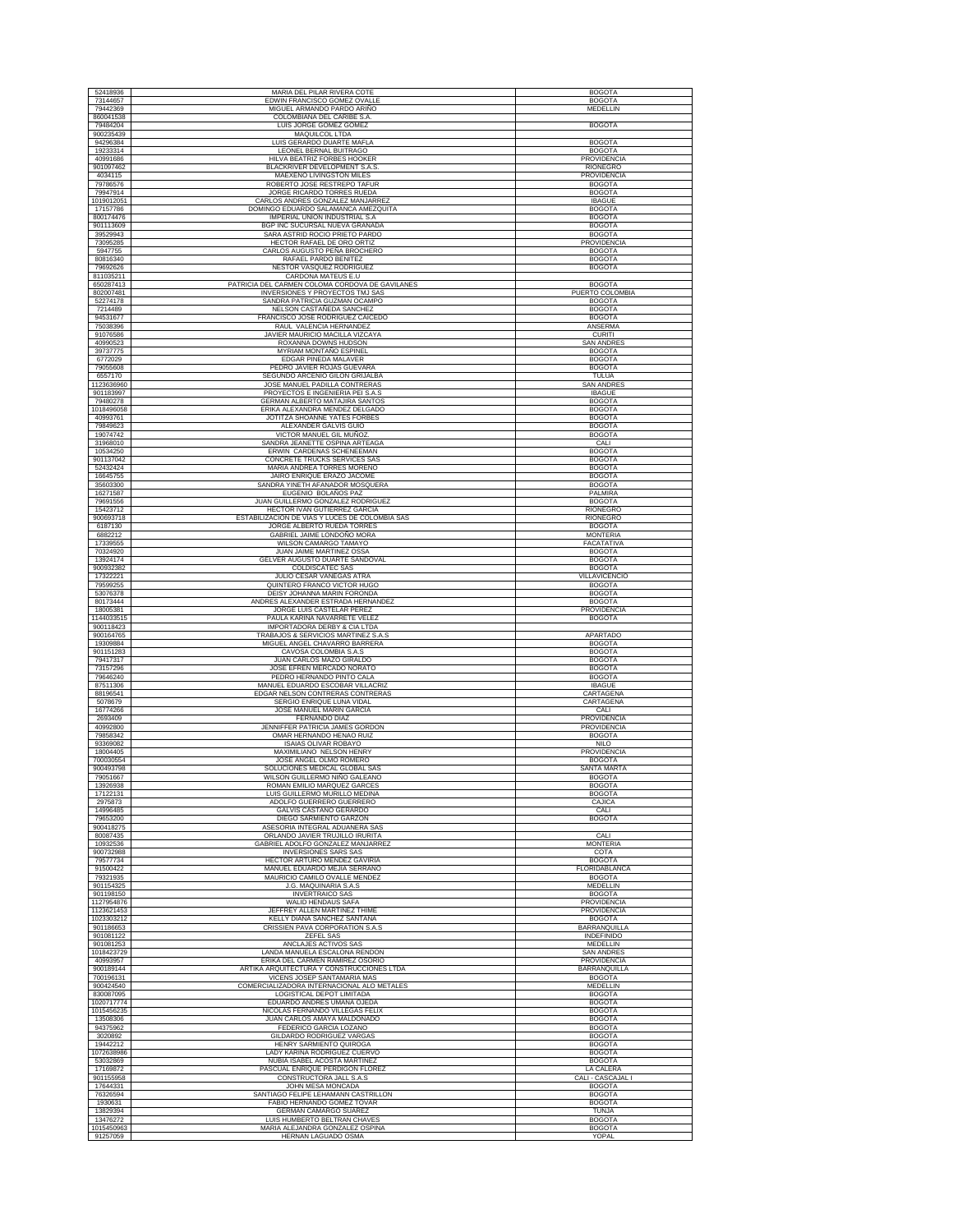| 52418936                 | MARIA DEL PILAR RIVERA COTE                                                           | <b>BOGOTA</b>                       |
|--------------------------|---------------------------------------------------------------------------------------|-------------------------------------|
| 73144657                 | EDWIN FRANCISCO GOMEZ OVALLE                                                          | <b>BOGOTA</b>                       |
| 79442369<br>860041538    | MIGUEL ARMANDO PARDO ARIÑO<br>COLOMBIANA DEL CARIBE S.A.                              | MEDELLIN                            |
| 79484204                 | LUIS JORGE GOMEZ GOMEZ                                                                | <b>BOGOTA</b>                       |
| 900235439                | MAQUILCOL LTDA                                                                        |                                     |
| 94296384<br>19233314     | LUIS GERARDO DUARTE MAFLA<br>LEONEL BERNAL BUITRAGO                                   | <b>BOGOTA</b><br><b>BOGOTA</b>      |
| 40991686                 | HILVA BEATRIZ FORBES HOOKER                                                           | PROVIDENCIA                         |
| 901097462<br>4034115     | BLACKRIVER DEVELOPMENT S.A.S.<br>MAEXENO LIVINGSTON MILES                             | RIONEGRO<br>PROVIDENCIA             |
| 79786576                 | ROBERTO JOSE RESTREPO TAFUR                                                           | <b>BOGOTA</b>                       |
| 79947914                 | JORGE RICARDO TORRES RUEDA                                                            | <b>BOGOTA</b>                       |
| 1019012051<br>17157786   | CARLOS ANDRES GONZALEZ MANJARREZ<br>DOMINGO EDUARDO SALAMANCA AMEZQUITA               | <b>IBAGUE</b><br><b>BOGOTA</b>      |
| 800174476                | IMPERIAL UNION INDUSTRIAL S.A                                                         | <b>BOGOTA</b>                       |
| 901113609                | BGP INC SUCURSAL NUEVA GRANADA                                                        | <b>BOGOTA</b>                       |
| 39529943<br>73095285     | SARA ASTRID ROCIO PRIETO PARDO<br>HECTOR RAFAEL DE ORO ORTIZ                          | <b>BOGOTA</b><br>PROVIDENCIA        |
| 5947755                  | CARLOS AUGUSTO PEÑA BROCHERO                                                          | <b>BOGOTA</b>                       |
| 80816340<br>79692626     | RAFAEL PARDO BENITEZ<br><b>NESTOR VASOUEZ RODRIGUEZ</b>                               | <b>BOGOTA</b><br><b>BOGOTA</b>      |
| 811035211                | CARDONA MATEUS E.U                                                                    |                                     |
| 650287413                | PATRICIA DEL CARMEN COLOMA CORDOVA DE GAVILANES                                       | <b>BOGOTA</b>                       |
| 802007481<br>52274178    | INVERSIONES Y PROYECTOS TMJ SAS<br>SANDRA PATRICIA GUZMAN OCAMPO                      | PUERTO COLOMBIA<br><b>BOGOTA</b>    |
| 7214489                  | NELSON CASTAÑEDA SANCHEZ                                                              | <b>BOGOTA</b>                       |
| 94531677<br>75038396     | FRANCISCO JOSE RODRIGUEZ CAICEDO<br>RAUL VALENCIA HERNANDEZ                           | <b>BOGOTA</b><br>ANSERMA            |
| 91076586                 | JAVIER MAURICIO MACILLA VIZCAYA                                                       | <b>CURITI</b>                       |
| 40990523                 | ROXANNA DOWNS HUDSON                                                                  | <b>SAN ANDRES</b>                   |
| 39737775<br>6772029      | MYRIAM MONTAÑO ESPINEL<br>EDGAR PINEDA MALAVER                                        | <b>BOGOTA</b>                       |
| 79055608                 | PEDRO JAVIER ROJAS GUEVARA                                                            | <b>BOGOTA</b><br><b>BOGOTA</b>      |
| 6557170                  | SEGUNDO ARCENIO GILON GRIJALBA                                                        | TULUA                               |
| 1123636960<br>901183997  | JOSE MANUEL PADILLA CONTRERAS<br>PROYECTOS E INGENIERIA PEI S.A.S                     | <b>SAN ANDRES</b>                   |
| 79480278                 | GERMAN ALBERTO MATAJIRA SANTOS                                                        | <b>IBAGUE</b><br><b>BOGOTA</b>      |
| 1018496058               | ERIKA ALEXANDRA MENDEZ DELGADO                                                        | <b>BOGOTA</b>                       |
| 40993761<br>79849623     | JOTITZA SHOANNE YATES FORBES<br>ALEXANDER GALVIS GUIO                                 | <b>BOGOTA</b><br><b>BOGOTA</b>      |
| 19074742                 | VICTOR MANUEL GIL MUÑOZ                                                               | <b>BOGOTA</b>                       |
| 31968010                 | SANDRA JEANETTE OSPINA ARTEAGA                                                        | CALI                                |
| 10534250<br>901137042    | ERWIN CARDENAS SCHENEEMAN<br>CONCRETE TRUCKS SERVICES SAS                             | <b>BOGOTA</b><br><b>BOGOTA</b>      |
| 52432424                 | MARIA ANDREA TORRES MORENO                                                            | <b>BOGOTA</b>                       |
| 16645755<br>35603300     | JAIRO ENRIQUE ERAZO JACOME<br>SANDRA YINETH AFANADOR MOSQUERA                         | <b>BOGOTA</b><br><b>BOGOTA</b>      |
| 16271587                 | EUGENIO BOLAÑOS PAZ                                                                   | PALMIRA                             |
| 79691556                 | JUAN GUILLERMO GONZALEZ RODRIGUEZ                                                     | <b>BOGOTA</b>                       |
| 15423712                 | <b>HECTOR IVAN GUTIERREZ GARCIA</b><br>ESTABILIZACIÓN DE VIAS Y LUCES DE COLOMBIA SAS | RIONEGRO                            |
| 900693718<br>6187130     | JORGE ALBERTO RUEDA TORRES                                                            | RIONEGRO<br><b>BOGOTA</b>           |
| 6882212                  | GABRIEL JAIME LONDOÑO MORA                                                            | <b>MONTERIA</b>                     |
| 17339555<br>70324920     | WILSON CAMARGO TAMAYO<br>JUAN JAIME MARTINEZ OSSA                                     | FACATATIVA<br><b>BOGOTA</b>         |
| 13924174                 | GELVER AUGUSTO DUARTE SANDOVAL                                                        | <b>BOGOTA</b>                       |
| 900932382                | <b>COLDISCATEC SAS</b>                                                                | <b>BOGOTA</b>                       |
| 17322221<br>79599255     | JULIO CESAR VANEGAS ATRA<br>QUINTERO FRANCO VICTOR HUGO                               | VILLAVICENCIO<br><b>BOGOTA</b>      |
| 53076378                 | DEISY JOHANNA MARIN FORONDA                                                           | <b>BOGOTA</b>                       |
| 80173444                 | ANDRES ALEXANDER ESTRADA HERNANDEZ                                                    | <b>BOGOTA</b>                       |
| 18005381<br>1144033515   | JORGE LUIS CASTELAR PEREZ<br>PAULA KARINA NAVARRETE VELEZ                             | <b>PROVIDENCIA</b><br><b>BOGOTA</b> |
| 900118423                |                                                                                       |                                     |
|                          | IMPORTADORA DERBY & CIA LTDA                                                          |                                     |
| 900164765                | TRABAJOS & SERVICIOS MARTINEZ S.A.S                                                   | APARTADO                            |
| 19309884<br>901151283    | MIGUEL ANGEL CHAVARRO BARRERA<br>CAVOSA COLOMBIA S.A.S                                | <b>BOGOTA</b><br><b>BOGOTA</b>      |
| 79417317                 | JUAN CARLOS MAZO GIRALDO                                                              | <b>BOGOTA</b>                       |
| 73157296                 | JOSE EFREN MERCADO NORATO                                                             | <b>BOGOTA</b>                       |
| 79646240<br>87511306     | PEDRO HERNANDO PINTO CALA<br>MANUEL EDUARDO ESCOBAR VILLACRIZ                         | <b>BOGOTA</b><br><b>IBAGUE</b>      |
| 88196541                 | EDGAR NELSON CONTRERAS CONTRERAS                                                      | CARTAGENA                           |
| 5078679<br>16774266      | SERGIO ENRIQUE LUNA VIDAL<br>JOSE MANUEL MARIN GARCIA                                 | CARTAGENA<br>CALI                   |
| 2693409                  | FERNANDO DIAZ                                                                         | <b>PROVIDENCIA</b>                  |
| 40992800                 | JENNIFFER PATRICIA JAMES GORDON                                                       | PROVIDENCIA                         |
| 79858342<br>93369082     | OMAR HERNANDO HENAO RUIZ<br><b>ISAIAS OLIVAR ROBAYO</b>                               | <b>BOGOTA</b><br><b>NILO</b>        |
| 18004405                 | MAXIMILIANO NELSON HENRY                                                              | PROVIDENCIA                         |
| 700030554<br>900493798   | JOSE ANGEL OLMO ROMERO<br>SOLUCIONES MEDICAL GLOBAL SAS                               | <b>BOGOTA</b><br>SANTA MARTA        |
| 79051667                 | WILSON GUILLERMO NIÑO GALEANO                                                         | <b>BOGOTA</b>                       |
| 13926938<br>17122131     | ROMAN EMILIO MAROUEZ GARCES                                                           | <b>BOGOTA</b>                       |
| 2975873                  | LUIS GUILLERMO MURILLO MEDINA<br>ADOLFO GUERRERO GUERRERO                             | <b>BOGOTA</b><br>CAJICA             |
| 14996485                 | GALVIS CASTAÑO GERARDO                                                                | CALI                                |
| 79653200<br>900418275    | DIEGO SARMIENTO GARZON<br>ASESORIA INTEGRAL ADUANERA SAS                              | <b>BOGOTA</b>                       |
| 80087435                 | ORLANDO JAVIER TRUJILLO IRURITA                                                       | CALI                                |
| 10932536<br>900732988    | GABRIEL ADOLFO GONZALEZ MANJARREZ<br><b>INVERSIONES SARS SAS</b>                      | <b>MONTERIA</b><br>COTA             |
| 79577734                 | <b>HECTOR ARTURO MENDEZ GAVIRIA</b>                                                   | <b>BOGOTA</b>                       |
| 91500422                 | MANUEL EDUARDO MEJIA SERRANO                                                          | FLORIDABLANCA                       |
| 79321935<br>901154325    | MAURICIO CAMILO OVALLE MENDEZ<br>J.G. MAQUINARIA S.A.S                                | <b>BOGOTA</b><br>MEDELLIN           |
| 901198150                | <b>INVERTRAICO SAS</b>                                                                | <b>BOGOTA</b>                       |
| 1127954876               | WALID HENDAUS SAFA                                                                    | <b>PROVIDENCIA</b>                  |
| 1123621453<br>1023303212 | JEFFREY ALLEN MARTINEZ THIME<br>KELLY DIANA SANCHEZ SANTANA                           | PROVIDENCIA<br><b>BOGOTA</b>        |
| 901186653                | CRISSIEN PAVA CORPORATION S.A.S                                                       | <b>BARRANQUILLA</b>                 |
| 901081122<br>901081253   | ZEFEL SAS<br>ANCLAJES ACTIVOS SAS                                                     | <b>INDEFINIDO</b><br>MEDELLIN       |
| 1018423729               | LANDA MANUELA ESCALONA RENDON                                                         | <b>SAN ANDRES</b>                   |
| 40993957                 | ERIKA DEL CARMEN RAMIREZ OSORIO                                                       | <b>PROVIDENCIA</b>                  |
| 900189144                | ARTIKA ARQUITECTURA Y CONSTRUCCIONES LTDA<br>VICENS JOSEP SANTAMARIA MAS              | BARRANQUILLA<br><b>BOGOTA</b>       |
| 700196131<br>900424540   | COMERCIALIZADORA INTERNACIONAL ALO METALES                                            | MEDELLIN                            |
| 830087095                | LOGISTICAL DEPOT LIMITADA                                                             | <b>BOGOTA</b>                       |
| 1020717774<br>1015456235 | EDUARDO ANDRES UMAÑA OJEDA<br>NICOLAS FERNANDO VILLEGAS FELIX                         | <b>BOGOTA</b><br><b>BOGOTA</b>      |
| 13508306                 | JUAN CARLOS AMAYA MALDONADO                                                           | <b>BOGOTA</b>                       |
| 94375962                 | FEDERICO GARCIA LOZANO                                                                | <b>BOGOTA</b>                       |
| 3020892<br>19442212      | GILDARDO RODRIGUEZ VARGAS<br>HENRY SARMIENTO QUIROGA                                  | <b>BOGOTA</b><br><b>BOGOTA</b>      |
| 1072638986               | LADY KARINA RODRIGUEZ CUERVO                                                          | <b>BOGOTA</b>                       |
| 53032869                 | NUBIA ISABEL ACOSTA MARTINEZ                                                          | <b>BOGOTA</b>                       |
| 17169872<br>901155958    | PASCUAL ENRIQUE PERDIGON FLOREZ<br>CONSTRUCTORA JALL S.A.S                            | LA CALERA<br>CALI - CASCAJAL I      |
| 17644331                 | JOHN MESA MONCADA                                                                     | <b>BOGOTA</b>                       |
| 76326594<br>1930631      | SANTIAGO FELIPE LEHAMANN CASTRILLON<br>FABIO HERNANDO GOMEZ TOVAR                     | <b>BOGOTA</b><br><b>BOGOTA</b>      |
| 13829394                 | GERMAN CAMARGO SUAREZ                                                                 | TUNJA                               |
| 13476272<br>1015450963   | LUIS HUMBERTO BELTRAN CHAVES<br>MARIA ALEJANDRA GONZALEZ OSPINA                       | <b>BOGOTA</b><br><b>BOGOTA</b>      |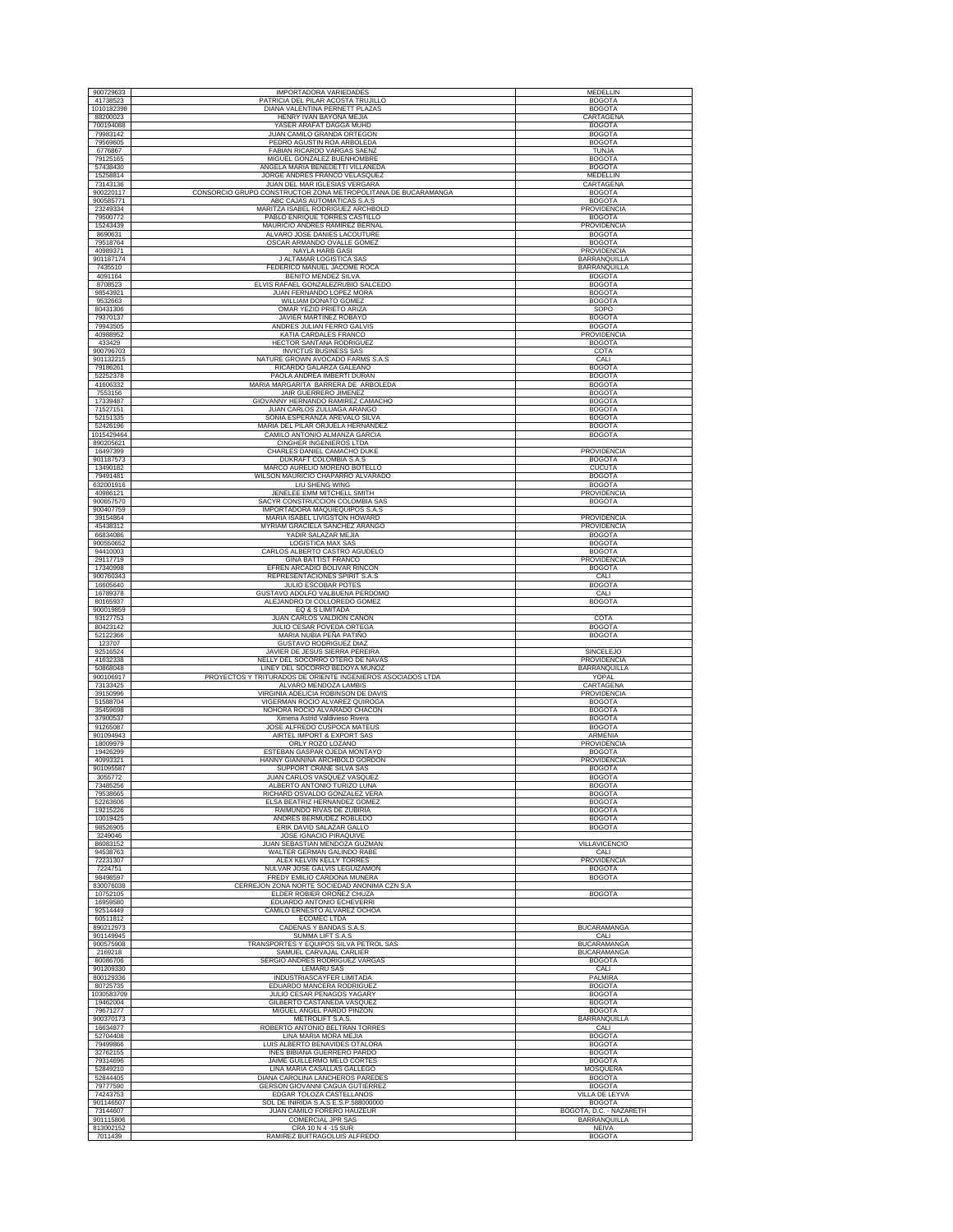| 900729633             | <b>IMPORTADORA VARIEDADES</b>                                           | <b>MEDELLIN</b>                               |
|-----------------------|-------------------------------------------------------------------------|-----------------------------------------------|
| 41738523              | PATRICIA DEL PILAR ACOSTA TRUJILLO                                      | <b>BOGOTA</b>                                 |
| 1010182398            | DIANA VALENTINA PERNETT PLAZAS                                          | <b>BOGOTA</b>                                 |
| 88200023              | HENRY IVAN BAYONA MEJIA                                                 | CARTAGENA                                     |
| 700194088             | YASER ARAFAT DAGGA MUHD                                                 | <b>BOGOTA</b>                                 |
| 79983142              | JUAN CAMILO GRANDA ORTEGON                                              | <b>BOGOTA</b>                                 |
| 79569605<br>6776867   | PEDRO AGUSTIN ROA ARBOLEDA<br>FABIAN RICARDO VARGAS SAENZ               | <b>BOGOTA</b><br><b>TUNJA</b>                 |
| 79125165              | MIGUEL GONZALEZ BUENHOMBRE                                              | <b>BOGOTA</b>                                 |
| 57438430              | ANGELA MARIA BENEDETTI VILLANEDA                                        | <b>BOGOTA</b>                                 |
| 15258814              | JORGE ANDRES FRANCO VELASQUEZ                                           | MEDELLIN                                      |
| 73143136              | JUAN DEL MAR IGLESIAS VERGARA                                           | CARTAGENA                                     |
| 900220117             | CONSORCIO GRUPO CONSTRUCTOR ZONA METROPOLITANA DE BUCARAMANGA           | <b>BOGOTA</b>                                 |
| 900585771<br>23249334 | ABC CAJAS AUTOMATICAS S.A.S<br>MARITZA ISABEL RODRIGUEZ ARCHBOLD        | <b>BOGOTA</b><br>PROVIDENCIA                  |
| 79500772              | PABLO ENRIQUE TORRES CASTILLO                                           | <b>BOGOTA</b>                                 |
| 15243439              | MAURICIO ANDRES RAMIREZ BERNAL                                          | PROVIDENCIA                                   |
| 8690631               | ALVARO JOSE DANIES LACOUTURE                                            | <b>BOGOTA</b>                                 |
| 79518764              | OSCAR ARMANDO OVALLE GOMEZ                                              | <b>BOGOTA</b>                                 |
| 40989371              | <b>NAYLA HARB GASI</b><br>J ALTAMAR LOGISTICA SAS                       | PROVIDENCIA                                   |
| 901187174<br>7435510  | FEDERICO MANUEL JACOME ROCA                                             | BARRANQUILLA<br>BARRANQUILLA                  |
| 4091164               | <b>BENITO MENDEZ SILVA</b>                                              | <b>BOGOTA</b>                                 |
| 8708523               | ELVIS RAFAEL GONZALEZRUBIO SALCEDO                                      | <b>BOGOTA</b>                                 |
| 98543921              | JUAN FERNANDO LOPEZ MORA                                                | <b>BOGOTA</b>                                 |
| 9532663<br>80431306   | <b>WILLIAM DONATO GOMEZ</b><br>OMAR YEZID PRIETO ARIZA                  | <b>BOGOTA</b><br>SOPO                         |
| 79370137              | JAVIER MARTINEZ ROBAYO                                                  | <b>BOGOTA</b>                                 |
| 79943505              | ANDRES JULIAN FERRO GALVIS                                              | <b>BOGOTA</b>                                 |
| 40988952              | KATIA CARDALES FRANCO                                                   | PROVIDENCIA                                   |
| 433429                | HECTOR SANTANA RODRIGUEZ                                                | <b>BOGOTA</b>                                 |
| 900796703             | <b>INVICTUS BUSINESS SAS</b>                                            | COTA                                          |
| 901132215<br>79186261 | NATURE GROWN AVOCADO FARMS S.A.S<br>RICARDO GALARZA GALEANO             | CALI<br><b>BOGOTA</b>                         |
| 52252378              | PAOLA ANDREA IMBERTI DURAN                                              | <b>BOGOTA</b>                                 |
| 41606332              | MARIA MARGARITA BARRERA DE ARBOLEDA                                     | <b>BOGOTA</b>                                 |
| 7553156               | JAIR GUERRERO JIMENEZ                                                   | <b>BOGOTA</b>                                 |
| 17339487<br>71527151  | GIOVANNY HERNANDO RAMIREZ CAMACHO                                       | <b>BOGOTA</b>                                 |
| 52151335              | JUAN CARLOS ZULUAGA ARANGO<br>SONIA ESPERANZA ARÉVALO SILVA             | <b>BOGOTA</b><br><b>BOGOTA</b>                |
| 52426196              | MARIA DEL PILAR ORJUELA HERNANDEZ                                       | <b>BOGOTA</b>                                 |
| 1015429464            | CAMILO ANTONIO ALMANZA GARCIA                                           | <b>BOGOTA</b>                                 |
| 890205621             | CINGHER INGENIEROS LTDA                                                 |                                               |
| 16497399              | CHARLES DANIEL CAMACHO DUKE                                             | <b>PROVIDENCIA</b>                            |
| 901187573<br>13490182 | DUKRAFT COLOMBIA S.A.S<br>MARCO AURELIO MORENO BOTELLO                  | <b>BOGOTA</b><br><b>CUCUTA</b>                |
| 79491481              | WILSON MAURICIO CHAPARRO ALVARADO                                       | <b>BOGOTA</b>                                 |
| 632001916             | LIU SHENG WING                                                          | <b>BOGOTA</b>                                 |
| 40986121              | JENELEE EMM MITCHELL SMITH                                              | PROVIDENCIA                                   |
| 900657570             | SACYR CONSTRUCCION COLOMBIA SAS                                         | <b>BOGOTA</b>                                 |
| 900407759<br>39154864 | IMPORTADORA MAQUIEQUIPOS S.A.S<br>MARIA ISABEL LIVIGSTON HOWARD         | PROVIDENCIA                                   |
| 45438312              | MYRIAM GRACIELA SANCHEZ ARANGO                                          | PROVIDENCIA                                   |
| 66834086              | YADIR SALAZAR MEJIA                                                     | <b>BOGOTA</b>                                 |
| 900550652             | LOGISTICA MAX SAS                                                       | <b>BOGOTA</b>                                 |
| 94410003              | CARLOS ALBERTO CASTRO AGUDELO                                           | <b>BOGOTA</b>                                 |
| 29117719<br>17340998  | <b>GINA BATTIST FRANCO</b><br>EFREN ARCADIO BOLIVAR RINCON              | PROVIDENCIA<br><b>BOGOTA</b>                  |
| 900760343             | REPRESENTACIONES SPIRIT S.A.S                                           | CALI                                          |
| 16605640              | JULIO ESCOBAR POTES                                                     | <b>BOGOTA</b>                                 |
| 16789378              | GUSTAVO ADOLFO VALBUENA PERDOMO                                         | CALI                                          |
| 80165937              | ALEJANDRO DI COLLOREDO GOMEZ                                            | <b>BOGOTA</b>                                 |
| 900019859             | EQ & S LIMITADA                                                         |                                               |
|                       |                                                                         |                                               |
| 93127753              | JUAN CARLOS VALDION CAÑON                                               | COTA                                          |
| 80423142              | <b>JULIO CESAR POVEDA ORTEGA</b>                                        | <b>BOGOTA</b>                                 |
| 52122366              | MARIA NUBIA PEÑA PATIÑO                                                 | <b>BOGOTA</b>                                 |
| 123707<br>92516524    | <b>GUSTAVO RODRIGUEZ DIAZ</b><br>JAVIER DE JESUS SIERRA PEREIRA         | SINCELEJO                                     |
| 41632338              | NELLY DEL SOCORRO OTERO DE NAVAS                                        | PROVIDENCIA                                   |
| 50868048              | LINEY DEL SOCORRO BEDOYA MUÑOZ                                          | <b>BARRANQUILLA</b>                           |
| 900106917             | PROYECTOS Y TRITURADOS DE ORIENTE INGENIEROS ASOCIADOS LTDA             | YOPAL                                         |
| 73133425<br>39150996  | ALVARO MENDOZA LAMBIS<br>VIRGINIA ADELICIA ROBINSON DE DAVIS            | CARTAGENA<br>PROVIDENCIA                      |
| 51588704              | VIGERMAN ROCIO ALVAREZ QUIROGA                                          | <b>BOGOTA</b>                                 |
| 35459698              | NOHORA ROCIO ALVARADO CHACON                                            | <b>BOGOTA</b>                                 |
| 37900537              | Ximena Astrid Valdivieso Rivera                                         | <b>BOGOTA</b>                                 |
| 91265087              | JOSE ALFREDO CUSPOCA MATEUS                                             | <b>BOGOTA</b>                                 |
| 901094943<br>18009979 | AIRTEL IMPORT & EXPORT SAS<br>ORLY ROZO LOZANO                          | ARMENIA<br>PROVIDENCIA                        |
| 19426299              | ESTEBAN GASPAR OJEDA MONTAYO                                            | <b>BOGOTA</b>                                 |
| 40993321              | HANNY GIANNINA ARCHBOLD GORDON                                          | PROVIDENCIA                                   |
| 901095587             | SUPPORT CRANE SILVA SAS                                                 | <b>BOGOTA</b>                                 |
| 3055772<br>73485256   | JUAN CARLOS VASQUEZ VASQUEZ<br>ALBERTO ANTONIO TURIZO LUNA              | <b>BOGOTA</b><br><b>BOGOTA</b>                |
| 79538665              | RICHARD OSVALDO GONZALEZ VERA                                           | <b>BOGOTA</b>                                 |
| 52263606              | ELSA BEATRIZ HERNANDEZ GOMEZ                                            | <b>BOGOTA</b>                                 |
| 19215226              | RAIMUNDO RIVAS DE ZUBIRIA                                               | <b>BOGOTA</b>                                 |
| 10019425<br>98526905  | ANDRES BERMUDEZ ROBLEDO<br>ERIK DAVID SALAZAR GALLO                     | <b>BOGOTA</b><br><b>BOGOTA</b>                |
| 3249046               | JOSE IGNACIO PIRAQUIVE                                                  |                                               |
| 86083152              | JUAN SEBASTIAN MENDOZA GUZMAN                                           | VILLAVICENCIO                                 |
| 94538763              | WALTER GERMAN GALINDO RABE                                              | CALI                                          |
| 72231307<br>7224751   | ALEX KELVIN KELLY TORRES<br>NULVAR JOSE GALVIS LEGUIZAMON               | PROVIDENCIA<br><b>BOGOTA</b>                  |
| 98498597              | FREDY EMILIO CARDONA MUNERA                                             | <b>BOGOTA</b>                                 |
| 830076038             | CERREJON ZONA NORTE SOCIEDAD ANONIMA CZN S.A.                           |                                               |
| 10752105              | ELDER ROBIER OROÑEZ CHUZA                                               | <b>BOGOTA</b>                                 |
| 16959580<br>92514449  | EDUARDO ANTONIO ECHEVERRI<br>CAMILO ERNESTO ALVAREZ OCHOA               |                                               |
| 60511812              | ECOMEC LTDA                                                             |                                               |
| 890212973             | CADENAS Y BANDAS S.A.S.                                                 | <b>BUCARAMANGA</b>                            |
| 901149945             | SUMMA LIFT S.A.S                                                        | CALI                                          |
| 900575908             | TRANSPORTES Y EQUIPOS SILVA PETROL SAS                                  | BUCARAMANGA                                   |
| 2169218<br>80086706   | SAMUEL CARVAJAL CARLIER<br>SERGIO ANDRES RODRIGUEZ VARGAS               | <b>BUCARAMANGA</b><br><b>BOGOTA</b>           |
| 901209330             | <b>LEMARU SAS</b>                                                       | CALI                                          |
| 800129336             | INDUSTRIASCAYFER LIMITADA                                               | PALMIRA                                       |
| 80725735              | EDUARDO MANCERA RODRIGUEZ                                               | <b>BOGOTA</b>                                 |
| 1030583709            | JULIO CESAR PENAGOS YAGARY                                              | <b>BOGOTA</b>                                 |
| 19462004<br>79671277  | GILBERTO CASTAÑEDA VASQUEZ                                              | <b>BOGOTA</b><br><b>BOGOTA</b>                |
| 900370173             | MIGUEL ANGEL PARDO PINZON<br>METROLIFT S.A.S.                           | BARRANQUILLA                                  |
| 16634877              | ROBERTO ANTONIO BELTRAN TORRES                                          | CALI                                          |
| 52704408              | LINA MARIA MORA MEJIA                                                   | <b>BOGOTA</b>                                 |
| 79499866              | LUIS ALBERTO BENAVIDES OTALORA                                          | <b>BOGOTA</b>                                 |
| 32762155              | INES BIBIANA GUERRERO PARDO                                             | <b>BOGOTA</b>                                 |
| 79314696<br>52849210  | JAIME GUILLERMO MELO CORTES<br>LINA MARIA CASALLAS GALLEGO              | <b>BOGOTA</b><br>MOSQUERA                     |
| 52844405              | DIANA CAROLINA LANCHEROS PAREDES                                        | <b>BOGOTA</b>                                 |
| 79777590              | GERSON GIOVANNI CAGUA GUTIERREZ                                         | <b>BOGOTA</b>                                 |
| 74243753              | EDGAR TOLOZA CASTELLANOS                                                | VILLA DE LEYVA                                |
| 901146507             | SOL DE INIRIDA S.A.S E.S.P.58800000                                     | <b>BOGOTA</b>                                 |
| 73144607<br>901115806 | JUAN CAMILO FORERO HAUZEUR                                              | BOGOTÁ, D.C. - NAZARETH                       |
| 813002152<br>7011439  | COMERCIAL JPR SAS<br>CRA 10 N 4 -15 SUR<br>RAMIREZ BUITRAGOLUIS ALFREDO | BARRANQUILLA<br><b>NEIVA</b><br><b>BOGOTA</b> |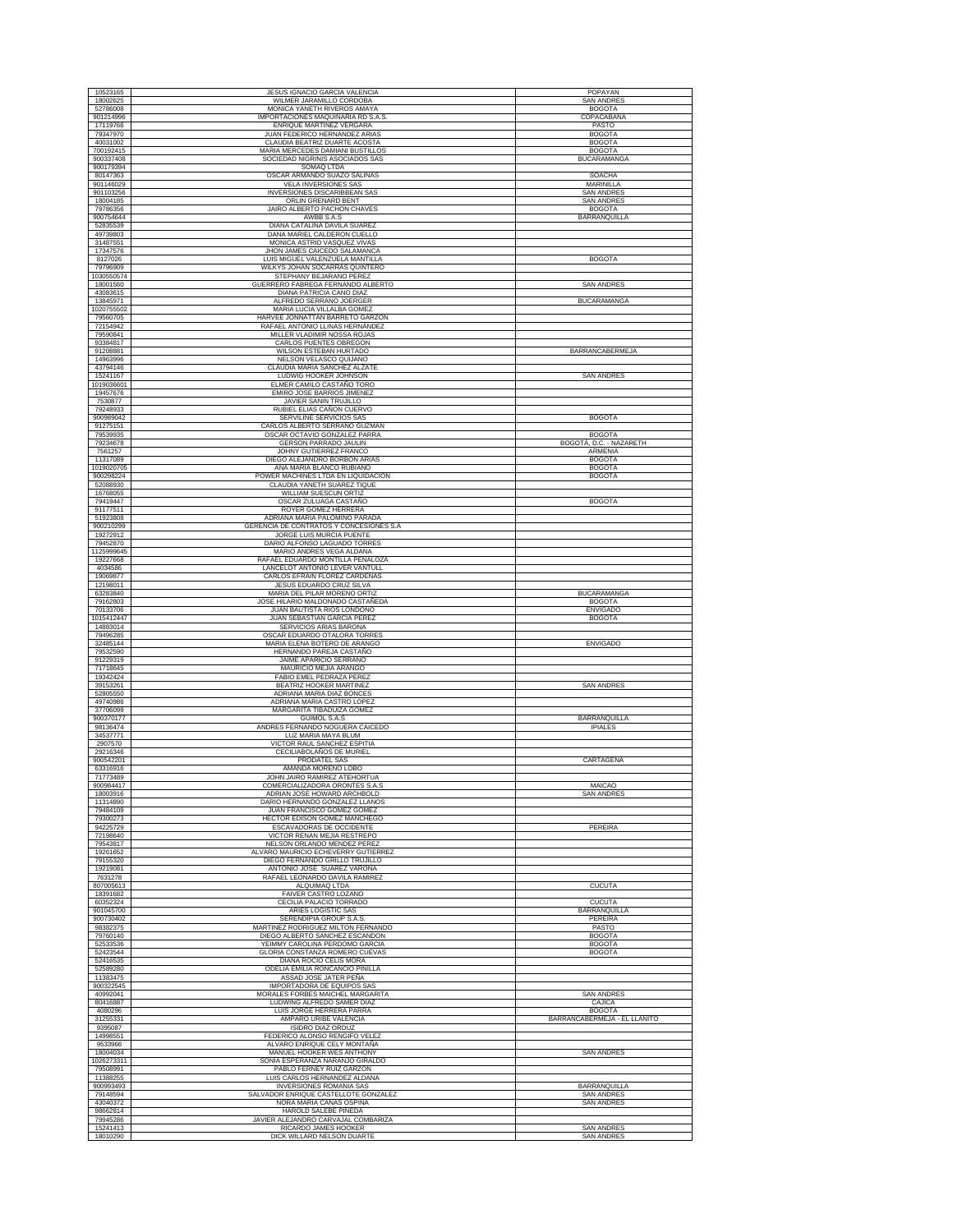| 10523165<br>18002625   |                                                                     |                                               |
|------------------------|---------------------------------------------------------------------|-----------------------------------------------|
|                        | JESUS IGNACIO GARCIA VALENCIA                                       | POPAYAN                                       |
| 52786008               | WILMER JARAMILLO CORDOBA<br>MONICA YANETH RIVEROS AMAYA             | SAN ANDRES<br><b>BOGOTA</b>                   |
| 901214996              | IMPORTACIONES MAQUINARIA RD S.A.S                                   | COPACABANA                                    |
| 17119766               | ENRIQUE MARTINEZ VERGARA                                            | <b>PASTO</b>                                  |
| 79347970               | JUAN FEDERICO HERNANDEZ ARIAS                                       | <b>BOGOTA</b>                                 |
| 40031002               | CLAUDIA BEATRIZ DUARTE ACOSTA                                       | <b>BOGOTA</b>                                 |
| 700192415<br>900337408 | MARIA MERCEDES DAMIANI BUSTILLOS                                    | <b>BOGOTA</b>                                 |
| 900179394              | SOCIEDAD NIGRINIS ASOCIADOS SAS<br>SOMAQ LTDA                       | <b>BUCARAMANGA</b>                            |
| 80147363               | OSCAR ARMANDO SUAZO SALINAS                                         | <b>SOACHA</b>                                 |
| 901146029              | VELA INVERSIONES SAS                                                | MARINILLA                                     |
| 901103256              | INVERSIONES DISCARIBBEAN SAS                                        | <b>SAN ANDRES</b>                             |
| 18004185               | ORLIN GRENARD BENT                                                  | <b>SAN ANDRES</b>                             |
| 79786356               | JAIRO ALBERTO PACHON CHAVES                                         | <b>BOGOTA</b>                                 |
| 900754644<br>52835539  | AWBB S.A.S<br>DIANA CATALINA DAVILA SUAREZ                          | BARRANQUILLA                                  |
| 49739803               | DANA MARIEL CALDERON CUELLO                                         |                                               |
| 31487551               | MONICA ASTRID VASQUEZ VIVAS                                         |                                               |
| 17347576               | JHON JAMES CAICEDO SALAMANCA                                        |                                               |
| 8127026                | LUIS MIGUEL VALENZUELA MANTILLA                                     | <b>BOGOTA</b>                                 |
| 79796909               | WILKYS JOHAN SOCARRAS QUINTERO                                      |                                               |
| 1030550574<br>18001560 | STEPHANY BEJARANO PEREZ<br>GUERRERO FABREGA FERNANDO ALBERTO        | <b>SAN ANDRES</b>                             |
| 43083615               | <b>DIANA PATRICIA CANO DIAZ</b>                                     |                                               |
| 13845971               | ALFREDO SERRANO JOERGER                                             | BUCARAMANGA                                   |
| 1020755502             | MARIA LUCIA VILLALBA GOMEZ                                          |                                               |
| 79560705               | HARVEE JONNATTAN BARRETO GARZON                                     |                                               |
| 72154942               | RAFAEL ANTONIO LLINAS HERNÁNDEZ                                     |                                               |
| 79590841               | MILLER VLADIMIR NOSSA ROJAS                                         |                                               |
| 93384817<br>91208881   | CARLOS PUENTES OBREGON<br>WILSON ESTEBAN HURTADO                    | BARRANCABERMEJA                               |
| 14963996               | NELSON VELASCO QUIJANO                                              |                                               |
| 43794146               | CLAUDIA MARIA SANCHEZ ALZATE                                        |                                               |
| 15241167               | LUDWIG HOOKER JOHNSON                                               | <b>SAN ANDRES</b>                             |
| 1019036601             | ELMER CAMILO CASTAÑO TORO                                           |                                               |
| 19457676               | EMIRO JOSE BARRIOS JIMENEZ                                          |                                               |
| 7530877<br>79248933    | JAVIER SANIN TRUJILLO<br>RUBIEL ELIAS CAÑON CUERVO                  |                                               |
| 900989042              | SERVILINE SERVICIOS SAS                                             | <b>BOGOTA</b>                                 |
| 91275151               | CARLOS ALBERTO SERRANO GUZMAN                                       |                                               |
| 79539935               | OSCAR OCTAVIO GONZALEZ PARRA                                        | <b>BOGOTA</b>                                 |
| 79234678               | <b>GERSON PARRADO JAULIN</b>                                        | BOGOTÁ, D.C. - NAZARETH                       |
| 7561257                | JOHNY GUTIERREZ FRANCO                                              | ARMENIA                                       |
| 11317089<br>1019020705 | DIEGO ALEJANDRO BORBON ARIAS<br>ANA MARIA BLANCO RUBIANO            | <b>BOGOTA</b><br><b>BOGOTA</b>                |
| 900298224              | POWER MACHINES LTDA EN LIQUIDACION                                  | <b>BOGOTA</b>                                 |
| 52088930               | CLAUDIA YANETH SUAREZ TIQUE                                         |                                               |
| 16768055               | WILLIAM SUESCUN ORTIZ                                               |                                               |
| 79419447               | OSCAR ZULUAGA CASTAÑO                                               | <b>BOGOTA</b>                                 |
| 91177511               | ROYER GOMEZ HERRERA                                                 |                                               |
| 51923808               | ADRIANA MARIA PALOMINO PARADA                                       |                                               |
| 900210299<br>19272912  | GERENCIA DE CONTRATOS Y CONCESIONES S.A<br>JORGE LUIS MURCIA PUENTE |                                               |
| 79452870               | DARIO ALFONSO LAGUADO TORRES                                        |                                               |
| 1125999645             | MARIO ANDRES VEGA ALDANA                                            |                                               |
| 19227668               | RAFAEL EDUARDO MONTILLA PEÑALOZA                                    |                                               |
| 4034586                | LANCELOT ANTONIO LEVER VANTULL                                      |                                               |
| 19069877               | CARLOS EFRAIN FLOREZ CARDENAS                                       |                                               |
| 12198011<br>63283840   | JESUS EDUARDO CRUZ SILVA<br>MARIA DEL PILAR MORENO ORTIZ            | <b>BUCARAMANGA</b>                            |
| 79162803               | JOSE HILARIO MALDONADO CASTAÑEDA                                    | <b>BOGOTA</b>                                 |
| 70133706               | JUAN BAUTISTA RIOS LONDOÑO                                          | <b>ENVIGADO</b>                               |
| 1015412447             | JUAN SEBASTIAN GARCIA PEREZ                                         | <b>BOGOTA</b>                                 |
| 14883014               | SERVICIOS ARIAS BARONA                                              |                                               |
| 79496285               | OSCAR EDUARDO OTALORA TORRES                                        |                                               |
| 32485144               | MARIA ELENA BOTERO DE ARANGO                                        | <b>ENVIGADO</b>                               |
| 79532590<br>91229319   | HERNANDO PAREJA CASTAÑO<br>JAIME APARICIO SERRANO                   |                                               |
| 71718645               | MAURICIO MEJIA ARANGO                                               |                                               |
|                        |                                                                     |                                               |
| 19342424               | FABIO EMEL PEDRAZA PEREZ                                            |                                               |
| 39153261               | BEATRIZ HOOKER MARTINEZ                                             | <b>SAN ANDRES</b>                             |
| 52805550               | ADRIANA MARIA DIAZ BONCES                                           |                                               |
| 49740986               | ADRIANA MARIA CASTRO LOPEZ                                          |                                               |
| 37706099               | MARGARITA TIBADUIZA GOMEZ                                           |                                               |
| 900370177              | <b>GUIMOL S.A.S</b>                                                 | BARRANQUILLA                                  |
| 98136474<br>34537771   | ANDRES FERNANDO NOGUERA CAICEDO<br>LUZ MARIA MAYA BLUM              | <b>IPIALES</b>                                |
| 2907570                | VICTOR RAUL SANCHEZ ESPITIA                                         |                                               |
| 29216346               | CECILIABOLAÑOS DE MURIEL                                            |                                               |
| 900542201              | <b>PRODATEL SAS</b>                                                 | CARTAGENA                                     |
| 63316916               | AMANDA MORENO LOBO                                                  |                                               |
| 71773489<br>900984417  | JOHN JAIRO RAMIREZ ATEHORTUA<br>COMERCIALIZADORA ORONTES S.A.S      | MAICAO                                        |
| 18003916               | ADRIAN JOSE HOWARD ARCHBOLD                                         | <b>SAN ANDRES</b>                             |
| 11314890               | DARIO HERNANDO GONZALEZ LLANOS                                      |                                               |
| 79484109               | JUAN FRANCISCO GOMEZ GOMEZ                                          |                                               |
| 79300273               | HECTOR EDISON GOMEZ MANCHEGO                                        |                                               |
| 94225729               | ESCAVADORAS DE OCCIDENTE                                            | PEREIRA                                       |
| 72198640<br>79543817   | VICTOR RENAN MEJIA RESTREPO<br>NELSON ORLANDO MENDEZ PEREZ          |                                               |
| 19261652               | ALVARO MAURICIO ECHEVERRY GUTIERREZ                                 |                                               |
| 79155320               | DIEGO FERNANDO GRILLO TRUJILLO                                      |                                               |
| 19219081               | ANTONIO JOSÉ SUÁREZ VARONA                                          |                                               |
| 7631278                | RAFAEL LEONARDO DAVILA RAMIREZ                                      | <b>CUCUTA</b>                                 |
| 807005613<br>18391682  | ALQUIMAQ LTDA<br>FAIVER CASTRO LOZANO                               |                                               |
| 60352324               | CECILIA PALACIO TORRADO                                             | CUCUTA                                        |
| 901045700              | ARIES LOGISTIC SAS                                                  | BARRANQUILLA                                  |
| 900730402              | SERENDIPIA GROUP S.A.S                                              | PEREIRA                                       |
| 98382375               | MARTINEZ RODRIGUEZ MILTON FERNANDO                                  | PASTO                                         |
| 79760140<br>52533536   | DIEGO ALBERTO SANCHEZ ESCANDON                                      | <b>BOGOTA</b>                                 |
| 52423544               | YEIMMY CAROLINA PERDOMO GARCIA<br>GLORIA CONSTANZA ROMERO CUEVAS    | <b>BOGOTA</b><br><b>BOGOTA</b>                |
| 52416535               | <b>DIANA ROCIO CELIS MORA</b>                                       |                                               |
| 52589280               | ODELIA EMILIA RONCANCIO PINILLA                                     |                                               |
| 11383475               | ASSAD JOSE JATER PEÑA                                               |                                               |
| 900322545              | IMPORTADORA DE EQUIPOS SAS                                          |                                               |
| 40992041               | MORALES FORBES MAICHEL MARGARITA                                    | <b>SAN ANDRES</b>                             |
| 80416887               | LUDWING ALFREDO SAMER DIAZ                                          | CAJICA                                        |
| 4080296<br>31255331    | LUIS JORGE HERRERA PARRA<br>AMPARO URIBE VALENCIA                   | <b>BOGOTA</b><br>BARRANCABERMEJA - EL LLANITO |
| 9395087                | ISIDRO DIAZ ORDUZ                                                   |                                               |
| 14998551               | FEDERICO ALONSO RENGIFO VELEZ                                       |                                               |
| 9533966                | ALVARO ENRIQUE CELY MONTAÑA                                         |                                               |
| 18004034               | MANUEL HOOKER WES ANTHONY                                           | <b>SAN ANDRES</b>                             |
| 1026273311             | SONIA ESPERANZA NARANJO GIRALDO                                     |                                               |
| 79508991<br>11388255   | PABLO FERNEY RUIZ GARZON<br>LUIS CARLOS HERNANDEZ ALDANA            |                                               |
| 900993493              | <b>INVERSIONES ROMANIA SAS</b>                                      | <b>BARRANQUILLA</b>                           |
| 79148594               | SALVADOR ENRIQUE CASTELLOTE GONZALEZ                                | SAN ANDRES                                    |
| 43040372               | NORA MARIA CAÑAS OSPINA                                             | <b>SAN ANDRES</b>                             |
| 98662814               | HAROLD SALEBE PINEDA                                                |                                               |
| 79945286               | JAVIER ALEJANDRO CARVAJAL COMBARIZA                                 |                                               |
| 15241413<br>18010290   | RICARDO JAMES HOOKER<br>DICK WILLARD NELSON DUARTE                  | SAN ANDRES<br><b>SAN ANDRES</b>               |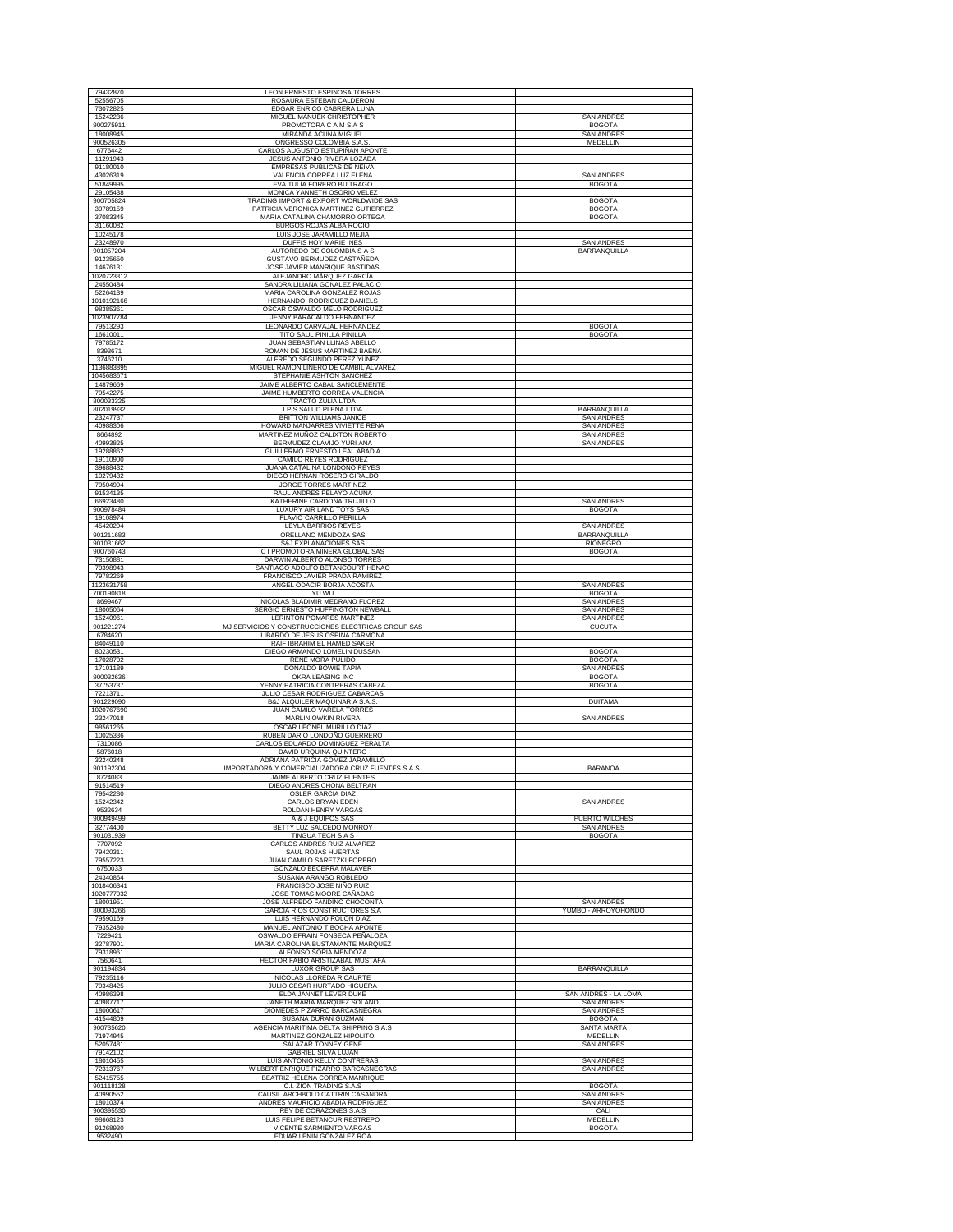| 52556705                | LEON ERNESTO ESPINOSA TORRES                                                           |                                          |
|-------------------------|----------------------------------------------------------------------------------------|------------------------------------------|
| 73072825                | ROSAURA ESTEBAN CALDERON<br>EDGAR ENRICO CABRERA LUNA                                  |                                          |
| 15242236                | MIGUEL MANUEK CHRISTOPHER                                                              | <b>SAN ANDRES</b>                        |
| 900275911               | PROMOTORA C A M S A S                                                                  | <b>BOGOTA</b>                            |
| 18008945<br>900526305   | MIRANDA ACUÑA MIGUEL<br>ONGRESSO COLOMBIA S.A.S.                                       | <b>SAN ANDRES</b><br><b>MEDELLIN</b>     |
| 6776442                 | CARLOS AUGUSTO ESTUPIÑAN APONTE                                                        |                                          |
| 11291943<br>91180010    | JESUS ANTONIO RIVERA LOZADA<br><b>EMPRESAS PUBLICAS DE NEIVA</b>                       |                                          |
| 43026319                | VALENCIA CORREA LUZ ELENA                                                              | <b>SAN ANDRES</b>                        |
| 51849995<br>29105438    | EVA TULIA FORERO BUITRAGO<br>MONICA YANNETH OSORIO VELEZ                               | <b>BOGOTA</b>                            |
| 900705824               | TRADING IMPORT & EXPORT WORLDWIDE SAS                                                  | <b>BOGOTA</b>                            |
| 39789159<br>37083345    | PATRICIA VERONICA MARTINEZ GUTIERREZ<br>MARIA CATALINA CHAMORRO ORTEGA                 | <b>BOGOTA</b><br><b>BOGOTA</b>           |
| 31160082                | BURGOS ROJAS ALBA ROCIO                                                                |                                          |
| 10245178<br>23248970    | LUIS JOSE JARAMILLO MEJIA<br>DUFFIS HOY MARIE INES                                     | <b>SAN ANDRES</b>                        |
| 901057204               | AUTOREDO DE COLOMBIA S A S                                                             | BARRANQUILLA                             |
| 91235650<br>14676131    | <b>GUSTAVO BERMUDEZ CASTAÑEDA</b><br>JOSE JAVIER MANRIQUE BASTIDAS                     |                                          |
| 1020723312              | ALEJANDRO MÁRQUEZ GARCÍA                                                               |                                          |
| 24550484<br>52264139    | SANDRA LILIANA GONALEZ PALACIO<br>MARIA CAROLINA GONZALEZ ROJAS                        |                                          |
| 1010192166              | HERNANDO RODRIGUEZ DANIELS                                                             |                                          |
| 98385361<br>1023907784  | OSCAR OSWALDO MELO RODRIGUEZ<br>JENNY BARACALDO FERNANDEZ                              |                                          |
| 79513293                | LEONARDO CARVAJAL HERNANDEZ                                                            | <b>BOGOTA</b>                            |
| 16610011<br>79785172    | TITO SAUL PINILLA PINILLA<br>JUAN SEBASTIAN LLINAS ABELLO                              | <b>BOGOTA</b>                            |
| 8393671                 | ROMAN DE JESUS MARTINEZ BAENA                                                          |                                          |
| 3746210<br>1136883895   | ALFREDO SEGUNDO PEREZ YUNEZ<br>MIGUEL RAMON LINERO DE CAMBIL ALVAREZ                   |                                          |
| 1045683671              | STEPHANIE ASHTON SANCHEZ                                                               |                                          |
| 14879669<br>79542275    | JAIME ALBERTO CABAL SANCLEMENTE<br>JAIME HUMBERTO CORREA VALENCIA                      |                                          |
| 800033325               | <b>TRACTO ZULIA LTDA</b>                                                               |                                          |
| 802019932<br>23247737   | I.P.S SALUD PLENA LTDA<br><b>BRITTON WILLIAMS JANICE</b>                               | BARRANQUILLA<br><b>SAN ANDRES</b>        |
| 40988306                | HOWARD MANJARRES VIVIETTE RENA                                                         | <b>SAN ANDRES</b>                        |
| 8664892<br>40993825     | MARTINEZ MUÑOZ CALIXTON ROBERTO<br>BERMUDEZ CLAVIJO YURI ANA                           | <b>SAN ANDRES</b><br><b>SAN ANDRES</b>   |
| 19288862                | GUILLERMO ERNESTO LEAL ABADIA                                                          |                                          |
| 19110900<br>39688432    | CAMILO REYES RODRIGUEZ<br>JUANA CATALINA LONDOÑO REYES                                 |                                          |
| 10279432                | DIEGO HERNAN ROSERO GIRALDO                                                            |                                          |
| 79504994<br>91534135    | JORGE TORRES MARTINEZ<br>RAUL ANDRES PELAYO ACUÑA                                      |                                          |
| 66923480                | KATHERINE CARDONA TRUJILLO                                                             | <b>SAN ANDRES</b>                        |
| 900978484<br>19108974   | LUXURY AIR LAND TOYS SAS<br><b>FLAVIO CARRILLO PERILLA</b>                             | <b>BOGOTA</b>                            |
| 45420294                | LEYLA BARRIOS REYES                                                                    | <b>SAN ANDRES</b>                        |
| 901211683<br>901031662  | ORELLANO MENDOZA SAS<br>S&J EXPLANACIONES SAS                                          | BARRANQUILLA<br><b>RIONEGRO</b>          |
| 900760743               | C I PROMOTORA MINERA GLOBAL SAS                                                        | <b>BOGOTA</b>                            |
| 73150881<br>79398943    | DARWIN ALBERTO ALONSO TORRES<br>SANTIAGO ADOLFO BETANCOURT HENAO                       |                                          |
| 79782269                | FRANCISCO JAVIER PRADA RAMIREZ                                                         |                                          |
| 1123631758<br>700190818 | ANGEL ODACIR BORJA ACOSTA<br>YU WU                                                     | <b>SAN ANDRES</b><br><b>BOGOTA</b>       |
| 8699467                 | NICOLAS BLADIMIR MEDRANO FLOREZ                                                        | <b>SAN ANDRES</b>                        |
| 18005064<br>15240961    | SERGIO ERNESTO HUFFINGTON NEWBALL<br>LERINTON POMARES MARTINEZ                         | <b>SAN ANDRES</b><br><b>SAN ANDRES</b>   |
| 901221274               | MJ SERVICIOS Y CONSTRUCCIONES ELECTRICAS GROUP SAS                                     | <b>CUCUTA</b>                            |
| 6784620<br>84049110     | LIBARDO DE JESUS OSPINA CARMONA<br>RAIF IBRAHIM EL HAMED SAKER                         |                                          |
| 80230531                | DIEGO ARMANDO LOMELIN DUSSAN                                                           | <b>BOGOTA</b>                            |
| 17028702<br>17101189    | RENE MORA PULIDO<br>DONALDO BOWIE TAPIA                                                | <b>BOGOTA</b><br><b>SAN ANDRES</b>       |
| 900032636               | OKRA LEASING INC                                                                       |                                          |
|                         |                                                                                        | <b>BOGOTA</b>                            |
| 37753737<br>72213711    | YENNY PATRICIA CONTRERAS CABEZA<br>JULIO CESAR RODRIGUEZ CABARCAS                      | <b>BOGOTA</b>                            |
| 901229090               | B&J ALQUILER MAQUINARIA S.A.S.                                                         | <b>DUITAMA</b>                           |
| 1020767690<br>23247018  | JUAN CAMILO VARELA TORRES<br>MARLIN OWKIN RIVERA                                       | <b>SAN ANDRES</b>                        |
| 98561265                | OSCAR LEONEL MURILLO DIAZ                                                              |                                          |
| 10025336<br>7310086     | RUBEN DARIO LONDOÑO GUERRERO<br>CARLOS EDUARDO DOMINGUEZ PERALTA                       |                                          |
| 5876018                 | DAVID URQUINA QUINTERO                                                                 |                                          |
| 32240348<br>901192304   | ADRIANA PATRICIA GOMEZ JARAMILLO<br>IMPORTADORA Y COMERCIALIZADORA CRUZ FUENTES S.A.S. | <b>BARANOA</b>                           |
| 8724083                 | JAIME ALBERTO CRUZ FUENTES                                                             |                                          |
| 91514519<br>79542280    | DIEGO ANDRES CHONA BELTRAN<br><b>OSLER GARCIA DIAZ</b>                                 |                                          |
| 15242342                | <b>CARLOS BRYAN EDEN</b>                                                               | <b>SAN ANDRES</b>                        |
| 9532634<br>900949499    | ROLDAN HENRY VARGAS<br>A & J EQUIPOS SAS                                               | PUERTO WILCHES                           |
| 32774400<br>901031939   | BETTY LUZ SALCEDO MONROY                                                               | <b>SAN ANDRES</b><br><b>BOGOTA</b>       |
| 7707092                 | <b>TINGUA TECH S A S</b><br>CARLOS ANDRES RUIZ ALVAREZ                                 |                                          |
| 79420311<br>79557223    | SAUL ROJAS HUERTAS<br>JUAN CAMILO SARETZKI FORERO                                      |                                          |
| 6750033                 | GONZALO BECERRA MALAVER                                                                |                                          |
| 24340864<br>1018406341  | SUSANA ARANGO ROBLEDO<br>FRANCISCO JOSE NIÑO RUIZ                                      |                                          |
| 1020777032              | JOSE TOMAS MOORE CAÑADAS                                                               |                                          |
| 18001951<br>800093266   | JOSE ALFREDO FANDIÑO CHOCONTA<br><b>GARCIA RIOS CONSTRUCTORES S.A.</b>                 | <b>SAN ANDRES</b><br>YUMBO - ARROYOHONDO |
| 79590169                | LUIS HERNANDO ROLON DIAZ                                                               |                                          |
| 79352480<br>7229421     | MANUEL ANTONIO TIBOCHA APONTE<br>OSWALDO EFRAIN FONSECA PEÑALOZA                       |                                          |
| 32787901<br>79318961    | MARIA CAROLINA BUSTAMANTE MARQUEZ                                                      |                                          |
| 7560641                 | ALFONSO SORIA MENDOZA<br>HECTOR FABIO ARISTIZABAL MUSTAFA                              |                                          |
| 901194834<br>79235116   | LUXOR GROUP SAS<br>NICOLAS LLOREDA RICAURTE                                            | BARRANQUILLA                             |
| 79348425                | JULIO CESAR HURTADO HIGUERA                                                            |                                          |
| 40986398                | ELDA JANNET LEVER DUKE                                                                 | SAN ANDRÉS - LA LOMA                     |
| 40987717<br>18000617    | JANETH MARIA MARQUEZ SOLANO<br>DIOMEDES PIZARRO BARCASNEGRA                            | <b>SAN ANDRES</b><br><b>SAN ANDRES</b>   |
| 41544809                | SUSANA DURAN GUZMAN                                                                    | <b>BOGOTA</b>                            |
| 900735620<br>71974945   | AGENCIA MARITIMA DELTA SHIPPING S.A.S<br>MARTINEZ GONZALEZ HIPOLITO                    | SANTA MARTA<br><b>MEDELLIN</b>           |
| 52057481                | SALAZAR TONNEY GENE                                                                    | <b>SAN ANDRES</b>                        |
| 79142102<br>18010455    | <b>GABRIEL SILVA LUJAN</b><br>LUIS ANTONIO KELLY CONTRERAS                             | <b>SAN ANDRES</b>                        |
| 72313767                | WILBERT ENRIQUE PIZARRO BARCASNEGRAS                                                   | <b>SAN ANDRES</b>                        |
| 52415755<br>901118128   | BEATRIZ HELENA CORREA MANRIQUE<br>C.I. ZION TRADING S.A.S                              | <b>BOGOTA</b>                            |
| 40990552                | CAUSIL ARCHBOLD CATTRIN CASANDRA                                                       | <b>SAN ANDRES</b>                        |
| 18010374<br>900395530   | ANDRES MAURICIO ABADIA RODRIGUEZ<br>REY DE CORAZONES S.A.S                             | SAN ANDRES<br>CALI                       |
| 98668123<br>91268930    | LUIS FELIPE BETANCUR RESTREPO<br>VICENTE SARMIENTO VARGAS                              | MEDELLIN<br><b>BOGOTA</b>                |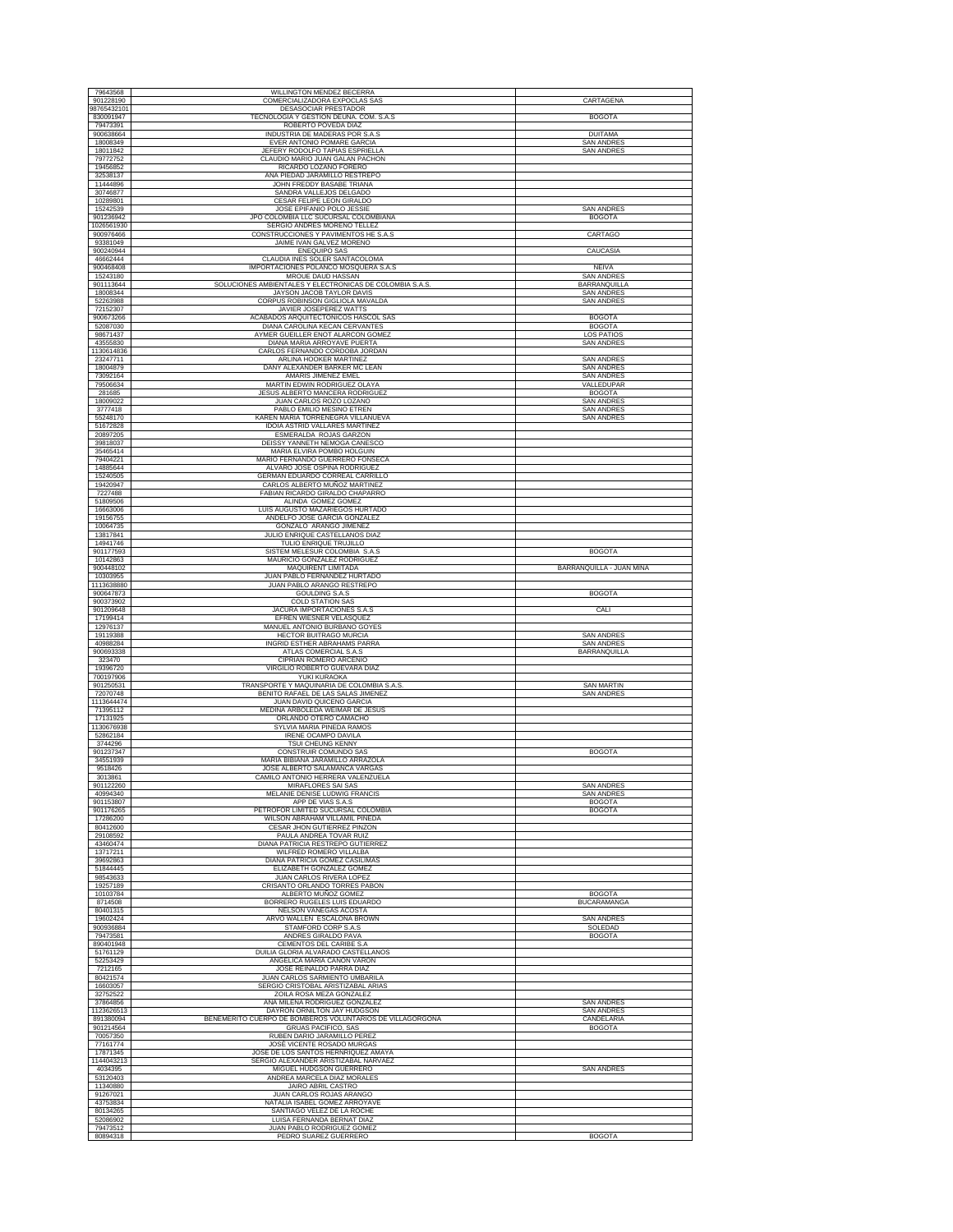| 79643568                         | WILLINGTON MENDEZ BECERRA                                                               |                                        |
|----------------------------------|-----------------------------------------------------------------------------------------|----------------------------------------|
| 901228190<br>98765432101         | COMERCIALIZADORA EXPOCLAS SAS<br>DESASOCIAR PRESTADOR                                   | CARTAGENA                              |
| 830091947<br>79473391            | TECNOLOGIA Y GESTION DEUNA. COM. S.A.S.<br>ROBERTO POVEDA DIAZ                          | <b>BOGOTA</b>                          |
| 900638664<br>18008349            | INDUSTRIA DE MADERAS POR S.A.S<br>EVER ANTONIO POMARE GARCIA                            | <b>DUITAMA</b><br><b>SAN ANDRES</b>    |
| 18011842                         | JEFERY RODOLFO TAPIAS ESPRIELLA                                                         | <b>SAN ANDRES</b>                      |
| 79772752<br>19456852             | CLAUDIO MARIO JUAN GALAN PACHON<br>RICARDO LOZANO FORERO                                |                                        |
| 32538137<br>11444896             | ANA PIEDAD JARAMILLO RESTREPO<br>JOHN FREDDY BASABE TRIANA                              |                                        |
| 30746877<br>10289801             | SANDRA VALLEJOS DELGADO<br>CESAR FELIPE LEON GIRALDO                                    |                                        |
| 15242539                         | JOSE EPIFANIO POLO JESSIE                                                               | <b>SAN ANDRES</b>                      |
| 901236942<br>1026561930          | JPO COLOMBIA LLC SUCURSAL COLOMBIANA<br>SERGIO ANDRES MORENO TELLEZ                     | <b>BOGOTA</b>                          |
| 900976466<br>93381049            | CONSTRUCCIONES Y PAVIMENTOS HE S.A.S<br>JAIME IVAN GALVEZ MORENO                        | CARTAGO                                |
| 900240944<br>46662444            | <b>ENEQUIPO SAS</b><br>CLAUDIA INES SOLER SANTACOLOMA                                   | CAUCASIA                               |
| 900468408                        | IMPORTACIONES POLANCO MOSQUERA S.A.S                                                    | NEIVA                                  |
| 15243180<br>901113644            | MROUE DAUD HASSAN<br>SOLUCIONES AMBIENTALES Y ELECTRONICAS DE COLOMBIA S.A.S.           | <b>SAN ANDRES</b><br>BARRANQUILLA      |
| 18008344<br>52263988             | JAYSON JACOB TAYLOR DAVIS<br>CORPUS ROBINSON GIGLIOLA MAVALDA                           | <b>SAN ANDRES</b><br><b>SAN ANDRES</b> |
| 72152307<br>900673266            | JAVIER JOSEPEREZ WATTS<br>ACABADOS ARQUITECTONICOS HASCOL SAS                           | <b>BOGOTA</b>                          |
| 52087030<br>98671437             | DIANA CAROLINA KECAN CERVANTES<br>AYMER GUEILLER ENOT ALARCON GOMEZ                     | <b>BOGOTA</b><br><b>LOS PATIOS</b>     |
| 43555830                         | DIANA MARIA ARROYAVE PUERTA                                                             | <b>SAN ANDRES</b>                      |
| 1130614836<br>23247711           | CARLOS FERNANDO CORDOBA JORDAN<br>ARLINA HOOKER MARTINEZ                                | <b>SAN ANDRES</b>                      |
| 18004879<br>73092164             | DANY ALEXANDER BARKER MC LEAN<br>AMARIS JIMENEZ EMEL                                    | <b>SAN ANDRES</b><br><b>SAN ANDRES</b> |
| 79506634                         | MARTIN EDWIN RODRIGUEZ OLAYA                                                            | VALLEDUPAR                             |
| 281685<br>18009022               | JESUS ALBERTO MANCERA RODRIGUEZ<br>JUAN CARLOS ROZO LOZANO                              | <b>BOGOTA</b><br><b>SAN ANDRES</b>     |
| 3777418<br>55248170              | PABLO EMILIO MESINO ETREN<br>KAREN MARIA TORRENEGRA VILLANUEVA                          | <b>SAN ANDRES</b><br><b>SAN ANDRES</b> |
| 51672828<br>20897205             | IDOIA ASTRID VALLARES MARTINEZ<br>ESMERALDA ROJAS GARZON                                |                                        |
| 39818037                         | DEISSY YANNETH NEMOGA CANESCO                                                           |                                        |
| 35465414<br>79404221             | MARIA ELVIRA POMBO HOLGUIN<br>MARIO FERNANDO GUERRERO FONSECA                           |                                        |
| 14885644<br>15240505             | ALVARO JOSE OSPINA RODRIGUEZ<br>GERMAN EDUARDO CORREAL CARRILLO                         |                                        |
| 19420947                         | CARLOS ALBERTO MUÑOZ MARTINEZ<br>FABIAN RICARDO GIRALDO CHAPARRO                        |                                        |
| 7227488<br>51809506              | ALINDA GOMEZ GOMEZ                                                                      |                                        |
| 16663006<br>19156755             | LUIS AUGUSTO MAZARIEGOS HURTADO<br>ANDELFO JOSE GARCIA GONZALEZ                         |                                        |
| 10064735<br>13817841             | GONZALO ARANGO JIMENEZ<br>JULIO ENRIQUE CASTELLANOS DIAZ                                |                                        |
| 14941746<br>901177593            | TULIO ENRIQUE TRUJILLO                                                                  |                                        |
| 10142863                         | SISTEM MELESUR COLOMBIA S.A.S<br>MAURICIO GONZALEZ RODRIGUEZ                            | <b>BOGOTA</b>                          |
| 900448102<br>10303955            | MAQUIRENT LIMITADA<br>JUAN PABLO FERNANDEZ HURTADO                                      | BARRANQUILLA - JUAN MINA               |
| 1113638880<br>900647873          | JUAN PABLO ARANGO RESTREPO<br><b>GOULDING S.A.S</b>                                     | <b>BOGOTA</b>                          |
| 900373902                        | COLD STATION SAS                                                                        |                                        |
| 901209648<br>17199414            | JACURA IMPORTACIONES S.A.S<br>EFREN WIESNER VELASQUEZ                                   | CALI                                   |
| 12976137<br>19119388             | MANUEL ANTONIO BURBANO GOYES<br>HECTOR BUITRAGO MURCIA                                  | <b>SAN ANDRES</b>                      |
| 40988284                         | INGRID ESTHER ABRAHAMS PARRA<br>ATLAS COMERCIAL S.A.S                                   | <b>SAN ANDRES</b><br>BARRANQUILLA      |
| 900693338<br>323470              | CIPRIAN ROMERO ARCENIO                                                                  |                                        |
| 19396720<br>700197906            | VIRGILIO ROBERTO GUEVARA DIAZ<br>YUKI KURAOKA                                           |                                        |
| 901250531<br>72070748            | TRANSPORTE Y MAQUINARIA DE COLOMBIA S.A.S.<br>BENITO RAFAEL DE LAS SALAS JIMENEZ        | <b>SAN MARTIN</b><br><b>SAN ANDRES</b> |
| 1113644474<br>71395112           | JUAN DAVID QUICENO GARCIA<br>MEDINA ARBOLEDA WEIMAR DE JESUS                            |                                        |
| 17131925                         | ORLANDO OTERO CAMACHO                                                                   |                                        |
| 1130676938<br>52862184           | SYLVIA MARIA PINEDA RAMOS<br>IRENE OCAMPO DAVILA                                        |                                        |
| 3744296<br>901237347             | TSUI CHEUNG KENNY<br>CONSTRUIR COMUNDO SAS                                              | <b>BOGOTA</b>                          |
| 34551939                         | MARIA BIBIANA JARAMILLO ARRAZOLA<br>JOSE ALBERTO SALAMANCA VARGAS                       |                                        |
| 9518426<br>3013861               | CAMILO ANTONIO HERRERA VALENZUELA                                                       |                                        |
| 901122260<br>40994340            | MIRAFLORES SAI SAS<br>MELANIE DENISE LUDWIG FRANCIS                                     | <b>SAN ANDRES</b><br><b>SAN ANDRES</b> |
| 901153807<br>901176265           | APP DE VIAS S.A.S<br>PETROFOR LIMITED SUCURSAL COLOMBIA                                 | <b>BOGOTA</b><br><b>BOGOTA</b>         |
| 17286200<br>80412600             | WILSON ABRAHAM VILLAMIL PINEDA<br><b>CESAR JHON GUTIERREZ PINZON</b>                    |                                        |
| 29108592                         | PAULA ANDREA TOVAR RUIZ                                                                 |                                        |
| 43460474<br>13717211             | DIANA PATRICIA RESTREPO GUTIERREZ<br>WILFRED ROMERO VILLALBA                            |                                        |
| 39692863<br>51844445             | DIANA PATRICIA GOMEZ CASILIMAS<br>ELIZABETH GONZALEZ GOMEZ                              |                                        |
| 98543633<br>19257189             | JUAN CARLOS RIVERA LOPEZ<br>CRISANTO ORLANDO TORRES PABON                               |                                        |
| 10103784                         | ALBERTO MUÑOZ GOMEZ<br>BORRERO RUGELES LUIS EDUARDO                                     | <b>BOGOTA</b>                          |
| 8714508<br>80401315              |                                                                                         |                                        |
|                                  | NELSON VANEGAS ACOSTA                                                                   | <b>BUCARAMANGA</b>                     |
| 19602424<br>900936884            | ARVO WALLEN ESCALONA BROWN<br>STAMFORD CORP S.A.S                                       | <b>SAN ANDRES</b><br>SOLEDAD           |
| 79473581                         | ANDRES GIRALDO PAVA                                                                     | <b>BOGOTA</b>                          |
| 890401948<br>51761129            | CEMENTOS DEL CARIBE S.A<br>DUILIA GLORIA ALVARADO CASTELLANOS                           |                                        |
| 52253429<br>7212165              | ANGELICA MARIA CAÑON VARON<br>JOSE REINALDO PARRA DIAZ                                  |                                        |
| 80421574<br>16603057             | JUAN CARLOS SARMIENTO UMBARILA<br>SERGIO CRISTOBAL ARISTIZABAL ARIAS                    |                                        |
| 32752522                         | ZOILA ROSA MEZA GONZALEZ                                                                |                                        |
| 37864856<br>1123626513           | ANA MILENA RODRIGUEZ GONZALEZ<br>DAYRON ORNILTON JAY HUDGSON                            | <b>SAN ANDRES</b><br><b>SAN ANDRES</b> |
| 891380094<br>901214564           | BENEMERITO CUERPO DE BOMBEROS VOLUNTARIOS DE VILLAGORGONA<br><b>GRUAS PACIFICO, SAS</b> | CANDELARIA<br><b>BOGOTA</b>            |
| 70057350<br>77161774             | RUBEN DARIO JARAMILLO PEREZ<br>JOSÈ VICENTE ROSADO MURGAS                               |                                        |
| 17871345                         | JOSE DE LOS SANTOS HERNRIQUEZ AMAYA                                                     |                                        |
| 1144043213<br>4034395            | SERGIO ALEXANDER ARISTIZABAL NARVAEZ<br>MIGUEL HUDGSON GUERRERO                         | <b>SAN ANDRES</b>                      |
| 53120403<br>11340880             | ANDREA MARCELA DIAZ MORALES<br>JAIRO ABRIL CASTRO                                       |                                        |
| 91267021<br>43753834             | JUAN CARLOS ROJAS ARANGO<br>NATALIA ISABEL GOMEZ ARROYAVE                               |                                        |
| 80134265                         | SANTIAGO VELEZ DE LA ROCHE                                                              |                                        |
| 52086902<br>79473512<br>80894318 | LUISA FERNANDA BERNAT DIAZ<br>JUAN PABLO RODRIGUEZ GOMEZ<br>PEDRO SUAREZ GUERRERO       | <b>BOGOTA</b>                          |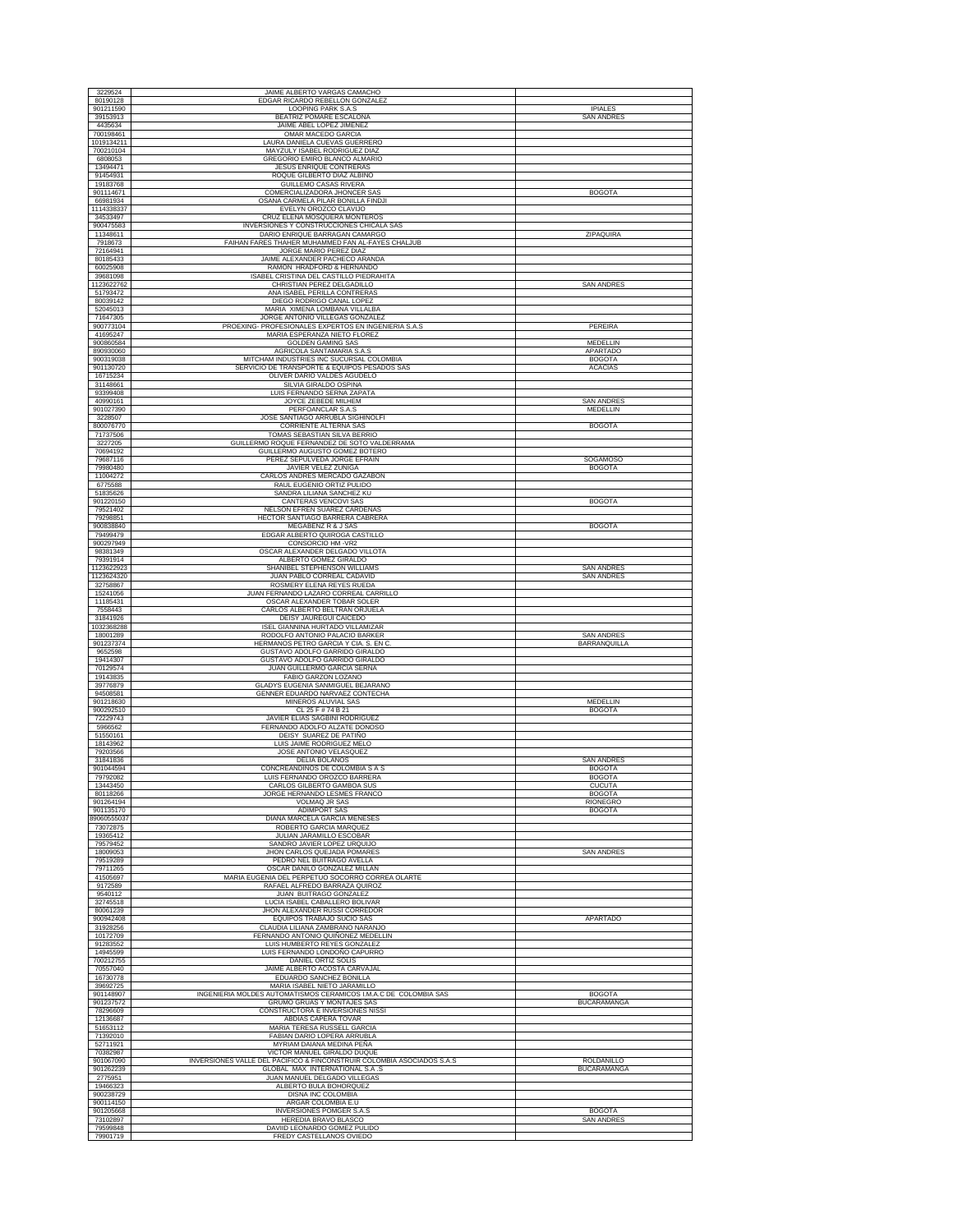| 3229524<br>80190128               | JAIME ALBERTO VARGAS CAMACHO<br>EDGAR RICARDO REBELLON GONZALEZ                                       |                                        |
|-----------------------------------|-------------------------------------------------------------------------------------------------------|----------------------------------------|
| 901211590                         | LOOPING PARK S.A.S                                                                                    | <b>IPIALES</b>                         |
| 39153913<br>4435634               | BEATRIZ POMARE ESCALONA<br>JAIME ABEL LOPEZ JIMENEZ                                                   | <b>SAN ANDRES</b>                      |
| 700198461<br>1019134211           | OMAR MACEDO GARCIA<br>LAURA DANIELA CUEVAS GUERRERO                                                   |                                        |
| 700210104<br>6808053              | MAYZULY ISABEL RODRIGUEZ DIAZ<br>GREGORIO EMIRO BLANCO ALMARIO                                        |                                        |
| 13494471<br>91454931              | JESUS ENRIQUE CONTRERAS<br>ROQUE GILBERTO DIAZ ALBINO                                                 |                                        |
| 19183768                          | <b>GUILLEMO CASAS RIVERA</b>                                                                          |                                        |
| 901114671<br>66981934             | COMERCIALIZADORA JHONCER SAS<br>OSANA CARMELA PILAR BONILLA FINDJI                                    | <b>BOGOTA</b>                          |
| 1114338337<br>34533497            | EVELYN OROZCO CLAVIJO<br>CRUZ ELENA MOSQUERA MONTEROS                                                 |                                        |
| 900475583<br>11348611             | INVERSIONES Y CONSTRUCCIONES CHICALA SAS<br>DARIO ENRIQUE BARRAGAN CAMARGO                            | ZIPAQUIRA                              |
| 7918673                           | FAIHAN FARES THAHER MUHAMMED FAN AL-FAYES CHALJUB                                                     |                                        |
| 72164941<br>80185433              | JORGE MARIO PEREZ DIAZ<br>JAIME ALEXANDER PACHECO ARANDA                                              |                                        |
| 60025908<br>39681098              | RAMON HRADFORD & HERNANDO<br>ISABEL CRISTINA DEL CASTILLO PIEDRAHITA                                  |                                        |
| 1123622762<br>51793472            | CHRISTIAN PEREZ DELGADILLO<br>ANA ISABEL PERILLA CONTRERAS                                            | <b>SAN ANDRES</b>                      |
| 80039142<br>52045013              | DIEGO RODRIGO CANAL LOPEZ<br>MARIA XIMENA LOMBANA VILLALBA                                            |                                        |
| 71647305                          | JORGE ANTONIO VILLEGAS GONZALEZ                                                                       |                                        |
| 900773104<br>41695247             | PROEXING- PROFESIONALES EXPERTOS EN INGENIERIA S.A.S<br>MARIA ESPERANZA NIETO FLOREZ                  | PEREIRA                                |
| 900860584<br>890930060            | <b>GOLDEN GAMING SAS</b><br>AGRICOLA SANTAMARIA S.A.S                                                 | MEDELLIN<br>APARTADO                   |
| 900319038<br>901130720            | MITCHAM INDUSTRIES INC SUCURSAL COLOMBIA<br>SERVICIO DE TRANSPORTE & EQUIPOS PESADOS SAS              | <b>BOGOTA</b><br><b>ACACIAS</b>        |
| 16715234<br>31148661              | OLIVER DARIO VALDES AGUDELO<br>SILVIA GIRALDO OSPINA                                                  |                                        |
| 93399408                          | LUIS FERNANDO SERNA ZAPATA                                                                            |                                        |
| 40990161<br>901027390             | JOYCE ZEBEDE MILHEM<br>PERFOANCLAR S.A.S                                                              | <b>SAN ANDRES</b><br>MEDELLIN          |
| 3228507<br>800076770              | JOSE SANTIAGO ARRUBLA SIGHINOLFI<br><b>CORRIENTE ALTERNA SAS</b>                                      | <b>BOGOTA</b>                          |
| 71737506<br>3227205               | TOMAS SEBASTIAN SILVA BERRIO<br>GUILLERMO ROQUE FERNANDEZ DE SOTO VALDERRAMA                          |                                        |
| 70694192<br>79687116              | GUILLERMO AUGUSTO GOMEZ BOTERO<br>PEREZ SEPULVEDA JORGE EFRAIN                                        | SOGAMOSO                               |
| 79980480                          | JAVIER VELEZ ZUÑIGA                                                                                   | <b>BOGOTA</b>                          |
| 11004272<br>6775588               | CARLOS ANDRES MERCADO GAZABON<br>RAUL EUGENIO ORTIZ PULIDO                                            |                                        |
| 51835626<br>901220150             | SANDRA LILIANA SANCHEZ KU<br>CANTERAS VENCOVI SAS                                                     | <b>BOGOTA</b>                          |
| 79521402<br>79298851              | NELSON EFREN SUAREZ CARDENAS<br>HECTOR SANTIAGO BARRERA CABRERA                                       |                                        |
| 900838840<br>79499479             | MEGABENZ R & J SAS<br>EDGAR ALBERTO QUIROGA CASTILLO                                                  | <b>BOGOTA</b>                          |
| 900297949                         | CONSORCIO HM -VR2                                                                                     |                                        |
| 98381349<br>79391914              | OSCAR ALEXANDER DELGADO VILLOTA<br>ALBERTO GOMEZ GIRALDO                                              |                                        |
| 1123622923<br>1123624320          | SHANIBEL STEPHENSON WILLIAMS<br>JUAN PABLO CORREAL CADAVID                                            | <b>SAN ANDRES</b><br><b>SAN ANDRES</b> |
| 32758867<br>15241056              | ROSMERY ELENA REYES RUEDA<br>JUAN FERNANDO LAZARO CORREAL CARRILLO                                    |                                        |
| 11185431                          | OSCAR ALEXANDER TOBAR SOLER                                                                           |                                        |
| 7558443<br>31841926               | CARLOS ALBERTO BELTRAN ORJUELA<br>DEISY JAUREGUI CAICEDO                                              |                                        |
| 1032368288<br>18001289            | ISEL GIANNINA HURTADO VILLAMIZAR<br>RODOLFO ANTONIO PALACIO BARKER                                    | <b>SAN ANDRES</b>                      |
| 901237374<br>9652598              | HERMANOS PETRO GARCIA Y CIA. S. EN C<br>GUSTAVO ADOLFO GARRIDO GIRALDO                                | BARRANQUILLA                           |
| 19414307<br>70129574              | GUSTAVO ADOLFO GARRIDO GIRALDO<br>JUAN GUILLERMO GARCIA SERNA                                         |                                        |
| 19143835<br>39776879              | FABIO GARZON LOZANO<br>GLADYS EUGENIA SANMIGUEL BEJARANO                                              |                                        |
| 94508581<br>901218630             | <b>GENNER EDUARDO NARVAEZ CONTECHA</b><br>MINEROS ALUVIAL SAS                                         | MEDELLIN                               |
| 900292510                         | CL 25 F # 74 B 21                                                                                     | <b>BOGOTA</b>                          |
| 72229743<br>5966562               | JAVIER ELIAS SAGBINI RODRIGUEZ<br>FERNANDO ADOLFO ALZATE DONOSO                                       |                                        |
| 51550161<br>18143962              | DEISY SUAREZ DE PATIÑO<br>LUIS JAIME RODRIGUEZ MELO                                                   |                                        |
| 79203566<br>31841836              | JOSE ANTONIO VELASQUEZ<br>DELIA BOLAÑOS                                                               | <b>SAN ANDRES</b>                      |
| 901044594<br>79792082             | CONCREANDINOS DE COLOMBIA S A S<br>LUIS FERNANDO OROZCO BARRERA                                       | <b>BOGOTA</b><br><b>BOGOTA</b>         |
| 13443450                          | CARLOS GILBERTO GAMBOA SUS                                                                            | <b>CUCUTA</b>                          |
| 80118266<br>901264194             | JORGE HERNANDO LESMES FRANCO<br><b>VOLMAQ JR SAS</b>                                                  | <b>BOGOTA</b><br>RIONEGRO              |
| 901135170<br>89060555037          | <b>ADIMPORT SAS</b><br>DIANA MARCELA GARCIA MENESES                                                   | <b>BOGOTA</b>                          |
| 73072875<br>19365412              | ROBERTO GARCIA MARQUEZ<br>JULIAN JARAMILLO ESCOBAR                                                    |                                        |
| 79579452<br>18009053              | SANDRO JAVIER LOPEZ URQUIJO<br>JHON CARLOS QUEJADA POMARES                                            | <b>SAN ANDRES</b>                      |
| 79519289<br>79711265              | PEDRO NEL BUITRAGO AVELLA<br>OSCAR DANILO GONZALEZ MILLAN                                             |                                        |
| 41505697                          | MARIA EUGENIA DEL PERPETUO SOCORRO CORREA OLARTE<br>RAFAEL ALFREDO BARRAZA QUIROZ                     |                                        |
| 9172589<br>9540112                | JUAN BUITRAGO GONZALEZ                                                                                |                                        |
| 32745518<br>80061239              | LUCIA ISABEL CABALLERO BOLIVAR<br>JHON ALEXANDER RUSSI CORREDOR                                       |                                        |
| 900942408<br>31928256             | EQUIPOS TRABAJO SUCIO SAS<br>CLAUDIA LILIANA ZAMBRANO NARANJO                                         | APARTADO                               |
| 10172709<br>91283552              | FERNANDO ANTONIO QUIÑONEZ MEDELLIN<br>LUIS HUMBERTO REYES GONZALEZ                                    |                                        |
| 14945599                          | LUIS FERNANDO LONDOÑO CAPURRO                                                                         |                                        |
| 700212755<br>70557040             | DANIEL ORTIZ SOLIS<br>JAIME ALBERTO ACOSTA CARVAJAL                                                   |                                        |
| 16730778<br>39692725              | EDUARDO SANCHEZ BONILLA<br>MARIA ISABEL NIETO JARAMILLO                                               |                                        |
| 901148907<br>901237572            | INGENIERIA MOLDES AUTOMATISMOS CERAMICOS I.M.A.C DE COLOMBIA SAS<br>GRUMO GRUAS Y MONTAJES SAS        | <b>BOGOTA</b><br><b>BUCARAMANGA</b>    |
| 78296609<br>12136687              | CONSTRUCTORA E INVERSIONES NISSI<br>ABDIAS CAPERA TOVAR                                               |                                        |
| 51653112<br>71392010              | MARIA TERESA RUSSELL GARCIA<br>FABIAN DARIO LOPERA ARRUBLA                                            |                                        |
| 52711921                          | MYRIAM DAIANA MEDINA PEÑA                                                                             |                                        |
| 70382987<br>901067090             | VICTOR MANUEL GIRALDO DUQUE<br>INVERSIONES VALLE DEL PACIFICO & FINCONSTRUIR COLOMBIA ASOCIADOS S.A.S | ROLDANILLO                             |
| 901262239<br>2775951              | GLOBAL MAX INTERNATIONAL S.A.S                                                                        | <b>BUCARAMANGA</b>                     |
|                                   | JUAN MANUEL DELGADO VILLEGAS                                                                          |                                        |
| 19466323<br>900238729             | ALBERTO BULA BOHORQUEZ<br>DISNA INC COLOMBIA                                                          |                                        |
| 900114150                         | ARGAR COLOMBIA E.U                                                                                    |                                        |
| 901205668<br>73102897<br>79599848 | <b>INVERSIONES POMGER S.A.S</b><br>HEREDIA BRAVO BLASCO<br>DAVIID LEONARDO GOMEZ PULIDO               | <b>BOGOTA</b><br><b>SAN ANDRES</b>     |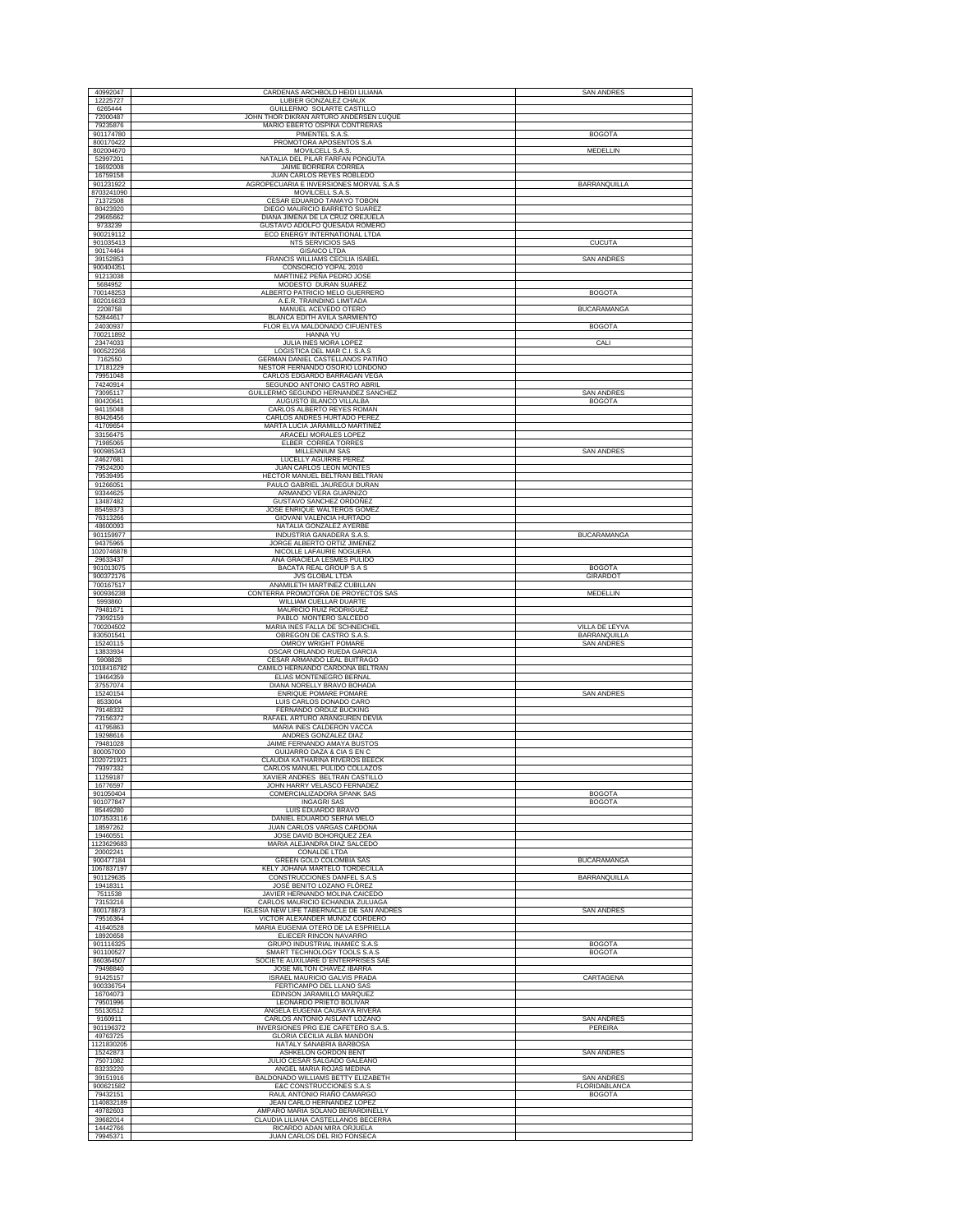| 40992047                | CARDENAS ARCHBOLD HEIDI LILIANA                                               | <b>SAN ANDRES</b>                  |
|-------------------------|-------------------------------------------------------------------------------|------------------------------------|
| 12225727<br>6265444     | LUBIER GONZALEZ CHAUX<br>GUILLERMO SOLARTE CASTILLO                           |                                    |
| 72000487                | JOHN THOR DIKRAN ARTURO ANDERSEN LUQUE                                        |                                    |
| 79235876                | MARIO EBERTO OSPINA CONTRERAS                                                 |                                    |
| 901174780<br>800170422  | PIMENTEL S.A.S.<br>PROMOTORA APOSENTOS S.A                                    | <b>BOGOTA</b>                      |
| 802004670               | MOVILCELL S.A.S.                                                              | MEDELLIN                           |
| 52997201<br>16692008    | NATALIA DEL PILAR FARFAN PONGUTA<br><b>JAIME BORRERA CORREA</b>               |                                    |
| 16759158                | JUAN CARLOS REYES ROBLEDO                                                     |                                    |
| 901231922<br>8703241090 | AGROPECUARIA E INVERSIONES MORVAL S.A.S.<br>MOVILCELL S.A.S.                  | <b>BARRANQUILLA</b>                |
| 71372508                | CESAR EDUARDO TAMAYO TOBON                                                    |                                    |
| 80423920<br>29665662    | DIEGO MAURICIO BARRETO SUAREZ<br>DIANA JIMENA DE LA CRUZ OREJUELA             |                                    |
| 9733239                 | GUSTAVO ADOLFO QUESADA ROMERO                                                 |                                    |
| 900219112<br>901035413  | ECO ENERGY INTERNATIONAL LTDA<br>NTS SERVICIOS SAS                            | <b>CUCUTA</b>                      |
| 90174464                | <b>GISAICO LTDA</b>                                                           |                                    |
| 39152853<br>900404351   | FRANCIS WILLIAMS CECILIA ISABEI<br>CONSORCIO YOPAL 2010                       | SAN ANDRES                         |
| 91213038                | MARTINEZ PEÑA PEDRO JOSE                                                      |                                    |
| 5684952<br>700148253    | MODESTO DURAN SUAREZ<br>ALBERTO PATRICIO MELO GUERRERO                        | <b>BOGOTA</b>                      |
| 802016633               | A.E.R. TRAINDING LIMITADA                                                     |                                    |
| 2208758<br>52844617     | MANUEL ACEVEDO OTERO<br>BLANCA EDITH AVILA SARMIENTO                          | <b>BUCARAMANGA</b>                 |
| 24030937                | FLOR ELVA MALDONADO CIFUENTES                                                 | <b>BOGOTA</b>                      |
| 700211892<br>23474033   | HANNA YU<br>JULIA INES MORA LOPEZ                                             | CALI                               |
| 900522266               | LOGISTICA DEL MAR C.I. S.A.S                                                  |                                    |
| 7162550<br>17181229     | GERMAN DANIEL CASTELLANOS PATIÑO<br>NESTOR FERNANDO OSORIO LONDOÑO            |                                    |
| 79951048                | CARLOS EDGARDO BARRAGAN VEGA                                                  |                                    |
| 74240914<br>73095117    | SEGUNDO ANTONIO CASTRO ABRIL<br>GUILLERMO SEGUNDO HERNANDEZ SANCHEZ           | <b>SAN ANDRES</b>                  |
| 80420641                | AUGUSTO BLANCO VILLALBA                                                       | <b>BOGOTA</b>                      |
| 94115048<br>80426456    | CARLOS ALBERTO REYES ROMAN<br>CARLOS ANDRES HURTADO PEREZ                     |                                    |
| 41709654                | MARTA LUCIA JARAMILLO MARTINEZ                                                |                                    |
| 33156475<br>71985065    | ARACELI MORALES LOPEZ<br>ELBER CORREA TORRES                                  |                                    |
| 900985343               | MILLENNIUM SAS                                                                | <b>SAN ANDRES</b>                  |
| 24627681<br>79524200    | LUCELLY AGUIRRE PEREZ<br>JUAN CARLOS LEON MONTES                              |                                    |
| 79539495                | HECTOR MANUEL BELTRAN BELTRAN                                                 |                                    |
| 91266051<br>93344625    | PAULO GABRIEL JAUREGUI DURAN<br>ARMANDO VERA GUARNIZO                         |                                    |
| 13487482                | <b>GUSTAVO SANCHEZ ORDOÑEZ</b>                                                |                                    |
| 85459373<br>76313266    | JOSE ENRIQUE WALTEROS GOMEZ<br>GIOVANI VALENCIA HURTADO                       |                                    |
| 48600093                | NATALIA GONZALEZ AYERBE                                                       |                                    |
| 901159977<br>94375965   | INDUSTRIA GANADERA S.A.S<br>JORGE ALBERTO ORTIZ JIMENEZ                       | <b>BUCARAMANGA</b>                 |
| 1020746878              | NICOLLE LAFAURIE NOGUERA                                                      |                                    |
| 29633437<br>901013075   | ANA GRACIELA LESMES PULIDO<br>BACATA REAL GROUP S A S                         | <b>BOGOTA</b>                      |
| 900372176               | JVS GLOBAL LTDA                                                               | GIRARDOT                           |
| 700167517<br>900936238  | ANAMILETH MARTINEZ CUBILLAN<br>CONTERRA PROMOTORA DE PROYECTOS SAS            | MEDELLIN                           |
| 5993860                 | WILLIAM CUELLAR DUARTE                                                        |                                    |
| 79481671<br>73092159    | MAURICIO RUIZ RODRIGUEZ<br>PABLO MONTERO SALCEDO                              |                                    |
| 700204502               | MARIA INES FALLA DE SCHNEICHEL                                                | VILLA DE LEYVA                     |
| 830501541<br>15240115   | OBREGON DE CASTRO S.A.S.<br>OMROY WRIGHT POMARE                               | BARRANQUILLA<br><b>SAN ANDRES</b>  |
| 13833934                | OSCAR ORLANDO RUEDA GARCIA                                                    |                                    |
| 5908828<br>1018416782   | CESAR ARMANDO LEAL BUITRAGO<br>CAMILO HERNANDO CARDONA BELTRAN                |                                    |
| 19464359                | ELIAS MONTENEGRO BERNAL                                                       |                                    |
| 37557074<br>15240154    | DIANA NORELLY BRAVO BOHADA<br>ENRIQUE POMARE POMARE                           | <b>SAN ANDRES</b>                  |
| 8533004                 | LUIS CARLOS DONADO CARO                                                       |                                    |
| 79148332<br>73156372    | FERNANDO ORDUZ BUCKING<br>RAFAEL ARTURO ARANGUREN DEVIA                       |                                    |
| 41795863                | MARIA INES CALDERON VACCA                                                     |                                    |
| 19298616<br>79481028    | ANDRES GONZALEZ DIAZ<br>JAIME FERNANDO AMAYA BUSTOS                           |                                    |
| 800057000               | GUIJARRO DAZA & CIA S EN C                                                    |                                    |
| 1020721921<br>79397332  | CLAUDIA KATHARINA RIVEROS BEECK<br>CARLOS MANUEL PULIDO COLLAZOS              |                                    |
| 11259187                | XAVIER ANDRES BELTRAN CASTILLO                                                |                                    |
| 16776597<br>901050404   | JOHN HARRY VELASCO FERNADEZ<br>COMERCIALIZADORA SPANK SAS                     | <b>BOGOTA</b>                      |
| 901077847               | <b>INGAGRI SAS</b>                                                            | <b>BOGOTA</b>                      |
| 85449280<br>1073533116  | LUIS EDUARDO BRAVO<br>DANIEL EDUARDO SERNA MELO                               |                                    |
| 18597262                | JUAN CARLOS VARGAS CARDONA                                                    |                                    |
| 19460551<br>1123629683  | JOSE DAVID BOHORQUEZ ZEA<br>MARIA ALEJANDRA DIAZ SALCEDO                      |                                    |
| 20002241                | CONALDE LTDA                                                                  |                                    |
| 900477184<br>1067837197 | GREEN GOLD COLOMBIA SAS<br>KELY JOHANA MARTELO TORDECILLA                     | <b>BUCARAMANGA</b>                 |
| 901129635               | CONSTRUCCIONES DANFEL S.A.S                                                   | <b>BARRANQUILLA</b>                |
| 19418311<br>7511538     | JOSÉ BENITO LOZANO FLÓREZ<br>JAVIER HERNANDO MOLINA CAICEDO                   |                                    |
| 73153216<br>800178873   | CARLOS MAURICIO ECHANDIA ZULUAGA<br>IGLESIA NEW LIFE TABERNACLE DE SAN ANDRES | <b>SAN ANDRES</b>                  |
| 79516364                | VICTOR ALEXANDER MUÑOZ CORDERO                                                |                                    |
| 41640528<br>18920658    | MARIA EUGENIA OTERO DE LA ESPRIELLA<br>ELIECER RINCON NAVARRO                 |                                    |
| 901116325               | GRUPO INDUSTRIAL INAMEC S.A.S                                                 | <b>BOGOTA</b>                      |
| 901100527<br>860364507  | SMART TECHNOLOGY TOOLS S.A.S<br>SOCIETE AUXILIARE D'ENTERPRISES SAE           | <b>BOGOTA</b>                      |
| 79498840                | JOSE MILTON CHAVEZ IBARRA                                                     |                                    |
| 91425157<br>900336754   | ISRAEL MAURICIO GALVIS PRADA<br>FERTICAMPO DEL LLANO SAS                      | CARTAGENA                          |
| 16704073                | EDINSON JARAMILLO MARQUEZ                                                     |                                    |
| 79501996<br>55130512    | LEONARDO PRIETO BOLIVAR<br>ANGELA EUGENIA CAUSAYA RIVERA                      |                                    |
| 9160911                 | CARLOS ANTONIO AISLANT LOZANO                                                 | <b>SAN ANDRES</b>                  |
| 901196372<br>49763725   | INVERSIONES PRG EJE CAFETERO S.A.S.<br>GLORIA CECILIA ALBA MANDON             | PEREIRA                            |
| 1121830205              | NATALY SANABRIA BARBOSA                                                       |                                    |
| 15242873<br>75071082    | ASHKELON GORDON BENT<br>JULIO CESAR SALGADO GALEANO                           | <b>SAN ANDRES</b>                  |
| 83233220                | ANGEL MARIA ROJAS MEDINA                                                      |                                    |
| 39151916<br>900621582   | BALDONADO WILLIAMS BETTY ELIZABETH<br>E&C CONSTRUCCIONES S.A.S                | <b>SAN ANDRES</b><br>FLORIDABLANCA |
| 79432151                | RAUL ANTONIO RIAÑO CAMARGO                                                    | <b>BOGOTA</b>                      |
| 1140832189<br>49782603  | JEAN CARLO HERNANDEZ LOPEZ<br>AMPARO MARIA SOLANO BERARDINELLY                |                                    |
| 39682014                | CLAUDIA LILIANA CASTELLANOS BECERRA                                           |                                    |
| 14442766<br>79945371    | RICARDO ADAN MIRA ORJUELA<br>JUAN CARLOS DEL RIO FONSECA                      |                                    |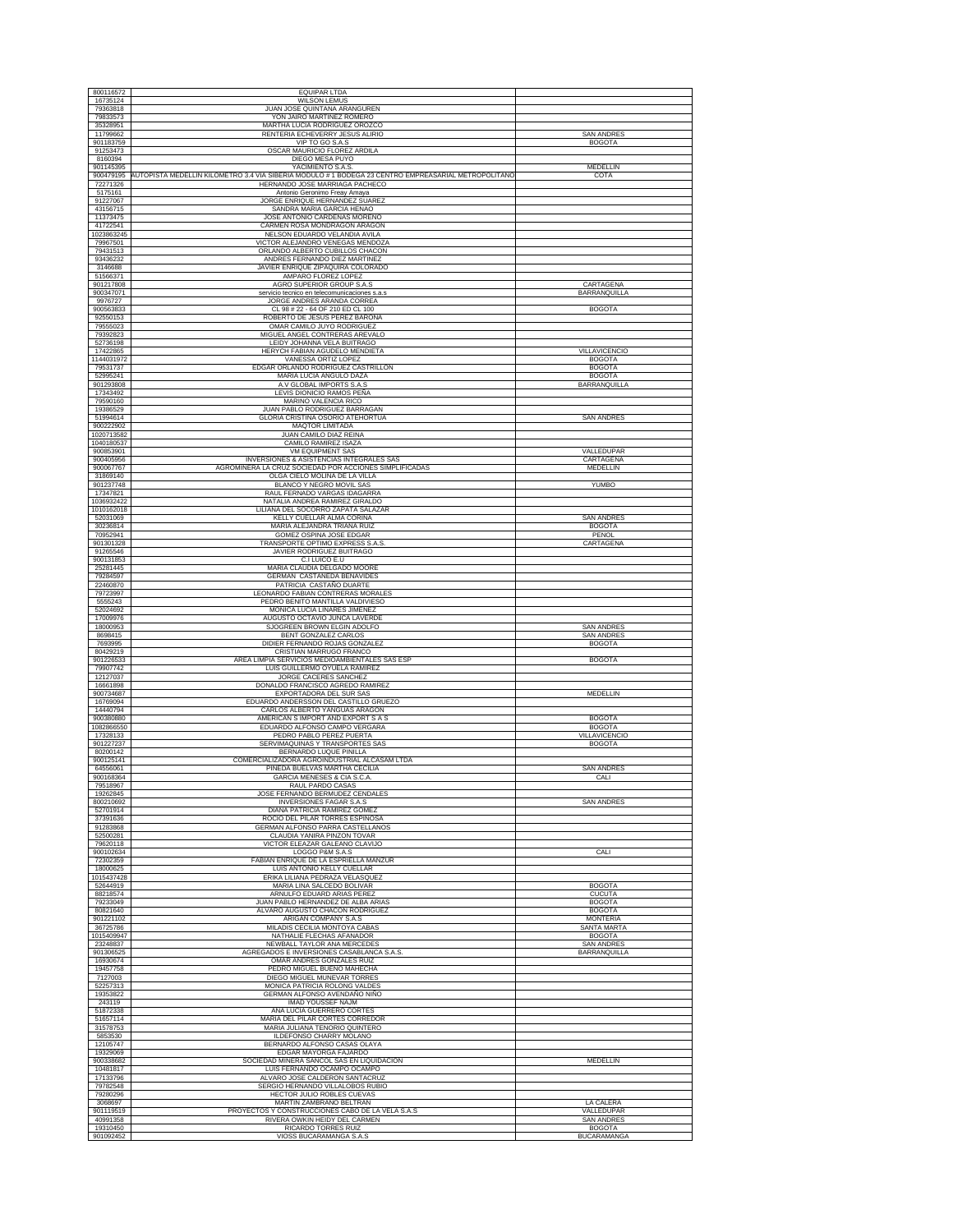| 800116572<br>16735124    | <b>EQUIPAR LTDA</b><br><b>WILSON LEMUS</b>                                                                                                     |                                     |
|--------------------------|------------------------------------------------------------------------------------------------------------------------------------------------|-------------------------------------|
| 79363818<br>79833573     | JUAN JOSE QUINTANA ARANGUREN<br>YON JAIRO MARTINEZ ROMERO                                                                                      |                                     |
| 35328951<br>11799662     | MARTHA LUCIA RODRIGUEZ OROZCO<br>RENTERIA ECHEVERRY JESUS ALIRIO                                                                               | <b>SAN ANDRES</b>                   |
| 901183759<br>91253473    | VIP TO GO S.A.S<br>OSCAR MAURICIO FLOREZ ARDILA                                                                                                | <b>BOGOTA</b>                       |
| 8160394<br>901145395     | DIEGO MESA PUYO<br>YACIMIENTO S.A.S.                                                                                                           | MEDELLIN                            |
| 72271326                 | 900479195 AUTOPISTA MEDELLIN KILOMETRO 3.4 VIA SIBERIA MODULO #1 BODEGA 23 CENTRO EMPREASARIAL METROPOLITANO<br>HERNANDO JOSE MARRIAGA PACHECO | COTA                                |
| 5175161                  | Antonio Geronimo Freay Amaya                                                                                                                   |                                     |
| 91227067<br>43156715     | JORGE ENRIQUE HERNANDEZ SUAREZ<br>SANDRA MARIA GARCIA HENAO                                                                                    |                                     |
| 11373475<br>41722541     | JOSE ANTONIO CARDENAS MORENO<br>CARMEN ROSA MONDRAGON ARAGON                                                                                   |                                     |
| 1023863245<br>79967501   | NELSON EDUARDO VELANDIA AVILA<br>VICTOR ALEJANDRO VENEGAS MENDOZA                                                                              |                                     |
| 79431513<br>93436232     | ORLANDO ALBERTO CUBILLOS CHACON<br>ANDRES FERNANDO DIEZ MARTINEZ                                                                               |                                     |
| 3146688<br>51566371      | JAVIER ENRIQUE ZIPAQUIRÁ COLORADO<br>AMPARO FLOREZ LOPEZ                                                                                       |                                     |
| 901217808<br>900347071   | AGRO SUPERIOR GROUP S.A.S<br>servicio tecnico en telecomunicaciones s.a.s                                                                      | CARTAGENA<br><b>BARRANQUILLA</b>    |
| 9976727<br>900563833     | JORGE ANDRES ARANDA CORREA<br>CL 98 # 22 - 64 OF 210 ED CL 100                                                                                 | <b>BOGOTA</b>                       |
| 92550153<br>79555023     | ROBERTO DE JESUS PEREZ BARONA<br>OMAR CAMILO JUYO RODRIGUEZ                                                                                    |                                     |
| 79392823                 | MIGUEL ANGEL CONTRERAS AREVALO                                                                                                                 |                                     |
| 52736198<br>17422865     | LEIDY JOHANNA VELA BUITRAGO<br>HERYCH FABIAN AGUDELO MENDIETA                                                                                  | VILLAVICENCIO                       |
| 1144031972<br>79531737   | VANESSA ORTIZ LOPEZ<br>EDGAR ORLANDO RODRIGUEZ CASTRILLON                                                                                      | <b>BOGOTA</b><br><b>BOGOTA</b>      |
| 52995241<br>901293808    | MARIA LUCIA ANGULO DAZA<br>A.V GLOBAL IMPORTS S.A.S                                                                                            | <b>BOGOTA</b><br>BARRANQUILLA       |
| 17343492<br>79590160     | LEVIS DIONICIO RAMOS PEÑA<br>MARINO VALENCIA RICO                                                                                              |                                     |
| 19386529<br>51994614     | JUAN PABLO RODRIGUEZ BARRAGAN<br><b>GLORIA CRISTINA OSORIO ATEHORTUA</b>                                                                       | <b>SAN ANDRES</b>                   |
| 900222902<br>1020713582  | <b>MAQTOR LIMITADA</b><br><b>JUAN CAMILO DIAZ REINA</b>                                                                                        |                                     |
| 1040180537<br>900853901  | CAMILO RAMIREZ ISAZA<br><b>VM EQUIPMENT SAS</b>                                                                                                | VALLEDUPAR                          |
| 900405956<br>900067767   | INVERSIONES & ASISTENCIAS INTEGRALES SAS<br>AGROMINERA LA CRUZ SOCIEDAD POR ACCIONES SIMPLIFICADAS                                             | CARTAGENA<br>MEDELLIN               |
| 31869140<br>901237748    | OLGA CIELO MOLINA DE LA VILLA<br>BLANCO Y NEGRO MOVIL SAS                                                                                      | <b>YUMBO</b>                        |
| 17347821                 | RAUL FERNADO VARGAS IDAGARRA                                                                                                                   |                                     |
| 1036932422<br>1010162018 | NATALIA ANDREA RAMIREZ GIRALDO<br>LILIANA DEL SOCORRO ZAPATA SALAZAR                                                                           |                                     |
| 52031069<br>30236814     | KELLY CUELLAR ALMA CORINA<br>MARIA ALEJANDRA TRIANA RUIZ                                                                                       | <b>SAN ANDRES</b><br><b>BOGOTA</b>  |
| 70952941<br>901301328    | GOMEZ OSPINA JOSE EDGAR<br>TRANSPORTE OPTIMO EXPRESS S.A.S.                                                                                    | PENOL<br>CARTAGENA                  |
| 91265546<br>900131853    | JAVIER RODRIGUEZ BUITRAGO<br>C.I LUICO E.U                                                                                                     |                                     |
| 25281445<br>79284597     | MARIA CLAUDIA DELGADO MOORE<br>GERMAN CASTAÑEDA BENAVIDES                                                                                      |                                     |
| 22460870<br>79723997     | PATRICIA CASTAÑO DUARTE<br>LEONARDO FABIAN CONTRERAS MORALES                                                                                   |                                     |
| 5555243<br>52024692      | PEDRO BENITO MANTILLA VALDIVIESO<br>MONICA LUCIA LINARES JIMÉNEZ                                                                               |                                     |
| 17009976<br>18000953     | AUGUSTO OCTAVIO JUNCA LAVERDE<br>SJOGREEN BROWN ELGIN ADOLFO                                                                                   | SAN ANDRES                          |
| 8698415<br>7693995       | <b>BENT GONZALEZ CARLOS</b><br>DIDIER FERNANDO ROJAS GONZALEZ                                                                                  | <b>SAN ANDRES</b><br><b>BOGOTA</b>  |
| 80429219<br>901226533    | CRISTIAN MARRUGO FRANCO<br>AREA LIMPIA SERVICIOS MEDIOAMBIENTALES SAS ESP                                                                      | <b>BOGOTA</b>                       |
| 79907742<br>12127037     | LUIS GUILLERMO OYUELA RAMIREZ<br>JORGE CACERES SANCHEZ                                                                                         |                                     |
| 16661898<br>900734687    | DONALDO FRANCISCO AGREDO RAMIREZ                                                                                                               |                                     |
| 16769094                 | EXPORTADORA DEL SUR SAS<br>EDUARDO ANDERSSON DEL CASTILLO GRUEZO                                                                               | <b>MEDELLIN</b>                     |
| 14440794<br>900380880    | CARLOS ALBERTO YANGUAS ARAGON<br>AMERICAN S IMPORT AND EXPORT S A S                                                                            | <b>BOGOTA</b>                       |
| 1082866550<br>17328133   | EDUARDO ALFONSO CAMPO VERGARA<br>PEDRO PABLO PEREZ PUERTA                                                                                      | <b>BOGOTA</b><br>VILLAVICENCIO      |
| 901227237<br>80200142    | SERVIMAQUINAS Y TRANSPORTES SAS<br>BERNARDO LUQUE PINILLA                                                                                      | <b>BOGOTA</b>                       |
| 900125141<br>64556061    | COMERCIALIZADORA AGROINDUSTRIAL ALCASAM LTDA<br>PINEDA BUELVAS MARTHA CECILIA                                                                  | <b>SAN ANDRES</b>                   |
| 900168364<br>79518967    | GARCIA MENESES & CIA S.C.A.<br>RAUL PARDO CASAS                                                                                                | CALI                                |
| 19262845<br>800210692    | JOSE FERNANDO BERMUDEZ CENDALES<br>INVERSIONES FAGAR S.A.S                                                                                     | <b>SAN ANDRES</b>                   |
| 52701914<br>37391636     | DIANA PATRICIA RAMIREZ GOMEZ<br>ROCIO DEL PILAR TORRES ESPINOSA                                                                                |                                     |
| 91283868<br>52500281     | GERMAN ALFONSO PARRA CASTELLANOS<br>CLAUDIA YANIRA PINZON TOVAR                                                                                |                                     |
| 79620118<br>900102634    | VICTOR ELEAZAR GALEANO CLAVIJO<br>LOGGO P&M S.A.S                                                                                              | CALI                                |
| 72302359<br>18000625     | FABIAN ENRIQUE DE LA ESPRIELLA MANZUR<br>LUIS ANTONIO KELLY CUELLAR                                                                            |                                     |
| 1015437428<br>52644919   | ERIKA LILIANA PEDRAZA VELASQUE<br>MARIA LINA SALCEDO BOLIVAR                                                                                   | <b>BOGOTA</b>                       |
| 88218574                 | ARNULFO EDUARD ARIAS PEREZ                                                                                                                     | CUCUTA                              |
| 79233049<br>80821640     | JUAN PABLO HERNANDEZ DE ALBA ARIAS<br>ALVARO AUGUSTO CHACON RODRIGUEZ                                                                          | <b>BOGOTA</b><br><b>BOGOTA</b>      |
| 901221102<br>36725786    | ARIGAN COMPANY S.A.S<br>MILADIS CECILIA MONTOYA CABAS                                                                                          | <b>MONTERIA</b><br>SANTA MARTA      |
| 1015409947<br>23248837   | NATHALIE FLECHAS AFANADOR<br>NEWBALL TAYLOR ANA MERCEDES                                                                                       | <b>BOGOTA</b><br><b>SAN ANDRES</b>  |
| 901306525<br>16930674    | AGREGADOS E INVERSIONES CASABLANCA S.A.S.<br>OMAR ANDRES GONZALES RUIZ                                                                         | BARRANQUILLA                        |
| 19457758<br>7127003      | PEDRO MIGUEL BUENO MAHECHA<br>DIEGO MIGUEL MUNEVAR TORRES                                                                                      |                                     |
| 52257313<br>19353822     | MONICA PATRICIA ROLONG VALDES<br>GERMAN ALFONSO AVENDAÑO NIÑO                                                                                  |                                     |
| 243119<br>51872338       | IMAD YOUSSEF NAJM<br>ANA LUCIA GUERRERO CORTES                                                                                                 |                                     |
| 51657114<br>31578753     | MARIA DEL PILAR CORTES CORREDOR<br>MARIA JULIANA TENORIO QUINTERO                                                                              |                                     |
| 5853530<br>12105747      | ILDEFONSO CHARRY MOLANO<br>BERNARDO ALFONSO CASAS OLAYA                                                                                        |                                     |
| 19329069<br>900338682    | EDGAR MAYORGA FAJARDO<br>SOCIEDAD MINERA SANCOL SAS EN LIQUIDACION                                                                             | MEDELLIN                            |
| 10481817                 | LUIS FERNANDO OCAMPO OCAMPO                                                                                                                    |                                     |
| 17133796<br>79782548     | ALVARO JOSE CALDERON SANTACRUZ<br>SERGIO HERNANDO VILLALOBOS RUBIO                                                                             |                                     |
| 79280296<br>3068697      | HECTOR JULIO ROBLES CUEVAS<br>MARTIN ZAMBRANO BELTRAN                                                                                          | LA CALERA                           |
| 901119519<br>40991358    | PROYECTOS Y CONSTRUCCIONES CABO DE LA VELA S.A.S<br>RIVERA OWKIN HEIDY DEL CARMEN                                                              | VALLEDUPAR<br>SAN ANDRES            |
| 19310450<br>901092452    | RICARDO TORRES RUIZ<br>VIOSS BUCARAMANGA S.A                                                                                                   | <b>BOGOTA</b><br><b>BUCARAMANGA</b> |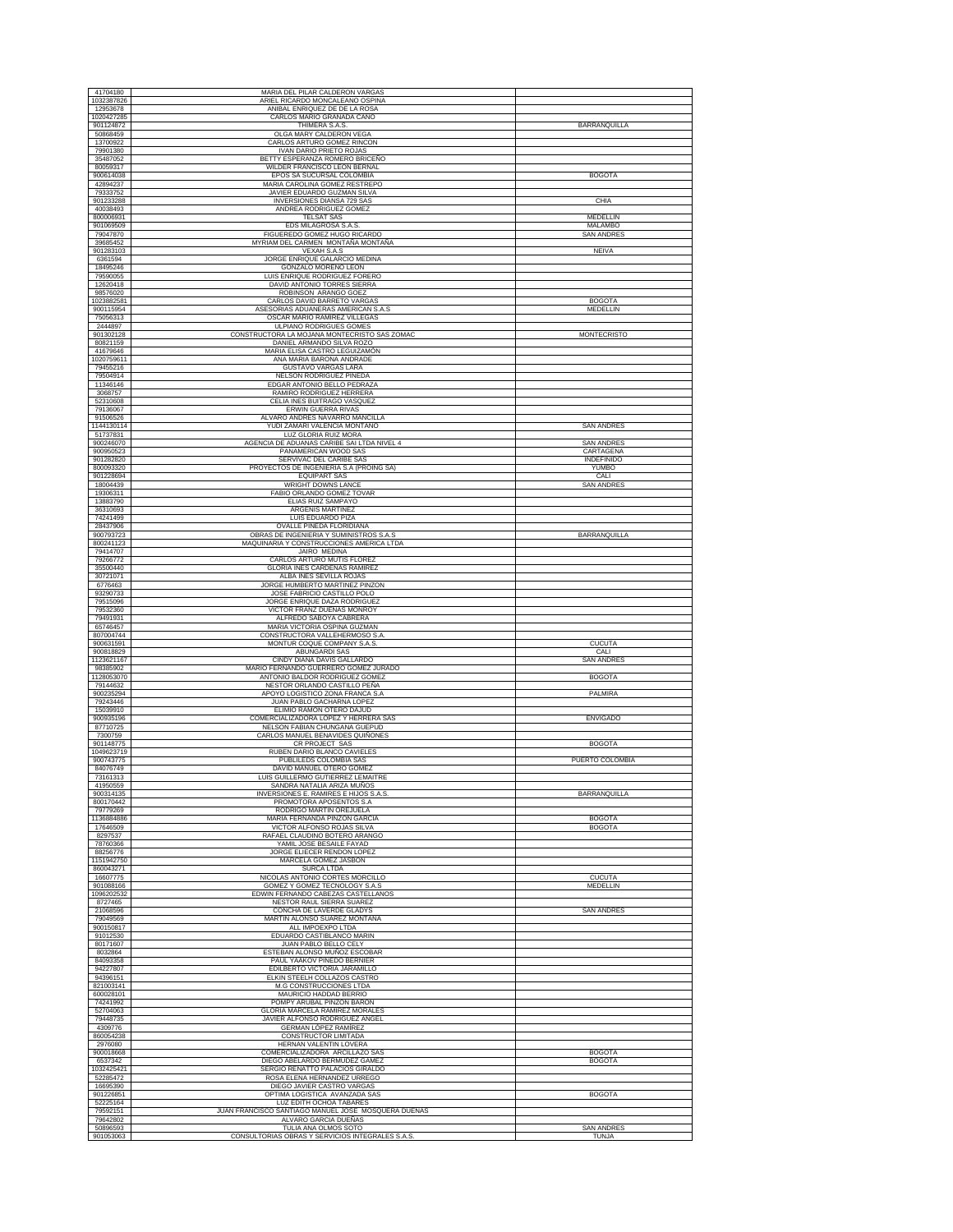| 41704180                                         | MARIA DEL PILAR CALDERON VARGAS                                         |                           |
|--------------------------------------------------|-------------------------------------------------------------------------|---------------------------|
| 1032387826                                       | ARIEL RICARDO MONCALEANO OSPINA                                         |                           |
| 12953678<br>1020427285                           | ANIBAL ENRIQUEZ DE DE LA ROSA<br>CARLOS MARIO GRANADA CANO              |                           |
| 901124872                                        | THIMERA S.A.S.                                                          | <b>BARRANQUILLA</b>       |
| 50868459<br>13700922                             | OLGA MARY CALDERON VEGA<br>CARLOS ARTURO GOMEZ RINCON                   |                           |
| 79901380                                         | <b>IVAN DARIO PRIETO ROJAS</b>                                          |                           |
| 35487052<br>80059317                             | BETTY ESPERANZA ROMERO BRICEÑO<br>WILDER FRANCISCO LEON BERNAL          |                           |
| 900614038                                        | EPOS SA SUCURSAL COLOMBIA                                               | <b>BOGOTA</b>             |
| 42894237<br>79333752                             | MARIA CAROLINA GOMEZ RESTREPO<br>JAVIER EDUARDO GUZMAN SILVA            |                           |
| 901233288                                        | INVERSIONES DIANSA 729 SAS                                              | CHIA                      |
| 40038493<br>800006931                            | ANDREA RODRIGUEZ GOMEZ<br><b>TELSAT SAS</b>                             | MEDELLIN                  |
| 901069509                                        | EDS MILAGROSA S.A.S                                                     | <b>MALAMBO</b>            |
| 79047870<br>39685452                             | FIGUEREDO GOMEZ HUGO RICARDO<br>MYRIAM DEL CARMEN MONTAÑA MONTAÑA       | <b>SAN ANDRES</b>         |
| 901283103                                        | VEXAH S.A.S                                                             | <b>NEIVA</b>              |
| 6361594<br>18495246                              | JORGE ENRIQUE GALARCIO MEDINA<br>GONZALO MORENO LEON                    |                           |
| 79590055<br>12620418                             | LUIS ENRIQUE RODRIGUEZ FORERO<br>DAVID ANTONIO TORRES SIERRA            |                           |
| 98576020                                         | ROBINSON ARANGO GOEZ                                                    |                           |
| 1023882581<br>900115954                          | CARLOS DAVID BARRETO VARGAS<br>ASESORIAS ADUANERAS AMERICAN S.A.S       | <b>BOGOTA</b><br>MEDELLIN |
| 75056313                                         | OSCAR MARIO RAMIREZ VILLEGAS                                            |                           |
| 2444897<br>901302128                             | ULPIANO RODRIGUES GOMES<br>CONSTRUCTORA LA MOJANA MONTECRISTO SAS ZOMAC | <b>MONTECRISTO</b>        |
| 80821159                                         | DANIEL ARMANDO SILVA ROZO                                               |                           |
| 41679646<br>1020759611                           | MARIA ELISA CASTRO LEGUIZAMÓN<br>ANA MARIA BARONA ANDRADE               |                           |
| 79455216                                         | GUSTAVO VARGAS LARA                                                     |                           |
| 79504914<br>11346146                             | NELSON RODRIGUEZ PINEDA<br>EDGAR ANTONIO BELLO PEDRAZA                  |                           |
| 3068757                                          | RAMIRO RODRIGUEZ HERRERA                                                |                           |
| 52310608<br>79136067                             | CELIA INES BUITRAGO VASQUEZ<br><b>ERWIN GUERRA RIVAS</b>                |                           |
| 91506526                                         | ALVARO ANDRES NAVARRO MANCILLA                                          |                           |
| 1144130114<br>51737831                           | YUDI ZAMARI VALENCIA MONTAÑO<br>LUZ GLORIA RUIZ MORA                    | <b>SAN ANDRES</b>         |
| 900246070                                        | AGENCIA DE ADUANAS CARIBE SAI LTDA NIVEL 4                              | <b>SAN ANDRES</b>         |
| 900950523<br>901282820                           | PANAMERICAN WOOD SAS<br>SERVIVAC DEL CARIBE SAS                         | CARTAGENA<br>INDEFINIDO   |
| 800093320                                        | PROYECTOS DE INGENIERIA S.A (PROING SA)                                 | YUMBO                     |
| 901228694<br>18004439                            | <b>EQUIPART SAS</b><br><b>WRIGHT DOWNS LANCE</b>                        | CALI<br><b>SAN ANDRES</b> |
| 19306311                                         | FABIO ORLANDO GOMEZ TOVAR                                               |                           |
| 13883790<br>36310693                             | ELIAS RUIZ SAMPAYO<br><b>ARGENIS MARTINEZ</b>                           |                           |
| 74241499                                         | LUIS EDUARDO PIZA                                                       |                           |
| 28437906<br>900793723                            | OVALLE PINEDA FLORIDIANA<br>OBRAS DE INGENIERIA Y SUMINISTROS S.A.S     | BARRANQUILLA              |
| 800241123                                        | MAQUINARIA Y CONSTRUCCIONES AMERICA LTDA                                |                           |
| 79414707<br>79266772                             | JAIRO MEDINA<br>CARLOS ARTURO MUTIS FLOREZ                              |                           |
| 35500440                                         | GLORIA INES CARDENAS RAMIREZ                                            |                           |
| 30721071<br>6776463                              | ALBA INES SEVILLA ROJAS<br>JORGE HUMBERTO MARTINEZ PINZON               |                           |
| 93290733                                         | JOSE FABRICIO CASTILLO POLO                                             |                           |
| 79515096<br>79532360                             | JORGE ENRIQUE DAZA RODRIGUEZ<br>VICTOR FRANZ DUEÑAS MONROY              |                           |
| 79491931                                         | ALFREDO SABOYA CABRERA                                                  |                           |
|                                                  |                                                                         |                           |
| 65746457                                         | MARIA VICTORIA OSPINA GUZMAN                                            |                           |
| 807004744<br>900631591                           | CONSTRUCTORA VALLEHERMOSO S.A.<br>MONTUR COQUE COMPANY S.A.S.           | <b>CUCUTA</b>             |
| 900818829                                        | ABUNGARDI SAS                                                           | CALI                      |
| 1123621167<br>98385902                           | CINDY DIANA DAVIS GALLARDO<br>MARIO FERNANDO GUERRERO GOMEZ JURADO      | <b>SAN ANDRES</b>         |
| 79144632                                         | ANTONIO BALDOR RODRIGUEZ GOMEZ                                          | <b>BOGOTA</b>             |
| 900235294                                        | NESTOR ORLANDO CASTILLO PEÑA<br>APOYO LOGISTICO ZONA FRANCA S.A         | PALMIRA                   |
| 79243446<br>15039910                             | JUAN PABLO GACHARNA LOPEZ                                               |                           |
| 900935196                                        | ELIMIO RAMÓN OTERO DAJUD<br>COMERCIALIZADORA LOPEZ Y HERRERA SAS        | <b>ENVIGADO</b>           |
| 87710725<br>7300759                              | NELSON FABIAN CHUNGANA GUEPUD<br>CARLOS MANUEL BENAVIDES QUIÑONES       |                           |
| 901148775                                        | CR PROJECT SAS                                                          | <b>BOGOTA</b>             |
| 900743775                                        | RUBEN DARIO BLANCO CAVIELES<br>PUBLILEDS COLOMBIA SAS                   | PUERTO COLOMBIA           |
| 84076749                                         | DAVID MANUEL OTERO GOMEZ                                                |                           |
| 1128053070<br>1049623719<br>73161313<br>41950559 | LUIS GUILLERMO GUTIERREZ LEMAITRE<br>SANDRA NATALIA ARIZA MUÑOS         |                           |
| 900314135                                        | INVERSIONES E. RAMIRES E HIJOS S.A.S.                                   | BARRANQUILLA              |
| 800170442<br>79779269                            | PROMOTORA APOSENTOS S.A.<br>RODRIGO MARTIN OREJUELA                     |                           |
| 1136884886                                       | MARIA FERNANDA PINZON GARCIA                                            | <b>BOGOTA</b>             |
| 17646509<br>8297537                              | VICTOR ALFONSO ROJAS SILVA<br>RAFAEL CLAUDINO BOTERO ARANGO             | <b>BOGOTA</b>             |
| 78760366<br>88256776                             | YAMIL JOSE BESAILE FAYAD                                                |                           |
| 1151942750                                       | JORGE ELIECER RENDON LOPEZ<br>MARCELA GOMEZ JASBON                      |                           |
| 860043271                                        | <b>SURCA LTDA</b>                                                       | <b>CUCUTA</b>             |
| 16607775<br>901088166                            | NICOLAS ANTONIO CORTES MORCILLO<br>GOMEZ Y GOMEZ TECNOLOGY S.A.S        | MEDELLIN                  |
| 1096202532                                       | EDWIN FERNANDO CABEZAS CASTELLANOS                                      |                           |
| 8727465<br>21068596                              | NESTOR RAUL SIERRA SUAREZ<br>CONCHA DE LAVERDE GLADYS                   | SAN ANDRES                |
| 79049569                                         | MARTIN ALONSO SUAREZ MONTAÑA                                            |                           |
| 900150817<br>91012530                            | ALL IMPOEXPO LTDA<br>EDUARDO CASTIBLANCO MARIN                          |                           |
| 80171607<br>8032864                              | JUAN PABLO BELLO CELY<br>ESTEBAN ALONSO MUÑOZ ESCOBAR                   |                           |
| 84093358                                         | PAUL YAAKOV PINEDO BERNIER                                              |                           |
| 94227807                                         | EDILBERTO VICTORIA JARAMILLO<br>ELKIN STEELH COLLAZOS CASTRO            |                           |
| 94396151<br>821003141                            | M.G CONSTRUCCIONES LTDA                                                 |                           |
| 600028101<br>74241992                            | MAURICIO HADDAD BERRIO<br>POMPY ARUBAL PINZON BARON                     |                           |
| 52704063                                         | GLORIA MARCELA RAMIREZ MORALES                                          |                           |
| 79448735<br>4309776                              | JAVIER ALFONSO RODRIGUEZ ANGEL<br>GERMAN LÓPEZ RAMÍREZ                  |                           |
| 860054238                                        | CONSTRUCTOR LIMITADA                                                    |                           |
| 2976080<br>900018668                             | HERNAN VALENTIN LOVERA<br>COMERCIALIZADORA ARCILLAZO SAS                | <b>BOGOTA</b>             |
| 6537342                                          | DIEGO ABELARDO BERMUDEZ GAMEZ                                           | <b>BOGOTA</b>             |
| 1032425421<br>52285472                           | SERGIO RENATTO PALACIOS GIRALDO<br>ROSA ELENA HERNANDEZ URREGO          |                           |
| 16695390                                         | DIEGO JAVIER CASTRO VARGAS                                              |                           |
| 901226851<br>52225164                            | OPTIMA LOGISTICA AVANZADA SAS<br>LUZ EDITH OCHOA TABARES                | <b>BOGOTA</b>             |
| 79592151                                         | JUAN FRANCISCO SANTIAGO MANUEL JOSE MOSQUERA DUEÑAS                     |                           |
| 79642802<br>50896593                             | ALVARO GARCIA DUEÑAS<br>TULIA ANA OLMOS SOTO                            | <b>SAN ANDRES</b>         |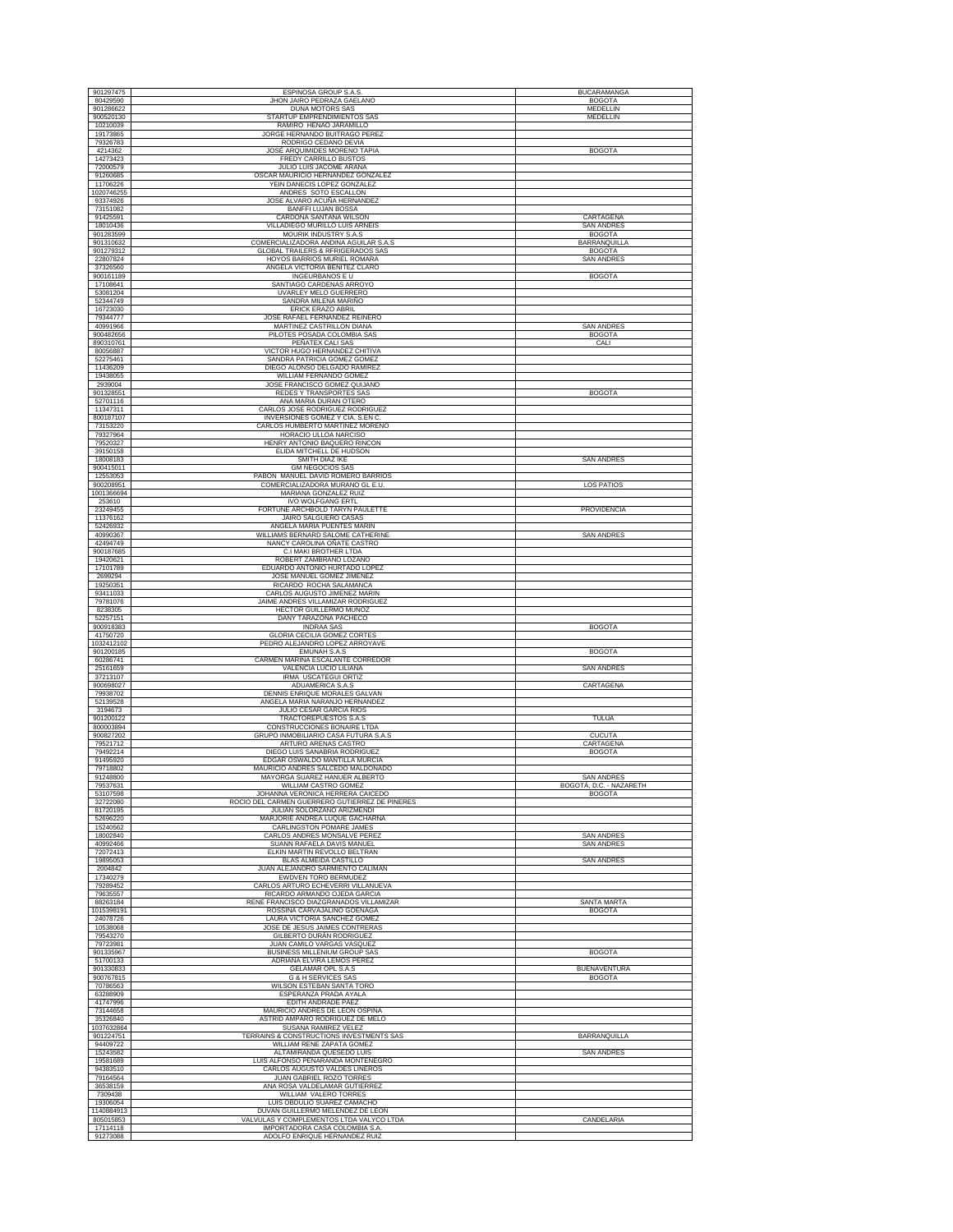| 901297475               | ESPINOSA GROUP S.A.S.                                                                                      | <b>BUCARAMANGA</b>                       |
|-------------------------|------------------------------------------------------------------------------------------------------------|------------------------------------------|
| 80429590                | JHON JAIRO PEDRAZA GAELANO                                                                                 | <b>BOGOTA</b>                            |
| 901286622<br>900520130  | <b>DUNA MOTORS SAS</b><br>STARTUP EMPRENDIMIENTOS SAS                                                      | MEDELLIN<br><b>MEDELLIN</b>              |
| 10210039                | RAMIRO HENAO JARAMILLO                                                                                     |                                          |
| 19173865<br>79326783    | JORGE HERNANDO BUITRAGO PEREZ<br>RODRIGO CEDANO DEVIA                                                      |                                          |
| 4214362                 | JOSÉ ARQUIMIDES MORENO TAPIA                                                                               | <b>BOGOTA</b>                            |
| 14273423<br>72000579    | FREDY CARRILLO BUSTOS<br>JULIO LUIS JACOME ARANA                                                           |                                          |
| 91260685                | OSCAR MAURICIO HERNANDEZ GONZALEZ                                                                          |                                          |
| 11706226<br>1020746255  | YEIN DANECIS LOPEZ GONZALEZ<br>ANDRES SOTO ESCALLON                                                        |                                          |
| 93374926                | JOSE ALVARO ACUÑA HERNANDEZ                                                                                |                                          |
| 73151082<br>91425591    | <b>BANFFI LUJAN BOSSA</b><br>CARDONA SANTANA WILSON                                                        | CARTAGENA                                |
| 18010436                | VILLADIEGO MURILLO LUIS ARNEIS                                                                             | <b>SAN ANDRES</b>                        |
| 901283599<br>901310632  | MOURIK INDUSTRY S.A.S<br>COMERCIALIZADORA ANDINA AGUILAR S.A.S                                             | <b>BOGOTA</b><br>BARRANQUILLA            |
| 901279312               | <b>GLOBAL TRAILERS &amp; RFRIGERADOS SAS</b>                                                               | <b>BOGOTA</b>                            |
| 22807824<br>37326560    | HOYOS BARRIOS MURIEL ROMARA<br>ANGELA VICTORIA BENITEZ CLARO                                               | <b>SAN ANDRES</b>                        |
| 900161189               | INGEURBANOS E U                                                                                            | <b>BOGOTA</b>                            |
| 17108641<br>53081204    | SANTIAGO CARDENAS ARROYO<br>UVARLEY MELO GUERRERO                                                          |                                          |
| 52344749                | SANDRA MILENA MARIÑO                                                                                       |                                          |
| 16723030<br>79344777    | ERICK ERAZO ABRIL<br>JOSE RAFAEL FERNANDEZ REINERO                                                         |                                          |
| 40991966                | MARTINEZ CASTRILLON DIANA                                                                                  | <b>SAN ANDRES</b>                        |
| 900482656<br>890310761  | PILOTES POSADA COLOMBIA SAS<br>PEÑATEX CALI SAS                                                            | <b>BOGOTA</b><br>CALI                    |
| 80056887                | VICTOR HUGO HERNANDEZ CHITIVA                                                                              |                                          |
| 52275461<br>11436209    | SANDRA PATRICIA GOMEZ GOMEZ<br>DIEGO ALONSO DELGADO RAMIREZ                                                |                                          |
| 19438055                | <b>WILLIAM FERNANDO GOMEZ</b>                                                                              |                                          |
| 2939004<br>901328551    | JOSE FRANCISCO GOMEZ QUIJANO<br>REDES Y TRANSPORTES SAS                                                    | <b>BOGOTA</b>                            |
| 52701116                | ANA MARIA DURAN OTERO                                                                                      |                                          |
| 11347311<br>800187107   | CARLOS JOSE RODRIGUEZ RODRIGUEZ<br>INVERSIONES GOMEZ Y CIA. S.EN C                                         |                                          |
| 73153220<br>79327964    | CARLOS HUMBERTO MARTINEZ MORENO<br>HORACIO ULLOA NARCISO                                                   |                                          |
| 79520327                | HENRY ANTONIO BAQUERO RINCON                                                                               |                                          |
| 39150158<br>18008183    | ELIDA MITCHELL DE HUDSON<br><b>SMITH DIAZ IKE</b>                                                          | <b>SAN ANDRES</b>                        |
| 900415011               | <b>GM NEGOCIOS SAS</b>                                                                                     |                                          |
| 12553053<br>900208951   | PABON MANUEL DAVID ROMERO BARRIOS<br>COMERCIALIZADORA MURANO GL E.U.                                       | LOS PATIOS                               |
| 1001366694              | MARIANA GONZALEZ RUIZ                                                                                      |                                          |
| 253610<br>23249455      | <b>IVO WOLFGANG ERTL</b><br>FORTUNE ARCHBOLD TARYN PAULETTE                                                | <b>PROVIDENCIA</b>                       |
| 11376162                | <b>JAIRO SALGUERO CASAS</b>                                                                                |                                          |
| 52426932<br>40990367    | ANGELA MARIA PUENTES MARIN<br>WILLIAMS BERNARD SALOME CATHERINE                                            | <b>SAN ANDRES</b>                        |
| 42494749                | NANCY CAROLINA OÑATE CASTRO                                                                                |                                          |
| 900187685<br>19420621   | C.I MAKI BROTHER LTDA<br>ROBERT ZAMBRANO LOZANO                                                            |                                          |
| 17101789                | EDUARDO ANTONIO HURTADO LOPEZ                                                                              |                                          |
| 2699294<br>19250351     | JOSE MANUEL GOMEZ JIMENEZ<br>RICARDO ROCHA SALAMANCA                                                       |                                          |
| 93411033                | CARLOS AUGUSTO JIMENEZ MARIN                                                                               |                                          |
| 79781076                | JAIME ANDRES VILLAMIZAR RODRIGUEZ                                                                          |                                          |
| 8238305                 | HECTOR GUILLERMO MUÑOZ                                                                                     |                                          |
| 52257151                | DANY TARAZONA PACHECO                                                                                      |                                          |
| 900918383<br>41750720   | <b>INDRAA SAS</b><br>GLORIA CECILIA GOMEZ CORTES                                                           | <b>BOGOTA</b>                            |
| 1032412102              | PEDRO ALEJANDRO LOPEZ ARROYAVE                                                                             |                                          |
| 901200185<br>60286741   | <b>EMUNAH S.A.S</b><br>CARMEN MARINA ESCALANTE CORREDOR                                                    | <b>BOGOTA</b>                            |
| 25161659                | VALENCIA LUCIO LILIANA                                                                                     | <b>SAN ANDRES</b>                        |
| 37213107<br>900698027   | IRMA USCATEGUI ORTIZ<br>ADUAMERICA S.A.S                                                                   | CARTAGENA                                |
| 79938702<br>52139528    | DENNIS ENRIQUE MORALES GALVAN<br>ANGELA MARIA NARANJO HERNANDEZ                                            |                                          |
| 3194673                 | <b>JULIO CESAR GARCIA RIOS</b>                                                                             |                                          |
| 901200122<br>800003894  | TRACTOREPUESTOS S.A.S<br>CONSTRUCCIONES BONAIRE LTDA                                                       | <b>TULUA</b>                             |
| 900827202               | GRUPO INMOBILIARIO CASA FUTURA S.A.S                                                                       | <b>CUCUTA</b>                            |
| 79521712<br>79492214    | ARTURO ARENAS CASTRO<br>DIEGO LUIS SANABRIA RODRIGUEZ                                                      | CARTAGENA<br><b>BOGOTA</b>               |
| 91495920                | EDGAR OSWALDO MANTILLA MURCIA                                                                              |                                          |
| 79718802<br>91248800    | MAURICIO ANDRES SALCEDO MALDONADO<br>MAYORGA SUAREZ HANUER ALBERTO                                         | <b>SAN ANDRES</b>                        |
| 79537631<br>53107598    | <b>WILLIAM CASTRO GOMEZ</b><br>JOHANNA VERONICA HERRERA CAICEDO                                            | BOGOTA, D.C. - NAZARETH<br><b>BOGOTA</b> |
| 32722080                | ROCIO DEL CARMEN GUERRERO GUTIERREZ DE PINERES                                                             |                                          |
| 81720195<br>52696220    | JULIAN SOLORZANO ARIZMENDI<br>MARJORIE ANDREA LUQUE GACHARNA                                               |                                          |
| 15240562                | CARLINGSTON POMARE JAMES                                                                                   |                                          |
| 18002840<br>40992466    | CARLOS ANDRES MONSALVE PEREZ<br>SUANN RAFAELA DAVIS MANUEL                                                 | <b>SAN ANDRES</b><br><b>SAN ANDRES</b>   |
| 72072413                | ELKIN MARTIN REVOLLO BELTRAN                                                                               |                                          |
| 19895053<br>2004842     | <b>BLAS ALMEIDA CASTILLO</b><br>JUAN ALEJANDRO SARMIENTO CALIMAN                                           | <b>SAN ANDRES</b>                        |
| 17340279                | <b>EWDVEN TORO BERMUDEZ</b>                                                                                |                                          |
| 79289452<br>79635557    | CARLOS ARTURO ECHEVERRI VILLANUEVA<br>RICARDO ARMANDO OJEDA GARCIA                                         |                                          |
| 88263184<br>1015398191  | RENE FRANCISCO DIAZGRANADOS VILLAMIZAR<br>ROSSINA CARVAJALINO GOENAGA                                      | SANTA MARTA<br><b>BOGOTA</b>             |
| 24078726                | LAURA VICTORIA SANCHEZ GOMEZ                                                                               |                                          |
| 10538068<br>79543270    | JOSE DE JESUS JAIMES CONTRERAS<br>GILBERTO DURÁN RODRIGUEZ                                                 |                                          |
| 79723981                | JUAN CAMILO VARGAS VASQUEZ                                                                                 |                                          |
| 901335967<br>51700133   | BUSINESS MILLENIUM GROUP SAS<br>ADRIANA ELVIRA LEMOS PEREZ                                                 | <b>BOGOTA</b>                            |
| 901330833               | GELAMAR OPL S.A.S                                                                                          | <b>BUENAVENTURA</b>                      |
| 900767815<br>70786563   | <b>G &amp; H SERVICES SAS</b><br>WILSON ESTEBAN SANTA TORO                                                 | <b>BOGOTA</b>                            |
| 63288909                | ESPERANZA PRADA AYALA                                                                                      |                                          |
| 41747996<br>73144658    | EDITH ANDRADE PAEZ<br>MAURICIO ANDRES DE LEON OSPINA                                                       |                                          |
| 35326840                | ASTRID AMPARO RODRIGUEZ DE MELO                                                                            |                                          |
| 1037632864<br>901224751 | SUSANA RAMIREZ VELEZ<br>TERRAINS & CONSTRUCTIONS INVESTMENTS SAS                                           | <b>BARRANQUILLA</b>                      |
| 94409722<br>15243582    | WILLIAM RENE ZAPATA GOMEZ<br>ALTAMIRANDA QUESEDO LUIS                                                      | <b>SAN ANDRES</b>                        |
| 19581689                | LUIS ALFONSO PEÑARANDA MONTENEGRO                                                                          |                                          |
| 94383510                | CARLOS AUGUSTO VALDES LINEROS                                                                              |                                          |
| 79164564<br>36538159    | JUAN GABRIEL ROZO TORRES<br>ANA ROSA VALDELAMAR GUTIERREZ                                                  |                                          |
| 7309438<br>19306054     | WILLIAM VALERO TORRES<br>LUIS OBDULIO SUAREZ CAMACHO                                                       |                                          |
| 1140884913              | DUVAN GUILLERMO MELENDEZ DE LEON                                                                           |                                          |
| 805015853<br>17114118   | VALVULAS Y COMPLEMENTOS LTDA VALYCO LTDA<br>IMPORTADORA CASA COLOMBIA S.A<br>ADOLFO ENRIQUE HERNANDEZ RUIZ | CANDELARIA                               |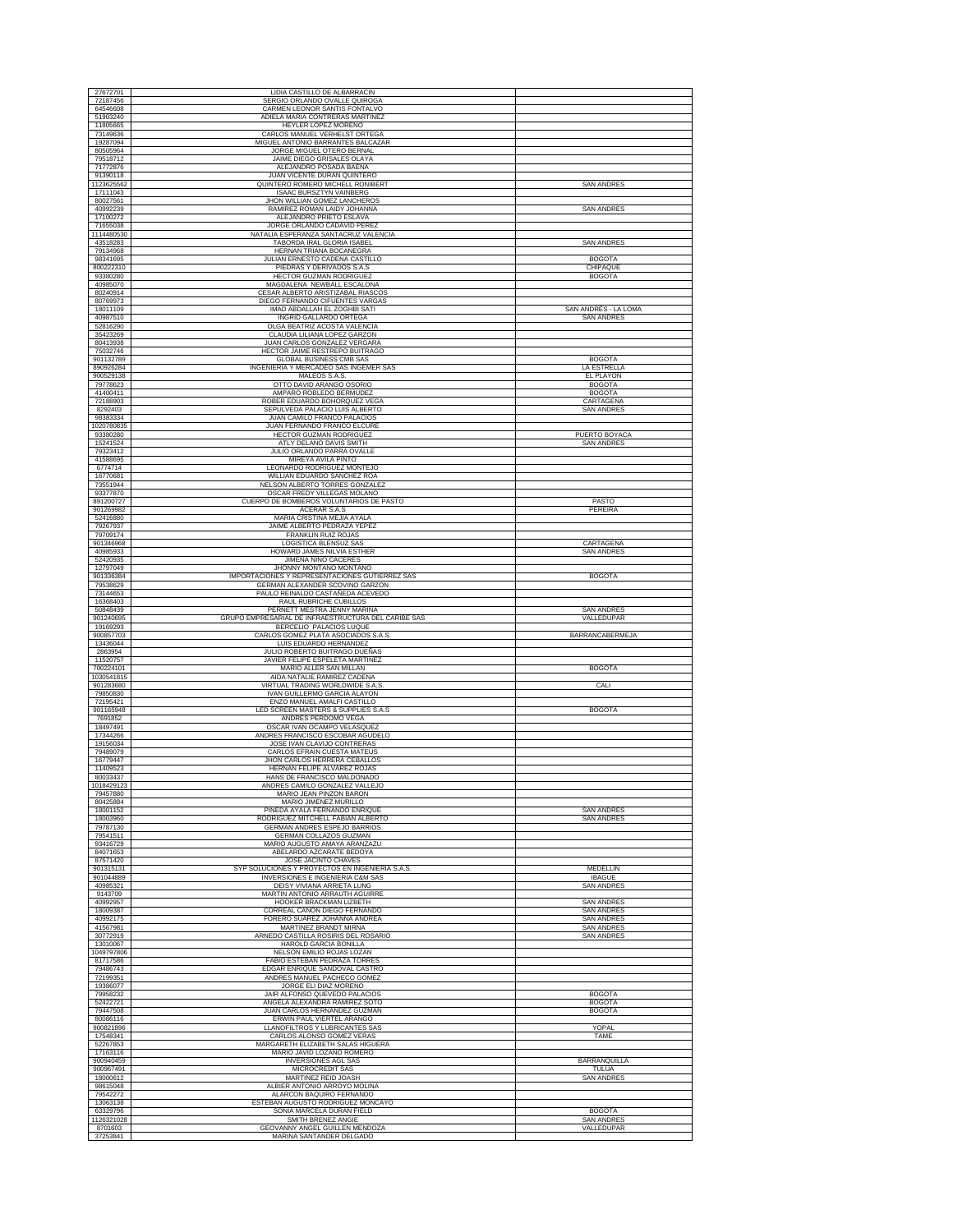| 27672701               | LIDIA CASTILLO DE ALBARRACIN                                             |                                        |
|------------------------|--------------------------------------------------------------------------|----------------------------------------|
| 72187456<br>64546608   | SERGIO ORLANDO OVALLE QUIROGA<br>CARMEN LEONOR SANTIS FONTALVO           |                                        |
| 51903240               | ADIELA MARIA CONTRERAS MARTINEZ                                          |                                        |
| 11805665               | HEYLER LOPEZ MORENO                                                      |                                        |
| 73149636               | CARLOS MANUEL VERHELST ORTEGA                                            |                                        |
| 19287094               | MIGUEL ANTONIO BARRANTES BALCAZAR                                        |                                        |
| 80505964               | JORGE MIGUEL OTERO BERNAL                                                |                                        |
| 79518712               | JAIME DIEGO GRISALES OLAYA                                               |                                        |
| 71772876               | ALEJANDRO POSADA BAENA                                                   |                                        |
| 91390118               | JUAN VICENTE DURAN QUINTERO                                              |                                        |
| 1123625562             | QUINTERO ROMERO MICHELL RONIBERT                                         | <b>SAN ANDRES</b>                      |
| 17111043               | <b>ISAAC BURSZTYN VAINBERG</b>                                           |                                        |
| 80027561               | JHON WILLIAN GOMEZ LANCHEROS                                             |                                        |
| 40992239               | RAMIREZ ROMAN LAIDY JOHANNA                                              | SAN ANDRES                             |
| 17100272               | ALEJANDRO PRIETO ESLAVA                                                  |                                        |
| 71655038<br>1114480530 | JORGE ORLANDO CADAVID PEREZ<br>NATALIA ESPERANZA SANTACRUZ VALENCIA      |                                        |
| 43518283               | TABORDA IRAL GLORIA ISABEL                                               | <b>SAN ANDRES</b>                      |
| 79134968               | HERNAN TRIANA BOCANEGRA                                                  |                                        |
| 98341695               | JULIAN ERNESTO CADENA CASTILLO                                           | <b>BOGOTA</b>                          |
| 800222310              | PIEDRAS Y DERIVADOS S.A.S                                                | CHIPAQUE                               |
| 93380280               | <b>HECTOR GUZMAN RODRIGUEZ</b>                                           | <b>BOGOTA</b>                          |
| 40985070               | MAGDALENA NEWBALL ESCALONA                                               |                                        |
| 80240914               | CESAR ALBERTO ARISTIZABAL RIASCOS                                        |                                        |
| 80769973               | DIEGO FERNANDO CIFUENTES VARGAS                                          | SAN ANDRÉS - LA LOMA                   |
| 18011109<br>40987510   | IMAD ABDALLAH EL ZOGHBI SATI<br>INGRID GALLARDO ORTEGA                   | <b>SAN ANDRES</b>                      |
| 52816290               | OLGA BEATRIZ ACOSTA VALENCIA                                             |                                        |
| 35423269               | CLAUDIA LILIANA LOPEZ GARZON                                             |                                        |
| 80413938               | JUAN CARLOS GONZALEZ VERGARA                                             |                                        |
| 75032746               | HECTOR JAIME RESTREPO BUITRAGO                                           |                                        |
| 901132789              | <b>GLOBAL BUSINESS CMB SAS</b>                                           | <b>BOGOTA</b>                          |
| 890926284              | INGENIERIA Y MERCADEO SAS INGEMER SAS                                    | LA ESTRELLA                            |
| 900529138              | MALEOS S.A.S.                                                            | <b>EL PLAYON</b>                       |
| 79778623               | OTTO DAVID ARANGO OSORIO<br>AMPARO ROBLEDO BERMUDEZ                      | <b>BOGOTA</b><br><b>BOGOTA</b>         |
| 41400411<br>72188903   | ROBER EDUARDO BOHORQUEZ VEGA                                             | CARTAGENA                              |
| 8292403                | SEPULVEDA PALACIO LUIS ALBERTO                                           | <b>SAN ANDRES</b>                      |
| 98383334               | JUAN CAMILO FRANCO PALACIOS                                              |                                        |
| 1020780835             | JUAN FERNANDO FRANCO ELCURE                                              |                                        |
| 93380280               | HECTOR GUZMAN RODRIGUEZ                                                  | PUERTO BOYACA                          |
| 15241524               | ATLY DELANO DAVIS SMITH                                                  | SAN ANDRES                             |
| 79323412               | JULIO ORLANDO PARRA OVALLE                                               |                                        |
| 41588695<br>6774714    | MIREYA AVILA PINTO<br>LEONARDO RODRIGUEZ MONTEJO                         |                                        |
| 16770681               | WILLIAN EDUARDO SANCHEZ ROA                                              |                                        |
| 73551944               | NELSON ALBERTO TORRES GONZALEZ                                           |                                        |
| 93377870               | OSCAR FREDY VILLEGAS MOLANO                                              |                                        |
| 891200727              | CUERPO DE BOMBEROS VOLUNTARIOS DE PASTO                                  | PASTO                                  |
| 901269982              | ACERAR S.A.S                                                             | PEREIRA                                |
| 52416880<br>79267937   | MARIA CRISTINA MEJIA AYALA<br>JAIME ALBERTO PEDRAZA YEPEZ                |                                        |
| 79709174               | <b>FRANKLIN RUIZ ROJAS</b>                                               |                                        |
| 901346968              | LOGISTICA BLENSUZ SAS                                                    | CARTAGENA                              |
| 40985933               | HOWARD JAMES NILVIA ESTHER                                               | <b>SAN ANDRES</b>                      |
| 52420935               | JIMENA NIÑO CACERES                                                      |                                        |
| 12797049<br>901336384  | JHONNY MONTAÑO MONTAÑO<br>IMPORTACIONES Y REPRESENTACIONES GUTIERREZ SAS | <b>BOGOTA</b>                          |
| 79538629               | GERMAN ALEXANDER SCOVINO GARZON                                          |                                        |
| 73144653               | PAULO REINALDO CASTAÑEDA ACEVEDO                                         |                                        |
| 16368403               | RAUL RUBRICHE CUBILLOS                                                   |                                        |
|                        |                                                                          |                                        |
| 50848439               | PERNETT MESTRA JENNY MARINA                                              | <b>SAN ANDRES</b>                      |
| 901240695              | GRUPO EMPRESARIAL DE INFRAESTRUCTURA DEL CARIBE SAS                      | VALLEDUPAR                             |
| 19169293               | BERCELIO PALACIOS LUQUE                                                  |                                        |
| 900857703              | CARLOS GOMEZ PLATA ASOCIADOS S.A.S.                                      | BARRANCABERMEJA                        |
| 13436044               | LUIS EDUARDO HERNANDEZ                                                   |                                        |
| 2863954<br>11520757    | JULIO ROBERTO BUITRAGO DUEÑAS<br>JAVIER FELIPE ESPELETA MARTINEZ         |                                        |
| 700224101              | MARIO ALLER SAN MILLAN                                                   | <b>BOGOTA</b>                          |
| 1030541815             | AIDA NATALIE RAMIREZ CADENA                                              |                                        |
| 901283680              | VIRTUAL TRADING WORLDWIDE S.A.S.                                         | CALI                                   |
| 79850830<br>72195421   | <b>IVAN GUILLERMO GARCIA ALAYON</b><br>ENZO MANUEL AMALFI CASTILLO       |                                        |
| 901165948              | LED SCREEN MASTERS & SUPPLIES S.A.S                                      | <b>BOGOTA</b>                          |
| 7691852                | ANDRES PERDOMO VEGA                                                      |                                        |
| 18497491               | OSCAR IVAN OCAMPO VELASQUEZ                                              |                                        |
| 17344266               | ANDRES FRANCISCO ESCOBAR AGUDELO                                         |                                        |
| 19156034<br>79489079   | JOSE IVAN CLAVIJO CONTRERAS<br><b>CARLOS EFRAIN CUESTA MATEUS</b>        |                                        |
| 16779447               | JHON CARLOS HERRERA CEBALLOS                                             |                                        |
| 11409523               | HERNAN FELIPE ALVAREZ ROJAS                                              |                                        |
| 80033437               | HANS DE FRANCISCO MALDONADO                                              |                                        |
| 1018429123             | ANDRES CAMILO GONZALEZ VALLEJO                                           |                                        |
| 79457880               | MARIO JEAN PINZON BARON                                                  |                                        |
| 80425884               | MARIO JIMENEZ MURILLO                                                    |                                        |
| 18001152<br>18003960   | PINEDA AYALA FERNANDO ENRIQUE<br>RODRIGUEZ MITCHELL FABIAN ALBERTO       | <b>SAN ANDRES</b><br><b>SAN ANDRES</b> |
| 79787130               | GERMAN ANDRES ESPEJO BARRIOS                                             |                                        |
| 79541511               | GERMAN COLLAZOS GUZMAN                                                   |                                        |
| 93416729               | MARIO AUGUSTO AMAYA ARANZAZU                                             |                                        |
| 84071653<br>87571420   | ABELARDO AZCARATE BEDOYA<br>JOSE JACINTO CHAVES                          |                                        |
| 901315131              | SYP SOLUCIONES Y PROYECTOS EN INGENIERIA S.A.S.                          | MEDELLIN                               |
| 901044889              | INVERSIONES E INGENIERIA C&M SAS                                         | <b>IBAGUE</b>                          |
| 40985321               | DEISY VIVIANA ARRIETA LUNG                                               | <b>SAN ANDRES</b>                      |
| 9143709                | MARTIN ANTONIO ARRAUTH AGUIRRE                                           |                                        |
| 40992957<br>18009387   | HOOKER BRACKMAN LIZBETH<br>CORREAL CAÑON DIEGO FERNANDO                  | <b>SAN ANDRES</b><br><b>SAN ANDRES</b> |
| 40992175               | FORERO SUAREZ JOHANNA ANDREA                                             | <b>SAN ANDRES</b>                      |
| 41567981               | MARTINEZ BRANDT MIRNA                                                    | <b>SAN ANDRES</b>                      |
| 30772919               | ARNEDO CASTILLA ROSIRIS DEL ROSARIO                                      | <b>SAN ANDRES</b>                      |
| 13010067               | HAROLD GARCIA BONILLA                                                    |                                        |
| 1049797806             | NELSON EMILIO ROJAS LOZAN                                                |                                        |
| 81717586<br>79486743   | FABIO ESTEBAN PEDRAZA TORRES<br>EDGAR ENRIQUE SANDOVAL CASTRO            |                                        |
| 72199351               | ANDRES MANUEL PACHECO GOMEZ                                              |                                        |
| 19386077               | JORGE ELI DIAZ MORENO                                                    |                                        |
| 79958232               | JAIR ALFONSO QUEVEDO PALACIOS                                            | <b>BOGOTA</b>                          |
| 52422721<br>79447508   | ANGELA ALEXANDRA RAMIREZ SOTO<br>JUAN CARLOS HERNANDEZ GUZMAN            | <b>BOGOTA</b><br><b>BOGOTA</b>         |
| 80086116               | ERWIN PAUL VIERTEL ARANGO                                                |                                        |
| 900821896              | <b>LLANOFILTROS Y LUBRICANTES SAS</b>                                    | YOPAI                                  |
| 17548341               | CARLOS ALONSO GOMEZ VERAS                                                | TAME                                   |
| 52267853               | MARGARETH ELIZABETH SALAS HIGUERA                                        |                                        |
| 17163116               | MARIO JAVID LOZANO ROMERO                                                |                                        |
| 900940459<br>900967491 | <b>INVERSIONES AGL SAS</b><br><b>MICROCREDIT SAS</b>                     | BARRANQUILLA<br>TULUA                  |
| 18000612               | MARTINEZ REID JOASH                                                      | <b>SAN ANDRES</b>                      |
| 98615048               | ALBIER ANTONIO ARROYO MOLINA                                             |                                        |
| 79542272               | ALARCON BAQUIRO FERNANDO                                                 |                                        |
| 13063138               | ESTEBAN AUGUSTO RODRIGUEZ MONCAYO                                        |                                        |
| 63329796               | SONIA MARCELA DURAN FIELD                                                | <b>BOGOTA</b>                          |
| 1126321028<br>8701603  | SMITH BRENEZ ANGIE<br>GEOVANNY ANGEL GUILLEN MENDOZA                     | <b>SAN ANDRES</b><br>VALLEDUPAR        |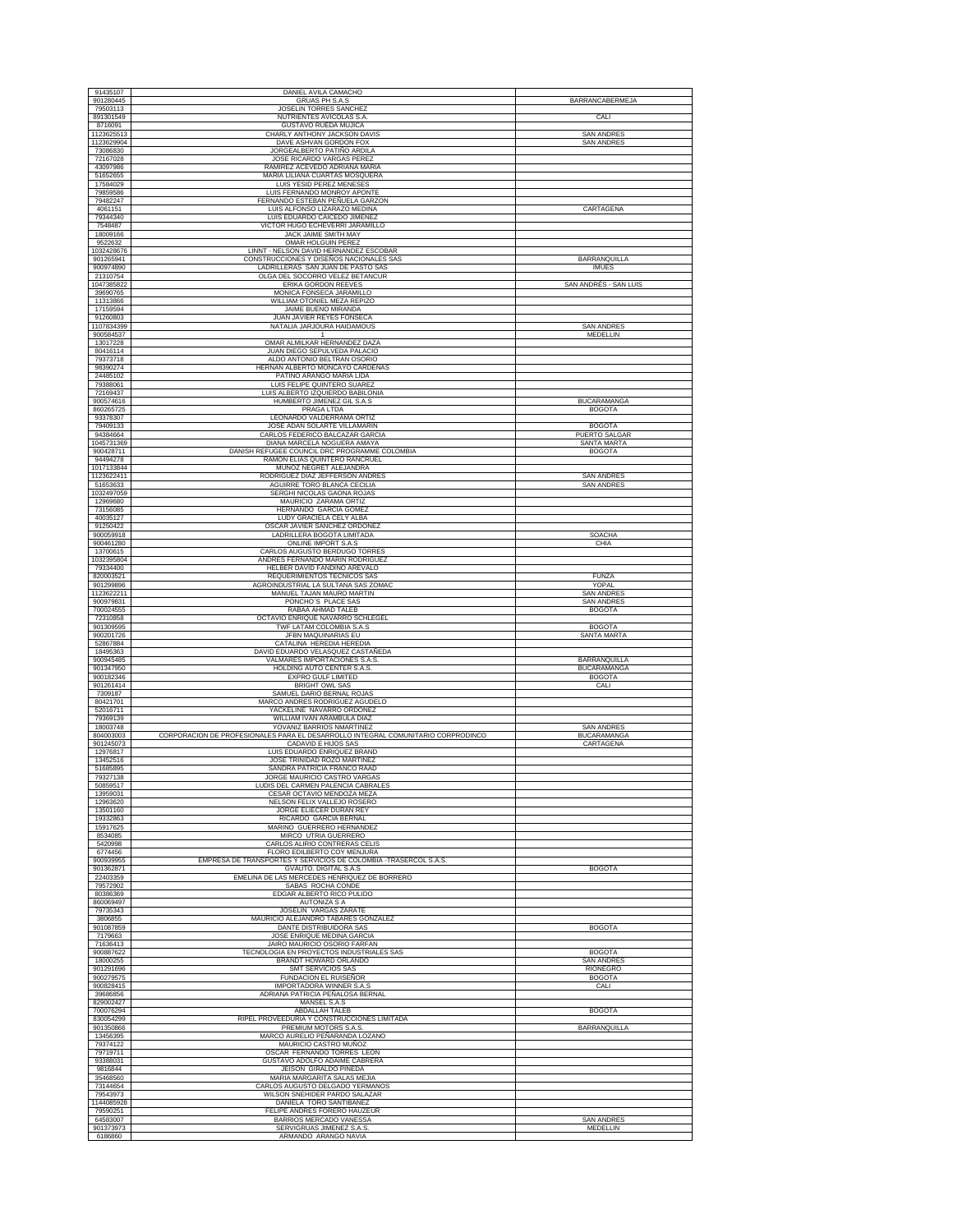| 91435107<br>901280445   | DANIEL AVILA CAMACHO                                                                                    |                                            |
|-------------------------|---------------------------------------------------------------------------------------------------------|--------------------------------------------|
| 79503113                | GRUAS PH S.A.S<br>JOSELIN TORRES SANCHEZ                                                                | BARRANCABERMEJA                            |
| 891301549<br>8716091    | NUTRIENTES AVICOLAS S.A.<br><b>GUSTAVO RUEDA MUJICA</b>                                                 | CALI                                       |
| 1123625513              | CHARLY ANTHONY JACKSON DAVIS                                                                            | <b>SAN ANDRES</b>                          |
| 1123629904<br>73086830  | DAVE ASHVAN GORDON FOX<br>JORGEALBERTO PATIÑO ARDILA                                                    | <b>SAN ANDRES</b>                          |
| 72167028<br>43097986    | JOSE RICARDO VARGAS PEREZ                                                                               |                                            |
| 51652655                | RAMIREZ ACEVEDO ADRIANA MARIA<br>MARIA LILIANA CUARTAS MOSQUERA                                         |                                            |
| 17584029<br>79859586    | LUIS YESID PEREZ MENESES<br>LUIS FERNANDO MONROY APONTE                                                 |                                            |
| 79482247                | FERNANDO ESTEBAN PEÑUELA GARZON                                                                         |                                            |
| 4061151<br>79344340     | LUIS ALFONSO LIZARAZO MEDINA<br>LUIS EDUARDO CAICEDO JIMENEZ                                            | CARTAGENA                                  |
| 7548487                 | VICTOR HUGO ECHEVERRI JARAMILLO                                                                         |                                            |
| 18009166<br>9522632     | JACK JAIME SMITH MAY<br>OMAR HOLGUIN PEREZ                                                              |                                            |
| 1032428676              | LINNT - NELSON DAVID HERNANDEZ ESCOBAR<br>CONSTRUCCIONES Y DISEÑOS NACIONALES SAS                       | BARRANOUILLA                               |
| 901265941<br>900974890  | LADRILLERAS SAN JUAN DE PASTO SAS                                                                       | <b>IMUES</b>                               |
| 21310754<br>1047385822  | OLGA DEL SOCORRO VELEZ BETANCUR<br>ERIKA GORDON REEVES                                                  | SAN ANDRÉS - SAN LUIS                      |
| 39690765                | MONICA FONSECA JARAMILLO                                                                                |                                            |
| 11313866<br>17159594    | WILLIAM OTONIEL MEZA REPIZO<br>JAIME BUENO MIRANDA                                                      |                                            |
| 91260803                | JUAN JAVIER REYES FONSECA                                                                               |                                            |
| 1107834399<br>900584537 | NATALIA JARJOURA HAIDAMOUS<br>-1                                                                        | <b>SAN ANDRES</b><br>MEDELLIN              |
| 13017228<br>80416114    | OMAR ALMILKAR HERNANDEZ DAZA<br>JUAN DIEGO SEPULVEDA PALACIO                                            |                                            |
| 79373718                | ALDO ANTONIO BELTRAN OSORIO                                                                             |                                            |
| 98390274<br>24485102    | HERNAN ALBERTO MONCAYO CARDENAS<br>PATIÑO ARANGO MARIA LIDA                                             |                                            |
| 79388061                | LUIS FELIPE QUINTERO SUAREZ                                                                             |                                            |
| 72169437<br>900574616   | LUIS ALBERTO IZQUIERDO BABILONIA<br>HUMBERTO JIMENEZ GIL S.A.S                                          | <b>BUCARAMANGA</b>                         |
| 860265725<br>93378307   | PRAGA LTDA<br>LEONARDO VALDERRAMA ORTIZ                                                                 | <b>BOGOTA</b>                              |
| 79409133                | JOSE ADAN SOLARTE VILLAMARIN                                                                            | <b>BOGOTA</b>                              |
| 94384664<br>1045731369  | CARLOS FEDERICO BALCAZAR GARCIA<br>DIANA MARCELA NOGUERA AMAYA                                          | <b>PUERTO SALGAR</b><br><b>SANTA MARTA</b> |
| 900428711               | DANISH REFUGEE COUNCIL DRC PROGRAMME COLOMBIA<br>RAMON ELIAS QUINTERO RANCRUEL                          | <b>BOGOTA</b>                              |
| 94494278<br>1017133844  | MUÑOZ NEGRET ALEJANDRA                                                                                  |                                            |
| 1123622411<br>51653633  | RODRIGUEZ DIAZ JEFFERSON ANDRES<br>AGUIRRE TORO BLANCA CECILIA                                          | <b>SAN ANDRES</b><br><b>SAN ANDRES</b>     |
| 1032497059              | SERGHI NICOLAS GAONA ROJAS                                                                              |                                            |
| 12969680<br>73156085    | MAURICIO ZARAMA ORTIZ<br>HERNANDO GARCIA GOMEZ                                                          |                                            |
| 40035127<br>91250422    | LUDY GRACIELA CELY ALBA<br>OSCAR JAVIER SANCHEZ ORDOÑEZ                                                 |                                            |
| 900059918               | LADRILLERA BOGOTA LIMITADA                                                                              | <b>SOACHA</b>                              |
| 900461280<br>13700615   | ONLINE IMPORT S.A.S<br>CARLOS AUGUSTO BERDUGO TORRES                                                    | CHIA                                       |
| 1032395804<br>79334400  | ANDRES FERNANDO MARIN RODRIGUE<br>HELBER DAVID FANDIÑO AREVALO                                          |                                            |
| 820003521               | REQUERIMIENTOS TECNICOS SAS                                                                             | <b>FUNZA</b>                               |
| 901299896<br>1123622211 | AGROINDUSTRIAL LA SULTANA SAS ZOMAC<br>MANUEL TAJAN MAURO MARTIN                                        | YOPAL<br><b>SAN ANDRES</b>                 |
| 900979831               | PONCHO'S PLACE SAS                                                                                      | <b>SAN ANDRES</b>                          |
| 700024555<br>72310858   | RABAA AHMAD TALEB<br>OCTAVIO ENRIQUE NAVARRO SCHLEGEL                                                   | <b>BOGOTA</b>                              |
| 901309595<br>900201726  | TWF LATAM COLOMBIA S.A.S<br>JFBN MAQUINARIAS EU                                                         | <b>BOGOTA</b><br>SANTA MARTA               |
| 52867884                | CATALINA HEREDIA HEREDIA                                                                                |                                            |
| 18495363<br>900945485   | DAVID EDUARDO VELASQUEZ CASTAÑEDA<br>VALMARES IMPORTACIONES S.A.S                                       | BARRANQUILLA                               |
| 901347950<br>900182346  | HOLDING AUTO CENTER S.A.S.<br>EXPRO GULF LIMITED                                                        | <b>BUCARAMANGA</b><br><b>BOGOTA</b>        |
| 901261414               | <b>BRIGHT OWL SAS</b>                                                                                   | CALI                                       |
| 7309187<br>80421701     | SAMUEL DARIO BERNAL ROJAS<br>MARCO ANDRES RODRIGUEZ AGUDELO                                             |                                            |
| 52016711<br>79369139    | YACKELINE NAVARRO ORDOÑEZ<br>WILLIAM IVAN ARAMBULA DIAZ                                                 |                                            |
| 18003748                | YOVANIZ BARRIOS NMARTINEZ                                                                               | <b>SAN ANDRES</b>                          |
| 804003003<br>901245073  | CORPORACION DE PROFESIONALES PARA EL DESARROLLO INTEGRAL COMUNITARIO CORPRODINCO<br>CADAVID E HIJOS SAS | <b>BUCARAMANGA</b><br>CARTAGENA            |
| 12976817<br>13452516    | LUIS EDUARDO ENRIQUEZ BRAND<br>JOSE TRINIDAD ROZO MARTINEZ                                              |                                            |
| 51685895                | SANDRA PATRICIA FRANCO RAAD                                                                             |                                            |
| 79327138<br>50859517    | JORGE MAURICIO CASTRO VARGAS<br>LUDIS DEL CARMEN PALENCIA CABRALES                                      |                                            |
| 13959031<br>12963620    | CESAR OCTAVIO MENDOZA MEZA<br>NELSON FELIX VALLEJO ROSERO                                               |                                            |
| 13501160                | JORGE ELIECER DURAN REY                                                                                 |                                            |
| 19332863<br>15917625    | RICARDO GARCIA BERNAL<br>MARINO GUERRERO HERNANDEZ                                                      |                                            |
| 8534085                 | MIRCO UTRIA GUERRERO                                                                                    |                                            |
| 5420998<br>6774456      | CARLOS ALIRIO CONTRERAS CELIS<br>FLORO EDILBERTO COY MENJURA                                            |                                            |
| 900939955<br>901362871  | EMPRESA DE TRANSPORTES Y SERVICIOS DE COLOMBIA -TRASERCOL S.A.S.<br><b>GVAUTO. DIGITAL S.A.S</b>        | <b>BOGOTA</b>                              |
| 22403359                | EMELINA DE LAS MERCEDES HENRIQUEZ DE BORRERO                                                            |                                            |
| 79572902<br>80386369    | SABAS ROCHA CONDE<br>EDGAR ALBERTO RICO PULIDO                                                          |                                            |
| 860069497<br>79735343   | AUTONIZA S A<br><b>JOSELIN VARGAS ZARATE</b>                                                            |                                            |
| 3806855                 | MAURICIO ALEJANDRO TABARES GONZALEZ                                                                     |                                            |
| 901087859<br>7179663    | DANTE DISTRIBUIDORA SAS<br>JOSE ENRIQUE MEDINA GARCIA                                                   | <b>BOGOTA</b>                              |
| 71636413<br>900887622   | JAIRO MAURICIO OSORIO FARFAN<br>TECNOLOGIA EN PROYECTOS INDUSTRIALES SAS                                | <b>BOGOTA</b>                              |
| 18000255                | BRANDT HOWARD ORLANDO                                                                                   | <b>SAN ANDRES</b>                          |
| 901291696<br>900279575  | SMT SERVICIOS SAS<br>FUNDACION EL RUISEÑOR                                                              | RIONEGRO<br><b>BOGOTA</b>                  |
| 900828415<br>39686856   | <b>IMPORTADORA WINNER S.A.S</b><br>ADRIANA PATRICIA PEÑALOSA BERNAL                                     | CALI                                       |
| 829002427               | MANSEL S.A.S                                                                                            |                                            |
| 700076294<br>830054299  | <b>ABDALLAH TALEB</b><br>RIPEL PROVEEDURIA Y CONSTRUCCIONES LIMITADA                                    | <b>BOGOTA</b>                              |
| 901350866<br>13456395   | PREMIUM MOTORS S.A.S.<br>MARCO AURELIO PEÑARANDA LOZANO                                                 | BARRANQUILLA                               |
| 79374122                | MAURICIO CASTRO MUÑOZ                                                                                   |                                            |
| 79719711<br>93388031    | OSCAR FERNANDO TORRES LEON<br>GUSTAVO ADOLFO ADAIME CABRERA                                             |                                            |
| 9816844                 | JEISON GIRALDO PINEDA                                                                                   |                                            |
| 35468560<br>73144654    | MARIA MARGARITA SALAS MEJIA<br>CARLOS AUGUSTO DELGADO YERMANOS                                          |                                            |
| 79543973<br>1144085928  | WILSON SNEHIDER PARDO SALAZAR<br>DANIELA TORO SANTIBAÑEZ                                                |                                            |
| 79590251                | FELIPE ANDRES FORERO HAUZEUR                                                                            |                                            |
| 64583007<br>901373973   | BARRIOS MERCADO VANESSA<br>SERVIGRUAS JIMENEZ S.A.S.                                                    | <b>SAN ANDRES</b><br>MEDELLIN              |
| 6186860                 | ARMANDO ARANGO NAVIA                                                                                    |                                            |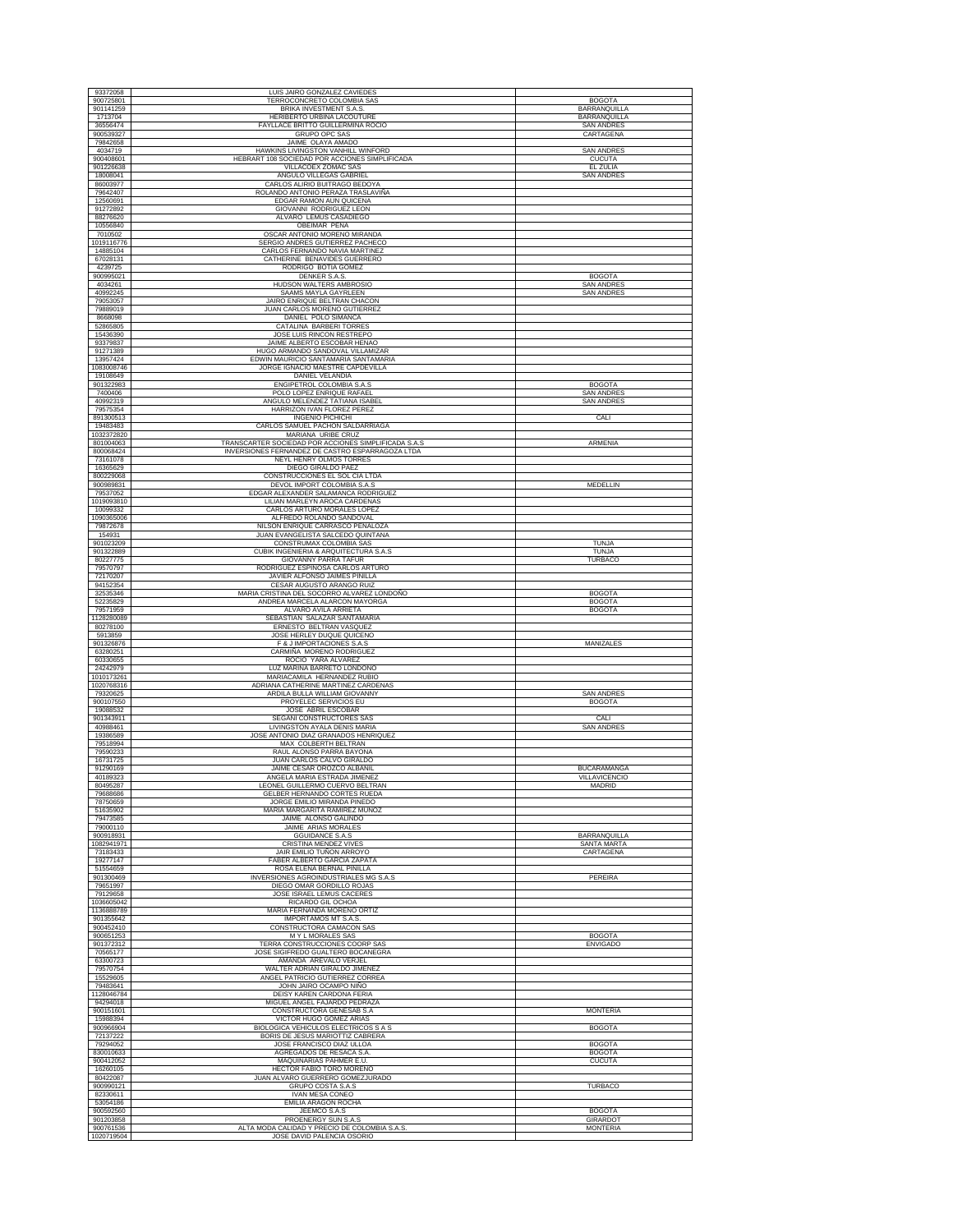| 93372058               | LUIS JAIRO GONZALEZ CAVIEDES                                                                             |                                     |
|------------------------|----------------------------------------------------------------------------------------------------------|-------------------------------------|
| 900725801              | TERROCONCRETO COLOMBIA SAS                                                                               | <b>BOGOTA</b>                       |
| 901141259<br>1713704   | BRIKA INVESTMENT S.A.S<br>HERIBERTO URBINA LACOUTURE                                                     | BARRANQUILLA<br><b>BARRANQUILLA</b> |
| 36556474               | FAYLLACE BRITTO GUILLERMINA ROCIO                                                                        | <b>SAN ANDRES</b>                   |
| 900539327<br>79842658  | <b>GRUPO OPC SAS</b><br>JAIME OLAYA AMADO                                                                | CARTAGENA                           |
| 4034719                | HAWKINS LIVINGSTON VANHILL WINFORD                                                                       | <b>SAN ANDRES</b>                   |
| 900408601<br>901226638 | HEBRART 108 SOCIEDAD POR ACCIONES SIMPLIFICADA<br>VILLACOEX ZOMAC SAS                                    | <b>CUCUTA</b><br><b>EL ZULIA</b>    |
| 18008041               | ANGULO VILLEGAS GABRIEL                                                                                  | <b>SAN ANDRES</b>                   |
| 86003977               | CARLOS ALIRIO BUITRAGO BEDOYA                                                                            |                                     |
| 79642407<br>12560691   | ROLANDO ANTONIO PERAZA TRASLAVIÑA<br>EDGAR RAMON AUN QUICENA                                             |                                     |
| 91272892               | GIOVANNI RODRIGUEZ LEON                                                                                  |                                     |
| 88276620<br>10556840   | ALVARO LEMUS CASADIEGO<br>OBEIMAR PEÑA                                                                   |                                     |
| 7010502                | OSCAR ANTONIO MORENO MIRANDA                                                                             |                                     |
| 1019116776             | SERGIO ANDRES GUTIERREZ PACHECO<br>CARLOS FERNANDO NAVIA MARTINEZ                                        |                                     |
| 14885104<br>67028131   | CATHERINE BENAVIDES GUERRERO                                                                             |                                     |
| 4239725                | RODRIGO BOTIA GOMEZ                                                                                      |                                     |
| 900995021<br>4034261   | <b>DENKER S.A.S.</b><br>HUDSON WALTERS AMBROSIO                                                          | <b>BOGOTA</b><br><b>SAN ANDRES</b>  |
| 40992245               | <b>SAAMS MAYLA GAYRLEEN</b>                                                                              | <b>SAN ANDRES</b>                   |
| 79053057<br>79889019   | JAIRO ENRIQUE BELTRAN CHACON<br>JUAN CARLOS MORENO GUTIERREZ                                             |                                     |
| 8668098                | DANIEL POLO SIMANCA                                                                                      |                                     |
| 52865805<br>15436390   | CATALINA BARBERI TORRES<br>JOSE LUIS RINCON RESTREPO                                                     |                                     |
| 93379837               | JAIME ALBERTO ESCOBAR HENAO                                                                              |                                     |
| 91271389               | HUGO ARMANDO SANDOVAL VILLAMIZAR                                                                         |                                     |
| 13957424<br>1083008746 | EDWIN MAURICIO SANTAMARIA SANTAMARIA<br>JORGE IGNACIO MAESTRE CAPDEVILLA                                 |                                     |
| 19108649               | <b>DANIEL VELANDIA</b>                                                                                   |                                     |
| 901322983<br>7400406   | ENGIPETROL COLOMBIA S.A.S<br>POLO LOPEZ ENRIQUE RAFAEL                                                   | <b>BOGOTA</b><br><b>SAN ANDRES</b>  |
| 40992319               | ANGULO MELENDEZ TATIANA ISABEL                                                                           | <b>SAN ANDRES</b>                   |
| 79575354<br>891300513  | HARRIZON IVAN FLOREZ PEREZ<br><b>INGENIO PICHICHI</b>                                                    | CALI                                |
| 19483483               | CARLOS SAMUEL PACHON SALDARRIAGA                                                                         |                                     |
| 1032372820             | MARIANA URIBE CRUZ                                                                                       |                                     |
| 801004063<br>800068424 | TRANSCARTER SOCIEDAD POR ACCIONES SIMPLIFICADA S.A.S<br>INVERSIONES FERNANDEZ DE CASTRO ESPARRAGOZA LTDA | ARMENIA                             |
| 73161078               | NEYL HENRY OLMOS TORRES                                                                                  |                                     |
| 16365629<br>800229068  | DIEGO GIRALDO PAEZ<br>CONSTRUCCIONES EL SOL CIA LTDA                                                     |                                     |
| 900989831              | DEVOL IMPORT COLOMBIA S.A.S                                                                              | MEDELLIN                            |
| 79537052               | EDGAR ALEXANDER SALAMANCA RODRIGUEZ                                                                      |                                     |
| 1019093810<br>10099332 | LILIAN MARLEYN AROCA CARDENAS<br>CARLOS ARTURO MORALES LOPEZ                                             |                                     |
| 1090365006             | ALFREDO ROLANDO SANDOVAL                                                                                 |                                     |
| 79872678<br>154931     | NILSON ENRIQUE CARRASCO PEÑALOZA<br>JUAN EVANGELISTA SALCEDO QUINTANA                                    |                                     |
| 901023209              | CONSTRUMAX COLOMBIA SAS                                                                                  | <b>TUNJA</b>                        |
| 901322889<br>80227775  | CUBIK INGENIERIA & ARQUITECTURA S.A.S<br>GIOVANNY PARRA TAFUR                                            | <b>TUNJA</b><br><b>TURBACO</b>      |
| 79570797               | RODRIGUEZ ESPINOSA CARLOS ARTURO                                                                         |                                     |
| 72170207               | JAVIER ALFONSO JAIMES PINILLA                                                                            |                                     |
| 94152354<br>32535346   | CESAR AUGUSTO ARANGO RUIZ<br>MARIA CRISTINA DEL SOCORRO ALVAREZ LONDOÑO                                  | <b>BOGOTA</b>                       |
| 52235829               | ANDREA MARCELA ALARCON MAYORGA                                                                           | <b>BOGOTA</b>                       |
| 79571959               | ALVARO AVILA ARRIETA                                                                                     | <b>BOGOTA</b>                       |
|                        |                                                                                                          |                                     |
| 1128280089<br>80278100 | SEBASTIAN SALAZAR SANTAMARIA<br>ERNESTO BELTRAN VASQUEZ                                                  |                                     |
| 5913859                | JOSE HERLEY DUQUE QUICENO                                                                                |                                     |
| 901326876<br>63280251  | F & J IMPORTACIONES S.A.S<br>CARMIÑA MORENO RODRIGUEZ                                                    | MANIZALES                           |
| 60330655               | ROCIO YARA ALVAREZ                                                                                       |                                     |
| 24242979<br>1010173261 | LUZ MARINA BARRETO LONDOÑO<br>MARIACAMILA HERNANDEZ RUBIO                                                |                                     |
| 1020768316             | ADRIANA CATHERINE MARTINEZ CARDENAS                                                                      |                                     |
| 79320625<br>900107550  | <b>ARDILA BULLA WILLIAM GIOVANNY</b><br>PROYELEC SERVICIOS EU                                            | <b>SAN ANDRES</b>                   |
| 19088532               | JOSE_ABRIL ESCOBAR                                                                                       | <b>BOGOTA</b>                       |
| 901343911              | SEGANI CONSTRUCTORES SAS                                                                                 | CALI                                |
| 40988461<br>19386589   | LIVINGSTON AYALA DENIS MARIA<br>JOSE ANTONIO DIAZ GRANADOS HENRIQUEZ                                     | <b>SAN ANDRES</b>                   |
| 79518994               | MAX COLBERTH BELTRAN                                                                                     |                                     |
| 79590233<br>16731725   | RAUL ALONSO PARRA BAYONA<br>JUAN CARLOS CALVO GIRALDO                                                    |                                     |
| 91290169               | JAIME CESAR OROZCO ALBAÑIL                                                                               | <b>BUCARAMANGA</b>                  |
| 40189323<br>80495287   | ANGELA MARIA ESTRADA JIMENEZ<br>LEONEL GUILLERMO CUERVO BELTRAN                                          | <b>VILLAVICENCIO</b><br>MADRID      |
| 79688686               | GELBER HERNANDO CORTES RUEDA                                                                             |                                     |
| 78750659               | JORGE EMILIO MIRANDA PINEDO<br>MARIA MARGARITA RAMIREZ MUÑOZ                                             |                                     |
| 51635902<br>79473585   | JAIME ALONSO GALINDO                                                                                     |                                     |
| 79000110<br>900918931  | JAIME ARIAS MORALES<br><b>GGUIDANCE S.A.S</b>                                                            |                                     |
| 1082941971             | CRISTINA MENDEZ VIVES                                                                                    | BARRANQUILLA<br>SANTA MARTA         |
| 73183433               | JAIR EMILIO TUÑON ARROYO                                                                                 | CARTAGENA                           |
| 19277147<br>51554659   | FABER ALBERTO GARCIA ZAPATA<br>ROSA ELENA BERNAL PINILLA                                                 |                                     |
| 901300469              | INVERSIONES AGROINDUSTRIALES MG S.A.S                                                                    | PEREIRA                             |
| 79651997<br>79129658   | DIEGO OMAR GORDILLO ROJAS<br>JOSE ISRAEL LEMUS CACERES                                                   |                                     |
| 1036605042             | RICARDO GIL OCHOA                                                                                        |                                     |
| 1136888789             | MARIA FERNANDA MORENO ORTIZ                                                                              |                                     |
| 901355642<br>900452410 | IMPORTAMOS MT S.A.S<br>CONSTRUCTORA CAMACON SAS                                                          |                                     |
| 900651253              | M Y L MORALES SAS                                                                                        | <b>BOGOTA</b>                       |
| 901372312<br>70565177  | TERRA CONSTRUCCIONES COORP SAS<br>JOSE SIGIFREDO GUALTERO BOCANEGRA                                      | <b>ENVIGADO</b>                     |
| 63300723               | AMANDA AREVALO VERJEL                                                                                    |                                     |
| 79570754<br>15529605   | WALTER ADRIAN GIRALDO JIMENEZ<br>ANGEL PATRICIO GUTIERREZ CORREA                                         |                                     |
| 79483641               | JOHN JAIRO OCAMPO NIÑO                                                                                   |                                     |
| 1128046784<br>94294018 | DEISY KAREN CARDONA FERIA<br>MIGUEL ANGEL FAJARDO PEDRAZA                                                |                                     |
| 900151601              | CONSTRUCTORA GENESAB S.A                                                                                 | <b>MONTERIA</b>                     |
| 15988394<br>900966904  | VICTOR HUGO GOMEZ ARIAS<br><b>BIOLOGICA VEHICULOS ELECTRICOS S A S</b>                                   | <b>BOGOTA</b>                       |
| 72137222               | BORIS DE JESUS MARIOTTIZ CABRERA                                                                         |                                     |
| 79294052               | JOSE FRANCISCO DIAZ ULLOA                                                                                | <b>BOGOTA</b>                       |
| 830010633<br>900412052 | AGREGADOS DE RESACA S.A.<br>MAQUINARIAS PAHMER E.U.                                                      | <b>BOGOTA</b><br><b>CUCUTA</b>      |
| 16260105               | HECTOR FABIO TORO MORENO                                                                                 |                                     |
| 80422087<br>900990121  | JUAN ALVARO GUERRERO GOMEZJURADO<br>GRUPO COSTA S.A.S                                                    | <b>TURBACO</b>                      |
| 82330611               | <b>IVAN MESA CONEO</b>                                                                                   |                                     |
| 53054186<br>900592560  | EMILIA ARAGON ROCHA<br>JEEMCO S.A.S                                                                      | <b>BOGOTA</b>                       |
| 901203858<br>900761536 | PROENERGY SUN S.A.S<br>ALTA MODA CALIDAD Y PRECIO DE COLOMBIA S.A.S                                      | GIRARDOT<br><b>MONTERIA</b>         |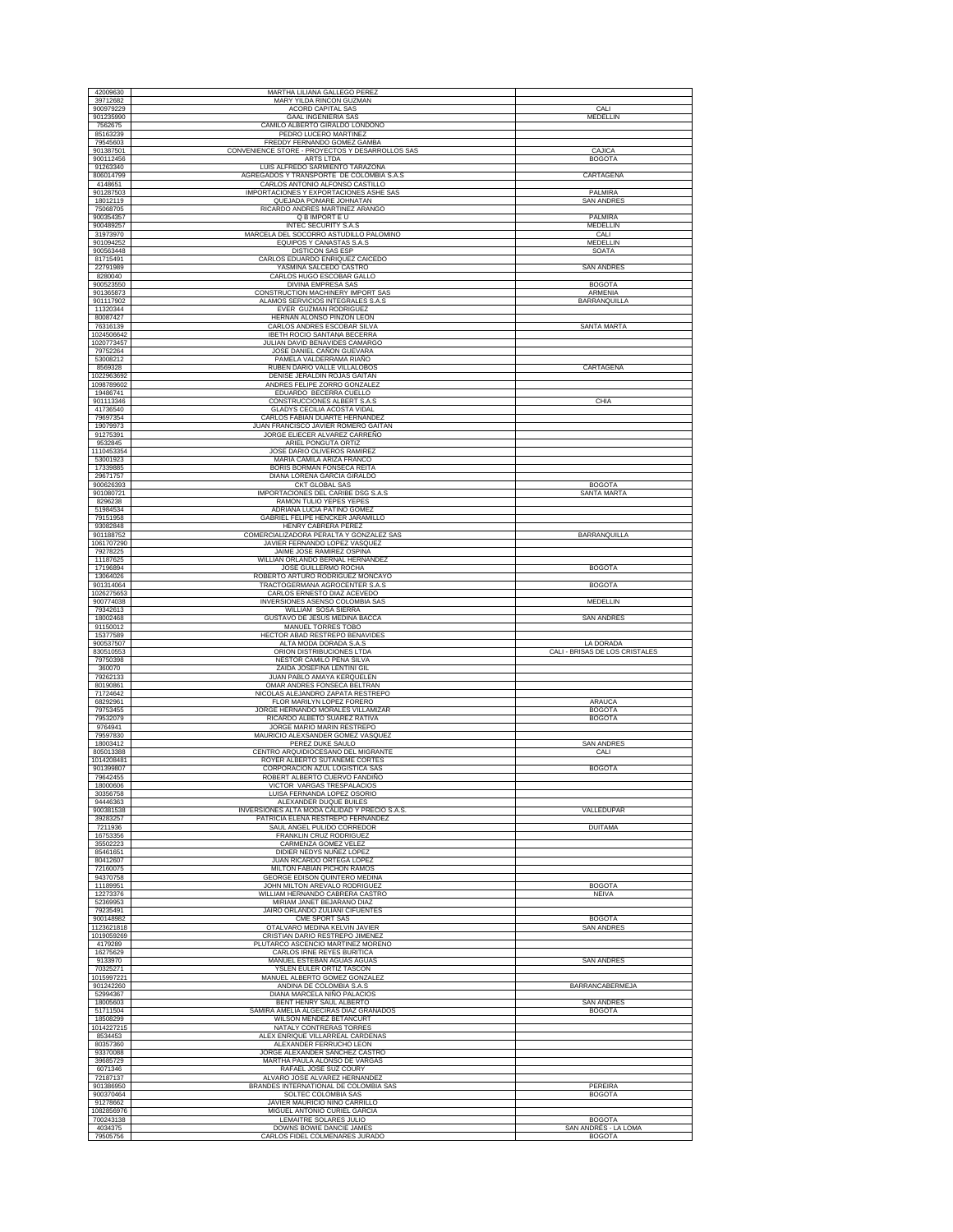| 39712682<br>MARY YILDA RINCON GUZMAN<br>ACORD CAPITAL SAS<br>900979229<br>901235990<br><b>GAAL INGENIERIA SAS</b><br>CAMILO ALBERTO GIRALDO LONDOÑO<br>7562675 |                                       |
|----------------------------------------------------------------------------------------------------------------------------------------------------------------|---------------------------------------|
|                                                                                                                                                                | CALI                                  |
|                                                                                                                                                                | MEDELLIN                              |
| 85163239<br>PEDRO LUCERO MARTINEZ                                                                                                                              |                                       |
| 79545603<br>FREDDY FERNANDO GOMEZ GAMBA                                                                                                                        |                                       |
| 901387501<br>CONVENIENCE STORE - PROYECTOS Y DESARROLLOS SAS                                                                                                   | CAJICA                                |
| 900112456<br>ARTS LTDA<br>LUIS ALFREDO SARMIENTO TARAZONA<br>91263340                                                                                          | <b>BOGOTA</b>                         |
| 806014799<br>AGREGADOS Y TRANSPORTE DE COLOMBIA S.A.S                                                                                                          | CARTAGENA                             |
| 4148651<br>CARLOS ANTONIO ALFONSO CASTILLO<br>901287503<br>IMPORTACIONES Y EXPORTACIONES ASHE SAS                                                              | PALMIRA                               |
| 18012119<br>QUEJADA POMARE JOHNATAN                                                                                                                            | <b>SAN ANDRES</b>                     |
| 75068705<br>RICARDO ANDRES MARTINEZ ARANGO<br>900354357<br>Q B IMPORT E U                                                                                      | PALMIRA                               |
| 900489257<br>INTEC SECURITY S.A.S                                                                                                                              | MEDELLIN                              |
| 31973970<br>MARCELA DEL SOCORRO ASTUDILLO PALOMINO                                                                                                             | CALI                                  |
| 901094252<br>EQUIPOS Y CANASTAS S.A.S<br><b>DISTICON SAS ESP</b><br>900563448                                                                                  | MEDELLIN<br>SOATA                     |
| 81715491<br>CARLOS EDUARDO ENRIQUEZ CAICEDO                                                                                                                    |                                       |
| YASMINA SALCEDO CASTRO<br>22791989<br>8280040<br>CARLOS HUGO ESCOBAR GALLO                                                                                     | <b>SAN ANDRES</b>                     |
| 900523550<br>DIVINA EMPRESA SAS                                                                                                                                | <b>BOGOTA</b>                         |
| 901365873<br>CONSTRUCTION MACHINERY IMPORT SAS<br>901117902<br>ALAMOS SERVICIOS INTEGRALES S.A.S                                                               | <b>ARMENIA</b><br>BARRANQUILLA        |
| 11320344<br>EVER GUZMAN RODRIGUEZ                                                                                                                              |                                       |
| 80087427<br>HERNAN ALONSO PINZON LEON                                                                                                                          |                                       |
| CARLOS ANDRES ESCOBAR SILVA<br>76316139<br>1024506642<br>IBETH ROCIO SANTANA BECERRA                                                                           | SANTA MARTA                           |
| 1020773457<br>JULIAN DAVID BENAVIDES CAMARGO                                                                                                                   |                                       |
| 79752264<br>JOSE DANIEL CAÑON GUEVARA<br>53008212<br>PAMELA VALDERRAMA RIAÑO                                                                                   |                                       |
| RUBEN DARIO VALLE VILLALOBOS<br>8569328                                                                                                                        | CARTAGENA                             |
| DENISE JERALDIN ROJAS GAITAN<br>1022963692<br>1098789602<br>ANDRES FELIPE ZORRO GONZALEZ                                                                       |                                       |
| 19486741<br>EDUARDO BECERRA CUELLO                                                                                                                             |                                       |
| 901113346<br>CONSTRUCCIONES ALBERT S.A.S<br><b>GLADYS CECILIA ACOSTA VIDAL</b><br>41736540                                                                     | CHIA                                  |
| 79697354<br>CARLOS FABIAN DUARTE HERNANDEZ                                                                                                                     |                                       |
| JUAN FRANCISCO JAVIER ROMERO GAITAN<br>19079973<br>91275391<br>JORGE ELIECER ALVAREZ CARREÑO                                                                   |                                       |
| 9532845<br>ARIEL PONGUTA ORTIZ                                                                                                                                 |                                       |
| 1110453354<br>JOSE DARIO OLIVEROS RAMIREZ                                                                                                                      |                                       |
| 53001923<br>MARIA CAMILA ARIZA FRANCO<br>17339885<br>BORIS BORMAN FONSECA REITA                                                                                |                                       |
| DIANA LORENA GARCIA GIRALDO<br>29671757                                                                                                                        |                                       |
| 900626393<br>CKT GLOBAL SAS<br>901080721<br>IMPORTACIONES DEL CARIBE DSG S.A.S                                                                                 | <b>BOGOTA</b><br>SANTA MARTA          |
| 8296238<br>RAMON TULIO YEPES YEPES                                                                                                                             |                                       |
| 51984534<br>ADRIANA LUCIA PATIÑO GOMEZ<br>79151958<br>GABRIEL FELIPE HENCKER JARAMILLO                                                                         |                                       |
| HENRY CABRERA PEREZ<br>93082848                                                                                                                                |                                       |
| COMERCIALIZADORA PERALTA Y GONZALEZ SAS<br>901188752                                                                                                           | <b>BARRANQUILLA</b>                   |
| 1061707290<br>JAVIER FERNANDO LOPEZ VASQUEZ<br>79278225<br>JAIME JOSE RAMIREZ OSPINA                                                                           |                                       |
| 11187625<br>WILLIAN ORLANDO BERNAL HERNANDEZ                                                                                                                   |                                       |
| JOSE GUILLERMO ROCHA<br>17196894<br>ROBERTO ARTURO RODRIGUEZ MONCAYO<br>13064026                                                                               | <b>BOGOTA</b>                         |
| TRACTOGERMANA AGROCENTER S.A.S<br>901314064                                                                                                                    | <b>BOGOTA</b>                         |
| CARLOS ERNESTO DIAZ ACEVEDO<br>1026275653<br>900774038<br>INVERSIONES ASENSO COLOMBIA SAS                                                                      | MEDELLIN                              |
| WILLIAM SOSA SIERRA<br>79342613                                                                                                                                |                                       |
| 18002468<br>GUSTAVO DE JESUS MEDINA BACCA                                                                                                                      | <b>SAN ANDRES</b>                     |
|                                                                                                                                                                |                                       |
| 91150012<br>MANUEL TORRES TOBO<br>HECTOR ABAD RESTREPO BENAVIDES<br>15377589                                                                                   |                                       |
| 900537507<br>ALTA MODA DORADA S.A.S                                                                                                                            | LA DORADA                             |
| 830510553<br>ORION DISTRIBUCIONES LTDA<br>79750398<br>NESTOR CAMILO PEÑA SILVA                                                                                 | CALI - BRISAS DE LOS CRISTALES        |
| 360070<br>ZAIDA JOSEFINA LENTINI GIL                                                                                                                           |                                       |
| JUAN PABLO AMAYA KERQUELEN<br>79262133                                                                                                                         |                                       |
| 80190861<br>OMAR ANDRES FONSECA BELTRAN<br>NICOLAS ALEJANDRO ZAPATA RESTREPO<br>71724642                                                                       |                                       |
| FLOR MARILYN LOPEZ FORERO<br>68292961                                                                                                                          | ARAUCA                                |
| 79753455<br>JORGE HERNANDO MORALES VILLAMIZAR<br>79532079<br>RICARDO ALBETO SUAREZ RATIVA                                                                      | <b>BOGOTA</b><br><b>BOGOTA</b>        |
| 9764941<br>JORGE MARIO MARIN RESTREPO                                                                                                                          |                                       |
| 79597830<br>MAURICIO ALEXSANDER GOMEZ VASQUEZ<br>PEREZ DUKE SAULO<br>18003412                                                                                  | <b>SAN ANDRES</b>                     |
| 805013388<br>CENTRO ARQUIDIOCESANO DEL MIGRANTE                                                                                                                | CALI                                  |
| 1014208481<br>ROYER ALBERTO SUTANEME CORTES<br>CORPORACION AZUL LOGISTICA SAS<br>901399807                                                                     | <b>BOGOTA</b>                         |
| 79642455<br>ROBERT ALBERTO CUERVO FANDIÑO                                                                                                                      |                                       |
| 18000606<br>VICTOR VARGAS TRESPALACIOS<br>LUISA FERNANDA LOPEZ OSORIO<br>30356758                                                                              |                                       |
| ALEXANDER DUQUE BUILES<br>94446363                                                                                                                             |                                       |
| 900381538<br>INVERSIONES ALTA MODA CALIDAD Y PRECIO S.A.S<br>39283257<br>PATRICIA ELENA RESTREPO FERNANDEZ                                                     | VALLEDUPAR                            |
| 7211936<br>SAUL ANGEL PULIDO CORREDOR                                                                                                                          | <b>DUITAMA</b>                        |
| 16753356<br>FRANKLIN CRUZ RODRIGUEZ<br>35502223<br>CARMENZA GOMEZ VELEZ                                                                                        |                                       |
| DIDIER NEDYS NUÑEZ LOPEZ<br>85461651                                                                                                                           |                                       |
| JUAN RICARDO ORTEGA LOPEZ<br>80412607<br>72160075<br>MILTON FABIAN PICHON RAMOS                                                                                |                                       |
| 94370758<br>GEORGE EDISON QUINTERO MEDINA                                                                                                                      |                                       |
| 11189951<br>JOHN MILTON AREVALO RODRIGUEZ<br>12273376<br>WILLIAM HERNANDO CABRERA CASTRO                                                                       | <b>BOGOTA</b><br><b>NEIVA</b>         |
| 52369953<br>MIRIAM JANET BEJARANO DIAZ                                                                                                                         |                                       |
| 79235491<br>JAIRO ORLANDO ZULIANI CIFUENTES                                                                                                                    |                                       |
| 900148982<br>CME SPORT SAS<br>OTALVARO MEDINA KELVIN JAVIER<br>1123621818                                                                                      | <b>BOGOTA</b><br><b>SAN ANDRES</b>    |
| 1019059269<br>CRISTIAN DARIO RESTREPO JIMENEZ                                                                                                                  |                                       |
| PLUTARCO ASCENCIO MARTINEZ MORENO<br>4179289<br>16275629<br>CARLOS IRNE REYES BURITICA                                                                         |                                       |
| 9133970<br>MANUEL ESTEBAN AGUAS AGUAS                                                                                                                          | <b>SAN ANDRES</b>                     |
| 70325271<br>YSLEN EULER ORTIZ TASCON<br>1015997221<br>MANUEL ALBERTO GOMEZ GONZALEZ                                                                            |                                       |
| 901242260<br>ANDINA DE COLOMBIA S.A.S                                                                                                                          | <b>BARRANCABERMEJA</b>                |
| 52994367<br>DIANA MARCELA NIÑO PALACIOS<br>18005603                                                                                                            | <b>SAN ANDRES</b>                     |
| BENT HENRY SAUL ALBERTO<br>SAMIRA AMELIA ALGECIRAS DIAZ GRANADOS<br>51711504                                                                                   | <b>BOGOTA</b>                         |
| 18508299<br>WILSON MENDEZ BETANCURT<br>1014227215<br>NATALY CONTRERAS TORRES                                                                                   |                                       |
| 8534453<br>ALEX ENRIQUE VILLARREAL CARDENAS                                                                                                                    |                                       |
| 80357360<br>ALEXANDER FERRUCHO LEON                                                                                                                            |                                       |
| 93370088<br>JORGE ALEXANDER SANCHEZ CASTRO<br>39685729<br>MARTHA PAULA ALONSO DE VARGAS                                                                        |                                       |
| 6071346<br>RAFAEL JOSE SUZ COURY                                                                                                                               |                                       |
| 72187137<br>ALVARO JOSE ALVAREZ HERNANDEZ<br>901386950<br>BRANDES INTERNATIONAL DE COLOMBIA SAS                                                                | <b>PEREIRA</b>                        |
| 900370464<br>SOLTEC COLOMBIA SAS                                                                                                                               | <b>BOGOTA</b>                         |
| 91278662<br>JAVIER MAURICIO NIÑO CARRILLO<br>1082856976<br>MIGUEL ANTONIO CURIEL GARCIA                                                                        |                                       |
| 700243138<br>LEMAITRE SOLARES JULIO<br>4034375<br>DOWNS BOWIE DANCIE JAMES                                                                                     | <b>BOGOTA</b><br>SAN ANDRÉS - LA LOMA |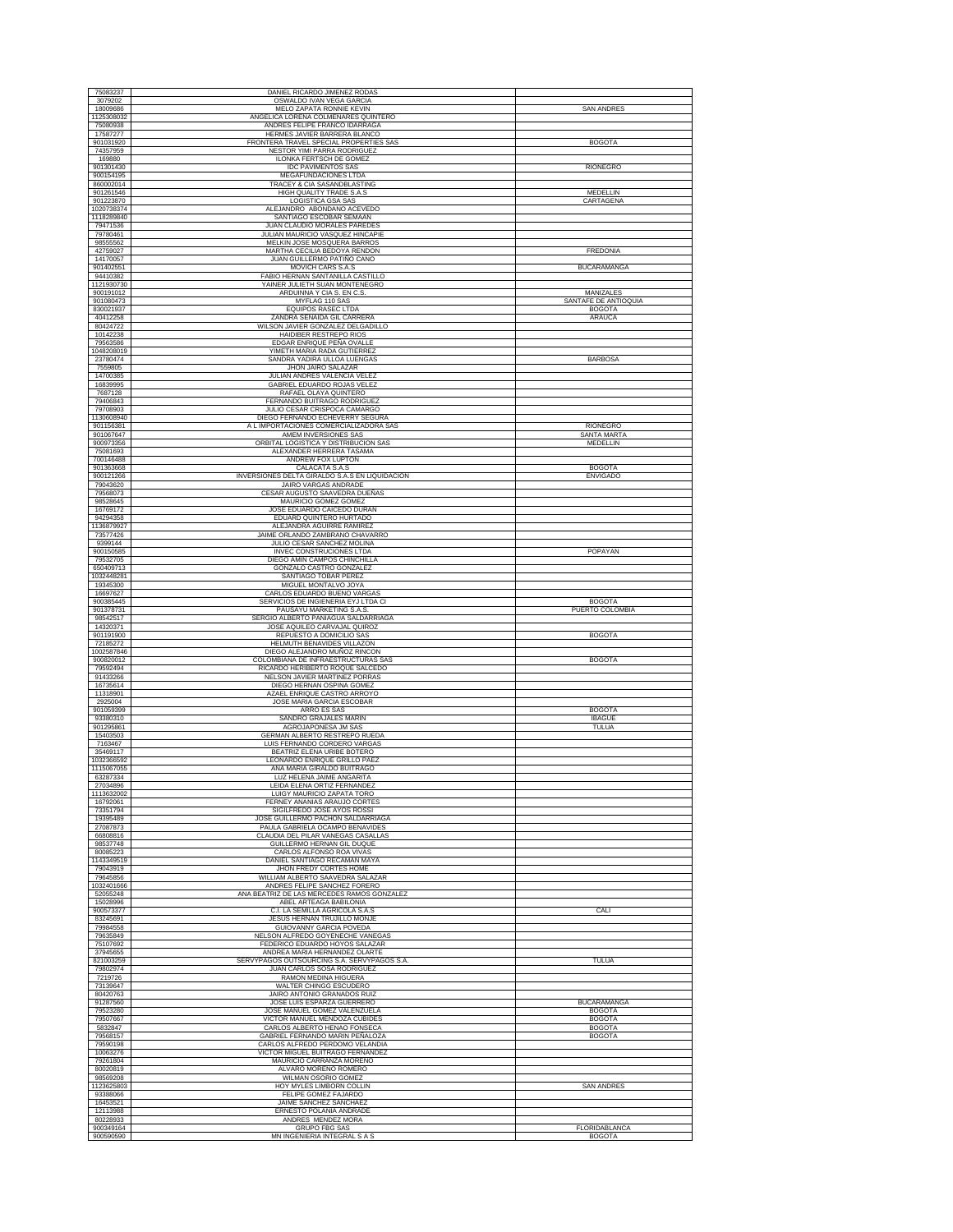| 75083237                 | DANIEL RICARDO JIMENEZ RODAS                                           |                                       |
|--------------------------|------------------------------------------------------------------------|---------------------------------------|
| 3079202                  | OSWALDO IVAN VEGA GARCIA                                               |                                       |
| 18009686<br>1125308032   | MELO ZAPATA RONNIE KEVIN<br>ANGELICA LORENA COLMENARES QUINTERO        | <b>SAN ANDRES</b>                     |
| 75080938                 | ANDRES FELIPE FRANCO IDARRAGA                                          |                                       |
| 17587277                 | HERMES JAVIER BARRERA BLANCO<br>FRONTERA TRAVEL SPECIAL PROPERTIES SAS | <b>BOGOTA</b>                         |
| 901031920<br>74357959    | <b>NESTOR YIMI PARRA RODRIGUEZ</b>                                     |                                       |
| 169880<br>901301430      | ILONKA FERTSCH DE GOMEZ                                                |                                       |
| 900154195                | <b>IDC PAVIMENTOS SAS</b><br>MEGAFUNDACIONES LTDA                      | <b>RIONEGRO</b>                       |
| 860002014                | TRACEY & CIA SASANDBLASTING                                            |                                       |
| 901261546<br>901223870   | HIGH QUALITY TRADE S.A.S<br>LOGISTICA GSA SAS                          | <b>MEDELLIN</b><br>CARTAGENA          |
| 1020738374               | ALEJANDRO ABONDANO ACEVEDO                                             |                                       |
| 1118289840<br>79471536   | SANTIAGO ESCOBAR SEMAAN<br>JUAN CLAUDIO MORALES PAREDES                |                                       |
| 79780461                 | JULIAN MAURICIO VASQUEZ HINCAPIE                                       |                                       |
| 98555562<br>42759027     | MELKIN JOSE MOSQUERA BARROS<br>MARTHA CECILIA BEDOYA RENDON            | FREDONIA                              |
| 14170057                 | JUAN GUILLERMO PATIÑO CANO                                             |                                       |
| 901402551                | MOVICH CARS S.A.S<br>FABIO HERNAN SANTANILLA CASTILLO                  | <b>BUCARAMANGA</b>                    |
| 94410382<br>1121930730   | YAINER JULIETH SUAN MONTENEGRO                                         |                                       |
| 900191012                | ARDUINNA Y CIA S. EN C.S                                               | MANIZALES                             |
| 901080473<br>830021937   | MYFLAG 110 SAS<br><b>EQUIPOS RASEC LTDA</b>                            | SANTAFE DE ANTIOQUIA<br><b>BOGOTA</b> |
| 40412258                 | ZANDRA SENAIDA GIL CARRERA                                             | ARAUCA                                |
| 80424722<br>10142238     | WILSON JAVIER GONZALEZ DELGADILLO<br>HAIDIBER RESTREPO RIOS            |                                       |
| 79563586                 | EDGAR ENRIQUE PEÑA OVALLE                                              |                                       |
| 1048208019<br>23780474   | YIMETH MARIA RADA GUTIERREZ<br>SANDRA YADIRA ULLOA LUENGAS             | <b>BARBOSA</b>                        |
| 7559805                  | JHON JAIRO SALAZAR                                                     |                                       |
| 14700385                 | JULIAN ANDRES VALENCIA VELEZ                                           |                                       |
| 16839995<br>7687128      | GABRIEL EDUARDO ROJAS VELEZ<br>RAFAEL OLAYA QUINTERO                   |                                       |
| 79406843                 | FERNANDO BUITRAGO RODRIGUEZ                                            |                                       |
| 79708903<br>1130608940   | JULIO CESAR CRISPOCA CAMARGO<br>DIEGO FERNANDO ECHEVERRY SEGURA        |                                       |
| 901156381                | A L IMPORTACIONES COMERCIALIZADORA SAS                                 | RIONEGRO                              |
| 901067647<br>900973356   | AMEM INVERSIONES SAS<br>ORBITAL LOGISTICA Y DISTRIBUCION SAS           | <b>SANTA MARTA</b><br>MEDELLIN        |
| 75081693                 | ALEXANDER HERRERA TASAMA                                               |                                       |
| 700146488<br>901363668   | ANDREW FOX LUPTON<br><b>CALACATA S.A.S</b>                             | <b>BOGOTA</b>                         |
| 900121266                | INVERSIONES DELTA GIRALDO S.A.S EN LIQUIDACION                         | <b>ENVIGADO</b>                       |
| 79043620                 | <b>JAIRO VARGAS ANDRADE</b>                                            |                                       |
| 79568073<br>98528645     | CESAR AUGUSTO SAAVEDRA DUEÑAS<br>MAURICIO GOMEZ GOMEZ                  |                                       |
| 16769172                 | JOSE EDUARDO CAICEDO DURAN                                             |                                       |
| 94294358<br>1136879927   | EDUARD QUINTERO HURTADO<br>ALEJANDRA AGUIRRE RAMIREZ                   |                                       |
| 73577426                 | JAIME ORLANDO ZAMBRANO CHAVARRO                                        |                                       |
| 9399144<br>900150585     | JULIO CESAR SANCHEZ MOLINA<br>INVEC CONSTRUCIONES LTDA                 | POPAYAN                               |
| 79532705                 | DIEGO AMIN CAMPOS CHINCHILLA                                           |                                       |
| 650409713                | GONZALO CASTRO GONZALEZ                                                |                                       |
| 1032448281<br>19345300   | SANTIAGO TOBAR PEREZ<br>MIGUEL MONTALVO JOYA                           |                                       |
| 16697627                 | CARLOS EDUARDO BUENO VARGAS                                            |                                       |
| 900385445<br>901378731   | SERVICIOS DE INGIENERIA EYJ LTDA CI<br>PAUSAYU MARKETING S.A.S         | <b>BOGOTA</b><br>PUERTO COLOMBIA      |
| 98542517                 | SERGIO ALBERTO PANIAGUA SALDARRIAGA                                    |                                       |
| 14320371<br>901191900    | JOSE AQUILEO CARVAJAL QUIROZ<br>REPUESTO A DOMICILIO SAS               | <b>BOGOTA</b>                         |
| 72185272                 | HELMUTH BENAVIDES VILLAZON                                             |                                       |
| 1002587846<br>900820012  | DIEGO ALEJANDRO MUÑOZ RINCON<br>COLOMBIANA DE INFRAESTRUCTURAS SAS     | <b>BOGOTA</b>                         |
| 79592494                 | RICARDO HERIBERTO ROQUE SALCEDO                                        |                                       |
| 91433266<br>16735614     | NELSON JAVIER MARTINEZ PORRAS<br>DIEGO HERNAN OSPINA GOMEZ             |                                       |
| 11318901                 | AZAEL ENRIQUE CASTRO ARROYO                                            |                                       |
| 2925004                  | JOSE MARIA GARCIA ESCOBAR                                              |                                       |
| 901059399<br>93380310    | ARRO ES SAS<br>SANDRO GRAJALES MARIN                                   | <b>BOGOTA</b><br><b>IBAGUE</b>        |
| 901295861                | AGROJAPONESA JM SAS                                                    | TULUA                                 |
| 15403503<br>7163467      | GERMAN ALBERTO RESTREPO RUEDA<br>LUIS FERNANDO CORDERO VARGAS          |                                       |
| 35469117                 | BEATRIZ ELENA URIBE BOTERO                                             |                                       |
| 1032366592<br>1115067055 | LEONARDO ENRIQUE GRILLO PAEZ<br>ANA MARIA GIRALDO BUITRAGO             |                                       |
| 63287334                 | LUZ HELENA JAIME ANGARITA                                              |                                       |
| 27034896<br>1113632002   | LEIDA ELENA ORTIZ FERNANDEZ<br>LUIGY MAURICIO ZAPATA TORO              |                                       |
| 16792061                 | FERNEY ANANIAS ARAUJO CORTES                                           |                                       |
| 73351794<br>19395489     | SIGILFREDO JOSE AYOS ROSSI<br>JOSE GUILLERMO PACHON SALDARRIAGA        |                                       |
| 27087873                 | PAULA GABRIELA OCAMPO BENAVIDES                                        |                                       |
| 66808816<br>98537748     | CLAUDIA DEL PILAR VANEGAS CASALLAS<br>GUILLERMO HERNAN GIL DUOUE       |                                       |
| 80085223                 | CARLOS ALFONSO ROA VIVAS                                               |                                       |
| 1143349519<br>79043919   | DANIEL SANTIAGO RECAMAN MAYA<br>JHON FREDY CORTES HOME                 |                                       |
|                          |                                                                        |                                       |
| 79645856                 | WILLIAM ALBERTO SAAVEDRA SALAZAR                                       |                                       |
| 1032401666               | ANDRES FELIPE SANCHEZ FORERO                                           |                                       |
| 52055248<br>15028996     | ANA BEATRIZ DE LAS MERCEDES RAMOS GONZALEZ<br>ABEL ARTEAGA BABILONIA   |                                       |
| 900573377                | C.I. LA SEMILLA AGRICOLA S.A.S                                         | CALI                                  |
| 83245691<br>79984558     | JESUS HERNAN TRUJILLO MONJE<br><b>GUIOVANNY GARCIA POVEDA</b>          |                                       |
| 79635849                 | NELSON ALFREDO GOYENECHE VANEGAS                                       |                                       |
| 75107692<br>37945655     | FEDERICO EDUARDO HOYOS SALAZAR<br>ANDREA MARIA HERNANDEZ OLARTE        |                                       |
| 821003259                | SERVYPAGOS OUTSOURCING S.A. SERVYPAGOS S.A.                            | TULUA                                 |
| 79802974                 | JUAN CARLOS SOSA RODRIGUEZ                                             |                                       |
| 7219726<br>73139647      | RAMON MEDINA HIGUERA<br>WALTER CHINGG ESCUDERO                         |                                       |
| 80420763<br>91287560     | JAIRO ANTONIO GRANADOS RUIZ<br>JOSE LUIS ESPARZA GUERRERO              | <b>BUCARAMANGA</b>                    |
| 79523280                 | JOSE MANUEL GOMEZ VALENZUELA                                           | <b>BOGOTA</b>                         |
| 79507667                 | VICTOR MANUEL MENDOZA CUBIDES                                          | <b>BOGOTA</b>                         |
| 5832847<br>79568157      | CARLOS ALBERTO HENAO FONSECA<br>GABRIEL FERNANDO MARIN PEÑALOZA        | <b>BOGOTA</b><br><b>BOGOTA</b>        |
| 79590198                 | CARLOS ALFREDO PERDOMO VELANDIA                                        |                                       |
| 10063276<br>79261804     | VICTOR MIGUEL BUITRAGO FERNANDEZ<br>MAURICIO CARRANZA MORENO           |                                       |
| 80020819                 | ALVARO MORENO ROMERO                                                   |                                       |
| 98569208<br>1123625803   | WILMAN OSORIO GOMEZ<br>HOY MYLES LIMBORN COLLIN                        | <b>SAN ANDRES</b>                     |
| 93388066                 | FELIPE GOMEZ FAJARDO                                                   |                                       |
| 16453521<br>12113988     | JAIME SANCHEZ SANCHAEZ<br>ERNESTO POLANIA ANDRADE                      |                                       |
| 80228933<br>900349164    | ANDRES MENDEZ MORA<br><b>GRUPO FBG SAS</b>                             | FLORIDABLANCA                         |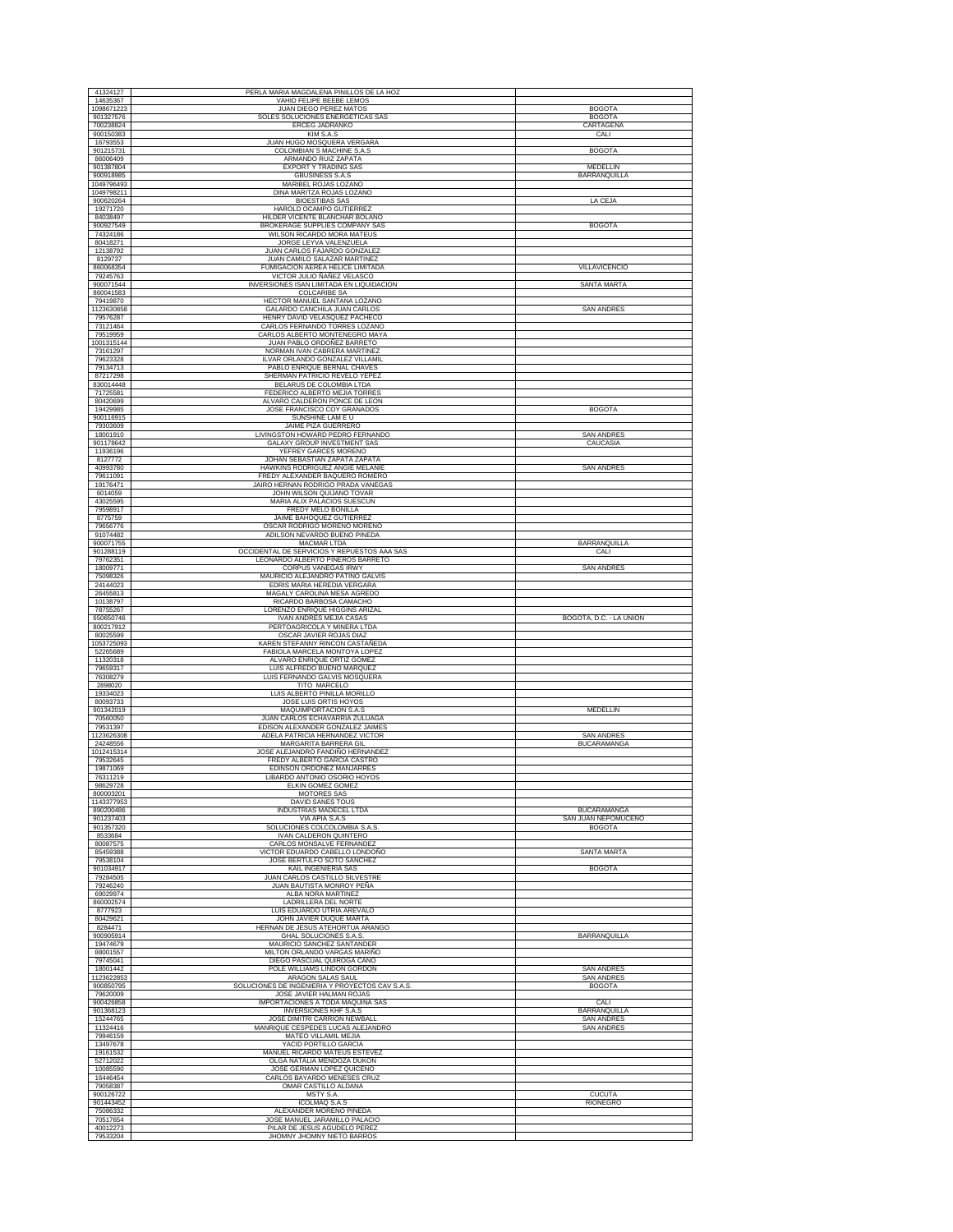| 41324127                | PERLA MARIA MAGDALENA PINILLOS DE LA HOZ                                  |                                      |
|-------------------------|---------------------------------------------------------------------------|--------------------------------------|
| 14635367<br>1098671223  | VAHID FELIPE BEEBE LEMOS<br>JUAN DIEGO PEREZ MATOS                        | <b>BOGOTA</b>                        |
| 901327576               | SOLES SOLUCIONES ENERGETICAS SAS                                          | <b>BOGOTA</b>                        |
| 700238824<br>900150383  | ERCEG JADRANKO<br>KIM S.A.S                                               | CARTAGENA<br>CALI                    |
| 16793553                | JUAN HUGO MOSQUERA VERGARA                                                |                                      |
| 901215731<br>86006409   | COLOMBIAN'S MACHINE S.A.S<br>ARMANDO RUIZ ZAPATA                          | <b>BOGOTA</b>                        |
| 901387804               | <b>EXPORT Y TRADING SAS</b>                                               | MEDELLIN                             |
| 900918985<br>1049796493 | <b>GBUSINESS S.A.S</b><br>MARIBEL ROJAS LOZANO                            | <b>BARRANQUILLA</b>                  |
| 1049798211              | DINA MARITZA ROJAS LOZANO                                                 |                                      |
| 900620264<br>19271720   | <b>BIOESTIBAS SAS</b><br>HAROLD OCAMPO GUTIERREZ                          | LA CEJA                              |
| 84038497                | HILDER VICENTE BLANCHAR BOLAÑO                                            |                                      |
| 900927549<br>74324186   | BROKERAGE SUPPLIES COMPANY SAS<br>WILSON RICARDO MORA MATEUS              | <b>BOGOTA</b>                        |
| 80418271                | JORGE LEYVA VALENZUELA                                                    |                                      |
| 12138792<br>8129737     | JUAN CARLOS FAJARDO GONZALEZ<br>JUAN CAMILO SALAZAR MARTINEZ              |                                      |
| 860068354               | FUMIGACION AEREA HELICE LIMITADA                                          | VILLAVICENCIO                        |
| 79245763<br>900071544   | VICTOR JULIO ÑAÑEZ VELASCO<br>INVERSIONES ISAN LIMITADA EN LIQUIDACION    | SANTA MARTA                          |
| 860041583               | <b>COLCARIBE SA</b>                                                       |                                      |
| 79419870<br>1123630858  | HECTOR MANUEL SANTANA LOZANO<br>GALARDO CANCHILA JUAN CARLOS              | <b>SAN ANDRES</b>                    |
| 79576287                | HENRY DAVID VELASQUEZ PACHECO                                             |                                      |
| 73121464<br>79519959    | CARLOS FERNANDO TORRES LOZANO<br>CARLOS ALBERTO MONTENEGRO MAYA           |                                      |
| 1001315144              | JUAN PABLO ORDOÑEZ BARRETO                                                |                                      |
| 73161297                | NORMAN IVAN CABRERA MARTINEZ                                              |                                      |
| 79623328<br>79134713    | ILVAR ORLANDO GONZALEZ VILLAMIL<br>PABLO ENRIQUE BERNAL CHAVES            |                                      |
| 87217298                | SHERMAN PATRICIO REVELO YEPEZ                                             |                                      |
| 830014448<br>71725581   | BELARUS DE COLOMBIA LTDA<br>FEDERICO ALBERTO MEJIA TORRES                 |                                      |
| 80420699                | ALVARO CALDERON PONCE DE LEON                                             |                                      |
| 19429985<br>900116915   | JOSE FRANCISCO COY GRANADOS<br>SUNSHINE LAM E U                           | <b>BOGOTA</b>                        |
| 79303609                | JAIME PIZA GUERRERO                                                       |                                      |
| 18001910<br>901178642   | LIVINGSTON HOWARD PEDRO FERNANDO<br><b>GALAXY GROUP INVESTMENT SAS</b>    | <b>SAN ANDRES</b><br>CAUCASIA        |
| 11936196                | YEFREY GARCES MORENO                                                      |                                      |
| 8127772<br>40993780     | JOHAN SEBASTIAN ZAPATA ZAPATA<br>HAWKINS RODRIGUEZ ANGIE MELANIE          | <b>SAN ANDRES</b>                    |
| 79611091                | FREDY ALEXANDER BAQUERO ROMERO                                            |                                      |
| 19176471<br>6014059     | JAIRO HERNAN RODRIGO PRADA VANEGAS<br>JOHN WILSON QUIJANO TOVAR           |                                      |
| 43025595                | MARIA ALIX PALACIOS SUESCUN                                               |                                      |
| 79598917<br>8775759     | FREDY MELO BONILLA<br>JAIME BAHOQUEZ GUTIERREZ                            |                                      |
| 79656776                | OSCAR RODRIGO MORENO MORENO                                               |                                      |
| 91074482<br>900071755   | ADILSON NEVARDO BUENO PINEDA<br>MACMAR LTDA                               | BARRANQUILLA                         |
| 901288119               | OCCIDENTAL DE SERVICIOS Y REPUESTOS AAA SAS                               | CALI                                 |
| 79762351<br>18009771    | LEONARDO ALBERTO PIÑEROS BARRETO<br>CORPUS VANEGAS IRWY                   | <b>SAN ANDRES</b>                    |
| 75098326                | MAURICIO ALEJANDRO PATIÑO GALVIS                                          |                                      |
| 24144023<br>26455813    | EDRIS MARIA HEREDIA VERGARA<br>MAGALY CAROLINA MESA AGREDO                |                                      |
| 10138797                | RICARDO BARBOSA CAMACHO                                                   |                                      |
| 78755267<br>650650746   | LORENZO ENRIQUE HIGGINS ARIZAL<br><b>IVAN ANDRES MEJIA CASAS</b>          | BOGOTÁ, D.C. - LA UNIÓN              |
| 800217912               | PERTOAGRICOLA Y MINERA LTDA                                               |                                      |
| 80025599                | OSCAR JAVIER ROJAS DIAZ                                                   |                                      |
| 1053725093<br>52265689  | KAREN STEFANNY RINCON CASTAÑEDA<br>FABIOLA MARCELA MONTOYA LOPEZ          |                                      |
| 11320318                | ALVARO ENRIQUE ORTIZ GOMEZ                                                |                                      |
| 79659317<br>76308279    | LUIS ALFREDO BUENO MARQUEZ<br>LUIS FERNANDO GALVIS MOSQUERA               |                                      |
| 2898020                 | TITO MARCELO                                                              |                                      |
| 19334023<br>80093733    | LUIS ALBERTO PINILLA MORILLO<br>JOSE LUIS ORTIS HOYOS                     |                                      |
| 901342019               | MAQUIMPORTACION S.A.S                                                     | MEDELLIN                             |
| 70560050<br>79531397    | <b>JUAN CARLOS ECHAVARRIA ZULUAGA</b><br>EDISON ALEXANDER GONZALEZ JAIMES |                                      |
| 1123626308              | ADELA PATRICIA HERNANDEZ VICTOR                                           | <b>SAN ANDRES</b>                    |
| 24248556<br>1012415314  | MARGARITA BARRERA GIL<br>JOSE ALEJANDRO FANDIÑO HERNANDEZ                 | <b>BUCARAMANGA</b>                   |
| 79532645                | FREDY ALBERTO GARCIA CASTRO                                               |                                      |
| 19871069<br>76311219    | EDINSON ORDOÑEZ MANJARRES<br>LIBARDO ANTONIO OSORIO HOYOS                 |                                      |
| 98629728                | ELKIN GOMEZ GOMEZ                                                         |                                      |
| 800003201<br>1143377953 | MOTORES SAS<br>DAVID SANES TOUS                                           |                                      |
| 890200486               | INDUSTRIAS MADECEL LTDA                                                   | <b>BUCARAMANGA</b>                   |
| 901237403<br>901357320  | VIA APIA S.A.S<br>SOLUCIONES COLCOLOMBIA S.A.S                            | SAN JUAN NEPOMUCENO<br><b>BOGOTA</b> |
| 8533684                 | IVAN CALDERON QUINTERO                                                    |                                      |
| 80087575<br>85459388    | CARLOS MONSALVE FERNANDEZ<br>VICTOR EDUARDO CABELLO LONDOÑO               | <b>SANTA MARTA</b>                   |
| 79538104<br>901034917   | JOSE BERTULFO SOTO SANCHEZ                                                |                                      |
| 79284505                | KAIL INGENIERIA SAS<br>JUAN CARLOS CASTILLO SILVESTRE                     | <b>BOGOTA</b>                        |
| 79246240                | JUAN BAUTISTA MONROY PEÑA                                                 |                                      |
| 69029974<br>860002574   | ALBA NORA MARTINEZ<br>LADRILLERA DEL NORTE                                |                                      |
| 8777923                 | LUIS EDUARDO UTRIA AREVALO                                                |                                      |
| 80429621<br>8284471     | JOHN JAVIER DUQUE MARTA<br>HERNAN DE JESUS ATEHORTUA ARANGO               |                                      |
| 900905914               | <b>GHAL SOLUCIONES S.A.S.</b>                                             | <b>BARRANQUILLA</b>                  |
| 19474679<br>88001557    | MAURICIO SANCHEZ SANTANDER<br>MILTON ORLANDO VARGAS MARIÑO                |                                      |
| 79745041                | DIEGO PASCUAL QUIROGA CANO                                                |                                      |
| 18001442<br>1123622853  | POLE WILLIAMS LINDON GORDON<br>ARAGON SALAS SAUL                          | <b>SAN ANDRES</b><br>SAN ANDRES      |
| 900850795               | SOLUCIONES DE INGENIERIA Y PROYECTOS CAV S.A.S.                           | <b>BOGOTA</b>                        |
| 79620009<br>900426858   | JOSE JAVIER HALMAN ROJAS<br>IMPORTACIONES A TODA MAQUINA SAS              | CALI                                 |
| 901368123               | <b>INVERSIONES KHF S.A.S</b>                                              | <b>BARRANQUILLA</b>                  |
| 15244765<br>11324416    | JOSE DIMITRI CARRION NEWBALL<br>MANRIQUE CESPEDES LUCAS ALEJANDRO         | SAN ANDRES<br><b>SAN ANDRES</b>      |
|                         |                                                                           |                                      |
| 79946159                | MATEO VILLAMIL MEJIA                                                      |                                      |
| 13497678                | YACID PORTILLO GARCIA                                                     |                                      |
| 19161532<br>52712022    | MANUEL RICARDO MATEUS ESTEVEZ<br>OLGA NATALIA MENDOZA DUKON               |                                      |
| 10085590                | JOSE GERMAN LOPEZ QUICENO                                                 |                                      |
| 16446454                | CARLOS BAYARDO MENESES CRUZ                                               |                                      |
| 79058387<br>900126722   | OMAR CASTILLO ALDANA<br>MSTY S.A.                                         | <b>CUCUTA</b>                        |
| 901443452<br>75086332   | <b>ICOLMAQ S.A.S</b><br>ALEXANDER MORENO PINEDA                           | RIONEGRO                             |
| 70517654<br>40012273    | JOSE MANUEL JARAMILLO PALACIO<br>PILAR DE JESUS AGUDELO PEREZ             |                                      |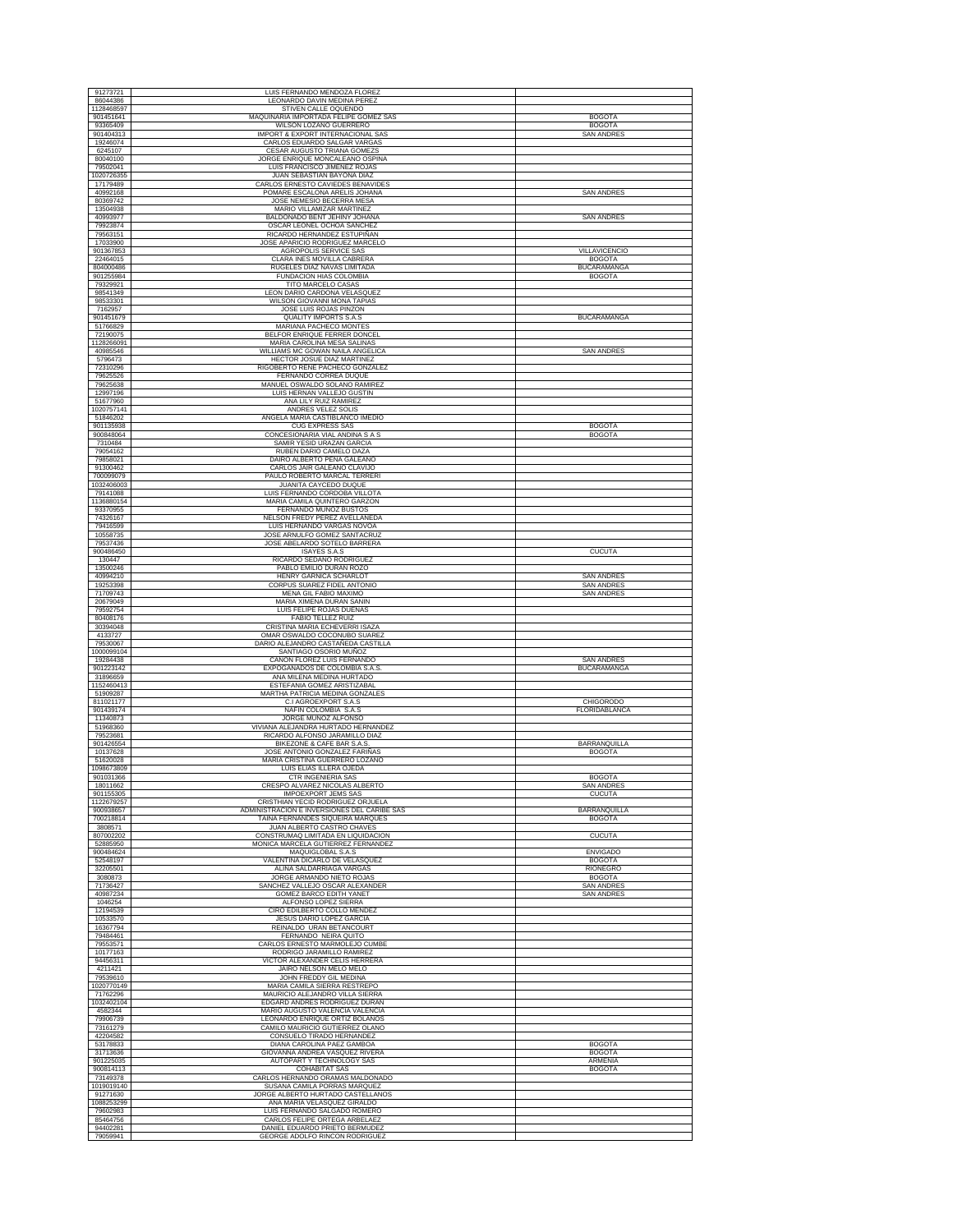| 91273721                         | LUIS FERNANDO MENDOZA FLOREZ                                                                      |                                         |
|----------------------------------|---------------------------------------------------------------------------------------------------|-----------------------------------------|
| 86044386<br>1128468597           | LEONARDO DAVIN MEDINA PEREZ<br>STIVEN CALLE OQUENDO                                               |                                         |
| 901451641                        | MAQUINARIA IMPORTADA FELIPE GOMEZ SAS                                                             | <b>BOGOTA</b>                           |
| 93365409<br>901404313            | WILSON LOZANO GUERRERO<br>IMPORT & EXPORT INTERNACIONAL SAS                                       | <b>BOGOTA</b><br><b>SAN ANDRES</b>      |
| 19246074                         | CARLOS EDUARDO SALGAR VARGAS                                                                      |                                         |
| 6245107<br>80040100              | CESAR AUGUSTO TRIANA GOMEZS                                                                       |                                         |
| 79502041                         | JORGE ENRIQUE MONCALEANO OSPINA<br>LUIS FRANCISCO JIMENEZ ROJAS                                   |                                         |
| 1020726355<br>17179489           | JUAN SEBASTIAN BAYONA DIAZ                                                                        |                                         |
| 40992168                         | CARLOS ERNESTO CAVIEDES BENAVIDES<br>POMARE ESCALONA ARELIS JOHANA                                | SAN ANDRES                              |
| 80369742                         | JOSE NEMESIO BECERRA MESA                                                                         |                                         |
| 13504938<br>40993977             | MARIO VILLAMIZAR MARTINEZ<br>BALDONADO BENT JEHINY JOHANA                                         | <b>SAN ANDRES</b>                       |
| 79923874                         | OSCAR LEONEL OCHOA SANCHEZ                                                                        |                                         |
| 79563151<br>17033900             | RICARDO HERNANDEZ ESTUPIÑAN<br>JOSE APARICIO RODRIGUEZ MARCELO                                    |                                         |
| 901367853                        | AGROPOLIS SERVICE SAS                                                                             | VILLAVICENCIO                           |
| 22464015<br>804000486            | CLARA INES MOVILLA CABRERA<br>RUGELES DIAZ NAVAS LIMITADA                                         | <b>BOGOTA</b><br><b>BUCARAMANGA</b>     |
| 901255984                        | FUNDACION HIAS COLOMBIA                                                                           | <b>BOGOTA</b>                           |
| 79329921<br>98541349             | TITO MARCELO CASAS<br>LEON DARIO CARDONA VELASQUEZ                                                |                                         |
| 98533301                         | WILSON GIOVANNI MONA TAPIAS                                                                       |                                         |
| 7162957<br>901451679             | JOSE LUIS ROJAS PINZON<br>QUALITY IMPORTS S.A.S                                                   | <b>BUCARAMANGA</b>                      |
| 51766829                         | MARIANA PACHECO MONTE                                                                             |                                         |
| 72190075<br>1128266091           | BELFOR ENRIQUE FERRER DONCEL<br>MARIA CAROLINA MESA SALINAS                                       |                                         |
| 40985546                         | WILLIAMS MC GOWAN NAILA ANGELICA                                                                  | SAN ANDRES                              |
| 5796473<br>72310296              | HECTOR JOSUE DIAZ MARTINEZ<br>RIGOBERTO RENE PACHECO GONZALEZ                                     |                                         |
| 79625526                         | FERNANDO CORREA DUQUE                                                                             |                                         |
| 79625638<br>12997196             | MANUEL OSWALDO SOLANO RAMIREZ<br>LUIS HERNAN VALLEJO GUSTIN                                       |                                         |
| 51677960                         | ANA LILY RUIZ RAMIREZ                                                                             |                                         |
| 1020757141<br>51846202           | ANDRES VELEZ SOLIS<br>ANGELA MARIA CASTIBLANCO IMEDIO                                             |                                         |
| 901135938                        | <b>CUG EXPRESS SAS</b>                                                                            | <b>BOGOTA</b>                           |
| 900848064<br>7310484             | CONCESIONARIA VIAL ANDINA S A S<br>SAMIR YESID URAZAN GARCIA                                      | <b>BOGOTA</b>                           |
| 79054162                         | RUBEN DARIO CAMELO DAZA                                                                           |                                         |
| 79858021<br>91300462             | DAIRO ALBERTO PEÑA GALEANO<br>CARLOS JAIR GALEANO CLAVIJO                                         |                                         |
| 700099079                        | PAULO ROBERTO MARCAL TERRERI                                                                      |                                         |
| 1032406003<br>79141088           | JUANITA CAYCEDO DUQUE<br>LUIS FERNANDO CORDOBA VILLOTA                                            |                                         |
| 1136880154                       | MARIA CAMILA OUINTERO GARZON                                                                      |                                         |
| 93370955<br>74326167             | FERNANDO MUÑOZ BUSTOS<br>NELSON FREDY PEREZ AVELLANEDA                                            |                                         |
| 79416599                         | LUIS HERNANDO VARGAS NOVOA                                                                        |                                         |
| 10558735<br>79537436             | JOSE ARNULFO GOMEZ SANTACRUZ<br>JOSE ABELARDO SOTELO BARRERA                                      |                                         |
| 900486450                        | ISAYES S.A.S                                                                                      | <b>CUCUTA</b>                           |
| 130447<br>13500246               | RICARDO SEDANO RODRIGUEZ<br>PABLO EMILIO DURAN ROZO                                               |                                         |
| 40994210                         | HENRY GARNICA SCHARLOT                                                                            | <b>SAN ANDRES</b>                       |
| 19253398<br>71709743             | CORPUS SUAREZ FIDEL ANTONIO<br>MENA GIL FABIO MAXIMO                                              | <b>SAN ANDRES</b><br><b>SAN ANDRES</b>  |
| 20679049                         | MARIA XIMENA DURAN SANIN                                                                          |                                         |
| 79592754                         | LUIS FELIPE ROJAS DUEÑAS                                                                          |                                         |
|                                  |                                                                                                   |                                         |
| 80408176<br>30394048             | <b>FABIO TELLEZ RUIZ</b><br>CRISTINA MARIA ECHEVERRI ISAZA                                        |                                         |
| 4133727<br>79530067              | OMAR OSWALDO COCONUBO SUAREZ<br>DARIO ALEJANDRO CASTAÑEDA CASTILLA                                |                                         |
| 1000099104                       | SANTIAGO OSORIO MUÑOZ                                                                             |                                         |
| 19284438<br>901223142            | CAÑON FLOREZ LUIS FERNANDO<br>EXPOGANADOS DE COLOMBIA S.A.S.                                      | <b>SAN ANDRES</b><br><b>BUCARAMANGA</b> |
| 31896659                         | ANA MILENA MEDINA HURTADO                                                                         |                                         |
| 1152460413<br>51909287           | ESTEFANIA GOMEZ ARISTIZABAL<br>MARTHA PATRICIA MEDINA GONZALES                                    |                                         |
| 811021177                        | C.I AGROEXPORT S.A.S                                                                              | <b>CHIGORODO</b>                        |
| 901439174<br>11340873            | NAFIN COLOMBIA S.A.S<br>JORGE MUÑOZ ALFONSO                                                       | FLORIDABLANCA                           |
| 51968360                         | VIVIANA ALEJANDRA HURTADO HERNANDEZ                                                               |                                         |
| 79523681<br>901426554            | RICARDO ALFONSO JARAMILLO DIAZ<br>BIKEZONE & CAFE BAR S.A.S                                       | <b>BARRANQUILLA</b>                     |
| 10137628<br>51620028             | JOSE ANTONIO GONZALEZ FARIÑAS                                                                     | <b>BOGOTA</b>                           |
| 1098673809                       | MARIA CRISTINA GUERRERO LOZANO<br>LUIS ELIAS ILLERA OJEDA                                         |                                         |
| 901031366                        | <b>CTR INGENIERIA SAS</b>                                                                         | <b>BOGOTA</b>                           |
| 18011662<br>901155305            | CRESPO ALVAREZ NICOLAS ALBERTO<br><b>IMPOEXPORT JEMS SAS</b>                                      | SAN ANDRES<br><b>CUCUTA</b>             |
| 1122679257                       | CRISTHIAN YECID RODRIGUEZ ORJUELA                                                                 |                                         |
| 900938657<br>700218814           | ADMINISTRACION E INVERSIONES DEL CARIBE SAS<br>TAINA FERNANDES SIQUEIRA MARQUES                   | BARRANQUILLA<br><b>BOGOTA</b>           |
| 3808571                          | JUAN ALBERTO CASTRO CHAVES                                                                        |                                         |
| 807002202<br>52885950            | CONSTRUMAQ LIMITADA EN LIQUIDACION<br>MONICA MARCELA GUTIERREZ FERNANDEZ                          | <b>CUCUTA</b>                           |
| 900484624<br>52548197            | MAQUIGLOBAL S.A.S<br>VALENTINA DICARLO DE VELASQUEZ                                               | <b>ENVIGADO</b><br><b>BOGOTA</b>        |
| 32205501                         | ALINA SALDARRIAGA VARGAS                                                                          | RIONEGRO                                |
| 3080873<br>71736427              | JORGE ARMANDO NIETO ROJAS<br>SANCHEZ VALLEJO OSCAR ALEXANDER                                      | <b>BOGOTA</b><br><b>SAN ANDRES</b>      |
| 40987234                         | GOMEZ BARCO EDITH YANET                                                                           | <b>SAN ANDRES</b>                       |
| 1046254<br>12194539              | ALFONSO LOPEZ SIERRA<br>CIRO EDILBERTO COLLO MENDEZ                                               |                                         |
| 10533570                         | JESUS DARIO LOPEZ GARCIA                                                                          |                                         |
| 16367794<br>79484461             | REINALDO URAN BETANCOURT<br>FERNANDO NEIRA QUITO                                                  |                                         |
| 79553571                         | CARLOS ERNESTO MARMOLEJO CUMBE                                                                    |                                         |
| 10177163<br>94456311             | RODRIGO JARAMILLO RAMIREZ<br>VICTOR ALEXANDER CELIS HERRERA                                       |                                         |
| 4211421<br>79539610              | JAIRO NELSON MELO MELO<br>JOHN FREDDY GIL MEDINA                                                  |                                         |
| 1020770149                       | MARIA CAMILA SIERRA RESTREPO                                                                      |                                         |
| 71762296<br>1032402104           | MAURICIO ALEJANDRO VILLA SIERRA<br>EDGARD ANDRES RODRIGUEZ DURAN                                  |                                         |
| 4582344                          | MARIO AUGUSTO VALENCIA VALENCIA                                                                   |                                         |
| 79906739<br>73161279             | LEONARDO ENRIQUE ORTIZ BOLAÑOS<br>CAMILO MAURICIO GUTIERREZ OLANO                                 |                                         |
| 42204582                         | CONSUELO TIRADO HERNANDEZ                                                                         |                                         |
| 53178833                         | DIANA CAROLINA PAEZ GAMBOA                                                                        | <b>BOGOTA</b>                           |
| 31713636<br>901225035            | GIOVANNA ANDREA VASQUEZ RIVERA<br>AUTOPART Y TECHNOLOGY SAS                                       | <b>BOGOTA</b><br>ARMENIA                |
| 900814113<br>73149378            | <b>COHABITAT SAS</b><br>CARLOS HERNANDO ORAMAS MALDONADO                                          | <b>BOGOTA</b>                           |
| 1019019140                       | SUSANA CAMILA PORRAS MARQUEZ                                                                      |                                         |
| 91271630<br>1088253299           | JORGE ALBERTO HURTADO CASTELLANOS<br>ANA MARIA VELASQUEZ GIRALDO                                  |                                         |
| 79602983                         | LUIS FERNANDO SALGADO ROMERO                                                                      |                                         |
| 85464756<br>94402281<br>79059941 | CARLOS FELIPE ORTEGA ARBELAEZ<br>DANIEL EDUARDO PRIETO BERMUDEZ<br>GEORGE ADOLFO RINCON RODRIGUEZ |                                         |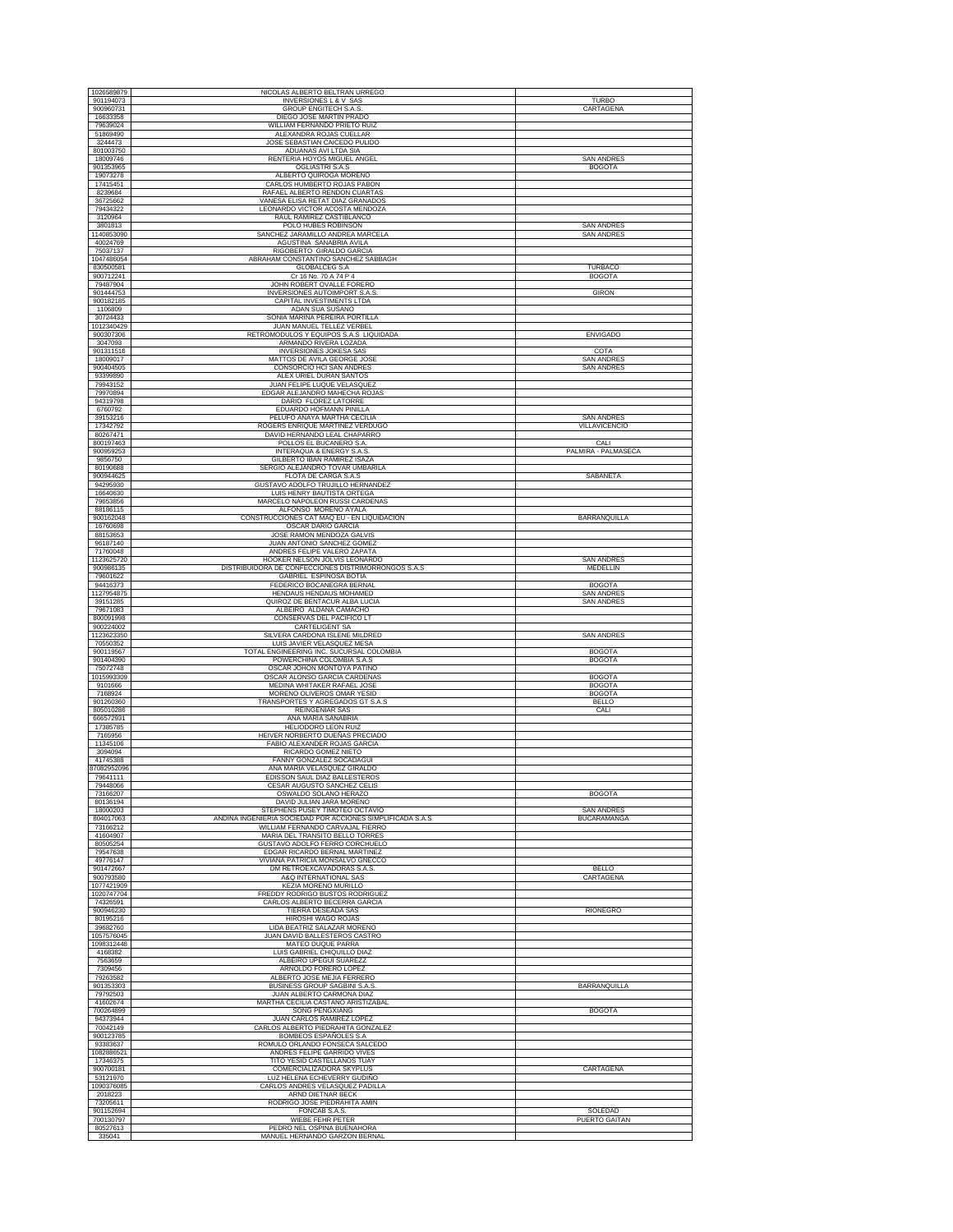| 1026589879              | NICOLAS ALBERTO BELTRAN URREGO                                                       |                                        |
|-------------------------|--------------------------------------------------------------------------------------|----------------------------------------|
| 901194073<br>900960731  | <b>INVERSIONES L &amp; V SAS</b><br>GROUP ENGITECH S.A.S                             | <b>TURBC</b><br>CARTAGENA              |
| 16633358                | DIEGO JOSE MARTIN PRADO                                                              |                                        |
| 79639024                | WILLIAM FERNANDO PRIETO RUIZ                                                         |                                        |
| 51869490<br>3244473     | ALEXANDRA ROJAS CUELLAR<br>JOSE SEBASTIAN CAICEDO PULIDO                             |                                        |
| 801003750               | ADUANAS AVI LTDA SIA                                                                 |                                        |
| 18009746<br>901353965   | RENTERIA HOYOS MIGUEL ANGEL<br><b>OGLIASTRI S.A.S</b>                                | <b>SAN ANDRES</b><br><b>BOGOTA</b>     |
| 19073278                | ALBERTO QUIROGA MORENO                                                               |                                        |
| 17415451<br>8239684     | CARLOS HUMBERTO ROJAS PABON<br>RAFAEL ALBERTO RENDON CUARTAS                         |                                        |
| 36725662                | VANESA ELISA RETAT DIAZ GRANADOS                                                     |                                        |
| 79434322<br>3120964     | LEONARDO VICTOR ACOSTA MENDOZA<br>RAUL RAMIREZ CASTIBLANCO                           |                                        |
| 3801813                 | POLO HUBES ROBINSON                                                                  | <b>SAN ANDRES</b>                      |
| 1140853090<br>40024769  | SANCHEZ JARAMILLO ANDREA MARCELA<br>AGUSTINA SANABRIA AVILA                          | <b>SAN ANDRES</b>                      |
| 75037137                | RIGOBERTO GIRALDO GARCIA                                                             |                                        |
| 1047486054<br>830500581 | ABRAHAM CONSTANTINO SANCHEZ SABBAGH<br><b>GLOBALCEG S.A</b>                          | <b>TURBACO</b>                         |
| 900712241               | Cr 16 No. 70 A 74 P 4                                                                | <b>BOGOTA</b>                          |
| 79487904<br>901444753   | JOHN ROBERT OVALLE FORERO<br>INVERSIONES AUTOIMPORT S.A.S                            | <b>GIRON</b>                           |
| 900182185               | <b>CAPITAL INVESTIMENTS LTDA</b>                                                     |                                        |
| 1106809<br>30724433     | ADAN SUA SUSANO<br>SONIA MARINA PEREIRA PORTILLA                                     |                                        |
| 1012340429              | JUAN MANUEL TELLEZ VERBEL                                                            |                                        |
| 900307306<br>3047093    | RETROMODULOS Y EQUIPOS S.A.S LIQUIDADA<br>ARMANDO RIVERA LOZADA                      | <b>ENVIGADO</b>                        |
| 901311516               | INVERSIONES JOKESA SAS                                                               | COTA                                   |
| 18009017<br>900404505   | MATTOS DE AVILA GEORGE JOSE<br>CONSORCIO HCI SAN ANDRES                              | <b>SAN ANDRES</b><br><b>SAN ANDRES</b> |
| 93399890                | ALEX URIEL DURAN SANTOS                                                              |                                        |
| 79943152<br>79970894    | JUAN FELIPE LUQUE VELASQUEZ<br>EDGAR ALEJANDRO MAHECHA ROJAS                         |                                        |
| 94319798                | DARIO FLOREZ LATORRE                                                                 |                                        |
| 6760792<br>39153216     | EDUARDO HOFMANN PINILLA<br>PELUFO ANAYA MARTHA CECILIA                               | <b>SAN ANDRES</b>                      |
| 17342792                | ROGERS ENRIQUE MARTINEZ VERDUGO                                                      | VILLAVICENCIO                          |
| 80267471<br>800197463   | DAVID HERNANDO LEAL CHAPARRO<br>POLLOS EL BUCANERO S.A.                              | CALI                                   |
| 900959253               | INTERAQUA & ENERGY S.A.S.                                                            | PALMIRA - PALMASECA                    |
| 9856750<br>80190688     | GILBERTO IBAN RAMIREZ ISAZA<br>SERGIO ALEJANDRO TOVAR UMBARILA                       |                                        |
| 900944625               | FLOTA DE CARGA S.A.S                                                                 | SABANETA                               |
| 94295930<br>16640630    | <b>GUSTAVO ADOLFO TRUJILLO HERNANDEZ</b><br>LUIS HENRY BAUTISTA ORTEGA               |                                        |
| 79653856                | MARCELO NAPOLEON RUSSI CARDENAS                                                      |                                        |
| 88186115<br>900162048   | ALFONSO MORENO AYALA<br>CONSTRUCCIONES CAT MAQ EU - EN LIQUIDACION                   | BARRANQUILLA                           |
| 16760698                | OSCAR DARIO GARCIA                                                                   |                                        |
| 88153653<br>96187140    | JOSE RAMON MENDOZA GALVIS<br>JUAN ANTONIO SANCHEZ GOMEZ                              |                                        |
| 71760048                | ANDRES FELIPE VALERO ZAPATA                                                          |                                        |
| 1123625720<br>900986135 | HOOKER NELSON JOLVIS LEONARDO<br>DISTRIBUIDORA DE CONFECCIONES DISTRIMORRONGOS S.A.S | <b>SAN ANDRES</b><br>MEDELLIN          |
| 79601622                | GABRIEL ESPINOSA BOTIA                                                               |                                        |
| 94416373<br>1127954875  | FEDERICO BOCANEGRA BERNAL<br>HENDAUS HENDAUS MOHAMED                                 | <b>BOGOTA</b><br><b>SAN ANDRES</b>     |
| 39151285                | QUIROZ DE BENTACUR ALBA LUCIA                                                        | <b>SAN ANDRES</b>                      |
| 79671083<br>800091998   | ALBEIRO ALDANA CAMACHO<br>CONSERVAS DEL PACIFICO LT                                  |                                        |
| 900224002               | CARTELIGENT SA                                                                       |                                        |
| 1123623350<br>70550352  | SILVERA CARDONA ISLENE MILDRED<br>LUIS JAVIER VELASQUEZ MESA                         | <b>SAN ANDRES</b>                      |
| 900119567<br>901404390  | TOTAL ENGINEERING INC. SUCURSAL COLOMBIA<br>POWERCHINA COLOMBIA S.A.S                | <b>BOGOTA</b><br><b>BOGOTA</b>         |
| 75072748                | OSCAR JOHON MONTOYA PATIÑO                                                           |                                        |
| 1015993309<br>9101666   | OSCAR ALONSO GARCIA CARDENAS<br>MEDINA WHITAKER RAFAEL JOSE                          | <b>BOGOTA</b><br><b>BOGOTA</b>         |
| 7168924                 | MORENO OLIVEROS OMAR YESID                                                           | <b>BOGOTA</b>                          |
| 901260360<br>805010286  | TRANSPORTES Y AGREGADOS GT S.A.S<br>REINGENIAR SAS                                   | <b>BELLO</b><br>CALI                   |
| 666572931               | ANA MARIA SANABRIA                                                                   |                                        |
| 17385785<br>7165956     | HELIODORO LEON RUIZ<br>HEIVER NORBERTO DUEÑAS PRECIADO                               |                                        |
| 11345106                | FABIO ALEXANDER ROJAS GARCIA                                                         |                                        |
| 3094094<br>41745388     | RICARDO GOMEZ NIETO<br>FANNY GONZALEZ SOCADAGUI                                      |                                        |
| 87082952096             | ANA MARIA VELASQUEZ GIRALDO                                                          |                                        |
| 79641111<br>79448066    | EDISSON SAUL DIAZ BALLESTEROS<br>CESAR AUGUSTO SANCHEZ CELIS                         |                                        |
| 73166207                | OSWALDO SOLANO HERAZO                                                                | <b>BOGOTA</b>                          |
| 80136194<br>18000203    | DAVID JULIAN JARA MORENO<br>STEPHENS PUSEY TIMOTEO OCTAVIO                           | <b>SAN ANDRES</b>                      |
| 804017063               | ANDINA INGENIERIA SOCIEDAD POR ACCIONES SIMPLIFICADA S.A.S                           | <b>BUCARAMANGA</b>                     |
| 73166212<br>41604907    | WILLIAM FERNANDO CARVAJAL FIERRO<br>MARIA DEL TRANSITO BELLO TORRES                  |                                        |
| 80505254                | GUSTAVO ADOLFO FERRO CORCHUELO                                                       |                                        |
| 79547638<br>49776147    | EDGAR RICARDO BERNAL MARTINEZ<br>VIVIANA PATRICIA MONSALVO GNECCO                    |                                        |
| 901472667               | DM RETROEXCAVADORAS S.A.S.                                                           | <b>BELLO</b>                           |
| 900793580<br>1077421909 | A&O INTERNATIONAL SAS<br>KEZIA MORENO MURILLO                                        | CARTAGENA                              |
| 1020747704              | FREDDY RODRIGO BUSTOS RODRIGUEZ<br>CARLOS ALBERTO BECERRA GARCIA                     |                                        |
| 74326591<br>900946230   | <b>TIERRA DESEADA SAS</b>                                                            | <b>RIONEGRO</b>                        |
| 80195216<br>39682760    | <b>HIROSHI WAGO ROJAS</b><br>LIDA BEATRIZ SALAZAR MORENO                             |                                        |
| 1057576045              | JUAN DAVID BALLESTEROS CASTRO                                                        |                                        |
| 1098312448<br>4168382   | MATEO DUQUE PARRA<br>LUIS GABRIEL CHIQUILLO DIAZ                                     |                                        |
| 7563659                 | ALBEIRO UPEGUI SUAREZZ                                                               |                                        |
| 7309456<br>79263582     | ARNOLDO FORERO LOPEZ<br>ALBERTO JOSE MEJIA FERRERO                                   |                                        |
| 901353303               | BUSINESS GROUP SAGBINI S.A.S.                                                        | BARRANQUILLA                           |
| 79792503<br>41602674    | JUAN ALBERTO CARMONA DIAZ<br>MARTHA CECILIA CASTAÑO ARISTIZABAL                      |                                        |
| 700264899               | SONG PENGXIANG                                                                       | <b>BOGOTA</b>                          |
| 94373944<br>70042149    | JUAN CARLOS RAMIREZ LOPEZ<br>CARLOS ALBERTO PIEDRAHITA GONZALEZ                      |                                        |
| 900123785               | BOMBEOS ESPAÑOLES S.A                                                                |                                        |
| 93383637<br>1082886521  | ROMULO ORLANDO FONSECA SALCEDO<br>ANDRES FELIPE GARRIDO VIVES                        |                                        |
| 17346375                | TITO YESID CASTELLANOS TUAY                                                          |                                        |
| 900700181<br>53121970   | COMERCIALIZADORA SKYPLUS<br>LUZ HELENA ECHEVERRY GUDIÑO                              | CARTAGENA                              |
| 1090376085              | CARLOS ANDRES VELASQUEZ PADILLA                                                      |                                        |
| 2018223<br>73205611     | ARND DIETNAR BECK<br>RODRIGO JOSE PIEDRAHITA AMIN                                    |                                        |
| 901152694               | FONCAB S.A.S.                                                                        | SOLEDAD                                |
| 700130797<br>80527613   | WIEBE FEHR PETER<br>PEDRO NEL OSPINA BUENAHORA                                       | PUERTO GAITAN                          |
| 335041                  | MANUEL HERNANDO GARZON BERNAL                                                        |                                        |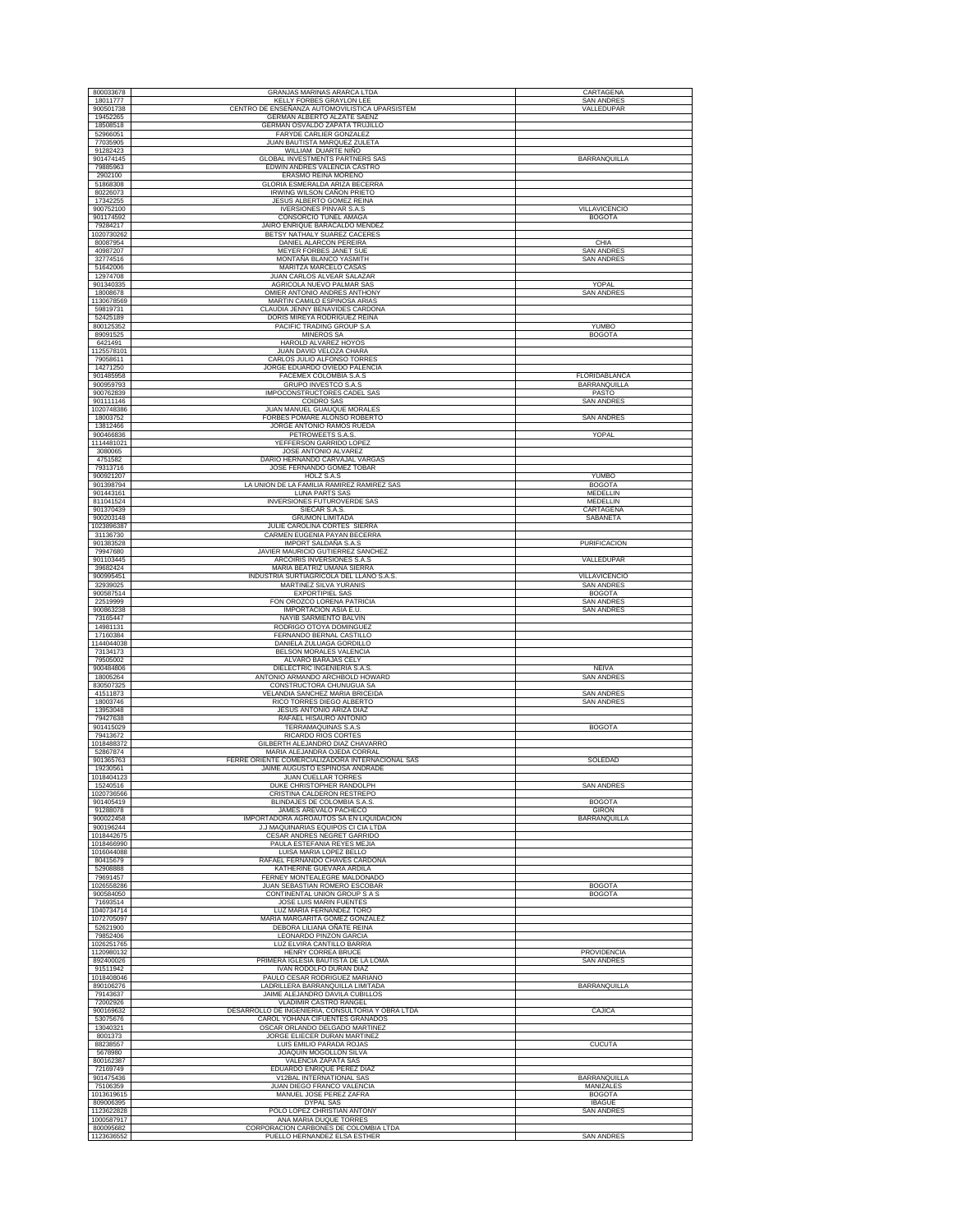| 800033678                | GRANJAS MARINAS ARARCA LTDA                                     | CARTAGENA                          |
|--------------------------|-----------------------------------------------------------------|------------------------------------|
| 18011777                 | KELLY FORBES GRAYLON LEE                                        | SAN ANDRES                         |
| 900501738                | CENTRO DE ENSEÑANZA AUTOMOVILISTICA UPARSISTEM                  | VALLEDUPAR                         |
| 19452265<br>18508518     | GERMAN ALBERTO ALZATE SAENZ<br>GERMAN OSVALDO ZAPATA TRUJILLO   |                                    |
| 52966051                 | FARYDE CARLIER GONZALEZ                                         |                                    |
| 77035905                 | JUAN BAUTISTA MARQUEZ ZULETA                                    |                                    |
| 91282423                 | WILLIAM DUARTE NIÑO                                             |                                    |
| 901474145                | GLOBAL INVESTMENTS PARTNERS SAS                                 | BARRANQUILLA                       |
| 79885963<br>2902100      | EDWIN ANDRES VALENCIA CASTRO<br>ERASMO REINA MORENO             |                                    |
| 51868308                 | GLORIA ESMERALDA ARIZA BECERRA                                  |                                    |
| 80226073                 | IRWING WILSON CAÑON PRIETO                                      |                                    |
| 17342255                 | JESUS ALBERTO GOMEZ REINA                                       |                                    |
| 900752100                | <b>IVERSIONES PINVAR S.A.S</b>                                  | VILLAVICENCIO                      |
| 901174592                | CONSORCIO TUNEL AMAGA                                           | <b>BOGOTA</b>                      |
| 79284217                 | JAIRO ENRIQUE BARACALDO MENDEZ                                  |                                    |
| 1020730262               | BETSY NATHALY SUAREZ CACERES                                    |                                    |
| 80087954<br>40987207     | DANIEL ALARCON PEREIRA                                          | CHIA<br><b>SAN ANDRES</b>          |
| 32774516                 | MEYER FORBES JANET SUE<br>MONTAÑA BLANCO YASMITH                | <b>SAN ANDRES</b>                  |
| 51642006                 | MARITZA MARCELO CASAS                                           |                                    |
| 12974708                 | JUAN CARLOS ALVEAR SALAZAR                                      |                                    |
| 901340335                | AGRICOLA NUEVO PALMAR SAS                                       | YOPAL                              |
| 18008678                 | OMIER ANTONIO ANDRES ANTHONY                                    | <b>SAN ANDRES</b>                  |
| 1130678569<br>59819731   | MARTIN CAMILO ESPINOSA ARIAS                                    |                                    |
| 52425189                 | CLAUDIA JENNY BENAVIDES CARDONA<br>DORIS MIREYA RODRIGUEZ REINA |                                    |
| 800125352                | PACIFIC TRADING GROUP S.A                                       | <b>YUMBO</b>                       |
| 89091525                 | MINEROS SA                                                      | <b>BOGOTA</b>                      |
| 6421491                  | HAROLD ALVAREZ HOYOS                                            |                                    |
| 1125578101               | JUAN DAVID VELOZA CHARA                                         |                                    |
| 79058611                 | CARLOS JULIO ALFONSO TORRES                                     |                                    |
| 14271250                 | JORGE EDUARDO OVIEDO PALENCIA                                   |                                    |
| 901485958<br>900959793   | FACEMEX COLOMBIA S.A.S<br>GRUPO INVESTCO S.A.S                  | FLORIDABLANCA<br>BARRANQUILLA      |
| 900762839                | IMPOCONSTRUCTORES CADEL SAS                                     | PASTO                              |
| 901111146                | COIDRO SAS                                                      | <b>SAN ANDRES</b>                  |
| 1020748386               | JUAN MANUEL GUAUQUE MORALES                                     |                                    |
| 18003752                 | FORBES POMARE ALONSO ROBERTO                                    | <b>SAN ANDRES</b>                  |
| 13812466                 | JORGE ANTONIO RAMOS RUEDA                                       |                                    |
| 900466836                | PETROWEETS S.A.S                                                | YOPAL                              |
| 1114481021<br>3080065    | YEFFERSON GARRIDO LOPEZ<br>JOSE ANTONIO ALVAREZ                 |                                    |
| 4751582                  | DARIO HERNANDO CARVAJAL VARGAS                                  |                                    |
| 79313716                 | JOSE FERNANDO GOMEZ TOBAR                                       |                                    |
| 900921207                | HOLZ S.A.S                                                      | <b>YUMBO</b>                       |
| 901398794                | LA UNION DE LA FAMILIA RAMIREZ RAMIREZ SAS                      | <b>BOGOTA</b>                      |
| 901443161                | <b>LUNA PARTS SAS</b>                                           | <b>MEDELLIN</b>                    |
| 811041524                | INVERSIONES FUTUROVERDE SAS                                     | MEDELLIN                           |
| 901370439                | SIECAR S.A.S.                                                   | CARTAGENA                          |
| 900203148<br>1023896387  | <b>GRUMON LIMITADA</b><br>JULIE CAROLINA CORTES SIERRA          | SABANETA                           |
| 31136730                 | CARMEN EUGENIA PAYAN BECERRA                                    |                                    |
| 901383528                | IMPORT SALDAÑA S.A.S                                            | <b>PURIFICACION</b>                |
| 79947680                 | JAVIER MAURICIO GUTIERREZ SANCHEZ                               |                                    |
| 901103445                | ARCOIRIS INVERSIONES S.A.S                                      | VALLEDUPAR                         |
| 39682424                 | MARIA BEATRIZ UMAÑA SIERRA                                      |                                    |
| 900995451                | INDUSTRIA SURTIAGRICOLA DEL LLANO S.A.S.                        | VILLAVICENCIO                      |
| 32939025<br>900587514    | MARTINEZ SILVA YURANIS<br><b>EXPORTIPIEL SAS</b>                | <b>SAN ANDRES</b><br><b>BOGOTA</b> |
| 22519999                 | FON OROZCO LORENA PATRICIA                                      | <b>SAN ANDRES</b>                  |
| 900863238                | IMPORTACION ASIA E.U.                                           | <b>SAN ANDRES</b>                  |
| 73165447                 | NAYIB SARMIENTO BALVIN                                          |                                    |
| 14981131                 | RODRIGO OTOYA DOMINGUEZ                                         |                                    |
| 17160384                 | FERNANDO BERNAL CASTILLO                                        |                                    |
| 1144044038               | DANIELA ZULUAGA GORDILLO                                        |                                    |
| 73134173<br>79505002     | BELSON MORALES VALENCIA<br>ALVARO BARAJAS CELY                  |                                    |
| 900484806                | DIELECTRIC INGENIERIA S.A.S                                     | NEIVA                              |
| 18005264                 | ANTONIO ARMANDO ARCHBOLD HOWARD                                 | <b>SAN ANDRES</b>                  |
| 830507325                | CONSTRUCTORA CHUNUGUA SA                                        |                                    |
| 41511873                 | VELANDIA SANCHEZ MARIA BRICEIDA                                 | <b>SAN ANDRES</b>                  |
| 18003746                 | RICO TORRES DIEGO ALBERTO                                       | <b>SAN ANDRES</b>                  |
| 13953048<br>79427638     | JESUS ANTONIO ARIZA DIAZ<br>RAFAEL HISAURO ANTONIO              |                                    |
| 901415029                | TERRAMAQUINAS S.A.S                                             | <b>BOGOTA</b>                      |
| 79413672                 | RICARDO RIOS CORTES                                             |                                    |
| 1018488372               | GILBERTH ALEJANDRO DIAZ CHAVARRO                                |                                    |
| 52867874                 | MARIA ALEJANDRA OJEDA CORRAL                                    |                                    |
| 901365763                | FERRE ORIENTE COMERCIALIZADORA INTERNACIONAL SAS                | SOLEDAD                            |
| 19230561                 | JAIME AUGUSTO ESPINOSA ANDRADE                                  |                                    |
| 1018404123               | JUAN CUELLAR TORRES                                             |                                    |
| 15240516<br>1020736566   | DUKE CHRISTOPHER RANDOLPH<br>CRISTINA CALDERON RESTREPO         | <b>SAN ANDRES</b>                  |
| 901405419                | BLINDAJES DE COLOMBIA S.A.S                                     | <b>BOGOTA</b>                      |
| 91288078                 | JAMES AREVALO PACHECO                                           | <b>GIRON</b>                       |
| 900022458                | IMPORTADORA AGROAUTOS SA EN LIQUIDACION                         | BARRANQUILLA                       |
| 900196244                | J.J MAQUINARIAS EQUIPOS CI CIA LTDA                             |                                    |
| 1018442675               | CESAR ANDRES NEGRET GARRIDO                                     |                                    |
| 1018466990<br>1016044088 | PAULA ESTEFANIA REYES MEJIA<br><b>LUISA MARIA LOPEZ BELLO</b>   |                                    |
| 80415679                 | RAFAEL FERNANDO CHAVES CARDONA                                  |                                    |
| 52908888                 | KATHERINE GUEVARA ARDILA                                        |                                    |
| 79691457                 |                                                                 |                                    |
|                          | FERNEY MONTEALEGRE MALDONADO                                    |                                    |
| 1026558286               | JUAN SEBASTIAN ROMERO ESCOBAR                                   | <b>BOGOTA</b>                      |
| 900584050                | CONTINENTAL UNION GROUP S A S                                   | <b>BOGOTA</b>                      |
| 71693514                 | JOSE LUIS MARIN FUENTES                                         |                                    |
| 1040734714               | LUZ MARIA FERNANDEZ TORO                                        |                                    |
| 1072705097<br>52621900   | MARIA MARGARITA GOMEZ GONZALEZ<br>DEBORA LILIANA OÑATE REINA    |                                    |
| 79852406                 | LEONARDO PINZON GARCIA                                          |                                    |
| 1026251765               | LUZ ELVIRA CANTILLO BARRIA                                      |                                    |
| 1120980132               | <b>HENRY CORREA BRUCE</b>                                       | <b>PROVIDENCIA</b>                 |
| 892400026                | PRIMERA IGLESIA BAUTISTA DE LA LOMA                             | <b>SAN ANDRES</b>                  |
| 91511942                 | IVAN RODOLFO DURAN DIAZ                                         |                                    |
| 1018408046               | PAULO CESAR RODRIGUEZ MARIANO                                   |                                    |
| 890106276                | LADRILLERA BARRANQUILLA LIMITADA                                | BARRANQUILLA                       |
| 79143637<br>72002926     | JAIME ALEJANDRO DAVILA CUBILLOS<br>VLADIMIR CASTRO RANGEL       |                                    |
| 900169632                | DESARROLLO DE INGENIERIA, CONSULTORIA Y OBRA LTDA               | CAJICA                             |
| 53075676                 | CAROL YOHANA CIFUENTES GRANADOS                                 |                                    |
| 13040321                 | OSCAR ORLANDO DELGADO MARTINEZ                                  |                                    |
| 8001373                  | JORGE ELIECER DURAN MARTINEZ                                    |                                    |
| 88238557                 | LUIS EMILIO PARADA ROJAS                                        | <b>CUCUTA</b>                      |
| 5678980                  | JOAQUIN MOGOLLON SILVA                                          |                                    |
| 800162387<br>72169749    | VALENCIA ZAPATA SAS<br>EDUARDO ENRIQUE PEREZ DIAZ               |                                    |
| 901475436                | V12BAL INTERNATIONAL SAS                                        | BARRANQUILLA                       |
| 75106359                 | JUAN DIEGO FRANCO VALENCIA                                      | <b>MANIZALES</b>                   |
| 1013619615               | MANUEL JOSE PEREZ ZAFRA                                         | <b>BOGOTA</b>                      |
| 809006395                | DYPAL SAS                                                       | <b>IBAGUE</b>                      |
| 1123622828               | POLO LOPEZ CHRISTIAN ANTONY                                     | <b>SAN ANDRES</b>                  |
| 1000587917<br>800095682  | ANA MARIA DUQUE TORRES<br>CORPORACION CARBONES DE COLOMBIA LTDA |                                    |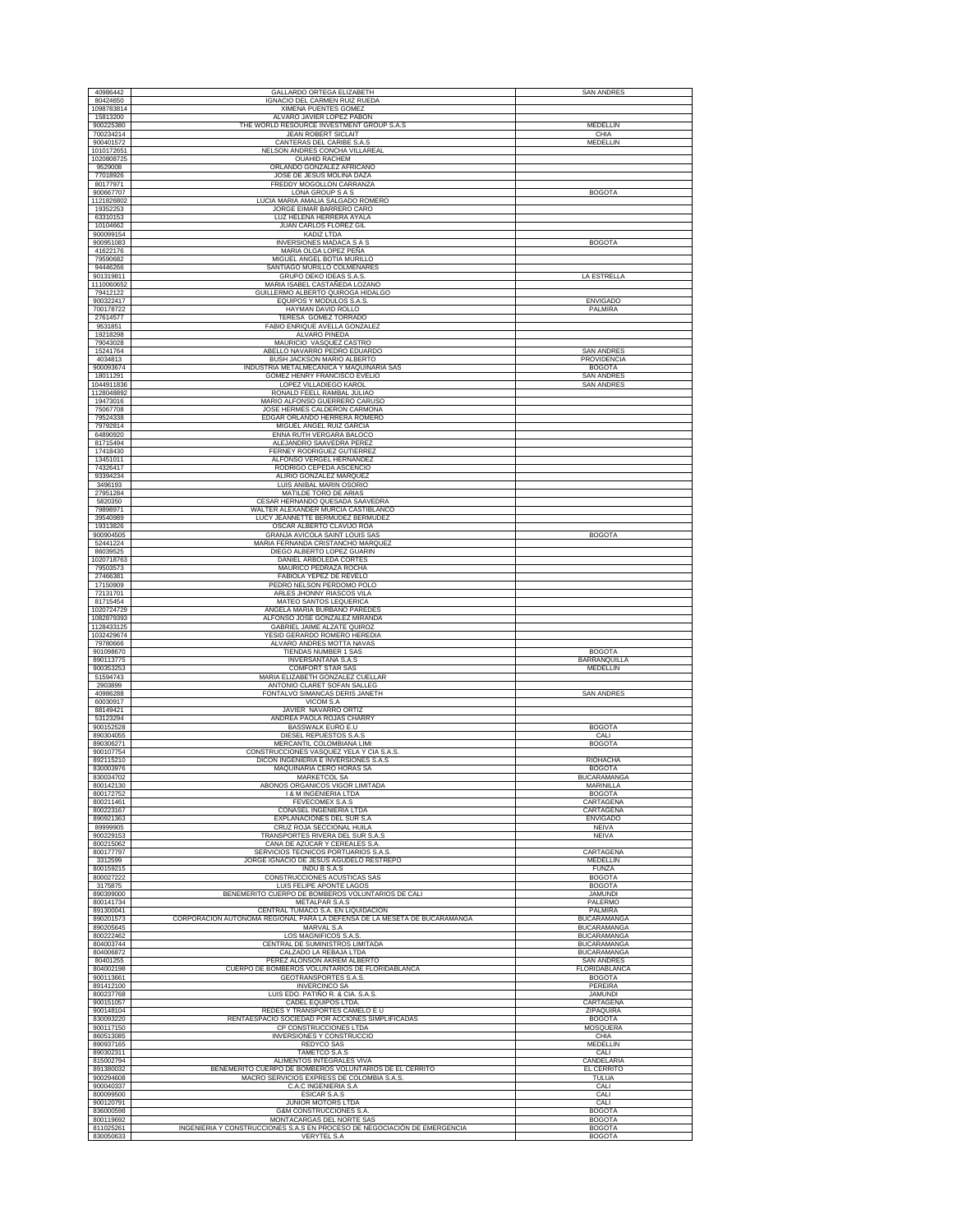| 40986442                 | GALLARDO ORTEGA ELIZABETH                                                                              | <b>SAN ANDRES</b>                        |
|--------------------------|--------------------------------------------------------------------------------------------------------|------------------------------------------|
| 80424650                 | IGNACIO DEL CARMEN RUIZ RUEDA                                                                          |                                          |
| 1098783814               | XIMENA PUENTES GOMEZ                                                                                   |                                          |
| 15813200                 | ALVARO JAVIER LOPEZ PABON                                                                              |                                          |
| 900225380<br>700234214   | THE WORLD RESOURCE INVESTMENT GROUP S.A.S.<br><b>JEAN ROBERT SICLAIT</b>                               | MEDELLIN<br>CHIA                         |
| 900401572                | CANTERAS DEL CARIBE S.A.S                                                                              | <b>MEDELLIN</b>                          |
| 1010172651               | NELSON ANDRES CONCHA VILLAREAL                                                                         |                                          |
| 1020808725               | <b>OUAHID RACHEM</b>                                                                                   |                                          |
| 9529008                  | ORLANDO GONZALEZ AFRICANO                                                                              |                                          |
| 77018926<br>80177971     | JOSE DE JESUS MOLINA DAZA<br>FREDDY MOGOLLON CARRANZA                                                  |                                          |
| 900667707                | LONA GROUP S A S                                                                                       | <b>BOGOTA</b>                            |
| 1121826802               | LUCIA MARIA AMALIA SALGADO ROMERO                                                                      |                                          |
| 19352253                 | JORGE EIMAR BARRERO CARO                                                                               |                                          |
| 63310153<br>10104662     | LUZ HELENA HERRERA AYALA<br>JUAN CARLOS FLOREZ GIL                                                     |                                          |
| 900099154                | KADIZ LTDA                                                                                             |                                          |
| 900951083                | INVERSIONES MADACA S A S                                                                               | <b>BOGOTA</b>                            |
| 41622176                 | MARIA OLGA LOPEZ PEÑA                                                                                  |                                          |
| 79590682<br>94446266     | MIGUEL ANGEL BOTIA MURILLO                                                                             |                                          |
| 901319811                | SANTIAGO MURILLO COLMENARES<br>GRUPO DEKO IDEAS S.A.S.                                                 | LA ESTRELLA                              |
| 1110060652               | MARIA ISABEL CASTAÑEDA LOZANO                                                                          |                                          |
| 79412122                 | GUILLERMO ALBERTO QUIROGA HIDALGO                                                                      |                                          |
| 900322417                | EQUIPOS Y MODULOS S.A.S                                                                                | <b>ENVIGADO</b>                          |
| 700178722<br>27614577    | HAYMAN DAVID ROLLO<br>TERESA GOMEZ TORRADO                                                             | PALMIRA                                  |
| 9531851                  | FABIO ENRIQUE AVELLA GONZALEZ                                                                          |                                          |
| 19218298                 | ALVARO PINEDA                                                                                          |                                          |
| 79043028                 | MAURICIO VASQUEZ CASTRO                                                                                |                                          |
| 15241764<br>4034813      | ABELLO NAVARRO PEDRO EDUARDO<br><b>BUSH JACKSON MARIO ALBERTO</b>                                      | <b>SAN ANDRES</b><br>PROVIDENCIA         |
| 900093674                | INDUSTRIA METALMECANICA Y MAQUINARIA SAS                                                               | <b>BOGOTA</b>                            |
| 18011291                 | GOMEZ HENRY FRANCISCO EVELIO                                                                           | <b>SAN ANDRES</b>                        |
| 1044911836               | LOPEZ VILLADIEGO KAROL                                                                                 | <b>SAN ANDRES</b>                        |
| 1128048892               | RONALD FEELL RAMBAL JULIAO                                                                             |                                          |
| 19473016<br>75067708     | MARIO ALFONSO GUERRERO CARUSO<br>JOSE HERMES CALDERON CARMONA                                          |                                          |
| 79524338                 | EDGAR ORLANDO HERRERA ROMERO                                                                           |                                          |
| 79792814                 | MIGUEL ANGEL RUIZ GARCIA                                                                               |                                          |
| 64890920<br>81715494     | ENNA RUTH VERGARA BALOCO<br>ALEJANDRO SAAVEDRA PEREZ                                                   |                                          |
| 17418430                 | FERNEY RODRIGUEZ GUTIERREZ                                                                             |                                          |
| 13451011                 | ALFONSO VERGEL HERNANDEZ                                                                               |                                          |
| 74326417                 | RODRIGO CEPEDA ASCENCIO                                                                                |                                          |
| 93394234                 | ALIRIO GONZALEZ MARQUEZ                                                                                |                                          |
| 3496193                  | LUIS ANIBAL MARIN OSORIO<br>MATILDE TORO DE ARIAS                                                      |                                          |
| 27951284<br>5820350      | CESAR HERNANDO QUESADA SAAVEDRA                                                                        |                                          |
| 79898971                 | WALTER ALEXANDER MURCIA CASTIBLANCO                                                                    |                                          |
| 39540989                 | LUCY JEANNETTE BERMUDEZ BERMUDEZ                                                                       |                                          |
| 19313826<br>900904505    | OSCAR ALBERTO CLAVIJO ROA<br>GRANJA AVICOLA SAINT LOUIS SAS                                            | <b>BOGOTA</b>                            |
| 52441224                 | MARIA FERNANDA CRISTANCHO MARQUEZ                                                                      |                                          |
| 86039525                 | DIEGO ALBERTO LOPEZ GUARIN                                                                             |                                          |
| 1020718763               | DANIEL ARBOLEDA CORTES                                                                                 |                                          |
| 79503573<br>27466381     | MAURICO PEDRAZA ROCHA<br>FABIOLA YEPEZ DE REVELO                                                       |                                          |
| 17150909                 | PEDRO NELSON PERDOMO POLO                                                                              |                                          |
| 72131701                 | ARLES JHONNY RIASCOS VILA                                                                              |                                          |
| 81715454                 | MATEO SANTOS LEQUERICA                                                                                 |                                          |
| 1020724729<br>1082879393 | ANGELA MARIA BURBANO PAREDES<br>ALFONSO JOSE GONZALEZ MIRANDA                                          |                                          |
| 1128433125               | GABRIEL JAIME ALZATE QUIROZ                                                                            |                                          |
| 1032429674               | YESID GERARDO ROMERO HEREDIA                                                                           |                                          |
| 79780666                 | ALVARO ANDRES MOTTA NAVAS                                                                              |                                          |
| 901098670<br>890113775   | TIENDAS NUMBER 1 SAS                                                                                   | <b>BOGOTA</b><br><b>BARRANQUILLA</b>     |
| 900353253                | INVERSANTANA S.A.S<br>COMFORT STAR SAS                                                                 | MEDELLIN                                 |
| 51594743                 | MARIA ELIZABETH GONZALEZ CUELLAR                                                                       |                                          |
| 2903899                  | ANTONIO CLARET SOFAN SALLEG                                                                            |                                          |
| 40986288<br>60030917     | FONTALVO SIMANCAS DERIS JANETH<br>VICOM S.A                                                            | <b>SAN ANDRES</b>                        |
| 88149421                 | JAVIER NAVARRO ORTIZ                                                                                   |                                          |
| 53123294                 | ANDREA PAOLA ROJAS CHARRY                                                                              |                                          |
| 900152528                | <b>BASSWALK EURO E.U</b>                                                                               | <b>BOGOTA</b>                            |
| 890304055<br>890306271   | DIESEL REPUESTOS S.A.S<br>MERCANTIL COLOMBIANA LIMI                                                    | CALI<br><b>BOGOTA</b>                    |
| 900107754                | CONSTRUCCIONES VASQUEZ YELA Y CIA S.A.S.                                                               |                                          |
| 892115210                | DICON INGENIERIA E INVERSIONES S.A.S.                                                                  |                                          |
| 830003976                |                                                                                                        | <b>RIOHACHA</b>                          |
| 830034702                | MAQUINARIA CERO HORAS SA                                                                               | <b>BOGOTA</b>                            |
|                          | MARKETCOL SA                                                                                           | <b>BUCARAMANGA</b>                       |
| 800142130                | ABONOS ORGANICOS VIGOR LIMITADA<br><b>1 &amp; M INGENIERIA LTDA</b>                                    | MARINILLA                                |
| 800172752<br>800211461   | FEVECOMEX S.A.S                                                                                        | <b>BOGOTA</b><br>CARTAGENA               |
| 800223167                | CONASEL INGENIERIA LTDA                                                                                | CARTAGENA                                |
| 890921363                | EXPLANACIONES DEL SUR S.A                                                                              | <b>ENVIGADO</b>                          |
| 89999905                 | CRUZ ROJA SECCIONAL HUILA                                                                              | <b>NEIVA</b>                             |
| 900229153<br>800215062   | TRANSPORTES RIVERA DEL SUR S.A.S<br>CANA DE AZÚCAR Y CEREALES S.A.                                     | <b>NEIVA</b>                             |
| 800177797                | SERVICIOS TECNICOS PORTUARIOS S.A.S                                                                    | CARTAGENA                                |
| 3312599                  | JORGE IGNACIO DE JESUS AGUDELO RESTREPO                                                                | MEDELLIN                                 |
| 800159215                | <b>INDU B S.A.S</b>                                                                                    | <b>FUNZA</b>                             |
| 800027222<br>3175875     | CONSTRUCCIONES ACUSTICAS SAS<br>LUIS FELIPE APONTE LAGOS                                               | <b>BOGOTA</b><br><b>BOGOTA</b>           |
| 890399000                | BENEMERITO CUERPO DE BOMBEROS VOLUNTARIOS DE CALI                                                      | <b>JAMUNDI</b>                           |
| 800141734                | METALPAR S.A.S                                                                                         | PALERMO                                  |
| 891300041                | CENTRAL TUMACO S.A. EN LIQUIDACION                                                                     | PALMIRA                                  |
| 890201573<br>890205645   | CORPORACION AUTONOMA REGIONAL PARA LA DEFENSA DE LA MESETA DE BUCARAMANGA<br>MARVAL S.A                | <b>BUCARAMANGA</b><br><b>BUCARAMANGA</b> |
| 800222462                | LOS MAGNIFICOS S.A.S                                                                                   | <b>BUCARAMANGA</b>                       |
| 804003744                | CENTRAL DE SUMINISTROS LIMITADA                                                                        | <b>BUCARAMANGA</b>                       |
| 804006872                | CALZADO LA REBAJA LTDA                                                                                 | <b>BUCARAMANGA</b><br><b>SAN ANDRES</b>  |
| 80401255<br>804002198    | PEREZ ALONSON AKREM ALBERTO<br>CUERPO DE BOMBEROS VOLUNTARIOS DE FLORIDABLANCA                         | FLORIDABLANCA                            |
| 900113661                | <b>GEOTRANSPORTES S.A.S</b>                                                                            | <b>BOGOTA</b>                            |
| 891412100                | <b>INVERCINCO SA</b>                                                                                   | PEREIRA                                  |
| 800237768                | LUIS EDO. PATIÑO R. & CIA. S.A.S.                                                                      | <b>JAMUNDI</b>                           |
| 900151057<br>900148104   | CADEL EQUIPOS LTDA.<br>REDES Y TRANSPORTES CAMELO E U                                                  | CARTAGENA<br>ZIPAQUIRA                   |
| 830093220                | RENTAESPACIO SOCIEDAD POR ACCIONES SIMPLIFICADAS                                                       | <b>BOGOTA</b>                            |
| 900117150                | CP CONSTRUCCIONES LTDA                                                                                 | MOSQUERA                                 |
| 860513085                | INVERSIONES Y CONSTRUCCIO                                                                              | CHIA                                     |
| 890937165<br>890302311   | <b>REDYCO SAS</b><br>TAMETCO S.A.S                                                                     | MEDELLIN<br>CALI                         |
| 815002794                | ALIMENTOS INTEGRALES VIVA                                                                              | CANDELARIA                               |
| 891380032                | BENEMERITO CUERPO DE BOMBEROS VOLUNTARIOS DE EL CERRITO                                                | EL CERRITO                               |
| 900294608                | MACRO SERVICIOS EXPRESS DE COLOMBIA S.A.S.                                                             | TULUA                                    |
| 900040337<br>800099500   | C.A.C INGENIERIA S.A<br>ESICAR S.A.S                                                                   | CALI<br>CALI                             |
| 900120791                | JUNIOR MOTORS LTDA                                                                                     | CALI                                     |
| 836000598                | <b>G&amp;M CONSTRUCCIONES S.A</b>                                                                      | <b>BOGOTA</b>                            |
| 800119692<br>811025261   | MONTACARGAS DEL NORTE SAS<br>INGENIERIA Y CONSTRUCCIONES S.A.S EN PROCESO DE NEGOCIACIÓN DE EMERGENCIA | <b>BOGOTA</b><br><b>BOGOTA</b>           |